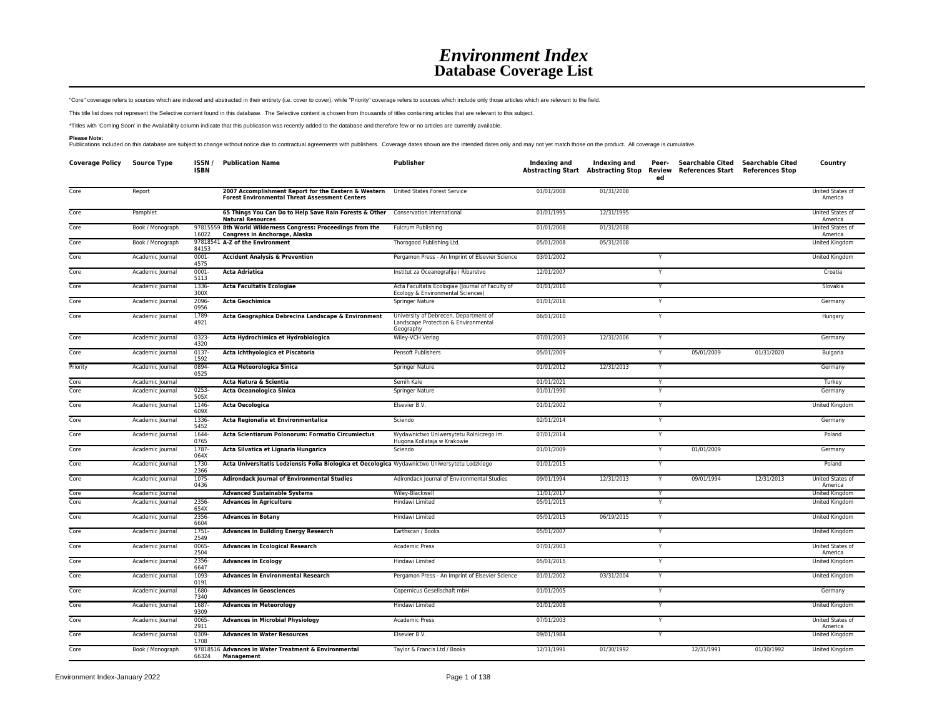## *Environment Index* **Database Coverage List**

"Core" coverage refers to sources which are indexed and abstracted in their entirety (i.e. cover to cover), while "Priority" coverage refers to sources which include only those articles which are relevant to the field.

This title list does not represent the Selective content found in this database. The Selective content is chosen from thousands of titles containing articles that are relevant to this subject.

\*Titles with 'Coming Soon' in the Availability column indicate that this publication was recently added to the database and therefore few or no articles are currently available.

Please Note:<br>Publications included on this database are subject to change without notice due to contractual agreements with publishers. Coverage dates shown are the intended dates only and may not yet match those on the pr

| <b>Coverage Policy</b> | <b>Source Type</b> | ISSN /<br><b>ISBN</b> | <b>Publication Name</b>                                                                                       | <b>Publisher</b>                                                                           | Indexing and | Indexing and<br>Abstracting Start Abstracting Stop | Peer-<br>Review<br>ed | Searchable Cited Searchable Cited<br>References Start References Stop |            | Country                     |
|------------------------|--------------------|-----------------------|---------------------------------------------------------------------------------------------------------------|--------------------------------------------------------------------------------------------|--------------|----------------------------------------------------|-----------------------|-----------------------------------------------------------------------|------------|-----------------------------|
| Core                   | Report             |                       | 2007 Accomplishment Report for the Eastern & Western<br><b>Forest Environmental Threat Assessment Centers</b> | United States Forest Service                                                               | 01/01/2008   | 01/31/2008                                         |                       |                                                                       |            | United States of<br>America |
| Core                   | Pamphlet           |                       | 65 Things You Can Do to Help Save Rain Forests & Other Conservation International<br><b>Natural Resources</b> |                                                                                            | 01/01/1995   | 12/31/1995                                         |                       |                                                                       |            | United States of<br>America |
| Core                   | Book / Monograph   | 16022                 | 97815559 8th World Wilderness Congress: Proceedings from the<br>Congress in Anchorage, Alaska                 | Fulcrum Publishing                                                                         | 01/01/2008   | 01/31/2008                                         |                       |                                                                       |            | United States of<br>America |
| Core                   | Book / Monograph   | 84153                 | 97818541 A-Z of the Environment                                                                               | Thorogood Publishing Ltd.                                                                  | 05/01/2008   | 05/31/2008                                         |                       |                                                                       |            | United Kingdom              |
| Core                   | Academic Journal   | 0001-<br>4575         | <b>Accident Analysis &amp; Prevention</b>                                                                     | Pergamon Press - An Imprint of Elsevier Science                                            | 03/01/2002   |                                                    |                       |                                                                       |            | United Kingdom              |
| Core                   | Academic Journal   | 0001<br>5113          | <b>Acta Adriatica</b>                                                                                         | Institut za Oceanografiju i Ribarstvo                                                      | 12/01/2007   |                                                    | Y                     |                                                                       |            | Croatia                     |
| Core                   | Academic Journal   | 1336-<br>300X         | <b>Acta Facultatis Ecologiae</b>                                                                              | Acta Facultatis Ecologiae (Journal of Faculty of<br>Ecology & Environmental Sciences)      | 01/01/2010   |                                                    | Y                     |                                                                       |            | Slovakia                    |
| Core                   | Academic Journal   | 2096-<br>0956         | <b>Acta Geochimica</b>                                                                                        | Springer Nature                                                                            | 01/01/2016   |                                                    | Y                     |                                                                       |            | Germany                     |
| Core                   | Academic Journal   | 1789-<br>4921         | Acta Geographica Debrecina Landscape & Environment                                                            | University of Debrecen, Department of<br>Landscape Protection & Environmental<br>Geography | 06/01/2010   |                                                    | Y                     |                                                                       |            | Hungary                     |
| Core                   | Academic Journal   | $0323 -$<br>4320      | Acta Hydrochimica et Hydrobiologica                                                                           | Wiley-VCH Verlag                                                                           | 07/01/2003   | 12/31/2006                                         |                       |                                                                       |            | Germany                     |
| Core                   | Academic Journal   | $0137 -$<br>1592      | Acta Ichthyologica et Piscatoria                                                                              | <b>Pensoft Publishers</b>                                                                  | 05/01/2009   |                                                    | Y                     | 05/01/2009                                                            | 01/31/2020 | Bulgaria                    |
| Priority               | Academic Journal   | 0894<br>0525          | Acta Meteorologica Sinica                                                                                     | Springer Nature                                                                            | 01/01/2012   | 12/31/2013                                         |                       |                                                                       |            | Germany                     |
| Core                   | Academic Journal   |                       | Acta Natura & Scientia                                                                                        | Semih Kale                                                                                 | 01/01/2021   |                                                    | Y                     |                                                                       |            | Turkey                      |
| Core                   | Academic Journal   | 0253<br>505X          | Acta Oceanologica Sinica                                                                                      | Springer Nature                                                                            | 01/01/1990   |                                                    |                       |                                                                       |            | Germany                     |
| Core                   | Academic Journal   | 1146-<br>609X         | <b>Acta Oecologica</b>                                                                                        | Elsevier B.V.                                                                              | 01/01/2002   |                                                    | Y                     |                                                                       |            | United Kingdom              |
| Core                   | Academic Journal   | 1336<br>5452          | Acta Regionalia et Environmentalica                                                                           | Sciendo                                                                                    | 02/01/2014   |                                                    | Y                     |                                                                       |            | Germany                     |
| Core                   | Academic Journal   | 1644-<br>0765         | Acta Scientiarum Polonorum: Formatio Circumiectus                                                             | Wydawnictwo Uniwersytetu Rolniczego im.<br>Hugona Kollataja w Krakowie                     | 07/01/2014   |                                                    |                       |                                                                       |            | Poland                      |
| Core                   | Academic Journal   | 1787<br>064X          | Acta Silvatica et Lignaria Hungarica                                                                          | Sciendo                                                                                    | 01/01/2009   |                                                    |                       | 01/01/2009                                                            |            | Germany                     |
| Core                   | Academic Journal   | 1730-<br>2366         | Acta Universitatis Lodziensis Folia Biologica et Oecologica Wydawnictwo Uniwersytetu Lodzkiego                |                                                                                            | 01/01/2015   |                                                    |                       |                                                                       |            | Poland                      |
| Core                   | Academic Journal   | 1075-<br>0436         | <b>Adirondack Journal of Environmental Studies</b>                                                            | Adirondack Journal of Environmental Studies                                                | 09/01/1994   | 12/31/2013                                         |                       | 09/01/1994                                                            | 12/31/2013 | United States of<br>America |
| Core                   | Academic Journal   |                       | <b>Advanced Sustainable Systems</b>                                                                           | Wiley-Blackwell                                                                            | 11/01/2017   |                                                    |                       |                                                                       |            | United Kingdom              |
| Core                   | Academic Journal   | 2356<br>654X          | <b>Advances in Agriculture</b>                                                                                | Hindawi Limited                                                                            | 05/01/2015   |                                                    |                       |                                                                       |            | United Kingdom              |
| Core                   | Academic Journal   | 2356-<br>6604         | <b>Advances in Botany</b>                                                                                     | Hindawi Limited                                                                            | 05/01/2015   | 06/19/2015                                         | Y                     |                                                                       |            | United Kingdom              |
| Core                   | Academic Journal   | 1751-<br>2549         | <b>Advances in Building Energy Research</b>                                                                   | Earthscan / Books                                                                          | 05/01/2007   |                                                    | Y                     |                                                                       |            | United Kingdom              |
| Core                   | Academic Journal   | 0065-<br>2504         | <b>Advances in Ecological Research</b>                                                                        | <b>Academic Press</b>                                                                      | 07/01/2003   |                                                    | Y                     |                                                                       |            | United States of<br>America |
| Core                   | Academic Journal   | 2356<br>6647          | <b>Advances in Ecology</b>                                                                                    | Hindawi Limited                                                                            | 05/01/2015   |                                                    | Y                     |                                                                       |            | United Kingdom              |
| Core                   | Academic Journal   | 1093<br>0191          | <b>Advances in Environmental Research</b>                                                                     | Pergamon Press - An Imprint of Elsevier Science                                            | 01/01/2002   | 03/31/2004                                         |                       |                                                                       |            | United Kingdom              |
| Core                   | Academic Journal   | 1680-<br>7340         | <b>Advances in Geosciences</b>                                                                                | Copernicus Gesellschaft mbH                                                                | 01/01/2005   |                                                    | Y                     |                                                                       |            | Germany                     |
| Core                   | Academic Journal   | 1687<br>9309          | <b>Advances in Meteorology</b>                                                                                | Hindawi Limited                                                                            | 01/01/2008   |                                                    |                       |                                                                       |            | United Kingdom              |
| Core                   | Academic Journal   | 0065-<br>2911         | <b>Advances in Microbial Physiology</b>                                                                       | <b>Academic Press</b>                                                                      | 07/01/2003   |                                                    | Y                     |                                                                       |            | United States of<br>America |
| Core                   | Academic Journal   | 0309<br>1708          | <b>Advances in Water Resources</b>                                                                            | Elsevier B.V.                                                                              | 09/01/1984   |                                                    | Y                     |                                                                       |            | United Kingdom              |
| Core                   | Book / Monograph   | 66324                 | 97818516 Advances in Water Treatment & Environmental<br>Management                                            | Taylor & Francis Ltd / Books                                                               | 12/31/1991   | 01/30/1992                                         |                       | 12/31/1991                                                            | 01/30/1992 | United Kingdom              |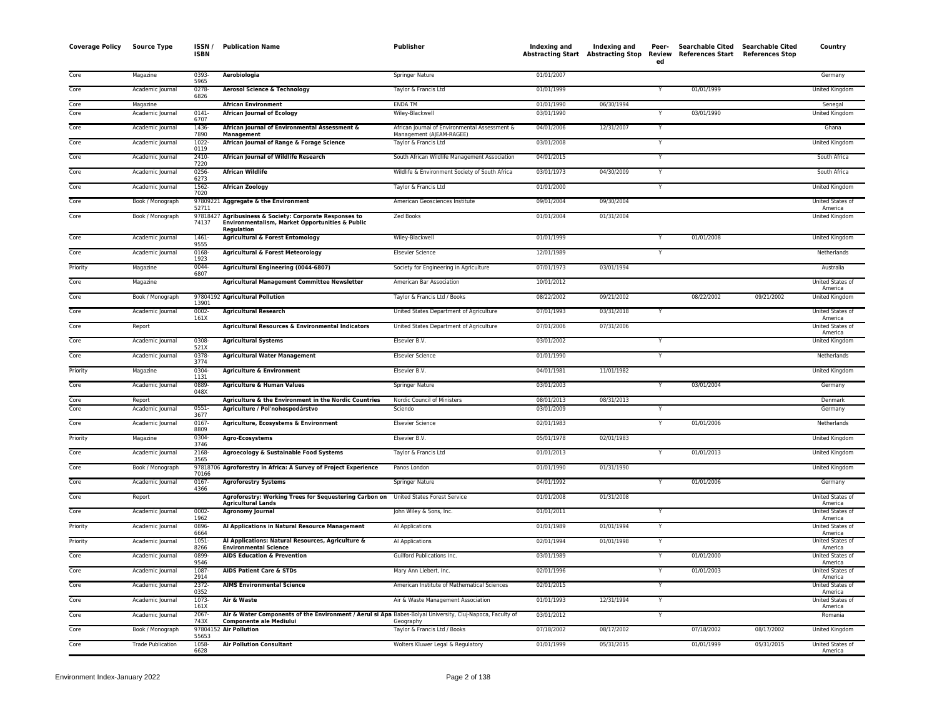| <b>Coverage Policy</b> | <b>Source Type</b>       | ISSN/<br><b>ISBN</b> | <b>Publication Name</b>                                                                                                                     | Publisher                                                                 | Indexing and | Indexing and<br><b>Abstracting Start Abstracting Stop</b> | Peer-<br><b>Review</b><br>ed | Searchable Cited Searchable Cited<br>References Start References Stop |            | Country                            |
|------------------------|--------------------------|----------------------|---------------------------------------------------------------------------------------------------------------------------------------------|---------------------------------------------------------------------------|--------------|-----------------------------------------------------------|------------------------------|-----------------------------------------------------------------------|------------|------------------------------------|
| Core                   | Magazine                 | 0393-<br>5965        | Aerobiologia                                                                                                                                | <b>Springer Nature</b>                                                    | 01/01/2007   |                                                           |                              |                                                                       |            | Germany                            |
| Core                   | Academic Journal         | $0278 -$<br>6826     | <b>Aerosol Science &amp; Technology</b>                                                                                                     | Taylor & Francis Ltd                                                      | 01/01/1999   |                                                           |                              | 01/01/1999                                                            |            | <b>United Kingdom</b>              |
| Core                   | Magazine                 |                      | <b>African Environment</b>                                                                                                                  | <b>ENDA TM</b>                                                            | 01/01/1990   | 06/30/1994                                                |                              |                                                                       |            | Senegal                            |
| Core                   | Academic Journal         | 0141<br>6707         | <b>African Journal of Ecology</b>                                                                                                           | Wiley-Blackwell                                                           | 03/01/1990   |                                                           | $\mathsf{v}$                 | 03/01/1990                                                            |            | United Kingdom                     |
| Core                   | Academic Journal         | 1436-<br>7890        | African Journal of Environmental Assessment &<br>Management                                                                                 | African Journal of Environmental Assessment &<br>Management (AJEAM-RAGEE) | 04/01/2006   | 12/31/2007                                                | Y                            |                                                                       |            | Ghana                              |
| Core                   | Academic Journal         | $1022 -$<br>0119     | African Journal of Range & Forage Science                                                                                                   | Taylor & Francis Ltd                                                      | 03/01/2008   |                                                           | $\overline{\mathsf{Y}}$      |                                                                       |            | <b>United Kingdom</b>              |
| Core                   | Academic Journal         | $2410 -$<br>7220     | <b>African Journal of Wildlife Research</b>                                                                                                 | South African Wildlife Management Association                             | 04/01/2015   |                                                           | Y                            |                                                                       |            | South Africa                       |
| Core                   | Academic Journal         | $0256 -$<br>6273     | <b>African Wildlife</b>                                                                                                                     | Wildlife & Environment Society of South Africa                            | 03/01/1973   | 04/30/2009                                                | Y                            |                                                                       |            | South Africa                       |
| Core                   | Academic Journal         | 1562-<br>7020        | <b>African Zoology</b>                                                                                                                      | Taylor & Francis Ltd                                                      | 01/01/2000   |                                                           | Y                            |                                                                       |            | United Kingdom                     |
| Core                   | Book / Monograph         | 52711                | 97809221 Aggregate & the Environment                                                                                                        | American Geosciences Institute                                            | 09/01/2004   | 09/30/2004                                                |                              |                                                                       |            | United States of<br>America        |
| Core                   | Book / Monograph         | 97818427<br>74137    | Agribusiness & Society: Corporate Responses to<br>Environmentalism, Market Opportunities & Public<br>Regulation                             | Zed Books                                                                 | 01/01/2004   | 01/31/2004                                                |                              |                                                                       |            | <b>United Kingdom</b>              |
| Core                   | Academic Journal         | 1461-<br>9555        | <b>Agricultural &amp; Forest Entomology</b>                                                                                                 | Wiley-Blackwell                                                           | 01/01/1999   |                                                           |                              | 01/01/2008                                                            |            | United Kingdom                     |
| Core                   | Academic Journal         | 0168-<br>1923        | <b>Agricultural &amp; Forest Meteorology</b>                                                                                                | <b>Elsevier Science</b>                                                   | 12/01/1989   |                                                           | Y                            |                                                                       |            | Netherlands                        |
| Priority               | Magazine                 | 0044-<br>6807        | Agricultural Engineering (0044-6807)                                                                                                        | Society for Engineering in Agriculture                                    | 07/01/1973   | 03/01/1994                                                |                              |                                                                       |            | Australia                          |
| Core                   | Magazine                 |                      | Agricultural Management Committee Newsletter                                                                                                | American Bar Association                                                  | 10/01/2012   |                                                           |                              |                                                                       |            | United States of<br>America        |
| Core                   | Book / Monograph         | 13901                | 97804192 Agricultural Pollution                                                                                                             | Taylor & Francis Ltd / Books                                              | 08/22/2002   | 09/21/2002                                                |                              | 08/22/2002                                                            | 09/21/2002 | United Kingdom                     |
| Core                   | Academic Journal         | $0002 -$<br>161X     | <b>Agricultural Research</b>                                                                                                                | United States Department of Agriculture                                   | 07/01/1993   | 03/31/2018                                                |                              |                                                                       |            | United States of<br>America        |
| Core                   | Report                   |                      | Agricultural Resources & Environmental Indicators                                                                                           | United States Department of Agriculture                                   | 07/01/2006   | 07/31/2006                                                |                              |                                                                       |            | United States of<br>America        |
| Core                   | Academic Journal         | 0308-<br>521X        | <b>Agricultural Systems</b>                                                                                                                 | Elsevier B.V.                                                             | 03/01/2002   |                                                           |                              |                                                                       |            | United Kingdom                     |
| Core                   | Academic Journal         | 0378-<br>3774        | <b>Agricultural Water Management</b>                                                                                                        | <b>Elsevier Science</b>                                                   | 01/01/1990   |                                                           | Y                            |                                                                       |            | Netherlands                        |
| Priority               | Magazine                 | 0304<br>1131         | <b>Agriculture &amp; Environment</b>                                                                                                        | Elsevier B.V.                                                             | 04/01/1981   | 11/01/1982                                                |                              |                                                                       |            | United Kingdom                     |
| Core                   | Academic Journal         | 0889-<br>048X        | <b>Agriculture &amp; Human Values</b>                                                                                                       | Springer Nature                                                           | 03/01/2003   |                                                           |                              | 03/01/2004                                                            |            | Germany                            |
| Core                   | Report                   |                      | Agriculture & the Environment in the Nordic Countries                                                                                       | Nordic Council of Ministers                                               | 08/01/2013   | 08/31/2013                                                |                              |                                                                       |            | <b>Denmark</b>                     |
| Core                   | Academic Journal         | 0551<br>3677         | Agriculture / Pol'nohospodárstvo                                                                                                            | Sciendo                                                                   | 03/01/2009   |                                                           | Y                            |                                                                       |            | Germany                            |
| Core                   | Academic Journal         | $0167 -$<br>8809     | Agriculture, Ecosystems & Environment                                                                                                       | <b>Elsevier Science</b>                                                   | 02/01/1983   |                                                           | Y                            | 01/01/2006                                                            |            | Netherlands                        |
| Priority               | Magazine                 | 0304-<br>3746        | <b>Agro-Ecosystems</b>                                                                                                                      | Elsevier B.V.                                                             | 05/01/1978   | 02/01/1983                                                |                              |                                                                       |            | <b>United Kingdom</b>              |
| Core                   | Academic Journal         | 2168-<br>3565        | Agroecology & Sustainable Food Systems                                                                                                      | Taylor & Francis Ltd                                                      | 01/01/2013   |                                                           | Y                            | 01/01/2013                                                            |            | United Kingdom                     |
| Core                   | Book / Monograph         | 70166                | 97818706 Agroforestry in Africa: A Survey of Project Experience                                                                             | Panos London                                                              | 01/01/1990   | 01/31/1990                                                |                              |                                                                       |            | United Kingdom                     |
| Core                   | Academic Journal         | $0167 -$<br>4366     | <b>Agroforestry Systems</b>                                                                                                                 | Springer Nature                                                           | 04/01/1992   |                                                           | $\checkmark$                 | 01/01/2006                                                            |            | Germany                            |
| Core                   | Report                   |                      | Agroforestry: Working Trees for Sequestering Carbon on<br>Agricultural Lands                                                                | United States Forest Service                                              | 01/01/2008   | 01/31/2008                                                |                              |                                                                       |            | United States of<br>America        |
| Core                   | Academic Journal         | $0002 -$<br>1962     | <b>Agronomy Journal</b>                                                                                                                     | John Wiley & Sons, Inc.                                                   | 01/01/2011   |                                                           | Y                            |                                                                       |            | United States of<br>America        |
| Priority               | Academic Journal         | 0896-<br>6664        | Al Applications in Natural Resource Management                                                                                              | Al Applications                                                           | 01/01/1989   | 01/01/1994                                                | Y                            |                                                                       |            | United States o<br>America         |
| Priority               | Academic Journal         | 1051<br>8266         | Al Applications: Natural Resources, Agriculture &<br><b>Environmental Science</b>                                                           | Al Applications                                                           | 02/01/1994   | 01/01/1998                                                |                              |                                                                       |            | United States of<br>America        |
| Core                   | Academic Journal         | 0899-<br>9546        | <b>AIDS Education &amp; Prevention</b>                                                                                                      | Guilford Publications Inc.                                                | 03/01/1989   |                                                           | Y                            | 01/01/2000                                                            |            | <b>United States of</b><br>America |
| Core                   | Academic Journal         | 1087-<br>2914        | <b>AIDS Patient Care &amp; STDs</b>                                                                                                         | Mary Ann Liebert, Inc.                                                    | 02/01/1996   |                                                           |                              | 01/01/2003                                                            |            | United States of<br>America        |
| Core                   | Academic Journal         | 2372-<br>0352        | <b>AIMS Environmental Science</b>                                                                                                           | American Institute of Mathematical Sciences                               | 02/01/2015   |                                                           | Y                            |                                                                       |            | United States of<br>America        |
| Core                   | Academic Journal         | 1073-<br>161X        | Air & Waste                                                                                                                                 | Air & Waste Management Association                                        | 01/01/1993   | 12/31/1994                                                | Y                            |                                                                       |            | United States of<br>America        |
| Core                   | Academic Journal         | 2067<br>743          | Air & Water Components of the Environment / Aerul si Apa Babes-Bolyai University, Cluj-Napoca, Faculty of<br><b>Componente ale Mediului</b> | Geography                                                                 | 03/01/2012   |                                                           | $\mathsf{v}$                 |                                                                       |            | Romania                            |
| Core                   | Book / Monograph         | 55653                | 97804152 Air Pollution                                                                                                                      | Taylor & Francis Ltd / Books                                              | 07/18/2002   | 08/17/2002                                                |                              | 07/18/2002                                                            | 08/17/2002 | United Kingdom                     |
| Core                   | <b>Trade Publication</b> | 1058-<br>6628        | <b>Air Pollution Consultant</b>                                                                                                             | Wolters Kluwer Legal & Regulatory                                         | 01/01/1999   | 05/31/2015                                                |                              | 01/01/1999                                                            | 05/31/2015 | United States of<br>America        |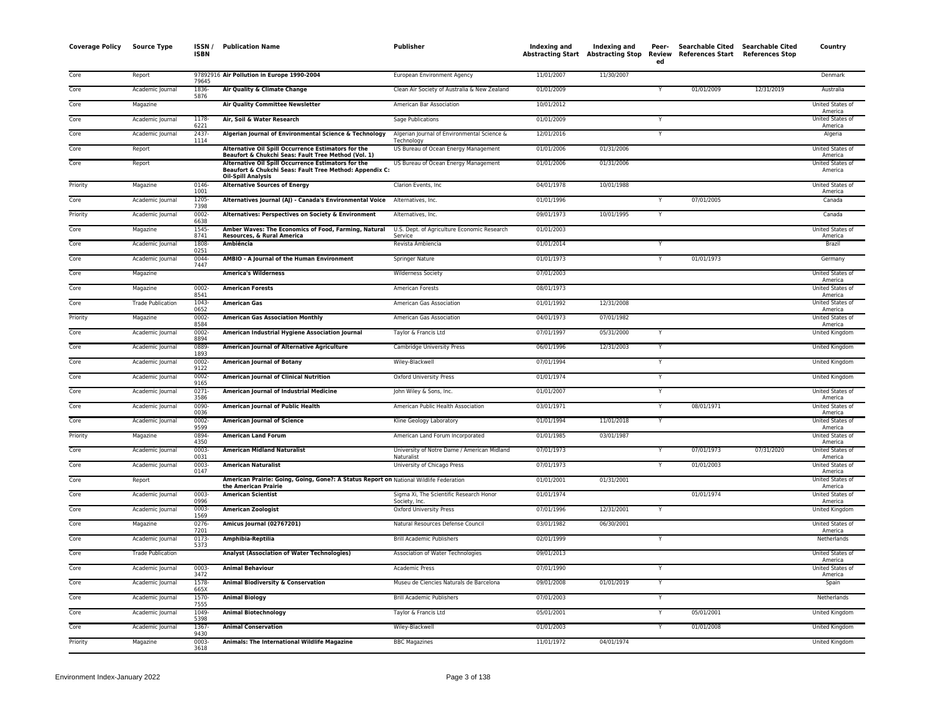| <b>Coverage Policy</b> | <b>Source Type</b>       | ISSN /<br><b>ISBN</b> | <b>Publication Name</b>                                                                                                                     | Publisher                                                 | Indexing and | Indexing and<br><b>Abstracting Start</b> Abstracting Stop | Peer-<br>Review<br>ed | Searchable Cited Searchable Cited<br>References Start References Stop |            | Country                            |
|------------------------|--------------------------|-----------------------|---------------------------------------------------------------------------------------------------------------------------------------------|-----------------------------------------------------------|--------------|-----------------------------------------------------------|-----------------------|-----------------------------------------------------------------------|------------|------------------------------------|
| Core                   | Report                   | 79645                 | 97892916 Air Pollution in Europe 1990-2004                                                                                                  | European Environment Agency                               | 11/01/2007   | 11/30/2007                                                |                       |                                                                       |            | Denmark                            |
| Core                   | Academic Journal         | 1836<br>5876          | Air Quality & Climate Change                                                                                                                | Clean Air Society of Australia & New Zealand              | 01/01/2009   |                                                           | Y                     | 01/01/2009                                                            | 12/31/2019 | Australia                          |
| Core                   | Magazine                 |                       | <b>Air Quality Committee Newsletter</b>                                                                                                     | American Bar Association                                  | 10/01/2012   |                                                           |                       |                                                                       |            | United States of<br>America        |
| Core                   | Academic Journal         | 1178<br>6221          | Air, Soil & Water Research                                                                                                                  | Sage Publications                                         | 01/01/2009   |                                                           | Y                     |                                                                       |            | United States o<br>America         |
| Core                   | Academic Journal         | 2437-<br>1114         | Algerian Journal of Environmental Science & Technology                                                                                      | Algerian Journal of Environmental Science &<br>Technology | 12/01/2016   |                                                           | Y                     |                                                                       |            | Algeria                            |
| Core                   | Report                   |                       | Alternative Oil Spill Occurrence Estimators for the<br>Beaufort & Chukchi Seas: Fault Tree Method (Vol. 1)                                  | US Bureau of Ocean Energy Management                      | 01/01/2006   | 01/31/2006                                                |                       |                                                                       |            | United States of<br>America        |
| Core                   | Report                   |                       | Alternative Oil Spill Occurrence Estimators for the<br>Beaufort & Chukchi Seas: Fault Tree Method: Appendix C:<br><b>Oil-Spill Analysis</b> | US Bureau of Ocean Energy Management                      | 01/01/2006   | 01/31/2006                                                |                       |                                                                       |            | <b>United States of</b><br>America |
| Priority               | Magazine                 | 0146<br>1001          | <b>Alternative Sources of Energy</b>                                                                                                        | Clarion Events, Inc.                                      | 04/01/1978   | 10/01/1988                                                |                       |                                                                       |            | United States of<br>America        |
| Core                   | Academic Journal         | 1205-<br>7398         | Alternatives Journal (AJ) - Canada's Environmental Voice                                                                                    | Alternatives, Inc.                                        | 01/01/1996   |                                                           | Ÿ                     | 07/01/2005                                                            |            | Canada                             |
| Priority               | Academic Journal         | $0002 -$<br>6638      | Alternatives: Perspectives on Society & Environment                                                                                         | Alternatives, Inc.                                        | 09/01/1973   | 10/01/1995                                                | Υ                     |                                                                       |            | Canada                             |
| Core                   | Magazine                 | 1545<br>8741          | Amber Waves: The Economics of Food, Farming, Natural<br>Resources, & Rural America                                                          | U.S. Dept. of Agriculture Economic Research<br>Service    | 01/01/2003   |                                                           |                       |                                                                       |            | United States o<br>America         |
| Core                   | Academic Journal         | 1808<br>0251          | Ambiência                                                                                                                                   | Revista Ambiencia                                         | 01/01/2014   |                                                           | Y                     |                                                                       |            | Brazil                             |
| Core                   | Academic Journal         | 0044<br>7447          | AMBIO - A Journal of the Human Environment                                                                                                  | Springer Nature                                           | 01/01/1973   |                                                           |                       | 01/01/1973                                                            |            | Germany                            |
| Core                   | Magazine                 |                       | <b>America's Wilderness</b>                                                                                                                 | <b>Wilderness Society</b>                                 | 07/01/2003   |                                                           |                       |                                                                       |            | <b>United States of</b><br>America |
| Core                   | Magazine                 | 0002-<br>8541         | <b>American Forests</b>                                                                                                                     | American Forests                                          | 08/01/1973   |                                                           |                       |                                                                       |            | United States of<br>America        |
| Core                   | <b>Trade Publication</b> | 1043-<br>0652         | <b>American Gas</b>                                                                                                                         | American Gas Association                                  | 01/01/1992   | 12/31/2008                                                |                       |                                                                       |            | United States of<br>America        |
| Priority               | Magazine                 | 0002<br>8584          | <b>American Gas Association Monthly</b>                                                                                                     | American Gas Association                                  | 04/01/1973   | 07/01/1982                                                |                       |                                                                       |            | United States of<br>America        |
| Core                   | Academic Journal         | $0002 -$<br>8894      | American Industrial Hygiene Association Journal                                                                                             | Taylor & Francis Ltd                                      | 07/01/1997   | 05/31/2000                                                | Y                     |                                                                       |            | United Kingdom                     |
| Core                   | Academic Journal         | 0889<br>1893          | American Journal of Alternative Agriculture                                                                                                 | Cambridge University Press                                | 06/01/1996   | 12/31/2003                                                | Y                     |                                                                       |            | United Kingdom                     |
| Core                   | Academic Journal         | 0002<br>9122          | <b>American Journal of Botany</b>                                                                                                           | Wiley-Blackwell                                           | 07/01/1994   |                                                           | Y                     |                                                                       |            | United Kingdom                     |
| Core                   | Academic Journal         | 0002-<br>9165         | <b>American Journal of Clinical Nutrition</b>                                                                                               | <b>Oxford University Press</b>                            | 01/01/1974   |                                                           |                       |                                                                       |            | United Kingdom                     |
| Core                   | Academic Journal         | $0271 -$<br>3586      | American Journal of Industrial Medicine                                                                                                     | John Wiley & Sons, Inc.                                   | 01/01/2007   |                                                           | Ÿ                     |                                                                       |            | United States of<br>America        |
| Core                   | Academic Journal         | 0090-<br>0036         | American Journal of Public Health                                                                                                           | American Public Health Association                        | 03/01/1971   |                                                           | Y                     | 08/01/1971                                                            |            | United States of<br>America        |
| Core                   | Academic Journal         | 0002-<br>9599         | <b>American Journal of Science</b>                                                                                                          | Kline Geology Laboratory                                  | 01/01/1994   | 11/01/2018                                                | Y                     |                                                                       |            | United States of<br>America        |
| Priority               | Magazine                 | 0894-<br>4350         | <b>American Land Forum</b>                                                                                                                  | American Land Forum Incorporated                          | 01/01/1985   | 03/01/1987                                                |                       |                                                                       |            | United States of<br>America        |
| Core                   | Academic Journal         | $0003 -$<br>0031      | <b>American Midland Naturalist</b>                                                                                                          | University of Notre Dame / American Midland<br>Naturalist | 07/01/1973   |                                                           |                       | 07/01/1973                                                            | 07/31/2020 | United States of<br>America        |
| Core                   | Academic Journal         | $0003 -$<br>0147      | <b>American Naturalist</b>                                                                                                                  | University of Chicago Press                               | 07/01/1973   |                                                           | Y                     | 01/01/2003                                                            |            | United States of<br>America        |
| Core                   | Report                   |                       | American Prairie: Going, Going, Gone?: A Status Report on National Wildlife Federation<br>the American Prairie                              |                                                           | 01/01/2001   | 01/31/2001                                                |                       |                                                                       |            | United States of<br>America        |
| Core                   | Academic Journal         | 0003-<br>0996         | <b>American Scientist</b>                                                                                                                   | Sigma Xi, The Scientific Research Honor<br>Society, Inc.  | 01/01/1974   |                                                           |                       | 01/01/1974                                                            |            | United States of<br>America        |
| Core                   | Academic Journal         | $0003 -$<br>1569      | <b>American Zoologist</b>                                                                                                                   | Oxford University Press                                   | 07/01/1996   | 12/31/2001                                                | Y                     |                                                                       |            | <b>United Kingdom</b>              |
| Core                   | Magazine                 | 0276<br>7201          | Amicus Journal (02767201)                                                                                                                   | Natural Resources Defense Council                         | 03/01/1982   | 06/30/2001                                                |                       |                                                                       |            | United States of<br>America        |
| Core                   | Academic Journal         | 0173-<br>5373         | Amphibia-Reptilia                                                                                                                           | <b>Brill Academic Publishers</b>                          | 02/01/1999   |                                                           | Y                     |                                                                       |            | Netherlands                        |
| Core                   | <b>Trade Publication</b> |                       | <b>Analyst (Association of Water Technologies)</b>                                                                                          | Association of Water Technologies                         | 09/01/2013   |                                                           |                       |                                                                       |            | United States of<br>America        |
| Core                   | Academic Journal         | 0003<br>3472          | <b>Animal Behaviour</b>                                                                                                                     | Academic Press                                            | 07/01/1990   |                                                           | Y                     |                                                                       |            | United States of<br>America        |
| Core                   | Academic Journal         | 1578<br>665X          | Animal Biodiversity & Conservation                                                                                                          | Museu de Ciencies Naturals de Barcelona                   | 09/01/2008   | 01/01/2019                                                | Y                     |                                                                       |            | Spain                              |
| Core                   | Academic Journal         | 1570-<br>7555         | <b>Animal Biology</b>                                                                                                                       | <b>Brill Academic Publishers</b>                          | 07/01/2003   |                                                           | Y                     |                                                                       |            | Netherlands                        |
| Core                   | Academic Journal         | 1049<br>5398          | <b>Animal Biotechnology</b>                                                                                                                 | Taylor & Francis Ltd                                      | 05/01/2001   |                                                           |                       | 05/01/2001                                                            |            | United Kingdom                     |
| Core                   | Academic Journal         | 1367<br>9430          | <b>Animal Conservation</b>                                                                                                                  | Wiley-Blackwell                                           | 01/01/2003   |                                                           | Ÿ                     | 01/01/2008                                                            |            | <b>United Kingdom</b>              |
| Priority               | Magazine                 | 0003<br>3618          | Animals: The International Wildlife Magazine                                                                                                | <b>BBC Magazines</b>                                      | 11/01/1972   | 04/01/1974                                                |                       |                                                                       |            | United Kingdom                     |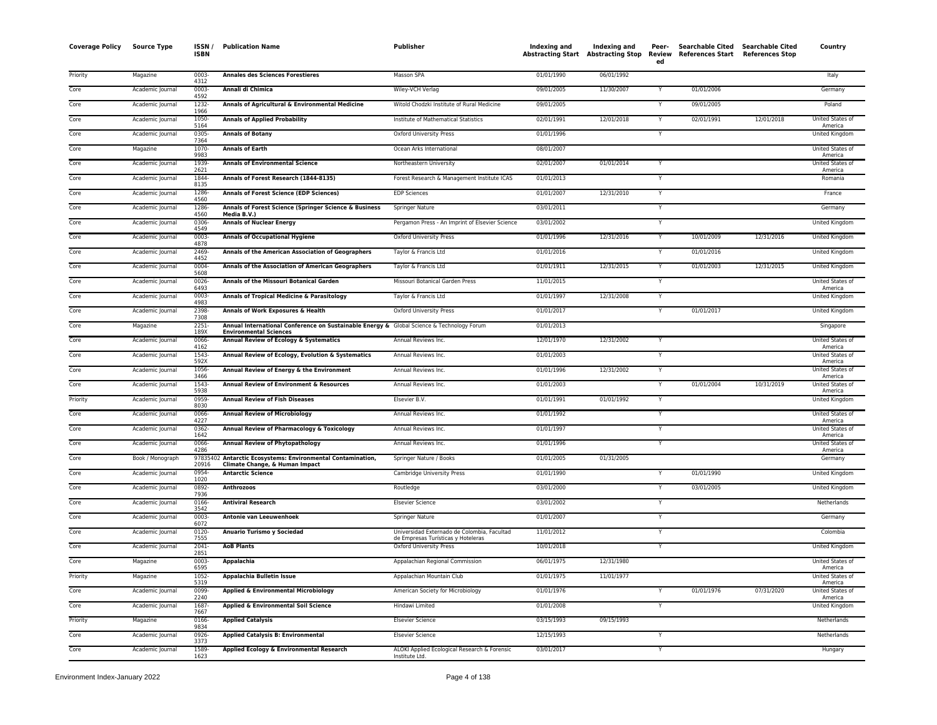| <b>Coverage Policy</b> | Source Type      | ISSN,<br><b>ISBN</b> | <b>Publication Name</b>                                                                                                    | Publisher                                                                         | Indexing and | Indexing and<br><b>Abstracting Start Abstracting Stop</b> | Peer-<br>Review<br>ed | <b>Searchable Cited</b><br>References Start References Stop | Searchable Cited | Country                            |
|------------------------|------------------|----------------------|----------------------------------------------------------------------------------------------------------------------------|-----------------------------------------------------------------------------------|--------------|-----------------------------------------------------------|-----------------------|-------------------------------------------------------------|------------------|------------------------------------|
| Priority               | Magazine         | 0003<br>4312         | <b>Annales des Sciences Forestieres</b>                                                                                    | Masson SPA                                                                        | 01/01/1990   | 06/01/1992                                                |                       |                                                             |                  | Italy                              |
| Core                   | Academic Journal | $0003 -$<br>4592     | Annali di Chimica                                                                                                          | Wiley-VCH Verlag                                                                  | 09/01/2005   | 11/30/2007                                                |                       | 01/01/2006                                                  |                  | Germany                            |
| Core                   | Academic Journal | 1232-<br>1966        | Annals of Agricultural & Environmental Medicine                                                                            | Witold Chodzki Institute of Rural Medicine                                        | 09/01/2005   |                                                           |                       | 09/01/2005                                                  |                  | Poland                             |
| Core                   | Academic Journal | 1050-<br>5164        | <b>Annals of Applied Probability</b>                                                                                       | Institute of Mathematical Statistics                                              | 02/01/1991   | 12/01/2018                                                |                       | 02/01/1991                                                  | 12/01/2018       | United States of<br>America        |
| Core                   | Academic Journal | 0305-<br>7364        | <b>Annals of Botany</b>                                                                                                    | Oxford University Press                                                           | 01/01/1996   |                                                           | Y                     |                                                             |                  | United Kingdom                     |
| Core                   | Magazine         | 1070<br>9983         | <b>Annals of Earth</b>                                                                                                     | Ocean Arks International                                                          | 08/01/2007   |                                                           |                       |                                                             |                  | United States of<br>America        |
| Core                   | Academic Journal | 1939-<br>2621        | <b>Annals of Environmental Science</b>                                                                                     | Northeastern University                                                           | 02/01/2007   | 01/01/2014                                                | Υ                     |                                                             |                  | <b>United States of</b><br>America |
| Core                   | Academic Journal | 1844-<br>8135        | Annals of Forest Research (1844-8135)                                                                                      | Forest Research & Management Institute ICAS                                       | 01/01/2013   |                                                           |                       |                                                             |                  | Romania                            |
| Core                   | Academic Journal | 1286<br>4560         | <b>Annals of Forest Science (EDP Sciences)</b>                                                                             | <b>EDP Sciences</b>                                                               | 01/01/2007   | 12/31/2010                                                | Υ                     |                                                             |                  | France                             |
| Core                   | Academic Journal | 1286<br>4560         | Annals of Forest Science (Springer Science & Business<br>Media B.V.)                                                       | Springer Nature                                                                   | 03/01/2011   |                                                           | Y                     |                                                             |                  | Germany                            |
| Core                   | Academic Journal | 0306<br>4549         | <b>Annals of Nuclear Energy</b>                                                                                            | Pergamon Press - An Imprint of Elsevier Science                                   | 03/01/2002   |                                                           | Y                     |                                                             |                  | United Kingdom                     |
| Core                   | Academic Journal | $0003 -$<br>4878     | <b>Annals of Occupational Hygiene</b>                                                                                      | <b>Oxford University Press</b>                                                    | 01/01/1996   | 12/31/2016                                                | Y                     | 10/01/2009                                                  | 12/31/2016       | <b>United Kingdom</b>              |
| Core                   | Academic Journal | 2469<br>4452         | Annals of the American Association of Geographers                                                                          | Taylor & Francis Ltd                                                              | 01/01/2016   |                                                           | Y                     | 01/01/2016                                                  |                  | United Kingdom                     |
| Core                   | Academic Journal | 0004-<br>5608        | Annals of the Association of American Geographers                                                                          | Taylor & Francis Ltd                                                              | 01/01/1911   | 12/31/2015                                                |                       | 01/01/2003                                                  | 12/31/2015       | United Kingdom                     |
| Core                   | Academic Journal | 0026<br>6493         | Annals of the Missouri Botanical Garden                                                                                    | Missouri Botanical Garden Press                                                   | 11/01/2015   |                                                           | Ÿ                     |                                                             |                  | United States of<br>America        |
| Core                   | Academic Journal | $0003 -$<br>4983     | Annals of Tropical Medicine & Parasitology                                                                                 | Taylor & Francis Ltd                                                              | 01/01/1997   | 12/31/2008                                                | Y                     |                                                             |                  | United Kingdom                     |
| Core                   | Academic Journal | 2398-<br>7308        | Annals of Work Exposures & Health                                                                                          | <b>Oxford University Press</b>                                                    | 01/01/2017   |                                                           | Y                     | 01/01/2017                                                  |                  | United Kingdom                     |
| Core                   | Magazine         | 2251-<br>189X        | Annual International Conference on Sustainable Energy & Global Science & Technology Forum<br><b>Environmental Sciences</b> |                                                                                   | 01/01/2013   |                                                           |                       |                                                             |                  | Singapore                          |
| Core                   | Academic Journal | 0066<br>4162         | Annual Review of Ecology & Systematics                                                                                     | Annual Reviews Inc.                                                               | 12/01/1970   | 12/31/2002                                                | Y                     |                                                             |                  | United States of<br>America        |
| Core                   | Academic Journal | 1543<br>592X         | Annual Review of Ecology, Evolution & Systematics                                                                          | Annual Reviews Inc.                                                               | 01/01/2003   |                                                           | Ÿ                     |                                                             |                  | United States of<br>America        |
| Core                   | Academic Journal | 1056-<br>3466        | Annual Review of Energy & the Environment                                                                                  | Annual Reviews Inc.                                                               | 01/01/1996   | 12/31/2002                                                | Y                     |                                                             |                  | United States of<br>America        |
| Core                   | Academic Journal | 1543-<br>5938        | <b>Annual Review of Environment &amp; Resources</b>                                                                        | Annual Reviews Inc.                                                               | 01/01/2003   |                                                           | Y                     | 01/01/2004                                                  | 10/31/2019       | United States of<br>America        |
| Priority               | Academic Journal | 0959<br>8030         | <b>Annual Review of Fish Diseases</b>                                                                                      | Elsevier B.V.                                                                     | 01/01/1991   | 01/01/1992                                                | Y                     |                                                             |                  | United Kingdom                     |
| Core                   | Academic Journal | 0066<br>4227         | <b>Annual Review of Microbiology</b>                                                                                       | Annual Reviews Inc.                                                               | 01/01/1992   |                                                           | Y                     |                                                             |                  | United States of<br>America        |
| Core                   | Academic Journal | 0362-<br>1642        | Annual Review of Pharmacology & Toxicology                                                                                 | Annual Reviews Inc.                                                               | 01/01/1997   |                                                           | Y                     |                                                             |                  | United States of<br>America        |
| Core                   | Academic Journal | 0066-<br>4286        | <b>Annual Review of Phytopathology</b>                                                                                     | Annual Reviews Inc.                                                               | 01/01/1996   |                                                           | Y                     |                                                             |                  | United States of<br>America        |
| Core                   | Book / Monograph | 20916                | 97835402 Antarctic Ecosystems: Environmental Contamination,<br>Climate Change, & Human Impact                              | Springer Nature / Books                                                           | 01/01/2005   | 01/31/2005                                                |                       |                                                             |                  | Germany                            |
| Core                   | Academic Journal | 0954-<br>1020        | <b>Antarctic Science</b>                                                                                                   | Cambridge University Press                                                        | 01/01/1990   |                                                           |                       | 01/01/1990                                                  |                  | United Kingdom                     |
| Core                   | Academic Journal | 0892<br>7936         | <b>Anthrozoos</b>                                                                                                          | Routledge                                                                         | 03/01/2000   |                                                           | Y                     | 03/01/2005                                                  |                  | <b>United Kingdom</b>              |
| Core                   | Academic Journal | 0166<br>3542         | <b>Antiviral Research</b>                                                                                                  | <b>Elsevier Science</b>                                                           | 03/01/2002   |                                                           | Y                     |                                                             |                  | Netherlands                        |
| Core                   | Academic Journal | 0003-<br>6072        | Antonie van Leeuwenhoek                                                                                                    | Springer Nature                                                                   | 01/01/2007   |                                                           | Y                     |                                                             |                  | Germany                            |
| Core                   | Academic Journal | 0120-<br>7555        | Anuario Turismo y Sociedad                                                                                                 | Universidad Externado de Colombia, Facultad<br>de Empresas Turísticas y Hoteleras | 11/01/2012   |                                                           | Y                     |                                                             |                  | Colombia                           |
| Core                   | Academic Journal | $2041 -$<br>2851     | <b>AoB Plants</b>                                                                                                          | <b>Oxford University Press</b>                                                    | 10/01/2018   |                                                           | Y                     |                                                             |                  | United Kingdom                     |
| Core                   | Magazine         | 0003<br>6595         | Appalachia                                                                                                                 | Appalachian Regional Commission                                                   | 06/01/1975   | 12/31/1980                                                |                       |                                                             |                  | United States of<br>America        |
| Priority               | Magazine         | 1052-<br>5319        | Appalachia Bulletin Issue                                                                                                  | Appalachian Mountain Club                                                         | 01/01/1975   | 11/01/1977                                                |                       |                                                             |                  | United States of<br>America        |
| Core                   | Academic Journal | 0099<br>2240         | Applied & Environmental Microbiology                                                                                       | American Society for Microbiology                                                 | 01/01/1976   |                                                           | Υ                     | 01/01/1976                                                  | 07/31/2020       | United States of<br>America        |
| Core                   | Academic Journal | 1687<br>7667         | <b>Applied &amp; Environmental Soil Science</b>                                                                            | Hindawi Limited                                                                   | 01/01/2008   |                                                           | Y                     |                                                             |                  | United Kingdom                     |
| Priority               | Magazine         | 0166<br>9834         | <b>Applied Catalysis</b>                                                                                                   | <b>Elsevier Science</b>                                                           | 03/15/1993   | 09/15/1993                                                |                       |                                                             |                  | Netherlands                        |
| Core                   | Academic Journal | 0926<br>3373         | <b>Applied Catalysis B: Environmental</b>                                                                                  | Elsevier Science                                                                  | 12/15/1993   |                                                           | Y                     |                                                             |                  | Netherlands                        |
| Core                   | Academic Journal | 1589<br>1623         | Applied Ecology & Environmental Research                                                                                   | ALOKI Applied Ecological Research & Forensic<br>Institute Ltd.                    | 03/01/2017   |                                                           |                       |                                                             |                  | Hungary                            |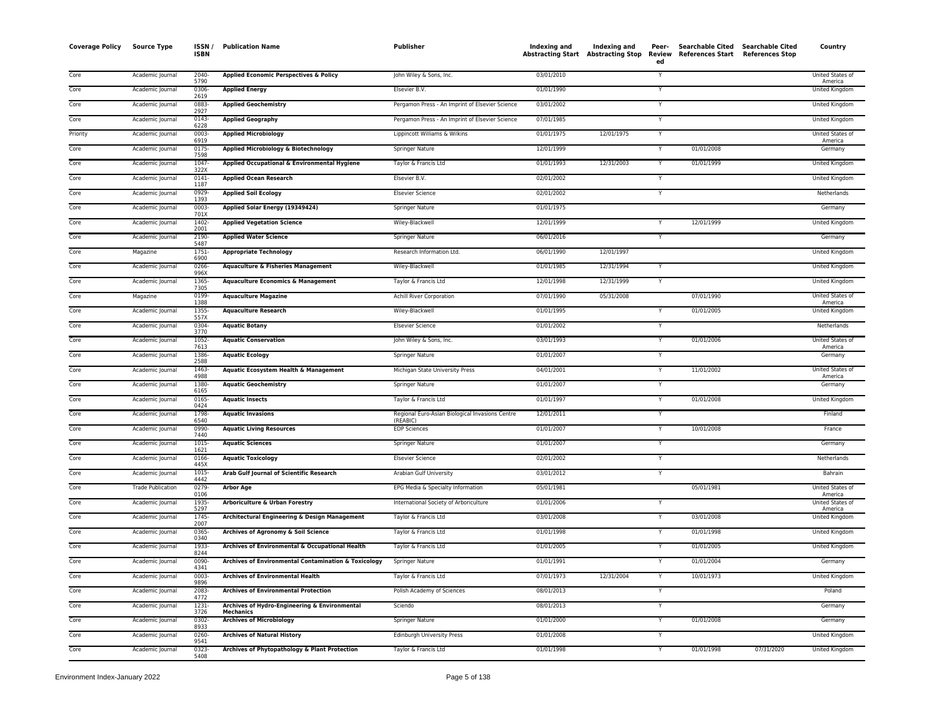| <b>Coverage Policy</b> | <b>Source Type</b>       | ISSN/<br><b>ISBN</b> | <b>Publication Name</b>                                           | <b>Publisher</b>                                            | Indexing and Indexing and<br>Abstracting Start Abstracting Stop |            | Peer-<br>Review<br>ed | <b>Searchable Cited</b><br>References Start | <b>Searchable Cited</b><br><b>References Stop</b> | Country                     |
|------------------------|--------------------------|----------------------|-------------------------------------------------------------------|-------------------------------------------------------------|-----------------------------------------------------------------|------------|-----------------------|---------------------------------------------|---------------------------------------------------|-----------------------------|
| Core                   | Academic Journal         | 2040-<br>5790        | Applied Economic Perspectives & Policy                            | John Wiley & Sons, Inc.                                     | 03/01/2010                                                      |            | Y                     |                                             |                                                   | United States of<br>America |
| Core                   | Academic Journal         | 0306-<br>2619        | <b>Applied Energy</b>                                             | Elsevier B.V.                                               | 01/01/1990                                                      |            | $\checkmark$          |                                             |                                                   | <b>United Kingdom</b>       |
| Core                   | Academic Journal         | 0883<br>2927         | <b>Applied Geochemistry</b>                                       | Pergamon Press - An Imprint of Elsevier Science             | 03/01/2002                                                      |            |                       |                                             |                                                   | United Kingdom              |
| Core                   | Academic Journal         | 0143<br>6228         | <b>Applied Geography</b>                                          | Pergamon Press - An Imprint of Elsevier Science             | 07/01/1985                                                      |            |                       |                                             |                                                   | United Kingdom              |
| Priority               | Academic Journal         | $0003 -$<br>6919     | <b>Applied Microbiology</b>                                       | Lippincott Williams & Wilkins                               | 01/01/1975                                                      | 12/01/1975 | Y                     |                                             |                                                   | United States of<br>America |
| Core                   | Academic Journal         | $0175 -$<br>7598     | Applied Microbiology & Biotechnology                              | Springer Nature                                             | 12/01/1999                                                      |            | Y                     | 01/01/2008                                  |                                                   | Germany                     |
| Core                   | Academic Journal         | 1047<br>322X         | Applied Occupational & Environmental Hygiene                      | Taylor & Francis Ltd                                        | 01/01/1993                                                      | 12/31/2003 | Y                     | 01/01/1999                                  |                                                   | United Kingdom              |
| Core                   | Academic Journal         | $0141 -$<br>1187     | <b>Applied Ocean Research</b>                                     | Elsevier B.V.                                               | 02/01/2002                                                      |            |                       |                                             |                                                   | United Kingdom              |
| Core                   | Academic Journal         | 0929<br>1393         | <b>Applied Soil Ecology</b>                                       | <b>Elsevier Science</b>                                     | 02/01/2002                                                      |            |                       |                                             |                                                   | Netherlands                 |
| Core                   | Academic Journal         | $0003 -$<br>701X     | Applied Solar Energy (19349424)                                   | <b>Springer Nature</b>                                      | 01/01/1975                                                      |            |                       |                                             |                                                   | Germany                     |
| Core                   | Academic Journal         | 1402<br>2001         | <b>Applied Vegetation Science</b>                                 | Wiley-Blackwell                                             | 12/01/1999                                                      |            |                       | 12/01/1999                                  |                                                   | <b>United Kingdom</b>       |
| Core                   | Academic Journal         | 2190-<br>5487        | <b>Applied Water Science</b>                                      | Springer Nature                                             | 06/01/2016                                                      |            | Y                     |                                             |                                                   | Germany                     |
| Core                   | Magazine                 | 1751-<br>6900        | <b>Appropriate Technology</b>                                     | Research Information Ltd.                                   | 06/01/1990                                                      | 12/01/1997 |                       |                                             |                                                   | United Kingdom              |
| Core                   | Academic Journal         | 0266-<br>996X        | <b>Aquaculture &amp; Fisheries Management</b>                     | Wiley-Blackwell                                             | 01/01/1985                                                      | 12/31/1994 |                       |                                             |                                                   | United Kingdom              |
| Core                   | Academic Journal         | 1365-<br>7305        | <b>Aquaculture Economics &amp; Management</b>                     | Taylor & Francis Ltd                                        | 12/01/1998                                                      | 12/31/1999 |                       |                                             |                                                   | United Kingdom              |
| Core                   | Magazine                 | 0199<br>1388         | <b>Aquaculture Magazine</b>                                       | <b>Achill River Corporation</b>                             | 07/01/1990                                                      | 05/31/2008 |                       | 07/01/1990                                  |                                                   | United States of<br>America |
| Core                   | Academic Journal         | 1355<br>557X         | <b>Aquaculture Research</b>                                       | Wiley-Blackwell                                             | 01/01/1995                                                      |            |                       | 01/01/2005                                  |                                                   | <b>United Kingdom</b>       |
| Core                   | Academic Journal         | 0304-<br>3770        | <b>Aquatic Botany</b>                                             | <b>Elsevier Science</b>                                     | 01/01/2002                                                      |            |                       |                                             |                                                   | Netherlands                 |
| Core                   | Academic Journal         | 1052-<br>7613        | <b>Aquatic Conservation</b>                                       | John Wiley & Sons, Inc.                                     | 03/01/1993                                                      |            | Y                     | 01/01/2006                                  |                                                   | United States of<br>America |
| Core                   | Academic Journal         | 1386<br>2588         | <b>Aquatic Ecology</b>                                            | Springer Nature                                             | 01/01/2007                                                      |            |                       |                                             |                                                   | Germany                     |
| Core                   | Academic Journal         | 1463<br>4988         | Aquatic Ecosystem Health & Management                             | Michigan State University Press                             | 04/01/2001                                                      |            |                       | 11/01/2002                                  |                                                   | United States of<br>America |
| Core                   | Academic Journal         | 1380-<br>6165        | <b>Aquatic Geochemistry</b>                                       | Springer Nature                                             | 01/01/2007                                                      |            | Y                     |                                             |                                                   | Germany                     |
| Core                   | Academic Journal         | 0165<br>0424         | <b>Aquatic Insects</b>                                            | Taylor & Francis Ltd                                        | 01/01/1997                                                      |            |                       | 01/01/2008                                  |                                                   | <b>United Kingdom</b>       |
| Core                   | Academic Journal         | 1798<br>6540         | <b>Aquatic Invasions</b>                                          | Regional Euro-Asian Biological Invasions Centre<br>(REABIC) | 12/01/2011                                                      |            |                       |                                             |                                                   | Finland                     |
| Core                   | Academic Journal         | 0990-<br>7440        | <b>Aquatic Living Resources</b>                                   | <b>EDP Sciences</b>                                         | 01/01/2007                                                      |            | Υ                     | 10/01/2008                                  |                                                   | France                      |
| Core                   | Academic Journal         | 1015<br>1621         | <b>Aquatic Sciences</b>                                           | Springer Nature                                             | 01/01/2007                                                      |            | $\mathsf{v}$          |                                             |                                                   | Germany                     |
| Core                   | Academic Journal         | 0166-<br>445X        | <b>Aquatic Toxicology</b>                                         | <b>Elsevier Science</b>                                     | 02/01/2002                                                      |            |                       |                                             |                                                   | Netherlands                 |
| Core                   | Academic Journal         | 1015<br>4442         | Arab Gulf Journal of Scientific Research                          | Arabian Gulf University                                     | 03/01/2012                                                      |            |                       |                                             |                                                   | <b>Bahrain</b>              |
| Core                   | <b>Trade Publication</b> | $0279 -$<br>0106     | <b>Arbor Age</b>                                                  | EPG Media & Specialty Information                           | 05/01/1981                                                      |            |                       | 05/01/1981                                  |                                                   | United States of<br>America |
| Core                   | Academic Journal         | 1935<br>5297         | Arboriculture & Urban Forestry                                    | International Society of Arboriculture                      | 01/01/2006                                                      |            |                       |                                             |                                                   | United States of<br>America |
| Core                   | Academic Journal         | 1745<br>2007         | Architectural Engineering & Design Management                     | Taylor & Francis Ltd                                        | 03/01/2008                                                      |            | Y                     | 03/01/2008                                  |                                                   | United Kingdom              |
| Core                   | Academic Journal         | 0365<br>0340         | Archives of Agronomy & Soil Science                               | Taylor & Francis Ltd                                        | 01/01/1998                                                      |            |                       | 01/01/1998                                  |                                                   | <b>United Kingdom</b>       |
| Core                   | Academic Journal         | 1933<br>8244         | Archives of Environmental & Occupational Health                   | Taylor & Francis Ltd                                        | 01/01/2005                                                      |            |                       | 01/01/2005                                  |                                                   | United Kingdom              |
| Core                   | Academic Journal         | 0090-<br>4341        | Archives of Environmental Contamination & Toxicology              | <b>Springer Nature</b>                                      | 01/01/1991                                                      |            |                       | 01/01/2004                                  |                                                   | Germany                     |
| Core                   | Academic Journal         | 0003<br>9896         | <b>Archives of Environmental Health</b>                           | Taylor & Francis Ltd                                        | 07/01/1973                                                      | 12/31/2004 |                       | 10/01/1973                                  |                                                   | <b>United Kingdom</b>       |
| Core                   | Academic Journal         | 2083<br>4772         | <b>Archives of Environmental Protection</b>                       | Polish Academy of Sciences                                  | 08/01/2013                                                      |            | Y                     |                                             |                                                   | Poland                      |
| Core                   | Academic Journal         | 1231<br>3726         | Archives of Hydro-Engineering & Environmental<br><b>Mechanics</b> | Sciendo                                                     | 08/01/2013                                                      |            |                       |                                             |                                                   | Germany                     |
| Core                   | Academic Journal         | 0302<br>8933         | <b>Archives of Microbiology</b>                                   | Springer Nature                                             | 01/01/2000                                                      |            |                       | 01/01/2008                                  |                                                   | Germany                     |
| Core                   | Academic Journal         | 0260-<br>9541        | <b>Archives of Natural History</b>                                | Edinburgh University Press                                  | 01/01/2008                                                      |            |                       |                                             |                                                   | United Kingdom              |
| Core                   | Academic Journal         | 0323<br>5408         | Archives of Phytopathology & Plant Protection                     | Taylor & Francis Ltd                                        | 01/01/1998                                                      |            |                       | 01/01/1998                                  | 07/31/2020                                        | <b>United Kingdom</b>       |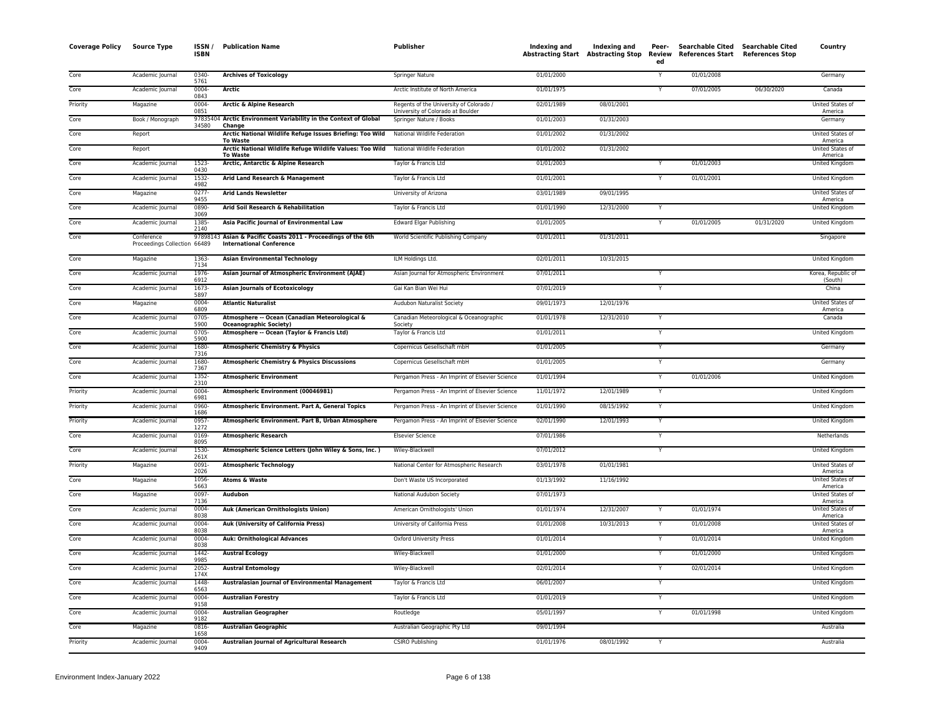| <b>Coverage Policy</b> | <b>Source Type</b>                         | ISSN/<br><b>ISBN</b> | <b>Publication Name</b>                                                                 | Publisher                                                                    | Indexing and | Indexing and<br>Abstracting Start Abstracting Stop Review | Peer-<br>ed             | Searchable Cited Searchable Cited<br>References Start References Stop |            | Country                       |
|------------------------|--------------------------------------------|----------------------|-----------------------------------------------------------------------------------------|------------------------------------------------------------------------------|--------------|-----------------------------------------------------------|-------------------------|-----------------------------------------------------------------------|------------|-------------------------------|
| Core                   | Academic Journal                           | 0340-<br>5761        | <b>Archives of Toxicology</b>                                                           | <b>Springer Nature</b>                                                       | 01/01/2000   |                                                           | Y                       | 01/01/2008                                                            |            | Germany                       |
| Core                   | Academic Journal                           | 0004-<br>0843        | Arctic                                                                                  | Arctic Institute of North America                                            | 01/01/1975   |                                                           | Y                       | 07/01/2005                                                            | 06/30/2020 | Canada                        |
| Priority               | Magazine                                   | 0004-<br>0851        | Arctic & Alpine Research                                                                | Regents of the University of Colorado /<br>University of Colorado at Boulder | 02/01/1989   | 08/01/2001                                                |                         |                                                                       |            | United States of<br>America   |
| Core                   | Book / Monograph                           | 34580                | 97835404 Arctic Environment Variability in the Context of Global<br>Change              | Springer Nature / Books                                                      | 01/01/2003   | 01/31/2003                                                |                         |                                                                       |            | Germany                       |
| Core                   | Report                                     |                      | Arctic National Wildlife Refuge Issues Briefing: Too Wild<br><b>To Waste</b>            | National Wildlife Federation                                                 | 01/01/2002   | 01/31/2002                                                |                         |                                                                       |            | United States of<br>America   |
| Core                   | Report                                     |                      | Arctic National Wildlife Refuge Wildlife Values: Too Wild<br><b>To Waste</b>            | National Wildlife Federation                                                 | 01/01/2002   | 01/31/2002                                                |                         |                                                                       |            | United States o<br>America    |
| Core                   | Academic Journal                           | 1523-<br>0430        | Arctic, Antarctic & Alpine Research                                                     | Taylor & Francis Ltd                                                         | 01/01/2003   |                                                           |                         | 01/01/2003                                                            |            | United Kingdom                |
| Core                   | Academic Journal                           | 1532-<br>4982        | Arid Land Research & Management                                                         | Taylor & Francis Ltd                                                         | 01/01/2001   |                                                           | Y                       | 01/01/2001                                                            |            | United Kingdom                |
| Core                   | Magazine                                   | $0277 -$<br>9455     | <b>Arid Lands Newsletter</b>                                                            | University of Arizona                                                        | 03/01/1989   | 09/01/1995                                                |                         |                                                                       |            | United States of<br>America   |
| Core                   | Academic Journal                           | 0890-<br>3069        | Arid Soil Research & Rehabilitation                                                     | Taylor & Francis Ltd                                                         | 01/01/1990   | 12/31/2000                                                | <b>Y</b>                |                                                                       |            | United Kingdom                |
| Core                   | Academic Journal                           | 1385-<br>2140        | Asia Pacific Journal of Environmental Law                                               | <b>Edward Elgar Publishing</b>                                               | 01/01/2005   |                                                           | Y                       | 01/01/2005                                                            | 01/31/2020 | United Kingdom                |
| Core                   | Conference<br>Proceedings Collection 66489 | 97898143             | Asian & Pacific Coasts 2011 - Proceedings of the 6th<br><b>International Conference</b> | World Scientific Publishing Company                                          | 01/01/2011   | 01/31/2011                                                |                         |                                                                       |            | Singapore                     |
| Core                   | Magazine                                   | 1363<br>7134         | <b>Asian Environmental Technology</b>                                                   | ILM Holdings Ltd.                                                            | 02/01/2011   | 10/31/2015                                                |                         |                                                                       |            | United Kingdom                |
| Core                   | Academic Journal                           | 1976-<br>6912        | Asian Journal of Atmospheric Environment (AJAE)                                         | Asian Journal for Atmospheric Environment                                    | 07/01/2011   |                                                           |                         |                                                                       |            | Korea, Republic of<br>(South) |
| Core                   | Academic Journal                           | $1673-$<br>5897      | <b>Asian Journals of Ecotoxicology</b>                                                  | Gai Kan Bian Wei Hui                                                         | 07/01/2019   |                                                           | $\overline{Y}$          |                                                                       |            | China                         |
| Core                   | Magazine                                   | 0004-<br>6809        | <b>Atlantic Naturalist</b>                                                              | Audubon Naturalist Society                                                   | 09/01/1973   | 12/01/1976                                                |                         |                                                                       |            | United States of<br>America   |
| Core                   | Academic Journal                           | 0705-<br>5900        | Atmosphere -- Ocean (Canadian Meteorological &<br><b>Oceanographic Society)</b>         | Canadian Meteorological & Oceanographic<br>Society                           | 01/01/1978   | 12/31/2010                                                | Y                       |                                                                       |            | Canada                        |
| Core                   | Academic Journal                           | 0705-<br>5900        | Atmosphere -- Ocean (Taylor & Francis Ltd)                                              | Taylor & Francis Ltd                                                         | 01/01/2011   |                                                           | $\mathsf{Y}$            |                                                                       |            | United Kingdom                |
| Core                   | Academic Journal                           | 1680-<br>7316        | <b>Atmospheric Chemistry &amp; Physics</b>                                              | Copernicus Gesellschaft mbH                                                  | 01/01/2005   |                                                           |                         |                                                                       |            | Germany                       |
| Core                   | Academic Journal                           | 1680-<br>7367        | <b>Atmospheric Chemistry &amp; Physics Discussions</b>                                  | Copernicus Gesellschaft mbH                                                  | 01/01/2005   |                                                           | Y                       |                                                                       |            | Germany                       |
| Core                   | Academic Journal                           | 1352-<br>2310        | <b>Atmospheric Environment</b>                                                          | Pergamon Press - An Imprint of Elsevier Science                              | 01/01/1994   |                                                           | Y                       | 01/01/2006                                                            |            | United Kingdom                |
| Priority               | Academic Journal                           | 0004-<br>6981        | Atmospheric Environment (00046981)                                                      | Pergamon Press - An Imprint of Elsevier Science                              | 11/01/1972   | 12/01/1989                                                | Y                       |                                                                       |            | United Kingdom                |
| Priority               | Academic Journal                           | 0960-<br>1686        | Atmospheric Environment. Part A, General Topics                                         | Pergamon Press - An Imprint of Elsevier Science                              | 01/01/1990   | 08/15/1992                                                | Ÿ                       |                                                                       |            | United Kingdom                |
| Priority               | Academic Journal                           | 0957-<br>1272        | Atmospheric Environment. Part B, Urban Atmosphere                                       | Pergamon Press - An Imprint of Elsevier Science                              | 02/01/1990   | 12/01/1993                                                | $\overline{\mathsf{Y}}$ |                                                                       |            | <b>United Kingdom</b>         |
| Core                   | Academic Journal                           | 0169<br>8095         | <b>Atmospheric Research</b>                                                             | <b>Elsevier Science</b>                                                      | 07/01/1986   |                                                           | Y                       |                                                                       |            | Netherlands                   |
| Core                   | Academic Journal                           | 1530-<br>261X        | Atmospheric Science Letters (John Wiley & Sons, Inc.)                                   | Wiley-Blackwell                                                              | 07/01/2012   |                                                           | Y                       |                                                                       |            | United Kingdom                |
| Priority               | Magazine                                   | 0091-<br>2026        | <b>Atmospheric Technology</b>                                                           | National Center for Atmospheric Research                                     | 03/01/1978   | 01/01/1981                                                |                         |                                                                       |            | United States of<br>America   |
| Core                   | Magazine                                   | 1056-<br>5663        | <b>Atoms &amp; Waste</b>                                                                | Don't Waste US Incorporated                                                  | 01/13/1992   | 11/16/1992                                                |                         |                                                                       |            | United States of<br>America   |
| Core                   | Magazine                                   | 0097-<br>7136        | Audubon                                                                                 | National Audubon Society                                                     | 07/01/1973   |                                                           |                         |                                                                       |            | United States of<br>America   |
| Core                   | Academic Journal                           | 0004-<br>8038        | Auk (American Ornithologists Union)                                                     | American Ornithologists' Union                                               | 01/01/1974   | 12/31/2007                                                |                         | 01/01/1974                                                            |            | United States of<br>America   |
| Core                   | Academic Journal                           | 0004-<br>8038        | <b>Auk (University of California Press)</b>                                             | University of California Press                                               | 01/01/2008   | 10/31/2013                                                | Y                       | 01/01/2008                                                            |            | United States of<br>America   |
| Core                   | Academic Journal                           | $0004 -$<br>8038     | <b>Auk: Ornithological Advances</b>                                                     | <b>Oxford University Press</b>                                               | 01/01/2014   |                                                           |                         | 01/01/2014                                                            |            | United Kingdom                |
| Core                   | Academic Journal                           | 1442<br>9985         | <b>Austral Ecology</b>                                                                  | Wiley-Blackwell                                                              | 01/01/2000   |                                                           | Y                       | 01/01/2000                                                            |            | <b>United Kingdom</b>         |
| Core                   | Academic Journal                           | 2052-<br>174X        | <b>Austral Entomology</b>                                                               | Wiley-Blackwell                                                              | 02/01/2014   |                                                           | Y                       | 02/01/2014                                                            |            | United Kingdom                |
| Core                   | Academic Journal                           | 1448-<br>6563        | Australasian Journal of Environmental Management                                        | Taylor & Francis Ltd                                                         | 06/01/2007   |                                                           |                         |                                                                       |            | United Kingdom                |
| Core                   | Academic Journal                           | $0004 -$<br>9158     | <b>Australian Forestry</b>                                                              | Taylor & Francis Ltd                                                         | 01/01/2019   |                                                           |                         |                                                                       |            | <b>United Kingdom</b>         |
| Core                   | Academic Journal                           | $0004 -$<br>9182     | <b>Australian Geographer</b>                                                            | Routledge                                                                    | 05/01/1997   |                                                           | Y                       | 01/01/1998                                                            |            | United Kingdom                |
| Core                   | Magazine                                   | 0816<br>1658         | <b>Australian Geographic</b>                                                            | Australian Geographic Pty Ltd                                                | 09/01/1994   |                                                           |                         |                                                                       |            | Australia                     |
| Priority               | Academic Journal                           | 0004<br>9409         | Australian Journal of Agricultural Research                                             | <b>CSIRO Publishing</b>                                                      | 01/01/1976   | 08/01/1992                                                | Y                       |                                                                       |            | Australia                     |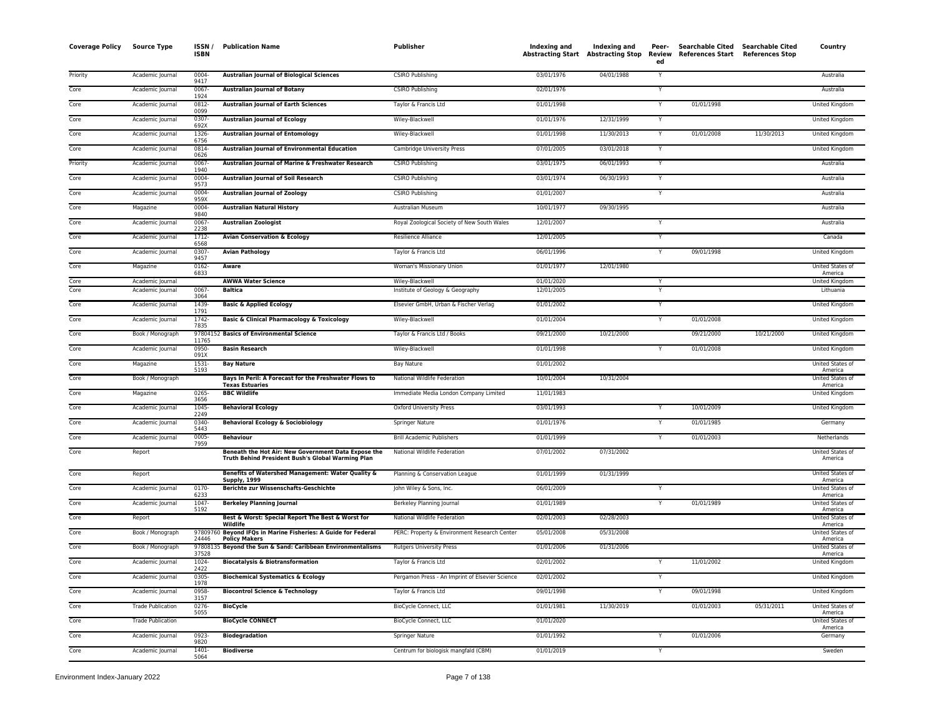| 03/01/1976<br>04/01/1988<br>0004<br><b>Australian Journal of Biological Sciences</b><br><b>CSIRO Publishing</b><br>Australia<br>Priority<br>Academic Journal<br>Y<br>9417<br>Academic Journal<br>0067<br><b>Australian Journal of Botany</b><br><b>CSIRO Publishing</b><br>02/01/1976<br>Australia<br>Core<br>Y<br>1924<br>0812<br><b>Australian Journal of Earth Sciences</b><br>Taylor & Francis Ltd<br>01/01/1998<br>Y<br>01/01/1998<br>United Kingdom<br>Core<br>Academic Journal<br>0099<br>0307<br>12/31/1999<br>Core<br><b>Australian Journal of Ecology</b><br>Wiley-Blackwell<br>01/01/1976<br>Academic Journal<br>Y<br>United Kingdom<br>692X<br>1326-<br><b>Australian Journal of Entomology</b><br>Wiley-Blackwell<br>01/01/1998<br>11/30/2013<br>01/01/2008<br>11/30/2013<br>United Kingdom<br>Core<br>Academic Journal<br>Y<br>6756<br>0814-<br>03/01/2018<br>Core<br><b>Australian Journal of Environmental Education</b><br>Cambridge University Press<br>07/01/2005<br>United Kingdom<br>Academic Journal<br>0626<br>0067<br>Australian Journal of Marine & Freshwater Research<br><b>CSIRO Publishing</b><br>03/01/1975<br>06/01/1993<br>Y<br>Priority<br>Academic Journal<br>Australia<br>1940<br>Core<br>Academic Journal<br>0004<br><b>Australian Journal of Soil Research</b><br><b>CSIRO Publishing</b><br>03/01/1974<br>06/30/1993<br>Y<br>Australia<br>9573<br>0004<br><b>Australian Journal of Zoology</b><br>CSIRO Publishing<br>01/01/2007<br>Core<br>Academic Journal<br>Y<br>Australia<br>959X<br>0004<br>10/01/1977<br>09/30/1995<br>Core<br>Magazine<br><b>Australian Natural History</b><br>Australian Museum<br>Australia<br>9840<br>0067<br>12/01/2007<br>Royal Zoological Society of New South Wales<br>Australia<br>Core<br>Academic Journal<br><b>Australian Zoologist</b><br>Y<br>2238<br>Core<br>1712-<br><b>Avian Conservation &amp; Ecology</b><br>12/01/2005<br>Canada<br>Academic Journal<br>Resilience Alliance<br>Y<br>6568<br>Core<br>0307<br><b>Avian Pathology</b><br>Taylor & Francis Ltd<br>06/01/1996<br>Y<br>09/01/1998<br>United Kingdom<br>Academic Journal<br>9457<br>01/01/1977<br>12/01/1980<br>Core<br>0162<br>Woman's Missionary Union<br>United States of<br>Magazine<br>Aware<br>6833<br>America<br>Academic Journal<br><b>AWWA Water Science</b><br>01/01/2020<br>United Kingdom<br>Core<br>Wiley-Blackwell<br>Y<br>0067<br>Core<br>Academic Journal<br><b>Baltica</b><br>Institute of Geology & Geography<br>12/01/2005<br>Lithuania<br>3064<br>Core<br>1439-<br>01/01/2002<br>Academic Journal<br><b>Basic &amp; Applied Ecology</b><br>Elsevier GmbH, Urban & Fischer Verlag<br>United Kingdom<br>1791<br>Core<br>1742-<br><b>Basic &amp; Clinical Pharmacology &amp; Toxicology</b><br>01/01/2004<br>01/01/2008<br>Wiley-Blackwell<br>Y<br>United Kingdom<br>Academic Journal<br>7835<br>97804152 Basics of Environmental Science<br>10/21/2000<br>10/21/2000<br>Core<br>Taylor & Francis Ltd / Books<br>09/21/2000<br>09/21/2000<br>Book / Monograph<br>United Kingdom<br>11765<br>0950-<br><b>Basin Research</b><br>Wiley-Blackwell<br>01/01/1998<br>01/01/2008<br>United Kingdom<br>Core<br>Academic Journal<br>Y<br>091X<br>Core<br>1531<br><b>Bay Nature</b><br><b>Bay Nature</b><br>01/01/2002<br>United States of<br>Magazine<br>5193<br>America<br>10/01/2004<br>10/31/2004<br>Core<br>Book / Monograph<br>Bays In Peril: A Forecast for the Freshwater Flows to<br>National Wildlife Federation<br>United States of<br><b>Texas Estuaries</b><br>America<br>$0265 -$<br><b>BBC Wildlife</b><br>11/01/1983<br>Core<br>Magazine<br>Immediate Media London Company Limited<br>United Kingdom<br>3656<br>Core<br>Academic Journal<br>1045-<br><b>Behavioral Ecology</b><br>Oxford University Press<br>03/01/1993<br>10/01/2009<br>United Kingdom<br>2249<br>01/01/1976<br>01/01/1985<br>Core<br>0340<br><b>Behavioral Ecology &amp; Sociobiology</b><br>Academic Journal<br>Springer Nature<br>Y<br>Germany<br>5443<br>0005<br><b>Behaviour</b><br>01/01/1999<br>01/01/2003<br>Netherlands<br>Core<br>Academic Journal<br><b>Brill Academic Publishers</b><br>Y<br>7959<br>Report<br>Beneath the Hot Air: New Government Data Expose the<br>National Wildlife Federation<br>07/01/2002<br>07/31/2002<br>United States of<br>Core<br>Truth Behind President Bush's Global Warming Plan<br>America<br>Benefits of Watershed Management: Water Quality &<br>01/01/1999<br>01/31/1999<br>United States of<br>Report<br>Planning & Conservation League<br>Core<br>Supply, 1999<br>America<br>0170<br>Core<br><b>Berichte zur Wissenschafts-Geschichte</b><br>06/01/2009<br>United States of<br>Academic Journal<br>John Wiley & Sons, Inc.<br>Y<br>6233<br>America<br>1047-<br><b>Berkeley Planning Journal</b><br>01/01/1989<br>01/01/1989<br>Core<br>Academic Journal<br>Berkeley Planning Journal<br>Y<br>United States of<br>5192<br>America<br>Core<br>Best & Worst: Special Report The Best & Worst for<br>02/01/2003<br>02/28/2003<br>Report<br>National Wildlife Federation<br>United States of<br>Wildlife<br>America<br>97809760 Beyond IFQs in Marine Fisheries: A Guide for Federal<br>05/01/2008<br>05/31/2008<br>United States of<br>Core<br>Book / Monograph<br>PERC: Property & Environment Research Center<br>24446<br><b>Policy Makers</b><br>America<br>97808135<br>Beyond the Sun & Sand: Caribbean Environmentalisms<br>01/31/2006<br>Core<br>Book / Monograph<br><b>Rutgers University Press</b><br>01/01/2006<br>United States of<br>37528<br>America<br>1024-<br><b>Biocatalysis &amp; Biotransformation</b><br>Taylor & Francis Ltd<br>02/01/2002<br>11/01/2002<br>United Kingdom<br>Core<br>Academic Journal<br>2422<br>Core<br>Academic Journal<br>0305-<br><b>Biochemical Systematics &amp; Ecology</b><br>02/01/2002<br>United Kingdom<br>Pergamon Press - An Imprint of Elsevier Science<br>1978<br>Core<br>Academic Journal<br>0958-<br>Taylor & Francis Ltd<br>09/01/1998<br>09/01/1998<br>United Kingdom<br><b>Biocontrol Science &amp; Technology</b><br>Y<br>3157<br>Core<br>$0276 -$<br><b>BioCycle</b><br>BioCycle Connect, LLC<br>01/01/1981<br>11/30/2019<br>01/01/2003<br>05/31/2011<br>United States of<br><b>Trade Publication</b><br>5055<br>America<br>Core<br><b>Trade Publication</b><br><b>BioCycle CONNECT</b><br><b>BioCycle Connect, LLC</b><br>01/01/2020<br>United States of<br>America<br>01/01/2006<br>Core<br>0923-<br><b>Biodegradation</b><br><b>Springer Nature</b><br>01/01/1992<br>Academic Journal<br>Y<br>Germany<br>9820<br>01/01/2019<br>Academic Journal<br>1401-<br><b>Biodiverse</b><br>Centrum for biologisk mangfald (CBM)<br>Sweden<br>Core<br>Υ | <b>Coverage Policy</b> | <b>Source Type</b> | ISSN /<br><b>ISBN</b> | <b>Publication Name</b> | <b>Publisher</b> | Indexing and<br><b>Abstracting Start Abstracting Stop</b> | Indexing and | Peer-<br>Review<br>ed | Searchable Cited Searchable Cited<br>References Start | <b>References Stop</b> | Country |
|-------------------------------------------------------------------------------------------------------------------------------------------------------------------------------------------------------------------------------------------------------------------------------------------------------------------------------------------------------------------------------------------------------------------------------------------------------------------------------------------------------------------------------------------------------------------------------------------------------------------------------------------------------------------------------------------------------------------------------------------------------------------------------------------------------------------------------------------------------------------------------------------------------------------------------------------------------------------------------------------------------------------------------------------------------------------------------------------------------------------------------------------------------------------------------------------------------------------------------------------------------------------------------------------------------------------------------------------------------------------------------------------------------------------------------------------------------------------------------------------------------------------------------------------------------------------------------------------------------------------------------------------------------------------------------------------------------------------------------------------------------------------------------------------------------------------------------------------------------------------------------------------------------------------------------------------------------------------------------------------------------------------------------------------------------------------------------------------------------------------------------------------------------------------------------------------------------------------------------------------------------------------------------------------------------------------------------------------------------------------------------------------------------------------------------------------------------------------------------------------------------------------------------------------------------------------------------------------------------------------------------------------------------------------------------------------------------------------------------------------------------------------------------------------------------------------------------------------------------------------------------------------------------------------------------------------------------------------------------------------------------------------------------------------------------------------------------------------------------------------------------------------------------------------------------------------------------------------------------------------------------------------------------------------------------------------------------------------------------------------------------------------------------------------------------------------------------------------------------------------------------------------------------------------------------------------------------------------------------------------------------------------------------------------------------------------------------------------------------------------------------------------------------------------------------------------------------------------------------------------------------------------------------------------------------------------------------------------------------------------------------------------------------------------------------------------------------------------------------------------------------------------------------------------------------------------------------------------------------------------------------------------------------------------------------------------------------------------------------------------------------------------------------------------------------------------------------------------------------------------------------------------------------------------------------------------------------------------------------------------------------------------------------------------------------------------------------------------------------------------------------------------------------------------------------------------------------------------------------------------------------------------------------------------------------------------------------------------------------------------------------------------------------------------------------------------------------------------------------------------------------------------------------------------------------------------------------------------------------------------------------------------------------------------------------------------------------------------------------------------------------------------------------------------------------------------------------------------------------------------------------------------------------------------------------------------------------------------------------------------------------------------------------------------------------------------------------------------------------------------------------------------------------------------------------------------------------------------------------------------------------------------------------------------------------------------------------------------------------------------------------------------------------------------------------------------------------------------------------------------------------------------------------------------------------------------------------------------------------------------------------------------------------------------------------------------------------------------------------------------------------------------------------------------------------------------------------------------------------------------------------------------------------------------------------------------------------------------------------------------------------------------------------------------------------------------|------------------------|--------------------|-----------------------|-------------------------|------------------|-----------------------------------------------------------|--------------|-----------------------|-------------------------------------------------------|------------------------|---------|
|                                                                                                                                                                                                                                                                                                                                                                                                                                                                                                                                                                                                                                                                                                                                                                                                                                                                                                                                                                                                                                                                                                                                                                                                                                                                                                                                                                                                                                                                                                                                                                                                                                                                                                                                                                                                                                                                                                                                                                                                                                                                                                                                                                                                                                                                                                                                                                                                                                                                                                                                                                                                                                                                                                                                                                                                                                                                                                                                                                                                                                                                                                                                                                                                                                                                                                                                                                                                                                                                                                                                                                                                                                                                                                                                                                                                                                                                                                                                                                                                                                                                                                                                                                                                                                                                                                                                                                                                                                                                                                                                                                                                                                                                                                                                                                                                                                                                                                                                                                                                                                                                                                                                                                                                                                                                                                                                                                                                                                                                                                                                                                                                                                                                                                                                                                                                                                                                                                                                                                                                                                                                                                                                                                                                                                                                                                                                                                                                                                                                                                                                                                                                                                                                                           |                        |                    |                       |                         |                  |                                                           |              |                       |                                                       |                        |         |
|                                                                                                                                                                                                                                                                                                                                                                                                                                                                                                                                                                                                                                                                                                                                                                                                                                                                                                                                                                                                                                                                                                                                                                                                                                                                                                                                                                                                                                                                                                                                                                                                                                                                                                                                                                                                                                                                                                                                                                                                                                                                                                                                                                                                                                                                                                                                                                                                                                                                                                                                                                                                                                                                                                                                                                                                                                                                                                                                                                                                                                                                                                                                                                                                                                                                                                                                                                                                                                                                                                                                                                                                                                                                                                                                                                                                                                                                                                                                                                                                                                                                                                                                                                                                                                                                                                                                                                                                                                                                                                                                                                                                                                                                                                                                                                                                                                                                                                                                                                                                                                                                                                                                                                                                                                                                                                                                                                                                                                                                                                                                                                                                                                                                                                                                                                                                                                                                                                                                                                                                                                                                                                                                                                                                                                                                                                                                                                                                                                                                                                                                                                                                                                                                                           |                        |                    |                       |                         |                  |                                                           |              |                       |                                                       |                        |         |
|                                                                                                                                                                                                                                                                                                                                                                                                                                                                                                                                                                                                                                                                                                                                                                                                                                                                                                                                                                                                                                                                                                                                                                                                                                                                                                                                                                                                                                                                                                                                                                                                                                                                                                                                                                                                                                                                                                                                                                                                                                                                                                                                                                                                                                                                                                                                                                                                                                                                                                                                                                                                                                                                                                                                                                                                                                                                                                                                                                                                                                                                                                                                                                                                                                                                                                                                                                                                                                                                                                                                                                                                                                                                                                                                                                                                                                                                                                                                                                                                                                                                                                                                                                                                                                                                                                                                                                                                                                                                                                                                                                                                                                                                                                                                                                                                                                                                                                                                                                                                                                                                                                                                                                                                                                                                                                                                                                                                                                                                                                                                                                                                                                                                                                                                                                                                                                                                                                                                                                                                                                                                                                                                                                                                                                                                                                                                                                                                                                                                                                                                                                                                                                                                                           |                        |                    |                       |                         |                  |                                                           |              |                       |                                                       |                        |         |
|                                                                                                                                                                                                                                                                                                                                                                                                                                                                                                                                                                                                                                                                                                                                                                                                                                                                                                                                                                                                                                                                                                                                                                                                                                                                                                                                                                                                                                                                                                                                                                                                                                                                                                                                                                                                                                                                                                                                                                                                                                                                                                                                                                                                                                                                                                                                                                                                                                                                                                                                                                                                                                                                                                                                                                                                                                                                                                                                                                                                                                                                                                                                                                                                                                                                                                                                                                                                                                                                                                                                                                                                                                                                                                                                                                                                                                                                                                                                                                                                                                                                                                                                                                                                                                                                                                                                                                                                                                                                                                                                                                                                                                                                                                                                                                                                                                                                                                                                                                                                                                                                                                                                                                                                                                                                                                                                                                                                                                                                                                                                                                                                                                                                                                                                                                                                                                                                                                                                                                                                                                                                                                                                                                                                                                                                                                                                                                                                                                                                                                                                                                                                                                                                                           |                        |                    |                       |                         |                  |                                                           |              |                       |                                                       |                        |         |
|                                                                                                                                                                                                                                                                                                                                                                                                                                                                                                                                                                                                                                                                                                                                                                                                                                                                                                                                                                                                                                                                                                                                                                                                                                                                                                                                                                                                                                                                                                                                                                                                                                                                                                                                                                                                                                                                                                                                                                                                                                                                                                                                                                                                                                                                                                                                                                                                                                                                                                                                                                                                                                                                                                                                                                                                                                                                                                                                                                                                                                                                                                                                                                                                                                                                                                                                                                                                                                                                                                                                                                                                                                                                                                                                                                                                                                                                                                                                                                                                                                                                                                                                                                                                                                                                                                                                                                                                                                                                                                                                                                                                                                                                                                                                                                                                                                                                                                                                                                                                                                                                                                                                                                                                                                                                                                                                                                                                                                                                                                                                                                                                                                                                                                                                                                                                                                                                                                                                                                                                                                                                                                                                                                                                                                                                                                                                                                                                                                                                                                                                                                                                                                                                                           |                        |                    |                       |                         |                  |                                                           |              |                       |                                                       |                        |         |
|                                                                                                                                                                                                                                                                                                                                                                                                                                                                                                                                                                                                                                                                                                                                                                                                                                                                                                                                                                                                                                                                                                                                                                                                                                                                                                                                                                                                                                                                                                                                                                                                                                                                                                                                                                                                                                                                                                                                                                                                                                                                                                                                                                                                                                                                                                                                                                                                                                                                                                                                                                                                                                                                                                                                                                                                                                                                                                                                                                                                                                                                                                                                                                                                                                                                                                                                                                                                                                                                                                                                                                                                                                                                                                                                                                                                                                                                                                                                                                                                                                                                                                                                                                                                                                                                                                                                                                                                                                                                                                                                                                                                                                                                                                                                                                                                                                                                                                                                                                                                                                                                                                                                                                                                                                                                                                                                                                                                                                                                                                                                                                                                                                                                                                                                                                                                                                                                                                                                                                                                                                                                                                                                                                                                                                                                                                                                                                                                                                                                                                                                                                                                                                                                                           |                        |                    |                       |                         |                  |                                                           |              |                       |                                                       |                        |         |
|                                                                                                                                                                                                                                                                                                                                                                                                                                                                                                                                                                                                                                                                                                                                                                                                                                                                                                                                                                                                                                                                                                                                                                                                                                                                                                                                                                                                                                                                                                                                                                                                                                                                                                                                                                                                                                                                                                                                                                                                                                                                                                                                                                                                                                                                                                                                                                                                                                                                                                                                                                                                                                                                                                                                                                                                                                                                                                                                                                                                                                                                                                                                                                                                                                                                                                                                                                                                                                                                                                                                                                                                                                                                                                                                                                                                                                                                                                                                                                                                                                                                                                                                                                                                                                                                                                                                                                                                                                                                                                                                                                                                                                                                                                                                                                                                                                                                                                                                                                                                                                                                                                                                                                                                                                                                                                                                                                                                                                                                                                                                                                                                                                                                                                                                                                                                                                                                                                                                                                                                                                                                                                                                                                                                                                                                                                                                                                                                                                                                                                                                                                                                                                                                                           |                        |                    |                       |                         |                  |                                                           |              |                       |                                                       |                        |         |
|                                                                                                                                                                                                                                                                                                                                                                                                                                                                                                                                                                                                                                                                                                                                                                                                                                                                                                                                                                                                                                                                                                                                                                                                                                                                                                                                                                                                                                                                                                                                                                                                                                                                                                                                                                                                                                                                                                                                                                                                                                                                                                                                                                                                                                                                                                                                                                                                                                                                                                                                                                                                                                                                                                                                                                                                                                                                                                                                                                                                                                                                                                                                                                                                                                                                                                                                                                                                                                                                                                                                                                                                                                                                                                                                                                                                                                                                                                                                                                                                                                                                                                                                                                                                                                                                                                                                                                                                                                                                                                                                                                                                                                                                                                                                                                                                                                                                                                                                                                                                                                                                                                                                                                                                                                                                                                                                                                                                                                                                                                                                                                                                                                                                                                                                                                                                                                                                                                                                                                                                                                                                                                                                                                                                                                                                                                                                                                                                                                                                                                                                                                                                                                                                                           |                        |                    |                       |                         |                  |                                                           |              |                       |                                                       |                        |         |
|                                                                                                                                                                                                                                                                                                                                                                                                                                                                                                                                                                                                                                                                                                                                                                                                                                                                                                                                                                                                                                                                                                                                                                                                                                                                                                                                                                                                                                                                                                                                                                                                                                                                                                                                                                                                                                                                                                                                                                                                                                                                                                                                                                                                                                                                                                                                                                                                                                                                                                                                                                                                                                                                                                                                                                                                                                                                                                                                                                                                                                                                                                                                                                                                                                                                                                                                                                                                                                                                                                                                                                                                                                                                                                                                                                                                                                                                                                                                                                                                                                                                                                                                                                                                                                                                                                                                                                                                                                                                                                                                                                                                                                                                                                                                                                                                                                                                                                                                                                                                                                                                                                                                                                                                                                                                                                                                                                                                                                                                                                                                                                                                                                                                                                                                                                                                                                                                                                                                                                                                                                                                                                                                                                                                                                                                                                                                                                                                                                                                                                                                                                                                                                                                                           |                        |                    |                       |                         |                  |                                                           |              |                       |                                                       |                        |         |
|                                                                                                                                                                                                                                                                                                                                                                                                                                                                                                                                                                                                                                                                                                                                                                                                                                                                                                                                                                                                                                                                                                                                                                                                                                                                                                                                                                                                                                                                                                                                                                                                                                                                                                                                                                                                                                                                                                                                                                                                                                                                                                                                                                                                                                                                                                                                                                                                                                                                                                                                                                                                                                                                                                                                                                                                                                                                                                                                                                                                                                                                                                                                                                                                                                                                                                                                                                                                                                                                                                                                                                                                                                                                                                                                                                                                                                                                                                                                                                                                                                                                                                                                                                                                                                                                                                                                                                                                                                                                                                                                                                                                                                                                                                                                                                                                                                                                                                                                                                                                                                                                                                                                                                                                                                                                                                                                                                                                                                                                                                                                                                                                                                                                                                                                                                                                                                                                                                                                                                                                                                                                                                                                                                                                                                                                                                                                                                                                                                                                                                                                                                                                                                                                                           |                        |                    |                       |                         |                  |                                                           |              |                       |                                                       |                        |         |
|                                                                                                                                                                                                                                                                                                                                                                                                                                                                                                                                                                                                                                                                                                                                                                                                                                                                                                                                                                                                                                                                                                                                                                                                                                                                                                                                                                                                                                                                                                                                                                                                                                                                                                                                                                                                                                                                                                                                                                                                                                                                                                                                                                                                                                                                                                                                                                                                                                                                                                                                                                                                                                                                                                                                                                                                                                                                                                                                                                                                                                                                                                                                                                                                                                                                                                                                                                                                                                                                                                                                                                                                                                                                                                                                                                                                                                                                                                                                                                                                                                                                                                                                                                                                                                                                                                                                                                                                                                                                                                                                                                                                                                                                                                                                                                                                                                                                                                                                                                                                                                                                                                                                                                                                                                                                                                                                                                                                                                                                                                                                                                                                                                                                                                                                                                                                                                                                                                                                                                                                                                                                                                                                                                                                                                                                                                                                                                                                                                                                                                                                                                                                                                                                                           |                        |                    |                       |                         |                  |                                                           |              |                       |                                                       |                        |         |
|                                                                                                                                                                                                                                                                                                                                                                                                                                                                                                                                                                                                                                                                                                                                                                                                                                                                                                                                                                                                                                                                                                                                                                                                                                                                                                                                                                                                                                                                                                                                                                                                                                                                                                                                                                                                                                                                                                                                                                                                                                                                                                                                                                                                                                                                                                                                                                                                                                                                                                                                                                                                                                                                                                                                                                                                                                                                                                                                                                                                                                                                                                                                                                                                                                                                                                                                                                                                                                                                                                                                                                                                                                                                                                                                                                                                                                                                                                                                                                                                                                                                                                                                                                                                                                                                                                                                                                                                                                                                                                                                                                                                                                                                                                                                                                                                                                                                                                                                                                                                                                                                                                                                                                                                                                                                                                                                                                                                                                                                                                                                                                                                                                                                                                                                                                                                                                                                                                                                                                                                                                                                                                                                                                                                                                                                                                                                                                                                                                                                                                                                                                                                                                                                                           |                        |                    |                       |                         |                  |                                                           |              |                       |                                                       |                        |         |
|                                                                                                                                                                                                                                                                                                                                                                                                                                                                                                                                                                                                                                                                                                                                                                                                                                                                                                                                                                                                                                                                                                                                                                                                                                                                                                                                                                                                                                                                                                                                                                                                                                                                                                                                                                                                                                                                                                                                                                                                                                                                                                                                                                                                                                                                                                                                                                                                                                                                                                                                                                                                                                                                                                                                                                                                                                                                                                                                                                                                                                                                                                                                                                                                                                                                                                                                                                                                                                                                                                                                                                                                                                                                                                                                                                                                                                                                                                                                                                                                                                                                                                                                                                                                                                                                                                                                                                                                                                                                                                                                                                                                                                                                                                                                                                                                                                                                                                                                                                                                                                                                                                                                                                                                                                                                                                                                                                                                                                                                                                                                                                                                                                                                                                                                                                                                                                                                                                                                                                                                                                                                                                                                                                                                                                                                                                                                                                                                                                                                                                                                                                                                                                                                                           |                        |                    |                       |                         |                  |                                                           |              |                       |                                                       |                        |         |
|                                                                                                                                                                                                                                                                                                                                                                                                                                                                                                                                                                                                                                                                                                                                                                                                                                                                                                                                                                                                                                                                                                                                                                                                                                                                                                                                                                                                                                                                                                                                                                                                                                                                                                                                                                                                                                                                                                                                                                                                                                                                                                                                                                                                                                                                                                                                                                                                                                                                                                                                                                                                                                                                                                                                                                                                                                                                                                                                                                                                                                                                                                                                                                                                                                                                                                                                                                                                                                                                                                                                                                                                                                                                                                                                                                                                                                                                                                                                                                                                                                                                                                                                                                                                                                                                                                                                                                                                                                                                                                                                                                                                                                                                                                                                                                                                                                                                                                                                                                                                                                                                                                                                                                                                                                                                                                                                                                                                                                                                                                                                                                                                                                                                                                                                                                                                                                                                                                                                                                                                                                                                                                                                                                                                                                                                                                                                                                                                                                                                                                                                                                                                                                                                                           |                        |                    |                       |                         |                  |                                                           |              |                       |                                                       |                        |         |
|                                                                                                                                                                                                                                                                                                                                                                                                                                                                                                                                                                                                                                                                                                                                                                                                                                                                                                                                                                                                                                                                                                                                                                                                                                                                                                                                                                                                                                                                                                                                                                                                                                                                                                                                                                                                                                                                                                                                                                                                                                                                                                                                                                                                                                                                                                                                                                                                                                                                                                                                                                                                                                                                                                                                                                                                                                                                                                                                                                                                                                                                                                                                                                                                                                                                                                                                                                                                                                                                                                                                                                                                                                                                                                                                                                                                                                                                                                                                                                                                                                                                                                                                                                                                                                                                                                                                                                                                                                                                                                                                                                                                                                                                                                                                                                                                                                                                                                                                                                                                                                                                                                                                                                                                                                                                                                                                                                                                                                                                                                                                                                                                                                                                                                                                                                                                                                                                                                                                                                                                                                                                                                                                                                                                                                                                                                                                                                                                                                                                                                                                                                                                                                                                                           |                        |                    |                       |                         |                  |                                                           |              |                       |                                                       |                        |         |
|                                                                                                                                                                                                                                                                                                                                                                                                                                                                                                                                                                                                                                                                                                                                                                                                                                                                                                                                                                                                                                                                                                                                                                                                                                                                                                                                                                                                                                                                                                                                                                                                                                                                                                                                                                                                                                                                                                                                                                                                                                                                                                                                                                                                                                                                                                                                                                                                                                                                                                                                                                                                                                                                                                                                                                                                                                                                                                                                                                                                                                                                                                                                                                                                                                                                                                                                                                                                                                                                                                                                                                                                                                                                                                                                                                                                                                                                                                                                                                                                                                                                                                                                                                                                                                                                                                                                                                                                                                                                                                                                                                                                                                                                                                                                                                                                                                                                                                                                                                                                                                                                                                                                                                                                                                                                                                                                                                                                                                                                                                                                                                                                                                                                                                                                                                                                                                                                                                                                                                                                                                                                                                                                                                                                                                                                                                                                                                                                                                                                                                                                                                                                                                                                                           |                        |                    |                       |                         |                  |                                                           |              |                       |                                                       |                        |         |
|                                                                                                                                                                                                                                                                                                                                                                                                                                                                                                                                                                                                                                                                                                                                                                                                                                                                                                                                                                                                                                                                                                                                                                                                                                                                                                                                                                                                                                                                                                                                                                                                                                                                                                                                                                                                                                                                                                                                                                                                                                                                                                                                                                                                                                                                                                                                                                                                                                                                                                                                                                                                                                                                                                                                                                                                                                                                                                                                                                                                                                                                                                                                                                                                                                                                                                                                                                                                                                                                                                                                                                                                                                                                                                                                                                                                                                                                                                                                                                                                                                                                                                                                                                                                                                                                                                                                                                                                                                                                                                                                                                                                                                                                                                                                                                                                                                                                                                                                                                                                                                                                                                                                                                                                                                                                                                                                                                                                                                                                                                                                                                                                                                                                                                                                                                                                                                                                                                                                                                                                                                                                                                                                                                                                                                                                                                                                                                                                                                                                                                                                                                                                                                                                                           |                        |                    |                       |                         |                  |                                                           |              |                       |                                                       |                        |         |
|                                                                                                                                                                                                                                                                                                                                                                                                                                                                                                                                                                                                                                                                                                                                                                                                                                                                                                                                                                                                                                                                                                                                                                                                                                                                                                                                                                                                                                                                                                                                                                                                                                                                                                                                                                                                                                                                                                                                                                                                                                                                                                                                                                                                                                                                                                                                                                                                                                                                                                                                                                                                                                                                                                                                                                                                                                                                                                                                                                                                                                                                                                                                                                                                                                                                                                                                                                                                                                                                                                                                                                                                                                                                                                                                                                                                                                                                                                                                                                                                                                                                                                                                                                                                                                                                                                                                                                                                                                                                                                                                                                                                                                                                                                                                                                                                                                                                                                                                                                                                                                                                                                                                                                                                                                                                                                                                                                                                                                                                                                                                                                                                                                                                                                                                                                                                                                                                                                                                                                                                                                                                                                                                                                                                                                                                                                                                                                                                                                                                                                                                                                                                                                                                                           |                        |                    |                       |                         |                  |                                                           |              |                       |                                                       |                        |         |
|                                                                                                                                                                                                                                                                                                                                                                                                                                                                                                                                                                                                                                                                                                                                                                                                                                                                                                                                                                                                                                                                                                                                                                                                                                                                                                                                                                                                                                                                                                                                                                                                                                                                                                                                                                                                                                                                                                                                                                                                                                                                                                                                                                                                                                                                                                                                                                                                                                                                                                                                                                                                                                                                                                                                                                                                                                                                                                                                                                                                                                                                                                                                                                                                                                                                                                                                                                                                                                                                                                                                                                                                                                                                                                                                                                                                                                                                                                                                                                                                                                                                                                                                                                                                                                                                                                                                                                                                                                                                                                                                                                                                                                                                                                                                                                                                                                                                                                                                                                                                                                                                                                                                                                                                                                                                                                                                                                                                                                                                                                                                                                                                                                                                                                                                                                                                                                                                                                                                                                                                                                                                                                                                                                                                                                                                                                                                                                                                                                                                                                                                                                                                                                                                                           |                        |                    |                       |                         |                  |                                                           |              |                       |                                                       |                        |         |
|                                                                                                                                                                                                                                                                                                                                                                                                                                                                                                                                                                                                                                                                                                                                                                                                                                                                                                                                                                                                                                                                                                                                                                                                                                                                                                                                                                                                                                                                                                                                                                                                                                                                                                                                                                                                                                                                                                                                                                                                                                                                                                                                                                                                                                                                                                                                                                                                                                                                                                                                                                                                                                                                                                                                                                                                                                                                                                                                                                                                                                                                                                                                                                                                                                                                                                                                                                                                                                                                                                                                                                                                                                                                                                                                                                                                                                                                                                                                                                                                                                                                                                                                                                                                                                                                                                                                                                                                                                                                                                                                                                                                                                                                                                                                                                                                                                                                                                                                                                                                                                                                                                                                                                                                                                                                                                                                                                                                                                                                                                                                                                                                                                                                                                                                                                                                                                                                                                                                                                                                                                                                                                                                                                                                                                                                                                                                                                                                                                                                                                                                                                                                                                                                                           |                        |                    |                       |                         |                  |                                                           |              |                       |                                                       |                        |         |
|                                                                                                                                                                                                                                                                                                                                                                                                                                                                                                                                                                                                                                                                                                                                                                                                                                                                                                                                                                                                                                                                                                                                                                                                                                                                                                                                                                                                                                                                                                                                                                                                                                                                                                                                                                                                                                                                                                                                                                                                                                                                                                                                                                                                                                                                                                                                                                                                                                                                                                                                                                                                                                                                                                                                                                                                                                                                                                                                                                                                                                                                                                                                                                                                                                                                                                                                                                                                                                                                                                                                                                                                                                                                                                                                                                                                                                                                                                                                                                                                                                                                                                                                                                                                                                                                                                                                                                                                                                                                                                                                                                                                                                                                                                                                                                                                                                                                                                                                                                                                                                                                                                                                                                                                                                                                                                                                                                                                                                                                                                                                                                                                                                                                                                                                                                                                                                                                                                                                                                                                                                                                                                                                                                                                                                                                                                                                                                                                                                                                                                                                                                                                                                                                                           |                        |                    |                       |                         |                  |                                                           |              |                       |                                                       |                        |         |
|                                                                                                                                                                                                                                                                                                                                                                                                                                                                                                                                                                                                                                                                                                                                                                                                                                                                                                                                                                                                                                                                                                                                                                                                                                                                                                                                                                                                                                                                                                                                                                                                                                                                                                                                                                                                                                                                                                                                                                                                                                                                                                                                                                                                                                                                                                                                                                                                                                                                                                                                                                                                                                                                                                                                                                                                                                                                                                                                                                                                                                                                                                                                                                                                                                                                                                                                                                                                                                                                                                                                                                                                                                                                                                                                                                                                                                                                                                                                                                                                                                                                                                                                                                                                                                                                                                                                                                                                                                                                                                                                                                                                                                                                                                                                                                                                                                                                                                                                                                                                                                                                                                                                                                                                                                                                                                                                                                                                                                                                                                                                                                                                                                                                                                                                                                                                                                                                                                                                                                                                                                                                                                                                                                                                                                                                                                                                                                                                                                                                                                                                                                                                                                                                                           |                        |                    |                       |                         |                  |                                                           |              |                       |                                                       |                        |         |
|                                                                                                                                                                                                                                                                                                                                                                                                                                                                                                                                                                                                                                                                                                                                                                                                                                                                                                                                                                                                                                                                                                                                                                                                                                                                                                                                                                                                                                                                                                                                                                                                                                                                                                                                                                                                                                                                                                                                                                                                                                                                                                                                                                                                                                                                                                                                                                                                                                                                                                                                                                                                                                                                                                                                                                                                                                                                                                                                                                                                                                                                                                                                                                                                                                                                                                                                                                                                                                                                                                                                                                                                                                                                                                                                                                                                                                                                                                                                                                                                                                                                                                                                                                                                                                                                                                                                                                                                                                                                                                                                                                                                                                                                                                                                                                                                                                                                                                                                                                                                                                                                                                                                                                                                                                                                                                                                                                                                                                                                                                                                                                                                                                                                                                                                                                                                                                                                                                                                                                                                                                                                                                                                                                                                                                                                                                                                                                                                                                                                                                                                                                                                                                                                                           |                        |                    |                       |                         |                  |                                                           |              |                       |                                                       |                        |         |
|                                                                                                                                                                                                                                                                                                                                                                                                                                                                                                                                                                                                                                                                                                                                                                                                                                                                                                                                                                                                                                                                                                                                                                                                                                                                                                                                                                                                                                                                                                                                                                                                                                                                                                                                                                                                                                                                                                                                                                                                                                                                                                                                                                                                                                                                                                                                                                                                                                                                                                                                                                                                                                                                                                                                                                                                                                                                                                                                                                                                                                                                                                                                                                                                                                                                                                                                                                                                                                                                                                                                                                                                                                                                                                                                                                                                                                                                                                                                                                                                                                                                                                                                                                                                                                                                                                                                                                                                                                                                                                                                                                                                                                                                                                                                                                                                                                                                                                                                                                                                                                                                                                                                                                                                                                                                                                                                                                                                                                                                                                                                                                                                                                                                                                                                                                                                                                                                                                                                                                                                                                                                                                                                                                                                                                                                                                                                                                                                                                                                                                                                                                                                                                                                                           |                        |                    |                       |                         |                  |                                                           |              |                       |                                                       |                        |         |
|                                                                                                                                                                                                                                                                                                                                                                                                                                                                                                                                                                                                                                                                                                                                                                                                                                                                                                                                                                                                                                                                                                                                                                                                                                                                                                                                                                                                                                                                                                                                                                                                                                                                                                                                                                                                                                                                                                                                                                                                                                                                                                                                                                                                                                                                                                                                                                                                                                                                                                                                                                                                                                                                                                                                                                                                                                                                                                                                                                                                                                                                                                                                                                                                                                                                                                                                                                                                                                                                                                                                                                                                                                                                                                                                                                                                                                                                                                                                                                                                                                                                                                                                                                                                                                                                                                                                                                                                                                                                                                                                                                                                                                                                                                                                                                                                                                                                                                                                                                                                                                                                                                                                                                                                                                                                                                                                                                                                                                                                                                                                                                                                                                                                                                                                                                                                                                                                                                                                                                                                                                                                                                                                                                                                                                                                                                                                                                                                                                                                                                                                                                                                                                                                                           |                        |                    |                       |                         |                  |                                                           |              |                       |                                                       |                        |         |
|                                                                                                                                                                                                                                                                                                                                                                                                                                                                                                                                                                                                                                                                                                                                                                                                                                                                                                                                                                                                                                                                                                                                                                                                                                                                                                                                                                                                                                                                                                                                                                                                                                                                                                                                                                                                                                                                                                                                                                                                                                                                                                                                                                                                                                                                                                                                                                                                                                                                                                                                                                                                                                                                                                                                                                                                                                                                                                                                                                                                                                                                                                                                                                                                                                                                                                                                                                                                                                                                                                                                                                                                                                                                                                                                                                                                                                                                                                                                                                                                                                                                                                                                                                                                                                                                                                                                                                                                                                                                                                                                                                                                                                                                                                                                                                                                                                                                                                                                                                                                                                                                                                                                                                                                                                                                                                                                                                                                                                                                                                                                                                                                                                                                                                                                                                                                                                                                                                                                                                                                                                                                                                                                                                                                                                                                                                                                                                                                                                                                                                                                                                                                                                                                                           |                        |                    |                       |                         |                  |                                                           |              |                       |                                                       |                        |         |
|                                                                                                                                                                                                                                                                                                                                                                                                                                                                                                                                                                                                                                                                                                                                                                                                                                                                                                                                                                                                                                                                                                                                                                                                                                                                                                                                                                                                                                                                                                                                                                                                                                                                                                                                                                                                                                                                                                                                                                                                                                                                                                                                                                                                                                                                                                                                                                                                                                                                                                                                                                                                                                                                                                                                                                                                                                                                                                                                                                                                                                                                                                                                                                                                                                                                                                                                                                                                                                                                                                                                                                                                                                                                                                                                                                                                                                                                                                                                                                                                                                                                                                                                                                                                                                                                                                                                                                                                                                                                                                                                                                                                                                                                                                                                                                                                                                                                                                                                                                                                                                                                                                                                                                                                                                                                                                                                                                                                                                                                                                                                                                                                                                                                                                                                                                                                                                                                                                                                                                                                                                                                                                                                                                                                                                                                                                                                                                                                                                                                                                                                                                                                                                                                                           |                        |                    |                       |                         |                  |                                                           |              |                       |                                                       |                        |         |
|                                                                                                                                                                                                                                                                                                                                                                                                                                                                                                                                                                                                                                                                                                                                                                                                                                                                                                                                                                                                                                                                                                                                                                                                                                                                                                                                                                                                                                                                                                                                                                                                                                                                                                                                                                                                                                                                                                                                                                                                                                                                                                                                                                                                                                                                                                                                                                                                                                                                                                                                                                                                                                                                                                                                                                                                                                                                                                                                                                                                                                                                                                                                                                                                                                                                                                                                                                                                                                                                                                                                                                                                                                                                                                                                                                                                                                                                                                                                                                                                                                                                                                                                                                                                                                                                                                                                                                                                                                                                                                                                                                                                                                                                                                                                                                                                                                                                                                                                                                                                                                                                                                                                                                                                                                                                                                                                                                                                                                                                                                                                                                                                                                                                                                                                                                                                                                                                                                                                                                                                                                                                                                                                                                                                                                                                                                                                                                                                                                                                                                                                                                                                                                                                                           |                        |                    |                       |                         |                  |                                                           |              |                       |                                                       |                        |         |
|                                                                                                                                                                                                                                                                                                                                                                                                                                                                                                                                                                                                                                                                                                                                                                                                                                                                                                                                                                                                                                                                                                                                                                                                                                                                                                                                                                                                                                                                                                                                                                                                                                                                                                                                                                                                                                                                                                                                                                                                                                                                                                                                                                                                                                                                                                                                                                                                                                                                                                                                                                                                                                                                                                                                                                                                                                                                                                                                                                                                                                                                                                                                                                                                                                                                                                                                                                                                                                                                                                                                                                                                                                                                                                                                                                                                                                                                                                                                                                                                                                                                                                                                                                                                                                                                                                                                                                                                                                                                                                                                                                                                                                                                                                                                                                                                                                                                                                                                                                                                                                                                                                                                                                                                                                                                                                                                                                                                                                                                                                                                                                                                                                                                                                                                                                                                                                                                                                                                                                                                                                                                                                                                                                                                                                                                                                                                                                                                                                                                                                                                                                                                                                                                                           |                        |                    |                       |                         |                  |                                                           |              |                       |                                                       |                        |         |
|                                                                                                                                                                                                                                                                                                                                                                                                                                                                                                                                                                                                                                                                                                                                                                                                                                                                                                                                                                                                                                                                                                                                                                                                                                                                                                                                                                                                                                                                                                                                                                                                                                                                                                                                                                                                                                                                                                                                                                                                                                                                                                                                                                                                                                                                                                                                                                                                                                                                                                                                                                                                                                                                                                                                                                                                                                                                                                                                                                                                                                                                                                                                                                                                                                                                                                                                                                                                                                                                                                                                                                                                                                                                                                                                                                                                                                                                                                                                                                                                                                                                                                                                                                                                                                                                                                                                                                                                                                                                                                                                                                                                                                                                                                                                                                                                                                                                                                                                                                                                                                                                                                                                                                                                                                                                                                                                                                                                                                                                                                                                                                                                                                                                                                                                                                                                                                                                                                                                                                                                                                                                                                                                                                                                                                                                                                                                                                                                                                                                                                                                                                                                                                                                                           |                        |                    |                       |                         |                  |                                                           |              |                       |                                                       |                        |         |
|                                                                                                                                                                                                                                                                                                                                                                                                                                                                                                                                                                                                                                                                                                                                                                                                                                                                                                                                                                                                                                                                                                                                                                                                                                                                                                                                                                                                                                                                                                                                                                                                                                                                                                                                                                                                                                                                                                                                                                                                                                                                                                                                                                                                                                                                                                                                                                                                                                                                                                                                                                                                                                                                                                                                                                                                                                                                                                                                                                                                                                                                                                                                                                                                                                                                                                                                                                                                                                                                                                                                                                                                                                                                                                                                                                                                                                                                                                                                                                                                                                                                                                                                                                                                                                                                                                                                                                                                                                                                                                                                                                                                                                                                                                                                                                                                                                                                                                                                                                                                                                                                                                                                                                                                                                                                                                                                                                                                                                                                                                                                                                                                                                                                                                                                                                                                                                                                                                                                                                                                                                                                                                                                                                                                                                                                                                                                                                                                                                                                                                                                                                                                                                                                                           |                        |                    |                       |                         |                  |                                                           |              |                       |                                                       |                        |         |
|                                                                                                                                                                                                                                                                                                                                                                                                                                                                                                                                                                                                                                                                                                                                                                                                                                                                                                                                                                                                                                                                                                                                                                                                                                                                                                                                                                                                                                                                                                                                                                                                                                                                                                                                                                                                                                                                                                                                                                                                                                                                                                                                                                                                                                                                                                                                                                                                                                                                                                                                                                                                                                                                                                                                                                                                                                                                                                                                                                                                                                                                                                                                                                                                                                                                                                                                                                                                                                                                                                                                                                                                                                                                                                                                                                                                                                                                                                                                                                                                                                                                                                                                                                                                                                                                                                                                                                                                                                                                                                                                                                                                                                                                                                                                                                                                                                                                                                                                                                                                                                                                                                                                                                                                                                                                                                                                                                                                                                                                                                                                                                                                                                                                                                                                                                                                                                                                                                                                                                                                                                                                                                                                                                                                                                                                                                                                                                                                                                                                                                                                                                                                                                                                                           |                        |                    |                       |                         |                  |                                                           |              |                       |                                                       |                        |         |
|                                                                                                                                                                                                                                                                                                                                                                                                                                                                                                                                                                                                                                                                                                                                                                                                                                                                                                                                                                                                                                                                                                                                                                                                                                                                                                                                                                                                                                                                                                                                                                                                                                                                                                                                                                                                                                                                                                                                                                                                                                                                                                                                                                                                                                                                                                                                                                                                                                                                                                                                                                                                                                                                                                                                                                                                                                                                                                                                                                                                                                                                                                                                                                                                                                                                                                                                                                                                                                                                                                                                                                                                                                                                                                                                                                                                                                                                                                                                                                                                                                                                                                                                                                                                                                                                                                                                                                                                                                                                                                                                                                                                                                                                                                                                                                                                                                                                                                                                                                                                                                                                                                                                                                                                                                                                                                                                                                                                                                                                                                                                                                                                                                                                                                                                                                                                                                                                                                                                                                                                                                                                                                                                                                                                                                                                                                                                                                                                                                                                                                                                                                                                                                                                                           |                        |                    |                       |                         |                  |                                                           |              |                       |                                                       |                        |         |
|                                                                                                                                                                                                                                                                                                                                                                                                                                                                                                                                                                                                                                                                                                                                                                                                                                                                                                                                                                                                                                                                                                                                                                                                                                                                                                                                                                                                                                                                                                                                                                                                                                                                                                                                                                                                                                                                                                                                                                                                                                                                                                                                                                                                                                                                                                                                                                                                                                                                                                                                                                                                                                                                                                                                                                                                                                                                                                                                                                                                                                                                                                                                                                                                                                                                                                                                                                                                                                                                                                                                                                                                                                                                                                                                                                                                                                                                                                                                                                                                                                                                                                                                                                                                                                                                                                                                                                                                                                                                                                                                                                                                                                                                                                                                                                                                                                                                                                                                                                                                                                                                                                                                                                                                                                                                                                                                                                                                                                                                                                                                                                                                                                                                                                                                                                                                                                                                                                                                                                                                                                                                                                                                                                                                                                                                                                                                                                                                                                                                                                                                                                                                                                                                                           |                        |                    |                       |                         |                  |                                                           |              |                       |                                                       |                        |         |
|                                                                                                                                                                                                                                                                                                                                                                                                                                                                                                                                                                                                                                                                                                                                                                                                                                                                                                                                                                                                                                                                                                                                                                                                                                                                                                                                                                                                                                                                                                                                                                                                                                                                                                                                                                                                                                                                                                                                                                                                                                                                                                                                                                                                                                                                                                                                                                                                                                                                                                                                                                                                                                                                                                                                                                                                                                                                                                                                                                                                                                                                                                                                                                                                                                                                                                                                                                                                                                                                                                                                                                                                                                                                                                                                                                                                                                                                                                                                                                                                                                                                                                                                                                                                                                                                                                                                                                                                                                                                                                                                                                                                                                                                                                                                                                                                                                                                                                                                                                                                                                                                                                                                                                                                                                                                                                                                                                                                                                                                                                                                                                                                                                                                                                                                                                                                                                                                                                                                                                                                                                                                                                                                                                                                                                                                                                                                                                                                                                                                                                                                                                                                                                                                                           |                        |                    |                       |                         |                  |                                                           |              |                       |                                                       |                        |         |
|                                                                                                                                                                                                                                                                                                                                                                                                                                                                                                                                                                                                                                                                                                                                                                                                                                                                                                                                                                                                                                                                                                                                                                                                                                                                                                                                                                                                                                                                                                                                                                                                                                                                                                                                                                                                                                                                                                                                                                                                                                                                                                                                                                                                                                                                                                                                                                                                                                                                                                                                                                                                                                                                                                                                                                                                                                                                                                                                                                                                                                                                                                                                                                                                                                                                                                                                                                                                                                                                                                                                                                                                                                                                                                                                                                                                                                                                                                                                                                                                                                                                                                                                                                                                                                                                                                                                                                                                                                                                                                                                                                                                                                                                                                                                                                                                                                                                                                                                                                                                                                                                                                                                                                                                                                                                                                                                                                                                                                                                                                                                                                                                                                                                                                                                                                                                                                                                                                                                                                                                                                                                                                                                                                                                                                                                                                                                                                                                                                                                                                                                                                                                                                                                                           |                        |                    |                       |                         |                  |                                                           |              |                       |                                                       |                        |         |
|                                                                                                                                                                                                                                                                                                                                                                                                                                                                                                                                                                                                                                                                                                                                                                                                                                                                                                                                                                                                                                                                                                                                                                                                                                                                                                                                                                                                                                                                                                                                                                                                                                                                                                                                                                                                                                                                                                                                                                                                                                                                                                                                                                                                                                                                                                                                                                                                                                                                                                                                                                                                                                                                                                                                                                                                                                                                                                                                                                                                                                                                                                                                                                                                                                                                                                                                                                                                                                                                                                                                                                                                                                                                                                                                                                                                                                                                                                                                                                                                                                                                                                                                                                                                                                                                                                                                                                                                                                                                                                                                                                                                                                                                                                                                                                                                                                                                                                                                                                                                                                                                                                                                                                                                                                                                                                                                                                                                                                                                                                                                                                                                                                                                                                                                                                                                                                                                                                                                                                                                                                                                                                                                                                                                                                                                                                                                                                                                                                                                                                                                                                                                                                                                                           |                        |                    |                       |                         |                  |                                                           |              |                       |                                                       |                        |         |
|                                                                                                                                                                                                                                                                                                                                                                                                                                                                                                                                                                                                                                                                                                                                                                                                                                                                                                                                                                                                                                                                                                                                                                                                                                                                                                                                                                                                                                                                                                                                                                                                                                                                                                                                                                                                                                                                                                                                                                                                                                                                                                                                                                                                                                                                                                                                                                                                                                                                                                                                                                                                                                                                                                                                                                                                                                                                                                                                                                                                                                                                                                                                                                                                                                                                                                                                                                                                                                                                                                                                                                                                                                                                                                                                                                                                                                                                                                                                                                                                                                                                                                                                                                                                                                                                                                                                                                                                                                                                                                                                                                                                                                                                                                                                                                                                                                                                                                                                                                                                                                                                                                                                                                                                                                                                                                                                                                                                                                                                                                                                                                                                                                                                                                                                                                                                                                                                                                                                                                                                                                                                                                                                                                                                                                                                                                                                                                                                                                                                                                                                                                                                                                                                                           |                        |                    |                       |                         |                  |                                                           |              |                       |                                                       |                        |         |
|                                                                                                                                                                                                                                                                                                                                                                                                                                                                                                                                                                                                                                                                                                                                                                                                                                                                                                                                                                                                                                                                                                                                                                                                                                                                                                                                                                                                                                                                                                                                                                                                                                                                                                                                                                                                                                                                                                                                                                                                                                                                                                                                                                                                                                                                                                                                                                                                                                                                                                                                                                                                                                                                                                                                                                                                                                                                                                                                                                                                                                                                                                                                                                                                                                                                                                                                                                                                                                                                                                                                                                                                                                                                                                                                                                                                                                                                                                                                                                                                                                                                                                                                                                                                                                                                                                                                                                                                                                                                                                                                                                                                                                                                                                                                                                                                                                                                                                                                                                                                                                                                                                                                                                                                                                                                                                                                                                                                                                                                                                                                                                                                                                                                                                                                                                                                                                                                                                                                                                                                                                                                                                                                                                                                                                                                                                                                                                                                                                                                                                                                                                                                                                                                                           |                        |                    |                       |                         |                  |                                                           |              |                       |                                                       |                        |         |
|                                                                                                                                                                                                                                                                                                                                                                                                                                                                                                                                                                                                                                                                                                                                                                                                                                                                                                                                                                                                                                                                                                                                                                                                                                                                                                                                                                                                                                                                                                                                                                                                                                                                                                                                                                                                                                                                                                                                                                                                                                                                                                                                                                                                                                                                                                                                                                                                                                                                                                                                                                                                                                                                                                                                                                                                                                                                                                                                                                                                                                                                                                                                                                                                                                                                                                                                                                                                                                                                                                                                                                                                                                                                                                                                                                                                                                                                                                                                                                                                                                                                                                                                                                                                                                                                                                                                                                                                                                                                                                                                                                                                                                                                                                                                                                                                                                                                                                                                                                                                                                                                                                                                                                                                                                                                                                                                                                                                                                                                                                                                                                                                                                                                                                                                                                                                                                                                                                                                                                                                                                                                                                                                                                                                                                                                                                                                                                                                                                                                                                                                                                                                                                                                                           |                        |                    | 5064                  |                         |                  |                                                           |              |                       |                                                       |                        |         |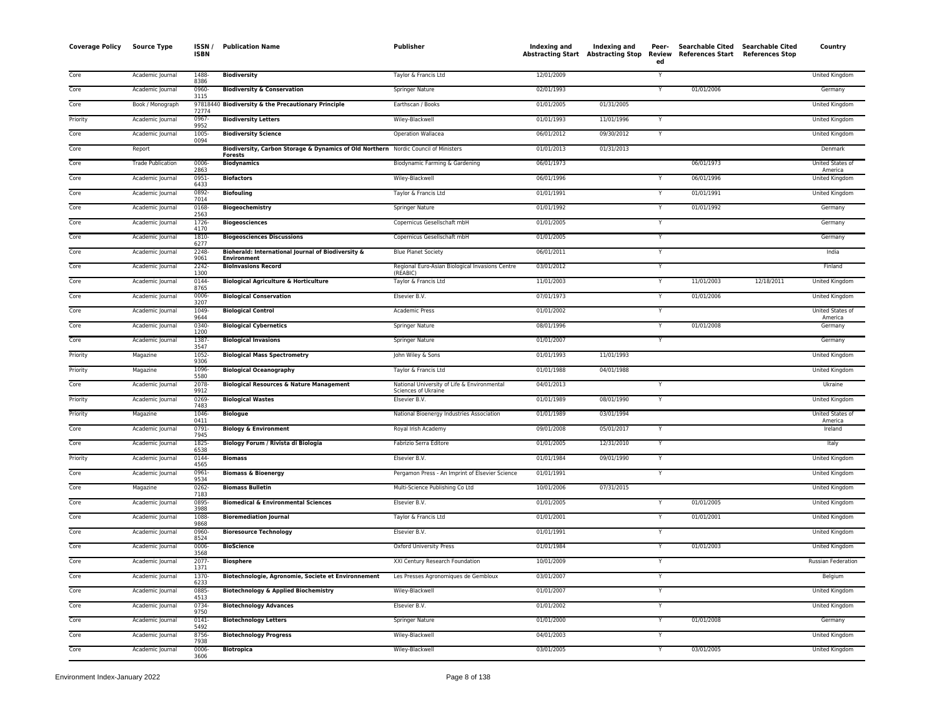| <b>Coverage Policy</b> | <b>Source Type</b>       | ISSN/<br><b>ISBN</b> | <b>Publication Name</b>                                                                               | Publisher                                                          | Indexing and | Indexing and<br>Abstracting Start Abstracting Stop | Peer-<br>Review<br>ed | Searchable Cited Searchable Cited<br>References Start References Stop |            | Country                            |
|------------------------|--------------------------|----------------------|-------------------------------------------------------------------------------------------------------|--------------------------------------------------------------------|--------------|----------------------------------------------------|-----------------------|-----------------------------------------------------------------------|------------|------------------------------------|
| Core                   | Academic Journal         | 1488-<br>8386        | <b>Biodiversity</b>                                                                                   | Taylor & Francis Ltd                                               | 12/01/2009   |                                                    |                       |                                                                       |            | <b>United Kingdom</b>              |
| Core                   | Academic Journal         | 0960-<br>3115        | <b>Biodiversity &amp; Conservation</b>                                                                | <b>Springer Nature</b>                                             | 02/01/1993   |                                                    | $\mathsf{Y}$          | 01/01/2006                                                            |            | Germany                            |
| Core                   | Book / Monograph         | 72774                | 97818440 Biodiversity & the Precautionary Principle                                                   | Earthscan / Books                                                  | 01/01/2005   | 01/31/2005                                         |                       |                                                                       |            | <b>United Kingdom</b>              |
| Priority               | Academic Journal         | 0967-<br>9952        | <b>Biodiversity Letters</b>                                                                           | Wiley-Blackwell                                                    | 01/01/1993   | 11/01/1996                                         | Y                     |                                                                       |            | United Kingdom                     |
| Core                   | Academic Journal         | 1005-<br>0094        | <b>Biodiversity Science</b>                                                                           | Operation Wallacea                                                 | 06/01/2012   | 09/30/2012                                         | Y                     |                                                                       |            | United Kingdom                     |
| Core                   | Report                   |                      | Biodiversity, Carbon Storage & Dynamics of Old Northern Nordic Council of Ministers<br><b>Forests</b> |                                                                    | 01/01/2013   | 01/31/2013                                         |                       |                                                                       |            | Denmark                            |
| Core                   | <b>Trade Publication</b> | 0006-<br>2863        | <b>Biodynamics</b>                                                                                    | Biodynamic Farming & Gardening                                     | 06/01/1973   |                                                    |                       | 06/01/1973                                                            |            | United States of<br>America        |
| Core                   | Academic Journal         | 0951-<br>6433        | <b>Biofactors</b>                                                                                     | Wiley-Blackwell                                                    | 06/01/1996   |                                                    |                       | 06/01/1996                                                            |            | United Kingdom                     |
| Core                   | Academic Journal         | 0892-<br>7014        | <b>Biofouling</b>                                                                                     | Taylor & Francis Ltd                                               | 01/01/1991   |                                                    | Y                     | 01/01/1991                                                            |            | <b>United Kingdom</b>              |
| Core                   | Academic Journal         | 0168-<br>2563        | <b>Biogeochemistry</b>                                                                                | Springer Nature                                                    | 01/01/1992   |                                                    | Y                     | 01/01/1992                                                            |            | Germany                            |
| Core                   | Academic Journal         | 1726-<br>4170        | <b>Biogeosciences</b>                                                                                 | Copernicus Gesellschaft mbH                                        | 01/01/2005   |                                                    | Y                     |                                                                       |            | Germany                            |
| Core                   | Academic Journal         | 1810-<br>6277        | <b>Biogeosciences Discussions</b>                                                                     | Copernicus Gesellschaft mbH                                        | 01/01/2005   |                                                    | Y                     |                                                                       |            | Germany                            |
| Core                   | Academic Journal         | 2248-<br>9061        | Bioherald: International Journal of Biodiversity &<br><b>Environment</b>                              | <b>Blue Planet Society</b>                                         | 06/01/2011   |                                                    | Y                     |                                                                       |            | India                              |
| Core                   | Academic Journal         | 2242-<br>1300        | <b>BioInvasions Record</b>                                                                            | Regional Euro-Asian Biological Invasions Centre<br>(REABIC)        | 03/01/2012   |                                                    | Y                     |                                                                       |            | Finland                            |
| Core                   | Academic Journal         | 0144<br>8765         | <b>Biological Agriculture &amp; Horticulture</b>                                                      | Taylor & Francis Ltd                                               | 11/01/2003   |                                                    | Ÿ                     | 11/01/2003                                                            | 12/18/2011 | United Kingdom                     |
| Core                   | Academic Journal         | 0006<br>3207         | <b>Biological Conservation</b>                                                                        | Elsevier B.V.                                                      | 07/01/1973   |                                                    | $\mathsf{Y}$          | 01/01/2006                                                            |            | United Kingdom                     |
| Core                   | Academic Journal         | 1049-<br>9644        | <b>Biological Control</b>                                                                             | <b>Academic Press</b>                                              | 01/01/2002   |                                                    | Y                     |                                                                       |            | <b>United States of</b><br>America |
| Core                   | Academic Journal         | 0340-<br>1200        | <b>Biological Cybernetics</b>                                                                         | Springer Nature                                                    | 08/01/1996   |                                                    | Y                     | 01/01/2008                                                            |            | Germany                            |
| Core                   | Academic Journal         | 1387-<br>3547        | <b>Biological Invasions</b>                                                                           | Springer Nature                                                    | 01/01/2007   |                                                    | Y                     |                                                                       |            | Germany                            |
| Priority               | Magazine                 | 1052-<br>9306        | <b>Biological Mass Spectrometry</b>                                                                   | John Wiley & Sons                                                  | 01/01/1993   | 11/01/1993                                         |                       |                                                                       |            | United Kingdom                     |
| Priority               | Magazine                 | 1096<br>5580         | <b>Biological Oceanography</b>                                                                        | Taylor & Francis Ltd                                               | 01/01/1988   | 04/01/1988                                         |                       |                                                                       |            | United Kingdom                     |
| Core                   | Academic Journal         | 2078-<br>9912        | <b>Biological Resources &amp; Nature Management</b>                                                   | National University of Life & Environmental<br>Sciences of Ukraine | 04/01/2013   |                                                    |                       |                                                                       |            | Ukraine                            |
| Priority               | Academic Journal         | 0269-<br>7483        | <b>Biological Wastes</b>                                                                              | Elsevier B.V.                                                      | 01/01/1989   | 08/01/1990                                         | Y                     |                                                                       |            | <b>United Kingdom</b>              |
| Priority               | Magazine                 | 1046-<br>0411        | <b>Biologue</b>                                                                                       | National Bioenergy Industries Association                          | 01/01/1989   | 03/01/1994                                         |                       |                                                                       |            | <b>United States of</b><br>America |
| Core                   | Academic Journal         | 0791<br>7945         | <b>Biology &amp; Environment</b>                                                                      | Royal Irish Academy                                                | 09/01/2008   | 05/01/2017                                         | Y                     |                                                                       |            | Ireland                            |
| Core                   | Academic Journal         | 1825-<br>6538        | Biology Forum / Rivista di Biologia                                                                   | Fabrizio Serra Editore                                             | 01/01/2005   | 12/31/2010                                         | Y                     |                                                                       |            | Italy                              |
| Priority               | Academic Journal         | 0144-<br>4565        | <b>Biomass</b>                                                                                        | Elsevier B.V.                                                      | 01/01/1984   | 09/01/1990                                         | Y                     |                                                                       |            | United Kingdom                     |
| Core                   | Academic Journal         | 0961-<br>9534        | <b>Biomass &amp; Bioenergy</b>                                                                        | Pergamon Press - An Imprint of Elsevier Science                    | 01/01/1991   |                                                    | Y                     |                                                                       |            | United Kingdom                     |
| Core                   | Magazine                 | $0262 -$<br>7183     | <b>Biomass Bulletin</b>                                                                               | Multi-Science Publishing Co Ltd                                    | 10/01/2006   | 07/31/2015                                         |                       |                                                                       |            | United Kingdom                     |
| Core                   | Academic Journal         | 0895<br>3988         | <b>Biomedical &amp; Environmental Sciences</b>                                                        | Elsevier B.V.                                                      | 01/01/2005   |                                                    | Y                     | 01/01/2005                                                            |            | United Kingdom                     |
| Core                   | Academic Journal         | 1088-<br>9868        | <b>Bioremediation Journal</b>                                                                         | Taylor & Francis Ltd                                               | 01/01/2001   |                                                    | Y                     | 01/01/2001                                                            |            | United Kingdom                     |
| Core                   | Academic Journal         | 0960-<br>8524        | <b>Bioresource Technology</b>                                                                         | Elsevier B.V.                                                      | 01/01/1991   |                                                    | Y                     |                                                                       |            | United Kingdom                     |
| Core                   | Academic Journal         | 0006-<br>3568        | <b>BioScience</b>                                                                                     | Oxford University Press                                            | 01/01/1984   |                                                    | Y                     | 01/01/2003                                                            |            | United Kingdom                     |
| Core                   | Academic Journal         | 2077-<br>1371        | <b>Biosphere</b>                                                                                      | XXI Century Research Foundation                                    | 10/01/2009   |                                                    |                       |                                                                       |            | Russian Federation                 |
| Core                   | Academic Journal         | 1370-<br>6233        | Biotechnologie, Agronomie, Societe et Environnement                                                   | Les Presses Agronomiques de Gembloux                               | 03/01/2007   |                                                    | Y                     |                                                                       |            | Belgium                            |
| Core                   | Academic Journal         | 0885<br>4513         | <b>Biotechnology &amp; Applied Biochemistry</b>                                                       | Wiley-Blackwell                                                    | 01/01/2007   |                                                    | Y                     |                                                                       |            | United Kingdom                     |
| Core                   | Academic Journal         | 0734-<br>9750        | <b>Biotechnology Advances</b>                                                                         | Elsevier B.V.                                                      | 01/01/2002   |                                                    | $\overline{Y}$        |                                                                       |            | <b>United Kingdom</b>              |
| Core                   | Academic Journal         | $0141 -$<br>5492     | <b>Biotechnology Letters</b>                                                                          | <b>Springer Nature</b>                                             | 01/01/2000   |                                                    | Y                     | 01/01/2008                                                            |            | Germany                            |
| Core                   | Academic Journal         | 8756<br>7938         | <b>Biotechnology Progress</b>                                                                         | Wiley-Blackwell                                                    | 04/01/2003   |                                                    | Y                     |                                                                       |            | <b>United Kingdom</b>              |
| Core                   | Academic Journal         | 0006-<br>3606        | <b>Biotropica</b>                                                                                     | Wiley-Blackwell                                                    | 03/01/2005   |                                                    | Y                     | 03/01/2005                                                            |            | United Kingdom                     |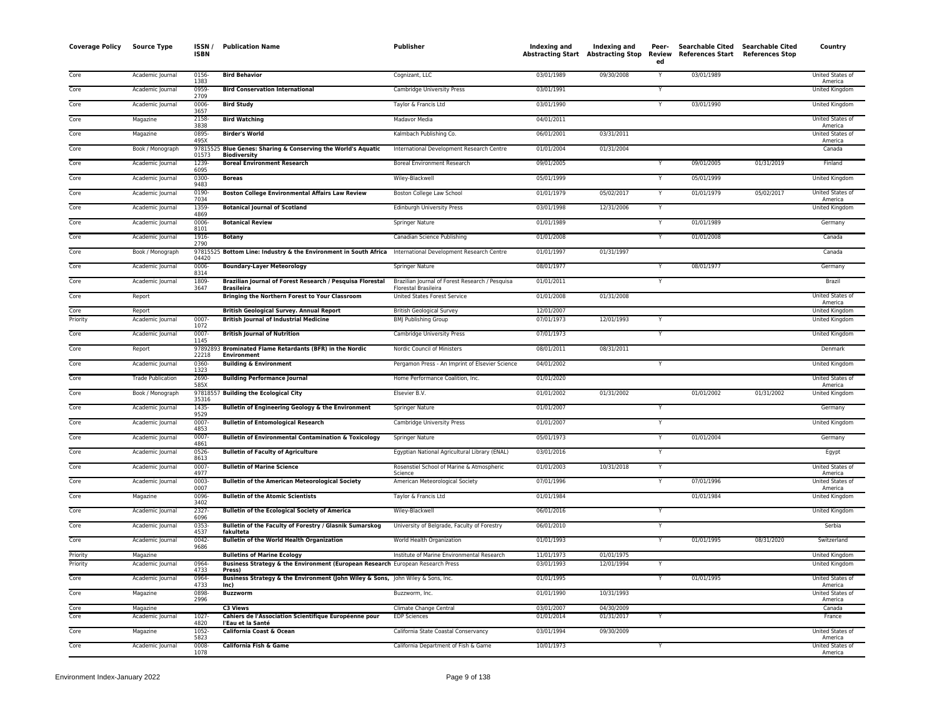| <b>Coverage Policy</b> | <b>Source Type</b>           | ISSN /<br><b>ISBN</b> | <b>Publication Name</b>                                                                                              | <b>Publisher</b>                                                | Indexing and<br><b>Abstracting Start Abstracting Stop</b> | Indexing and             | Peer-<br>ed             | Searchable Cited Searchable Cited<br>Review References Start References Stop |            | Country                                 |
|------------------------|------------------------------|-----------------------|----------------------------------------------------------------------------------------------------------------------|-----------------------------------------------------------------|-----------------------------------------------------------|--------------------------|-------------------------|------------------------------------------------------------------------------|------------|-----------------------------------------|
| Core                   | Academic Journal             | 0156-<br>1383         | <b>Bird Behavior</b>                                                                                                 | Cognizant, LLC                                                  | 03/01/1989                                                | 09/30/2008               | Y                       | 03/01/1989                                                                   |            | United States of<br>America             |
| Core                   | Academic Journal             | 0959<br>2709          | <b>Bird Conservation International</b>                                                                               | <b>Cambridge University Press</b>                               | 03/01/1991                                                |                          | Y                       |                                                                              |            | <b>United Kingdom</b>                   |
| Core                   | Academic Journal             | 0006                  | <b>Bird Study</b>                                                                                                    | Taylor & Francis Ltd                                            | 03/01/1990                                                |                          | Y                       | 03/01/1990                                                                   |            | <b>United Kingdom</b>                   |
| Core                   | Magazine                     | 3657<br>2158          | <b>Bird Watching</b>                                                                                                 | Madavor Media                                                   | 04/01/2011                                                |                          |                         |                                                                              |            | United States of                        |
| Core                   | Magazine                     | 3838<br>0895-         | <b>Birder's World</b>                                                                                                | Kalmbach Publishing Co.                                         | 06/01/2001                                                | 03/31/2011               |                         |                                                                              |            | America<br>United States of             |
| Core                   | Book / Monograph             | 495X                  | 97815525 Blue Genes: Sharing & Conserving the World's Aquatic                                                        | International Development Research Centre                       | 01/01/2004                                                | 01/31/2004               |                         |                                                                              |            | America<br>Canada                       |
| Core                   | Academic Journal             | 01573<br>1239         | <b>Biodiversity</b><br><b>Boreal Environment Research</b>                                                            | <b>Boreal Environment Research</b>                              | 09/01/2005                                                |                          | $\overline{Y}$          | 09/01/2005                                                                   | 01/31/2019 | Finland                                 |
| Core                   | Academic Journal             | 6095<br>0300-         | <b>Boreas</b>                                                                                                        | Wiley-Blackwell                                                 | 05/01/1999                                                |                          | Y                       | 05/01/1999                                                                   |            | <b>United Kingdom</b>                   |
| Core                   | Academic Journal             | 9483<br>0190-         | <b>Boston College Environmental Affairs Law Review</b>                                                               | Boston College Law School                                       | 01/01/1979                                                | 05/02/2017               | Y                       | 01/01/1979                                                                   | 05/02/2017 | United States of                        |
| Core                   | Academic Journal             | 7034<br>1359          | <b>Botanical Journal of Scotland</b>                                                                                 | <b>Edinburgh University Press</b>                               | 03/01/1998                                                | 12/31/2006               | Y                       |                                                                              |            | America<br>United Kingdom               |
| Core                   | Academic Journal             | 4869<br>0006          | <b>Botanical Review</b>                                                                                              | Springer Nature                                                 | 01/01/1989                                                |                          | Y                       | 01/01/1989                                                                   |            | Germany                                 |
| Core                   | Academic Journal             | 8101<br>1916-         | <b>Botany</b>                                                                                                        | Canadian Science Publishing                                     | 01/01/2008                                                |                          | Y                       | 01/01/2008                                                                   |            | Canada                                  |
| Core                   | Book / Monograph             | 2790                  | 97815525 Bottom Line: Industry & the Environment in South Africa International Development Research Centre           |                                                                 | 01/01/1997                                                | 01/31/1997               |                         |                                                                              |            | Canada                                  |
| Core                   | Academic Journal             | 04420<br>0006-        | <b>Boundary-Layer Meteorology</b>                                                                                    | Springer Nature                                                 | 08/01/1977                                                |                          |                         | 08/01/1977                                                                   |            | Germany                                 |
| Core                   | Academic Journal             | 8314<br>1809-         | Brazilian Journal of Forest Research / Pesquisa Florestal                                                            | Brazilian Journal of Forest Research / Pesquisa                 | 01/01/2011                                                |                          | Y                       |                                                                              |            | Brazil                                  |
| Core                   |                              | 3647                  | <b>Brasileira</b>                                                                                                    | <b>Florestal Brasileira</b>                                     | 01/01/2008                                                | 01/31/2008               |                         |                                                                              |            | United States of                        |
|                        | Report                       |                       | Bringing the Northern Forest to Your Classroom                                                                       | United States Forest Service                                    |                                                           |                          |                         |                                                                              |            | America                                 |
| Core<br>Priority       | Report<br>Academic Journal   | 0007-                 | <b>British Geological Survey. Annual Report</b><br><b>British Journal of Industrial Medicine</b>                     | <b>British Geological Survey</b><br><b>BMJ Publishing Group</b> | 12/01/2007<br>07/01/1973                                  | 12/01/1993               | Y                       |                                                                              |            | United Kingdom<br>United Kingdom        |
| Core                   | Academic Journal             | 1072<br>0007-         | <b>British Journal of Nutrition</b>                                                                                  | Cambridge University Press                                      | 07/01/1973                                                |                          |                         |                                                                              |            | United Kingdom                          |
| Core                   | Report                       | 1145                  | 97892893 Brominated Flame Retardants (BFR) in the Nordic                                                             | Nordic Council of Ministers                                     | 08/01/2011                                                | 08/31/2011               |                         |                                                                              |            | Denmark                                 |
| Core                   | Academic Journal             | 22218<br>$0360 -$     | <b>Environment</b><br><b>Building &amp; Environment</b>                                                              | Pergamon Press - An Imprint of Elsevier Science                 | 04/01/2002                                                |                          | $\overline{Y}$          |                                                                              |            | <b>United Kingdom</b>                   |
| Core                   | <b>Trade Publication</b>     | 1323<br>2690-         | <b>Building Performance Journal</b>                                                                                  | Home Performance Coalition, Inc.                                | 01/01/2020                                                |                          |                         |                                                                              |            | United States of                        |
| Core                   | Book / Monograph             | 585X                  | 97818557 Building the Ecological City                                                                                | <b>Elsevier B.V.</b>                                            | 01/01/2002                                                | 01/31/2002               |                         | 01/01/2002                                                                   | 01/31/2002 | America<br>United Kingdom               |
| Core                   | Academic Journal             | 35316<br>1435-        | <b>Bulletin of Engineering Geology &amp; the Environment</b>                                                         | Springer Nature                                                 | 01/01/2007                                                |                          | Y                       |                                                                              |            | Germany                                 |
| Core                   | Academic Journal             | 9529<br>0007-         | <b>Bulletin of Entomological Research</b>                                                                            | Cambridge University Press                                      | 01/01/2007                                                |                          | Y                       |                                                                              |            | United Kingdom                          |
| Core                   | Academic Journal             | 4853<br>0007          | <b>Bulletin of Environmental Contamination &amp; Toxicology</b>                                                      | Springer Nature                                                 | 05/01/1973                                                |                          | Y                       | 01/01/2004                                                                   |            | Germany                                 |
| Core                   | Academic Journal             | 4861<br>0526          | <b>Bulletin of Faculty of Agriculture</b>                                                                            | Egyptian National Agricultural Library (ENAL)                   | 03/01/2016                                                |                          | $\overline{\mathsf{Y}}$ |                                                                              |            |                                         |
| Core                   |                              | 8613<br>0007          |                                                                                                                      |                                                                 |                                                           |                          | Y                       |                                                                              |            | Egypt<br><b>United States of</b>        |
|                        | Academic Journal             | 4977                  | <b>Bulletin of Marine Science</b>                                                                                    | Rosenstiel School of Marine & Atmospheric<br>Science            | 01/01/2003                                                | 10/31/2018               |                         |                                                                              |            | America                                 |
| Core                   | Academic Journal             | 0003<br>0007          | <b>Bulletin of the American Meteorological Society</b>                                                               | American Meteorological Society                                 | 07/01/1996                                                |                          |                         | 07/01/1996                                                                   |            | United States of<br>America             |
| Core                   | Magazine                     | 0096<br>3402          | <b>Bulletin of the Atomic Scientists</b>                                                                             | Taylor & Francis Ltd                                            | 01/01/1984                                                |                          |                         | 01/01/1984                                                                   |            | United Kingdom                          |
| Core                   | Academic Journal             | 2327-<br>6096         | <b>Bulletin of the Ecological Society of America</b>                                                                 | Wiley-Blackwell                                                 | 06/01/2016                                                |                          |                         |                                                                              |            | <b>United Kingdom</b>                   |
| Core                   | Academic Journal             | 0353<br>4537          | Bulletin of the Faculty of Forestry / Glasnik Sumarskog<br>fakulteta                                                 | University of Belgrade, Faculty of Forestry                     | 06/01/2010                                                |                          | Y                       |                                                                              |            | Serbia                                  |
| Core                   | Academic Journal             | 0042<br>9686          | <b>Bulletin of the World Health Organization</b>                                                                     | World Health Organization                                       | 01/01/1993                                                |                          | Y                       | 01/01/1995                                                                   | 08/31/2020 | Switzerland                             |
| Priority<br>Priority   | Magazine<br>Academic Journal | 0964                  | <b>Bulletins of Marine Ecology</b><br>Business Strategy & the Environment (European Research European Research Press | Institute of Marine Environmental Research                      | 11/01/1973<br>03/01/1993                                  | 01/01/1975<br>12/01/1994 | Y                       |                                                                              |            | <b>United Kingdom</b><br>United Kingdom |
| Core                   | Academic Journal             | 4733<br>0964          | Press)<br>Business Strategy & the Environment (John Wiley & Sons, John Wiley & Sons, Inc.                            |                                                                 | 01/01/1995                                                |                          | Y                       | 01/01/1995                                                                   |            | United States of                        |
| Core                   | Magazine                     | 4733<br>0898          | Inc)<br><b>Buzzworm</b>                                                                                              | Buzzworm, Inc.                                                  | 01/01/1990                                                | 10/31/1993               |                         |                                                                              |            | America<br>United States of             |
| Core                   | Magazine                     | 2996                  | <b>C3 Views</b>                                                                                                      | Climate Change Central                                          | 03/01/2007                                                | 04/30/2009               |                         |                                                                              |            | America<br>Canada                       |
| Core                   | Academic Journal             | 1027-                 | Cahiers de l'Association Scientifique Européenne pour                                                                | <b>EDP Sciences</b>                                             | 01/01/2014                                                | 01/31/2017               | $\overline{Y}$          |                                                                              |            | France                                  |
| Core                   | Magazine                     | 4820<br>1052          | l'Eau et la Santé<br>California Coast & Ocean                                                                        | California State Coastal Conservancy                            | 03/01/1994                                                | 09/30/2009               |                         |                                                                              |            | <b>United States of</b>                 |
| Core                   | Academic Journal             | 5823<br>0008          | California Fish & Game                                                                                               | California Department of Fish & Game                            | 10/01/1973                                                |                          |                         |                                                                              |            | America<br>United States of             |
|                        |                              | 1078                  |                                                                                                                      |                                                                 |                                                           |                          |                         |                                                                              |            | America                                 |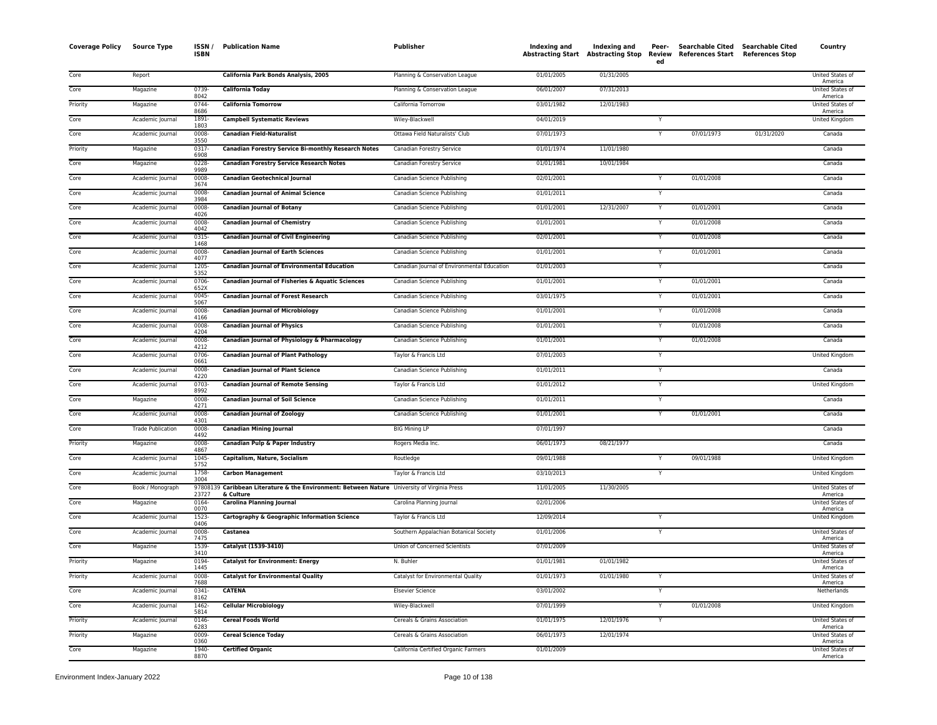| <b>Coverage Policy</b> | <b>Source Type</b>       | ISSN /<br><b>ISBN</b> | <b>Publication Name</b>                                                                                   | Publisher                                   | Indexing and | Indexing and<br>Abstracting Start Abstracting Stop | Peer-<br>ed  | Searchable Cited<br>Review References Start References Stop | <b>Searchable Cited</b> | Country                     |
|------------------------|--------------------------|-----------------------|-----------------------------------------------------------------------------------------------------------|---------------------------------------------|--------------|----------------------------------------------------|--------------|-------------------------------------------------------------|-------------------------|-----------------------------|
| Core                   | Report                   |                       | California Park Bonds Analysis, 2005                                                                      | Planning & Conservation League              | 01/01/2005   | 01/31/2005                                         |              |                                                             |                         | United States of<br>America |
| Core                   | Magazine                 | 0739<br>8042          | <b>California Today</b>                                                                                   | Planning & Conservation League              | 06/01/2007   | 07/31/2013                                         |              |                                                             |                         | United States of<br>America |
| Priority               | Magazine                 | 0744-<br>8686         | <b>California Tomorrow</b>                                                                                | California Tomorrow                         | 03/01/1982   | 12/01/1983                                         |              |                                                             |                         | United States of<br>America |
| Core                   | Academic Journal         | 1891<br>1803          | <b>Campbell Systematic Reviews</b>                                                                        | Wiley-Blackwell                             | 04/01/2019   |                                                    |              |                                                             |                         | United Kingdom              |
| Core                   | Academic Journal         | 0008-<br>3550         | <b>Canadian Field-Naturalist</b>                                                                          | Ottawa Field Naturalists' Club              | 07/01/1973   |                                                    | Y            | 07/01/1973                                                  | 01/31/2020              | Canada                      |
| Priority               | Magazine                 | 0317<br>6908          | <b>Canadian Forestry Service Bi-monthly Research Notes</b>                                                | Canadian Forestry Service                   | 01/01/1974   | 11/01/1980                                         |              |                                                             |                         | Canada                      |
| Core                   | Magazine                 | 0228<br>9989          | <b>Canadian Forestry Service Research Notes</b>                                                           | Canadian Forestry Service                   | 01/01/1981   | 10/01/1984                                         |              |                                                             |                         | Canada                      |
| Core                   | Academic Journal         | 0008<br>3674          | <b>Canadian Geotechnical Journal</b>                                                                      | Canadian Science Publishing                 | 02/01/2001   |                                                    |              | 01/01/2008                                                  |                         | Canada                      |
| Core                   | Academic Journal         | 0008-<br>3984         | <b>Canadian Journal of Animal Science</b>                                                                 | Canadian Science Publishing                 | 01/01/2011   |                                                    | $\mathsf{v}$ |                                                             |                         | Canada                      |
| Core                   | Academic Journal         | 0008<br>4026          | <b>Canadian Journal of Botany</b>                                                                         | Canadian Science Publishing                 | 01/01/2001   | 12/31/2007                                         |              | 01/01/2001                                                  |                         | Canada                      |
| Core                   | Academic Journal         | 0008<br>4042          | <b>Canadian Journal of Chemistry</b>                                                                      | Canadian Science Publishing                 | 01/01/2001   |                                                    |              | 01/01/2008                                                  |                         | Canada                      |
| Core                   | Academic Journal         | $0315 -$<br>1468      | <b>Canadian Journal of Civil Engineering</b>                                                              | Canadian Science Publishing                 | 02/01/2001   |                                                    | Y            | 01/01/2008                                                  |                         | Canada                      |
| Core                   | Academic Journal         | 0008<br>4077          | <b>Canadian Journal of Earth Sciences</b>                                                                 | Canadian Science Publishing                 | 01/01/2001   |                                                    |              | 01/01/2001                                                  |                         | Canada                      |
| Core                   | Academic Journal         | 1205<br>5352          | <b>Canadian Journal of Environmental Education</b>                                                        | Canadian Journal of Environmental Education | 01/01/2003   |                                                    |              |                                                             |                         | Canada                      |
| Core                   | Academic Journal         | 0706<br>652X          | Canadian Journal of Fisheries & Aquatic Sciences                                                          | Canadian Science Publishing                 | 01/01/2001   |                                                    |              | 01/01/2001                                                  |                         | Canada                      |
| Core                   | Academic Journal         | 0045<br>5067          | <b>Canadian Journal of Forest Research</b>                                                                | Canadian Science Publishing                 | 03/01/1975   |                                                    |              | 01/01/2001                                                  |                         | Canada                      |
| Core                   | Academic Journal         | 0008<br>4166          | <b>Canadian Journal of Microbiology</b>                                                                   | Canadian Science Publishing                 | 01/01/2001   |                                                    | Y            | 01/01/2008                                                  |                         | Canada                      |
| Core                   | Academic Journal         | 0008<br>4204          | <b>Canadian Journal of Physics</b>                                                                        | Canadian Science Publishing                 | 01/01/2001   |                                                    |              | 01/01/2008                                                  |                         | Canada                      |
| Core                   | Academic Journal         | 0008<br>4212          | Canadian Journal of Physiology & Pharmacology                                                             | Canadian Science Publishing                 | 01/01/2001   |                                                    |              | 01/01/2008                                                  |                         | Canada                      |
| Core                   | Academic Journal         | 0706<br>0661          | <b>Canadian Journal of Plant Pathology</b>                                                                | Taylor & Francis Ltd                        | 07/01/2003   |                                                    | Y            |                                                             |                         | United Kingdom              |
| Core                   | Academic Journal         | 0008<br>4220          | <b>Canadian Journal of Plant Science</b>                                                                  | Canadian Science Publishing                 | 01/01/2011   |                                                    | $\checkmark$ |                                                             |                         | Canada                      |
| Core                   | Academic Journal         | 0703<br>8992          | <b>Canadian Journal of Remote Sensing</b>                                                                 | Taylor & Francis Ltd                        | 01/01/2012   |                                                    |              |                                                             |                         | <b>United Kingdom</b>       |
| Core                   | Magazine                 | 0008<br>4271          | <b>Canadian Journal of Soil Science</b>                                                                   | Canadian Science Publishing                 | 01/01/2011   |                                                    |              |                                                             |                         | Canada                      |
| Core                   | Academic Journal         | 0008<br>4301          | <b>Canadian Journal of Zoology</b>                                                                        | Canadian Science Publishing                 | 01/01/2001   |                                                    | Y            | 01/01/2001                                                  |                         | Canada                      |
| Core                   | <b>Trade Publication</b> | 0008<br>4492          | <b>Canadian Mining Journal</b>                                                                            | <b>BIG Mining LP</b>                        | 07/01/1997   |                                                    |              |                                                             |                         | Canada                      |
| Priority               | Magazine                 | 0008<br>4867          | Canadian Pulp & Paper Industry                                                                            | Rogers Media Inc.                           | 06/01/1973   | 08/21/1977                                         |              |                                                             |                         | Canada                      |
| Core                   | Academic Journal         | 1045<br>5752          | Capitalism, Nature, Socialism                                                                             | Routledge                                   | 09/01/1988   |                                                    |              | 09/01/1988                                                  |                         | <b>United Kingdom</b>       |
| Core                   | Academic Journal         | 1758-<br>3004         | <b>Carbon Management</b>                                                                                  | Taylor & Francis Ltd                        | 03/10/2013   |                                                    |              |                                                             |                         | United Kingdom              |
| Core                   | Book / Monograph         | 23727                 | 97808139 Caribbean Literature & the Environment: Between Nature University of Virginia Press<br>& Culture |                                             | 11/01/2005   | 11/30/2005                                         |              |                                                             |                         | United States of<br>America |
| Core                   | Magazine                 | 0164<br>0070          | <b>Carolina Planning Journal</b>                                                                          | Carolina Planning Journal                   | 02/01/2006   |                                                    |              |                                                             |                         | United States of<br>America |
| Core                   | Academic Journal         | 1523-<br>0406         | Cartography & Geographic Information Science                                                              | Taylor & Francis Ltd                        | 12/09/2014   |                                                    | Y            |                                                             |                         | United Kingdom              |
| Core                   | Academic Journal         | 0008<br>7475          | Castanea                                                                                                  | Southern Appalachian Botanical Society      | 01/01/2006   |                                                    | Y            |                                                             |                         | United States of<br>America |
| Core                   | Magazine                 | 1539-<br>3410         | Catalyst (1539-3410)                                                                                      | Union of Concerned Scientists               | 07/01/2009   |                                                    |              |                                                             |                         | United States of<br>America |
| Priority               | Magazine                 | 0194-<br>1445         | <b>Catalyst for Environment: Energy</b>                                                                   | N. Buhler                                   | 01/01/1981   | 01/01/1982                                         |              |                                                             |                         | United States of<br>America |
| Priority               | Academic Journal         | 0008<br>7688          | <b>Catalyst for Environmental Quality</b>                                                                 | Catalyst for Environmental Quality          | 01/01/1973   | 01/01/1980                                         |              |                                                             |                         | United States of<br>America |
| Core                   | Academic Journal         | 0341-<br>8162         | <b>CATENA</b>                                                                                             | <b>Elsevier Science</b>                     | 03/01/2002   |                                                    | Y            |                                                             |                         | Netherlands                 |
| Core                   | Academic Journal         | 1462-<br>5814         | <b>Cellular Microbiology</b>                                                                              | Wiley-Blackwell                             | 07/01/1999   |                                                    |              | 01/01/2008                                                  |                         | <b>United Kingdom</b>       |
| Priority               | Academic Journal         | 0146<br>6283          | <b>Cereal Foods World</b>                                                                                 | Cereals & Grains Association                | 01/01/1975   | 12/01/1976                                         | Y            |                                                             |                         | United States of<br>America |
| Priority               | Magazine                 | 0009<br>0360          | <b>Cereal Science Today</b>                                                                               | Cereals & Grains Association                | 06/01/1973   | 12/01/1974                                         |              |                                                             |                         | United States of<br>America |
| Core                   | Magazine                 | 1940-<br>8870         | <b>Certified Organic</b>                                                                                  | California Certified Organic Farmers        | 01/01/2009   |                                                    |              |                                                             |                         | United States of<br>America |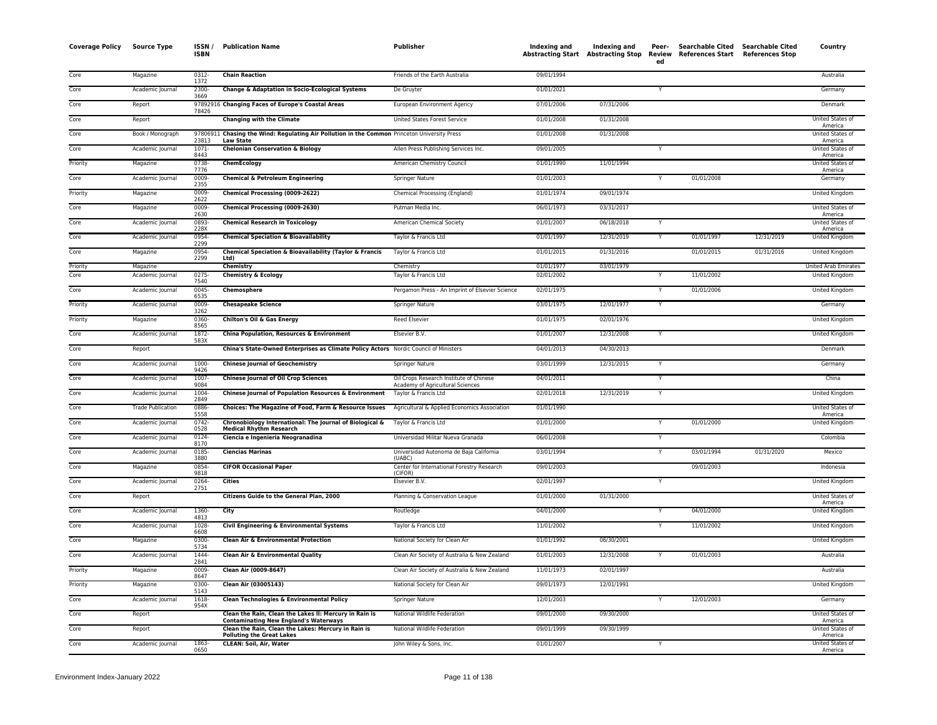| <b>Coverage Policy</b> | <b>Source Type</b>       | ISSN/<br><b>ISBN</b> | <b>Publication Name</b>                                                                                                                 | <b>Publisher</b>                                                                   | <b>Indexing and</b> | Indexing and<br>Abstracting Start Abstracting Stop Review | Peer-<br>ed | Searchable Cited Searchable Cited<br>References Start References Stop |            | Country                          |
|------------------------|--------------------------|----------------------|-----------------------------------------------------------------------------------------------------------------------------------------|------------------------------------------------------------------------------------|---------------------|-----------------------------------------------------------|-------------|-----------------------------------------------------------------------|------------|----------------------------------|
| Core                   | Magazine                 | 0312-<br>1372        | <b>Chain Reaction</b>                                                                                                                   | Friends of the Earth Australia                                                     | 09/01/1994          |                                                           |             |                                                                       |            | Australia                        |
| Core                   | Academic Journal         | 2300-<br>3669        | Change & Adaptation in Socio-Ecological Systems                                                                                         | De Gruyter                                                                         | 01/01/2021          |                                                           | Y           |                                                                       |            | Germany                          |
| Core                   | Report                   | 78426                | 97892916 Changing Faces of Europe's Coastal Areas                                                                                       | European Environment Agency                                                        | 07/01/2006          | 07/31/2006                                                |             |                                                                       |            | Denmark                          |
| Core                   | Report                   |                      | <b>Changing with the Climate</b>                                                                                                        | <b>United States Forest Service</b>                                                | 01/01/2008          | 01/31/2008                                                |             |                                                                       |            | United States of<br>America      |
| Core                   | Book / Monograph         | 23813                | 97806911 Chasing the Wind: Regulating Air Pollution in the Common Princeton University Press<br><b>Law State</b>                        |                                                                                    | 01/01/2008          | 01/31/2008                                                |             |                                                                       |            | United States of<br>America      |
| Core                   | Academic Journal         | $1071 -$<br>8443     | <b>Chelonian Conservation &amp; Biology</b>                                                                                             | Allen Press Publishing Services Inc.                                               | 09/01/2005          |                                                           |             |                                                                       |            | United States of<br>America      |
| Priority               | Magazine                 | 0738-<br>7776        | ChemEcology                                                                                                                             | American Chemistry Council                                                         | 01/01/1990          | 11/01/1994                                                |             |                                                                       |            | <b>United States of</b>          |
| Core                   | Academic Journal         | 0009<br>2355         | <b>Chemical &amp; Petroleum Engineering</b>                                                                                             | <b>Springer Nature</b>                                                             | 01/01/2003          |                                                           | Y           | 01/01/2008                                                            |            | America<br>Germany               |
| Priority               | Magazine                 | 0009-<br>2622        | Chemical Processing (0009-2622)                                                                                                         | Chemical Processing (England)                                                      | 01/01/1974          | 09/01/1974                                                |             |                                                                       |            | United Kingdom                   |
| Core                   | Magazine                 | 0009-<br>2630        | Chemical Processing (0009-2630)                                                                                                         | Putman Media Inc.                                                                  | 06/01/1973          | 03/31/2017                                                |             |                                                                       |            | United States of                 |
| Core                   | Academic Journal         | 0893-<br>228X        | <b>Chemical Research in Toxicology</b>                                                                                                  | American Chemical Society                                                          | 01/01/2007          | 06/18/2018                                                |             |                                                                       |            | America<br>United States of      |
| Core                   | Academic Journal         | 0954                 | <b>Chemical Speciation &amp; Bioavailability</b>                                                                                        | Taylor & Francis Ltd                                                               | 01/01/1997          | 12/31/2019                                                |             | 01/01/1997                                                            | 12/31/2019 | America<br><b>United Kingdom</b> |
| Core                   | Magazine                 | 2299<br>0954-        | <b>Chemical Speciation &amp; Bioavailability (Taylor &amp; Francis</b>                                                                  | Taylor & Francis Ltd                                                               | 01/01/2015          | 01/31/2016                                                |             | 01/01/2015                                                            | 01/31/2016 | <b>United Kingdom</b>            |
| Priority               | Magazine                 | 2299                 | Ltd)<br>Chemistry                                                                                                                       | Chemistry                                                                          | 01/01/1977          | 03/01/1979                                                |             |                                                                       |            | <b>United Arab Emirates</b>      |
| Core                   | Academic Journal         | 0275<br>7540         | <b>Chemistry &amp; Ecology</b>                                                                                                          | Taylor & Francis Ltd                                                               | 02/01/2002          |                                                           |             | 11/01/2002                                                            |            | United Kingdom                   |
| Core                   | Academic Journal         | $0045 -$<br>6535     | Chemosphere                                                                                                                             | Pergamon Press - An Imprint of Elsevier Science                                    | 02/01/1975          |                                                           | Y           | 01/01/2006                                                            |            | United Kingdom                   |
| Priority               | Academic Journal         | 0009-<br>3262        | <b>Chesapeake Science</b>                                                                                                               | <b>Springer Nature</b>                                                             | 03/01/1975          | 12/01/1977                                                | Y           |                                                                       |            | Germany                          |
| Priority               | Magazine                 | 0360-<br>8565        | Chilton's Oil & Gas Energy                                                                                                              | <b>Reed Elsevier</b>                                                               | 01/01/1975          | 02/01/1976                                                |             |                                                                       |            | <b>United Kingdom</b>            |
| Core                   | Academic Journal         | 1872-<br>583X        | China Population, Resources & Environment                                                                                               | Elsevier B.V.                                                                      | 01/01/2007          | 12/31/2008                                                |             |                                                                       |            | United Kingdom                   |
| Core                   | Report                   |                      | China's State-Owned Enterprises as Climate Policy Actors Nordic Council of Ministers                                                    |                                                                                    | 04/01/2013          | 04/30/2013                                                |             |                                                                       |            | Denmark                          |
| Core                   | Academic Journal         | 1000-<br>9426        | <b>Chinese Journal of Geochemistry</b>                                                                                                  | <b>Springer Nature</b>                                                             | 03/01/1999          | 12/31/2015                                                | Y           |                                                                       |            | Germany                          |
| Core                   | Academic Journal         | 1007-<br>9084        | <b>Chinese Journal of Oil Crop Sciences</b>                                                                                             | Oil Crops Research Institute of Chinese<br><b>Academy of Agricultural Sciences</b> | 04/01/2011          |                                                           |             |                                                                       |            | China                            |
| Core                   | Academic Journal         | 1004<br>2849         | Chinese Journal of Population Resources & Environment                                                                                   | Taylor & Francis Ltd                                                               | 02/01/2018          | 12/31/2019                                                | Y           |                                                                       |            | <b>United Kingdom</b>            |
| Core                   | <b>Trade Publication</b> | 0886-<br>5558        | Choices: The Magazine of Food, Farm & Resource Issues                                                                                   | Agricultural & Applied Economics Association                                       | 01/01/1990          |                                                           |             |                                                                       |            | United States of<br>America      |
| Core                   | Academic Journal         | 0742-<br>0528        | Chronobiology International: The Journal of Biological &<br><b>Medical Rhythm Research</b>                                              | Taylor & Francis Ltd                                                               | 01/01/2000          |                                                           |             | 01/01/2000                                                            |            | United Kingdom                   |
| Core                   | Academic Journal         | 0124<br>8170         | Ciencia e Ingenieria Neogranadina                                                                                                       | Universidad Militar Nueva Granada                                                  | 06/01/2008          |                                                           | Y           |                                                                       |            | Colombia                         |
| Core                   | Academic Journal         | $0185 -$<br>3880     | <b>Ciencias Marinas</b>                                                                                                                 | Universidad Autonoma de Baja California<br>(UABC)                                  | 03/01/1994          |                                                           |             | 03/01/1994                                                            | 01/31/2020 | Mexico                           |
| Core                   | Magazine                 | 0854<br>9818         | <b>CIFOR Occasional Paper</b>                                                                                                           | Center for International Forestry Research<br>(CIFOR)                              | 09/01/2003          |                                                           |             | 09/01/2003                                                            |            | Indonesia                        |
| Core                   | Academic Journal         | 0264<br>2751         | <b>Cities</b>                                                                                                                           | Elsevier B.V.                                                                      | 02/01/1997          |                                                           | Y           |                                                                       |            | United Kingdom                   |
| Core                   | Report                   |                      | Citizens Guide to the General Plan, 2000                                                                                                | Planning & Conservation League                                                     | 01/01/2000          | 01/31/2000                                                |             |                                                                       |            | United States of<br>America      |
| Core                   | Academic Journal         | 1360-<br>4813        | City                                                                                                                                    | Routledge                                                                          | 04/01/2000          |                                                           | Y           | 04/01/2000                                                            |            | <b>United Kingdom</b>            |
| Core                   | Academic Journal         | 1028-<br>6608        | Civil Engineering & Environmental Systems                                                                                               | Taylor & Francis Ltd                                                               | 11/01/2002          |                                                           |             | 11/01/2002                                                            |            | <b>United Kingdom</b>            |
| Core                   | Magazine                 | $0300 -$<br>5734     | <b>Clean Air &amp; Environmental Protection</b>                                                                                         | National Society for Clean Air                                                     | 01/01/1992          | 06/30/2001                                                |             |                                                                       |            | United Kingdom                   |
| Core                   | Academic Journal         | 1444<br>2841         | <b>Clean Air &amp; Environmental Quality</b>                                                                                            | Clean Air Society of Australia & New Zealand                                       | 01/01/2003          | 12/31/2008                                                |             | 01/01/2003                                                            |            | Australia                        |
| Priority               | Magazine                 | 0009-<br>8647        | Clean Air (0009-8647)                                                                                                                   | Clean Air Society of Australia & New Zealand                                       | 11/01/1973          | 02/01/1997                                                |             |                                                                       |            | Australia                        |
| Priority               | Magazine                 | 0300-<br>5143        | Clean Air (03005143)                                                                                                                    | National Society for Clean Air                                                     | 09/01/1973          | 12/01/1991                                                |             |                                                                       |            | United Kingdom                   |
| Core                   | Academic Journal         | 1618-<br>954X        | Clean Technologies & Environmental Policy                                                                                               | Springer Nature                                                                    | 12/01/2003          |                                                           |             | 12/01/2003                                                            |            | Germany                          |
| Core                   | Report                   |                      | Clean the Rain, Clean the Lakes II: Mercury in Rain is                                                                                  | National Wildlife Federation                                                       | 09/01/2000          | 09/30/2000                                                |             |                                                                       |            | United States of<br>America      |
| Core                   | Report                   |                      | <b>Contaminating New England's Waterways</b><br>Clean the Rain, Clean the Lakes: Mercury in Rain is<br><b>Polluting the Great Lakes</b> | National Wildlife Federation                                                       | 09/01/1999          | 09/30/1999                                                |             |                                                                       |            | United States o<br>America       |
| Core                   | Academic Journal         | 1863-                | <b>CLEAN: Soil, Air, Water</b>                                                                                                          | John Wiley & Sons, Inc.                                                            | 01/01/2007          |                                                           |             |                                                                       |            | United States of                 |
|                        |                          | 0650                 |                                                                                                                                         |                                                                                    |                     |                                                           |             |                                                                       |            | America                          |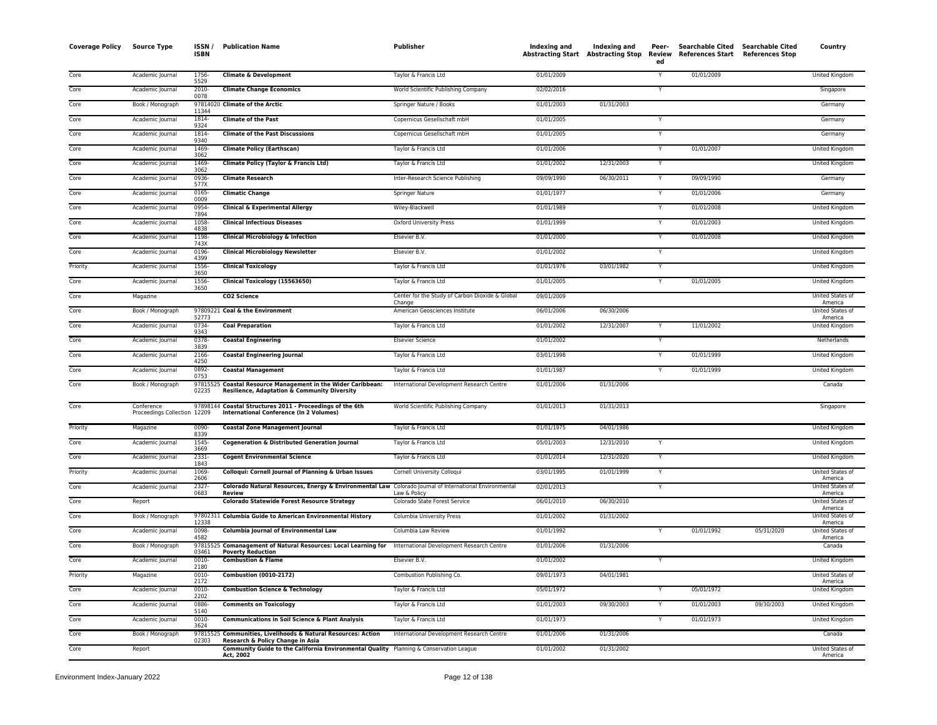| Core<br><b>Climate &amp; Development</b><br>01/01/2009<br>01/01/2009<br><b>United Kingdom</b><br>Academic Journal<br>1756<br>Taylor & Francis Ltd<br>Y<br>5529<br>Core<br>Academic Journal<br>2010-<br><b>Climate Change Economics</b><br>World Scientific Publishing Company<br>02/02/2016<br>Y<br>Singapore<br>0078<br>Core<br>97814020 Climate of the Arctic<br>Springer Nature / Books<br>01/01/2003<br>01/31/2003<br>Germany<br>Book / Monograph<br>11344<br>Core<br><b>Climate of the Past</b><br>Copernicus Gesellschaft mbH<br>01/01/2005<br>Academic Journal<br>1814-<br>Y<br>Germany<br>9324<br>Core<br>1814-<br><b>Climate of the Past Discussions</b><br>01/01/2005<br>Academic Journal<br>Copernicus Gesellschaft mbH<br>Y<br>Germany<br>9340<br>Core<br>1469<br>01/01/2006<br>01/01/2007<br>Academic Journal<br><b>Climate Policy (Earthscan)</b><br>Taylor & Francis Ltd<br>$\overline{\mathsf{Y}}$<br><b>United Kingdom</b><br>3062<br>Core<br>1469<br>Climate Policy (Taylor & Francis Ltd)<br>01/01/2002<br>12/31/2003<br>Academic Journal<br>Taylor & Francis Ltd<br>Y<br>United Kingdom<br>3062<br>0936<br>09/09/1990<br>06/30/2011<br>09/09/1990<br>Core<br><b>Climate Research</b><br>Inter-Research Science Publishing<br>Academic Journal<br>Germany<br>577X<br>Core<br>Academic Journal<br>0165<br><b>Climatic Change</b><br>Springer Nature<br>01/01/1977<br>01/01/2006<br>Germany<br>0009<br>Core<br>0954<br><b>Clinical &amp; Experimental Allergy</b><br>Wiley-Blackwell<br>01/01/1989<br>01/01/2008<br>Academic Journal<br>United Kingdom<br>7894<br>Core<br>1058<br>01/01/1999<br>01/01/2003<br>Academic Journal<br><b>Clinical Infectious Diseases</b><br>Oxford University Press<br>Y<br>United Kingdom<br>4838<br>Core<br>Academic Journal<br>1198<br><b>Clinical Microbiology &amp; Infection</b><br>Elsevier B.V.<br>01/01/2000<br>01/01/2008<br><b>United Kingdom</b><br>Y<br>743X<br>Core<br>Academic Journal<br>0196<br><b>Clinical Microbiology Newsletter</b><br>Elsevier B.V.<br>01/01/2002<br><b>United Kingdom</b><br>Y<br>4399<br>03/01/1982<br>Priority<br>1556<br><b>Clinical Toxicology</b><br>Taylor & Francis Ltd<br>01/01/1976<br>Academic Journal<br>Y<br>United Kingdom<br>3650<br>1556<br>Clinical Toxicology (15563650)<br>01/01/2005<br>01/01/2005<br>Core<br>Academic Journal<br>Taylor & Francis Ltd<br>Y<br>United Kingdom<br>3650<br>Center for the Study of Carbon Dioxide & Global<br>United States of<br>Core<br>Magazine<br>CO2 Science<br>09/01/2009<br>Change<br>America<br>Core<br>Book / Monograph<br>97809221 Coal & the Environment<br>American Geosciences Institute<br>06/01/2006<br>06/30/2006<br>United States of<br>52773<br>America<br>Core<br>Academic Journal<br>0734-<br><b>Coal Preparation</b><br>Taylor & Francis Ltd<br>01/01/2002<br>12/31/2007<br>11/01/2002<br><b>United Kingdom</b><br>Y<br>9343<br>Core<br>01/01/2002<br>Academic Journal<br>0378-<br><b>Coastal Engineering</b><br><b>Elsevier Science</b><br>Netherlands<br>3839<br>Core<br>2166<br><b>Coastal Engineering Journal</b><br>Taylor & Francis Ltd<br>03/01/1998<br>01/01/1999<br><b>United Kingdom</b><br>Academic Journal<br>Y<br>4250<br>0892<br>01/01/1987<br>01/01/1999<br>Core<br><b>Coastal Management</b><br>Taylor & Francis Ltd<br>United Kingdom<br>Academic Journal<br>Y<br>0753<br>97815525 Coastal Resource Management in the Wider Caribbean:<br>01/01/2006<br>01/31/2006<br>Core<br>Book / Monograph<br>International Development Research Centre<br>Canada<br>02235<br>Resilience, Adaptation & Community Diversity<br>Core<br>Conference<br>97898144 Coastal Structures 2011 - Proceedings of the 6th<br>World Scientific Publishing Company<br>01/01/2013<br>01/31/2013<br>Singapore<br>Proceedings Collection 12209<br>International Conference (In 2 Volumes)<br>01/01/1975<br>04/01/1986<br>Priority<br>Magazine<br>0090<br><b>Coastal Zone Management Journal</b><br>Taylor & Francis Ltd<br><b>United Kingdom</b><br>8339<br>1545<br>05/01/2003<br>12/31/2010<br>Core<br>Academic Journal<br><b>Cogeneration &amp; Distributed Generation Journal</b><br>Taylor & Francis Ltd<br>Y<br>United Kingdom<br>3669<br>$2331 -$<br>Core<br>Academic Journal<br><b>Cogent Environmental Science</b><br>Taylor & Francis Ltd<br>01/01/2014<br>12/31/2020<br>Y<br>United Kingdom<br>1843<br>Priority<br>Academic Journal<br>1069<br>Colloqui: Cornell Journal of Planning & Urban Issues<br>Cornell University Colloqui<br>03/01/1995<br>01/01/1999<br>United States of<br>Y<br>2606<br>America<br>Core<br>Academic Journal<br>2327-<br>Colorado Natural Resources, Energy & Environmental Law Colorado Journal of International Environmental<br>02/01/2013<br>United States of<br>Y<br>0683<br>Law & Policy<br><b>Review</b><br>America<br>Core<br><b>Colorado Statewide Forest Resource Strategy</b><br>06/01/2010<br>06/30/2010<br>Report<br>Colorado State Forest Service<br>United States of<br>America<br>Core<br>Book / Monograph<br>97802311 Columbia Guide to American Environmental History<br>Columbia University Press<br>01/01/2002<br>01/31/2002<br><b>United States of</b><br>12338<br>America<br>Core<br>0098-<br><b>Columbia Journal of Environmental Law</b><br>01/01/1992<br>01/01/1992<br>Columbia Law Review<br>05/31/2020<br>United States of<br>Academic Journal<br>4582<br>America<br>97815525 Comanagement of Natural Resources: Local Learning for<br>01/31/2006<br>Core<br>International Development Research Centre<br>01/01/2006<br>Canada<br>Book / Monograph<br>03461<br><b>Poverty Reduction</b><br><b>Combustion &amp; Flame</b><br>01/01/2002<br><b>United Kingdom</b><br>Core<br>Academic Journal<br>0010-<br>Elsevier B.V.<br>Y<br>2180<br><b>Combustion (0010-2172)</b><br>Combustion Publishing Co.<br>04/01/1981<br>Priority<br>Magazine<br>0010-<br>09/01/1973<br>United States of<br>2172<br>America<br>Core<br>Academic Journal<br>0010-<br><b>Combustion Science &amp; Technology</b><br>Taylor & Francis Ltd<br>05/01/1972<br>05/01/1972<br>United Kingdom<br>Y<br>2202<br>Core<br>0886<br>Academic Journal<br><b>Comments on Toxicology</b><br>Taylor & Francis Ltd<br>01/01/2003<br>09/30/2003<br>01/01/2003<br>09/30/2003<br><b>United Kingdom</b><br>5140<br>Core<br>Academic Journal<br>$0010 -$<br><b>Communications in Soil Science &amp; Plant Analysis</b><br>Taylor & Francis Ltd<br>01/01/1973<br>$\overline{\mathsf{Y}}$<br>01/01/1973<br><b>United Kingdom</b><br>3624<br>Core<br>Book / Monograph<br>97815525 Communities, Livelihoods & Natural Resources: Action<br>International Development Research Centre<br>01/01/2006<br>01/31/2006<br>Canada<br>02303<br>Research & Policy Change in Asia<br>Core<br>Community Guide to the California Environmental Quality Planning & Conservation League<br>01/01/2002<br>01/31/2002<br>Report<br><b>United States of</b><br>Act, 2002<br>America | <b>Coverage Policy</b> | <b>Source Type</b> | ISSN /<br><b>ISBN</b> | <b>Publication Name</b> | <b>Publisher</b> | <b>Indexing and</b><br><b>Abstracting Start Abstracting Stop</b> | Indexing and | Peer-<br>Review<br>ed | References Start References Stop | Searchable Cited Searchable Cited | Country |
|------------------------------------------------------------------------------------------------------------------------------------------------------------------------------------------------------------------------------------------------------------------------------------------------------------------------------------------------------------------------------------------------------------------------------------------------------------------------------------------------------------------------------------------------------------------------------------------------------------------------------------------------------------------------------------------------------------------------------------------------------------------------------------------------------------------------------------------------------------------------------------------------------------------------------------------------------------------------------------------------------------------------------------------------------------------------------------------------------------------------------------------------------------------------------------------------------------------------------------------------------------------------------------------------------------------------------------------------------------------------------------------------------------------------------------------------------------------------------------------------------------------------------------------------------------------------------------------------------------------------------------------------------------------------------------------------------------------------------------------------------------------------------------------------------------------------------------------------------------------------------------------------------------------------------------------------------------------------------------------------------------------------------------------------------------------------------------------------------------------------------------------------------------------------------------------------------------------------------------------------------------------------------------------------------------------------------------------------------------------------------------------------------------------------------------------------------------------------------------------------------------------------------------------------------------------------------------------------------------------------------------------------------------------------------------------------------------------------------------------------------------------------------------------------------------------------------------------------------------------------------------------------------------------------------------------------------------------------------------------------------------------------------------------------------------------------------------------------------------------------------------------------------------------------------------------------------------------------------------------------------------------------------------------------------------------------------------------------------------------------------------------------------------------------------------------------------------------------------------------------------------------------------------------------------------------------------------------------------------------------------------------------------------------------------------------------------------------------------------------------------------------------------------------------------------------------------------------------------------------------------------------------------------------------------------------------------------------------------------------------------------------------------------------------------------------------------------------------------------------------------------------------------------------------------------------------------------------------------------------------------------------------------------------------------------------------------------------------------------------------------------------------------------------------------------------------------------------------------------------------------------------------------------------------------------------------------------------------------------------------------------------------------------------------------------------------------------------------------------------------------------------------------------------------------------------------------------------------------------------------------------------------------------------------------------------------------------------------------------------------------------------------------------------------------------------------------------------------------------------------------------------------------------------------------------------------------------------------------------------------------------------------------------------------------------------------------------------------------------------------------------------------------------------------------------------------------------------------------------------------------------------------------------------------------------------------------------------------------------------------------------------------------------------------------------------------------------------------------------------------------------------------------------------------------------------------------------------------------------------------------------------------------------------------------------------------------------------------------------------------------------------------------------------------------------------------------------------------------------------------------------------------------------------------------------------------------------------------------------------------------------------------------------------------------------------------------------------------------------------------------------------------------------------------------------------------------------------------------------------------------------------------------------------------------------------------------------------------------------------------------------------------------------------------------------------------------------------------------------------------------------------------------------------------------------------------------------------------------------------------------------------------------------------------------|------------------------|--------------------|-----------------------|-------------------------|------------------|------------------------------------------------------------------|--------------|-----------------------|----------------------------------|-----------------------------------|---------|
|                                                                                                                                                                                                                                                                                                                                                                                                                                                                                                                                                                                                                                                                                                                                                                                                                                                                                                                                                                                                                                                                                                                                                                                                                                                                                                                                                                                                                                                                                                                                                                                                                                                                                                                                                                                                                                                                                                                                                                                                                                                                                                                                                                                                                                                                                                                                                                                                                                                                                                                                                                                                                                                                                                                                                                                                                                                                                                                                                                                                                                                                                                                                                                                                                                                                                                                                                                                                                                                                                                                                                                                                                                                                                                                                                                                                                                                                                                                                                                                                                                                                                                                                                                                                                                                                                                                                                                                                                                                                                                                                                                                                                                                                                                                                                                                                                                                                                                                                                                                                                                                                                                                                                                                                                                                                                                                                                                                                                                                                                                                                                                                                                                                                                                                                                                                                                                                                                                                                                                                                                                                                                                                                                                                                                                                                                                                                                                                                                                                                                                                                                                                                                                                                                                                                                                                                                                                                                                                              |                        |                    |                       |                         |                  |                                                                  |              |                       |                                  |                                   |         |
|                                                                                                                                                                                                                                                                                                                                                                                                                                                                                                                                                                                                                                                                                                                                                                                                                                                                                                                                                                                                                                                                                                                                                                                                                                                                                                                                                                                                                                                                                                                                                                                                                                                                                                                                                                                                                                                                                                                                                                                                                                                                                                                                                                                                                                                                                                                                                                                                                                                                                                                                                                                                                                                                                                                                                                                                                                                                                                                                                                                                                                                                                                                                                                                                                                                                                                                                                                                                                                                                                                                                                                                                                                                                                                                                                                                                                                                                                                                                                                                                                                                                                                                                                                                                                                                                                                                                                                                                                                                                                                                                                                                                                                                                                                                                                                                                                                                                                                                                                                                                                                                                                                                                                                                                                                                                                                                                                                                                                                                                                                                                                                                                                                                                                                                                                                                                                                                                                                                                                                                                                                                                                                                                                                                                                                                                                                                                                                                                                                                                                                                                                                                                                                                                                                                                                                                                                                                                                                                              |                        |                    |                       |                         |                  |                                                                  |              |                       |                                  |                                   |         |
|                                                                                                                                                                                                                                                                                                                                                                                                                                                                                                                                                                                                                                                                                                                                                                                                                                                                                                                                                                                                                                                                                                                                                                                                                                                                                                                                                                                                                                                                                                                                                                                                                                                                                                                                                                                                                                                                                                                                                                                                                                                                                                                                                                                                                                                                                                                                                                                                                                                                                                                                                                                                                                                                                                                                                                                                                                                                                                                                                                                                                                                                                                                                                                                                                                                                                                                                                                                                                                                                                                                                                                                                                                                                                                                                                                                                                                                                                                                                                                                                                                                                                                                                                                                                                                                                                                                                                                                                                                                                                                                                                                                                                                                                                                                                                                                                                                                                                                                                                                                                                                                                                                                                                                                                                                                                                                                                                                                                                                                                                                                                                                                                                                                                                                                                                                                                                                                                                                                                                                                                                                                                                                                                                                                                                                                                                                                                                                                                                                                                                                                                                                                                                                                                                                                                                                                                                                                                                                                              |                        |                    |                       |                         |                  |                                                                  |              |                       |                                  |                                   |         |
|                                                                                                                                                                                                                                                                                                                                                                                                                                                                                                                                                                                                                                                                                                                                                                                                                                                                                                                                                                                                                                                                                                                                                                                                                                                                                                                                                                                                                                                                                                                                                                                                                                                                                                                                                                                                                                                                                                                                                                                                                                                                                                                                                                                                                                                                                                                                                                                                                                                                                                                                                                                                                                                                                                                                                                                                                                                                                                                                                                                                                                                                                                                                                                                                                                                                                                                                                                                                                                                                                                                                                                                                                                                                                                                                                                                                                                                                                                                                                                                                                                                                                                                                                                                                                                                                                                                                                                                                                                                                                                                                                                                                                                                                                                                                                                                                                                                                                                                                                                                                                                                                                                                                                                                                                                                                                                                                                                                                                                                                                                                                                                                                                                                                                                                                                                                                                                                                                                                                                                                                                                                                                                                                                                                                                                                                                                                                                                                                                                                                                                                                                                                                                                                                                                                                                                                                                                                                                                                              |                        |                    |                       |                         |                  |                                                                  |              |                       |                                  |                                   |         |
|                                                                                                                                                                                                                                                                                                                                                                                                                                                                                                                                                                                                                                                                                                                                                                                                                                                                                                                                                                                                                                                                                                                                                                                                                                                                                                                                                                                                                                                                                                                                                                                                                                                                                                                                                                                                                                                                                                                                                                                                                                                                                                                                                                                                                                                                                                                                                                                                                                                                                                                                                                                                                                                                                                                                                                                                                                                                                                                                                                                                                                                                                                                                                                                                                                                                                                                                                                                                                                                                                                                                                                                                                                                                                                                                                                                                                                                                                                                                                                                                                                                                                                                                                                                                                                                                                                                                                                                                                                                                                                                                                                                                                                                                                                                                                                                                                                                                                                                                                                                                                                                                                                                                                                                                                                                                                                                                                                                                                                                                                                                                                                                                                                                                                                                                                                                                                                                                                                                                                                                                                                                                                                                                                                                                                                                                                                                                                                                                                                                                                                                                                                                                                                                                                                                                                                                                                                                                                                                              |                        |                    |                       |                         |                  |                                                                  |              |                       |                                  |                                   |         |
|                                                                                                                                                                                                                                                                                                                                                                                                                                                                                                                                                                                                                                                                                                                                                                                                                                                                                                                                                                                                                                                                                                                                                                                                                                                                                                                                                                                                                                                                                                                                                                                                                                                                                                                                                                                                                                                                                                                                                                                                                                                                                                                                                                                                                                                                                                                                                                                                                                                                                                                                                                                                                                                                                                                                                                                                                                                                                                                                                                                                                                                                                                                                                                                                                                                                                                                                                                                                                                                                                                                                                                                                                                                                                                                                                                                                                                                                                                                                                                                                                                                                                                                                                                                                                                                                                                                                                                                                                                                                                                                                                                                                                                                                                                                                                                                                                                                                                                                                                                                                                                                                                                                                                                                                                                                                                                                                                                                                                                                                                                                                                                                                                                                                                                                                                                                                                                                                                                                                                                                                                                                                                                                                                                                                                                                                                                                                                                                                                                                                                                                                                                                                                                                                                                                                                                                                                                                                                                                              |                        |                    |                       |                         |                  |                                                                  |              |                       |                                  |                                   |         |
|                                                                                                                                                                                                                                                                                                                                                                                                                                                                                                                                                                                                                                                                                                                                                                                                                                                                                                                                                                                                                                                                                                                                                                                                                                                                                                                                                                                                                                                                                                                                                                                                                                                                                                                                                                                                                                                                                                                                                                                                                                                                                                                                                                                                                                                                                                                                                                                                                                                                                                                                                                                                                                                                                                                                                                                                                                                                                                                                                                                                                                                                                                                                                                                                                                                                                                                                                                                                                                                                                                                                                                                                                                                                                                                                                                                                                                                                                                                                                                                                                                                                                                                                                                                                                                                                                                                                                                                                                                                                                                                                                                                                                                                                                                                                                                                                                                                                                                                                                                                                                                                                                                                                                                                                                                                                                                                                                                                                                                                                                                                                                                                                                                                                                                                                                                                                                                                                                                                                                                                                                                                                                                                                                                                                                                                                                                                                                                                                                                                                                                                                                                                                                                                                                                                                                                                                                                                                                                                              |                        |                    |                       |                         |                  |                                                                  |              |                       |                                  |                                   |         |
|                                                                                                                                                                                                                                                                                                                                                                                                                                                                                                                                                                                                                                                                                                                                                                                                                                                                                                                                                                                                                                                                                                                                                                                                                                                                                                                                                                                                                                                                                                                                                                                                                                                                                                                                                                                                                                                                                                                                                                                                                                                                                                                                                                                                                                                                                                                                                                                                                                                                                                                                                                                                                                                                                                                                                                                                                                                                                                                                                                                                                                                                                                                                                                                                                                                                                                                                                                                                                                                                                                                                                                                                                                                                                                                                                                                                                                                                                                                                                                                                                                                                                                                                                                                                                                                                                                                                                                                                                                                                                                                                                                                                                                                                                                                                                                                                                                                                                                                                                                                                                                                                                                                                                                                                                                                                                                                                                                                                                                                                                                                                                                                                                                                                                                                                                                                                                                                                                                                                                                                                                                                                                                                                                                                                                                                                                                                                                                                                                                                                                                                                                                                                                                                                                                                                                                                                                                                                                                                              |                        |                    |                       |                         |                  |                                                                  |              |                       |                                  |                                   |         |
|                                                                                                                                                                                                                                                                                                                                                                                                                                                                                                                                                                                                                                                                                                                                                                                                                                                                                                                                                                                                                                                                                                                                                                                                                                                                                                                                                                                                                                                                                                                                                                                                                                                                                                                                                                                                                                                                                                                                                                                                                                                                                                                                                                                                                                                                                                                                                                                                                                                                                                                                                                                                                                                                                                                                                                                                                                                                                                                                                                                                                                                                                                                                                                                                                                                                                                                                                                                                                                                                                                                                                                                                                                                                                                                                                                                                                                                                                                                                                                                                                                                                                                                                                                                                                                                                                                                                                                                                                                                                                                                                                                                                                                                                                                                                                                                                                                                                                                                                                                                                                                                                                                                                                                                                                                                                                                                                                                                                                                                                                                                                                                                                                                                                                                                                                                                                                                                                                                                                                                                                                                                                                                                                                                                                                                                                                                                                                                                                                                                                                                                                                                                                                                                                                                                                                                                                                                                                                                                              |                        |                    |                       |                         |                  |                                                                  |              |                       |                                  |                                   |         |
|                                                                                                                                                                                                                                                                                                                                                                                                                                                                                                                                                                                                                                                                                                                                                                                                                                                                                                                                                                                                                                                                                                                                                                                                                                                                                                                                                                                                                                                                                                                                                                                                                                                                                                                                                                                                                                                                                                                                                                                                                                                                                                                                                                                                                                                                                                                                                                                                                                                                                                                                                                                                                                                                                                                                                                                                                                                                                                                                                                                                                                                                                                                                                                                                                                                                                                                                                                                                                                                                                                                                                                                                                                                                                                                                                                                                                                                                                                                                                                                                                                                                                                                                                                                                                                                                                                                                                                                                                                                                                                                                                                                                                                                                                                                                                                                                                                                                                                                                                                                                                                                                                                                                                                                                                                                                                                                                                                                                                                                                                                                                                                                                                                                                                                                                                                                                                                                                                                                                                                                                                                                                                                                                                                                                                                                                                                                                                                                                                                                                                                                                                                                                                                                                                                                                                                                                                                                                                                                              |                        |                    |                       |                         |                  |                                                                  |              |                       |                                  |                                   |         |
|                                                                                                                                                                                                                                                                                                                                                                                                                                                                                                                                                                                                                                                                                                                                                                                                                                                                                                                                                                                                                                                                                                                                                                                                                                                                                                                                                                                                                                                                                                                                                                                                                                                                                                                                                                                                                                                                                                                                                                                                                                                                                                                                                                                                                                                                                                                                                                                                                                                                                                                                                                                                                                                                                                                                                                                                                                                                                                                                                                                                                                                                                                                                                                                                                                                                                                                                                                                                                                                                                                                                                                                                                                                                                                                                                                                                                                                                                                                                                                                                                                                                                                                                                                                                                                                                                                                                                                                                                                                                                                                                                                                                                                                                                                                                                                                                                                                                                                                                                                                                                                                                                                                                                                                                                                                                                                                                                                                                                                                                                                                                                                                                                                                                                                                                                                                                                                                                                                                                                                                                                                                                                                                                                                                                                                                                                                                                                                                                                                                                                                                                                                                                                                                                                                                                                                                                                                                                                                                              |                        |                    |                       |                         |                  |                                                                  |              |                       |                                  |                                   |         |
|                                                                                                                                                                                                                                                                                                                                                                                                                                                                                                                                                                                                                                                                                                                                                                                                                                                                                                                                                                                                                                                                                                                                                                                                                                                                                                                                                                                                                                                                                                                                                                                                                                                                                                                                                                                                                                                                                                                                                                                                                                                                                                                                                                                                                                                                                                                                                                                                                                                                                                                                                                                                                                                                                                                                                                                                                                                                                                                                                                                                                                                                                                                                                                                                                                                                                                                                                                                                                                                                                                                                                                                                                                                                                                                                                                                                                                                                                                                                                                                                                                                                                                                                                                                                                                                                                                                                                                                                                                                                                                                                                                                                                                                                                                                                                                                                                                                                                                                                                                                                                                                                                                                                                                                                                                                                                                                                                                                                                                                                                                                                                                                                                                                                                                                                                                                                                                                                                                                                                                                                                                                                                                                                                                                                                                                                                                                                                                                                                                                                                                                                                                                                                                                                                                                                                                                                                                                                                                                              |                        |                    |                       |                         |                  |                                                                  |              |                       |                                  |                                   |         |
|                                                                                                                                                                                                                                                                                                                                                                                                                                                                                                                                                                                                                                                                                                                                                                                                                                                                                                                                                                                                                                                                                                                                                                                                                                                                                                                                                                                                                                                                                                                                                                                                                                                                                                                                                                                                                                                                                                                                                                                                                                                                                                                                                                                                                                                                                                                                                                                                                                                                                                                                                                                                                                                                                                                                                                                                                                                                                                                                                                                                                                                                                                                                                                                                                                                                                                                                                                                                                                                                                                                                                                                                                                                                                                                                                                                                                                                                                                                                                                                                                                                                                                                                                                                                                                                                                                                                                                                                                                                                                                                                                                                                                                                                                                                                                                                                                                                                                                                                                                                                                                                                                                                                                                                                                                                                                                                                                                                                                                                                                                                                                                                                                                                                                                                                                                                                                                                                                                                                                                                                                                                                                                                                                                                                                                                                                                                                                                                                                                                                                                                                                                                                                                                                                                                                                                                                                                                                                                                              |                        |                    |                       |                         |                  |                                                                  |              |                       |                                  |                                   |         |
|                                                                                                                                                                                                                                                                                                                                                                                                                                                                                                                                                                                                                                                                                                                                                                                                                                                                                                                                                                                                                                                                                                                                                                                                                                                                                                                                                                                                                                                                                                                                                                                                                                                                                                                                                                                                                                                                                                                                                                                                                                                                                                                                                                                                                                                                                                                                                                                                                                                                                                                                                                                                                                                                                                                                                                                                                                                                                                                                                                                                                                                                                                                                                                                                                                                                                                                                                                                                                                                                                                                                                                                                                                                                                                                                                                                                                                                                                                                                                                                                                                                                                                                                                                                                                                                                                                                                                                                                                                                                                                                                                                                                                                                                                                                                                                                                                                                                                                                                                                                                                                                                                                                                                                                                                                                                                                                                                                                                                                                                                                                                                                                                                                                                                                                                                                                                                                                                                                                                                                                                                                                                                                                                                                                                                                                                                                                                                                                                                                                                                                                                                                                                                                                                                                                                                                                                                                                                                                                              |                        |                    |                       |                         |                  |                                                                  |              |                       |                                  |                                   |         |
|                                                                                                                                                                                                                                                                                                                                                                                                                                                                                                                                                                                                                                                                                                                                                                                                                                                                                                                                                                                                                                                                                                                                                                                                                                                                                                                                                                                                                                                                                                                                                                                                                                                                                                                                                                                                                                                                                                                                                                                                                                                                                                                                                                                                                                                                                                                                                                                                                                                                                                                                                                                                                                                                                                                                                                                                                                                                                                                                                                                                                                                                                                                                                                                                                                                                                                                                                                                                                                                                                                                                                                                                                                                                                                                                                                                                                                                                                                                                                                                                                                                                                                                                                                                                                                                                                                                                                                                                                                                                                                                                                                                                                                                                                                                                                                                                                                                                                                                                                                                                                                                                                                                                                                                                                                                                                                                                                                                                                                                                                                                                                                                                                                                                                                                                                                                                                                                                                                                                                                                                                                                                                                                                                                                                                                                                                                                                                                                                                                                                                                                                                                                                                                                                                                                                                                                                                                                                                                                              |                        |                    |                       |                         |                  |                                                                  |              |                       |                                  |                                   |         |
|                                                                                                                                                                                                                                                                                                                                                                                                                                                                                                                                                                                                                                                                                                                                                                                                                                                                                                                                                                                                                                                                                                                                                                                                                                                                                                                                                                                                                                                                                                                                                                                                                                                                                                                                                                                                                                                                                                                                                                                                                                                                                                                                                                                                                                                                                                                                                                                                                                                                                                                                                                                                                                                                                                                                                                                                                                                                                                                                                                                                                                                                                                                                                                                                                                                                                                                                                                                                                                                                                                                                                                                                                                                                                                                                                                                                                                                                                                                                                                                                                                                                                                                                                                                                                                                                                                                                                                                                                                                                                                                                                                                                                                                                                                                                                                                                                                                                                                                                                                                                                                                                                                                                                                                                                                                                                                                                                                                                                                                                                                                                                                                                                                                                                                                                                                                                                                                                                                                                                                                                                                                                                                                                                                                                                                                                                                                                                                                                                                                                                                                                                                                                                                                                                                                                                                                                                                                                                                                              |                        |                    |                       |                         |                  |                                                                  |              |                       |                                  |                                   |         |
|                                                                                                                                                                                                                                                                                                                                                                                                                                                                                                                                                                                                                                                                                                                                                                                                                                                                                                                                                                                                                                                                                                                                                                                                                                                                                                                                                                                                                                                                                                                                                                                                                                                                                                                                                                                                                                                                                                                                                                                                                                                                                                                                                                                                                                                                                                                                                                                                                                                                                                                                                                                                                                                                                                                                                                                                                                                                                                                                                                                                                                                                                                                                                                                                                                                                                                                                                                                                                                                                                                                                                                                                                                                                                                                                                                                                                                                                                                                                                                                                                                                                                                                                                                                                                                                                                                                                                                                                                                                                                                                                                                                                                                                                                                                                                                                                                                                                                                                                                                                                                                                                                                                                                                                                                                                                                                                                                                                                                                                                                                                                                                                                                                                                                                                                                                                                                                                                                                                                                                                                                                                                                                                                                                                                                                                                                                                                                                                                                                                                                                                                                                                                                                                                                                                                                                                                                                                                                                                              |                        |                    |                       |                         |                  |                                                                  |              |                       |                                  |                                   |         |
|                                                                                                                                                                                                                                                                                                                                                                                                                                                                                                                                                                                                                                                                                                                                                                                                                                                                                                                                                                                                                                                                                                                                                                                                                                                                                                                                                                                                                                                                                                                                                                                                                                                                                                                                                                                                                                                                                                                                                                                                                                                                                                                                                                                                                                                                                                                                                                                                                                                                                                                                                                                                                                                                                                                                                                                                                                                                                                                                                                                                                                                                                                                                                                                                                                                                                                                                                                                                                                                                                                                                                                                                                                                                                                                                                                                                                                                                                                                                                                                                                                                                                                                                                                                                                                                                                                                                                                                                                                                                                                                                                                                                                                                                                                                                                                                                                                                                                                                                                                                                                                                                                                                                                                                                                                                                                                                                                                                                                                                                                                                                                                                                                                                                                                                                                                                                                                                                                                                                                                                                                                                                                                                                                                                                                                                                                                                                                                                                                                                                                                                                                                                                                                                                                                                                                                                                                                                                                                                              |                        |                    |                       |                         |                  |                                                                  |              |                       |                                  |                                   |         |
|                                                                                                                                                                                                                                                                                                                                                                                                                                                                                                                                                                                                                                                                                                                                                                                                                                                                                                                                                                                                                                                                                                                                                                                                                                                                                                                                                                                                                                                                                                                                                                                                                                                                                                                                                                                                                                                                                                                                                                                                                                                                                                                                                                                                                                                                                                                                                                                                                                                                                                                                                                                                                                                                                                                                                                                                                                                                                                                                                                                                                                                                                                                                                                                                                                                                                                                                                                                                                                                                                                                                                                                                                                                                                                                                                                                                                                                                                                                                                                                                                                                                                                                                                                                                                                                                                                                                                                                                                                                                                                                                                                                                                                                                                                                                                                                                                                                                                                                                                                                                                                                                                                                                                                                                                                                                                                                                                                                                                                                                                                                                                                                                                                                                                                                                                                                                                                                                                                                                                                                                                                                                                                                                                                                                                                                                                                                                                                                                                                                                                                                                                                                                                                                                                                                                                                                                                                                                                                                              |                        |                    |                       |                         |                  |                                                                  |              |                       |                                  |                                   |         |
|                                                                                                                                                                                                                                                                                                                                                                                                                                                                                                                                                                                                                                                                                                                                                                                                                                                                                                                                                                                                                                                                                                                                                                                                                                                                                                                                                                                                                                                                                                                                                                                                                                                                                                                                                                                                                                                                                                                                                                                                                                                                                                                                                                                                                                                                                                                                                                                                                                                                                                                                                                                                                                                                                                                                                                                                                                                                                                                                                                                                                                                                                                                                                                                                                                                                                                                                                                                                                                                                                                                                                                                                                                                                                                                                                                                                                                                                                                                                                                                                                                                                                                                                                                                                                                                                                                                                                                                                                                                                                                                                                                                                                                                                                                                                                                                                                                                                                                                                                                                                                                                                                                                                                                                                                                                                                                                                                                                                                                                                                                                                                                                                                                                                                                                                                                                                                                                                                                                                                                                                                                                                                                                                                                                                                                                                                                                                                                                                                                                                                                                                                                                                                                                                                                                                                                                                                                                                                                                              |                        |                    |                       |                         |                  |                                                                  |              |                       |                                  |                                   |         |
|                                                                                                                                                                                                                                                                                                                                                                                                                                                                                                                                                                                                                                                                                                                                                                                                                                                                                                                                                                                                                                                                                                                                                                                                                                                                                                                                                                                                                                                                                                                                                                                                                                                                                                                                                                                                                                                                                                                                                                                                                                                                                                                                                                                                                                                                                                                                                                                                                                                                                                                                                                                                                                                                                                                                                                                                                                                                                                                                                                                                                                                                                                                                                                                                                                                                                                                                                                                                                                                                                                                                                                                                                                                                                                                                                                                                                                                                                                                                                                                                                                                                                                                                                                                                                                                                                                                                                                                                                                                                                                                                                                                                                                                                                                                                                                                                                                                                                                                                                                                                                                                                                                                                                                                                                                                                                                                                                                                                                                                                                                                                                                                                                                                                                                                                                                                                                                                                                                                                                                                                                                                                                                                                                                                                                                                                                                                                                                                                                                                                                                                                                                                                                                                                                                                                                                                                                                                                                                                              |                        |                    |                       |                         |                  |                                                                  |              |                       |                                  |                                   |         |
|                                                                                                                                                                                                                                                                                                                                                                                                                                                                                                                                                                                                                                                                                                                                                                                                                                                                                                                                                                                                                                                                                                                                                                                                                                                                                                                                                                                                                                                                                                                                                                                                                                                                                                                                                                                                                                                                                                                                                                                                                                                                                                                                                                                                                                                                                                                                                                                                                                                                                                                                                                                                                                                                                                                                                                                                                                                                                                                                                                                                                                                                                                                                                                                                                                                                                                                                                                                                                                                                                                                                                                                                                                                                                                                                                                                                                                                                                                                                                                                                                                                                                                                                                                                                                                                                                                                                                                                                                                                                                                                                                                                                                                                                                                                                                                                                                                                                                                                                                                                                                                                                                                                                                                                                                                                                                                                                                                                                                                                                                                                                                                                                                                                                                                                                                                                                                                                                                                                                                                                                                                                                                                                                                                                                                                                                                                                                                                                                                                                                                                                                                                                                                                                                                                                                                                                                                                                                                                                              |                        |                    |                       |                         |                  |                                                                  |              |                       |                                  |                                   |         |
|                                                                                                                                                                                                                                                                                                                                                                                                                                                                                                                                                                                                                                                                                                                                                                                                                                                                                                                                                                                                                                                                                                                                                                                                                                                                                                                                                                                                                                                                                                                                                                                                                                                                                                                                                                                                                                                                                                                                                                                                                                                                                                                                                                                                                                                                                                                                                                                                                                                                                                                                                                                                                                                                                                                                                                                                                                                                                                                                                                                                                                                                                                                                                                                                                                                                                                                                                                                                                                                                                                                                                                                                                                                                                                                                                                                                                                                                                                                                                                                                                                                                                                                                                                                                                                                                                                                                                                                                                                                                                                                                                                                                                                                                                                                                                                                                                                                                                                                                                                                                                                                                                                                                                                                                                                                                                                                                                                                                                                                                                                                                                                                                                                                                                                                                                                                                                                                                                                                                                                                                                                                                                                                                                                                                                                                                                                                                                                                                                                                                                                                                                                                                                                                                                                                                                                                                                                                                                                                              |                        |                    |                       |                         |                  |                                                                  |              |                       |                                  |                                   |         |
|                                                                                                                                                                                                                                                                                                                                                                                                                                                                                                                                                                                                                                                                                                                                                                                                                                                                                                                                                                                                                                                                                                                                                                                                                                                                                                                                                                                                                                                                                                                                                                                                                                                                                                                                                                                                                                                                                                                                                                                                                                                                                                                                                                                                                                                                                                                                                                                                                                                                                                                                                                                                                                                                                                                                                                                                                                                                                                                                                                                                                                                                                                                                                                                                                                                                                                                                                                                                                                                                                                                                                                                                                                                                                                                                                                                                                                                                                                                                                                                                                                                                                                                                                                                                                                                                                                                                                                                                                                                                                                                                                                                                                                                                                                                                                                                                                                                                                                                                                                                                                                                                                                                                                                                                                                                                                                                                                                                                                                                                                                                                                                                                                                                                                                                                                                                                                                                                                                                                                                                                                                                                                                                                                                                                                                                                                                                                                                                                                                                                                                                                                                                                                                                                                                                                                                                                                                                                                                                              |                        |                    |                       |                         |                  |                                                                  |              |                       |                                  |                                   |         |
|                                                                                                                                                                                                                                                                                                                                                                                                                                                                                                                                                                                                                                                                                                                                                                                                                                                                                                                                                                                                                                                                                                                                                                                                                                                                                                                                                                                                                                                                                                                                                                                                                                                                                                                                                                                                                                                                                                                                                                                                                                                                                                                                                                                                                                                                                                                                                                                                                                                                                                                                                                                                                                                                                                                                                                                                                                                                                                                                                                                                                                                                                                                                                                                                                                                                                                                                                                                                                                                                                                                                                                                                                                                                                                                                                                                                                                                                                                                                                                                                                                                                                                                                                                                                                                                                                                                                                                                                                                                                                                                                                                                                                                                                                                                                                                                                                                                                                                                                                                                                                                                                                                                                                                                                                                                                                                                                                                                                                                                                                                                                                                                                                                                                                                                                                                                                                                                                                                                                                                                                                                                                                                                                                                                                                                                                                                                                                                                                                                                                                                                                                                                                                                                                                                                                                                                                                                                                                                                              |                        |                    |                       |                         |                  |                                                                  |              |                       |                                  |                                   |         |
|                                                                                                                                                                                                                                                                                                                                                                                                                                                                                                                                                                                                                                                                                                                                                                                                                                                                                                                                                                                                                                                                                                                                                                                                                                                                                                                                                                                                                                                                                                                                                                                                                                                                                                                                                                                                                                                                                                                                                                                                                                                                                                                                                                                                                                                                                                                                                                                                                                                                                                                                                                                                                                                                                                                                                                                                                                                                                                                                                                                                                                                                                                                                                                                                                                                                                                                                                                                                                                                                                                                                                                                                                                                                                                                                                                                                                                                                                                                                                                                                                                                                                                                                                                                                                                                                                                                                                                                                                                                                                                                                                                                                                                                                                                                                                                                                                                                                                                                                                                                                                                                                                                                                                                                                                                                                                                                                                                                                                                                                                                                                                                                                                                                                                                                                                                                                                                                                                                                                                                                                                                                                                                                                                                                                                                                                                                                                                                                                                                                                                                                                                                                                                                                                                                                                                                                                                                                                                                                              |                        |                    |                       |                         |                  |                                                                  |              |                       |                                  |                                   |         |
|                                                                                                                                                                                                                                                                                                                                                                                                                                                                                                                                                                                                                                                                                                                                                                                                                                                                                                                                                                                                                                                                                                                                                                                                                                                                                                                                                                                                                                                                                                                                                                                                                                                                                                                                                                                                                                                                                                                                                                                                                                                                                                                                                                                                                                                                                                                                                                                                                                                                                                                                                                                                                                                                                                                                                                                                                                                                                                                                                                                                                                                                                                                                                                                                                                                                                                                                                                                                                                                                                                                                                                                                                                                                                                                                                                                                                                                                                                                                                                                                                                                                                                                                                                                                                                                                                                                                                                                                                                                                                                                                                                                                                                                                                                                                                                                                                                                                                                                                                                                                                                                                                                                                                                                                                                                                                                                                                                                                                                                                                                                                                                                                                                                                                                                                                                                                                                                                                                                                                                                                                                                                                                                                                                                                                                                                                                                                                                                                                                                                                                                                                                                                                                                                                                                                                                                                                                                                                                                              |                        |                    |                       |                         |                  |                                                                  |              |                       |                                  |                                   |         |
|                                                                                                                                                                                                                                                                                                                                                                                                                                                                                                                                                                                                                                                                                                                                                                                                                                                                                                                                                                                                                                                                                                                                                                                                                                                                                                                                                                                                                                                                                                                                                                                                                                                                                                                                                                                                                                                                                                                                                                                                                                                                                                                                                                                                                                                                                                                                                                                                                                                                                                                                                                                                                                                                                                                                                                                                                                                                                                                                                                                                                                                                                                                                                                                                                                                                                                                                                                                                                                                                                                                                                                                                                                                                                                                                                                                                                                                                                                                                                                                                                                                                                                                                                                                                                                                                                                                                                                                                                                                                                                                                                                                                                                                                                                                                                                                                                                                                                                                                                                                                                                                                                                                                                                                                                                                                                                                                                                                                                                                                                                                                                                                                                                                                                                                                                                                                                                                                                                                                                                                                                                                                                                                                                                                                                                                                                                                                                                                                                                                                                                                                                                                                                                                                                                                                                                                                                                                                                                                              |                        |                    |                       |                         |                  |                                                                  |              |                       |                                  |                                   |         |
|                                                                                                                                                                                                                                                                                                                                                                                                                                                                                                                                                                                                                                                                                                                                                                                                                                                                                                                                                                                                                                                                                                                                                                                                                                                                                                                                                                                                                                                                                                                                                                                                                                                                                                                                                                                                                                                                                                                                                                                                                                                                                                                                                                                                                                                                                                                                                                                                                                                                                                                                                                                                                                                                                                                                                                                                                                                                                                                                                                                                                                                                                                                                                                                                                                                                                                                                                                                                                                                                                                                                                                                                                                                                                                                                                                                                                                                                                                                                                                                                                                                                                                                                                                                                                                                                                                                                                                                                                                                                                                                                                                                                                                                                                                                                                                                                                                                                                                                                                                                                                                                                                                                                                                                                                                                                                                                                                                                                                                                                                                                                                                                                                                                                                                                                                                                                                                                                                                                                                                                                                                                                                                                                                                                                                                                                                                                                                                                                                                                                                                                                                                                                                                                                                                                                                                                                                                                                                                                              |                        |                    |                       |                         |                  |                                                                  |              |                       |                                  |                                   |         |
|                                                                                                                                                                                                                                                                                                                                                                                                                                                                                                                                                                                                                                                                                                                                                                                                                                                                                                                                                                                                                                                                                                                                                                                                                                                                                                                                                                                                                                                                                                                                                                                                                                                                                                                                                                                                                                                                                                                                                                                                                                                                                                                                                                                                                                                                                                                                                                                                                                                                                                                                                                                                                                                                                                                                                                                                                                                                                                                                                                                                                                                                                                                                                                                                                                                                                                                                                                                                                                                                                                                                                                                                                                                                                                                                                                                                                                                                                                                                                                                                                                                                                                                                                                                                                                                                                                                                                                                                                                                                                                                                                                                                                                                                                                                                                                                                                                                                                                                                                                                                                                                                                                                                                                                                                                                                                                                                                                                                                                                                                                                                                                                                                                                                                                                                                                                                                                                                                                                                                                                                                                                                                                                                                                                                                                                                                                                                                                                                                                                                                                                                                                                                                                                                                                                                                                                                                                                                                                                              |                        |                    |                       |                         |                  |                                                                  |              |                       |                                  |                                   |         |
|                                                                                                                                                                                                                                                                                                                                                                                                                                                                                                                                                                                                                                                                                                                                                                                                                                                                                                                                                                                                                                                                                                                                                                                                                                                                                                                                                                                                                                                                                                                                                                                                                                                                                                                                                                                                                                                                                                                                                                                                                                                                                                                                                                                                                                                                                                                                                                                                                                                                                                                                                                                                                                                                                                                                                                                                                                                                                                                                                                                                                                                                                                                                                                                                                                                                                                                                                                                                                                                                                                                                                                                                                                                                                                                                                                                                                                                                                                                                                                                                                                                                                                                                                                                                                                                                                                                                                                                                                                                                                                                                                                                                                                                                                                                                                                                                                                                                                                                                                                                                                                                                                                                                                                                                                                                                                                                                                                                                                                                                                                                                                                                                                                                                                                                                                                                                                                                                                                                                                                                                                                                                                                                                                                                                                                                                                                                                                                                                                                                                                                                                                                                                                                                                                                                                                                                                                                                                                                                              |                        |                    |                       |                         |                  |                                                                  |              |                       |                                  |                                   |         |
|                                                                                                                                                                                                                                                                                                                                                                                                                                                                                                                                                                                                                                                                                                                                                                                                                                                                                                                                                                                                                                                                                                                                                                                                                                                                                                                                                                                                                                                                                                                                                                                                                                                                                                                                                                                                                                                                                                                                                                                                                                                                                                                                                                                                                                                                                                                                                                                                                                                                                                                                                                                                                                                                                                                                                                                                                                                                                                                                                                                                                                                                                                                                                                                                                                                                                                                                                                                                                                                                                                                                                                                                                                                                                                                                                                                                                                                                                                                                                                                                                                                                                                                                                                                                                                                                                                                                                                                                                                                                                                                                                                                                                                                                                                                                                                                                                                                                                                                                                                                                                                                                                                                                                                                                                                                                                                                                                                                                                                                                                                                                                                                                                                                                                                                                                                                                                                                                                                                                                                                                                                                                                                                                                                                                                                                                                                                                                                                                                                                                                                                                                                                                                                                                                                                                                                                                                                                                                                                              |                        |                    |                       |                         |                  |                                                                  |              |                       |                                  |                                   |         |
|                                                                                                                                                                                                                                                                                                                                                                                                                                                                                                                                                                                                                                                                                                                                                                                                                                                                                                                                                                                                                                                                                                                                                                                                                                                                                                                                                                                                                                                                                                                                                                                                                                                                                                                                                                                                                                                                                                                                                                                                                                                                                                                                                                                                                                                                                                                                                                                                                                                                                                                                                                                                                                                                                                                                                                                                                                                                                                                                                                                                                                                                                                                                                                                                                                                                                                                                                                                                                                                                                                                                                                                                                                                                                                                                                                                                                                                                                                                                                                                                                                                                                                                                                                                                                                                                                                                                                                                                                                                                                                                                                                                                                                                                                                                                                                                                                                                                                                                                                                                                                                                                                                                                                                                                                                                                                                                                                                                                                                                                                                                                                                                                                                                                                                                                                                                                                                                                                                                                                                                                                                                                                                                                                                                                                                                                                                                                                                                                                                                                                                                                                                                                                                                                                                                                                                                                                                                                                                                              |                        |                    |                       |                         |                  |                                                                  |              |                       |                                  |                                   |         |
|                                                                                                                                                                                                                                                                                                                                                                                                                                                                                                                                                                                                                                                                                                                                                                                                                                                                                                                                                                                                                                                                                                                                                                                                                                                                                                                                                                                                                                                                                                                                                                                                                                                                                                                                                                                                                                                                                                                                                                                                                                                                                                                                                                                                                                                                                                                                                                                                                                                                                                                                                                                                                                                                                                                                                                                                                                                                                                                                                                                                                                                                                                                                                                                                                                                                                                                                                                                                                                                                                                                                                                                                                                                                                                                                                                                                                                                                                                                                                                                                                                                                                                                                                                                                                                                                                                                                                                                                                                                                                                                                                                                                                                                                                                                                                                                                                                                                                                                                                                                                                                                                                                                                                                                                                                                                                                                                                                                                                                                                                                                                                                                                                                                                                                                                                                                                                                                                                                                                                                                                                                                                                                                                                                                                                                                                                                                                                                                                                                                                                                                                                                                                                                                                                                                                                                                                                                                                                                                              |                        |                    |                       |                         |                  |                                                                  |              |                       |                                  |                                   |         |
|                                                                                                                                                                                                                                                                                                                                                                                                                                                                                                                                                                                                                                                                                                                                                                                                                                                                                                                                                                                                                                                                                                                                                                                                                                                                                                                                                                                                                                                                                                                                                                                                                                                                                                                                                                                                                                                                                                                                                                                                                                                                                                                                                                                                                                                                                                                                                                                                                                                                                                                                                                                                                                                                                                                                                                                                                                                                                                                                                                                                                                                                                                                                                                                                                                                                                                                                                                                                                                                                                                                                                                                                                                                                                                                                                                                                                                                                                                                                                                                                                                                                                                                                                                                                                                                                                                                                                                                                                                                                                                                                                                                                                                                                                                                                                                                                                                                                                                                                                                                                                                                                                                                                                                                                                                                                                                                                                                                                                                                                                                                                                                                                                                                                                                                                                                                                                                                                                                                                                                                                                                                                                                                                                                                                                                                                                                                                                                                                                                                                                                                                                                                                                                                                                                                                                                                                                                                                                                                              |                        |                    |                       |                         |                  |                                                                  |              |                       |                                  |                                   |         |
|                                                                                                                                                                                                                                                                                                                                                                                                                                                                                                                                                                                                                                                                                                                                                                                                                                                                                                                                                                                                                                                                                                                                                                                                                                                                                                                                                                                                                                                                                                                                                                                                                                                                                                                                                                                                                                                                                                                                                                                                                                                                                                                                                                                                                                                                                                                                                                                                                                                                                                                                                                                                                                                                                                                                                                                                                                                                                                                                                                                                                                                                                                                                                                                                                                                                                                                                                                                                                                                                                                                                                                                                                                                                                                                                                                                                                                                                                                                                                                                                                                                                                                                                                                                                                                                                                                                                                                                                                                                                                                                                                                                                                                                                                                                                                                                                                                                                                                                                                                                                                                                                                                                                                                                                                                                                                                                                                                                                                                                                                                                                                                                                                                                                                                                                                                                                                                                                                                                                                                                                                                                                                                                                                                                                                                                                                                                                                                                                                                                                                                                                                                                                                                                                                                                                                                                                                                                                                                                              |                        |                    |                       |                         |                  |                                                                  |              |                       |                                  |                                   |         |
|                                                                                                                                                                                                                                                                                                                                                                                                                                                                                                                                                                                                                                                                                                                                                                                                                                                                                                                                                                                                                                                                                                                                                                                                                                                                                                                                                                                                                                                                                                                                                                                                                                                                                                                                                                                                                                                                                                                                                                                                                                                                                                                                                                                                                                                                                                                                                                                                                                                                                                                                                                                                                                                                                                                                                                                                                                                                                                                                                                                                                                                                                                                                                                                                                                                                                                                                                                                                                                                                                                                                                                                                                                                                                                                                                                                                                                                                                                                                                                                                                                                                                                                                                                                                                                                                                                                                                                                                                                                                                                                                                                                                                                                                                                                                                                                                                                                                                                                                                                                                                                                                                                                                                                                                                                                                                                                                                                                                                                                                                                                                                                                                                                                                                                                                                                                                                                                                                                                                                                                                                                                                                                                                                                                                                                                                                                                                                                                                                                                                                                                                                                                                                                                                                                                                                                                                                                                                                                                              |                        |                    |                       |                         |                  |                                                                  |              |                       |                                  |                                   |         |
|                                                                                                                                                                                                                                                                                                                                                                                                                                                                                                                                                                                                                                                                                                                                                                                                                                                                                                                                                                                                                                                                                                                                                                                                                                                                                                                                                                                                                                                                                                                                                                                                                                                                                                                                                                                                                                                                                                                                                                                                                                                                                                                                                                                                                                                                                                                                                                                                                                                                                                                                                                                                                                                                                                                                                                                                                                                                                                                                                                                                                                                                                                                                                                                                                                                                                                                                                                                                                                                                                                                                                                                                                                                                                                                                                                                                                                                                                                                                                                                                                                                                                                                                                                                                                                                                                                                                                                                                                                                                                                                                                                                                                                                                                                                                                                                                                                                                                                                                                                                                                                                                                                                                                                                                                                                                                                                                                                                                                                                                                                                                                                                                                                                                                                                                                                                                                                                                                                                                                                                                                                                                                                                                                                                                                                                                                                                                                                                                                                                                                                                                                                                                                                                                                                                                                                                                                                                                                                                              |                        |                    |                       |                         |                  |                                                                  |              |                       |                                  |                                   |         |
|                                                                                                                                                                                                                                                                                                                                                                                                                                                                                                                                                                                                                                                                                                                                                                                                                                                                                                                                                                                                                                                                                                                                                                                                                                                                                                                                                                                                                                                                                                                                                                                                                                                                                                                                                                                                                                                                                                                                                                                                                                                                                                                                                                                                                                                                                                                                                                                                                                                                                                                                                                                                                                                                                                                                                                                                                                                                                                                                                                                                                                                                                                                                                                                                                                                                                                                                                                                                                                                                                                                                                                                                                                                                                                                                                                                                                                                                                                                                                                                                                                                                                                                                                                                                                                                                                                                                                                                                                                                                                                                                                                                                                                                                                                                                                                                                                                                                                                                                                                                                                                                                                                                                                                                                                                                                                                                                                                                                                                                                                                                                                                                                                                                                                                                                                                                                                                                                                                                                                                                                                                                                                                                                                                                                                                                                                                                                                                                                                                                                                                                                                                                                                                                                                                                                                                                                                                                                                                                              |                        |                    |                       |                         |                  |                                                                  |              |                       |                                  |                                   |         |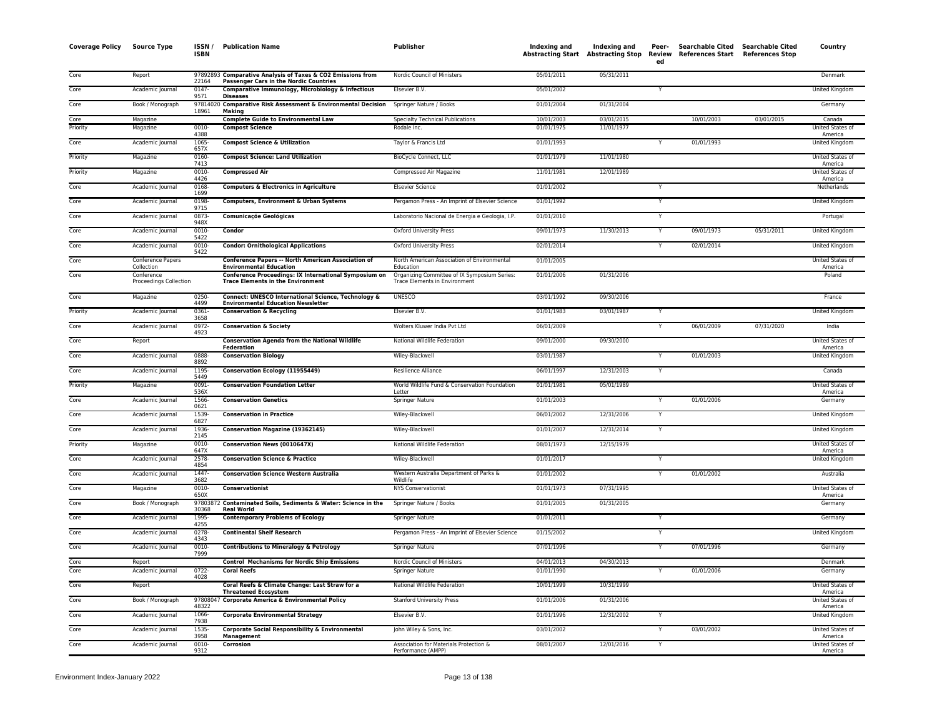| <b>Coverage Policy</b> | <b>Source Type</b>                   | ISSN /<br><b>ISBN</b> | <b>Publication Name</b>                                                                                      | Publisher                                                                     | Indexing and | Indexing and<br>Abstracting Start Abstracting Stop Review | Peer-<br>ed    | Searchable Cited Searchable Cited<br>References Start References Stop |            | Country                            |
|------------------------|--------------------------------------|-----------------------|--------------------------------------------------------------------------------------------------------------|-------------------------------------------------------------------------------|--------------|-----------------------------------------------------------|----------------|-----------------------------------------------------------------------|------------|------------------------------------|
| Core                   | Report                               | 22164                 | 97892893 Comparative Analysis of Taxes & CO2 Emissions from<br><b>Passenger Cars in the Nordic Countries</b> | Nordic Council of Ministers                                                   | 05/01/2011   | 05/31/2011                                                |                |                                                                       |            | Denmark                            |
| Core                   | Academic Journal                     | 0147<br>9571          | Comparative Immunology, Microbiology & Infectious<br><b>Diseases</b>                                         | Elsevier B.V.                                                                 | 05/01/2002   |                                                           | Y              |                                                                       |            | <b>United Kingdom</b>              |
| Core                   | Book / Monograph                     | 18961                 | 97814020 Comparative Risk Assessment & Environmental Decision<br>Making                                      | Springer Nature / Books                                                       | 01/01/2004   | 01/31/2004                                                |                |                                                                       |            | Germany                            |
| Core                   | Magazine                             |                       | <b>Complete Guide to Environmental Law</b>                                                                   | <b>Specialty Technical Publications</b>                                       | 10/01/2003   | 03/01/2015                                                |                | 10/01/2003                                                            | 03/01/2015 | Canada                             |
| Priority               | Magazine                             | 0010-<br>4388         | <b>Compost Science</b>                                                                                       | Rodale Inc.                                                                   | 01/01/1975   | 11/01/1977                                                |                |                                                                       |            | <b>United States of</b><br>America |
| Core                   | Academic Journal                     | 1065<br>657X          | <b>Compost Science &amp; Utilization</b>                                                                     | Taylor & Francis Ltd                                                          | 01/01/1993   |                                                           | <sup>V</sup>   | 01/01/1993                                                            |            | United Kingdom                     |
| Priority               | Magazine                             | 0160-<br>7413         | <b>Compost Science: Land Utilization</b>                                                                     | BioCycle Connect, LLC                                                         | 01/01/1979   | 11/01/1980                                                |                |                                                                       |            | United States of<br>America        |
| Priority               | Magazine                             | 0010-<br>4426         | <b>Compressed Air</b>                                                                                        | Compressed Air Magazine                                                       | 11/01/1981   | 12/01/1989                                                |                |                                                                       |            | United States of<br>America        |
| Core                   | Academic Journal                     | 0168<br>1699          | <b>Computers &amp; Electronics in Agriculture</b>                                                            | <b>Elsevier Science</b>                                                       | 01/01/2002   |                                                           |                |                                                                       |            | Netherlands                        |
| Core                   | Academic Journal                     | 0198<br>9715          | Computers, Environment & Urban Systems                                                                       | Pergamon Press - An Imprint of Elsevier Science                               | 01/01/1992   |                                                           | Y              |                                                                       |            | <b>United Kingdom</b>              |
| Core                   | Academic Journal                     | 0873-<br>948X         | <b>Comunicaçõe Geológicas</b>                                                                                | Laboratorio Nacional de Energia e Geologia, I.P.                              | 01/01/2010   |                                                           | Y              |                                                                       |            | Portugal                           |
| Core                   | Academic Journal                     | $0010 -$<br>5422      | Condor                                                                                                       | Oxford University Press                                                       | 09/01/1973   | 11/30/2013                                                | Y              | 09/01/1973                                                            | 05/31/2011 | United Kingdom                     |
| Core                   | Academic Journal                     | 0010-<br>5422         | <b>Condor: Ornithological Applications</b>                                                                   | Oxford University Press                                                       | 02/01/2014   |                                                           | Y              | 02/01/2014                                                            |            | United Kingdom                     |
| Core                   | Conference Papers<br>Collection      |                       | Conference Papers -- North American Association of<br><b>Environmental Education</b>                         | North American Association of Environmental<br>Education                      | 01/01/2005   |                                                           |                |                                                                       |            | United States of<br>America        |
| Core                   | Conference<br>Proceedings Collection |                       | Conference Proceedings: IX International Symposium on<br><b>Trace Elements in the Environment</b>            | Organizing Committee of IX Symposium Series:<br>Trace Elements in Environment | 01/01/2006   | 01/31/2006                                                |                |                                                                       |            | Poland                             |
| Core                   | Magazine                             | 0250-<br>4499         | Connect: UNESCO International Science, Technology &<br><b>Environmental Education Newsletter</b>             | <b>UNESCO</b>                                                                 | 03/01/1992   | 09/30/2006                                                |                |                                                                       |            | France                             |
| Priority               | Academic Journal                     | 0361<br>3658          | <b>Conservation &amp; Recycling</b>                                                                          | Elsevier B.V.                                                                 | 01/01/1983   | 03/01/1987                                                | Y              |                                                                       |            | United Kingdom                     |
| Core                   | Academic Journal                     | 0972-<br>4923         | <b>Conservation &amp; Society</b>                                                                            | Wolters Kluwer India Pvt Ltd                                                  | 06/01/2009   |                                                           | Y              | 06/01/2009                                                            | 07/31/2020 | India                              |
| Core                   | Report                               |                       | <b>Conservation Agenda from the National Wildlife</b><br>Federation                                          | National Wildlife Federation                                                  | 09/01/2000   | 09/30/2000                                                |                |                                                                       |            | <b>United States of</b><br>America |
| Core                   | Academic Journal                     | 0888<br>8892          | <b>Conservation Biology</b>                                                                                  | Wiley-Blackwell                                                               | 03/01/1987   |                                                           |                | 01/01/2003                                                            |            | United Kingdom                     |
| Core                   | Academic Journal                     | 1195<br>5449          | Conservation Ecology (11955449)                                                                              | Resilience Alliance                                                           | 06/01/1997   | 12/31/2003                                                | Y              |                                                                       |            | Canada                             |
| Priority               | Magazine                             | 0091<br>536X          | <b>Conservation Foundation Letter</b>                                                                        | World Wildlife Fund & Conservation Foundation<br>Letter                       | 01/01/1981   | 05/01/1989                                                |                |                                                                       |            | United States of<br>America        |
| Core                   | Academic Journal                     | 1566-<br>0621         | <b>Conservation Genetics</b>                                                                                 | Springer Nature                                                               | 01/01/2003   |                                                           |                | 01/01/2006                                                            |            | Germany                            |
| Core                   | Academic Journal                     | 1539<br>6827          | <b>Conservation in Practice</b>                                                                              | Wiley-Blackwell                                                               | 06/01/2002   | 12/31/2006                                                | $\overline{Y}$ |                                                                       |            | <b>United Kingdom</b>              |
| Core                   | Academic Journal                     | 1936-<br>2145         | <b>Conservation Magazine (19362145)</b>                                                                      | Wiley-Blackwell                                                               | 01/01/2007   | 12/31/2014                                                | Y              |                                                                       |            | United Kingdom                     |
| Priority               | Magazine                             | 0010-<br>647X         | Conservation News (0010647X)                                                                                 | National Wildlife Federation                                                  | 08/01/1973   | 12/15/1979                                                |                |                                                                       |            | United States of<br>America        |
| Core                   | Academic Journal                     | 2578<br>4854          | <b>Conservation Science &amp; Practice</b>                                                                   | Wiley-Blackwell                                                               | 01/01/2017   |                                                           | Y              |                                                                       |            | United Kingdom                     |
| Core                   | Academic Journal                     | 1447-<br>3682         | <b>Conservation Science Western Australia</b>                                                                | Western Australia Department of Parks &<br>Wildlife                           | 01/01/2002   |                                                           | Y              | 01/01/2002                                                            |            | Australia                          |
| Core                   | Magazine                             | $0010 -$<br>650X      | Conservationist                                                                                              | <b>NYS Conservationist</b>                                                    | 01/01/1973   | 07/31/1995                                                |                |                                                                       |            | United States of<br>America        |
| Core                   | Book / Monograph                     | 30368                 | 97803872 Contaminated Soils, Sediments & Water: Science in the<br><b>Real World</b>                          | Springer Nature / Books                                                       | 01/01/2005   | 01/31/2005                                                |                |                                                                       |            | Germany                            |
| Core                   | Academic Journal                     | 1995<br>4255          | <b>Contemporary Problems of Ecology</b>                                                                      | Springer Nature                                                               | 01/01/2011   |                                                           | Y              |                                                                       |            | Germany                            |
| Core                   | Academic Journal                     | 0278<br>4343          | <b>Continental Shelf Research</b>                                                                            | Pergamon Press - An Imprint of Elsevier Science                               | 01/15/2002   |                                                           | $\mathsf{Y}$   |                                                                       |            | United Kingdom                     |
| Core                   | Academic Journal                     | 0010-<br>7999         | <b>Contributions to Mineralogy &amp; Petrology</b>                                                           | Springer Nature                                                               | 07/01/1996   |                                                           | Y              | 07/01/1996                                                            |            | Germany                            |
| Core                   | Report                               |                       | <b>Control Mechanisms for Nordic Ship Emissions</b>                                                          | Nordic Council of Ministers                                                   | 04/01/2013   | 04/30/2013                                                |                |                                                                       |            | Denmark                            |
| Core                   | Academic Journal                     | 0722-<br>4028         | <b>Coral Reefs</b>                                                                                           | Springer Nature                                                               | 01/01/1990   |                                                           |                | 01/01/2006                                                            |            | Germany                            |
| Core                   | Report                               |                       | Coral Reefs & Climate Change: Last Straw for a<br><b>Threatened Ecosystem</b>                                | National Wildlife Federation                                                  | 10/01/1999   | 10/31/1999                                                |                |                                                                       |            | United States of<br>America        |
| Core                   | Book / Monograph                     | 48322                 | 97808047 Corporate America & Environmental Policy                                                            | <b>Stanford University Press</b>                                              | 01/01/2006   | 01/31/2006                                                |                |                                                                       |            | <b>United States of</b><br>America |
| Core                   | Academic Journal                     | 1066-<br>7938         | <b>Corporate Environmental Strategy</b>                                                                      | Elsevier B.V.                                                                 | 01/01/1996   | 12/31/2002                                                | Y              |                                                                       |            | United Kingdom                     |
| Core                   | Academic Journal                     | 1535<br>3958          | Corporate Social Responsibility & Environmental<br>Management                                                | John Wiley & Sons, Inc.                                                       | 03/01/2002   |                                                           |                | 03/01/2002                                                            |            | United States of<br>America        |
| Core                   | Academic Journal                     | 0010-<br>9312         | Corrosion                                                                                                    | Association for Materials Protection &<br>Performance (AMPP)                  | 08/01/2007   | 12/01/2016                                                | Y              |                                                                       |            | United States of<br>America        |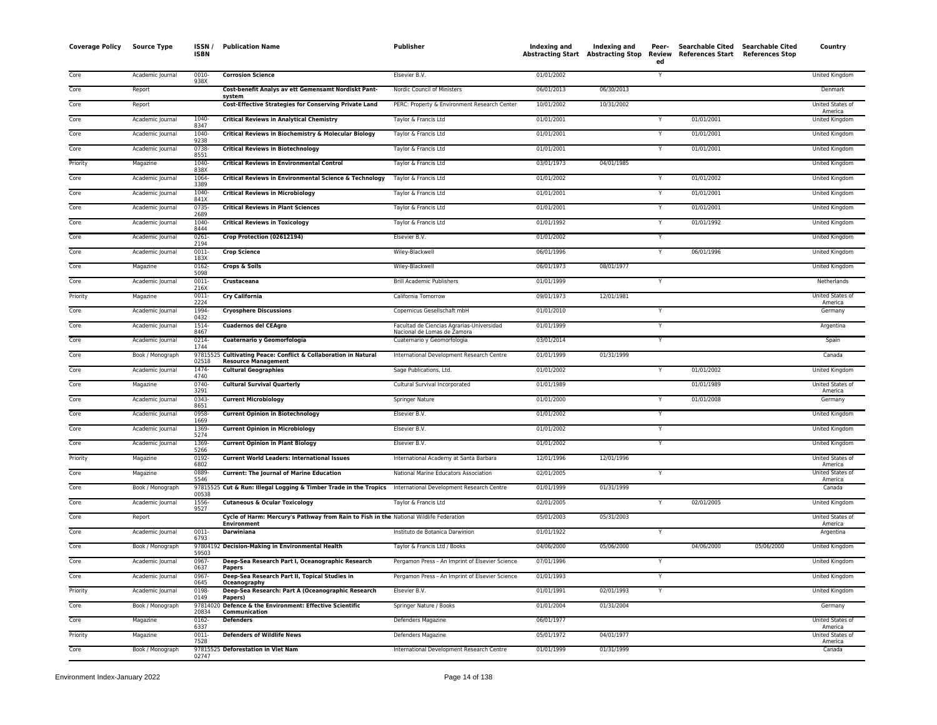| <b>Coverage Policy</b> | <b>Source Type</b> | ISSN /<br><b>ISBN</b> | <b>Publication Name</b>                                                                                      | <b>Publisher</b>                                                         | Indexing and | Indexing and<br><b>Abstracting Start Abstracting Stop</b> | Peer-<br>ed  | Searchable Cited Searchable Cited<br>Review References Start References Stop |            | Country                     |
|------------------------|--------------------|-----------------------|--------------------------------------------------------------------------------------------------------------|--------------------------------------------------------------------------|--------------|-----------------------------------------------------------|--------------|------------------------------------------------------------------------------|------------|-----------------------------|
| Core                   | Academic Journal   | $0010 -$<br>938X      | <b>Corrosion Science</b>                                                                                     | Elsevier B.V.                                                            | 01/01/2002   |                                                           | Y            |                                                                              |            | United Kingdom              |
| Core                   | Report             |                       | Cost-benefit Analys av ett Gemensamt Nordiskt Pant-<br>system                                                | Nordic Council of Ministers                                              | 06/01/2013   | 06/30/2013                                                |              |                                                                              |            | Denmark                     |
| Core                   | Report             |                       | <b>Cost-Effective Strategies for Conserving Private Land</b>                                                 | PERC: Property & Environment Research Center                             | 10/01/2002   | 10/31/2002                                                |              |                                                                              |            | United States of<br>America |
| Core                   | Academic Journal   | 1040<br>8347          | <b>Critical Reviews in Analytical Chemistry</b>                                                              | Taylor & Francis Ltd                                                     | 01/01/2001   |                                                           |              | 01/01/2001                                                                   |            | United Kingdom              |
| Core                   | Academic Journal   | $1040 -$<br>9238      | Critical Reviews in Biochemistry & Molecular Biology                                                         | Taylor & Francis Ltd                                                     | 01/01/2001   |                                                           |              | 01/01/2001                                                                   |            | United Kingdom              |
| Core                   | Academic Journal   | 0738<br>8551          | <b>Critical Reviews in Biotechnology</b>                                                                     | Taylor & Francis Ltd                                                     | 01/01/2001   |                                                           |              | 01/01/2001                                                                   |            | United Kingdom              |
| Priority               | Magazine           | 1040-<br>838X         | <b>Critical Reviews in Environmental Control</b>                                                             | Taylor & Francis Ltd                                                     | 03/01/1973   | 04/01/1985                                                |              |                                                                              |            | United Kingdom              |
| Core                   | Academic Journal   | 1064<br>3389          | Critical Reviews in Environmental Science & Technology                                                       | Taylor & Francis Ltd                                                     | 01/01/2002   |                                                           |              | 01/01/2002                                                                   |            | <b>United Kingdom</b>       |
| Core                   | Academic Journal   | 1040-<br>841X         | <b>Critical Reviews in Microbiology</b>                                                                      | Taylor & Francis Ltd                                                     | 01/01/2001   |                                                           |              | 01/01/2001                                                                   |            | United Kingdom              |
| Core                   | Academic Journal   | $0735 -$<br>2689      | <b>Critical Reviews in Plant Sciences</b>                                                                    | Taylor & Francis Ltd                                                     | 01/01/2001   |                                                           |              | 01/01/2001                                                                   |            | United Kingdom              |
| Core                   | Academic Journal   | $1040 -$<br>8444      | <b>Critical Reviews in Toxicology</b>                                                                        | Taylor & Francis Ltd                                                     | 01/01/1992   |                                                           |              | 01/01/1992                                                                   |            | United Kingdom              |
| Core                   | Academic Journal   | 0261<br>2194          | Crop Protection (02612194)                                                                                   | Elsevier B.V.                                                            | 01/01/2002   |                                                           | Y            |                                                                              |            | United Kingdom              |
| Core                   | Academic Journal   | $0011 -$<br>183X      | <b>Crop Science</b>                                                                                          | Wiley-Blackwell                                                          | 06/01/1996   |                                                           |              | 06/01/1996                                                                   |            | <b>United Kingdom</b>       |
| Core                   | Magazine           | 0162<br>5098          | Crops & Soils                                                                                                | Wiley-Blackwell                                                          | 06/01/1973   | 08/01/1977                                                |              |                                                                              |            | United Kingdom              |
| Core                   | Academic Journal   | $0011 -$<br>216X      | Crustaceana                                                                                                  | <b>Brill Academic Publishers</b>                                         | 01/01/1999   |                                                           | Y            |                                                                              |            | Netherlands                 |
| Priority               | Magazine           | 0011<br>2224          | <b>Cry California</b>                                                                                        | California Tomorrow                                                      | 09/01/1973   | 12/01/1981                                                |              |                                                                              |            | United States of<br>America |
| Core                   | Academic Journal   | 1994<br>0432          | <b>Cryosphere Discussions</b>                                                                                | Copernicus Gesellschaft mbH                                              | 01/01/2010   |                                                           | Y            |                                                                              |            | Germany                     |
| Core                   | Academic Journal   | 1514-<br>8467         | <b>Cuadernos del CEAgro</b>                                                                                  | Facultad de Ciencias Agrarias-Universidad<br>Nacional de Lomas de Zamora | 01/01/1999   |                                                           |              |                                                                              |            | Argentina                   |
| Core                   | Academic Journal   | 0214-<br>1744         | Cuaternario y Geomorfología                                                                                  | Cuaternario y Geomorfologia                                              | 03/01/2014   |                                                           | Y            |                                                                              |            | Spain                       |
| Core                   | Book / Monograph   | 02518                 | 97815525 Cultivating Peace: Conflict & Collaboration in Natural<br><b>Resource Management</b>                | International Development Research Centre                                | 01/01/1999   | 01/31/1999                                                |              |                                                                              |            | Canada                      |
| Core                   | Academic Journal   | 1474<br>4740          | <b>Cultural Geographies</b>                                                                                  | Sage Publications, Ltd.                                                  | 01/01/2002   |                                                           |              | 01/01/2002                                                                   |            | <b>United Kingdom</b>       |
| Core                   | Magazine           | $0740 -$<br>3291      | <b>Cultural Survival Quarterly</b>                                                                           | Cultural Survival Incorporated                                           | 01/01/1989   |                                                           |              | 01/01/1989                                                                   |            | United States of<br>America |
| Core                   | Academic Journal   | 0343-<br>8651         | <b>Current Microbiology</b>                                                                                  | <b>Springer Nature</b>                                                   | 01/01/2000   |                                                           |              | 01/01/2008                                                                   |            | Germany                     |
| Core                   | Academic Journal   | 0958-<br>1669         | <b>Current Opinion in Biotechnology</b>                                                                      | Elsevier B.V.                                                            | 01/01/2002   |                                                           |              |                                                                              |            | United Kingdom              |
| Core                   | Academic Journal   | 1369<br>5274          | <b>Current Opinion in Microbiology</b>                                                                       | Elsevier B.V.                                                            | 01/01/2002   |                                                           | Υ            |                                                                              |            | United Kingdom              |
| Core                   | Academic Journal   | 1369<br>5266          | <b>Current Opinion in Plant Biology</b>                                                                      | Elsevier B.V.                                                            | 01/01/2002   |                                                           | $\mathsf{v}$ |                                                                              |            | <b>United Kingdom</b>       |
| Priority               | Magazine           | 0192-<br>6802         | <b>Current World Leaders: International Issues</b>                                                           | International Academy at Santa Barbara                                   | 12/01/1996   | 12/01/1996                                                |              |                                                                              |            | United States of<br>America |
| Core                   | Magazine           | 0889-<br>5546         | <b>Current: The Journal of Marine Education</b>                                                              | National Marine Educators Association                                    | 02/01/2005   |                                                           |              |                                                                              |            | United States of<br>America |
| Core                   | Book / Monograph   | 00538                 | 97815525 Cut & Run: Illegal Logging & Timber Trade in the Tropics                                            | International Development Research Centre                                | 01/01/1999   | 01/31/1999                                                |              |                                                                              |            | Canada                      |
| Core                   | Academic Journal   | 1556<br>9527          | <b>Cutaneous &amp; Ocular Toxicology</b>                                                                     | Taylor & Francis Ltd                                                     | 02/01/2005   |                                                           |              | 02/01/2005                                                                   |            | United Kingdom              |
| Core                   | Report             |                       | Cycle of Harm: Mercury's Pathway from Rain to Fish in the National Wildlife Federation<br><b>Environment</b> |                                                                          | 05/01/2003   | 05/31/2003                                                |              |                                                                              |            | United States of<br>America |
| Core                   | Academic Journal   | 0011-<br>6793         | Darwiniana                                                                                                   | Instituto de Botanica Darwinion                                          | 01/01/1922   |                                                           |              |                                                                              |            | Argentina                   |
| Core                   | Book / Monograph   | 59503                 | 97804192 Decision-Making in Environmental Health                                                             | Taylor & Francis Ltd / Books                                             | 04/06/2000   | 05/06/2000                                                |              | 04/06/2000                                                                   | 05/06/2000 | <b>United Kingdom</b>       |
| Core                   | Academic Journal   | 0967<br>0637          | Deep-Sea Research Part I, Oceanographic Research<br>Papers                                                   | Pergamon Press - An Imprint of Elsevier Science                          | 07/01/1996   |                                                           |              |                                                                              |            | United Kingdom              |
| Core                   | Academic Journal   | 0967<br>0645          | Deep-Sea Research Part II, Topical Studies in<br>Oceanography                                                | Pergamon Press - An Imprint of Elsevier Science                          | 01/01/1993   |                                                           |              |                                                                              |            | <b>United Kingdom</b>       |
| Priority               | Academic Journal   | 0198<br>0149          | Deep-Sea Research: Part A (Oceanographic Research<br>Papers)                                                 | Elsevier B.V.                                                            | 01/01/1991   | 02/01/1993                                                | Y            |                                                                              |            | <b>United Kingdom</b>       |
| Core                   | Book / Monograph   | 97814020<br>20834     | Defence & the Environment: Effective Scientific<br>Communication                                             | Springer Nature / Books                                                  | 01/01/2004   | 01/31/2004                                                |              |                                                                              |            | Germany                     |
| Core                   | Magazine           | 0162-<br>6337         | <b>Defenders</b>                                                                                             | Defenders Magazine                                                       | 06/01/1977   |                                                           |              |                                                                              |            | United States of<br>America |
| Priority               | Magazine           | 0011<br>7528          | <b>Defenders of Wildlife News</b>                                                                            | Defenders Magazine                                                       | 05/01/1972   | 04/01/1977                                                |              |                                                                              |            | United States of<br>America |
| Core                   | Book / Monograph   | 02747                 | 97815525 Deforestation in Viet Nam                                                                           | International Development Research Centre                                | 01/01/1999   | 01/31/1999                                                |              |                                                                              |            | Canada                      |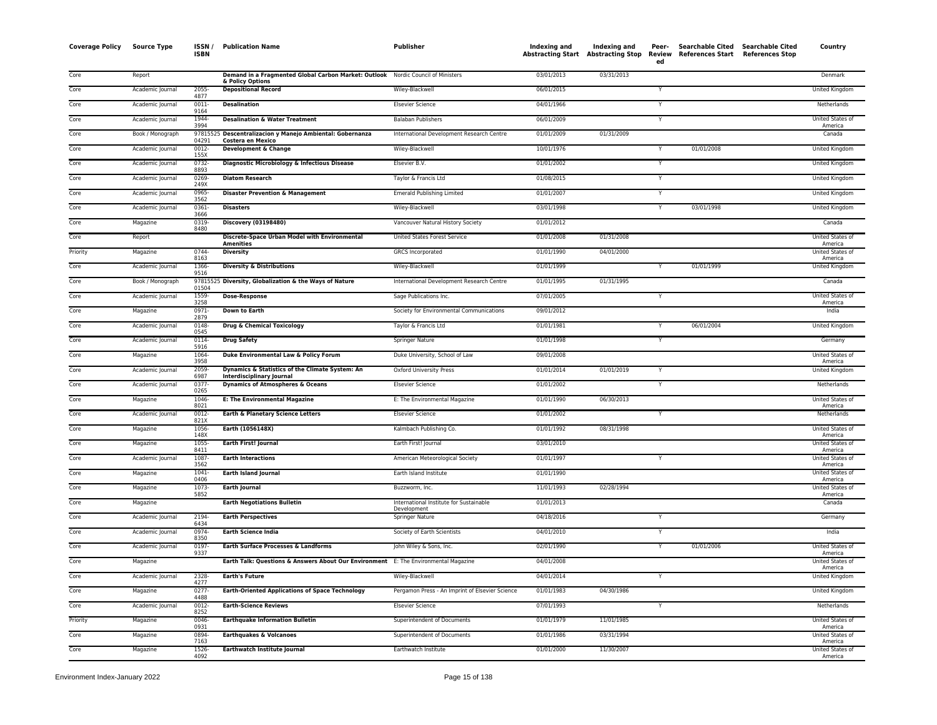| <b>Coverage Policy</b> | <b>Source Type</b> | ISSN /<br><b>ISBN</b> | <b>Publication Name</b>                                                             | Publisher                                              | Indexing and | Indexing and<br>Abstracting Start Abstracting Stop | Peer-<br>Review<br>ed | <b>Searchable Cited</b><br>References Start | <b>Searchable Cited</b><br><b>References Stop</b> | Country                            |
|------------------------|--------------------|-----------------------|-------------------------------------------------------------------------------------|--------------------------------------------------------|--------------|----------------------------------------------------|-----------------------|---------------------------------------------|---------------------------------------------------|------------------------------------|
| Core                   | Report             |                       | Demand in a Fragmented Global Carbon Market: Outlook Nordic Council of Ministers    |                                                        | 03/01/2013   | 03/31/2013                                         |                       |                                             |                                                   | Denmark                            |
| Core                   | Academic Journal   | 2055<br>4877          | & Policy Options<br><b>Depositional Record</b>                                      | Wiley-Blackwell                                        | 06/01/2015   |                                                    |                       |                                             |                                                   | United Kingdom                     |
| Core                   | Academic Journal   | $0011 -$<br>9164      | <b>Desalination</b>                                                                 | <b>Elsevier Science</b>                                | 04/01/1966   |                                                    | Y                     |                                             |                                                   | Netherlands                        |
| Core                   | Academic Journal   | 1944-<br>3994         | <b>Desalination &amp; Water Treatment</b>                                           | <b>Balaban Publishers</b>                              | 06/01/2009   |                                                    | Y                     |                                             |                                                   | United States of<br>America        |
| Core                   | Book / Monograph   | 04291                 | 97815525 Descentralizacion y Manejo Ambiental: Gobernanza<br>Costera en Mexico      | International Development Research Centre              | 01/01/2009   | 01/31/2009                                         |                       |                                             |                                                   | Canada                             |
| Core                   | Academic Journal   | $0012 -$<br>155X      | Development & Change                                                                | Wiley-Blackwell                                        | 10/01/1976   |                                                    | Y                     | 01/01/2008                                  |                                                   | United Kingdom                     |
| Core                   | Academic Journal   | $0732 -$<br>8893      | Diagnostic Microbiology & Infectious Disease                                        | Elsevier B.V.                                          | 01/01/2002   |                                                    | Y                     |                                             |                                                   | <b>United Kingdom</b>              |
| Core                   | Academic Journal   | 0269<br>249X          | <b>Diatom Research</b>                                                              | Taylor & Francis Ltd                                   | 01/08/2015   |                                                    | Y                     |                                             |                                                   | United Kingdom                     |
| Core                   | Academic Journal   | 0965-<br>3562         | <b>Disaster Prevention &amp; Management</b>                                         | <b>Emerald Publishing Limited</b>                      | 01/01/2007   |                                                    | Y                     |                                             |                                                   | United Kingdom                     |
| Core                   | Academic Journal   | 0361-<br>3666         | <b>Disasters</b>                                                                    | Wiley-Blackwell                                        | 03/01/1998   |                                                    | Y                     | 03/01/1998                                  |                                                   | United Kingdom                     |
| Core                   | Magazine           | 0319<br>8480          | <b>Discovery (03198480)</b>                                                         | Vancouver Natural History Society                      | 01/01/2012   |                                                    |                       |                                             |                                                   | Canada                             |
| Core                   | Report             |                       | Discrete-Space Urban Model with Environmental<br><b>Amenities</b>                   | United States Forest Service                           | 01/01/2008   | 01/31/2008                                         |                       |                                             |                                                   | United States of<br>America        |
| Priority               | Magazine           | 0744-<br>8163         | <b>Diversity</b>                                                                    | GRCS Incorporated                                      | 01/01/1990   | 04/01/2000                                         |                       |                                             |                                                   | United States of<br>America        |
| Core                   | Academic Journal   | 1366<br>9516          | <b>Diversity &amp; Distributions</b>                                                | Wiley-Blackwell                                        | 01/01/1999   |                                                    |                       | 01/01/1999                                  |                                                   | <b>United Kingdom</b>              |
| Core                   | Book / Monograph   | 01504                 | 97815525 Diversity, Globalization & the Ways of Nature                              | International Development Research Centre              | 01/01/1995   | 01/31/1995                                         |                       |                                             |                                                   | Canada                             |
| Core                   | Academic Journal   | 1559-<br>3258         | <b>Dose-Response</b>                                                                | Sage Publications Inc.                                 | 07/01/2005   |                                                    | Y                     |                                             |                                                   | United States of<br>America        |
| Core                   | Magazine           | $0971 -$<br>2879      | <b>Down to Earth</b>                                                                | Society for Environmental Communications               | 09/01/2012   |                                                    |                       |                                             |                                                   | India                              |
| Core                   | Academic Journal   | 0148<br>0545          | <b>Drug &amp; Chemical Toxicology</b>                                               | Taylor & Francis Ltd                                   | 01/01/1981   |                                                    |                       | 06/01/2004                                  |                                                   | United Kingdom                     |
| Core                   | Academic Journal   | $0114 -$<br>5916      | <b>Drug Safety</b>                                                                  | Springer Nature                                        | 01/01/1998   |                                                    | Y                     |                                             |                                                   | Germany                            |
| Core                   | Magazine           | 1064-<br>3958         | Duke Environmental Law & Policy Forum                                               | Duke University, School of Law                         | 09/01/2008   |                                                    |                       |                                             |                                                   | United States of<br>America        |
| Core                   | Academic Journal   | 2059<br>6987          | Dynamics & Statistics of the Climate System: An<br><b>Interdisciplinary Journal</b> | <b>Oxford University Press</b>                         | 01/01/2014   | 01/01/2019                                         | Y                     |                                             |                                                   | <b>United Kingdom</b>              |
| Core                   | Academic Journal   | 0377<br>0265          | <b>Dynamics of Atmospheres &amp; Oceans</b>                                         | <b>Elsevier Science</b>                                | 01/01/2002   |                                                    | Y                     |                                             |                                                   | Netherlands                        |
| Core                   | Magazine           | 1046<br>8021          | <b>E: The Environmental Magazine</b>                                                | E: The Environmental Magazine                          | 01/01/1990   | 06/30/2013                                         |                       |                                             |                                                   | United States of<br>America        |
| Core                   | Academic Journal   | 0012<br>821X          | Earth & Planetary Science Letters                                                   | <b>Elsevier Science</b>                                | 01/01/2002   |                                                    | Y                     |                                             |                                                   | Netherlands                        |
| Core                   | Magazine           | 1056-<br>148X         | Earth (1056148X)                                                                    | Kalmbach Publishing Co.                                | 01/01/1992   | 08/31/1998                                         |                       |                                             |                                                   | United States of<br>America        |
| Core                   | Magazine           | 1055<br>8411          | <b>Earth First! Journal</b>                                                         | Earth First! Journal                                   | 03/01/2010   |                                                    |                       |                                             |                                                   | <b>United States of</b><br>America |
| Core                   | Academic Journal   | 1087<br>3562          | <b>Earth Interactions</b>                                                           | American Meteorological Society                        | 01/01/1997   |                                                    | Y                     |                                             |                                                   | United States of<br>America        |
| Core                   | Magazine           | 1041<br>0406          | <b>Earth Island Journal</b>                                                         | Earth Island Institute                                 | 01/01/1990   |                                                    |                       |                                             |                                                   | United States of<br>America        |
| Core                   | Magazine           | 1073<br>5852          | <b>Earth Journal</b>                                                                | Buzzworm, Inc.                                         | 11/01/1993   | 02/28/1994                                         |                       |                                             |                                                   | United States of<br>America        |
| Core                   | Magazine           |                       | <b>Earth Negotiations Bulletin</b>                                                  | International Institute for Sustainable<br>Development | 01/01/2013   |                                                    |                       |                                             |                                                   | Canada                             |
| Core                   | Academic Journal   | 2194<br>6434          | <b>Earth Perspectives</b>                                                           | Springer Nature                                        | 04/18/2016   |                                                    | Y                     |                                             |                                                   | Germany                            |
| Core                   | Academic Journal   | 0974-<br>8350         | <b>Earth Science India</b>                                                          | Society of Earth Scientists                            | 04/01/2010   |                                                    | Y                     |                                             |                                                   | India                              |
| Core                   | Academic Journal   | 0197<br>9337          | Earth Surface Processes & Landforms                                                 | John Wiley & Sons, Inc.                                | 02/01/1990   |                                                    | Y                     | 01/01/2006                                  |                                                   | United States of<br>America        |
| Core                   | Magazine           |                       | Earth Talk: Questions & Answers About Our Environment E: The Environmental Magazine |                                                        | 04/01/2008   |                                                    |                       |                                             |                                                   | United States of<br>America        |
| Core                   | Academic Journal   | 2328-<br>4277         | <b>Earth's Future</b>                                                               | Wiley-Blackwell                                        | 04/01/2014   |                                                    | Y                     |                                             |                                                   | <b>United Kingdom</b>              |
| Core                   | Magazine           | $0277 -$<br>4488      | <b>Earth-Oriented Applications of Space Technology</b>                              | Pergamon Press - An Imprint of Elsevier Science        | 01/01/1983   | 04/30/1986                                         |                       |                                             |                                                   | United Kingdom                     |
| Core                   | Academic Journal   | 0012<br>8252          | <b>Earth-Science Reviews</b>                                                        | <b>Elsevier Science</b>                                | 07/01/1993   |                                                    | Y                     |                                             |                                                   | Netherlands                        |
| Priority               | Magazine           | 0046-<br>0931         | <b>Earthquake Information Bulletin</b>                                              | Superintendent of Documents                            | 01/01/1979   | 11/01/1985                                         |                       |                                             |                                                   | United States of<br>America        |
| Core                   | Magazine           | 0894<br>7163          | <b>Earthquakes &amp; Volcanoes</b>                                                  | Superintendent of Documents                            | 01/01/1986   | 03/31/1994                                         |                       |                                             |                                                   | United States of<br>America        |
| Core                   | Magazine           | 1526<br>4092          | <b>Earthwatch Institute Journal</b>                                                 | Earthwatch Institute                                   | 01/01/2000   | 11/30/2007                                         |                       |                                             |                                                   | United States of<br>America        |
|                        |                    |                       |                                                                                     |                                                        |              |                                                    |                       |                                             |                                                   |                                    |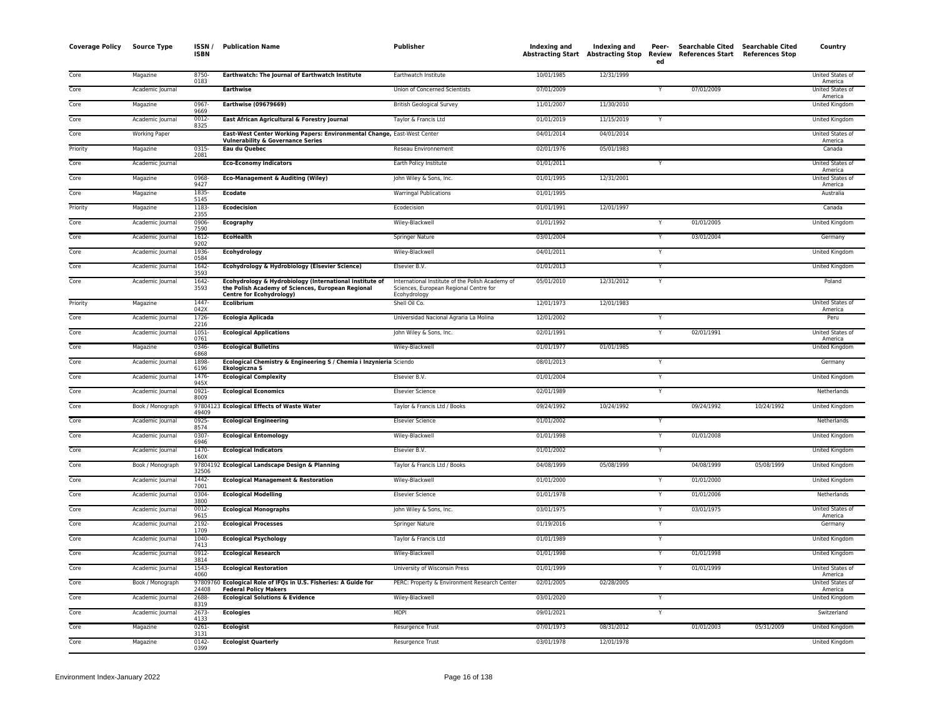| <b>Coverage Policy</b> | <b>Source Type</b>   | ISSN/<br><b>ISBN</b> | <b>Publication Name</b>                                                                                                                         | <b>Publisher</b>                                                                                           | Indexing and | Indexing and<br>Abstracting Start Abstracting Stop Review | Peer-<br>ed  | Searchable Cited Searchable Cited<br>References Start References Stop |            | Country                            |
|------------------------|----------------------|----------------------|-------------------------------------------------------------------------------------------------------------------------------------------------|------------------------------------------------------------------------------------------------------------|--------------|-----------------------------------------------------------|--------------|-----------------------------------------------------------------------|------------|------------------------------------|
| Core                   | Magazine             | 8750-<br>0183        | Earthwatch: The Journal of Earthwatch Institute                                                                                                 | Earthwatch Institute                                                                                       | 10/01/1985   | 12/31/1999                                                |              |                                                                       |            | United States of<br>America        |
| Core                   | Academic Journal     |                      | <b>Earthwise</b>                                                                                                                                | Union of Concerned Scientists                                                                              | 07/01/2009   |                                                           | Y            | 07/01/2009                                                            |            | United States of<br>America        |
| Core                   | Magazine             | 0967-<br>9669        | <b>Earthwise (09679669)</b>                                                                                                                     | <b>British Geological Survey</b>                                                                           | 11/01/2007   | 11/30/2010                                                |              |                                                                       |            | United Kingdom                     |
| Core                   | Academic Journal     | 0012-<br>8325        | East African Agricultural & Forestry Journal                                                                                                    | Taylor & Francis Ltd                                                                                       | 01/01/2019   | 11/15/2019                                                |              |                                                                       |            | United Kingdom                     |
| Core                   | <b>Working Paper</b> |                      | East-West Center Working Papers: Environmental Change, East-West Center<br><b>Vulnerability &amp; Governance Series</b>                         |                                                                                                            | 04/01/2014   | 04/01/2014                                                |              |                                                                       |            | United States of<br>America        |
| Priority               | Magazine             | 0315-<br>2081        | Eau du Quebec                                                                                                                                   | Reseau Environnement                                                                                       | 02/01/1976   | 05/01/1983                                                |              |                                                                       |            | Canada                             |
| Core                   | Academic Journal     |                      | <b>Eco-Economy Indicators</b>                                                                                                                   | Earth Policy Institute                                                                                     | 01/01/2011   |                                                           | Y            |                                                                       |            | <b>United States of</b><br>America |
| Core                   | Magazine             | 0968-<br>9427        | <b>Eco-Management &amp; Auditing (Wiley)</b>                                                                                                    | John Wiley & Sons, Inc.                                                                                    | 01/01/1995   | 12/31/2001                                                |              |                                                                       |            | United States of<br>America        |
| Core                   | Magazine             | 1835-<br>5145        | <b>Ecodate</b>                                                                                                                                  | <b>Warringal Publications</b>                                                                              | 01/01/1995   |                                                           |              |                                                                       |            | Australia                          |
| Priority               | Magazine             | 1183-<br>2355        | <b>Ecodecision</b>                                                                                                                              | Ecodecision                                                                                                | 01/01/1991   | 12/01/1997                                                |              |                                                                       |            | Canada                             |
| Core                   | Academic Journal     | 0906-<br>7590        | Ecography                                                                                                                                       | Wiley-Blackwell                                                                                            | 01/01/1992   |                                                           |              | 01/01/2005                                                            |            | United Kingdom                     |
| Core                   | Academic Journal     | $1612 -$<br>9202     | <b>EcoHealth</b>                                                                                                                                | Springer Nature                                                                                            | 03/01/2004   |                                                           | Y            | 03/01/2004                                                            |            | Germany                            |
| Core                   | Academic Journal     | 1936-<br>0584        | Ecohydrology                                                                                                                                    | Wiley-Blackwell                                                                                            | 04/01/2011   |                                                           | Y            |                                                                       |            | United Kingdom                     |
| Core                   | Academic Journal     | 1642-<br>3593        | Ecohydrology & Hydrobiology (Elsevier Science)                                                                                                  | Elsevier B.V.                                                                                              | 01/01/2013   |                                                           |              |                                                                       |            | United Kingdom                     |
| Core                   | Academic Journal     | 1642-<br>3593        | Ecohydrology & Hydrobiology (International Institute of<br>the Polish Academy of Sciences, European Regional<br><b>Centre for Ecohydrology)</b> | International Institute of the Polish Academy of<br>Sciences, European Regional Centre for<br>Ecohydrology | 05/01/2010   | 12/31/2012                                                | $\mathsf{Y}$ |                                                                       |            | Poland                             |
| Priority               | Magazine             | 1447-<br>042X        | <b>Ecolibrium</b>                                                                                                                               | Shell Oil Co.                                                                                              | 12/01/1973   | 12/01/1983                                                |              |                                                                       |            | United States of<br>America        |
| Core                   | Academic Journal     | 1726-<br>2216        | <b>Ecologia Aplicada</b>                                                                                                                        | Universidad Nacional Agraria La Molina                                                                     | 12/01/2002   |                                                           | $\mathsf{Y}$ |                                                                       |            | Peru                               |
| Core                   | Academic Journal     | $1051 -$<br>0761     | <b>Ecological Applications</b>                                                                                                                  | John Wiley & Sons, Inc.                                                                                    | 02/01/1991   |                                                           | $\mathsf{Y}$ | 02/01/1991                                                            |            | United States of<br>America        |
| Core                   | Magazine             | 0346-<br>6868        | <b>Ecological Bulletins</b>                                                                                                                     | Wiley-Blackwell                                                                                            | 01/01/1977   | 01/01/1985                                                |              |                                                                       |            | United Kingdom                     |
| Core                   | Academic Journal     | 1898-<br>6196        | Ecological Chemistry & Engineering S / Chemia i Inzynieria Sciendo<br>Ekologiczna S                                                             |                                                                                                            | 08/01/2013   |                                                           | Y            |                                                                       |            | Germany                            |
| Core                   | Academic Journal     | 1476-<br>945X        | <b>Ecological Complexity</b>                                                                                                                    | Elsevier B.V.                                                                                              | 01/01/2004   |                                                           |              |                                                                       |            | United Kingdom                     |
| Core                   | Academic Journal     | $0921 -$<br>8009     | <b>Ecological Economics</b>                                                                                                                     | <b>Elsevier Science</b>                                                                                    | 02/01/1989   |                                                           | Y            |                                                                       |            | Netherlands                        |
| Core                   | Book / Monograph     | 97804123<br>49409    | <b>Ecological Effects of Waste Water</b>                                                                                                        | Taylor & Francis Ltd / Books                                                                               | 09/24/1992   | 10/24/1992                                                |              | 09/24/1992                                                            | 10/24/1992 | United Kingdom                     |
| Core                   | Academic Journal     | 0925-<br>8574        | <b>Ecological Engineering</b>                                                                                                                   | <b>Elsevier Science</b>                                                                                    | 01/01/2002   |                                                           |              |                                                                       |            | Netherlands                        |
| Core                   | Academic Journal     | 0307-<br>6946        | <b>Ecological Entomology</b>                                                                                                                    | Wiley-Blackwell                                                                                            | 01/01/1998   |                                                           | $\mathsf{Y}$ | 01/01/2008                                                            |            | <b>United Kingdom</b>              |
| Core                   | Academic Journal     | $1470 -$<br>160X     | <b>Ecological Indicators</b>                                                                                                                    | Elsevier B.V.                                                                                              | 01/01/2002   |                                                           | Y            |                                                                       |            | United Kingdom                     |
| Core                   | Book / Monograph     | 32506                | 97804192 Ecological Landscape Design & Planning                                                                                                 | Taylor & Francis Ltd / Books                                                                               | 04/08/1999   | 05/08/1999                                                |              | 04/08/1999                                                            | 05/08/1999 | United Kingdom                     |
| Core                   | Academic Journal     | 1442-<br>7001        | <b>Ecological Management &amp; Restoration</b>                                                                                                  | Wiley-Blackwell                                                                                            | 01/01/2000   |                                                           | Y            | 01/01/2000                                                            |            | United Kingdom                     |
| Core                   | Academic Journal     | 0304-<br>3800        | <b>Ecological Modelling</b>                                                                                                                     | <b>Elsevier Science</b>                                                                                    | 01/01/1978   |                                                           | Y            | 01/01/2006                                                            |            | Netherlands                        |
| Core                   | Academic Journal     | 0012-<br>9615        | <b>Ecological Monographs</b>                                                                                                                    | John Wiley & Sons, Inc.                                                                                    | 03/01/1975   |                                                           | Y            | 03/01/1975                                                            |            | United States of<br>America        |
| Core                   | Academic Journal     | 2192-<br>1709        | <b>Ecological Processes</b>                                                                                                                     | <b>Springer Nature</b>                                                                                     | 01/19/2016   |                                                           | Y            |                                                                       |            | Germany                            |
| Core                   | Academic Journal     | 1040-<br>7413        | <b>Ecological Psychology</b>                                                                                                                    | Taylor & Francis Ltd                                                                                       | 01/01/1989   |                                                           | Y            |                                                                       |            | United Kingdom                     |
| Core                   | Academic Journal     | 0912-<br>3814        | <b>Ecological Research</b>                                                                                                                      | Wiley-Blackwell                                                                                            | 01/01/1998   |                                                           | Y            | 01/01/1998                                                            |            | <b>United Kingdom</b>              |
| Core                   | Academic Journal     | $1543 -$<br>4060     | <b>Ecological Restoration</b>                                                                                                                   | University of Wisconsin Press                                                                              | 01/01/1999   |                                                           |              | 01/01/1999                                                            |            | <b>United States of</b><br>America |
| Core                   | Book / Monograph     | 24408                | 97809760 Ecological Role of IFQs in U.S. Fisheries: A Guide for<br><b>Federal Policy Makers</b>                                                 | PERC: Property & Environment Research Center                                                               | 02/01/2005   | 02/28/2005                                                |              |                                                                       |            | <b>United States of</b><br>America |
| Core                   | Academic Journal     | 2688<br>8319         | <b>Ecological Solutions &amp; Evidence</b>                                                                                                      | Wiley-Blackwell                                                                                            | 03/01/2020   |                                                           |              |                                                                       |            | United Kingdom                     |
| Core                   | Academic Journal     | 2673-<br>4133        | <b>Ecologies</b>                                                                                                                                | <b>MDPI</b>                                                                                                | 09/01/2021   |                                                           | Y            |                                                                       |            | Switzerland                        |
| Core                   | Magazine             | 0261-<br>3131        | <b>Ecologist</b>                                                                                                                                | Resurgence Trust                                                                                           | 07/01/1973   | 08/31/2012                                                |              | 01/01/2003                                                            | 05/31/2009 | United Kingdom                     |
| Core                   | Magazine             | $0142 -$<br>0399     | <b>Ecologist Quarterly</b>                                                                                                                      | <b>Resurgence Trust</b>                                                                                    | 03/01/1978   | 12/01/1978                                                |              |                                                                       |            | <b>United Kingdom</b>              |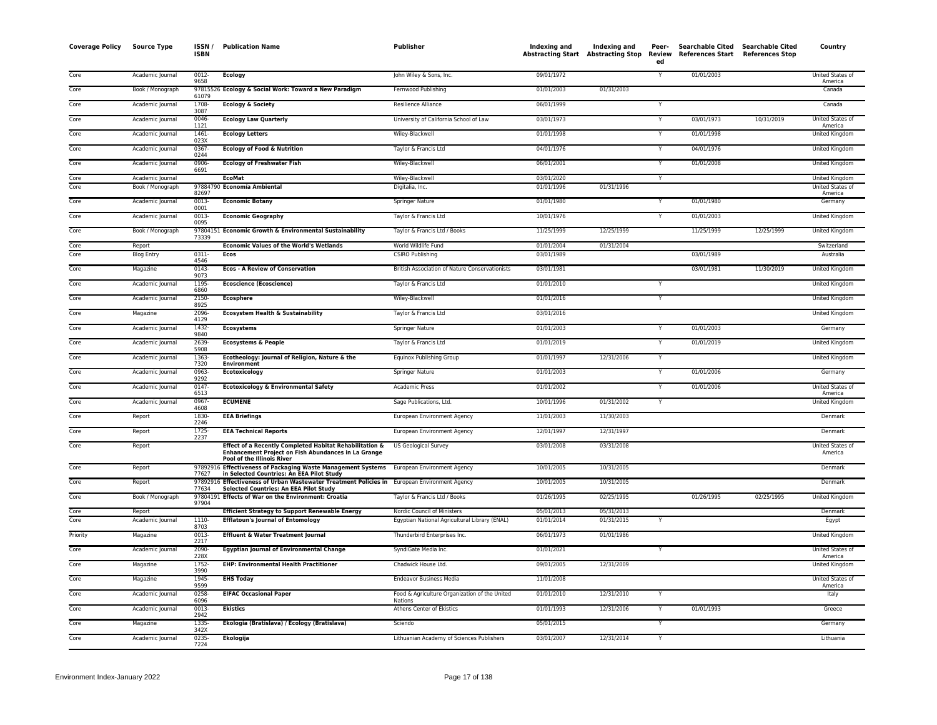| <b>Coverage Policy</b> | <b>Source Type</b> | ISSN /<br><b>ISBN</b> | <b>Publication Name</b>                                                                                                                      | <b>Publisher</b>                                         | Indexing and | Indexing and<br><b>Abstracting Start Abstracting Stop</b> | Peer-<br>Review<br>ed   | Searchable Cited Searchable Cited<br>References Start References Stop |            | Country                     |
|------------------------|--------------------|-----------------------|----------------------------------------------------------------------------------------------------------------------------------------------|----------------------------------------------------------|--------------|-----------------------------------------------------------|-------------------------|-----------------------------------------------------------------------|------------|-----------------------------|
| Core                   | Academic Journal   | $0012 -$<br>9658      | <b>Ecology</b>                                                                                                                               | John Wiley & Sons, Inc.                                  | 09/01/1972   |                                                           | Y                       | 01/01/2003                                                            |            | United States of<br>America |
| Core                   | Book / Monograph   | 61079                 | 97815526 Ecology & Social Work: Toward a New Paradigm                                                                                        | Fernwood Publishing                                      | 01/01/2003   | 01/31/2003                                                |                         |                                                                       |            | Canada                      |
| Core                   | Academic Journal   | 1708-<br>3087         | <b>Ecology &amp; Society</b>                                                                                                                 | Resilience Alliance                                      | 06/01/1999   |                                                           | Y                       |                                                                       |            | Canada                      |
| Core                   | Academic Journal   | 0046<br>1121          | <b>Ecology Law Quarterly</b>                                                                                                                 | University of California School of Law                   | 03/01/1973   |                                                           |                         | 03/01/1973                                                            | 10/31/2019 | United States of<br>America |
| Core                   | Academic Journal   | 1461<br>023X          | <b>Ecology Letters</b>                                                                                                                       | Wiley-Blackwell                                          | 01/01/1998   |                                                           | Y                       | 01/01/1998                                                            |            | United Kingdom              |
| Core                   | Academic Journal   | 0367-<br>0244         | <b>Ecology of Food &amp; Nutrition</b>                                                                                                       | Taylor & Francis Ltd                                     | 04/01/1976   |                                                           |                         | 04/01/1976                                                            |            | United Kingdom              |
| Core                   | Academic Journal   | 0906-                 | <b>Ecology of Freshwater Fish</b>                                                                                                            | Wiley-Blackwell                                          | 06/01/2001   |                                                           |                         | 01/01/2008                                                            |            | United Kingdom              |
| Core                   | Academic Journal   | 6691                  | <b>EcoMat</b>                                                                                                                                | Wiley-Blackwell                                          | 03/01/2020   |                                                           | Y                       |                                                                       |            | United Kingdom              |
| Core                   | Book / Monograph   | 82697                 | 97884790 Economía Ambiental                                                                                                                  | Digitalia, Inc.                                          | 01/01/1996   | 01/31/1996                                                |                         |                                                                       |            | United States of<br>America |
| Core                   | Academic Journal   | $0013 -$<br>0001      | <b>Economic Botany</b>                                                                                                                       | Springer Nature                                          | 01/01/1980   |                                                           | Y                       | 01/01/1980                                                            |            | Germany                     |
| Core                   | Academic Journal   | 0013-<br>0095         | <b>Economic Geography</b>                                                                                                                    | Taylor & Francis Ltd                                     | 10/01/1976   |                                                           | Υ                       | 01/01/2003                                                            |            | United Kingdom              |
| Core                   | Book / Monograph   | 73339                 | 97804151 Economic Growth & Environmental Sustainability                                                                                      | Taylor & Francis Ltd / Books                             | 11/25/1999   | 12/25/1999                                                |                         | 11/25/1999                                                            | 12/25/1999 | United Kingdom              |
| Core                   | Report             |                       | <b>Economic Values of the World's Wetlands</b>                                                                                               | World Wildlife Fund                                      | 01/01/2004   | 01/31/2004                                                |                         |                                                                       |            | Switzerland                 |
| Core                   | <b>Blog Entry</b>  | $0311 -$<br>4546      | Ecos                                                                                                                                         | <b>CSIRO Publishing</b>                                  | 03/01/1989   |                                                           |                         | 03/01/1989                                                            |            | Australia                   |
| Core                   | Magazine           | 0143<br>9073          | <b>Ecos - A Review of Conservation</b>                                                                                                       | British Association of Nature Conservationists           | 03/01/1981   |                                                           |                         | 03/01/1981                                                            | 11/30/2019 | <b>United Kingdom</b>       |
| Core                   | Academic Journal   | 1195<br>6860          | <b>Ecoscience (Ecoscience)</b>                                                                                                               | Taylor & Francis Ltd                                     | 01/01/2010   |                                                           | Y                       |                                                                       |            | United Kingdom              |
| Core                   | Academic Journal   | $2150 -$<br>8925      | <b>Ecosphere</b>                                                                                                                             | Wiley-Blackwell                                          | 01/01/2016   |                                                           | Y                       |                                                                       |            | <b>United Kingdom</b>       |
| Core                   | Magazine           | 2096-<br>4129         | <b>Ecosystem Health &amp; Sustainability</b>                                                                                                 | Taylor & Francis Ltd                                     | 03/01/2016   |                                                           |                         |                                                                       |            | United Kingdom              |
| Core                   | Academic Journal   | 1432-<br>9840         | <b>Ecosystems</b>                                                                                                                            | Springer Nature                                          | 01/01/2003   |                                                           | Y                       | 01/01/2003                                                            |            | Germany                     |
| Core                   | Academic Journal   | 2639-<br>5908         | <b>Ecosystems &amp; People</b>                                                                                                               | Taylor & Francis Ltd                                     | 01/01/2019   |                                                           | $\overline{Y}$          | 01/01/2019                                                            |            | United Kingdom              |
| Core                   | Academic Journal   | 1363<br>7320          | Ecotheology: Journal of Religion, Nature & the<br><b>Environment</b>                                                                         | Equinox Publishing Group                                 | 01/01/1997   | 12/31/2006                                                | $\overline{\mathsf{Y}}$ |                                                                       |            | <b>United Kingdom</b>       |
| Core                   | Academic Journal   | 0963<br>9292          | Ecotoxicology                                                                                                                                | Springer Nature                                          | 01/01/2003   |                                                           | Y                       | 01/01/2006                                                            |            | Germany                     |
| Core                   | Academic Journal   | 0147<br>6513          | <b>Ecotoxicology &amp; Environmental Safety</b>                                                                                              | <b>Academic Press</b>                                    | 01/01/2002   |                                                           |                         | 01/01/2006                                                            |            | United States of<br>America |
| Core                   | Academic Journal   | 0967-<br>4608         | <b>ECUMENE</b>                                                                                                                               | Sage Publications, Ltd.                                  | 10/01/1996   | 01/31/2002                                                | Y                       |                                                                       |            | <b>United Kingdom</b>       |
| Core                   | Report             | 1830<br>2246          | <b>EEA Briefings</b>                                                                                                                         | European Environment Agency                              | 11/01/2003   | 11/30/2003                                                |                         |                                                                       |            | Denmark                     |
| Core                   | Report             | 1725<br>2237          | <b>EEA Technical Reports</b>                                                                                                                 | European Environment Agency                              | 12/01/1997   | 12/31/1997                                                |                         |                                                                       |            | Denmark                     |
| Core                   | Report             |                       | Effect of a Recently Completed Habitat Rehabilitation &<br>Enhancement Project on Fish Abundances in La Grange<br>Pool of the Illinois River | <b>US Geological Survey</b>                              | 03/01/2008   | 03/31/2008                                                |                         |                                                                       |            | United States of<br>America |
| Core                   | Report             | 77627                 | 97892916 Effectiveness of Packaging Waste Management Systems European Environment Agency<br>in Selected Countries: An EEA Pilot Study        |                                                          | 10/01/2005   | 10/31/2005                                                |                         |                                                                       |            | Denmark                     |
| Core                   | Report             | 77634                 | 97892916 Effectiveness of Urban Wastewater Treatment Policies in European Environment Agency<br>Selected Countries: An EEA Pilot Study       |                                                          | 10/01/2005   | 10/31/2005                                                |                         |                                                                       |            | Denmark                     |
| Core                   | Book / Monograph   | 97904                 | 97804191 Effects of War on the Environment: Croatia                                                                                          | Taylor & Francis Ltd / Books                             | 01/26/1995   | 02/25/1995                                                |                         | 01/26/1995                                                            | 02/25/1995 | <b>United Kingdom</b>       |
| Core                   | Report             |                       | <b>Efficient Strategy to Support Renewable Energy</b>                                                                                        | Nordic Council of Ministers                              | 05/01/2013   | 05/31/2013                                                |                         |                                                                       |            | Denmark                     |
| Core                   | Academic Journal   | 1110<br>8703          | <b>Efflatoun's Journal of Entomology</b>                                                                                                     | Egyptian National Agricultural Library (ENAL)            | 01/01/2014   | 01/31/2015                                                | Y                       |                                                                       |            | Egypt                       |
| Priority               | Magazine           | $0013 -$<br>2217      | Effluent & Water Treatment Journal                                                                                                           | Thunderbird Enterprises Inc.                             | 06/01/1973   | 01/01/1986                                                |                         |                                                                       |            | <b>United Kingdom</b>       |
| Core                   | Academic Journal   | 2090-<br>228X         | <b>Egyptian Journal of Environmental Change</b>                                                                                              | SyndiGate Media Inc.                                     | 01/01/2021   |                                                           | Ÿ                       |                                                                       |            | United States of<br>America |
| Core                   | Magazine           | 1752-<br>3990         | <b>EHP: Environmental Health Practitioner</b>                                                                                                | Chadwick House Ltd.                                      | 09/01/2005   | 12/31/2009                                                |                         |                                                                       |            | <b>United Kingdom</b>       |
| Core                   | Magazine           | 1945-<br>9599         | <b>EHS Today</b>                                                                                                                             | <b>Endeavor Business Media</b>                           | 11/01/2008   |                                                           |                         |                                                                       |            | United States of<br>America |
| Core                   | Academic Journal   | 0258<br>6096          | <b>EIFAC Occasional Paper</b>                                                                                                                | Food & Agriculture Organization of the United<br>Nations | 01/01/2010   | 12/31/2010                                                |                         |                                                                       |            | Italy                       |
| Core                   | Academic Journal   | 0013<br>2942          | <b>Ekistics</b>                                                                                                                              | Athens Center of Ekistics                                | 01/01/1993   | 12/31/2006                                                | Y                       | 01/01/1993                                                            |            | Greece                      |
| Core                   | Magazine           | 1335<br>342X          | Ekologia (Bratislava) / Ecology (Bratislava)                                                                                                 | Sciendo                                                  | 05/01/2015   |                                                           | Υ                       |                                                                       |            | Germany                     |
| Core                   | Academic Journal   | 0235<br>7224          | <b>Ekologija</b>                                                                                                                             | Lithuanian Academy of Sciences Publishers                | 03/01/2007   | 12/31/2014                                                |                         |                                                                       |            | Lithuania                   |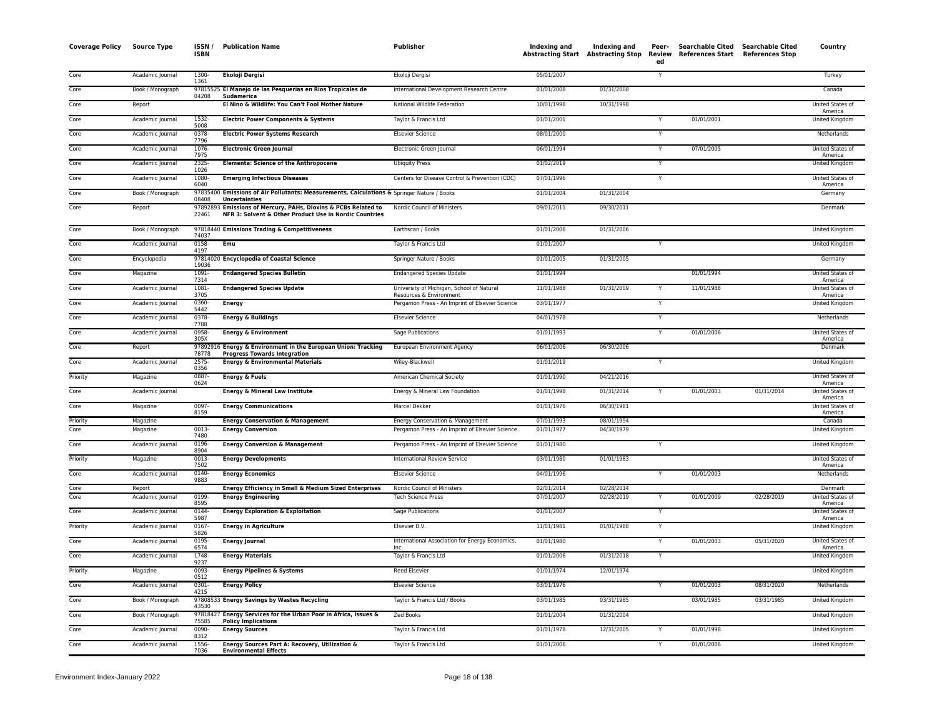| <b>Coverage Policy</b> | <b>Source Type</b>   | ISSN /<br><b>ISBN</b> | <b>Publication Name</b>                                                                                                  | <b>Publisher</b>                                                                    | Indexing and<br>Abstracting Start Abstracting Stop | Indexing and             | Peer-<br>Review<br>ed | Searchable Cited Searchable Cited<br>References Start References Stop |            | Country                            |
|------------------------|----------------------|-----------------------|--------------------------------------------------------------------------------------------------------------------------|-------------------------------------------------------------------------------------|----------------------------------------------------|--------------------------|-----------------------|-----------------------------------------------------------------------|------------|------------------------------------|
| Core                   | Academic Journal     | 1300-<br>1361         | <b>Ekoloji Dergisi</b>                                                                                                   | Ekoloji Dergisi                                                                     | 05/01/2007                                         |                          | Y                     |                                                                       |            | Turkey                             |
| Core                   | Book / Monograph     | 04208                 | 97815525 El Manejo de las Pesquerias en Rios Tropicales de<br>Sudamerica                                                 | International Development Research Centre                                           | 01/01/2008                                         | 01/31/2008               |                       |                                                                       |            | Canada                             |
| Core                   | Report               |                       | El Nino & Wildlife: You Can't Fool Mother Nature                                                                         | National Wildlife Federation                                                        | 10/01/1998                                         | 10/31/1998               |                       |                                                                       |            | United States of<br>America        |
| Core                   | Academic Journal     | 1532<br>5008          | <b>Electric Power Components &amp; Systems</b>                                                                           | Taylor & Francis Ltd                                                                | 01/01/2001                                         |                          |                       | 01/01/2001                                                            |            | <b>United Kingdom</b>              |
| Core                   | Academic Journal     | 0378<br>7796          | <b>Electric Power Systems Research</b>                                                                                   | <b>Elsevier Science</b>                                                             | 08/01/2000                                         |                          |                       |                                                                       |            | Netherlands                        |
| Core                   | Academic Journal     | 1076<br>7975          | <b>Electronic Green Journal</b>                                                                                          | Electronic Green Journal                                                            | 06/01/1994                                         |                          | Y                     | 07/01/2005                                                            |            | <b>United States of</b><br>America |
| Core                   | Academic Journal     | 2325<br>1026          | <b>Elementa: Science of the Anthropocene</b>                                                                             | <b>Ubiquity Press</b>                                                               | 01/02/2019                                         |                          | Y                     |                                                                       |            | <b>United Kingdom</b>              |
| Core                   | Academic Journal     | 1080-<br>6040         | <b>Emerging Infectious Diseases</b>                                                                                      | Centers for Disease Control & Prevention (CDC)                                      | 07/01/1996                                         |                          |                       |                                                                       |            | United States of<br>America        |
| Core                   | Book / Monograph     | 08408                 | 97835400 Emissions of Air Pollutants: Measurements, Calculations & Springer Nature / Books<br><b>Uncertainties</b>       |                                                                                     | 01/01/2004                                         | 01/31/2004               |                       |                                                                       |            | Germany                            |
| Core                   | Report               | 22461                 | 97892893 Emissions of Mercury, PAHs, Dioxins & PCBs Related to<br>NFR 3: Solvent & Other Product Use in Nordic Countries | Nordic Council of Ministers                                                         | 09/01/2011                                         | 09/30/2011               |                       |                                                                       |            | Denmark                            |
| Core                   | Book / Monograph     | 74037                 | 97818440 Emissions Trading & Competitiveness                                                                             | Earthscan / Books                                                                   | 01/01/2006                                         | 01/31/2006               |                       |                                                                       |            | <b>United Kingdom</b>              |
| Core                   | Academic Journal     | 0158-<br>4197         | Emu                                                                                                                      | Taylor & Francis Ltd                                                                | 01/01/2007                                         |                          |                       |                                                                       |            | United Kingdom                     |
| Core                   | Encyclopedia         | 19036                 | 97814020 Encyclopedia of Coastal Science                                                                                 | Springer Nature / Books                                                             | 01/01/2005                                         | 01/31/2005               |                       |                                                                       |            | Germany                            |
| Core                   | Magazine             | 1091-<br>7314         | <b>Endangered Species Bulletin</b>                                                                                       | <b>Endangered Species Update</b>                                                    | 01/01/1994                                         |                          |                       | 01/01/1994                                                            |            | United States of<br>America        |
| Core                   | Academic Journal     | 1081-<br>3705         | <b>Endangered Species Update</b>                                                                                         | University of Michigan, School of Natural<br>Resources & Environment                | 11/01/1988                                         | 01/31/2009               |                       | 11/01/1988                                                            |            | United States of<br>America        |
| Core                   | Academic Journal     | 0360-<br>5442         | <b>Energy</b>                                                                                                            | Pergamon Press - An Imprint of Elsevier Science                                     | 03/01/1977                                         |                          | Y                     |                                                                       |            | <b>United Kingdom</b>              |
| Core                   | Academic Journal     | 0378<br>7788          | <b>Energy &amp; Buildings</b>                                                                                            | <b>Elsevier Science</b>                                                             | 04/01/1978                                         |                          | Y                     |                                                                       |            | Netherlands                        |
| Core                   | Academic Journal     | 0958<br>305X          | <b>Energy &amp; Environment</b>                                                                                          | Sage Publications                                                                   | 01/01/1993                                         |                          | Y                     | 01/01/2006                                                            |            | United States of<br>America        |
| Core                   | Report               | 78778                 | 97892916 Energy & Environment in the European Union: Tracking<br><b>Progress Towards Integration</b>                     | European Environment Agency                                                         | 06/01/2006                                         | 06/30/2006               |                       |                                                                       |            | Denmark                            |
| Core                   | Academic Journal     | 2575<br>0356          | <b>Energy &amp; Environmental Materials</b>                                                                              | Wiley-Blackwell                                                                     | 01/01/2019                                         |                          |                       |                                                                       |            | United Kingdom                     |
| Priority               | Magazine             | 0887-<br>0624         | <b>Energy &amp; Fuels</b>                                                                                                | American Chemical Society                                                           | 01/01/1990                                         | 04/21/2016               |                       |                                                                       |            | United States of<br>America        |
| Core                   | Academic Journal     |                       | <b>Energy &amp; Mineral Law Institute</b>                                                                                | Energy & Mineral Law Foundation                                                     | 01/01/1998                                         | 01/31/2014               |                       | 01/01/2003                                                            | 01/31/2014 | <b>United States of</b><br>America |
| Core                   | Magazine             | 0097<br>8159          | <b>Energy Communications</b>                                                                                             | Marcel Dekker                                                                       | 01/01/1976                                         | 06/30/1981               |                       |                                                                       |            | United States of<br>America        |
| Priority<br>Core       | Magazine<br>Magazine | 0013                  | <b>Energy Conservation &amp; Management</b><br><b>Energy Conversion</b>                                                  | Energy Conservation & Management<br>Pergamon Press - An Imprint of Elsevier Science | 07/01/1993<br>01/01/1977                           | 08/01/1994<br>04/30/1979 |                       |                                                                       |            | Canada<br>United Kingdom           |
| Core                   | Academic Journal     | 7480<br>0196          | <b>Energy Conversion &amp; Management</b>                                                                                | Pergamon Press - An Imprint of Elsevier Science                                     | 01/01/1980                                         |                          | Y                     |                                                                       |            | United Kingdom                     |
| Priority               | Magazine             | 8904<br>0013-         | <b>Energy Developments</b>                                                                                               | <b>International Review Service</b>                                                 | 03/01/1980                                         | 01/01/1983               |                       |                                                                       |            | United States of                   |
| Core                   | Academic Journal     | 7502<br>0140-         | <b>Energy Economics</b>                                                                                                  | <b>Elsevier Science</b>                                                             | 04/01/1996                                         |                          | Y                     | 01/01/2003                                                            |            | America<br>Netherlands             |
| Cor <sub>e</sub>       | Report               | 9883                  | <b>Energy Efficiency in Small &amp; Medium Sized Enterprises</b>                                                         | Nordic Council of Ministers                                                         | 02/01/2014                                         | 02/28/2014               |                       |                                                                       |            | Denmark                            |
| Core                   | Academic Journal     | 0199<br>8595          | <b>Energy Engineering</b>                                                                                                | <b>Tech Science Press</b>                                                           | 07/01/2007                                         | 02/28/2019               |                       | 01/01/2009                                                            | 02/28/2019 | United States of<br>America        |
| Core                   | Academic Journal     | 0144<br>5987          | <b>Energy Exploration &amp; Exploitation</b>                                                                             | Sage Publications                                                                   | 01/01/2007                                         |                          | Y                     |                                                                       |            | United States of<br>America        |
| Priority               | Academic Journal     | 0167<br>5826          | <b>Energy in Agriculture</b>                                                                                             | Elsevier B.V.                                                                       | 11/01/1981                                         | 01/01/1988               | Y                     |                                                                       |            | United Kingdom                     |
| Core                   | Academic Journal     | 0195-<br>6574         | <b>Energy Journal</b>                                                                                                    | International Association for Energy Economics,<br><b>Inc</b>                       | 01/01/1980                                         |                          |                       | 01/01/2003                                                            | 05/31/2020 | United States of<br>America        |
| Core                   | Academic Journal     | 1748-<br>9237         | <b>Energy Materials</b>                                                                                                  | Taylor & Francis Ltd                                                                | 01/01/2006                                         | 01/31/2018               | Y                     |                                                                       |            | <b>United Kingdom</b>              |
| Priority               | Magazine             | 0093<br>0512          | <b>Energy Pipelines &amp; Systems</b>                                                                                    | <b>Reed Elsevier</b>                                                                | 01/01/1974                                         | 12/01/1974               |                       |                                                                       |            | <b>United Kingdom</b>              |
| Core                   | Academic Journal     | $0301 -$<br>4215      | <b>Energy Policy</b>                                                                                                     | <b>Elsevier Science</b>                                                             | 03/01/1976                                         |                          | Y                     | 01/01/2003                                                            | 08/31/2020 | Netherlands                        |
| Core                   | Book / Monograph     | 43530                 | 97808533 Energy Savings by Wastes Recycling                                                                              | Taylor & Francis Ltd / Books                                                        | 03/01/1985                                         | 03/31/1985               |                       | 03/01/1985                                                            | 03/31/1985 | United Kingdom                     |
| Core                   | Book / Monograph     | 75585                 | 97818427 Energy Services for the Urban Poor in Africa, Issues &<br><b>Policy Implications</b>                            | <b>Zed Books</b>                                                                    | 01/01/2004                                         | 01/31/2004               |                       |                                                                       |            | United Kingdom                     |
| Core                   | Academic Journal     | 0090-<br>8312         | <b>Energy Sources</b>                                                                                                    | Taylor & Francis Ltd                                                                | 01/01/1978                                         | 12/31/2005               |                       | 01/01/1998                                                            |            | <b>United Kingdom</b>              |
| Core                   | Academic Journal     | 1556<br>7036          | Energy Sources Part A: Recovery, Utilization &<br><b>Environmental Effects</b>                                           | Taylor & Francis Ltd                                                                | 01/01/2006                                         |                          |                       | 01/01/2006                                                            |            | United Kingdom                     |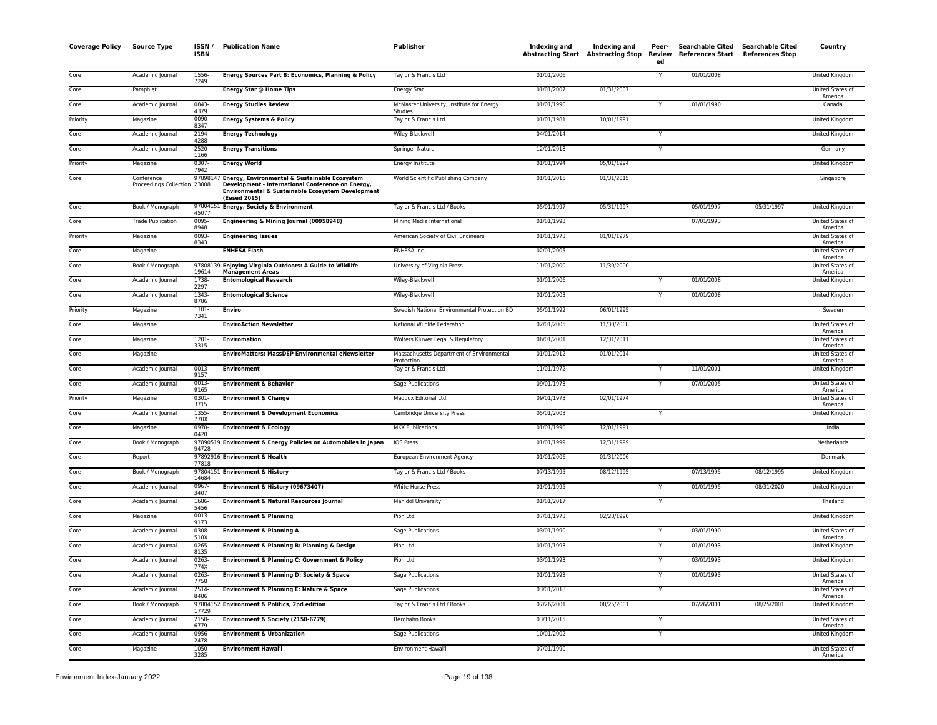| <b>Coverage Policy</b> | <b>Source Type</b>                         | ISSN/<br><b>ISBN</b> | <b>Publication Name</b>                                                                                                                                                 | Publisher                                               |            | Indexing and Indexing and<br>Abstracting Start Abstracting Stop | Peer-<br>ed | Searchable Cited Searchable Cited<br>Review References Start References Stop |            | Country                            |
|------------------------|--------------------------------------------|----------------------|-------------------------------------------------------------------------------------------------------------------------------------------------------------------------|---------------------------------------------------------|------------|-----------------------------------------------------------------|-------------|------------------------------------------------------------------------------|------------|------------------------------------|
| Core                   | Academic Journal                           | 1556-<br>7249        | Energy Sources Part B: Economics, Planning & Policy                                                                                                                     | Taylor & Francis Ltd                                    | 01/01/2006 |                                                                 | Y           | 01/01/2008                                                                   |            | United Kingdom                     |
| Core                   | Pamphlet                                   |                      | Energy Star @ Home Tips                                                                                                                                                 | Energy Star                                             | 01/01/2007 | 01/31/2007                                                      |             |                                                                              |            | United States of<br>America        |
| Core                   | Academic Journal                           | 0843-<br>4379        | <b>Energy Studies Review</b>                                                                                                                                            | McMaster University, Institute for Energy<br>Studies    | 01/01/1990 |                                                                 | Y           | 01/01/1990                                                                   |            | Canada                             |
| Priority               | Magazine                                   | 0090-<br>8347        | <b>Energy Systems &amp; Policy</b>                                                                                                                                      | Taylor & Francis Ltd                                    | 01/01/1981 | 10/01/1991                                                      |             |                                                                              |            | United Kingdom                     |
| Core                   | Academic Journal                           | 2194-<br>4288        | <b>Energy Technology</b>                                                                                                                                                | Wiley-Blackwell                                         | 04/01/2014 |                                                                 | Ÿ           |                                                                              |            | United Kingdom                     |
| Core                   | Academic Journal                           | 2520-<br>1166        | <b>Energy Transitions</b>                                                                                                                                               | <b>Springer Nature</b>                                  | 12/01/2018 |                                                                 | Y           |                                                                              |            | Germany                            |
| Priority               | Magazine                                   | 0307-<br>7942        | <b>Energy World</b>                                                                                                                                                     | Energy Institute                                        | 01/01/1994 | 05/01/1994                                                      |             |                                                                              |            | <b>United Kingdom</b>              |
| Core                   | Conference<br>Proceedings Collection 23008 | 9789814              | Energy, Environmental & Sustainable Ecosystem<br>Development - International Conference on Energy,<br>Environmental & Sustainable Ecosystem Development<br>(Eesed 2015) | World Scientific Publishing Company                     | 01/01/2015 | 01/31/2015                                                      |             |                                                                              |            | Singapore                          |
| Core                   | Book / Monograph                           | 45077                | 97804151 Energy, Society & Environment                                                                                                                                  | Taylor & Francis Ltd / Books                            | 05/01/1997 | 05/31/1997                                                      |             | 05/01/1997                                                                   | 05/31/1997 | United Kingdom                     |
| Core                   | <b>Trade Publication</b>                   | 0095-<br>8948        | Engineering & Mining Journal (00958948)                                                                                                                                 | Mining Media International                              | 01/01/1993 |                                                                 |             | 07/01/1993                                                                   |            | United States of<br>America        |
| Priority               | Magazine                                   | 0093-<br>8343        | <b>Engineering Issues</b>                                                                                                                                               | American Society of Civil Engineers                     | 01/01/1973 | 01/01/1979                                                      |             |                                                                              |            | United States of<br>America        |
| Core                   | Magazine                                   |                      | <b>ENHESA Flash</b>                                                                                                                                                     | <b>ENHESA Inc.</b>                                      | 02/01/2005 |                                                                 |             |                                                                              |            | United States of<br>America        |
| Core                   | Book / Monograph                           | 19614                | 97808139 Enjoying Virginia Outdoors: A Guide to Wildlife<br><b>Management Areas</b>                                                                                     | University of Virginia Press                            | 11/01/2000 | 11/30/2000                                                      |             |                                                                              |            | United States of<br>America        |
| Core                   | Academic Journal                           | 1738-<br>2297        | <b>Entomological Research</b>                                                                                                                                           | Wiley-Blackwell                                         | 01/01/2006 |                                                                 |             | 01/01/2008                                                                   |            | United Kingdom                     |
| Core                   | Academic Journal                           | 1343-<br>8786        | <b>Entomological Science</b>                                                                                                                                            | Wiley-Blackwell                                         | 01/01/2003 |                                                                 |             | 01/01/2008                                                                   |            | United Kingdom                     |
| Priority               | Magazine                                   | 1101-<br>7341        | <b>Enviro</b>                                                                                                                                                           | Swedish National Environmental Protection BD            | 05/01/1992 | 06/01/1995                                                      |             |                                                                              |            | Sweden                             |
| Core                   | Magazine                                   |                      | <b>EnviroAction Newsletter</b>                                                                                                                                          | National Wildlife Federation                            | 02/01/2005 | 11/30/2008                                                      |             |                                                                              |            | <b>United States of</b><br>America |
| Core                   | Magazine                                   | $1201 -$<br>3315     | <b>Enviromation</b>                                                                                                                                                     | Wolters Kluwer Legal & Regulatory                       | 06/01/2001 | 12/31/2011                                                      |             |                                                                              |            | United States of<br>America        |
| Core                   | Magazine                                   |                      | <b>EnviroMatters: MassDEP Environmental eNewsletter</b>                                                                                                                 | Massachusetts Department of Environmental<br>Protection | 01/01/2012 | 01/01/2014                                                      |             |                                                                              |            | United States of<br>America        |
| Core                   | Academic Journal                           | 0013-<br>9157        | Environment                                                                                                                                                             | Taylor & Francis Ltd                                    | 11/01/1972 |                                                                 |             | 11/01/2001                                                                   |            | United Kingdom                     |
| Core                   | Academic Journal                           | 0013-<br>9165        | <b>Environment &amp; Behavior</b>                                                                                                                                       | Sage Publications                                       | 09/01/1973 |                                                                 |             | 07/01/2005                                                                   |            | United States of<br>America        |
| Priority               | Magazine                                   | 0301-<br>3715        | <b>Environment &amp; Change</b>                                                                                                                                         | Maddox Editorial Ltd.                                   | 09/01/1973 | 02/01/1974                                                      |             |                                                                              |            | United States of<br>America        |
| Core                   | Academic Journal                           | 1355-<br>770X        | <b>Environment &amp; Development Economics</b>                                                                                                                          | Cambridge University Press                              | 05/01/2003 |                                                                 | Y           |                                                                              |            | United Kingdom                     |
| Core                   | Magazine                                   | 0970-<br>0420        | <b>Environment &amp; Ecology</b>                                                                                                                                        | <b>MKK Publications</b>                                 | 01/01/1990 | 12/01/1991                                                      |             |                                                                              |            | India                              |
| Core                   | Book / Monograph                           | 94728                | 97890519 Environment & Energy Policies on Automobiles in Japan                                                                                                          | IOS Press                                               | 01/01/1999 | 12/31/1999                                                      |             |                                                                              |            | Netherlands                        |
| Core                   | Report                                     | 77818                | 97892916 Environment & Health                                                                                                                                           | European Environment Agency                             | 01/01/2006 | 01/31/2006                                                      |             |                                                                              |            | Denmark                            |
| Core                   | Book / Monograph                           | 14684                | 97804151 Environment & History                                                                                                                                          | Taylor & Francis Ltd / Books                            | 07/13/1995 | 08/12/1995                                                      |             | 07/13/1995                                                                   | 08/12/1995 | United Kingdom                     |
| Core                   | Academic Journal                           | $0967 -$<br>3407     | Environment & History (09673407)                                                                                                                                        | White Horse Press                                       | 01/01/1995 |                                                                 |             | 01/01/1995                                                                   | 08/31/2020 | United Kingdom                     |
| Core                   | Academic Journal                           | 1686-<br>5456        | <b>Environment &amp; Natural Resources Journal</b>                                                                                                                      | Mahidol University                                      | 01/01/2017 |                                                                 | Y           |                                                                              |            | Thailand                           |
| Core                   | Magazine                                   | 0013-<br>9173        | <b>Environment &amp; Planning</b>                                                                                                                                       | Pion Ltd.                                               | 07/01/1973 | 02/28/1990                                                      |             |                                                                              |            | United Kingdom                     |
| Core                   | Academic Journal                           | 0308-<br>518X        | <b>Environment &amp; Planning A</b>                                                                                                                                     | Sage Publications                                       | 03/01/1990 |                                                                 | Ÿ           | 03/01/1990                                                                   |            | United States of<br>America        |
| Core                   | Academic Journal                           | $0265 -$<br>8135     | Environment & Planning B: Planning & Design                                                                                                                             | Pion Ltd.                                               | 01/01/1993 |                                                                 | Υ           | 01/01/1993                                                                   |            | <b>United Kingdom</b>              |
| Core                   | Academic Journal                           | $0263 -$<br>774X     | Environment & Planning C: Government & Policy                                                                                                                           | Pion Ltd.                                               | 03/01/1993 |                                                                 | Y           | 03/01/1993                                                                   |            | <b>United Kingdom</b>              |
| Core                   | Academic Journal                           | 0263-<br>7758        | Environment & Planning D: Society & Space                                                                                                                               | Sage Publications                                       | 01/01/1993 |                                                                 | Y           | 01/01/1993                                                                   |            | United States of<br>America        |
| Core                   | Academic Journal                           | 2514-<br>8486        | Environment & Planning E: Nature & Space                                                                                                                                | Sage Publications                                       | 03/01/2018 |                                                                 | Y           |                                                                              |            | United States of<br>America        |
| Core                   | Book / Monograph                           | 17729                | 97804152 Environment & Politics, 2nd edition                                                                                                                            | Taylor & Francis Ltd / Books                            | 07/26/2001 | 08/25/2001                                                      |             | 07/26/2001                                                                   | 08/25/2001 | United Kingdom                     |
| Core                   | Academic Journal                           | 2150-<br>6779        | Environment & Society (2150-6779)                                                                                                                                       | Berghahn Books                                          | 03/11/2015 |                                                                 |             |                                                                              |            | United States of<br>America        |
| Core                   | Academic Journal                           | 0956<br>2478         | <b>Environment &amp; Urbanization</b>                                                                                                                                   | <b>Sage Publications</b>                                | 10/01/2002 |                                                                 | Y           |                                                                              |            | <b>United Kingdom</b>              |
| Core                   | Magazine                                   | 1050-<br>3285        | <b>Environment Hawai'i</b>                                                                                                                                              | Environment Hawai'i                                     | 07/01/1990 |                                                                 |             |                                                                              |            | United States of<br>America        |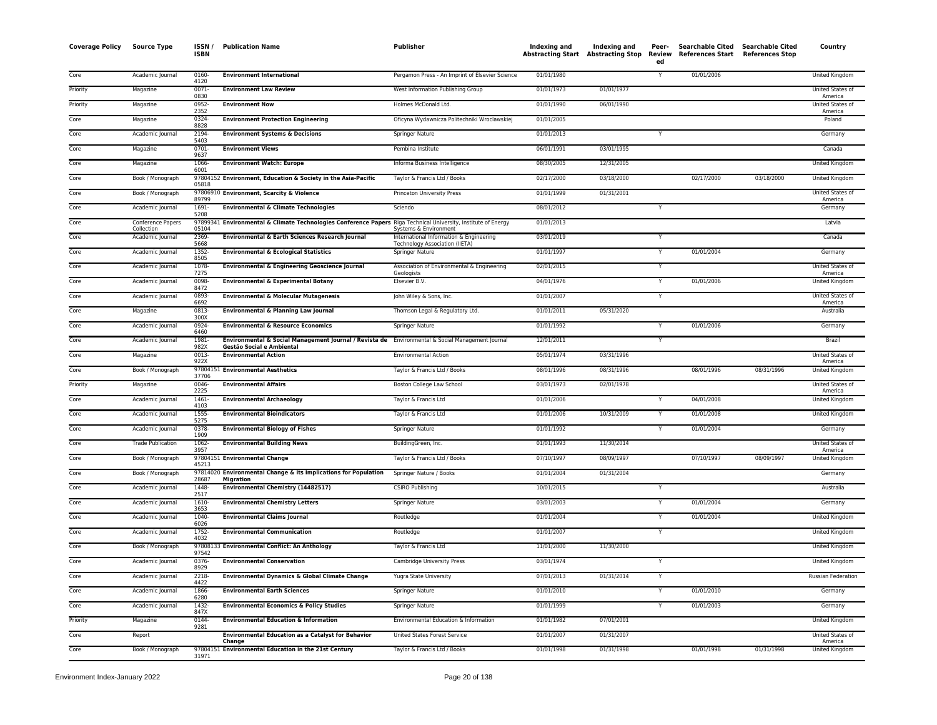| <b>Coverage Policy</b> | <b>Source Type</b>             | ISSN/<br><b>ISBN</b>      | <b>Publication Name</b>                                                                                                       | <b>Publisher</b>                                                 | Indexing and | Indexing and<br>Abstracting Start Abstracting Stop | Peer-<br>Review<br>ed   | <b>Searchable Cited</b><br>References Start References Stop | <b>Searchable Cited</b> | Country                            |
|------------------------|--------------------------------|---------------------------|-------------------------------------------------------------------------------------------------------------------------------|------------------------------------------------------------------|--------------|----------------------------------------------------|-------------------------|-------------------------------------------------------------|-------------------------|------------------------------------|
| Core                   | Academic Journal               | 0160-                     | <b>Environment International</b>                                                                                              | Pergamon Press - An Imprint of Elsevier Science                  | 01/01/1980   |                                                    | Y                       | 01/01/2006                                                  |                         | United Kingdom                     |
| Priority               | Magazine                       | 4120<br>$0071 -$          | <b>Environment Law Review</b>                                                                                                 | West Information Publishing Group                                | 01/01/1973   | 01/01/1977                                         |                         |                                                             |                         | United States of                   |
| Priority               | Magazine                       | 0830<br>0952-             | <b>Environment Now</b>                                                                                                        | Holmes McDonald Ltd.                                             | 01/01/1990   | 06/01/1990                                         |                         |                                                             |                         | America<br>United States of        |
| Core                   | Magazine                       | 2352<br>0324-             | <b>Environment Protection Engineering</b>                                                                                     | Oficyna Wydawnicza Politechniki Wroclawskiej                     | 01/01/2005   |                                                    |                         |                                                             |                         | America<br>Poland                  |
| Core                   | Academic Journal               | 8828<br>2194-             | <b>Environment Systems &amp; Decisions</b>                                                                                    | Springer Nature                                                  | 01/01/2013   |                                                    | Y                       |                                                             |                         | Germany                            |
| Core                   | Magazine                       | 5403<br>$0701 -$          | <b>Environment Views</b>                                                                                                      | Pembina Institute                                                | 06/01/1991   | 03/01/1995                                         |                         |                                                             |                         | Canada                             |
| Core                   | Magazine                       | 9637<br>1066-             | <b>Environment Watch: Europe</b>                                                                                              | Informa Business Intelligence                                    | 08/30/2005   | 12/31/2005                                         |                         |                                                             |                         | United Kingdom                     |
| Core                   | Book / Monograph               | 6001                      | 97804152 Environment, Education & Society in the Asia-Pacific                                                                 | Taylor & Francis Ltd / Books                                     | 02/17/2000   | 03/18/2000                                         |                         | 02/17/2000                                                  | 03/18/2000              | United Kingdom                     |
| Core                   | Book / Monograph               | 05818                     | 97806910 Environment, Scarcity & Violence                                                                                     | Princeton University Press                                       | 01/01/1999   | 01/31/2001                                         |                         |                                                             |                         | United States of                   |
| Core                   | Academic Journal               | 89799<br>$1691 -$<br>5208 | <b>Environmental &amp; Climate Technologies</b>                                                                               | Sciendo                                                          | 08/01/2012   |                                                    | Y                       |                                                             |                         | America<br>Germany                 |
| Core                   | Conference Papers              |                           | 97899341 Environmental & Climate Technologies Conference Papers Riga Technical University, Institute of Energy                |                                                                  | 01/01/2013   |                                                    |                         |                                                             |                         | Latvia                             |
| Core                   | Collection<br>Academic Journal | 05104<br>2369<br>5668     | Environmental & Earth Sciences Research Journal                                                                               | Systems & Environment<br>International Information & Engineering | 03/01/2019   |                                                    | Y                       |                                                             |                         | Canada                             |
| Core                   | Academic Journal               | 1352-<br>8505             | <b>Environmental &amp; Ecological Statistics</b>                                                                              | <b>Technology Association (IIETA)</b><br>Springer Nature         | 01/01/1997   |                                                    |                         | 01/01/2004                                                  |                         | Germany                            |
| Core                   | Academic Journal               | 1078-<br>7275             | <b>Environmental &amp; Engineering Geoscience Journal</b>                                                                     | Association of Environmental & Engineering<br>Geologists         | 02/01/2015   |                                                    |                         |                                                             |                         | United States of<br>America        |
| Core                   | Academic Journal               | 0098-<br>8472             | <b>Environmental &amp; Experimental Botany</b>                                                                                | Elsevier B.V.                                                    | 04/01/1976   |                                                    |                         | 01/01/2006                                                  |                         | United Kingdom                     |
| Core                   | Academic Journal               | 0893<br>6692              | <b>Environmental &amp; Molecular Mutagenesis</b>                                                                              | John Wiley & Sons, Inc.                                          | 01/01/2007   |                                                    | $\overline{\mathsf{Y}}$ |                                                             |                         | <b>United States of</b><br>America |
| Core                   | Magazine                       | 0813-                     | <b>Environmental &amp; Planning Law Journal</b>                                                                               | Thomson Legal & Regulatory Ltd.                                  | 01/01/2011   | 05/31/2020                                         |                         |                                                             |                         | Australia                          |
| Core                   | Academic Journal               | 300X<br>0924<br>6460      | <b>Environmental &amp; Resource Economics</b>                                                                                 | Springer Nature                                                  | 01/01/1992   |                                                    | Y                       | 01/01/2006                                                  |                         | Germany                            |
| Core                   | Academic Journal               | 1981-<br>982X             | Environmental & Social Management Journal / Revista de Environmental & Social Management Journal<br>Gestão Social e Ambiental |                                                                  | 12/01/2011   |                                                    | Y                       |                                                             |                         | Brazil                             |
| Core                   | Magazine                       | 0013-<br>922X             | <b>Environmental Action</b>                                                                                                   | <b>Environmental Action</b>                                      | 05/01/1974   | 03/31/1996                                         |                         |                                                             |                         | United States of<br>America        |
| Core                   | Book / Monograph               | 37706                     | 97804151 Environmental Aesthetics                                                                                             | Taylor & Francis Ltd / Books                                     | 08/01/1996   | 08/31/1996                                         |                         | 08/01/1996                                                  | 08/31/1996              | <b>United Kingdom</b>              |
| Priority               | Magazine                       | $0046 -$<br>2225          | <b>Environmental Affairs</b>                                                                                                  | Boston College Law School                                        | 03/01/1973   | 02/01/1978                                         |                         |                                                             |                         | United States of<br>America        |
| Core                   | Academic Journal               | 1461<br>4103              | <b>Environmental Archaeology</b>                                                                                              | Taylor & Francis Ltd                                             | 01/01/2006   |                                                    |                         | 04/01/2008                                                  |                         | <b>United Kingdom</b>              |
| Core                   | Academic Journal               | 1555-<br>5275             | <b>Environmental Bioindicators</b>                                                                                            | Taylor & Francis Ltd                                             | 01/01/2006   | 10/31/2009                                         |                         | 01/01/2008                                                  |                         | United Kingdom                     |
| Core                   | Academic Journal               | 0378-<br>1909             | <b>Environmental Biology of Fishes</b>                                                                                        | Springer Nature                                                  | 01/01/1992   |                                                    | Y                       | 01/01/2004                                                  |                         | Germany                            |
| Core                   | <b>Trade Publication</b>       | 1062-<br>3957             | <b>Environmental Building News</b>                                                                                            | BuildingGreen, Inc.                                              | 01/01/1993   | 11/30/2014                                         |                         |                                                             |                         | United States of<br>America        |
| Core                   | Book / Monograph               | 45213                     | 97804151 Environmental Change                                                                                                 | Taylor & Francis Ltd / Books                                     | 07/10/1997   | 08/09/1997                                         |                         | 07/10/1997                                                  | 08/09/1997              | United Kingdom                     |
| Core                   | Book / Monograph               | 28687                     | 97814020 Environmental Change & Its Implications for Population<br><b>Migration</b>                                           | Springer Nature / Books                                          | 01/01/2004   | 01/31/2004                                         |                         |                                                             |                         | Germany                            |
| Core                   | Academic Journal               | 1448-<br>2517             | <b>Environmental Chemistry (14482517)</b>                                                                                     | <b>CSIRO Publishing</b>                                          | 10/01/2015   |                                                    |                         |                                                             |                         | Australia                          |
| Core                   | Academic Journal               | 1610-<br>3653             | <b>Environmental Chemistry Letters</b>                                                                                        | Springer Nature                                                  | 03/01/2003   |                                                    | Y                       | 01/01/2004                                                  |                         | Germany                            |
| Core                   | Academic Journal               | 1040-<br>6026             | <b>Environmental Claims Journal</b>                                                                                           | Routledge                                                        | 01/01/2004   |                                                    | Y                       | 01/01/2004                                                  |                         | United Kingdom                     |
| Core                   | Academic Journal               | $1752 -$<br>4032          | <b>Environmental Communication</b>                                                                                            | Routledge                                                        | 01/01/2007   |                                                    | Y                       |                                                             |                         | United Kingdom                     |
| Core                   | Book / Monograph               | 97542                     | 97808133 Environmental Conflict: An Anthology                                                                                 | Taylor & Francis Ltd                                             | 11/01/2000   | 11/30/2000                                         |                         |                                                             |                         | United Kingdom                     |
| Core                   | Academic Journal               | $0376 -$<br>8929          | <b>Environmental Conservation</b>                                                                                             | Cambridge University Press                                       | 03/01/1974   |                                                    |                         |                                                             |                         | United Kingdom                     |
| Core                   | Academic Journal               | 2218-<br>4422             | Environmental Dynamics & Global Climate Change                                                                                | Yugra State University                                           | 07/01/2013   | 01/31/2014                                         |                         |                                                             |                         | Russian Federation                 |
| Core                   | Academic Journal               | 1866<br>6280              | <b>Environmental Earth Sciences</b>                                                                                           | Springer Nature                                                  | 01/01/2010   |                                                    | Y                       | 01/01/2010                                                  |                         | Germany                            |
| Core                   | Academic Journal               | 1432-<br>847X             | <b>Environmental Economics &amp; Policy Studies</b>                                                                           | Springer Nature                                                  | 01/01/1999   |                                                    | Y                       | 01/01/2003                                                  |                         | Germany                            |
| Priority               | Magazine                       | 0144-<br>9281             | <b>Environmental Education &amp; Information</b>                                                                              | Environmental Education & Information                            | 01/01/1982   | 07/01/2001                                         |                         |                                                             |                         | United Kingdom                     |
| Core                   | Report                         |                           | <b>Environmental Education as a Catalyst for Behavior</b><br>Change                                                           | United States Forest Service                                     | 01/01/2007   | 01/31/2007                                         |                         |                                                             |                         | United States of<br>America        |
| Core                   | Book / Monograph               | 31971                     | 97804151 Environmental Education in the 21st Century                                                                          | Taylor & Francis Ltd / Books                                     | 01/01/1998   | 01/31/1998                                         |                         | 01/01/1998                                                  | 01/31/1998              | United Kingdom                     |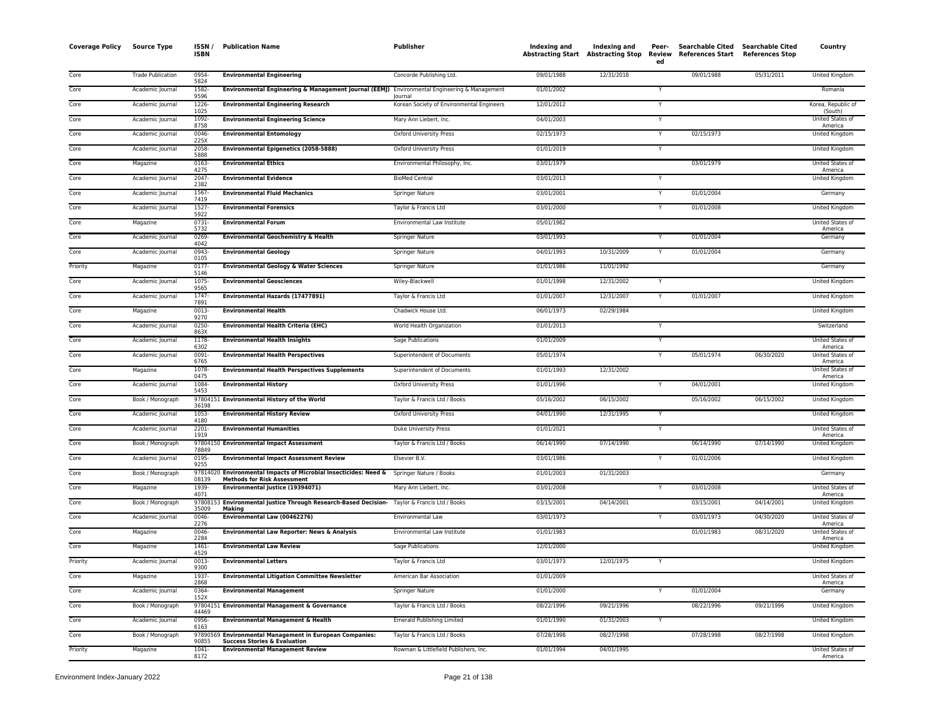| <b>Coverage Policy</b> | <b>Source Type</b>       | ISSN/<br><b>ISBN</b> | <b>Publication Name</b>                                                                                                        | <b>Publisher</b>                                     | Indexing and | Indexing and<br><b>Abstracting Start Abstracting Stop</b> | Peer-<br>Review<br>ed | <b>Searchable Cited</b><br><b>References Start</b> | <b>Searchable Cited</b><br><b>References Stop</b> | Country                            |
|------------------------|--------------------------|----------------------|--------------------------------------------------------------------------------------------------------------------------------|------------------------------------------------------|--------------|-----------------------------------------------------------|-----------------------|----------------------------------------------------|---------------------------------------------------|------------------------------------|
| Core                   | <b>Trade Publication</b> | 0954-<br>5824        | <b>Environmental Engineering</b>                                                                                               | Concorde Publishing Ltd.                             | 09/01/1988   | 12/31/2018                                                |                       | 09/01/1988                                         | 05/31/2011                                        | United Kingdom                     |
| Core                   | Academic Journal         | 1582-<br>9596        | Environmental Engineering & Management Journal (EEMJ) Environmental Engineering & Management                                   |                                                      | 01/01/2002   |                                                           | Y                     |                                                    |                                                   | Romania                            |
| Core                   | Academic Journal         | 1226-<br>1025        | <b>Environmental Engineering Research</b>                                                                                      | lournal<br>Korean Society of Environmental Engineers | 12/01/2012   |                                                           |                       |                                                    |                                                   | Korea, Republic of<br>(South)      |
| Core                   | Academic Journal         | 1092-<br>8758        | <b>Environmental Engineering Science</b>                                                                                       | Mary Ann Liebert, Inc.                               | 04/01/2003   |                                                           |                       |                                                    |                                                   | United States of<br>America        |
| Core                   | Academic Journal         | 0046-<br>225X        | <b>Environmental Entomology</b>                                                                                                | <b>Oxford University Press</b>                       | 02/15/1973   |                                                           | $\mathsf{Y}$          | 02/15/1973                                         |                                                   | United Kingdom                     |
| Core                   | Academic Journal         | 2058<br>5888         | <b>Environmental Epigenetics (2058-5888)</b>                                                                                   | <b>Oxford University Press</b>                       | 01/01/2019   |                                                           | Y                     |                                                    |                                                   | United Kingdom                     |
| Core                   | Magazine                 | 0163-<br>4275        | <b>Environmental Ethics</b>                                                                                                    | Environmental Philosophy, Inc.                       | 03/01/1979   |                                                           |                       | 03/01/1979                                         |                                                   | United States of<br>America        |
| Core                   | Academic Journal         | 2047-<br>2382        | <b>Environmental Evidence</b>                                                                                                  | <b>BioMed Central</b>                                | 03/01/2013   |                                                           |                       |                                                    |                                                   | United Kingdom                     |
| Core                   | Academic Journal         | 1567-<br>7419        | <b>Environmental Fluid Mechanics</b>                                                                                           | <b>Springer Nature</b>                               | 03/01/2001   |                                                           | Y                     | 01/01/2004                                         |                                                   | Germany                            |
| Core                   | Academic Journal         | 1527-<br>5922        | <b>Environmental Forensics</b>                                                                                                 | Taylor & Francis Ltd                                 | 03/01/2000   |                                                           | Y                     | 01/01/2008                                         |                                                   | <b>United Kingdom</b>              |
| Core                   | Magazine                 | $0731 -$<br>5732     | <b>Environmental Forum</b>                                                                                                     | Environmental Law Institute                          | 05/01/1982   |                                                           |                       |                                                    |                                                   | <b>United States of</b><br>America |
| Core                   | Academic Journal         | 0269<br>4042         | <b>Environmental Geochemistry &amp; Health</b>                                                                                 | <b>Springer Nature</b>                               | 03/01/1993   |                                                           | Υ                     | 01/01/2004                                         |                                                   | Germany                            |
| Core                   | Academic Journal         | $0943 -$<br>0105     | <b>Environmental Geology</b>                                                                                                   | Springer Nature                                      | 04/01/1993   | 10/31/2009                                                | Y                     | 01/01/2004                                         |                                                   | Germany                            |
| Priority               | Magazine                 | 0177<br>5146         | <b>Environmental Geology &amp; Water Sciences</b>                                                                              | Springer Nature                                      | 01/01/1986   | 11/01/1992                                                |                       |                                                    |                                                   | Germany                            |
| Core                   | Academic Journal         | 1075-<br>9565        | <b>Environmental Geosciences</b>                                                                                               | Wiley-Blackwell                                      | 01/01/1998   | 12/31/2002                                                |                       |                                                    |                                                   | United Kingdom                     |
| Core                   | Academic Journal         | 1747-<br>7891        | Environmental Hazards (17477891)                                                                                               | Taylor & Francis Ltd                                 | 01/01/2007   | 12/31/2007                                                | Y                     | 01/01/2007                                         |                                                   | United Kingdom                     |
| Core                   | Magazine                 | $0013 -$<br>9270     | <b>Environmental Health</b>                                                                                                    | Chadwick House Ltd.                                  | 06/01/1973   | 02/29/1984                                                |                       |                                                    |                                                   | <b>United Kingdom</b>              |
| Core                   | Academic Journal         | 0250-<br>863X        | <b>Environmental Health Criteria (EHC)</b>                                                                                     | World Health Organization                            | 01/01/2013   |                                                           | Y                     |                                                    |                                                   | Switzerland                        |
| Core                   | Academic Journal         | 1178-<br>6302        | <b>Environmental Health Insights</b>                                                                                           | Sage Publications                                    | 01/01/2009   |                                                           | Y                     |                                                    |                                                   | United States of<br>America        |
| Core                   | Academic Journal         | $0091 -$<br>6765     | <b>Environmental Health Perspectives</b>                                                                                       | Superintendent of Documents                          | 05/01/1974   |                                                           | $\mathsf{Y}$          | 05/01/1974                                         | 06/30/2020                                        | United States of<br>America        |
| Core                   | Magazine                 | 1078-<br>0475        | <b>Environmental Health Perspectives Supplements</b>                                                                           | Superintendent of Documents                          | 01/01/1993   | 12/31/2002                                                |                       |                                                    |                                                   | United States of<br>America        |
| Core                   | Academic Journal         | 1084-<br>5453        | <b>Environmental History</b>                                                                                                   | <b>Oxford University Press</b>                       | 01/01/1996   |                                                           |                       | 04/01/2001                                         |                                                   | <b>United Kingdom</b>              |
| Core                   | Book / Monograph         | 36198                | 97804151 Environmental History of the World                                                                                    | Taylor & Francis Ltd / Books                         | 05/16/2002   | 06/15/2002                                                |                       | 05/16/2002                                         | 06/15/2002                                        | United Kingdom                     |
| Core                   | Academic Journal         | 1053-<br>4180        | <b>Environmental History Review</b>                                                                                            | <b>Oxford University Press</b>                       | 04/01/1990   | 12/31/1995                                                |                       |                                                    |                                                   | <b>United Kingdom</b>              |
| Core                   | Academic Journal         | $2201 -$<br>1919     | <b>Environmental Humanities</b>                                                                                                | Duke University Press                                | 01/01/2021   |                                                           | Y                     |                                                    |                                                   | United States of<br>America        |
| Core                   | Book / Monograph         | 78849                | 97804150 Environmental Impact Assessment                                                                                       | Taylor & Francis Ltd / Books                         | 06/14/1990   | 07/14/1990                                                |                       | 06/14/1990                                         | 07/14/1990                                        | United Kingdom                     |
| Core                   | Academic Journal         | 0195-<br>9255        | <b>Environmental Impact Assessment Review</b>                                                                                  | Elsevier B.V.                                        | 03/01/1986   |                                                           | Y                     | 01/01/2006                                         |                                                   | United Kingdom                     |
| Core                   | Book / Monograph         | 08139                | 97814020 Environmental Impacts of Microbial Insecticides: Need & Springer Nature / Books<br><b>Methods for Risk Assessment</b> |                                                      | 01/01/2003   | 01/31/2003                                                |                       |                                                    |                                                   | Germany                            |
| Core                   | Magazine                 | 1939-<br>4071        | Environmental Justice (19394071)                                                                                               | Mary Ann Liebert, Inc.                               | 03/01/2008   |                                                           |                       | 03/01/2008                                         |                                                   | United States of<br>America        |
| Core                   | Book / Monograph         | 97808153<br>35009    | Environmental Justice Through Research-Based Decision- Taylor & Francis Ltd / Books<br>Making                                  |                                                      | 03/15/2001   | 04/14/2001                                                |                       | 03/15/2001                                         | 04/14/2001                                        | United Kingdom                     |
| Core                   | Academic Journal         | 0046-<br>2276        | Environmental Law (00462276)                                                                                                   | Environmental Law                                    | 03/01/1973   |                                                           | Y                     | 03/01/1973                                         | 04/30/2020                                        | United States of<br>America        |
| Core                   | Magazine                 | 0046-<br>2284        | Environmental Law Reporter: News & Analysis                                                                                    | Environmental Law Institute                          | 01/01/1983   |                                                           |                       | 01/01/1983                                         | 08/31/2020                                        | United States of<br>America        |
| Core                   | Magazine                 | 1461-<br>4529        | <b>Environmental Law Review</b>                                                                                                | Sage Publications                                    | 12/01/2000   |                                                           |                       |                                                    |                                                   | United Kingdom                     |
| Priority               | Academic Journal         | $0013 -$<br>9300     | <b>Environmental Letters</b>                                                                                                   | Taylor & Francis Ltd                                 | 03/01/1973   | 12/01/1975                                                |                       |                                                    |                                                   | United Kingdom                     |
| Core                   | Magazine                 | 1937-<br>2868        | <b>Environmental Litigation Committee Newsletter</b>                                                                           | American Bar Association                             | 01/01/2009   |                                                           |                       |                                                    |                                                   | United States of<br>America        |
| Core                   | Academic Journal         | 0364-<br>152X        | <b>Environmental Management</b>                                                                                                | Springer Nature                                      | 01/01/2000   |                                                           |                       | 01/01/2004                                         |                                                   | Germany                            |
| Core                   | Book / Monograph         | 44469                | 97804151 Environmental Management & Governance                                                                                 | Taylor & Francis Ltd / Books                         | 08/22/1996   | 09/21/1996                                                |                       | 08/22/1996                                         | 09/21/1996                                        | <b>United Kingdom</b>              |
| Core                   | Academic Journal         | 0956-<br>6163        | <b>Environmental Management &amp; Health</b>                                                                                   | <b>Emerald Publishing Limited</b>                    | 01/01/1990   | 01/31/2003                                                | Y                     |                                                    |                                                   | United Kingdom                     |
| Core                   | Book / Monograph         | 90855                | 97890569 Environmental Management in European Companies:<br><b>Success Stories &amp; Evaluation</b>                            | Taylor & Francis Ltd / Books                         | 07/28/1998   | 08/27/1998                                                |                       | 07/28/1998                                         | 08/27/1998                                        | <b>United Kingdom</b>              |
| Priority               | Magazine                 | 1041<br>8172         | <b>Environmental Management Review</b>                                                                                         | Rowman & Littlefield Publishers, Inc.                | 01/01/1994   | 04/01/1995                                                |                       |                                                    |                                                   | <b>United States of</b><br>America |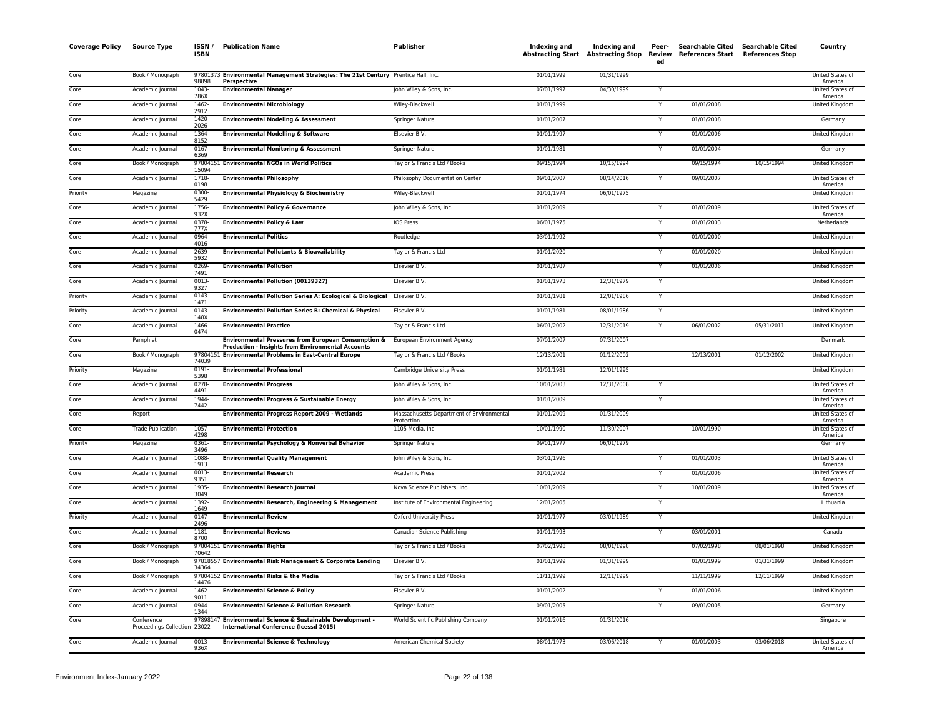| <b>Coverage Policy</b> | Source Type                                | ISSN/<br><b>ISBN</b> | <b>Publication Name</b>                                                                                                    | <b>Publisher</b>                                        | Indexing and | Indexing and<br><b>Abstracting Start Abstracting Stop</b> | Peer-<br>ed             | <b>Searchable Cited</b><br>Review References Start References Stop | Searchable Cited | Country                     |
|------------------------|--------------------------------------------|----------------------|----------------------------------------------------------------------------------------------------------------------------|---------------------------------------------------------|--------------|-----------------------------------------------------------|-------------------------|--------------------------------------------------------------------|------------------|-----------------------------|
| Core                   | Book / Monograph                           | 98898                | 97801373 Environmental Management Strategies: The 21st Century Prentice Hall, Inc.<br><b>Perspective</b>                   |                                                         | 01/01/1999   | 01/31/1999                                                |                         |                                                                    |                  | United States of<br>America |
| Core                   | Academic Journal                           | 1043-<br>786X        | <b>Environmental Manager</b>                                                                                               | John Wiley & Sons, Inc.                                 | 07/01/1997   | 04/30/1999                                                | Y                       |                                                                    |                  | United States of<br>America |
| Core                   | Academic Journal                           | 1462-<br>2912        | <b>Environmental Microbiology</b>                                                                                          | Wiley-Blackwell                                         | 01/01/1999   |                                                           |                         | 01/01/2008                                                         |                  | <b>United Kingdom</b>       |
| Core                   | Academic Journal                           | 1420-<br>2026        | <b>Environmental Modeling &amp; Assessment</b>                                                                             | <b>Springer Nature</b>                                  | 01/01/2007   |                                                           |                         | 01/01/2008                                                         |                  | Germany                     |
| Core                   | Academic Journal                           | 1364<br>8152         | <b>Environmental Modelling &amp; Software</b>                                                                              | Elsevier B.V.                                           | 01/01/1997   |                                                           | Y                       | 01/01/2006                                                         |                  | United Kingdom              |
| Core                   | Academic Journal                           | $0167 -$<br>6369     | <b>Environmental Monitoring &amp; Assessment</b>                                                                           | Springer Nature                                         | 01/01/1981   |                                                           | $\mathsf{v}$            | 01/01/2004                                                         |                  | Germany                     |
| Core                   | Book / Monograph                           | 15094                | 97804151 Environmental NGOs in World Politics                                                                              | Taylor & Francis Ltd / Books                            | 09/15/1994   | 10/15/1994                                                |                         | 09/15/1994                                                         | 10/15/1994       | United Kingdom              |
| Core                   | Academic Journal                           | 1718-<br>0198        | <b>Environmental Philosophy</b>                                                                                            | Philosophy Documentation Center                         | 09/01/2007   | 08/14/2016                                                |                         | 09/01/2007                                                         |                  | United States of<br>America |
| Priority               | Magazine                                   | 0300-<br>5429        | <b>Environmental Physiology &amp; Biochemistry</b>                                                                         | Wiley-Blackwell                                         | 01/01/1974   | 06/01/1975                                                |                         |                                                                    |                  | United Kingdom              |
| Core                   | Academic Journal                           | 1756-<br>932X        | <b>Environmental Policy &amp; Governance</b>                                                                               | John Wiley & Sons, Inc.                                 | 01/01/2009   |                                                           | Y                       | 01/01/2009                                                         |                  | United States of<br>America |
| Core                   | Academic Journal                           | 0378-<br>777X        | <b>Environmental Policy &amp; Law</b>                                                                                      | <b>IOS Press</b>                                        | 06/01/1975   |                                                           |                         | 01/01/2003                                                         |                  | Netherlands                 |
| Core                   | Academic Journal                           | 0964<br>4016         | <b>Environmental Politics</b>                                                                                              | Routledge                                               | 03/01/1992   |                                                           | Y                       | 01/01/2000                                                         |                  | <b>United Kingdom</b>       |
| Core                   | Academic Journal                           | 2639<br>5932         | <b>Environmental Pollutants &amp; Bioavailability</b>                                                                      | Taylor & Francis Ltd                                    | 01/01/2020   |                                                           | Y                       | 01/01/2020                                                         |                  | <b>United Kingdom</b>       |
| Core                   | Academic Journal                           | 0269-<br>7491        | <b>Environmental Pollution</b>                                                                                             | Elsevier B.V.                                           | 01/01/1987   |                                                           | Y                       | 01/01/2006                                                         |                  | United Kingdom              |
| Core                   | Academic Journal                           | 0013-<br>9327        | <b>Environmental Pollution (00139327)</b>                                                                                  | Elsevier B.V.                                           | 01/01/1973   | 12/31/1979                                                | Y                       |                                                                    |                  | United Kingdom              |
| Priority               | Academic Journal                           | $0143 -$<br>1471     | <b>Environmental Pollution Series A: Ecological &amp; Biological</b>                                                       | Elsevier B.V.                                           | 01/01/1981   | 12/01/1986                                                | Y                       |                                                                    |                  | United Kingdom              |
| Priority               | Academic Journal                           | $0143 -$<br>148X     | Environmental Pollution Series B: Chemical & Physical                                                                      | Elsevier B.V.                                           | 01/01/1981   | 08/01/1986                                                | $\overline{\mathsf{Y}}$ |                                                                    |                  | <b>United Kingdom</b>       |
| Core                   | Academic Journal                           | 1466-<br>0474        | <b>Environmental Practice</b>                                                                                              | Taylor & Francis Ltd                                    | 06/01/2002   | 12/31/2019                                                | Y                       | 06/01/2002                                                         | 05/31/2011       | United Kingdom              |
| Core                   | Pamphlet                                   |                      | <b>Environmental Pressures from European Consumption &amp;</b><br><b>Production - Insights from Environmental Accounts</b> | European Environment Agency                             | 07/01/2007   | 07/31/2007                                                |                         |                                                                    |                  | Denmark                     |
| Core                   | Book / Monograph                           | 9780415<br>74039     | <b>Environmental Problems in East-Central Europe</b>                                                                       | Taylor & Francis Ltd / Books                            | 12/13/2001   | 01/12/2002                                                |                         | 12/13/2001                                                         | 01/12/2002       | United Kingdom              |
| Priority               | Magazine                                   | $0191 -$<br>5398     | <b>Environmental Professional</b>                                                                                          | Cambridge University Press                              | 01/01/1981   | 12/01/1995                                                |                         |                                                                    |                  | <b>United Kingdom</b>       |
| Core                   | Academic Journal                           | $0278 -$<br>4491     | <b>Environmental Progress</b>                                                                                              | John Wiley & Sons, Inc.                                 | 10/01/2003   | 12/31/2008                                                |                         |                                                                    |                  | United States of<br>America |
| Core                   | Academic Journal                           | 1944-<br>7442        | <b>Environmental Progress &amp; Sustainable Energy</b>                                                                     | John Wiley & Sons, Inc.                                 | 01/01/2009   |                                                           | Y                       |                                                                    |                  | United States of<br>America |
| Core                   | Report                                     |                      | Environmental Progress Report 2009 - Wetlands                                                                              | Massachusetts Department of Environmental<br>Protection | 01/01/2009   | 01/31/2009                                                |                         |                                                                    |                  | United States of<br>America |
| Core                   | <b>Trade Publication</b>                   | 1057<br>4298         | <b>Environmental Protection</b>                                                                                            | 1105 Media, Inc.                                        | 10/01/1990   | 11/30/2007                                                |                         | 10/01/1990                                                         |                  | United States of<br>America |
| Priority               | Magazine                                   | $0361 -$<br>3496     | Environmental Psychology & Nonverbal Behavior                                                                              | Springer Nature                                         | 09/01/1977   | 06/01/1979                                                |                         |                                                                    |                  | Germany                     |
| Core                   | Academic Journal                           | 1088-<br>1913        | <b>Environmental Quality Management</b>                                                                                    | John Wiley & Sons, Inc.                                 | 03/01/1996   |                                                           |                         | 01/01/2003                                                         |                  | United States of<br>America |
| Core                   | Academic Journal                           | 0013-<br>9351        | <b>Environmental Research</b>                                                                                              | <b>Academic Press</b>                                   | 01/01/2002   |                                                           | Y                       | 01/01/2006                                                         |                  | United States of<br>America |
| Core                   | Academic Journal                           | 1935-<br>3049        | <b>Environmental Research Journal</b>                                                                                      | Nova Science Publishers, Inc.                           | 10/01/2009   |                                                           | Y                       | 10/01/2009                                                         |                  | United States of<br>America |
| Core                   | Academic Journal                           | 1392-<br>1649        | Environmental Research, Engineering & Management                                                                           | Institute of Environmental Engineering                  | 12/01/2005   |                                                           | Y                       |                                                                    |                  | Lithuania                   |
| Priority               | Academic Journal                           | 0147-<br>2496        | <b>Environmental Review</b>                                                                                                | Oxford University Press                                 | 01/01/1977   | 03/01/1989                                                | Y                       |                                                                    |                  | United Kingdom              |
| Core                   | Academic Journal                           | 1181-<br>8700        | <b>Environmental Reviews</b>                                                                                               | Canadian Science Publishing                             | 01/01/1993   |                                                           |                         | 03/01/2001                                                         |                  | Canada                      |
| Core                   | Book / Monograph                           | 70642                | 97804151 Environmental Rights                                                                                              | Taylor & Francis Ltd / Books                            | 07/02/1998   | 08/01/1998                                                |                         | 07/02/1998                                                         | 08/01/1998       | <b>United Kingdom</b>       |
| Core                   | Book / Monograph                           | 34364                | 97818557 Environmental Risk Management & Corporate Lending                                                                 | Elsevier B.V.                                           | 01/01/1999   | 01/31/1999                                                |                         | 01/01/1999                                                         | 01/31/1999       | United Kingdom              |
| Core                   | Book / Monograph                           | 14476                | 97804152 Environmental Risks & the Media                                                                                   | Taylor & Francis Ltd / Books                            | 11/11/1999   | 12/11/1999                                                |                         | 11/11/1999                                                         | 12/11/1999       | United Kingdom              |
| Core                   | Academic Journal                           | 1462-<br>9011        | <b>Environmental Science &amp; Policy</b>                                                                                  | Elsevier B.V.                                           | 01/01/2002   |                                                           | Y                       | 01/01/2006                                                         |                  | United Kingdom              |
| Core                   | Academic Journal                           | 0944<br>1344         | <b>Environmental Science &amp; Pollution Research</b>                                                                      | Springer Nature                                         | 09/01/2005   |                                                           | Y                       | 09/01/2005                                                         |                  | Germany                     |
| Core                   | Conference<br>Proceedings Collection 23022 | 97898147             | Environmental Science & Sustainable Development -<br>International Conference (Icessd 2015)                                | World Scientific Publishing Company                     | 01/01/2016   | 01/31/2016                                                |                         |                                                                    |                  | Singapore                   |
| Core                   | Academic Journal                           | $0013 -$<br>936X     | <b>Environmental Science &amp; Technology</b>                                                                              | American Chemical Society                               | 08/01/1973   | 03/06/2018                                                |                         | 01/01/2003                                                         | 03/06/2018       | United States of<br>America |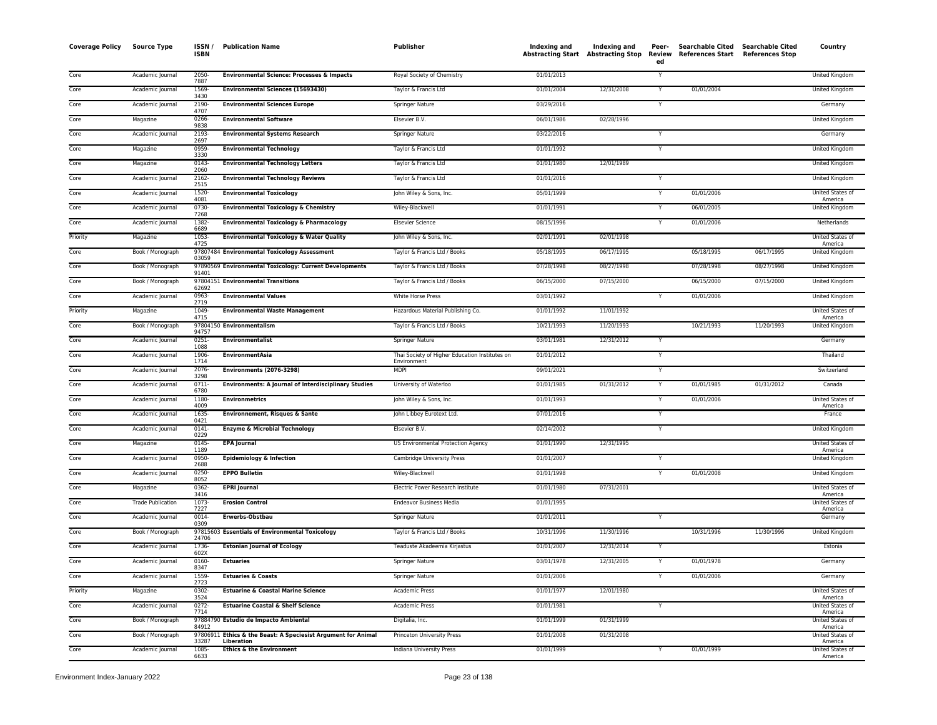| <b>Coverage Policy</b> | <b>Source Type</b>       | ISSN/<br><b>ISBN</b> | <b>Publication Name</b>                                                     | Publisher                                                     | Indexing and | Indexing and<br>Abstracting Start Abstracting Stop | Peer-<br>Review<br>ed | Searchable Cited Searchable Cited<br>References Start References Stop |            | Country                            |
|------------------------|--------------------------|----------------------|-----------------------------------------------------------------------------|---------------------------------------------------------------|--------------|----------------------------------------------------|-----------------------|-----------------------------------------------------------------------|------------|------------------------------------|
| Core                   | Academic Journal         | 2050-<br>7887        | <b>Environmental Science: Processes &amp; Impacts</b>                       | Royal Society of Chemistry                                    | 01/01/2013   |                                                    |                       |                                                                       |            | <b>United Kingdom</b>              |
| Core                   | Academic Journal         | 1569-<br>3430        | <b>Environmental Sciences (15693430)</b>                                    | Taylor & Francis Ltd                                          | 01/01/2004   | 12/31/2008                                         | Y                     | 01/01/2004                                                            |            | <b>United Kingdom</b>              |
| Core                   | Academic Journal         | 2190<br>4707         | <b>Environmental Sciences Europe</b>                                        | <b>Springer Nature</b>                                        | 03/29/2016   |                                                    | Y                     |                                                                       |            | Germany                            |
| Core                   | Magazine                 | 0266-<br>9838        | <b>Environmental Software</b>                                               | Elsevier B.V.                                                 | 06/01/1986   | 02/28/1996                                         |                       |                                                                       |            | United Kingdom                     |
| Core                   | Academic Journal         | 2193-<br>2697        | <b>Environmental Systems Research</b>                                       | Springer Nature                                               | 03/22/2016   |                                                    | Y                     |                                                                       |            | Germany                            |
| Core                   | Magazine                 | 0959-<br>3330        | <b>Environmental Technology</b>                                             | Taylor & Francis Ltd                                          | 01/01/1992   |                                                    | Y                     |                                                                       |            | United Kingdom                     |
| Core                   | Magazine                 | 0143-<br>2060        | <b>Environmental Technology Letters</b>                                     | Taylor & Francis Ltd                                          | 01/01/1980   | 12/01/1989                                         |                       |                                                                       |            | United Kingdom                     |
| Core                   | Academic Journal         | 2162-<br>2515        | <b>Environmental Technology Reviews</b>                                     | Taylor & Francis Ltd                                          | 01/01/2016   |                                                    |                       |                                                                       |            | United Kingdom                     |
| Core                   | Academic Journal         | 1520-<br>4081        | <b>Environmental Toxicology</b>                                             | John Wiley & Sons, Inc.                                       | 05/01/1999   |                                                    |                       | 01/01/2006                                                            |            | United States of<br>America        |
| Core                   | Academic Journal         | $0730 -$<br>7268     | <b>Environmental Toxicology &amp; Chemistry</b>                             | Wiley-Blackwell                                               | 01/01/1991   |                                                    |                       | 06/01/2005                                                            |            | United Kingdom                     |
| Core                   | Academic Journal         | 1382-<br>6689        | <b>Environmental Toxicology &amp; Pharmacology</b>                          | <b>Elsevier Science</b>                                       | 08/15/1996   |                                                    | Y                     | 01/01/2006                                                            |            | Netherlands                        |
| Priority               | Magazine                 | 1053-<br>4725        | <b>Environmental Toxicology &amp; Water Quality</b>                         | John Wiley & Sons, Inc.                                       | 02/01/1991   | 02/01/1998                                         |                       |                                                                       |            | United States of<br>America        |
| Core                   | Book / Monograph         | 03059                | 97807484 Environmental Toxicology Assessment                                | Taylor & Francis Ltd / Books                                  | 05/18/1995   | 06/17/1995                                         |                       | 05/18/1995                                                            | 06/17/1995 | United Kingdom                     |
| Core                   | Book / Monograph         | 91401                | 97890569 Environmental Toxicology: Current Developments                     | Taylor & Francis Ltd / Books                                  | 07/28/1998   | 08/27/1998                                         |                       | 07/28/1998                                                            | 08/27/1998 | United Kingdom                     |
| Core                   | Book / Monograph         | 62692                | 97804151 Environmental Transitions                                          | Taylor & Francis Ltd / Books                                  | 06/15/2000   | 07/15/2000                                         |                       | 06/15/2000                                                            | 07/15/2000 | United Kingdom                     |
| Core                   | Academic Journal         | 0963-<br>2719        | <b>Environmental Values</b>                                                 | White Horse Press                                             | 03/01/1992   |                                                    |                       | 01/01/2006                                                            |            | United Kingdom                     |
| Priority               | Magazine                 | 1049<br>4715         | <b>Environmental Waste Management</b>                                       | Hazardous Material Publishing Co.                             | 01/01/1992   | 11/01/1992                                         |                       |                                                                       |            | United States of<br>America        |
| Core                   | Book / Monograph         | 94757                | 97804150 Environmentalism                                                   | Taylor & Francis Ltd / Books                                  | 10/21/1993   | 11/20/1993                                         |                       | 10/21/1993                                                            | 11/20/1993 | United Kingdom                     |
| Core                   | Academic Journal         | 0251-<br>1088        | <b>Environmentalist</b>                                                     | Springer Nature                                               | 03/01/1981   | 12/31/2012                                         | Y                     |                                                                       |            | Germany                            |
| Core                   | Academic Journal         | 1906-<br>1714        | <b>EnvironmentAsia</b>                                                      | Thai Society of Higher Education Institutes on<br>Environment | 01/01/2012   |                                                    | $\checkmark$          |                                                                       |            | Thailand                           |
| Core                   | Academic Journal         | 2076-<br>3298        | <b>Environments (2076-3298)</b>                                             | <b>MDPI</b>                                                   | 09/01/2021   |                                                    | Y                     |                                                                       |            | Switzerland                        |
| Core                   | Academic Journal         | 0711-<br>6780        | <b>Environments: A Journal of Interdisciplinary Studies</b>                 | University of Waterloo                                        | 01/01/1985   | 01/31/2012                                         |                       | 01/01/1985                                                            | 01/31/2012 | Canada                             |
| Core                   | Academic Journal         | 1180-<br>4009        | <b>Environmetrics</b>                                                       | John Wiley & Sons, Inc.                                       | 01/01/1993   |                                                    |                       | 01/01/2006                                                            |            | <b>United States of</b><br>America |
| Core                   | Academic Journal         | 1635-<br>0421        | <b>Environnement, Risques &amp; Sante</b>                                   | John Libbey Eurotext Ltd.                                     | 07/01/2016   |                                                    | Y                     |                                                                       |            | France                             |
| Core                   | Academic Journal         | 0141<br>0229         | <b>Enzyme &amp; Microbial Technology</b>                                    | Elsevier B.V.                                                 | 02/14/2002   |                                                    | Y                     |                                                                       |            | United Kingdom                     |
| Core                   | Magazine                 | 0145-<br>1189        | <b>EPA Journal</b>                                                          | US Environmental Protection Agency                            | 01/01/1990   | 12/31/1995                                         |                       |                                                                       |            | United States of<br>America        |
| Core                   | Academic Journal         | 0950-<br>2688        | <b>Epidemiology &amp; Infection</b>                                         | Cambridge University Press                                    | 01/01/2007   |                                                    |                       |                                                                       |            | United Kingdom                     |
| Core                   | Academic Journal         | 0250-<br>8052        | <b>EPPO Bulletin</b>                                                        | Wiley-Blackwell                                               | 01/01/1998   |                                                    | $\mathbf{\hat{y}}$    | 01/01/2008                                                            |            | United Kingdom                     |
| Core                   | Magazine                 | 0362-<br>3416        | <b>EPRI Journal</b>                                                         | Electric Power Research Institute                             | 01/01/1980   | 07/31/2001                                         |                       |                                                                       |            | United States of<br>America        |
| Core                   | <b>Trade Publication</b> | 1073-<br>7227        | <b>Erosion Control</b>                                                      | <b>Endeavor Business Media</b>                                | 01/01/1995   |                                                    |                       |                                                                       |            | United States of<br>America        |
| Core                   | Academic Journal         | 0014<br>0309         | Erwerbs-Obstbau                                                             | <b>Springer Nature</b>                                        | 01/01/2011   |                                                    | $\overline{Y}$        |                                                                       |            | Germany                            |
| Core                   | Book / Monograph         | 24706                | 97815603 Essentials of Environmental Toxicology                             | Taylor & Francis Ltd / Books                                  | 10/31/1996   | 11/30/1996                                         |                       | 10/31/1996                                                            | 11/30/1996 | United Kingdom                     |
| Core                   | Academic Journal         | 1736-<br>602X        | <b>Estonian Journal of Ecology</b>                                          | Teaduste Akadeemia Kirjastus                                  | 01/01/2007   | 12/31/2014                                         |                       |                                                                       |            | Estonia                            |
| Core                   | Academic Journal         | 0160-<br>8347        | <b>Estuaries</b>                                                            | Springer Nature                                               | 03/01/1978   | 12/31/2005                                         |                       | 01/01/1978                                                            |            | Germany                            |
| Core                   | Academic Journal         | 1559-<br>2723        | <b>Estuaries &amp; Coasts</b>                                               | Springer Nature                                               | 01/01/2006   |                                                    | Y                     | 01/01/2006                                                            |            | Germany                            |
| Priority               | Magazine                 | 0302-<br>3524        | <b>Estuarine &amp; Coastal Marine Science</b>                               | <b>Academic Press</b>                                         | 01/01/1977   | 12/01/1980                                         |                       |                                                                       |            | United States of<br>America        |
| Core                   | Academic Journal         | $0272 -$<br>7714     | <b>Estuarine Coastal &amp; Shelf Science</b>                                | <b>Academic Press</b>                                         | 01/01/1981   |                                                    | Ÿ                     |                                                                       |            | <b>United States of</b><br>America |
| Core                   | Book / Monograph         | 84912                | 97884790 Estudio de Impacto Ambiental                                       | Digitalia, Inc.                                               | 01/01/1999   | 01/31/1999                                         |                       |                                                                       |            | <b>United States of</b><br>America |
| Core                   | Book / Monograph         | 33287                | 97806911 Ethics & the Beast: A Speciesist Argument for Animal<br>Liberation | Princeton University Press                                    | 01/01/2008   | 01/31/2008                                         |                       |                                                                       |            | <b>United States of</b><br>America |
| Core                   | Academic Journal         | 1085<br>6633         | <b>Ethics &amp; the Environment</b>                                         | Indiana University Press                                      | 01/01/1999   |                                                    | Y                     | 01/01/1999                                                            |            | <b>United States of</b><br>America |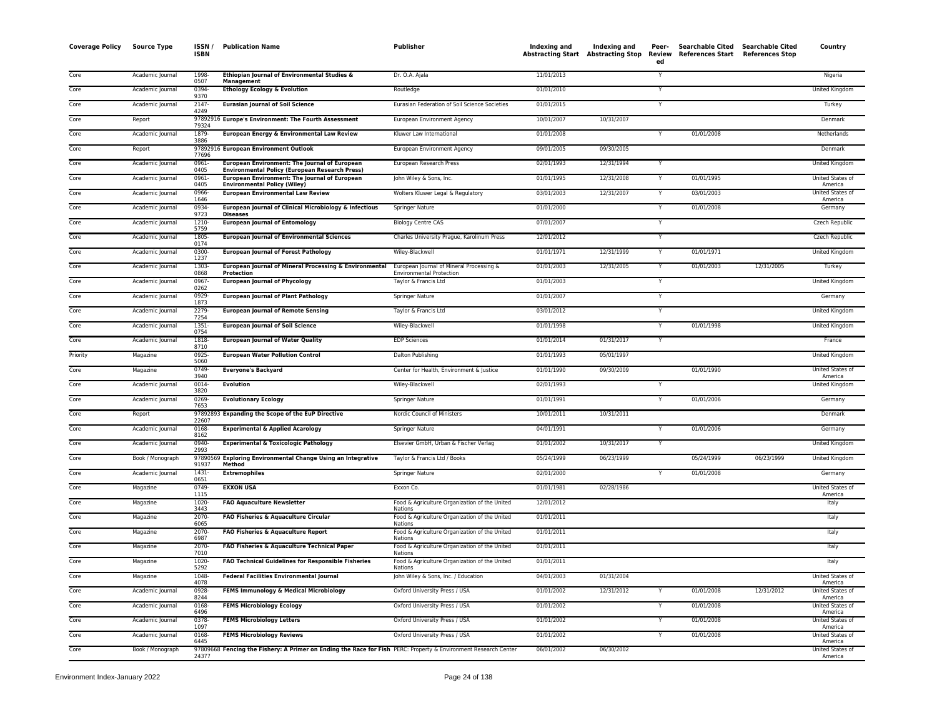| <b>Coverage Policy</b> | <b>Source Type</b> | ISSN /<br><b>ISBN</b> | <b>Publication Name</b>                                                                                         | <b>Publisher</b>                                                            | Indexing and | Indexing and<br>Abstracting Start Abstracting Stop Review | Peer-<br>ed | <b>Searchable Cited</b><br>References Start References Stop | <b>Searchable Cited</b> | Country                     |
|------------------------|--------------------|-----------------------|-----------------------------------------------------------------------------------------------------------------|-----------------------------------------------------------------------------|--------------|-----------------------------------------------------------|-------------|-------------------------------------------------------------|-------------------------|-----------------------------|
| Core                   | Academic Journal   | 1998-<br>0507         | Ethiopian Journal of Environmental Studies &<br>Management                                                      | Dr. O.A. Ajala                                                              | 11/01/2013   |                                                           |             |                                                             |                         | Nigeria                     |
| Core                   | Academic Journal   | 0394-<br>9370         | <b>Ethology Ecology &amp; Evolution</b>                                                                         | Routledge                                                                   | 01/01/2010   |                                                           | Y           |                                                             |                         | United Kingdom              |
| Core                   | Academic Journal   | $2147 -$<br>4249      | <b>Eurasian Journal of Soil Science</b>                                                                         | Eurasian Federation of Soil Science Societies                               | 01/01/2015   |                                                           |             |                                                             |                         | Turkey                      |
| Core                   | Report             | 79324                 | 97892916 Europe's Environment: The Fourth Assessment                                                            | European Environment Agency                                                 | 10/01/2007   | 10/31/2007                                                |             |                                                             |                         | Denmark                     |
| Core                   | Academic Journal   | 1879-<br>3886         | European Energy & Environmental Law Review                                                                      | Kluwer Law International                                                    | 01/01/2008   |                                                           | Y           | 01/01/2008                                                  |                         | Netherlands                 |
| Core                   | Report             | 77696                 | 97892916 European Environment Outlook                                                                           | European Environment Agency                                                 | 09/01/2005   | 09/30/2005                                                |             |                                                             |                         | Denmark                     |
| Core                   | Academic Journal   | 0961-<br>0405         | European Environment: The Journal of European<br><b>Environmental Policy (European Research Press)</b>          | European Research Press                                                     | 02/01/1993   | 12/31/1994                                                | Y           |                                                             |                         | United Kingdom              |
| Core                   | Academic Journal   | 0961-<br>0405         | European Environment: The Journal of European<br><b>Environmental Policy (Wiley)</b>                            | John Wiley & Sons, Inc.                                                     | 01/01/1995   | 12/31/2008                                                |             | 01/01/1995                                                  |                         | United States of<br>America |
| Core                   | Academic Journal   | 0966-<br>1646         | <b>European Environmental Law Review</b>                                                                        | Wolters Kluwer Legal & Regulatory                                           | 03/01/2003   | 12/31/2007                                                |             | 03/01/2003                                                  |                         | United States of<br>America |
| Core                   | Academic Journal   | 0934-<br>9723         | European Journal of Clinical Microbiology & Infectious<br><b>Diseases</b>                                       | Springer Nature                                                             | 01/01/2000   |                                                           |             | 01/01/2008                                                  |                         | Germany                     |
| Core                   | Academic Journal   | 1210-<br>5759         | <b>European Journal of Entomology</b>                                                                           | <b>Biology Centre CAS</b>                                                   | 07/01/2007   |                                                           | Y           |                                                             |                         | Czech Republic              |
| Core                   | Academic Journal   | 1805<br>0174          | <b>European Journal of Environmental Sciences</b>                                                               | Charles University Prague, Karolinum Press                                  | 12/01/2012   |                                                           | Y           |                                                             |                         | Czech Republic              |
| Core                   | Academic Journal   | $0300 -$<br>1237      | <b>European Journal of Forest Pathology</b>                                                                     | Wiley-Blackwell                                                             | 01/01/1971   | 12/31/1999                                                | Y           | 01/01/1971                                                  |                         | <b>United Kingdom</b>       |
| Core                   | Academic Journal   | 1303-<br>0868         | European Journal of Mineral Processing & Environmental<br>Protection                                            | European Journal of Mineral Processing &<br><b>Environmental Protection</b> | 01/01/2003   | 12/31/2005                                                | Y           | 01/01/2003                                                  | 12/31/2005              | Turkey                      |
| Core                   | Academic Journal   | 0967-<br>0262         | <b>European Journal of Phycology</b>                                                                            | Taylor & Francis Ltd                                                        | 01/01/2003   |                                                           | Y           |                                                             |                         | United Kingdom              |
| Core                   | Academic Journal   | 0929-<br>1873         | <b>European Journal of Plant Pathology</b>                                                                      | <b>Springer Nature</b>                                                      | 01/01/2007   |                                                           | Y           |                                                             |                         | Germany                     |
| Core                   | Academic Journal   | 2279-<br>7254         | <b>European Journal of Remote Sensing</b>                                                                       | Taylor & Francis Ltd                                                        | 03/01/2012   |                                                           |             |                                                             |                         | United Kingdom              |
| Core                   | Academic Journal   | $1351 -$<br>0754      | <b>European Journal of Soil Science</b>                                                                         | Wiley-Blackwell                                                             | 01/01/1998   |                                                           |             | 01/01/1998                                                  |                         | United Kingdom              |
| Core                   | Academic Journal   | 1818-<br>8710         | <b>European Journal of Water Quality</b>                                                                        | <b>EDP Sciences</b>                                                         | 01/01/2014   | 01/31/2017                                                | Y           |                                                             |                         | France                      |
| Priority               | Magazine           | 0925-<br>5060         | <b>European Water Pollution Control</b>                                                                         | Dalton Publishing                                                           | 01/01/1993   | 05/01/1997                                                |             |                                                             |                         | United Kingdom              |
| Core                   | Magazine           | 0749<br>3940          | <b>Everyone's Backyard</b>                                                                                      | Center for Health, Environment & Justice                                    | 01/01/1990   | 09/30/2009                                                |             | 01/01/1990                                                  |                         | United States of<br>America |
| Core                   | Academic Journal   | 0014<br>3820          | <b>Evolution</b>                                                                                                | Wiley-Blackwell                                                             | 02/01/1993   |                                                           |             |                                                             |                         | United Kingdom              |
| Core                   | Academic Journal   | 0269-<br>7653         | <b>Evolutionary Ecology</b>                                                                                     | Springer Nature                                                             | 01/01/1991   |                                                           | Y           | 01/01/2006                                                  |                         | Germany                     |
| Core                   | Report             | 22607                 | 97892893 Expanding the Scope of the EuP Directive                                                               | Nordic Council of Ministers                                                 | 10/01/2011   | 10/31/2011                                                |             |                                                             |                         | Denmark                     |
| Core                   | Academic Journal   | 0168-<br>8162         | <b>Experimental &amp; Applied Acarology</b>                                                                     | Springer Nature                                                             | 04/01/1991   |                                                           | Y           | 01/01/2006                                                  |                         | Germany                     |
| Core                   | Academic Journal   | 0940<br>2993          | <b>Experimental &amp; Toxicologic Pathology</b>                                                                 | Elsevier GmbH, Urban & Fischer Verlag                                       | 01/01/2002   | 10/31/2017                                                | Y           |                                                             |                         | <b>United Kingdom</b>       |
| Core                   | Book / Monograph   | 91937                 | 97890569 Exploring Environmental Change Using an Integrative<br>Method                                          | Taylor & Francis Ltd / Books                                                | 05/24/1999   | 06/23/1999                                                |             | 05/24/1999                                                  | 06/23/1999              | United Kingdom              |
| Core                   | Academic Journal   | $1431 -$<br>0651      | <b>Extremophiles</b>                                                                                            | <b>Springer Nature</b>                                                      | 02/01/2000   |                                                           | Y           | 01/01/2008                                                  |                         | Germany                     |
| Core                   | Magazine           | 0749<br>1115          | <b>EXXON USA</b>                                                                                                | Exxon Co.                                                                   | 01/01/1981   | 02/28/1986                                                |             |                                                             |                         | United States of<br>America |
| Core                   | Magazine           | 1020-<br>3443         | <b>FAO Aquaculture Newsletter</b>                                                                               | Food & Agriculture Organization of the United<br>Nations                    | 12/01/2012   |                                                           |             |                                                             |                         | Italy                       |
| Core                   | Magazine           | 2070-<br>6065         | FAO Fisheries & Aquaculture Circular                                                                            | Food & Agriculture Organization of the United<br>Nations                    | 01/01/2011   |                                                           |             |                                                             |                         | Italy                       |
| Core                   | Magazine           | 2070-<br>6987         | FAO Fisheries & Aquaculture Report                                                                              | Food & Agriculture Organization of the United<br>Nations                    | 01/01/2011   |                                                           |             |                                                             |                         | Italy                       |
| Core                   | Magazine           | 2070-<br>7010         | FAO Fisheries & Aquaculture Technical Paper                                                                     | Food & Agriculture Organization of the United<br>Nations                    | 01/01/2011   |                                                           |             |                                                             |                         | Italy                       |
| Core                   | Magazine           | 1020-<br>5292         | <b>FAO Technical Guidelines for Responsible Fisheries</b>                                                       | Food & Agriculture Organization of the United<br>Nations                    | 01/01/2011   |                                                           |             |                                                             |                         | Italy                       |
| Core                   | Magazine           | 1048-<br>4078         | <b>Federal Facilities Environmental Journal</b>                                                                 | John Wiley & Sons, Inc. / Education                                         | 04/01/2003   | 01/31/2004                                                |             |                                                             |                         | United States of<br>America |
| Core                   | Academic Journal   | 0928-<br>8244         | FEMS Immunology & Medical Microbiology                                                                          | Oxford University Press / USA                                               | 01/01/2002   | 12/31/2012                                                |             | 01/01/2008                                                  | 12/31/2012              | United States of<br>America |
| Core                   | Academic Journal   | 0168-<br>6496         | <b>FEMS Microbiology Ecology</b>                                                                                | Oxford University Press / USA                                               | 01/01/2002   |                                                           | Y           | 01/01/2008                                                  |                         | United States of<br>America |
| Core                   | Academic Journal   | 0378<br>1097          | <b>FEMS Microbiology Letters</b>                                                                                | Oxford University Press / USA                                               | 01/01/2002   |                                                           |             | 01/01/2008                                                  |                         | United States of<br>America |
| Core                   | Academic Journal   | 0168-<br>6445         | <b>FEMS Microbiology Reviews</b>                                                                                | Oxford University Press / USA                                               | 01/01/2002   |                                                           | Y           | 01/01/2008                                                  |                         | United States of<br>America |
| Core                   | Book / Monograph   | 24377                 | 97809668 Fencing the Fishery: A Primer on Ending the Race for Fish PERC: Property & Environment Research Center |                                                                             | 06/01/2002   | 06/30/2002                                                |             |                                                             |                         | United States of<br>America |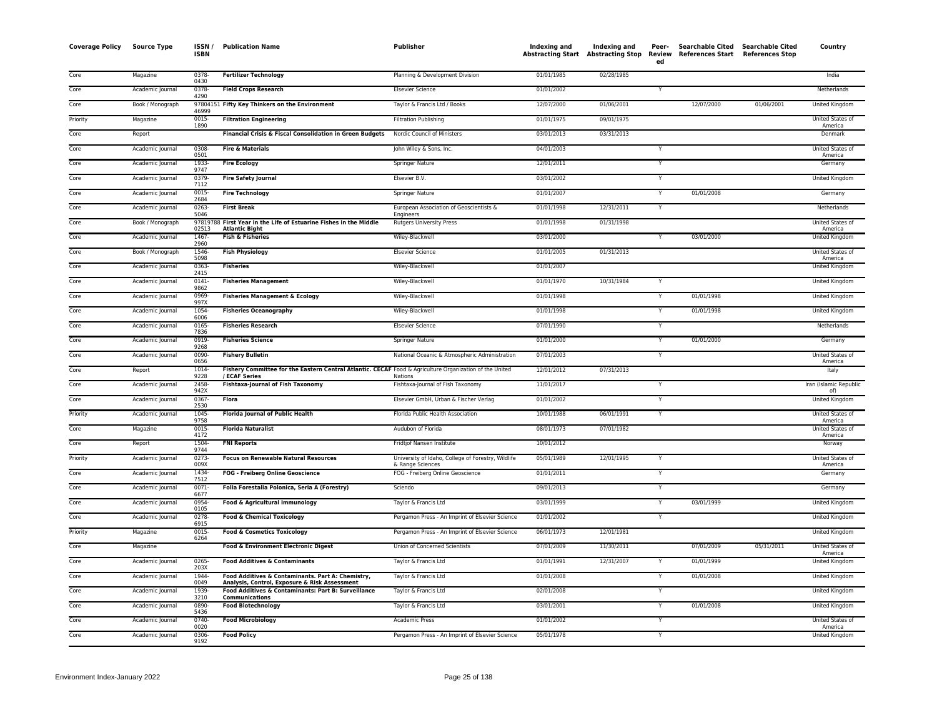| <b>Coverage Policy</b> | <b>Source Type</b> | ISSN /<br><b>ISBN</b> | <b>Publication Name</b>                                                                                                  | Publisher                                                              | <b>Indexing and</b> | Indexing and<br>Abstracting Start Abstracting Stop | Peer-<br>ed             | Searchable Cited Searchable Cited<br>Review References Start References Stop |            | Country                       |
|------------------------|--------------------|-----------------------|--------------------------------------------------------------------------------------------------------------------------|------------------------------------------------------------------------|---------------------|----------------------------------------------------|-------------------------|------------------------------------------------------------------------------|------------|-------------------------------|
| Core                   | Magazine           | $0378 -$<br>0430      | <b>Fertilizer Technology</b>                                                                                             | Planning & Development Division                                        | 01/01/1985          | 02/28/1985                                         |                         |                                                                              |            | India                         |
| Core                   | Academic Journal   | 0378-<br>4290         | <b>Field Crops Research</b>                                                                                              | <b>Elsevier Science</b>                                                | 01/01/2002          |                                                    |                         |                                                                              |            | Netherlands                   |
| Core                   | Book / Monograph   | 46999                 | 97804151 Fifty Key Thinkers on the Environment                                                                           | Taylor & Francis Ltd / Books                                           | 12/07/2000          | 01/06/2001                                         |                         | 12/07/2000                                                                   | 01/06/2001 | <b>United Kingdom</b>         |
| Priority               | Magazine           | $0015 -$<br>1890      | <b>Filtration Engineering</b>                                                                                            | <b>Filtration Publishing</b>                                           | 01/01/1975          | 09/01/1975                                         |                         |                                                                              |            | United States of<br>America   |
| Core                   | Report             |                       | Financial Crisis & Fiscal Consolidation in Green Budgets                                                                 | Nordic Council of Ministers                                            | 03/01/2013          | 03/31/2013                                         |                         |                                                                              |            | Denmark                       |
| Core                   | Academic Journal   | 0308-<br>0501         | <b>Fire &amp; Materials</b>                                                                                              | John Wiley & Sons, Inc.                                                | 04/01/2003          |                                                    |                         |                                                                              |            | United States of<br>America   |
| Core                   | Academic Journal   | 1933-<br>9747         | <b>Fire Ecology</b>                                                                                                      | Springer Nature                                                        | 12/01/2011          |                                                    | Y                       |                                                                              |            | Germany                       |
| Core                   | Academic Journal   | 0379<br>7112          | <b>Fire Safety Journal</b>                                                                                               | Elsevier B.V.                                                          | 03/01/2002          |                                                    |                         |                                                                              |            | United Kingdom                |
| Core                   | Academic Journal   | 0015<br>2684          | <b>Fire Technology</b>                                                                                                   | <b>Springer Nature</b>                                                 | 01/01/2007          |                                                    |                         | 01/01/2008                                                                   |            | Germany                       |
| Core                   | Academic Journal   | $0263 -$<br>5046      | <b>First Break</b>                                                                                                       | European Association of Geoscientists &<br>Engineers                   | 01/01/1998          | 12/31/2011                                         | $\overline{Y}$          |                                                                              |            | Netherlands                   |
| Core                   | Book / Monograph   | 02513                 | 97819788 First Year in the Life of Estuarine Fishes in the Middle<br><b>Atlantic Bight</b>                               | <b>Rutgers University Press</b>                                        | 01/01/1998          | 01/31/1998                                         |                         |                                                                              |            | United States of<br>America   |
| Core                   | Academic Journal   | 1467<br>2960          | Fish & Fisheries                                                                                                         | Wiley-Blackwell                                                        | 03/01/2000          |                                                    |                         | 03/01/2000                                                                   |            | United Kingdom                |
| Core                   | Book / Monograph   | 1546-<br>5098         | <b>Fish Physiology</b>                                                                                                   | <b>Elsevier Science</b>                                                | 01/01/2005          | 01/31/2013                                         |                         |                                                                              |            | United States of<br>America   |
| Core                   | Academic Journal   | 0363<br>2415          | <b>Fisheries</b>                                                                                                         | Wiley-Blackwell                                                        | 01/01/2007          |                                                    |                         |                                                                              |            | United Kingdom                |
| Core                   | Academic Journal   | $0141 -$<br>9862      | <b>Fisheries Management</b>                                                                                              | Wiley-Blackwell                                                        | 01/01/1970          | 10/31/1984                                         |                         |                                                                              |            | United Kingdom                |
| Core                   | Academic Journal   | 0969<br>997X          | <b>Fisheries Management &amp; Ecology</b>                                                                                | Wiley-Blackwell                                                        | 01/01/1998          |                                                    | $\overline{Y}$          | 01/01/1998                                                                   |            | <b>United Kingdom</b>         |
| Core                   | Academic Journal   | 1054-<br>6006         | <b>Fisheries Oceanography</b>                                                                                            | Wiley-Blackwell                                                        | 01/01/1998          |                                                    |                         | 01/01/1998                                                                   |            | United Kingdom                |
| Core                   | Academic Journal   | 0165<br>7836          | <b>Fisheries Research</b>                                                                                                | <b>Elsevier Science</b>                                                | 07/01/1990          |                                                    |                         |                                                                              |            | Netherlands                   |
| Core                   | Academic Journal   | 0919-<br>9268         | <b>Fisheries Science</b>                                                                                                 | Springer Nature                                                        | 01/01/2000          |                                                    | Y                       | 01/01/2000                                                                   |            | Germany                       |
| Core                   | Academic Journal   | 0090-<br>0656         | <b>Fishery Bulletin</b>                                                                                                  | National Oceanic & Atmospheric Administration                          | 07/01/2003          |                                                    | Y                       |                                                                              |            | United States of<br>America   |
| Core                   | Report             | 1014<br>9228          | Fishery Committee for the Eastern Central Atlantic. CECAF Food & Agriculture Organization of the United<br>/ ECAF Series | Nations                                                                | 12/01/2012          | 07/31/2013                                         |                         |                                                                              |            | Italy                         |
| Core                   | Academic Journal   | 2458-<br>942X         | <b>Fishtaxa-Journal of Fish Taxonomy</b>                                                                                 | Fishtaxa-Journal of Fish Taxonomy                                      | 11/01/2017          |                                                    | Y                       |                                                                              |            | Iran (Islamic Republic<br>of) |
| Core                   | Academic Journal   | 0367-<br>2530         | Flora                                                                                                                    | Elsevier GmbH, Urban & Fischer Verlag                                  | 01/01/2002          |                                                    |                         |                                                                              |            | <b>United Kingdom</b>         |
| Priority               | Academic Journal   | 1045-<br>9758         | <b>Florida Journal of Public Health</b>                                                                                  | Florida Public Health Association                                      | 10/01/1988          | 06/01/1991                                         |                         |                                                                              |            | United States of<br>America   |
| Core                   | Magazine           | $0015 -$<br>4172      | <b>Florida Naturalist</b>                                                                                                | Audubon of Florida                                                     | 08/01/1973          | 07/01/1982                                         |                         |                                                                              |            | United States of<br>America   |
| Core                   | Report             | 1504<br>9744          | <b>FNI Reports</b>                                                                                                       | Fridtjof Nansen Institute                                              | 10/01/2012          |                                                    |                         |                                                                              |            | Norway                        |
| Priority               | Academic Journal   | $0273-$<br>009X       | <b>Focus on Renewable Natural Resources</b>                                                                              | University of Idaho, College of Forestry, Wildlife<br>& Range Sciences | 05/01/1989          | 12/01/1995                                         | Y                       |                                                                              |            | United States of<br>America   |
| Core                   | Academic Journal   | 1434<br>7512          | FOG - Freiberg Online Geoscience                                                                                         | FOG - Freiberg Online Geoscience                                       | 01/01/2011          |                                                    | Y                       |                                                                              |            | Germany                       |
| Core                   | Academic Journal   | 0071<br>6677          | Folia Forestalia Polonica, Seria A (Forestry)                                                                            | Sciendo                                                                | 09/01/2013          |                                                    |                         |                                                                              |            | Germany                       |
| Core                   | Academic Journal   | 0954-<br>0105         | <b>Food &amp; Agricultural Immunology</b>                                                                                | Taylor & Francis Ltd                                                   | 03/01/1999          |                                                    |                         | 03/01/1999                                                                   |            | United Kingdom                |
| Core                   | Academic Journal   | $0278 -$<br>6915      | <b>Food &amp; Chemical Toxicology</b>                                                                                    | Pergamon Press - An Imprint of Elsevier Science                        | 01/01/2002          |                                                    | Y                       |                                                                              |            | <b>United Kingdom</b>         |
| Priority               | Magazine           | 0015-<br>6264         | <b>Food &amp; Cosmetics Toxicology</b>                                                                                   | Pergamon Press - An Imprint of Elsevier Science                        | 06/01/1973          | 12/01/1981                                         |                         |                                                                              |            | United Kingdom                |
| Core                   | Magazine           |                       | Food & Environment Electronic Digest                                                                                     | Union of Concerned Scientists                                          | 07/01/2009          | 11/30/2011                                         |                         | 07/01/2009                                                                   | 05/31/2011 | United States of<br>America   |
| Core                   | Academic Journal   | $0265 -$<br>203X      | <b>Food Additives &amp; Contaminants</b>                                                                                 | Taylor & Francis Ltd                                                   | 01/01/1991          | 12/31/2007                                         |                         | 01/01/1999                                                                   |            | <b>United Kingdom</b>         |
| Core                   | Academic Journal   | 1944<br>0049          | Food Additives & Contaminants. Part A: Chemistry,<br>Analysis, Control, Exposure & Risk Assessment                       | Taylor & Francis Ltd                                                   | 01/01/2008          |                                                    | Y                       | 01/01/2008                                                                   |            | United Kingdom                |
| Core                   | Academic Journal   | 1939<br>3210          | Food Additives & Contaminants: Part B: Surveillance<br><b>Communications</b>                                             | Taylor & Francis Ltd                                                   | 02/01/2008          |                                                    |                         |                                                                              |            | United Kingdom                |
| Core                   | Academic Journal   | 0890-<br>5436         | <b>Food Biotechnology</b>                                                                                                | Taylor & Francis Ltd                                                   | 03/01/2001          |                                                    | $\overline{\mathsf{Y}}$ | 01/01/2008                                                                   |            | <b>United Kingdom</b>         |
| Core                   | Academic Journal   | 0740-<br>0020         | <b>Food Microbiology</b>                                                                                                 | Academic Press                                                         | 01/01/2002          |                                                    | Y                       |                                                                              |            | United States of<br>America   |
| Core                   | Academic Journal   | 0306<br>9192          | <b>Food Policy</b>                                                                                                       | Pergamon Press - An Imprint of Elsevier Science                        | 05/01/1978          |                                                    |                         |                                                                              |            | United Kingdom                |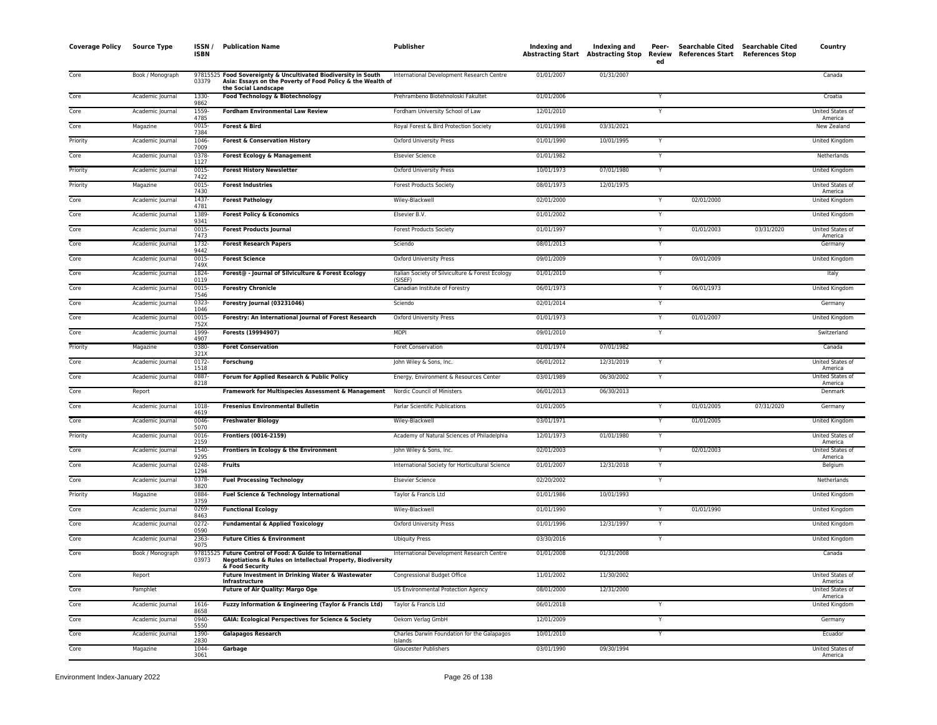| <b>Coverage Policy</b> | Source Type      | ISSN /<br>ISBN   | <b>Publication Name</b>                                                                                                                              | Publisher                                                   | Indexing and | Indexing and | Peer-<br>ed  | Searchable Cited<br>Abstracting Start Abstracting Stop Review References Start References Stop | Searchable Cited | Country                     |
|------------------------|------------------|------------------|------------------------------------------------------------------------------------------------------------------------------------------------------|-------------------------------------------------------------|--------------|--------------|--------------|------------------------------------------------------------------------------------------------|------------------|-----------------------------|
| Core                   | Book / Monograph | 03379            | 97815525 Food Sovereignty & Uncultivated Biodiversity in South<br>Asia: Essays on the Poverty of Food Policy & the Wealth of<br>the Social Landscape | International Development Research Centre                   | 01/01/2007   | 01/31/2007   |              |                                                                                                |                  | Canada                      |
| Core                   | Academic Journal | 1330-<br>9862    | Food Technology & Biotechnology                                                                                                                      | Prehrambeno Biotehnoloski Fakultet                          | 01/01/2006   |              |              |                                                                                                |                  | Croatia                     |
| Core                   | Academic Journal | 1559-<br>4785    | <b>Fordham Environmental Law Review</b>                                                                                                              | Fordham University School of Law                            | 12/01/2010   |              | $\mathsf{Y}$ |                                                                                                |                  | United States of<br>America |
| Core                   | Magazine         | 0015<br>7384     | Forest & Bird                                                                                                                                        | Royal Forest & Bird Protection Society                      | 01/01/1998   | 03/31/2021   |              |                                                                                                |                  | New Zealand                 |
| Priority               | Academic Journal | 1046-<br>7009    | <b>Forest &amp; Conservation History</b>                                                                                                             | <b>Oxford University Press</b>                              | 01/01/1990   | 10/01/1995   | Y            |                                                                                                |                  | <b>United Kingdom</b>       |
| Core                   | Academic Journal | 0378<br>1127     | <b>Forest Ecology &amp; Management</b>                                                                                                               | <b>Elsevier Science</b>                                     | 01/01/1982   |              | Y            |                                                                                                |                  | Netherlands                 |
| Priority               | Academic Journal | 0015<br>7422     | <b>Forest History Newsletter</b>                                                                                                                     | Oxford University Press                                     | 10/01/1973   | 07/01/1980   | Y            |                                                                                                |                  | United Kingdom              |
| Priority               | Magazine         | $0015 -$<br>7430 | <b>Forest Industries</b>                                                                                                                             | <b>Forest Products Society</b>                              | 08/01/1973   | 12/01/1975   |              |                                                                                                |                  | United States of<br>America |
| Core                   | Academic Journal | 1437<br>4781     | <b>Forest Pathology</b>                                                                                                                              | Wiley-Blackwell                                             | 02/01/2000   |              |              | 02/01/2000                                                                                     |                  | <b>United Kingdom</b>       |
| Core                   | Academic Journal | 1389<br>9341     | <b>Forest Policy &amp; Economics</b>                                                                                                                 | Elsevier B.V.                                               | 01/01/2002   |              | Y            |                                                                                                |                  | <b>United Kingdom</b>       |
| Core                   | Academic Journal | $0015 -$<br>7473 | <b>Forest Products Journal</b>                                                                                                                       | <b>Forest Products Society</b>                              | 01/01/1997   |              | Y            | 01/01/2003                                                                                     | 03/31/2020       | United States of<br>America |
| Core                   | Academic Journal | 1732-<br>9442    | <b>Forest Research Papers</b>                                                                                                                        | Sciendo                                                     | 08/01/2013   |              | Y            |                                                                                                |                  | Germany                     |
| Core                   | Academic Journal | 0015-<br>749X    | <b>Forest Science</b>                                                                                                                                | Oxford University Press                                     | 09/01/2009   |              | Y            | 09/01/2009                                                                                     |                  | United Kingdom              |
| Core                   | Academic Journal | 1824<br>0119     | Forest@ - Journal of Silviculture & Forest Ecology                                                                                                   | Italian Society of Silviculture & Forest Ecology<br>(SISFF) | 01/01/2010   |              |              |                                                                                                |                  | Italy                       |
| Core                   | Academic Journal | 0015<br>7546     | <b>Forestry Chronicle</b>                                                                                                                            | Canadian Institute of Forestry                              | 06/01/1973   |              | Y            | 06/01/1973                                                                                     |                  | United Kingdom              |
| Core                   | Academic Journal | $0323 -$<br>1046 | Forestry Journal (03231046)                                                                                                                          | Sciendo                                                     | 02/01/2014   |              | Y            |                                                                                                |                  | Germany                     |
| Core                   | Academic Journal | 0015<br>752X     | Forestry: An International Journal of Forest Research                                                                                                | <b>Oxford University Press</b>                              | 01/01/1973   |              | Y            | 01/01/2007                                                                                     |                  | United Kingdom              |
| Core                   | Academic Journal | 1999<br>4907     | Forests (19994907)                                                                                                                                   | <b>MDPI</b>                                                 | 09/01/2010   |              | Y            |                                                                                                |                  | Switzerland                 |
| Priority               | Magazine         | 0380-<br>321X    | <b>Foret Conservation</b>                                                                                                                            | Foret Conservation                                          | 01/01/1974   | 07/01/1982   |              |                                                                                                |                  | Canada                      |
| Core                   | Academic Journal | 0172<br>1518     | Forschung                                                                                                                                            | John Wiley & Sons, Inc.                                     | 06/01/2012   | 12/31/2019   | Y            |                                                                                                |                  | United States of<br>America |
| Core                   | Academic Journal | 0887-<br>8218    | Forum for Applied Research & Public Policy                                                                                                           | Energy, Environment & Resources Center                      | 03/01/1989   | 06/30/2002   | Y            |                                                                                                |                  | United States of<br>America |
| Core                   | Report           |                  | Framework for Multispecies Assessment & Management                                                                                                   | Nordic Council of Ministers                                 | 06/01/2013   | 06/30/2013   |              |                                                                                                |                  | Denmark                     |
| Core                   | Academic Journal | 1018-<br>4619    | <b>Fresenius Environmental Bulletin</b>                                                                                                              | Parlar Scientific Publications                              | 01/01/2005   |              | Y            | 01/01/2005                                                                                     | 07/31/2020       | Germany                     |
| Core                   | Academic Journal | 0046-<br>5070    | <b>Freshwater Biology</b>                                                                                                                            | Wiley-Blackwell                                             | 03/01/1971   |              | Y            | 01/01/2005                                                                                     |                  | United Kingdom              |
| Priority               | Academic Journal | 0016<br>2159     | <b>Frontiers (0016-2159)</b>                                                                                                                         | Academy of Natural Sciences of Philadelphia                 | 12/01/1973   | 01/01/1980   | $\mathsf{Y}$ |                                                                                                |                  | United States of<br>America |
| Core                   | Academic Journal | 1540-<br>9295    | Frontiers in Ecology & the Environment                                                                                                               | John Wiley & Sons, Inc.                                     | 02/01/2003   |              | Y            | 02/01/2003                                                                                     |                  | United States of<br>America |
| Core                   | Academic Journal | 0248<br>1294     | <b>Fruits</b>                                                                                                                                        | International Society for Horticultural Science             | 01/01/2007   | 12/31/2018   | $\mathsf{Y}$ |                                                                                                |                  | Belgium                     |
| Core                   | Academic Journal | 0378<br>3820     | <b>Fuel Processing Technology</b>                                                                                                                    | <b>Elsevier Science</b>                                     | 02/20/2002   |              | Y            |                                                                                                |                  | Netherlands                 |
| Priority               | Magazine         | 0884<br>3759     | Fuel Science & Technology International                                                                                                              | Taylor & Francis Ltd                                        | 01/01/1986   | 10/01/1993   |              |                                                                                                |                  | United Kingdom              |
| Core                   | Academic Journal | 0269<br>8463     | <b>Functional Ecology</b>                                                                                                                            | Wiley-Blackwell                                             | 01/01/1990   |              | Y            | 01/01/1990                                                                                     |                  | <b>United Kingdom</b>       |
| Core                   | Academic Journal | 0272<br>0590     | <b>Fundamental &amp; Applied Toxicology</b>                                                                                                          | <b>Oxford University Press</b>                              | 01/01/1996   | 12/31/1997   |              |                                                                                                |                  | United Kingdom              |
| Core                   | Academic Journal | 2363-<br>9075    | <b>Future Cities &amp; Environment</b>                                                                                                               | <b>Ubiquity Press</b>                                       | 03/30/2016   |              | Y            |                                                                                                |                  | <b>United Kingdom</b>       |
| Core                   | Book / Monograph | 03973            | 97815525 Future Control of Food: A Guide to International<br>Negotiations & Rules on Intellectual Property, Biodiversity<br>& Food Security          | International Development Research Centre                   | 01/01/2008   | 01/31/2008   |              |                                                                                                |                  | Canada                      |
| Core                   | Report           |                  | Future Investment in Drinking Water & Wastewater<br>Infrastructure                                                                                   | Congressional Budget Office                                 | 11/01/2002   | 11/30/2002   |              |                                                                                                |                  | United States of<br>America |
| Core                   | Pamphlet         |                  | <b>Future of Air Quality: Margo Oge</b>                                                                                                              | US Environmental Protection Agency                          | 08/01/2000   | 12/31/2000   |              |                                                                                                |                  | United States of<br>America |
| Core                   | Academic Journal | 1616<br>8658     | Fuzzy Information & Engineering (Taylor & Francis Ltd)                                                                                               | Taylor & Francis Ltd                                        | 06/01/2018   |              | Y            |                                                                                                |                  | <b>United Kingdom</b>       |
| Core                   | Academic Journal | 0940-<br>5550    | <b>GAIA: Ecological Perspectives for Science &amp; Society</b>                                                                                       | Oekom Verlag GmbH                                           | 12/01/2009   |              | Y            |                                                                                                |                  | Germany                     |
| Core                   | Academic Journal | 1390-<br>2830    | <b>Galapagos Research</b>                                                                                                                            | Charles Darwin Foundation for the Galapagos<br>Islands      | 10/01/2010   |              | Y            |                                                                                                |                  | Ecuador                     |
| Core                   | Magazine         | 1044-<br>3061    | Garbage                                                                                                                                              | Gloucester Publishers                                       | 03/01/1990   | 09/30/1994   |              |                                                                                                |                  | United States of<br>America |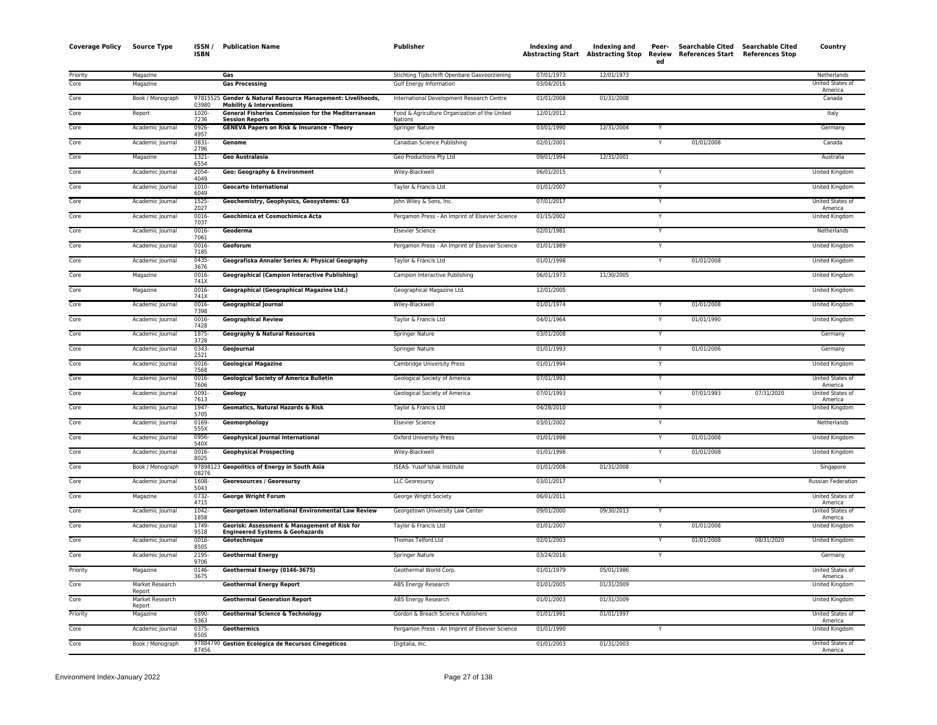| Coverage Policy | Source Type               | ISSN/<br><b>ISBN</b>         | <b>Publication Name</b>                                                                    | Publisher                                                | Indexing and | Indexing and<br><b>Abstracting Start Abstracting Stop</b> | Peer-<br>ed             | <b>Searchable Cited</b><br>Review References Start References Stop | Searchable Cited | Country                     |
|-----------------|---------------------------|------------------------------|--------------------------------------------------------------------------------------------|----------------------------------------------------------|--------------|-----------------------------------------------------------|-------------------------|--------------------------------------------------------------------|------------------|-----------------------------|
| Priority        | Magazine                  |                              | Gas                                                                                        | Stichting Tijdschrift Openbare Gasvoorziening            | 07/01/1973   | 12/01/1973                                                |                         |                                                                    |                  | Netherlands                 |
| Core            | Magazine                  |                              | <b>Gas Processing</b>                                                                      | Gulf Energy Information                                  | 03/04/2016   |                                                           |                         |                                                                    |                  | United States of<br>America |
| Core            | Book / Monograph          | 97815525<br>03980            | Gender & Natural Resource Management: Livelihoods,<br><b>Mobility &amp; Interventions</b>  | International Development Research Centre                | 01/01/2008   | 01/31/2008                                                |                         |                                                                    |                  | Canada                      |
| Core            | Report                    | 1020-<br>7236                | General Fisheries Commission for the Mediterranean<br><b>Session Reports</b>               | Food & Agriculture Organization of the United<br>Nations | 12/01/2012   |                                                           |                         |                                                                    |                  | Italy                       |
| Core            | Academic Journal          | 0926-<br>4957                | <b>GENEVA Papers on Risk &amp; Insurance - Theory</b>                                      | Springer Nature                                          | 03/01/1990   | 12/31/2004                                                |                         |                                                                    |                  | Germany                     |
| Core            | Academic Journal          | $0831 -$<br>2796             | Genome                                                                                     | Canadian Science Publishing                              | 02/01/2001   |                                                           | Y                       | 01/01/2008                                                         |                  | Canada                      |
| Core            | Magazine                  | $1321 -$<br>6554             | <b>Geo Australasia</b>                                                                     | Geo Productions Pty Ltd                                  | 09/01/1994   | 12/31/2001                                                |                         |                                                                    |                  | Australia                   |
| Core            | Academic Journal          | 2054-<br>4049                | Geo: Geography & Environment                                                               | Wiley-Blackwell                                          | 06/01/2015   |                                                           | Y                       |                                                                    |                  | United Kingdom              |
| Core            | Academic Journal          | 1010-<br>6049                | <b>Geocarto International</b>                                                              | Taylor & Francis Ltd                                     | 01/01/2007   |                                                           | Y                       |                                                                    |                  | United Kingdom              |
| Core            | Academic Journal          | 1525-<br>2027                | Geochemistry, Geophysics, Geosystems: G3                                                   | John Wiley & Sons, Inc.                                  | 07/01/2017   |                                                           | $\overline{Y}$          |                                                                    |                  | United States of<br>America |
| Core            | Academic Journal          | $0016 -$<br>7037             | Geochimica et Cosmochimica Acta                                                            | Pergamon Press - An Imprint of Elsevier Science          | 01/15/2002   |                                                           | $\overline{\mathsf{Y}}$ |                                                                    |                  | United Kingdom              |
| Core            | Academic Journal          | 0016<br>7061                 | Geoderma                                                                                   | <b>Elsevier Science</b>                                  | 02/01/1981   |                                                           | $\mathsf{v}$            |                                                                    |                  | Netherlands                 |
| Core            | Academic Journal          | 0016-<br>7185                | Geoforum                                                                                   | Pergamon Press - An Imprint of Elsevier Science          | 01/01/1989   |                                                           | Y                       |                                                                    |                  | United Kingdom              |
| Core            | Academic Journal          | 0435-<br>3676                | Geografiska Annaler Series A: Physical Geography                                           | Taylor & Francis Ltd                                     | 01/01/1998   |                                                           |                         | 01/01/2008                                                         |                  | United Kingdom              |
| Core            | Magazine                  | 0016-<br>741X                | <b>Geographical (Campion Interactive Publishing)</b>                                       | Campion Interactive Publishing                           | 06/01/1973   | 11/30/2005                                                |                         |                                                                    |                  | United Kingdom              |
| Core            | Magazine                  | $0016 -$<br>741 <sup>x</sup> | Geographical (Geographical Magazine Ltd.)                                                  | Geographical Magazine Ltd.                               | 12/01/2005   |                                                           |                         |                                                                    |                  | United Kingdom              |
| Core            | Academic Journal          | 0016-<br>7398                | <b>Geographical Journal</b>                                                                | Wiley-Blackwell                                          | 01/01/1974   |                                                           |                         | 01/01/2008                                                         |                  | United Kingdom              |
| Core            | Academic Journal          | 0016-<br>7428                | <b>Geographical Review</b>                                                                 | Taylor & Francis Ltd                                     | 04/01/1964   |                                                           | Y                       | 01/01/1990                                                         |                  | United Kingdom              |
| Core            | Academic Journal          | 1875-<br>3728                | <b>Geography &amp; Natural Resources</b>                                                   | Springer Nature                                          | 03/01/2008   |                                                           | $\mathsf{v}$            |                                                                    |                  | Germany                     |
| Core            | Academic Journal          | 0343-<br>2521                | GeoJournal                                                                                 | <b>Springer Nature</b>                                   | 01/01/1993   |                                                           | $\overline{Y}$          | 01/01/2006                                                         |                  | Germany                     |
| Core            | Academic Journal          | $0016 -$<br>7568             | <b>Geological Magazine</b>                                                                 | Cambridge University Press                               | 01/01/1994   |                                                           | Y                       |                                                                    |                  | United Kingdom              |
| Core            | Academic Journal          | 0016-<br>7606                | <b>Geological Society of America Bulletin</b>                                              | Geological Society of America                            | 07/01/1993   |                                                           | Y                       |                                                                    |                  | United States of<br>America |
| Core            | Academic Journal          | 0091<br>7613                 | Geology                                                                                    | Geological Society of America                            | 07/01/1993   |                                                           | Y                       | 07/01/1993                                                         | 07/31/2020       | United States of<br>America |
| Core            | Academic Journal          | 1947<br>5705                 | Geomatics, Natural Hazards & Risk                                                          | Taylor & Francis Ltd                                     | 04/28/2010   |                                                           |                         |                                                                    |                  | United Kingdom              |
| Core            | Academic Journal          | 0169-<br>555X                | Geomorphology                                                                              | <b>Elsevier Science</b>                                  | 03/01/2002   |                                                           | $\overline{Y}$          |                                                                    |                  | Netherlands                 |
| Core            | Academic Journal          | 0956-<br>540X                | <b>Geophysical Journal International</b>                                                   | Oxford University Press                                  | 01/01/1998   |                                                           | Y                       | 01/01/2008                                                         |                  | <b>United Kingdom</b>       |
| Core            | Academic Journal          | 0016-<br>8025                | <b>Geophysical Prospecting</b>                                                             | Wiley-Blackwell                                          | 01/01/1998   |                                                           | Y                       | 01/01/2008                                                         |                  | United Kingdom              |
| Core            | Book / Monograph          | 08276                        | 97898123 Geopolitics of Energy in South Asia                                               | ISEAS- Yusof Ishak Institute                             | 01/01/2008   | 01/31/2008                                                |                         |                                                                    |                  | Singapore                   |
| Core            | Academic Journal          | 1608-<br>5043                | <b>Georesources / Georesursy</b>                                                           | <b>LLC</b> Georesursy                                    | 03/01/2017   |                                                           | $\checkmark$            |                                                                    |                  | <b>Russian Federation</b>   |
| Core            | Magazine                  | 0732-<br>4715                | <b>George Wright Forum</b>                                                                 | George Wright Society                                    | 06/01/2011   |                                                           |                         |                                                                    |                  | United States of<br>America |
| Core            | Academic Journal          | $1042 -$<br>1858             | Georgetown International Environmental Law Review                                          | Georgetown University Law Center                         | 09/01/2000   | 09/30/2013                                                | Y                       |                                                                    |                  | United States of<br>America |
| Core            | Academic Journal          | 1749<br>9518                 | Georisk: Assessment & Management of Risk for<br><b>Engineered Systems &amp; Geohazards</b> | Taylor & Francis Ltd                                     | 01/01/2007   |                                                           | Y                       | 01/01/2008                                                         |                  | United Kingdom              |
| Core            | Academic Journal          | 0016-<br>8505                | Géotechnique                                                                               | Thomas Telford Ltd                                       | 02/01/2003   |                                                           | Y                       | 01/01/2008                                                         | 08/31/2020       | United Kingdom              |
| Core            | Academic Journal          | 2195<br>9706                 | <b>Geothermal Energy</b>                                                                   | Springer Nature                                          | 03/24/2016   |                                                           |                         |                                                                    |                  | Germany                     |
| Priority        | Magazine                  | 0146-<br>3675                | Geothermal Energy (0146-3675)                                                              | Geothermal World Corp.                                   | 01/01/1979   | 05/01/1986                                                |                         |                                                                    |                  | United States of<br>America |
| Core            | Market Research<br>Report |                              | <b>Geothermal Energy Report</b>                                                            | ABS Energy Research                                      | 01/01/2005   | 01/31/2009                                                |                         |                                                                    |                  | United Kingdom              |
| Core            | Market Research<br>Report |                              | <b>Geothermal Generation Report</b>                                                        | ABS Energy Research                                      | 01/01/2003   | 01/31/2009                                                |                         |                                                                    |                  | United Kingdom              |
| Priority        | Magazine                  | 0890-<br>5363                | <b>Geothermal Science &amp; Technology</b>                                                 | Gordon & Breach Science Publishers                       | 01/01/1991   | 01/01/1997                                                |                         |                                                                    |                  | United States of<br>America |
| Core            | Academic Journal          | 0375-<br>6505                | <b>Geothermics</b>                                                                         | Pergamon Press - An Imprint of Elsevier Science          | 01/01/1990   |                                                           | $\mathsf{v}$            |                                                                    |                  | <b>United Kingdom</b>       |
| Core            | Book / Monograph          | 87456                        | 97884790 Gestión Ecológica de Recursos Cinegéticos                                         | Digitalia, Inc.                                          | 01/01/2003   | 01/31/2003                                                |                         |                                                                    |                  | United States of<br>America |
|                 |                           |                              |                                                                                            |                                                          |              |                                                           |                         |                                                                    |                  |                             |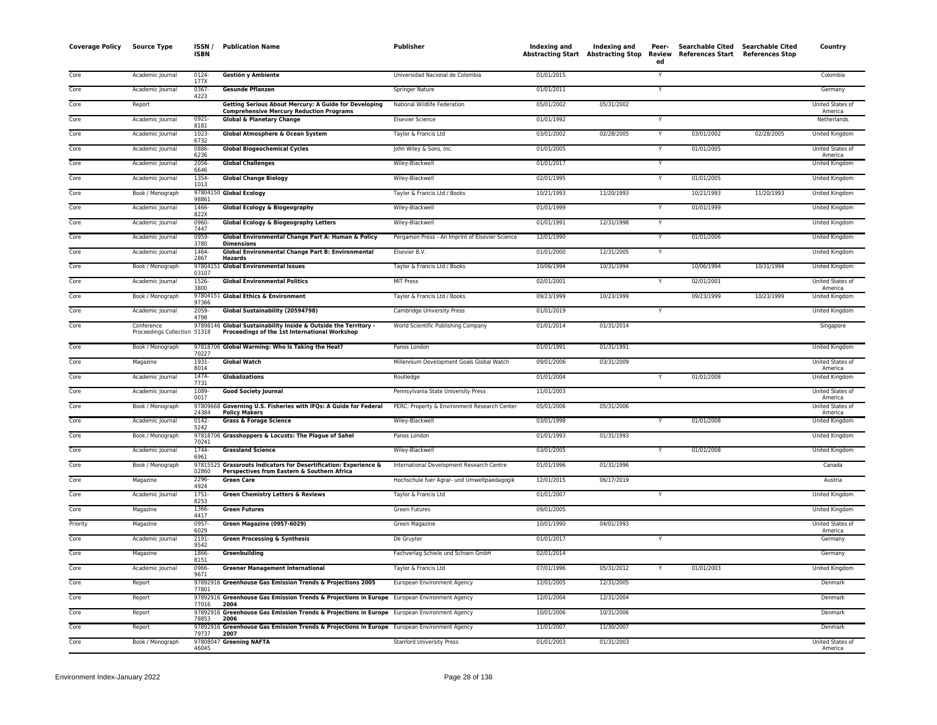| <b>Coverage Policy</b> | <b>Source Type</b>                         | ISSN/<br><b>ISBN</b> | <b>Publication Name</b>                                                                                          | <b>Publisher</b>                                | Indexing and | <b>Indexing and</b><br>Abstracting Start Abstracting Stop | Peer-<br>ed  | Searchable Cited Searchable Cited<br>Review References Start References Stop |            | Country                            |
|------------------------|--------------------------------------------|----------------------|------------------------------------------------------------------------------------------------------------------|-------------------------------------------------|--------------|-----------------------------------------------------------|--------------|------------------------------------------------------------------------------|------------|------------------------------------|
| Core                   | Academic Journal                           | 0124-<br>177X        | Gestión y Ambiente                                                                                               | Universidad Nacional de Colombia                | 01/01/2015   |                                                           | Y            |                                                                              |            | Colombia                           |
| Core                   | Academic Journal                           | 0367-<br>4223        | <b>Gesunde Pflanzen</b>                                                                                          | Springer Nature                                 | 01/01/2011   |                                                           | Y            |                                                                              |            | Germany                            |
| Core                   | Report                                     |                      | Getting Serious About Mercury: A Guide for Developing<br><b>Comprehensive Mercury Reduction Programs</b>         | National Wildlife Federation                    | 05/01/2002   | 05/31/2002                                                |              |                                                                              |            | United States of<br>America        |
| Core                   | Academic Journal                           | 0921-<br>8181        | <b>Global &amp; Planetary Change</b>                                                                             | <b>Elsevier Science</b>                         | 01/01/1992   |                                                           |              |                                                                              |            | Netherlands                        |
| Core                   | Academic Journal                           | $1023 -$<br>6732     | Global Atmosphere & Ocean System                                                                                 | Taylor & Francis Ltd                            | 03/01/2002   | 02/28/2005                                                | $\mathsf{Y}$ | 03/01/2002                                                                   | 02/28/2005 | United Kingdom                     |
| Core                   | Academic Journal                           | 0886-<br>6236        | <b>Global Biogeochemical Cycles</b>                                                                              | John Wiley & Sons, Inc.                         | 01/01/2005   |                                                           | Y            | 01/01/2005                                                                   |            | United States of<br>America        |
| Core                   | Academic Journal                           | 2056-<br>6646        | <b>Global Challenges</b>                                                                                         | Wiley-Blackwell                                 | 01/01/2017   |                                                           | Y            |                                                                              |            | United Kingdom                     |
| Core                   | Academic Journal                           | 1354-<br>1013        | <b>Global Change Biology</b>                                                                                     | Wiley-Blackwell                                 | 02/01/1995   |                                                           | Y            | 01/01/2005                                                                   |            | United Kingdom                     |
| Core                   | Book / Monograph                           | 98861                | 97804150 Global Ecology                                                                                          | Taylor & Francis Ltd / Books                    | 10/21/1993   | 11/20/1993                                                |              | 10/21/1993                                                                   | 11/20/1993 | United Kingdom                     |
| Core                   | Academic Journal                           | 1466-<br>822X        | Global Ecology & Biogeography                                                                                    | Wiley-Blackwell                                 | 01/01/1999   |                                                           | Y            | 01/01/1999                                                                   |            | United Kingdom                     |
| Core                   | Academic Journal                           | 0960-<br>7447        | Global Ecology & Biogeography Letters                                                                            | Wiley-Blackwell                                 | 01/01/1991   | 12/31/1998                                                | Y            |                                                                              |            | United Kingdom                     |
| Core                   | Academic Journal                           | 0959-<br>3780        | Global Environmental Change Part A: Human & Policy<br><b>Dimensions</b>                                          | Pergamon Press - An Imprint of Elsevier Science | 12/01/1990   |                                                           |              | 01/01/2006                                                                   |            | United Kingdom                     |
| Core                   | Academic Journal                           | 1464<br>2867         | Global Environmental Change Part B: Environmental<br>Hazards                                                     | Elsevier B.V.                                   | 01/01/2000   | 12/31/2005                                                | Y            |                                                                              |            | United Kingdom                     |
| Core                   | Book / Monograph                           | 97804151<br>03107    | <b>Global Environmental Issues</b>                                                                               | Taylor & Francis Ltd / Books                    | 10/06/1994   | 10/31/1994                                                |              | 10/06/1994                                                                   | 10/31/1994 | United Kingdom                     |
| Core                   | Academic Journal                           | 1526-<br>3800        | <b>Global Environmental Politics</b>                                                                             | <b>MIT Press</b>                                | 02/01/2001   |                                                           |              | 02/01/2001                                                                   |            | United States of<br>America        |
| Core                   | Book / Monograph                           | 97366                | 97804151 Global Ethics & Environment                                                                             | Taylor & Francis Ltd / Books                    | 09/23/1999   | 10/23/1999                                                |              | 09/23/1999                                                                   | 10/23/1999 | United Kingdom                     |
| Core                   | Academic Journal                           | 2059-<br>4798        | Global Sustainability (20594798)                                                                                 | Cambridge University Press                      | 01/01/2019   |                                                           |              |                                                                              |            | United Kingdom                     |
| Core                   | Conference<br>Proceedings Collection 51318 |                      | 97898146 Global Sustainability Inside & Outside the Territory -<br>Proceedings of the 1st International Workshop | World Scientific Publishing Company             | 01/01/2014   | 01/31/2014                                                |              |                                                                              |            | Singapore                          |
| Core                   | Book / Monograph                           | 70227                | 97818706 Global Warming: Who Is Taking the Heat?                                                                 | Panos London                                    | 01/01/1991   | 01/31/1991                                                |              |                                                                              |            | United Kingdom                     |
| Core                   | Magazine                                   | 1931-<br>8014        | <b>Global Watch</b>                                                                                              | Millennium Development Goals Global Watch       | 09/01/2006   | 03/31/2009                                                |              |                                                                              |            | United States of<br>America        |
| Core                   | Academic Journal                           | 1474-<br>7731        | <b>Globalizations</b>                                                                                            | Routledge                                       | 01/01/2004   |                                                           |              | 01/01/2008                                                                   |            | <b>United Kingdom</b>              |
| Core                   | Academic Journal                           | 1089<br>0017         | <b>Good Society Journal</b>                                                                                      | Pennsylvania State University Press             | 11/01/2003   |                                                           |              |                                                                              |            | United States of<br>America        |
| Core                   | Book / Monograph                           | 97809668<br>24384    | Governing U.S. Fisheries with IFQs: A Guide for Federal<br><b>Policy Makers</b>                                  | PERC: Property & Environment Research Center    | 05/01/2006   | 05/31/2006                                                |              |                                                                              |            | United States of<br>America        |
| Core                   | Academic Journal                           | $0142 -$<br>5242     | <b>Grass &amp; Forage Science</b>                                                                                | Wiley-Blackwell                                 | 03/01/1998   |                                                           |              | 01/01/2008                                                                   |            | <b>United Kingdom</b>              |
| Core                   | Book / Monograph                           | 70241                | 97818706 Grasshoppers & Locusts: The Plague of Sahel                                                             | Panos London                                    | 01/01/1993   | 01/31/1993                                                |              |                                                                              |            | United Kingdom                     |
| Core                   | Academic Journal                           | 1744-<br>6961        | <b>Grassland Science</b>                                                                                         | Wiley-Blackwell                                 | 03/01/2005   |                                                           | Y            | 01/01/2008                                                                   |            | United Kingdom                     |
| Core                   | Book / Monograph                           | 02860                | 97815525 Grassroots Indicators for Desertification: Experience &<br>Perspectives from Eastern & Southern Africa  | International Development Research Centre       | 01/01/1996   | 01/31/1996                                                |              |                                                                              |            | Canada                             |
| Core                   | Magazine                                   | 2296-<br>4924        | <b>Green Care</b>                                                                                                | Hochschule fuer Agrar- und Umweltpaedagogik     | 12/01/2015   | 06/17/2019                                                |              |                                                                              |            | Austria                            |
| Core                   | Academic Journal                           | $1751 -$<br>8253     | <b>Green Chemistry Letters &amp; Reviews</b>                                                                     | Taylor & Francis Ltd                            | 01/01/2007   |                                                           |              |                                                                              |            | United Kingdom                     |
| Core                   | Magazine                                   | 1366-<br>4417        | <b>Green Futures</b>                                                                                             | <b>Green Futures</b>                            | 09/01/2005   |                                                           |              |                                                                              |            | <b>United Kingdom</b>              |
| Priority               | Magazine                                   | 0957-<br>6029        | Green Magazine (0957-6029)                                                                                       | Green Magazine                                  | 10/01/1990   | 04/01/1993                                                |              |                                                                              |            | United States of<br>America        |
| Core                   | Academic Journal                           | 2191-<br>9542        | <b>Green Processing &amp; Synthesis</b>                                                                          | De Gruyter                                      | 01/01/2017   |                                                           |              |                                                                              |            | Germany                            |
| Core                   | Magazine                                   | 1866-<br>8151        | Greenbuilding                                                                                                    | Fachverlag Schiele und Schoen GmbH              | 02/01/2014   |                                                           |              |                                                                              |            | Germany                            |
| Core                   | Academic Journal                           | 0966-<br>9671        | <b>Greener Management International</b>                                                                          | Taylor & Francis Ltd                            | 07/01/1996   | 05/31/2012                                                |              | 01/01/2003                                                                   |            | United Kingdom                     |
| Core                   | Report                                     | 77801                | 97892916 Greenhouse Gas Emission Trends & Projections 2005                                                       | European Environment Agency                     | 12/01/2005   | 12/31/2005                                                |              |                                                                              |            | Denmark                            |
| Core                   | Report                                     | 77016                | 97892916 Greenhouse Gas Emission Trends & Projections in Europe European Environment Agency<br>2004              |                                                 | 12/01/2004   | 12/31/2004                                                |              |                                                                              |            | Denmark                            |
| Core                   | Report                                     | 78853                | 97892916 Greenhouse Gas Emission Trends & Projections in Europe European Environment Agency<br>2006              |                                                 | 10/01/2006   | 10/31/2006                                                |              |                                                                              |            | Denmark                            |
| Core                   | Report                                     | 79737                | 97892916 Greenhouse Gas Emission Trends & Projections in Europe European Environment Agency<br>2007              |                                                 | 11/01/2007   | 11/30/2007                                                |              |                                                                              |            | Denmark                            |
| Core                   | Book / Monograph                           | 46045                | 97808047 Greening NAFTA                                                                                          | <b>Stanford University Press</b>                | 01/01/2003   | 01/31/2003                                                |              |                                                                              |            | <b>United States of</b><br>America |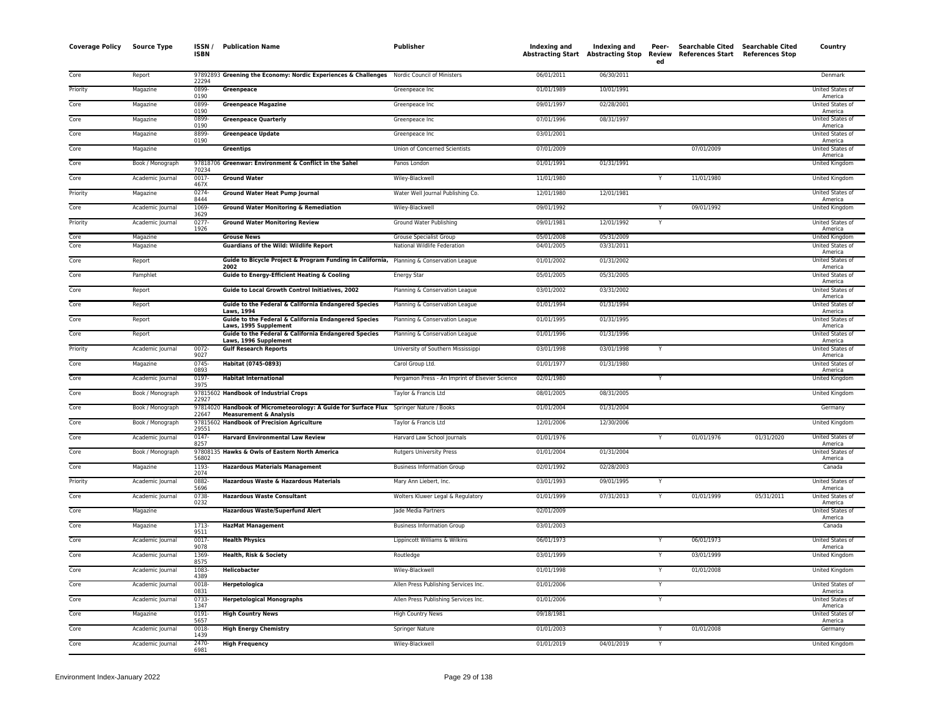| <b>Coverage Policy</b> | <b>Source Type</b> | ISSN /<br><b>ISBN</b> | <b>Publication Name</b>                                                                                                      | Publisher                                       | Indexing and | Indexing and<br><b>Abstracting Start Abstracting Stop</b> | Peer-<br>Review<br>ed | Searchable Cited Searchable Cited<br>References Start | <b>References Stop</b> | Country                                |
|------------------------|--------------------|-----------------------|------------------------------------------------------------------------------------------------------------------------------|-------------------------------------------------|--------------|-----------------------------------------------------------|-----------------------|-------------------------------------------------------|------------------------|----------------------------------------|
| Core                   | Report             | 22294                 | 97892893 Greening the Economy: Nordic Experiences & Challenges Nordic Council of Ministers                                   |                                                 | 06/01/2011   | 06/30/2011                                                |                       |                                                       |                        | Denmark                                |
| Priority               | Magazine           | 0899-<br>0190         | Greenpeace                                                                                                                   | Greenpeace Inc                                  | 01/01/1989   | 10/01/1991                                                |                       |                                                       |                        | United States of<br>America            |
| Core                   | Magazine           | 0899<br>0190          | <b>Greenpeace Magazine</b>                                                                                                   | Greenpeace Inc                                  | 09/01/1997   | 02/28/2001                                                |                       |                                                       |                        | United States of                       |
| Core                   | Magazine           | 0899<br>0190          | <b>Greenpeace Quarterly</b>                                                                                                  | Greenpeace Inc                                  | 07/01/1996   | 08/31/1997                                                |                       |                                                       |                        | America<br>United States of<br>America |
| Core                   | Magazine           | 8899-<br>0190         | <b>Greenpeace Update</b>                                                                                                     | Greenpeace Inc                                  | 03/01/2001   |                                                           |                       |                                                       |                        | United States of<br>America            |
| Core                   | Magazine           |                       | Greentips                                                                                                                    | Union of Concerned Scientists                   | 07/01/2009   |                                                           |                       | 07/01/2009                                            |                        | United States of<br>America            |
| Core                   | Book / Monograph   | 70234                 | 97818706 Greenwar: Environment & Conflict in the Sahel                                                                       | Panos London                                    | 01/01/1991   | 01/31/1991                                                |                       |                                                       |                        | United Kingdom                         |
| Core                   | Academic Journal   | $0017 -$<br>467X      | <b>Ground Water</b>                                                                                                          | Wiley-Blackwell                                 | 11/01/1980   |                                                           |                       | 11/01/1980                                            |                        | United Kingdom                         |
| Priority               | Magazine           | 0274-<br>8444         | <b>Ground Water Heat Pump Journal</b>                                                                                        | Water Well Journal Publishing Co.               | 12/01/1980   | 12/01/1981                                                |                       |                                                       |                        | United States of<br>America            |
| Core                   | Academic Journal   | 1069-<br>3629         | <b>Ground Water Monitoring &amp; Remediation</b>                                                                             | Wiley-Blackwell                                 | 09/01/1992   |                                                           |                       | 09/01/1992                                            |                        | United Kingdom                         |
| Priority               | Academic Journal   | $0277 -$<br>1926      | <b>Ground Water Monitoring Review</b>                                                                                        | Ground Water Publishing                         | 09/01/1981   | 12/01/1992                                                | Y                     |                                                       |                        | United States of<br>America            |
| Core                   | Magazine           |                       | <b>Grouse News</b>                                                                                                           | <b>Grouse Specialist Group</b>                  | 05/01/2008   | 05/31/2009                                                |                       |                                                       |                        | United Kingdom                         |
| Core                   | Magazine           |                       | <b>Guardians of the Wild: Wildlife Report</b>                                                                                | National Wildlife Federation                    | 04/01/2005   | 03/31/2011                                                |                       |                                                       |                        | United States of<br>America            |
| Core                   | Report             |                       | Guide to Bicycle Project & Program Funding in California, Planning & Conservation League<br>2002                             |                                                 | 01/01/2002   | 01/31/2002                                                |                       |                                                       |                        | United States of<br>America            |
| Core                   | Pamphlet           |                       | <b>Guide to Energy-Efficient Heating &amp; Cooling</b>                                                                       | Energy Star                                     | 05/01/2005   | 05/31/2005                                                |                       |                                                       |                        | <b>United States of</b><br>America     |
| Core                   | Report             |                       | Guide to Local Growth Control Initiatives, 2002                                                                              | Planning & Conservation League                  | 03/01/2002   | 03/31/2002                                                |                       |                                                       |                        | United States of<br>America            |
| Core                   | Report             |                       | Guide to the Federal & California Endangered Species<br><b>Laws, 1994</b>                                                    | Planning & Conservation League                  | 01/01/1994   | 01/31/1994                                                |                       |                                                       |                        | United States of<br>America            |
| Core                   | Report             |                       | Guide to the Federal & California Endangered Species<br>Laws, 1995 Supplement                                                | Planning & Conservation League                  | 01/01/1995   | 01/31/1995                                                |                       |                                                       |                        | United States of<br>America            |
| Core                   | Report             |                       | Guide to the Federal & California Endangered Species<br>Laws, 1996 Supplement                                                | Planning & Conservation League                  | 01/01/1996   | 01/31/1996                                                |                       |                                                       |                        | United States of<br>America            |
| Priority               | Academic Journal   | 0072-<br>9027         | <b>Gulf Research Reports</b>                                                                                                 | University of Southern Mississippi              | 03/01/1998   | 03/01/1998                                                | Y                     |                                                       |                        | <b>United States of</b><br>America     |
| Core                   | Magazine           | $0745 -$<br>0893      | Habitat (0745-0893)                                                                                                          | Carol Group Ltd.                                | 01/01/1977   | 01/31/1980                                                |                       |                                                       |                        | United States of<br>America            |
| Core                   | Academic Journal   | 0197-<br>3975         | <b>Habitat International</b>                                                                                                 | Pergamon Press - An Imprint of Elsevier Science | 02/01/1980   |                                                           | Y                     |                                                       |                        | United Kingdom                         |
| Core                   | Book / Monograph   | 22927                 | 97815602 Handbook of Industrial Crops                                                                                        | Taylor & Francis Ltd                            | 08/01/2005   | 08/31/2005                                                |                       |                                                       |                        | United Kingdom                         |
| Core                   | Book / Monograph   | 22647                 | 97814020 Handbook of Micrometeorology: A Guide for Surface Flux Springer Nature / Books<br><b>Measurement &amp; Analysis</b> |                                                 | 01/01/2004   | 01/31/2004                                                |                       |                                                       |                        | Germany                                |
| Core                   | Book / Monograph   | 29551                 | 97815602 Handbook of Precision Agriculture                                                                                   | Taylor & Francis Ltd                            | 12/01/2006   | 12/30/2006                                                |                       |                                                       |                        | United Kingdom                         |
| Core                   | Academic Journal   | $0147 -$<br>8257      | <b>Harvard Environmental Law Review</b>                                                                                      | Harvard Law School Journals                     | 01/01/1976   |                                                           | Y                     | 01/01/1976                                            | 01/31/2020             | <b>United States of</b><br>America     |
| Core                   | Book / Monograph   | 56802                 | 97808135 Hawks & Owls of Eastern North America                                                                               | <b>Rutgers University Press</b>                 | 01/01/2004   | 01/31/2004                                                |                       |                                                       |                        | United States of<br>America            |
| Core                   | Magazine           | 1193-<br>2074         | <b>Hazardous Materials Management</b>                                                                                        | <b>Business Information Group</b>               | 02/01/1992   | 02/28/2003                                                |                       |                                                       |                        | Canada                                 |
| Priority               | Academic Journal   | 0882-<br>5696         | Hazardous Waste & Hazardous Materials                                                                                        | Mary Ann Liebert, Inc.                          | 03/01/1993   | 09/01/1995                                                |                       |                                                       |                        | United States of<br>America            |
| Core                   | Academic Journal   | 0738<br>0232          | <b>Hazardous Waste Consultant</b>                                                                                            | Wolters Kluwer Legal & Regulatory               | 01/01/1999   | 07/31/2013                                                | Y                     | 01/01/1999                                            | 05/31/2011             | United States of<br>America            |
| Core                   | Magazine           |                       | <b>Hazardous Waste/Superfund Alert</b>                                                                                       | Jade Media Partners                             | 02/01/2009   |                                                           |                       |                                                       |                        | <b>United States of</b><br>America     |
| Core                   | Magazine           | 1713<br>9511          | <b>HazMat Management</b>                                                                                                     | <b>Business Information Group</b>               | 03/01/2003   |                                                           |                       |                                                       |                        | Canada                                 |
| Core                   | Academic Journal   | 0017-<br>9078         | <b>Health Physics</b>                                                                                                        | Lippincott Williams & Wilkins                   | 06/01/1973   |                                                           | Y                     | 06/01/1973                                            |                        | United States of<br>America            |
| Core                   | Academic Journal   | 1369<br>8575          | Health, Risk & Society                                                                                                       | Routledge                                       | 03/01/1999   |                                                           | Y                     | 03/01/1999                                            |                        | United Kingdom                         |
| Core                   | Academic Journal   | 1083<br>4389          | Helicobacter                                                                                                                 | Wiley-Blackwell                                 | 01/01/1998   |                                                           | $\overline{Y}$        | 01/01/2008                                            |                        | United Kingdom                         |
| Core                   | Academic Journal   | $0018 -$<br>0831      | Herpetologica                                                                                                                | Allen Press Publishing Services Inc.            | 01/01/2006   |                                                           | Y                     |                                                       |                        | United States of<br>America            |
| Core                   | Academic Journal   | 0733<br>1347          | <b>Herpetological Monographs</b>                                                                                             | Allen Press Publishing Services Inc.            | 01/01/2006   |                                                           | Y                     |                                                       |                        | United States of<br>America            |
| Core                   | Magazine           | 0191-<br>5657         | <b>High Country News</b>                                                                                                     | <b>High Country News</b>                        | 09/18/1981   |                                                           |                       |                                                       |                        | United States of<br>America            |
| Core                   | Academic Journal   | 0018<br>1439          | <b>High Energy Chemistry</b>                                                                                                 | Springer Nature                                 | 01/01/2003   |                                                           |                       | 01/01/2008                                            |                        | Germany                                |
| Core                   | Academic Journal   | 2470-<br>6981         | <b>High Frequency</b>                                                                                                        | Wiley-Blackwell                                 | 01/01/2019   | 04/01/2019                                                | Y                     |                                                       |                        | United Kingdom                         |
|                        |                    |                       |                                                                                                                              |                                                 |              |                                                           |                       |                                                       |                        |                                        |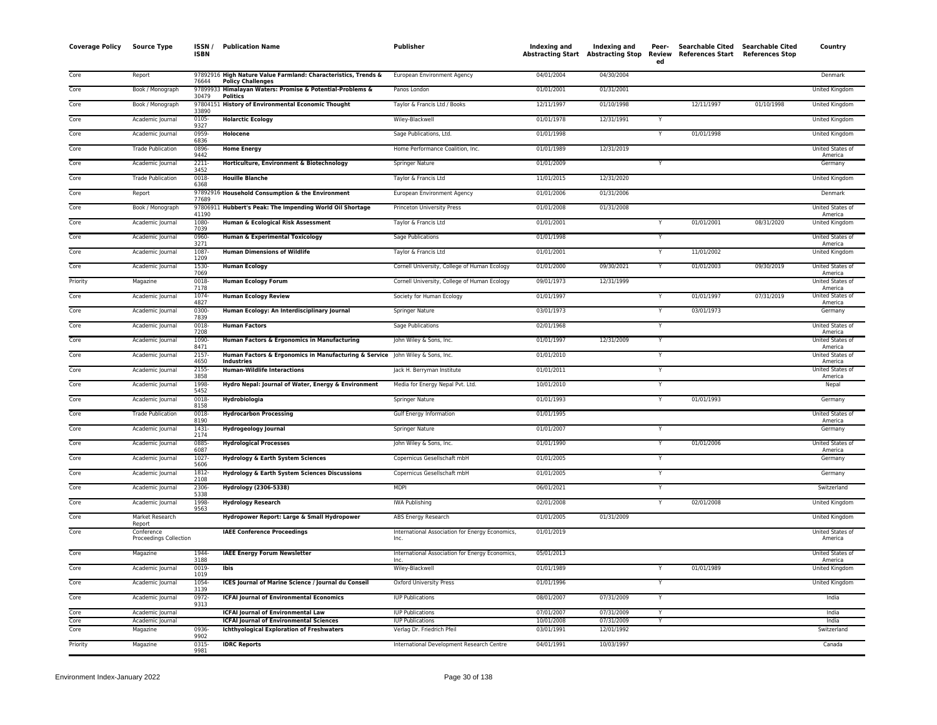| <b>Coverage Policy</b> | Source Type                          | ISSN<br><b>ISBN</b> | <b>Publication Name</b>                                                                            | Publisher                                               | Indexing and             | Indexing and<br>Abstracting Start Abstracting Stop Review | Peer-<br>ed             | <b>Searchable Cited</b><br>References Start References Stop | Searchable Cited | Country                     |
|------------------------|--------------------------------------|---------------------|----------------------------------------------------------------------------------------------------|---------------------------------------------------------|--------------------------|-----------------------------------------------------------|-------------------------|-------------------------------------------------------------|------------------|-----------------------------|
| Core                   | Report                               | 76644               | 97892916 High Nature Value Farmland: Characteristics, Trends &<br><b>Policy Challenges</b>         | European Environment Agency                             | 04/01/2004               | 04/30/2004                                                |                         |                                                             |                  | Denmark                     |
| Core                   | Book / Monograph                     | 30479               | 97899933 Himalayan Waters: Promise & Potential-Problems &<br><b>Politics</b>                       | Panos London                                            | 01/01/2001               | 01/31/2001                                                |                         |                                                             |                  | United Kingdom              |
| Core                   | Book / Monograph                     | 33890               | 97804151 History of Environmental Economic Thought                                                 | Taylor & Francis Ltd / Books                            | 12/11/1997               | 01/10/1998                                                |                         | 12/11/1997                                                  | 01/10/1998       | United Kingdom              |
| Core                   | Academic Journal                     | 0105-<br>9327       | <b>Holarctic Ecology</b>                                                                           | Wiley-Blackwell                                         | 01/01/1978               | 12/31/1991                                                |                         |                                                             |                  | United Kingdom              |
| Core                   | Academic Journal                     | 0959-<br>6836       | Holocene                                                                                           | Sage Publications, Ltd.                                 | 01/01/1998               |                                                           | $\mathsf{Y}$            | 01/01/1998                                                  |                  | United Kingdom              |
| Core                   | <b>Trade Publication</b>             | 0896<br>9442        | <b>Home Energy</b>                                                                                 | Home Performance Coalition, Inc.                        | 01/01/1989               | 12/31/2019                                                |                         |                                                             |                  | United States of<br>America |
| Core                   | Academic Journal                     | 2211-<br>3452       | Horticulture, Environment & Biotechnology                                                          | Springer Nature                                         | 01/01/2009               |                                                           | Y                       |                                                             |                  | Germany                     |
| Core                   | <b>Trade Publication</b>             | $0018 -$<br>6368    | <b>Houille Blanche</b>                                                                             | Taylor & Francis Ltd                                    | 11/01/2015               | 12/31/2020                                                |                         |                                                             |                  | United Kingdom              |
| Core                   | Report                               | 77689               | 97892916 Household Consumption & the Environment                                                   | European Environment Agency                             | 01/01/2006               | 01/31/2006                                                |                         |                                                             |                  | Denmark                     |
| Core                   | Book / Monograph                     | 41190               | 97806911 Hubbert's Peak: The Impending World Oil Shortage                                          | Princeton University Press                              | 01/01/2008               | 01/31/2008                                                |                         |                                                             |                  | United States of<br>America |
| Core                   | Academic Journal                     | 1080-<br>7039       | Human & Ecological Risk Assessment                                                                 | Taylor & Francis Ltd                                    | 01/01/2001               |                                                           |                         | 01/01/2001                                                  | 08/31/2020       | United Kingdom              |
| Core                   | Academic Journal                     | 0960-<br>3271       | Human & Experimental Toxicology                                                                    | <b>Sage Publications</b>                                | 01/01/1998               |                                                           | Y                       |                                                             |                  | United States of<br>America |
| Core                   | Academic Journal                     | 1087<br>1209        | <b>Human Dimensions of Wildlife</b>                                                                | Taylor & Francis Ltd                                    | 01/01/2001               |                                                           |                         | 11/01/2002                                                  |                  | United Kingdom              |
| Core                   | Academic Journal                     | 1530<br>7069        | <b>Human Ecology</b>                                                                               | Cornell University, College of Human Ecology            | 01/01/2000               | 09/30/2021                                                | Y                       | 01/01/2003                                                  | 09/30/2019       | United States of<br>America |
| Priority               | Magazine                             | 0018-<br>7178       | <b>Human Ecology Forum</b>                                                                         | Cornell University, College of Human Ecology            | 09/01/1973               | 12/31/1999                                                |                         |                                                             |                  | United States of<br>America |
| Core                   | Academic Journal                     | 1074<br>4827        | <b>Human Ecology Review</b>                                                                        | Society for Human Ecology                               | 01/01/1997               |                                                           |                         | 01/01/1997                                                  | 07/31/2019       | United States of<br>America |
| Core                   | Academic Journal                     | 0300<br>7839        | Human Ecology: An Interdisciplinary Journal                                                        | Springer Nature                                         | 03/01/1973               |                                                           | Y                       | 03/01/1973                                                  |                  | Germany                     |
| Core                   | Academic Journal                     | $0018 -$<br>7208    | <b>Human Factors</b>                                                                               | <b>Sage Publications</b>                                | 02/01/1968               |                                                           | Ÿ                       |                                                             |                  | United States of<br>America |
| Core                   | Academic Journal                     | 1090-<br>8471       | Human Factors & Ergonomics in Manufacturing                                                        | John Wiley & Sons, Inc.                                 | 01/01/1997               | 12/31/2009                                                | Y                       |                                                             |                  | United States of<br>America |
| Core                   | Academic Journal                     | $2157 -$<br>4650    | Human Factors & Ergonomics in Manufacturing & Service john Wiley & Sons, Inc.<br><b>Industries</b> |                                                         | 01/01/2010               |                                                           | Y                       |                                                             |                  | United States of<br>America |
| Core                   | Academic Journal                     | 2155<br>3858        | <b>Human-Wildlife Interactions</b>                                                                 | Jack H. Berryman Institute                              | 01/01/2011               |                                                           |                         |                                                             |                  | United States of<br>America |
| Core                   | Academic Journal                     | 1998<br>5452        | Hydro Nepal: Journal of Water, Energy & Environment                                                | Media for Energy Nepal Pvt. Ltd.                        | 10/01/2010               |                                                           | $\overline{Y}$          |                                                             |                  | Nepal                       |
| Core                   | Academic Journal                     | 0018-<br>8158       | Hydrobiologia                                                                                      | Springer Nature                                         | 01/01/1993               |                                                           | Y                       | 01/01/1993                                                  |                  | Germany                     |
| Core                   | <b>Trade Publication</b>             | 0018-<br>8190       | <b>Hydrocarbon Processing</b>                                                                      | Gulf Energy Information                                 | 01/01/1995               |                                                           |                         |                                                             |                  | United States of<br>America |
| Core                   | Academic Journal                     | 1431-<br>2174       | <b>Hydrogeology Journal</b>                                                                        | Springer Nature                                         | 01/01/2007               |                                                           | Y                       |                                                             |                  | Germany                     |
| Core                   | Academic Journal                     | 0885<br>6087        | <b>Hydrological Processes</b>                                                                      | John Wiley & Sons, Inc.                                 | 01/01/1990               |                                                           | Y                       | 01/01/2006                                                  |                  | United States of<br>America |
| Core                   | Academic Journal                     | 1027<br>5606        | Hydrology & Earth System Sciences                                                                  | Copernicus Gesellschaft mbH                             | 01/01/2005               |                                                           | $\overline{\mathsf{Y}}$ |                                                             |                  | Germany                     |
| Core                   | Academic Journal                     | 1812-<br>2108       | Hydrology & Earth System Sciences Discussions                                                      | Copernicus Gesellschaft mbH                             | 01/01/2005               |                                                           | Y                       |                                                             |                  | Germany                     |
| Core                   | Academic Journal                     | 2306-<br>5338       | Hydrology (2306-5338)                                                                              | <b>MDPI</b>                                             | 06/01/2021               |                                                           | Υ                       |                                                             |                  | Switzerland                 |
| Core                   | Academic Journal                     | 1998-<br>9563       | <b>Hydrology Research</b>                                                                          | <b>IWA Publishing</b>                                   | 02/01/2008               |                                                           | Y                       | 02/01/2008                                                  |                  | United Kingdom              |
| Core                   | Market Research<br>Report            |                     | Hydropower Report: Large & Small Hydropower                                                        | ABS Energy Research                                     | 01/01/2005               | 01/31/2009                                                |                         |                                                             |                  | United Kingdom              |
| Core                   | Conference<br>Proceedings Collection |                     | <b>IAEE Conference Proceedings</b>                                                                 | International Association for Energy Economics,<br>Inc. | 01/01/2019               |                                                           |                         |                                                             |                  | United States of<br>America |
| Core                   | Magazine                             | 1944-<br>3188       | <b>IAEE Energy Forum Newsletter</b>                                                                | International Association for Energy Economics,<br>Inc  | 05/01/2013               |                                                           |                         |                                                             |                  | United States of<br>America |
| Core                   | Academic Journal                     | $0019 -$<br>1019    | Ibis                                                                                               | Wiley-Blackwell                                         | 01/01/1989               |                                                           | Y                       | 01/01/1989                                                  |                  | United Kingdom              |
| Core                   | Academic Journal                     | 1054-<br>3139       | ICES Journal of Marine Science / Journal du Conseil                                                | <b>Oxford University Press</b>                          | 01/01/1996               |                                                           | $\overline{\mathsf{Y}}$ |                                                             |                  | United Kingdom              |
| Core                   | Academic Journal                     | 0972-<br>9313       | <b>ICFAI Journal of Environmental Economics</b>                                                    | <b>IUP Publications</b>                                 | 08/01/2007               | 07/31/2009                                                | Y                       |                                                             |                  | India                       |
| Core                   | Academic Journal                     |                     | <b>ICFAI Journal of Environmental Law</b>                                                          | <b>IUP Publications</b>                                 | 07/01/2007               | 07/31/2009                                                | $\mathsf{v}$            |                                                             |                  | India                       |
| Core<br>Core           | Academic Journal<br>Magazine         | 0936                | <b>ICFAI Journal of Environmental Sciences</b><br><b>Ichthyological Exploration of Freshwaters</b> | <b>IUP Publications</b><br>Verlag Dr. Friedrich Pfeil   | 10/01/2008<br>03/01/1991 | 07/31/2009<br>12/01/1992                                  | Y                       |                                                             |                  | India<br>Switzerland        |
| Priority               | Magazine                             | 9902<br>0315        | <b>IDRC Reports</b>                                                                                | International Development Research Centre               | 04/01/1991               | 10/03/1997                                                |                         |                                                             |                  | Canada                      |
|                        |                                      | 9981                |                                                                                                    |                                                         |                          |                                                           |                         |                                                             |                  |                             |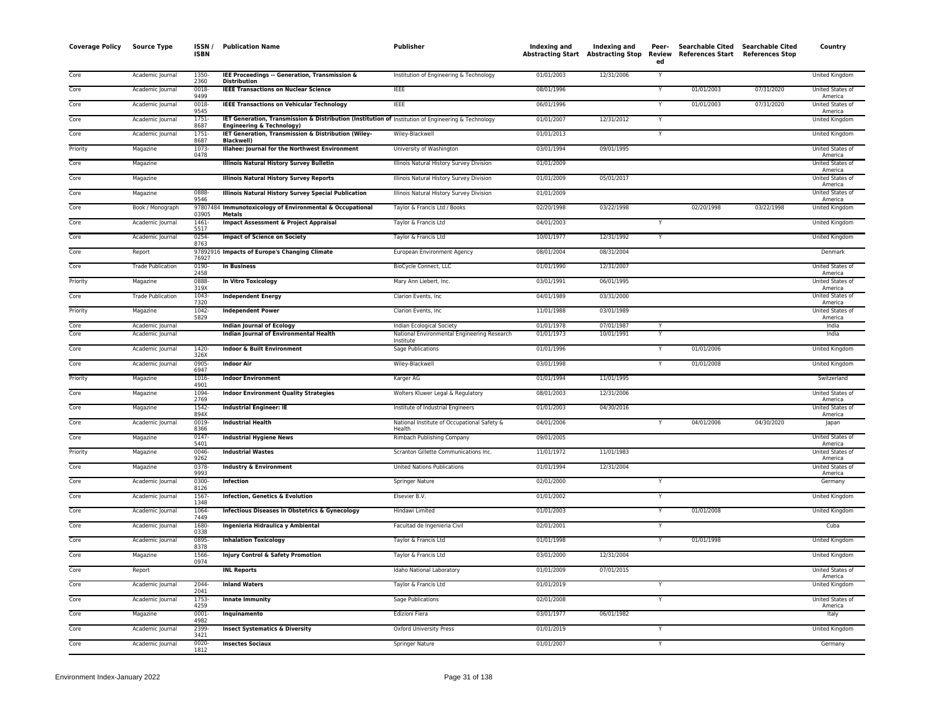| <b>Coverage Policy</b> | <b>Source Type</b>       | ISSN /<br><b>ISBN</b> | <b>Publication Name</b>                                                                                         | Publisher                                                | Indexing and | Indexing and<br><b>Abstracting Start Abstracting Stop</b> | Peer-<br>Review<br>ed | Searchable Cited Searchable Cited<br>References Start References Stop |            | Country                            |
|------------------------|--------------------------|-----------------------|-----------------------------------------------------------------------------------------------------------------|----------------------------------------------------------|--------------|-----------------------------------------------------------|-----------------------|-----------------------------------------------------------------------|------------|------------------------------------|
| Core                   | Academic Journal         | 1350-<br>2360         | IEE Proceedings -- Generation, Transmission &<br><b>Distribution</b>                                            | Institution of Engineering & Technology                  | 01/01/2003   | 12/31/2006                                                | Y                     |                                                                       |            | <b>United Kingdom</b>              |
| Core                   | Academic Journal         | 0018<br>9499          | <b>IEEE Transactions on Nuclear Science</b>                                                                     | <b>IEEE</b>                                              | 08/01/1996   |                                                           | Y                     | 01/01/2003                                                            | 07/31/2020 | United States of<br>America        |
| Core                   | Academic Journal         | $0018 -$<br>9545      | <b>IEEE Transactions on Vehicular Technology</b>                                                                | <b>IEEE</b>                                              | 06/01/1996   |                                                           | Y                     | 01/01/2003                                                            | 07/31/2020 | United States of                   |
| Core                   | Academic Journal         | $1751 -$              | IET Generation, Transmission & Distribution (Institution of Institution of Engineering & Technology             |                                                          | 01/01/2007   | 12/31/2012                                                | Y                     |                                                                       |            | America<br>United Kingdom          |
| Core                   | Academic Journal         | 8687<br>1751<br>8687  | <b>Engineering &amp; Technology)</b><br>IET Generation, Transmission & Distribution (Wiley-<br><b>Blackwell</b> | Wiley-Blackwell                                          | 01/01/2013   |                                                           | Y                     |                                                                       |            | United Kingdom                     |
| Priority               | Magazine                 | 1073-<br>0478         | Illahee: Journal for the Northwest Environment                                                                  | University of Washington                                 | 03/01/1994   | 09/01/1995                                                |                       |                                                                       |            | <b>United States of</b><br>America |
| Core                   | Magazine                 |                       | <b>Illinois Natural History Survey Bulletin</b>                                                                 | Illinois Natural History Survey Division                 | 01/01/2009   |                                                           |                       |                                                                       |            | <b>United States of</b>            |
| Core                   | Magazine                 |                       | <b>Illinois Natural History Survey Reports</b>                                                                  | Illinois Natural History Survey Division                 | 01/01/2009   | 05/01/2017                                                |                       |                                                                       |            | America<br>United States of        |
| Core                   | Magazine                 | 0888                  | Illinois Natural History Survey Special Publication                                                             | Illinois Natural History Survey Division                 | 01/01/2009   |                                                           |                       |                                                                       |            | America<br>United States of        |
| Core                   | Book / Monograph         | 9546                  | 97807484 Immunotoxicology of Environmental & Occupational                                                       | Taylor & Francis Ltd / Books                             | 02/20/1998   | 03/22/1998                                                |                       | 02/20/1998                                                            | 03/22/1998 | America<br>United Kingdom          |
| Core                   | Academic Journal         | 03905<br>1461-        | <b>Metals</b><br><b>Impact Assessment &amp; Project Appraisal</b>                                               | Taylor & Francis Ltd                                     | 04/01/2003   |                                                           |                       |                                                                       |            | United Kingdom                     |
| Core                   | Academic Journal         | 5517<br>0254          | <b>Impact of Science on Society</b>                                                                             | Taylor & Francis Ltd                                     | 10/01/1977   | 12/31/1992                                                | Y                     |                                                                       |            | <b>United Kingdom</b>              |
| Core                   | Report                   | 8763                  | 97892916 Impacts of Europe's Changing Climate                                                                   | European Environment Agency                              | 08/01/2004   | 08/31/2004                                                |                       |                                                                       |            | Denmark                            |
| Core                   | <b>Trade Publication</b> | 76927<br>0190-        | <b>In Business</b>                                                                                              | BioCycle Connect, LLC                                    | 01/01/1990   | 12/31/2007                                                |                       |                                                                       |            | United States of                   |
| Priority               | Magazine                 | 2458<br>0888-         | In Vitro Toxicology                                                                                             | Mary Ann Liebert, Inc.                                   | 03/01/1991   | 06/01/1995                                                |                       |                                                                       |            | America<br>United States of        |
| Core                   | <b>Trade Publication</b> | 319X<br>1043-         | <b>Independent Energy</b>                                                                                       | Clarion Events, Inc.                                     | 04/01/1989   | 03/31/2000                                                |                       |                                                                       |            | America<br>United States of        |
| Priority               | Magazine                 | 7320<br>1042          | <b>Independent Power</b>                                                                                        | Clarion Events, Inc.                                     | 11/01/1988   | 03/01/1989                                                |                       |                                                                       |            | America<br>United States of        |
| Core                   | Academic Journal         | 5829                  | Indian Journal of Ecology                                                                                       | Indian Ecological Society                                | 01/01/1978   | 07/01/1987                                                |                       |                                                                       |            | America<br>India                   |
| Core                   | Academic Journal         |                       | Indian Journal of Environmental Health                                                                          | National Environmental Engineering Research<br>Institute | 01/01/1973   | 10/01/1991                                                | Y                     |                                                                       |            | India                              |
| Core                   | Academic Journal         | 1420-<br>326X         | <b>Indoor &amp; Built Environment</b>                                                                           | Sage Publications                                        | 01/01/1996   |                                                           |                       | 01/01/2006                                                            |            | United Kingdom                     |
| Core                   | Academic Journal         | $0905 -$<br>6947      | <b>Indoor Air</b>                                                                                               | Wiley-Blackwell                                          | 03/01/1998   |                                                           | Y                     | 01/01/2008                                                            |            | United Kingdom                     |
| Priority               | Magazine                 | 1016-                 | <b>Indoor Environment</b>                                                                                       | Karger AG                                                | 01/01/1994   | 11/01/1995                                                |                       |                                                                       |            | Switzerland                        |
| Core                   | Magazine                 | 4901<br>1094<br>2769  | <b>Indoor Environment Quality Strategies</b>                                                                    | Wolters Kluwer Legal & Regulatory                        | 08/01/2003   | 12/31/2006                                                |                       |                                                                       |            | United States of<br>America        |
| Core                   | Magazine                 | 1542-<br>894X         | <b>Industrial Engineer: IE</b>                                                                                  | Institute of Industrial Engineers                        | 01/01/2003   | 04/30/2016                                                |                       |                                                                       |            | United States of<br>America        |
| Core                   | Academic Journal         | 0019-<br>8366         | <b>Industrial Health</b>                                                                                        | National Institute of Occupational Safety &<br>Health    | 04/01/2006   |                                                           |                       | 04/01/2006                                                            | 04/30/2020 | Japan                              |
| Core                   | Magazine                 | 0147                  | <b>Industrial Hygiene News</b>                                                                                  | Rimbach Publishing Company                               | 09/01/2005   |                                                           |                       |                                                                       |            | United States of                   |
| Priority               | Magazine                 | 5401<br>$0046 -$      | <b>Industrial Wastes</b>                                                                                        | Scranton Gillette Communications Inc.                    | 11/01/1972   | 11/01/1983                                                |                       |                                                                       |            | America<br>United States of        |
| Core                   | Magazine                 | 9262<br>0378-         | <b>Industry &amp; Environment</b>                                                                               | <b>United Nations Publications</b>                       | 01/01/1994   | 12/31/2004                                                |                       |                                                                       |            | America<br>United States of        |
| Core                   | Academic Journal         | 9993<br>0300-         | Infection                                                                                                       | Springer Nature                                          | 02/01/2000   |                                                           | Y                     |                                                                       |            | America<br>Germany                 |
| Core                   | Academic Journal         | 8126<br>1567-<br>1348 | <b>Infection, Genetics &amp; Evolution</b>                                                                      | Elsevier B.V.                                            | 01/01/2002   |                                                           | Ÿ                     |                                                                       |            | United Kingdom                     |
| Core                   | Academic Journal         | 1064<br>7449          | Infectious Diseases in Obstetrics & Gynecology                                                                  | Hindawi Limited                                          | 01/01/2003   |                                                           | Ÿ                     | 01/01/2008                                                            |            | <b>United Kingdom</b>              |
| Core                   | Academic Journal         | 1680                  | Ingenieria Hidraulica y Ambiental                                                                               | Facultad de Ingenieria Civil                             | 02/01/2001   |                                                           | Υ                     |                                                                       |            | Cuba                               |
| Core                   | Academic Journal         | 0338<br>0895          | <b>Inhalation Toxicology</b>                                                                                    | Taylor & Francis Ltd                                     | 01/01/1998   |                                                           | Y                     | 01/01/1998                                                            |            | United Kingdom                     |
| Core                   | Magazine                 | 8378<br>1566-         | <b>Injury Control &amp; Safety Promotion</b>                                                                    | Taylor & Francis Ltd                                     | 03/01/2000   | 12/31/2004                                                |                       |                                                                       |            | <b>United Kingdom</b>              |
| Core                   | Report                   | 0974                  | <b>INL Reports</b>                                                                                              | Idaho National Laboratory                                | 01/01/2009   | 07/01/2015                                                |                       |                                                                       |            | United States of                   |
| Core                   | Academic Journal         | 2044                  | <b>Inland Waters</b>                                                                                            | Taylor & Francis Ltd                                     | 01/01/2019   |                                                           | Y                     |                                                                       |            | America<br>United Kingdom          |
| Core                   | Academic Journal         | 2041<br>1753-         | <b>Innate Immunity</b>                                                                                          | Sage Publications                                        | 02/01/2008   |                                                           | Y                     |                                                                       |            | United States of                   |
| Core                   | Magazine                 | 4259<br>0001          | Inquinamento                                                                                                    | Edizioni Fiera                                           | 03/01/1977   | 06/01/1982                                                |                       |                                                                       |            | America<br>Italy                   |
| Core                   | Academic Journal         | 4982<br>2399          | <b>Insect Systematics &amp; Diversity</b>                                                                       | <b>Oxford University Press</b>                           | 01/01/2019   |                                                           | Y                     |                                                                       |            | United Kingdom                     |
| Core                   | Academic Journal         | 3421<br>0020-         | <b>Insectes Sociaux</b>                                                                                         | <b>Springer Nature</b>                                   | 01/01/2007   |                                                           | Y                     |                                                                       |            | Germany                            |
|                        |                          | 1812                  |                                                                                                                 |                                                          |              |                                                           |                       |                                                                       |            |                                    |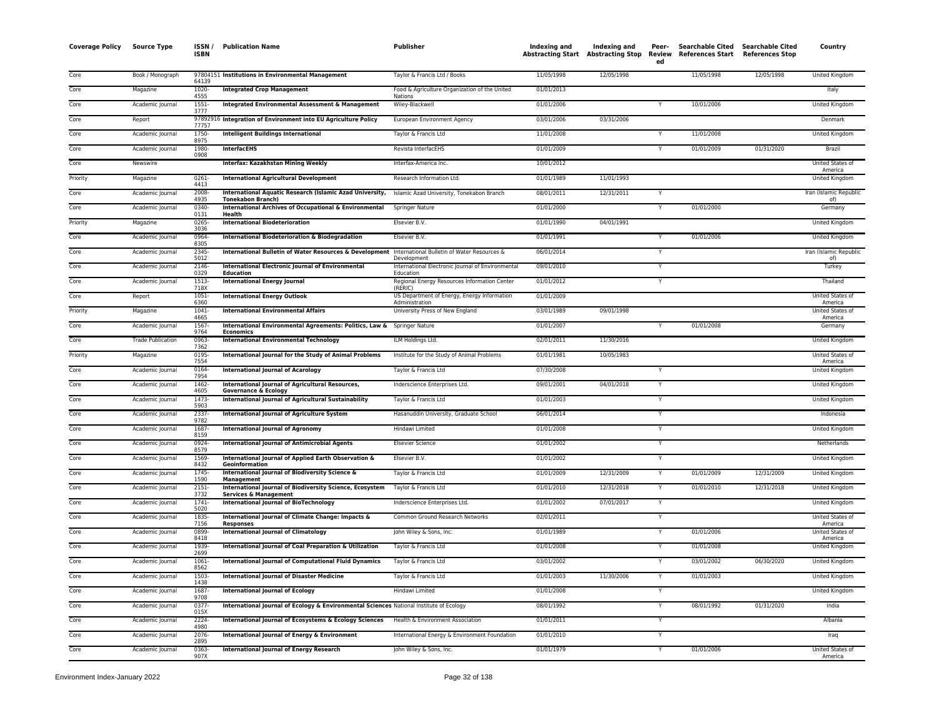| Coverage Policy | Source Type              | ISSN/<br><b>ISBN</b> | <b>Publication Name</b>                                                                             | Publisher                                                      | Indexing and | Indexing and<br>Abstracting Start Abstracting Stop Review | Peer-<br>ed | <b>Searchable Cited</b><br><b>References Start</b> | Searchable Cited<br><b>References Stop</b> | Country                            |
|-----------------|--------------------------|----------------------|-----------------------------------------------------------------------------------------------------|----------------------------------------------------------------|--------------|-----------------------------------------------------------|-------------|----------------------------------------------------|--------------------------------------------|------------------------------------|
| Core            | Book / Monograph         | 64139                | 97804151 Institutions in Environmental Management                                                   | Taylor & Francis Ltd / Books                                   | 11/05/1998   | 12/05/1998                                                |             | 11/05/1998                                         | 12/05/1998                                 | <b>United Kingdom</b>              |
| Core            | Magazine                 | 1020-<br>4555        | <b>Integrated Crop Management</b>                                                                   | Food & Agriculture Organization of the United<br>Nations       | 01/01/2013   |                                                           |             |                                                    |                                            | Italy                              |
| Core            | Academic Journal         | $1551 -$<br>3777     | <b>Integrated Environmental Assessment &amp; Management</b>                                         | Wiley-Blackwell                                                | 01/01/2006   |                                                           |             | 10/01/2006                                         |                                            | United Kingdom                     |
| Core            | Report                   | 77757                | 97892916 Integration of Environment into EU Agriculture Policy                                      | European Environment Agency                                    | 03/01/2006   | 03/31/2006                                                |             |                                                    |                                            | Denmark                            |
| Core            | Academic Journal         | 1750-<br>8975        | <b>Intelligent Buildings International</b>                                                          | Taylor & Francis Ltd                                           | 11/01/2008   |                                                           |             | 11/01/2008                                         |                                            | United Kingdom                     |
| Core            | Academic Journal         | 1980-<br>0908        | <b>InterfacEHS</b>                                                                                  | Revista InterfacEHS                                            | 01/01/2009   |                                                           | Y           | 01/01/2009                                         | 01/31/2020                                 | Brazil                             |
| Core            | Newswire                 |                      | Interfax: Kazakhstan Mining Weekly                                                                  | Interfax-America Inc.                                          | 10/01/2012   |                                                           |             |                                                    |                                            | United States of<br>America        |
| Priority        | Magazine                 | $0261 -$<br>4413     | <b>International Agricultural Development</b>                                                       | Research Information Ltd.                                      | 01/01/1989   | 11/01/1993                                                |             |                                                    |                                            | United Kingdom                     |
| Core            | Academic Journal         | 2008-<br>4935        | International Aquatic Research (Islamic Azad University,<br><b>Tonekabon Branch)</b>                | Islamic Azad University, Tonekabon Branch                      | 08/01/2011   | 12/31/2011                                                |             |                                                    |                                            | Iran (Islamic Republic<br>of)      |
| Core            | Academic Journal         | 0340-<br>0131        | International Archives of Occupational & Environmental<br>Health                                    | Springer Nature                                                | 01/01/2000   |                                                           |             | 01/01/2000                                         |                                            | Germany                            |
| Priority        | Magazine                 | 0265<br>3036         | <b>International Biodeterioration</b>                                                               | Elsevier B.V.                                                  | 01/01/1990   | 04/01/1991                                                |             |                                                    |                                            | <b>United Kingdom</b>              |
| Core            | Academic Journal         | 0964-<br>8305        | International Biodeterioration & Biodegradation                                                     | Elsevier B.V.                                                  | 01/01/1991   |                                                           | Y           | 01/01/2006                                         |                                            | United Kingdom                     |
| Core            | Academic Journal         | 2345<br>5012         | International Bulletin of Water Resources & Development International Bulletin of Water Resources & | Development                                                    | 06/01/2014   |                                                           | Y           |                                                    |                                            | Iran (Islamic Republic<br>of)      |
| Core            | Academic Journal         | 2146-<br>0329        | International Electronic Journal of Environmental<br>Education                                      | International Electronic Journal of Environmental<br>Education | 09/01/2010   |                                                           | Y           |                                                    |                                            | Turkey                             |
| Core            | Academic Journal         | 1513-<br>718X        | <b>International Energy Journal</b>                                                                 | Regional Energy Resources Information Center<br>(RERIC)        | 01/01/2012   |                                                           | Y           |                                                    |                                            | Thailand                           |
| Core            | Report                   | $1051 -$<br>6360     | <b>International Energy Outlook</b>                                                                 | US Department of Energy, Energy Information<br>Administration  | 01/01/2009   |                                                           |             |                                                    |                                            | United States of<br>America        |
| Priority        | Magazine                 | $1041 -$<br>4665     | <b>International Environmental Affairs</b>                                                          | University Press of New England                                | 03/01/1989   | 09/01/1998                                                |             |                                                    |                                            | <b>United States of</b><br>America |
| Core            | Academic Journal         | 1567-<br>9764        | International Environmental Agreements: Politics, Law & Springer Nature<br>Economics                |                                                                | 01/01/2007   |                                                           |             | 01/01/2008                                         |                                            | Germany                            |
| Core            | <b>Trade Publication</b> | 0963-<br>7362        | <b>International Environmental Technology</b>                                                       | ILM Holdings Ltd.                                              | 02/01/2011   | 11/30/2016                                                |             |                                                    |                                            | United Kingdom                     |
| Priority        | Magazine                 | 0195<br>7554         | International Journal for the Study of Animal Problems                                              | Institute for the Study of Animal Problems                     | 01/01/1981   | 10/05/1983                                                |             |                                                    |                                            | United States of<br>America        |
| Core            | Academic Journal         | 0164-<br>7954        | <b>International Journal of Acarology</b>                                                           | Taylor & Francis Ltd                                           | 07/30/2008   |                                                           | Y           |                                                    |                                            | <b>United Kingdom</b>              |
| Core            | Academic Journal         | 1462-<br>4605        | International Journal of Agricultural Resources,<br><b>Governance &amp; Ecology</b>                 | Inderscience Enterprises Ltd.                                  | 09/01/2001   | 04/01/2018                                                |             |                                                    |                                            | United Kingdom                     |
| Core            | Academic Journal         | $1473-$<br>5903      | International Journal of Agricultural Sustainability                                                | Taylor & Francis Ltd                                           | 01/01/2003   |                                                           | Y           |                                                    |                                            | <b>United Kingdom</b>              |
| Core            | Academic Journal         | 2337-<br>9782        | International Journal of Agriculture System                                                         | Hasanuddin University, Graduate School                         | 06/01/2014   |                                                           | Y           |                                                    |                                            | Indonesia                          |
| Core            | Academic Journal         | 1687<br>8159         | <b>International Journal of Agronomy</b>                                                            | Hindawi Limited                                                | 01/01/2008   |                                                           | Y           |                                                    |                                            | United Kingdom                     |
| Core            | Academic Journal         | 0924-<br>8579        | <b>International Journal of Antimicrobial Agents</b>                                                | <b>Elsevier Science</b>                                        | 01/01/2002   |                                                           | Y           |                                                    |                                            | Netherlands                        |
| Core            | Academic Journal         | 1569-<br>8432        | International Journal of Applied Earth Observation &<br>Geoinformation                              | Elsevier B.V.                                                  | 01/01/2002   |                                                           |             |                                                    |                                            | United Kingdom                     |
| Core            | Academic Journal         | 1745-<br>1590        | International Journal of Biodiversity Science &<br><b>Management</b>                                | Taylor & Francis Ltd                                           | 01/01/2009   | 12/31/2009                                                |             | 01/01/2009                                         | 12/31/2009                                 | United Kingdom                     |
| Core            | Academic Journal         | $2151 -$<br>3732     | International Journal of Biodiversity Science, Ecosystem<br><b>Services &amp; Management</b>        | Taylor & Francis Ltd                                           | 01/01/2010   | 12/31/2018                                                |             | 01/01/2010                                         | 12/31/2018                                 | United Kingdom                     |
| Core            | Academic Journal         | 1741<br>5020         | International Journal of BioTechnology                                                              | Inderscience Enterprises Ltd.                                  | 01/01/2002   | 07/01/2017                                                | Y           |                                                    |                                            | United Kingdom                     |
| Core            | Academic Journal         | 1835-<br>7156        | International Journal of Climate Change: Impacts &<br><b>Responses</b>                              | Common Ground Research Networks                                | 02/01/2011   |                                                           | Y           |                                                    |                                            | United States of<br>America        |
| Core            | Academic Journal         | 0899<br>8418         | <b>International Journal of Climatology</b>                                                         | John Wiley & Sons, Inc.                                        | 01/01/1989   |                                                           |             | 01/01/2006                                         |                                            | United States of<br>America        |
| Core            | Academic Journal         | 1939-<br>2699        | International Journal of Coal Preparation & Utilization                                             | Taylor & Francis Ltd                                           | 01/01/2008   |                                                           |             | 01/01/2008                                         |                                            | United Kingdom                     |
| Core            | Academic Journal         | 1061-<br>8562        | <b>International Journal of Computational Fluid Dynamics</b>                                        | Taylor & Francis Ltd                                           | 03/01/2002   |                                                           |             | 03/01/2002                                         | 06/30/2020                                 | United Kingdom                     |
| Core            | Academic Journal         | 1503-<br>1438        | <b>International Journal of Disaster Medicine</b>                                                   | Taylor & Francis Ltd                                           | 01/01/2003   | 11/30/2006                                                | Y           | 01/01/2003                                         |                                            | United Kingdom                     |
| Core            | Academic Journal         | 1687<br>9708         | <b>International Journal of Ecology</b>                                                             | Hindawi Limited                                                | 01/01/2008   |                                                           | Y           |                                                    |                                            | United Kingdom                     |
| Core            | Academic Journal         | 0377-<br>015X        | International Journal of Ecology & Environmental Sciences National Institute of Ecology             |                                                                | 08/01/1992   |                                                           | Y           | 08/01/1992                                         | 01/31/2020                                 | India                              |
| Core            | Academic Journal         | 2224-<br>4980        | International Journal of Ecosystems & Ecology Sciences                                              | Health & Environment Association                               | 01/01/2011   |                                                           | Y           |                                                    |                                            | Albania                            |
| Core            | Academic Journal         | 2076-<br>2895        | International Journal of Energy & Environment                                                       | International Energy & Environment Foundation                  | 01/01/2010   |                                                           |             |                                                    |                                            | Iraq                               |
| Core            | Academic Journal         | 0363<br>907X         | <b>International Journal of Energy Research</b>                                                     | John Wiley & Sons, Inc.                                        | 01/01/1979   |                                                           | Y           | 01/01/2006                                         |                                            | United States of<br>America        |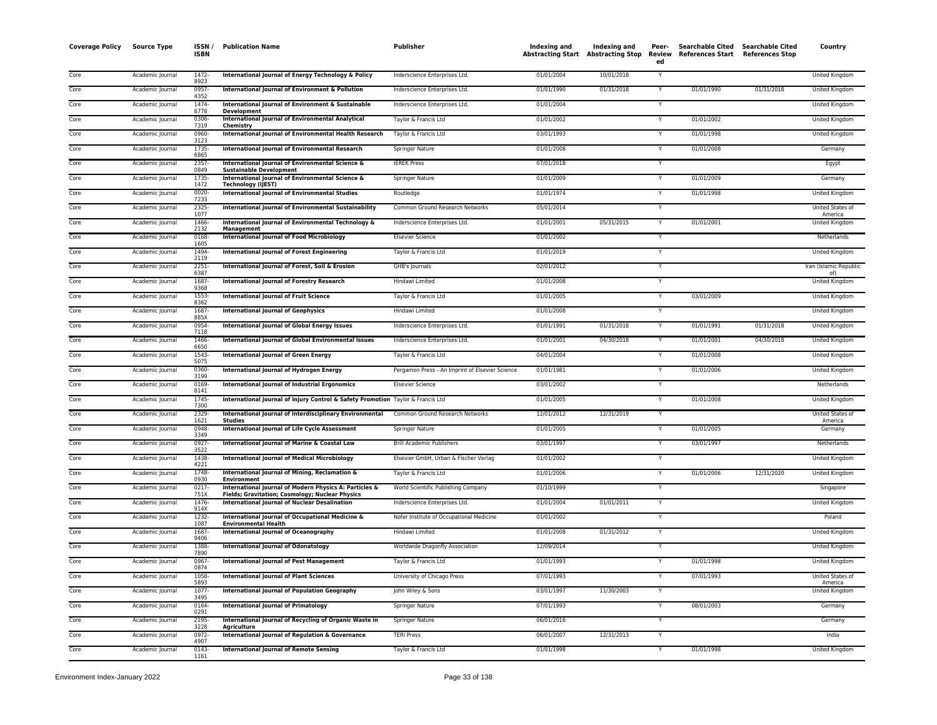| <b>Coverage Policy</b> | <b>Source Type</b> | ISSN/<br><b>ISBN</b>  | <b>Publication Name</b>                                                                                          | Publisher                                       | Indexing and | Indexing and<br>Abstracting Start Abstracting Stop | Peer-<br>Review<br>ed | <b>Searchable Cited</b><br><b>References Start</b> | <b>Searchable Cited</b><br><b>References Stop</b> | Country                            |
|------------------------|--------------------|-----------------------|------------------------------------------------------------------------------------------------------------------|-------------------------------------------------|--------------|----------------------------------------------------|-----------------------|----------------------------------------------------|---------------------------------------------------|------------------------------------|
| Core                   | Academic Journal   | $1472 -$              | International Journal of Energy Technology & Policy                                                              | Inderscience Enterprises Ltd.                   | 01/01/2004   | 10/01/2018                                         |                       |                                                    |                                                   | United Kingdom                     |
| Core                   | Academic Journal   | 8923<br>0957-<br>4352 | International Journal of Environment & Pollution                                                                 | Inderscience Enterprises Ltd.                   | 01/01/1990   | 01/31/2018                                         | Y                     | 01/01/1990                                         | 01/31/2018                                        | United Kingdom                     |
| Core                   | Academic Journal   | 1474-<br>6778         | International Journal of Environment & Sustainable<br><b>Development</b>                                         | Inderscience Enterprises Ltd.                   | 01/01/2004   |                                                    |                       |                                                    |                                                   | United Kingdom                     |
| Core                   | Academic Journal   | 0306<br>7319          | International Journal of Environmental Analytical<br>Chemistry                                                   | Taylor & Francis Ltd                            | 01/01/2002   |                                                    |                       | 01/01/2002                                         |                                                   | United Kingdom                     |
| Core                   | Academic Journal   | 0960-<br>3123         | International Journal of Environmental Health Research                                                           | Taylor & Francis Ltd                            | 03/01/1993   |                                                    |                       | 01/01/1998                                         |                                                   | United Kingdom                     |
| Core                   | Academic Journal   | 1735<br>6865          | International Journal of Environmental Research                                                                  | <b>Springer Nature</b>                          | 01/01/2008   |                                                    |                       | 01/01/2008                                         |                                                   | Germany                            |
| Core                   | Academic Journal   | 2357-<br>0849         | International Journal of Environmental Science &<br><b>Sustainable Development</b>                               | <b>IEREK Press</b>                              | 07/01/2018   |                                                    | Y                     |                                                    |                                                   | Egypt                              |
| Core                   | Academic Journal   | 1735<br>1472          | International Journal of Environmental Science &<br><b>Technology (IJEST)</b>                                    | Springer Nature                                 | 01/01/2009   |                                                    |                       | 01/01/2009                                         |                                                   | Germany                            |
| Core                   | Academic Journal   | 0020-<br>7233         | International Journal of Environmental Studies                                                                   | Routledge                                       | 01/01/1974   |                                                    | Y                     | 01/01/1998                                         |                                                   | United Kingdom                     |
| Core                   | Academic Journal   | 2325-<br>1077         | International Journal of Environmental Sustainability                                                            | Common Ground Research Networks                 | 05/01/2014   |                                                    |                       |                                                    |                                                   | United States of<br>America        |
| Core                   | Academic Journal   | 1466<br>2132          | International Journal of Environmental Technology &<br>Management                                                | Inderscience Enterprises Ltd.                   | 01/01/2001   | 05/31/2015                                         |                       | 01/01/2001                                         |                                                   | <b>United Kingdom</b>              |
| Core                   | Academic Journal   | 0168<br>1605          | <b>International Journal of Food Microbiology</b>                                                                | <b>Elsevier Science</b>                         | 01/01/2002   |                                                    | Υ                     |                                                    |                                                   | Netherlands                        |
| Core                   | Academic Journal   | 1494-<br>2119         | International Journal of Forest Engineering                                                                      | Taylor & Francis Ltd                            | 01/01/2019   |                                                    |                       |                                                    |                                                   | United Kingdom                     |
| Core                   | Academic Journal   | 2251-<br>6387         | International Journal of Forest, Soil & Erosion                                                                  | GHB's Journals                                  | 02/01/2012   |                                                    |                       |                                                    |                                                   | Iran (Islamic Republic<br>of)      |
| Core                   | Academic Journal   | 1687<br>9368          | <b>International Journal of Forestry Research</b>                                                                | Hindawi Limited                                 | 01/01/2008   |                                                    |                       |                                                    |                                                   | United Kingdom                     |
| Core                   | Academic Journal   | 1553<br>8362          | <b>International Journal of Fruit Science</b>                                                                    | Taylor & Francis Ltd                            | 01/01/2005   |                                                    |                       | 03/01/2009                                         |                                                   | United Kingdom                     |
| Core                   | Academic Journal   | 1687<br>885X          | <b>International Journal of Geophysics</b>                                                                       | Hindawi Limited                                 | 01/01/2008   |                                                    | Y                     |                                                    |                                                   | <b>United Kingdom</b>              |
| Core                   | Academic Journal   | 0954<br>7118          | <b>International Journal of Global Energy Issues</b>                                                             | Inderscience Enterprises Ltd.                   | 01/01/1991   | 01/31/2018                                         |                       | 01/01/1991                                         | 01/31/2018                                        | United Kingdom                     |
| Core                   | Academic Journal   | 1466-<br>6650         | International Journal of Global Environmental Issues                                                             | Inderscience Enterprises Ltd.                   | 01/01/2001   | 04/30/2018                                         |                       | 01/01/2001                                         | 04/30/2018                                        | United Kingdom                     |
| Core                   | Academic Journal   | $1543 -$<br>5075      | International Journal of Green Energy                                                                            | Taylor & Francis Ltd                            | 04/01/2004   |                                                    |                       | 01/01/2008                                         |                                                   | United Kingdom                     |
| Core                   | Academic Journal   | 0360-<br>3199         | International Journal of Hydrogen Energy                                                                         | Pergamon Press - An Imprint of Elsevier Science | 01/01/1981   |                                                    |                       | 01/01/2006                                         |                                                   | <b>United Kingdom</b>              |
| Core                   | Academic Journal   | 0169<br>8141          | International Journal of Industrial Ergonomics                                                                   | <b>Elsevier Science</b>                         | 03/01/2002   |                                                    |                       |                                                    |                                                   | Netherlands                        |
| Core                   | Academic Journal   | 1745<br>7300          | International Journal of Injury Control & Safety Promotion Taylor & Francis Ltd                                  |                                                 | 01/01/2005   |                                                    |                       | 01/01/2008                                         |                                                   | <b>United Kingdom</b>              |
| Core                   | Academic Journal   | 2329<br>1621          | International Journal of Interdisciplinary Environmental<br><b>Studies</b>                                       | Common Ground Research Networks                 | 12/01/2012   | 12/31/2019                                         |                       |                                                    |                                                   | <b>United States of</b><br>America |
| Core                   | Academic Journal   | 0948<br>3349          | <b>International Journal of Life Cycle Assessment</b>                                                            | Springer Nature                                 | 01/01/2005   |                                                    |                       | 01/01/2005                                         |                                                   | Germany                            |
| Core                   | Academic Journal   | 0927<br>3522          | International Journal of Marine & Coastal Law                                                                    | <b>Brill Academic Publishers</b>                | 03/01/1997   |                                                    |                       | 03/01/1997                                         |                                                   | Netherlands                        |
| Core                   | Academic Journal   | 1438-<br>4221         | <b>International Journal of Medical Microbiology</b>                                                             | Elsevier GmbH, Urban & Fischer Verlag           | 01/01/2002   |                                                    | Y                     |                                                    |                                                   | <b>United Kingdom</b>              |
| Core                   | Academic Journal   | 1748-<br>0930         | International Journal of Mining, Reclamation &<br><b>Environment</b>                                             | Taylor & Francis Ltd                            | 01/01/2006   |                                                    |                       | 01/01/2006                                         | 12/31/2020                                        | United Kingdom                     |
| Core                   | Academic Journal   | 0217<br>751X          | International Journal of Modern Physics A: Particles &<br><b>Fields; Gravitation; Cosmology; Nuclear Physics</b> | World Scientific Publishing Company             | 01/10/1999   |                                                    |                       |                                                    |                                                   | Singapore                          |
| Core                   | Academic Journal   | 1476<br>914X          | <b>International Journal of Nuclear Desalination</b>                                                             | Inderscience Enterprises Ltd.                   | 01/01/2004   | 01/01/2011                                         |                       |                                                    |                                                   | United Kingdom                     |
| Core                   | Academic Journal   | 1232-<br>1087         | International Journal of Occupational Medicine &<br><b>Environmental Health</b>                                  | Nofer Institute of Occupational Medicine        | 01/01/2002   |                                                    |                       |                                                    |                                                   | Poland                             |
| Core                   | Academic Journal   | 1687<br>9406          | International Journal of Oceanography                                                                            | Hindawi Limited                                 | 01/01/2008   | 01/31/2012                                         |                       |                                                    |                                                   | United Kingdom                     |
| Core                   | Academic Journal   | 1388-<br>7890         | International Journal of Odonatology                                                                             | Worldwide Dragonfly Association                 | 12/09/2014   |                                                    | Y                     |                                                    |                                                   | United Kingdom                     |
| Core                   | Academic Journal   | 0967-<br>0874         | <b>International Journal of Pest Management</b>                                                                  | Taylor & Francis Ltd                            | 01/01/1993   |                                                    |                       | 01/01/1998                                         |                                                   | United Kingdom                     |
| Core                   | Academic Journal   | 1058<br>5893          | <b>International Journal of Plant Sciences</b>                                                                   | University of Chicago Press                     | 07/01/1993   |                                                    |                       | 07/01/1993                                         |                                                   | United States of<br>America        |
| Core                   | Academic Journal   | 1077-<br>3495         | International Journal of Population Geography                                                                    | John Wiley & Sons                               | 03/01/1997   | 11/30/2003                                         | Y                     |                                                    |                                                   | <b>United Kingdom</b>              |
| Core                   | Academic Journal   | 0164<br>0291          | <b>International Journal of Primatology</b>                                                                      | Springer Nature                                 | 07/01/1993   |                                                    |                       | 08/01/2003                                         |                                                   | Germany                            |
| Core                   | Academic Journal   | 2195<br>3228          | International Journal of Recycling of Organic Waste in<br>Aariculture                                            | Springer Nature                                 | 06/01/2016   |                                                    |                       |                                                    |                                                   | Germany                            |
| Core                   | Academic Journal   | 0972<br>4907          | International Journal of Regulation & Governance                                                                 | <b>TERI Press</b>                               | 06/01/2007   | 12/31/2013                                         |                       |                                                    |                                                   | India                              |
| Core                   | Academic Journal   | 0143<br>1161          | <b>International Journal of Remote Sensing</b>                                                                   | Taylor & Francis Ltd                            | 01/01/1998   |                                                    |                       | 01/01/1998                                         |                                                   | <b>United Kingdom</b>              |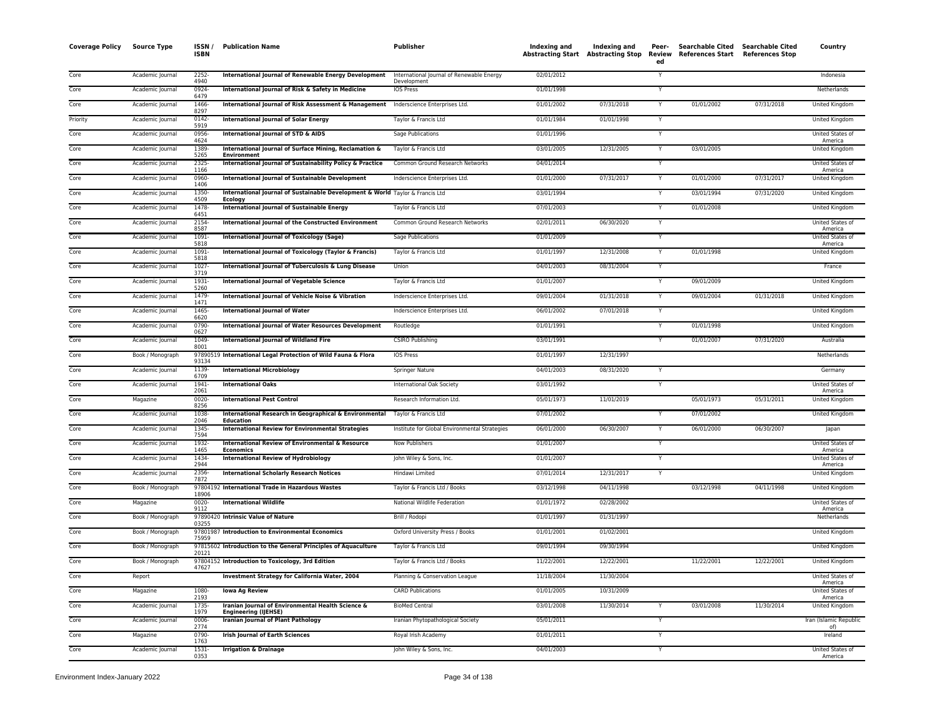| <b>Coverage Policy</b> | <b>Source Type</b> | ISSN /<br><b>ISBN</b> | <b>Publication Name</b>                                                                         | <b>Publisher</b>                                         | Indexing and | Indexing and<br>Abstracting Start Abstracting Stop | Peer-<br>Review<br>ed | <b>Searchable Cited</b><br><b>References Start</b> | <b>Searchable Cited</b><br><b>References Stop</b> | Country                            |
|------------------------|--------------------|-----------------------|-------------------------------------------------------------------------------------------------|----------------------------------------------------------|--------------|----------------------------------------------------|-----------------------|----------------------------------------------------|---------------------------------------------------|------------------------------------|
| Core                   | Academic Journal   | 2252<br>4940          | International Journal of Renewable Energy Development                                           | International Journal of Renewable Energy<br>Development | 02/01/2012   |                                                    | Y                     |                                                    |                                                   | Indonesia                          |
| Core                   | Academic Journal   | $0924 -$<br>6479      | International Journal of Risk & Safety in Medicine                                              | <b>IOS Press</b>                                         | 01/01/1998   |                                                    | Y                     |                                                    |                                                   | Netherlands                        |
| Core                   | Academic Journal   | 1466-<br>8297         | International Journal of Risk Assessment & Management                                           | Inderscience Enterprises Ltd.                            | 01/01/2002   | 07/31/2018                                         |                       | 01/01/2002                                         | 07/31/2018                                        | United Kingdom                     |
| Priority               | Academic Journal   | 0142-<br>5919         | <b>International Journal of Solar Energy</b>                                                    | Taylor & Francis Ltd                                     | 01/01/1984   | 01/01/1998                                         |                       |                                                    |                                                   | United Kingdom                     |
| Core                   | Academic Journal   | 0956-<br>4624         | International Journal of STD & AIDS                                                             | Sage Publications                                        | 01/01/1996   |                                                    | Y                     |                                                    |                                                   | United States of<br>America        |
| Core                   | Academic Journal   | 1389<br>5265          | International Journal of Surface Mining, Reclamation &<br><b>Environment</b>                    | Taylor & Francis Ltd                                     | 03/01/2005   | 12/31/2005                                         | Y                     | 03/01/2005                                         |                                                   | <b>United Kingdom</b>              |
| Core                   | Academic Journal   | 2325-<br>1166         | International Journal of Sustainability Policy & Practice                                       | Common Ground Research Networks                          | 04/01/2014   |                                                    | Y                     |                                                    |                                                   | United States of<br>America        |
| Core                   | Academic Journal   | 0960-<br>1406         | International Journal of Sustainable Development                                                | Inderscience Enterprises Ltd.                            | 01/01/2000   | 07/31/2017                                         |                       | 01/01/2000                                         | 07/31/2017                                        | United Kingdom                     |
| Core                   | Academic Journal   | 1350-<br>4509         | International Journal of Sustainable Development & World Taylor & Francis Ltd<br><b>Ecology</b> |                                                          | 03/01/1994   |                                                    | $\mathsf{v}$          | 03/01/1994                                         | 07/31/2020                                        | United Kingdom                     |
| Core                   | Academic Journal   | 1478-<br>6451         | International Journal of Sustainable Energy                                                     | Taylor & Francis Ltd                                     | 07/01/2003   |                                                    |                       | 01/01/2008                                         |                                                   | United Kingdom                     |
| Core                   | Academic Journal   | 2154<br>8587          | International Journal of the Constructed Environment                                            | Common Ground Research Networks                          | 02/01/2011   | 06/30/2020                                         | $\overline{Y}$        |                                                    |                                                   | United States of<br>America        |
| Core                   | Academic Journal   | $1091 -$<br>5818      | International Journal of Toxicology (Sage)                                                      | Sage Publications                                        | 01/01/2009   |                                                    |                       |                                                    |                                                   | <b>United States of</b><br>America |
| Core                   | Academic Journal   | $1091 -$<br>5818      | International Journal of Toxicology (Taylor & Francis)                                          | Taylor & Francis Ltd                                     | 01/01/1997   | 12/31/2008                                         | Y                     | 01/01/1998                                         |                                                   | United Kingdom                     |
| Core                   | Academic Journal   | $1027 -$<br>3719      | International Journal of Tuberculosis & Lung Disease                                            | Union                                                    | 04/01/2003   | 08/31/2004                                         |                       |                                                    |                                                   | France                             |
| Core                   | Academic Journal   | 1931<br>5260          | International Journal of Vegetable Science                                                      | Taylor & Francis Ltd                                     | 01/01/2007   |                                                    |                       | 09/01/2009                                         |                                                   | United Kingdom                     |
| Core                   | Academic Journal   | 1479<br>1471          | International Journal of Vehicle Noise & Vibration                                              | Inderscience Enterprises Ltd.                            | 09/01/2004   | 01/31/2018                                         | Y                     | 09/01/2004                                         | 01/31/2018                                        | <b>United Kingdom</b>              |
| Core                   | Academic Journal   | 1465<br>6620          | <b>International Journal of Water</b>                                                           | Inderscience Enterprises Ltd.                            | 06/01/2002   | 07/01/2018                                         |                       |                                                    |                                                   | United Kingdom                     |
| Core                   | Academic Journal   | 0790-<br>0627         | <b>International Journal of Water Resources Development</b>                                     | Routledge                                                | 01/01/1991   |                                                    | Y                     | 01/01/1998                                         |                                                   | United Kingdom                     |
| Core                   | Academic Journal   | 1049-<br>8001         | <b>International Journal of Wildland Fire</b>                                                   | <b>CSIRO Publishing</b>                                  | 03/01/1991   |                                                    |                       | 01/01/2007                                         | 07/31/2020                                        | Australia                          |
| Core                   | Book / Monograph   | 93134                 | 97890519 International Legal Protection of Wild Fauna & Flora                                   | <b>IOS Press</b>                                         | 01/01/1997   | 12/31/1997                                         |                       |                                                    |                                                   | Netherlands                        |
| Core                   | Academic Journal   | 1139-<br>6709         | <b>International Microbiology</b>                                                               | Springer Nature                                          | 04/01/2003   | 08/31/2020                                         | Y                     |                                                    |                                                   | Germany                            |
| Core                   | Academic Journal   | 1941-<br>2061         | <b>International Oaks</b>                                                                       | International Oak Society                                | 03/01/1992   |                                                    |                       |                                                    |                                                   | United States of<br>America        |
| Core                   | Magazine           | 0020-<br>8256         | <b>International Pest Control</b>                                                               | Research Information Ltd.                                | 05/01/1973   | 11/01/2019                                         |                       | 05/01/1973                                         | 05/31/2011                                        | United Kingdom                     |
| Core                   | Academic Journa    | 1038<br>2046          | International Research in Geographical & Environmental<br>Education                             | Taylor & Francis Ltd                                     | 07/01/2002   |                                                    |                       | 07/01/2002                                         |                                                   | United Kingdom                     |
| Core                   | Academic Journal   | 1345<br>7594          | <b>International Review for Environmental Strategies</b>                                        | Institute for Global Environmental Strategies            | 06/01/2000   | 06/30/2007                                         | Y                     | 06/01/2000                                         | 06/30/2007                                        | Japan                              |
| Core                   | Academic Journal   | 1932-<br>1465         | International Review of Environmental & Resource<br>Economics                                   | <b>Now Publishers</b>                                    | 01/01/2007   |                                                    | Y                     |                                                    |                                                   | United States of<br>America        |
| Core                   | Academic Journal   | 1434<br>2944          | <b>International Review of Hydrobiology</b>                                                     | John Wiley & Sons, Inc.                                  | 01/01/2007   |                                                    |                       |                                                    |                                                   | <b>United States of</b><br>America |
| Core                   | Academic Journal   | 2356-<br>7872         | <b>International Scholarly Research Notices</b>                                                 | Hindawi Limited                                          | 07/01/2014   | 12/31/2017                                         | Y                     |                                                    |                                                   | United Kingdom                     |
| Core                   | Book / Monograph   | 18906                 | 97804192 International Trade in Hazardous Wastes                                                | Taylor & Francis Ltd / Books                             | 03/12/1998   | 04/11/1998                                         |                       | 03/12/1998                                         | 04/11/1998                                        | United Kingdom                     |
| Core                   | Magazine           | $0020 -$<br>9112      | <b>International Wildlife</b>                                                                   | National Wildlife Federation                             | 01/01/1972   | 02/28/2002                                         |                       |                                                    |                                                   | <b>United States of</b><br>America |
| Core                   | Book / Monograph   | 03255                 | 97890420 Intrinsic Value of Nature                                                              | Brill / Rodopi                                           | 01/01/1997   | 01/31/1997                                         |                       |                                                    |                                                   | Netherlands                        |
| Core                   | Book / Monograph   | 75959                 | 97801987 Introduction to Environmental Economics                                                | Oxford University Press / Books                          | 01/01/2001   | 01/02/2001                                         |                       |                                                    |                                                   | United Kingdom                     |
| Core                   | Book / Monograph   | 20121                 | 97815602 Introduction to the General Principles of Aquaculture                                  | Taylor & Francis Ltd                                     | 09/01/1994   | 09/30/1994                                         |                       |                                                    |                                                   | United Kingdom                     |
| Core                   | Book / Monograph   | 47627                 | 97804152 Introduction to Toxicology, 3rd Edition                                                | Taylor & Francis Ltd / Books                             | 11/22/2001   | 12/22/2001                                         |                       | 11/22/2001                                         | 12/22/2001                                        | United Kingdom                     |
| Core                   | Report             |                       | Investment Strategy for California Water, 2004                                                  | Planning & Conservation League                           | 11/18/2004   | 11/30/2004                                         |                       |                                                    |                                                   | United States of<br>America        |
| Core                   | Magazine           | 1080-<br>2193         | <b>Iowa Ag Review</b>                                                                           | <b>CARD Publications</b>                                 | 01/01/2005   | 10/31/2009                                         |                       |                                                    |                                                   | United States of<br>America        |
| Core                   | Academic Journal   | 1735-<br>1979         | Iranian Journal of Environmental Health Science &<br><b>Engineering (IJEHSE)</b>                | <b>BioMed Central</b>                                    | 03/01/2008   | 11/30/2014                                         |                       | 03/01/2008                                         | 11/30/2014                                        | United Kingdom                     |
| Core                   | Academic Journal   | 0006<br>2774          | <b>Iranian Journal of Plant Pathology</b>                                                       | Iranian Phytopathological Society                        | 05/01/2011   |                                                    |                       |                                                    |                                                   | Iran (Islamic Republic<br>of)      |
| Core                   | Magazine           | 0790-<br>1763         | <b>Irish Journal of Earth Sciences</b>                                                          | Royal Irish Academy                                      | 01/01/2011   |                                                    | Y                     |                                                    |                                                   | Ireland                            |
| Core                   | Academic Journal   | 1531-<br>0353         | <b>Irrigation &amp; Drainage</b>                                                                | John Wiley & Sons, Inc.                                  | 04/01/2003   |                                                    | Y                     |                                                    |                                                   | United States of<br>America        |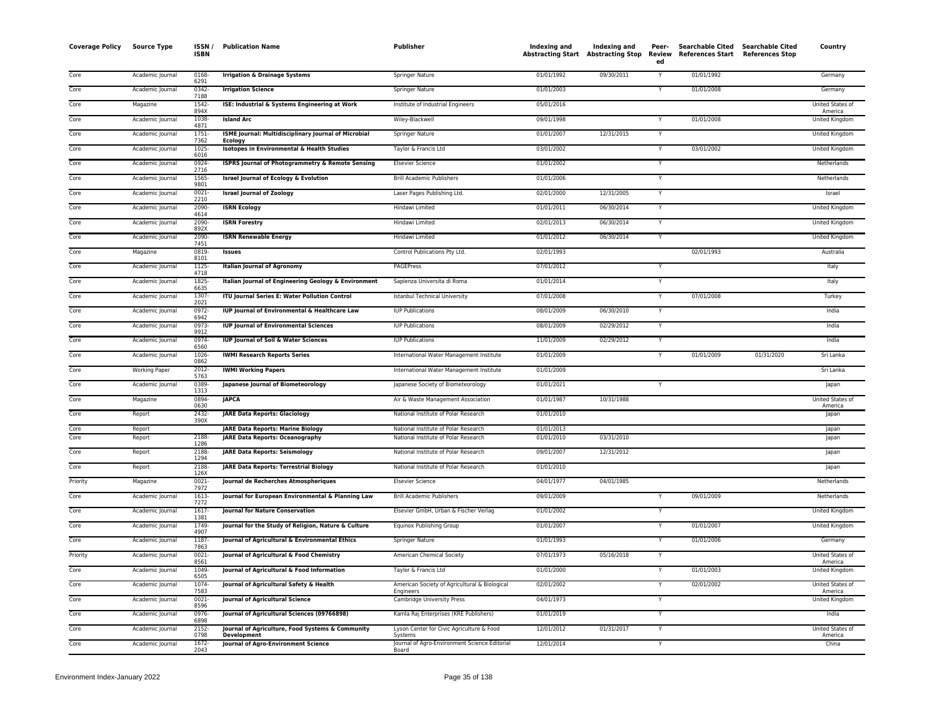| <b>Coverage Policy</b> | <b>Source Type</b>   | ISSN /<br><b>ISBN</b>    | <b>Publication Name</b>                                                            | <b>Publisher</b>                                                             | <b>Indexing and</b>      | Indexing and<br>Abstracting Start Abstracting Stop Review | Peer-<br>ed | Searchable Cited Searchable Cited<br>References Start References Stop |            | Country                     |
|------------------------|----------------------|--------------------------|------------------------------------------------------------------------------------|------------------------------------------------------------------------------|--------------------------|-----------------------------------------------------------|-------------|-----------------------------------------------------------------------|------------|-----------------------------|
| Core                   | Academic Journal     | 0168-<br>6291            | <b>Irrigation &amp; Drainage Systems</b>                                           | Springer Nature                                                              | 01/01/1992               | 09/30/2011                                                |             | 01/01/1992                                                            |            | Germany                     |
| Core                   | Academic Journal     | $0342 -$<br>7188         | <b>Irrigation Science</b>                                                          | <b>Springer Nature</b>                                                       | 01/01/2003               |                                                           | Y           | 01/01/2008                                                            |            | Germany                     |
| Core                   | Magazine             | 1542-<br>894X            | ISE: Industrial & Systems Engineering at Work                                      | Institute of Industrial Engineers                                            | 05/01/2016               |                                                           |             |                                                                       |            | United States of<br>America |
| Core                   | Academic Journal     | 1038-<br>4871            | <b>Island Arc</b>                                                                  | Wiley-Blackwell                                                              | 09/01/1998               |                                                           |             | 01/01/2008                                                            |            | United Kingdom              |
| Core                   | Academic Journal     | 1751-<br>7362            | ISME Journal: Multidisciplinary Journal of Microbial<br>Ecology                    | Springer Nature                                                              | 01/01/2007               | 12/31/2015                                                | Y           |                                                                       |            | United Kingdom              |
| Core                   | Academic Journal     | 1025-<br>6016            | Isotopes in Environmental & Health Studies                                         | Taylor & Francis Ltd                                                         | 03/01/2002               |                                                           | Ÿ           | 03/01/2002                                                            |            | <b>United Kingdom</b>       |
| Core                   | Academic Journal     | 0924<br>2716             | <b>ISPRS Journal of Photogrammetry &amp; Remote Sensing</b>                        | <b>Elsevier Science</b>                                                      | 01/01/2002               |                                                           | Y           |                                                                       |            | Netherlands                 |
| Core                   | Academic Journal     | 1565-<br>9801            | <b>Israel Journal of Ecology &amp; Evolution</b>                                   | <b>Brill Academic Publishers</b>                                             | 01/01/2006               |                                                           | Y           |                                                                       |            | Netherlands                 |
| Core                   | Academic Journal     | $0021 -$<br>2210         | <b>Israel Journal of Zoology</b>                                                   | Laser Pages Publishing Ltd.                                                  | 02/01/2000               | 12/31/2005                                                | Υ           |                                                                       |            | Israel                      |
| Core                   | Academic Journal     | 2090-<br>4614            | <b>ISRN Ecology</b>                                                                | Hindawi Limited                                                              | 01/01/2011               | 06/30/2014                                                | Y           |                                                                       |            | United Kingdom              |
| Core                   | Academic Journal     | 2090-<br>892X            | <b>ISRN Forestry</b>                                                               | Hindawi Limited                                                              | 02/01/2013               | 06/30/2014                                                | Y           |                                                                       |            | <b>United Kingdom</b>       |
| Core                   | Academic Journal     | 2090-<br>7451            | <b>ISRN Renewable Energy</b>                                                       | Hindawi Limited                                                              | 01/01/2012               | 06/30/2014                                                | Y           |                                                                       |            | United Kingdom              |
| Core                   | Magazine             | 0819-<br>8101            | Issues                                                                             | Control Publications Pty Ltd.                                                | 02/01/1993               |                                                           |             | 02/01/1993                                                            |            | Australia                   |
| Core                   | Academic Journal     | 1125-<br>4718            | <b>Italian Journal of Agronomy</b>                                                 | PAGEPress                                                                    | 07/01/2012               |                                                           |             |                                                                       |            | Italy                       |
| Core                   | Academic Journal     | 1825-<br>6635            | Italian Journal of Engineering Geology & Environment                               | Sapienza Universita di Roma                                                  | 01/01/2014               |                                                           | Y           |                                                                       |            | Italy                       |
| Core                   | Academic Journal     | 1307-<br>2021            | ITU Journal Series E: Water Pollution Control                                      | <b>Istanbul Technical University</b>                                         | 07/01/2008               |                                                           | Ÿ           | 07/01/2008                                                            |            | Turkey                      |
| Core                   | Academic Journal     | $0972 -$<br>6942         | IUP Journal of Environmental & Healthcare Law                                      | <b>IUP Publications</b>                                                      | 08/01/2009               | 06/30/2010                                                | Ÿ           |                                                                       |            | India                       |
| Core                   | Academic Journal     | 0973-<br>9912            | <b>IUP Journal of Environmental Sciences</b>                                       | <b>IUP Publications</b>                                                      | 08/01/2009               | 02/29/2012                                                | Y           |                                                                       |            | India                       |
| Core                   | Academic Journal     | 0974-<br>6560            | <b>IUP Journal of Soil &amp; Water Sciences</b>                                    | <b>IUP Publications</b>                                                      | 11/01/2009               | 02/29/2012                                                | Υ           |                                                                       |            | India                       |
| Core                   | Academic Journal     | 1026-<br>0862            | <b>IWMI Research Reports Series</b>                                                | International Water Management Institute                                     | 01/01/2009               |                                                           | Y           | 01/01/2009                                                            | 01/31/2020 | Sri Lanka                   |
| Core                   | <b>Working Paper</b> | $2012 -$<br>5763         | <b>IWMI Working Papers</b>                                                         | International Water Management Institute                                     | 01/01/2009               |                                                           |             |                                                                       |            | Sri Lanka                   |
| Core                   | Academic Journal     | 0389<br>1313             | Japanese Journal of Biometeorology                                                 | Japanese Society of Biometeorology                                           | 01/01/2021               |                                                           | Y           |                                                                       |            | Japan                       |
| Core                   | Magazine             | 0894-<br>0630            | <b>JAPCA</b>                                                                       | Air & Waste Management Association                                           | 01/01/1987               | 10/31/1988                                                |             |                                                                       |            | United States of<br>America |
| Core                   | Report               | 2432-<br>390X            | <b>JARE Data Reports: Glaciology</b>                                               | National Institute of Polar Research                                         | 01/01/2010               |                                                           |             |                                                                       |            | Japan                       |
| Core<br>Core           | Report               | 2188-                    | <b>JARE Data Reports: Marine Biology</b><br><b>JARE Data Reports: Oceanography</b> | National Institute of Polar Research<br>National Institute of Polar Research | 01/01/2013<br>01/01/2010 | 03/31/2010                                                |             |                                                                       |            | lapan                       |
| Core                   | Report<br>Report     | 1286<br>2188             | <b>JARE Data Reports: Seismology</b>                                               | National Institute of Polar Research                                         | 09/01/2007               | 12/31/2012                                                |             |                                                                       |            | Japan                       |
| Core                   |                      | 1294<br>2188-            |                                                                                    | National Institute of Polar Research                                         | 01/01/2010               |                                                           |             |                                                                       |            | Japan                       |
|                        | Report               | 126X                     | JARE Data Reports: Terrestrial Biology                                             |                                                                              |                          |                                                           |             |                                                                       |            | Japan                       |
| Priority               | Magazine             | 0021-<br>7972            | Journal de Recherches Atmospheriques                                               | <b>Elsevier Science</b>                                                      | 04/01/1977               | 04/01/1985                                                |             |                                                                       |            | Netherlands                 |
| Core                   | Academic Journal     | 1613-<br>7272            | Journal for European Environmental & Planning Law                                  | <b>Brill Academic Publishers</b>                                             | 09/01/2009               |                                                           | Y           | 09/01/2009                                                            |            | Netherlands                 |
| Core                   | Academic Journal     | $1617 -$<br>1381<br>1749 | <b>Journal for Nature Conservation</b>                                             | Elsevier GmbH, Urban & Fischer Verlag                                        | 01/01/2002               |                                                           |             |                                                                       |            | United Kingdom              |
| Core                   | Academic Journal     | 4907                     | Journal for the Study of Religion, Nature & Culture                                | <b>Equinox Publishing Group</b>                                              | 01/01/2007               |                                                           | Y           | 01/01/2007                                                            |            | United Kingdom              |
| Core                   | Academic Journal     | 1187-<br>7863            | Journal of Agricultural & Environmental Ethics                                     | Springer Nature                                                              | 01/01/1993               |                                                           | Y           | 01/01/2006                                                            |            | Germany                     |
| Priority               | Academic Journal     | 0021-<br>8561            | Journal of Agricultural & Food Chemistry                                           | American Chemical Society                                                    | 07/01/1973               | 05/16/2018                                                | Y           |                                                                       |            | United States of<br>America |
| Core                   | Academic Journal     | 1049-<br>6505            | Journal of Agricultural & Food Information                                         | Taylor & Francis Ltd                                                         | 01/01/2000               |                                                           |             | 01/01/2003                                                            |            | United Kingdom              |
| Core                   | Academic Journal     | 1074-<br>7583            | Journal of Agricultural Safety & Health                                            | American Society of Agricultural & Biological<br>Engineers                   | 02/01/2002               |                                                           | Y           | 02/01/2002                                                            |            | United States of<br>America |
| Core                   | Academic Journal     | $0021 -$<br>8596         | Journal of Agricultural Science                                                    | Cambridge University Press                                                   | 04/01/1973               |                                                           | Y           |                                                                       |            | United Kingdom              |
| Core                   | Academic Journal     | 0976<br>6898             | Journal of Agricultural Sciences (09766898)                                        | Kamla Raj Enterprises (KRE Publishers)                                       | 01/01/2019               |                                                           | Y           |                                                                       |            | India                       |
| Core                   | Academic Journal     | 2152-<br>0798            | Journal of Agriculture, Food Systems & Community<br><b>Development</b>             | Lyson Center for Civic Agriculture & Food<br>Svstems                         | 12/01/2012               | 01/31/2017                                                | Y           |                                                                       |            | United States of<br>America |
| Core                   | Academic Journal     | 1672-<br>2043            | Journal of Agro-Environment Science                                                | Journal of Agro-Environment Science Editorial<br>Board                       | 12/01/2014               |                                                           | Ÿ           |                                                                       |            | China                       |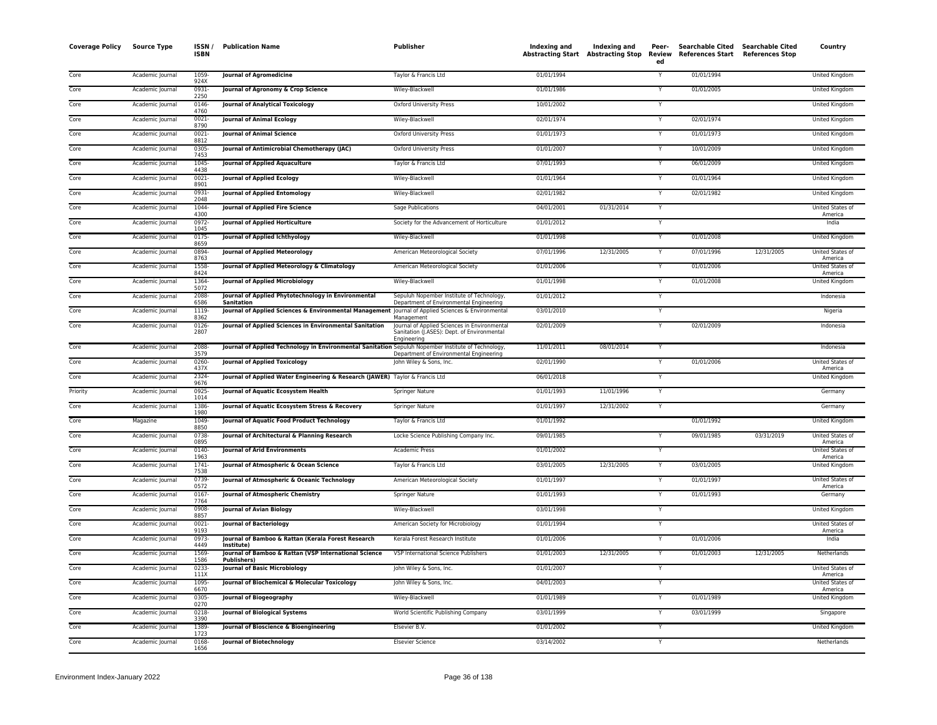| <b>Coverage Policy</b> | <b>Source Type</b> | ISSN/<br><b>ISBN</b> | <b>Publication Name</b>                                                                             | <b>Publisher</b>                                                                                           | Indexing and | Indexing and<br>Abstracting Start Abstracting Stop | Peer-<br>Review<br>ed | Searchable Cited Searchable Cited<br>References Start References Stop |            | Country                            |
|------------------------|--------------------|----------------------|-----------------------------------------------------------------------------------------------------|------------------------------------------------------------------------------------------------------------|--------------|----------------------------------------------------|-----------------------|-----------------------------------------------------------------------|------------|------------------------------------|
| Core                   | Academic Journal   | 1059<br>924X         | <b>Journal of Agromedicine</b>                                                                      | Taylor & Francis Ltd                                                                                       | 01/01/1994   |                                                    |                       | 01/01/1994                                                            |            | <b>United Kingdom</b>              |
| Core                   | Academic Journal   | 0931<br>2250         | Journal of Agronomy & Crop Science                                                                  | Wiley-Blackwell                                                                                            | 01/01/1986   |                                                    |                       | 01/01/2005                                                            |            | United Kingdom                     |
| Core                   | Academic Journal   | 0146-<br>4760        | <b>Journal of Analytical Toxicology</b>                                                             | Oxford University Press                                                                                    | 10/01/2002   |                                                    | Y                     |                                                                       |            | United Kingdom                     |
| Core                   | Academic Journal   | 0021-<br>8790        | <b>Journal of Animal Ecology</b>                                                                    | Wiley-Blackwell                                                                                            | 02/01/1974   |                                                    |                       | 02/01/1974                                                            |            | United Kingdom                     |
| Core                   | Academic Journal   | $0021 -$<br>8812     | Journal of Animal Science                                                                           | Oxford University Press                                                                                    | 01/01/1973   |                                                    |                       | 01/01/1973                                                            |            | United Kingdom                     |
| Core                   | Academic Journal   | 0305<br>7453         | Journal of Antimicrobial Chemotherapy (JAC)                                                         | Oxford University Press                                                                                    | 01/01/2007   |                                                    |                       | 10/01/2009                                                            |            | United Kingdom                     |
| Core                   | Academic Journal   | 1045<br>4438         | Journal of Applied Aquaculture                                                                      | Taylor & Francis Ltd                                                                                       | 07/01/1993   |                                                    |                       | 06/01/2009                                                            |            | United Kingdom                     |
| Core                   | Academic Journal   | 0021<br>8901         | Journal of Applied Ecology                                                                          | Wiley-Blackwell                                                                                            | 01/01/1964   |                                                    |                       | 01/01/1964                                                            |            | United Kingdom                     |
| Core                   | Academic Journal   | $0931 -$<br>2048     | Journal of Applied Entomology                                                                       | Wiley-Blackwell                                                                                            | 02/01/1982   |                                                    | Y                     | 02/01/1982                                                            |            | <b>United Kingdom</b>              |
| Core                   | Academic Journal   | 1044<br>4300         | Journal of Applied Fire Science                                                                     | Sage Publications                                                                                          | 04/01/2001   | 01/31/2014                                         | Y                     |                                                                       |            | United States of<br>America        |
| Core                   | Academic Journal   | 0972-<br>1045        | <b>Journal of Applied Horticulture</b>                                                              | Society for the Advancement of Horticulture                                                                | 01/01/2012   |                                                    | $\checkmark$          |                                                                       |            | India                              |
| Core                   | Academic Journal   | $0175 -$<br>8659     | Journal of Applied Ichthyology                                                                      | Wiley-Blackwell                                                                                            | 01/01/1998   |                                                    |                       | 01/01/2008                                                            |            | <b>United Kingdom</b>              |
| Core                   | Academic Journal   | 0894<br>8763         | <b>Journal of Applied Meteorology</b>                                                               | American Meteorological Society                                                                            | 07/01/1996   | 12/31/2005                                         |                       | 07/01/1996                                                            | 12/31/2005 | United States of<br>America        |
| Core                   | Academic Journal   | 1558<br>8424         | Journal of Applied Meteorology & Climatology                                                        | American Meteorological Society                                                                            | 01/01/2006   |                                                    |                       | 01/01/2006                                                            |            | United States of<br>America        |
| Core                   | Academic Journal   | 1364-<br>5072        | <b>Journal of Applied Microbiology</b>                                                              | Wiley-Blackwell                                                                                            | 01/01/1998   |                                                    |                       | 01/01/2008                                                            |            | United Kingdom                     |
| Core                   | Academic Journal   | 2088<br>6586         | Journal of Applied Phytotechnology in Environmental<br>Sanitation                                   | Sepuluh Nopember Institute of Technology,<br>Department of Environmental Engineering                       | 01/01/2012   |                                                    |                       |                                                                       |            | Indonesia                          |
| Core                   | Academic Journal   | 1119-<br>8362        | Journal of Applied Sciences & Environmental Management Journal of Applied Sciences & Environmental  | Management                                                                                                 | 03/01/2010   |                                                    |                       |                                                                       |            | Nigeria                            |
| Core                   | Academic Journal   | 0126-<br>2807        | Journal of Applied Sciences in Environmental Sanitation                                             | Journal of Applied Sciences in Environmental<br>Sanitation (J.ASES): Dept. of Environmental<br>Engineering | 02/01/2009   |                                                    |                       | 02/01/2009                                                            |            | Indonesia                          |
| Core                   | Academic Journal   | 2088-<br>3579        | Journal of Applied Technology in Environmental Sanitation Sepuluh Nopember Institute of Technology, | Department of Environmental Engineering                                                                    | 11/01/2011   | 08/01/2014                                         | Y                     |                                                                       |            | Indonesia                          |
| Core                   | Academic Journal   | 0260<br>437X         | Journal of Applied Toxicology                                                                       | John Wiley & Sons, Inc.                                                                                    | 02/01/1990   |                                                    |                       | 01/01/2006                                                            |            | United States of<br>America        |
| Core                   | Academic Journal   | 2324-<br>9676        | Journal of Applied Water Engineering & Research (JAWER) Taylor & Francis Ltd                        |                                                                                                            | 06/01/2018   |                                                    |                       |                                                                       |            | United Kingdom                     |
| Priority               | Academic Journal   | 0925<br>1014         | Journal of Aquatic Ecosystem Health                                                                 | <b>Springer Nature</b>                                                                                     | 01/01/1993   | 11/01/1996                                         |                       |                                                                       |            | Germany                            |
| Core                   | Academic Journal   | 1386<br>1980         | Journal of Aquatic Ecosystem Stress & Recovery                                                      | Springer Nature                                                                                            | 01/01/1997   | 12/31/2002                                         |                       |                                                                       |            | Germany                            |
| Core                   | Magazine           | 1049<br>8850         | Journal of Aquatic Food Product Technology                                                          | Taylor & Francis Ltd                                                                                       | 01/01/1992   |                                                    |                       | 01/01/1992                                                            |            | United Kingdom                     |
| Core                   | Academic Journal   | 0738-<br>0895        | Journal of Architectural & Planning Research                                                        | Locke Science Publishing Company Inc.                                                                      | 09/01/1985   |                                                    |                       | 09/01/1985                                                            | 03/31/2019 | United States of<br>America        |
| Core                   | Academic Journal   | 0140-<br>1963        | <b>Journal of Arid Environments</b>                                                                 | <b>Academic Press</b>                                                                                      | 01/01/2002   |                                                    |                       |                                                                       |            | United States of<br>America        |
| Core                   | Academic Journal   | $1741 -$<br>7538     | Journal of Atmospheric & Ocean Science                                                              | Taylor & Francis Ltd                                                                                       | 03/01/2005   | 12/31/2005                                         |                       | 03/01/2005                                                            |            | United Kingdom                     |
| Core                   | Academic Journal   | 0739<br>0572         | Journal of Atmospheric & Oceanic Technology                                                         | American Meteorological Society                                                                            | 01/01/1997   |                                                    |                       | 01/01/1997                                                            |            | United States of<br>America        |
| Core                   | Academic Journal   | 0167-<br>7764        | Journal of Atmospheric Chemistry                                                                    | Springer Nature                                                                                            | 01/01/1993   |                                                    | Y                     | 01/01/1993                                                            |            | Germany                            |
| Core                   | Academic Journal   | 0908<br>8857         | <b>Journal of Avian Biology</b>                                                                     | Wiley-Blackwell                                                                                            | 03/01/1998   |                                                    |                       |                                                                       |            | <b>United Kingdom</b>              |
| Core                   | Academic Journal   | $0021 -$<br>9193     | <b>Journal of Bacteriology</b>                                                                      | American Society for Microbiology                                                                          | 01/01/1994   |                                                    |                       |                                                                       |            | United States of<br>America        |
| Core                   | Academic Journal   | 0973-<br>4449        | Journal of Bamboo & Rattan (Kerala Forest Research<br>Institute)                                    | Kerala Forest Research Institute                                                                           | 01/01/2006   |                                                    |                       | 01/01/2006                                                            |            | India                              |
| Core                   | Academic Journal   | 1569<br>1586         | Journal of Bamboo & Rattan (VSP International Science<br><b>Publishers</b> )                        | VSP International Science Publishers                                                                       | 01/01/2003   | 12/31/2005                                         |                       | 01/01/2003                                                            | 12/31/2005 | Netherlands                        |
| Core                   | Academic Journal   | 0233<br>111X         | <b>Journal of Basic Microbiology</b>                                                                | John Wiley & Sons, Inc.                                                                                    | 01/01/2007   |                                                    |                       |                                                                       |            | United States of<br>America        |
| Core                   | Academic Journal   | 1095-<br>6670        | Journal of Biochemical & Molecular Toxicology                                                       | John Wiley & Sons, Inc.                                                                                    | 04/01/2003   |                                                    |                       |                                                                       |            | <b>United States of</b><br>America |
| Core                   | Academic Journal   | 0305<br>0270         | <b>Journal of Biogeography</b>                                                                      | Wiley-Blackwell                                                                                            | 01/01/1989   |                                                    |                       | 01/01/1989                                                            |            | United Kingdom                     |
| Core                   | Academic Journal   | 0218-<br>3390        | Journal of Biological Systems                                                                       | World Scientific Publishing Company                                                                        | 03/01/1999   |                                                    |                       | 03/01/1999                                                            |            | Singapore                          |
| Core                   | Academic Journal   | 1389<br>1723         | Journal of Bioscience & Bioengineering                                                              | Elsevier B.V.                                                                                              | 01/01/2002   |                                                    |                       |                                                                       |            | United Kingdom                     |
| Core                   | Academic Journal   | 0168<br>1656         | <b>Journal of Biotechnology</b>                                                                     | <b>Elsevier Science</b>                                                                                    | 03/14/2002   |                                                    |                       |                                                                       |            | Netherlands                        |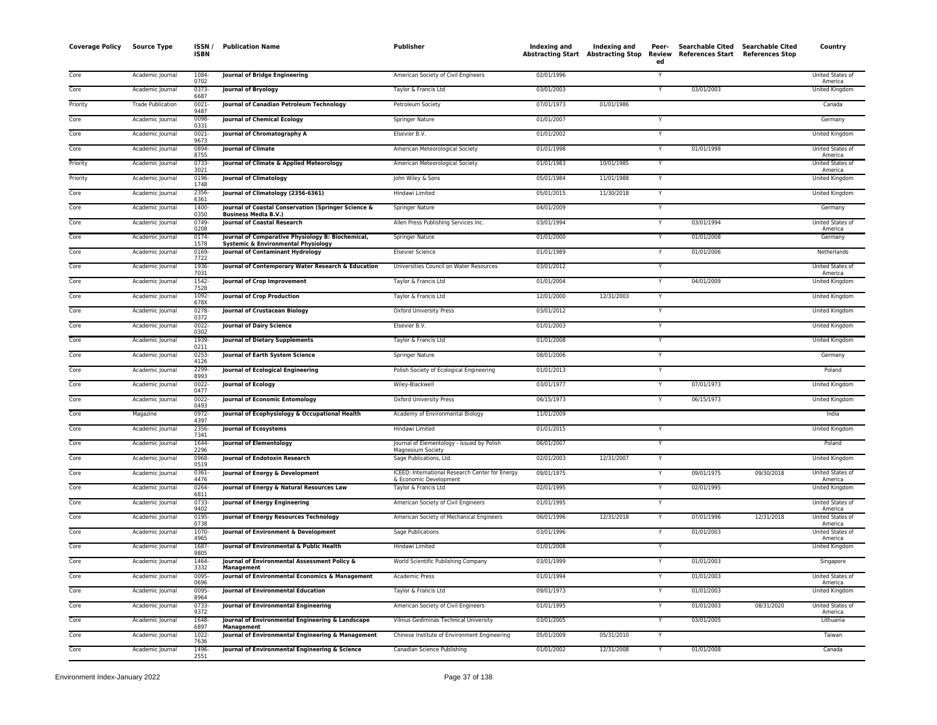| <b>Coverage Policy</b> | <b>Source Type</b>       | ISSN /<br><b>ISBN</b> | <b>Publication Name</b>                                                            | Publisher                                                                 | Indexing and | Indexing and | Peer-<br>ed             | Searchable Cited Searchable Cited<br>Abstracting Start Abstracting Stop Review References Start References Stop |            | Country                            |
|------------------------|--------------------------|-----------------------|------------------------------------------------------------------------------------|---------------------------------------------------------------------------|--------------|--------------|-------------------------|-----------------------------------------------------------------------------------------------------------------|------------|------------------------------------|
| Core                   | Academic Journal         | 1084-<br>0702         | Journal of Bridge Engineering                                                      | American Society of Civil Engineers                                       | 02/01/1996   |              |                         |                                                                                                                 |            | United States of<br>America        |
| Core                   | Academic Journal         | 0373                  | Journal of Bryology                                                                | Taylor & Francis Ltd                                                      | 03/01/2003   |              | Y                       | 03/01/2003                                                                                                      |            | United Kingdom                     |
| Priority               | <b>Trade Publication</b> | 6687<br>0021          | Journal of Canadian Petroleum Technology                                           | Petroleum Society                                                         | 07/01/1973   | 01/01/1986   |                         |                                                                                                                 |            | Canada                             |
| Core                   | Academic Journal         | 9487<br>0098          | <b>Journal of Chemical Ecology</b>                                                 | <b>Springer Nature</b>                                                    | 01/01/2007   |              | Y                       |                                                                                                                 |            | Germany                            |
| Core                   | Academic Journal         | 0331<br>0021-         | Journal of Chromatography A                                                        | Elsevier B.V.                                                             | 01/01/2002   |              | Y                       |                                                                                                                 |            | United Kingdom                     |
| Core                   | Academic Journal         | 9673<br>0894-         | <b>Journal of Climate</b>                                                          | American Meteorological Society                                           | 01/01/1998   |              |                         | 01/01/1998                                                                                                      |            | United States of                   |
| Priority               | Academic Journal         | 8755<br>0733-         | Journal of Climate & Applied Meteorology                                           | American Meteorological Society                                           | 01/01/1983   | 10/01/1985   | $\overline{Y}$          |                                                                                                                 |            | America<br><b>United States of</b> |
| Priority               | Academic Journal         | 3021<br>0196-         | <b>Journal of Climatology</b>                                                      | John Wiley & Sons                                                         | 05/01/1984   | 11/01/1988   | Y                       |                                                                                                                 |            | America<br>United Kingdom          |
| Core                   | Academic Journal         | 1748<br>2356          | Journal of Climatology (2356-6361)                                                 | Hindawi Limited                                                           | 05/01/2015   | 11/30/2018   | Y                       |                                                                                                                 |            | United Kingdom                     |
| Core                   | Academic Journal         | 6361<br>1400          | Journal of Coastal Conservation (Springer Science &                                | Springer Nature                                                           | 04/01/2009   |              | Y                       |                                                                                                                 |            | Germany                            |
| Core                   | Academic Journal         | 0350<br>0749-         | <b>Business Media B.V.)</b><br>Journal of Coastal Research                         | Allen Press Publishing Services Inc.                                      | 03/01/1994   |              | ٧                       | 03/01/1994                                                                                                      |            | United States of                   |
| Core                   | Academic Journal         | 0208<br>$0174 -$      | Journal of Comparative Physiology B: Biochemical,                                  | <b>Springer Nature</b>                                                    | 01/01/2000   |              | Y                       | 01/01/2008                                                                                                      |            | America<br>Germany                 |
| Core                   | Academic Journal         | 1578<br>0169          | <b>Systemic &amp; Environmental Physiology</b><br>Journal of Contaminant Hydrology | <b>Elsevier Science</b>                                                   | 01/01/1989   |              | Y                       | 01/01/2006                                                                                                      |            | Netherlands                        |
| Core                   | Academic Journal         | 7722<br>1936-         | Journal of Contemporary Water Research & Education                                 | Universities Council on Water Resources                                   | 03/01/2012   |              | Y                       |                                                                                                                 |            | United States of                   |
| Core                   | Academic Journal         | 7031<br>1542-         | Journal of Crop Improvement                                                        | Taylor & Francis Ltd                                                      | 01/01/2004   |              | Y                       | 04/01/2009                                                                                                      |            | America<br>United Kingdom          |
| Core                   | Academic Journal         | 7528<br>1092          | Journal of Crop Production                                                         | Taylor & Francis Ltd                                                      | 12/01/2000   | 12/31/2003   | Y                       |                                                                                                                 |            | United Kingdom                     |
| Core                   | Academic Journal         | 678X<br>0278-         | Journal of Crustacean Biology                                                      | Oxford University Press                                                   | 03/01/2012   |              | Y                       |                                                                                                                 |            | United Kingdom                     |
| Core                   | Academic Journal         | 0372<br>0022-         | <b>Journal of Dairy Science</b>                                                    | Elsevier B.V.                                                             | 01/01/2003   |              |                         |                                                                                                                 |            | United Kingdom                     |
| Core                   | Academic Journal         | 0302<br>1939          | <b>Journal of Dietary Supplements</b>                                              | Taylor & Francis Ltd                                                      | 01/01/2008   |              | Y                       |                                                                                                                 |            | United Kingdom                     |
|                        |                          | 0211                  |                                                                                    |                                                                           |              |              |                         |                                                                                                                 |            |                                    |
| Core                   | Academic Journal         | 0253<br>4126          | Journal of Earth System Science                                                    | Springer Nature                                                           | 08/01/2006   |              | Y                       |                                                                                                                 |            | Germany                            |
| Core                   | Academic Journal         | 2299<br>8993          | <b>Journal of Ecological Engineering</b>                                           | Polish Society of Ecological Engineering                                  | 01/01/2013   |              | Y                       |                                                                                                                 |            | Poland                             |
| Core                   | Academic Journal         | 0022<br>0477          | Journal of Ecology                                                                 | Wiley-Blackwell                                                           | 03/01/1977   |              | Y                       | 07/01/1973                                                                                                      |            | United Kingdom                     |
| Core                   | Academic Journal         | $0022 -$<br>0493      | Journal of Economic Entomology                                                     | <b>Oxford University Press</b>                                            | 06/15/1973   |              | Y                       | 06/15/1973                                                                                                      |            | United Kingdom                     |
| Core                   | Magazine                 | 0972-<br>4397         | Journal of Ecophysiology & Occupational Health                                     | Academy of Environmental Biology                                          | 11/01/2009   |              |                         |                                                                                                                 |            | India                              |
| Core                   | Academic Journal         | 2356-<br>7341         | <b>Journal of Ecosystems</b>                                                       | Hindawi Limited                                                           | 01/01/2015   |              | Y                       |                                                                                                                 |            | United Kingdom                     |
| Core                   | Academic Journal         | 1644-<br>2296         | Journal of Elementology                                                            | Journal of Elementology - issued by Polish<br>Magnesium Societv           | 06/01/2007   |              | $\overline{\mathsf{Y}}$ |                                                                                                                 |            | Poland                             |
| Core                   | Academic Journal         | 0968-<br>0519         | Journal of Endotoxin Research                                                      | Sage Publications, Ltd.                                                   | 02/01/2003   | 12/31/2007   | Y                       |                                                                                                                 |            | <b>United Kingdom</b>              |
| Core                   | Academic Journal         | 0361<br>4476          | Journal of Energy & Development                                                    | ICEED: International Research Center for Energy<br>& Economic Development | 09/01/1975   |              | Y                       | 09/01/1975                                                                                                      | 09/30/2018 | United States of<br>America        |
| Core                   | Academic Journal         | 0264<br>6811          | Journal of Energy & Natural Resources Law                                          | Taylor & Francis Ltd                                                      | 02/01/1995   |              |                         | 02/01/1995                                                                                                      |            | United Kingdom                     |
| Core                   | Academic Journal         | 0733<br>9402          | Journal of Energy Engineering                                                      | American Society of Civil Engineers                                       | 01/01/1995   |              | Y                       |                                                                                                                 |            | United States of<br>America        |
| Core                   | Academic Journal         | 0195<br>0738          | Journal of Energy Resources Technology                                             | American Society of Mechanical Engineers                                  | 06/01/1996   | 12/31/2018   | Y                       | 07/01/1996                                                                                                      | 12/31/2018 | United States of<br>America        |
| Core                   | Academic Journal         | 1070<br>4965          | Journal of Environment & Development                                               | <b>Sage Publications</b>                                                  | 03/01/1996   |              |                         | 01/01/2003                                                                                                      |            | United States of<br>America        |
| Core                   | Academic Journal         | 1687<br>9805          | Journal of Environmental & Public Health                                           | Hindawi Limited                                                           | 01/01/2008   |              | Υ                       |                                                                                                                 |            | United Kingdom                     |
| Core                   | Academic Journal         | 1464<br>3332          | Journal of Environmental Assessment Policy &<br>Management                         | World Scientific Publishing Company                                       | 03/01/1999   |              | Y                       | 01/01/2003                                                                                                      |            | Singapore                          |
| Core                   | Academic Journal         | 0095<br>0696          | Journal of Environmental Economics & Management                                    | <b>Academic Press</b>                                                     | 01/01/1994   |              | Y                       | 01/01/2003                                                                                                      |            | United States of<br>America        |
| Core                   | Academic Journal         | $0095 -$<br>8964      | <b>Journal of Environmental Education</b>                                          | Taylor & Francis Ltd                                                      | 09/01/1973   |              | Y                       | 01/01/2003                                                                                                      |            | <b>United Kingdom</b>              |
| Core                   | Academic Journal         | 0733-<br>9372         | Journal of Environmental Engineering                                               | American Society of Civil Engineers                                       | 01/01/1995   |              |                         | 01/01/2003                                                                                                      | 08/31/2020 | United States of<br>America        |
| Core                   | Academic Journal         | 1648-<br>6897         | Journal of Environmental Engineering & Landscape<br>Management                     | Vilnius Gediminas Technical University                                    | 03/01/2005   |              | Y                       | 03/01/2005                                                                                                      |            | Lithuania                          |
| Core                   | Academic Journal         | 1022<br>7636          | Journal of Environmental Engineering & Management                                  | Chinese Institute of Environment Engineering                              | 05/01/2009   | 05/31/2010   | Y                       |                                                                                                                 |            | Taiwan                             |
| Core                   | Academic Journal         | 1496<br>2551          | Journal of Environmental Engineering & Science                                     | Canadian Science Publishing                                               | 01/01/2002   | 12/31/2008   | Y                       | 01/01/2008                                                                                                      |            | Canada                             |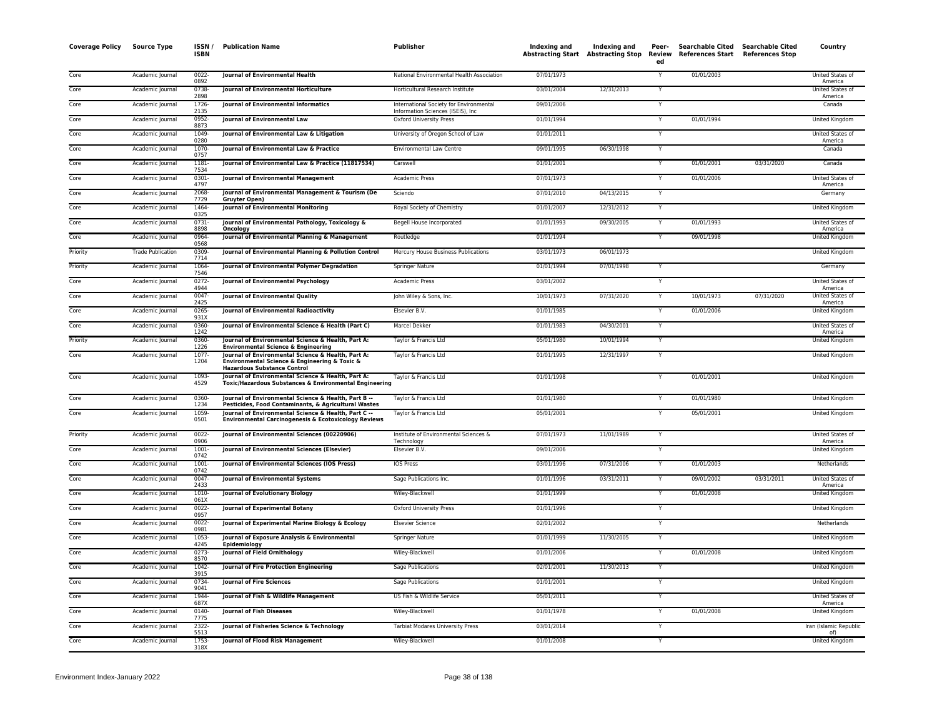| <b>Coverage Policy</b> | <b>Source Type</b>       | ISSN /<br><b>ISBN</b> | <b>Publication Name</b>                                                                                                                   | <b>Publisher</b>                                                              | <b>Indexing and</b> | Indexing and<br>Abstracting Start Abstracting Stop | Peer-<br>Review<br>ed | <b>Searchable Cited</b><br>References Start References Stop | <b>Searchable Cited</b> | Country                            |
|------------------------|--------------------------|-----------------------|-------------------------------------------------------------------------------------------------------------------------------------------|-------------------------------------------------------------------------------|---------------------|----------------------------------------------------|-----------------------|-------------------------------------------------------------|-------------------------|------------------------------------|
| Core                   | Academic Journal         | $0022 -$<br>0892      | Journal of Environmental Health                                                                                                           | National Environmental Health Association                                     | 07/01/1973          |                                                    |                       | 01/01/2003                                                  |                         | United States of<br>America        |
| Core                   | Academic Journal         | 0738-<br>2898         | <b>Journal of Environmental Horticulture</b>                                                                                              | Horticultural Research Institute                                              | 03/01/2004          | 12/31/2013                                         | Y                     |                                                             |                         | <b>United States of</b><br>America |
| Core                   | Academic Journal         | 1726<br>2135          | Journal of Environmental Informatics                                                                                                      | International Society for Environmental<br>Information Sciences (ISEIS), Inc. | 09/01/2006          |                                                    |                       |                                                             |                         | Canada                             |
| Core                   | Academic Journal         | 0952<br>8873          | Journal of Environmental Law                                                                                                              | <b>Oxford University Press</b>                                                | 01/01/1994          |                                                    |                       | 01/01/1994                                                  |                         | United Kingdom                     |
| Core                   | Academic Journal         | 1049<br>0280          | Journal of Environmental Law & Litigation                                                                                                 | University of Oregon School of Law                                            | 01/01/2011          |                                                    | Y                     |                                                             |                         | United States of<br>America        |
| Core                   | Academic Journal         | 1070-<br>0757         | Journal of Environmental Law & Practice                                                                                                   | <b>Environmental Law Centre</b>                                               | 09/01/1995          | 06/30/1998                                         | Y                     |                                                             |                         | Canada                             |
| Core                   | Academic Journal         | 1181<br>7534          | Journal of Environmental Law & Practice (11817534)                                                                                        | Carswell                                                                      | 01/01/2001          |                                                    | Y                     | 01/01/2001                                                  | 03/31/2020              | Canada                             |
| Core                   | Academic Journal         | 0301-<br>4797         | Journal of Environmental Management                                                                                                       | <b>Academic Press</b>                                                         | 07/01/1973          |                                                    | Y                     | 01/01/2006                                                  |                         | United States of<br>America        |
| Core                   | Academic Journal         | 2068-<br>7729         | Journal of Environmental Management & Tourism (De<br>Gruyter Open)                                                                        | Sciendo                                                                       | 07/01/2010          | 04/13/2015                                         |                       |                                                             |                         | Germany                            |
| Core                   | Academic Journal         | 1464<br>0325          | <b>Journal of Environmental Monitoring</b>                                                                                                | Royal Society of Chemistry                                                    | 01/01/2007          | 12/31/2012                                         | Y                     |                                                             |                         | United Kingdom                     |
| Core                   | Academic Journal         | 0731-<br>8898         | Journal of Environmental Pathology, Toxicology &<br>Oncology                                                                              | Begell House Incorporated                                                     | 01/01/1993          | 09/30/2005                                         | Y                     | 01/01/1993                                                  |                         | United States of<br>America        |
| Core                   | Academic Journal         | 0964-<br>0568         | Journal of Environmental Planning & Management                                                                                            | Routledge                                                                     | 01/01/1994          |                                                    |                       | 09/01/1998                                                  |                         | United Kingdom                     |
| Priority               | <b>Trade Publication</b> | 0309<br>7714          | Journal of Environmental Planning & Pollution Control                                                                                     | Mercury House Business Publications                                           | 03/01/1973          | 06/01/1973                                         |                       |                                                             |                         | <b>United Kingdom</b>              |
| Priority               | Academic Journal         | 1064<br>7546          | Journal of Environmental Polymer Degradation                                                                                              | Springer Nature                                                               | 01/01/1994          | 07/01/1998                                         | Y                     |                                                             |                         | Germany                            |
| Core                   | Academic Journal         | 0272<br>4944          | Journal of Environmental Psychology                                                                                                       | <b>Academic Press</b>                                                         | 03/01/2002          |                                                    |                       |                                                             |                         | United States of<br>America        |
| Core                   | Academic Journal         | 0047<br>2425          | Journal of Environmental Quality                                                                                                          | John Wiley & Sons, Inc.                                                       | 10/01/1973          | 07/31/2020                                         | Y                     | 10/01/1973                                                  | 07/31/2020              | United States o<br>America         |
| Core                   | Academic Journal         | $0265 -$<br>931X      | Journal of Environmental Radioactivity                                                                                                    | Elsevier B.V.                                                                 | 01/01/1985          |                                                    | Y                     | 01/01/2006                                                  |                         | <b>United Kingdom</b>              |
| Core                   | Academic Journal         | 0360-<br>1242         | Journal of Environmental Science & Health (Part C)                                                                                        | Marcel Dekker                                                                 | 01/01/1983          | 04/30/2001                                         | Y                     |                                                             |                         | United States of<br>America        |
| Priority               | Academic Journal         | 0360<br>1226          | Journal of Environmental Science & Health, Part A:<br><b>Environmental Science &amp; Engineering</b>                                      | Taylor & Francis Ltd                                                          | 05/01/1980          | 10/01/1994                                         | Y                     |                                                             |                         | United Kingdom                     |
| Core                   | Academic Journal         | 1077<br>1204          | Journal of Environmental Science & Health, Part A:<br>Environmental Science & Engineering & Toxic &<br><b>Hazardous Substance Control</b> | Taylor & Francis Ltd                                                          | 01/01/1995          | 12/31/1997                                         |                       |                                                             |                         | United Kingdom                     |
| Core                   | Academic Journal         | 1093<br>4529          | Journal of Environmental Science & Health, Part A:<br>Toxic/Hazardous Substances & Environmental Engineering                              | Taylor & Francis Ltd                                                          | 01/01/1998          |                                                    | Y                     | 01/01/2001                                                  |                         | United Kingdom                     |
| Core                   | Academic Journal         | 0360-<br>1234         | Journal of Environmental Science & Health, Part B --<br>Pesticides, Food Contaminants, & Agricultural Wastes                              | Taylor & Francis Ltd                                                          | 01/01/1980          |                                                    | Y                     | 01/01/1980                                                  |                         | United Kingdom                     |
| Core                   | Academic Journal         | 1059<br>0501          | Journal of Environmental Science & Health, Part C --<br><b>Environmental Carcinogenesis &amp; Ecotoxicology Reviews</b>                   | Taylor & Francis Ltd                                                          | 05/01/2001          |                                                    | Y                     | 05/01/2001                                                  |                         | United Kingdom                     |
| Priority               | Academic Journal         | $0022 -$<br>0906      | Journal of Environmental Sciences (00220906)                                                                                              | Institute of Environmental Sciences &<br>Technology                           | 07/01/1973          | 11/01/1989                                         | Y                     |                                                             |                         | United States of<br>America        |
| Core                   | Academic Journal         | 1001<br>0742          | Journal of Environmental Sciences (Elsevier)                                                                                              | Elsevier B.V.                                                                 | 09/01/2006          |                                                    | Y                     |                                                             |                         | United Kingdom                     |
| Core                   | Academic Journal         | 1001<br>0742          | Journal of Environmental Sciences (IOS Press)                                                                                             | IOS Press                                                                     | 03/01/1996          | 07/31/2006                                         |                       | 01/01/2003                                                  |                         | Netherlands                        |
| Core                   | Academic Journal         | 0047<br>2433          | <b>Journal of Environmental Systems</b>                                                                                                   | Sage Publications Inc.                                                        | 01/01/1996          | 03/31/2011                                         |                       | 09/01/2002                                                  | 03/31/2011              | United States of<br>America        |
| Core                   | Academic Journal         | 1010<br>061X          | Journal of Evolutionary Biology                                                                                                           | Wiley-Blackwell                                                               | 01/01/1999          |                                                    |                       | 01/01/2008                                                  |                         | United Kingdom                     |
| Core                   | Academic Journal         | 0022<br>0957          | Journal of Experimental Botany                                                                                                            | <b>Oxford University Press</b>                                                | 01/01/1996          |                                                    | Y                     |                                                             |                         | United Kingdom                     |
| Core                   | Academic Journal         | $0022 -$<br>0981      | Journal of Experimental Marine Biology & Ecology                                                                                          | <b>Elsevier Science</b>                                                       | 02/01/2002          |                                                    | Y                     |                                                             |                         | Netherlands                        |
| Core                   | Academic Journal         | 1053-<br>4245         | Journal of Exposure Analysis & Environmental<br>Epidemiology                                                                              | <b>Springer Nature</b>                                                        | 01/01/1999          | 11/30/2005                                         | Y                     |                                                             |                         | <b>United Kingdom</b>              |
| Core                   | Academic Journal         | $0273-$<br>8570       | Journal of Field Ornithology                                                                                                              | Wiley-Blackwell                                                               | 01/01/2006          |                                                    | $\mathsf{v}$          | 01/01/2008                                                  |                         | United Kingdom                     |
| Core                   | Academic Journal         | 1042<br>3915          | Journal of Fire Protection Engineering                                                                                                    | Sage Publications                                                             | 02/01/2001          | 11/30/2013                                         | Y                     |                                                             |                         | United Kingdom                     |
| Core                   | Academic Journal         | 0734<br>9041          | Journal of Fire Sciences                                                                                                                  | Sage Publications                                                             | 01/01/2001          |                                                    |                       |                                                             |                         | United Kingdom                     |
| Core                   | Academic Journal         | 1944<br>687X          | Journal of Fish & Wildlife Management                                                                                                     | US Fish & Wildlife Service                                                    | 05/01/2011          |                                                    | Y                     |                                                             |                         | United States of<br>America        |
| Core                   | Academic Journal         | 0140-<br>7775         | Journal of Fish Diseases                                                                                                                  | Wiley-Blackwell                                                               | 01/01/1978          |                                                    | Y                     | 01/01/2008                                                  |                         | United Kingdom                     |
| Core                   | Academic Journal         | 2322-<br>5513         | Journal of Fisheries Science & Technology                                                                                                 | <b>Tarbiat Modares University Press</b>                                       | 03/01/2014          |                                                    | Y                     |                                                             |                         | Iran (Islamic Republic<br>of)      |
| Core                   | Academic Journal         | 1753-<br>318X         | Journal of Flood Risk Management                                                                                                          | Wiley-Blackwell                                                               | 01/01/2008          |                                                    | $\overline{Y}$        |                                                             |                         | United Kingdom                     |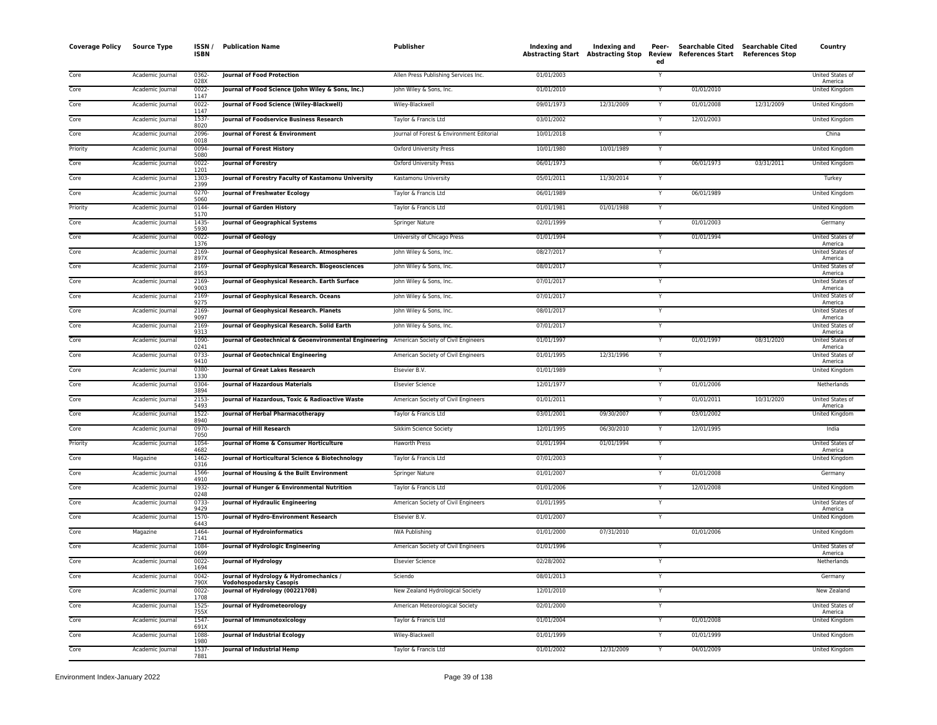| <b>Coverage Policy</b> | <b>Source Type</b> | ISSN /<br><b>ISBN</b> | <b>Publication Name</b>                                                                    | Publisher                                 | Indexing and | Indexing and<br><b>Abstracting Start Abstracting Stop</b> | Peer-<br><b>Review</b><br>ed | Searchable Cited Searchable Cited<br>References Start References Stop |            | Country                            |
|------------------------|--------------------|-----------------------|--------------------------------------------------------------------------------------------|-------------------------------------------|--------------|-----------------------------------------------------------|------------------------------|-----------------------------------------------------------------------|------------|------------------------------------|
| Core                   | Academic Journal   | 0362-<br>028X         | Journal of Food Protection                                                                 | Allen Press Publishing Services Inc.      | 01/01/2003   |                                                           |                              |                                                                       |            | United States of<br>America        |
| Core                   | Academic Journal   | $0022 -$<br>1147      | Journal of Food Science (John Wiley & Sons, Inc.)                                          | John Wiley & Sons, Inc.                   | 01/01/2010   |                                                           |                              | 01/01/2010                                                            |            | <b>United Kingdom</b>              |
| Core                   | Academic Journal   | $0022 -$<br>1147      | Journal of Food Science (Wiley-Blackwell)                                                  | Wiley-Blackwell                           | 09/01/1973   | 12/31/2009                                                | Υ                            | 01/01/2008                                                            | 12/31/2009 | United Kingdom                     |
| Core                   | Academic Journal   | 1537-                 | Journal of Foodservice Business Research                                                   | Taylor & Francis Ltd                      | 03/01/2002   |                                                           |                              | 12/01/2003                                                            |            | United Kingdom                     |
| Core                   | Academic Journal   | 8020<br>2096-         | Journal of Forest & Environment                                                            | Journal of Forest & Environment Editorial | 10/01/2018   |                                                           | Y                            |                                                                       |            | China                              |
| Priority               | Academic Journal   | 0018<br>0094          | Journal of Forest History                                                                  | Oxford University Press                   | 10/01/1980   | 10/01/1989                                                | Y                            |                                                                       |            | United Kingdom                     |
| Core                   | Academic Journal   | 5080<br>$0022 -$      | Journal of Forestry                                                                        | <b>Oxford University Press</b>            | 06/01/1973   |                                                           | Y                            | 06/01/1973                                                            | 03/31/2011 | <b>United Kingdom</b>              |
| Core                   | Academic Journal   | 1201<br>1303-<br>2399 | Journal of Forestry Faculty of Kastamonu University                                        | Kastamonu University                      | 05/01/2011   | 11/30/2014                                                |                              |                                                                       |            | Turkey                             |
| Core                   | Academic Journal   | $0270 -$<br>5060      | Journal of Freshwater Ecology                                                              | Taylor & Francis Ltd                      | 06/01/1989   |                                                           |                              | 06/01/1989                                                            |            | United Kingdom                     |
| Priority               | Academic Journal   | 0144                  | Journal of Garden History                                                                  | Taylor & Francis Ltd                      | 01/01/1981   | 01/01/1988                                                | Y                            |                                                                       |            | United Kingdom                     |
| Core                   | Academic Journal   | 5170<br>1435-         | Journal of Geographical Systems                                                            | Springer Nature                           | 02/01/1999   |                                                           | Y                            | 01/01/2003                                                            |            | Germany                            |
| Core                   | Academic Journal   | 5930<br>0022-         | <b>Journal of Geology</b>                                                                  | University of Chicago Press               | 01/01/1994   |                                                           | Y                            | 01/01/1994                                                            |            | United States of                   |
| Core                   | Academic Journal   | 1376<br>2169-         | Journal of Geophysical Research. Atmospheres                                               | John Wiley & Sons, Inc.                   | 08/27/2017   |                                                           |                              |                                                                       |            | America<br><b>United States of</b> |
| Core                   | Academic Journal   | 897X<br>2169-         | Journal of Geophysical Research. Biogeosciences                                            | John Wiley & Sons, Inc.                   | 08/01/2017   |                                                           | Y                            |                                                                       |            | America<br>United States of        |
| Core                   | Academic Journal   | 8953<br>2169-         | Journal of Geophysical Research. Earth Surface                                             | John Wiley & Sons, Inc.                   | 07/01/2017   |                                                           | Y                            |                                                                       |            | America<br>United States of        |
| Core                   | Academic Journal   | 9003<br>2169          | Journal of Geophysical Research. Oceans                                                    | John Wiley & Sons, Inc.                   | 07/01/2017   |                                                           | Ÿ                            |                                                                       |            | America<br>United States of        |
| Core                   | Academic Journal   | 9275<br>2169-         | Journal of Geophysical Research. Planets                                                   | John Wiley & Sons, Inc.                   | 08/01/2017   |                                                           | Y                            |                                                                       |            | America<br>United States of        |
| Core                   | Academic Journal   | 9097<br>2169-         | Journal of Geophysical Research. Solid Earth                                               | John Wiley & Sons, Inc.                   | 07/01/2017   |                                                           |                              |                                                                       |            | America<br>United States of        |
| Core                   | Academic Journal   | 9313<br>1090-         | Journal of Geotechnical & Geoenvironmental Engineering American Society of Civil Engineers |                                           | 01/01/1997   |                                                           | Y                            | 01/01/1997                                                            | 08/31/2020 | America<br>United States of        |
| Core                   | Academic Journal   | 0241<br>0733-         | Journal of Geotechnical Engineering                                                        | American Society of Civil Engineers       | 01/01/1995   | 12/31/1996                                                |                              |                                                                       |            | America<br><b>United States of</b> |
| Core                   | Academic Journal   | 9410<br>0380-         | Journal of Great Lakes Research                                                            | Elsevier B.V.                             | 01/01/1989   |                                                           | Y                            |                                                                       |            | America<br>United Kingdom          |
| Core                   | Academic Journal   | 1330<br>0304          | <b>Journal of Hazardous Materials</b>                                                      | <b>Elsevier Science</b>                   | 12/01/1977   |                                                           | Υ                            | 01/01/2006                                                            |            | Netherlands                        |
| Core                   | Academic Journal   | 3894<br>2153-         | Journal of Hazardous, Toxic & Radioactive Waste                                            | American Society of Civil Engineers       | 01/01/2011   |                                                           |                              | 01/01/2011                                                            | 10/31/2020 | United States of                   |
| Core                   | Academic Journal   | 5493<br>1522-         | Journal of Herbal Pharmacotherapy                                                          | Taylor & Francis Ltd                      | 03/01/2001   | 09/30/2007                                                |                              | 03/01/2002                                                            |            | America<br>United Kingdom          |
| Core                   | Academic Journal   | 8940<br>0970-         | Journal of Hill Research                                                                   | Sikkim Science Society                    | 12/01/1995   | 06/30/2010                                                | Y                            | 12/01/1995                                                            |            | India                              |
| Priority               | Academic Journal   | 7050<br>1054-         | Journal of Home & Consumer Horticulture                                                    | <b>Haworth Press</b>                      | 01/01/1994   | 01/01/1994                                                | Y                            |                                                                       |            | United States of                   |
| Core                   | Magazine           | 4682<br>1462-         | Journal of Horticultural Science & Biotechnology                                           | Taylor & Francis Ltd                      | 07/01/2003   |                                                           | Y                            |                                                                       |            | America<br><b>United Kingdom</b>   |
| Core                   | Academic Journal   | 0316<br>1566-         | Journal of Housing & the Built Environment                                                 | Springer Nature                           | 01/01/2007   |                                                           |                              | 01/01/2008                                                            |            | Germany                            |
| Core                   | Academic Journal   | 4910<br>1932          | Journal of Hunger & Environmental Nutrition                                                | Taylor & Francis Ltd                      | 01/01/2006   |                                                           | Y                            | 12/01/2008                                                            |            | United Kingdom                     |
| Core                   | Academic Journal   | 0248<br>$0733-$       | Journal of Hydraulic Engineering                                                           | American Society of Civil Engineers       | 01/01/1995   |                                                           | Y                            |                                                                       |            | United States of                   |
| Core                   | Academic Journal   | 9429<br>1570-         | Journal of Hydro-Environment Research                                                      | Elsevier B.V.                             | 01/01/2007   |                                                           | Y                            |                                                                       |            | America<br>United Kingdom          |
| Core                   | Magazine           | 6443<br>1464-         | Journal of Hydroinformatics                                                                | <b>IWA Publishing</b>                     | 01/01/2000   | 07/31/2010                                                |                              | 01/01/2006                                                            |            | <b>United Kingdom</b>              |
| Core                   | Academic Journal   | 7141<br>1084          | Journal of Hydrologic Engineering                                                          | American Society of Civil Engineers       | 01/01/1996   |                                                           |                              |                                                                       |            | United States of                   |
| Core                   | Academic Journal   | 0699<br>$0022 -$      | <b>Journal of Hydrology</b>                                                                | <b>Elsevier Science</b>                   | 02/28/2002   |                                                           | Y                            |                                                                       |            | America<br>Netherlands             |
| Core                   | Academic Journal   | 1694<br>$0042 -$      | Journal of Hydrology & Hydromechanics /                                                    | Sciendo                                   | 08/01/2013   |                                                           | Y                            |                                                                       |            | Germany                            |
| Core                   | Academic Journal   | 790X<br>$0022 -$      | <b>Vodohospodarsky Casopis</b><br>Journal of Hydrology (00221708)                          | New Zealand Hydrological Society          | 12/01/2010   |                                                           | Υ                            |                                                                       |            | New Zealand                        |
| Core                   | Academic Journal   | 1708<br>1525-         | Journal of Hydrometeorology                                                                | American Meteorological Society           | 02/01/2000   |                                                           |                              |                                                                       |            | United States of                   |
| Core                   | Academic Journal   | 755X<br>$1547 -$      | Journal of Immunotoxicology                                                                | Taylor & Francis Ltd                      | 01/01/2004   |                                                           |                              | 01/01/2008                                                            |            | America<br>United Kingdom          |
| Core                   | Academic Journal   | 691X<br>1088          | Journal of Industrial Ecology                                                              | Wiley-Blackwell                           | 01/01/1999   |                                                           |                              | 01/01/1999                                                            |            | United Kingdom                     |
| Core                   | Academic Journal   | 1980<br>1537          | Journal of Industrial Hemp                                                                 | Taylor & Francis Ltd                      | 01/01/2002   | 12/31/2009                                                | Y                            | 04/01/2009                                                            |            | United Kingdom                     |
|                        |                    | 7881                  |                                                                                            |                                           |              |                                                           |                              |                                                                       |            |                                    |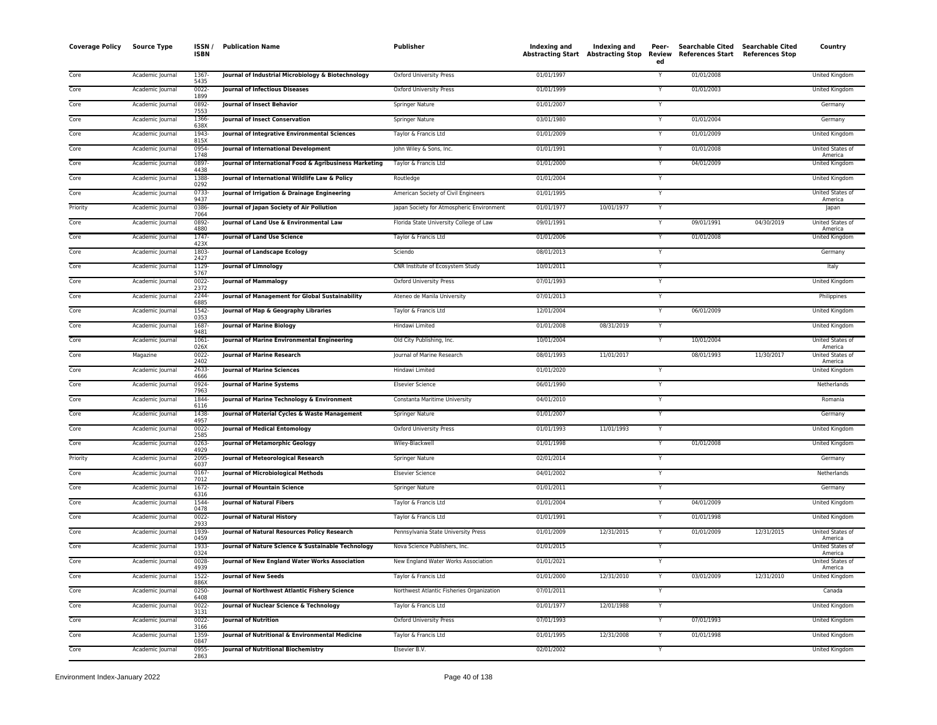| <b>Coverage Policy</b> | <b>Source Type</b> | ISSN /<br><b>ISBN</b> | <b>Publication Name</b>                                | Publisher                                 | Indexing and Indexing and<br>Abstracting Start Abstracting Stop |            | Peer-<br>Review<br>ed | <b>Searchable Cited</b><br>References Start | <b>Searchable Cited</b><br><b>References Stop</b> | Country                            |
|------------------------|--------------------|-----------------------|--------------------------------------------------------|-------------------------------------------|-----------------------------------------------------------------|------------|-----------------------|---------------------------------------------|---------------------------------------------------|------------------------------------|
| Core                   | Academic Journal   | 1367<br>5435          | Journal of Industrial Microbiology & Biotechnology     | Oxford University Press                   | 01/01/1997                                                      |            | Y                     | 01/01/2008                                  |                                                   | United Kingdom                     |
| Core                   | Academic Journal   | 0022<br>1899          | Journal of Infectious Diseases                         | Oxford University Press                   | 01/01/1999                                                      |            | Y                     | 01/01/2003                                  |                                                   | United Kingdom                     |
| Core                   | Academic Journal   | 0892-<br>7553         | <b>Iournal of Insect Behavior</b>                      | Springer Nature                           | 01/01/2007                                                      |            | Y                     |                                             |                                                   | Germany                            |
| Core                   | Academic Journal   | 1366<br>638X          | Journal of Insect Conservation                         | Springer Nature                           | 03/01/1980                                                      |            | Y                     | 01/01/2004                                  |                                                   | Germany                            |
| Core                   | Academic Journal   | 1943<br>815X          | Journal of Integrative Environmental Sciences          | Taylor & Francis Ltd                      | 01/01/2009                                                      |            | Y                     | 01/01/2009                                  |                                                   | United Kingdom                     |
| Core                   | Academic Journal   | 0954<br>1748          | Journal of International Development                   | John Wiley & Sons, Inc.                   | 01/01/1991                                                      |            | Y                     | 01/01/2008                                  |                                                   | United States of<br>America        |
| Core                   | Academic Journal   | 0897<br>4438          | Journal of International Food & Agribusiness Marketing | Taylor & Francis Ltd                      | 01/01/2000                                                      |            |                       | 04/01/2009                                  |                                                   | United Kingdom                     |
| Core                   | Academic Journal   | 1388<br>0292          | Journal of International Wildlife Law & Policy         | Routledge                                 | 01/01/2004                                                      |            | Y                     |                                             |                                                   | United Kingdom                     |
| Core                   | Academic Journal   | 0733<br>9437          | Journal of Irrigation & Drainage Engineering           | American Society of Civil Engineers       | 01/01/1995                                                      |            | Y                     |                                             |                                                   | United States of<br>America        |
| Priority               | Academic Journal   | 0386<br>7064          | Journal of Japan Society of Air Pollution              | Japan Society for Atmospheric Environment | 01/01/1977                                                      | 10/01/1977 | Y                     |                                             |                                                   | Japan                              |
| Core                   | Academic Journal   | 0892<br>4880          | Journal of Land Use & Environmental Law                | Florida State University College of Law   | 09/01/1991                                                      |            | Y                     | 09/01/1991                                  | 04/30/2019                                        | United States of<br>America        |
| Core                   | Academic Journal   | 1747-<br>423X         | Journal of Land Use Science                            | Taylor & Francis Ltd                      | 01/01/2006                                                      |            | Y                     | 01/01/2008                                  |                                                   | United Kingdom                     |
| Core                   | Academic Journal   | 1803<br>2427          | Journal of Landscape Ecology                           | Sciendo                                   | 08/01/2013                                                      |            | Y                     |                                             |                                                   | Germany                            |
| Core                   | Academic Journal   | 1129-<br>5767         | Journal of Limnology                                   | CNR Institute of Ecosystem Study          | 10/01/2011                                                      |            | Y                     |                                             |                                                   | Italy                              |
| Core                   | Academic Journal   | 0022<br>2372          | <b>Journal of Mammalogy</b>                            | Oxford University Press                   | 07/01/1993                                                      |            | Y                     |                                             |                                                   | United Kingdom                     |
| Core                   | Academic Journal   | 2244-<br>6885         | Journal of Management for Global Sustainability        | Ateneo de Manila University               | 07/01/2013                                                      |            | Y                     |                                             |                                                   | Philippines                        |
| Core                   | Academic Journal   | 1542<br>0353          | Journal of Map & Geography Libraries                   | Taylor & Francis Ltd                      | 12/01/2004                                                      |            | Y                     | 06/01/2009                                  |                                                   | United Kingdom                     |
| Core                   | Academic Journal   | 1687<br>9481          | <b>Journal of Marine Biology</b>                       | Hindawi Limited                           | 01/01/2008                                                      | 08/31/2019 | Y                     |                                             |                                                   | United Kingdom                     |
| Core                   | Academic Journal   | 1061-<br>026X         | Journal of Marine Environmental Engineering            | Old City Publishing, Inc.                 | 10/01/2004                                                      |            | Y                     | 10/01/2004                                  |                                                   | United States of<br>America        |
| Core                   | Magazine           | 0022-<br>2402         | Journal of Marine Research                             | Journal of Marine Research                | 08/01/1993                                                      | 11/01/2017 |                       | 08/01/1993                                  | 11/30/2017                                        | <b>United States of</b><br>America |
| Core                   | Academic Journal   | 2633<br>4666          | <b>Journal of Marine Sciences</b>                      | Hindawi Limited                           | 01/01/2020                                                      |            | Y                     |                                             |                                                   | United Kingdom                     |
| Core                   | Academic Journal   | 0924<br>7963          | <b>Journal of Marine Systems</b>                       | <b>Elsevier Science</b>                   | 06/01/1990                                                      |            | Y                     |                                             |                                                   | Netherlands                        |
| Core                   | Academic Journal   | 1844<br>6116          | Journal of Marine Technology & Environment             | Constanta Maritime University             | 04/01/2010                                                      |            | Y                     |                                             |                                                   | Romania                            |
| Core                   | Academic Journal   | 1438<br>4957          | Journal of Material Cycles & Waste Management          | Springer Nature                           | 01/01/2007                                                      |            | Y                     |                                             |                                                   | Germany                            |
| Core                   | Academic Journal   | 0022<br>2585          | <b>Journal of Medical Entomology</b>                   | Oxford University Press                   | 01/01/1993                                                      | 11/01/1993 | Y                     |                                             |                                                   | United Kingdom                     |
| Core                   | Academic Journal   | 0263<br>4929          | Journal of Metamorphic Geology                         | Wiley-Blackwell                           | 01/01/1998                                                      |            | Y                     | 01/01/2008                                  |                                                   | United Kingdom                     |
| Priority               | Academic Journal   | 2095<br>6037          | Journal of Meteorological Research                     | Springer Nature                           | 02/01/2014                                                      |            | Y                     |                                             |                                                   | Germany                            |
| Core                   | Academic Journal   | 0167<br>7012          | Journal of Microbiological Methods                     | <b>Elsevier Science</b>                   | 04/01/2002                                                      |            | Y                     |                                             |                                                   | Netherlands                        |
| Core                   | Academic Journal   | 1672-<br>6316         | Journal of Mountain Science                            | Springer Nature                           | 01/01/2011                                                      |            | Y                     |                                             |                                                   | Germany                            |
| Core                   | Academic Journal   | 1544<br>0478          | Journal of Natural Fibers                              | Taylor & Francis Ltd                      | 01/01/2004                                                      |            | Y                     | 04/01/2009                                  |                                                   | United Kingdom                     |
| Core                   | Academic Journal   | 0022<br>2933          | Journal of Natural History                             | Taylor & Francis Ltd                      | 01/01/1991                                                      |            | Y                     | 01/01/1998                                  |                                                   | United Kingdom                     |
| Core                   | Academic Journal   | 1939<br>0459          | Journal of Natural Resources Policy Research           | Pennsylvania State University Press       | 01/01/2009                                                      | 12/31/2015 | Y                     | 01/01/2009                                  | 12/31/2015                                        | United States of<br>America        |
| Core                   | Academic Journal   | 1933-<br>0324         | Journal of Nature Science & Sustainable Technology     | Nova Science Publishers, Inc.             | 01/01/2015                                                      |            | Y                     |                                             |                                                   | United States of<br>America        |
| Core                   | Academic Journal   | 0028<br>4939          | Journal of New England Water Works Association         | New England Water Works Association       | 01/01/2021                                                      |            | Y                     |                                             |                                                   | United States of<br>America        |
| Core                   | Academic Journal   | 1522-<br>886X         | <b>Journal of New Seeds</b>                            | Taylor & Francis Ltd                      | 01/01/2000                                                      | 12/31/2010 |                       | 03/01/2009                                  | 12/31/2010                                        | United Kingdom                     |
| Core                   | Academic Journal   | $0250 -$<br>6408      | Journal of Northwest Atlantic Fishery Science          | Northwest Atlantic Fisheries Organization | 07/01/2011                                                      |            | Y                     |                                             |                                                   | Canada                             |
| Core                   | Academic Journal   | $0022 -$<br>3131      | Journal of Nuclear Science & Technology                | Taylor & Francis Ltd                      | 01/01/1977                                                      | 12/01/1988 | Υ                     |                                             |                                                   | United Kingdom                     |
| Core                   | Academic Journal   | $0022 -$<br>3166      | <b>Journal of Nutrition</b>                            | Oxford University Press                   | 07/01/1993                                                      |            | Y                     | 07/01/1993                                  |                                                   | United Kingdom                     |
| Core                   | Academic Journal   | 1359-<br>0847         | Journal of Nutritional & Environmental Medicine        | Taylor & Francis Ltd                      | 01/01/1995                                                      | 12/31/2008 | Υ                     | 01/01/1998                                  |                                                   | United Kingdom                     |
| Core                   | Academic Journal   | 0955-<br>2863         | <b>Journal of Nutritional Biochemistry</b>             | Elsevier B.V.                             | 02/01/2002                                                      |            | Y                     |                                             |                                                   | United Kingdom                     |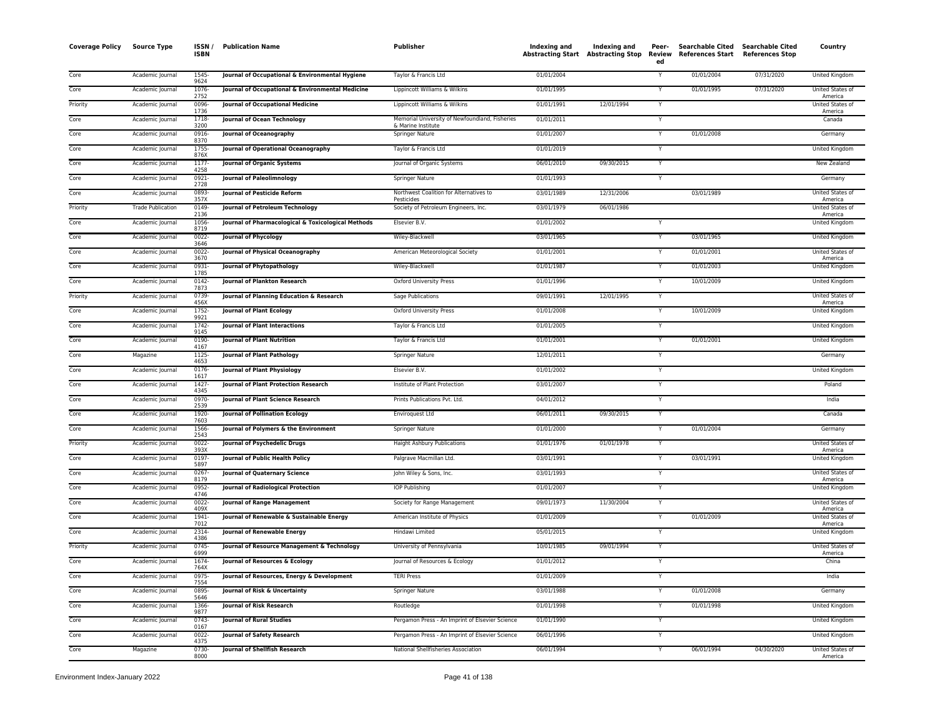| <b>Coverage Policy</b> | <b>Source Type</b>       | ISSN/<br><b>ISBN</b> | <b>Publication Name</b>                            | Publisher                                             | Indexing and | Indexing and<br><b>Abstracting Start</b> Abstracting Stop | Peer-<br>Review<br>ed | <b>Searchable Cited</b><br><b>References Start</b> | <b>Searchable Cited</b><br><b>References Stop</b> | Country                            |
|------------------------|--------------------------|----------------------|----------------------------------------------------|-------------------------------------------------------|--------------|-----------------------------------------------------------|-----------------------|----------------------------------------------------|---------------------------------------------------|------------------------------------|
| Core                   | Academic Journal         | 1545-<br>9624        | Journal of Occupational & Environmental Hygiene    | Taylor & Francis Ltd                                  | 01/01/2004   |                                                           | Y                     | 01/01/2004                                         | 07/31/2020                                        | United Kingdom                     |
| Core                   | Academic Journal         | 1076-<br>2752        | Journal of Occupational & Environmental Medicine   | Lippincott Williams & Wilkins                         | 01/01/1995   |                                                           | Y                     | 01/01/1995                                         | 07/31/2020                                        | United States of<br>America        |
| Priority               | Academic Journal         | 0096-<br>1736        | Journal of Occupational Medicine                   | Lippincott Williams & Wilkins                         | 01/01/1991   | 12/01/1994                                                |                       |                                                    |                                                   | United States of<br>America        |
| Core                   | Academic Journal         | 1718-<br>3200        | <b>Journal of Ocean Technology</b>                 | Memorial University of Newfoundland, Fisheries        | 01/01/2011   |                                                           | Y                     |                                                    |                                                   | Canada                             |
| Core                   | Academic Journal         | 0916<br>8370         | Journal of Oceanography                            | & Marine Institute<br>Springer Nature                 | 01/01/2007   |                                                           | Y                     | 01/01/2008                                         |                                                   | Germany                            |
| Core                   | Academic Journal         | 1755<br>876X         | Journal of Operational Oceanography                | Taylor & Francis Ltd                                  | 01/01/2019   |                                                           | Y                     |                                                    |                                                   | United Kingdom                     |
| Core                   | Academic Journal         | 1177-<br>4258        | Journal of Organic Systems                         | Journal of Organic Systems                            | 06/01/2010   | 09/30/2015                                                | Y                     |                                                    |                                                   | New Zealand                        |
| Core                   | Academic Journal         | 0921-<br>2728        | Journal of Paleolimnology                          | <b>Springer Nature</b>                                | 01/01/1993   |                                                           |                       |                                                    |                                                   | Germany                            |
| Core                   | Academic Journal         | 0893-<br>357X        | Journal of Pesticide Reform                        | Northwest Coalition for Alternatives to<br>Pesticides | 03/01/1989   | 12/31/2006                                                |                       | 03/01/1989                                         |                                                   | United States of<br>America        |
| Priority               | <b>Trade Publication</b> | 0149-<br>2136        | Journal of Petroleum Technology                    | Society of Petroleum Engineers, Inc.                  | 03/01/1979   | 06/01/1986                                                |                       |                                                    |                                                   | <b>United States of</b><br>America |
| Core                   | Academic Journal         | 1056-<br>8719        | Journal of Pharmacological & Toxicological Methods | Elsevier B.V.                                         | 01/01/2002   |                                                           |                       |                                                    |                                                   | United Kingdom                     |
| Core                   | Academic Journal         | 0022-<br>3646        | Journal of Phycology                               | Wiley-Blackwell                                       | 03/01/1965   |                                                           | Y                     | 03/01/1965                                         |                                                   | United Kingdom                     |
| Core                   | Academic Journal         | 0022-<br>3670        | Journal of Physical Oceanography                   | American Meteorological Society                       | 01/01/2001   |                                                           |                       | 01/01/2001                                         |                                                   | United States of<br>America        |
| Core                   | Academic Journal         | 0931-<br>1785        | Journal of Phytopathology                          | Wiley-Blackwell                                       | 01/01/1987   |                                                           |                       | 01/01/2003                                         |                                                   | United Kingdom                     |
| Core                   | Academic Journal         | 0142-<br>7873        | Journal of Plankton Research                       | Oxford University Press                               | 01/01/1996   |                                                           |                       | 10/01/2009                                         |                                                   | United Kingdom                     |
| Priority               | Academic Journal         | 0739-<br>456X        | Journal of Planning Education & Research           | Sage Publications                                     | 09/01/1991   | 12/01/1995                                                | Y                     |                                                    |                                                   | United States of<br>America        |
| Core                   | Academic Journal         | 1752-<br>9921        | <b>Journal of Plant Ecology</b>                    | Oxford University Press                               | 01/01/2008   |                                                           | Y                     | 10/01/2009                                         |                                                   | United Kingdom                     |
| Core                   | Academic Journal         | 1742-<br>9145        | Journal of Plant Interactions                      | Taylor & Francis Ltd                                  | 01/01/2005   |                                                           | Y                     |                                                    |                                                   | United Kingdom                     |
| Core                   | Academic Journal         | 0190-<br>4167        | <b>Journal of Plant Nutrition</b>                  | Taylor & Francis Ltd                                  | 01/01/2001   |                                                           | Y                     | 01/01/2001                                         |                                                   | United Kingdom                     |
| Core                   | Magazine                 | 1125-<br>4653        | <b>Journal of Plant Pathology</b>                  | Springer Nature                                       | 12/01/2011   |                                                           |                       |                                                    |                                                   | Germany                            |
| Core                   | Academic Journal         | $0176 -$<br>1617     | <b>Journal of Plant Physiology</b>                 | Elsevier B.V.                                         | 01/01/2002   |                                                           | Ÿ                     |                                                    |                                                   | United Kingdom                     |
| Core                   | Academic Journal         | $1427 -$<br>4345     | Journal of Plant Protection Research               | Institute of Plant Protection                         | 03/01/2007   |                                                           | Y                     |                                                    |                                                   | Poland                             |
| Core                   | Academic Journal         | 0970-<br>2539        | Journal of Plant Science Research                  | Prints Publications Pvt. Ltd.                         | 04/01/2012   |                                                           | Y                     |                                                    |                                                   | India                              |
| Core                   | Academic Journal         | 1920-<br>7603        | Journal of Pollination Ecology                     | Enviroquest Ltd                                       | 06/01/2011   | 09/30/2015                                                | Y                     |                                                    |                                                   | Canada                             |
| Core                   | Academic Journal         | 1566-<br>2543        | Journal of Polymers & the Environment              | Springer Nature                                       | 01/01/2000   |                                                           | Y                     | 01/01/2004                                         |                                                   | Germany                            |
| Priority               | Academic Journal         | $0022 -$<br>393X     | Journal of Psychedelic Drugs                       | <b>Haight Ashbury Publications</b>                    | 01/01/1976   | 01/01/1978                                                | $\mathsf{Y}$          |                                                    |                                                   | United States of<br>America        |
| Core                   | Academic Journal         | 0197-<br>5897        | Journal of Public Health Policy                    | Palgrave Macmillan Ltd.                               | 03/01/1991   |                                                           | Y                     | 03/01/1991                                         |                                                   | United Kingdom                     |
| Core                   | Academic Journal         | $0267 -$<br>8179     | Journal of Quaternary Science                      | John Wiley & Sons, Inc.                               | 03/01/1993   |                                                           | Y                     |                                                    |                                                   | United States of<br>America        |
| Core                   | Academic Journal         | 0952-<br>4746        | Journal of Radiological Protection                 | IOP Publishing                                        | 01/01/2007   |                                                           | Y                     |                                                    |                                                   | United Kingdom                     |
| Core                   | Academic Journal         | $0022 -$<br>409X     | Journal of Range Management                        | Society for Range Management                          | 09/01/1973   | 11/30/2004                                                | Y                     |                                                    |                                                   | United States of<br>America        |
| Core                   | Academic Journal         | 1941-<br>7012        | Journal of Renewable & Sustainable Energy          | American Institute of Physics                         | 01/01/2009   |                                                           | Y                     | 01/01/2009                                         |                                                   | United States of<br>America        |
| Core                   | Academic Journal         | 2314-<br>4386        | Journal of Renewable Energy                        | Hindawi Limited                                       | 05/01/2015   |                                                           |                       |                                                    |                                                   | <b>United Kingdom</b>              |
| Priority               | Academic Journal         | $0745 -$<br>6999     | Journal of Resource Management & Technology        | University of Pennsylvania                            | 10/01/1985   | 09/01/1994                                                | Y                     |                                                    |                                                   | United States of<br>America        |
| Core                   | Academic Journal         | 1674-<br>764X        | Journal of Resources & Ecology                     | Journal of Resources & Ecology                        | 01/01/2012   |                                                           |                       |                                                    |                                                   | China                              |
| Core                   | Academic Journal         | 0975-<br>7554        | Journal of Resources, Energy & Development         | <b>TERI Press</b>                                     | 01/01/2009   |                                                           | Y                     |                                                    |                                                   | India                              |
| Core                   | Academic Journal         | 0895-<br>5646        | Journal of Risk & Uncertainty                      | <b>Springer Nature</b>                                | 03/01/1988   |                                                           | Y                     | 01/01/2008                                         |                                                   | Germany                            |
| Core                   | Academic Journal         | 1366-<br>9877        | Journal of Risk Research                           | Routledge                                             | 01/01/1998   |                                                           | Y                     | 01/01/1998                                         |                                                   | United Kingdom                     |
| Core                   | Academic Journal         | 0743-<br>0167        | <b>Journal of Rural Studies</b>                    | Pergamon Press - An Imprint of Elsevier Science       | 01/01/1990   |                                                           | Y                     |                                                    |                                                   | United Kingdom                     |
| Core                   | Academic Journal         | 0022<br>4375         | Journal of Safety Research                         | Pergamon Press - An Imprint of Elsevier Science       | 06/01/1996   |                                                           |                       |                                                    |                                                   | United Kingdom                     |
| Core                   | Magazine                 | 0730-<br>8000        | Journal of Shellfish Research                      | National Shellfisheries Association                   | 06/01/1994   |                                                           | Y                     | 06/01/1994                                         | 04/30/2020                                        | United States of<br>America        |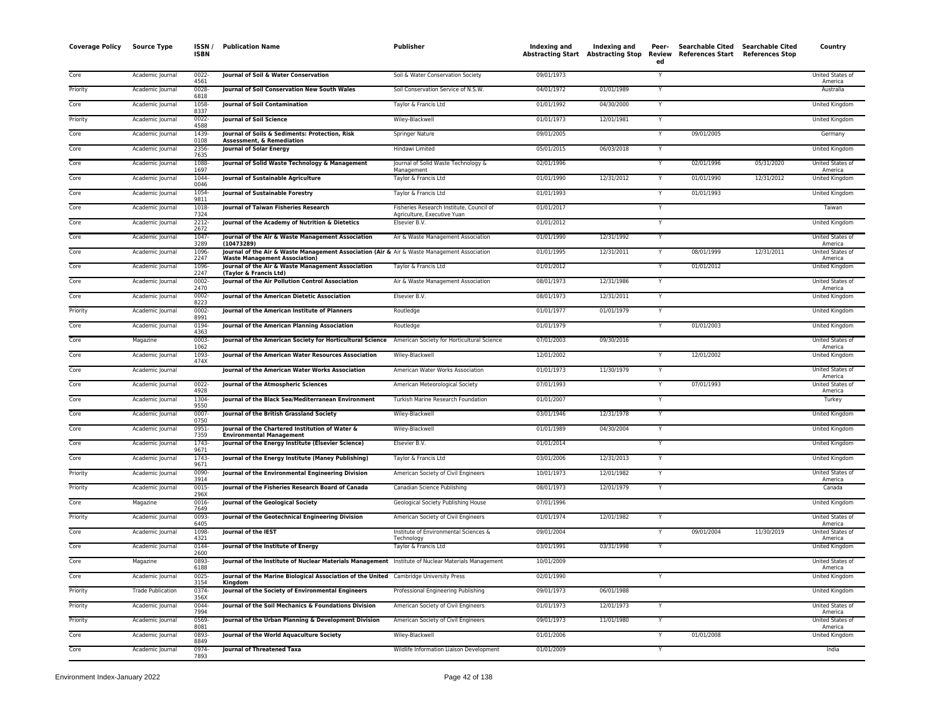| <b>Coverage Policy</b> | <b>Source Type</b>       | ISSN/<br><b>ISBN</b>     | <b>Publication Name</b>                                                                                                             | Publisher                                                               | Indexing and | Indexing and<br>Abstracting Start Abstracting Stop | Peer-<br>Review<br>ed | Searchable Cited Searchable Cited<br>References Start References Stop |            | Country                            |
|------------------------|--------------------------|--------------------------|-------------------------------------------------------------------------------------------------------------------------------------|-------------------------------------------------------------------------|--------------|----------------------------------------------------|-----------------------|-----------------------------------------------------------------------|------------|------------------------------------|
| Core                   | Academic Journal         | $0022 -$<br>4561         | Journal of Soil & Water Conservation                                                                                                | Soil & Water Conservation Society                                       | 09/01/1973   |                                                    | Y                     |                                                                       |            | United States of<br>America        |
| Priority               | Academic Journal         | $0028 -$                 | Journal of Soil Conservation New South Wales                                                                                        | Soil Conservation Service of N.S.W.                                     | 04/01/1972   | 01/01/1989                                         | Y                     |                                                                       |            | Australia                          |
| Core                   | Academic Journal         | 6818<br>1058             | Journal of Soil Contamination                                                                                                       | Taylor & Francis Ltd                                                    | 01/01/1992   | 04/30/2000                                         |                       |                                                                       |            | United Kingdom                     |
| Priority               | Academic Journal         | 8337<br>$0022 -$<br>4588 | Journal of Soil Science                                                                                                             | Wiley-Blackwell                                                         | 01/01/1973   | 12/01/1981                                         | Y                     |                                                                       |            | <b>United Kingdom</b>              |
| Core                   | Academic Journal         | 1439                     | <b>Iournal of Soils &amp; Sediments: Protection, Risk</b>                                                                           | Springer Nature                                                         | 09/01/2005   |                                                    | Y                     | 09/01/2005                                                            |            | Germany                            |
| Core                   | Academic Journal         | 0108<br>2356-            | <b>Assessment, &amp; Remediation</b><br>Journal of Solar Energy                                                                     | Hindawi Limited                                                         | 05/01/2015   | 06/03/2018                                         | Y                     |                                                                       |            | United Kingdom                     |
| Core                   | Academic Journal         | 7635<br>1088             | Journal of Solid Waste Technology & Management                                                                                      | Journal of Solid Waste Technology &                                     | 02/01/1996   |                                                    | Y                     | 02/01/1996                                                            | 05/31/2020 | United States of                   |
| Core                   | Academic Journal         | 1697<br>1044-<br>0046    | Journal of Sustainable Agriculture                                                                                                  | Management<br>Taylor & Francis Ltd                                      | 01/01/1990   | 12/31/2012                                         | Y                     | 01/01/1990                                                            | 12/31/2012 | America<br><b>United Kingdom</b>   |
| Core                   | Academic Journal         | 1054-<br>9811            | Journal of Sustainable Forestry                                                                                                     | Taylor & Francis Ltd                                                    | 01/01/1993   |                                                    | Y                     | 01/01/1993                                                            |            | United Kingdom                     |
| Core                   | Academic Journal         | 1018-<br>7324            | Journal of Taiwan Fisheries Research                                                                                                | Fisheries Research Institute, Council of<br>Agriculture, Executive Yuan | 01/01/2017   |                                                    | Y                     |                                                                       |            | Taiwan                             |
| Core                   | Academic Journal         | 2212-                    | Journal of the Academy of Nutrition & Dietetics                                                                                     | Elsevier B.V                                                            | 01/01/2012   |                                                    | Y                     |                                                                       |            | United Kingdom                     |
| Core                   | Academic Journal         | 2672<br>1047<br>3289     | Journal of the Air & Waste Management Association<br>(10473289)                                                                     | Air & Waste Management Association                                      | 01/01/1990   | 12/31/1992                                         | Υ                     |                                                                       |            | United States of<br>America        |
| Core                   | Academic Journal         | 1096<br>2247             | Journal of the Air & Waste Management Association (Air & Air & Waste Management Association<br><b>Waste Management Association)</b> |                                                                         | 01/01/1995   | 12/31/2011                                         | Y                     | 08/01/1999                                                            | 12/31/2011 | United States of<br>America        |
| Core                   | Academic Journal         | 1096<br>2247             | Journal of the Air & Waste Management Association<br>(Taylor & Francis Ltd)                                                         | Taylor & Francis Ltd                                                    | 01/01/2012   |                                                    | Y                     | 01/01/2012                                                            |            | United Kingdom                     |
| Core                   | Academic Journal         | 0002<br>2470             | Journal of the Air Pollution Control Association                                                                                    | Air & Waste Management Association                                      | 08/01/1973   | 12/31/1986                                         |                       |                                                                       |            | United States of<br>America        |
| Core                   | Academic Journal         | 0002-<br>8223            | Journal of the American Dietetic Association                                                                                        | Elsevier B.V.                                                           | 08/01/1973   | 12/31/2011                                         | Y                     |                                                                       |            | <b>United Kingdom</b>              |
| Priority               | Academic Journal         | $0002 -$<br>8991         | Journal of the American Institute of Planners                                                                                       | Routledge                                                               | 01/01/1977   | 01/01/1979                                         | Y                     |                                                                       |            | <b>United Kingdom</b>              |
| Core                   | Academic Journal         | 0194<br>4363             | Journal of the American Planning Association                                                                                        | Routledge                                                               | 01/01/1979   |                                                    | Y                     | 01/01/2003                                                            |            | United Kingdom                     |
| Core                   | Magazine                 | 0003-<br>1062            | Journal of the American Society for Horticultural Science American Society for Horticultural Science                                |                                                                         | 07/01/2003   | 09/30/2016                                         |                       |                                                                       |            | United States of<br>America        |
| Core                   | Academic Journal         | 1093-<br>474X            | Journal of the American Water Resources Association                                                                                 | Wiley-Blackwell                                                         | 12/01/2002   |                                                    |                       | 12/01/2002                                                            |            | United Kingdom                     |
| Core                   | Academic Journal         |                          | Journal of the American Water Works Association                                                                                     | American Water Works Association                                        | 01/01/1973   | 11/30/1979                                         | $\overline{Y}$        |                                                                       |            | United States of<br>America        |
| Core                   | Academic Journal         | $0022 -$<br>4928         | Journal of the Atmospheric Sciences                                                                                                 | American Meteorological Society                                         | 07/01/1993   |                                                    | Y                     | 07/01/1993                                                            |            | <b>United States of</b><br>America |
| Core                   | Academic Journal         | 1304<br>9550             | Journal of the Black Sea/Mediterranean Environment                                                                                  | Turkish Marine Research Foundation                                      | 01/01/2007   |                                                    | Y                     |                                                                       |            | Turkey                             |
| Core                   | Academic Journal         | $0007 -$<br>0750         | Journal of the British Grassland Society                                                                                            | Wiley-Blackwell                                                         | 03/01/1946   | 12/31/1978                                         | Y                     |                                                                       |            | United Kingdom                     |
| Core                   | Academic Journal         | 0951-<br>7359            | Journal of the Chartered Institution of Water &<br><b>Environmental Management</b>                                                  | Wiley-Blackwell                                                         | 01/01/1989   | 04/30/2004                                         | Y                     |                                                                       |            | United Kingdom                     |
| Core                   | Academic Journal         | 1743<br>9671             | Journal of the Energy Institute (Elsevier Science)                                                                                  | Elsevier B.V                                                            | 01/01/2014   |                                                    | Y                     |                                                                       |            | United Kingdom                     |
| Core                   | Academic Journal         | 1743-<br>9671            | Journal of the Energy Institute (Maney Publishing)                                                                                  | Taylor & Francis Ltd                                                    | 03/01/2006   | 12/31/2013                                         |                       |                                                                       |            | United Kingdom                     |
| Priority               | Academic Journal         | 0090-<br>3914            | Journal of the Environmental Engineering Division                                                                                   | American Society of Civil Engineers                                     | 10/01/1973   | 12/01/1982                                         | Y                     |                                                                       |            | United States of<br>America        |
| Priority               | Academic Journal         | $0015 -$<br>296X         | Journal of the Fisheries Research Board of Canada                                                                                   | Canadian Science Publishing                                             | 08/01/1973   | 12/01/1979                                         | Y                     |                                                                       |            | Canada                             |
| Core                   | Magazine                 | 0016<br>7649             | Journal of the Geological Society                                                                                                   | Geological Society Publishing House                                     | 07/01/1996   |                                                    |                       |                                                                       |            | United Kingdom                     |
| Priority               | Academic Journal         | 0093<br>6405             | Journal of the Geotechnical Engineering Division                                                                                    | American Society of Civil Engineers                                     | 01/01/1974   | 12/01/1982                                         | Y                     |                                                                       |            | United States of<br>America        |
| Core                   | Academic Journal         | 1098<br>4321             | Journal of the IEST                                                                                                                 | Institute of Environmental Sciences &<br>Technology                     | 09/01/2004   |                                                    |                       | 09/01/2004                                                            | 11/30/2019 | <b>United States of</b><br>America |
| Core                   | Academic Journal         | 0144<br>2600             | Journal of the Institute of Energy                                                                                                  | Taylor & Francis Ltd                                                    | 03/01/1991   | 03/31/1998                                         | Y                     |                                                                       |            | United Kingdom                     |
| Core                   | Magazine                 | 0893-<br>6188            | Journal of the Institute of Nuclear Materials Management Institute of Nuclear Materials Management                                  |                                                                         | 10/01/2009   |                                                    |                       |                                                                       |            | United States of<br>America        |
| Core                   | Academic Journal         | $0025 -$<br>3154         | Journal of the Marine Biological Association of the United Cambridge University Press<br>Kingdom                                    |                                                                         | 02/01/1990   |                                                    | Y                     |                                                                       |            | <b>United Kingdom</b>              |
| Priority               | <b>Trade Publication</b> | 0374<br>356X             | Journal of the Society of Environmental Engineers                                                                                   | Professional Engineering Publishing                                     | 09/01/1973   | 06/01/1988                                         |                       |                                                                       |            | <b>United Kingdom</b>              |
| Priority               | Academic Journal         | 0044-<br>7994            | Journal of the Soil Mechanics & Foundations Division                                                                                | American Society of Civil Engineers                                     | 01/01/1973   | 12/01/1973                                         | Y                     |                                                                       |            | United States of<br>America        |
| Priority               | Academic Journal         | 0569-<br>8081            | Journal of the Urban Planning & Development Division                                                                                | American Society of Civil Engineers                                     | 09/01/1973   | 11/01/1980                                         | Y                     |                                                                       |            | United States of<br>America        |
| Core                   | Academic Journal         | 0893<br>8849             | Journal of the World Aquaculture Society                                                                                            | Wiley-Blackwell                                                         | 01/01/2006   |                                                    | Y                     | 01/01/2008                                                            |            | United Kingdom                     |
| Core                   | Academic Journal         | 0974-<br>7893            | Journal of Threatened Taxa                                                                                                          | Wildlife Information Liaison Development                                | 01/01/2009   |                                                    | Y                     |                                                                       |            | India                              |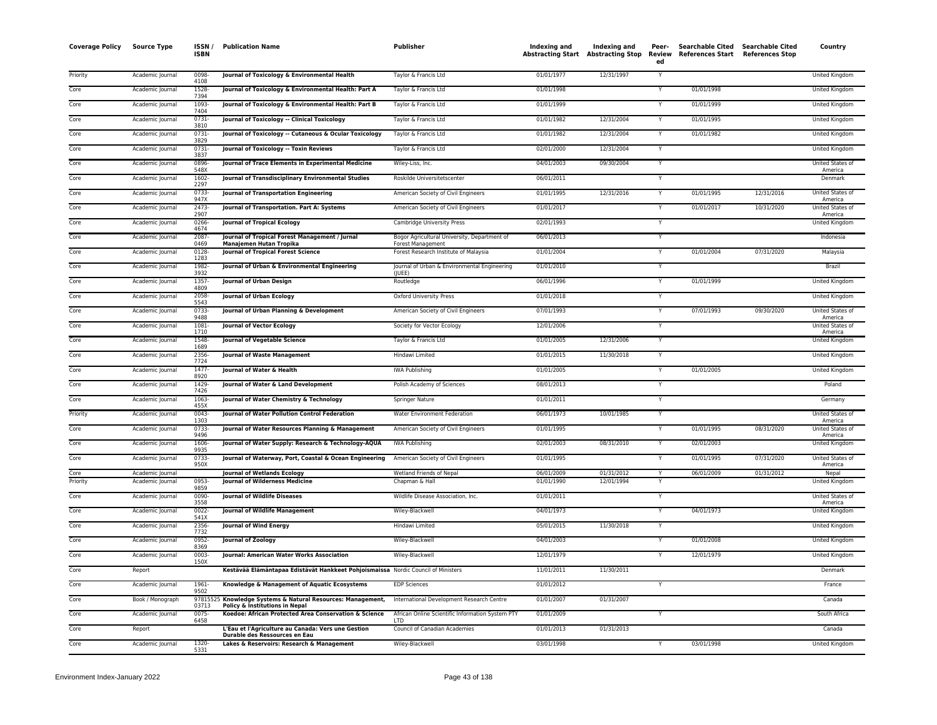| <b>Coverage Policy</b> | <b>Source Type</b>                   | ISSN/<br><b>ISBN</b>  | <b>Publication Name</b>                                                                       | Publisher                                                         | Indexing and             | Indexing and<br><b>Abstracting Start Abstracting Stop</b> | Peer-<br>Review<br>ed | Searchable Cited Searchable Cited<br>References Start References Stop |            | Country                            |
|------------------------|--------------------------------------|-----------------------|-----------------------------------------------------------------------------------------------|-------------------------------------------------------------------|--------------------------|-----------------------------------------------------------|-----------------------|-----------------------------------------------------------------------|------------|------------------------------------|
| Priority               | Academic Journal                     | 0098-<br>4108         | Journal of Toxicology & Environmental Health                                                  | Taylor & Francis Ltd                                              | 01/01/1977               | 12/31/1997                                                | Y                     |                                                                       |            | <b>United Kingdom</b>              |
| Core                   | Academic Journal                     | 1528-<br>7394         | Journal of Toxicology & Environmental Health: Part A                                          | Taylor & Francis Ltd                                              | 01/01/1998               |                                                           | Y                     | 01/01/1998                                                            |            | United Kingdom                     |
| Core                   | Academic Journal                     | 1093-<br>7404         | Journal of Toxicology & Environmental Health: Part B                                          | Taylor & Francis Ltd                                              | 01/01/1999               |                                                           | Y                     | 01/01/1999                                                            |            | United Kingdom                     |
| Core                   | Academic Journal                     | $0731 -$<br>3810      | Journal of Toxicology -- Clinical Toxicology                                                  | Taylor & Francis Ltd                                              | 01/01/1982               | 12/31/2004                                                |                       | 01/01/1995                                                            |            | <b>United Kingdom</b>              |
| Core                   | Academic Journal                     | 0731-<br>3829         | Journal of Toxicology -- Cutaneous & Ocular Toxicology                                        | Taylor & Francis Ltd                                              | 01/01/1982               | 12/31/2004                                                | Y                     | 01/01/1982                                                            |            | United Kingdom                     |
| Core                   | Academic Journal                     | $0731 -$<br>3837      | Journal of Toxicology -- Toxin Reviews                                                        | Taylor & Francis Ltd                                              | 02/01/2000               | 12/31/2004                                                | Y                     |                                                                       |            | United Kingdom                     |
| Core                   | Academic Journal                     | 0896-<br>548X         | Journal of Trace Elements in Experimental Medicine                                            | Wiley-Liss, Inc.                                                  | 04/01/2003               | 09/30/2004                                                | Y                     |                                                                       |            | United States of<br>America        |
| Core                   | Academic Journal                     | 1602-<br>2297         | Journal of Transdisciplinary Environmental Studies                                            | Roskilde Universitetscenter                                       | 06/01/2011               |                                                           | Y                     |                                                                       |            | Denmark                            |
| Core                   | Academic Journal                     | 0733-<br>947X         | Journal of Transportation Engineering                                                         | American Society of Civil Engineers                               | 01/01/1995               | 12/31/2016                                                |                       | 01/01/1995                                                            | 12/31/2016 | United States of<br>America        |
| Core                   | Academic Journal                     | $2473-$<br>2907       | Journal of Transportation. Part A: Systems                                                    | American Society of Civil Engineers                               | 01/01/2017               |                                                           | Y                     | 01/01/2017                                                            | 10/31/2020 | United States of<br>America        |
| Core                   | Academic Journal                     | 0266-<br>4674         | <b>Journal of Tropical Ecology</b>                                                            | Cambridge University Press                                        | 02/01/1993               |                                                           | Y                     |                                                                       |            | United Kingdom                     |
| Core                   | Academic Journal                     | 2087-<br>0469         | Journal of Tropical Forest Management / Jurnal<br>Manajemen Hutan Tropika                     | Bogor Agricultural University, Department of<br>Forest Management | 06/01/2013               |                                                           |                       |                                                                       |            | Indonesia                          |
| Core                   | Academic Journal                     | 0128<br>1283          | <b>Journal of Tropical Forest Science</b>                                                     | Forest Research Institute of Malaysia                             | 01/01/2004               |                                                           | Y                     | 01/01/2004                                                            | 07/31/2020 | Malaysia                           |
| Core                   | Academic Journal                     | 1982-<br>3932         | Journal of Urban & Environmental Engineering                                                  | Journal of Urban & Environmental Engineering<br>(IUEE)            | 01/01/2010               |                                                           | Y                     |                                                                       |            | Brazil                             |
| Core                   | Academic Journal                     | 1357-<br>4809         | Journal of Urban Design                                                                       | Routledge                                                         | 06/01/1996               |                                                           | Y                     | 01/01/1999                                                            |            | United Kingdom                     |
| Core                   | Academic Journal                     | 2058-<br>5543         | Journal of Urban Ecology                                                                      | Oxford University Press                                           | 01/01/2018               |                                                           | Y                     |                                                                       |            | United Kingdom                     |
| Core                   | Academic Journal                     | $0733-$<br>9488       | Journal of Urban Planning & Development                                                       | American Society of Civil Engineers                               | 07/01/1993               |                                                           | Y                     | 07/01/1993                                                            | 09/30/2020 | United States of<br>America        |
| Core                   | Academic Journal                     | 1081-<br>1710         | <b>Journal of Vector Ecology</b>                                                              | Society for Vector Ecology                                        | 12/01/2006               |                                                           | Y                     |                                                                       |            | United States of<br>America        |
| Core                   | Academic Journal                     | 1548-<br>1689         | Journal of Vegetable Science                                                                  | Taylor & Francis Ltd                                              | 01/01/2005               | 12/31/2006                                                | Y                     |                                                                       |            | United Kingdom                     |
| Core                   | Academic Journal                     | 2356-<br>7724         | Journal of Waste Management                                                                   | Hindawi Limited                                                   | 01/01/2015               | 11/30/2018                                                | Y                     |                                                                       |            | United Kingdom                     |
| Core                   | Academic Journal                     | 1477-<br>8920         | Journal of Water & Health                                                                     | <b>IWA Publishing</b>                                             | 01/01/2005               |                                                           | Y                     | 01/01/2005                                                            |            | United Kingdom                     |
| Core                   | Academic Journal                     | 1429-<br>7426         | Journal of Water & Land Development                                                           | Polish Academy of Sciences                                        | 08/01/2013               |                                                           |                       |                                                                       |            | Poland                             |
| Core                   | Academic Journal                     | 1063-<br>455X         | Journal of Water Chemistry & Technology                                                       | <b>Springer Nature</b>                                            | 01/01/2011               |                                                           | Y                     |                                                                       |            | Germany                            |
| Priority               | Academic Journal                     | $0043 -$<br>1303      | Journal of Water Pollution Control Federation                                                 | Water Environment Federation                                      | 06/01/1973               | 10/01/1985                                                | Y                     |                                                                       |            | United States of<br>America        |
| Core                   | Academic Journal                     | 0733-<br>9496         | Journal of Water Resources Planning & Management                                              | American Society of Civil Engineers                               | 01/01/1995               |                                                           |                       | 01/01/1995                                                            | 08/31/2020 | United States of<br>America        |
| Core                   | Academic Journal                     | 1606-<br>9935         | Journal of Water Supply: Research & Technology-AQUA                                           | <b>IWA Publishing</b>                                             | 02/01/2003               | 08/31/2010                                                | Y                     | 02/01/2003                                                            |            | <b>United Kingdom</b>              |
| Core                   | Academic Journal                     | $0733-$<br>950X       | Journal of Waterway, Port, Coastal & Ocean Engineering                                        | American Society of Civil Engineers                               | 01/01/1995               |                                                           |                       | 01/01/1995                                                            | 07/31/2020 | <b>United States of</b><br>America |
| Core<br>Priority       | Academic Journal<br>Academic Journal | 0953-                 | <b>Journal of Wetlands Ecology</b><br><b>Journal of Wilderness Medicine</b>                   | Wetland Friends of Nepal<br>Chapman & Hall                        | 06/01/2009<br>01/01/1990 | 01/31/2012<br>12/01/1994                                  | Y                     | 06/01/2009                                                            | 01/31/2012 | Nepal<br>United Kingdom            |
| Core                   |                                      | 9859<br>0090-         | <b>Journal of Wildlife Diseases</b>                                                           | Wildlife Disease Association, Inc.                                | 01/01/2011               |                                                           | Y                     |                                                                       |            | United States of                   |
|                        | Academic Journal                     | 3558                  |                                                                                               |                                                                   |                          |                                                           |                       |                                                                       |            | America                            |
| Core                   | Academic Journal                     | 0022-<br>541X         | Journal of Wildlife Management                                                                | Wiley-Blackwell                                                   | 04/01/1973               |                                                           | Y                     | 04/01/1973                                                            |            | United Kingdom                     |
| Core<br>Core           | Academic Journal                     | 2356-<br>7732<br>0952 | <b>Journal of Wind Energy</b><br>Journal of Zoology                                           | Hindawi Limited                                                   | 05/01/2015<br>04/01/2003 | 11/30/2018                                                | Y                     | 01/01/2008                                                            |            | <b>United Kingdom</b>              |
|                        | Academic Journal                     | 8369                  |                                                                                               | Wiley-Blackwell                                                   |                          |                                                           |                       |                                                                       |            | United Kingdom                     |
| Core                   | Academic Journal                     | 0003<br>150X          | Journal: American Water Works Association                                                     | Wiley-Blackwell                                                   | 12/01/1979               |                                                           | Y                     | 12/01/1979                                                            |            | United Kingdom                     |
| Core                   | Report                               |                       | Kestävää Elämäntapaa Edistävät Hankkeet Pohjoismaissa Nordic Council of Ministers             |                                                                   | 11/01/2011               | 11/30/2011                                                |                       |                                                                       |            | Denmark                            |
| Core                   | Academic Journal                     | 1961-<br>9502         | Knowledge & Management of Aquatic Ecosystems                                                  | <b>EDP Sciences</b>                                               | 01/01/2012               |                                                           |                       |                                                                       |            | France                             |
| Core                   | Book / Monograph                     | 03713                 | 97815525 Knowledge Systems & Natural Resources: Management,<br>Policy & Institutions in Nepal | International Development Research Centre                         | 01/01/2007               | 01/31/2007                                                |                       |                                                                       |            | Canada                             |
| Core                   | Academic Journal                     | 0075-<br>6458         | Koedoe: African Protected Area Conservation & Science                                         | African Online Scientific Information System PTY                  | 01/01/2009               |                                                           | Y                     |                                                                       |            | South Africa                       |
| Core                   | Report                               |                       | L'Eau et l'Agriculture au Canada: Vers une Gestion<br>Durable des Ressources en Eau           | Council of Canadian Academies                                     | 01/01/2013               | 01/31/2013                                                |                       |                                                                       |            | Canada                             |
| Core                   | Academic Journal                     | 1320-<br>5331         | Lakes & Reservoirs: Research & Management                                                     | Wiley-Blackwell                                                   | 03/01/1998               |                                                           | Y                     | 03/01/1998                                                            |            | <b>United Kingdom</b>              |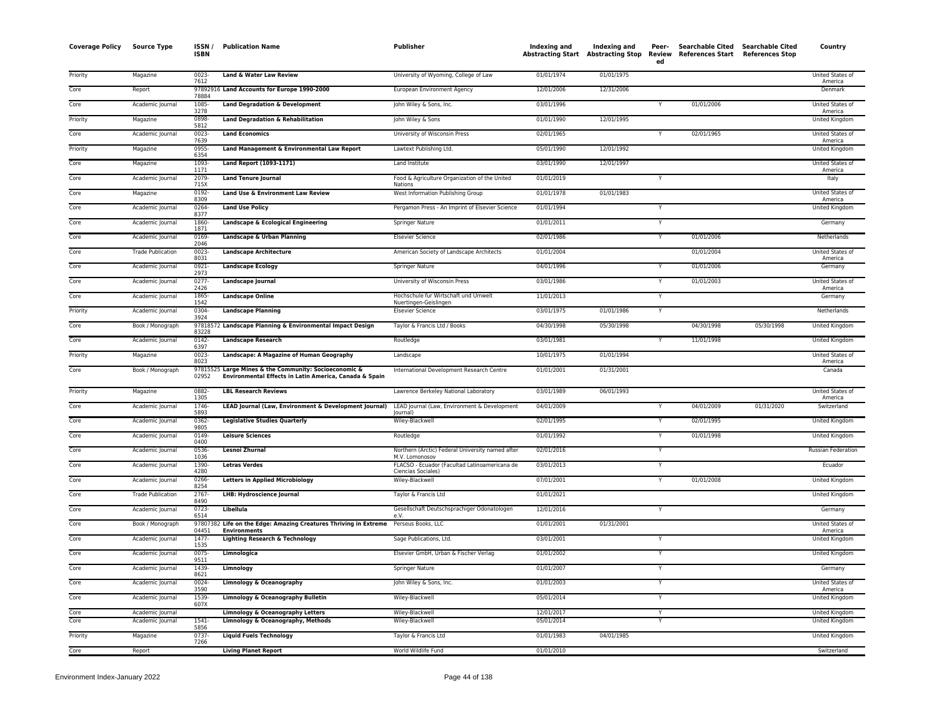| <b>Coverage Policy</b> | <b>Source Type</b>                   | ISSN/<br><b>ISBN</b> | <b>Publication Name</b>                                                                                | Publisher                                                           |                          |            | ed             | Indexing and Indexing and Peer- Searchable Cited Searchable Cited<br>Abstracting Start Abstracting Stop Review References Start References Stop<br>Searchable Cited Searchable Cited |            | Country                                 |
|------------------------|--------------------------------------|----------------------|--------------------------------------------------------------------------------------------------------|---------------------------------------------------------------------|--------------------------|------------|----------------|--------------------------------------------------------------------------------------------------------------------------------------------------------------------------------------|------------|-----------------------------------------|
| Priority               | Magazine                             | 0023-<br>7612        | Land & Water Law Review                                                                                | University of Wyoming, College of Law                               | 01/01/1974               | 01/01/1975 |                |                                                                                                                                                                                      |            | United States of<br>America             |
| Core                   | Report                               | 78884                | 97892916 Land Accounts for Europe 1990-2000                                                            | European Environment Agency                                         | 12/01/2006               | 12/31/2006 |                |                                                                                                                                                                                      |            | Denmark                                 |
| Core                   | Academic Journal                     | 1085<br>3278         | <b>Land Degradation &amp; Development</b>                                                              | John Wiley & Sons, Inc.                                             | 03/01/1996               |            |                | 01/01/2006                                                                                                                                                                           |            | United States of<br>America             |
| Priority               | Magazine                             | 0898<br>5812         | <b>Land Degradation &amp; Rehabilitation</b>                                                           | John Wiley & Sons                                                   | 01/01/1990               | 12/01/1995 |                |                                                                                                                                                                                      |            | United Kingdom                          |
| Core                   | Academic Journal                     | $0023 -$<br>7639     | <b>Land Economics</b>                                                                                  | University of Wisconsin Press                                       | 02/01/1965               |            | Y              | 02/01/1965                                                                                                                                                                           |            | United States of<br>America             |
| Priority               | Magazine                             | 0955<br>6354         | Land Management & Environmental Law Report                                                             | Lawtext Publishing Ltd.                                             | 05/01/1990               | 12/01/1992 |                |                                                                                                                                                                                      |            | United Kingdom                          |
| Core                   | Magazine                             | 1093<br>1171         | Land Report (1093-1171)                                                                                | Land Institute                                                      | 03/01/1990               | 12/01/1997 |                |                                                                                                                                                                                      |            | United States of<br>America             |
| Core                   | Academic Journal                     | 2079<br>715X         | <b>Land Tenure Journal</b>                                                                             | Food & Agriculture Organization of the United<br>Nations            | 01/01/2019               |            | Y              |                                                                                                                                                                                      |            | Italy                                   |
| Core                   | Magazine                             | $0192 -$<br>8309     | Land Use & Environment Law Review                                                                      | West Information Publishing Group                                   | 01/01/1978               | 01/01/1983 |                |                                                                                                                                                                                      |            | United States of<br>America             |
| Core                   | Academic Journal                     | 0264<br>8377         | <b>Land Use Policy</b>                                                                                 | Pergamon Press - An Imprint of Elsevier Science                     | 01/01/1994               |            | Y              |                                                                                                                                                                                      |            | United Kingdom                          |
| Core                   | Academic Journal                     | 1860-<br>1871        | Landscape & Ecological Engineering                                                                     | <b>Springer Nature</b>                                              | 01/01/2011               |            | Y              |                                                                                                                                                                                      |            | Germany                                 |
| Core                   | Academic Journal                     | 0169<br>2046         | Landscape & Urban Planning                                                                             | <b>Elsevier Science</b>                                             | 02/01/1986               |            | Y              | 01/01/2006                                                                                                                                                                           |            | Netherlands                             |
| Core                   | <b>Trade Publication</b>             | 0023-<br>8031        | <b>Landscape Architecture</b>                                                                          | American Society of Landscape Architects                            | 01/01/2004               |            |                | 01/01/2004                                                                                                                                                                           |            | United States of<br>America             |
| Core                   | Academic Journal                     | 0921<br>2973         | <b>Landscape Ecology</b>                                                                               | Springer Nature                                                     | 04/01/1996               |            |                | 01/01/2006                                                                                                                                                                           |            | Germany                                 |
| Core                   | Academic Journal                     | $0277 -$<br>2426     | Landscape Journal                                                                                      | University of Wisconsin Press                                       | 03/01/1986               |            | Y              | 01/01/2003                                                                                                                                                                           |            | United States of<br>America             |
| Core                   | Academic Journal                     | 1865<br>1542         | <b>Landscape Online</b>                                                                                | Hochschule fur Wirtschaft und Umwelt<br>Nuertingen-Geislingen       | 11/01/2013               |            | Y              |                                                                                                                                                                                      |            | Germany                                 |
| Priority               | Academic Journal                     | 0304<br>3924         | <b>Landscape Planning</b>                                                                              | <b>Elsevier Science</b>                                             | 03/01/1975               | 01/01/1986 | Y              |                                                                                                                                                                                      |            | Netherlands                             |
| Core                   | Book / Monograph                     | 83228                | 97818572 Landscape Planning & Environmental Impact Design                                              | Taylor & Francis Ltd / Books                                        | 04/30/1998               | 05/30/1998 |                | 04/30/1998                                                                                                                                                                           | 05/30/1998 | United Kingdom                          |
| Core                   | Academic Journal                     | $0142 -$<br>6397     | <b>Landscape Research</b>                                                                              | Routledge                                                           | 03/01/1981               |            |                | 11/01/1998                                                                                                                                                                           |            | United Kingdom                          |
| Priority               | Magazine                             | $0023 -$<br>8023     | Landscape: A Magazine of Human Geography                                                               | Landscape                                                           | 10/01/1975               | 01/01/1994 |                |                                                                                                                                                                                      |            | United States of<br>America             |
| Core                   | Book / Monograph                     | 97815525<br>02952    | Large Mines & the Community: Socioeconomic &<br>Environmental Effects in Latin America, Canada & Spain | International Development Research Centre                           | 01/01/2001               | 01/31/2001 |                |                                                                                                                                                                                      |            | Canada                                  |
| Priority               | Magazine                             | 0882-<br>1305        | <b>LBL Research Reviews</b>                                                                            | Lawrence Berkeley National Laboratory                               | 03/01/1989               | 06/01/1993 |                |                                                                                                                                                                                      |            | United States of<br>America             |
| Core                   | Academic Journal                     | 1746-<br>5893        | LEAD Journal (Law, Environment & Development Journal)                                                  | LEAD Journal (Law, Environment & Development<br>lournal)            | 04/01/2009               |            |                | 04/01/2009                                                                                                                                                                           | 01/31/2020 | Switzerland                             |
| Core                   | Academic Journal                     | 0362<br>9805         | <b>Legislative Studies Quarterly</b>                                                                   | Wiley-Blackwell                                                     | 02/01/1995               |            | Y              | 02/01/1995                                                                                                                                                                           |            | <b>United Kingdom</b>                   |
| Core                   | Academic Journal                     | 0149-<br>0400        | <b>Leisure Sciences</b>                                                                                | Routledge                                                           | 01/01/1992               |            |                | 01/01/1998                                                                                                                                                                           |            | United Kingdom                          |
| Core                   | Academic Journal                     | 0536-<br>1036        | Lesnoi Zhurnal                                                                                         | Northern (Arctic) Federal University named after<br>M.V. Lomonosov  | 02/01/2016               |            | Y              |                                                                                                                                                                                      |            | <b>Russian Federation</b>               |
| Core                   | Academic Journal                     | 1390<br>4280         | <b>Letras Verdes</b>                                                                                   | FLACSO - Ecuador (Facultad Latinoamericana de<br>Ciencias Sociales) | 03/01/2013               |            | Y              |                                                                                                                                                                                      |            | Ecuador                                 |
| Core                   | Academic Journal                     | 0266-<br>8254        | <b>Letters in Applied Microbiology</b>                                                                 | Wiley-Blackwell                                                     | 07/01/2001               |            | Y              | 01/01/2008                                                                                                                                                                           |            | United Kingdom                          |
| Core                   | <b>Trade Publication</b>             | 2767-<br>8490        | <b>LHB: Hydroscience Journal</b>                                                                       | Taylor & Francis Ltd                                                | 01/01/2021               |            |                |                                                                                                                                                                                      |            | United Kingdom                          |
| Core                   | Academic Journal                     | $0723 -$<br>6514     | Libellula                                                                                              | Gesellschaft Deutschsprachiger Odonatologen<br>e.V.                 | 12/01/2016               |            | Y              |                                                                                                                                                                                      |            | Germany                                 |
| Core                   | Book / Monograph                     | 04451                | 97807382 Life on the Edge: Amazing Creatures Thriving in Extreme<br><b>Environments</b>                | Perseus Books, LLC                                                  | 01/01/2001               | 01/31/2001 |                |                                                                                                                                                                                      |            | United States of<br>America             |
| Core                   | Academic Journal                     | $1477 -$<br>1535     | <b>Lighting Research &amp; Technology</b>                                                              | Sage Publications, Ltd.                                             | 03/01/2001               |            | Y              |                                                                                                                                                                                      |            | <b>United Kingdom</b>                   |
| Core                   | Academic Journal                     | $0075 -$<br>9511     | Limnologica                                                                                            | Elsevier GmbH, Urban & Fischer Verlag                               | 01/01/2002               |            | $\overline{Y}$ |                                                                                                                                                                                      |            | <b>United Kingdom</b>                   |
| Core                   | Academic Journal                     | 1439-<br>8621        | Limnology                                                                                              | Springer Nature                                                     | 01/01/2007               |            | Y              |                                                                                                                                                                                      |            | Germany                                 |
| Core                   | Academic Journal                     | 0024-<br>3590        | Limnology & Oceanography                                                                               | John Wiley & Sons, Inc.                                             | 01/01/2003               |            | Y              |                                                                                                                                                                                      |            | United States of<br>America             |
| Core                   | Academic Journal                     | 1539<br>607X         | Limnology & Oceanography Bulletin                                                                      | Wiley-Blackwell                                                     | 05/01/2014               |            | Y              |                                                                                                                                                                                      |            | United Kingdom                          |
| Core<br>Core           | Academic Journal<br>Academic Journal | $1541 -$             | Limnology & Oceanography Letters<br>Limnology & Oceanography, Methods                                  | Wiley-Blackwell<br>Wiley-Blackwell                                  | 12/01/2017<br>05/01/2014 |            | Y              |                                                                                                                                                                                      |            | United Kingdom<br><b>United Kingdom</b> |
| Priority               | Magazine                             | 5856<br>$0737 -$     | <b>Liquid Fuels Technology</b>                                                                         | Taylor & Francis Ltd                                                | 01/01/1983               | 04/01/1985 |                |                                                                                                                                                                                      |            | United Kingdom                          |
| Core                   | Report                               | 7266                 | <b>Living Planet Report</b>                                                                            | World Wildlife Fund                                                 | 01/01/2010               |            |                |                                                                                                                                                                                      |            | Switzerland                             |
|                        |                                      |                      |                                                                                                        |                                                                     |                          |            |                |                                                                                                                                                                                      |            |                                         |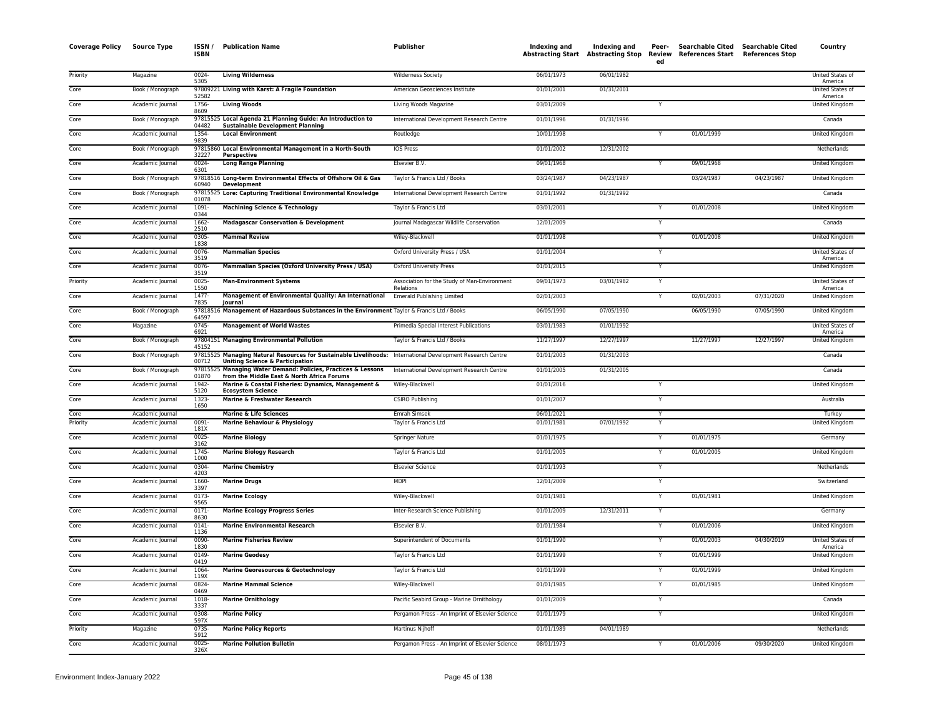| <b>Coverage Policy</b> | <b>Source Type</b> | ISSN/<br><b>ISBN</b>      | <b>Publication Name</b>                                                                                                                                  | Publisher                                                 | <b>Indexing and</b> | Indexing and | Peer-<br>ed | Searchable Cited Searchable Cited<br>Abstracting Start Abstracting Stop Review References Start References Stop |            | Country                          |
|------------------------|--------------------|---------------------------|----------------------------------------------------------------------------------------------------------------------------------------------------------|-----------------------------------------------------------|---------------------|--------------|-------------|-----------------------------------------------------------------------------------------------------------------|------------|----------------------------------|
| Priority               | Magazine           | $0024 -$<br>5305          | <b>Living Wilderness</b>                                                                                                                                 | <b>Wilderness Society</b>                                 | 06/01/1973          | 06/01/1982   |             |                                                                                                                 |            | United States of<br>America      |
| Core                   | Book / Monograph   | 52582                     | 97809221 Living with Karst: A Fragile Foundation                                                                                                         | American Geosciences Institute                            | 01/01/2001          | 01/31/2001   |             |                                                                                                                 |            | United States of<br>America      |
| Core                   | Academic Journal   | 1756-<br>8609             | <b>Living Woods</b>                                                                                                                                      | Living Woods Magazine                                     | 03/01/2009          |              | Y           |                                                                                                                 |            | United Kingdom                   |
| Core                   | Book / Monograph   | 04482                     | 97815525 Local Agenda 21 Planning Guide: An Introduction to<br><b>Sustainable Development Planning</b>                                                   | International Development Research Centre                 | 01/01/1996          | 01/31/1996   |             |                                                                                                                 |            | Canada                           |
| Core                   | Academic Journal   | 1354-<br>9839             | <b>Local Environment</b>                                                                                                                                 | Routledge                                                 | 10/01/1998          |              | Y           | 01/01/1999                                                                                                      |            | United Kingdom                   |
| Core                   | Book / Monograph   | 32227                     | 97815860 Local Environmental Management in a North-South<br><b>Perspective</b>                                                                           | <b>IOS Press</b>                                          | 01/01/2002          | 12/31/2002   |             |                                                                                                                 |            | Netherlands                      |
| Core                   | Academic Journal   | $0024 -$<br>6301          | <b>Long Range Planning</b>                                                                                                                               | Elsevier B.V.                                             | 09/01/1968          |              | Y           | 09/01/1968                                                                                                      |            | United Kingdom                   |
| Core                   | Book / Monograph   | 60940                     | 97818516 Long-term Environmental Effects of Offshore Oil & Gas<br><b>Development</b>                                                                     | Taylor & Francis Ltd / Books                              | 03/24/1987          | 04/23/1987   |             | 03/24/1987                                                                                                      | 04/23/1987 | United Kingdom                   |
| Core                   | Book / Monograph   | 01078                     | 97815525 Lore: Capturing Traditional Environmental Knowledge                                                                                             | International Development Research Centre                 | 01/01/1992          | 01/31/1992   |             |                                                                                                                 |            | Canada                           |
| Core                   | Academic Journal   | $1091 -$<br>0344          | <b>Machining Science &amp; Technology</b>                                                                                                                | Taylor & Francis Ltd                                      | 03/01/2001          |              | Y           | 01/01/2008                                                                                                      |            | United Kingdom                   |
| Core                   | Academic Journal   | 1662-<br>2510             | <b>Madagascar Conservation &amp; Development</b>                                                                                                         | Journal Madagascar Wildlife Conservation                  | 12/01/2009          |              | Y           |                                                                                                                 |            | Canada                           |
| Core                   | Academic Journal   | 0305<br>1838              | <b>Mammal Review</b>                                                                                                                                     | Wiley-Blackwell                                           | 01/01/1998          |              | Y           | 01/01/2008                                                                                                      |            | United Kingdom                   |
| Core                   | Academic Journal   | $0076 -$<br>3519          | <b>Mammalian Species</b>                                                                                                                                 | Oxford University Press / USA                             | 01/01/2004          |              | Y           |                                                                                                                 |            | United States of<br>America      |
| Core                   | Academic Journal   | 0076-<br>3519             | Mammalian Species (Oxford University Press / USA)                                                                                                        | <b>Oxford University Press</b>                            | 01/01/2015          |              |             |                                                                                                                 |            | United Kingdom                   |
| Priority               | Academic Journal   | $0025 -$<br>1550          | <b>Man-Environment Systems</b>                                                                                                                           | Association for the Study of Man-Environment<br>Relations | 09/01/1973          | 03/01/1982   | Y           |                                                                                                                 |            | United States of<br>America      |
| Core                   | Academic Journal   | $1477 -$<br>7835          | Management of Environmental Quality: An International<br>Journal                                                                                         | <b>Emerald Publishing Limited</b>                         | 02/01/2003          |              | Y           | 02/01/2003                                                                                                      | 07/31/2020 | United Kingdom                   |
| Core                   | Book / Monograph   | 64597                     | 97818516 Management of Hazardous Substances in the Environment Taylor & Francis Ltd / Books                                                              |                                                           | 06/05/1990          | 07/05/1990   |             | 06/05/1990                                                                                                      | 07/05/1990 | United Kingdom                   |
| Core                   | Magazine           | $0745 -$<br>6921          | <b>Management of World Wastes</b>                                                                                                                        | Primedia Special Interest Publications                    | 03/01/1983          | 01/01/1992   |             |                                                                                                                 |            | United States of                 |
| Core                   | Book / Monograph   | 45152                     | 97804151 Managing Environmental Pollution                                                                                                                | Taylor & Francis Ltd / Books                              | 11/27/1997          | 12/27/1997   |             | 11/27/1997                                                                                                      | 12/27/1997 | America<br><b>United Kingdom</b> |
| Core                   | Book / Monograph   | 00712                     | 97815525 Managing Natural Resources for Sustainable Livelihoods: International Development Research Centre<br><b>Uniting Science &amp; Participation</b> |                                                           | 01/01/2003          | 01/31/2003   |             |                                                                                                                 |            | Canada                           |
| Core                   | Book / Monograph   | 97815525<br>01870         | Managing Water Demand: Policies, Practices & Lessons<br>from the Middle East & North Africa Forums                                                       | International Development Research Centre                 | 01/01/2005          | 01/31/2005   |             |                                                                                                                 |            | Canada                           |
| Core                   | Academic Journal   | 1942<br>5120              | Marine & Coastal Fisheries: Dynamics, Management &<br><b>Ecosystem Science</b>                                                                           | Wiley-Blackwell                                           | 01/01/2016          |              |             |                                                                                                                 |            | United Kingdom                   |
| Core                   | Academic Journal   | 1323<br>1650              | Marine & Freshwater Research                                                                                                                             | <b>CSIRO Publishing</b>                                   | 01/01/2007          |              | Y           |                                                                                                                 |            | Australia                        |
| Core                   | Academic Journal   |                           | <b>Marine &amp; Life Sciences</b>                                                                                                                        | <b>Emrah Simsek</b>                                       | 06/01/2021          |              |             |                                                                                                                 |            | Turkey                           |
| Priority               | Academic Journal   | 0091<br>181X              | Marine Behaviour & Physiology                                                                                                                            | Taylor & Francis Ltd                                      | 01/01/1981          | 07/01/1992   | Y           |                                                                                                                 |            | United Kingdom                   |
| Core                   | Academic Journal   | 0025-<br>3162             | <b>Marine Biology</b>                                                                                                                                    | Springer Nature                                           | 01/01/1975          |              | Y           | 01/01/1975                                                                                                      |            | Germany                          |
| Core                   | Academic Journal   | 1745<br>1000              | <b>Marine Biology Research</b>                                                                                                                           | Taylor & Francis Ltd                                      | 01/01/2005          |              | Y           | 01/01/2005                                                                                                      |            | United Kingdom                   |
| Core                   | Academic Journal   | 0304-<br>4203             | <b>Marine Chemistry</b>                                                                                                                                  | <b>Elsevier Science</b>                                   | 01/01/1993          |              |             |                                                                                                                 |            | Netherlands                      |
| Core                   | Academic Journal   | 1660<br>3397              | <b>Marine Drugs</b>                                                                                                                                      | <b>MDPI</b>                                               | 12/01/2009          |              | Y           |                                                                                                                 |            | Switzerland                      |
| Core                   | Academic Journal   | 0173-<br>9565             | <b>Marine Ecology</b>                                                                                                                                    | Wiley-Blackwell                                           | 01/01/1981          |              | Y           | 01/01/1981                                                                                                      |            | United Kingdom                   |
| Core                   | Academic Journal   | 0171-<br>8630             | <b>Marine Ecology Progress Series</b>                                                                                                                    | Inter-Research Science Publishing                         | 01/01/2009          | 12/31/2011   | Y           |                                                                                                                 |            | Germany                          |
| Core                   | Academic Journal   | $0141 -$<br>1136          | <b>Marine Environmental Research</b>                                                                                                                     | Elsevier B.V.                                             | 01/01/1984          |              | Y           | 01/01/2006                                                                                                      |            | United Kingdom                   |
| Core                   | Academic Journal   | 0090-<br>1830             | <b>Marine Fisheries Review</b>                                                                                                                           | Superintendent of Documents                               | 01/01/1990          |              |             | 01/01/2003                                                                                                      | 04/30/2019 | United States of<br>America      |
| Core                   | Academic Journal   | 0149<br>0419              | <b>Marine Geodesy</b>                                                                                                                                    | Taylor & Francis Ltd                                      | 01/01/1999          |              | Y           | 01/01/1999                                                                                                      |            | United Kingdom                   |
| Core                   | Academic Journal   | 1064-<br>119X             | Marine Georesources & Geotechnology                                                                                                                      | Taylor & Francis Ltd                                      | 01/01/1999          |              | Y           | 01/01/1999                                                                                                      |            | United Kingdom                   |
| Core                   | Academic Journal   | 0824-<br>0469             | <b>Marine Mammal Science</b>                                                                                                                             | Wiley-Blackwell                                           | 01/01/1985          |              | Y           | 01/01/1985                                                                                                      |            | <b>United Kingdom</b>            |
| Core                   | Academic Journal   | 1018-<br>3337             | <b>Marine Ornithology</b>                                                                                                                                | Pacific Seabird Group - Marine Ornithology                | 01/01/2009          |              | Y           |                                                                                                                 |            | Canada                           |
| Core                   | Academic Journal   | 0308-<br>597 <sup>x</sup> | <b>Marine Policy</b>                                                                                                                                     | Pergamon Press - An Imprint of Elsevier Science           | 01/01/1979          |              | Y           |                                                                                                                 |            | United Kingdom                   |
| Priority               | Magazine           | 0735<br>5912              | <b>Marine Policy Reports</b>                                                                                                                             | Martinus Nijhoff                                          | 01/01/1989          | 04/01/1989   |             |                                                                                                                 |            | Netherlands                      |
| Core                   | Academic Journal   | 0025<br>326X              | <b>Marine Pollution Bulletin</b>                                                                                                                         | Pergamon Press - An Imprint of Elsevier Science           | 08/01/1973          |              | Y           | 01/01/2006                                                                                                      | 09/30/2020 | United Kingdom                   |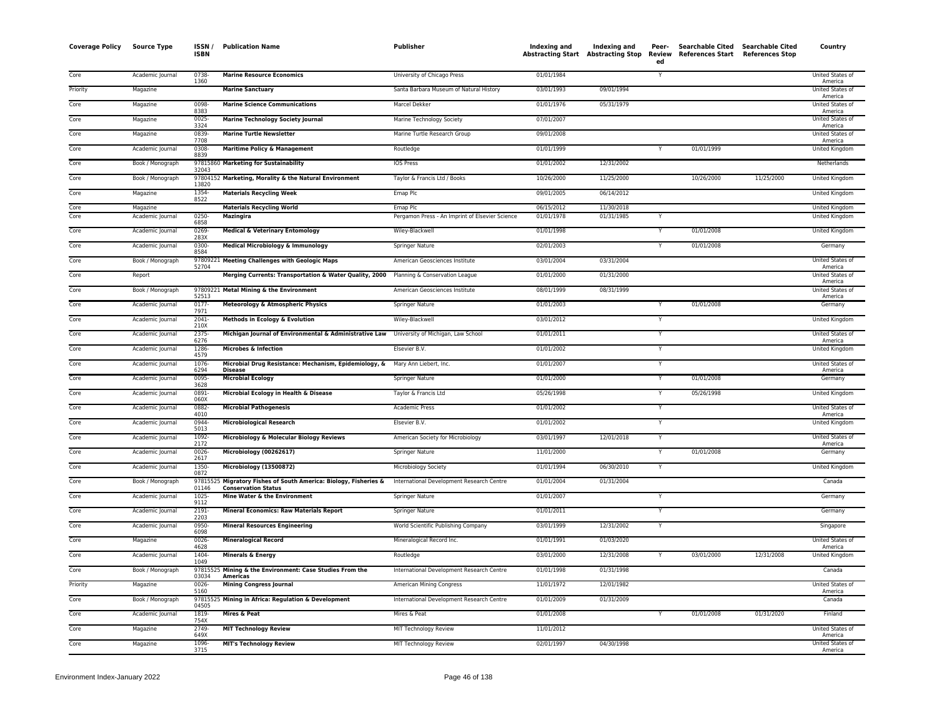| <b>Coverage Policy</b> | <b>Source Type</b> | ISSN /<br><b>ISBN</b> | <b>Publication Name</b>                                                                        | <b>Publisher</b>                                | Indexing and<br><b>Abstracting Start Abstracting Stop</b> | Indexing and | Peer-<br>ed    | Searchable Cited Searchable Cited<br>Review References Start References Stop |            | Country                     |
|------------------------|--------------------|-----------------------|------------------------------------------------------------------------------------------------|-------------------------------------------------|-----------------------------------------------------------|--------------|----------------|------------------------------------------------------------------------------|------------|-----------------------------|
| Core                   | Academic Journal   | $0738 -$<br>1360      | <b>Marine Resource Economics</b>                                                               | University of Chicago Press                     | 01/01/1984                                                |              | $\overline{Y}$ |                                                                              |            | United States of<br>America |
| Priority               | Magazine           |                       | <b>Marine Sanctuary</b>                                                                        | Santa Barbara Museum of Natural History         | 03/01/1993                                                | 09/01/1994   |                |                                                                              |            | United States of<br>America |
| Core                   | Magazine           | 0098<br>8383          | <b>Marine Science Communications</b>                                                           | Marcel Dekker                                   | 01/01/1976                                                | 05/31/1979   |                |                                                                              |            | United States of<br>America |
| Core                   | Magazine           | 0025<br>3324          | <b>Marine Technology Society Journal</b>                                                       | Marine Technology Society                       | 07/01/2007                                                |              |                |                                                                              |            | United States of<br>America |
| Core                   | Magazine           | 0839-<br>7708         | <b>Marine Turtle Newsletter</b>                                                                | Marine Turtle Research Group                    | 09/01/2008                                                |              |                |                                                                              |            | United States of<br>America |
| Core                   | Academic Journal   | 0308-<br>8839         | <b>Maritime Policy &amp; Management</b>                                                        | Routledge                                       | 01/01/1999                                                |              | Ÿ              | 01/01/1999                                                                   |            | <b>United Kingdom</b>       |
| Core                   | Book / Monograph   | 32043                 | 97815860 Marketing for Sustainability                                                          | <b>IOS Press</b>                                | 01/01/2002                                                | 12/31/2002   |                |                                                                              |            | Netherlands                 |
| Core                   | Book / Monograph   | 13820                 | 97804152 Marketing, Morality & the Natural Environment                                         | Taylor & Francis Ltd / Books                    | 10/26/2000                                                | 11/25/2000   |                | 10/26/2000                                                                   | 11/25/2000 | United Kingdom              |
| Core                   | Magazine           | 1354-<br>8522         | <b>Materials Recycling Week</b>                                                                | Emap Plc                                        | 09/01/2005                                                | 06/14/2012   |                |                                                                              |            | United Kingdom              |
| Core                   | Magazine           |                       | <b>Materials Recycling World</b>                                                               | Emap Plc                                        | 06/15/2012                                                | 11/30/2018   |                |                                                                              |            | United Kingdom              |
| Core                   | Academic Journal   | 0250<br>6858          | Mazingira                                                                                      | Pergamon Press - An Imprint of Elsevier Science | 01/01/1978                                                | 01/31/1985   |                |                                                                              |            | United Kingdom              |
| Core                   | Academic Journal   | 0269-<br>283X         | <b>Medical &amp; Veterinary Entomology</b>                                                     | Wiley-Blackwell                                 | 01/01/1998                                                |              |                | 01/01/2008                                                                   |            | <b>United Kingdom</b>       |
| Core                   | Academic Journal   | 0300-<br>8584         | Medical Microbiology & Immunology                                                              | <b>Springer Nature</b>                          | 02/01/2003                                                |              |                | 01/01/2008                                                                   |            | Germany                     |
| Core                   | Book / Monograph   | 52704                 | 97809221 Meeting Challenges with Geologic Maps                                                 | American Geosciences Institute                  | 03/01/2004                                                | 03/31/2004   |                |                                                                              |            | United States of<br>America |
| Core                   | Report             |                       | Merging Currents: Transportation & Water Quality, 2000 Planning & Conservation League          |                                                 | 01/01/2000                                                | 01/31/2000   |                |                                                                              |            | United States of<br>America |
| Core                   | Book / Monograph   | 52513                 | 97809221 Metal Mining & the Environment                                                        | American Geosciences Institute                  | 08/01/1999                                                | 08/31/1999   |                |                                                                              |            | United States of<br>America |
| Core                   | Academic Journal   | $0177 -$<br>7971      | Meteorology & Atmospheric Physics                                                              | Springer Nature                                 | 01/01/2003                                                |              |                | 01/01/2008                                                                   |            | Germany                     |
| Core                   | Academic Journal   | 2041<br>210X          | Methods in Ecology & Evolution                                                                 | Wiley-Blackwell                                 | 03/01/2012                                                |              | Y              |                                                                              |            | <b>United Kingdom</b>       |
| Core                   | Academic Journal   | 2375-<br>6276         | Michigan Journal of Environmental & Administrative Law University of Michigan, Law School      |                                                 | 01/01/2011                                                |              | Y              |                                                                              |            | United States of<br>America |
| Core                   | Academic Journal   | 1286<br>4579          | Microbes & Infection                                                                           | Elsevier B.V.                                   | 01/01/2002                                                |              | Y              |                                                                              |            | United Kingdom              |
| Core                   | Academic Journal   | 1076<br>6294          | Microbial Drug Resistance: Mechanism, Epidemiology, & Mary Ann Liebert, Inc.<br><b>Disease</b> |                                                 | 01/01/2007                                                |              | Y              |                                                                              |            | United States of<br>America |
| Core                   | Academic Journal   | 0095<br>3628          | <b>Microbial Ecology</b>                                                                       | <b>Springer Nature</b>                          | 01/01/2000                                                |              | $\checkmark$   | 01/01/2008                                                                   |            | Germany                     |
| Core                   | Academic Journal   | 0891<br>060X          | Microbial Ecology in Health & Disease                                                          | Taylor & Francis Ltd                            | 05/26/1998                                                |              | Y              | 05/26/1998                                                                   |            | United Kingdom              |
| Core                   | Academic Journal   | 0882<br>4010          | <b>Microbial Pathogenesis</b>                                                                  | <b>Academic Press</b>                           | 01/01/2002                                                |              | Ÿ              |                                                                              |            | United States of<br>America |
| Core                   | Academic Journal   | 0944<br>5013          | <b>Microbiological Research</b>                                                                | Elsevier B.V.                                   | 01/01/2002                                                |              | $\overline{Y}$ |                                                                              |            | United Kingdom              |
| Core                   | Academic Journal   | 1092<br>2172          | Microbiology & Molecular Biology Reviews                                                       | American Society for Microbiology               | 03/01/1997                                                | 12/01/2018   | Y              |                                                                              |            | United States of<br>America |
| Core                   | Academic Journal   | 0026<br>2617          | Microbiology (00262617)                                                                        | Springer Nature                                 | 11/01/2000                                                |              | Y              | 01/01/2008                                                                   |            | Germany                     |
| Core                   | Academic Journal   | 1350<br>0872          | Microbiology (13500872)                                                                        | Microbiology Society                            | 01/01/1994                                                | 06/30/2010   | Y              |                                                                              |            | <b>United Kingdom</b>       |
| Core                   | Book / Monograph   | 9781552<br>01146      | Migratory Fishes of South America: Biology, Fisheries &<br><b>Conservation Status</b>          | International Development Research Centre       | 01/01/2004                                                | 01/31/2004   |                |                                                                              |            | Canada                      |
| Core                   | Academic Journal   | $1025 -$<br>9112      | Mine Water & the Environment                                                                   | Springer Nature                                 | 01/01/2007                                                |              | Ÿ              |                                                                              |            | Germany                     |
| Core                   | Academic Journal   | 2191<br>2203          | <b>Mineral Economics: Raw Materials Report</b>                                                 | Springer Nature                                 | 01/01/2011                                                |              | Y              |                                                                              |            | Germany                     |
| Core                   | Academic Journal   | 0950<br>6098          | <b>Mineral Resources Engineering</b>                                                           | World Scientific Publishing Company             | 03/01/1999                                                | 12/31/2002   | Y              |                                                                              |            | Singapore                   |
| Core                   | Magazine           | 0026<br>4628          | <b>Mineralogical Record</b>                                                                    | Mineralogical Record Inc.                       | 01/01/1991                                                | 01/03/2020   |                |                                                                              |            | United States of<br>America |
| Core                   | Academic Journal   | 1404-<br>1049         | <b>Minerals &amp; Energy</b>                                                                   | Routledge                                       | 03/01/2000                                                | 12/31/2008   |                | 03/01/2000                                                                   | 12/31/2008 | <b>United Kingdom</b>       |
| Core                   | Book / Monograph   | 03034                 | 97815525 Mining & the Environment: Case Studies From the<br>Americas                           | International Development Research Centre       | 01/01/1998                                                | 01/31/1998   |                |                                                                              |            | Canada                      |
| Priority               | Magazine           | $0026 -$<br>5160      | <b>Mining Congress Journal</b>                                                                 | American Mining Congress                        | 11/01/1972                                                | 12/01/1982   |                |                                                                              |            | United States of<br>America |
| Core                   | Book / Monograph   | 04505                 | 97815525 Mining in Africa: Regulation & Development                                            | International Development Research Centre       | 01/01/2009                                                | 01/31/2009   |                |                                                                              |            | Canada                      |
| Core                   | Academic Journal   | 1819-<br>754X         | Mires & Peat                                                                                   | Mires & Peat                                    | 01/01/2008                                                |              | Y              | 01/01/2008                                                                   | 01/31/2020 | Finland                     |
| Core                   | Magazine           | 2749<br>649X          | <b>MIT Technology Review</b>                                                                   | MIT Technology Review                           | 11/01/2012                                                |              |                |                                                                              |            | United States of<br>America |
| Core                   | Magazine           | 1096<br>3715          | <b>MIT's Technology Review</b>                                                                 | MIT Technology Review                           | 02/01/1997                                                | 04/30/1998   |                |                                                                              |            | United States of<br>America |
|                        |                    |                       |                                                                                                |                                                 |                                                           |              |                |                                                                              |            |                             |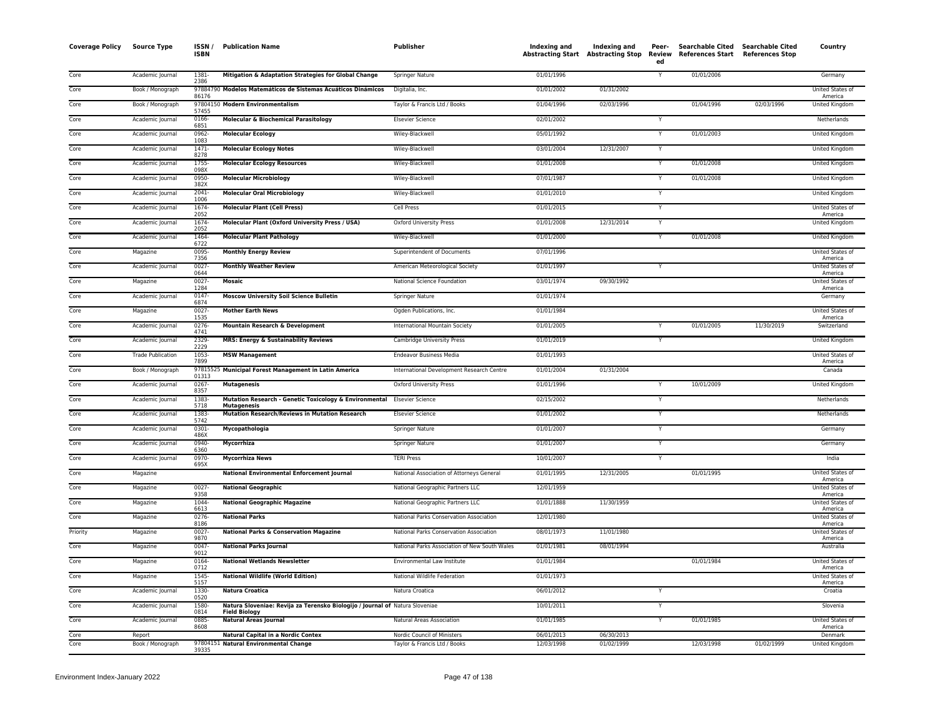| <b>Coverage Policy</b> | <b>Source Type</b>       | ISSN/<br><b>ISBN</b> | <b>Publication Name</b>                                                                              | Publisher                                     | <b>Indexing and</b> | Indexing and<br>Abstracting Start Abstracting Stop Review | Peer-<br>ed             | <b>Searchable Cited</b><br>References Start References Stop | <b>Searchable Cited</b> | Country                     |
|------------------------|--------------------------|----------------------|------------------------------------------------------------------------------------------------------|-----------------------------------------------|---------------------|-----------------------------------------------------------|-------------------------|-------------------------------------------------------------|-------------------------|-----------------------------|
| Core                   | Academic Journal         | 1381-<br>2386        | Mitigation & Adaptation Strategies for Global Change                                                 | <b>Springer Nature</b>                        | 01/01/1996          |                                                           | $\overline{Y}$          | 01/01/2006                                                  |                         | Germany                     |
| Core                   | Book / Monograph         | 86176                | 97884790 Modelos Matemáticos de Sistemas Acuáticos Dinámicos                                         | Digitalia, Inc.                               | 01/01/2002          | 01/31/2002                                                |                         |                                                             |                         | United States of<br>America |
| Core                   | Book / Monograph         | 57455                | 97804150 Modern Environmentalism                                                                     | Taylor & Francis Ltd / Books                  | 01/04/1996          | 02/03/1996                                                |                         | 01/04/1996                                                  | 02/03/1996              | United Kingdon              |
| Core                   | Academic Journal         | 0166-<br>6851        | <b>Molecular &amp; Biochemical Parasitology</b>                                                      | <b>Elsevier Science</b>                       | 02/01/2002          |                                                           |                         |                                                             |                         | Netherlands                 |
| Core                   | Academic Journal         | 0962-<br>1083        | <b>Molecular Ecology</b>                                                                             | Wiley-Blackwell                               | 05/01/1992          |                                                           | Y                       | 01/01/2003                                                  |                         | United Kingdom              |
| Core                   | Academic Journal         | $1471 -$<br>8278     | <b>Molecular Ecology Notes</b>                                                                       | Wiley-Blackwell                               | 03/01/2004          | 12/31/2007                                                | Y                       |                                                             |                         | United Kingdom              |
| Core                   | Academic Journal         | 1755<br>098X         | <b>Molecular Ecology Resources</b>                                                                   | Wiley-Blackwell                               | 01/01/2008          |                                                           | Y                       | 01/01/2008                                                  |                         | United Kingdom              |
| Core                   | Academic Journal         | 0950-<br>382X        | <b>Molecular Microbiology</b>                                                                        | Wiley-Blackwell                               | 07/01/1987          |                                                           | Y                       | 01/01/2008                                                  |                         | United Kingdom              |
| Core                   | Academic Journal         | 2041-<br>1006        | <b>Molecular Oral Microbiology</b>                                                                   | Wiley-Blackwell                               | 01/01/2010          |                                                           |                         |                                                             |                         | United Kingdom              |
| Core                   | Academic Journal         | 1674-<br>2052        | <b>Molecular Plant (Cell Press)</b>                                                                  | Cell Press                                    | 01/01/2015          |                                                           | $\overline{Y}$          |                                                             |                         | United States of<br>America |
| Core                   | Academic Journal         | 1674-<br>2052        | Molecular Plant (Oxford University Press / USA)                                                      | <b>Oxford University Press</b>                | 01/01/2008          | 12/31/2014                                                | Y                       |                                                             |                         | <b>United Kingdom</b>       |
| Core                   | Academic Journal         | 1464-<br>6722        | <b>Molecular Plant Pathology</b>                                                                     | Wiley-Blackwell                               | 01/01/2000          |                                                           | Y                       | 01/01/2008                                                  |                         | United Kingdom              |
| Core                   | Magazine                 | 0095-<br>7356        | <b>Monthly Energy Review</b>                                                                         | Superintendent of Documents                   | 07/01/1996          |                                                           |                         |                                                             |                         | United States of<br>America |
| Core                   | Academic Journal         | 0027<br>0644         | <b>Monthly Weather Review</b>                                                                        | American Meteorological Society               | 01/01/1997          |                                                           | Y                       |                                                             |                         | United States of<br>America |
| Core                   | Magazine                 | 0027<br>1284         | Mosaic                                                                                               | National Science Foundation                   | 03/01/1974          | 09/30/1992                                                |                         |                                                             |                         | United States of<br>America |
| Core                   | Academic Journal         | 0147<br>6874         | <b>Moscow University Soil Science Bulletin</b>                                                       | Springer Nature                               | 01/01/1974          |                                                           |                         |                                                             |                         | Germany                     |
| Core                   | Magazine                 | $0027 -$<br>1535     | <b>Mother Earth News</b>                                                                             | Ogden Publications, Inc.                      | 01/01/1984          |                                                           |                         |                                                             |                         | United States of<br>America |
| Core                   | Academic Journal         | 0276<br>4741         | Mountain Research & Development                                                                      | International Mountain Society                | 01/01/2005          |                                                           | Y                       | 01/01/2005                                                  | 11/30/2019              | Switzerland                 |
| Core                   | Academic Journal         | 2329-<br>2229        | <b>MRS: Energy &amp; Sustainability Reviews</b>                                                      | Cambridge University Press                    | 01/01/2019          |                                                           | Y                       |                                                             |                         | <b>United Kingdom</b>       |
| Core                   | <b>Trade Publication</b> | $1053 -$<br>7899     | <b>MSW Management</b>                                                                                | <b>Endeavor Business Media</b>                | 01/01/1993          |                                                           |                         |                                                             |                         | United States of<br>America |
| Core                   | Book / Monograph         | 01313                | 97815525 Municipal Forest Management in Latin America                                                | International Development Research Centre     | 01/01/2004          | 01/31/2004                                                |                         |                                                             |                         | Canada                      |
| Core                   | Academic Journal         | $0267 -$<br>8357     | <b>Mutagenesis</b>                                                                                   | <b>Oxford University Press</b>                | 01/01/1996          |                                                           |                         | 10/01/2009                                                  |                         | <b>United Kingdom</b>       |
| Core                   | Academic Journal         | 1383-<br>5718        | Mutation Research - Genetic Toxicology & Environmental<br><b>Mutagenesis</b>                         | <b>Elsevier Science</b>                       | 02/15/2002          |                                                           | Y                       |                                                             |                         | Netherlands                 |
| Core                   | Academic Journal         | 1383-<br>5742        | Mutation Research/Reviews in Mutation Research                                                       | <b>Elsevier Science</b>                       | 01/01/2002          |                                                           | Y                       |                                                             |                         | Netherlands                 |
| Core                   | Academic Journal         | $0301 -$<br>486X     | Mycopathologia                                                                                       | Springer Nature                               | 01/01/2007          |                                                           | Y                       |                                                             |                         | Germany                     |
| Core                   | Academic Journal         | 0940-<br>6360        | <b>Mycorrhiza</b>                                                                                    | <b>Springer Nature</b>                        | 01/01/2007          |                                                           | $\overline{Y}$          |                                                             |                         | Germany                     |
| Core                   | Academic Journal         | 0970-<br>695X        | <b>Mycorrhiza News</b>                                                                               | <b>TERI Press</b>                             | 10/01/2007          |                                                           | Y                       |                                                             |                         | India                       |
| Core                   | Magazine                 |                      | <b>National Environmental Enforcement Journal</b>                                                    | National Association of Attorneys General     | 01/01/1995          | 12/31/2005                                                |                         | 01/01/1995                                                  |                         | United States of<br>America |
| Core                   | Magazine                 | $0027 -$<br>9358     | <b>National Geographic</b>                                                                           | National Geographic Partners LLC              | 12/01/1959          |                                                           |                         |                                                             |                         | United States of<br>America |
| Core                   | Magazine                 | 1044-<br>6613        | <b>National Geographic Magazine</b>                                                                  | National Geographic Partners LLC              | 01/01/1888          | 11/30/1959                                                |                         |                                                             |                         | United States of<br>America |
| Core                   | Magazine                 | 0276-<br>8186        | <b>National Parks</b>                                                                                | National Parks Conservation Association       | 12/01/1980          |                                                           |                         |                                                             |                         | United States of<br>America |
| Priority               | Magazine                 | $0027 -$<br>9870     | <b>National Parks &amp; Conservation Magazine</b>                                                    | National Parks Conservation Association       | 08/01/1973          | 11/01/1980                                                |                         |                                                             |                         | United States of<br>America |
| Core                   | Magazine                 | $0047 -$<br>9012     | <b>National Parks Journal</b>                                                                        | National Parks Association of New South Wales | 01/01/1981          | 08/01/1994                                                |                         |                                                             |                         | Australia                   |
| Core                   | Magazine                 | 0164-<br>0712        | <b>National Wetlands Newsletter</b>                                                                  | Environmental Law Institute                   | 01/01/1984          |                                                           |                         | 01/01/1984                                                  |                         | United States of<br>America |
| Core                   | Magazine                 | 1545-<br>5157        | <b>National Wildlife (World Edition)</b>                                                             | National Wildlife Federation                  | 01/01/1973          |                                                           |                         |                                                             |                         | United States of<br>America |
| Core                   | Academic Journal         | 1330-<br>0520        | <b>Natura Croatica</b>                                                                               | Natura Croatica                               | 06/01/2012          |                                                           | $\overline{\mathsf{Y}}$ |                                                             |                         | Croatia                     |
| Core                   | Academic Journal         | 1580-<br>0814        | Natura Sloveniae: Revija za Terensko Biologijo / Journal of Natura Sloveniae<br><b>Field Biology</b> |                                               | 10/01/2011          |                                                           | Y                       |                                                             |                         | Slovenia                    |
| Core                   | Academic Journal         | 0885<br>8608         | <b>Natural Areas Journal</b>                                                                         | Natural Areas Association                     | 01/01/1985          |                                                           | Y                       | 01/01/1985                                                  |                         | United States of<br>America |
| Core                   | Report                   |                      | Natural Capital in a Nordic Contex                                                                   | Nordic Council of Ministers                   | 06/01/2013          | 06/30/2013                                                |                         |                                                             |                         | Denmark                     |
| Core                   | Book / Monograph         | 39335                | 97804151 Natural Environmental Change                                                                | Taylor & Francis Ltd / Books                  | 12/03/1998          | 01/02/1999                                                |                         | 12/03/1998                                                  | 01/02/1999              | United Kingdom              |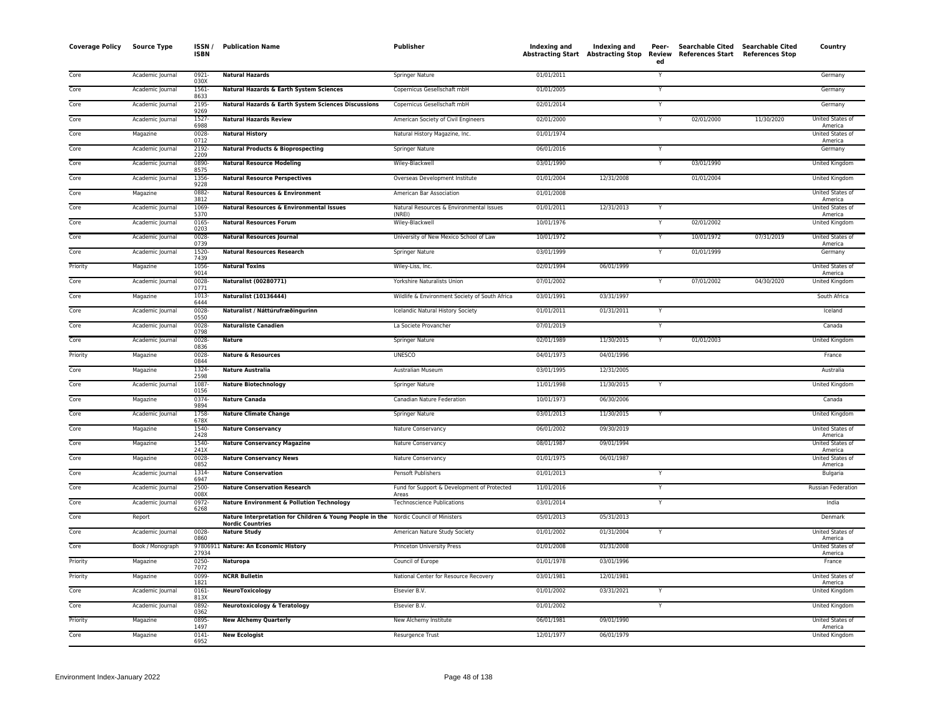| <b>Coverage Policy</b> | <b>Source Type</b> | ISSN /<br><b>ISBN</b> | <b>Publication Name</b>                                                             | <b>Publisher</b>                                     | Indexing and | Indexing and<br>Abstracting Start Abstracting Stop | Peer-<br>Review<br>ed | <b>Searchable Cited</b><br>References Start References Stop | <b>Searchable Cited</b> | Country                            |
|------------------------|--------------------|-----------------------|-------------------------------------------------------------------------------------|------------------------------------------------------|--------------|----------------------------------------------------|-----------------------|-------------------------------------------------------------|-------------------------|------------------------------------|
| Core                   | Academic Journal   | 0921-<br>030X         | <b>Natural Hazards</b>                                                              | Springer Nature                                      | 01/01/2011   |                                                    |                       |                                                             |                         | Germany                            |
| Core                   | Academic Journal   | $1561 -$<br>8633      | Natural Hazards & Earth System Sciences                                             | Copernicus Gesellschaft mbH                          | 01/01/2005   |                                                    |                       |                                                             |                         | Germany                            |
| Core                   | Academic Journal   | 2195<br>9269          | Natural Hazards & Earth System Sciences Discussions                                 | Copernicus Gesellschaft mbH                          | 02/01/2014   |                                                    | Y                     |                                                             |                         | Germany                            |
| Core                   | Academic Journal   | 1527-<br>6988         | <b>Natural Hazards Review</b>                                                       | American Society of Civil Engineers                  | 02/01/2000   |                                                    | $\mathsf{v}$          | 02/01/2000                                                  | 11/30/2020              | United States of<br>America        |
| Core                   | Magazine           | 0028<br>0712          | <b>Natural History</b>                                                              | Natural History Magazine, Inc.                       | 01/01/1974   |                                                    |                       |                                                             |                         | United States o<br>America         |
| Core                   | Academic Journal   | 2192-<br>2209         | <b>Natural Products &amp; Bioprospecting</b>                                        | Springer Nature                                      | 06/01/2016   |                                                    | Y                     |                                                             |                         | Germany                            |
| Core                   | Academic Journal   | 0890<br>8575          | <b>Natural Resource Modeling</b>                                                    | Wiley-Blackwell                                      | 03/01/1990   |                                                    |                       | 03/01/1990                                                  |                         | United Kingdom                     |
| Core                   | Academic Journal   | 1356<br>9228          | <b>Natural Resource Perspectives</b>                                                | Overseas Development Institute                       | 01/01/2004   | 12/31/2008                                         |                       | 01/01/2004                                                  |                         | <b>United Kingdom</b>              |
| Core                   | Magazine           | 0882<br>3812          | <b>Natural Resources &amp; Environment</b>                                          | American Bar Association                             | 01/01/2008   |                                                    |                       |                                                             |                         | United States of<br>America        |
| Core                   | Academic Journal   | 1069-<br>5370         | <b>Natural Resources &amp; Environmental Issues</b>                                 | Natural Resources & Environmental Issues<br>(NRFI)   | 01/01/2011   | 12/31/2013                                         |                       |                                                             |                         | United States of<br>America        |
| Core                   | Academic Journal   | 0165<br>0203          | <b>Natural Resources Forum</b>                                                      | Wiley-Blackwell                                      | 10/01/1976   |                                                    |                       | 02/01/2002                                                  |                         | United Kingdom                     |
| Core                   | Academic Journal   | $0028 -$<br>0739      | <b>Natural Resources Journal</b>                                                    | University of New Mexico School of Law               | 10/01/1972   |                                                    |                       | 10/01/1972                                                  | 07/31/2019              | United States of<br>America        |
| Core                   | Academic Journal   | 1520-<br>7439         | <b>Natural Resources Research</b>                                                   | <b>Springer Nature</b>                               | 03/01/1999   |                                                    |                       | 01/01/1999                                                  |                         | Germany                            |
| Priority               | Magazine           | 1056<br>9014          | <b>Natural Toxins</b>                                                               | Wiley-Liss, Inc.                                     | 02/01/1994   | 06/01/1999                                         |                       |                                                             |                         | <b>United States of</b><br>America |
| Core                   | Academic Journal   | 0028<br>0771          | Naturalist (00280771)                                                               | Yorkshire Naturalists Union                          | 07/01/2002   |                                                    | Y                     | 07/01/2002                                                  | 04/30/2020              | United Kingdom                     |
| Core                   | Magazine           | 1013-<br>6444         | Naturalist (10136444)                                                               | Wildlife & Environment Society of South Africa       | 03/01/1991   | 03/31/1997                                         |                       |                                                             |                         | South Africa                       |
| Core                   | Academic Journal   | 0028<br>0550          | Naturalist / Náttúrufræðingurinn                                                    | Icelandic Natural History Society                    | 01/01/2011   | 01/31/2011                                         |                       |                                                             |                         | Iceland                            |
| Core                   | Academic Journal   | 0028-<br>0798         | <b>Naturaliste Canadien</b>                                                         | La Societe Provancher                                | 07/01/2019   |                                                    | Y                     |                                                             |                         | Canada                             |
| Core                   | Academic Journal   | 0028<br>0836          | <b>Nature</b>                                                                       | <b>Springer Nature</b>                               | 02/01/1989   | 11/30/2015                                         |                       | 01/01/2003                                                  |                         | United Kingdom                     |
| Priority               | Magazine           | $0028 -$<br>0844      | <b>Nature &amp; Resources</b>                                                       | <b>UNESCO</b>                                        | 04/01/1973   | 04/01/1996                                         |                       |                                                             |                         | France                             |
| Core                   | Magazine           | 1324-<br>2598         | <b>Nature Australia</b>                                                             | Australian Museum                                    | 03/01/1995   | 12/31/2005                                         |                       |                                                             |                         | Australia                          |
| Core                   | Academic Journal   | 1087<br>0156          | <b>Nature Biotechnology</b>                                                         | Springer Nature                                      | 11/01/1998   | 11/30/2015                                         |                       |                                                             |                         | United Kingdom                     |
| Core                   | Magazine           | 0374-<br>9894         | <b>Nature Canada</b>                                                                | Canadian Nature Federation                           | 10/01/1973   | 06/30/2006                                         |                       |                                                             |                         | Canada                             |
| Core                   | Academic Journal   | 1758-<br>678X         | <b>Nature Climate Change</b>                                                        | Springer Nature                                      | 03/01/2013   | 11/30/2015                                         | Y                     |                                                             |                         | United Kingdom                     |
| Core                   | Magazine           | 1540-<br>2428         | <b>Nature Conservancy</b>                                                           | Nature Conservancy                                   | 06/01/2002   | 09/30/2019                                         |                       |                                                             |                         | United States of<br>America        |
| Core                   | Magazine           | 1540-<br>241X         | <b>Nature Conservancy Magazine</b>                                                  | Nature Conservancy                                   | 08/01/1987   | 09/01/1994                                         |                       |                                                             |                         | <b>United States of</b><br>America |
| Core                   | Magazine           | $0028 -$<br>0852      | <b>Nature Conservancy News</b>                                                      | Nature Conservancy                                   | 01/01/1975   | 06/01/1987                                         |                       |                                                             |                         | United States of<br>America        |
| Core                   | Academic Journal   | 1314<br>6947          | <b>Nature Conservation</b>                                                          | Pensoft Publishers                                   | 01/01/2013   |                                                    |                       |                                                             |                         | Bulgaria                           |
| Core                   | Academic Journal   | 2500-<br>008X         | <b>Nature Conservation Research</b>                                                 | Fund for Support & Development of Protected<br>Areas | 11/01/2016   |                                                    |                       |                                                             |                         | Russian Federation                 |
| Core                   | Academic Journal   | 0972-<br>6268         | <b>Nature Environment &amp; Pollution Technology</b>                                | <b>Technoscience Publications</b>                    | 03/01/2014   |                                                    | Y                     |                                                             |                         | India                              |
| Core                   | Report             |                       | Nature Interpretation for Children & Young People in the<br><b>Nordic Countries</b> | Nordic Council of Ministers                          | 05/01/2013   | 05/31/2013                                         |                       |                                                             |                         | Denmark                            |
| Core                   | Academic Journal   | 0028<br>0860          | <b>Nature Study</b>                                                                 | American Nature Study Society                        | 01/01/2002   | 01/31/2004                                         |                       |                                                             |                         | <b>United States of</b><br>America |
| Core                   | Book / Monograph   | 27934                 | 97806911 Nature: An Economic History                                                | Princeton University Press                           | 01/01/2008   | 01/31/2008                                         |                       |                                                             |                         | United States of<br>America        |
| Priority               | Magazine           | $0250 -$<br>7072      | Naturopa                                                                            | Council of Europe                                    | 01/01/1978   | 03/01/1996                                         |                       |                                                             |                         | France                             |
| Priority               | Magazine           | 0099<br>1821          | <b>NCRR Bulletin</b>                                                                | National Center for Resource Recovery                | 03/01/1981   | 12/01/1981                                         |                       |                                                             |                         | United States of<br>America        |
| Core                   | Academic Journal   | $0161 -$<br>813X      | NeuroToxicology                                                                     | Elsevier B.V.                                        | 01/01/2002   | 03/31/2021                                         | Y                     |                                                             |                         | United Kingdom                     |
| Core                   | Academic Journal   | $0892 -$<br>0362      | <b>Neurotoxicology &amp; Teratology</b>                                             | Elsevier B.V.                                        | 01/01/2002   |                                                    |                       |                                                             |                         | <b>United Kingdom</b>              |
| Priority               | Magazine           | 0895<br>1497          | <b>New Alchemy Quarterly</b>                                                        | New Alchemy Institute                                | 06/01/1981   | 09/01/1990                                         |                       |                                                             |                         | United States of<br>America        |
| Core                   | Magazine           | 0141<br>6952          | <b>New Ecologist</b>                                                                | Resurgence Trust                                     | 12/01/1977   | 06/01/1979                                         |                       |                                                             |                         | United Kingdom                     |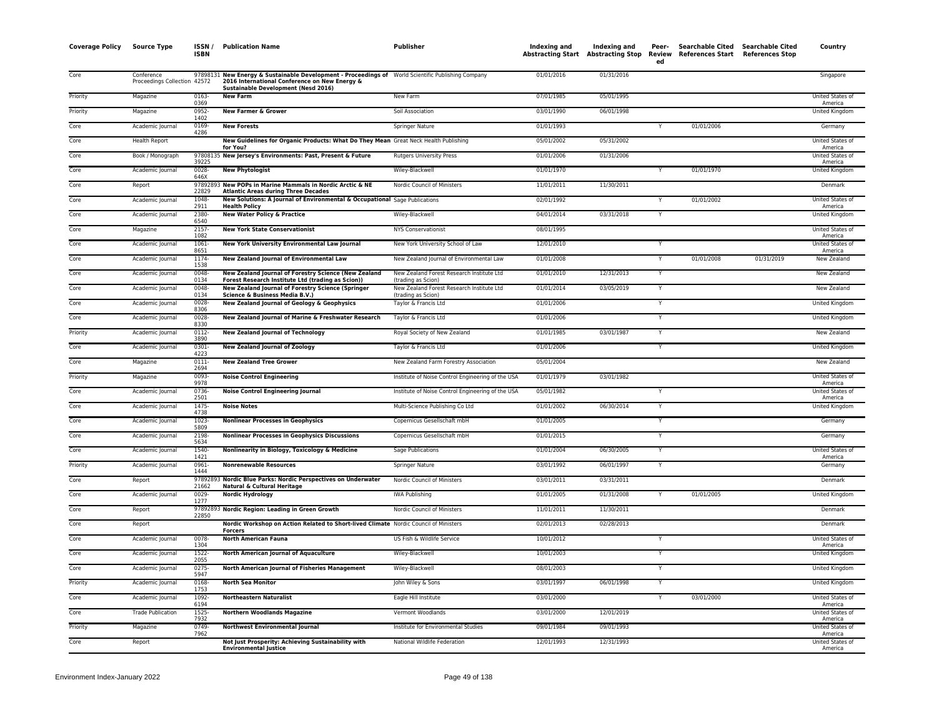| <b>Coverage Policy</b> | Source Type                                | ISSN /<br><b>ISBN</b> | <b>Publication Name</b>                                                                                                                                                                           | Publisher                                                       | Indexing and | Indexing and<br>Abstracting Start Abstracting Stop Review | Peer-<br>ed | <b>Searchable Cited</b><br>References Start References Stop | Searchable Cited | Country                            |
|------------------------|--------------------------------------------|-----------------------|---------------------------------------------------------------------------------------------------------------------------------------------------------------------------------------------------|-----------------------------------------------------------------|--------------|-----------------------------------------------------------|-------------|-------------------------------------------------------------|------------------|------------------------------------|
| Core                   | Conference<br>Proceedings Collection 42572 |                       | 97898131 New Energy & Sustainable Development - Proceedings of World Scientific Publishing Company<br>2016 International Conference on New Energy &<br><b>Sustainable Development (Nesd 2016)</b> |                                                                 | 01/01/2016   | 01/31/2016                                                |             |                                                             |                  | Singapore                          |
| Priority               | Magazine                                   | 0163<br>0369          | <b>New Farm</b>                                                                                                                                                                                   | New Farm                                                        | 07/01/1985   | 05/01/1995                                                |             |                                                             |                  | United States of<br>America        |
| Priority               | Magazine                                   | 0952-<br>1402         | <b>New Farmer &amp; Grower</b>                                                                                                                                                                    | Soil Association                                                | 03/01/1990   | 06/01/1998                                                |             |                                                             |                  | United Kingdom                     |
| Core                   | Academic Journal                           | 0169-<br>4286         | <b>New Forests</b>                                                                                                                                                                                | Springer Nature                                                 | 01/01/1993   |                                                           |             | 01/01/2006                                                  |                  | Germany                            |
| Core                   | Health Report                              |                       | New Guidelines for Organic Products: What Do They Mean Great Neck Health Publishing<br>for You?                                                                                                   |                                                                 | 05/01/2002   | 05/31/2002                                                |             |                                                             |                  | United States of<br>America        |
| Core                   | Book / Monograph                           | 39225                 | 97808135 New Jersey's Environments: Past, Present & Future                                                                                                                                        | <b>Rutgers University Press</b>                                 | 01/01/2006   | 01/31/2006                                                |             |                                                             |                  | United States of<br>America        |
| Core                   | Academic Journal                           | 0028-<br>646X         | <b>New Phytologist</b>                                                                                                                                                                            | Wiley-Blackwell                                                 | 01/01/1970   |                                                           | Y           | 01/01/1970                                                  |                  | United Kingdom                     |
| Core                   | Report                                     | 22829                 | 97892893 New POPs in Marine Mammals in Nordic Arctic & NE<br><b>Atlantic Areas during Three Decades</b>                                                                                           | Nordic Council of Ministers                                     | 11/01/2011   | 11/30/2011                                                |             |                                                             |                  | Denmark                            |
| Core                   | Academic Journal                           | 1048<br>2911          | New Solutions: A Journal of Environmental & Occupational Sage Publications<br><b>Health Policy</b>                                                                                                |                                                                 | 02/01/1992   |                                                           | Y           | 01/01/2002                                                  |                  | United States of<br>America        |
| Core                   | Academic Journal                           | 2380-<br>6540         | <b>New Water Policy &amp; Practice</b>                                                                                                                                                            | Wiley-Blackwell                                                 | 04/01/2014   | 03/31/2018                                                | Y           |                                                             |                  | <b>United Kingdom</b>              |
| Core                   | Magazine                                   | $2157 -$<br>1082      | <b>New York State Conservationist</b>                                                                                                                                                             | <b>NYS Conservationist</b>                                      | 08/01/1995   |                                                           |             |                                                             |                  | United States of<br>America        |
| Core                   | Academic Journal                           | $1061 -$<br>8651      | New York University Environmental Law Journal                                                                                                                                                     | New York University School of Law                               | 12/01/2010   |                                                           | Y           |                                                             |                  | United States of<br>America        |
| Core                   | Academic Journal                           | 1174-<br>1538         | New Zealand Journal of Environmental Law                                                                                                                                                          | New Zealand Journal of Environmental Law                        | 01/01/2008   |                                                           | Y           | 01/01/2008                                                  | 01/31/2019       | New Zealand                        |
| Core                   | Academic Journal                           | 0048-<br>0134         | New Zealand Journal of Forestry Science (New Zealand<br>Forest Research Institute Ltd (trading as Scion))                                                                                         | New Zealand Forest Research Institute Ltd<br>(trading as Scion) | 01/01/2010   | 12/31/2013                                                | Y           |                                                             |                  | New Zealand                        |
| Core                   | Academic Journal                           | 0048<br>0134          | New Zealand Journal of Forestry Science (Springer<br>Science & Business Media B.V.)                                                                                                               | New Zealand Forest Research Institute Ltd<br>(trading as Scion) | 01/01/2014   | 03/05/2019                                                |             |                                                             |                  | New Zealand                        |
| Core                   | Academic Journal                           | 0028<br>8306          | New Zealand Journal of Geology & Geophysics                                                                                                                                                       | Taylor & Francis Ltd                                            | 01/01/2006   |                                                           | Y           |                                                             |                  | <b>United Kingdom</b>              |
| Core                   | Academic Journal                           | 0028<br>8330          | New Zealand Journal of Marine & Freshwater Research                                                                                                                                               | Taylor & Francis Ltd                                            | 01/01/2006   |                                                           | Y           |                                                             |                  | United Kingdom                     |
| Priority               | Academic Journal                           | 0112<br>3890          | <b>New Zealand Journal of Technology</b>                                                                                                                                                          | Royal Society of New Zealand                                    | 01/01/1985   | 03/01/1987                                                | Y           |                                                             |                  | New Zealand                        |
| Core                   | Academic Journal                           | 0301<br>4223          | <b>New Zealand Journal of Zoology</b>                                                                                                                                                             | Taylor & Francis Ltd                                            | 01/01/2006   |                                                           | Y           |                                                             |                  | <b>United Kingdom</b>              |
| Core                   | Magazine                                   | $0111 -$<br>2694      | <b>New Zealand Tree Grower</b>                                                                                                                                                                    | New Zealand Farm Forestry Association                           | 05/01/2004   |                                                           |             |                                                             |                  | <b>New Zealand</b>                 |
| Priority               | Magazine                                   | 0093<br>9978          | <b>Noise Control Engineering</b>                                                                                                                                                                  | Institute of Noise Control Engineering of the USA               | 01/01/1979   | 03/01/1982                                                |             |                                                             |                  | <b>United States of</b><br>America |
| Core                   | Academic Journal                           | 0736<br>2501          | <b>Noise Control Engineering Journal</b>                                                                                                                                                          | Institute of Noise Control Engineering of the USA               | 05/01/1982   |                                                           | Y           |                                                             |                  | United States of<br>America        |
| Core                   | Academic Journal                           | 1475<br>4738          | <b>Noise Notes</b>                                                                                                                                                                                | Multi-Science Publishing Co Ltd                                 | 01/01/2002   | 06/30/2014                                                | Y           |                                                             |                  | United Kingdom                     |
| Core                   | Academic Journal                           | 1023<br>5809          | <b>Nonlinear Processes in Geophysics</b>                                                                                                                                                          | Copernicus Gesellschaft mbH                                     | 01/01/2005   |                                                           | Y           |                                                             |                  | Germany                            |
| Core                   | Academic Journal                           | 2198<br>5634          | <b>Nonlinear Processes in Geophysics Discussions</b>                                                                                                                                              | Copernicus Gesellschaft mbH                                     | 01/01/2015   |                                                           | Y           |                                                             |                  | Germany                            |
| Core                   | Academic Journal                           | 1540-<br>1421         | Nonlinearity in Biology, Toxicology & Medicine                                                                                                                                                    | Sage Publications                                               | 01/01/2004   | 06/30/2005                                                | Y           |                                                             |                  | United States o<br>America         |
| Priority               | Academic Journal                           | 0961-<br>1444         | <b>Nonrenewable Resources</b>                                                                                                                                                                     | Springer Nature                                                 | 03/01/1992   | 06/01/1997                                                | Y           |                                                             |                  | Germany                            |
| Core                   | Report                                     | 97892893<br>21662     | Nordic Blue Parks: Nordic Perspectives on Underwater<br>Natural & Cultural Heritage                                                                                                               | Nordic Council of Ministers                                     | 03/01/2011   | 03/31/2011                                                |             |                                                             |                  | Denmark                            |
| Core                   | Academic Journal                           | $0029 -$<br>1277      | <b>Nordic Hydrology</b>                                                                                                                                                                           | <b>IWA Publishing</b>                                           | 01/01/2005   | 01/31/2008                                                |             | 01/01/2005                                                  |                  | United Kingdom                     |
| Core                   | Report                                     | 22850                 | 97892893 Nordic Region: Leading in Green Growth                                                                                                                                                   | Nordic Council of Ministers                                     | 11/01/2011   | 11/30/2011                                                |             |                                                             |                  | Denmark                            |
| Core                   | Report                                     |                       | Nordic Workshop on Action Related to Short-lived Climate Nordic Council of Ministers<br><b>Forcers</b>                                                                                            |                                                                 | 02/01/2013   | 02/28/2013                                                |             |                                                             |                  | Denmark                            |
| Core                   | Academic Journal                           | 0078-<br>1304         | <b>North American Fauna</b>                                                                                                                                                                       | US Fish & Wildlife Service                                      | 10/01/2012   |                                                           | Y           |                                                             |                  | United States of<br>America        |
| Core                   | Academic Journal                           | 1522-<br>2055         | North American Journal of Aquaculture                                                                                                                                                             | Wiley-Blackwell                                                 | 10/01/2003   |                                                           |             |                                                             |                  | United Kingdom                     |
| Core                   | Academic Journal                           | $0275 -$<br>5947      | North American Journal of Fisheries Management                                                                                                                                                    | Wiley-Blackwell                                                 | 08/01/2003   |                                                           | Y           |                                                             |                  | <b>United Kingdom</b>              |
| Priority               | Academic Journal                           | 0168<br>1753          | <b>North Sea Monitor</b>                                                                                                                                                                          | John Wiley & Sons                                               | 03/01/1997   | 06/01/1998                                                | Y           |                                                             |                  | United Kingdom                     |
| Core                   | Academic Journal                           | 1092<br>6194          | <b>Northeastern Naturalist</b>                                                                                                                                                                    | Eagle Hill Institute                                            | 03/01/2000   |                                                           | Y           | 03/01/2000                                                  |                  | United States of<br>America        |
| Core                   | <b>Trade Publication</b>                   | 1525<br>7932          | <b>Northern Woodlands Magazine</b>                                                                                                                                                                | Vermont Woodlands                                               | 03/01/2000   | 12/01/2019                                                |             |                                                             |                  | United States of<br>America        |
| Priority               | Magazine                                   | 0749<br>7962          | <b>Northwest Environmental Journal</b>                                                                                                                                                            | Institute for Environmental Studies                             | 09/01/1984   | 09/01/1993                                                |             |                                                             |                  | United States of<br>America        |
| Core                   | Report                                     |                       | Not Just Prosperity: Achieving Sustainability with<br><b>Environmental Justice</b>                                                                                                                | National Wildlife Federation                                    | 12/01/1993   | 12/31/1993                                                |             |                                                             |                  | United States of<br>America        |
|                        |                                            |                       |                                                                                                                                                                                                   |                                                                 |              |                                                           |             |                                                             |                  |                                    |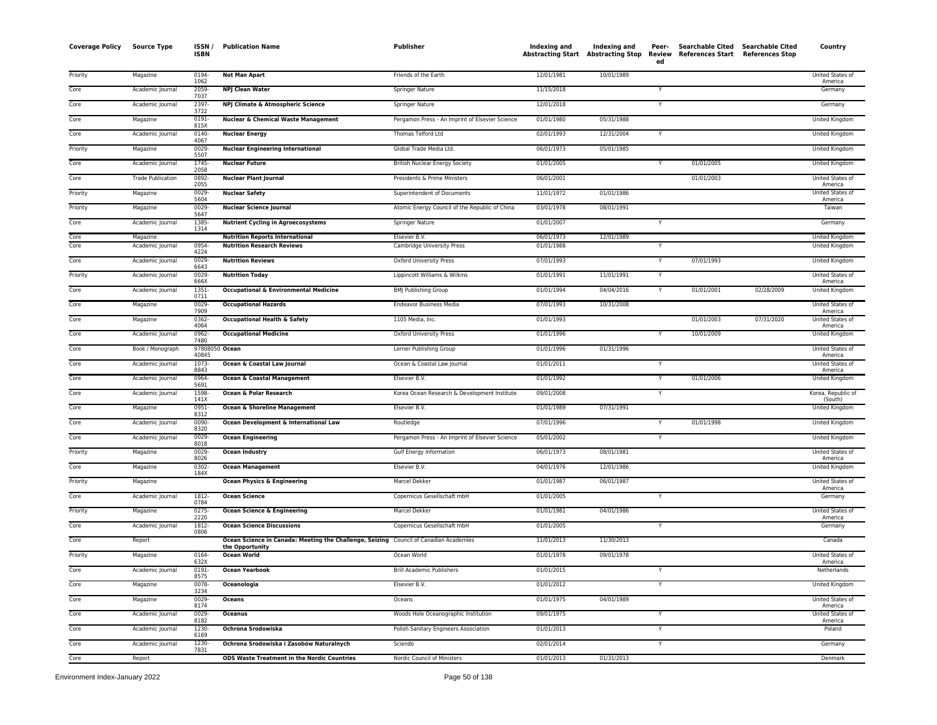| <b>Coverage Policy</b> | <b>Source Type</b>       | ISSN /<br><b>ISBN</b>   | <b>Publication Name</b>                                                               | Publisher                                       | Indexing and<br><b>Abstracting Start Abstracting Stop</b> | Indexing and | Peer-<br>Review<br>ed | Searchable Cited Searchable Cited<br>References Start | <b>References Stop</b> | Country                       |
|------------------------|--------------------------|-------------------------|---------------------------------------------------------------------------------------|-------------------------------------------------|-----------------------------------------------------------|--------------|-----------------------|-------------------------------------------------------|------------------------|-------------------------------|
| Priority               | Magazine                 | 0194<br>1062            | <b>Not Man Apart</b>                                                                  | Friends of the Earth                            | 12/01/1981                                                | 10/01/1989   |                       |                                                       |                        | United States of<br>America   |
| Core                   | Academic Journal         | 2059-<br>7037           | <b>NPJ Clean Water</b>                                                                | Springer Nature                                 | 11/15/2018                                                |              | Y                     |                                                       |                        | Germany                       |
| Core                   | Academic Journal         | 2397<br>3722            | NPJ Climate & Atmospheric Science                                                     | Springer Nature                                 | 12/01/2018                                                |              | Y                     |                                                       |                        | Germany                       |
| Core                   | Magazine                 | 0191<br>815X            | <b>Nuclear &amp; Chemical Waste Management</b>                                        | Pergamon Press - An Imprint of Elsevier Science | 01/01/1980                                                | 05/31/1988   |                       |                                                       |                        | United Kingdom                |
| Core                   | Academic Journal         | 0140                    | <b>Nuclear Energy</b>                                                                 | Thomas Telford Ltd                              | 02/01/1993                                                | 12/31/2004   | Y                     |                                                       |                        | United Kingdom                |
| Priority               | Magazine                 | 4067<br>$0029 -$        | <b>Nuclear Engineering International</b>                                              | Global Trade Media Ltd.                         | 06/01/1973                                                | 05/01/1985   |                       |                                                       |                        | United Kingdom                |
| Core                   | Academic Journal         | 5507<br>1745            | <b>Nuclear Future</b>                                                                 | <b>British Nuclear Energy Society</b>           | 01/01/2005                                                |              | Y                     | 01/01/2005                                            |                        | United Kingdom                |
| Core                   | <b>Trade Publication</b> | 2058<br>0892            | <b>Nuclear Plant Journal</b>                                                          | Presidents & Prime Ministers                    | 06/01/2001                                                |              |                       | 01/01/2003                                            |                        | United States of              |
| Priority               | Magazine                 | 2055<br>0029            | <b>Nuclear Safety</b>                                                                 | Superintendent of Documents                     | 11/01/1972                                                | 01/01/1986   |                       |                                                       |                        | America<br>United States of   |
| Priority               | Magazine                 | 5604<br>0029            | <b>Nuclear Science Journal</b>                                                        | Atomic Energy Council of the Republic of China  | 03/01/1978                                                | 08/01/1991   |                       |                                                       |                        | America<br>Taiwan             |
| Core                   | Academic Journal         | 5647<br>1385            | <b>Nutrient Cycling in Agroecosystems</b>                                             | Springer Nature                                 | 01/01/2007                                                |              | Y                     |                                                       |                        | Germany                       |
| Core                   | Magazine                 | 1314                    | <b>Nutrition Reports International</b>                                                | Elsevier B.V.                                   | 06/01/1973                                                | 12/01/1989   |                       |                                                       |                        | United Kingdom                |
| Core                   | Academic Journal         | 0954<br>4224            | <b>Nutrition Research Reviews</b>                                                     | Cambridge University Press                      | 01/01/1988                                                |              | Y                     |                                                       |                        | United Kingdom                |
| Core                   | Academic Journal         | 0029<br>6643            | <b>Nutrition Reviews</b>                                                              | Oxford University Press                         | 07/01/1993                                                |              | Y                     | 07/01/1993                                            |                        | United Kingdom                |
| Priority               | Academic Journal         | 0029<br>666X            | <b>Nutrition Today</b>                                                                | Lippincott Williams & Wilkins                   | 01/01/1991                                                | 11/01/1991   | Y                     |                                                       |                        | United States of<br>America   |
| Core                   | Academic Journal         | $1351 -$<br>0711        | <b>Occupational &amp; Environmental Medicine</b>                                      | <b>BMJ Publishing Group</b>                     | 01/01/1994                                                | 04/04/2016   | Y                     | 01/01/2001                                            | 02/28/2009             | United Kingdom                |
| Core                   | Magazine                 | 0029-<br>7909           | <b>Occupational Hazards</b>                                                           | Endeavor Business Media                         | 07/01/1993                                                | 10/31/2008   |                       |                                                       |                        | United States of<br>America   |
| Core                   | Magazine                 | 0362-<br>4064           | <b>Occupational Health &amp; Safety</b>                                               | 1105 Media, Inc.                                | 01/01/1993                                                |              |                       | 01/01/2003                                            | 07/31/2020             | United States of<br>America   |
| Core                   | Academic Journal         | 0962-<br>7480           | <b>Occupational Medicine</b>                                                          | Oxford University Press                         | 01/01/1996                                                |              | Y                     | 10/01/2009                                            |                        | United Kingdom                |
| Core                   | Book / Monograph         | 97808050 Ocean<br>40845 |                                                                                       | Lerner Publishing Group                         | 01/01/1996                                                | 01/31/1996   |                       |                                                       |                        | United States of<br>America   |
| Core                   | Academic Journal         | 1073<br>8843            | Ocean & Coastal Law Journal                                                           | Ocean & Coastal Law Journal                     | 01/01/2011                                                |              | Y                     |                                                       |                        | United States of<br>America   |
| Core                   | Academic Journal         | 0964<br>5691            | Ocean & Coastal Management                                                            | Elsevier B.V.                                   | 01/01/1992                                                |              | Y                     | 01/01/2006                                            |                        | United Kingdom                |
| Core                   | Academic Journal         | 1598-<br>141X           | Ocean & Polar Research                                                                | Korea Ocean Research & Development Institute    | 09/01/2008                                                |              | Y                     |                                                       |                        | Korea, Republic of<br>(South) |
| Core                   | Magazine                 | 0951<br>8312            | Ocean & Shoreline Management                                                          | Elsevier B.V.                                   | 01/01/1989                                                | 07/31/1991   |                       |                                                       |                        | United Kingdom                |
| Core                   | Academic Journal         | 0090<br>8320            | Ocean Development & International Law                                                 | Routledge                                       | 07/01/1996                                                |              | Y                     | 01/01/1998                                            |                        | United Kingdom                |
| Core                   | Academic Journal         | 0029<br>8018            | <b>Ocean Engineering</b>                                                              | Pergamon Press - An Imprint of Elsevier Science | 05/01/2002                                                |              | Y                     |                                                       |                        | United Kingdom                |
| Priority               | Magazine                 | 0029<br>8026            | <b>Ocean Industry</b>                                                                 | <b>Gulf Energy Information</b>                  | 06/01/1973                                                | 08/01/1981   |                       |                                                       |                        | United States of<br>America   |
| Core                   | Magazine                 | 0302-<br>184X           | <b>Ocean Management</b>                                                               | Elsevier B.V.                                   | 04/01/1976                                                | 12/01/1986   |                       |                                                       |                        | United Kingdom                |
| Priority               | Magazine                 |                         | <b>Ocean Physics &amp; Engineering</b>                                                | Marcel Dekker                                   | 01/01/1987                                                | 06/01/1987   |                       |                                                       |                        | United States of              |
| Core                   | Academic Journal         | 1812-<br>0784           | <b>Ocean Science</b>                                                                  | Copernicus Gesellschaft mbH                     | 01/01/2005                                                |              | Y                     |                                                       |                        | America<br>Germany            |
| Priority               | Magazine                 | 0275                    | Ocean Science & Engineering                                                           | Marcel Dekker                                   | 01/01/1981                                                | 04/01/1986   |                       |                                                       |                        | United States of              |
| Core                   | Academic Journal         | 2220<br>1812-           | <b>Ocean Science Discussions</b>                                                      | Copernicus Gesellschaft mbH                     | 01/01/2005                                                |              | Y                     |                                                       |                        | America<br>Germany            |
| Core                   | Report                   | 0806                    | Ocean Science in Canada: Meeting the Challenge, Seizing Council of Canadian Academies |                                                 | 11/01/2013                                                | 11/30/2013   |                       |                                                       |                        | Canada                        |
| Priority               | Magazine                 | 0164                    | the Opportunity<br><b>Ocean World</b>                                                 | Ocean World                                     | 01/01/1978                                                | 09/01/1978   |                       |                                                       |                        | United States of              |
| Core                   | Academic Journal         | 632X<br>$0191 -$        | <b>Ocean Yearbook</b>                                                                 | <b>Brill Academic Publishers</b>                | 01/01/2015                                                |              | Y                     |                                                       |                        | America<br>Netherlands        |
| Core                   | Magazine                 | 8575<br>0078-           | Oceanologia                                                                           | Elsevier B.V.                                   | 01/01/2012                                                |              | Y                     |                                                       |                        | United Kingdom                |
| Core                   | Magazine                 | 3234<br>0029-           | Oceans                                                                                | Oceans                                          | 01/01/1975                                                | 04/01/1989   |                       |                                                       |                        | United States of              |
| Core                   | Academic Journal         | 8174<br>0029            | <b>Oceanus</b>                                                                        | Woods Hole Oceanographic Institution            | 09/01/1975                                                |              | Y                     |                                                       |                        | America<br>United States of   |
| Core                   | Academic Journal         | 8182<br>1230            | Ochrona Srodowiska                                                                    | Polish Sanitary Engineers Association           | 01/01/2013                                                |              | Y                     |                                                       |                        | America<br>Poland             |
| Core                   | Academic Journal         | 6169<br>1230            | Ochrona Srodowiska i Zasobów Naturalnych                                              | Sciendo                                         | 02/01/2014                                                |              | Y                     |                                                       |                        | Germany                       |
| Core                   | Report                   | 7831                    | <b>ODS Waste Treatment in the Nordic Countries</b>                                    | Nordic Council of Ministers                     | 01/01/2013                                                | 01/31/2013   |                       |                                                       |                        | Denmark                       |
|                        |                          |                         |                                                                                       |                                                 |                                                           |              |                       |                                                       |                        |                               |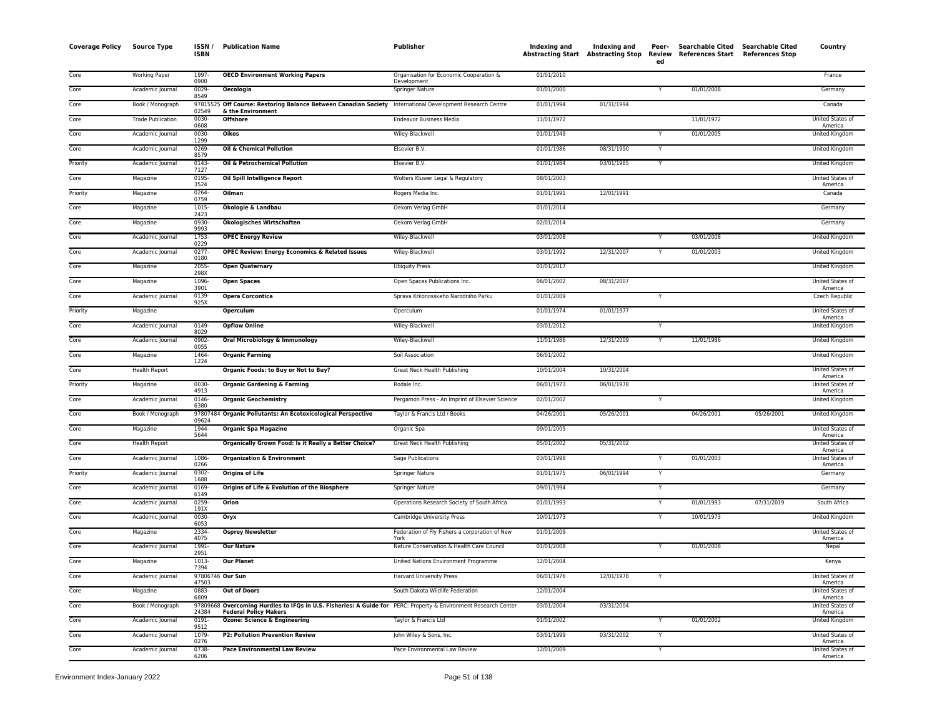| <b>Coverage Policy</b> | <b>Source Type</b>       | ISSN/<br><b>ISBN</b>     | <b>Publication Name</b>                                                                                                                         | Publisher                                              | <b>Indexing and</b> | Indexing and<br>Abstracting Start Abstracting Stop | Peer-<br>Review<br>ed | Searchable Cited Searchable Cited<br>References Start References Stop |            | Country                            |
|------------------------|--------------------------|--------------------------|-------------------------------------------------------------------------------------------------------------------------------------------------|--------------------------------------------------------|---------------------|----------------------------------------------------|-----------------------|-----------------------------------------------------------------------|------------|------------------------------------|
| Core                   | Working Paper            | 1997-                    | <b>OECD Environment Working Papers</b>                                                                                                          | Organisation for Economic Cooperation &                | 01/01/2010          |                                                    |                       |                                                                       |            | France                             |
| Core                   | Academic Journal         | 0900<br>$0029 -$<br>8549 | <b>Oecologia</b>                                                                                                                                | Development<br><b>Springer Nature</b>                  | 01/01/2000          |                                                    | Y                     | 01/01/2008                                                            |            | Germany                            |
| Core                   | Book / Monograph         | 97815525                 | Off Course: Restoring Balance Between Canadian Society                                                                                          | International Development Research Centre              | 01/01/1994          | 01/31/1994                                         |                       |                                                                       |            | Canada                             |
| Core                   | <b>Trade Publication</b> | 02549<br>0030-<br>0608   | & the Environment<br><b>Offshore</b>                                                                                                            | <b>Endeavor Business Media</b>                         | 11/01/1972          |                                                    |                       | 11/01/1972                                                            |            | United States of                   |
| Core                   | Academic Journal         | 0030-<br>1299            | <b>Oikos</b>                                                                                                                                    | Wiley-Blackwell                                        | 01/01/1949          |                                                    | Y                     | 01/01/2005                                                            |            | America<br>United Kingdom          |
| Core                   | Academic Journal         | $0269 -$<br>8579         | Oil & Chemical Pollution                                                                                                                        | Elsevier B.V.                                          | 01/01/1986          | 08/31/1990                                         | Y                     |                                                                       |            | United Kingdom                     |
| Priority               | Academic Journal         | 0143-                    | Oil & Petrochemical Pollution                                                                                                                   | Elsevier B.V.                                          | 01/01/1984          | 03/01/1985                                         | Y                     |                                                                       |            | United Kingdom                     |
| Core                   | Magazine                 | 7127<br>0195-<br>3524    | Oil Spill Intelligence Report                                                                                                                   | Wolters Kluwer Legal & Regulatory                      | 08/01/2003          |                                                    |                       |                                                                       |            | United States of<br>America        |
| Priority               | Magazine                 | 0264-<br>0759            | Oilman                                                                                                                                          | Rogers Media Inc.                                      | 01/01/1991          | 12/01/1991                                         |                       |                                                                       |            | Canada                             |
| Core                   | Magazine                 | 1015-<br>2423            | Ökologie & Landbau                                                                                                                              | Oekom Verlag GmbH                                      | 01/01/2014          |                                                    |                       |                                                                       |            | Germany                            |
| Core                   | Magazine                 | 0930-<br>9993            | Ökologisches Wirtschaften                                                                                                                       | Oekom Verlag GmbH                                      | 02/01/2014          |                                                    |                       |                                                                       |            | Germany                            |
| Core                   | Academic Journal         | 1753-<br>0229            | <b>OPEC Energy Review</b>                                                                                                                       | Wiley-Blackwell                                        | 03/01/2008          |                                                    | Y                     | 03/01/2008                                                            |            | <b>United Kingdom</b>              |
| Core                   | Academic Journal         | $0277 -$<br>0180         | OPEC Review: Energy Economics & Related Issues                                                                                                  | Wiley-Blackwell                                        | 03/01/1992          | 12/31/2007                                         | Y                     | 01/01/2003                                                            |            | United Kingdom                     |
| Core                   | Magazine                 | 2055-<br>298X            | <b>Open Quaternary</b>                                                                                                                          | <b>Ubiquity Press</b>                                  | 01/01/2017          |                                                    |                       |                                                                       |            | United Kingdom                     |
| Core                   | Magazine                 | 1096-<br>3901            | <b>Open Spaces</b>                                                                                                                              | Open Spaces Publications Inc.                          | 06/01/2002          | 08/31/2007                                         |                       |                                                                       |            | United States of<br>America        |
| Core                   | Academic Journal         | 0139-<br>925X            | <b>Opera Corcontica</b>                                                                                                                         | Sprava Krkonosskeho Narodniho Parku                    | 01/01/2009          |                                                    | Y                     |                                                                       |            | Czech Republic                     |
| Priority               | Magazine                 |                          | Operculum                                                                                                                                       | Operculum                                              | 01/01/1974          | 01/01/1977                                         |                       |                                                                       |            | United States of<br>America        |
| Core                   | Academic Journal         | 0149-<br>8029            | <b>Opflow Online</b>                                                                                                                            | Wiley-Blackwell                                        | 03/01/2012          |                                                    | Y                     |                                                                       |            | <b>United Kingdom</b>              |
| Core                   | Academic Journal         | 0902-<br>0055            | Oral Microbiology & Immunology                                                                                                                  | Wiley-Blackwell                                        | 11/01/1986          | 12/31/2009                                         | Y                     | 11/01/1986                                                            |            | <b>United Kingdom</b>              |
| Core                   | Magazine                 | 1464-<br>1224            | <b>Organic Farming</b>                                                                                                                          | Soil Association                                       | 06/01/2002          |                                                    |                       |                                                                       |            | United Kingdom                     |
| Core                   | <b>Health Report</b>     |                          | Organic Foods: to Buy or Not to Buy?                                                                                                            | Great Neck Health Publishing                           | 10/01/2004          | 10/31/2004                                         |                       |                                                                       |            | United States of<br>America        |
| Priority               | Magazine                 | $0030 -$<br>4913         | <b>Organic Gardening &amp; Farming</b>                                                                                                          | Rodale Inc.                                            | 06/01/1973          | 06/01/1978                                         |                       |                                                                       |            | United States of<br>America        |
| Core                   | Academic Journal         | 0146-<br>6380            | <b>Organic Geochemistry</b>                                                                                                                     | Pergamon Press - An Imprint of Elsevier Science        | 02/01/2002          |                                                    |                       |                                                                       |            | United Kingdom                     |
| Core                   | Book / Monograph         | 09624                    | 97807484 Organic Pollutants: An Ecotoxicological Perspective                                                                                    | Taylor & Francis Ltd / Books                           | 04/26/2001          | 05/26/2001                                         |                       | 04/26/2001                                                            | 05/26/2001 | United Kingdom                     |
| Core                   | Magazine                 | 1944-<br>5644            | <b>Organic Spa Magazine</b>                                                                                                                     | Organic Spa                                            | 09/01/2009          |                                                    |                       |                                                                       |            | United States of<br>America        |
| Core                   | <b>Health Report</b>     |                          | Organically Grown Food: Is it Really a Better Choice?                                                                                           | Great Neck Health Publishing                           | 05/01/2002          | 05/31/2002                                         |                       |                                                                       |            | United States of<br>America        |
| Core                   | Academic Journal         | 1086-<br>0266            | <b>Organization &amp; Environment</b>                                                                                                           | <b>Sage Publications</b>                               | 03/01/1998          |                                                    | Υ                     | 01/01/2003                                                            |            | United States of<br>America        |
| Priority               | Academic Journal         | 0302-<br>1688            | <b>Origins of Life</b>                                                                                                                          | Springer Nature                                        | 01/01/1975          | 06/01/1994                                         | Y                     |                                                                       |            | Germany                            |
| Core                   | Academic Journal         | 0169-<br>6149            | Origins of Life & Evolution of the Biosphere                                                                                                    | <b>Springer Nature</b>                                 | 09/01/1994          |                                                    | Y                     |                                                                       |            | Germany                            |
| Core                   | Academic Journal         | 0259-<br>191X            | Orion                                                                                                                                           | Operations Research Society of South Africa            | 01/01/1993          |                                                    | Ÿ                     | 01/01/1993                                                            | 07/31/2019 | South Africa                       |
| Core                   | Academic Journal         | $0030 -$<br>6053         | Oryx                                                                                                                                            | Cambridge University Press                             | 10/01/1973          |                                                    | Y                     | 10/01/1973                                                            |            | <b>United Kingdom</b>              |
| Core                   | Magazine                 | 2334<br>4075             | <b>Osprey Newsletter</b>                                                                                                                        | Federation of Fly Fishers a corporation of New<br>York | 01/01/2009          |                                                    |                       |                                                                       |            | United States of<br>America        |
| Core                   | Academic Journal         | 1991-<br>2951            | <b>Our Nature</b>                                                                                                                               | Nature Conservation & Health Care Council              | 01/01/2008          |                                                    | Y                     | 01/01/2008                                                            |            | Nepal                              |
| Core                   | Magazine                 | 1013-<br>7394            | <b>Our Planet</b>                                                                                                                               | United Nations Environment Programme                   | 12/01/2004          |                                                    |                       |                                                                       |            | Kenya                              |
| Core                   | Academic Journal         | 47503                    | 97806746 Our Sun                                                                                                                                | Harvard University Press                               | 06/01/1976          | 12/01/1978                                         | Y                     |                                                                       |            | United States of<br>America        |
| Core                   | Magazine                 | 0883-<br>6809            | <b>Out of Doors</b>                                                                                                                             | South Dakota Wildlife Federation                       | 12/01/2004          |                                                    |                       |                                                                       |            | United States of<br>America        |
| Core                   | Book / Monograph         | 24384                    | 97809668 Overcoming Hurdles to IFQs in U.S. Fisheries: A Guide for PERC: Property & Environment Research Center<br><b>Federal Policy Makers</b> |                                                        | 03/01/2004          | 03/31/2004                                         |                       |                                                                       |            | United States of<br>America        |
| Core                   | Academic Journal         | $0191 -$<br>9512         | <b>Ozone: Science &amp; Engineering</b>                                                                                                         | Taylor & Francis Ltd                                   | 01/01/2002          |                                                    | Y                     | 01/01/2002                                                            |            | United Kingdom                     |
| Core                   | Academic Journal         | 1079<br>0276             | <b>P2: Pollution Prevention Review</b>                                                                                                          | John Wiley & Sons, Inc.                                | 03/01/1999          | 03/31/2002                                         | Y                     |                                                                       |            | <b>United States of</b><br>America |
| Core                   | Academic Journal         | 0738<br>6206             | <b>Pace Environmental Law Review</b>                                                                                                            | Pace Environmental Law Review                          | 12/01/2009          |                                                    | Y                     |                                                                       |            | United States of<br>America        |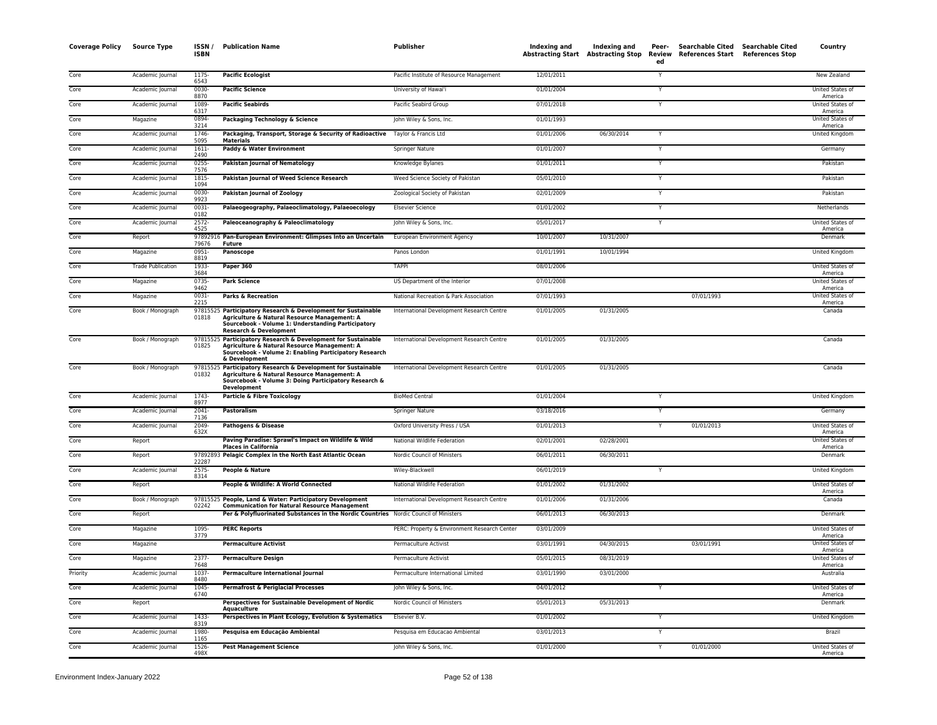| <b>Coverage Policy</b> | <b>Source Type</b>       | ISSN /<br><b>ISBN</b> | <b>Publication Name</b>                                                                                                                                                                                  | <b>Publisher</b>                             | Indexing and | Indexing and<br><b>Abstracting Start Abstracting Stop</b> | Peer-<br>ed             | Searchable Cited Searchable Cited<br>Review References Start References Stop | Country                            |
|------------------------|--------------------------|-----------------------|----------------------------------------------------------------------------------------------------------------------------------------------------------------------------------------------------------|----------------------------------------------|--------------|-----------------------------------------------------------|-------------------------|------------------------------------------------------------------------------|------------------------------------|
| Core                   | Academic Journal         | 1175<br>6543          | <b>Pacific Ecologist</b>                                                                                                                                                                                 | Pacific Institute of Resource Management     | 12/01/2011   |                                                           | Y                       |                                                                              | New Zealand                        |
| Core                   | Academic Journal         | 0030-<br>8870         | <b>Pacific Science</b>                                                                                                                                                                                   | University of Hawai'i                        | 01/01/2004   |                                                           | Y                       |                                                                              | United States of<br>America        |
| Core                   | Academic Journal         | 1089<br>6317          | <b>Pacific Seabirds</b>                                                                                                                                                                                  | Pacific Seabird Group                        | 07/01/2018   |                                                           | Y                       |                                                                              | United States of<br>America        |
| Core                   | Magazine                 | 0894<br>3214          | Packaging Technology & Science                                                                                                                                                                           | John Wiley & Sons, Inc.                      | 01/01/1993   |                                                           |                         |                                                                              | United States of<br>America        |
| Core                   | Academic Journal         | 1746<br>5095          | Packaging, Transport, Storage & Security of Radioactive Taylor & Francis Ltd<br><b>Materials</b>                                                                                                         |                                              | 01/01/2006   | 06/30/2014                                                | Y                       |                                                                              | United Kingdom                     |
| Core                   | Academic Journal         | $1611 -$<br>2490      | Paddy & Water Environment                                                                                                                                                                                | Springer Nature                              | 01/01/2007   |                                                           | Y                       |                                                                              | Germany                            |
| Core                   | Academic Journal         | 0255<br>7576          | <b>Pakistan Journal of Nematology</b>                                                                                                                                                                    | Knowledge Bylanes                            | 01/01/2011   |                                                           | $\overline{\mathsf{Y}}$ |                                                                              | Pakistan                           |
| Core                   | Academic Journal         | 1815<br>1094          | Pakistan Journal of Weed Science Research                                                                                                                                                                | Weed Science Society of Pakistan             | 05/01/2010   |                                                           | Υ                       |                                                                              | Pakistan                           |
| Core                   | Academic Journal         | 0030-<br>9923         | Pakistan Journal of Zoology                                                                                                                                                                              | Zoological Society of Pakistan               | 02/01/2009   |                                                           | Υ                       |                                                                              | Pakistan                           |
| Core                   | Academic Journal         | $0031 -$<br>0182      | Palaeogeography, Palaeoclimatology, Palaeoecology                                                                                                                                                        | <b>Elsevier Science</b>                      | 01/01/2002   |                                                           | Y                       |                                                                              | Netherlands                        |
| Core                   | Academic Journal         | $2572 -$<br>4525      | Paleoceanography & Paleoclimatology                                                                                                                                                                      | John Wiley & Sons, Inc.                      | 05/01/2017   |                                                           | Y                       |                                                                              | United States of<br>America        |
| Core                   | Report                   | 79676                 | 97892916 Pan-European Environment: Glimpses Into an Uncertain<br>Future                                                                                                                                  | European Environment Agency                  | 10/01/2007   | 10/31/2007                                                |                         |                                                                              | Denmark                            |
| Core                   | Magazine                 | $0951 -$<br>8819      | Panoscope                                                                                                                                                                                                | Panos London                                 | 01/01/1991   | 10/01/1994                                                |                         |                                                                              | <b>United Kingdom</b>              |
| Core                   | <b>Trade Publication</b> | 1933-<br>3684         | Paper 360                                                                                                                                                                                                | <b>TAPPI</b>                                 | 08/01/2006   |                                                           |                         |                                                                              | United States of<br>America        |
| Core                   | Magazine                 | 0735<br>9462          | <b>Park Science</b>                                                                                                                                                                                      | US Department of the Interior                | 07/01/2008   |                                                           |                         |                                                                              | <b>United States of</b><br>America |
| Core                   | Magazine                 | $0031 -$<br>2215      | <b>Parks &amp; Recreation</b>                                                                                                                                                                            | National Recreation & Park Association       | 07/01/1993   |                                                           |                         | 07/01/1993                                                                   | United States of<br>America        |
| Core                   | Book / Monograph         | 01818                 | 97815525 Participatory Research & Development for Sustainable<br>Agriculture & Natural Resource Management: A<br>Sourcebook - Volume 1: Understanding Participatory<br><b>Research &amp; Development</b> | International Development Research Centre    | 01/01/2005   | 01/31/2005                                                |                         |                                                                              | Canada                             |
| Core                   | Book / Monograph         | 01825                 | 97815525 Participatory Research & Development for Sustainable<br>Agriculture & Natural Resource Management: A<br>Sourcebook - Volume 2: Enabling Participatory Research<br>& Development                 | International Development Research Centre    | 01/01/2005   | 01/31/2005                                                |                         |                                                                              | Canada                             |
| Core                   | Book / Monograph         | 01832                 | 97815525 Participatory Research & Development for Sustainable<br>Agriculture & Natural Resource Management: A<br>Sourcebook - Volume 3: Doing Participatory Research &<br><b>Development</b>             | International Development Research Centre    | 01/01/2005   | 01/31/2005                                                |                         |                                                                              | Canada                             |
| Core                   | Academic Journal         | 1743-<br>8977         | Particle & Fibre Toxicology                                                                                                                                                                              | <b>BioMed Central</b>                        | 01/01/2004   |                                                           |                         |                                                                              | United Kingdom                     |
| Core                   | Academic Journal         | 2041-<br>7136         | Pastoralism                                                                                                                                                                                              | Springer Nature                              | 03/18/2016   |                                                           | $\mathsf{Y}$            |                                                                              | Germany                            |
| Core                   | Academic Journal         | $2049 -$<br>632X      | <b>Pathogens &amp; Disease</b>                                                                                                                                                                           | Oxford University Press / USA                | 01/01/2013   |                                                           | Y                       | 01/01/2013                                                                   | United States of<br>America        |
| Core                   | Report                   |                       | Paving Paradise: Sprawl's Impact on Wildlife & Wild<br><b>Places in California</b>                                                                                                                       | National Wildlife Federation                 | 02/01/2001   | 02/28/2001                                                |                         |                                                                              | United States of<br>America        |
| Core                   | Report                   | 22287                 | 97892893 Pelagic Complex in the North East Atlantic Ocean                                                                                                                                                | Nordic Council of Ministers                  | 06/01/2011   | 06/30/2011                                                |                         |                                                                              | Denmark                            |
| Core                   | Academic Journal         | $2575 -$<br>8314      | <b>People &amp; Nature</b>                                                                                                                                                                               | Wiley-Blackwell                              | 06/01/2019   |                                                           | Y                       |                                                                              | United Kingdom                     |
| Core                   | Report                   |                       | People & Wildlife: A World Connected                                                                                                                                                                     | National Wildlife Federation                 | 01/01/2002   | 01/31/2002                                                |                         |                                                                              | United States of<br>America        |
| Core                   | Book / Monograph         | 02242                 | 97815525 People, Land & Water: Participatory Development<br><b>Communication for Natural Resource Management</b>                                                                                         | International Development Research Centre    | 01/01/2006   | 01/31/2006                                                |                         |                                                                              | Canada                             |
| Core                   | Report                   |                       | Per & Polyfluorinated Substances in the Nordic Countries Nordic Council of Ministers                                                                                                                     |                                              | 06/01/2013   | 06/30/2013                                                |                         |                                                                              | Denmark                            |
| Core                   | Magazine                 | 1095-<br>3779         | <b>PERC Reports</b>                                                                                                                                                                                      | PERC: Property & Environment Research Center | 03/01/2009   |                                                           |                         |                                                                              | United States of<br>America        |
| Core                   | Magazine                 |                       | <b>Permaculture Activist</b>                                                                                                                                                                             | Permaculture Activist                        | 03/01/1991   | 04/30/2015                                                |                         | 03/01/1991                                                                   | United States of<br>America        |
| Core                   | Magazine                 | $2377 -$<br>7648      | <b>Permaculture Design</b>                                                                                                                                                                               | Permaculture Activist                        | 05/01/2015   | 08/31/2019                                                |                         |                                                                              | United States of<br>America        |
| Priority               | Academic Journal         | 1037<br>8480          | Permaculture International Journal                                                                                                                                                                       | Permaculture International Limited           | 03/01/1990   | 03/01/2000                                                |                         |                                                                              | Australia                          |
| Core                   | Academic Journal         | 1045-<br>6740         | <b>Permafrost &amp; Periglacial Processes</b>                                                                                                                                                            | John Wiley & Sons, Inc.                      | 04/01/2012   |                                                           | Y                       |                                                                              | United States of<br>America        |
| Core                   | Report                   |                       | Perspectives for Sustainable Development of Nordic<br>Aquaculture                                                                                                                                        | Nordic Council of Ministers                  | 05/01/2013   | 05/31/2013                                                |                         |                                                                              | Denmark                            |
| Core                   | Academic Journal         | 1433<br>8319          | Perspectives in Plant Ecology, Evolution & Systematics                                                                                                                                                   | Elsevier B.V.                                | 01/01/2002   |                                                           | Y                       |                                                                              | United Kingdom                     |
| Core                   | Academic Journal         | 1980-<br>1165         | Pesquisa em Educação Ambiental                                                                                                                                                                           | Pesquisa em Educacao Ambiental               | 03/01/2013   |                                                           | Y                       |                                                                              | Brazil                             |
| Core                   | Academic Journal         | 1526<br>498X          | <b>Pest Management Science</b>                                                                                                                                                                           | John Wiley & Sons, Inc.                      | 01/01/2000   |                                                           | $\overline{Y}$          | 01/01/2000                                                                   | <b>United States of</b><br>America |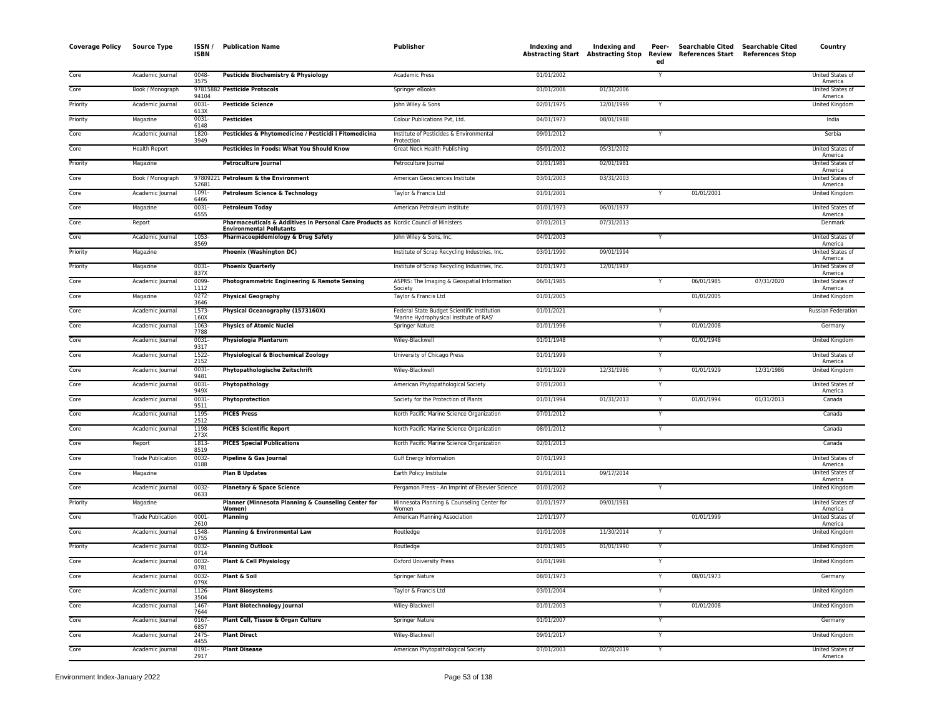| Coverage Policy | <b>Source Type</b>       | ISSN/<br><b>ISBN</b>  | <b>Publication Name</b>                                                                                                 | <b>Publisher</b>                                                                       | Indexing and | Indexing and<br>Abstracting Start Abstracting Stop | Peer-<br>Review<br>ed | <b>Searchable Cited</b><br>References Start References Stop | <b>Searchable Cited</b> | Country                                |
|-----------------|--------------------------|-----------------------|-------------------------------------------------------------------------------------------------------------------------|----------------------------------------------------------------------------------------|--------------|----------------------------------------------------|-----------------------|-------------------------------------------------------------|-------------------------|----------------------------------------|
| Core            | Academic Journal         | 0048-<br>3575         | Pesticide Biochemistry & Physiology                                                                                     | <b>Academic Press</b>                                                                  | 01/01/2002   |                                                    | Y                     |                                                             |                         | United States of                       |
| Core            | Book / Monograph         |                       | 97815882 Pesticide Protocols                                                                                            | Springer eBooks                                                                        | 01/01/2006   | 01/31/2006                                         |                       |                                                             |                         | America<br><b>United States of</b>     |
| Priority        | Academic Journal         | 94104<br>0031-        | <b>Pesticide Science</b>                                                                                                | John Wiley & Sons                                                                      | 02/01/1975   | 12/01/1999                                         |                       |                                                             |                         | America<br>United Kingdom              |
| Priority        | Magazine                 | 613X<br>$0031 -$      | <b>Pesticides</b>                                                                                                       | Colour Publications Pvt, Ltd.                                                          | 04/01/1973   | 08/01/1988                                         |                       |                                                             |                         | India                                  |
| Core            | Academic Journal         | 6148<br>1820-<br>3949 | Pesticides & Phytomedicine / Pesticidi i Fitomedicina                                                                   | Institute of Pesticides & Environmental<br>Protection                                  | 09/01/2012   |                                                    | Y                     |                                                             |                         | Serbia                                 |
| Core            | <b>Health Report</b>     |                       | Pesticides in Foods: What You Should Know                                                                               | Great Neck Health Publishing                                                           | 05/01/2002   | 05/31/2002                                         |                       |                                                             |                         | United States of                       |
| Priority        | Magazine                 |                       | <b>Petroculture Journal</b>                                                                                             | Petroculture Journal                                                                   | 01/01/1981   | 02/01/1981                                         |                       |                                                             |                         | America<br>United States of            |
| Core            | Book / Monograph         | 52681                 | 97809221 Petroleum & the Environment                                                                                    | American Geosciences Institute                                                         | 03/01/2003   | 03/31/2003                                         |                       |                                                             |                         | America<br>United States of<br>America |
| Core            | Academic Journal         | 1091-<br>6466         | Petroleum Science & Technology                                                                                          | Taylor & Francis Ltd                                                                   | 01/01/2001   |                                                    | $\mathsf{Y}$          | 01/01/2001                                                  |                         | United Kingdom                         |
| Core            | Magazine                 | $0031 -$<br>6555      | <b>Petroleum Today</b>                                                                                                  | American Petroleum Institute                                                           | 01/01/1973   | 06/01/1977                                         |                       |                                                             |                         | United States of<br>America            |
| Core            | Report                   |                       | Pharmaceuticals & Additives in Personal Care Products as Nordic Council of Ministers<br><b>Environmental Pollutants</b> |                                                                                        | 07/01/2013   | 07/31/2013                                         |                       |                                                             |                         | Denmark                                |
| Core            | Academic Journal         | 1053-<br>8569         | Pharmacoepidemiology & Drug Safety                                                                                      | John Wiley & Sons, Inc.                                                                | 04/01/2003   |                                                    |                       |                                                             |                         | United States of<br>America            |
| Priority        | Magazine                 |                       | <b>Phoenix (Washington DC)</b>                                                                                          | Institute of Scrap Recycling Industries, Inc.                                          | 03/01/1990   | 09/01/1994                                         |                       |                                                             |                         | United States of<br>America            |
| Priority        | Magazine                 | 0031-<br>837X         | <b>Phoenix Quarterly</b>                                                                                                | Institute of Scrap Recycling Industries, Inc.                                          | 01/01/1973   | 12/01/1987                                         |                       |                                                             |                         | United States of<br>America            |
| Core            | Academic Journal         | 0099-<br>1112         | Photogrammetric Engineering & Remote Sensing                                                                            | ASPRS: The Imaging & Geospatial Information<br>Society                                 | 06/01/1985   |                                                    |                       | 06/01/1985                                                  | 07/31/2020              | United States of<br>America            |
| Core            | Magazine                 | $0272 -$<br>3646      | <b>Physical Geography</b>                                                                                               | Taylor & Francis Ltd                                                                   | 01/01/2005   |                                                    |                       | 01/01/2005                                                  |                         | United Kingdom                         |
| Core            | Academic Journal         | $1573-$<br>160X       | Physical Oceanography (1573160X)                                                                                        | Federal State Budget Scientific Institution<br>'Marine Hydrophysical Institute of RAS' | 01/01/2021   |                                                    | Y                     |                                                             |                         | Russian Federation                     |
| Core            | Academic Journal         | 1063-<br>7788         | <b>Physics of Atomic Nuclei</b>                                                                                         | Springer Nature                                                                        | 01/01/1996   |                                                    | Y                     | 01/01/2008                                                  |                         | Germany                                |
| Core            | Academic Journal         | 0031-<br>9317         | Physiologia Plantarum                                                                                                   | Wiley-Blackwell                                                                        | 01/01/1948   |                                                    | Y                     | 01/01/1948                                                  |                         | United Kingdom                         |
| Core            | Academic Journal         | 1522-<br>2152         | Physiological & Biochemical Zoology                                                                                     | University of Chicago Press                                                            | 01/01/1999   |                                                    | Y                     |                                                             |                         | United States of<br>America            |
| Core            | Academic Journal         | 0031<br>9481          | <b>Phytopathologische Zeitschrift</b>                                                                                   | Wiley-Blackwell                                                                        | 01/01/1929   | 12/31/1986                                         | Y                     | 01/01/1929                                                  | 12/31/1986              | United Kingdom                         |
| Core            | Academic Journal         | $0031 -$<br>949X      | Phytopathology                                                                                                          | American Phytopathological Society                                                     | 07/01/2003   |                                                    |                       |                                                             |                         | <b>United States of</b><br>America     |
| Core            | Academic Journal         | $0031 -$<br>9511      | Phytoprotection                                                                                                         | Society for the Protection of Plants                                                   | 01/01/1994   | 01/31/2013                                         | Y                     | 01/01/1994                                                  | 01/31/2013              | Canada                                 |
| Core            | Academic Journal         | 1195-<br>2512         | <b>PICES Press</b>                                                                                                      | North Pacific Marine Science Organization                                              | 07/01/2012   |                                                    | Y                     |                                                             |                         | Canada                                 |
| Core            | Academic Journal         | 1198-<br>273X         | <b>PICES Scientific Report</b>                                                                                          | North Pacific Marine Science Organization                                              | 08/01/2012   |                                                    | Y                     |                                                             |                         | Canada                                 |
| Core            | Report                   | 1813-<br>8519         | <b>PICES Special Publications</b>                                                                                       | North Pacific Marine Science Organization                                              | 02/01/2013   |                                                    |                       |                                                             |                         | Canada                                 |
| Core            | <b>Trade Publication</b> | 0032-<br>0188         | Pipeline & Gas Journal                                                                                                  | Gulf Energy Information                                                                | 07/01/1993   |                                                    |                       |                                                             |                         | <b>United States of</b><br>America     |
| Core            | Magazine                 |                       | <b>Plan B Updates</b>                                                                                                   | Earth Policy Institute                                                                 | 01/01/2011   | 09/17/2014                                         |                       |                                                             |                         | United States of<br>America            |
| Core            | Academic Journal         | $0032 -$<br>0633      | <b>Planetary &amp; Space Science</b>                                                                                    | Pergamon Press - An Imprint of Elsevier Science                                        | 01/01/2002   |                                                    | Y                     |                                                             |                         | <b>United Kingdom</b>                  |
| Priority        | Magazine                 |                       | Planner (Minnesota Planning & Counseling Center for<br>Women)                                                           | Minnesota Planning & Counseling Center for<br>Women                                    | 01/01/1977   | 09/01/1981                                         |                       |                                                             |                         | <b>United States of</b><br>America     |
| Core            | <b>Trade Publication</b> | 0001-<br>2610         | Planning                                                                                                                | American Planning Association                                                          | 12/01/1977   |                                                    |                       | 01/01/1999                                                  |                         | United States of<br>America            |
| Core            | Academic Journal         | 1548-<br>0755         | <b>Planning &amp; Environmental Law</b>                                                                                 | Routledge                                                                              | 01/01/2008   | 11/30/2014                                         |                       |                                                             |                         | United Kingdom                         |
| Priority        | Academic Journal         | 0032-<br>0714         | <b>Planning Outlook</b>                                                                                                 | Routledge                                                                              | 01/01/1985   | 01/01/1990                                         | Y                     |                                                             |                         | United Kingdom                         |
| Core            | Academic Journal         | 0032-<br>0781         | <b>Plant &amp; Cell Physiology</b>                                                                                      | <b>Oxford University Press</b>                                                         | 01/01/1996   |                                                    | Y                     |                                                             |                         | United Kingdom                         |
| Core            | Academic Journal         | 0032-<br>079X         | Plant & Soil                                                                                                            | Springer Nature                                                                        | 08/01/1973   |                                                    | Y                     | 08/01/1973                                                  |                         | Germany                                |
| Core            | Academic Journal         | 1126-<br>3504         | <b>Plant Biosystems</b>                                                                                                 | Taylor & Francis Ltd                                                                   | 03/01/2004   |                                                    | Y                     |                                                             |                         | United Kingdom                         |
| Core            | Academic Journal         | 1467-<br>7644         | <b>Plant Biotechnology Journal</b>                                                                                      | Wiley-Blackwell                                                                        | 01/01/2003   |                                                    | Y                     | 01/01/2008                                                  |                         | United Kingdom                         |
| Core            | Academic Journal         | 0167-<br>6857         | Plant Cell, Tissue & Organ Culture                                                                                      | Springer Nature                                                                        | 01/01/2007   |                                                    | Y                     |                                                             |                         | Germany                                |
| Core            | Academic Journal         | 2475-<br>4455         | <b>Plant Direct</b>                                                                                                     | Wiley-Blackwell                                                                        | 09/01/2017   |                                                    | Y                     |                                                             |                         | United Kingdom                         |
| Core            | Academic Journal         | 0191<br>2917          | <b>Plant Disease</b>                                                                                                    | American Phytopathological Society                                                     | 07/01/2003   | 02/28/2019                                         | Y                     |                                                             |                         | United States of<br>America            |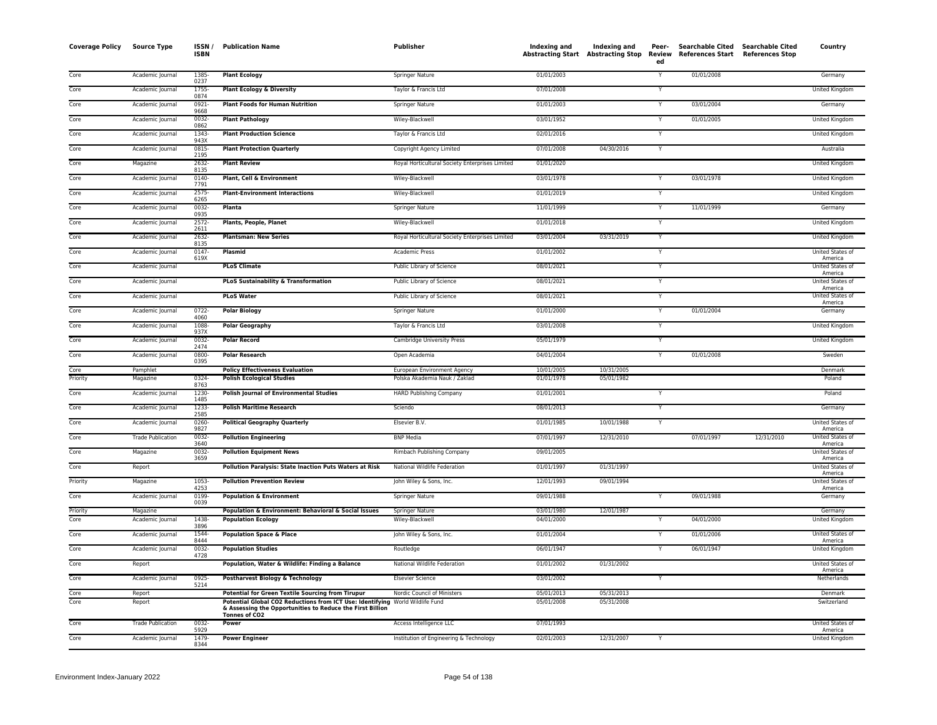| <b>Coverage Policy</b> | <b>Source Type</b>       | ISSN/<br><b>ISBN</b> | <b>Publication Name</b>                                                                                                                   | Publisher                                       | Indexing and             | Indexing and<br>Abstracting Start Abstracting Stop Review | Peer-<br>ed    | Searchable Cited Searchable Cited<br>References Start References Stop |            | Country                            |
|------------------------|--------------------------|----------------------|-------------------------------------------------------------------------------------------------------------------------------------------|-------------------------------------------------|--------------------------|-----------------------------------------------------------|----------------|-----------------------------------------------------------------------|------------|------------------------------------|
| Core                   | Academic Journal         | 1385-<br>0237        | <b>Plant Ecology</b>                                                                                                                      | <b>Springer Nature</b>                          | 01/01/2003               |                                                           | Y              | 01/01/2008                                                            |            | Germany                            |
| Core                   | Academic Journal         | 1755-<br>0874        | <b>Plant Ecology &amp; Diversity</b>                                                                                                      | Taylor & Francis Ltd                            | 07/01/2008               |                                                           | Y              |                                                                       |            | United Kingdom                     |
| Core                   | Academic Journal         | 0921<br>9668         | <b>Plant Foods for Human Nutrition</b>                                                                                                    | <b>Springer Nature</b>                          | 01/01/2003               |                                                           | Y              | 03/01/2004                                                            |            | Germany                            |
| Core                   | Academic Journal         | $0032 -$<br>0862     | <b>Plant Pathology</b>                                                                                                                    | Wiley-Blackwell                                 | 03/01/1952               |                                                           | Y              | 01/01/2005                                                            |            | United Kingdom                     |
| Core                   | Academic Journal         | 1343-<br>943X        | <b>Plant Production Science</b>                                                                                                           | Taylor & Francis Ltd                            | 02/01/2016               |                                                           | Y              |                                                                       |            | United Kingdom                     |
| Core                   | Academic Journal         | 0815-<br>2195        | <b>Plant Protection Quarterly</b>                                                                                                         | Copyright Agency Limited                        | 07/01/2008               | 04/30/2016                                                | Y              |                                                                       |            | Australia                          |
| Core                   | Magazine                 | 2632-<br>8135        | <b>Plant Review</b>                                                                                                                       | Royal Horticultural Society Enterprises Limited | 01/01/2020               |                                                           |                |                                                                       |            | United Kingdom                     |
| Core                   | Academic Journal         | $0140 -$<br>7791     | Plant, Cell & Environment                                                                                                                 | Wiley-Blackwell                                 | 03/01/1978               |                                                           | Y              | 03/01/1978                                                            |            | United Kingdom                     |
| Core                   | Academic Journal         | 2575-<br>6265        | <b>Plant-Environment Interactions</b>                                                                                                     | Wiley-Blackwell                                 | 01/01/2019               |                                                           | Y              |                                                                       |            | United Kingdom                     |
| Core                   | Academic Journal         | $0032 -$<br>0935     | Planta                                                                                                                                    | Springer Nature                                 | 11/01/1999               |                                                           |                | 11/01/1999                                                            |            | Germany                            |
| Core                   | Academic Journal         | 2572-<br>2611        | Plants, People, Planet                                                                                                                    | Wiley-Blackwell                                 | 01/01/2018               |                                                           | $\overline{Y}$ |                                                                       |            | <b>United Kingdom</b>              |
| Core                   | Academic Journal         | 2632-<br>8135        | <b>Plantsman: New Series</b>                                                                                                              | Royal Horticultural Society Enterprises Limited | 03/01/2004               | 03/31/2019                                                | Y              |                                                                       |            | United Kingdom                     |
| Core                   | Academic Journal         | 0147-<br>619X        | <b>Plasmid</b>                                                                                                                            | Academic Press                                  | 01/01/2002               |                                                           | Y              |                                                                       |            | United States of<br>America        |
| Core                   | Academic Journal         |                      | <b>PLoS Climate</b>                                                                                                                       | Public Library of Science                       | 08/01/2021               |                                                           | Y              |                                                                       |            | United States of<br>America        |
| Core                   | Academic Journal         |                      | <b>PLoS Sustainability &amp; Transformation</b>                                                                                           | Public Library of Science                       | 08/01/2021               |                                                           | $\mathsf{Y}$   |                                                                       |            | United States of<br>America        |
| Core                   | Academic Journal         |                      | <b>PLoS Water</b>                                                                                                                         | Public Library of Science                       | 08/01/2021               |                                                           | Y              |                                                                       |            | United States of<br>America        |
| Core                   | Academic Journal         | 0722-<br>4060        | <b>Polar Biology</b>                                                                                                                      | Springer Nature                                 | 01/01/2000               |                                                           | Y              | 01/01/2004                                                            |            | Germany                            |
| Core                   | Academic Journal         | 1088-<br>937X        | <b>Polar Geography</b>                                                                                                                    | Taylor & Francis Ltd                            | 03/01/2008               |                                                           |                |                                                                       |            | United Kingdom                     |
| Core                   | Academic Journal         | $0032 -$             | <b>Polar Record</b>                                                                                                                       | <b>Cambridge University Press</b>               | 05/01/1979               |                                                           | Y              |                                                                       |            | <b>United Kingdom</b>              |
| Core                   | Academic Journal         | 2474<br>0800-        | <b>Polar Research</b>                                                                                                                     | Open Academia                                   | 04/01/2004               |                                                           | Y              | 01/01/2008                                                            |            | Sweden                             |
| Core                   | Pamphlet                 | 0395                 | <b>Policy Effectiveness Evaluation</b>                                                                                                    | European Environment Agency                     | 10/01/2005               | 10/31/2005                                                |                |                                                                       |            | Denmark                            |
| Priority               | Magazine                 | 0324-<br>8763        | <b>Polish Ecological Studies</b>                                                                                                          | Polska Akademia Nauk / Zaklad                   | 01/01/1978               | 05/01/1982                                                |                |                                                                       |            | Poland                             |
| Core                   | Academic Journal         | 1230-<br>1485        | <b>Polish Journal of Environmental Studies</b>                                                                                            | <b>HARD Publishing Company</b>                  | 01/01/2001               |                                                           | Y              |                                                                       |            | Poland                             |
| Core                   | Academic Journal         | 1233-<br>2585        | <b>Polish Maritime Research</b>                                                                                                           | Sciendo                                         | 08/01/2013               |                                                           | Y              |                                                                       |            | Germany                            |
| Core                   | Academic Journal         | 0260-<br>9827        | <b>Political Geography Quarterly</b>                                                                                                      | Elsevier B.V.                                   | 01/01/1985               | 10/01/1988                                                |                |                                                                       |            | United States of<br>America        |
| Core                   | <b>Trade Publication</b> | 0032<br>3640         | <b>Pollution Engineering</b>                                                                                                              | <b>BNP Media</b>                                | 07/01/1997               | 12/31/2010                                                |                | 07/01/1997                                                            | 12/31/2010 | United States of<br>America        |
| Core                   | Magazine                 | 0032-<br>3659        | <b>Pollution Equipment News</b>                                                                                                           | Rimbach Publishing Company                      | 09/01/2005               |                                                           |                |                                                                       |            | United States of<br>America        |
| Core                   | Report                   |                      | Pollution Paralysis: State Inaction Puts Waters at Risk                                                                                   | National Wildlife Federation                    | 01/01/1997               | 01/31/1997                                                |                |                                                                       |            | United States of<br>America        |
| Priority               | Magazine                 | 1053-<br>4253        | <b>Pollution Prevention Review</b>                                                                                                        | John Wiley & Sons, Inc.                         | 12/01/1993               | 09/01/1994                                                |                |                                                                       |            | United States of<br>America        |
| Core                   | Academic Journal         | 0199-<br>0039        | <b>Population &amp; Environment</b>                                                                                                       | Springer Nature                                 | 09/01/1988               |                                                           | Y              | 09/01/1988                                                            |            | Germany                            |
| Priority               | Magazine                 |                      | Population & Environment: Behavioral & Social Issues                                                                                      | Springer Nature                                 | 03/01/1980               | 12/01/1987                                                | Y              |                                                                       |            | Germany                            |
| Core                   | Academic Journal         | 1438-<br>3896        | <b>Population Ecology</b>                                                                                                                 | Wiley-Blackwell                                 | 04/01/2000               |                                                           |                | 04/01/2000                                                            |            | United Kingdom                     |
| Core                   | Academic Journal         | 1544-<br>8444        | <b>Population Space &amp; Place</b>                                                                                                       | John Wiley & Sons, Inc.                         | 01/01/2004               |                                                           | Y              | 01/01/2006                                                            |            | United States of<br>America        |
| Core                   | Academic Journal         | $0032 -$<br>4728     | <b>Population Studies</b>                                                                                                                 | Routledge                                       | 06/01/1947               |                                                           | Y              | 06/01/1947                                                            |            | United Kingdom                     |
| Core                   | Report                   |                      | Population, Water & Wildlife: Finding a Balance                                                                                           | National Wildlife Federation                    | 01/01/2002               | 01/31/2002                                                |                |                                                                       |            | United States of<br>America        |
| Core                   | Academic Journal         | 0925-<br>5214        | Postharvest Biology & Technology                                                                                                          | <b>Elsevier Science</b>                         | 03/01/2002               |                                                           | $\mathsf{Y}$   |                                                                       |            | Netherlands                        |
| Core<br>Core           | Report<br>Report         |                      | <b>Potential for Green Textile Sourcing from Tirupur</b><br>Potential Global CO2 Reductions from ICT Use: Identifying World Wildlife Fund | Nordic Council of Ministers                     | 05/01/2013<br>05/01/2008 | 05/31/2013<br>05/31/2008                                  |                |                                                                       |            | Denmark<br>Switzerland             |
|                        |                          |                      | & Assessing the Opportunities to Reduce the First Billion<br>Tonnes of CO2                                                                |                                                 |                          |                                                           |                |                                                                       |            |                                    |
| Core                   | <b>Trade Publication</b> | $0032 -$<br>5929     | Power                                                                                                                                     | Access Intelligence LLC                         | 07/01/1993               |                                                           |                |                                                                       |            | <b>United States of</b><br>America |
| Core                   | Academic Journal         | 1479-<br>8344        | <b>Power Engineer</b>                                                                                                                     | Institution of Engineering & Technology         | 02/01/2003               | 12/31/2007                                                | Y              |                                                                       |            | United Kingdom                     |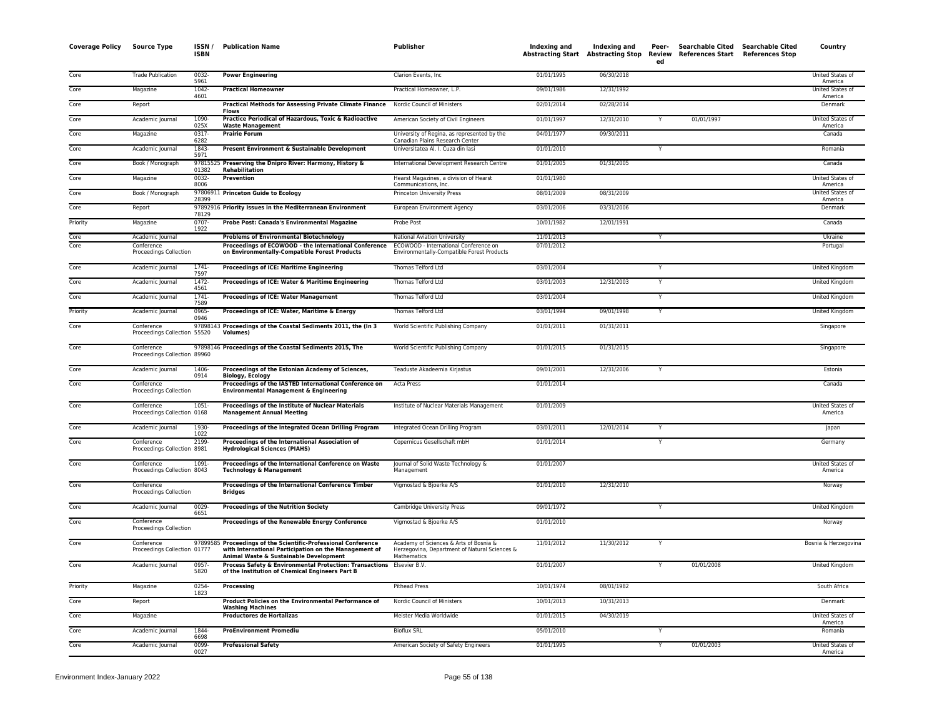| <b>Coverage Policy</b> | <b>Source Type</b>                         | ISSN /<br><b>ISBN</b> | <b>Publication Name</b>                                                                                                                                  | Publisher                                                                                                     | Indexing and | Indexing and | Peer-<br>ed  | Searchable Cited Searchable Cited<br>Abstracting Start Abstracting Stop Review References Start References Stop | Country                            |
|------------------------|--------------------------------------------|-----------------------|----------------------------------------------------------------------------------------------------------------------------------------------------------|---------------------------------------------------------------------------------------------------------------|--------------|--------------|--------------|-----------------------------------------------------------------------------------------------------------------|------------------------------------|
| Core                   | <b>Trade Publication</b>                   | $0032 -$<br>5961      | <b>Power Engineering</b>                                                                                                                                 | Clarion Events, Inc.                                                                                          | 01/01/1995   | 06/30/2018   |              |                                                                                                                 | United States of<br>America        |
| Core                   | Magazine                                   | $1042 -$              | <b>Practical Homeowner</b>                                                                                                                               | Practical Homeowner, L.P.                                                                                     | 09/01/1986   | 12/31/1992   |              |                                                                                                                 | United States of<br>America        |
| Core                   | Report                                     | 4601                  | <b>Practical Methods for Assessing Private Climate Finance</b><br><b>Flows</b>                                                                           | Nordic Council of Ministers                                                                                   | 02/01/2014   | 02/28/2014   |              |                                                                                                                 | Denmark                            |
| Core                   | Academic Journal                           | 1090<br>025X          | Practice Periodical of Hazardous, Toxic & Radioactive<br><b>Waste Management</b>                                                                         | American Society of Civil Engineers                                                                           | 01/01/1997   | 12/31/2010   |              | 01/01/1997                                                                                                      | United States of<br>America        |
| Core                   | Magazine                                   | 0317-<br>6282         | <b>Prairie Forum</b>                                                                                                                                     | University of Regina, as represented by the<br>Canadian Plains Research Center                                | 04/01/1977   | 09/30/2011   |              |                                                                                                                 | Canada                             |
| Core                   | Academic Journa                            | 1843-<br>5971         | Present Environment & Sustainable Development                                                                                                            | Universitatea Al. I. Cuza din lasi                                                                            | 01/01/2010   |              |              |                                                                                                                 | Romania                            |
| Core                   | Book / Monograph                           | 01382                 | 97815525 Preserving the Dnipro River: Harmony, History &<br>Rehabilitation                                                                               | International Development Research Centre                                                                     | 01/01/2005   | 01/31/2005   |              |                                                                                                                 | Canada                             |
| Core                   | Magazine                                   | $0032 -$<br>8006      | <b>Prevention</b>                                                                                                                                        | Hearst Magazines, a division of Hearst<br>Communications, Inc.                                                | 01/01/1980   |              |              |                                                                                                                 | <b>United States of</b><br>America |
| Core                   | Book / Monograph                           | 28399                 | 97806911 Princeton Guide to Ecology                                                                                                                      | Princeton University Press                                                                                    | 08/01/2009   | 08/31/2009   |              |                                                                                                                 | United States of<br>America        |
| Core                   | Report                                     | 78129                 | 97892916 Priority Issues in the Mediterranean Environment                                                                                                | European Environment Agency                                                                                   | 03/01/2006   | 03/31/2006   |              |                                                                                                                 | Denmark                            |
| Priority               | Magazine                                   | 0707-<br>1922         | Probe Post: Canada's Environmental Magazine                                                                                                              | Probe Post                                                                                                    | 10/01/1982   | 12/01/1991   |              |                                                                                                                 | Canada                             |
| Core                   | Academic Journal                           |                       | <b>Problems of Environmental Biotechnology</b>                                                                                                           | National Aviation University                                                                                  | 11/01/2013   |              | $\mathsf{v}$ |                                                                                                                 | Ukraine                            |
| Core                   | Conference<br>Proceedings Collection       |                       | Proceedings of ECOWOOD - the International Conference<br>on Environmentally-Compatible Forest Products                                                   | ECOWOOD - International Conference on<br>Environmentally-Compatible Forest Products                           | 07/01/2012   |              |              |                                                                                                                 | Portugal                           |
| Core                   | Academic Journal                           | $1741 -$              | Proceedings of ICE: Maritime Engineering                                                                                                                 | Thomas Telford Ltd                                                                                            | 03/01/2004   |              | Y            |                                                                                                                 | United Kingdom                     |
| Core                   | Academic Journal                           | 7597<br>1472-         | Proceedings of ICE: Water & Maritime Engineering                                                                                                         | Thomas Telford Ltd                                                                                            | 03/01/2003   | 12/31/2003   | Y            |                                                                                                                 | United Kingdom                     |
| Core                   | Academic Journal                           | 4561<br>$1741 -$      | <b>Proceedings of ICE: Water Management</b>                                                                                                              | Thomas Telford Ltd                                                                                            | 03/01/2004   |              |              |                                                                                                                 | United Kingdom                     |
| Priority               | Academic Journal                           | 7589<br>0965-         | Proceedings of ICE: Water, Maritime & Energy                                                                                                             | Thomas Telford Ltd                                                                                            | 03/01/1994   | 09/01/1998   | Y            |                                                                                                                 | United Kingdom                     |
| Core                   | Conference                                 | 0946                  | 97898143 Proceedings of the Coastal Sediments 2011, the (In 3                                                                                            | World Scientific Publishing Company                                                                           | 01/01/2011   | 01/31/2011   |              |                                                                                                                 | Singapore                          |
|                        | Proceedings Collection 55520               |                       | <b>Volumes</b> )                                                                                                                                         |                                                                                                               |              |              |              |                                                                                                                 |                                    |
| Core                   | Conference<br>Proceedings Collection 89960 |                       | 97898146 Proceedings of the Coastal Sediments 2015, The                                                                                                  | World Scientific Publishing Company                                                                           | 01/01/2015   | 01/31/2015   |              |                                                                                                                 | Singapore                          |
| Core                   | Academic Journal                           | 1406-<br>0914         | Proceedings of the Estonian Academy of Sciences,<br><b>Biology, Ecology</b>                                                                              | Teaduste Akadeemia Kirjastus                                                                                  | 09/01/2001   | 12/31/2006   | Y            |                                                                                                                 | Estonia                            |
| Core                   | Conference<br>Proceedings Collection       |                       | Proceedings of the IASTED International Conference on<br><b>Environmental Management &amp; Engineering</b>                                               | Acta Press                                                                                                    | 01/01/2014   |              |              |                                                                                                                 | Canada                             |
| Core                   | Conference<br>Proceedings Collection 0168  | $1051 -$              | Proceedings of the Institute of Nuclear Materials<br><b>Management Annual Meeting</b>                                                                    | Institute of Nuclear Materials Management                                                                     | 01/01/2009   |              |              |                                                                                                                 | <b>United States of</b><br>America |
| Core                   | Academic Journal                           | 1930-<br>1022         | Proceedings of the Integrated Ocean Drilling Program                                                                                                     | Integrated Ocean Drilling Program                                                                             | 03/01/2011   | 12/01/2014   | Y            |                                                                                                                 | Japan                              |
| Core                   | Conference<br>Proceedings Collection 8981  | 2199-                 | Proceedings of the International Association of<br>Hydrological Sciences (PIAHS)                                                                         | Copernicus Gesellschaft mbH                                                                                   | 01/01/2014   |              | Y            |                                                                                                                 | Germany                            |
| Core                   | Conference<br>Proceedings Collection 8043  | 1091-                 | Proceedings of the International Conference on Waste<br><b>Technology &amp; Management</b>                                                               | Journal of Solid Waste Technology &<br>Management                                                             | 01/01/2007   |              |              |                                                                                                                 | United States o<br>America         |
| Core                   | Conference<br>Proceedings Collection       |                       | Proceedings of the International Conference Timber<br><b>Bridges</b>                                                                                     | Vigmostad & Bjoerke A/S                                                                                       | 01/01/2010   | 12/31/2010   |              |                                                                                                                 | Norway                             |
| Core                   | Academic Journal                           | 0029<br>6651          | <b>Proceedings of the Nutrition Society</b>                                                                                                              | Cambridge University Press                                                                                    | 09/01/1972   |              |              |                                                                                                                 | United Kingdom                     |
| Core                   | Conference<br>Proceedings Collection       |                       | Proceedings of the Renewable Energy Conference                                                                                                           | Vigmostad & Bjoerke A/S                                                                                       | 01/01/2010   |              |              |                                                                                                                 | Norway                             |
| Core                   | Conference<br>Proceedings Collection 01777 | 97899585              | Proceedings of the Scientific-Professional Conference<br>with International Participation on the Management of<br>Animal Waste & Sustainable Development | Academy of Sciences & Arts of Bosnia &<br>Herzegovina, Department of Natural Sciences &<br><b>Mathematics</b> | 11/01/2012   | 11/30/2012   | Y            |                                                                                                                 | Bosnia & Herzegovina               |
| Core                   | Academic Journal                           | $0957 -$<br>5820      | Process Safety & Environmental Protection: Transactions Elsevier B.V.<br>of the Institution of Chemical Engineers Part B                                 |                                                                                                               | 01/01/2007   |              |              | 01/01/2008                                                                                                      | <b>United Kingdom</b>              |
| Priority               | Magazine                                   | 0254-<br>1823         | Processing                                                                                                                                               | <b>Pithead Press</b>                                                                                          | 10/01/1974   | 08/01/1982   |              |                                                                                                                 | South Africa                       |
| Core                   | Report                                     |                       | Product Policies on the Environmental Performance of<br><b>Washing Machines</b>                                                                          | Nordic Council of Ministers                                                                                   | 10/01/2013   | 10/31/2013   |              |                                                                                                                 | Denmark                            |
| Core                   | Magazine                                   |                       | <b>Productores de Hortalizas</b>                                                                                                                         | Meister Media Worldwide                                                                                       | 01/01/2015   | 04/30/2019   |              |                                                                                                                 | United States of<br>America        |
| Core                   | Academic Journal                           | 1844<br>6698          | <b>ProEnvironment Promediu</b>                                                                                                                           | <b>Bioflux SRL</b>                                                                                            | 05/01/2010   |              | Y            |                                                                                                                 | Romania                            |
| Core                   | Academic Journal                           | $0099 -$<br>0027      | <b>Professional Safety</b>                                                                                                                               | American Society of Safety Engineers                                                                          | 01/01/1995   |              | Y            | 01/01/2003                                                                                                      | <b>United States of</b><br>America |
|                        |                                            |                       |                                                                                                                                                          |                                                                                                               |              |              |              |                                                                                                                 |                                    |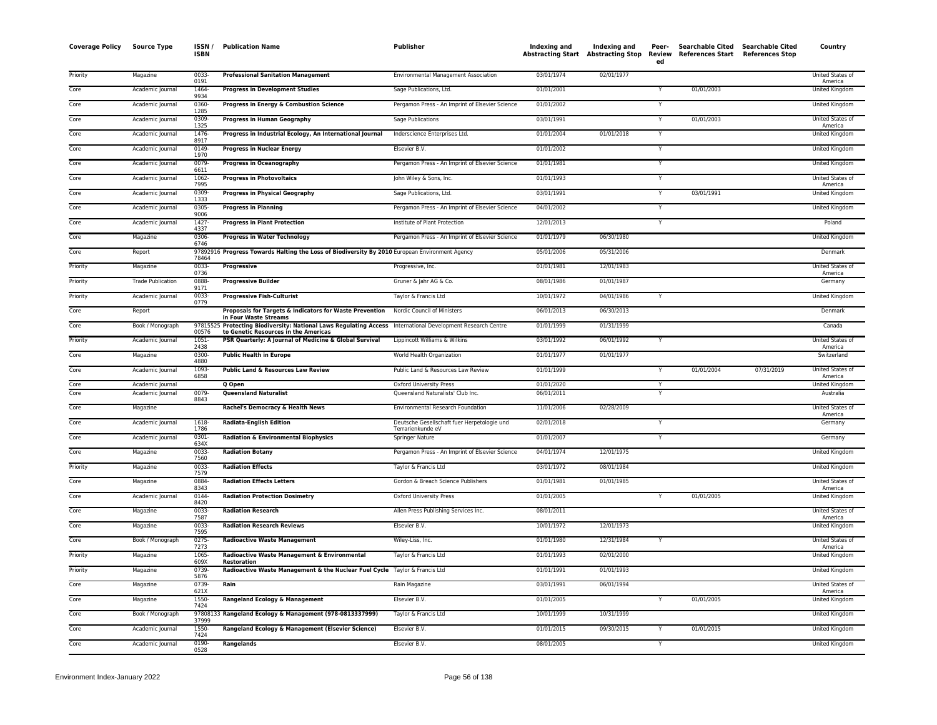| <b>Coverage Policy</b> | <b>Source Type</b>       | ISSN/<br><b>ISBN</b> | <b>Publication Name</b>                                                                                                                    | <b>Publisher</b>                                                 | Indexing and | Indexing and<br>Abstracting Start Abstracting Stop Review | Peer-<br>ed    | Searchable Cited Searchable Cited<br>References Start References Stop |            | Country                     |
|------------------------|--------------------------|----------------------|--------------------------------------------------------------------------------------------------------------------------------------------|------------------------------------------------------------------|--------------|-----------------------------------------------------------|----------------|-----------------------------------------------------------------------|------------|-----------------------------|
| Priority               | Magazine                 | 0033-<br>0191        | <b>Professional Sanitation Management</b>                                                                                                  | Environmental Management Association                             | 03/01/1974   | 02/01/1977                                                |                |                                                                       |            | United States of<br>America |
| Core                   | Academic Journal         | 1464<br>9934         | <b>Progress in Development Studies</b>                                                                                                     | Sage Publications, Ltd.                                          | 01/01/2001   |                                                           |                | 01/01/2003                                                            |            | <b>United Kingdom</b>       |
| Core                   | Academic Journal         | 0360-                | Progress in Energy & Combustion Science                                                                                                    | Pergamon Press - An Imprint of Elsevier Science                  | 01/01/2002   |                                                           | Y              |                                                                       |            | United Kingdom              |
| Core                   | Academic Journal         | 1285<br>0309-        | <b>Progress in Human Geography</b>                                                                                                         | Sage Publications                                                | 03/01/1991   |                                                           | Y              | 01/01/2003                                                            |            | United States of            |
| Core                   | Academic Journal         | 1325<br>1476-        | Progress in Industrial Ecology, An International Journal                                                                                   | Inderscience Enterprises Ltd.                                    | 01/01/2004   | 01/01/2018                                                | Y              |                                                                       |            | America<br>United Kingdom   |
| Core                   | Academic Journal         | 8917<br>0149-        | <b>Progress in Nuclear Energy</b>                                                                                                          | Elsevier B.V.                                                    | 01/01/2002   |                                                           | Y              |                                                                       |            | <b>United Kingdom</b>       |
| Core                   | Academic Journal         | 1970<br>0079-        | <b>Progress in Oceanography</b>                                                                                                            | Pergamon Press - An Imprint of Elsevier Science                  | 01/01/1981   |                                                           | Y              |                                                                       |            | United Kingdom              |
| Core                   | Academic Journal         | 6611<br>1062-        | <b>Progress in Photovoltaics</b>                                                                                                           | John Wiley & Sons, Inc.                                          | 01/01/1993   |                                                           | Y              |                                                                       |            | United States of            |
| Core                   | Academic Journal         | 7995<br>0309-        | <b>Progress in Physical Geography</b>                                                                                                      | Sage Publications, Ltd.                                          | 03/01/1991   |                                                           |                | 03/01/1991                                                            |            | America<br>United Kingdom   |
| Core                   | Academic Journal         | 1333<br>0305-        | <b>Progress in Planning</b>                                                                                                                | Pergamon Press - An Imprint of Elsevier Science                  | 04/01/2002   |                                                           | $\overline{Y}$ |                                                                       |            | United Kingdom              |
| Core                   | Academic Journal         | 9006<br>$1427 -$     | <b>Progress in Plant Protection</b>                                                                                                        | Institute of Plant Protection                                    | 12/01/2013   |                                                           | $\overline{Y}$ |                                                                       |            | Poland                      |
| Core                   | Magazine                 | 4337<br>0306-        | <b>Progress in Water Technology</b>                                                                                                        | Pergamon Press - An Imprint of Elsevier Science                  | 01/01/1979   | 06/30/1980                                                |                |                                                                       |            | United Kingdom              |
| Core                   | Report                   | 6746                 | 97892916 Progress Towards Halting the Loss of Biodiversity By 2010 European Environment Agency                                             |                                                                  | 05/01/2006   | 05/31/2006                                                |                |                                                                       |            | Denmark                     |
|                        |                          | 78464                |                                                                                                                                            |                                                                  |              |                                                           |                |                                                                       |            |                             |
| Priority               | Magazine                 | 0033-<br>0736        | Progressive                                                                                                                                | Progressive, Inc.                                                | 01/01/1981   | 12/01/1983                                                |                |                                                                       |            | United States of<br>America |
| Priority               | <b>Trade Publication</b> | 0888-<br>9171        | <b>Progressive Builder</b>                                                                                                                 | Gruner & Jahr AG & Co.                                           | 08/01/1986   | 01/01/1987                                                |                |                                                                       |            | Germany                     |
| Priority               | Academic Journal         | $0033 -$<br>0779     | <b>Progressive Fish-Culturist</b>                                                                                                          | Taylor & Francis Ltd                                             | 10/01/1972   | 04/01/1986                                                |                |                                                                       |            | United Kingdom              |
| Core                   | Report                   |                      | Proposals for Targets & Indicators for Waste Prevention<br>in Four Waste Streams                                                           | Nordic Council of Ministers                                      | 06/01/2013   | 06/30/2013                                                |                |                                                                       |            | Denmark                     |
| Core                   | Book / Monograph         | 9781552<br>00576     | Protecting Biodiversity: National Laws Regulating Access International Development Research Centre<br>to Genetic Resources in the Americas |                                                                  | 01/01/1999   | 01/31/1999                                                |                |                                                                       |            | Canada                      |
| Priority               | Academic Journal         | 1051-<br>2438        | PSR Quarterly: A Journal of Medicine & Global Survival                                                                                     | Lippincott Williams & Wilkins                                    | 03/01/1992   | 06/01/1992                                                |                |                                                                       |            | United States of<br>America |
| Core                   | Magazine                 | 0300-<br>4880        | <b>Public Health in Europe</b>                                                                                                             | World Health Organization                                        | 01/01/1977   | 01/01/1977                                                |                |                                                                       |            | Switzerland                 |
| Core                   | Academic Journal         | 1093-<br>6858        | Public Land & Resources Law Review                                                                                                         | Public Land & Resources Law Review                               | 01/01/1999   |                                                           | Y              | 01/01/2004                                                            | 07/31/2019 | United States of<br>America |
| Core                   | Academic Journal         |                      | Q Open                                                                                                                                     | Oxford University Press                                          | 01/01/2020   |                                                           | Y              |                                                                       |            | United Kingdom              |
| Core                   | Academic Journal         | 0079-<br>8843        | <b>Queensland Naturalist</b>                                                                                                               | Queensland Naturalists' Club Inc.                                | 06/01/2011   |                                                           |                |                                                                       |            | Australia                   |
| Core                   | Magazine                 |                      | Rachel's Democracy & Health News                                                                                                           | Environmental Research Foundation                                | 11/01/2006   | 02/28/2009                                                |                |                                                                       |            | United States of<br>America |
| Core                   | Academic Journal         | 1618-<br>1786        | <b>Radiata-English Edition</b>                                                                                                             | Deutsche Gesellschaft fuer Herpetologie und<br>Terrarienkunde eV | 02/01/2018   |                                                           | Y              |                                                                       |            | Germany                     |
| Core                   | Academic Journal         | 0301-<br>634X        | <b>Radiation &amp; Environmental Biophysics</b>                                                                                            | Springer Nature                                                  | 01/01/2007   |                                                           | Y              |                                                                       |            | Germany                     |
| Core                   | Magazine                 | 0033-<br>7560        | <b>Radiation Botany</b>                                                                                                                    | Pergamon Press - An Imprint of Elsevier Science                  | 04/01/1974   | 12/01/1975                                                |                |                                                                       |            | United Kingdom              |
| Priority               | Magazine                 | 0033-<br>7579        | <b>Radiation Effects</b>                                                                                                                   | Taylor & Francis Ltd                                             | 03/01/1972   | 08/01/1984                                                |                |                                                                       |            | United Kingdom              |
| Core                   | Magazine                 | 0884<br>8343         | <b>Radiation Effects Letters</b>                                                                                                           | Gordon & Breach Science Publishers                               | 01/01/1981   | 01/01/1985                                                |                |                                                                       |            | United States of<br>America |
| Core                   | Academic Journal         | 0144<br>8420         | <b>Radiation Protection Dosimetry</b>                                                                                                      | Oxford University Press                                          | 01/01/2005   |                                                           | Y              | 01/01/2005                                                            |            | United Kingdom              |
| Core                   | Magazine                 | $0033 -$<br>7587     | <b>Radiation Research</b>                                                                                                                  | Allen Press Publishing Services Inc.                             | 08/01/2011   |                                                           |                |                                                                       |            | United States of<br>America |
| Core                   | Magazine                 | 0033-<br>7595        | <b>Radiation Research Reviews</b>                                                                                                          | Elsevier B.V.                                                    | 10/01/1972   | 12/01/1973                                                |                |                                                                       |            | United Kingdom              |
| Core                   | Book / Monograph         | $0275 -$<br>7273     | <b>Radioactive Waste Management</b>                                                                                                        | Wiley-Liss, Inc.                                                 | 01/01/1980   | 12/31/1984                                                |                |                                                                       |            | United States of<br>America |
| Priority               | Magazine                 | 1065-<br>609X        | Radioactive Waste Management & Environmental<br><b>Restoration</b>                                                                         | Taylor & Francis Ltd                                             | 01/01/1993   | 02/01/2000                                                |                |                                                                       |            | United Kingdom              |
| Priority               | Magazine                 | 0739-                | Radioactive Waste Management & the Nuclear Fuel Cycle Taylor & Francis Ltd                                                                 |                                                                  | 01/01/1991   | 01/01/1993                                                |                |                                                                       |            | United Kingdom              |
| Core                   | Magazine                 | 5876<br>0739-        | Rain                                                                                                                                       | Rain Magazine                                                    | 03/01/1991   | 06/01/1994                                                |                |                                                                       |            | United States of            |
| Core                   | Magazine                 | 621X<br>1550-        | Rangeland Ecology & Management                                                                                                             | Elsevier B.V.                                                    | 01/01/2005   |                                                           |                | 01/01/2005                                                            |            | America<br>United Kingdom   |
| Core                   | Book / Monograph         | 7424                 | 97808133 Rangeland Ecology & Management (978-0813337999)                                                                                   | Taylor & Francis Ltd                                             | 10/01/1999   | 10/31/1999                                                |                |                                                                       |            | United Kingdom              |
| Core                   | Academic Journal         | 37999<br>1550-       | Rangeland Ecology & Management (Elsevier Science)                                                                                          | Elsevier B.V.                                                    | 01/01/2015   | 09/30/2015                                                |                | 01/01/2015                                                            |            | United Kingdom              |
| Core                   | Academic Journal         | 7424<br>0190-        | Rangelands                                                                                                                                 | Elsevier B.V.                                                    | 08/01/2005   |                                                           | Y              |                                                                       |            | United Kingdom              |
|                        |                          | 0528                 |                                                                                                                                            |                                                                  |              |                                                           |                |                                                                       |            |                             |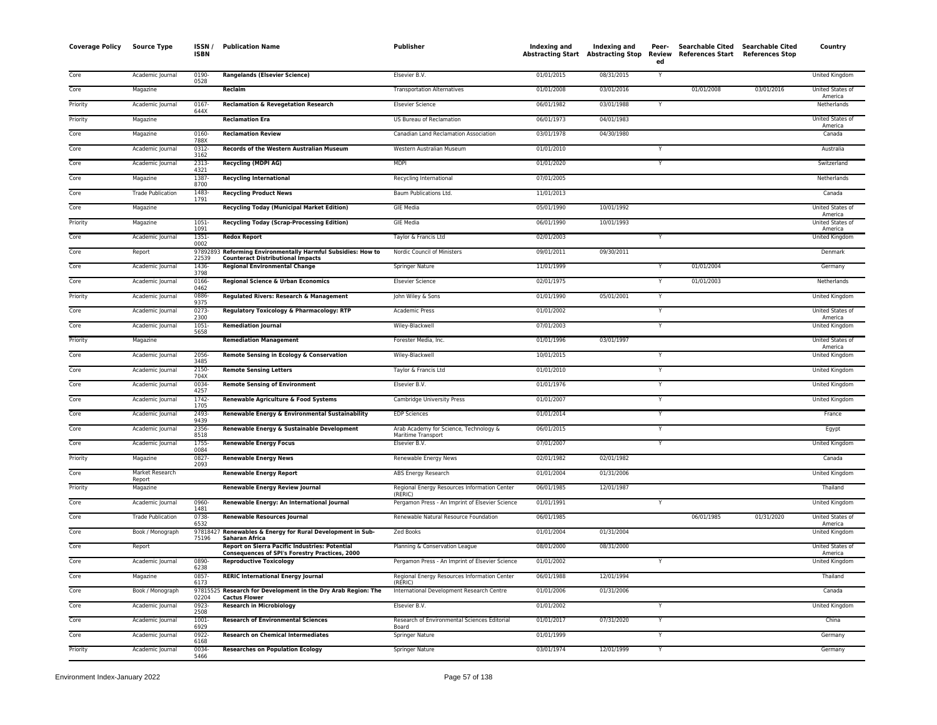| <b>Coverage Policy</b> | <b>Source Type</b>        | ISSN/<br><b>ISBN</b> | <b>Publication Name</b>                                                                                        | <b>Publisher</b>                                             | Indexing and | Indexing and<br><b>Abstracting Start Abstracting Stop</b> | Peer-<br>Review<br>ed | Searchable Cited Searchable Cited<br>References Start References Stop |            | Country                     |
|------------------------|---------------------------|----------------------|----------------------------------------------------------------------------------------------------------------|--------------------------------------------------------------|--------------|-----------------------------------------------------------|-----------------------|-----------------------------------------------------------------------|------------|-----------------------------|
| Core                   | Academic Journal          | $0190 -$<br>0528     | <b>Rangelands (Elsevier Science)</b>                                                                           | Elsevier B.V.                                                | 01/01/2015   | 08/31/2015                                                | Y                     |                                                                       |            | <b>United Kingdom</b>       |
| Core                   | Magazine                  |                      | Reclaim                                                                                                        | <b>Transportation Alternatives</b>                           | 01/01/2008   | 03/01/2016                                                |                       | 01/01/2008                                                            | 03/01/2016 | United States of<br>America |
| Priority               | Academic Journal          | $0167 -$<br>644X     | <b>Reclamation &amp; Revegetation Research</b>                                                                 | <b>Elsevier Science</b>                                      | 06/01/1982   | 03/01/1988                                                |                       |                                                                       |            | Netherlands                 |
| Priority               | Magazine                  |                      | <b>Reclamation Era</b>                                                                                         | US Bureau of Reclamation                                     | 06/01/1973   | 04/01/1983                                                |                       |                                                                       |            | United States of<br>America |
| Core                   | Magazine                  | 0160-<br>788X        | <b>Reclamation Review</b>                                                                                      | Canadian Land Reclamation Association                        | 03/01/1978   | 04/30/1980                                                |                       |                                                                       |            | Canada                      |
| Core                   | Academic Journal          | 0312-<br>3162        | Records of the Western Australian Museum                                                                       | Western Australian Museum                                    | 01/01/2010   |                                                           |                       |                                                                       |            | Australia                   |
| Core                   | Academic Journal          | 2313-<br>4321        | <b>Recycling (MDPI AG)</b>                                                                                     | <b>MDPI</b>                                                  | 01/01/2020   |                                                           | Ÿ                     |                                                                       |            | Switzerland                 |
| Core                   | Magazine                  | 1387-<br>8700        | <b>Recycling International</b>                                                                                 | Recycling International                                      | 07/01/2005   |                                                           |                       |                                                                       |            | Netherlands                 |
| Core                   | <b>Trade Publication</b>  | 1483-<br>1791        | <b>Recycling Product News</b>                                                                                  | Baum Publications Ltd.                                       | 11/01/2013   |                                                           |                       |                                                                       |            | Canada                      |
| Core                   | Magazine                  |                      | <b>Recycling Today (Municipal Market Edition)</b>                                                              | <b>GIE Media</b>                                             | 05/01/1990   | 10/01/1992                                                |                       |                                                                       |            | United States of<br>America |
| Priority               | Magazine                  | 1051-<br>1091        | <b>Recycling Today (Scrap-Processing Edition)</b>                                                              | <b>GIE Media</b>                                             | 06/01/1990   | 10/01/1993                                                |                       |                                                                       |            | United States of<br>America |
| Core                   | Academic Journal          | $1351 -$<br>0002     | <b>Redox Report</b>                                                                                            | Taylor & Francis Ltd                                         | 02/01/2003   |                                                           | Y                     |                                                                       |            | <b>United Kingdom</b>       |
| Core                   | Report                    | 9789289<br>22539     | Reforming Environmentally Harmful Subsidies: How to<br><b>Counteract Distributional Impacts</b>                | Nordic Council of Ministers                                  | 09/01/2011   | 09/30/2011                                                |                       |                                                                       |            | Denmark                     |
| Core                   | Academic Journal          | 1436-<br>3798        | <b>Regional Environmental Change</b>                                                                           | Springer Nature                                              | 11/01/1999   |                                                           |                       | 01/01/2004                                                            |            | Germany                     |
| Core                   | Academic Journal          | 0166-<br>0462        | Regional Science & Urban Economics                                                                             | <b>Elsevier Science</b>                                      | 02/01/1975   |                                                           | Y                     | 01/01/2003                                                            |            | Netherlands                 |
| Priority               | Academic Journal          | 0886-<br>9375        | Regulated Rivers: Research & Management                                                                        | John Wiley & Sons                                            | 01/01/1990   | 05/01/2001                                                | Y                     |                                                                       |            | United Kingdom              |
| Core                   | Academic Journal          | $0273 -$<br>2300     | Regulatory Toxicology & Pharmacology: RTP                                                                      | Academic Press                                               | 01/01/2002   |                                                           | Y                     |                                                                       |            | United States of<br>America |
| Core                   | Academic Journal          | 1051-<br>5658        | <b>Remediation Journal</b>                                                                                     | Wiley-Blackwell                                              | 07/01/2003   |                                                           | Y                     |                                                                       |            | United Kingdom              |
| Priority               | Magazine                  |                      | <b>Remediation Management</b>                                                                                  | Forester Media, Inc.                                         | 01/01/1996   | 03/01/1997                                                |                       |                                                                       |            | United States of<br>America |
| Core                   | Academic Journal          | 2056-<br>3485        | Remote Sensing in Ecology & Conservation                                                                       | Wiley-Blackwell                                              | 10/01/2015   |                                                           | Y                     |                                                                       |            | United Kingdom              |
| Core                   | Academic Journal          | 2150-<br>704X        | <b>Remote Sensing Letters</b>                                                                                  | Taylor & Francis Ltd                                         | 01/01/2010   |                                                           | Y                     |                                                                       |            | <b>United Kingdom</b>       |
| Core                   | Academic Journal          | $0034 -$<br>4257     | <b>Remote Sensing of Environment</b>                                                                           | Elsevier B.V.                                                | 01/01/1976   |                                                           | Y                     |                                                                       |            | United Kingdom              |
| Core                   | Academic Journal          | 1742-<br>1705        | Renewable Agriculture & Food Systems                                                                           | Cambridge University Press                                   | 01/01/2007   |                                                           | Y                     |                                                                       |            | United Kingdom              |
| Core                   | Academic Journal          | 2493-<br>9439        | Renewable Energy & Environmental Sustainability                                                                | <b>EDP Sciences</b>                                          | 01/01/2014   |                                                           | Y                     |                                                                       |            | France                      |
| Core                   | Academic Journal          | 2356-<br>8518        | Renewable Energy & Sustainable Development                                                                     | Arab Academy for Science, Technology &<br>Maritime Transport | 06/01/2015   |                                                           |                       |                                                                       |            | Egypt                       |
| Core                   | Academic Journal          | 1755-<br>0084        | <b>Renewable Energy Focus</b>                                                                                  | Elsevier B.V.                                                | 07/01/2007   |                                                           | $\overline{Y}$        |                                                                       |            | <b>United Kingdom</b>       |
| Priority               | Magazine                  | 0827-<br>2093        | <b>Renewable Energy News</b>                                                                                   | Renewable Energy News                                        | 02/01/1982   | 02/01/1982                                                |                       |                                                                       |            | Canada                      |
| Core                   | Market Research<br>Report |                      | <b>Renewable Energy Report</b>                                                                                 | ABS Energy Research                                          | 01/01/2004   | 01/31/2006                                                |                       |                                                                       |            | United Kingdom              |
| Priority               | Magazine                  |                      | <b>Renewable Energy Review Journal</b>                                                                         | Regional Energy Resources Information Center<br>(RERIC)      | 06/01/1985   | 12/01/1987                                                |                       |                                                                       |            | Thailand                    |
| Core                   | Academic Journal          | 0960-<br>1481        | Renewable Energy: An International Journal                                                                     | Pergamon Press - An Imprint of Elsevier Science              | 01/01/1991   |                                                           |                       |                                                                       |            | United Kingdom              |
| Core                   | <b>Trade Publication</b>  | 0738-<br>6532        | <b>Renewable Resources Journal</b>                                                                             | Renewable Natural Resource Foundation                        | 06/01/1985   |                                                           |                       | 06/01/1985                                                            | 01/31/2020 | United States of<br>America |
| Core                   | Book / Monograph          | 97818427<br>75196    | Renewables & Energy for Rural Development in Sub-<br>Saharan Africa                                            | <b>Zed Books</b>                                             | 01/01/2004   | 01/31/2004                                                |                       |                                                                       |            | United Kingdom              |
| Core                   | Report                    |                      | <b>Report on Sierra Pacific Industries: Potential</b><br><b>Consequences of SPI's Forestry Practices, 2000</b> | Planning & Conservation League                               | 08/01/2000   | 08/31/2000                                                |                       |                                                                       |            | United States of<br>America |
| Core                   | Academic Journal          | 0890-<br>6238        | <b>Reproductive Toxicology</b>                                                                                 | Pergamon Press - An Imprint of Elsevier Science              | 01/01/2002   |                                                           |                       |                                                                       |            | <b>United Kingdom</b>       |
| Core                   | Magazine                  | 0857-<br>6173        | <b>RERIC International Energy Journal</b>                                                                      | Regional Energy Resources Information Center<br>(RERIC)      | 06/01/1988   | 12/01/1994                                                |                       |                                                                       |            | Thailand                    |
| Core                   | Book / Monograph          | 02204                | 97815525 Research for Development in the Dry Arab Region: The<br><b>Cactus Flower</b>                          | International Development Research Centre                    | 01/01/2006   | 01/31/2006                                                |                       |                                                                       |            | Canada                      |
| Core                   | Academic Journal          | 0923-<br>2508        | <b>Research in Microbiology</b>                                                                                | Elsevier B.V.                                                | 01/01/2002   |                                                           |                       |                                                                       |            | United Kingdom              |
| Core                   | Academic Journal          | $1001 -$<br>6929     | <b>Research of Environmental Sciences</b>                                                                      | Research of Environmental Sciences Editorial<br>Board        | 01/01/2017   | 07/31/2020                                                | Y                     |                                                                       |            | China                       |
| Core                   | Academic Journal          | 0922-<br>6168        | <b>Research on Chemical Intermediates</b>                                                                      | Springer Nature                                              | 01/01/1999   |                                                           | Y                     |                                                                       |            | Germany                     |
| Priority               | Academic Journal          | 0034-<br>5466        | <b>Researches on Population Ecology</b>                                                                        | Springer Nature                                              | 03/01/1974   | 12/01/1999                                                | Y                     |                                                                       |            | Germany                     |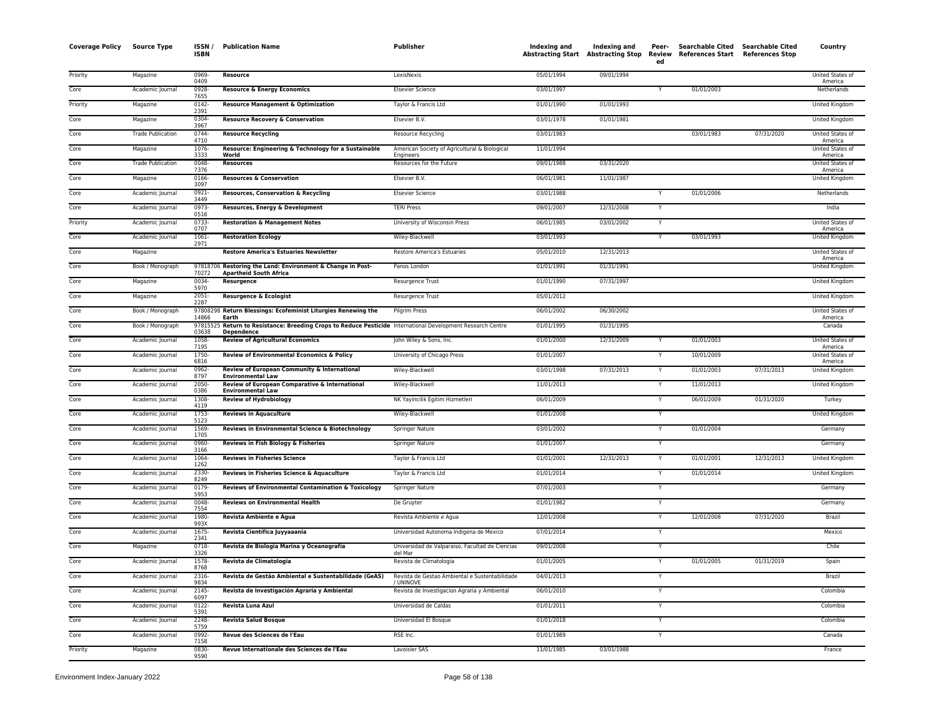| <b>Coverage Policy</b> | <b>Source Type</b>       | ISSN/<br><b>ISBN</b> | <b>Publication Name</b>                                                                                          | <b>Publisher</b>                                            | <b>Indexing and</b> | <b>Indexing and</b> | Peer-<br>ed             | Searchable Cited Searchable Cited<br>Abstracting Start Abstracting Stop Review References Start References Stop |            | Country                            |
|------------------------|--------------------------|----------------------|------------------------------------------------------------------------------------------------------------------|-------------------------------------------------------------|---------------------|---------------------|-------------------------|-----------------------------------------------------------------------------------------------------------------|------------|------------------------------------|
| Priority               | Magazine                 | 0969<br>0409         | Resource                                                                                                         | LexisNexis                                                  | 05/01/1994          | 09/01/1994          |                         |                                                                                                                 |            | United States of<br>America        |
| Core                   | Academic Journal         | 0928-<br>7655        | <b>Resource &amp; Energy Economics</b>                                                                           | <b>Elsevier Science</b>                                     | 03/01/1997          |                     |                         | 01/01/2003                                                                                                      |            | Netherlands                        |
| Priority               | Magazine                 | $0142 -$<br>2391     | <b>Resource Management &amp; Optimization</b>                                                                    | Taylor & Francis Ltd                                        | 01/01/1990          | 01/01/1993          |                         |                                                                                                                 |            | United Kingdom                     |
| Core                   | Magazine                 | 0304-<br>3967        | <b>Resource Recovery &amp; Conservation</b>                                                                      | Elsevier B.V.                                               | 03/01/1978          | 01/01/1981          |                         |                                                                                                                 |            | United Kingdom                     |
| Core                   | <b>Trade Publication</b> | 0744-<br>4710        | <b>Resource Recycling</b>                                                                                        | Resource Recycling                                          | 03/01/1983          |                     |                         | 03/01/1983                                                                                                      | 07/31/2020 | United States of<br>America        |
| Core                   | Magazine                 | 1076-<br>3333        | Resource: Engineering & Technology for a Sustainable<br>World                                                    | American Society of Agricultural & Biological<br>Engineers  | 11/01/1994          |                     |                         |                                                                                                                 |            | United States of<br>America        |
| Core                   | <b>Trade Publication</b> | $0048 -$<br>7376     | <b>Resources</b>                                                                                                 | Resources for the Future                                    | 09/01/1988          | 03/31/2020          |                         |                                                                                                                 |            | <b>United States of</b><br>America |
| Core                   | Magazine                 | 0166-<br>3097        | <b>Resources &amp; Conservation</b>                                                                              | Elsevier B.V.                                               | 06/01/1981          | 11/01/1987          |                         |                                                                                                                 |            | United Kingdom                     |
| Core                   | Academic Journal         | 0921-<br>3449        | Resources, Conservation & Recycling                                                                              | <b>Elsevier Science</b>                                     | 03/01/1988          |                     |                         | 01/01/2006                                                                                                      |            | Netherlands                        |
| Core                   | Academic Journal         | 0973-<br>0516        | Resources, Energy & Development                                                                                  | <b>TERI Press</b>                                           | 09/01/2007          | 12/31/2008          | Y                       |                                                                                                                 |            | India                              |
| Priority               | Academic Journal         | 0733-<br>0707        | <b>Restoration &amp; Management Notes</b>                                                                        | University of Wisconsin Press                               | 06/01/1985          | 03/01/2002          | Y                       |                                                                                                                 |            | United States of<br>America        |
| Core                   | Academic Journal         | 1061-<br>2971        | <b>Restoration Ecology</b>                                                                                       | Wiley-Blackwell                                             | 03/01/1993          |                     | Y                       | 03/01/1993                                                                                                      |            | United Kingdom                     |
| Core                   | Magazine                 |                      | <b>Restore America's Estuaries Newsletter</b>                                                                    | Restore America's Estuaries                                 | 05/01/2010          | 12/31/2013          |                         |                                                                                                                 |            | United States of<br>America        |
| Core                   | Book / Monograph         | 70272                | 97818706 Restoring the Land: Environment & Change in Post-<br><b>Apartheid South Africa</b>                      | Panos London                                                | 01/01/1991          | 01/31/1991          |                         |                                                                                                                 |            | United Kingdom                     |
| Core                   | Magazine                 | 0034<br>5970         | Resurgence                                                                                                       | Resurgence Trust                                            | 01/01/1990          | 07/31/1997          |                         |                                                                                                                 |            | United Kingdom                     |
| Core                   | Magazine                 | $2051 -$<br>2287     | Resurgence & Ecologist                                                                                           | <b>Resurgence Trust</b>                                     | 05/01/2012          |                     |                         |                                                                                                                 |            | United Kingdom                     |
| Core                   | Book / Monograph         | 14866                | 97808298 Return Blessings: Ecofeminist Liturgies Renewing the<br>Earth                                           | Pilgrim Press                                               | 06/01/2002          | 06/30/2002          |                         |                                                                                                                 |            | United States of<br>America        |
| Core                   | Book / Monograph         | 978155<br>03638      | Return to Resistance: Breeding Crops to Reduce Pesticide International Development Research Centre<br>Dependence |                                                             | 01/01/1995          | 01/31/1995          |                         |                                                                                                                 |            | Canada                             |
| Core                   | Academic Journal         | 1058-<br>7195        | <b>Review of Agricultural Economics</b>                                                                          | John Wiley & Sons, Inc.                                     | 01/01/2000          | 12/31/2009          |                         | 01/01/2003                                                                                                      |            | United States of<br>America        |
| Core                   | Academic Journal         | 1750-<br>6816        | <b>Review of Environmental Economics &amp; Policy</b>                                                            | University of Chicago Press                                 | 01/01/2007          |                     | Y                       | 10/01/2009                                                                                                      |            | <b>United States of</b><br>America |
| Core                   | Academic Journal         | 0962-<br>8797        | Review of European Community & International<br><b>Environmental Law</b>                                         | Wiley-Blackwell                                             | 03/01/1998          | 07/31/2013          | $\mathsf{Y}$            | 01/01/2003                                                                                                      | 07/31/2013 | United Kingdom                     |
| Core                   | Academic Journal         | 2050-<br>0386        | Review of European Comparative & International<br><b>Environmental Law</b>                                       | Wiley-Blackwell                                             | 11/01/2013          |                     |                         | 11/01/2013                                                                                                      |            | United Kingdom                     |
| Core                   | Academic Journal         | 1308-<br>4119        | <b>Review of Hydrobiology</b>                                                                                    | NK Yayincilik Egitim Hizmetleri                             | 06/01/2009          |                     |                         | 06/01/2009                                                                                                      | 01/31/2020 | Turkey                             |
| Core                   | Academic Journal         | 1753-<br>5123        | <b>Reviews in Aquaculture</b>                                                                                    | Wiley-Blackwell                                             | 01/01/2008          |                     | Y                       |                                                                                                                 |            | United Kingdom                     |
| Core                   | Academic Journal         | 1569-<br>1705        | Reviews in Environmental Science & Biotechnology                                                                 | Springer Nature                                             | 03/01/2002          |                     | Y                       | 01/01/2004                                                                                                      |            | Germany                            |
| Core                   | Academic Journal         | 0960-<br>3166        | Reviews in Fish Biology & Fisheries                                                                              | Springer Nature                                             | 01/01/2007          |                     | $\overline{\mathsf{Y}}$ |                                                                                                                 |            | Germany                            |
| Core                   | Academic Journal         | 1064-<br>1262        | <b>Reviews in Fisheries Science</b>                                                                              | Taylor & Francis Ltd                                        | 01/01/2001          | 12/31/2013          | Y                       | 01/01/2001                                                                                                      | 12/31/2013 | United Kingdom                     |
| Core                   | Academic Journal         | 2330-<br>8249        | Reviews in Fisheries Science & Aquaculture                                                                       | Taylor & Francis Ltd                                        | 01/01/2014          |                     | Y                       | 01/01/2014                                                                                                      |            | <b>United Kingdom</b>              |
| Core                   | Academic Journal         | 0179-<br>5953        | Reviews of Environmental Contamination & Toxicology                                                              | Springer Nature                                             | 07/01/2003          |                     | Y                       |                                                                                                                 |            | Germany                            |
| Core                   | Academic Journal         | 0048-<br>7554        | <b>Reviews on Environmental Health</b>                                                                           | De Gruyter                                                  | 01/01/1982          |                     | Y                       |                                                                                                                 |            | Germany                            |
| Core                   | Academic Journal         | 1980-<br>993X        | Revista Ambiente e Água                                                                                          | Revista Ambiente e Agua                                     | 12/01/2008          |                     | Y                       | 12/01/2008                                                                                                      | 07/31/2020 | Brazil                             |
| Core                   | Academic Journal         | 1675-<br>2341        | Revista Científica Juyyaaania                                                                                    | Universidad Autonoma Indigena de Mexico                     | 07/01/2014          |                     |                         |                                                                                                                 |            | Mexico                             |
| Core                   | Magazine                 | $0718 -$<br>3326     | Revista de Biologia Marina y Oceanografía                                                                        | Universidad de Valparaiso, Facultad de Ciencias<br>del Mar  | 09/01/2008          |                     | Y                       |                                                                                                                 |            | Chile                              |
| Core                   | Academic Journal         | 1578-<br>8768        | Revista de Climatologia                                                                                          | Revista de Climatologia                                     | 01/01/2005          |                     | Y                       | 01/01/2005                                                                                                      | 01/31/2019 | Spain                              |
| Core                   | Academic Journal         | 2316<br>9834         | Revista de Gestão Ambiental e Sustentabilidade (GeAS)                                                            | Revista de Gestao Ambiental e Sustentabilidade<br>/ UNINOVE | 04/01/2013          |                     | Y                       |                                                                                                                 |            | Brazil                             |
| Core                   | Academic Journal         | 2145-<br>6097        | Revista de Investigación Agraria y Ambiental                                                                     | Revista de Investigacion Agraria y Ambiental                | 06/01/2010          |                     | Y                       |                                                                                                                 |            | Colombia                           |
| Core                   | Academic Journal         | 0122-<br>5391        | Revista Luna Azul                                                                                                | Universidad de Caldas                                       | 01/01/2011          |                     | Y                       |                                                                                                                 |            | Colombia                           |
| Core                   | Academic Journal         | 2248-<br>5759        | <b>Revista Salud Bosque</b>                                                                                      | Universidad El Bosque                                       | 01/01/2018          |                     | Y                       |                                                                                                                 |            | Colombia                           |
| Core                   | Academic Journal         | 0992-<br>7158        | Revue des Sciences de l'Eau                                                                                      | RSE Inc.                                                    | 01/01/1989          |                     | Y                       |                                                                                                                 |            | Canada                             |
| Priority               | Magazine                 | 0830<br>9590         | Revue Internationale des Sciences de l'Eau                                                                       | Lavoisier SAS                                               | 11/01/1985          | 03/01/1988          |                         |                                                                                                                 |            | France                             |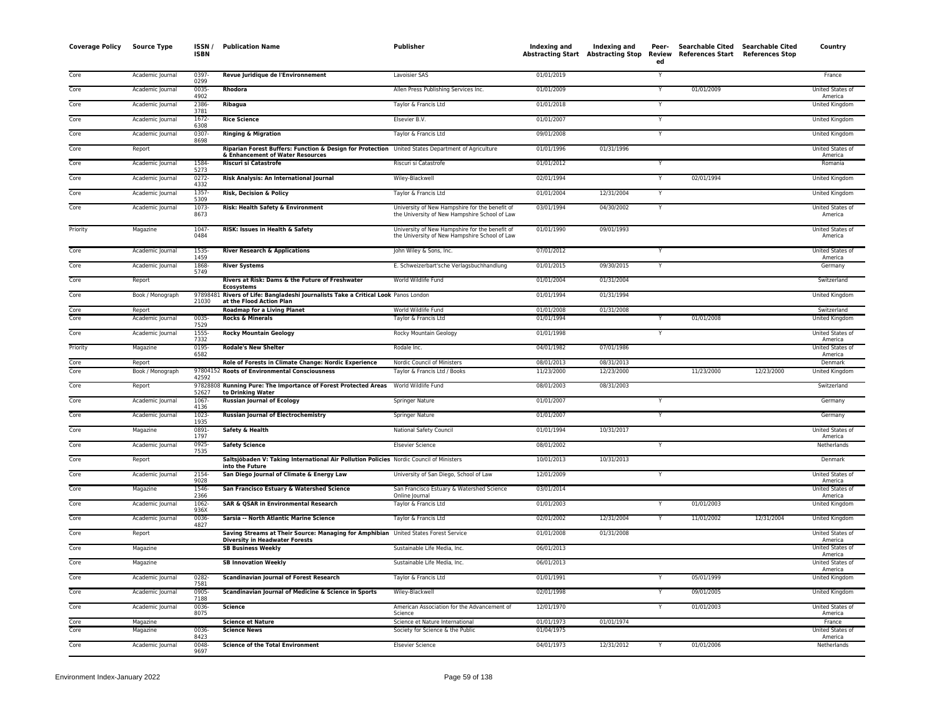| Core<br>0397-<br>Revue Juridique de l'Environnement<br>Lavoisier SAS<br>01/01/2019<br>Academic Journal<br>France<br>Y<br>0299<br>01/01/2009<br>Core<br>0035<br>Rhodora<br>Allen Press Publishing Services Inc.<br>01/01/2009<br>United States of<br>Academic Journal<br>Y<br>4902<br>America<br>Ribagua<br>Core<br>Taylor & Francis Ltd<br>01/01/2018<br>Academic Journal<br>2386-<br>United Kingdom<br>Y<br>3781<br>Core<br>Academic Journal<br>1672-<br><b>Rice Science</b><br>Elsevier B.V.<br>01/01/2007<br>United Kingdom<br>Υ<br>6308<br>0307-<br>09/01/2008<br>Core<br>Academic Journal<br><b>Ringing &amp; Migration</b><br>Taylor & Francis Ltd<br>Y<br>United Kingdom<br>8698<br>Riparian Forest Buffers: Function & Design for Protection United States Department of Agriculture<br>Core<br>01/01/1996<br>01/31/1996<br><b>United States of</b><br>Report<br>& Enhancement of Water Resources<br>America<br>1584<br><b>Riscuri si Catastrofe</b><br>01/01/2012<br>Core<br>Academic Journal<br>Riscuri si Catastrofe<br>Y<br>Romania<br>5273<br>Core<br>Risk Analysis: An International Journal<br>Wiley-Blackwell<br>02/01/1994<br>02/01/1994<br>Academic Journal<br>0272-<br>United Kingdom<br>4332<br>01/01/2004<br>12/31/2004<br>Core<br>Academic Journal<br>1357-<br>Risk, Decision & Policy<br>Taylor & Francis Ltd<br>United Kingdom<br>5309<br>1073-<br>Risk: Health Safety & Environment<br>University of New Hampshire for the benefit of<br>03/01/1994<br>04/30/2002<br>United States of<br>Core<br>Academic Journal<br>Y<br>8673<br>the University of New Hampshire School of Law<br>America<br>1047<br>University of New Hampshire for the benefit of<br>09/01/1993<br>Magazine<br>RISK: Issues in Health & Safety<br>01/01/1990<br>Priority<br>United States of<br>0484<br>the University of New Hampshire School of Law<br>America<br>07/01/2012<br>Core<br>Academic Journal<br>1535<br><b>River Research &amp; Applications</b><br>John Wiley & Sons, Inc.<br>United States of<br>1459<br>America<br>Core<br>Academic Journal<br>1868<br><b>River Systems</b><br>E. Schweizerbart'sche Verlagsbuchhandlung<br>01/01/2015<br>09/30/2015<br>Y<br>Germany<br>5749<br>01/01/2004<br>Core<br>Rivers at Risk: Dams & the Future of Freshwater<br>World Wildlife Fund<br>01/31/2004<br>Report<br>Switzerland<br><b>Ecosystems</b><br>97898481 Rivers of Life: Bangladeshi Journalists Take a Critical Look Panos London<br>01/01/1994<br>01/31/1994<br>Core<br>Book / Monograph<br>United Kingdom<br>21030<br>at the Flood Action Plan<br>Report<br><b>Roadmap for a Living Planet</b><br>World Wildlife Fund<br>01/01/2008<br>01/31/2008<br>Switzerland<br>Core<br>Core<br>0035<br><b>Rocks &amp; Minerals</b><br>01/01/1994<br>01/01/2008<br>Academic Journal<br>Taylor & Francis Ltd<br>United Kingdom<br>7529<br>Core<br>Academic Journal<br>1555-<br><b>Rocky Mountain Geology</b><br>Rocky Mountain Geology<br>01/01/1998<br>United States of<br>Y<br>7332<br>America<br>Priority<br>Magazine<br>0195<br><b>Rodale's New Shelter</b><br>Rodale Inc.<br>04/01/1982<br>07/01/1986<br><b>United States of</b><br>6582<br>America<br>Role of Forests in Climate Change: Nordic Experience<br>Nordic Council of Ministers<br>Core<br>Report<br>08/01/2013<br>08/31/2013<br>Denmark<br>Core<br>Book / Monograph<br>97804152 Roots of Environmental Consciousness<br>Taylor & Francis Ltd / Books<br>11/23/2000<br>12/23/2000<br>11/23/2000<br>12/23/2000<br>United Kingdom<br>42592<br>Core<br>97828808 Running Pure: The Importance of Forest Protected Areas<br>World Wildlife Fund<br>08/01/2003<br>08/31/2003<br>Report<br>Switzerland<br>52627<br>to Drinking Water<br>01/01/2007<br>Core<br>Academic Journal<br>1067<br><b>Russian Journal of Ecology</b><br>Springer Nature<br>Germany<br>4136<br>1023-<br>01/01/2007<br>Core<br><b>Russian Journal of Electrochemistry</b><br>Y<br>Academic Journal<br>Springer Nature<br>Germany<br>1935<br>0891<br>01/01/1994<br>10/31/2017<br>United States of<br>Core<br>Magazine<br>Safety & Health<br>National Safety Council<br>1797<br>America<br>Core<br>Academic Journal<br>0925-<br><b>Safety Science</b><br><b>Elsevier Science</b><br>08/01/2002<br>Netherlands<br>Y<br>7535<br>Core<br>Saltsjöbaden V: Taking International Air Pollution Policies Nordic Council of Ministers<br>10/01/2013<br>10/31/2013<br>Report<br>Denmark<br>into the Future<br>2154<br>San Diego Journal of Climate & Energy Law<br>University of San Diego, School of Law<br>12/01/2009<br>Core<br>Academic Journal<br>Y<br>United States of<br>9028<br>America<br>Core<br>Magazine<br>1546-<br>San Francisco Estuary & Watershed Science<br>San Francisco Estuary & Watershed Science<br>03/01/2014<br>United States of<br>2366<br>Online lournal<br>America<br>1062<br>01/01/2003<br>01/01/2003<br>Core<br>Academic Journal<br><b>SAR &amp; QSAR in Environmental Research</b><br>Taylor & Francis Ltd<br>United Kingdom<br>٧<br>936X<br>12/31/2004<br>Core<br>Academic Journal<br>0036-<br>Sarsia -- North Atlantic Marine Science<br>Taylor & Francis Ltd<br>02/01/2002<br>12/31/2004<br>11/01/2002<br>United Kingdom<br>4827<br>Core<br>Report<br>Saving Streams at Their Source: Managing for Amphibian United States Forest Service<br>01/01/2008<br>01/31/2008<br>United States of<br><b>Diversity in Headwater Forests</b><br>America<br>Core<br>Magazine<br><b>SB Business Weekly</b><br>Sustainable Life Media, Inc.<br>06/01/2013<br>United States of<br>America<br>Core<br>Sustainable Life Media, Inc.<br>06/01/2013<br>United States of<br>Magazine<br><b>SB Innovation Weekly</b><br>America<br>0282<br>01/01/1991<br>Core<br>05/01/1999<br>Academic Journal<br><b>Scandinavian Journal of Forest Research</b><br>Taylor & Francis Ltd<br>United Kingdom<br>7581<br>Core<br>0905<br>Scandinavian Journal of Medicine & Science in Sports<br>Wiley-Blackwell<br>Academic Journal<br>02/01/1998<br>09/01/2005<br>United Kingdom<br>Y<br>7188<br>Core<br>Academic Journal<br>0036-<br><b>Science</b><br>American Association for the Advancement of<br>12/01/1970<br>01/01/2003<br>United States of<br>8075<br>Science<br>America<br>Magazine<br><b>Science et Nature</b><br>Science et Nature International<br>01/01/1973<br>01/01/1974<br>Core<br>France<br>Core<br>0036<br><b>Science News</b><br>Society for Science & the Public<br>01/04/1975<br>United States of<br>Magazine<br>8423<br>America<br>Core<br>0048<br><b>Science of the Total Environment</b><br>04/01/1973<br>12/31/2012<br>01/01/2006<br>Netherlands<br>Academic Journal<br><b>Elsevier Science</b><br>9697 | <b>Coverage Policy</b> | <b>Source Type</b> | ISSN/<br><b>ISBN</b> | <b>Publication Name</b> | <b>Publisher</b> | Indexing and | Indexing and<br>Abstracting Start Abstracting Stop Review | Peer-<br>ed | Searchable Cited Searchable Cited<br>References Start References Stop | Country |
|--------------------------------------------------------------------------------------------------------------------------------------------------------------------------------------------------------------------------------------------------------------------------------------------------------------------------------------------------------------------------------------------------------------------------------------------------------------------------------------------------------------------------------------------------------------------------------------------------------------------------------------------------------------------------------------------------------------------------------------------------------------------------------------------------------------------------------------------------------------------------------------------------------------------------------------------------------------------------------------------------------------------------------------------------------------------------------------------------------------------------------------------------------------------------------------------------------------------------------------------------------------------------------------------------------------------------------------------------------------------------------------------------------------------------------------------------------------------------------------------------------------------------------------------------------------------------------------------------------------------------------------------------------------------------------------------------------------------------------------------------------------------------------------------------------------------------------------------------------------------------------------------------------------------------------------------------------------------------------------------------------------------------------------------------------------------------------------------------------------------------------------------------------------------------------------------------------------------------------------------------------------------------------------------------------------------------------------------------------------------------------------------------------------------------------------------------------------------------------------------------------------------------------------------------------------------------------------------------------------------------------------------------------------------------------------------------------------------------------------------------------------------------------------------------------------------------------------------------------------------------------------------------------------------------------------------------------------------------------------------------------------------------------------------------------------------------------------------------------------------------------------------------------------------------------------------------------------------------------------------------------------------------------------------------------------------------------------------------------------------------------------------------------------------------------------------------------------------------------------------------------------------------------------------------------------------------------------------------------------------------------------------------------------------------------------------------------------------------------------------------------------------------------------------------------------------------------------------------------------------------------------------------------------------------------------------------------------------------------------------------------------------------------------------------------------------------------------------------------------------------------------------------------------------------------------------------------------------------------------------------------------------------------------------------------------------------------------------------------------------------------------------------------------------------------------------------------------------------------------------------------------------------------------------------------------------------------------------------------------------------------------------------------------------------------------------------------------------------------------------------------------------------------------------------------------------------------------------------------------------------------------------------------------------------------------------------------------------------------------------------------------------------------------------------------------------------------------------------------------------------------------------------------------------------------------------------------------------------------------------------------------------------------------------------------------------------------------------------------------------------------------------------------------------------------------------------------------------------------------------------------------------------------------------------------------------------------------------------------------------------------------------------------------------------------------------------------------------------------------------------------------------------------------------------------------------------------------------------------------------------------------------------------------------------------------------------------------------------------------------------------------------------------------------------------------------------------------------------------------------------------------------------------------------------------------------------------------------------------------------------------------------------------------------------------------------------------------------------------------------------------------------------------------------------------------------------------------------------------------------------------------------------------------------------------------------------------------------------------------------------------------------------|------------------------|--------------------|----------------------|-------------------------|------------------|--------------|-----------------------------------------------------------|-------------|-----------------------------------------------------------------------|---------|
|                                                                                                                                                                                                                                                                                                                                                                                                                                                                                                                                                                                                                                                                                                                                                                                                                                                                                                                                                                                                                                                                                                                                                                                                                                                                                                                                                                                                                                                                                                                                                                                                                                                                                                                                                                                                                                                                                                                                                                                                                                                                                                                                                                                                                                                                                                                                                                                                                                                                                                                                                                                                                                                                                                                                                                                                                                                                                                                                                                                                                                                                                                                                                                                                                                                                                                                                                                                                                                                                                                                                                                                                                                                                                                                                                                                                                                                                                                                                                                                                                                                                                                                                                                                                                                                                                                                                                                                                                                                                                                                                                                                                                                                                                                                                                                                                                                                                                                                                                                                                                                                                                                                                                                                                                                                                                                                                                                                                                                                                                                                                                                                                                                                                                                                                                                                                                                                                                                                                                                                                                                                                                                                                                                                                                                                                                                                                                                                                                                                                                                                                                                                                                                                  |                        |                    |                      |                         |                  |              |                                                           |             |                                                                       |         |
|                                                                                                                                                                                                                                                                                                                                                                                                                                                                                                                                                                                                                                                                                                                                                                                                                                                                                                                                                                                                                                                                                                                                                                                                                                                                                                                                                                                                                                                                                                                                                                                                                                                                                                                                                                                                                                                                                                                                                                                                                                                                                                                                                                                                                                                                                                                                                                                                                                                                                                                                                                                                                                                                                                                                                                                                                                                                                                                                                                                                                                                                                                                                                                                                                                                                                                                                                                                                                                                                                                                                                                                                                                                                                                                                                                                                                                                                                                                                                                                                                                                                                                                                                                                                                                                                                                                                                                                                                                                                                                                                                                                                                                                                                                                                                                                                                                                                                                                                                                                                                                                                                                                                                                                                                                                                                                                                                                                                                                                                                                                                                                                                                                                                                                                                                                                                                                                                                                                                                                                                                                                                                                                                                                                                                                                                                                                                                                                                                                                                                                                                                                                                                                                  |                        |                    |                      |                         |                  |              |                                                           |             |                                                                       |         |
|                                                                                                                                                                                                                                                                                                                                                                                                                                                                                                                                                                                                                                                                                                                                                                                                                                                                                                                                                                                                                                                                                                                                                                                                                                                                                                                                                                                                                                                                                                                                                                                                                                                                                                                                                                                                                                                                                                                                                                                                                                                                                                                                                                                                                                                                                                                                                                                                                                                                                                                                                                                                                                                                                                                                                                                                                                                                                                                                                                                                                                                                                                                                                                                                                                                                                                                                                                                                                                                                                                                                                                                                                                                                                                                                                                                                                                                                                                                                                                                                                                                                                                                                                                                                                                                                                                                                                                                                                                                                                                                                                                                                                                                                                                                                                                                                                                                                                                                                                                                                                                                                                                                                                                                                                                                                                                                                                                                                                                                                                                                                                                                                                                                                                                                                                                                                                                                                                                                                                                                                                                                                                                                                                                                                                                                                                                                                                                                                                                                                                                                                                                                                                                                  |                        |                    |                      |                         |                  |              |                                                           |             |                                                                       |         |
|                                                                                                                                                                                                                                                                                                                                                                                                                                                                                                                                                                                                                                                                                                                                                                                                                                                                                                                                                                                                                                                                                                                                                                                                                                                                                                                                                                                                                                                                                                                                                                                                                                                                                                                                                                                                                                                                                                                                                                                                                                                                                                                                                                                                                                                                                                                                                                                                                                                                                                                                                                                                                                                                                                                                                                                                                                                                                                                                                                                                                                                                                                                                                                                                                                                                                                                                                                                                                                                                                                                                                                                                                                                                                                                                                                                                                                                                                                                                                                                                                                                                                                                                                                                                                                                                                                                                                                                                                                                                                                                                                                                                                                                                                                                                                                                                                                                                                                                                                                                                                                                                                                                                                                                                                                                                                                                                                                                                                                                                                                                                                                                                                                                                                                                                                                                                                                                                                                                                                                                                                                                                                                                                                                                                                                                                                                                                                                                                                                                                                                                                                                                                                                                  |                        |                    |                      |                         |                  |              |                                                           |             |                                                                       |         |
|                                                                                                                                                                                                                                                                                                                                                                                                                                                                                                                                                                                                                                                                                                                                                                                                                                                                                                                                                                                                                                                                                                                                                                                                                                                                                                                                                                                                                                                                                                                                                                                                                                                                                                                                                                                                                                                                                                                                                                                                                                                                                                                                                                                                                                                                                                                                                                                                                                                                                                                                                                                                                                                                                                                                                                                                                                                                                                                                                                                                                                                                                                                                                                                                                                                                                                                                                                                                                                                                                                                                                                                                                                                                                                                                                                                                                                                                                                                                                                                                                                                                                                                                                                                                                                                                                                                                                                                                                                                                                                                                                                                                                                                                                                                                                                                                                                                                                                                                                                                                                                                                                                                                                                                                                                                                                                                                                                                                                                                                                                                                                                                                                                                                                                                                                                                                                                                                                                                                                                                                                                                                                                                                                                                                                                                                                                                                                                                                                                                                                                                                                                                                                                                  |                        |                    |                      |                         |                  |              |                                                           |             |                                                                       |         |
|                                                                                                                                                                                                                                                                                                                                                                                                                                                                                                                                                                                                                                                                                                                                                                                                                                                                                                                                                                                                                                                                                                                                                                                                                                                                                                                                                                                                                                                                                                                                                                                                                                                                                                                                                                                                                                                                                                                                                                                                                                                                                                                                                                                                                                                                                                                                                                                                                                                                                                                                                                                                                                                                                                                                                                                                                                                                                                                                                                                                                                                                                                                                                                                                                                                                                                                                                                                                                                                                                                                                                                                                                                                                                                                                                                                                                                                                                                                                                                                                                                                                                                                                                                                                                                                                                                                                                                                                                                                                                                                                                                                                                                                                                                                                                                                                                                                                                                                                                                                                                                                                                                                                                                                                                                                                                                                                                                                                                                                                                                                                                                                                                                                                                                                                                                                                                                                                                                                                                                                                                                                                                                                                                                                                                                                                                                                                                                                                                                                                                                                                                                                                                                                  |                        |                    |                      |                         |                  |              |                                                           |             |                                                                       |         |
|                                                                                                                                                                                                                                                                                                                                                                                                                                                                                                                                                                                                                                                                                                                                                                                                                                                                                                                                                                                                                                                                                                                                                                                                                                                                                                                                                                                                                                                                                                                                                                                                                                                                                                                                                                                                                                                                                                                                                                                                                                                                                                                                                                                                                                                                                                                                                                                                                                                                                                                                                                                                                                                                                                                                                                                                                                                                                                                                                                                                                                                                                                                                                                                                                                                                                                                                                                                                                                                                                                                                                                                                                                                                                                                                                                                                                                                                                                                                                                                                                                                                                                                                                                                                                                                                                                                                                                                                                                                                                                                                                                                                                                                                                                                                                                                                                                                                                                                                                                                                                                                                                                                                                                                                                                                                                                                                                                                                                                                                                                                                                                                                                                                                                                                                                                                                                                                                                                                                                                                                                                                                                                                                                                                                                                                                                                                                                                                                                                                                                                                                                                                                                                                  |                        |                    |                      |                         |                  |              |                                                           |             |                                                                       |         |
|                                                                                                                                                                                                                                                                                                                                                                                                                                                                                                                                                                                                                                                                                                                                                                                                                                                                                                                                                                                                                                                                                                                                                                                                                                                                                                                                                                                                                                                                                                                                                                                                                                                                                                                                                                                                                                                                                                                                                                                                                                                                                                                                                                                                                                                                                                                                                                                                                                                                                                                                                                                                                                                                                                                                                                                                                                                                                                                                                                                                                                                                                                                                                                                                                                                                                                                                                                                                                                                                                                                                                                                                                                                                                                                                                                                                                                                                                                                                                                                                                                                                                                                                                                                                                                                                                                                                                                                                                                                                                                                                                                                                                                                                                                                                                                                                                                                                                                                                                                                                                                                                                                                                                                                                                                                                                                                                                                                                                                                                                                                                                                                                                                                                                                                                                                                                                                                                                                                                                                                                                                                                                                                                                                                                                                                                                                                                                                                                                                                                                                                                                                                                                                                  |                        |                    |                      |                         |                  |              |                                                           |             |                                                                       |         |
|                                                                                                                                                                                                                                                                                                                                                                                                                                                                                                                                                                                                                                                                                                                                                                                                                                                                                                                                                                                                                                                                                                                                                                                                                                                                                                                                                                                                                                                                                                                                                                                                                                                                                                                                                                                                                                                                                                                                                                                                                                                                                                                                                                                                                                                                                                                                                                                                                                                                                                                                                                                                                                                                                                                                                                                                                                                                                                                                                                                                                                                                                                                                                                                                                                                                                                                                                                                                                                                                                                                                                                                                                                                                                                                                                                                                                                                                                                                                                                                                                                                                                                                                                                                                                                                                                                                                                                                                                                                                                                                                                                                                                                                                                                                                                                                                                                                                                                                                                                                                                                                                                                                                                                                                                                                                                                                                                                                                                                                                                                                                                                                                                                                                                                                                                                                                                                                                                                                                                                                                                                                                                                                                                                                                                                                                                                                                                                                                                                                                                                                                                                                                                                                  |                        |                    |                      |                         |                  |              |                                                           |             |                                                                       |         |
|                                                                                                                                                                                                                                                                                                                                                                                                                                                                                                                                                                                                                                                                                                                                                                                                                                                                                                                                                                                                                                                                                                                                                                                                                                                                                                                                                                                                                                                                                                                                                                                                                                                                                                                                                                                                                                                                                                                                                                                                                                                                                                                                                                                                                                                                                                                                                                                                                                                                                                                                                                                                                                                                                                                                                                                                                                                                                                                                                                                                                                                                                                                                                                                                                                                                                                                                                                                                                                                                                                                                                                                                                                                                                                                                                                                                                                                                                                                                                                                                                                                                                                                                                                                                                                                                                                                                                                                                                                                                                                                                                                                                                                                                                                                                                                                                                                                                                                                                                                                                                                                                                                                                                                                                                                                                                                                                                                                                                                                                                                                                                                                                                                                                                                                                                                                                                                                                                                                                                                                                                                                                                                                                                                                                                                                                                                                                                                                                                                                                                                                                                                                                                                                  |                        |                    |                      |                         |                  |              |                                                           |             |                                                                       |         |
|                                                                                                                                                                                                                                                                                                                                                                                                                                                                                                                                                                                                                                                                                                                                                                                                                                                                                                                                                                                                                                                                                                                                                                                                                                                                                                                                                                                                                                                                                                                                                                                                                                                                                                                                                                                                                                                                                                                                                                                                                                                                                                                                                                                                                                                                                                                                                                                                                                                                                                                                                                                                                                                                                                                                                                                                                                                                                                                                                                                                                                                                                                                                                                                                                                                                                                                                                                                                                                                                                                                                                                                                                                                                                                                                                                                                                                                                                                                                                                                                                                                                                                                                                                                                                                                                                                                                                                                                                                                                                                                                                                                                                                                                                                                                                                                                                                                                                                                                                                                                                                                                                                                                                                                                                                                                                                                                                                                                                                                                                                                                                                                                                                                                                                                                                                                                                                                                                                                                                                                                                                                                                                                                                                                                                                                                                                                                                                                                                                                                                                                                                                                                                                                  |                        |                    |                      |                         |                  |              |                                                           |             |                                                                       |         |
|                                                                                                                                                                                                                                                                                                                                                                                                                                                                                                                                                                                                                                                                                                                                                                                                                                                                                                                                                                                                                                                                                                                                                                                                                                                                                                                                                                                                                                                                                                                                                                                                                                                                                                                                                                                                                                                                                                                                                                                                                                                                                                                                                                                                                                                                                                                                                                                                                                                                                                                                                                                                                                                                                                                                                                                                                                                                                                                                                                                                                                                                                                                                                                                                                                                                                                                                                                                                                                                                                                                                                                                                                                                                                                                                                                                                                                                                                                                                                                                                                                                                                                                                                                                                                                                                                                                                                                                                                                                                                                                                                                                                                                                                                                                                                                                                                                                                                                                                                                                                                                                                                                                                                                                                                                                                                                                                                                                                                                                                                                                                                                                                                                                                                                                                                                                                                                                                                                                                                                                                                                                                                                                                                                                                                                                                                                                                                                                                                                                                                                                                                                                                                                                  |                        |                    |                      |                         |                  |              |                                                           |             |                                                                       |         |
|                                                                                                                                                                                                                                                                                                                                                                                                                                                                                                                                                                                                                                                                                                                                                                                                                                                                                                                                                                                                                                                                                                                                                                                                                                                                                                                                                                                                                                                                                                                                                                                                                                                                                                                                                                                                                                                                                                                                                                                                                                                                                                                                                                                                                                                                                                                                                                                                                                                                                                                                                                                                                                                                                                                                                                                                                                                                                                                                                                                                                                                                                                                                                                                                                                                                                                                                                                                                                                                                                                                                                                                                                                                                                                                                                                                                                                                                                                                                                                                                                                                                                                                                                                                                                                                                                                                                                                                                                                                                                                                                                                                                                                                                                                                                                                                                                                                                                                                                                                                                                                                                                                                                                                                                                                                                                                                                                                                                                                                                                                                                                                                                                                                                                                                                                                                                                                                                                                                                                                                                                                                                                                                                                                                                                                                                                                                                                                                                                                                                                                                                                                                                                                                  |                        |                    |                      |                         |                  |              |                                                           |             |                                                                       |         |
|                                                                                                                                                                                                                                                                                                                                                                                                                                                                                                                                                                                                                                                                                                                                                                                                                                                                                                                                                                                                                                                                                                                                                                                                                                                                                                                                                                                                                                                                                                                                                                                                                                                                                                                                                                                                                                                                                                                                                                                                                                                                                                                                                                                                                                                                                                                                                                                                                                                                                                                                                                                                                                                                                                                                                                                                                                                                                                                                                                                                                                                                                                                                                                                                                                                                                                                                                                                                                                                                                                                                                                                                                                                                                                                                                                                                                                                                                                                                                                                                                                                                                                                                                                                                                                                                                                                                                                                                                                                                                                                                                                                                                                                                                                                                                                                                                                                                                                                                                                                                                                                                                                                                                                                                                                                                                                                                                                                                                                                                                                                                                                                                                                                                                                                                                                                                                                                                                                                                                                                                                                                                                                                                                                                                                                                                                                                                                                                                                                                                                                                                                                                                                                                  |                        |                    |                      |                         |                  |              |                                                           |             |                                                                       |         |
|                                                                                                                                                                                                                                                                                                                                                                                                                                                                                                                                                                                                                                                                                                                                                                                                                                                                                                                                                                                                                                                                                                                                                                                                                                                                                                                                                                                                                                                                                                                                                                                                                                                                                                                                                                                                                                                                                                                                                                                                                                                                                                                                                                                                                                                                                                                                                                                                                                                                                                                                                                                                                                                                                                                                                                                                                                                                                                                                                                                                                                                                                                                                                                                                                                                                                                                                                                                                                                                                                                                                                                                                                                                                                                                                                                                                                                                                                                                                                                                                                                                                                                                                                                                                                                                                                                                                                                                                                                                                                                                                                                                                                                                                                                                                                                                                                                                                                                                                                                                                                                                                                                                                                                                                                                                                                                                                                                                                                                                                                                                                                                                                                                                                                                                                                                                                                                                                                                                                                                                                                                                                                                                                                                                                                                                                                                                                                                                                                                                                                                                                                                                                                                                  |                        |                    |                      |                         |                  |              |                                                           |             |                                                                       |         |
|                                                                                                                                                                                                                                                                                                                                                                                                                                                                                                                                                                                                                                                                                                                                                                                                                                                                                                                                                                                                                                                                                                                                                                                                                                                                                                                                                                                                                                                                                                                                                                                                                                                                                                                                                                                                                                                                                                                                                                                                                                                                                                                                                                                                                                                                                                                                                                                                                                                                                                                                                                                                                                                                                                                                                                                                                                                                                                                                                                                                                                                                                                                                                                                                                                                                                                                                                                                                                                                                                                                                                                                                                                                                                                                                                                                                                                                                                                                                                                                                                                                                                                                                                                                                                                                                                                                                                                                                                                                                                                                                                                                                                                                                                                                                                                                                                                                                                                                                                                                                                                                                                                                                                                                                                                                                                                                                                                                                                                                                                                                                                                                                                                                                                                                                                                                                                                                                                                                                                                                                                                                                                                                                                                                                                                                                                                                                                                                                                                                                                                                                                                                                                                                  |                        |                    |                      |                         |                  |              |                                                           |             |                                                                       |         |
|                                                                                                                                                                                                                                                                                                                                                                                                                                                                                                                                                                                                                                                                                                                                                                                                                                                                                                                                                                                                                                                                                                                                                                                                                                                                                                                                                                                                                                                                                                                                                                                                                                                                                                                                                                                                                                                                                                                                                                                                                                                                                                                                                                                                                                                                                                                                                                                                                                                                                                                                                                                                                                                                                                                                                                                                                                                                                                                                                                                                                                                                                                                                                                                                                                                                                                                                                                                                                                                                                                                                                                                                                                                                                                                                                                                                                                                                                                                                                                                                                                                                                                                                                                                                                                                                                                                                                                                                                                                                                                                                                                                                                                                                                                                                                                                                                                                                                                                                                                                                                                                                                                                                                                                                                                                                                                                                                                                                                                                                                                                                                                                                                                                                                                                                                                                                                                                                                                                                                                                                                                                                                                                                                                                                                                                                                                                                                                                                                                                                                                                                                                                                                                                  |                        |                    |                      |                         |                  |              |                                                           |             |                                                                       |         |
|                                                                                                                                                                                                                                                                                                                                                                                                                                                                                                                                                                                                                                                                                                                                                                                                                                                                                                                                                                                                                                                                                                                                                                                                                                                                                                                                                                                                                                                                                                                                                                                                                                                                                                                                                                                                                                                                                                                                                                                                                                                                                                                                                                                                                                                                                                                                                                                                                                                                                                                                                                                                                                                                                                                                                                                                                                                                                                                                                                                                                                                                                                                                                                                                                                                                                                                                                                                                                                                                                                                                                                                                                                                                                                                                                                                                                                                                                                                                                                                                                                                                                                                                                                                                                                                                                                                                                                                                                                                                                                                                                                                                                                                                                                                                                                                                                                                                                                                                                                                                                                                                                                                                                                                                                                                                                                                                                                                                                                                                                                                                                                                                                                                                                                                                                                                                                                                                                                                                                                                                                                                                                                                                                                                                                                                                                                                                                                                                                                                                                                                                                                                                                                                  |                        |                    |                      |                         |                  |              |                                                           |             |                                                                       |         |
|                                                                                                                                                                                                                                                                                                                                                                                                                                                                                                                                                                                                                                                                                                                                                                                                                                                                                                                                                                                                                                                                                                                                                                                                                                                                                                                                                                                                                                                                                                                                                                                                                                                                                                                                                                                                                                                                                                                                                                                                                                                                                                                                                                                                                                                                                                                                                                                                                                                                                                                                                                                                                                                                                                                                                                                                                                                                                                                                                                                                                                                                                                                                                                                                                                                                                                                                                                                                                                                                                                                                                                                                                                                                                                                                                                                                                                                                                                                                                                                                                                                                                                                                                                                                                                                                                                                                                                                                                                                                                                                                                                                                                                                                                                                                                                                                                                                                                                                                                                                                                                                                                                                                                                                                                                                                                                                                                                                                                                                                                                                                                                                                                                                                                                                                                                                                                                                                                                                                                                                                                                                                                                                                                                                                                                                                                                                                                                                                                                                                                                                                                                                                                                                  |                        |                    |                      |                         |                  |              |                                                           |             |                                                                       |         |
|                                                                                                                                                                                                                                                                                                                                                                                                                                                                                                                                                                                                                                                                                                                                                                                                                                                                                                                                                                                                                                                                                                                                                                                                                                                                                                                                                                                                                                                                                                                                                                                                                                                                                                                                                                                                                                                                                                                                                                                                                                                                                                                                                                                                                                                                                                                                                                                                                                                                                                                                                                                                                                                                                                                                                                                                                                                                                                                                                                                                                                                                                                                                                                                                                                                                                                                                                                                                                                                                                                                                                                                                                                                                                                                                                                                                                                                                                                                                                                                                                                                                                                                                                                                                                                                                                                                                                                                                                                                                                                                                                                                                                                                                                                                                                                                                                                                                                                                                                                                                                                                                                                                                                                                                                                                                                                                                                                                                                                                                                                                                                                                                                                                                                                                                                                                                                                                                                                                                                                                                                                                                                                                                                                                                                                                                                                                                                                                                                                                                                                                                                                                                                                                  |                        |                    |                      |                         |                  |              |                                                           |             |                                                                       |         |
|                                                                                                                                                                                                                                                                                                                                                                                                                                                                                                                                                                                                                                                                                                                                                                                                                                                                                                                                                                                                                                                                                                                                                                                                                                                                                                                                                                                                                                                                                                                                                                                                                                                                                                                                                                                                                                                                                                                                                                                                                                                                                                                                                                                                                                                                                                                                                                                                                                                                                                                                                                                                                                                                                                                                                                                                                                                                                                                                                                                                                                                                                                                                                                                                                                                                                                                                                                                                                                                                                                                                                                                                                                                                                                                                                                                                                                                                                                                                                                                                                                                                                                                                                                                                                                                                                                                                                                                                                                                                                                                                                                                                                                                                                                                                                                                                                                                                                                                                                                                                                                                                                                                                                                                                                                                                                                                                                                                                                                                                                                                                                                                                                                                                                                                                                                                                                                                                                                                                                                                                                                                                                                                                                                                                                                                                                                                                                                                                                                                                                                                                                                                                                                                  |                        |                    |                      |                         |                  |              |                                                           |             |                                                                       |         |
|                                                                                                                                                                                                                                                                                                                                                                                                                                                                                                                                                                                                                                                                                                                                                                                                                                                                                                                                                                                                                                                                                                                                                                                                                                                                                                                                                                                                                                                                                                                                                                                                                                                                                                                                                                                                                                                                                                                                                                                                                                                                                                                                                                                                                                                                                                                                                                                                                                                                                                                                                                                                                                                                                                                                                                                                                                                                                                                                                                                                                                                                                                                                                                                                                                                                                                                                                                                                                                                                                                                                                                                                                                                                                                                                                                                                                                                                                                                                                                                                                                                                                                                                                                                                                                                                                                                                                                                                                                                                                                                                                                                                                                                                                                                                                                                                                                                                                                                                                                                                                                                                                                                                                                                                                                                                                                                                                                                                                                                                                                                                                                                                                                                                                                                                                                                                                                                                                                                                                                                                                                                                                                                                                                                                                                                                                                                                                                                                                                                                                                                                                                                                                                                  |                        |                    |                      |                         |                  |              |                                                           |             |                                                                       |         |
|                                                                                                                                                                                                                                                                                                                                                                                                                                                                                                                                                                                                                                                                                                                                                                                                                                                                                                                                                                                                                                                                                                                                                                                                                                                                                                                                                                                                                                                                                                                                                                                                                                                                                                                                                                                                                                                                                                                                                                                                                                                                                                                                                                                                                                                                                                                                                                                                                                                                                                                                                                                                                                                                                                                                                                                                                                                                                                                                                                                                                                                                                                                                                                                                                                                                                                                                                                                                                                                                                                                                                                                                                                                                                                                                                                                                                                                                                                                                                                                                                                                                                                                                                                                                                                                                                                                                                                                                                                                                                                                                                                                                                                                                                                                                                                                                                                                                                                                                                                                                                                                                                                                                                                                                                                                                                                                                                                                                                                                                                                                                                                                                                                                                                                                                                                                                                                                                                                                                                                                                                                                                                                                                                                                                                                                                                                                                                                                                                                                                                                                                                                                                                                                  |                        |                    |                      |                         |                  |              |                                                           |             |                                                                       |         |
|                                                                                                                                                                                                                                                                                                                                                                                                                                                                                                                                                                                                                                                                                                                                                                                                                                                                                                                                                                                                                                                                                                                                                                                                                                                                                                                                                                                                                                                                                                                                                                                                                                                                                                                                                                                                                                                                                                                                                                                                                                                                                                                                                                                                                                                                                                                                                                                                                                                                                                                                                                                                                                                                                                                                                                                                                                                                                                                                                                                                                                                                                                                                                                                                                                                                                                                                                                                                                                                                                                                                                                                                                                                                                                                                                                                                                                                                                                                                                                                                                                                                                                                                                                                                                                                                                                                                                                                                                                                                                                                                                                                                                                                                                                                                                                                                                                                                                                                                                                                                                                                                                                                                                                                                                                                                                                                                                                                                                                                                                                                                                                                                                                                                                                                                                                                                                                                                                                                                                                                                                                                                                                                                                                                                                                                                                                                                                                                                                                                                                                                                                                                                                                                  |                        |                    |                      |                         |                  |              |                                                           |             |                                                                       |         |
|                                                                                                                                                                                                                                                                                                                                                                                                                                                                                                                                                                                                                                                                                                                                                                                                                                                                                                                                                                                                                                                                                                                                                                                                                                                                                                                                                                                                                                                                                                                                                                                                                                                                                                                                                                                                                                                                                                                                                                                                                                                                                                                                                                                                                                                                                                                                                                                                                                                                                                                                                                                                                                                                                                                                                                                                                                                                                                                                                                                                                                                                                                                                                                                                                                                                                                                                                                                                                                                                                                                                                                                                                                                                                                                                                                                                                                                                                                                                                                                                                                                                                                                                                                                                                                                                                                                                                                                                                                                                                                                                                                                                                                                                                                                                                                                                                                                                                                                                                                                                                                                                                                                                                                                                                                                                                                                                                                                                                                                                                                                                                                                                                                                                                                                                                                                                                                                                                                                                                                                                                                                                                                                                                                                                                                                                                                                                                                                                                                                                                                                                                                                                                                                  |                        |                    |                      |                         |                  |              |                                                           |             |                                                                       |         |
|                                                                                                                                                                                                                                                                                                                                                                                                                                                                                                                                                                                                                                                                                                                                                                                                                                                                                                                                                                                                                                                                                                                                                                                                                                                                                                                                                                                                                                                                                                                                                                                                                                                                                                                                                                                                                                                                                                                                                                                                                                                                                                                                                                                                                                                                                                                                                                                                                                                                                                                                                                                                                                                                                                                                                                                                                                                                                                                                                                                                                                                                                                                                                                                                                                                                                                                                                                                                                                                                                                                                                                                                                                                                                                                                                                                                                                                                                                                                                                                                                                                                                                                                                                                                                                                                                                                                                                                                                                                                                                                                                                                                                                                                                                                                                                                                                                                                                                                                                                                                                                                                                                                                                                                                                                                                                                                                                                                                                                                                                                                                                                                                                                                                                                                                                                                                                                                                                                                                                                                                                                                                                                                                                                                                                                                                                                                                                                                                                                                                                                                                                                                                                                                  |                        |                    |                      |                         |                  |              |                                                           |             |                                                                       |         |
|                                                                                                                                                                                                                                                                                                                                                                                                                                                                                                                                                                                                                                                                                                                                                                                                                                                                                                                                                                                                                                                                                                                                                                                                                                                                                                                                                                                                                                                                                                                                                                                                                                                                                                                                                                                                                                                                                                                                                                                                                                                                                                                                                                                                                                                                                                                                                                                                                                                                                                                                                                                                                                                                                                                                                                                                                                                                                                                                                                                                                                                                                                                                                                                                                                                                                                                                                                                                                                                                                                                                                                                                                                                                                                                                                                                                                                                                                                                                                                                                                                                                                                                                                                                                                                                                                                                                                                                                                                                                                                                                                                                                                                                                                                                                                                                                                                                                                                                                                                                                                                                                                                                                                                                                                                                                                                                                                                                                                                                                                                                                                                                                                                                                                                                                                                                                                                                                                                                                                                                                                                                                                                                                                                                                                                                                                                                                                                                                                                                                                                                                                                                                                                                  |                        |                    |                      |                         |                  |              |                                                           |             |                                                                       |         |
|                                                                                                                                                                                                                                                                                                                                                                                                                                                                                                                                                                                                                                                                                                                                                                                                                                                                                                                                                                                                                                                                                                                                                                                                                                                                                                                                                                                                                                                                                                                                                                                                                                                                                                                                                                                                                                                                                                                                                                                                                                                                                                                                                                                                                                                                                                                                                                                                                                                                                                                                                                                                                                                                                                                                                                                                                                                                                                                                                                                                                                                                                                                                                                                                                                                                                                                                                                                                                                                                                                                                                                                                                                                                                                                                                                                                                                                                                                                                                                                                                                                                                                                                                                                                                                                                                                                                                                                                                                                                                                                                                                                                                                                                                                                                                                                                                                                                                                                                                                                                                                                                                                                                                                                                                                                                                                                                                                                                                                                                                                                                                                                                                                                                                                                                                                                                                                                                                                                                                                                                                                                                                                                                                                                                                                                                                                                                                                                                                                                                                                                                                                                                                                                  |                        |                    |                      |                         |                  |              |                                                           |             |                                                                       |         |
|                                                                                                                                                                                                                                                                                                                                                                                                                                                                                                                                                                                                                                                                                                                                                                                                                                                                                                                                                                                                                                                                                                                                                                                                                                                                                                                                                                                                                                                                                                                                                                                                                                                                                                                                                                                                                                                                                                                                                                                                                                                                                                                                                                                                                                                                                                                                                                                                                                                                                                                                                                                                                                                                                                                                                                                                                                                                                                                                                                                                                                                                                                                                                                                                                                                                                                                                                                                                                                                                                                                                                                                                                                                                                                                                                                                                                                                                                                                                                                                                                                                                                                                                                                                                                                                                                                                                                                                                                                                                                                                                                                                                                                                                                                                                                                                                                                                                                                                                                                                                                                                                                                                                                                                                                                                                                                                                                                                                                                                                                                                                                                                                                                                                                                                                                                                                                                                                                                                                                                                                                                                                                                                                                                                                                                                                                                                                                                                                                                                                                                                                                                                                                                                  |                        |                    |                      |                         |                  |              |                                                           |             |                                                                       |         |
|                                                                                                                                                                                                                                                                                                                                                                                                                                                                                                                                                                                                                                                                                                                                                                                                                                                                                                                                                                                                                                                                                                                                                                                                                                                                                                                                                                                                                                                                                                                                                                                                                                                                                                                                                                                                                                                                                                                                                                                                                                                                                                                                                                                                                                                                                                                                                                                                                                                                                                                                                                                                                                                                                                                                                                                                                                                                                                                                                                                                                                                                                                                                                                                                                                                                                                                                                                                                                                                                                                                                                                                                                                                                                                                                                                                                                                                                                                                                                                                                                                                                                                                                                                                                                                                                                                                                                                                                                                                                                                                                                                                                                                                                                                                                                                                                                                                                                                                                                                                                                                                                                                                                                                                                                                                                                                                                                                                                                                                                                                                                                                                                                                                                                                                                                                                                                                                                                                                                                                                                                                                                                                                                                                                                                                                                                                                                                                                                                                                                                                                                                                                                                                                  |                        |                    |                      |                         |                  |              |                                                           |             |                                                                       |         |
|                                                                                                                                                                                                                                                                                                                                                                                                                                                                                                                                                                                                                                                                                                                                                                                                                                                                                                                                                                                                                                                                                                                                                                                                                                                                                                                                                                                                                                                                                                                                                                                                                                                                                                                                                                                                                                                                                                                                                                                                                                                                                                                                                                                                                                                                                                                                                                                                                                                                                                                                                                                                                                                                                                                                                                                                                                                                                                                                                                                                                                                                                                                                                                                                                                                                                                                                                                                                                                                                                                                                                                                                                                                                                                                                                                                                                                                                                                                                                                                                                                                                                                                                                                                                                                                                                                                                                                                                                                                                                                                                                                                                                                                                                                                                                                                                                                                                                                                                                                                                                                                                                                                                                                                                                                                                                                                                                                                                                                                                                                                                                                                                                                                                                                                                                                                                                                                                                                                                                                                                                                                                                                                                                                                                                                                                                                                                                                                                                                                                                                                                                                                                                                                  |                        |                    |                      |                         |                  |              |                                                           |             |                                                                       |         |
|                                                                                                                                                                                                                                                                                                                                                                                                                                                                                                                                                                                                                                                                                                                                                                                                                                                                                                                                                                                                                                                                                                                                                                                                                                                                                                                                                                                                                                                                                                                                                                                                                                                                                                                                                                                                                                                                                                                                                                                                                                                                                                                                                                                                                                                                                                                                                                                                                                                                                                                                                                                                                                                                                                                                                                                                                                                                                                                                                                                                                                                                                                                                                                                                                                                                                                                                                                                                                                                                                                                                                                                                                                                                                                                                                                                                                                                                                                                                                                                                                                                                                                                                                                                                                                                                                                                                                                                                                                                                                                                                                                                                                                                                                                                                                                                                                                                                                                                                                                                                                                                                                                                                                                                                                                                                                                                                                                                                                                                                                                                                                                                                                                                                                                                                                                                                                                                                                                                                                                                                                                                                                                                                                                                                                                                                                                                                                                                                                                                                                                                                                                                                                                                  |                        |                    |                      |                         |                  |              |                                                           |             |                                                                       |         |
|                                                                                                                                                                                                                                                                                                                                                                                                                                                                                                                                                                                                                                                                                                                                                                                                                                                                                                                                                                                                                                                                                                                                                                                                                                                                                                                                                                                                                                                                                                                                                                                                                                                                                                                                                                                                                                                                                                                                                                                                                                                                                                                                                                                                                                                                                                                                                                                                                                                                                                                                                                                                                                                                                                                                                                                                                                                                                                                                                                                                                                                                                                                                                                                                                                                                                                                                                                                                                                                                                                                                                                                                                                                                                                                                                                                                                                                                                                                                                                                                                                                                                                                                                                                                                                                                                                                                                                                                                                                                                                                                                                                                                                                                                                                                                                                                                                                                                                                                                                                                                                                                                                                                                                                                                                                                                                                                                                                                                                                                                                                                                                                                                                                                                                                                                                                                                                                                                                                                                                                                                                                                                                                                                                                                                                                                                                                                                                                                                                                                                                                                                                                                                                                  |                        |                    |                      |                         |                  |              |                                                           |             |                                                                       |         |
|                                                                                                                                                                                                                                                                                                                                                                                                                                                                                                                                                                                                                                                                                                                                                                                                                                                                                                                                                                                                                                                                                                                                                                                                                                                                                                                                                                                                                                                                                                                                                                                                                                                                                                                                                                                                                                                                                                                                                                                                                                                                                                                                                                                                                                                                                                                                                                                                                                                                                                                                                                                                                                                                                                                                                                                                                                                                                                                                                                                                                                                                                                                                                                                                                                                                                                                                                                                                                                                                                                                                                                                                                                                                                                                                                                                                                                                                                                                                                                                                                                                                                                                                                                                                                                                                                                                                                                                                                                                                                                                                                                                                                                                                                                                                                                                                                                                                                                                                                                                                                                                                                                                                                                                                                                                                                                                                                                                                                                                                                                                                                                                                                                                                                                                                                                                                                                                                                                                                                                                                                                                                                                                                                                                                                                                                                                                                                                                                                                                                                                                                                                                                                                                  |                        |                    |                      |                         |                  |              |                                                           |             |                                                                       |         |
|                                                                                                                                                                                                                                                                                                                                                                                                                                                                                                                                                                                                                                                                                                                                                                                                                                                                                                                                                                                                                                                                                                                                                                                                                                                                                                                                                                                                                                                                                                                                                                                                                                                                                                                                                                                                                                                                                                                                                                                                                                                                                                                                                                                                                                                                                                                                                                                                                                                                                                                                                                                                                                                                                                                                                                                                                                                                                                                                                                                                                                                                                                                                                                                                                                                                                                                                                                                                                                                                                                                                                                                                                                                                                                                                                                                                                                                                                                                                                                                                                                                                                                                                                                                                                                                                                                                                                                                                                                                                                                                                                                                                                                                                                                                                                                                                                                                                                                                                                                                                                                                                                                                                                                                                                                                                                                                                                                                                                                                                                                                                                                                                                                                                                                                                                                                                                                                                                                                                                                                                                                                                                                                                                                                                                                                                                                                                                                                                                                                                                                                                                                                                                                                  |                        |                    |                      |                         |                  |              |                                                           |             |                                                                       |         |
|                                                                                                                                                                                                                                                                                                                                                                                                                                                                                                                                                                                                                                                                                                                                                                                                                                                                                                                                                                                                                                                                                                                                                                                                                                                                                                                                                                                                                                                                                                                                                                                                                                                                                                                                                                                                                                                                                                                                                                                                                                                                                                                                                                                                                                                                                                                                                                                                                                                                                                                                                                                                                                                                                                                                                                                                                                                                                                                                                                                                                                                                                                                                                                                                                                                                                                                                                                                                                                                                                                                                                                                                                                                                                                                                                                                                                                                                                                                                                                                                                                                                                                                                                                                                                                                                                                                                                                                                                                                                                                                                                                                                                                                                                                                                                                                                                                                                                                                                                                                                                                                                                                                                                                                                                                                                                                                                                                                                                                                                                                                                                                                                                                                                                                                                                                                                                                                                                                                                                                                                                                                                                                                                                                                                                                                                                                                                                                                                                                                                                                                                                                                                                                                  |                        |                    |                      |                         |                  |              |                                                           |             |                                                                       |         |
|                                                                                                                                                                                                                                                                                                                                                                                                                                                                                                                                                                                                                                                                                                                                                                                                                                                                                                                                                                                                                                                                                                                                                                                                                                                                                                                                                                                                                                                                                                                                                                                                                                                                                                                                                                                                                                                                                                                                                                                                                                                                                                                                                                                                                                                                                                                                                                                                                                                                                                                                                                                                                                                                                                                                                                                                                                                                                                                                                                                                                                                                                                                                                                                                                                                                                                                                                                                                                                                                                                                                                                                                                                                                                                                                                                                                                                                                                                                                                                                                                                                                                                                                                                                                                                                                                                                                                                                                                                                                                                                                                                                                                                                                                                                                                                                                                                                                                                                                                                                                                                                                                                                                                                                                                                                                                                                                                                                                                                                                                                                                                                                                                                                                                                                                                                                                                                                                                                                                                                                                                                                                                                                                                                                                                                                                                                                                                                                                                                                                                                                                                                                                                                                  |                        |                    |                      |                         |                  |              |                                                           |             |                                                                       |         |
|                                                                                                                                                                                                                                                                                                                                                                                                                                                                                                                                                                                                                                                                                                                                                                                                                                                                                                                                                                                                                                                                                                                                                                                                                                                                                                                                                                                                                                                                                                                                                                                                                                                                                                                                                                                                                                                                                                                                                                                                                                                                                                                                                                                                                                                                                                                                                                                                                                                                                                                                                                                                                                                                                                                                                                                                                                                                                                                                                                                                                                                                                                                                                                                                                                                                                                                                                                                                                                                                                                                                                                                                                                                                                                                                                                                                                                                                                                                                                                                                                                                                                                                                                                                                                                                                                                                                                                                                                                                                                                                                                                                                                                                                                                                                                                                                                                                                                                                                                                                                                                                                                                                                                                                                                                                                                                                                                                                                                                                                                                                                                                                                                                                                                                                                                                                                                                                                                                                                                                                                                                                                                                                                                                                                                                                                                                                                                                                                                                                                                                                                                                                                                                                  |                        |                    |                      |                         |                  |              |                                                           |             |                                                                       |         |
|                                                                                                                                                                                                                                                                                                                                                                                                                                                                                                                                                                                                                                                                                                                                                                                                                                                                                                                                                                                                                                                                                                                                                                                                                                                                                                                                                                                                                                                                                                                                                                                                                                                                                                                                                                                                                                                                                                                                                                                                                                                                                                                                                                                                                                                                                                                                                                                                                                                                                                                                                                                                                                                                                                                                                                                                                                                                                                                                                                                                                                                                                                                                                                                                                                                                                                                                                                                                                                                                                                                                                                                                                                                                                                                                                                                                                                                                                                                                                                                                                                                                                                                                                                                                                                                                                                                                                                                                                                                                                                                                                                                                                                                                                                                                                                                                                                                                                                                                                                                                                                                                                                                                                                                                                                                                                                                                                                                                                                                                                                                                                                                                                                                                                                                                                                                                                                                                                                                                                                                                                                                                                                                                                                                                                                                                                                                                                                                                                                                                                                                                                                                                                                                  |                        |                    |                      |                         |                  |              |                                                           |             |                                                                       |         |
|                                                                                                                                                                                                                                                                                                                                                                                                                                                                                                                                                                                                                                                                                                                                                                                                                                                                                                                                                                                                                                                                                                                                                                                                                                                                                                                                                                                                                                                                                                                                                                                                                                                                                                                                                                                                                                                                                                                                                                                                                                                                                                                                                                                                                                                                                                                                                                                                                                                                                                                                                                                                                                                                                                                                                                                                                                                                                                                                                                                                                                                                                                                                                                                                                                                                                                                                                                                                                                                                                                                                                                                                                                                                                                                                                                                                                                                                                                                                                                                                                                                                                                                                                                                                                                                                                                                                                                                                                                                                                                                                                                                                                                                                                                                                                                                                                                                                                                                                                                                                                                                                                                                                                                                                                                                                                                                                                                                                                                                                                                                                                                                                                                                                                                                                                                                                                                                                                                                                                                                                                                                                                                                                                                                                                                                                                                                                                                                                                                                                                                                                                                                                                                                  |                        |                    |                      |                         |                  |              |                                                           |             |                                                                       |         |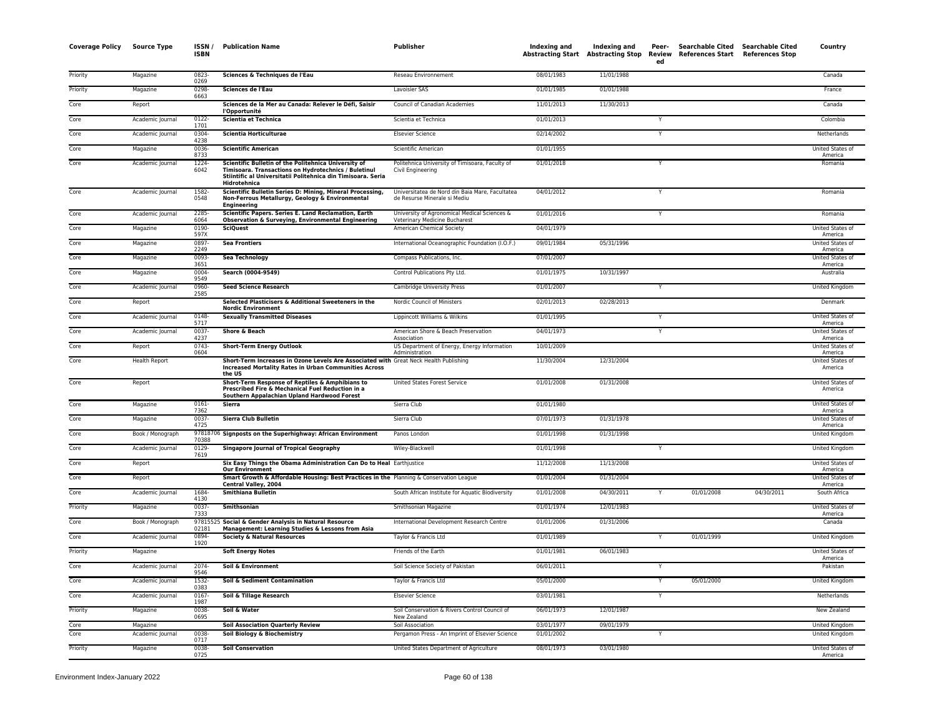| <b>Coverage Policy</b> | <b>Source Type</b>   | ISSN/<br><b>ISBN</b> | <b>Publication Name</b>                                                                                                                                                                      | <b>Publisher</b>                                                                | Indexing and | Indexing and | Peer-<br>ed | Searchable Cited Searchable Cited<br>Abstracting Start Abstracting Stop Review References Start References Stop |            | Country                           |
|------------------------|----------------------|----------------------|----------------------------------------------------------------------------------------------------------------------------------------------------------------------------------------------|---------------------------------------------------------------------------------|--------------|--------------|-------------|-----------------------------------------------------------------------------------------------------------------|------------|-----------------------------------|
| Priority               | Magazine             | 0823-<br>0269        | Sciences & Techniques de l'Eau                                                                                                                                                               | Reseau Environnement                                                            | 08/01/1983   | 11/01/1988   |             |                                                                                                                 |            | Canada                            |
| Priority               | Magazine             | 0298<br>6663         | Sciences de l'Eau                                                                                                                                                                            | Lavoisier SAS                                                                   | 01/01/1985   | 01/01/1988   |             |                                                                                                                 |            | France                            |
| Core                   | Report               |                      | Sciences de la Mer au Canada: Relever le Défi, Saisir<br>l'Opportunité                                                                                                                       | Council of Canadian Academies                                                   | 11/01/2013   | 11/30/2013   |             |                                                                                                                 |            | Canada                            |
| Core                   | Academic Journal     | $0122 -$<br>1701     | Scientia et Technica                                                                                                                                                                         | Scientia et Technica                                                            | 01/01/2013   |              |             |                                                                                                                 |            | Colombia                          |
| Core                   | Academic Journal     | 0304<br>4238         | <b>Scientia Horticulturae</b>                                                                                                                                                                | <b>Elsevier Science</b>                                                         | 02/14/2002   |              | Y           |                                                                                                                 |            | Netherlands                       |
| Core                   | Magazine             | 0036-<br>8733        | <b>Scientific American</b>                                                                                                                                                                   | Scientific American                                                             | 01/01/1955   |              |             |                                                                                                                 |            | <b>United States o</b><br>America |
| Core                   | Academic Journal     | 1224-<br>6042        | Scientific Bulletin of the Politehnica University of<br>Timisoara. Transactions on Hydrotechnics / Buletinul<br>Stiintific al Universitatii Politehnica din Timisoara, Seria<br>Hidrotehnica | Politehnica University of Timisoara, Faculty of<br>Civil Engineering            | 01/01/2018   |              | Y           |                                                                                                                 |            | Romania                           |
| Core                   | Academic Journal     | 1582-<br>0548        | Scientific Bulletin Series D: Mining, Mineral Processing,<br>Non-Ferrous Metallurgy, Geology & Environmental<br><b>Engineering</b>                                                           | Universitatea de Nord din Baia Mare, Facultatea<br>de Resurse Minerale si Mediu | 04/01/2012   |              | Y           |                                                                                                                 |            | Romania                           |
| Core                   | Academic Journal     | 2285<br>6064         | Scientific Papers. Series E. Land Reclamation, Earth<br><b>Observation &amp; Surveying, Environmental Engineering</b>                                                                        | University of Agronomical Medical Sciences &<br>Veterinary Medicine Bucharest   | 01/01/2016   |              | Y           |                                                                                                                 |            | Romania                           |
| Core                   | Magazine             | 0190-<br>597X        | <b>SciQuest</b>                                                                                                                                                                              | American Chemical Society                                                       | 04/01/1979   |              |             |                                                                                                                 |            | United States of<br>America       |
| Core                   | Magazine             | 0897-<br>2249        | <b>Sea Frontiers</b>                                                                                                                                                                         | International Oceanographic Foundation (I.O.F.)                                 | 09/01/1984   | 05/31/1996   |             |                                                                                                                 |            | United States of<br>America       |
| Core                   | Magazine             | 0093-<br>3651        | <b>Sea Technology</b>                                                                                                                                                                        | Compass Publications, Inc.                                                      | 07/01/2007   |              |             |                                                                                                                 |            | United States of<br>America       |
| Core                   | Magazine             | 0004<br>9549         | Search (0004-9549)                                                                                                                                                                           | Control Publications Pty Ltd.                                                   | 01/01/1975   | 10/31/1997   |             |                                                                                                                 |            | Australia                         |
| Core                   | Academic Journal     | 0960-<br>2585        | <b>Seed Science Research</b>                                                                                                                                                                 | Cambridge University Press                                                      | 01/01/2007   |              | Y           |                                                                                                                 |            | <b>United Kingdom</b>             |
| Core                   | Report               |                      | Selected Plasticisers & Additional Sweeteners in the<br><b>Nordic Environment</b>                                                                                                            | Nordic Council of Ministers                                                     | 02/01/2013   | 02/28/2013   |             |                                                                                                                 |            | Denmark                           |
| Core                   | Academic Journal     | 0148<br>5717         | <b>Sexually Transmitted Diseases</b>                                                                                                                                                         | Lippincott Williams & Wilkins                                                   | 01/01/1995   |              | Υ           |                                                                                                                 |            | United States of<br>America       |
| Core                   | Academic Journal     | 0037-<br>4237        | Shore & Beach                                                                                                                                                                                | American Shore & Beach Preservation<br>Association                              | 04/01/1973   |              | Y           |                                                                                                                 |            | United States of<br>America       |
| Core                   | Report               | 0743-<br>0604        | <b>Short-Term Energy Outlook</b>                                                                                                                                                             | US Department of Energy, Energy Information<br>Administration                   | 10/01/2009   |              |             |                                                                                                                 |            | United States of<br>America       |
| Core                   | <b>Health Report</b> |                      | Short-Term Increases in Ozone Levels Are Associated with Great Neck Health Publishing<br><b>Increased Mortality Rates in Urban Communities Across</b><br>the US                              |                                                                                 | 11/30/2004   | 12/31/2004   |             |                                                                                                                 |            | United States of<br>America       |
| Core                   | Report               |                      | Short-Term Response of Reptiles & Amphibians to<br>Prescribed Fire & Mechanical Fuel Reduction in a<br>Southern Appalachian Upland Hardwood Forest                                           | United States Forest Service                                                    | 01/01/2008   | 01/31/2008   |             |                                                                                                                 |            | United States of<br>America       |
| Core                   | Magazine             | $0161 -$<br>7362     | Sierra                                                                                                                                                                                       | Sierra Club                                                                     | 01/01/1980   |              |             |                                                                                                                 |            | United States of<br>America       |
| Core                   | Magazine             | 0037-<br>4725        | Sierra Club Bulletin                                                                                                                                                                         | Sierra Club                                                                     | 07/01/1973   | 01/31/1978   |             |                                                                                                                 |            | United States of<br>America       |
| Core                   | Book / Monograph     | 70388                | 97818706 Signposts on the Superhighway: African Environment                                                                                                                                  | Panos London                                                                    | 01/01/1998   | 01/31/1998   |             |                                                                                                                 |            | United Kingdom                    |
| Core                   | Academic Journal     | $0129 -$<br>7619     | <b>Singapore Journal of Tropical Geography</b>                                                                                                                                               | Wiley-Blackwell                                                                 | 01/01/1998   |              | Y           |                                                                                                                 |            | United Kingdom                    |
| Core                   | Report               |                      | Six Easy Things the Obama Administration Can Do to Heal Earthjustice<br><b>Our Environment</b>                                                                                               |                                                                                 | 11/12/2008   | 11/13/2008   |             |                                                                                                                 |            | United States of<br>America       |
| Core                   | Report               |                      | Smart Growth & Affordable Housing: Best Practices in the Planning & Conservation League<br>Central Valley, 2004                                                                              |                                                                                 | 01/01/2004   | 01/31/2004   |             |                                                                                                                 |            | United States of<br>America       |
| Core                   | Academic Journal     | 1684<br>4130         | <b>Smithiana Bulletin</b>                                                                                                                                                                    | South African Institute for Aquatic Biodiversity                                | 01/01/2008   | 04/30/2011   |             | 01/01/2008                                                                                                      | 04/30/2011 | South Africa                      |
| Priority               | Magazine             | 0037-<br>7333        | Smithsonian                                                                                                                                                                                  | Smithsonian Magazine                                                            | 01/01/1974   | 12/01/1983   |             |                                                                                                                 |            | United States of<br>America       |
| Core                   | Book / Monograph     | 02181                | 97815525 Social & Gender Analysis in Natural Resource<br>Management: Learning Studies & Lessons from Asia                                                                                    | International Development Research Centre                                       | 01/01/2006   | 01/31/2006   |             |                                                                                                                 |            | Canada                            |
| Core                   | Academic Journal     | 0894<br>1920         | <b>Society &amp; Natural Resources</b>                                                                                                                                                       | Taylor & Francis Ltd                                                            | 01/01/1989   |              |             | 01/01/1999                                                                                                      |            | United Kingdom                    |
| Priority               | Magazine             |                      | <b>Soft Energy Notes</b>                                                                                                                                                                     | Friends of the Earth                                                            | 01/01/1981   | 06/01/1983   |             |                                                                                                                 |            | United States of<br>America       |
| Core                   | Academic Journal     | 2074-<br>9546        | Soil & Environment                                                                                                                                                                           | Soil Science Society of Pakistan                                                | 06/01/2011   |              |             |                                                                                                                 |            | Pakistan                          |
| Core                   | Academic Journal     | 1532-<br>0383        | Soil & Sediment Contamination                                                                                                                                                                | Taylor & Francis Ltd                                                            | 05/01/2000   |              |             | 05/01/2000                                                                                                      |            | <b>United Kingdom</b>             |
| Core                   | Academic Journal     | 0167<br>1987         | Soil & Tillage Research                                                                                                                                                                      | <b>Elsevier Science</b>                                                         | 03/01/1981   |              | Y           |                                                                                                                 |            | Netherlands                       |
| Priority               | Magazine             | 0038-<br>0695        | Soil & Water                                                                                                                                                                                 | Soil Conservation & Rivers Control Council of<br>New Zealand                    | 06/01/1973   | 12/01/1987   |             |                                                                                                                 |            | New Zealand                       |
| Core                   | Magazine             |                      | <b>Soil Association Quarterly Review</b>                                                                                                                                                     | Soil Association                                                                | 03/01/1977   | 09/01/1979   |             |                                                                                                                 |            | United Kingdom                    |
| Core                   | Academic Journal     | 0038<br>0717         | Soil Biology & Biochemistry                                                                                                                                                                  | Pergamon Press - An Imprint of Elsevier Science                                 | 01/01/2002   |              |             |                                                                                                                 |            | United Kingdom                    |
| Priority               | Magazine             | 0038-<br>0725        | <b>Soil Conservation</b>                                                                                                                                                                     | United States Department of Agriculture                                         | 08/01/1973   | 03/01/1980   |             |                                                                                                                 |            | United States of<br>America       |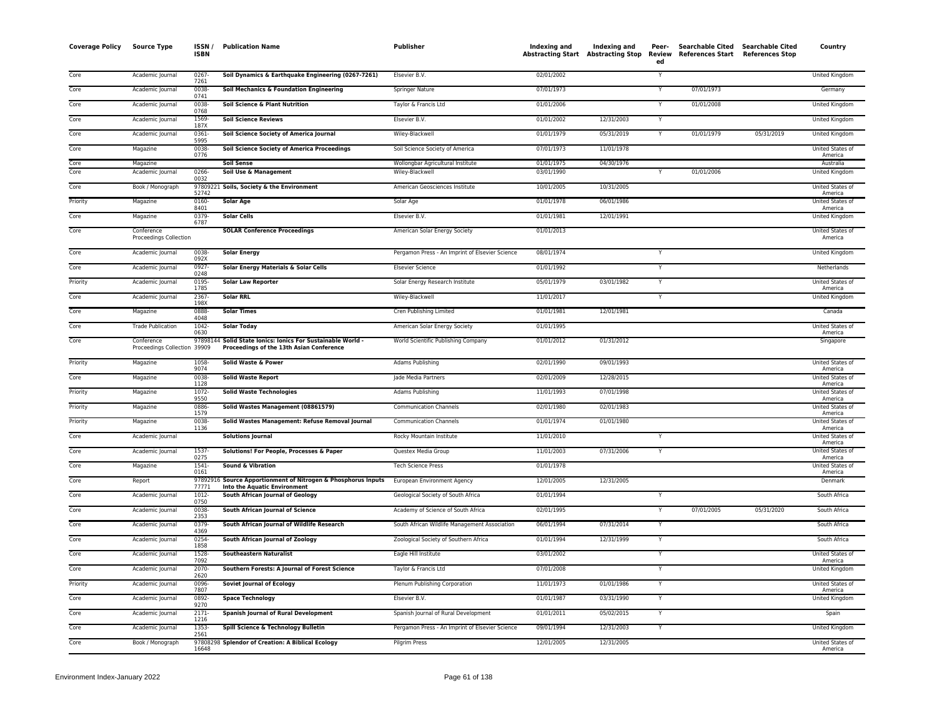| <b>Coverage Policy</b> | <b>Source Type</b>                         | ISSN/<br><b>ISBN</b> | <b>Publication Name</b>                                                                                 | Publisher                                       | Indexing and             | <b>Indexing and</b><br>Abstracting Start Abstracting Stop | Peer-<br>ed | Searchable Cited Searchable Cited<br>Review References Start References Stop |            | Country                            |
|------------------------|--------------------------------------------|----------------------|---------------------------------------------------------------------------------------------------------|-------------------------------------------------|--------------------------|-----------------------------------------------------------|-------------|------------------------------------------------------------------------------|------------|------------------------------------|
| Core                   | Academic Journal                           | $0267 -$<br>7261     | Soil Dynamics & Earthquake Engineering (0267-7261)                                                      | Elsevier B.V.                                   | 02/01/2002               |                                                           | Y           |                                                                              |            | United Kingdom                     |
| Core                   | Academic Journal                           | 0038-<br>0741        | Soil Mechanics & Foundation Engineering                                                                 | Springer Nature                                 | 07/01/1973               |                                                           |             | 07/01/1973                                                                   |            | Germany                            |
| Core                   | Academic Journal                           | 0038-<br>0768        | Soil Science & Plant Nutrition                                                                          | Taylor & Francis Ltd                            | 01/01/2006               |                                                           | Y           | 01/01/2008                                                                   |            | <b>United Kingdom</b>              |
| Core                   | Academic Journal                           | 1569-<br>187X        | <b>Soil Science Reviews</b>                                                                             | Elsevier B.V.                                   | 01/01/2002               | 12/31/2003                                                | Y           |                                                                              |            | <b>United Kingdom</b>              |
| Core                   | Academic Journal                           | 0361-<br>5995        | Soil Science Society of America Journal                                                                 | Wiley-Blackwell                                 | 01/01/1979               | 05/31/2019                                                | Y           | 01/01/1979                                                                   | 05/31/2019 | United Kingdom                     |
| Core                   | Magazine                                   | 0038-<br>0776        | <b>Soil Science Society of America Proceedings</b>                                                      | Soil Science Society of America                 | 07/01/1973               | 11/01/1978                                                |             |                                                                              |            | United States of<br>America        |
| Core<br>Core           | Magazine                                   |                      | <b>Soil Sense</b>                                                                                       | Wollongbar Agricultural Institute               | 01/01/1975<br>03/01/1990 | 04/30/1976                                                |             |                                                                              |            | Australia                          |
|                        | Academic Journal                           | 0266-<br>0032        | Soil Use & Management                                                                                   | Wiley-Blackwell                                 |                          |                                                           |             | 01/01/2006                                                                   |            | United Kingdom                     |
| Core                   | Book / Monograph                           | 52742                | 97809221 Soils, Society & the Environment                                                               | American Geosciences Institute                  | 10/01/2005               | 10/31/2005                                                |             |                                                                              |            | United States of<br>America        |
| Priority               | Magazine                                   | $0160 -$<br>8401     | <b>Solar Age</b>                                                                                        | Solar Age                                       | 01/01/1978               | 06/01/1986                                                |             |                                                                              |            | United States o<br>America         |
| Core                   | Magazine                                   | 0379-<br>6787        | <b>Solar Cells</b>                                                                                      | Elsevier B.V.                                   | 01/01/1981               | 12/01/1991                                                |             |                                                                              |            | United Kingdom                     |
| Core                   | Conference<br>Proceedings Collection       |                      | <b>SOLAR Conference Proceedings</b>                                                                     | American Solar Energy Society                   | 01/01/2013               |                                                           |             |                                                                              |            | United States of<br>America        |
| Core                   | Academic Journal                           | $0038 -$<br>092X     | <b>Solar Energy</b>                                                                                     | Pergamon Press - An Imprint of Elsevier Science | 08/01/1974               |                                                           | Y           |                                                                              |            | United Kingdom                     |
| Core                   | Academic Journal                           | 0927-<br>0248        | Solar Energy Materials & Solar Cells                                                                    | <b>Elsevier Science</b>                         | 01/01/1992               |                                                           | Y           |                                                                              |            | Netherlands                        |
| Priority               | Academic Journal                           | 0195-<br>1785        | <b>Solar Law Reporter</b>                                                                               | Solar Energy Research Institute                 | 05/01/1979               | 03/01/1982                                                | Υ           |                                                                              |            | United States of<br>America        |
| Core                   | Academic Journal                           | 2367-<br>198X        | <b>Solar RRL</b>                                                                                        | Wiley-Blackwell                                 | 11/01/2017               |                                                           | Y           |                                                                              |            | United Kingdom                     |
| Core                   | Magazine                                   | 0888-<br>4048        | <b>Solar Times</b>                                                                                      | Cren Publishing Limited                         | 01/01/1981               | 12/01/1981                                                |             |                                                                              |            | Canada                             |
| Core                   | <b>Trade Publication</b>                   | $1042 -$<br>0630     | <b>Solar Today</b>                                                                                      | American Solar Energy Society                   | 01/01/1995               |                                                           |             |                                                                              |            | United States o<br>America         |
| Core                   | Conference<br>Proceedings Collection 39909 |                      | 97898144 Solid State Ionics: Ionics For Sustainable World -<br>Proceedings of the 13th Asian Conference | World Scientific Publishing Company             | 01/01/2012               | 01/31/2012                                                |             |                                                                              |            | Singapore                          |
| Priority               | Magazine                                   | 1058-<br>9074        | Solid Waste & Power                                                                                     | Adams Publishing                                | 02/01/1990               | 09/01/1993                                                |             |                                                                              |            | United States of<br>America        |
| Core                   | Magazine                                   | 0038-<br>1128        | <b>Solid Waste Report</b>                                                                               | Jade Media Partners                             | 02/01/2009               | 12/28/2015                                                |             |                                                                              |            | United States of<br>America        |
| Priority               | Magazine                                   | 1072-<br>9550        | <b>Solid Waste Technologies</b>                                                                         | Adams Publishing                                | 11/01/1993               | 07/01/1998                                                |             |                                                                              |            | United States of<br>America        |
| Priority               | Magazine                                   | 0886<br>1579         | Solid Wastes Management (08861579)                                                                      | <b>Communication Channels</b>                   | 02/01/1980               | 02/01/1983                                                |             |                                                                              |            | United States of<br>America        |
| Priority               | Magazine                                   | 0038-<br>1136        | Solid Wastes Management: Refuse Removal Journal                                                         | <b>Communication Channels</b>                   | 01/01/1974               | 01/01/1980                                                |             |                                                                              |            | United States of<br>America        |
| Core                   | Academic Journal                           |                      | <b>Solutions Journal</b>                                                                                | Rocky Mountain Institute                        | 11/01/2010               |                                                           |             |                                                                              |            | <b>United States of</b><br>America |
| Core                   | Academic Journal                           | 1537-<br>0275        | Solutions! For People, Processes & Paper                                                                | Questex Media Group                             | 11/01/2003               | 07/31/2006                                                | Y           |                                                                              |            | United States of<br>America        |
| Core                   | Magazine                                   | $1541 -$<br>0161     | <b>Sound &amp; Vibration</b>                                                                            | <b>Tech Science Press</b>                       | 01/01/1978               |                                                           |             |                                                                              |            | <b>United States of</b><br>America |
| Core                   | Report                                     | 77771                | 97892916 Source Apportionment of Nitrogen & Phosphorus Inputs<br><b>Into the Aquatic Environment</b>    | European Environment Agency                     | 12/01/2005               | 12/31/2005                                                |             |                                                                              |            | Denmark                            |
| Core                   | Academic Journal                           | 1012-<br>0750        | South African Journal of Geology                                                                        | Geological Society of South Africa              | 01/01/1994               |                                                           | Y           |                                                                              |            | South Africa                       |
| Core                   | Academic Journal                           | $0038 -$<br>2353     | South African Journal of Science                                                                        | Academy of Science of South Africa              | 02/01/1995               |                                                           | Y           | 07/01/2005                                                                   | 05/31/2020 | South Africa                       |
| Core                   | Academic Journal                           | 0379-<br>4369        | South African Journal of Wildlife Research                                                              | South African Wildlife Management Association   | 06/01/1994               | 07/31/2014                                                | Y           |                                                                              |            | South Africa                       |
| Core                   | Academic Journal                           | 0254-<br>1858        | South African Journal of Zoology                                                                        | Zoological Society of Southern Africa           | 01/01/1994               | 12/31/1999                                                | Y           |                                                                              |            | South Africa                       |
| Core                   | Academic Journal                           | 1528-<br>7092        | <b>Southeastern Naturalist</b>                                                                          | Eagle Hill Institute                            | 03/01/2002               |                                                           | Y           |                                                                              |            | United States of<br>America        |
| Core                   | Academic Journal                           | 2070-<br>2620        | Southern Forests: A Journal of Forest Science                                                           | Taylor & Francis Ltd                            | 07/01/2008               |                                                           | Υ           |                                                                              |            | United Kingdom                     |
| Priority               | Academic Journal                           | 0096-<br>7807        | <b>Soviet Journal of Ecology</b>                                                                        | Plenum Publishing Corporation                   | 11/01/1973               | 01/01/1986                                                | Υ           |                                                                              |            | United States of<br>America        |
| Core                   | Academic Journal                           | 0892-<br>9270        | <b>Space Technology</b>                                                                                 | Elsevier B.V.                                   | 01/01/1987               | 03/31/1990                                                | Y           |                                                                              |            | United Kingdom                     |
| Core                   | Academic Journal                           | 2171-                | <b>Spanish Journal of Rural Development</b>                                                             | Spanish Journal of Rural Development            | 01/01/2011               | 05/02/2015                                                |             |                                                                              |            | Spain                              |
| Core                   | Academic Journal                           | 1216<br>1353-        | Spill Science & Technology Bulletin                                                                     | Pergamon Press - An Imprint of Elsevier Science | 09/01/1994               | 12/31/2003                                                | Y           |                                                                              |            | <b>United Kingdom</b>              |
| Core                   | Book / Monograph                           | 2561<br>16648        | 97808298 Splendor of Creation: A Biblical Ecology                                                       | <b>Pilgrim Press</b>                            | 12/01/2005               | 12/31/2005                                                |             |                                                                              |            | United States of<br>America        |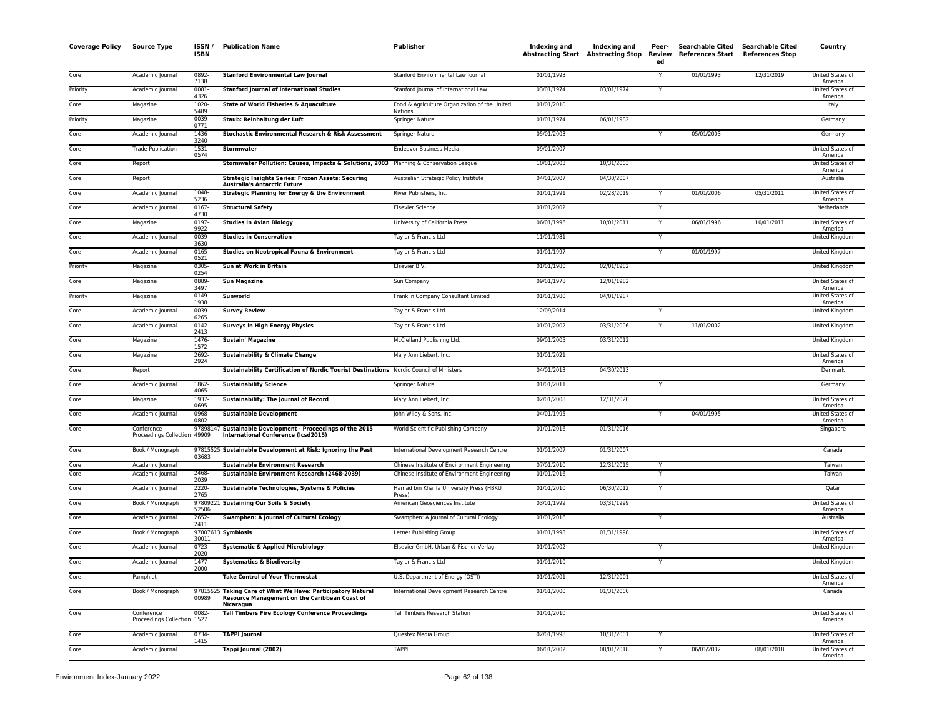| <b>Coverage Policy</b> | <b>Source Type</b>                        | ISSN/<br><b>ISBN</b> | <b>Publication Name</b>                                                                                          | <b>Publisher</b>                                                                             | Indexing and             | Indexing and<br>Abstracting Start Abstracting Stop | Peer-<br>Review<br>ed | <b>Searchable Cited</b><br><b>References Start</b> | <b>Searchable Cited</b><br><b>References Stop</b> | Country                     |
|------------------------|-------------------------------------------|----------------------|------------------------------------------------------------------------------------------------------------------|----------------------------------------------------------------------------------------------|--------------------------|----------------------------------------------------|-----------------------|----------------------------------------------------|---------------------------------------------------|-----------------------------|
| Core                   | Academic Journal                          | 0892<br>7138         | <b>Stanford Environmental Law Journal</b>                                                                        | Stanford Environmental Law Journal                                                           | 01/01/1993               |                                                    | $\mathsf{v}$          | 01/01/1993                                         | 12/31/2019                                        | United States of<br>America |
| Priority               | Academic Journal                          | 0081                 | <b>Stanford Journal of International Studies</b>                                                                 | Stanford Journal of International Law                                                        | 03/01/1974               | 03/01/1974                                         | Y                     |                                                    |                                                   | United States of            |
| Core                   | Magazine                                  | 4326<br>1020-        | State of World Fisheries & Aquaculture                                                                           | Food & Agriculture Organization of the United                                                | 01/01/2010               |                                                    |                       |                                                    |                                                   | America<br>Italy            |
| Priority               | Magazine                                  | 5489<br>0039-        | Staub: Reinhaltung der Luft                                                                                      | Nations<br>Springer Nature                                                                   | 01/01/1974               | 06/01/1982                                         |                       |                                                    |                                                   | Germany                     |
| Core                   | Academic Journal                          | 0771<br>1436-        | Stochastic Environmental Research & Risk Assessment                                                              | Springer Nature                                                                              | 05/01/2003               |                                                    | Y                     | 05/01/2003                                         |                                                   | Germany                     |
| Core                   | <b>Trade Publication</b>                  | 3240<br>$1531 -$     | Stormwater                                                                                                       | <b>Endeavor Business Media</b>                                                               | 09/01/2007               |                                                    |                       |                                                    |                                                   | <b>United States of</b>     |
| Core                   | Report                                    | 0574                 | Stormwater Pollution: Causes, Impacts & Solutions, 2003 Planning & Conservation League                           |                                                                                              | 10/01/2003               | 10/31/2003                                         |                       |                                                    |                                                   | America<br>United States o  |
| Core                   | Report                                    |                      | <b>Strategic Insights Series: Frozen Assets: Securing</b>                                                        | Australian Strategic Policy Institute                                                        | 04/01/2007               | 04/30/2007                                         |                       |                                                    |                                                   | America<br>Australia        |
| Core                   | Academic Journal                          | 1048-                | <b>Australia's Antarctic Future</b><br><b>Strategic Planning for Energy &amp; the Environment</b>                | River Publishers, Inc.                                                                       | 01/01/1991               | 02/28/2019                                         |                       | 01/01/2006                                         | 05/31/2011                                        | United States of            |
| Core                   | Academic Journal                          | 5236<br>$0167 -$     | <b>Structural Safety</b>                                                                                         | <b>Elsevier Science</b>                                                                      | 01/01/2002               |                                                    |                       |                                                    |                                                   | America<br>Netherlands      |
| Core                   | Magazine                                  | 4730<br>0197         | <b>Studies in Avian Biology</b>                                                                                  | University of California Press                                                               | 06/01/1996               | 10/01/2011                                         |                       | 06/01/1996                                         | 10/01/2011                                        | United States of            |
| Core                   | Academic Journal                          | 9922<br>0039-        | <b>Studies in Conservation</b>                                                                                   | Taylor & Francis Ltd                                                                         | 11/01/1981               |                                                    | Y                     |                                                    |                                                   | America<br>United Kingdom   |
| Core                   | Academic Journal                          | 3630<br>$0165 -$     | Studies on Neotropical Fauna & Environment                                                                       | Taylor & Francis Ltd                                                                         | 01/01/1997               |                                                    |                       | 01/01/1997                                         |                                                   | <b>United Kingdom</b>       |
| Priority               | Magazine                                  | 0521<br>0305-        | Sun at Work in Britain                                                                                           | Elsevier B.V.                                                                                | 01/01/1980               | 02/01/1982                                         |                       |                                                    |                                                   | United Kingdom              |
| Core                   | Magazine                                  | 0254<br>0889-        | <b>Sun Magazine</b>                                                                                              | Sun Company                                                                                  | 09/01/1978               | 12/01/1982                                         |                       |                                                    |                                                   | United States of            |
| Priority               | Magazine                                  | 3497<br>0149-        | Sunworld                                                                                                         | Franklin Company Consultant Limited                                                          | 01/01/1980               | 04/01/1987                                         |                       |                                                    |                                                   | America<br>United States of |
| Core                   | Academic Journal                          | 1938<br>0039-        | <b>Survey Review</b>                                                                                             | Taylor & Francis Ltd                                                                         | 12/09/2014               |                                                    |                       |                                                    |                                                   | America<br>United Kingdom   |
| Core                   | Academic Journal                          | 6265<br>$0142 -$     | <b>Surveys in High Energy Physics</b>                                                                            | Taylor & Francis Ltd                                                                         | 01/01/2002               | 03/31/2006                                         |                       | 11/01/2002                                         |                                                   | <b>United Kingdom</b>       |
| Core                   | Magazine                                  | 2413<br>1476-        | <b>Sustain' Magazine</b>                                                                                         | McClelland Publishing Ltd.                                                                   | 09/01/2005               | 03/31/2012                                         |                       |                                                    |                                                   | <b>United Kingdom</b>       |
| Core                   | Magazine                                  | 1572<br>2692         | <b>Sustainability &amp; Climate Change</b>                                                                       | Mary Ann Liebert, Inc.                                                                       | 01/01/2021               |                                                    |                       |                                                    |                                                   | United States of            |
| Core                   | Report                                    | 2924                 | Sustainability Certification of Nordic Tourist Destinations Nordic Council of Ministers                          |                                                                                              | 04/01/2013               | 04/30/2013                                         |                       |                                                    |                                                   | America<br>Denmark          |
| Core                   | Academic Journal                          | 1862                 | <b>Sustainability Science</b>                                                                                    | Springer Nature                                                                              | 01/01/2011               |                                                    |                       |                                                    |                                                   | Germany                     |
| Core                   | Magazine                                  | 4065<br>1937-        | Sustainability: The Journal of Record                                                                            | Mary Ann Liebert, Inc.                                                                       | 02/01/2008               | 12/31/2020                                         |                       |                                                    |                                                   | United States of            |
| Core                   | Academic Journal                          | 0695<br>0968-        | <b>Sustainable Development</b>                                                                                   | John Wiley & Sons, Inc.                                                                      | 04/01/1995               |                                                    |                       | 04/01/1995                                         |                                                   | America<br>United States o  |
| Core                   | Conference                                | 0802                 | 97898147 Sustainable Development - Proceedings of the 2015                                                       | World Scientific Publishing Company                                                          | 01/01/2016               | 01/31/2016                                         |                       |                                                    |                                                   | America<br>Singapore        |
|                        | Proceedings Collection 49909              |                      | International Conference (Icsd2015)                                                                              |                                                                                              |                          |                                                    |                       |                                                    |                                                   |                             |
| Core                   | Book / Monograph                          | 03683                | 97815525 Sustainable Development at Risk: Ignoring the Past                                                      | International Development Research Centre                                                    | 01/01/2007               | 01/31/2007                                         |                       |                                                    |                                                   | Canada                      |
| Core<br>Core           | Academic Journal<br>Academic Journal      | 2468-                | <b>Sustainable Environment Research</b><br>Sustainable Environment Research (2468-2039)                          | Chinese Institute of Environment Engineering<br>Chinese Institute of Environment Engineering | 07/01/2010<br>01/01/2016 | 12/31/2015                                         | $\mathsf{v}$          |                                                    |                                                   | Taiwar<br>Taiwan            |
| Core                   | Academic Journal                          | 2039<br>2220-        | Sustainable Technologies, Systems & Policies                                                                     | Hamad bin Khalifa University Press (HBKU                                                     | 01/01/2010               | 06/30/2012                                         | Y                     |                                                    |                                                   | Qatar                       |
| Core                   |                                           | 2765                 |                                                                                                                  | Press<br>American Geosciences Institute                                                      | 03/01/1999               | 03/31/1999                                         |                       |                                                    |                                                   | <b>United States of</b>     |
|                        | Book / Monograph                          | 52506                | 97809221 Sustaining Our Soils & Society                                                                          |                                                                                              |                          |                                                    |                       |                                                    |                                                   | America                     |
| Core                   | Academic Journal                          | 2652-<br>2411        | <b>Swamphen: A Journal of Cultural Ecology</b>                                                                   | Swamphen: A Journal of Cultural Ecology                                                      | 01/01/2016               |                                                    | Y                     |                                                    |                                                   | Australia                   |
| Core                   | Book / Monograph                          | 30011                | 97807613 Symbiosis                                                                                               | Lerner Publishing Group                                                                      | 01/01/1998               | 01/31/1998                                         |                       |                                                    |                                                   | United States of<br>America |
| Core                   | Academic Journal                          | 0723-<br>2020        | <b>Systematic &amp; Applied Microbiology</b>                                                                     | Elsevier GmbH, Urban & Fischer Verlag                                                        | 01/01/2002               |                                                    | Y                     |                                                    |                                                   | United Kingdom              |
| Core                   | Academic Journal                          | 1477-<br>2000        | <b>Systematics &amp; Biodiversity</b>                                                                            | Taylor & Francis Ltd                                                                         | 01/01/2010               |                                                    | Y                     |                                                    |                                                   | <b>United Kingdom</b>       |
| Core                   | Pamphlet                                  |                      | <b>Take Control of Your Thermostat</b>                                                                           | U.S. Department of Energy (OSTI)                                                             | 01/01/2001               | 12/31/2001                                         |                       |                                                    |                                                   | United States of<br>America |
| Core                   | Book / Monograph                          | 97815525<br>00989    | Taking Care of What We Have: Participatory Natural<br>Resource Management on the Caribbean Coast of<br>Nicaragua | International Development Research Centre                                                    | 01/01/2000               | 01/31/2000                                         |                       |                                                    |                                                   | Canada                      |
| Core                   | Conference<br>Proceedings Collection 1527 | 0082-                | <b>Tall Timbers Fire Ecology Conference Proceedings</b>                                                          | Tall Timbers Research Station                                                                | 01/01/2010               |                                                    |                       |                                                    |                                                   | United States of<br>America |
| Core                   | Academic Journal                          | 0734<br>1415         | <b>TAPPI Journal</b>                                                                                             | Questex Media Group                                                                          | 02/01/1998               | 10/31/2001                                         |                       |                                                    |                                                   | United States of<br>America |
| Core                   | Academic Journal                          |                      | Tappi Journal (2002)                                                                                             | <b>TAPPI</b>                                                                                 | 06/01/2002               | 08/01/2018                                         |                       | 06/01/2002                                         | 08/01/2018                                        | United States of<br>America |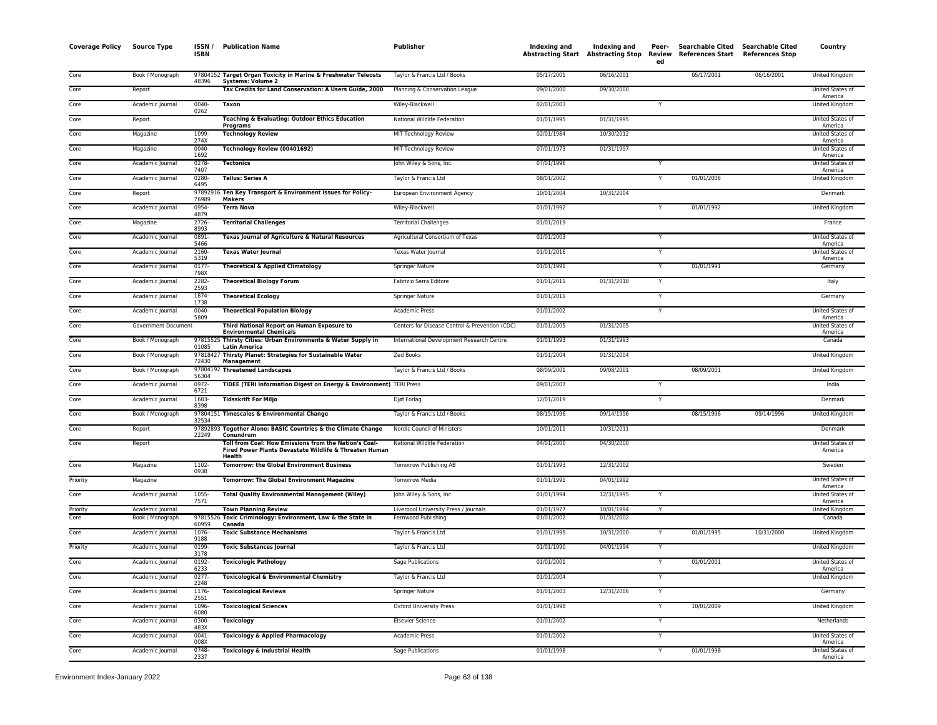| <b>Coverage Policy</b> | <b>Source Type</b>                   | ISSN /<br><b>ISBN</b> | <b>Publication Name</b>                                                                                                   | <b>Publisher</b>                                             | Indexing and             | Indexing and<br>Abstracting Start Abstracting Stop Review | Peer-<br>ed | Searchable Cited Searchable Cited<br>References Start References Stop |            | Country                     |
|------------------------|--------------------------------------|-----------------------|---------------------------------------------------------------------------------------------------------------------------|--------------------------------------------------------------|--------------------------|-----------------------------------------------------------|-------------|-----------------------------------------------------------------------|------------|-----------------------------|
| Core                   | Book / Monograph                     | 48396                 | 97804152 Target Organ Toxicity in Marine & Freshwater Teleosts<br><b>Systems: Volume 2</b>                                | Taylor & Francis Ltd / Books                                 | 05/17/2001               | 06/16/2001                                                |             | 05/17/2001                                                            | 06/16/2001 | <b>United Kingdom</b>       |
| Core                   | Report                               |                       | Tax Credits for Land Conservation: A Users Guide, 2000                                                                    | Planning & Conservation League                               | 09/01/2000               | 09/30/2000                                                |             |                                                                       |            | United States of<br>America |
| Core                   | Academic Journal                     | $0040 -$<br>0262      | <b>Taxon</b>                                                                                                              | Wiley-Blackwell                                              | 02/01/2003               |                                                           | Y           |                                                                       |            | <b>United Kingdom</b>       |
| Core                   | Report                               |                       | Teaching & Evaluating: Outdoor Ethics Education<br><b>Programs</b>                                                        | National Wildlife Federation                                 | 01/01/1995               | 01/31/1995                                                |             |                                                                       |            | United States of<br>America |
| Core                   | Magazine                             | 1099<br>274X          | <b>Technology Review</b>                                                                                                  | MIT Technology Review                                        | 02/01/1984               | 10/30/2012                                                |             |                                                                       |            | United States of<br>America |
| Core                   | Magazine                             | $0040 -$<br>1692      | Technology Review (00401692)                                                                                              | MIT Technology Review                                        | 07/01/1973               | 01/31/1997                                                |             |                                                                       |            | United States of<br>America |
| Core                   | Academic Journal                     | $0278 -$<br>7407      | <b>Tectonics</b>                                                                                                          | John Wiley & Sons, Inc.                                      | 07/01/1996               |                                                           | Y           |                                                                       |            | United States of<br>America |
| Core                   | Academic Journal                     | 0280-<br>6495         | <b>Tellus: Series A</b>                                                                                                   | Taylor & Francis Ltd                                         | 08/01/2002               |                                                           |             | 01/01/2008                                                            |            | United Kingdom              |
| Core                   | Report                               | 76989                 | 97892916 Ten Key Transport & Environment Issues for Policy-<br><b>Makers</b>                                              | European Environment Agency                                  | 10/01/2004               | 10/31/2004                                                |             |                                                                       |            | Denmark                     |
| Core                   | Academic Journal                     | 0954-<br>4879         | <b>Terra Nova</b>                                                                                                         | Wiley-Blackwell                                              | 01/01/1992               |                                                           | Y           | 01/01/1992                                                            |            | United Kingdom              |
| Core                   | Magazine                             | 2726-<br>8993         | <b>Territorial Challenges</b>                                                                                             | <b>Territorial Challenges</b>                                | 01/01/2019               |                                                           |             |                                                                       |            | France                      |
| Core                   | Academic Journal                     | 0891-<br>5466         | Texas Journal of Agriculture & Natural Resources                                                                          | Agricultural Consortium of Texas                             | 01/01/2003               |                                                           | Y           |                                                                       |            | United States of<br>America |
| Core                   | Academic Journal                     | 2160-<br>5319         | <b>Texas Water Journal</b>                                                                                                | Texas Water Journal                                          | 01/01/2016               |                                                           |             |                                                                       |            | United States of<br>America |
| Core                   | Academic Journal                     | 0177-<br>798X         | Theoretical & Applied Climatology                                                                                         | Springer Nature                                              | 01/01/1991               |                                                           | Y           | 01/01/1991                                                            |            | Germany                     |
| Core                   | Academic Journal                     | 2282-<br>2593         | <b>Theoretical Biology Forum</b>                                                                                          | Fabrizio Serra Editore                                       | 01/01/2011               | 01/31/2018                                                |             |                                                                       |            | Italy                       |
| Core                   | Academic Journal                     | 1874-<br>1738         | <b>Theoretical Ecology</b>                                                                                                | <b>Springer Nature</b>                                       | 01/01/2011               |                                                           | Y           |                                                                       |            | Germany                     |
| Core                   | Academic Journal                     | $0040 -$<br>5809      | <b>Theoretical Population Biology</b>                                                                                     | <b>Academic Press</b>                                        | 01/01/2002               |                                                           | Y           |                                                                       |            | United States of<br>America |
| Core                   | Government Document                  |                       | Third National Report on Human Exposure to<br><b>Environmental Chemicals</b>                                              | Centers for Disease Control & Prevention (CDC)               | 01/01/2005               | 01/31/2005                                                |             |                                                                       |            | United States of<br>America |
| Core                   | Book / Monograph                     | 01085                 | 97815525 Thirsty Cities: Urban Environments & Water Supply in<br><b>Latin America</b>                                     | International Development Research Centre                    | 01/01/1993               | 01/31/1993                                                |             |                                                                       |            | Canada                      |
| Core                   | Book / Monograph                     | 97818427<br>72430     | Thirsty Planet: Strategies for Sustainable Water<br>Management                                                            | Zed Books                                                    | 01/01/2004               | 01/31/2004                                                |             |                                                                       |            | United Kingdom              |
| Core                   | Book / Monograph                     | 56304                 | 97804192 Threatened Landscapes                                                                                            | Taylor & Francis Ltd / Books                                 | 08/09/2001               | 09/08/2001                                                |             | 08/09/2001                                                            |            | <b>United Kingdom</b>       |
| Core                   | Academic Journal                     | 0972-<br>6721         | TIDEE (TERI Information Digest on Energy & Environment) TERI Press                                                        |                                                              | 09/01/2007               |                                                           |             |                                                                       |            | India                       |
| Core                   | Academic Journal                     | 1603-<br>8398         | <b>Tidsskrift For Miljo</b>                                                                                               | Djøf Forlag                                                  | 12/01/2019               |                                                           | Y           |                                                                       |            | Denmark                     |
| Core                   | Book / Monograph                     | 32534                 | 97804151 Timescales & Environmental Change                                                                                | Taylor & Francis Ltd / Books                                 | 08/15/1996               | 09/14/1996                                                |             | 08/15/1996                                                            | 09/14/1996 | <b>United Kingdom</b>       |
| Core                   | Report                               | 22249                 | 97892893 Together Alone: BASIC Countries & the Climate Change<br>Conundrum                                                | Nordic Council of Ministers                                  | 10/01/2011               | 10/31/2011                                                |             |                                                                       |            | Denmark                     |
| Core                   | Report                               |                       | Toll from Coal: How Emissions from the Nation's Coal-<br>Fired Power Plants Devastate Wildlife & Threaten Human<br>Health | National Wildlife Federation                                 | 04/01/2000               | 04/30/2000                                                |             |                                                                       |            | United States of<br>America |
| Core                   | Magazine                             | 1102-<br>0938         | <b>Tomorrow: the Global Environment Business</b>                                                                          | Tomorrow Publishing AB                                       | 01/01/1993               | 12/31/2002                                                |             |                                                                       |            | Sweden                      |
| Priority               | Magazine                             |                       | <b>Tomorrow: The Global Environment Magazine</b>                                                                          | <b>Tomorrow Media</b>                                        | 01/01/1991               | 04/01/1992                                                |             |                                                                       |            | United States of<br>America |
| Core                   | Academic Journal                     | 1055-<br>7571         | <b>Total Quality Environmental Management (Wiley)</b>                                                                     | John Wiley & Sons, Inc.                                      | 01/01/1994               | 12/31/1995                                                | Y           |                                                                       |            | United States of<br>America |
| Priority<br>Core       | Academic Journal<br>Book / Monograph |                       | <b>Town Planning Review</b><br>97815526 Toxic Criminology: Environment, Law & the State in                                | Liverpool University Press / Journals<br>Fernwood Publishing | 01/01/1977<br>01/01/2002 | 10/01/1994<br>01/31/2002                                  | Y           |                                                                       |            | United Kingdom<br>Canada    |
| Core                   | Academic Journal                     | 60959<br>1076-        | Canada<br><b>Toxic Substance Mechanisms</b>                                                                               | Taylor & Francis Ltd                                         | 01/01/1995               | 10/31/2000                                                |             | 01/01/1995                                                            | 10/31/2000 | United Kingdom              |
| Priority               | Academic Journal                     | 9188<br>0199-         | <b>Toxic Substances Journal</b>                                                                                           | Taylor & Francis Ltd                                         | 01/01/1990               | 04/01/1994                                                | Y           |                                                                       |            | United Kingdom              |
| Core                   | Academic Journal                     | 3178<br>0192-         | <b>Toxicologic Pathology</b>                                                                                              | Sage Publications                                            | 01/01/2001               |                                                           | Y           | 01/01/2001                                                            |            | United States of            |
| Core                   | Academic Journal                     | 6233<br>0277-         | <b>Toxicological &amp; Environmental Chemistry</b>                                                                        | Taylor & Francis Ltd                                         | 01/01/2004               |                                                           | Y           |                                                                       |            | America<br>United Kingdom   |
| Core                   | Academic Journal                     | 2248<br>1176-         | <b>Toxicological Reviews</b>                                                                                              | <b>Springer Nature</b>                                       | 01/01/2003               | 12/31/2006                                                | Y           |                                                                       |            | Germany                     |
| Core                   | Academic Journal                     | 2551<br>1096-         | <b>Toxicological Sciences</b>                                                                                             | <b>Oxford University Press</b>                               | 01/01/1998               |                                                           | Y           | 10/01/2009                                                            |            | United Kingdom              |
|                        |                                      | 6080<br>0300-         |                                                                                                                           |                                                              |                          |                                                           |             |                                                                       |            |                             |
| Core                   | Academic Journal                     | 483X                  | <b>Toxicology</b>                                                                                                         | <b>Elsevier Science</b>                                      | 01/01/2002               |                                                           | Y           |                                                                       |            | Netherlands                 |
| Core                   | Academic Journal                     | 0041-<br>008X         | <b>Toxicology &amp; Applied Pharmacology</b>                                                                              | <b>Academic Press</b>                                        | 01/01/2002               |                                                           |             |                                                                       |            | United States of<br>America |
| Core                   | Academic Journal                     | $0748 -$<br>2337      | Toxicology & Industrial Health                                                                                            | <b>Sage Publications</b>                                     | 01/01/1998               |                                                           |             | 01/01/1998                                                            |            | United States of<br>America |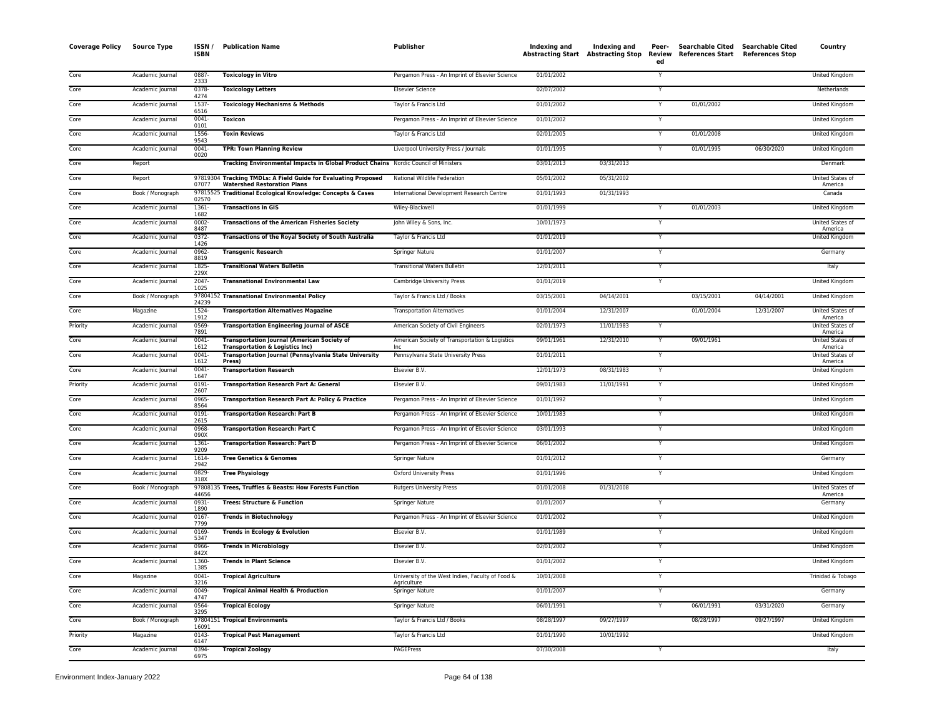| <b>Coverage Policy</b> | <b>Source Type</b> | ISSN /<br><b>ISBN</b> | <b>Publication Name</b>                                                                              | <b>Publisher</b>                                                | Indexing and Indexing and<br>Abstracting Start Abstracting Stop |            | Peer-<br>Review<br>ed | References Start | Searchable Cited Searchable Cited<br><b>References Stop</b> | Country                     |
|------------------------|--------------------|-----------------------|------------------------------------------------------------------------------------------------------|-----------------------------------------------------------------|-----------------------------------------------------------------|------------|-----------------------|------------------|-------------------------------------------------------------|-----------------------------|
| Core                   | Academic Journal   | 0887-<br>2333         | <b>Toxicology in Vitro</b>                                                                           | Pergamon Press - An Imprint of Elsevier Science                 | 01/01/2002                                                      |            | Y                     |                  |                                                             | United Kingdom              |
| Core                   | Academic Journal   | 0378-<br>4274         | <b>Toxicology Letters</b>                                                                            | <b>Elsevier Science</b>                                         | 02/07/2002                                                      |            | $\checkmark$          |                  |                                                             | Netherlands                 |
| Core                   | Academic Journal   | 1537-<br>6516         | <b>Toxicology Mechanisms &amp; Methods</b>                                                           | Taylor & Francis Ltd                                            | 01/01/2002                                                      |            |                       | 01/01/2002       |                                                             | <b>United Kingdom</b>       |
| Core                   | Academic Journal   | $0041 -$<br>0101      | <b>Toxicon</b>                                                                                       | Pergamon Press - An Imprint of Elsevier Science                 | 01/01/2002                                                      |            |                       |                  |                                                             | United Kingdom              |
| Core                   | Academic Journal   | 1556-<br>9543         | <b>Toxin Reviews</b>                                                                                 | Taylor & Francis Ltd                                            | 02/01/2005                                                      |            | Y                     | 01/01/2008       |                                                             | United Kingdom              |
| Core                   | Academic Journal   | $0041 -$<br>0020      | <b>TPR: Town Planning Review</b>                                                                     | Liverpool University Press / Journals                           | 01/01/1995                                                      |            |                       | 01/01/1995       | 06/30/2020                                                  | United Kingdom              |
| Core                   | Report             |                       | Tracking Environmental Impacts in Global Product Chains Nordic Council of Ministers                  |                                                                 | 03/01/2013                                                      | 03/31/2013 |                       |                  |                                                             | Denmark                     |
| Core                   | Report             | 07077                 | 97819304 Tracking TMDLs: A Field Guide for Evaluating Proposed<br><b>Watershed Restoration Plans</b> | National Wildlife Federation                                    | 05/01/2002                                                      | 05/31/2002 |                       |                  |                                                             | United States of<br>America |
| Core                   | Book / Monograph   | 02570                 | 97815525 Traditional Ecological Knowledge: Concepts & Cases                                          | International Development Research Centre                       | 01/01/1993                                                      | 01/31/1993 |                       |                  |                                                             | Canada                      |
| Core                   | Academic Journal   | 1361-<br>1682         | <b>Transactions in GIS</b>                                                                           | Wiley-Blackwell                                                 | 01/01/1999                                                      |            |                       | 01/01/2003       |                                                             | United Kingdom              |
| Core                   | Academic Journal   | $0002 -$<br>8487      | <b>Transactions of the American Fisheries Society</b>                                                | John Wiley & Sons, Inc.                                         | 10/01/1973                                                      |            | Y                     |                  |                                                             | United States of<br>America |
| Core                   | Academic Journal   | $0372 -$<br>1426      | Transactions of the Royal Society of South Australia                                                 | Taylor & Francis Ltd                                            | 01/01/2019                                                      |            | Y                     |                  |                                                             | United Kingdom              |
| Core                   | Academic Journal   | 0962-<br>8819         | <b>Transgenic Research</b>                                                                           | Springer Nature                                                 | 01/01/2007                                                      |            | Y                     |                  |                                                             | Germany                     |
| Core                   | Academic Journal   | 1825-<br>229X         | <b>Transitional Waters Bulletin</b>                                                                  | <b>Transitional Waters Bulletin</b>                             | 12/01/2011                                                      |            | Y                     |                  |                                                             | Italy                       |
| Core                   | Academic Journal   | $2047 -$<br>1025      | <b>Transnational Environmental Law</b>                                                               | Cambridge University Press                                      | 01/01/2019                                                      |            |                       |                  |                                                             | United Kingdom              |
| Core                   | Book / Monograph   | 24239                 | 97804152 Transnational Environmental Policy                                                          | Taylor & Francis Ltd / Books                                    | 03/15/2001                                                      | 04/14/2001 |                       | 03/15/2001       | 04/14/2001                                                  | <b>United Kingdom</b>       |
| Core                   | Magazine           | 1524-<br>1912         | <b>Transportation Alternatives Magazine</b>                                                          | <b>Transportation Alternatives</b>                              | 01/01/2004                                                      | 12/31/2007 |                       | 01/01/2004       | 12/31/2007                                                  | United States of<br>America |
| Priority               | Academic Journal   | 0569<br>7891          | <b>Transportation Engineering Journal of ASCE</b>                                                    | American Society of Civil Engineers                             | 02/01/1973                                                      | 11/01/1983 |                       |                  |                                                             | United States of<br>America |
| Core                   | Academic Journal   | 0041<br>1612          | <b>Transportation Journal (American Society of</b><br><b>Transportation &amp; Logistics Inc)</b>     | American Society of Transportation & Logistics                  | 09/01/1961                                                      | 12/31/2010 |                       | 09/01/1961       |                                                             | United States of<br>America |
| Core                   | Academic Journal   | 0041<br>1612          | Transportation Journal (Pennsylvania State University<br>Press)                                      | Pennsylvania State University Press                             | 01/01/2011                                                      |            |                       |                  |                                                             | United States of<br>America |
| Core                   | Academic Journal   | $0041 -$<br>1647      | <b>Transportation Research</b>                                                                       | Elsevier B.V.                                                   | 12/01/1973                                                      | 08/31/1983 | Y                     |                  |                                                             | <b>United Kingdom</b>       |
| Priority               | Academic Journal   | 0191<br>2607          | <b>Transportation Research Part A: General</b>                                                       | Elsevier B.V.                                                   | 09/01/1983                                                      | 11/01/1991 |                       |                  |                                                             | <b>United Kingdom</b>       |
| Core                   | Academic Journal   | 0965<br>8564          | Transportation Research Part A: Policy & Practice                                                    | Pergamon Press - An Imprint of Elsevier Science                 | 01/01/1992                                                      |            |                       |                  |                                                             | <b>United Kingdom</b>       |
| Core                   | Academic Journal   | $0191 -$<br>2615      | <b>Transportation Research: Part B</b>                                                               | Pergamon Press - An Imprint of Elsevier Science                 | 10/01/1983                                                      |            |                       |                  |                                                             | United Kingdom              |
| Core                   | Academic Journal   | 0968<br>090X          | <b>Transportation Research: Part C</b>                                                               | Pergamon Press - An Imprint of Elsevier Science                 | 03/01/1993                                                      |            |                       |                  |                                                             | United Kingdom              |
| Core                   | Academic Journal   | 1361-<br>9209         | <b>Transportation Research: Part D</b>                                                               | Pergamon Press - An Imprint of Elsevier Science                 | 06/01/2002                                                      |            | Y                     |                  |                                                             | <b>United Kingdom</b>       |
| Core                   | Academic Journal   | 1614-<br>2942         | <b>Tree Genetics &amp; Genomes</b>                                                                   | Springer Nature                                                 | 01/01/2012                                                      |            |                       |                  |                                                             | Germany                     |
| Core                   | Academic Journal   | 0829-<br>318X         | <b>Tree Physiology</b>                                                                               | <b>Oxford University Press</b>                                  | 01/01/1996                                                      |            | Y                     |                  |                                                             | United Kingdom              |
| Core                   | Book / Monograph   | 44656                 | 97808135 Trees, Truffles & Beasts: How Forests Function                                              | <b>Rutgers University Press</b>                                 | 01/01/2008                                                      | 01/31/2008 |                       |                  |                                                             | United States of<br>America |
| Core                   | Academic Journal   | 0931-<br>1890         | <b>Trees: Structure &amp; Function</b>                                                               | Springer Nature                                                 | 01/01/2007                                                      |            | Y                     |                  |                                                             | Germany                     |
| Core                   | Academic Journal   | $0167 -$<br>7799      | <b>Trends in Biotechnology</b>                                                                       | Pergamon Press - An Imprint of Elsevier Science                 | 01/01/2002                                                      |            | Y                     |                  |                                                             | <b>United Kingdom</b>       |
| Core                   | Academic Journal   | 0169-<br>5347         | Trends in Ecology & Evolution                                                                        | Elsevier B.V.                                                   | 01/01/1989                                                      |            | Y                     |                  |                                                             | United Kingdom              |
| Core                   | Academic Journal   | 0966-<br>842X         | <b>Trends in Microbiology</b>                                                                        | Elsevier B.V.                                                   | 02/01/2002                                                      |            | Y                     |                  |                                                             | United Kingdom              |
| Core                   | Academic Journal   | 1360-<br>1385         | <b>Trends in Plant Science</b>                                                                       | Elsevier B.V.                                                   | 01/01/2002                                                      |            | Y                     |                  |                                                             | United Kingdom              |
| Core                   | Magazine           | 0041<br>3216          | <b>Tropical Agriculture</b>                                                                          | University of the West Indies, Faculty of Food &<br>Agriculture | 10/01/2008                                                      |            | $\mathsf{Y}$          |                  |                                                             | Trinidad & Tobago           |
| Core                   | Academic Journal   | 0049<br>4747          | <b>Tropical Animal Health &amp; Production</b>                                                       | <b>Springer Nature</b>                                          | 01/01/2007                                                      |            | Y                     |                  |                                                             | Germany                     |
| Core                   | Academic Journal   | 0564<br>3295          | <b>Tropical Ecology</b>                                                                              | Springer Nature                                                 | 06/01/1991                                                      |            |                       | 06/01/1991       | 03/31/2020                                                  | Germany                     |
| Core                   | Book / Monograph   | 16091                 | 97804151 Tropical Environments                                                                       | Taylor & Francis Ltd / Books                                    | 08/28/1997                                                      | 09/27/1997 |                       | 08/28/1997       | 09/27/1997                                                  | United Kingdom              |
| Priority               | Magazine           | $0143 -$<br>6147      | <b>Tropical Pest Management</b>                                                                      | Taylor & Francis Ltd                                            | 01/01/1990                                                      | 10/01/1992 |                       |                  |                                                             | <b>United Kingdon</b>       |
| Core                   | Academic Journal   | 0394-<br>6975         | <b>Tropical Zoology</b>                                                                              | PAGEPress                                                       | 07/30/2008                                                      |            | Y                     |                  |                                                             | Italy                       |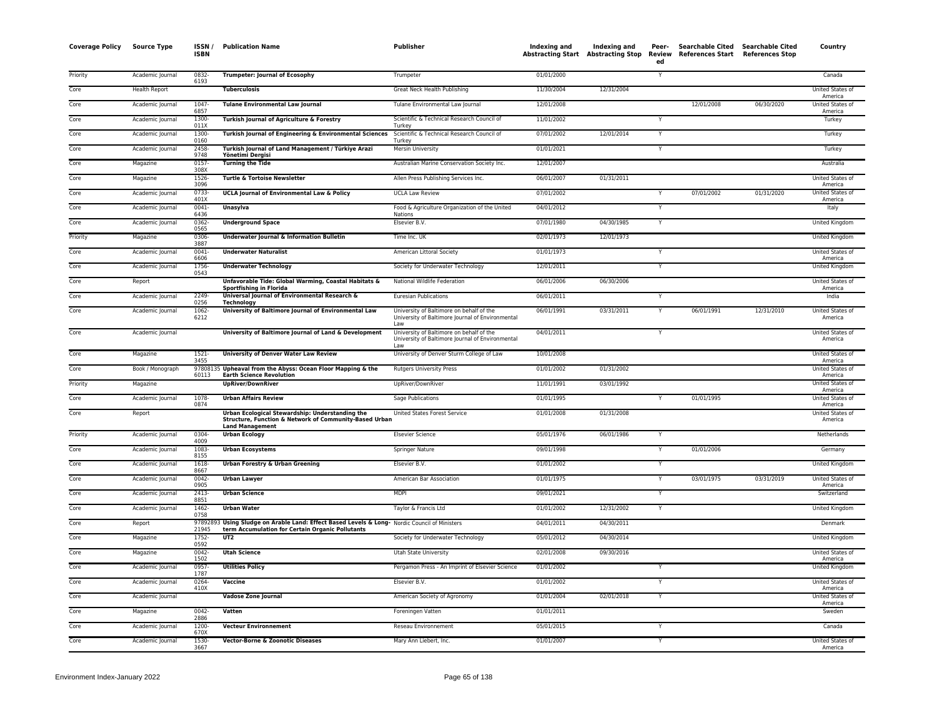| <b>Coverage Policy</b> | <b>Source Type</b>   | ISSN/<br><b>ISBN</b> | <b>Publication Name</b>                                                                                                                           | Publisher                                                                                           | Indexing and | Indexing and | Peer-<br>ed | Searchable Cited Searchable Cited<br>Abstracting Start Abstracting Stop Review References Start References Stop |            | Country                            |
|------------------------|----------------------|----------------------|---------------------------------------------------------------------------------------------------------------------------------------------------|-----------------------------------------------------------------------------------------------------|--------------|--------------|-------------|-----------------------------------------------------------------------------------------------------------------|------------|------------------------------------|
| Priority               | Academic Journal     | 0832-<br>6193        | <b>Trumpeter: Journal of Ecosophy</b>                                                                                                             | Trumpeter                                                                                           | 01/01/2000   |              | Y           |                                                                                                                 |            | Canada                             |
| Core                   | <b>Health Report</b> |                      | <b>Tuberculosis</b>                                                                                                                               | Great Neck Health Publishing                                                                        | 11/30/2004   | 12/31/2004   |             |                                                                                                                 |            | United States of<br>America        |
| Core                   | Academic Journal     | 1047-<br>6857        | <b>Tulane Environmental Law Journal</b>                                                                                                           | Tulane Environmental Law Journal                                                                    | 12/01/2008   |              |             | 12/01/2008                                                                                                      | 06/30/2020 | United States of<br>America        |
| Core                   | Academic Journal     | 1300-<br>011X        | Turkish Journal of Agriculture & Forestry                                                                                                         | Scientific & Technical Research Council of<br>Turkey                                                | 11/01/2002   |              | Y           |                                                                                                                 |            | Turkey                             |
| Core                   | Academic Journal     | 1300-<br>0160        | Turkish Journal of Engineering & Environmental Sciences                                                                                           | Scientific & Technical Research Council of<br>Turkey                                                | 07/01/2002   | 12/01/2014   | Y           |                                                                                                                 |            | Turkey                             |
| Core                   | Academic Journal     | 2458<br>9748         | Turkish Journal of Land Management / Türkiye Arazi<br>Yönetimi Dergisi                                                                            | Mersin University                                                                                   | 01/01/2021   |              | Y           |                                                                                                                 |            | Turkey                             |
| Core                   | Magazine             | 0157<br>308X         | <b>Turning the Tide</b>                                                                                                                           | Australian Marine Conservation Society Inc.                                                         | 12/01/2007   |              |             |                                                                                                                 |            | Australia                          |
| Core                   | Magazine             | 1526<br>3096         | Turtle & Tortoise Newsletter                                                                                                                      | Allen Press Publishing Services Inc.                                                                | 06/01/2007   | 01/31/2011   |             |                                                                                                                 |            | United States of<br>America        |
| Core                   | Academic Journal     | 0733-<br>401X        | <b>UCLA Journal of Environmental Law &amp; Policy</b>                                                                                             | <b>UCLA Law Review</b>                                                                              | 07/01/2002   |              | Y           | 07/01/2002                                                                                                      | 01/31/2020 | United States of<br>America        |
| Core                   | Academic Journal     | $0041 -$<br>6436     | Unasylva                                                                                                                                          | Food & Agriculture Organization of the United<br>Nations                                            | 04/01/2012   |              | Y           |                                                                                                                 |            | Italy                              |
| Core                   | Academic Journal     | 0362<br>0565         | <b>Underground Space</b>                                                                                                                          | Elsevier B.V.                                                                                       | 07/01/1980   | 04/30/1985   | Y           |                                                                                                                 |            | United Kingdom                     |
| Priority               | Magazine             | 0306-<br>3887        | Underwater Journal & Information Bulletin                                                                                                         | Time Inc. UK                                                                                        | 02/01/1973   | 12/01/1973   |             |                                                                                                                 |            | United Kingdom                     |
| Core                   | Academic Journal     | 0041<br>6606         | <b>Underwater Naturalist</b>                                                                                                                      | American Littoral Society                                                                           | 01/01/1973   |              | Y           |                                                                                                                 |            | United States of<br>America        |
| Core                   | Academic Journal     | 1756<br>0543         | <b>Underwater Technology</b>                                                                                                                      | Society for Underwater Technology                                                                   | 12/01/2011   |              | Y           |                                                                                                                 |            | <b>United Kingdom</b>              |
| Core                   | Report               |                      | Unfavorable Tide: Global Warming, Coastal Habitats &<br>Sportfishing in Florida                                                                   | National Wildlife Federation                                                                        | 06/01/2006   | 06/30/2006   |             |                                                                                                                 |            | United States of<br>America        |
| Core                   | Academic Journal     | 2249<br>0256         | Universal Journal of Environmental Research &<br><b>Technology</b>                                                                                | <b>Euresian Publications</b>                                                                        | 06/01/2011   |              | Y           |                                                                                                                 |            | India                              |
| Core                   | Academic Journal     | 1062<br>6212         | University of Baltimore Journal of Environmental Law                                                                                              | University of Baltimore on behalf of the<br>University of Baltimore Journal of Environmental<br>Law | 06/01/1991   | 03/31/2011   | Y           | 06/01/1991                                                                                                      | 12/31/2010 | United States of<br>America        |
| Core                   | Academic Journal     |                      | University of Baltimore Journal of Land & Development                                                                                             | University of Baltimore on behalf of the<br>University of Baltimore Journal of Environmental<br>Law | 04/01/2011   |              | Y           |                                                                                                                 |            | United States of<br>America        |
| Core                   | Magazine             | $1521 -$<br>3455     | <b>University of Denver Water Law Review</b>                                                                                                      | University of Denver Sturm College of Law                                                           | 10/01/2008   |              |             |                                                                                                                 |            | United States of<br>America        |
| Core                   | Book / Monograph     | 60113                | 97808135 Upheaval from the Abyss: Ocean Floor Mapping & the<br><b>Earth Science Revolution</b>                                                    | <b>Rutgers University Press</b>                                                                     | 01/01/2002   | 01/31/2002   |             |                                                                                                                 |            | United States o<br>America         |
| Priority               | Magazine             |                      | <b>UpRiver/DownRiver</b>                                                                                                                          | UpRiver/DownRiver                                                                                   | 11/01/1991   | 03/01/1992   |             |                                                                                                                 |            | United States of<br>America        |
| Core                   | Academic Journal     | 1078<br>0874         | <b>Urban Affairs Review</b>                                                                                                                       | <b>Sage Publications</b>                                                                            | 01/01/1995   |              | Y           | 01/01/1995                                                                                                      |            | United States of<br>America        |
| Core                   | Report               |                      | Urban Ecological Stewardship: Understanding the<br>Structure, Function & Network of Community-Based Urban<br><b>Land Management</b>               | United States Forest Service                                                                        | 01/01/2008   | 01/31/2008   |             |                                                                                                                 |            | United States of<br>America        |
| Priority               | Academic Journal     | 0304-<br>4009        | <b>Urban Ecology</b>                                                                                                                              | <b>Elsevier Science</b>                                                                             | 05/01/1976   | 06/01/1986   | Y           |                                                                                                                 |            | Netherlands                        |
| Core                   | Academic Journal     | 1083<br>8155         | <b>Urban Ecosystems</b>                                                                                                                           | Springer Nature                                                                                     | 09/01/1998   |              | Y           | 01/01/2006                                                                                                      |            | Germany                            |
| Core                   | Academic Journal     | 1618<br>8667         | <b>Urban Forestry &amp; Urban Greening</b>                                                                                                        | Elsevier B.V.                                                                                       | 01/01/2002   |              | Y           |                                                                                                                 |            | <b>United Kingdom</b>              |
| Core                   | Academic Journal     | $0042 -$<br>0905     | <b>Urban Lawyer</b>                                                                                                                               | American Bar Association                                                                            | 01/01/1975   |              | Y           | 03/01/1975                                                                                                      | 03/31/2019 | United States of<br>America        |
| Core                   | Academic Journal     | 2413<br>8851         | <b>Urban Science</b>                                                                                                                              | <b>MDPI</b>                                                                                         | 09/01/2021   |              | Y           |                                                                                                                 |            | Switzerland                        |
| Core                   | Academic Journal     | 1462-<br>0758        | <b>Urban Water</b>                                                                                                                                | Taylor & Francis Ltd                                                                                | 01/01/2002   | 12/31/2002   | Y           |                                                                                                                 |            | United Kingdom                     |
| Core                   | Report               | 21945                | 97892893 Using Sludge on Arable Land: Effect Based Levels & Long- Nordic Council of Ministers<br>term Accumulation for Certain Organic Pollutants |                                                                                                     | 04/01/2011   | 04/30/2011   |             |                                                                                                                 |            | Denmark                            |
| Core                   | Magazine             | 1752<br>0592         | UT2                                                                                                                                               | Society for Underwater Technology                                                                   | 05/01/2012   | 04/30/2014   |             |                                                                                                                 |            | United Kingdom                     |
| Core                   | Magazine             | 0042<br>1502         | <b>Utah Science</b>                                                                                                                               | Utah State University                                                                               | 02/01/2008   | 09/30/2016   |             |                                                                                                                 |            | United States of<br>America        |
| Core                   | Academic Journal     | 0957<br>1787         | <b>Utilities Policy</b>                                                                                                                           | Pergamon Press - An Imprint of Elsevier Science                                                     | 01/01/2002   |              |             |                                                                                                                 |            | United Kingdom                     |
| Core                   | Academic Journal     | 0264<br>410X         | Vaccine                                                                                                                                           | Elsevier B.V.                                                                                       | 01/01/2002   |              | Y           |                                                                                                                 |            | United States of<br>America        |
| Core                   | Academic Journal     |                      | Vadose Zone Journal                                                                                                                               | American Society of Agronomy                                                                        | 01/01/2004   | 02/01/2018   | Y           |                                                                                                                 |            | <b>United States of</b><br>America |
| Core                   | Magazine             | $0042 -$<br>2886     | Vatten                                                                                                                                            | Foreningen Vatten                                                                                   | 01/01/2011   |              |             |                                                                                                                 |            | Sweden                             |
| Core                   | Academic Journal     | 1200-<br>670X        | <b>Vecteur Environnement</b>                                                                                                                      | Reseau Environnement                                                                                | 05/01/2015   |              | Y           |                                                                                                                 |            | Canada                             |
| Core                   | Academic Journal     | 1530-<br>3667        | <b>Vector-Borne &amp; Zoonotic Diseases</b>                                                                                                       | Mary Ann Liebert, Inc.                                                                              | 01/01/2007   |              |             |                                                                                                                 |            | United States of<br>America        |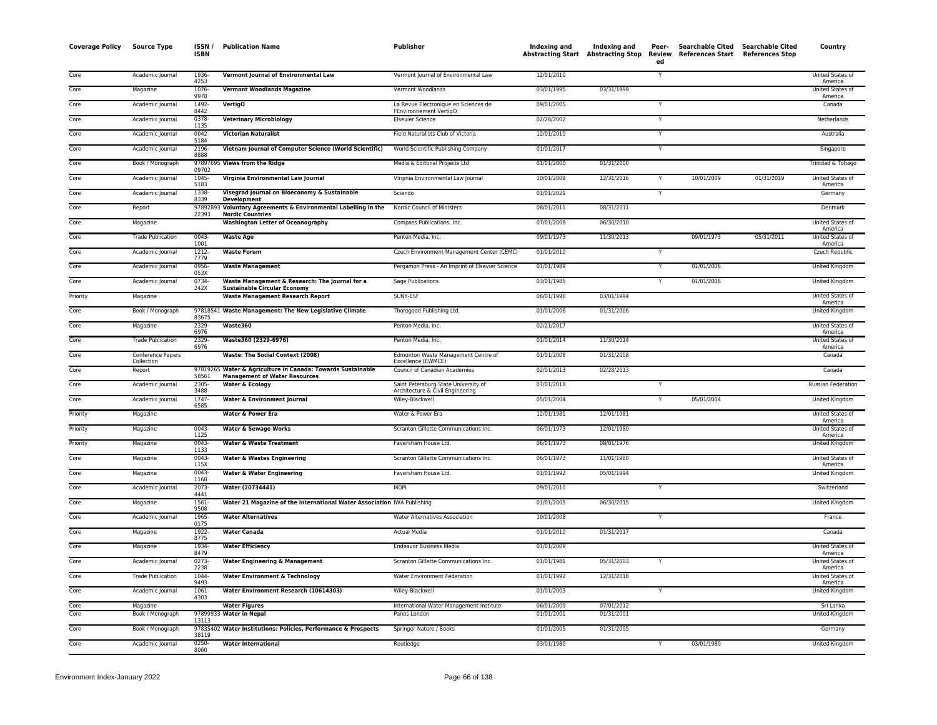| <b>Coverage Policy</b>     | <b>Source Type</b>              | ISSN /<br><b>ISBN</b> | <b>Publication Name</b>                                                                             | Publisher                                                                | Indexing and             | Indexing and<br>Abstracting Start Abstracting Stop Review | Peer-<br>ed | Searchable Cited Searchable Cited<br>References Start References Stop |            | Country                     |
|----------------------------|---------------------------------|-----------------------|-----------------------------------------------------------------------------------------------------|--------------------------------------------------------------------------|--------------------------|-----------------------------------------------------------|-------------|-----------------------------------------------------------------------|------------|-----------------------------|
| Core                       | Academic Journal                | 1936<br>4253          | Vermont Journal of Environmental Law                                                                | Vermont Journal of Environmental Law                                     | 12/01/2010               |                                                           | Y           |                                                                       |            | United States of<br>America |
| Core                       | Magazine                        | $1076 -$<br>9978      | <b>Vermont Woodlands Magazine</b>                                                                   | Vermont Woodlands                                                        | 03/01/1995               | 03/31/1999                                                |             |                                                                       |            | United States of<br>America |
| Core                       | Academic Journal                | 1492-<br>8442         | <b>VertigO</b>                                                                                      | La Revue Electronique en Sciences de<br>l'Environnement VertigO          | 09/01/2005               |                                                           | Y           |                                                                       |            | Canada                      |
| Core                       | Academic Journal                | 0378-<br>1135         | <b>Veterinary Microbiology</b>                                                                      | <b>Elsevier Science</b>                                                  | 02/26/2002               |                                                           | Y           |                                                                       |            | Netherlands                 |
| Core                       | Academic Journal                | $0042 -$<br>5184      | <b>Victorian Naturalist</b>                                                                         | Field Naturalists Club of Victoria                                       | 12/01/2010               |                                                           | Y           |                                                                       |            | Australia                   |
| Core                       | Academic Journal                | 2196-<br>8888         | Vietnam Journal of Computer Science (World Scientific)                                              | World Scientific Publishing Company                                      | 01/01/2017               |                                                           | Y           |                                                                       |            | Singapore                   |
| Core                       | Book / Monograph                | 09702                 | 97897695 Views from the Ridge                                                                       | Media & Editorial Projects Ltd                                           | 01/01/2000               | 01/31/2000                                                |             |                                                                       |            | Trinidad & Tobago           |
| Core                       | Academic Journal                | $1045 -$<br>5183      | Virginia Environmental Law Journal                                                                  | Virginia Environmental Law Journal                                       | 10/01/2009               | 12/31/2016                                                |             | 10/01/2009                                                            | 01/31/2019 | United States of<br>America |
| Core                       | Academic Journal                | 1338-<br>8339         | Visegrad Journal on Bioeconomy & Sustainable<br>Development                                         | Sciendo                                                                  | 01/01/2021               |                                                           | Y           |                                                                       |            | Germany                     |
| Core                       | Report                          | 22393                 | 97892893 Voluntary Agreements & Environmental Labelling in the<br><b>Nordic Countries</b>           | Nordic Council of Ministers                                              | 08/01/2011               | 08/31/2011                                                |             |                                                                       |            | Denmark                     |
| Core                       | Magazine                        |                       | <b>Washington Letter of Oceanography</b>                                                            | Compass Publications, Inc.                                               | 07/01/2008               | 06/30/2010                                                |             |                                                                       |            | United States of<br>America |
| Core                       | <b>Trade Publication</b>        | $0043 -$<br>1001      | <b>Waste Age</b>                                                                                    | Penton Media, Inc.                                                       | 09/01/1973               | 11/30/2013                                                |             | 09/01/1973                                                            | 05/31/2011 | United States of<br>America |
| Core                       | Academic Journal                | $1212 -$<br>7779      | <b>Waste Forum</b>                                                                                  | Czech Environment Management Center (CEMC)                               | 01/01/2010               |                                                           | Υ           |                                                                       |            | <b>Czech Republic</b>       |
| Core                       | Academic Journal                | 0956<br>053X          | <b>Waste Management</b>                                                                             | Pergamon Press - An Imprint of Elsevier Science                          | 01/01/1989               |                                                           | Y           | 01/01/2006                                                            |            | <b>United Kingdom</b>       |
| Core                       | Academic Journal                | 0734-<br>242X         | Waste Management & Research: The Journal for a<br><b>Sustainable Circular Economy</b>               | Sage Publications                                                        | 03/01/1985               |                                                           | Y           | 01/01/2006                                                            |            | United Kingdom              |
| Priority                   | Magazine                        |                       | <b>Waste Management Research Report</b>                                                             | SUNY-ESF                                                                 | 06/01/1990               | 03/01/1994                                                |             |                                                                       |            | United States of<br>America |
| Core                       | Book / Monograph                | 83675                 | 97818541 Waste Management: The New Legislative Climate                                              | Thorogood Publishing Ltd.                                                | 01/01/2006               | 01/31/2006                                                |             |                                                                       |            | <b>United Kingdom</b>       |
| Core                       | Magazine                        | 2329-<br>6976         | Waste360                                                                                            | Penton Media, Inc.                                                       | 02/21/2017               |                                                           |             |                                                                       |            | United States of<br>America |
| Core                       | <b>Trade Publication</b>        | 2329-<br>6976         | Waste360 (2329-6976)                                                                                | Penton Media, Inc.                                                       | 01/01/2014               | 11/30/2014                                                |             |                                                                       |            | United States of<br>America |
| Core                       | Conference Papers<br>Collection |                       | Waste: The Social Context (2008)                                                                    | Edmonton Waste Management Centre of<br>Excellence (EWMCE)                | 01/01/2008               | 01/31/2008                                                |             |                                                                       |            | Canada                      |
| Core                       | Report                          | 58561                 | 97819265 Water & Agriculture in Canada: Towards Sustainable<br><b>Management of Water Resources</b> | Council of Canadian Academies                                            | 02/01/2013               | 02/28/2013                                                |             |                                                                       |            | Canada                      |
| Core                       | Academic Journal                | 2305-<br>3488         | <b>Water &amp; Ecology</b>                                                                          | Saint Petersburg State University of<br>Architecture & Civil Engineering | 07/01/2018               |                                                           | Y           |                                                                       |            | <b>Russian Federation</b>   |
| Core                       | Academic Journal                | $1747 -$<br>6585      | Water & Environment Journal                                                                         | Wiley-Blackwell                                                          | 05/01/2004               |                                                           | Y           | 05/01/2004                                                            |            | United Kingdom              |
| Priority                   | Magazine                        |                       | Water & Power Era                                                                                   | Water & Power Era                                                        | 12/01/1981               | 12/01/1981                                                |             |                                                                       |            | United States of<br>America |
| Priority                   | Magazine                        | 0043-<br>1125         | <b>Water &amp; Sewage Works</b>                                                                     | Scranton Gillette Communications Inc.                                    | 06/01/1973               | 12/01/1980                                                |             |                                                                       |            | United States of<br>America |
| Priority                   | Magazine                        | 0043<br>1133          | <b>Water &amp; Waste Treatment</b>                                                                  | Faversham House Ltd.                                                     | 06/01/1973               | 08/01/1976                                                |             |                                                                       |            | <b>United Kingdom</b>       |
| Core                       | Magazine                        | $0043 -$<br>115X      | <b>Water &amp; Wastes Engineering</b>                                                               | Scranton Gillette Communications Inc.                                    | 06/01/1973               | 11/01/1980                                                |             |                                                                       |            | United States of<br>America |
| Core                       | Magazine                        | $0043 -$<br>1168      | Water & Water Engineering                                                                           | Faversham House Ltd.                                                     | 01/01/1992               | 05/01/1994                                                |             |                                                                       |            | United Kingdom              |
| Core                       | Academic Journal                | $2073-$<br>4441       | Water (20734441)                                                                                    | <b>MDPI</b>                                                              | 09/01/2010               |                                                           | Y           |                                                                       |            | Switzerland                 |
| Core                       | Magazine                        | 1561-<br>9508         | Water 21 Magazine of the International Water Association IWA Publishing                             |                                                                          | 01/01/2005               | 06/30/2015                                                |             |                                                                       |            | United Kingdom              |
| Core                       | Academic Journal                | 1965-<br>0175         | <b>Water Alternatives</b>                                                                           | Water Alternatives Association                                           | 10/01/2008               |                                                           | Y           |                                                                       |            | France                      |
| $\overline{\mathrm{Core}}$ | Magazine                        | 1922-<br>8775         | <b>Water Canada</b>                                                                                 | <b>Actual Media</b>                                                      | 01/01/2010               | 01/31/2017                                                |             |                                                                       |            | Canada                      |
| Core                       | Magazine                        | 1934<br>8479          | <b>Water Efficiency</b>                                                                             | <b>Endeavor Business Media</b>                                           | 01/01/2009               |                                                           |             |                                                                       |            | United States of<br>America |
| Core                       | Academic Journal                | 0273-<br>2238         | <b>Water Engineering &amp; Management</b>                                                           | Scranton Gillette Communications Inc.                                    | 01/01/1981               | 05/31/2003                                                |             |                                                                       |            | United States of<br>America |
| Core                       | <b>Trade Publication</b>        | 1044-<br>9493         | <b>Water Environment &amp; Technology</b>                                                           | Water Environment Federation                                             | 01/01/1992               | 12/31/2018                                                |             |                                                                       |            | United States of<br>America |
| Core                       | Academic Journal                | $1061 -$<br>4303      | Water Environment Research (10614303)                                                               | Wiley-Blackwell                                                          | 01/01/2003               |                                                           | Y           |                                                                       |            | <b>United Kingdom</b>       |
| Core<br>Core               | Magazine                        |                       | <b>Water Figures</b>                                                                                | International Water Management Institute<br>Panos London                 | 06/01/2009<br>01/01/2001 | 07/01/2012<br>01/31/2001                                  |             |                                                                       |            | Sri Lanka                   |
| Core                       | Book / Monograph                | 13113                 | 97899933 Water in Nepal                                                                             |                                                                          | 01/01/2005               | 01/31/2005                                                |             |                                                                       |            | United Kingdom<br>Germany   |
|                            | Book / Monograph                | 38119<br>$0250 -$     | 97835402 Water Institutions: Policies, Performance & Prospects                                      | Springer Nature / Books                                                  |                          |                                                           |             |                                                                       |            |                             |
| Core                       | Academic Journal                | 8060                  | <b>Water International</b>                                                                          | Routledge                                                                | 03/01/1980               |                                                           |             | 03/01/1980                                                            |            | United Kingdom              |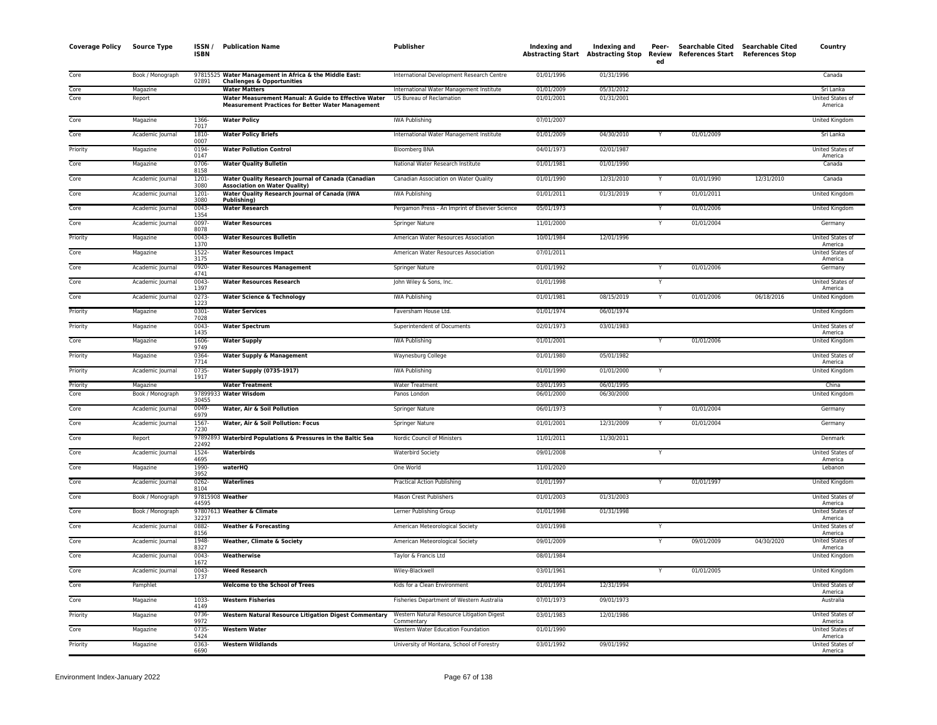| <b>Coverage Policy</b> | <b>Source Type</b> | ISSN /<br><b>ISBN</b> | <b>Publication Name</b>                                                                                          | Publisher                                                | <b>Indexing and</b> | Indexing and<br>Abstracting Start Abstracting Stop | Peer-<br>Review<br>ed | Searchable Cited Searchable Cited<br>References Start References Stop |            | Country                            |
|------------------------|--------------------|-----------------------|------------------------------------------------------------------------------------------------------------------|----------------------------------------------------------|---------------------|----------------------------------------------------|-----------------------|-----------------------------------------------------------------------|------------|------------------------------------|
| Core                   | Book / Monograph   | 02891                 | 97815525 Water Management in Africa & the Middle East:<br><b>Challenges &amp; Opportunities</b>                  | International Development Research Centre                | 01/01/1996          | 01/31/1996                                         |                       |                                                                       |            | Canada                             |
| Core                   | Magazine           |                       | <b>Water Matters</b>                                                                                             | International Water Management Institute                 | 01/01/2009          | 05/31/2012                                         |                       |                                                                       |            | Sri Lanka                          |
| Core                   | Report             |                       | Water Measurement Manual: A Guide to Effective Water<br><b>Measurement Practices for Better Water Management</b> | US Bureau of Reclamation                                 | 01/01/2001          | 01/31/2001                                         |                       |                                                                       |            | <b>United States of</b><br>America |
| Core                   | Magazine           | 1366<br>7017          | <b>Water Policy</b>                                                                                              | <b>IWA Publishing</b>                                    | 07/01/2007          |                                                    |                       |                                                                       |            | <b>United Kingdom</b>              |
| Core                   | Academic Journal   | 1810-<br>0007         | <b>Water Policy Briefs</b>                                                                                       | International Water Management Institute                 | 01/01/2009          | 04/30/2010                                         |                       | 01/01/2009                                                            |            | Sri Lanka                          |
| Priority               | Magazine           | 0194-<br>0147         | <b>Water Pollution Control</b>                                                                                   | <b>Bloomberg BNA</b>                                     | 04/01/1973          | 02/01/1987                                         |                       |                                                                       |            | United States of<br>America        |
| Core                   | Magazine           | 0706<br>8158          | <b>Water Quality Bulletin</b>                                                                                    | National Water Research Institute                        | 01/01/1981          | 01/01/1990                                         |                       |                                                                       |            | Canada                             |
| Core                   | Academic Journal   | $1201 -$<br>3080      | Water Quality Research Journal of Canada (Canadian<br><b>Association on Water Quality)</b>                       | Canadian Association on Water Quality                    | 01/01/1990          | 12/31/2010                                         | Y                     | 01/01/1990                                                            | 12/31/2010 | Canada                             |
| Core                   | Academic Journal   | 1201<br>3080          | Water Quality Research Journal of Canada (IWA<br>Publishing)                                                     | <b>IWA Publishing</b>                                    | 01/01/2011          | 01/31/2019                                         |                       | 01/01/2011                                                            |            | United Kingdom                     |
| Core                   | Academic Journal   | $0043 -$<br>1354      | <b>Water Research</b>                                                                                            | Pergamon Press - An Imprint of Elsevier Science          | 05/01/1973          |                                                    |                       | 01/01/2006                                                            |            | United Kingdom                     |
| Core                   | Academic Journal   | 0097-<br>8078         | <b>Water Resources</b>                                                                                           | Springer Nature                                          | 11/01/2000          |                                                    |                       | 01/01/2004                                                            |            | Germany                            |
| Priority               | Magazine           | 0043<br>1370          | <b>Water Resources Bulletin</b>                                                                                  | American Water Resources Association                     | 10/01/1984          | 12/01/1996                                         |                       |                                                                       |            | United States of<br>America        |
| Core                   | Magazine           | 1522-<br>3175         | <b>Water Resources Impact</b>                                                                                    | American Water Resources Association                     | 07/01/2011          |                                                    |                       |                                                                       |            | United States of<br>America        |
| Core                   | Academic Journal   | 0920<br>4741          | <b>Water Resources Management</b>                                                                                | Springer Nature                                          | 01/01/1992          |                                                    |                       | 01/01/2006                                                            |            | Germany                            |
| Core                   | Academic Journal   | $0043 -$<br>1397      | <b>Water Resources Research</b>                                                                                  | John Wiley & Sons, Inc.                                  | 01/01/1998          |                                                    |                       |                                                                       |            | United States of<br>America        |
| Core                   | Academic Journal   | $0273-$<br>1223       | <b>Water Science &amp; Technology</b>                                                                            | <b>IWA Publishing</b>                                    | 01/01/1981          | 08/15/2019                                         |                       | 01/01/2006                                                            | 06/18/2016 | United Kingdom                     |
| Priority               | Magazine           | 0301<br>7028          | <b>Water Services</b>                                                                                            | Faversham House Ltd.                                     | 01/01/1974          | 06/01/1974                                         |                       |                                                                       |            | <b>United Kingdom</b>              |
| Priority               | Magazine           | $0043 -$<br>1435      | <b>Water Spectrum</b>                                                                                            | Superintendent of Documents                              | 02/01/1973          | 03/01/1983                                         |                       |                                                                       |            | <b>United States of</b><br>America |
| Core                   | Magazine           | 1606<br>9749          | <b>Water Supply</b>                                                                                              | <b>IWA Publishing</b>                                    | 01/01/2001          |                                                    |                       | 01/01/2006                                                            |            | <b>United Kingdom</b>              |
| Priority               | Magazine           | 0364-<br>7714         | <b>Water Supply &amp; Management</b>                                                                             | Waynesburg College                                       | 01/01/1980          | 05/01/1982                                         |                       |                                                                       |            | United States of<br>America        |
| Priority               | Academic Journal   | 0735<br>1917          | <b>Water Supply (0735-1917)</b>                                                                                  | <b>IWA Publishing</b>                                    | 01/01/1990          | 01/01/2000                                         |                       |                                                                       |            | <b>United Kingdom</b>              |
| Priority               | Magazine           |                       | <b>Water Treatment</b>                                                                                           | <b>Water Treatment</b>                                   | 03/01/1993          | 06/01/1995                                         |                       |                                                                       |            | China                              |
| Core                   | Book / Monograph   | 30455                 | 97899933 Water Wisdom                                                                                            | Panos London                                             | 06/01/2000          | 06/30/2000                                         |                       |                                                                       |            | <b>United Kingdom</b>              |
| Core                   | Academic Journal   | $0049 -$<br>6979      | Water, Air & Soil Pollution                                                                                      | Springer Nature                                          | 06/01/1973          |                                                    |                       | 01/01/2004                                                            |            | Germany                            |
| Core                   | Academic Journal   | 1567-<br>7230         | Water, Air & Soil Pollution: Focus                                                                               | Springer Nature                                          | 01/01/2001          | 12/31/2009                                         |                       | 01/01/2004                                                            |            | Germany                            |
| Core                   | Report             | 22492                 | 97892893 Waterbird Populations & Pressures in the Baltic Sea                                                     | Nordic Council of Ministers                              | 11/01/2011          | 11/30/2011                                         |                       |                                                                       |            | Denmark                            |
| Core                   | Academic Journal   | 1524-<br>4695         | Waterbirds                                                                                                       | <b>Waterbird Society</b>                                 | 09/01/2008          |                                                    |                       |                                                                       |            | United States of<br>America        |
| Core                   | Magazine           | 1990-<br>3952         | waterHO                                                                                                          | One World                                                | 11/01/2020          |                                                    |                       |                                                                       |            | Lebanon                            |
| Core                   | Academic Journal   | $0262 -$<br>8104      | <b>Waterlines</b>                                                                                                | <b>Practical Action Publishing</b>                       | 01/01/1997          |                                                    | Y                     | 01/01/1997                                                            |            | <b>United Kingdom</b>              |
| Core                   | Book / Monograph   | 44595                 | 97815908 Weather                                                                                                 | Mason Crest Publishers                                   | 01/01/2003          | 01/31/2003                                         |                       |                                                                       |            | United States of<br>America        |
| Core                   | Book / Monograph   | 32237                 | 97807613 Weather & Climate                                                                                       | Lerner Publishing Group                                  | 01/01/1998          | 01/31/1998                                         |                       |                                                                       |            | United States of<br>America        |
| Core                   | Academic Journal   | 0882-<br>8156         | <b>Weather &amp; Forecasting</b>                                                                                 | American Meteorological Society                          | 03/01/1998          |                                                    |                       |                                                                       |            | United States of<br>America        |
| Core                   | Academic Journal   | 1948<br>8327          | <b>Weather, Climate &amp; Society</b>                                                                            | American Meteorological Society                          | 09/01/2009          |                                                    |                       | 09/01/2009                                                            | 04/30/2020 | United States of<br>America        |
| Core                   | Academic Journal   | $0043 -$<br>1672      | Weatherwise                                                                                                      | Taylor & Francis Ltd                                     | 08/01/1984          |                                                    |                       |                                                                       |            | <b>United Kingdom</b>              |
| Core                   | Academic Journal   | 0043<br>1737          | <b>Weed Research</b>                                                                                             | Wiley-Blackwell                                          | 03/01/1961          |                                                    |                       | 01/01/2005                                                            |            | <b>United Kingdom</b>              |
| Core                   | Pamphlet           |                       | <b>Welcome to the School of Trees</b>                                                                            | Kids for a Clean Environment                             | 01/01/1994          | 12/31/1994                                         |                       |                                                                       |            | United States of<br>America        |
| Core                   | Magazine           | 1033-<br>4149         | <b>Western Fisheries</b>                                                                                         | Fisheries Department of Western Australia                | 07/01/1973          | 09/01/1973                                         |                       |                                                                       |            | Australia                          |
| Priority               | Magazine           | 0736<br>9972          | <b>Western Natural Resource Litigation Digest Commentary</b>                                                     | Western Natural Resource Litigation Digest<br>Commentary | 03/01/1983          | 12/01/1986                                         |                       |                                                                       |            | United States of<br>America        |
| Core                   | Magazine           | 0735<br>5424          | <b>Western Water</b>                                                                                             | Western Water Education Foundation                       | 01/01/1990          |                                                    |                       |                                                                       |            | <b>United States of</b><br>America |
| Priority               | Magazine           | 0363<br>6690          | <b>Western Wildlands</b>                                                                                         | University of Montana, School of Forestry                | 03/01/1992          | 09/01/1992                                         |                       |                                                                       |            | <b>United States of</b><br>America |
|                        |                    |                       |                                                                                                                  |                                                          |                     |                                                    |                       |                                                                       |            |                                    |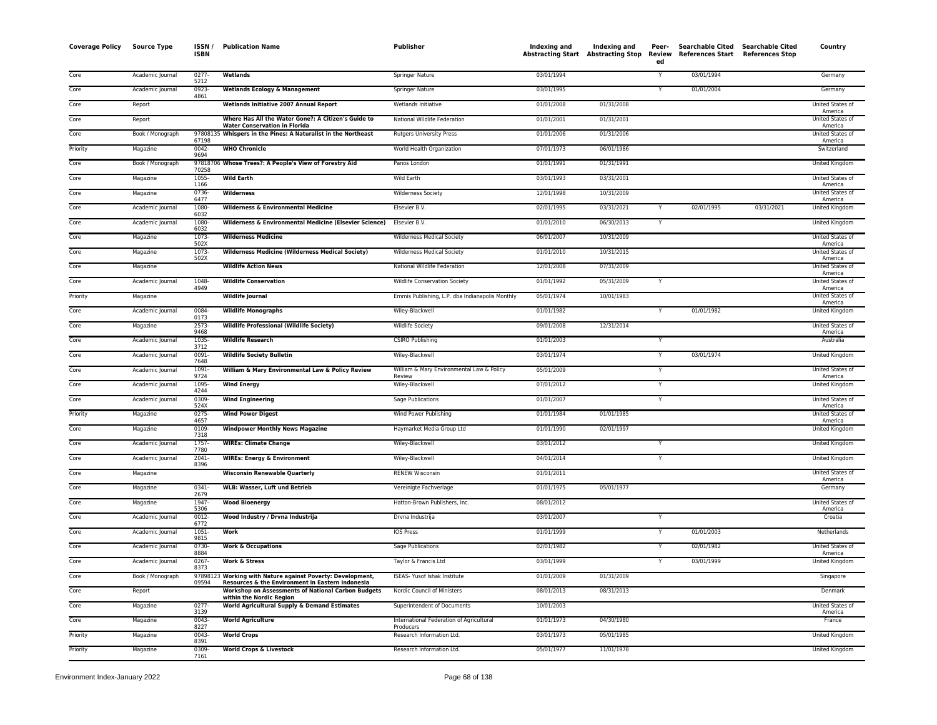| <b>Coverage Policy</b> | <b>Source Type</b> | ISSN/<br><b>ISBN</b> | <b>Publication Name</b>                                                                                        | <b>Publisher</b>                                      | <b>Indexing and</b> | Indexing and<br>Abstracting Start Abstracting Stop | Peer-<br>Review<br>ed   | Searchable Cited Searchable Cited<br>References Start References Stop |            | Country                            |
|------------------------|--------------------|----------------------|----------------------------------------------------------------------------------------------------------------|-------------------------------------------------------|---------------------|----------------------------------------------------|-------------------------|-----------------------------------------------------------------------|------------|------------------------------------|
| Core                   | Academic Journal   | 0277-<br>5212        | Wetlands                                                                                                       | Springer Nature                                       | 03/01/1994          |                                                    | Y                       | 03/01/1994                                                            |            | Germany                            |
| Core                   | Academic Journal   | $0923 -$<br>4861     | <b>Wetlands Ecology &amp; Management</b>                                                                       | <b>Springer Nature</b>                                | 03/01/1995          |                                                    | Y                       | 01/01/2004                                                            |            | Germany                            |
| Core                   | Report             |                      | Wetlands Initiative 2007 Annual Report                                                                         | Wetlands Initiative                                   | 01/01/2008          | 01/31/2008                                         |                         |                                                                       |            | United States of                   |
| Core                   | Report             |                      | Where Has All the Water Gone?: A Citizen's Guide to                                                            | National Wildlife Federation                          | 01/01/2001          | 01/31/2001                                         |                         |                                                                       |            | America<br>United States of        |
| Core                   | Book / Monograph   |                      | <b>Water Conservation in Florida</b><br>97808135 Whispers in the Pines: A Naturalist in the Northeast          | Rutgers University Press                              | 01/01/2006          | 01/31/2006                                         |                         |                                                                       |            | America<br>United States of        |
| Priority               | Magazine           | 67198<br>$0042 -$    | <b>WHO Chronicle</b>                                                                                           | World Health Organization                             | 07/01/1973          | 06/01/1986                                         |                         |                                                                       |            | America<br>Switzerland             |
| Core                   | Book / Monograph   | 9694                 | 97818706 Whose Trees?: A People's View of Forestry Aid                                                         | Panos London                                          | 01/01/1991          | 01/31/1991                                         |                         |                                                                       |            | United Kingdom                     |
| Core                   | Magazine           | 70258<br>$1055 -$    | <b>Wild Earth</b>                                                                                              | Wild Earth                                            | 03/01/1993          | 03/31/2001                                         |                         |                                                                       |            | United States of                   |
| Core                   | Magazine           | 1166<br>0736-        | <b>Wilderness</b>                                                                                              | <b>Wilderness Society</b>                             | 12/01/1998          | 10/31/2009                                         |                         |                                                                       |            | America<br>United States of        |
| Core                   | Academic Journal   | 6477<br>1080-        | <b>Wilderness &amp; Environmental Medicine</b>                                                                 | Elsevier B.V.                                         | 02/01/1995          | 03/31/2021                                         |                         | 02/01/1995                                                            | 03/31/2021 | America<br>United Kingdom          |
| Core                   | Academic Journal   | 6032<br>1080-        | Wilderness & Environmental Medicine (Elsevier Science)                                                         | Elsevier B.V.                                         | 01/01/2010          | 06/30/2013                                         | $\mathsf{Y}$            |                                                                       |            | United Kingdom                     |
| Core                   | Magazine           | 6032<br>1073-        | <b>Wilderness Medicine</b>                                                                                     | Wilderness Medical Society                            | 06/01/2007          | 10/31/2009                                         |                         |                                                                       |            | United States of                   |
| Core                   | Magazine           | 502X<br>1073-        | <b>Wilderness Medicine (Wilderness Medical Society)</b>                                                        | Wilderness Medical Society                            | 01/01/2010          | 10/31/2015                                         |                         |                                                                       |            | America<br>United States of        |
| Core                   | Magazine           | 502X                 | <b>Wildlife Action News</b>                                                                                    | National Wildlife Federation                          | 12/01/2008          | 07/31/2009                                         |                         |                                                                       |            | America<br>United States of        |
| Core                   | Academic Journal   | 1048-                | <b>Wildlife Conservation</b>                                                                                   | Wildlife Conservation Society                         | 01/01/1992          | 05/31/2009                                         |                         |                                                                       |            | America<br>United States of        |
| Priority               | Magazine           | 4949                 | <b>Wildlife Journal</b>                                                                                        | Emmis Publishing, L.P. dba Indianapolis Monthly       | 05/01/1974          | 10/01/1983                                         |                         |                                                                       |            | America<br><b>United States of</b> |
| Core                   | Academic Journal   | 0084-                | <b>Wildlife Monographs</b>                                                                                     | Wiley-Blackwell                                       | 01/01/1982          |                                                    | Y                       | 01/01/1982                                                            |            | America<br><b>United Kingdom</b>   |
| Core                   | Magazine           | 0173<br>$2573-$      | <b>Wildlife Professional (Wildlife Society)</b>                                                                | <b>Wildlife Society</b>                               | 09/01/2008          | 12/31/2014                                         |                         |                                                                       |            | United States of                   |
| Core                   | Academic Journal   | 9468<br>1035-        | <b>Wildlife Research</b>                                                                                       | <b>CSIRO Publishing</b>                               | 01/01/2003          |                                                    | Y                       |                                                                       |            | America<br>Australia               |
| Core                   | Academic Journal   | 3712<br>0091-        | <b>Wildlife Society Bulletin</b>                                                                               | Wiley-Blackwell                                       | 03/01/1974          |                                                    | Y                       | 03/01/1974                                                            |            | United Kingdom                     |
| Core                   | Academic Journal   | 7648<br>1091-        | William & Mary Environmental Law & Policy Review                                                               | William & Mary Environmental Law & Policy             | 05/01/2009          |                                                    | $\overline{\mathsf{Y}}$ |                                                                       |            | United States of                   |
|                        |                    | 9724                 |                                                                                                                | Review                                                |                     |                                                    | Y                       |                                                                       |            | America                            |
| Core                   | Academic Journal   | 1095-<br>4244        | <b>Wind Energy</b>                                                                                             | Wiley-Blackwell                                       | 07/01/2012          |                                                    |                         |                                                                       |            | <b>United Kingdom</b>              |
| Core                   | Academic Journal   | 0309-<br>524X        | <b>Wind Engineering</b>                                                                                        | Sage Publications                                     | 01/01/2007          |                                                    | Y                       |                                                                       |            | United States of<br>America        |
| Priority               | Magazine           | $0275 -$<br>4657     | <b>Wind Power Digest</b>                                                                                       | Wind Power Publishing                                 | 01/01/1984          | 01/01/1985                                         |                         |                                                                       |            | United States of<br>America        |
| Core                   | Magazine           | 0109-<br>7318        | <b>Windpower Monthly News Magazine</b>                                                                         | Haymarket Media Group Ltd                             | 01/01/1990          | 02/01/1997                                         |                         |                                                                       |            | United Kingdom                     |
| Core                   | Academic Journal   | 1757-<br>7780        | <b>WIREs: Climate Change</b>                                                                                   | Wiley-Blackwell                                       | 03/01/2012          |                                                    | Y                       |                                                                       |            | <b>United Kingdom</b>              |
| Core                   | Academic Journal   | $2041 -$<br>8396     | <b>WIREs: Energy &amp; Environment</b>                                                                         | Wiley-Blackwell                                       | 04/01/2014          |                                                    |                         |                                                                       |            | United Kingdom                     |
| Core                   | Magazine           |                      | <b>Wisconsin Renewable Quarterly</b>                                                                           | <b>RENEW Wisconsin</b>                                | 01/01/2011          |                                                    |                         |                                                                       |            | United States of<br>America        |
| Core                   | Magazine           | $0341 -$<br>2679     | <b>WLB: Wasser, Luft und Betrieb</b>                                                                           | Vereinigte Fachverlage                                | 01/01/1975          | 05/01/1977                                         |                         |                                                                       |            | Germany                            |
| Core                   | Magazine           | 1947<br>5306         | <b>Wood Bioenergy</b>                                                                                          | Hatton-Brown Publishers, Inc.                         | 08/01/2012          |                                                    |                         |                                                                       |            | United States of<br>America        |
| Core                   | Academic Journal   | 0012-<br>6772        | Wood Industry / Drvna Industrija                                                                               | Drvna Industrija                                      | 03/01/2007          |                                                    | Y                       |                                                                       |            | Croatia                            |
| Core                   | Academic Journal   | $1051 -$<br>9815     | <b>Work</b>                                                                                                    | <b>IOS Press</b>                                      | 01/01/1999          |                                                    |                         | 01/01/2003                                                            |            | Netherlands                        |
| Core                   | Academic Journal   | 0730-<br>8884        | <b>Work &amp; Occupations</b>                                                                                  | <b>Sage Publications</b>                              | 02/01/1982          |                                                    | Y                       | 02/01/1982                                                            |            | United States of<br>America        |
| Core                   | Academic Journal   | $0267 -$<br>8373     | <b>Work &amp; Stress</b>                                                                                       | Taylor & Francis Ltd                                  | 03/01/1999          |                                                    | Y                       | 03/01/1999                                                            |            | <b>United Kingdom</b>              |
| Core                   | Book / Monograph   | 09594                | 97898123 Working with Nature against Poverty: Development,<br>Resources & the Environment in Eastern Indonesia | ISEAS- Yusof Ishak Institute                          | 01/01/2009          | 01/31/2009                                         |                         |                                                                       |            | Singapore                          |
| Core                   | Report             |                      | <b>Workshop on Assessments of National Carbon Budgets</b><br>within the Nordic Region                          | Nordic Council of Ministers                           | 08/01/2013          | 08/31/2013                                         |                         |                                                                       |            | Denmark                            |
| Core                   | Magazine           | 0277-<br>3139        | <b>World Agricultural Supply &amp; Demand Estimates</b>                                                        | Superintendent of Documents                           | 10/01/2003          |                                                    |                         |                                                                       |            | United States of<br>America        |
| Core                   | Magazine           | 0043-<br>8227        | <b>World Agriculture</b>                                                                                       | International Federation of Agricultural<br>Producers | 01/01/1973          | 04/30/1980                                         |                         |                                                                       |            | France                             |
| Priority               | Magazine           | 0043-<br>8391        | <b>World Crops</b>                                                                                             | Research Information Ltd.                             | 03/01/1973          | 05/01/1985                                         |                         |                                                                       |            | United Kingdom                     |
| Priority               | Magazine           | 0309-<br>7161        | <b>World Crops &amp; Livestock</b>                                                                             | Research Information Ltd.                             | 05/01/1977          | 11/01/1978                                         |                         |                                                                       |            | <b>United Kingdom</b>              |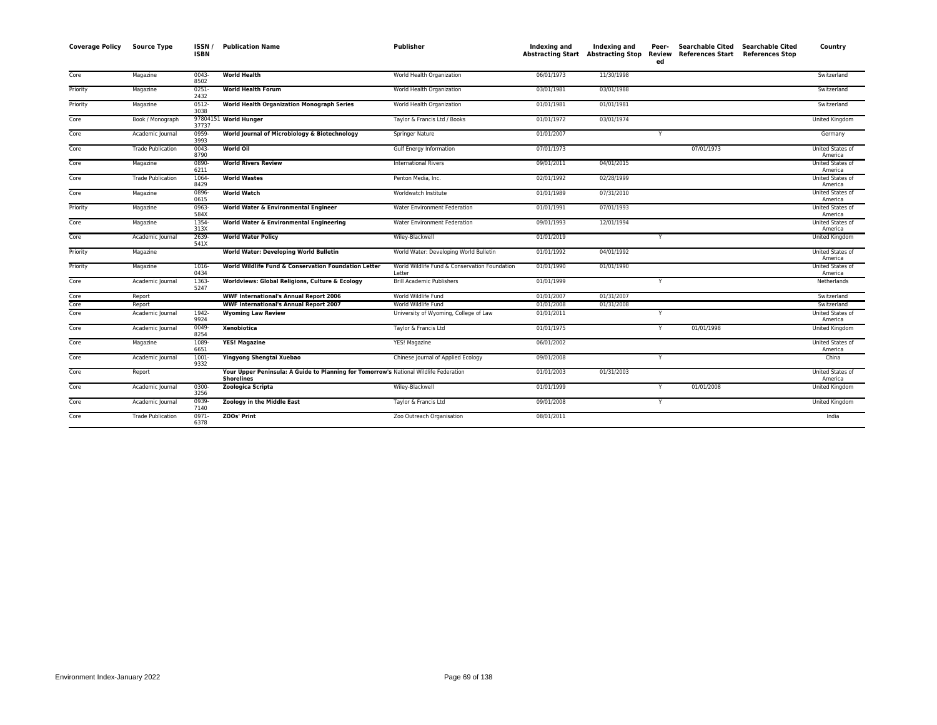| <b>Coverage Policy</b> | <b>Source Type</b>       | ISSN/<br><b>ISBN</b> | <b>Publication Name</b>                                                                                    | <b>Publisher</b>                                        | Indexing and | Indexing and<br><b>Abstracting Start Abstracting Stop</b> | Peer-<br>Review<br>ed | <b>Searchable Cited</b><br><b>References Start</b> | <b>Searchable Cited</b><br><b>References Stop</b> | Country                            |
|------------------------|--------------------------|----------------------|------------------------------------------------------------------------------------------------------------|---------------------------------------------------------|--------------|-----------------------------------------------------------|-----------------------|----------------------------------------------------|---------------------------------------------------|------------------------------------|
| Core                   | Magazine                 | 0043-<br>8502        | <b>World Health</b>                                                                                        | World Health Organization                               | 06/01/1973   | 11/30/1998                                                |                       |                                                    |                                                   | Switzerland                        |
| Priority               | Magazine                 | $0251 -$<br>2432     | <b>World Health Forum</b>                                                                                  | World Health Organization                               | 03/01/1981   | 03/01/1988                                                |                       |                                                    |                                                   | Switzerland                        |
| Priority               | Magazine                 | $0512 -$<br>3038     | <b>World Health Organization Monograph Series</b>                                                          | World Health Organization                               | 01/01/1981   | 01/01/1981                                                |                       |                                                    |                                                   | Switzerland                        |
| Core                   | Book / Monograph         | 37737                | 97804151 World Hunger                                                                                      | Taylor & Francis Ltd / Books                            | 01/01/1972   | 03/01/1974                                                |                       |                                                    |                                                   | United Kingdom                     |
| Core                   | Academic Journal         | 0959-<br>3993        | World Journal of Microbiology & Biotechnology                                                              | Springer Nature                                         | 01/01/2007   |                                                           | Y                     |                                                    |                                                   | Germany                            |
| Core                   | <b>Trade Publication</b> | $0043 -$<br>8790     | <b>World Oil</b>                                                                                           | Gulf Energy Information                                 | 07/01/1973   |                                                           |                       | 07/01/1973                                         |                                                   | <b>United States of</b><br>America |
| Core                   | Magazine                 | 0890-<br>6211        | <b>World Rivers Review</b>                                                                                 | <b>International Rivers</b>                             | 09/01/2011   | 04/01/2015                                                |                       |                                                    |                                                   | United States of<br>America        |
| Core                   | <b>Trade Publication</b> | 1064<br>8429         | <b>World Wastes</b>                                                                                        | Penton Media, Inc.                                      | 02/01/1992   | 02/28/1999                                                |                       |                                                    |                                                   | United States of<br>America        |
| Core                   | Magazine                 | 0896-<br>0615        | <b>World Watch</b>                                                                                         | Worldwatch Institute                                    | 01/01/1989   | 07/31/2010                                                |                       |                                                    |                                                   | United States of<br>America        |
| Priority               | Magazine                 | 0963-<br>584X        | World Water & Environmental Engineer                                                                       | Water Environment Federation                            | 01/01/1991   | 07/01/1993                                                |                       |                                                    |                                                   | United States of<br>America        |
| Core                   | Magazine                 | 1354-<br>313X        | World Water & Environmental Engineering                                                                    | Water Environment Federation                            | 09/01/1993   | 12/01/1994                                                |                       |                                                    |                                                   | United States of<br>America        |
| Core                   | Academic Journal         | 2639-<br>541X        | <b>World Water Policy</b>                                                                                  | Wiley-Blackwell                                         | 01/01/2019   |                                                           | Y                     |                                                    |                                                   | United Kingdom                     |
| Priority               | Magazine                 |                      | World Water: Developing World Bulletin                                                                     | World Water: Developing World Bulletin                  | 01/01/1992   | 04/01/1992                                                |                       |                                                    |                                                   | United States of<br>America        |
| Priority               | Magazine                 | 1016-<br>0434        | World Wildlife Fund & Conservation Foundation Letter                                                       | World Wildlife Fund & Conservation Foundation<br>Letter | 01/01/1990   | 01/01/1990                                                |                       |                                                    |                                                   | United States of<br>America        |
| Core                   | Academic Journal         | 1363-<br>5247        | Worldviews: Global Religions, Culture & Ecology                                                            | <b>Brill Academic Publishers</b>                        | 01/01/1999   |                                                           | Y                     |                                                    |                                                   | Netherlands                        |
| Core                   | Report                   |                      | <b>WWF International's Annual Report 2006</b>                                                              | World Wildlife Fund                                     | 01/01/2007   | 01/31/2007                                                |                       |                                                    |                                                   | Switzerland                        |
| Core                   | Report                   |                      | <b>WWF International's Annual Report 2007</b>                                                              | World Wildlife Fund                                     | 01/01/2008   | 01/31/2008                                                |                       |                                                    |                                                   | Switzerland                        |
| Core                   | Academic Journal         | 1942-<br>9924        | <b>Wyoming Law Review</b>                                                                                  | University of Wyoming, College of Law                   | 01/01/2011   |                                                           | Y                     |                                                    |                                                   | United States of<br>America        |
| Core                   | Academic Journal         | 0049-<br>8254        | Xenobiotica                                                                                                | Taylor & Francis Ltd                                    | 01/01/1975   |                                                           | Y                     | 01/01/1998                                         |                                                   | United Kingdom                     |
| Core                   | Magazine                 | 1089-<br>6651        | <b>YES! Magazine</b>                                                                                       | YES! Magazine                                           | 06/01/2002   |                                                           |                       |                                                    |                                                   | United States of<br>America        |
| Core                   | Academic Journal         | 1001-<br>9332        | Yingyong Shengtai Xuebao                                                                                   | Chinese Journal of Applied Ecology                      | 09/01/2008   |                                                           | Y                     |                                                    |                                                   | China                              |
| Core                   | Report                   |                      | Your Upper Peninsula: A Guide to Planning for Tomorrow's National Wildlife Federation<br><b>Shorelines</b> |                                                         | 01/01/2003   | 01/31/2003                                                |                       |                                                    |                                                   | United States of<br>America        |
| Core                   | Academic Journal         | 0300-<br>3256        | Zoologica Scripta                                                                                          | Wiley-Blackwell                                         | 01/01/1999   |                                                           | Y                     | 01/01/2008                                         |                                                   | United Kingdom                     |
| Core                   | Academic Journal         | 0939-<br>7140        | Zoology in the Middle East                                                                                 | Taylor & Francis Ltd                                    | 09/01/2008   |                                                           | Y                     |                                                    |                                                   | United Kingdom                     |
| Core                   | <b>Trade Publication</b> | $0971 -$<br>6378     | ZOOs' Print                                                                                                | Zoo Outreach Organisation                               | 08/01/2011   |                                                           |                       |                                                    |                                                   | India                              |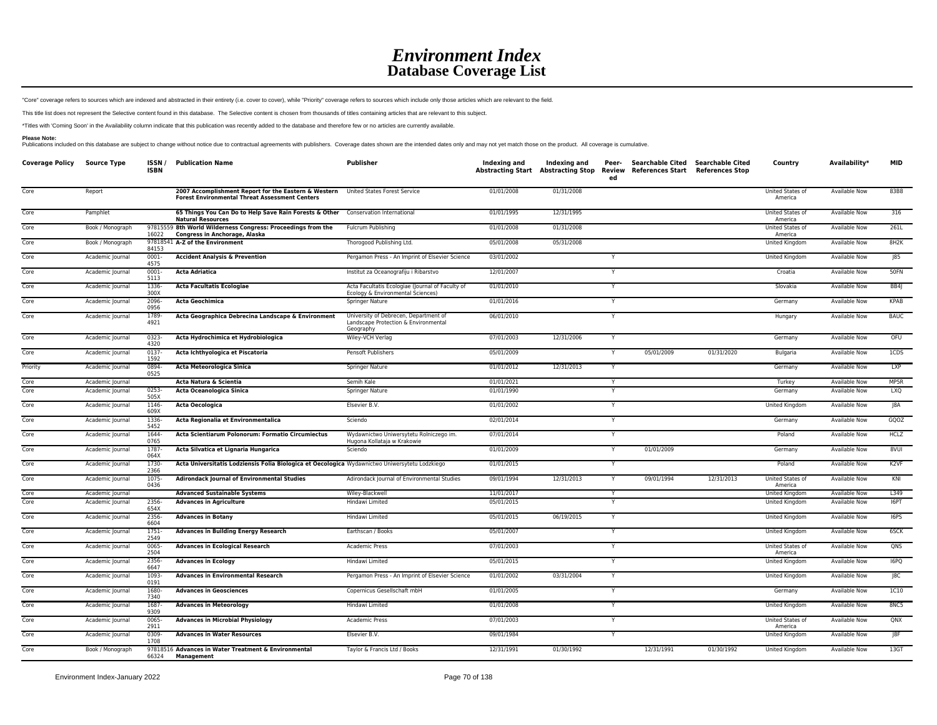"Core" coverage refers to sources which are indexed and abstracted in their entirety (i.e. cover to cover), while "Priority" coverage refers to sources which include only those articles which are relevant to the field.

This title list does not represent the Selective content found in this database. The Selective content is chosen from thousands of titles containing articles that are relevant to this subject.

\*Titles with 'Coming Soon' in the Availability column indicate that this publication was recently added to the database and therefore few or no articles are currently available.

Please Note:<br>Publications included on this database are subject to change without notice due to contractual agreements with publishers. Coverage dates shown are the intended dates only and may not yet match those on the pr

| <b>Coverage Policy</b> | <b>Source Type</b> | ISSN/<br><b>ISBN</b> | <b>Publication Name</b>                                                                                       | Publisher                                                                                  | Indexing and | Indexing and<br>Abstracting Start Abstracting Stop Review | Peer-<br>ed | Searchable Cited Searchable Cited<br>References Start | <b>References Stop</b> | Country                     | Availability*        | <b>MID</b>        |
|------------------------|--------------------|----------------------|---------------------------------------------------------------------------------------------------------------|--------------------------------------------------------------------------------------------|--------------|-----------------------------------------------------------|-------------|-------------------------------------------------------|------------------------|-----------------------------|----------------------|-------------------|
| Core                   | Report             |                      | 2007 Accomplishment Report for the Eastern & Western<br><b>Forest Environmental Threat Assessment Centers</b> | United States Forest Service                                                               | 01/01/2008   | 01/31/2008                                                |             |                                                       |                        | United States of<br>America | <b>Available Now</b> | 83B8              |
| Core                   | Pamphlet           |                      | 65 Things You Can Do to Help Save Rain Forests & Other<br><b>Natural Resources</b>                            | Conservation International                                                                 | 01/01/1995   | 12/31/1995                                                |             |                                                       |                        | United States of<br>America | Available Now        | 316               |
| Core                   | Book / Monograph   | 16022                | 97815559 8th World Wilderness Congress: Proceedings from the<br>Congress in Anchorage, Alaska                 | Fulcrum Publishing                                                                         | 01/01/2008   | 01/31/2008                                                |             |                                                       |                        | United States of<br>America | <b>Available Now</b> | 261L              |
| Core                   | Book / Monograph   | 84153                | 97818541 A-Z of the Environment                                                                               | Thorogood Publishing Ltd.                                                                  | 05/01/2008   | 05/31/2008                                                |             |                                                       |                        | United Kingdom              | Available Now        | 8H <sub>2</sub> K |
| Core                   | Academic Journal   | $0001 -$<br>4575     | <b>Accident Analysis &amp; Prevention</b>                                                                     | Pergamon Press - An Imprint of Elsevier Science                                            | 03/01/2002   |                                                           | Y           |                                                       |                        | United Kingdom              | <b>Available Now</b> | 85                |
| Core                   | Academic Journal   | 0001<br>5113         | <b>Acta Adriatica</b>                                                                                         | Institut za Oceanografiju i Ribarstvo                                                      | 12/01/2007   |                                                           | Y           |                                                       |                        | Croatia                     | <b>Available Now</b> | 50FN              |
| Core                   | Academic Journal   | 1336-<br>300X        | <b>Acta Facultatis Ecologiae</b>                                                                              | Acta Facultatis Ecologiae (Journal of Faculty of<br>Ecology & Environmental Sciences)      | 01/01/2010   |                                                           |             |                                                       |                        | Slovakia                    | <b>Available Now</b> | BB4               |
| Core                   | Academic Journal   | 2096<br>0956         | <b>Acta Geochimica</b>                                                                                        | Springer Nature                                                                            | 01/01/2016   |                                                           |             |                                                       |                        | Germany                     | <b>Available Now</b> | <b>KPAB</b>       |
| Core                   | Academic Journal   | 1789-<br>4921        | Acta Geographica Debrecina Landscape & Environment                                                            | University of Debrecen, Department of<br>Landscape Protection & Environmental<br>Geography | 06/01/2010   |                                                           |             |                                                       |                        | Hungary                     | <b>Available Now</b> | <b>BAUC</b>       |
| Core                   | Academic Journal   | 0323-<br>4320        | Acta Hydrochimica et Hydrobiologica                                                                           | Wiley-VCH Verlag                                                                           | 07/01/2003   | 12/31/2006                                                | Y           |                                                       |                        | Germany                     | Available Now        | OFU               |
| Core                   | Academic Journal   | 0137-<br>1592        | Acta Ichthyologica et Piscatoria                                                                              | Pensoft Publishers                                                                         | 05/01/2009   |                                                           | Y           | 05/01/2009                                            | 01/31/2020             | Bulgaria                    | <b>Available Now</b> | 1CDS              |
| Priority               | Academic Journal   | 0894-<br>0525        | Acta Meteorologica Sinica                                                                                     | Springer Nature                                                                            | 01/01/2012   | 12/31/2013                                                | Y           |                                                       |                        | Germany                     | Available Now        | <b>LXP</b>        |
| Core                   | Academic Journal   |                      | Acta Natura & Scientia                                                                                        | Semih Kale                                                                                 | 01/01/2021   |                                                           | Y           |                                                       |                        | Turkey                      | <b>Available Now</b> | MP5R              |
| Core                   | Academic Journal   | 0253-<br>505X        | Acta Oceanologica Sinica                                                                                      | Springer Nature                                                                            | 01/01/1990   |                                                           |             |                                                       |                        | Germany                     | <b>Available Now</b> | <b>LXQ</b>        |
| Core                   | Academic Journal   | 1146-<br>609X        | <b>Acta Oecologica</b>                                                                                        | Elsevier B.V.                                                                              | 01/01/2002   |                                                           | Y           |                                                       |                        | United Kingdom              | Available Now        | J8A               |
| Core                   | Academic Journal   | 1336<br>5452         | Acta Regionalia et Environmentalica                                                                           | Sciendo                                                                                    | 02/01/2014   |                                                           | Y           |                                                       |                        | Germany                     | <b>Available Now</b> | GQOZ              |
| Core                   | Academic Journal   | 1644-<br>0765        | Acta Scientiarum Polonorum: Formatio Circumiectus                                                             | Wydawnictwo Uniwersytetu Rolniczego im.<br>Hugona Kollataja w Krakowie                     | 07/01/2014   |                                                           |             |                                                       |                        | Poland                      | <b>Available Now</b> | <b>HCLZ</b>       |
| Core                   | Academic Journal   | 1787-<br>064X        | Acta Silvatica et Lignaria Hungarica                                                                          | Sciendo                                                                                    | 01/01/2009   |                                                           | Y           | 01/01/2009                                            |                        | Germany                     | <b>Available Now</b> | 8VUI              |
| Core                   | Academic Journal   | 1730-<br>2366        | Acta Universitatis Lodziensis Folia Biologica et Oecologica Wydawnictwo Uniwersytetu Lodzkiego                |                                                                                            | 01/01/2015   |                                                           |             |                                                       |                        | Poland                      | Available Now        | K <sub>2</sub> VF |
| Core                   | Academic Journal   | 1075-<br>0436        | <b>Adirondack Journal of Environmental Studies</b>                                                            | Adirondack Journal of Environmental Studies                                                | 09/01/1994   | 12/31/2013                                                | Y           | 09/01/1994                                            | 12/31/2013             | United States of<br>America | Available Now        | KNI               |
| Core                   | Academic Journal   |                      | <b>Advanced Sustainable Systems</b>                                                                           | Wiley-Blackwell                                                                            | 11/01/2017   |                                                           |             |                                                       |                        | United Kingdom              | Available Now        | L349              |
| Core                   | Academic Journal   | 2356-<br>654X        | <b>Advances in Agriculture</b>                                                                                | Hindawi Limited                                                                            | 05/01/2015   |                                                           |             |                                                       |                        | United Kingdom              | Available Now        | 16PT              |
| Core                   | Academic Journal   | 2356-<br>6604        | <b>Advances in Botany</b>                                                                                     | Hindawi Limited                                                                            | 05/01/2015   | 06/19/2015                                                | Y           |                                                       |                        | United Kingdom              | <b>Available Now</b> | I6PS              |
| Core                   | Academic Journal   | 1751-<br>2549        | <b>Advances in Building Energy Research</b>                                                                   | Earthscan / Books                                                                          | 05/01/2007   |                                                           |             |                                                       |                        | United Kingdom              | Available Now        | 6SCK              |
| Core                   | Academic Journal   | 0065<br>2504         | <b>Advances in Ecological Research</b>                                                                        | <b>Academic Press</b>                                                                      | 07/01/2003   |                                                           |             |                                                       |                        | United States of<br>America | <b>Available Now</b> | QNS               |
| Core                   | Academic Journal   | 2356<br>6647         | <b>Advances in Ecology</b>                                                                                    | Hindawi Limited                                                                            | 05/01/2015   |                                                           | Y           |                                                       |                        | United Kingdom              | <b>Available Now</b> | I6PQ              |
| Core                   | Academic Journal   | 1093-<br>0191        | <b>Advances in Environmental Research</b>                                                                     | Pergamon Press - An Imprint of Elsevier Science                                            | 01/01/2002   | 03/31/2004                                                | Y           |                                                       |                        | United Kingdom              | <b>Available Now</b> | JC                |
| Core                   | Academic Journal   | 1680-<br>7340        | <b>Advances in Geosciences</b>                                                                                | Copernicus Gesellschaft mbH                                                                | 01/01/2005   |                                                           | Y           |                                                       |                        | Germany                     | <b>Available Now</b> | 1C10              |
| Core                   | Academic Journal   | 1687-<br>9309        | <b>Advances in Meteorology</b>                                                                                | Hindawi Limited                                                                            | 01/01/2008   |                                                           |             |                                                       |                        | United Kingdom              | Available Now        | 8NC5              |
| Core                   | Academic Journal   | 0065<br>2911         | <b>Advances in Microbial Physiology</b>                                                                       | <b>Academic Press</b>                                                                      | 07/01/2003   |                                                           | Y           |                                                       |                        | United States of<br>America | <b>Available Now</b> | QNX               |
| Core                   | Academic Journal   | 0309-<br>1708        | <b>Advances in Water Resources</b>                                                                            | Elsevier B.V.                                                                              | 09/01/1984   |                                                           | Y           |                                                       |                        | United Kingdom              | Available Now        | J8F               |
| Core                   | Book / Monograph   | 66324                | 97818516 Advances in Water Treatment & Environmental<br>Management                                            | Taylor & Francis Ltd / Books                                                               | 12/31/1991   | 01/30/1992                                                |             | 12/31/1991                                            | 01/30/1992             | United Kingdom              | <b>Available Now</b> | 136T              |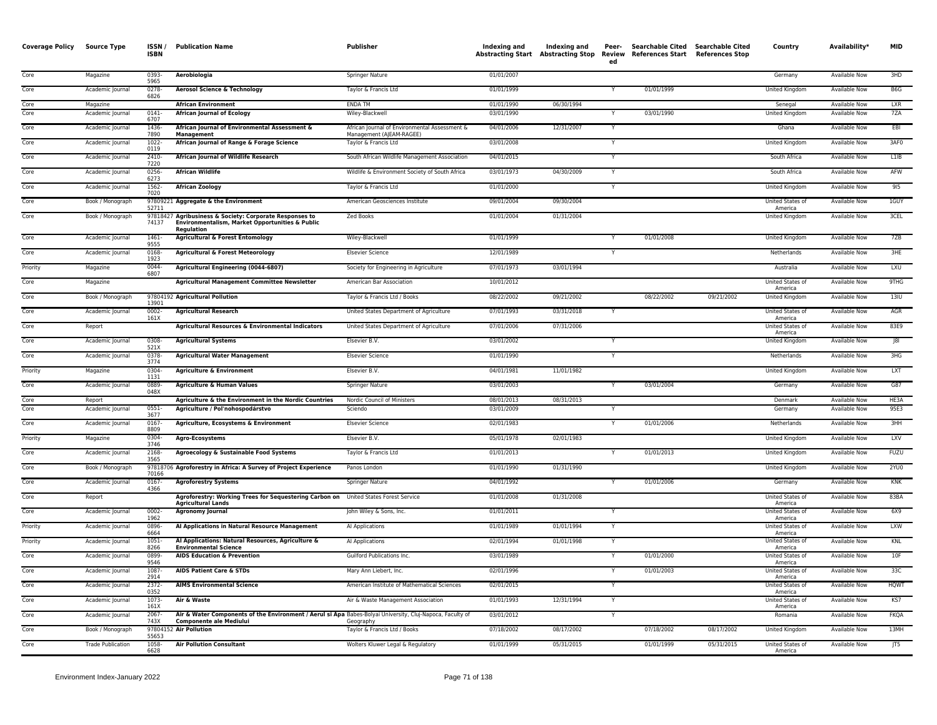| <b>Coverage Policy</b> | Source Type              | ISSN/<br><b>ISBN</b> | <b>Publication Name</b>                                                                                                                     | Publisher                                                                 | Indexing and | Indexing and<br><b>Abstracting Start Abstracting Stop</b> | Peer-<br>Review<br>ed | <b>Searchable Cited</b><br>References Start References Stop | <b>Searchable Cited</b> | Country                     | Availability*        | <b>MID</b>  |
|------------------------|--------------------------|----------------------|---------------------------------------------------------------------------------------------------------------------------------------------|---------------------------------------------------------------------------|--------------|-----------------------------------------------------------|-----------------------|-------------------------------------------------------------|-------------------------|-----------------------------|----------------------|-------------|
| Core                   | Magazine                 | 0393<br>5965         | Aerobiologia                                                                                                                                | Springer Nature                                                           | 01/01/2007   |                                                           |                       |                                                             |                         | Germany                     | Available Now        | 3HD         |
| Core                   | Academic Journal         | $0278 -$<br>6826     | <b>Aerosol Science &amp; Technology</b>                                                                                                     | Taylor & Francis Ltd                                                      | 01/01/1999   |                                                           |                       | 01/01/1999                                                  |                         | <b>United Kingdom</b>       | <b>Available Now</b> | B6G         |
| Core                   | Magazine                 |                      | <b>African Environment</b>                                                                                                                  | <b>ENDA TM</b>                                                            | 01/01/1990   | 06/30/1994                                                |                       |                                                             |                         | Senegal                     | <b>Available Now</b> | LXR         |
| Core                   | Academic Journal         | $0141 -$<br>6707     | <b>African Journal of Ecology</b>                                                                                                           | Wiley-Blackwell                                                           | 03/01/1990   |                                                           |                       | 03/01/1990                                                  |                         | United Kingdom              | <b>Available Now</b> | 7ZA         |
| Core                   | Academic Journal         | 1436-<br>7890        | African Journal of Environmental Assessment &<br><b>Management</b>                                                                          | African Journal of Environmental Assessment &<br>Management (AJEAM-RAGEE) | 04/01/2006   | 12/31/2007                                                | Y                     |                                                             |                         | Ghana                       | Available Now        | EBI         |
| Core                   | Academic Journal         | 1022<br>0119         | African Journal of Range & Forage Science                                                                                                   | Taylor & Francis Ltd                                                      | 03/01/2008   |                                                           |                       |                                                             |                         | United Kingdom              | Available Now        | 3AF0        |
| Core                   | Academic Journal         | 2410<br>7220         | African Journal of Wildlife Research                                                                                                        | South African Wildlife Management Association                             | 04/01/2015   |                                                           |                       |                                                             |                         | South Africa                | <b>Available Now</b> | L1IB        |
| Core                   | Academic Journal         | 0256-<br>6273        | <b>African Wildlife</b>                                                                                                                     | Wildlife & Environment Society of South Africa                            | 03/01/1973   | 04/30/2009                                                |                       |                                                             |                         | South Africa                | Available Now        | AFW         |
| Core                   | Academic Journal         | 1562-<br>7020        | <b>African Zoology</b>                                                                                                                      | Taylor & Francis Ltd                                                      | 01/01/2000   |                                                           |                       |                                                             |                         | United Kingdom              | <b>Available Now</b> | 915         |
| Core                   | Book / Monograph         | 52711                | 97809221 Aggregate & the Environment                                                                                                        | American Geosciences Institute                                            | 09/01/2004   | 09/30/2004                                                |                       |                                                             |                         | United States of<br>America | Available Now        | 1GUY        |
| Core                   | Book / Monograph         | 74137                | 97818427 Agribusiness & Society: Corporate Responses to<br>Environmentalism, Market Opportunities & Public<br>Regulation                    | <b>Zed Books</b>                                                          | 01/01/2004   | 01/31/2004                                                |                       |                                                             |                         | <b>United Kingdom</b>       | <b>Available Now</b> | 3CEL        |
| Core                   | Academic Journal         | 1461-<br>9555        | <b>Agricultural &amp; Forest Entomology</b>                                                                                                 | Wiley-Blackwell                                                           | 01/01/1999   |                                                           |                       | 01/01/2008                                                  |                         | <b>United Kingdom</b>       | Available Now        | 7ZB         |
| Core                   | Academic Journal         | 0168-<br>1923        | <b>Agricultural &amp; Forest Meteorology</b>                                                                                                | <b>Elsevier Science</b>                                                   | 12/01/1989   |                                                           |                       |                                                             |                         | Netherlands                 | <b>Available Now</b> | 3HE         |
| Priority               | Magazine                 | 0044<br>6807         | Agricultural Engineering (0044-6807)                                                                                                        | Society for Engineering in Agriculture                                    | 07/01/1973   | 03/01/1994                                                |                       |                                                             |                         | Australia                   | <b>Available Now</b> | <b>LXU</b>  |
| Core                   | Magazine                 |                      | Agricultural Management Committee Newsletter                                                                                                | American Bar Association                                                  | 10/01/2012   |                                                           |                       |                                                             |                         | United States of<br>America | Available Now        | 9THG        |
| Core                   | Book / Monograph         | 13901                | 97804192 Agricultural Pollution                                                                                                             | Taylor & Francis Ltd / Books                                              | 08/22/2002   | 09/21/2002                                                |                       | 08/22/2002                                                  | 09/21/2002              | United Kingdom              | Available Now        | 13IU        |
| Core                   | Academic Journal         | 0002-<br>161X        | <b>Agricultural Research</b>                                                                                                                | United States Department of Agriculture                                   | 07/01/1993   | 03/31/2018                                                |                       |                                                             |                         | United States of<br>America | Available Now        | AGR         |
| Core                   | Report                   |                      | Agricultural Resources & Environmental Indicators                                                                                           | United States Department of Agriculture                                   | 07/01/2006   | 07/31/2006                                                |                       |                                                             |                         | United States of<br>America | Available Now        | 83E9        |
| Core                   | Academic Journal         | 0308-<br>521X        | <b>Agricultural Systems</b>                                                                                                                 | Elsevier B.V.                                                             | 03/01/2002   |                                                           |                       |                                                             |                         | <b>United Kingdom</b>       | <b>Available Now</b> | 8           |
| Core                   | Academic Journal         | $0378 -$<br>3774     | <b>Agricultural Water Management</b>                                                                                                        | <b>Elsevier Science</b>                                                   | 01/01/1990   |                                                           |                       |                                                             |                         | Netherlands                 | <b>Available Now</b> | 3HG         |
| Priority               | Magazine                 | 0304-<br>1131        | <b>Agriculture &amp; Environment</b>                                                                                                        | Elsevier B.V                                                              | 04/01/1981   | 11/01/1982                                                |                       |                                                             |                         | United Kingdom              | <b>Available Now</b> | <b>LXT</b>  |
| Core                   | Academic Journal         | 0889<br>048X         | <b>Agriculture &amp; Human Values</b>                                                                                                       | Springer Nature                                                           | 03/01/2003   |                                                           |                       | 03/01/2004                                                  |                         | Germany                     | Available Now        | G87         |
| Core                   | Report                   |                      | Agriculture & the Environment in the Nordic Countries                                                                                       | Nordic Council of Ministers                                               | 08/01/2013   | 08/31/2013                                                |                       |                                                             |                         | Denmark                     | Available Now        | HE3A        |
| Core                   | Academic Journal         | 0551<br>3677         | Agriculture / Pol'nohospodárstvo                                                                                                            | Sciendo                                                                   | 03/01/2009   |                                                           |                       |                                                             |                         | Germany                     | <b>Available Now</b> | 95E3        |
| Core                   | Academic Journal         | 0167<br>8809         | Agriculture, Ecosystems & Environment                                                                                                       | <b>Elsevier Science</b>                                                   | 02/01/1983   |                                                           |                       | 01/01/2006                                                  |                         | Netherlands                 | <b>Available Now</b> | 3HH         |
| Priority               | Magazine                 | 0304-<br>3746        | <b>Agro-Ecosystems</b>                                                                                                                      | Elsevier B.V.                                                             | 05/01/1978   | 02/01/1983                                                |                       |                                                             |                         | United Kingdom              | <b>Available Now</b> | <b>LXV</b>  |
| Core                   | Academic Journal         | 2168-<br>3565        | Agroecology & Sustainable Food Systems                                                                                                      | Taylor & Francis Ltd                                                      | 01/01/2013   |                                                           |                       | 01/01/2013                                                  |                         | United Kingdom              | Available Now        | <b>FUZU</b> |
| Core                   | Book / Monograph         | 70166                | 97818706 Agroforestry in Africa: A Survey of Project Experience                                                                             | Panos London                                                              | 01/01/1990   | 01/31/1990                                                |                       |                                                             |                         | United Kingdom              | <b>Available Now</b> | 2YU0        |
| Core                   | Academic Journal         | 0167-<br>4366        | <b>Agroforestry Systems</b>                                                                                                                 | Springer Nature                                                           | 04/01/1992   |                                                           |                       | 01/01/2006                                                  |                         | Germany                     | Available Now        | <b>KNK</b>  |
| Core                   | Report                   |                      | Agroforestry: Working Trees for Sequestering Carbon on United States Forest Service<br><b>Agricultural Lands</b>                            |                                                                           | 01/01/2008   | 01/31/2008                                                |                       |                                                             |                         | United States of<br>America | <b>Available Now</b> | 83BA        |
| Core                   | Academic Journal         | $0002 -$<br>1962     | <b>Agronomy Journal</b>                                                                                                                     | John Wiley & Sons, Inc.                                                   | 01/01/2011   |                                                           |                       |                                                             |                         | United States of<br>America | Available Now        | 6X9         |
| Priority               | Academic Journal         | 0896<br>6664         | Al Applications in Natural Resource Management                                                                                              | Al Applications                                                           | 01/01/1989   | 01/01/1994                                                |                       |                                                             |                         | United States of<br>America | <b>Available Now</b> | <b>LXW</b>  |
| Priority               | Academic Journal         | 1051<br>8266         | Al Applications: Natural Resources, Agriculture &<br><b>Environmental Science</b>                                                           | Al Applications                                                           | 02/01/1994   | 01/01/1998                                                |                       |                                                             |                         | United States of<br>America | <b>Available Now</b> | KNL         |
| Core                   | Academic Journal         | 0899<br>9546         | <b>AIDS Education &amp; Prevention</b>                                                                                                      | Guilford Publications Inc.                                                | 03/01/1989   |                                                           |                       | 01/01/2000                                                  |                         | United States of<br>America | Available Now        | 10F         |
| Core                   | Academic Journal         | 1087<br>2914         | <b>AIDS Patient Care &amp; STDs</b>                                                                                                         | Mary Ann Liebert, Inc.                                                    | 02/01/1996   |                                                           |                       | 01/01/2003                                                  |                         | United States of<br>America | Available Now        | 33C         |
| Core                   | Academic Journal         | 2372-<br>0352        | <b>AIMS Environmental Science</b>                                                                                                           | American Institute of Mathematical Sciences                               | 02/01/2015   |                                                           | Y                     |                                                             |                         | United States of<br>America | Available Now        | <b>HQWT</b> |
| Core                   | Academic Journal         | 1073<br>161X         | Air & Waste                                                                                                                                 | Air & Waste Management Association                                        | 01/01/1993   | 12/31/1994                                                |                       |                                                             |                         | United States o<br>America  | Available Now        | KS7         |
| Core                   | Academic Journal         | 2067-<br>743X        | Air & Water Components of the Environment / Aerul si Apa Babes-Bolyai University, Cluj-Napoca, Faculty of<br><b>Componente ale Mediului</b> | Geography                                                                 | 03/01/2012   |                                                           |                       |                                                             |                         | Romania                     | <b>Available Now</b> | <b>FKQA</b> |
| Core                   | Book / Monograph         | 55653                | 97804152 Air Pollution                                                                                                                      | Taylor & Francis Ltd / Books                                              | 07/18/2002   | 08/17/2002                                                |                       | 07/18/2002                                                  | 08/17/2002              | <b>United Kingdom</b>       | <b>Available Now</b> | 13MH        |
| Core                   | <b>Trade Publication</b> | 1058<br>6628         | <b>Air Pollution Consultant</b>                                                                                                             | Wolters Kluwer Legal & Regulatory                                         | 01/01/1999   | 05/31/2015                                                |                       | 01/01/1999                                                  | 05/31/2015              | United States of<br>America | Available Now        | JT5         |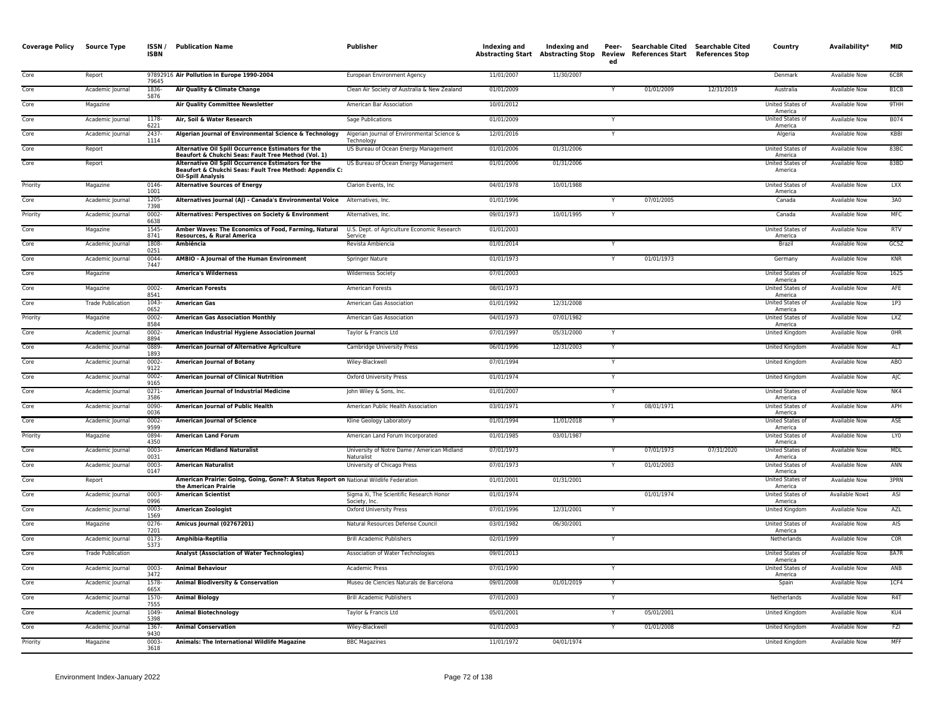| <b>Coverage Policy</b> | <b>Source Type</b>       | ISSN/<br><b>ISBN</b> | <b>Publication Name</b>                                                                                                                     | <b>Publisher</b>                                          | Indexing and | Indexing and<br><b>Abstracting Start Abstracting Stop</b> | Peer-<br>Review<br>ed | Searchable Cited<br>References Start References Stop | Searchable Cited | Country                            | Availability*        | <b>MID</b>      |
|------------------------|--------------------------|----------------------|---------------------------------------------------------------------------------------------------------------------------------------------|-----------------------------------------------------------|--------------|-----------------------------------------------------------|-----------------------|------------------------------------------------------|------------------|------------------------------------|----------------------|-----------------|
| Core                   | Report                   | 79645                | 97892916 Air Pollution in Europe 1990-2004                                                                                                  | European Environment Agency                               | 11/01/2007   | 11/30/2007                                                |                       |                                                      |                  | Denmark                            | <b>Available Now</b> | 6C8R            |
| Core                   | Academic Journal         | 1836-<br>5876        | Air Quality & Climate Change                                                                                                                | Clean Air Society of Australia & New Zealand              | 01/01/2009   |                                                           |                       | 01/01/2009                                           | 12/31/2019       | Australia                          | <b>Available Now</b> | B1CB            |
| Core                   | Magazine                 |                      | <b>Air Quality Committee Newsletter</b>                                                                                                     | American Bar Association                                  | 10/01/2012   |                                                           |                       |                                                      |                  | United States of<br>America        | Available Now        | 9THH            |
| Core                   | Academic Journal         | 1178-<br>6221        | Air, Soil & Water Research                                                                                                                  | Sage Publications                                         | 01/01/2009   |                                                           | Y                     |                                                      |                  | United States of<br>America        | Available Now        | B074            |
| Core                   | Academic Journal         | 2437<br>1114         | Algerian Journal of Environmental Science & Technology                                                                                      | Algerian Journal of Environmental Science &<br>Technology | 12/01/2016   |                                                           |                       |                                                      |                  | Algeria                            | Available Now        | KBBI            |
| Core                   | Report                   |                      | Alternative Oil Spill Occurrence Estimators for the<br>Beaufort & Chukchi Seas: Fault Tree Method (Vol. 1)                                  | US Bureau of Ocean Energy Management                      | 01/01/2006   | 01/31/2006                                                |                       |                                                      |                  | United States of<br>America        | <b>Available Now</b> | 83BC            |
| Core                   | Report                   |                      | Alternative Oil Spill Occurrence Estimators for the<br>Beaufort & Chukchi Seas: Fault Tree Method: Appendix C:<br><b>Oil-Spill Analysis</b> | US Bureau of Ocean Energy Management                      | 01/01/2006   | 01/31/2006                                                |                       |                                                      |                  | United States of<br>America        | Available Now        | 83BD            |
| Priority               | Magazine                 | $0146 -$<br>1001     | <b>Alternative Sources of Energy</b>                                                                                                        | Clarion Events, Inc.                                      | 04/01/1978   | 10/01/1988                                                |                       |                                                      |                  | United States of<br>America        | <b>Available Now</b> | <b>LXX</b>      |
| Core                   | Academic Journal         | $1205 -$<br>7398     | Alternatives Journal (AJ) - Canada's Environmental Voice Alternatives, Inc.                                                                 |                                                           | 01/01/1996   |                                                           |                       | 07/01/2005                                           |                  | Canada                             | <b>Available Now</b> | 3A0             |
| Priority               | Academic Journal         | 0002<br>6638         | Alternatives: Perspectives on Society & Environment                                                                                         | Alternatives, Inc.                                        | 09/01/1973   | 10/01/1995                                                |                       |                                                      |                  | Canada                             | Available Now        | MFC             |
| Core                   | Magazine                 | 1545-<br>8741        | Amber Waves: The Economics of Food, Farming, Natural<br>Resources, & Rural America                                                          | U.S. Dept. of Agriculture Economic Research<br>Service    | 01/01/2003   |                                                           |                       |                                                      |                  | United States of<br>America        | Available Now        | <b>RTV</b>      |
| Core                   | Academic Journal         | 1808<br>0251         | Ambiência                                                                                                                                   | Revista Ambiencia                                         | 01/01/2014   |                                                           |                       |                                                      |                  | Brazi                              | Available Now        | GC5Z            |
| Core                   | Academic Journal         | 0044<br>7447         | AMBIO - A Journal of the Human Environment                                                                                                  | <b>Springer Nature</b>                                    | 01/01/1973   |                                                           | Y                     | 01/01/1973                                           |                  | Germany                            | Available Now        | <b>KNR</b>      |
| Core                   | Magazine                 |                      | <b>America's Wilderness</b>                                                                                                                 | Wilderness Society                                        | 07/01/2003   |                                                           |                       |                                                      |                  | United States of<br>America        | Available Now        | 1625            |
| Core                   | Magazine                 | $0002 -$<br>8541     | <b>American Forests</b>                                                                                                                     | American Forests                                          | 08/01/1973   |                                                           |                       |                                                      |                  | United States of<br>America        | Available Now        | AFE             |
| Core                   | <b>Trade Publication</b> | 1043-<br>0652        | <b>American Gas</b>                                                                                                                         | American Gas Association                                  | 01/01/1992   | 12/31/2008                                                |                       |                                                      |                  | United States of<br>America        | Available Now        | 1P3             |
| Priority               | Magazine                 | 0002-<br>8584        | <b>American Gas Association Monthly</b>                                                                                                     | American Gas Association                                  | 04/01/1973   | 07/01/1982                                                |                       |                                                      |                  | United States of<br>America        | Available Now        | LXZ             |
| Core                   | Academic Journal         | $0002 -$<br>8894     | American Industrial Hygiene Association Journal                                                                                             | Taylor & Francis Ltd                                      | 07/01/1997   | 05/31/2000                                                |                       |                                                      |                  | <b>United Kingdom</b>              | <b>Available Now</b> | OHR             |
| Core                   | Academic Journal         | 0889-<br>1893        | American Journal of Alternative Agriculture                                                                                                 | Cambridge University Press                                | 06/01/1996   | 12/31/2003                                                | Y                     |                                                      |                  | United Kingdom                     | Available Now        | <b>ALT</b>      |
| Core                   | Academic Journal         | 0002-<br>9122        | <b>American Journal of Botany</b>                                                                                                           | Wiley-Blackwell                                           | 07/01/1994   |                                                           |                       |                                                      |                  | United Kingdom                     | Available Now        | ABO             |
| Core                   | Academic Journal         | 0002-<br>9165        | <b>American Journal of Clinical Nutrition</b>                                                                                               | <b>Oxford University Press</b>                            | 01/01/1974   |                                                           |                       |                                                      |                  | United Kingdom                     | <b>Available Now</b> | AJC             |
| Core                   | Academic Journal         | $0271 -$<br>3586     | American Journal of Industrial Medicine                                                                                                     | John Wiley & Sons, Inc.                                   | 01/01/2007   |                                                           |                       |                                                      |                  | United States of<br>America        | <b>Available Now</b> | NK4             |
| Core                   | Academic Journal         | $0090 -$<br>0036     | <b>American Journal of Public Health</b>                                                                                                    | American Public Health Association                        | 03/01/1971   |                                                           | Y                     | 08/01/1971                                           |                  | United States of<br>America        | Available Now        | APH             |
| Core                   | Academic Journal         | 0002-<br>9599        | <b>American Journal of Science</b>                                                                                                          | Kline Geology Laboratory                                  | 01/01/1994   | 11/01/2018                                                | Y                     |                                                      |                  | United States of<br>America        | Available Now        | ASE             |
| Priority               | Magazine                 | 0894-<br>4350        | <b>American Land Forum</b>                                                                                                                  | American Land Forum Incorporated                          | 01/01/1985   | 03/01/1987                                                |                       |                                                      |                  | <b>United States of</b><br>America | <b>Available Now</b> | LY <sub>0</sub> |
| Core                   | Academic Journal         | 0003-<br>0031        | <b>American Midland Naturalist</b>                                                                                                          | University of Notre Dame / American Midland<br>Naturalist | 07/01/1973   |                                                           |                       | 07/01/1973                                           | 07/31/2020       | United States of<br>America        | Available Now        | <b>MDL</b>      |
| Core                   | Academic Journal         | $0003 -$<br>0147     | <b>American Naturalist</b>                                                                                                                  | University of Chicago Press                               | 07/01/1973   |                                                           | Y                     | 01/01/2003                                           |                  | United States of<br>America        | <b>Available Now</b> | ANN             |
| Core                   | Report                   |                      | American Prairie: Going, Going, Gone?: A Status Report on National Wildlife Federation<br>the American Prairie                              |                                                           | 01/01/2001   | 01/31/2001                                                |                       |                                                      |                  | United States of<br>America        | Available Now        | <b>3PRN</b>     |
| Core                   | Academic Journal         | 0003-<br>0996        | <b>American Scientist</b>                                                                                                                   | Sigma Xi, The Scientific Research Honor<br>Society, Inc.  | 01/01/1974   |                                                           |                       | 01/01/1974                                           |                  | United States of<br>America        | Available Now‡       | ASI             |
| Core                   | Academic Journal         | 0003<br>1569         | <b>American Zoologist</b>                                                                                                                   | <b>Oxford University Press</b>                            | 07/01/1996   | 12/31/2001                                                |                       |                                                      |                  | United Kingdom                     | Available Now        | AZL             |
| Core                   | Magazine                 | $0276 -$<br>7201     | Amicus Journal (02767201)                                                                                                                   | Natural Resources Defense Council                         | 03/01/1982   | 06/30/2001                                                |                       |                                                      |                  | United States of<br>America        | <b>Available Now</b> | AIS             |
| Core                   | Academic Journal         | 0173<br>5373         | Amphibia-Reptilia                                                                                                                           | <b>Brill Academic Publishers</b>                          | 02/01/1999   |                                                           |                       |                                                      |                  | Netherlands                        | Available Now        | C <sub>OR</sub> |
| Core                   | <b>Trade Publication</b> |                      | Analyst (Association of Water Technologies)                                                                                                 | Association of Water Technologies                         | 09/01/2013   |                                                           |                       |                                                      |                  | United States of<br>America        | Available Now        | 8A7R            |
| Core                   | Academic Journal         | $0003 -$<br>3472     | <b>Animal Behaviour</b>                                                                                                                     | <b>Academic Press</b>                                     | 07/01/1990   |                                                           | Y                     |                                                      |                  | United States of<br>America        | <b>Available Now</b> | ANB             |
| Core                   | Academic Journal         | 1578-<br>665X        | <b>Animal Biodiversity &amp; Conservation</b>                                                                                               | Museu de Ciencies Naturals de Barcelona                   | 09/01/2008   | 01/01/2019                                                |                       |                                                      |                  | Spain                              | <b>Available Now</b> | 1CF4            |
| Core                   | Academic Journal         | 1570-<br>7555        | <b>Animal Biology</b>                                                                                                                       | <b>Brill Academic Publishers</b>                          | 07/01/2003   |                                                           | Y                     |                                                      |                  | Netherlands                        | <b>Available Now</b> | R4T             |
| Core                   | Academic Journal         | 1049-<br>5398        | <b>Animal Biotechnology</b>                                                                                                                 | Taylor & Francis Ltd                                      | 05/01/2001   |                                                           |                       | 05/01/2001                                           |                  | United Kingdom                     | Available Now        | KU4             |
| Core                   | Academic Journal         | 1367<br>9430         | <b>Animal Conservation</b>                                                                                                                  | Wiley-Blackwell                                           | 01/01/2003   |                                                           |                       | 01/01/2008                                           |                  | United Kingdom                     | <b>Available Now</b> | FZI             |
| Priority               | Magazine                 | 0003-<br>3618        | Animals: The International Wildlife Magazine                                                                                                | <b>BBC Magazines</b>                                      | 11/01/1972   | 04/01/1974                                                |                       |                                                      |                  | United Kingdom                     | <b>Available Now</b> | <b>MFF</b>      |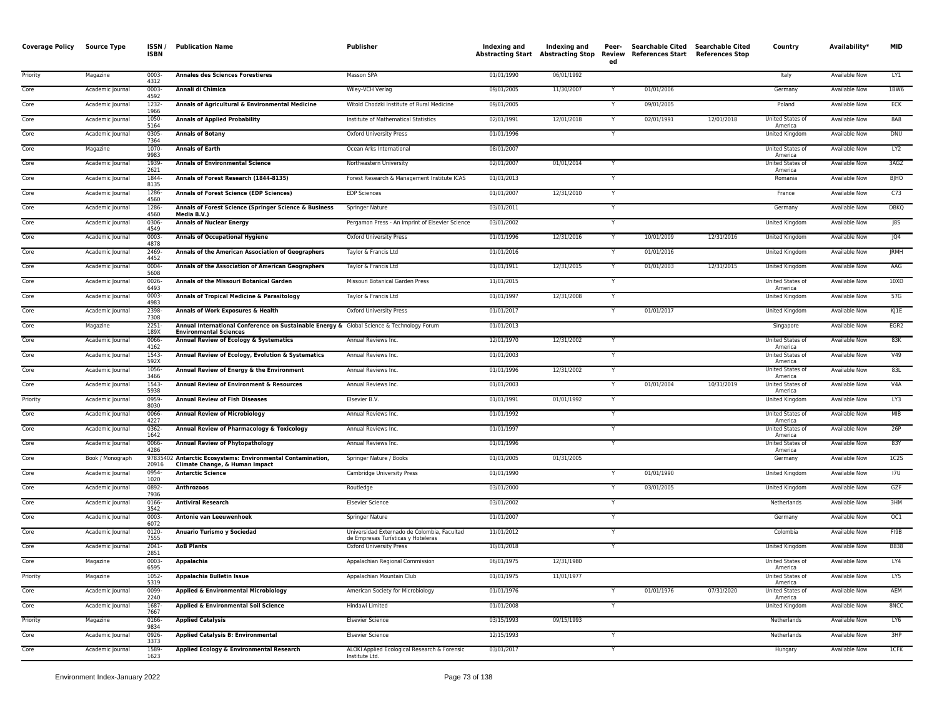| <b>Coverage Policy</b> | <b>Source Type</b> | ISSN/<br><b>ISBN</b> | <b>Publication Name</b>                                                                                                    | Publisher                                                                         | Indexing and | <b>Indexing and</b><br><b>Abstracting Start Abstracting Stop</b> | Peer-<br>Review<br>ed | Searchable Cited Searchable Cited<br>References Start References Stop |            | Country                            | Availability*        | <b>MID</b>       |
|------------------------|--------------------|----------------------|----------------------------------------------------------------------------------------------------------------------------|-----------------------------------------------------------------------------------|--------------|------------------------------------------------------------------|-----------------------|-----------------------------------------------------------------------|------------|------------------------------------|----------------------|------------------|
| Priority               | Magazine           | $0003 -$<br>4312     | <b>Annales des Sciences Forestieres</b>                                                                                    | Masson SPA                                                                        | 01/01/1990   | 06/01/1992                                                       |                       |                                                                       |            | Italy                              | <b>Available Now</b> | LY1              |
| Core                   | Academic Journal   | $0003 -$<br>4592     | Annali di Chimica                                                                                                          | Wiley-VCH Verlag                                                                  | 09/01/2005   | 11/30/2007                                                       |                       | 01/01/2006                                                            |            | Germany                            | <b>Available Now</b> | <b>1BW6</b>      |
| Core                   | Academic Journal   | 1232-<br>1966        | Annals of Agricultural & Environmental Medicine                                                                            | Witold Chodzki Institute of Rural Medicine                                        | 09/01/2005   |                                                                  |                       | 09/01/2005                                                            |            | Poland                             | <b>Available Now</b> | <b>ECK</b>       |
| Core                   | Academic Journal   | 1050-<br>5164        | <b>Annals of Applied Probability</b>                                                                                       | Institute of Mathematical Statistics                                              | 02/01/1991   | 12/01/2018                                                       | Y                     | 02/01/1991                                                            | 12/01/2018 | United States of<br>America        | <b>Available Now</b> | 8A8              |
| Core                   | Academic Journal   | 0305<br>7364         | <b>Annals of Botany</b>                                                                                                    | <b>Oxford University Press</b>                                                    | 01/01/1996   |                                                                  | Y                     |                                                                       |            | United Kingdom                     | Available Now        | DNU              |
| Core                   | Magazine           | 1070<br>9983         | <b>Annals of Earth</b>                                                                                                     | Ocean Arks International                                                          | 08/01/2007   |                                                                  |                       |                                                                       |            | United States of<br>America        | Available Now        | LY2              |
| Core                   | Academic Journal   | 1939-<br>2621        | <b>Annals of Environmental Science</b>                                                                                     | Northeastern University                                                           | 02/01/2007   | 01/01/2014                                                       | Y                     |                                                                       |            | <b>United States of</b><br>America | <b>Available Now</b> | 3AGZ             |
| Core                   | Academic Journal   | 1844-<br>8135        | Annals of Forest Research (1844-8135)                                                                                      | Forest Research & Management Institute ICAS                                       | 01/01/2013   |                                                                  |                       |                                                                       |            | Romania                            | <b>Available Now</b> | <b>BJHO</b>      |
| Core                   | Academic Journal   | 1286-<br>4560        | <b>Annals of Forest Science (EDP Sciences)</b>                                                                             | <b>EDP Sciences</b>                                                               | 01/01/2007   | 12/31/2010                                                       | Y                     |                                                                       |            | France                             | Available Now        | C <sub>73</sub>  |
| Core                   | Academic Journal   | 1286-<br>4560        | Annals of Forest Science (Springer Science & Business<br>Media B.V.)                                                       | Springer Nature                                                                   | 03/01/2011   |                                                                  | Y                     |                                                                       |            | Germany                            | <b>Available Now</b> | <b>DBKO</b>      |
| Core                   | Academic Journal   | 0306-<br>4549        | <b>Annals of Nuclear Energy</b>                                                                                            | Pergamon Press - An Imprint of Elsevier Science                                   | 03/01/2002   |                                                                  | Y                     |                                                                       |            | <b>United Kingdom</b>              | <b>Available Now</b> | 85               |
| Core                   | Academic Journal   | 0003-<br>4878        | <b>Annals of Occupational Hygiene</b>                                                                                      | <b>Oxford University Press</b>                                                    | 01/01/1996   | 12/31/2016                                                       | Y                     | 10/01/2009                                                            | 12/31/2016 | United Kingdom                     | Available Now        | JQ4              |
| Core                   | Academic Journal   | 2469<br>4452         | Annals of the American Association of Geographers                                                                          | Taylor & Francis Ltd                                                              | 01/01/2016   |                                                                  |                       | 01/01/2016                                                            |            | United Kingdom                     | Available Now        | <b>JRMH</b>      |
| Core                   | Academic Journal   | 0004-<br>5608        | Annals of the Association of American Geographers                                                                          | Taylor & Francis Ltd                                                              | 01/01/1911   | 12/31/2015                                                       |                       | 01/01/2003                                                            | 12/31/2015 | United Kingdom                     | Available Now        | AAG              |
| Core                   | Academic Journal   | 0026<br>6493         | Annals of the Missouri Botanical Garden                                                                                    | Missouri Botanical Garden Press                                                   | 11/01/2015   |                                                                  |                       |                                                                       |            | United States of<br>America        | <b>Available Now</b> | 10XD             |
| Core                   | Academic Journal   | $0003 -$<br>4983     | Annals of Tropical Medicine & Parasitology                                                                                 | Taylor & Francis Ltd                                                              | 01/01/1997   | 12/31/2008                                                       | Y                     |                                                                       |            | United Kingdom                     | Available Now        | 57G              |
| Core                   | Academic Journal   | 2398-<br>7308        | Annals of Work Exposures & Health                                                                                          | <b>Oxford University Press</b>                                                    | 01/01/2017   |                                                                  |                       | 01/01/2017                                                            |            | <b>United Kingdom</b>              | <b>Available Now</b> | KJ1E             |
| Core                   | Magazine           | $2251 -$<br>189X     | Annual International Conference on Sustainable Energy & Global Science & Technology Forum<br><b>Environmental Sciences</b> |                                                                                   | 01/01/2013   |                                                                  |                       |                                                                       |            | Singapore                          | <b>Available Now</b> | EGR <sub>2</sub> |
| Core                   | Academic Journal   | 0066-<br>4162        | Annual Review of Ecology & Systematics                                                                                     | Annual Reviews Inc.                                                               | 12/01/1970   | 12/31/2002                                                       | Y                     |                                                                       |            | United States of<br>America        | <b>Available Now</b> | 83K              |
| Core                   | Academic Journal   | 1543-<br>592X        | Annual Review of Ecology, Evolution & Systematics                                                                          | Annual Reviews Inc.                                                               | 01/01/2003   |                                                                  | Y                     |                                                                       |            | United States of<br>America        | Available Now        | V49              |
| Core                   | Academic Journal   | 1056-<br>3466        | Annual Review of Energy & the Environment                                                                                  | Annual Reviews Inc.                                                               | 01/01/1996   | 12/31/2002                                                       | Y                     |                                                                       |            | United States of<br>America        | Available Now        | 83L              |
| Core                   | Academic Journal   | 1543-<br>5938        | Annual Review of Environment & Resources                                                                                   | Annual Reviews Inc.                                                               | 01/01/2003   |                                                                  |                       | 01/01/2004                                                            | 10/31/2019 | United States of<br>America        | Available Now        | V4A              |
| Priority               | Academic Journal   | 0959-<br>8030        | <b>Annual Review of Fish Diseases</b>                                                                                      | Elsevier B.V.                                                                     | 01/01/1991   | 01/01/1992                                                       |                       |                                                                       |            | United Kingdom                     | Available Now        | LY3              |
| Core                   | Academic Journal   | 0066<br>4227         | <b>Annual Review of Microbiology</b>                                                                                       | Annual Reviews Inc.                                                               | 01/01/1992   |                                                                  |                       |                                                                       |            | United States of<br>America        | <b>Available Now</b> | MIB              |
| Core                   | Academic Journal   | 0362-<br>1642        | Annual Review of Pharmacology & Toxicology                                                                                 | Annual Reviews Inc.                                                               | 01/01/1997   |                                                                  | Y                     |                                                                       |            | United States of<br>America        | <b>Available Now</b> | 26P              |
| Core                   | Academic Journal   | 0066-<br>4286        | <b>Annual Review of Phytopathology</b>                                                                                     | Annual Reviews Inc.                                                               | 01/01/1996   |                                                                  | Y                     |                                                                       |            | United States of<br>America        | <b>Available Now</b> | 83Y              |
| Core                   | Book / Monograph   | 20916                | 97835402 Antarctic Ecosystems: Environmental Contamination,<br>Climate Change, & Human Impact                              | Springer Nature / Books                                                           | 01/01/2005   | 01/31/2005                                                       |                       |                                                                       |            | Germany                            | <b>Available Now</b> | 1C2S             |
| Core                   | Academic Journal   | 0954-<br>1020        | <b>Antarctic Science</b>                                                                                                   | Cambridge University Press                                                        | 01/01/1990   |                                                                  |                       | 01/01/1990                                                            |            | United Kingdom                     | <b>Available Now</b> | 17U              |
| Core                   | Academic Journal   | 0892-<br>7936        | <b>Anthrozoos</b>                                                                                                          | Routledge                                                                         | 03/01/2000   |                                                                  |                       | 03/01/2005                                                            |            | United Kingdom                     | Available Now        | GZF              |
| Core                   | Academic Journal   | 0166-<br>3542        | <b>Antiviral Research</b>                                                                                                  | <b>Elsevier Science</b>                                                           | 03/01/2002   |                                                                  | Y                     |                                                                       |            | Netherlands                        | Available Now        | 3HM              |
| Core                   | Academic Journal   | $0003 -$<br>6072     | Antonie van Leeuwenhoek                                                                                                    | Springer Nature                                                                   | 01/01/2007   |                                                                  |                       |                                                                       |            | Germany                            | <b>Available Now</b> | OC1              |
| Core                   | Academic Journal   | $0120 -$<br>7555     | Anuario Turismo y Sociedad                                                                                                 | Universidad Externado de Colombia, Facultad<br>de Empresas Turísticas y Hoteleras | 11/01/2012   |                                                                  | Y                     |                                                                       |            | Colombia                           | <b>Available Now</b> | FI9B             |
| Core                   | Academic Journal   | 2041-<br>2851        | <b>AoB Plants</b>                                                                                                          | <b>Oxford University Press</b>                                                    | 10/01/2018   |                                                                  |                       |                                                                       |            | United Kingdom                     | Available Now        | <b>B838</b>      |
| Core                   | Magazine           | 0003-<br>6595        | Appalachia                                                                                                                 | Appalachian Regional Commission                                                   | 06/01/1975   | 12/31/1980                                                       |                       |                                                                       |            | United States of<br>America        | <b>Available Now</b> | LY4              |
| Priority               | Magazine           | $1052 -$<br>5319     | Appalachia Bulletin Issue                                                                                                  | Appalachian Mountain Club                                                         | 01/01/1975   | 11/01/1977                                                       |                       |                                                                       |            | United States of<br>America        | <b>Available Now</b> | LY5              |
| Core                   | Academic Journal   | 0099<br>2240         | Applied & Environmental Microbiology                                                                                       | American Society for Microbiology                                                 | 01/01/1976   |                                                                  | Y                     | 01/01/1976                                                            | 07/31/2020 | United States of<br>America        | Available Now        | AEM              |
| Core                   | Academic Journal   | 1687-<br>7667        | Applied & Environmental Soil Science                                                                                       | Hindawi Limited                                                                   | 01/01/2008   |                                                                  | Y                     |                                                                       |            | United Kingdom                     | Available Now        | 8NCC             |
| Priority               | Magazine           | 0166<br>9834         | <b>Applied Catalysis</b>                                                                                                   | <b>Elsevier Science</b>                                                           | 03/15/1993   | 09/15/1993                                                       |                       |                                                                       |            | Netherlands                        | Available Now        | LY6              |
| Core                   | Academic Journal   | 0926-<br>3373        | <b>Applied Catalysis B: Environmental</b>                                                                                  | <b>Elsevier Science</b>                                                           | 12/15/1993   |                                                                  | Y                     |                                                                       |            | Netherlands                        | Available Now        | 3HP              |
| Core                   | Academic Journal   | 1589<br>1623         | Applied Ecology & Environmental Research                                                                                   | ALOKI Applied Ecological Research & Forensic<br>Institute Ltd.                    | 03/01/2017   |                                                                  |                       |                                                                       |            | Hungary                            | <b>Available Now</b> | 1CFK             |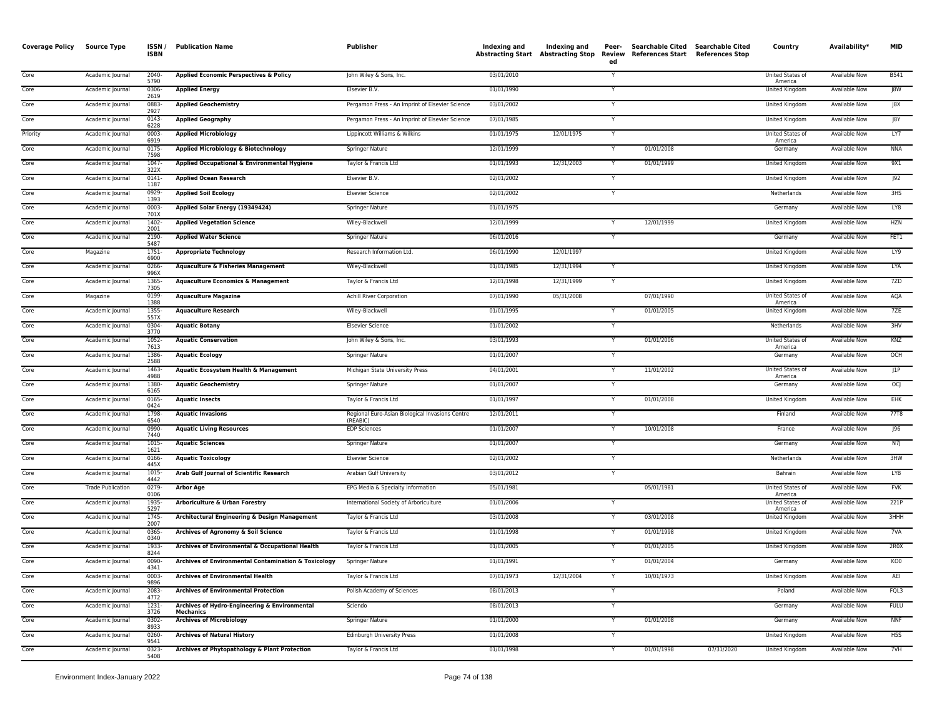| <b>Coverage Policy</b> | <b>Source Type</b>       | ISSN /<br><b>ISBN</b> | <b>Publication Name</b>                                           | Publisher                                                   | <b>Indexing and</b> | Indexing and<br>Abstracting Start Abstracting Stop | Peer-<br>Review<br>ed | Searchable Cited Searchable Cited<br>References Start References Stop |            | Country                            | Availability*        | <b>MID</b>  |
|------------------------|--------------------------|-----------------------|-------------------------------------------------------------------|-------------------------------------------------------------|---------------------|----------------------------------------------------|-----------------------|-----------------------------------------------------------------------|------------|------------------------------------|----------------------|-------------|
| Core                   | Academic Journal         | $2040 -$<br>5790      | Applied Economic Perspectives & Policy                            | John Wiley & Sons, Inc.                                     | 03/01/2010          |                                                    | Y                     |                                                                       |            | United States of<br>America        | <b>Available Now</b> | <b>B541</b> |
| Core                   | Academic Journal         | 0306<br>2619          | <b>Applied Energy</b>                                             | Elsevier B.V.                                               | 01/01/1990          |                                                    |                       |                                                                       |            | United Kingdom                     | Available Now        | J8W         |
| Core                   | Academic Journal         | 0883<br>2927          | <b>Applied Geochemistry</b>                                       | Pergamon Press - An Imprint of Elsevier Science             | 03/01/2002          |                                                    | Y                     |                                                                       |            | <b>United Kingdom</b>              | Available Now        | J8X         |
| Core                   | Academic Journal         | 0143<br>6228          | <b>Applied Geography</b>                                          | Pergamon Press - An Imprint of Elsevier Science             | 07/01/1985          |                                                    |                       |                                                                       |            | United Kingdom                     | Available Now        | J8Y         |
| Priority               | Academic Journal         | 0003<br>6919          | <b>Applied Microbiology</b>                                       | Lippincott Williams & Wilkins                               | 01/01/1975          | 12/01/1975                                         | Y                     |                                                                       |            | United States of<br>America        | Available Now        | LY7         |
| Core                   | Academic Journal         | 0175<br>7598          | Applied Microbiology & Biotechnology                              | <b>Springer Nature</b>                                      | 12/01/1999          |                                                    |                       | 01/01/2008                                                            |            | Germany                            | <b>Available Now</b> | <b>NNA</b>  |
| Core                   | Academic Journal         | 1047<br>322X          | Applied Occupational & Environmental Hygiene                      | Taylor & Francis Ltd                                        | 01/01/1993          | 12/31/2003                                         | Y                     | 01/01/1999                                                            |            | <b>United Kingdom</b>              | <b>Available Now</b> | 9X1         |
| Core                   | Academic Journal         | 0141<br>1187          | <b>Applied Ocean Research</b>                                     | Elsevier B.V.                                               | 02/01/2002          |                                                    |                       |                                                                       |            | United Kingdom                     | Available Now        | J92         |
| Core                   | Academic Journal         | 0929<br>1393          | <b>Applied Soil Ecology</b>                                       | <b>Elsevier Science</b>                                     | 02/01/2002          |                                                    | Y                     |                                                                       |            | Netherlands                        | <b>Available Now</b> | 3HS         |
| Core                   | Academic Journal         | 0003<br>701X          | Applied Solar Energy (19349424)                                   | Springer Nature                                             | 01/01/1975          |                                                    |                       |                                                                       |            | Germany                            | Available Now        | LY8         |
| Core                   | Academic Journal         | 1402-<br>2001         | <b>Applied Vegetation Science</b>                                 | Wiley-Blackwell                                             | 12/01/1999          |                                                    |                       | 12/01/1999                                                            |            | United Kingdom                     | <b>Available Now</b> | <b>HZN</b>  |
| Core                   | Academic Journal         | 2190<br>5487          | <b>Applied Water Science</b>                                      | Springer Nature                                             | 06/01/2016          |                                                    | Y                     |                                                                       |            | Germany                            | <b>Available Now</b> | FET1        |
| Core                   | Magazine                 | 1751-<br>6900         | <b>Appropriate Technology</b>                                     | Research Information Ltd.                                   | 06/01/1990          | 12/01/1997                                         |                       |                                                                       |            | United Kingdom                     | <b>Available Now</b> | LY9         |
| Core                   | Academic Journal         | 0266<br>996X          | <b>Aquaculture &amp; Fisheries Management</b>                     | Wiley-Blackwell                                             | 01/01/1985          | 12/31/1994                                         |                       |                                                                       |            | United Kingdom                     | <b>Available Now</b> | <b>LYA</b>  |
| Core                   | Academic Journal         | 1365<br>7305          | <b>Aquaculture Economics &amp; Management</b>                     | Taylor & Francis Ltd                                        | 12/01/1998          | 12/31/1999                                         | Y                     |                                                                       |            | United Kingdom                     | Available Now        | 7ZD         |
| Core                   | Magazine                 | 0199<br>1388          | <b>Aquaculture Magazine</b>                                       | Achill River Corporation                                    | 07/01/1990          | 05/31/2008                                         |                       | 07/01/1990                                                            |            | United States of<br>America        | Available Now        | AQA         |
| Core                   | Academic Journal         | 1355<br>557X          | <b>Aquaculture Research</b>                                       | Wiley-Blackwell                                             | 01/01/1995          |                                                    |                       | 01/01/2005                                                            |            | United Kingdom                     | Available Now        | 7ZE         |
| Core                   | Academic Journal         | 0304<br>3770          | <b>Aquatic Botany</b>                                             | <b>Elsevier Science</b>                                     | 01/01/2002          |                                                    |                       |                                                                       |            | Netherlands                        | Available Now        | 3HV         |
| Core                   | Academic Journal         | 1052<br>7613          | <b>Aquatic Conservation</b>                                       | John Wiley & Sons, Inc.                                     | 03/01/1993          |                                                    | Y                     | 01/01/2006                                                            |            | United States of<br>America        | <b>Available Now</b> | KNZ         |
| Core                   | Academic Journal         | 1386<br>2588          | <b>Aquatic Ecology</b>                                            | Springer Nature                                             | 01/01/2007          |                                                    |                       |                                                                       |            | Germany                            | <b>Available Now</b> | OCH         |
| Core                   | Academic Journal         | 1463<br>4988          | Aquatic Ecosystem Health & Management                             | Michigan State University Press                             | 04/01/2001          |                                                    | Y                     | 11/01/2002                                                            |            | United States of<br>America        | <b>Available Now</b> | JIP         |
| Core                   | Academic Journal         | 1380<br>6165          | <b>Aquatic Geochemistry</b>                                       | Springer Nature                                             | 01/01/2007          |                                                    | Y                     |                                                                       |            | Germany                            | <b>Available Now</b> | OCJ         |
| Core                   | Academic Journal         | 0165<br>0424          | <b>Aquatic Insects</b>                                            | Taylor & Francis Ltd                                        | 01/01/1997          |                                                    | Y                     | 01/01/2008                                                            |            | United Kingdom                     | Available Now        | <b>FHK</b>  |
| Core                   | Academic Journal         | 1798<br>6540          | <b>Aquatic Invasions</b>                                          | Regional Euro-Asian Biological Invasions Centre<br>(REABIC) | 12/01/2011          |                                                    |                       |                                                                       |            | Finland                            | Available Now        | 77T8        |
| Core                   | Academic Journal         | 0990<br>7440          | <b>Aquatic Living Resources</b>                                   | <b>EDP Sciences</b>                                         | 01/01/2007          |                                                    | Y                     | 10/01/2008                                                            |            | France                             | Available Now        | J96         |
| Core                   | Academic Journal         | 1015<br>1621          | <b>Aquatic Sciences</b>                                           | Springer Nature                                             | 01/01/2007          |                                                    | Y                     |                                                                       |            | Germany                            | Available Now        | N7J         |
| Core                   | Academic Journal         | 0166<br>445X          | <b>Aquatic Toxicology</b>                                         | <b>Elsevier Science</b>                                     | 02/01/2002          |                                                    |                       |                                                                       |            | Netherlands                        | <b>Available Now</b> | 3HW         |
| Core                   | Academic Journal         | 1015<br>4442          | Arab Gulf Journal of Scientific Research                          | Arabian Gulf University                                     | 03/01/2012          |                                                    |                       |                                                                       |            | <b>Bahrain</b>                     | <b>Available Now</b> | <b>LYB</b>  |
| Core                   | <b>Trade Publication</b> | 0279<br>0106          | <b>Arbor Age</b>                                                  | EPG Media & Specialty Information                           | 05/01/1981          |                                                    |                       | 05/01/1981                                                            |            | <b>United States of</b><br>America | Available Now        | <b>FVK</b>  |
| Core                   | Academic Journal         | 1935<br>5297          | Arboriculture & Urban Forestry                                    | International Society of Arboriculture                      | 01/01/2006          |                                                    |                       |                                                                       |            | United States of<br>America        | Available Now        | 221P        |
| Core                   | Academic Journal         | 1745<br>2007          | Architectural Engineering & Design Management                     | Taylor & Francis Ltd                                        | 03/01/2008          |                                                    | Y                     | 03/01/2008                                                            |            | United Kingdom                     | Available Now        | 3HHH        |
| Core                   | Academic Journal         | 0365-<br>0340         | Archives of Agronomy & Soil Science                               | Taylor & Francis Ltd                                        | 01/01/1998          |                                                    |                       | 01/01/1998                                                            |            | <b>United Kingdom</b>              | <b>Available Now</b> | 7VA         |
| Core                   | Academic Journal         | 1933-<br>8244         | Archives of Environmental & Occupational Health                   | Taylor & Francis Ltd                                        | 01/01/2005          |                                                    | Y                     | 01/01/2005                                                            |            | <b>United Kingdom</b>              | <b>Available Now</b> | 2R0X        |
| Core                   | Academic Journal         | 0090-<br>4341         | Archives of Environmental Contamination & Toxicology              | Springer Nature                                             | 01/01/1991          |                                                    |                       | 01/01/2004                                                            |            | Germany                            | <b>Available Now</b> | KO0         |
| Core                   | Academic Journal         | $0003 -$<br>9896      | <b>Archives of Environmental Health</b>                           | Taylor & Francis Ltd                                        | 07/01/1973          | 12/31/2004                                         | Y                     | 10/01/1973                                                            |            | United Kingdom                     | <b>Available Now</b> | AEI         |
| Core                   | Academic Journal         | 2083<br>4772          | <b>Archives of Environmental Protection</b>                       | Polish Academy of Sciences                                  | 08/01/2013          |                                                    | Y                     |                                                                       |            | Poland                             | Available Now        | FQL3        |
| Core                   | Academic Journal         | $1231 -$<br>3726      | Archives of Hydro-Engineering & Environmental<br><b>Mechanics</b> | Sciendo                                                     | 08/01/2013          |                                                    |                       |                                                                       |            | Germany                            | <b>Available Now</b> | <b>FULU</b> |
| Core                   | Academic Journal         | 0302<br>8933          | <b>Archives of Microbiology</b>                                   | Springer Nature                                             | 01/01/2000          |                                                    |                       | 01/01/2008                                                            |            | Germany                            | Available Now        | <b>NNF</b>  |
| Core                   | Academic Journal         | 0260<br>9541          | <b>Archives of Natural History</b>                                | Edinburgh University Press                                  | 01/01/2008          |                                                    |                       |                                                                       |            | United Kingdom                     | Available Now        | H5S         |
| Core                   | Academic Journal         | 0323<br>5408          | Archives of Phytopathology & Plant Protection                     | Taylor & Francis Ltd                                        | 01/01/1998          |                                                    |                       | 01/01/1998                                                            | 07/31/2020 | United Kingdom                     | <b>Available Now</b> | 7VH         |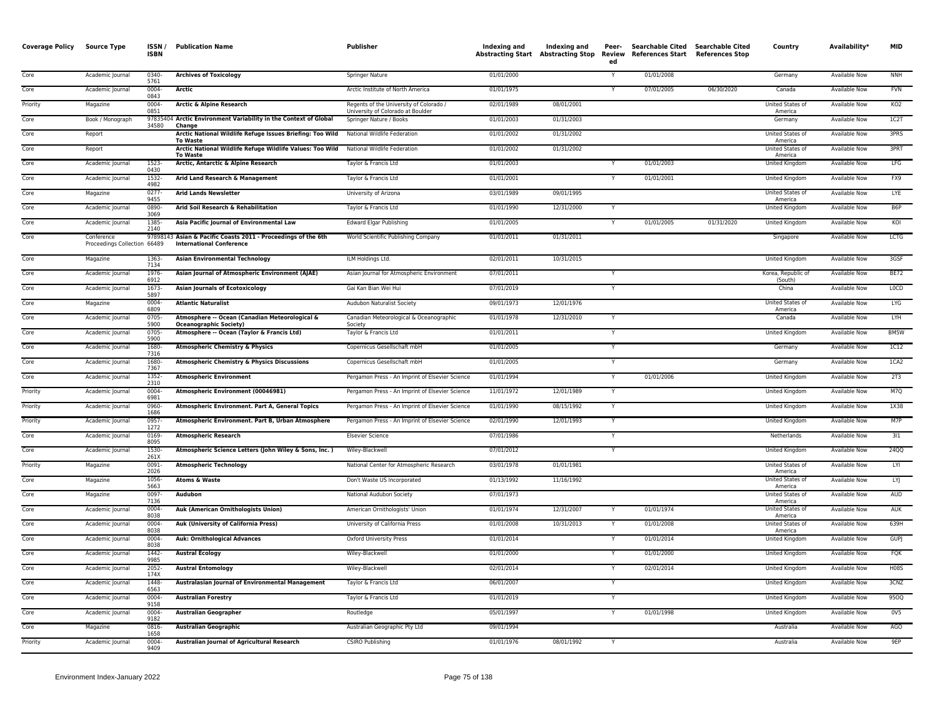| <b>Coverage Policy</b> | Source Type                                | ISSN/<br><b>ISBN</b> | <b>Publication Name</b>                                                                          | <b>Publisher</b>                                                             | Indexing and | Indexing and<br><b>Abstracting Start Abstracting Stop</b> | Peer-<br>Review<br>ed | Searchable Cited Searchable Cited<br>References Start References Stop |            | Country                            | Availability*        | <b>MID</b>       |
|------------------------|--------------------------------------------|----------------------|--------------------------------------------------------------------------------------------------|------------------------------------------------------------------------------|--------------|-----------------------------------------------------------|-----------------------|-----------------------------------------------------------------------|------------|------------------------------------|----------------------|------------------|
| Core                   | Academic Journal                           | 0340-<br>5761        | <b>Archives of Toxicology</b>                                                                    | Springer Nature                                                              | 01/01/2000   |                                                           |                       | 01/01/2008                                                            |            | Germany                            | <b>Available Now</b> | <b>NNH</b>       |
| Core                   | Academic Journal                           | 0004-<br>0843        | Arctic                                                                                           | Arctic Institute of North America                                            | 01/01/1975   |                                                           | Y                     | 07/01/2005                                                            | 06/30/2020 | Canada                             | Available Now        | <b>FVN</b>       |
| Priority               | Magazine                                   | 0004<br>0851         | <b>Arctic &amp; Alpine Research</b>                                                              | Regents of the University of Colorado /<br>University of Colorado at Boulder | 02/01/1989   | 08/01/2001                                                |                       |                                                                       |            | United States of<br>America        | Available Now        | KO <sub>2</sub>  |
| Core                   | Book / Monograph                           | 34580                | 97835404 Arctic Environment Variability in the Context of Global<br>Change                       | Springer Nature / Books                                                      | 01/01/2003   | 01/31/2003                                                |                       |                                                                       |            | Germany                            | <b>Available Now</b> | 1C2T             |
| Core                   | Report                                     |                      | Arctic National Wildlife Refuge Issues Briefing: Too Wild<br><b>To Waste</b>                     | National Wildlife Federation                                                 | 01/01/2002   | 01/31/2002                                                |                       |                                                                       |            | United States of<br>America        | Available Now        | 3PRS             |
| Core                   | Report                                     |                      | Arctic National Wildlife Refuge Wildlife Values: Too Wild<br><b>To Waste</b>                     | National Wildlife Federation                                                 | 01/01/2002   | 01/31/2002                                                |                       |                                                                       |            | United States of<br>America        | Available Now        | 3PRT             |
| Core                   | Academic Journal                           | $1523-$<br>0430      | Arctic, Antarctic & Alpine Research                                                              | Taylor & Francis Ltd                                                         | 01/01/2003   |                                                           | Y                     | 01/01/2003                                                            |            | <b>United Kingdom</b>              | <b>Available Now</b> | LFG              |
| Core                   | Academic Journal                           | 1532<br>4982         | Arid Land Research & Management                                                                  | Taylor & Francis Ltd                                                         | 01/01/2001   |                                                           |                       | 01/01/2001                                                            |            | United Kingdom                     | Available Now        | FX9              |
| Core                   | Magazine                                   | $0277 -$<br>9455     | <b>Arid Lands Newsletter</b>                                                                     | University of Arizona                                                        | 03/01/1989   | 09/01/1995                                                |                       |                                                                       |            | United States of<br>America        | <b>Available Now</b> | LYE              |
| Core                   | Academic Journal                           | 0890<br>3069         | Arid Soil Research & Rehabilitation                                                              | Taylor & Francis Ltd                                                         | 01/01/1990   | 12/31/2000                                                | Y                     |                                                                       |            | United Kingdom                     | Available Now        | B6P              |
| Core                   | Academic Journal                           | 1385-<br>2140        | Asia Pacific Journal of Environmental Law                                                        | <b>Edward Elgar Publishing</b>                                               | 01/01/2005   |                                                           | $\mathsf{v}$          | 01/01/2005                                                            | 01/31/2020 | United Kingdom                     | Available Now        | KOI              |
| Core                   | Conference<br>Proceedings Collection 66489 |                      | 97898143 Asian & Pacific Coasts 2011 - Proceedings of the 6th<br><b>International Conference</b> | World Scientific Publishing Company                                          | 01/01/2011   | 01/31/2011                                                |                       |                                                                       |            | Singapore                          | <b>Available Now</b> | <b>LCTG</b>      |
| Core                   | Magazine                                   | 1363-<br>7134        | <b>Asian Environmental Technology</b>                                                            | ILM Holdings Ltd.                                                            | 02/01/2011   | 10/31/2015                                                |                       |                                                                       |            | United Kingdom                     | Available Now        | 3GSF             |
| Core                   | Academic Journal                           | 1976-<br>6912        | Asian Journal of Atmospheric Environment (AJAE)                                                  | Asian Journal for Atmospheric Environment                                    | 07/01/2011   |                                                           | Y                     |                                                                       |            | Korea, Republic of<br>(South)      | Available Now        | <b>BE72</b>      |
| Core                   | Academic Journal                           | 1673<br>5897         | <b>Asian Journals of Ecotoxicology</b>                                                           | Gai Kan Bian Wei Hui                                                         | 07/01/2019   |                                                           |                       |                                                                       |            | China                              | <b>Available Now</b> | <b>LOCD</b>      |
| Core                   | Magazine                                   | 0004-<br>6809        | <b>Atlantic Naturalist</b>                                                                       | Audubon Naturalist Society                                                   | 09/01/1973   | 12/01/1976                                                |                       |                                                                       |            | United States of<br>America        | Available Now        | LYG              |
| Core                   | Academic Journal                           | 0705-<br>5900        | Atmosphere -- Ocean (Canadian Meteorological &<br><b>Oceanographic Society)</b>                  | Canadian Meteorological & Oceanographic<br>Society                           | 01/01/1978   | 12/31/2010                                                | Y                     |                                                                       |            | Canada                             | <b>Available Now</b> | <b>LYH</b>       |
| Core                   | Academic Journal                           | $0705 -$<br>5900     | Atmosphere -- Ocean (Taylor & Francis Ltd)                                                       | Taylor & Francis Ltd                                                         | 01/01/2011   |                                                           | Y                     |                                                                       |            | United Kingdom                     | Available Now        | BM5W             |
| Core                   | Academic Journal                           | 1680-<br>7316        | <b>Atmospheric Chemistry &amp; Physics</b>                                                       | Copernicus Gesellschaft mbH                                                  | 01/01/2005   |                                                           | Y                     |                                                                       |            | Germany                            | Available Now        | 1C12             |
| Core                   | Academic Journal                           | 1680<br>7367         | <b>Atmospheric Chemistry &amp; Physics Discussions</b>                                           | Copernicus Gesellschaft mbH                                                  | 01/01/2005   |                                                           |                       |                                                                       |            | Germany                            | Available Now        | ICA2             |
| Core                   | Academic Journal                           | 1352-<br>2310        | <b>Atmospheric Environment</b>                                                                   | Pergamon Press - An Imprint of Elsevier Science                              | 01/01/1994   |                                                           | Y                     | 01/01/2006                                                            |            | <b>United Kingdom</b>              | <b>Available Now</b> | 2T3              |
| Priority               | Academic Journal                           | $0004 -$<br>6981     | Atmospheric Environment (00046981)                                                               | Pergamon Press - An Imprint of Elsevier Science                              | 11/01/1972   | 12/01/1989                                                |                       |                                                                       |            | <b>United Kingdom</b>              | Available Now        | M7Q              |
| Priority               | Academic Journal                           | 0960<br>1686         | Atmospheric Environment. Part A, General Topics                                                  | Pergamon Press - An Imprint of Elsevier Science                              | 01/01/1990   | 08/15/1992                                                | Y                     |                                                                       |            | United Kingdom                     | Available Now        | 1X38             |
| Priority               | Academic Journal                           | 0957-<br>1272        | Atmospheric Environment. Part B, Urban Atmosphere                                                | Pergamon Press - An Imprint of Elsevier Science                              | 02/01/1990   | 12/01/1993                                                | Y                     |                                                                       |            | <b>United Kingdom</b>              | <b>Available Now</b> | M7P              |
| Core                   | Academic Journal                           | 0169<br>8095         | <b>Atmospheric Research</b>                                                                      | <b>Elsevier Science</b>                                                      | 07/01/1986   |                                                           |                       |                                                                       |            | Netherlands                        | Available Now        | 311              |
| Core                   | Academic Journal                           | 1530-<br>261X        | Atmospheric Science Letters (John Wiley & Sons, Inc.)                                            | Wiley-Blackwell                                                              | 07/01/2012   |                                                           |                       |                                                                       |            | United Kingdom                     | <b>Available Now</b> | 24QQ             |
| Priority               | Magazine                                   | $0091 -$<br>2026     | <b>Atmospheric Technology</b>                                                                    | National Center for Atmospheric Research                                     | 03/01/1978   | 01/01/1981                                                |                       |                                                                       |            | United States of<br>America        | Available Now        | LYI              |
| Core                   | Magazine                                   | 1056<br>5663         | Atoms & Waste                                                                                    | Don't Waste US Incorporated                                                  | 01/13/1992   | 11/16/1992                                                |                       |                                                                       |            | United States of<br>America        | Available Now        | LYJ              |
| Core                   | Magazine                                   | 0097-<br>7136        | Audubon                                                                                          | National Audubon Society                                                     | 07/01/1973   |                                                           |                       |                                                                       |            | United States of<br>America        | <b>Available Now</b> | <b>AUD</b>       |
| Core                   | Academic Journal                           | 0004-<br>8038        | <b>Auk (American Ornithologists Union)</b>                                                       | American Ornithologists' Union                                               | 01/01/1974   | 12/31/2007                                                |                       | 01/01/1974                                                            |            | United States of<br>America        | Available Now        | AUK              |
| Core                   | Academic Journal                           | 0004<br>8038         | Auk (University of California Press)                                                             | University of California Press                                               | 01/01/2008   | 10/31/2013                                                |                       | 01/01/2008                                                            |            | <b>United States of</b><br>America | <b>Available Now</b> | 639H             |
| Core                   | Academic Journal                           | 0004<br>8038         | <b>Auk: Ornithological Advances</b>                                                              | <b>Oxford University Press</b>                                               | 01/01/2014   |                                                           |                       | 01/01/2014                                                            |            | United Kingdom                     | Available Now        | <b>GUPJ</b>      |
| Core                   | Academic Journal                           | 1442-<br>9985        | <b>Austral Ecology</b>                                                                           | Wiley-Blackwell                                                              | 01/01/2000   |                                                           |                       | 01/01/2000                                                            |            | United Kingdom                     | Available Now        | <b>FQK</b>       |
| Core                   | Academic Journal                           | $2052 -$<br>174X     | <b>Austral Entomology</b>                                                                        | Wiley-Blackwell                                                              | 02/01/2014   |                                                           | Y                     | 02/01/2014                                                            |            | <b>United Kingdom</b>              | <b>Available Now</b> | <b>H08S</b>      |
| Core                   | Academic Journal                           | 1448-<br>6563        | Australasian Journal of Environmental Management                                                 | Taylor & Francis Ltd                                                         | 06/01/2007   |                                                           |                       |                                                                       |            | <b>United Kingdom</b>              | <b>Available Now</b> | 3CNZ             |
| Core                   | Academic Journal                           | 0004-<br>9158        | <b>Australian Forestry</b>                                                                       | Taylor & Francis Ltd                                                         | 01/01/2019   |                                                           | Y                     |                                                                       |            | United Kingdom                     | <b>Available Now</b> | 95OQ             |
| Core                   | Academic Journal                           | 0004<br>9182         | <b>Australian Geographer</b>                                                                     | Routledge                                                                    | 05/01/1997   |                                                           | Y                     | 01/01/1998                                                            |            | United Kingdom                     | Available Now        | 0 <sub>V</sub> 5 |
| Core                   | Magazine                                   | 0816<br>1658         | <b>Australian Geographic</b>                                                                     | Australian Geographic Pty Ltd                                                | 09/01/1994   |                                                           |                       |                                                                       |            | Australia                          | <b>Available Now</b> | AGO              |
| Priority               | Academic Journal                           | 0004<br>9409         | Australian Journal of Agricultural Research                                                      | <b>CSIRO Publishing</b>                                                      | 01/01/1976   | 08/01/1992                                                | Y                     |                                                                       |            | Australia                          | <b>Available Now</b> | 9EP              |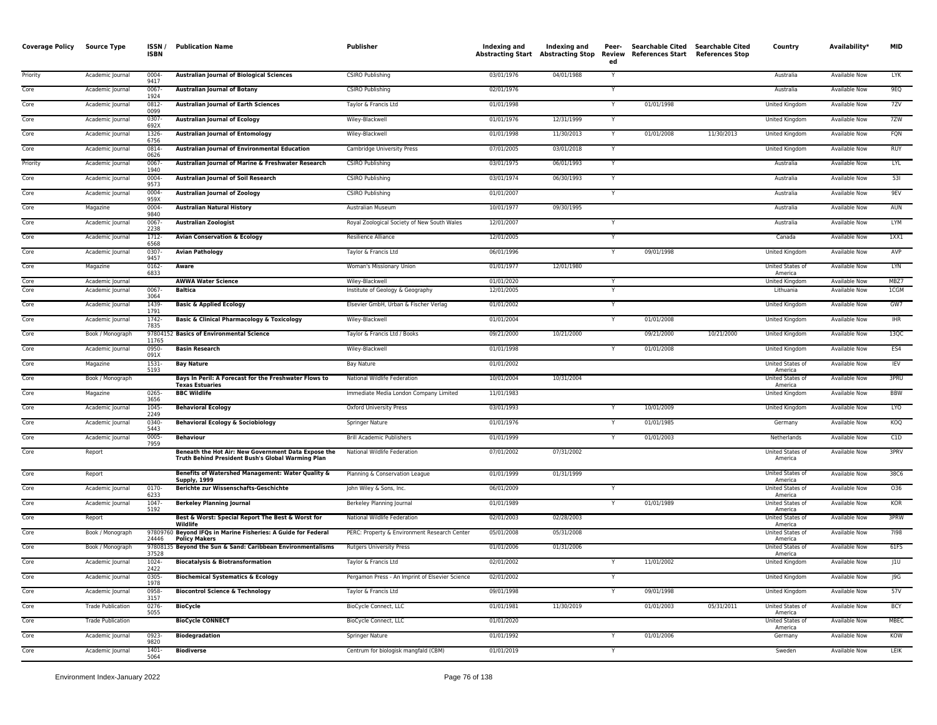| <b>Coverage Policy</b> | <b>Source Type</b>       | ISSN/<br><b>ISBN</b> | <b>Publication Name</b>                                                                                  | Publisher                                       | Indexing and | Indexing and<br>Abstracting Start Abstracting Stop | Peer-<br>Review<br>ed | Searchable Cited<br>References Start References Stop | Searchable Cited | Country                            | Availability*        | <b>MID</b> |
|------------------------|--------------------------|----------------------|----------------------------------------------------------------------------------------------------------|-------------------------------------------------|--------------|----------------------------------------------------|-----------------------|------------------------------------------------------|------------------|------------------------------------|----------------------|------------|
| Priority               | Academic Journal         | 0004-<br>9417        | <b>Australian Journal of Biological Sciences</b>                                                         | <b>CSIRO Publishing</b>                         | 03/01/1976   | 04/01/1988                                         | Y                     |                                                      |                  | Australia                          | Available Now        | <b>LYK</b> |
| Core                   | Academic Journal         | $0067 -$<br>1924     | <b>Australian Journal of Botany</b>                                                                      | <b>CSIRO Publishing</b>                         | 02/01/1976   |                                                    |                       |                                                      |                  | Australia                          | Available Now        | 9EQ        |
| Core                   | Academic Journal         | 0812-<br>0099        | <b>Australian lournal of Earth Sciences</b>                                                              | Taylor & Francis Ltd                            | 01/01/1998   |                                                    |                       | 01/01/1998                                           |                  | United Kingdom                     | Available Now        | 7ZV        |
| Core                   | Academic Journal         | 0307-<br>692X        | <b>Australian Journal of Ecology</b>                                                                     | Wiley-Blackwell                                 | 01/01/1976   | 12/31/1999                                         | Y                     |                                                      |                  | United Kingdom                     | Available Now        | 7ZW        |
| Core                   | Academic Journal         | 1326<br>6756         | <b>Australian Journal of Entomology</b>                                                                  | Wiley-Blackwell                                 | 01/01/1998   | 11/30/2013                                         | Y                     | 01/01/2008                                           | 11/30/2013       | United Kingdom                     | <b>Available Now</b> | FQN        |
| Core                   | Academic Journal         | 0814-<br>0626        | Australian Journal of Environmental Education                                                            | Cambridge University Press                      | 07/01/2005   | 03/01/2018                                         | Y                     |                                                      |                  | United Kingdom                     | Available Now        | RUY        |
| Priority               | Academic Journal         | 0067-<br>1940        | Australian Journal of Marine & Freshwater Research                                                       | <b>CSIRO Publishing</b>                         | 03/01/1975   | 06/01/1993                                         | Y                     |                                                      |                  | Australia                          | <b>Available Now</b> | LYL        |
| Core                   | Academic Journal         | 0004-<br>9573        | <b>Australian Journal of Soil Research</b>                                                               | <b>CSIRO Publishing</b>                         | 03/01/1974   | 06/30/1993                                         | Y                     |                                                      |                  | Australia                          | Available Now        | 531        |
| Core                   | Academic Journal         | 0004-<br>959X        | <b>Australian Journal of Zoology</b>                                                                     | <b>CSIRO Publishing</b>                         | 01/01/2007   |                                                    | Y                     |                                                      |                  | Australia                          | Available Now        | 9EV        |
| Core                   | Magazine                 | 0004-<br>9840        | <b>Australian Natural History</b>                                                                        | Australian Museum                               | 10/01/1977   | 09/30/1995                                         |                       |                                                      |                  | Australia                          | Available Now        | AUN        |
| Core                   | Academic Journal         | 0067<br>2238         | <b>Australian Zoologist</b>                                                                              | Royal Zoological Society of New South Wales     | 12/01/2007   |                                                    | Y                     |                                                      |                  | Australia                          | Available Now        | LYM        |
| Core                   | Academic Journal         | 1712-<br>6568        | <b>Avian Conservation &amp; Ecology</b>                                                                  | Resilience Alliance                             | 12/01/2005   |                                                    | Y                     |                                                      |                  | Canada                             | <b>Available Now</b> | 1XX1       |
| Core                   | Academic Journal         | 0307<br>9457         | <b>Avian Pathology</b>                                                                                   | Taylor & Francis Ltd                            | 06/01/1996   |                                                    | Y                     | 09/01/1998                                           |                  | United Kingdom                     | Available Now        | AVP        |
| Core                   | Magazine                 | 0162-<br>6833        | Aware                                                                                                    | Woman's Missionary Union                        | 01/01/1977   | 12/01/1980                                         |                       |                                                      |                  | United States of<br>America        | Available Now        | LYN        |
| Core                   | Academic Journal         |                      | <b>AWWA Water Science</b>                                                                                | Wiley-Blackwell                                 | 01/01/2020   |                                                    |                       |                                                      |                  | United Kingdom                     | <b>Available Now</b> | MBZ7       |
| Core                   | Academic Journal         | $0067 -$<br>3064     | Baltica                                                                                                  | Institute of Geology & Geography                | 12/01/2005   |                                                    | Y                     |                                                      |                  | Lithuania                          | <b>Available Now</b> | 1CGM       |
| Core                   | Academic Journal         | 1439-<br>1791        | <b>Basic &amp; Applied Ecology</b>                                                                       | Elsevier GmbH, Urban & Fischer Verlag           | 01/01/2002   |                                                    | Y                     |                                                      |                  | United Kingdom                     | <b>Available Now</b> | GW7        |
| Core                   | Academic Journal         | 1742-<br>7835        | <b>Basic &amp; Clinical Pharmacology &amp; Toxicology</b>                                                | Wiley-Blackwell                                 | 01/01/2004   |                                                    |                       | 01/01/2008                                           |                  | United Kingdom                     | Available Now        | <b>IHR</b> |
| Core                   | Book / Monograph         | 11765                | 97804152 Basics of Environmental Science                                                                 | Taylor & Francis Ltd / Books                    | 09/21/2000   | 10/21/2000                                         |                       | 09/21/2000                                           | 10/21/2000       | United Kingdom                     | Available Now        | 13QC       |
| Core                   | Academic Journal         | 0950-<br>091X        | <b>Basin Research</b>                                                                                    | Wiley-Blackwell                                 | 01/01/1998   |                                                    | Y                     | 01/01/2008                                           |                  | United Kingdom                     | Available Now        | ES4        |
| Core                   | Magazine                 | 1531-<br>5193        | <b>Bay Nature</b>                                                                                        | Bay Nature                                      | 01/01/2002   |                                                    |                       |                                                      |                  | <b>United States of</b><br>America | Available Now        | IEV        |
| Core                   | Book / Monograph         |                      | Bays In Peril: A Forecast for the Freshwater Flows to<br><b>Texas Estuaries</b>                          | National Wildlife Federation                    | 10/01/2004   | 10/31/2004                                         |                       |                                                      |                  | United States of<br>America        | Available Now        | 3PRU       |
| Core                   | Magazine                 | 0265-<br>3656        | <b>BBC Wildlife</b>                                                                                      | Immediate Media London Company Limited          | 11/01/1983   |                                                    |                       |                                                      |                  | United Kingdom                     | Available Now        | <b>BBW</b> |
| Core                   | Academic Journal         | 1045-<br>2249        | <b>Behavioral Ecology</b>                                                                                | <b>Oxford University Press</b>                  | 03/01/1993   |                                                    | Y                     | 10/01/2009                                           |                  | United Kingdom                     | <b>Available Now</b> | LYO        |
| Core                   | Academic Journal         | 0340-<br>5443        | Behavioral Ecology & Sociobiology                                                                        | Springer Nature                                 | 01/01/1976   |                                                    | ٠Y                    | 01/01/1985                                           |                  | Germany                            | Available Now        | KOQ        |
| Core                   | Academic Journal         | 0005-<br>7959        | <b>Behaviour</b>                                                                                         | <b>Brill Academic Publishers</b>                | 01/01/1999   |                                                    | Y                     | 01/01/2003                                           |                  | Netherlands                        | Available Now        | C1D        |
| Core                   | Report                   |                      | Beneath the Hot Air: New Government Data Expose the<br>Truth Behind President Bush's Global Warming Plan | National Wildlife Federation                    | 07/01/2002   | 07/31/2002                                         |                       |                                                      |                  | United States of<br>America        | Available Now        | 3PRV       |
| Core                   | Report                   |                      | Benefits of Watershed Management: Water Quality &<br><b>Supply, 1999</b>                                 | Planning & Conservation League                  | 01/01/1999   | 01/31/1999                                         |                       |                                                      |                  | United States of<br>America        | Available Now        | 38C6       |
| Core                   | Academic Journal         | 0170-<br>6233        | <b>Berichte zur Wissenschafts-Geschichte</b>                                                             | John Wiley & Sons, Inc.                         | 06/01/2009   |                                                    |                       |                                                      |                  | United States of<br>America        | Available Now        | 036        |
| Core                   | Academic Journal         | 1047<br>5192         | <b>Berkeley Planning Journal</b>                                                                         | Berkeley Planning Journal                       | 01/01/1989   |                                                    | Y                     | 01/01/1989                                           |                  | United States of<br>America        | Available Now        | KOR        |
| Core                   | Report                   |                      | Best & Worst: Special Report The Best & Worst for<br>Wildlife                                            | National Wildlife Federation                    | 02/01/2003   | 02/28/2003                                         |                       |                                                      |                  | United States of<br>America        | <b>Available Now</b> | 3PRW       |
| Core                   | Book / Monograph         | 24446                | 97809760 Beyond IFQs in Marine Fisheries: A Guide for Federal<br><b>Policy Makers</b>                    | PERC: Property & Environment Research Center    | 05/01/2008   | 05/31/2008                                         |                       |                                                      |                  | United States of<br>America        | Available Now        | 7198       |
| Core                   | Book / Monograph         | 37528                | 97808135 Beyond the Sun & Sand: Caribbean Environmentalisms                                              | <b>Rutgers University Press</b>                 | 01/01/2006   | 01/31/2006                                         |                       |                                                      |                  | United States of<br>America        | <b>Available Now</b> | 61FS       |
| Core                   | Academic Journal         | 1024-<br>2422        | <b>Biocatalysis &amp; Biotransformation</b>                                                              | Taylor & Francis Ltd                            | 02/01/2002   |                                                    | Y                     | 11/01/2002                                           |                  | United Kingdom                     | Available Now        | J1U        |
| Core                   | Academic Journal         | 0305-<br>1978        | <b>Biochemical Systematics &amp; Ecology</b>                                                             | Pergamon Press - An Imprint of Elsevier Science | 02/01/2002   |                                                    | Y                     |                                                      |                  | United Kingdom                     | Available Now        | J9G        |
| Core                   | Academic Journal         | 0958-<br>3157        | <b>Biocontrol Science &amp; Technology</b>                                                               | Taylor & Francis Ltd                            | 09/01/1998   |                                                    | Y                     | 09/01/1998                                           |                  | United Kingdom                     | Available Now        | 57V        |
| Core                   | <b>Trade Publication</b> | 0276-<br>5055        | <b>BioCycle</b>                                                                                          | BioCycle Connect, LLC                           | 01/01/1981   | 11/30/2019                                         |                       | 01/01/2003                                           | 05/31/2011       | United States of<br>America        | Available Now        | <b>BCY</b> |
| Core                   | <b>Trade Publication</b> |                      | <b>BioCycle CONNECT</b>                                                                                  | BioCycle Connect, LLC                           | 01/01/2020   |                                                    |                       |                                                      |                  | United States of<br>America        | Available Now        | MBEC       |
| Core                   | Academic Journal         | 0923-<br>9820        | <b>Biodegradation</b>                                                                                    | Springer Nature                                 | 01/01/1992   |                                                    |                       | 01/01/2006                                           |                  | Germany                            | Available Now        | KOW        |
| Core                   | Academic Journal         | $1401 -$<br>5064     | <b>Biodiverse</b>                                                                                        | Centrum for biologisk mangfald (CBM)            | 01/01/2019   |                                                    | Y                     |                                                      |                  | Sweden                             | <b>Available Now</b> | LEIK       |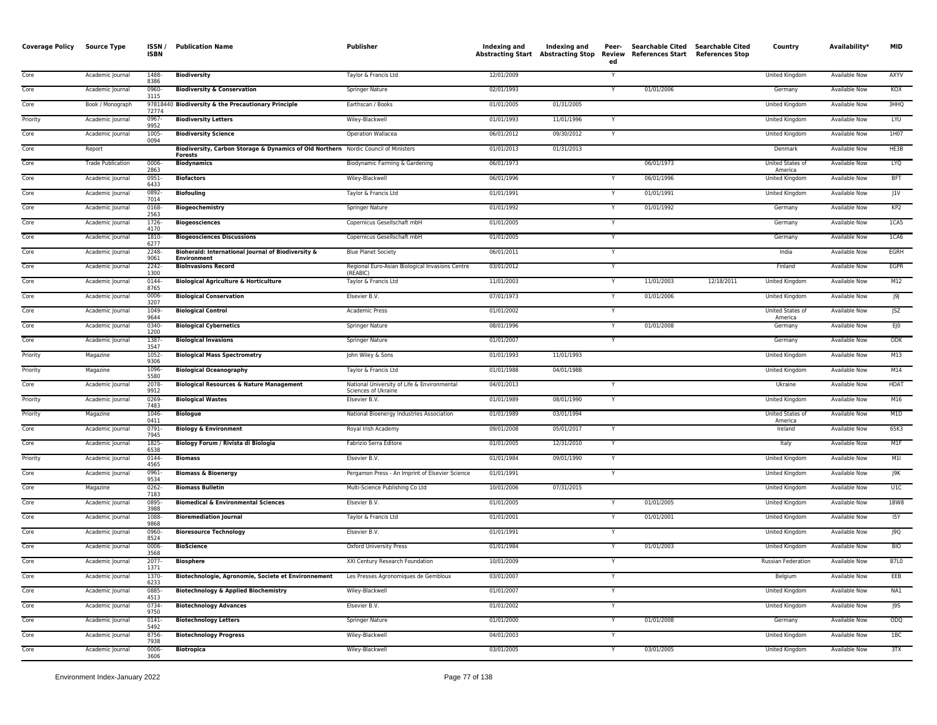| <b>Coverage Policy</b> | <b>Source Type</b>       | ISSN/<br><b>ISBN</b> | <b>Publication Name</b>                                                                               | Publisher                                                          | Indexing and | Indexing and<br><b>Abstracting Start Abstracting Stop</b> | Peer-<br>Review<br>ed   | <b>Searchable Cited</b><br>References Start References Stop | Searchable Cited | Country                     | Availability*        | <b>MID</b>        |
|------------------------|--------------------------|----------------------|-------------------------------------------------------------------------------------------------------|--------------------------------------------------------------------|--------------|-----------------------------------------------------------|-------------------------|-------------------------------------------------------------|------------------|-----------------------------|----------------------|-------------------|
| Core                   | Academic Journal         | 1488-<br>8386        | <b>Biodiversity</b>                                                                                   | Taylor & Francis Ltd                                               | 12/01/2009   |                                                           |                         |                                                             |                  | United Kingdom              | <b>Available Now</b> | AXYV              |
| Core                   | Academic Journal         | 0960-<br>3115        | <b>Biodiversity &amp; Conservation</b>                                                                | <b>Springer Nature</b>                                             | 02/01/1993   |                                                           |                         | 01/01/2006                                                  |                  | Germany                     | <b>Available Now</b> | KOX               |
| Core                   | Book / Monograph         | 72774                | 97818440 Biodiversity & the Precautionary Principle                                                   | Earthscan / Books                                                  | 01/01/2005   | 01/31/2005                                                |                         |                                                             |                  | <b>United Kingdom</b>       | <b>Available Now</b> | 3HHQ              |
| Priority               | Academic Journal         | $0967 -$<br>9952     | <b>Biodiversity Letters</b>                                                                           | Wiley-Blackwell                                                    | 01/01/1993   | 11/01/1996                                                |                         |                                                             |                  | United Kingdom              | <b>Available Now</b> | <b>LYU</b>        |
| Core                   | Academic Journal         | 1005-<br>0094        | <b>Biodiversity Science</b>                                                                           | Operation Wallacea                                                 | 06/01/2012   | 09/30/2012                                                | Y                       |                                                             |                  | United Kingdom              | Available Now        | 1H07              |
| Core                   | Report                   |                      | Biodiversity, Carbon Storage & Dynamics of Old Northern Nordic Council of Ministers<br><b>Forests</b> |                                                                    | 01/01/2013   | 01/31/2013                                                |                         |                                                             |                  | Denmark                     | Available Now        | HE3B              |
| Core                   | <b>Trade Publication</b> | 0006-<br>2863        | <b>Biodynamics</b>                                                                                    | Biodynamic Farming & Gardening                                     | 06/01/1973   |                                                           |                         | 06/01/1973                                                  |                  | United States of<br>America | Available Now        | LYQ               |
| Core                   | Academic Journal         | 0951-<br>6433        | <b>Biofactors</b>                                                                                     | Wiley-Blackwell                                                    | 06/01/1996   |                                                           |                         | 06/01/1996                                                  |                  | United Kingdom              | Available Now        | <b>BFT</b>        |
| Core                   | Academic Journa          | 0892<br>7014         | <b>Biofouling</b>                                                                                     | Taylor & Francis Ltd                                               | 01/01/1991   |                                                           |                         | 01/01/1991                                                  |                  | <b>United Kingdom</b>       | <b>Available Now</b> | J1V               |
| Core                   | Academic Journal         | 0168<br>2563         | <b>Biogeochemistry</b>                                                                                | <b>Springer Nature</b>                                             | 01/01/1992   |                                                           |                         | 01/01/1992                                                  |                  | Germany                     | Available Now        | KP <sub>2</sub>   |
| Core                   | Academic Journal         | $1726 -$<br>4170     | <b>Biogeosciences</b>                                                                                 | Copernicus Gesellschaft mbH                                        | 01/01/2005   |                                                           | $\mathsf{Y}$            |                                                             |                  | Germany                     | <b>Available Now</b> | 1CA5              |
| Core                   | Academic Journal         | 1810<br>6277         | <b>Biogeosciences Discussions</b>                                                                     | Copernicus Gesellschaft mbH                                        | 01/01/2005   |                                                           |                         |                                                             |                  | Germany                     | <b>Available Now</b> | 1CA6              |
| Core                   | Academic Journal         | 2248<br>9061         | Bioherald: International Journal of Biodiversity &<br><b>Environment</b>                              | <b>Blue Planet Society</b>                                         | 06/01/2011   |                                                           |                         |                                                             |                  | India                       | Available Now        | EGRH              |
| Core                   | Academic Journal         | 2242-<br>1300        | <b>BioInvasions Record</b>                                                                            | Regional Euro-Asian Biological Invasions Centre<br>(REABIC)        | 03/01/2012   |                                                           |                         |                                                             |                  | Finland                     | Available Now        | EGPR              |
| Core                   | Academic Journal         | 0144-<br>8765        | <b>Biological Agriculture &amp; Horticulture</b>                                                      | Taylor & Francis Ltd                                               | 11/01/2003   |                                                           | Y                       | 11/01/2003                                                  | 12/18/2011       | United Kingdom              | Available Now        | M12               |
| Core                   | Academic Journal         | 0006<br>3207         | <b>Biological Conservation</b>                                                                        | Elsevier B.V.                                                      | 07/01/1973   |                                                           |                         | 01/01/2006                                                  |                  | <b>United Kingdom</b>       | <b>Available Now</b> | 9                 |
| Core                   | Academic Journal         | 1049<br>9644         | <b>Biological Control</b>                                                                             | Academic Press                                                     | 01/01/2002   |                                                           |                         |                                                             |                  | United States of<br>America | <b>Available Now</b> | JSZ               |
| Core                   | Academic Journal         | 0340-<br>1200        | <b>Biological Cybernetics</b>                                                                         | <b>Springer Nature</b>                                             | 08/01/1996   |                                                           |                         | 01/01/2008                                                  |                  | Germany                     | <b>Available Now</b> | $E$ <sub>IO</sub> |
| Core                   | Academic Journal         | 1387<br>3547         | <b>Biological Invasions</b>                                                                           | <b>Springer Nature</b>                                             | 01/01/2007   |                                                           |                         |                                                             |                  | Germany                     | <b>Available Now</b> | ODK               |
| Priority               | Magazine                 | 1052-<br>9306        | <b>Biological Mass Spectrometry</b>                                                                   | John Wiley & Sons                                                  | 01/01/1993   | 11/01/1993                                                |                         |                                                             |                  | United Kingdom              | Available Now        | M13               |
| Priority               | Magazine                 | 1096<br>5580         | <b>Biological Oceanography</b>                                                                        | Taylor & Francis Ltd                                               | 01/01/1988   | 04/01/1988                                                |                         |                                                             |                  | United Kingdom              | <b>Available Now</b> | M14               |
| Core                   | Academic Journal         | 2078-<br>9912        | <b>Biological Resources &amp; Nature Management</b>                                                   | National University of Life & Environmental<br>Sciences of Ukraine | 04/01/2013   |                                                           | Y                       |                                                             |                  | Ukraine                     | Available Now        | <b>HDAT</b>       |
| Priority               | Academic Journal         | 0269<br>7483         | <b>Biological Wastes</b>                                                                              | <b>Elsevier B.V.</b>                                               | 01/01/1989   | 08/01/1990                                                |                         |                                                             |                  | United Kingdom              | Available Now        | M16               |
| Priority               | Magazine                 | 1046-<br>0411        | <b>Biologue</b>                                                                                       | National Bioenergy Industries Association                          | 01/01/1989   | 03/01/1994                                                |                         |                                                             |                  | United States of<br>America | <b>Available Now</b> | M <sub>1</sub> D  |
| Core                   | Academic Journal         | 0791-<br>7945        | <b>Biology &amp; Environment</b>                                                                      | Royal Irish Academy                                                | 09/01/2008   | 05/01/2017                                                |                         |                                                             |                  | Ireland                     | Available Now        | 65K3              |
| Core                   | Academic Journal         | 1825<br>6538         | Biology Forum / Rivista di Biologia                                                                   | Fabrizio Serra Editore                                             | 01/01/2005   | 12/31/2010                                                |                         |                                                             |                  | Italy                       | <b>Available Now</b> | M1F               |
| Priority               | Academic Journal         | 0144<br>4565         | <b>Biomass</b>                                                                                        | Elsevier B.V.                                                      | 01/01/1984   | 09/01/1990                                                | $\overline{\mathsf{Y}}$ |                                                             |                  | <b>United Kingdom</b>       | <b>Available Now</b> | M11               |
| Core                   | Academic Journal         | 0961<br>9534         | <b>Biomass &amp; Bioenergy</b>                                                                        | Pergamon Press - An Imprint of Elsevier Science                    | 01/01/1991   |                                                           |                         |                                                             |                  | <b>United Kingdom</b>       | <b>Available Now</b> | J9K               |
| Core                   | Magazine                 | 0262-<br>7183        | <b>Biomass Bulletin</b>                                                                               | Multi-Science Publishing Co Ltd                                    | 10/01/2006   | 07/31/2015                                                |                         |                                                             |                  | United Kingdom              | Available Now        | U1C               |
| Core                   | Academic Journal         | 0895<br>3988         | <b>Biomedical &amp; Environmental Sciences</b>                                                        | Elsevier B.V.                                                      | 01/01/2005   |                                                           |                         | 01/01/2005                                                  |                  | United Kingdom              | Available Now        | 1BW8              |
| Core                   | Academic Journal         | 1088<br>9868         | <b>Bioremediation Journal</b>                                                                         | Taylor & Francis Ltd                                               | 01/01/2001   |                                                           | $\checkmark$            | 01/01/2001                                                  |                  | United Kingdom              | <b>Available Now</b> | 15Y               |
| Core                   | Academic Journal         | 0960<br>8524         | <b>Bioresource Technology</b>                                                                         | Elsevier B.V.                                                      | 01/01/1991   |                                                           |                         |                                                             |                  | <b>United Kingdom</b>       | <b>Available Now</b> | J9Q               |
| Core                   | Academic Journal         | 0006-<br>3568        | <b>BioScience</b>                                                                                     | Oxford University Press                                            | 01/01/1984   |                                                           |                         | 01/01/2003                                                  |                  | United Kingdom              | <b>Available Now</b> | <b>BIO</b>        |
| Core                   | Academic Journal         | $2077 -$<br>1371     | <b>Biosphere</b>                                                                                      | XXI Century Research Foundation                                    | 10/01/2009   |                                                           |                         |                                                             |                  | <b>Russian Federation</b>   | <b>Available Now</b> | <b>B7L0</b>       |
| Core                   | Academic Journal         | 1370-<br>6233        | Biotechnologie, Agronomie, Societe et Environnement                                                   | Les Presses Agronomiques de Gembloux                               | 03/01/2007   |                                                           |                         |                                                             |                  | Belgium                     | <b>Available Now</b> | EEB               |
| Core                   | Academic Journal         | 0885<br>4513         | <b>Biotechnology &amp; Applied Biochemistry</b>                                                       | Wiley-Blackwell                                                    | 01/01/2007   |                                                           |                         |                                                             |                  | United Kingdom              | Available Now        | NA1               |
| Core                   | Academic Journal         | 0734-<br>9750        | <b>Biotechnology Advances</b>                                                                         | Elsevier B.V.                                                      | 01/01/2002   |                                                           |                         |                                                             |                  | <b>United Kingdom</b>       | <b>Available Now</b> | J95               |
| Core                   | Academic Journal         | 0141-<br>5492        | <b>Biotechnology Letters</b>                                                                          | Springer Nature                                                    | 01/01/2000   |                                                           |                         | 01/01/2008                                                  |                  | Germany                     | Available Now        | ODQ               |
| Core                   | Academic Journal         | 8756<br>7938         | <b>Biotechnology Progress</b>                                                                         | Wiley-Blackwell                                                    | 04/01/2003   |                                                           |                         |                                                             |                  | United Kingdom              | <b>Available Now</b> | 1BC               |
| Core                   | Academic Journal         | 0006<br>3606         | <b>Biotropica</b>                                                                                     | Wiley-Blackwell                                                    | 03/01/2005   |                                                           |                         | 03/01/2005                                                  |                  | United Kingdom              | <b>Available Now</b> | 3TX               |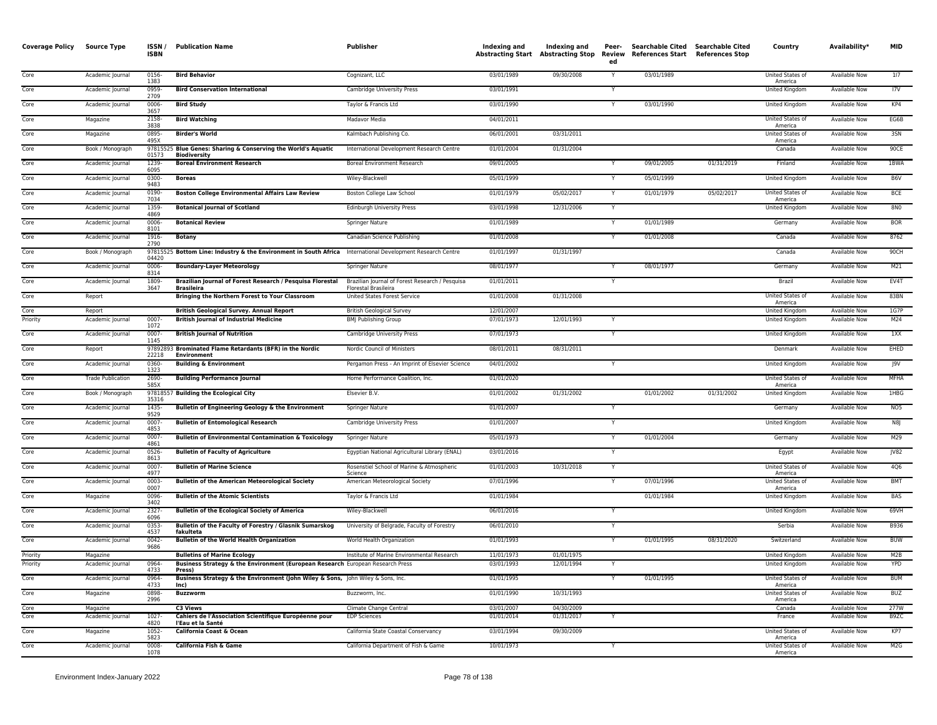| Core<br>03/01/1989<br>09/30/2008<br>03/01/1989<br>United States of<br><b>Available Now</b><br>117<br>Academic Journal<br>0156-<br><b>Bird Behavior</b><br>Cognizant, LLC<br>Y<br>1383<br>America<br>Core<br>Academic Journal<br>0959-<br><b>Bird Conservation International</b><br>Cambridge University Press<br>03/01/1991<br><b>United Kingdom</b><br><b>Available Now</b><br>17V<br>2709<br>Core<br>Academic Journal<br>$0006 -$<br><b>Bird Study</b><br>Taylor & Francis Ltd<br>03/01/1990<br>03/01/1990<br><b>United Kingdom</b><br><b>Available Now</b><br>KP4<br>3657<br>Core<br><b>Bird Watching</b><br>04/01/2011<br>EG6B<br>2158-<br>Madavor Media<br>United States of<br><b>Available Now</b><br>Magazine<br>3838<br>America<br>0895-<br>06/01/2001<br>03/31/2011<br>United States of<br>3SN<br>Core<br>Magazine<br><b>Birder's World</b><br>Kalmbach Publishing Co.<br>Available Now<br>495X<br>America<br>97815525 Blue Genes: Sharing & Conserving the World's Aquatic<br>90CE<br>Core<br>Book / Monograph<br>International Development Research Centre<br>01/01/2004<br>01/31/2004<br>Canada<br>Available Now<br>01573<br><b>Biodiversity</b><br>Core<br>1239-<br>09/01/2005<br>09/01/2005<br>01/31/2019<br>Finland<br>1BWA<br>Academic Journal<br><b>Boreal Environment Research</b><br><b>Boreal Environment Research</b><br><b>Available Now</b><br>6095<br>Core<br>05/01/1999<br>05/01/1999<br><b>Available Now</b><br>B6V<br>Academic Journal<br>0300-<br><b>Boreas</b><br>Wiley-Blackwell<br>United Kingdom<br>9483<br>Core<br>Academic Journal<br>0190-<br><b>Boston College Environmental Affairs Law Review</b><br>Boston College Law School<br>01/01/1979<br>05/02/2017<br>01/01/1979<br>05/02/2017<br>United States of<br>Available Now<br><b>BCE</b><br>7034<br>America<br>1359-<br>03/01/1998<br>12/31/2006<br>8N <sub>0</sub><br>Core<br>Academic Journal<br><b>Edinburgh University Press</b><br>United Kingdom<br><b>Available Now</b><br><b>Botanical Journal of Scotland</b><br>Y<br>4869<br><b>BOR</b><br>Core<br>01/01/1989<br>01/01/1989<br>0006-<br><b>Botanical Review</b><br>Academic Journal<br>Springer Nature<br>Germany<br>Available Now<br>8101<br>01/01/2008<br>8762<br>Core<br>1916-<br>Canadian Science Publishing<br>01/01/2008<br>Canada<br><b>Available Now</b><br>Academic Journal<br><b>Botany</b><br>2790<br>97815525 Bottom Line: Industry & the Environment in South Africa International Development Research Centre<br>Core<br>Book / Monograph<br>01/01/1997<br>01/31/1997<br>Canada<br>Available Now<br>90CH<br>04420<br>M21<br>Core<br>Academic Journal<br>0006-<br><b>Boundary-Layer Meteorology</b><br>Springer Nature<br>08/01/1977<br>08/01/1977<br>Germany<br>Available Now<br>8314<br>Brazilian Journal of Forest Research / Pesquisa Florestal<br>Brazilian Journal of Forest Research / Pesquisa<br>EV4T<br>Core<br>Academic Journal<br>1809<br>01/01/2011<br>Y<br>Brazil<br><b>Available Now</b><br>3647<br>Florestal Brasileira<br>Brasileira<br>Core<br>Bringing the Northern Forest to Your Classroom<br>United States Forest Service<br>01/01/2008<br>01/31/2008<br>United States of<br><b>Available Now</b><br>83BN<br>Report<br>America<br>Core<br><b>British Geological Survey. Annual Report</b><br>12/01/2007<br><b>United Kingdom</b><br>Available Now<br>1G7P<br>Report<br><b>British Geological Survey</b><br>12/01/1993<br>M24<br>Priority<br>$0007 -$<br><b>British Journal of Industrial Medicine</b><br>07/01/1973<br>United Kingdom<br>Academic Journal<br><b>BMJ Publishing Group</b><br><b>Available Now</b><br>Y<br>1072<br><b>British Journal of Nutrition</b><br>07/01/1973<br>Core<br>0007-<br>Cambridge University Press<br>United Kingdom<br>Available Now<br>1XX<br>Academic Journal<br>1145<br>97892893 Brominated Flame Retardants (BFR) in the Nordic<br>EHED<br>Core<br>Report<br>Nordic Council of Ministers<br>08/01/2011<br>08/31/2011<br>Denmark<br>Available Now<br>22218<br>Environment<br>Core<br>Pergamon Press - An Imprint of Elsevier Science<br>04/01/2002<br><b>Available Now</b><br>J9V<br>Academic Journal<br>0360-<br><b>Building &amp; Environment</b><br>Y<br>United Kingdom<br>1323<br>Core<br>01/01/2020<br><b>MFHA</b><br><b>Trade Publication</b><br>2690-<br><b>Building Performance Journal</b><br>Home Performance Coalition, Inc.<br>United States of<br>Available Now<br>585X<br>America<br>Core<br>Book / Monograph<br>97818557 Building the Ecological City<br>Elsevier B.V.<br>01/01/2002<br>01/31/2002<br>01/01/2002<br>01/31/2002<br><b>United Kingdom</b><br><b>Available Now</b><br>1HBG<br>35316<br>Core<br>Academic Journal<br>1435-<br>Bulletin of Engineering Geology & the Environment<br><b>Springer Nature</b><br>01/01/2007<br><b>Available Now</b><br>NO <sub>5</sub><br>Germany<br>9529<br>0007<br>01/01/2007<br>N8<br>Core<br>Academic Journal<br><b>Bulletin of Entomological Research</b><br>Cambridge University Press<br>United Kingdom<br>Available Now<br>4853<br>M29<br>Core<br>01/01/2004<br>Academic Journal<br>0007-<br><b>Bulletin of Environmental Contamination &amp; Toxicology</b><br>Springer Nature<br>05/01/1973<br>Germany<br>Available Now<br>Y<br>4861<br>JV82<br>Core<br>Academic Journal<br>0526-<br><b>Bulletin of Faculty of Agriculture</b><br>Egyptian National Agricultural Library (ENAL)<br>03/01/2016<br>Available Now<br>Y<br>Egypt<br>8613<br>Core<br>Academic Journal<br>$0007 -$<br><b>Bulletin of Marine Science</b><br>Rosenstiel School of Marine & Atmospheric<br>01/01/2003<br>10/31/2018<br>United States of<br><b>Available Now</b><br>4Q6<br>Y<br>4977<br>Science<br>America<br>Core<br><b>Bulletin of the American Meteorological Society</b><br>American Meteorological Society<br>07/01/1996<br>07/01/1996<br><b>BMT</b><br>Academic Journal<br>0003<br>United States of<br>Available Now<br>0007<br>America<br>Core<br>0096-<br>01/01/1984<br>01/01/1984<br>Available Now<br>BAS<br>Magazine<br><b>Bulletin of the Atomic Scientists</b><br>Taylor & Francis Ltd<br>United Kingdom<br>3402<br>Core<br>06/01/2016<br>69VH<br>2327-<br><b>Bulletin of the Ecological Society of America</b><br>Wiley-Blackwell<br><b>United Kingdom</b><br><b>Available Now</b><br>Academic Journal<br>6096<br>$0353-$<br>06/01/2010<br>B936<br>Core<br>Bulletin of the Faculty of Forestry / Glasnik Sumarskog<br>University of Belgrade, Faculty of Forestry<br>Serbia<br>Available Now<br>Academic Journal<br>Y<br>4537<br>fakulteta<br>01/01/1995<br>Core<br>0042-<br><b>Bulletin of the World Health Organization</b><br>01/01/1993<br>08/31/2020<br><b>BUW</b><br>Academic Journal<br>World Health Organization<br>Switzerland<br>Available Now<br>Y<br>9686<br>01/01/1975<br>M2B<br>Priority<br>Magazine<br><b>Bulletins of Marine Ecology</b><br>Institute of Marine Environmental Research<br>11/01/1973<br>United Kingdom<br>Available Now<br>Priority<br>0964-<br>Business Strategy & the Environment (European Research European Research Press<br>12/01/1994<br>Academic Journal<br>03/01/1993<br>United Kingdom<br>Available Now<br><b>YPD</b><br>4733<br>Press)<br>01/01/1995<br>01/01/1995<br><b>BUM</b><br>Core<br>Academic Journal<br>0964-<br>Business Strategy & the Environment (John Wiley & Sons, John Wiley & Sons, Inc.<br>$\overline{Y}$<br>United States of<br><b>Available Now</b><br>4733<br>lnc)<br>America<br>Core<br>0898-<br><b>Buzzworm</b><br>01/01/1990<br>10/31/1993<br><b>United States of</b><br><b>Available Now</b><br><b>BUZ</b><br>Magazine<br>Buzzworm, Inc.<br>2996<br>America<br>Core<br>03/01/2007<br>04/30/2009<br>Canada<br><b>Available Now</b><br>277W<br>Magazine<br>C3 Views<br>Climate Change Central<br>$1027 -$<br>Cahiers de l'Association Scientifique Européenne pour<br>Core<br><b>EDP Sciences</b><br>01/01/2014<br>01/31/2017<br>B9ZC<br>Academic Journal<br>Y<br>France<br>Available Now<br>4820<br>l'Eau et la Santé<br>Core<br>Magazine<br>1052<br>California Coast & Ocean<br>California State Coastal Conservancy<br>03/01/1994<br>09/30/2009<br>United States of<br>Available Now<br>KP7<br>5823<br>America<br>Core<br>M <sub>2</sub> G<br>Academic Journal<br>0008-<br>California Fish & Game<br>California Department of Fish & Game<br>10/01/1973<br>United States of<br>Available Now<br>1078<br>America | <b>Coverage Policy</b> | <b>Source Type</b> | ISSN/<br><b>ISBN</b> | <b>Publication Name</b> | Publisher | Indexing and | Indexing and<br><b>Abstracting Start Abstracting Stop</b> | Peer-<br>Review<br>ed | <b>Searchable Cited</b><br>References Start References Stop | Searchable Cited | Country | Availability* | <b>MID</b> |
|---------------------------------------------------------------------------------------------------------------------------------------------------------------------------------------------------------------------------------------------------------------------------------------------------------------------------------------------------------------------------------------------------------------------------------------------------------------------------------------------------------------------------------------------------------------------------------------------------------------------------------------------------------------------------------------------------------------------------------------------------------------------------------------------------------------------------------------------------------------------------------------------------------------------------------------------------------------------------------------------------------------------------------------------------------------------------------------------------------------------------------------------------------------------------------------------------------------------------------------------------------------------------------------------------------------------------------------------------------------------------------------------------------------------------------------------------------------------------------------------------------------------------------------------------------------------------------------------------------------------------------------------------------------------------------------------------------------------------------------------------------------------------------------------------------------------------------------------------------------------------------------------------------------------------------------------------------------------------------------------------------------------------------------------------------------------------------------------------------------------------------------------------------------------------------------------------------------------------------------------------------------------------------------------------------------------------------------------------------------------------------------------------------------------------------------------------------------------------------------------------------------------------------------------------------------------------------------------------------------------------------------------------------------------------------------------------------------------------------------------------------------------------------------------------------------------------------------------------------------------------------------------------------------------------------------------------------------------------------------------------------------------------------------------------------------------------------------------------------------------------------------------------------------------------------------------------------------------------------------------------------------------------------------------------------------------------------------------------------------------------------------------------------------------------------------------------------------------------------------------------------------------------------------------------------------------------------------------------------------------------------------------------------------------------------------------------------------------------------------------------------------------------------------------------------------------------------------------------------------------------------------------------------------------------------------------------------------------------------------------------------------------------------------------------------------------------------------------------------------------------------------------------------------------------------------------------------------------------------------------------------------------------------------------------------------------------------------------------------------------------------------------------------------------------------------------------------------------------------------------------------------------------------------------------------------------------------------------------------------------------------------------------------------------------------------------------------------------------------------------------------------------------------------------------------------------------------------------------------------------------------------------------------------------------------------------------------------------------------------------------------------------------------------------------------------------------------------------------------------------------------------------------------------------------------------------------------------------------------------------------------------------------------------------------------------------------------------------------------------------------------------------------------------------------------------------------------------------------------------------------------------------------------------------------------------------------------------------------------------------------------------------------------------------------------------------------------------------------------------------------------------------------------------------------------------------------------------------------------------------------------------------------------------------------------------------------------------------------------------------------------------------------------------------------------------------------------------------------------------------------------------------------------------------------------------------------------------------------------------------------------------------------------------------------------------------------------------------------------------------------------------------------------------------------------------------------------------------------------------------------------------------------------------------------------------------------------------------------------------------------------------------------------------------------------------------------------------------------------------------------------------------------------------------------------------------------------------------------------------------------------------------------------------------------------------------------------------------------------------------------------------------------------------------------------------------------------------------------------------------------------------------------------------------------------------------------------------------------------------------------------------------------------------------------------------------------------------------------------------------------------------------------------------------------------------------------------------------------------------------------------------------------------------------------------------------------------------------------------------------------------------------------------------------------------------------------------------------------------------------------------------------------------------------------------------------------------------------------------------------------------------------------------------------------------------------------------------------------------------------------------------------------------------------------------------------------------------------------------------------------------------------------------------------------------------------------------------------------------------------------------------------------------------------------------------------------------------------------------------|------------------------|--------------------|----------------------|-------------------------|-----------|--------------|-----------------------------------------------------------|-----------------------|-------------------------------------------------------------|------------------|---------|---------------|------------|
|                                                                                                                                                                                                                                                                                                                                                                                                                                                                                                                                                                                                                                                                                                                                                                                                                                                                                                                                                                                                                                                                                                                                                                                                                                                                                                                                                                                                                                                                                                                                                                                                                                                                                                                                                                                                                                                                                                                                                                                                                                                                                                                                                                                                                                                                                                                                                                                                                                                                                                                                                                                                                                                                                                                                                                                                                                                                                                                                                                                                                                                                                                                                                                                                                                                                                                                                                                                                                                                                                                                                                                                                                                                                                                                                                                                                                                                                                                                                                                                                                                                                                                                                                                                                                                                                                                                                                                                                                                                                                                                                                                                                                                                                                                                                                                                                                                                                                                                                                                                                                                                                                                                                                                                                                                                                                                                                                                                                                                                                                                                                                                                                                                                                                                                                                                                                                                                                                                                                                                                                                                                                                                                                                                                                                                                                                                                                                                                                                                                                                                                                                                                                                                                                                                                                                                                                                                                                                                                                                                                                                                                                                                                                                                                                                                                                                                                                                                                                                                                                                                                                                                                                                                                                                                                                                                                                                                                                                                                                                                                                                                                                                                                                                                                                                                                                                                                                                               |                        |                    |                      |                         |           |              |                                                           |                       |                                                             |                  |         |               |            |
|                                                                                                                                                                                                                                                                                                                                                                                                                                                                                                                                                                                                                                                                                                                                                                                                                                                                                                                                                                                                                                                                                                                                                                                                                                                                                                                                                                                                                                                                                                                                                                                                                                                                                                                                                                                                                                                                                                                                                                                                                                                                                                                                                                                                                                                                                                                                                                                                                                                                                                                                                                                                                                                                                                                                                                                                                                                                                                                                                                                                                                                                                                                                                                                                                                                                                                                                                                                                                                                                                                                                                                                                                                                                                                                                                                                                                                                                                                                                                                                                                                                                                                                                                                                                                                                                                                                                                                                                                                                                                                                                                                                                                                                                                                                                                                                                                                                                                                                                                                                                                                                                                                                                                                                                                                                                                                                                                                                                                                                                                                                                                                                                                                                                                                                                                                                                                                                                                                                                                                                                                                                                                                                                                                                                                                                                                                                                                                                                                                                                                                                                                                                                                                                                                                                                                                                                                                                                                                                                                                                                                                                                                                                                                                                                                                                                                                                                                                                                                                                                                                                                                                                                                                                                                                                                                                                                                                                                                                                                                                                                                                                                                                                                                                                                                                                                                                                                                               |                        |                    |                      |                         |           |              |                                                           |                       |                                                             |                  |         |               |            |
|                                                                                                                                                                                                                                                                                                                                                                                                                                                                                                                                                                                                                                                                                                                                                                                                                                                                                                                                                                                                                                                                                                                                                                                                                                                                                                                                                                                                                                                                                                                                                                                                                                                                                                                                                                                                                                                                                                                                                                                                                                                                                                                                                                                                                                                                                                                                                                                                                                                                                                                                                                                                                                                                                                                                                                                                                                                                                                                                                                                                                                                                                                                                                                                                                                                                                                                                                                                                                                                                                                                                                                                                                                                                                                                                                                                                                                                                                                                                                                                                                                                                                                                                                                                                                                                                                                                                                                                                                                                                                                                                                                                                                                                                                                                                                                                                                                                                                                                                                                                                                                                                                                                                                                                                                                                                                                                                                                                                                                                                                                                                                                                                                                                                                                                                                                                                                                                                                                                                                                                                                                                                                                                                                                                                                                                                                                                                                                                                                                                                                                                                                                                                                                                                                                                                                                                                                                                                                                                                                                                                                                                                                                                                                                                                                                                                                                                                                                                                                                                                                                                                                                                                                                                                                                                                                                                                                                                                                                                                                                                                                                                                                                                                                                                                                                                                                                                                                               |                        |                    |                      |                         |           |              |                                                           |                       |                                                             |                  |         |               |            |
|                                                                                                                                                                                                                                                                                                                                                                                                                                                                                                                                                                                                                                                                                                                                                                                                                                                                                                                                                                                                                                                                                                                                                                                                                                                                                                                                                                                                                                                                                                                                                                                                                                                                                                                                                                                                                                                                                                                                                                                                                                                                                                                                                                                                                                                                                                                                                                                                                                                                                                                                                                                                                                                                                                                                                                                                                                                                                                                                                                                                                                                                                                                                                                                                                                                                                                                                                                                                                                                                                                                                                                                                                                                                                                                                                                                                                                                                                                                                                                                                                                                                                                                                                                                                                                                                                                                                                                                                                                                                                                                                                                                                                                                                                                                                                                                                                                                                                                                                                                                                                                                                                                                                                                                                                                                                                                                                                                                                                                                                                                                                                                                                                                                                                                                                                                                                                                                                                                                                                                                                                                                                                                                                                                                                                                                                                                                                                                                                                                                                                                                                                                                                                                                                                                                                                                                                                                                                                                                                                                                                                                                                                                                                                                                                                                                                                                                                                                                                                                                                                                                                                                                                                                                                                                                                                                                                                                                                                                                                                                                                                                                                                                                                                                                                                                                                                                                                                               |                        |                    |                      |                         |           |              |                                                           |                       |                                                             |                  |         |               |            |
|                                                                                                                                                                                                                                                                                                                                                                                                                                                                                                                                                                                                                                                                                                                                                                                                                                                                                                                                                                                                                                                                                                                                                                                                                                                                                                                                                                                                                                                                                                                                                                                                                                                                                                                                                                                                                                                                                                                                                                                                                                                                                                                                                                                                                                                                                                                                                                                                                                                                                                                                                                                                                                                                                                                                                                                                                                                                                                                                                                                                                                                                                                                                                                                                                                                                                                                                                                                                                                                                                                                                                                                                                                                                                                                                                                                                                                                                                                                                                                                                                                                                                                                                                                                                                                                                                                                                                                                                                                                                                                                                                                                                                                                                                                                                                                                                                                                                                                                                                                                                                                                                                                                                                                                                                                                                                                                                                                                                                                                                                                                                                                                                                                                                                                                                                                                                                                                                                                                                                                                                                                                                                                                                                                                                                                                                                                                                                                                                                                                                                                                                                                                                                                                                                                                                                                                                                                                                                                                                                                                                                                                                                                                                                                                                                                                                                                                                                                                                                                                                                                                                                                                                                                                                                                                                                                                                                                                                                                                                                                                                                                                                                                                                                                                                                                                                                                                                                               |                        |                    |                      |                         |           |              |                                                           |                       |                                                             |                  |         |               |            |
|                                                                                                                                                                                                                                                                                                                                                                                                                                                                                                                                                                                                                                                                                                                                                                                                                                                                                                                                                                                                                                                                                                                                                                                                                                                                                                                                                                                                                                                                                                                                                                                                                                                                                                                                                                                                                                                                                                                                                                                                                                                                                                                                                                                                                                                                                                                                                                                                                                                                                                                                                                                                                                                                                                                                                                                                                                                                                                                                                                                                                                                                                                                                                                                                                                                                                                                                                                                                                                                                                                                                                                                                                                                                                                                                                                                                                                                                                                                                                                                                                                                                                                                                                                                                                                                                                                                                                                                                                                                                                                                                                                                                                                                                                                                                                                                                                                                                                                                                                                                                                                                                                                                                                                                                                                                                                                                                                                                                                                                                                                                                                                                                                                                                                                                                                                                                                                                                                                                                                                                                                                                                                                                                                                                                                                                                                                                                                                                                                                                                                                                                                                                                                                                                                                                                                                                                                                                                                                                                                                                                                                                                                                                                                                                                                                                                                                                                                                                                                                                                                                                                                                                                                                                                                                                                                                                                                                                                                                                                                                                                                                                                                                                                                                                                                                                                                                                                                               |                        |                    |                      |                         |           |              |                                                           |                       |                                                             |                  |         |               |            |
|                                                                                                                                                                                                                                                                                                                                                                                                                                                                                                                                                                                                                                                                                                                                                                                                                                                                                                                                                                                                                                                                                                                                                                                                                                                                                                                                                                                                                                                                                                                                                                                                                                                                                                                                                                                                                                                                                                                                                                                                                                                                                                                                                                                                                                                                                                                                                                                                                                                                                                                                                                                                                                                                                                                                                                                                                                                                                                                                                                                                                                                                                                                                                                                                                                                                                                                                                                                                                                                                                                                                                                                                                                                                                                                                                                                                                                                                                                                                                                                                                                                                                                                                                                                                                                                                                                                                                                                                                                                                                                                                                                                                                                                                                                                                                                                                                                                                                                                                                                                                                                                                                                                                                                                                                                                                                                                                                                                                                                                                                                                                                                                                                                                                                                                                                                                                                                                                                                                                                                                                                                                                                                                                                                                                                                                                                                                                                                                                                                                                                                                                                                                                                                                                                                                                                                                                                                                                                                                                                                                                                                                                                                                                                                                                                                                                                                                                                                                                                                                                                                                                                                                                                                                                                                                                                                                                                                                                                                                                                                                                                                                                                                                                                                                                                                                                                                                                                               |                        |                    |                      |                         |           |              |                                                           |                       |                                                             |                  |         |               |            |
|                                                                                                                                                                                                                                                                                                                                                                                                                                                                                                                                                                                                                                                                                                                                                                                                                                                                                                                                                                                                                                                                                                                                                                                                                                                                                                                                                                                                                                                                                                                                                                                                                                                                                                                                                                                                                                                                                                                                                                                                                                                                                                                                                                                                                                                                                                                                                                                                                                                                                                                                                                                                                                                                                                                                                                                                                                                                                                                                                                                                                                                                                                                                                                                                                                                                                                                                                                                                                                                                                                                                                                                                                                                                                                                                                                                                                                                                                                                                                                                                                                                                                                                                                                                                                                                                                                                                                                                                                                                                                                                                                                                                                                                                                                                                                                                                                                                                                                                                                                                                                                                                                                                                                                                                                                                                                                                                                                                                                                                                                                                                                                                                                                                                                                                                                                                                                                                                                                                                                                                                                                                                                                                                                                                                                                                                                                                                                                                                                                                                                                                                                                                                                                                                                                                                                                                                                                                                                                                                                                                                                                                                                                                                                                                                                                                                                                                                                                                                                                                                                                                                                                                                                                                                                                                                                                                                                                                                                                                                                                                                                                                                                                                                                                                                                                                                                                                                                               |                        |                    |                      |                         |           |              |                                                           |                       |                                                             |                  |         |               |            |
|                                                                                                                                                                                                                                                                                                                                                                                                                                                                                                                                                                                                                                                                                                                                                                                                                                                                                                                                                                                                                                                                                                                                                                                                                                                                                                                                                                                                                                                                                                                                                                                                                                                                                                                                                                                                                                                                                                                                                                                                                                                                                                                                                                                                                                                                                                                                                                                                                                                                                                                                                                                                                                                                                                                                                                                                                                                                                                                                                                                                                                                                                                                                                                                                                                                                                                                                                                                                                                                                                                                                                                                                                                                                                                                                                                                                                                                                                                                                                                                                                                                                                                                                                                                                                                                                                                                                                                                                                                                                                                                                                                                                                                                                                                                                                                                                                                                                                                                                                                                                                                                                                                                                                                                                                                                                                                                                                                                                                                                                                                                                                                                                                                                                                                                                                                                                                                                                                                                                                                                                                                                                                                                                                                                                                                                                                                                                                                                                                                                                                                                                                                                                                                                                                                                                                                                                                                                                                                                                                                                                                                                                                                                                                                                                                                                                                                                                                                                                                                                                                                                                                                                                                                                                                                                                                                                                                                                                                                                                                                                                                                                                                                                                                                                                                                                                                                                                                               |                        |                    |                      |                         |           |              |                                                           |                       |                                                             |                  |         |               |            |
|                                                                                                                                                                                                                                                                                                                                                                                                                                                                                                                                                                                                                                                                                                                                                                                                                                                                                                                                                                                                                                                                                                                                                                                                                                                                                                                                                                                                                                                                                                                                                                                                                                                                                                                                                                                                                                                                                                                                                                                                                                                                                                                                                                                                                                                                                                                                                                                                                                                                                                                                                                                                                                                                                                                                                                                                                                                                                                                                                                                                                                                                                                                                                                                                                                                                                                                                                                                                                                                                                                                                                                                                                                                                                                                                                                                                                                                                                                                                                                                                                                                                                                                                                                                                                                                                                                                                                                                                                                                                                                                                                                                                                                                                                                                                                                                                                                                                                                                                                                                                                                                                                                                                                                                                                                                                                                                                                                                                                                                                                                                                                                                                                                                                                                                                                                                                                                                                                                                                                                                                                                                                                                                                                                                                                                                                                                                                                                                                                                                                                                                                                                                                                                                                                                                                                                                                                                                                                                                                                                                                                                                                                                                                                                                                                                                                                                                                                                                                                                                                                                                                                                                                                                                                                                                                                                                                                                                                                                                                                                                                                                                                                                                                                                                                                                                                                                                                                               |                        |                    |                      |                         |           |              |                                                           |                       |                                                             |                  |         |               |            |
|                                                                                                                                                                                                                                                                                                                                                                                                                                                                                                                                                                                                                                                                                                                                                                                                                                                                                                                                                                                                                                                                                                                                                                                                                                                                                                                                                                                                                                                                                                                                                                                                                                                                                                                                                                                                                                                                                                                                                                                                                                                                                                                                                                                                                                                                                                                                                                                                                                                                                                                                                                                                                                                                                                                                                                                                                                                                                                                                                                                                                                                                                                                                                                                                                                                                                                                                                                                                                                                                                                                                                                                                                                                                                                                                                                                                                                                                                                                                                                                                                                                                                                                                                                                                                                                                                                                                                                                                                                                                                                                                                                                                                                                                                                                                                                                                                                                                                                                                                                                                                                                                                                                                                                                                                                                                                                                                                                                                                                                                                                                                                                                                                                                                                                                                                                                                                                                                                                                                                                                                                                                                                                                                                                                                                                                                                                                                                                                                                                                                                                                                                                                                                                                                                                                                                                                                                                                                                                                                                                                                                                                                                                                                                                                                                                                                                                                                                                                                                                                                                                                                                                                                                                                                                                                                                                                                                                                                                                                                                                                                                                                                                                                                                                                                                                                                                                                                                               |                        |                    |                      |                         |           |              |                                                           |                       |                                                             |                  |         |               |            |
|                                                                                                                                                                                                                                                                                                                                                                                                                                                                                                                                                                                                                                                                                                                                                                                                                                                                                                                                                                                                                                                                                                                                                                                                                                                                                                                                                                                                                                                                                                                                                                                                                                                                                                                                                                                                                                                                                                                                                                                                                                                                                                                                                                                                                                                                                                                                                                                                                                                                                                                                                                                                                                                                                                                                                                                                                                                                                                                                                                                                                                                                                                                                                                                                                                                                                                                                                                                                                                                                                                                                                                                                                                                                                                                                                                                                                                                                                                                                                                                                                                                                                                                                                                                                                                                                                                                                                                                                                                                                                                                                                                                                                                                                                                                                                                                                                                                                                                                                                                                                                                                                                                                                                                                                                                                                                                                                                                                                                                                                                                                                                                                                                                                                                                                                                                                                                                                                                                                                                                                                                                                                                                                                                                                                                                                                                                                                                                                                                                                                                                                                                                                                                                                                                                                                                                                                                                                                                                                                                                                                                                                                                                                                                                                                                                                                                                                                                                                                                                                                                                                                                                                                                                                                                                                                                                                                                                                                                                                                                                                                                                                                                                                                                                                                                                                                                                                                                               |                        |                    |                      |                         |           |              |                                                           |                       |                                                             |                  |         |               |            |
|                                                                                                                                                                                                                                                                                                                                                                                                                                                                                                                                                                                                                                                                                                                                                                                                                                                                                                                                                                                                                                                                                                                                                                                                                                                                                                                                                                                                                                                                                                                                                                                                                                                                                                                                                                                                                                                                                                                                                                                                                                                                                                                                                                                                                                                                                                                                                                                                                                                                                                                                                                                                                                                                                                                                                                                                                                                                                                                                                                                                                                                                                                                                                                                                                                                                                                                                                                                                                                                                                                                                                                                                                                                                                                                                                                                                                                                                                                                                                                                                                                                                                                                                                                                                                                                                                                                                                                                                                                                                                                                                                                                                                                                                                                                                                                                                                                                                                                                                                                                                                                                                                                                                                                                                                                                                                                                                                                                                                                                                                                                                                                                                                                                                                                                                                                                                                                                                                                                                                                                                                                                                                                                                                                                                                                                                                                                                                                                                                                                                                                                                                                                                                                                                                                                                                                                                                                                                                                                                                                                                                                                                                                                                                                                                                                                                                                                                                                                                                                                                                                                                                                                                                                                                                                                                                                                                                                                                                                                                                                                                                                                                                                                                                                                                                                                                                                                                                               |                        |                    |                      |                         |           |              |                                                           |                       |                                                             |                  |         |               |            |
|                                                                                                                                                                                                                                                                                                                                                                                                                                                                                                                                                                                                                                                                                                                                                                                                                                                                                                                                                                                                                                                                                                                                                                                                                                                                                                                                                                                                                                                                                                                                                                                                                                                                                                                                                                                                                                                                                                                                                                                                                                                                                                                                                                                                                                                                                                                                                                                                                                                                                                                                                                                                                                                                                                                                                                                                                                                                                                                                                                                                                                                                                                                                                                                                                                                                                                                                                                                                                                                                                                                                                                                                                                                                                                                                                                                                                                                                                                                                                                                                                                                                                                                                                                                                                                                                                                                                                                                                                                                                                                                                                                                                                                                                                                                                                                                                                                                                                                                                                                                                                                                                                                                                                                                                                                                                                                                                                                                                                                                                                                                                                                                                                                                                                                                                                                                                                                                                                                                                                                                                                                                                                                                                                                                                                                                                                                                                                                                                                                                                                                                                                                                                                                                                                                                                                                                                                                                                                                                                                                                                                                                                                                                                                                                                                                                                                                                                                                                                                                                                                                                                                                                                                                                                                                                                                                                                                                                                                                                                                                                                                                                                                                                                                                                                                                                                                                                                                               |                        |                    |                      |                         |           |              |                                                           |                       |                                                             |                  |         |               |            |
|                                                                                                                                                                                                                                                                                                                                                                                                                                                                                                                                                                                                                                                                                                                                                                                                                                                                                                                                                                                                                                                                                                                                                                                                                                                                                                                                                                                                                                                                                                                                                                                                                                                                                                                                                                                                                                                                                                                                                                                                                                                                                                                                                                                                                                                                                                                                                                                                                                                                                                                                                                                                                                                                                                                                                                                                                                                                                                                                                                                                                                                                                                                                                                                                                                                                                                                                                                                                                                                                                                                                                                                                                                                                                                                                                                                                                                                                                                                                                                                                                                                                                                                                                                                                                                                                                                                                                                                                                                                                                                                                                                                                                                                                                                                                                                                                                                                                                                                                                                                                                                                                                                                                                                                                                                                                                                                                                                                                                                                                                                                                                                                                                                                                                                                                                                                                                                                                                                                                                                                                                                                                                                                                                                                                                                                                                                                                                                                                                                                                                                                                                                                                                                                                                                                                                                                                                                                                                                                                                                                                                                                                                                                                                                                                                                                                                                                                                                                                                                                                                                                                                                                                                                                                                                                                                                                                                                                                                                                                                                                                                                                                                                                                                                                                                                                                                                                                                               |                        |                    |                      |                         |           |              |                                                           |                       |                                                             |                  |         |               |            |
|                                                                                                                                                                                                                                                                                                                                                                                                                                                                                                                                                                                                                                                                                                                                                                                                                                                                                                                                                                                                                                                                                                                                                                                                                                                                                                                                                                                                                                                                                                                                                                                                                                                                                                                                                                                                                                                                                                                                                                                                                                                                                                                                                                                                                                                                                                                                                                                                                                                                                                                                                                                                                                                                                                                                                                                                                                                                                                                                                                                                                                                                                                                                                                                                                                                                                                                                                                                                                                                                                                                                                                                                                                                                                                                                                                                                                                                                                                                                                                                                                                                                                                                                                                                                                                                                                                                                                                                                                                                                                                                                                                                                                                                                                                                                                                                                                                                                                                                                                                                                                                                                                                                                                                                                                                                                                                                                                                                                                                                                                                                                                                                                                                                                                                                                                                                                                                                                                                                                                                                                                                                                                                                                                                                                                                                                                                                                                                                                                                                                                                                                                                                                                                                                                                                                                                                                                                                                                                                                                                                                                                                                                                                                                                                                                                                                                                                                                                                                                                                                                                                                                                                                                                                                                                                                                                                                                                                                                                                                                                                                                                                                                                                                                                                                                                                                                                                                                               |                        |                    |                      |                         |           |              |                                                           |                       |                                                             |                  |         |               |            |
|                                                                                                                                                                                                                                                                                                                                                                                                                                                                                                                                                                                                                                                                                                                                                                                                                                                                                                                                                                                                                                                                                                                                                                                                                                                                                                                                                                                                                                                                                                                                                                                                                                                                                                                                                                                                                                                                                                                                                                                                                                                                                                                                                                                                                                                                                                                                                                                                                                                                                                                                                                                                                                                                                                                                                                                                                                                                                                                                                                                                                                                                                                                                                                                                                                                                                                                                                                                                                                                                                                                                                                                                                                                                                                                                                                                                                                                                                                                                                                                                                                                                                                                                                                                                                                                                                                                                                                                                                                                                                                                                                                                                                                                                                                                                                                                                                                                                                                                                                                                                                                                                                                                                                                                                                                                                                                                                                                                                                                                                                                                                                                                                                                                                                                                                                                                                                                                                                                                                                                                                                                                                                                                                                                                                                                                                                                                                                                                                                                                                                                                                                                                                                                                                                                                                                                                                                                                                                                                                                                                                                                                                                                                                                                                                                                                                                                                                                                                                                                                                                                                                                                                                                                                                                                                                                                                                                                                                                                                                                                                                                                                                                                                                                                                                                                                                                                                                                               |                        |                    |                      |                         |           |              |                                                           |                       |                                                             |                  |         |               |            |
|                                                                                                                                                                                                                                                                                                                                                                                                                                                                                                                                                                                                                                                                                                                                                                                                                                                                                                                                                                                                                                                                                                                                                                                                                                                                                                                                                                                                                                                                                                                                                                                                                                                                                                                                                                                                                                                                                                                                                                                                                                                                                                                                                                                                                                                                                                                                                                                                                                                                                                                                                                                                                                                                                                                                                                                                                                                                                                                                                                                                                                                                                                                                                                                                                                                                                                                                                                                                                                                                                                                                                                                                                                                                                                                                                                                                                                                                                                                                                                                                                                                                                                                                                                                                                                                                                                                                                                                                                                                                                                                                                                                                                                                                                                                                                                                                                                                                                                                                                                                                                                                                                                                                                                                                                                                                                                                                                                                                                                                                                                                                                                                                                                                                                                                                                                                                                                                                                                                                                                                                                                                                                                                                                                                                                                                                                                                                                                                                                                                                                                                                                                                                                                                                                                                                                                                                                                                                                                                                                                                                                                                                                                                                                                                                                                                                                                                                                                                                                                                                                                                                                                                                                                                                                                                                                                                                                                                                                                                                                                                                                                                                                                                                                                                                                                                                                                                                                               |                        |                    |                      |                         |           |              |                                                           |                       |                                                             |                  |         |               |            |
|                                                                                                                                                                                                                                                                                                                                                                                                                                                                                                                                                                                                                                                                                                                                                                                                                                                                                                                                                                                                                                                                                                                                                                                                                                                                                                                                                                                                                                                                                                                                                                                                                                                                                                                                                                                                                                                                                                                                                                                                                                                                                                                                                                                                                                                                                                                                                                                                                                                                                                                                                                                                                                                                                                                                                                                                                                                                                                                                                                                                                                                                                                                                                                                                                                                                                                                                                                                                                                                                                                                                                                                                                                                                                                                                                                                                                                                                                                                                                                                                                                                                                                                                                                                                                                                                                                                                                                                                                                                                                                                                                                                                                                                                                                                                                                                                                                                                                                                                                                                                                                                                                                                                                                                                                                                                                                                                                                                                                                                                                                                                                                                                                                                                                                                                                                                                                                                                                                                                                                                                                                                                                                                                                                                                                                                                                                                                                                                                                                                                                                                                                                                                                                                                                                                                                                                                                                                                                                                                                                                                                                                                                                                                                                                                                                                                                                                                                                                                                                                                                                                                                                                                                                                                                                                                                                                                                                                                                                                                                                                                                                                                                                                                                                                                                                                                                                                                                               |                        |                    |                      |                         |           |              |                                                           |                       |                                                             |                  |         |               |            |
|                                                                                                                                                                                                                                                                                                                                                                                                                                                                                                                                                                                                                                                                                                                                                                                                                                                                                                                                                                                                                                                                                                                                                                                                                                                                                                                                                                                                                                                                                                                                                                                                                                                                                                                                                                                                                                                                                                                                                                                                                                                                                                                                                                                                                                                                                                                                                                                                                                                                                                                                                                                                                                                                                                                                                                                                                                                                                                                                                                                                                                                                                                                                                                                                                                                                                                                                                                                                                                                                                                                                                                                                                                                                                                                                                                                                                                                                                                                                                                                                                                                                                                                                                                                                                                                                                                                                                                                                                                                                                                                                                                                                                                                                                                                                                                                                                                                                                                                                                                                                                                                                                                                                                                                                                                                                                                                                                                                                                                                                                                                                                                                                                                                                                                                                                                                                                                                                                                                                                                                                                                                                                                                                                                                                                                                                                                                                                                                                                                                                                                                                                                                                                                                                                                                                                                                                                                                                                                                                                                                                                                                                                                                                                                                                                                                                                                                                                                                                                                                                                                                                                                                                                                                                                                                                                                                                                                                                                                                                                                                                                                                                                                                                                                                                                                                                                                                                                               |                        |                    |                      |                         |           |              |                                                           |                       |                                                             |                  |         |               |            |
|                                                                                                                                                                                                                                                                                                                                                                                                                                                                                                                                                                                                                                                                                                                                                                                                                                                                                                                                                                                                                                                                                                                                                                                                                                                                                                                                                                                                                                                                                                                                                                                                                                                                                                                                                                                                                                                                                                                                                                                                                                                                                                                                                                                                                                                                                                                                                                                                                                                                                                                                                                                                                                                                                                                                                                                                                                                                                                                                                                                                                                                                                                                                                                                                                                                                                                                                                                                                                                                                                                                                                                                                                                                                                                                                                                                                                                                                                                                                                                                                                                                                                                                                                                                                                                                                                                                                                                                                                                                                                                                                                                                                                                                                                                                                                                                                                                                                                                                                                                                                                                                                                                                                                                                                                                                                                                                                                                                                                                                                                                                                                                                                                                                                                                                                                                                                                                                                                                                                                                                                                                                                                                                                                                                                                                                                                                                                                                                                                                                                                                                                                                                                                                                                                                                                                                                                                                                                                                                                                                                                                                                                                                                                                                                                                                                                                                                                                                                                                                                                                                                                                                                                                                                                                                                                                                                                                                                                                                                                                                                                                                                                                                                                                                                                                                                                                                                                                               |                        |                    |                      |                         |           |              |                                                           |                       |                                                             |                  |         |               |            |
|                                                                                                                                                                                                                                                                                                                                                                                                                                                                                                                                                                                                                                                                                                                                                                                                                                                                                                                                                                                                                                                                                                                                                                                                                                                                                                                                                                                                                                                                                                                                                                                                                                                                                                                                                                                                                                                                                                                                                                                                                                                                                                                                                                                                                                                                                                                                                                                                                                                                                                                                                                                                                                                                                                                                                                                                                                                                                                                                                                                                                                                                                                                                                                                                                                                                                                                                                                                                                                                                                                                                                                                                                                                                                                                                                                                                                                                                                                                                                                                                                                                                                                                                                                                                                                                                                                                                                                                                                                                                                                                                                                                                                                                                                                                                                                                                                                                                                                                                                                                                                                                                                                                                                                                                                                                                                                                                                                                                                                                                                                                                                                                                                                                                                                                                                                                                                                                                                                                                                                                                                                                                                                                                                                                                                                                                                                                                                                                                                                                                                                                                                                                                                                                                                                                                                                                                                                                                                                                                                                                                                                                                                                                                                                                                                                                                                                                                                                                                                                                                                                                                                                                                                                                                                                                                                                                                                                                                                                                                                                                                                                                                                                                                                                                                                                                                                                                                                               |                        |                    |                      |                         |           |              |                                                           |                       |                                                             |                  |         |               |            |
|                                                                                                                                                                                                                                                                                                                                                                                                                                                                                                                                                                                                                                                                                                                                                                                                                                                                                                                                                                                                                                                                                                                                                                                                                                                                                                                                                                                                                                                                                                                                                                                                                                                                                                                                                                                                                                                                                                                                                                                                                                                                                                                                                                                                                                                                                                                                                                                                                                                                                                                                                                                                                                                                                                                                                                                                                                                                                                                                                                                                                                                                                                                                                                                                                                                                                                                                                                                                                                                                                                                                                                                                                                                                                                                                                                                                                                                                                                                                                                                                                                                                                                                                                                                                                                                                                                                                                                                                                                                                                                                                                                                                                                                                                                                                                                                                                                                                                                                                                                                                                                                                                                                                                                                                                                                                                                                                                                                                                                                                                                                                                                                                                                                                                                                                                                                                                                                                                                                                                                                                                                                                                                                                                                                                                                                                                                                                                                                                                                                                                                                                                                                                                                                                                                                                                                                                                                                                                                                                                                                                                                                                                                                                                                                                                                                                                                                                                                                                                                                                                                                                                                                                                                                                                                                                                                                                                                                                                                                                                                                                                                                                                                                                                                                                                                                                                                                                                               |                        |                    |                      |                         |           |              |                                                           |                       |                                                             |                  |         |               |            |
|                                                                                                                                                                                                                                                                                                                                                                                                                                                                                                                                                                                                                                                                                                                                                                                                                                                                                                                                                                                                                                                                                                                                                                                                                                                                                                                                                                                                                                                                                                                                                                                                                                                                                                                                                                                                                                                                                                                                                                                                                                                                                                                                                                                                                                                                                                                                                                                                                                                                                                                                                                                                                                                                                                                                                                                                                                                                                                                                                                                                                                                                                                                                                                                                                                                                                                                                                                                                                                                                                                                                                                                                                                                                                                                                                                                                                                                                                                                                                                                                                                                                                                                                                                                                                                                                                                                                                                                                                                                                                                                                                                                                                                                                                                                                                                                                                                                                                                                                                                                                                                                                                                                                                                                                                                                                                                                                                                                                                                                                                                                                                                                                                                                                                                                                                                                                                                                                                                                                                                                                                                                                                                                                                                                                                                                                                                                                                                                                                                                                                                                                                                                                                                                                                                                                                                                                                                                                                                                                                                                                                                                                                                                                                                                                                                                                                                                                                                                                                                                                                                                                                                                                                                                                                                                                                                                                                                                                                                                                                                                                                                                                                                                                                                                                                                                                                                                                                               |                        |                    |                      |                         |           |              |                                                           |                       |                                                             |                  |         |               |            |
|                                                                                                                                                                                                                                                                                                                                                                                                                                                                                                                                                                                                                                                                                                                                                                                                                                                                                                                                                                                                                                                                                                                                                                                                                                                                                                                                                                                                                                                                                                                                                                                                                                                                                                                                                                                                                                                                                                                                                                                                                                                                                                                                                                                                                                                                                                                                                                                                                                                                                                                                                                                                                                                                                                                                                                                                                                                                                                                                                                                                                                                                                                                                                                                                                                                                                                                                                                                                                                                                                                                                                                                                                                                                                                                                                                                                                                                                                                                                                                                                                                                                                                                                                                                                                                                                                                                                                                                                                                                                                                                                                                                                                                                                                                                                                                                                                                                                                                                                                                                                                                                                                                                                                                                                                                                                                                                                                                                                                                                                                                                                                                                                                                                                                                                                                                                                                                                                                                                                                                                                                                                                                                                                                                                                                                                                                                                                                                                                                                                                                                                                                                                                                                                                                                                                                                                                                                                                                                                                                                                                                                                                                                                                                                                                                                                                                                                                                                                                                                                                                                                                                                                                                                                                                                                                                                                                                                                                                                                                                                                                                                                                                                                                                                                                                                                                                                                                                               |                        |                    |                      |                         |           |              |                                                           |                       |                                                             |                  |         |               |            |
|                                                                                                                                                                                                                                                                                                                                                                                                                                                                                                                                                                                                                                                                                                                                                                                                                                                                                                                                                                                                                                                                                                                                                                                                                                                                                                                                                                                                                                                                                                                                                                                                                                                                                                                                                                                                                                                                                                                                                                                                                                                                                                                                                                                                                                                                                                                                                                                                                                                                                                                                                                                                                                                                                                                                                                                                                                                                                                                                                                                                                                                                                                                                                                                                                                                                                                                                                                                                                                                                                                                                                                                                                                                                                                                                                                                                                                                                                                                                                                                                                                                                                                                                                                                                                                                                                                                                                                                                                                                                                                                                                                                                                                                                                                                                                                                                                                                                                                                                                                                                                                                                                                                                                                                                                                                                                                                                                                                                                                                                                                                                                                                                                                                                                                                                                                                                                                                                                                                                                                                                                                                                                                                                                                                                                                                                                                                                                                                                                                                                                                                                                                                                                                                                                                                                                                                                                                                                                                                                                                                                                                                                                                                                                                                                                                                                                                                                                                                                                                                                                                                                                                                                                                                                                                                                                                                                                                                                                                                                                                                                                                                                                                                                                                                                                                                                                                                                                               |                        |                    |                      |                         |           |              |                                                           |                       |                                                             |                  |         |               |            |
|                                                                                                                                                                                                                                                                                                                                                                                                                                                                                                                                                                                                                                                                                                                                                                                                                                                                                                                                                                                                                                                                                                                                                                                                                                                                                                                                                                                                                                                                                                                                                                                                                                                                                                                                                                                                                                                                                                                                                                                                                                                                                                                                                                                                                                                                                                                                                                                                                                                                                                                                                                                                                                                                                                                                                                                                                                                                                                                                                                                                                                                                                                                                                                                                                                                                                                                                                                                                                                                                                                                                                                                                                                                                                                                                                                                                                                                                                                                                                                                                                                                                                                                                                                                                                                                                                                                                                                                                                                                                                                                                                                                                                                                                                                                                                                                                                                                                                                                                                                                                                                                                                                                                                                                                                                                                                                                                                                                                                                                                                                                                                                                                                                                                                                                                                                                                                                                                                                                                                                                                                                                                                                                                                                                                                                                                                                                                                                                                                                                                                                                                                                                                                                                                                                                                                                                                                                                                                                                                                                                                                                                                                                                                                                                                                                                                                                                                                                                                                                                                                                                                                                                                                                                                                                                                                                                                                                                                                                                                                                                                                                                                                                                                                                                                                                                                                                                                                               |                        |                    |                      |                         |           |              |                                                           |                       |                                                             |                  |         |               |            |
|                                                                                                                                                                                                                                                                                                                                                                                                                                                                                                                                                                                                                                                                                                                                                                                                                                                                                                                                                                                                                                                                                                                                                                                                                                                                                                                                                                                                                                                                                                                                                                                                                                                                                                                                                                                                                                                                                                                                                                                                                                                                                                                                                                                                                                                                                                                                                                                                                                                                                                                                                                                                                                                                                                                                                                                                                                                                                                                                                                                                                                                                                                                                                                                                                                                                                                                                                                                                                                                                                                                                                                                                                                                                                                                                                                                                                                                                                                                                                                                                                                                                                                                                                                                                                                                                                                                                                                                                                                                                                                                                                                                                                                                                                                                                                                                                                                                                                                                                                                                                                                                                                                                                                                                                                                                                                                                                                                                                                                                                                                                                                                                                                                                                                                                                                                                                                                                                                                                                                                                                                                                                                                                                                                                                                                                                                                                                                                                                                                                                                                                                                                                                                                                                                                                                                                                                                                                                                                                                                                                                                                                                                                                                                                                                                                                                                                                                                                                                                                                                                                                                                                                                                                                                                                                                                                                                                                                                                                                                                                                                                                                                                                                                                                                                                                                                                                                                                               |                        |                    |                      |                         |           |              |                                                           |                       |                                                             |                  |         |               |            |
|                                                                                                                                                                                                                                                                                                                                                                                                                                                                                                                                                                                                                                                                                                                                                                                                                                                                                                                                                                                                                                                                                                                                                                                                                                                                                                                                                                                                                                                                                                                                                                                                                                                                                                                                                                                                                                                                                                                                                                                                                                                                                                                                                                                                                                                                                                                                                                                                                                                                                                                                                                                                                                                                                                                                                                                                                                                                                                                                                                                                                                                                                                                                                                                                                                                                                                                                                                                                                                                                                                                                                                                                                                                                                                                                                                                                                                                                                                                                                                                                                                                                                                                                                                                                                                                                                                                                                                                                                                                                                                                                                                                                                                                                                                                                                                                                                                                                                                                                                                                                                                                                                                                                                                                                                                                                                                                                                                                                                                                                                                                                                                                                                                                                                                                                                                                                                                                                                                                                                                                                                                                                                                                                                                                                                                                                                                                                                                                                                                                                                                                                                                                                                                                                                                                                                                                                                                                                                                                                                                                                                                                                                                                                                                                                                                                                                                                                                                                                                                                                                                                                                                                                                                                                                                                                                                                                                                                                                                                                                                                                                                                                                                                                                                                                                                                                                                                                                               |                        |                    |                      |                         |           |              |                                                           |                       |                                                             |                  |         |               |            |
|                                                                                                                                                                                                                                                                                                                                                                                                                                                                                                                                                                                                                                                                                                                                                                                                                                                                                                                                                                                                                                                                                                                                                                                                                                                                                                                                                                                                                                                                                                                                                                                                                                                                                                                                                                                                                                                                                                                                                                                                                                                                                                                                                                                                                                                                                                                                                                                                                                                                                                                                                                                                                                                                                                                                                                                                                                                                                                                                                                                                                                                                                                                                                                                                                                                                                                                                                                                                                                                                                                                                                                                                                                                                                                                                                                                                                                                                                                                                                                                                                                                                                                                                                                                                                                                                                                                                                                                                                                                                                                                                                                                                                                                                                                                                                                                                                                                                                                                                                                                                                                                                                                                                                                                                                                                                                                                                                                                                                                                                                                                                                                                                                                                                                                                                                                                                                                                                                                                                                                                                                                                                                                                                                                                                                                                                                                                                                                                                                                                                                                                                                                                                                                                                                                                                                                                                                                                                                                                                                                                                                                                                                                                                                                                                                                                                                                                                                                                                                                                                                                                                                                                                                                                                                                                                                                                                                                                                                                                                                                                                                                                                                                                                                                                                                                                                                                                                                               |                        |                    |                      |                         |           |              |                                                           |                       |                                                             |                  |         |               |            |
|                                                                                                                                                                                                                                                                                                                                                                                                                                                                                                                                                                                                                                                                                                                                                                                                                                                                                                                                                                                                                                                                                                                                                                                                                                                                                                                                                                                                                                                                                                                                                                                                                                                                                                                                                                                                                                                                                                                                                                                                                                                                                                                                                                                                                                                                                                                                                                                                                                                                                                                                                                                                                                                                                                                                                                                                                                                                                                                                                                                                                                                                                                                                                                                                                                                                                                                                                                                                                                                                                                                                                                                                                                                                                                                                                                                                                                                                                                                                                                                                                                                                                                                                                                                                                                                                                                                                                                                                                                                                                                                                                                                                                                                                                                                                                                                                                                                                                                                                                                                                                                                                                                                                                                                                                                                                                                                                                                                                                                                                                                                                                                                                                                                                                                                                                                                                                                                                                                                                                                                                                                                                                                                                                                                                                                                                                                                                                                                                                                                                                                                                                                                                                                                                                                                                                                                                                                                                                                                                                                                                                                                                                                                                                                                                                                                                                                                                                                                                                                                                                                                                                                                                                                                                                                                                                                                                                                                                                                                                                                                                                                                                                                                                                                                                                                                                                                                                                               |                        |                    |                      |                         |           |              |                                                           |                       |                                                             |                  |         |               |            |
|                                                                                                                                                                                                                                                                                                                                                                                                                                                                                                                                                                                                                                                                                                                                                                                                                                                                                                                                                                                                                                                                                                                                                                                                                                                                                                                                                                                                                                                                                                                                                                                                                                                                                                                                                                                                                                                                                                                                                                                                                                                                                                                                                                                                                                                                                                                                                                                                                                                                                                                                                                                                                                                                                                                                                                                                                                                                                                                                                                                                                                                                                                                                                                                                                                                                                                                                                                                                                                                                                                                                                                                                                                                                                                                                                                                                                                                                                                                                                                                                                                                                                                                                                                                                                                                                                                                                                                                                                                                                                                                                                                                                                                                                                                                                                                                                                                                                                                                                                                                                                                                                                                                                                                                                                                                                                                                                                                                                                                                                                                                                                                                                                                                                                                                                                                                                                                                                                                                                                                                                                                                                                                                                                                                                                                                                                                                                                                                                                                                                                                                                                                                                                                                                                                                                                                                                                                                                                                                                                                                                                                                                                                                                                                                                                                                                                                                                                                                                                                                                                                                                                                                                                                                                                                                                                                                                                                                                                                                                                                                                                                                                                                                                                                                                                                                                                                                                                               |                        |                    |                      |                         |           |              |                                                           |                       |                                                             |                  |         |               |            |
|                                                                                                                                                                                                                                                                                                                                                                                                                                                                                                                                                                                                                                                                                                                                                                                                                                                                                                                                                                                                                                                                                                                                                                                                                                                                                                                                                                                                                                                                                                                                                                                                                                                                                                                                                                                                                                                                                                                                                                                                                                                                                                                                                                                                                                                                                                                                                                                                                                                                                                                                                                                                                                                                                                                                                                                                                                                                                                                                                                                                                                                                                                                                                                                                                                                                                                                                                                                                                                                                                                                                                                                                                                                                                                                                                                                                                                                                                                                                                                                                                                                                                                                                                                                                                                                                                                                                                                                                                                                                                                                                                                                                                                                                                                                                                                                                                                                                                                                                                                                                                                                                                                                                                                                                                                                                                                                                                                                                                                                                                                                                                                                                                                                                                                                                                                                                                                                                                                                                                                                                                                                                                                                                                                                                                                                                                                                                                                                                                                                                                                                                                                                                                                                                                                                                                                                                                                                                                                                                                                                                                                                                                                                                                                                                                                                                                                                                                                                                                                                                                                                                                                                                                                                                                                                                                                                                                                                                                                                                                                                                                                                                                                                                                                                                                                                                                                                                                               |                        |                    |                      |                         |           |              |                                                           |                       |                                                             |                  |         |               |            |
|                                                                                                                                                                                                                                                                                                                                                                                                                                                                                                                                                                                                                                                                                                                                                                                                                                                                                                                                                                                                                                                                                                                                                                                                                                                                                                                                                                                                                                                                                                                                                                                                                                                                                                                                                                                                                                                                                                                                                                                                                                                                                                                                                                                                                                                                                                                                                                                                                                                                                                                                                                                                                                                                                                                                                                                                                                                                                                                                                                                                                                                                                                                                                                                                                                                                                                                                                                                                                                                                                                                                                                                                                                                                                                                                                                                                                                                                                                                                                                                                                                                                                                                                                                                                                                                                                                                                                                                                                                                                                                                                                                                                                                                                                                                                                                                                                                                                                                                                                                                                                                                                                                                                                                                                                                                                                                                                                                                                                                                                                                                                                                                                                                                                                                                                                                                                                                                                                                                                                                                                                                                                                                                                                                                                                                                                                                                                                                                                                                                                                                                                                                                                                                                                                                                                                                                                                                                                                                                                                                                                                                                                                                                                                                                                                                                                                                                                                                                                                                                                                                                                                                                                                                                                                                                                                                                                                                                                                                                                                                                                                                                                                                                                                                                                                                                                                                                                                               |                        |                    |                      |                         |           |              |                                                           |                       |                                                             |                  |         |               |            |
|                                                                                                                                                                                                                                                                                                                                                                                                                                                                                                                                                                                                                                                                                                                                                                                                                                                                                                                                                                                                                                                                                                                                                                                                                                                                                                                                                                                                                                                                                                                                                                                                                                                                                                                                                                                                                                                                                                                                                                                                                                                                                                                                                                                                                                                                                                                                                                                                                                                                                                                                                                                                                                                                                                                                                                                                                                                                                                                                                                                                                                                                                                                                                                                                                                                                                                                                                                                                                                                                                                                                                                                                                                                                                                                                                                                                                                                                                                                                                                                                                                                                                                                                                                                                                                                                                                                                                                                                                                                                                                                                                                                                                                                                                                                                                                                                                                                                                                                                                                                                                                                                                                                                                                                                                                                                                                                                                                                                                                                                                                                                                                                                                                                                                                                                                                                                                                                                                                                                                                                                                                                                                                                                                                                                                                                                                                                                                                                                                                                                                                                                                                                                                                                                                                                                                                                                                                                                                                                                                                                                                                                                                                                                                                                                                                                                                                                                                                                                                                                                                                                                                                                                                                                                                                                                                                                                                                                                                                                                                                                                                                                                                                                                                                                                                                                                                                                                                               |                        |                    |                      |                         |           |              |                                                           |                       |                                                             |                  |         |               |            |
|                                                                                                                                                                                                                                                                                                                                                                                                                                                                                                                                                                                                                                                                                                                                                                                                                                                                                                                                                                                                                                                                                                                                                                                                                                                                                                                                                                                                                                                                                                                                                                                                                                                                                                                                                                                                                                                                                                                                                                                                                                                                                                                                                                                                                                                                                                                                                                                                                                                                                                                                                                                                                                                                                                                                                                                                                                                                                                                                                                                                                                                                                                                                                                                                                                                                                                                                                                                                                                                                                                                                                                                                                                                                                                                                                                                                                                                                                                                                                                                                                                                                                                                                                                                                                                                                                                                                                                                                                                                                                                                                                                                                                                                                                                                                                                                                                                                                                                                                                                                                                                                                                                                                                                                                                                                                                                                                                                                                                                                                                                                                                                                                                                                                                                                                                                                                                                                                                                                                                                                                                                                                                                                                                                                                                                                                                                                                                                                                                                                                                                                                                                                                                                                                                                                                                                                                                                                                                                                                                                                                                                                                                                                                                                                                                                                                                                                                                                                                                                                                                                                                                                                                                                                                                                                                                                                                                                                                                                                                                                                                                                                                                                                                                                                                                                                                                                                                                               |                        |                    |                      |                         |           |              |                                                           |                       |                                                             |                  |         |               |            |
|                                                                                                                                                                                                                                                                                                                                                                                                                                                                                                                                                                                                                                                                                                                                                                                                                                                                                                                                                                                                                                                                                                                                                                                                                                                                                                                                                                                                                                                                                                                                                                                                                                                                                                                                                                                                                                                                                                                                                                                                                                                                                                                                                                                                                                                                                                                                                                                                                                                                                                                                                                                                                                                                                                                                                                                                                                                                                                                                                                                                                                                                                                                                                                                                                                                                                                                                                                                                                                                                                                                                                                                                                                                                                                                                                                                                                                                                                                                                                                                                                                                                                                                                                                                                                                                                                                                                                                                                                                                                                                                                                                                                                                                                                                                                                                                                                                                                                                                                                                                                                                                                                                                                                                                                                                                                                                                                                                                                                                                                                                                                                                                                                                                                                                                                                                                                                                                                                                                                                                                                                                                                                                                                                                                                                                                                                                                                                                                                                                                                                                                                                                                                                                                                                                                                                                                                                                                                                                                                                                                                                                                                                                                                                                                                                                                                                                                                                                                                                                                                                                                                                                                                                                                                                                                                                                                                                                                                                                                                                                                                                                                                                                                                                                                                                                                                                                                                                               |                        |                    |                      |                         |           |              |                                                           |                       |                                                             |                  |         |               |            |
|                                                                                                                                                                                                                                                                                                                                                                                                                                                                                                                                                                                                                                                                                                                                                                                                                                                                                                                                                                                                                                                                                                                                                                                                                                                                                                                                                                                                                                                                                                                                                                                                                                                                                                                                                                                                                                                                                                                                                                                                                                                                                                                                                                                                                                                                                                                                                                                                                                                                                                                                                                                                                                                                                                                                                                                                                                                                                                                                                                                                                                                                                                                                                                                                                                                                                                                                                                                                                                                                                                                                                                                                                                                                                                                                                                                                                                                                                                                                                                                                                                                                                                                                                                                                                                                                                                                                                                                                                                                                                                                                                                                                                                                                                                                                                                                                                                                                                                                                                                                                                                                                                                                                                                                                                                                                                                                                                                                                                                                                                                                                                                                                                                                                                                                                                                                                                                                                                                                                                                                                                                                                                                                                                                                                                                                                                                                                                                                                                                                                                                                                                                                                                                                                                                                                                                                                                                                                                                                                                                                                                                                                                                                                                                                                                                                                                                                                                                                                                                                                                                                                                                                                                                                                                                                                                                                                                                                                                                                                                                                                                                                                                                                                                                                                                                                                                                                                                               |                        |                    |                      |                         |           |              |                                                           |                       |                                                             |                  |         |               |            |
|                                                                                                                                                                                                                                                                                                                                                                                                                                                                                                                                                                                                                                                                                                                                                                                                                                                                                                                                                                                                                                                                                                                                                                                                                                                                                                                                                                                                                                                                                                                                                                                                                                                                                                                                                                                                                                                                                                                                                                                                                                                                                                                                                                                                                                                                                                                                                                                                                                                                                                                                                                                                                                                                                                                                                                                                                                                                                                                                                                                                                                                                                                                                                                                                                                                                                                                                                                                                                                                                                                                                                                                                                                                                                                                                                                                                                                                                                                                                                                                                                                                                                                                                                                                                                                                                                                                                                                                                                                                                                                                                                                                                                                                                                                                                                                                                                                                                                                                                                                                                                                                                                                                                                                                                                                                                                                                                                                                                                                                                                                                                                                                                                                                                                                                                                                                                                                                                                                                                                                                                                                                                                                                                                                                                                                                                                                                                                                                                                                                                                                                                                                                                                                                                                                                                                                                                                                                                                                                                                                                                                                                                                                                                                                                                                                                                                                                                                                                                                                                                                                                                                                                                                                                                                                                                                                                                                                                                                                                                                                                                                                                                                                                                                                                                                                                                                                                                                               |                        |                    |                      |                         |           |              |                                                           |                       |                                                             |                  |         |               |            |
|                                                                                                                                                                                                                                                                                                                                                                                                                                                                                                                                                                                                                                                                                                                                                                                                                                                                                                                                                                                                                                                                                                                                                                                                                                                                                                                                                                                                                                                                                                                                                                                                                                                                                                                                                                                                                                                                                                                                                                                                                                                                                                                                                                                                                                                                                                                                                                                                                                                                                                                                                                                                                                                                                                                                                                                                                                                                                                                                                                                                                                                                                                                                                                                                                                                                                                                                                                                                                                                                                                                                                                                                                                                                                                                                                                                                                                                                                                                                                                                                                                                                                                                                                                                                                                                                                                                                                                                                                                                                                                                                                                                                                                                                                                                                                                                                                                                                                                                                                                                                                                                                                                                                                                                                                                                                                                                                                                                                                                                                                                                                                                                                                                                                                                                                                                                                                                                                                                                                                                                                                                                                                                                                                                                                                                                                                                                                                                                                                                                                                                                                                                                                                                                                                                                                                                                                                                                                                                                                                                                                                                                                                                                                                                                                                                                                                                                                                                                                                                                                                                                                                                                                                                                                                                                                                                                                                                                                                                                                                                                                                                                                                                                                                                                                                                                                                                                                                               |                        |                    |                      |                         |           |              |                                                           |                       |                                                             |                  |         |               |            |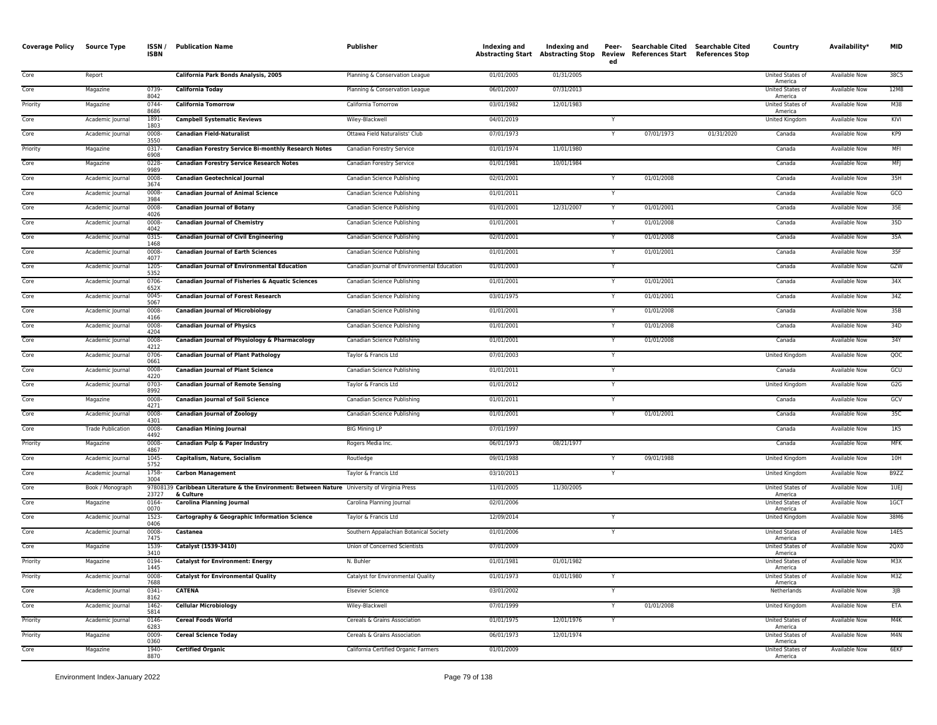| <b>Coverage Policy</b> | <b>Source Type</b>       | ISSN /<br><b>ISBN</b> | <b>Publication Name</b>                                                                                   | Publisher                                   | Indexing and | Indexing and<br><b>Abstracting Start Abstracting Stop</b> | Peer-<br>Review<br>ed | Searchable Cited Searchable Cited<br><b>References Start</b> | <b>References Stop</b> | Country                     | Availability*        | <b>MID</b>       |
|------------------------|--------------------------|-----------------------|-----------------------------------------------------------------------------------------------------------|---------------------------------------------|--------------|-----------------------------------------------------------|-----------------------|--------------------------------------------------------------|------------------------|-----------------------------|----------------------|------------------|
| Core                   | Report                   |                       | California Park Bonds Analysis, 2005                                                                      | Planning & Conservation League              | 01/01/2005   | 01/31/2005                                                |                       |                                                              |                        | United States of<br>America | <b>Available Now</b> | 38C5             |
| Core                   | Magazine                 | 0739<br>8042          | <b>California Today</b>                                                                                   | Planning & Conservation League              | 06/01/2007   | 07/31/2013                                                |                       |                                                              |                        | United States of<br>America | Available Now        | 12M8             |
| Priority               | Magazine                 | 0744<br>8686          | <b>California Tomorrow</b>                                                                                | California Tomorrow                         | 03/01/1982   | 12/01/1983                                                |                       |                                                              |                        | United States of<br>America | Available Now        | M38              |
| Core                   | Academic Journal         | 1891<br>1803          | <b>Campbell Systematic Reviews</b>                                                                        | Wiley-Blackwell                             | 04/01/2019   |                                                           |                       |                                                              |                        | United Kingdom              | Available Now        | KIVI             |
| Core                   | Academic Journal         | 0008<br>3550          | <b>Canadian Field-Naturalist</b>                                                                          | Ottawa Field Naturalists' Club              | 07/01/1973   |                                                           | Y                     | 07/01/1973                                                   | 01/31/2020             | Canada                      | Available Now        | KP9              |
| Priority               | Magazine                 | 0317<br>6908          | <b>Canadian Forestry Service Bi-monthly Research Notes</b>                                                | Canadian Forestry Service                   | 01/01/1974   | 11/01/1980                                                |                       |                                                              |                        | Canada                      | Available Now        | MFI              |
| Core                   | Magazine                 | 0228<br>9989          | <b>Canadian Forestry Service Research Notes</b>                                                           | Canadian Forestry Service                   | 01/01/1981   | 10/01/1984                                                |                       |                                                              |                        | Canada                      | <b>Available Now</b> | MFJ              |
| Core                   | Academic Journal         | 0008<br>3674          | <b>Canadian Geotechnical lournal</b>                                                                      | Canadian Science Publishing                 | 02/01/2001   |                                                           | Y                     | 01/01/2008                                                   |                        | Canada                      | Available Now        | 35H              |
| Core                   | Academic Journal         | 0008<br>3984          | <b>Canadian Journal of Animal Science</b>                                                                 | Canadian Science Publishing                 | 01/01/2011   |                                                           |                       |                                                              |                        | Canada                      | Available Now        | CCO              |
| Core                   | Academic Journal         | 0008<br>4026          | <b>Canadian Journal of Botany</b>                                                                         | Canadian Science Publishing                 | 01/01/2001   | 12/31/2007                                                | Y                     | 01/01/2001                                                   |                        | Canada                      | <b>Available Now</b> | 35E              |
| Core                   | Academic Journal         | 0008<br>4042          | <b>Canadian Journal of Chemistry</b>                                                                      | Canadian Science Publishing                 | 01/01/2001   |                                                           | Y                     | 01/01/2008                                                   |                        | Canada                      | Available Now        | 35D              |
| Core                   | Academic Journal         | 0315<br>1468          | <b>Canadian Journal of Civil Engineering</b>                                                              | Canadian Science Publishing                 | 02/01/2001   |                                                           | Y                     | 01/01/2008                                                   |                        | Canada                      | Available Now        | 35A              |
| Core                   | Academic Journal         | 0008<br>4077          | <b>Canadian Journal of Earth Sciences</b>                                                                 | Canadian Science Publishing                 | 01/01/2001   |                                                           | Y                     | 01/01/2001                                                   |                        | Canada                      | Available Now        | 35F              |
| Core                   | Academic Journal         | 1205<br>5352          | <b>Canadian Journal of Environmental Education</b>                                                        | Canadian Journal of Environmental Education | 01/01/2003   |                                                           | Y                     |                                                              |                        | Canada                      | Available Now        | GZW              |
| Core                   | Academic Journal         | 0706<br>652X          | <b>Canadian Journal of Fisheries &amp; Aquatic Sciences</b>                                               | Canadian Science Publishing                 | 01/01/2001   |                                                           | Y                     | 01/01/2001                                                   |                        | Canada                      | Available Now        | 34X              |
| Core                   | Academic Journal         | 0045<br>5067          | <b>Canadian Journal of Forest Research</b>                                                                | Canadian Science Publishing                 | 03/01/1975   |                                                           | Y                     | 01/01/2001                                                   |                        | Canada                      | Available Now        | 34Z              |
| Core                   | Academic Journal         | 0008<br>4166          | <b>Canadian Journal of Microbiology</b>                                                                   | Canadian Science Publishing                 | 01/01/2001   |                                                           |                       | 01/01/2008                                                   |                        | Canada                      | Available Now        | 35B              |
| Core                   | Academic Journal         | 0008<br>4204          | <b>Canadian Journal of Physics</b>                                                                        | Canadian Science Publishing                 | 01/01/2001   |                                                           |                       | 01/01/2008                                                   |                        | Canada                      | Available Now        | 34D              |
| Core                   | Academic Journal         | 0008<br>4212          | Canadian Journal of Physiology & Pharmacology                                                             | Canadian Science Publishing                 | 01/01/2001   |                                                           | Y                     | 01/01/2008                                                   |                        | Canada                      | Available Now        | 34Y              |
| Core                   | Academic Journal         | 0706<br>0661          | <b>Canadian Journal of Plant Pathology</b>                                                                | Taylor & Francis Ltd                        | 07/01/2003   |                                                           | Y                     |                                                              |                        | United Kingdom              | <b>Available Now</b> | QOC              |
| Core                   | Academic Journal         | 0008<br>4220          | <b>Canadian Journal of Plant Science</b>                                                                  | Canadian Science Publishing                 | 01/01/2011   |                                                           | $\mathsf{Y}$          |                                                              |                        | Canada                      | Available Now        | GCU              |
| Core                   | Academic Journal         | 0703<br>8992          | <b>Canadian Journal of Remote Sensing</b>                                                                 | Taylor & Francis Ltd                        | 01/01/2012   |                                                           | Y                     |                                                              |                        | <b>United Kingdom</b>       | Available Now        | G2G              |
| Core                   | Magazine                 | 0008<br>4271          | <b>Canadian Journal of Soil Science</b>                                                                   | Canadian Science Publishing                 | 01/01/2011   |                                                           | Y                     |                                                              |                        | Canada                      | Available Now        | GCV              |
| Core                   | Academic Journal         | 0008<br>4301          | <b>Canadian Journal of Zoology</b>                                                                        | Canadian Science Publishing                 | 01/01/2001   |                                                           |                       | 01/01/2001                                                   |                        | Canada                      | Available Now        | 35C              |
| Core                   | <b>Trade Publication</b> | 0008<br>4492          | <b>Canadian Mining Journal</b>                                                                            | <b>BIG Mining LP</b>                        | 07/01/1997   |                                                           |                       |                                                              |                        | Canada                      | Available Now        | 1K5              |
| Priority               | Magazine                 | 0008<br>4867          | Canadian Pulp & Paper Industry                                                                            | Rogers Media Inc.                           | 06/01/1973   | 08/21/1977                                                |                       |                                                              |                        | Canada                      | Available Now        | MFK              |
| Core                   | Academic Journal         | 1045<br>5752          | Capitalism, Nature, Socialism                                                                             | Routledge                                   | 09/01/1988   |                                                           | Y                     | 09/01/1988                                                   |                        | United Kingdom              | Available Now        | 10H              |
| Core                   | Academic Journal         | 1758-<br>3004         | <b>Carbon Management</b>                                                                                  | Taylor & Francis Ltd                        | 03/10/2013   |                                                           | Y                     |                                                              |                        | United Kingdom              | Available Now        | B9ZZ             |
| Core                   | Book / Monograph         | 23727                 | 97808139 Caribbean Literature & the Environment: Between Nature University of Virginia Press<br>& Culture |                                             | 11/01/2005   | 11/30/2005                                                |                       |                                                              |                        | United States of<br>America | Available Now        | 1UE              |
| Core                   | Magazine                 | 0164<br>0070          | <b>Carolina Planning Journal</b>                                                                          | Carolina Planning Journal                   | 02/01/2006   |                                                           |                       |                                                              |                        | United States of<br>America | Available Now        | 1GCT             |
| Core                   | Academic Journal         | 1523<br>0406          | Cartography & Geographic Information Science                                                              | Taylor & Francis Ltd                        | 12/09/2014   |                                                           |                       |                                                              |                        | United Kingdom              | Available Now        | 38M6             |
| Core                   | Academic Journal         | 0008<br>7475          | Castanea                                                                                                  | Southern Appalachian Botanical Society      | 01/01/2006   |                                                           | Y                     |                                                              |                        | United States of<br>America | Available Now        | 14E <sub>S</sub> |
| Core                   | Magazine                 | 1539<br>3410          | Catalyst (1539-3410)                                                                                      | Union of Concerned Scientists               | 07/01/2009   |                                                           |                       |                                                              |                        | United States of<br>America | Available Now        | 2QX0             |
| Priority               | Magazine                 | 0194<br>1445          | <b>Catalyst for Environment: Energy</b>                                                                   | N. Buhler                                   | 01/01/1981   | 01/01/1982                                                |                       |                                                              |                        | United States of<br>America | <b>Available Now</b> | M3X              |
| Priority               | Academic Journal         | 0008-<br>7688         | <b>Catalyst for Environmental Quality</b>                                                                 | Catalyst for Environmental Quality          | 01/01/1973   | 01/01/1980                                                | Y                     |                                                              |                        | United States of<br>America | <b>Available Now</b> | M3Z              |
| Core                   | Academic Journal         | 0341-<br>8162         | <b>CATENA</b>                                                                                             | <b>Elsevier Science</b>                     | 03/01/2002   |                                                           | Y                     |                                                              |                        | Netherlands                 | <b>Available Now</b> | $3$ JB           |
| Core                   | Academic Journal         | $1462 -$<br>5814      | <b>Cellular Microbiology</b>                                                                              | Wiley-Blackwell                             | 07/01/1999   |                                                           | Y                     | 01/01/2008                                                   |                        | United Kingdom              | Available Now        | ETA              |
| Priority               | Academic Journal         | 0146-<br>6283         | <b>Cereal Foods World</b>                                                                                 | Cereals & Grains Association                | 01/01/1975   | 12/01/1976                                                | Y                     |                                                              |                        | United States of<br>America | Available Now        | M4K              |
| Priority               | Magazine                 | 0009<br>0360          | <b>Cereal Science Today</b>                                                                               | Cereals & Grains Association                | 06/01/1973   | 12/01/1974                                                |                       |                                                              |                        | United States of<br>America | <b>Available Now</b> | M4N              |
| Core                   | Magazine                 | 1940-<br>8870         | <b>Certified Organic</b>                                                                                  | California Certified Organic Farmers        | 01/01/2009   |                                                           |                       |                                                              |                        | United States of<br>America | Available Now        | 6EKF             |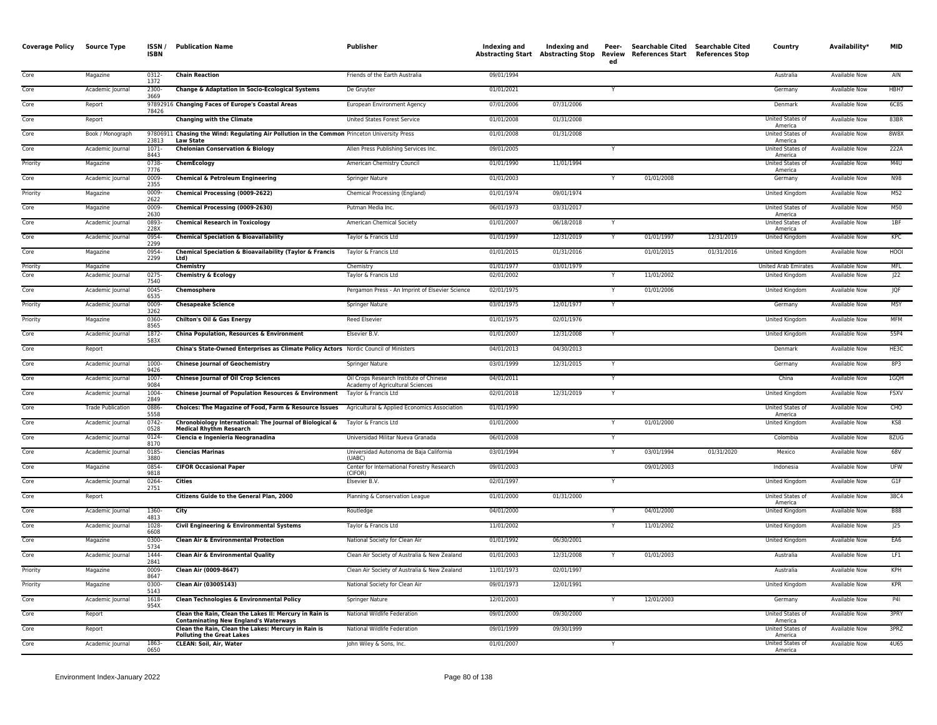| <b>Coverage Policy Source Type</b> |                              | ISSN/<br><b>ISBN</b>  | <b>Publication Name</b>                                                                                                                 | <b>Publisher</b>                                         | Indexing and             | Indexing and<br><b>Abstracting Start Abstracting Stop</b> | Peer-<br>ed | Searchable Cited Searchable Cited<br>Review References Start References Stop |            | Country                                       | Availability*                  | <b>MID</b>  |
|------------------------------------|------------------------------|-----------------------|-----------------------------------------------------------------------------------------------------------------------------------------|----------------------------------------------------------|--------------------------|-----------------------------------------------------------|-------------|------------------------------------------------------------------------------|------------|-----------------------------------------------|--------------------------------|-------------|
| Core                               | Magazine                     | 0312-<br>1372         | <b>Chain Reaction</b>                                                                                                                   | Friends of the Earth Australia                           | 09/01/1994               |                                                           |             |                                                                              |            | Australia                                     | <b>Available Now</b>           | AIN         |
| Core                               | Academic Journal             | 2300-<br>3669         | Change & Adaptation in Socio-Ecological Systems                                                                                         | De Gruyter                                               | 01/01/2021               |                                                           | Y           |                                                                              |            | Germany                                       | Available Now                  | HBH7        |
| Core                               | Report                       | 78426                 | 97892916 Changing Faces of Europe's Coastal Areas                                                                                       | European Environment Agency                              | 07/01/2006               | 07/31/2006                                                |             |                                                                              |            | Denmark                                       | Available Now                  | <b>6C8S</b> |
| Core                               | Report                       |                       | <b>Changing with the Climate</b>                                                                                                        | United States Forest Service                             | 01/01/2008               | 01/31/2008                                                |             |                                                                              |            | United States of<br>America                   | <b>Available Now</b>           | 83BR        |
| Core                               | Book / Monograph             | 23813                 | 97806911 Chasing the Wind: Regulating Air Pollution in the Common Princeton University Press<br><b>Law State</b>                        |                                                          | 01/01/2008               | 01/31/2008                                                |             |                                                                              |            | <b>United States of</b><br>America            | Available Now                  | 8W8X        |
| Core                               | Academic Journal             | $1071 -$<br>8443      | <b>Chelonian Conservation &amp; Biology</b>                                                                                             | Allen Press Publishing Services Inc.                     | 09/01/2005               |                                                           |             |                                                                              |            | United States of<br>America                   | <b>Available Now</b>           | 222A        |
| Priority                           | Magazine                     | 0738<br>7776          | ChemEcology                                                                                                                             | American Chemistry Council                               | 01/01/1990               | 11/01/1994                                                |             |                                                                              |            | United States of<br>America                   | Available Now                  | M4U         |
| Core                               | Academic Journal             | 0009<br>2355          | <b>Chemical &amp; Petroleum Engineering</b>                                                                                             | Springer Nature                                          | 01/01/2003               |                                                           | Y           | 01/01/2008                                                                   |            | Germany                                       | Available Now                  | N98         |
| Priority                           | Magazine                     | 0009-<br>2622         | Chemical Processing (0009-2622)                                                                                                         | Chemical Processing (England)                            | 01/01/1974               | 09/01/1974                                                |             |                                                                              |            | United Kingdom                                | Available Now                  | M52         |
| Core                               | Magazine                     | 0009<br>2630          | Chemical Processing (0009-2630)                                                                                                         | Putman Media Inc.                                        | 06/01/1973               | 03/31/2017                                                |             |                                                                              |            | United States of<br>America                   | <b>Available Now</b>           | M50         |
| Core                               | Academic Journal             | 0893-<br>228X         | <b>Chemical Research in Toxicology</b>                                                                                                  | American Chemical Society                                | 01/01/2007               | 06/18/2018                                                |             |                                                                              |            | United States of<br>America                   | <b>Available Now</b>           | 1BF         |
| Core                               | Academic Journal             | 0954-<br>2299         | <b>Chemical Speciation &amp; Bioavailability</b>                                                                                        | Taylor & Francis Ltd                                     | 01/01/1997               | 12/31/2019                                                |             | 01/01/1997                                                                   | 12/31/2019 | <b>United Kingdom</b>                         | <b>Available Now</b>           | KPC         |
| Core                               | Magazine                     | 0954<br>2299          | <b>Chemical Speciation &amp; Bioavailability (Taylor &amp; Francis</b><br>Ltd)                                                          | Taylor & Francis Ltd                                     | 01/01/2015               | 01/31/2016                                                |             | 01/01/2015                                                                   | 01/31/2016 | <b>United Kingdom</b>                         | <b>Available Now</b>           | HOOI        |
| Priority<br>Core                   | Magazine<br>Academic Journal | 0275-                 | Chemistry<br><b>Chemistry &amp; Ecology</b>                                                                                             | Chemistry<br>Taylor & Francis Ltd                        | 01/01/1977<br>02/01/2002 | 03/01/1979                                                | Y           | 11/01/2002                                                                   |            | <b>United Arab Emirates</b><br>United Kingdom | Available Now<br>Available Now | MFI.<br> 22 |
| Core                               | Academic Journal             | 7540<br>0045          | Chemosphere                                                                                                                             | Pergamon Press - An Imprint of Elsevier Science          | 02/01/1975               |                                                           |             | 01/01/2006                                                                   |            | United Kingdom                                | <b>Available Now</b>           | <b>JQF</b>  |
| Priority                           | Academic Journal             | 6535<br>0009          | <b>Chesapeake Science</b>                                                                                                               | Springer Nature                                          | 03/01/1975               | 12/01/1977                                                |             |                                                                              |            | Germany                                       | <b>Available Now</b>           | M5Y         |
| Priority                           | Magazine                     | 3262<br>0360-         | Chilton's Oil & Gas Energy                                                                                                              | <b>Reed Elsevier</b>                                     | 01/01/1975               | 02/01/1976                                                |             |                                                                              |            | <b>United Kingdom</b>                         | <b>Available Now</b>           | <b>MFM</b>  |
| Core                               | Academic Journal             | 8565<br>1872-         | <b>China Population, Resources &amp; Environment</b>                                                                                    | Elsevier B.V.                                            | 01/01/2007               | 12/31/2008                                                | Y           |                                                                              |            | United Kingdom                                | <b>Available Now</b>           | 55P4        |
| Core                               | Report                       | 583X                  | China's State-Owned Enterprises as Climate Policy Actors Nordic Council of Ministers                                                    |                                                          | 04/01/2013               | 04/30/2013                                                |             |                                                                              |            | Denmark                                       | Available Now                  | HE3C        |
| Core                               | Academic Journal             | 1000-                 | <b>Chinese Journal of Geochemistry</b>                                                                                                  | Springer Nature                                          | 03/01/1999               | 12/31/2015                                                |             |                                                                              |            | Germany                                       | Available Now                  | 8P3         |
| Core                               | Academic Journal             | 9426<br>1007-         | <b>Chinese Journal of Oil Crop Sciences</b>                                                                                             | Oil Crops Research Institute of Chinese                  | 04/01/2011               |                                                           | Y           |                                                                              |            | China                                         | Available Now                  | 1GQH        |
| Core                               | Academic Journal             | 9084<br>1004          | Chinese Journal of Population Resources & Environment                                                                                   | Academy of Agricultural Sciences<br>Taylor & Francis Ltd | 02/01/2018               | 12/31/2019                                                |             |                                                                              |            | United Kingdom                                | Available Now                  | <b>FSXV</b> |
| Core                               | <b>Trade Publication</b>     | 2849<br>0886          | Choices: The Magazine of Food, Farm & Resource Issues                                                                                   | Agricultural & Applied Economics Association             | 01/01/1990               |                                                           |             |                                                                              |            | United States of                              | Available Now                  | CHO         |
| Core                               | Academic Journal             | 5558<br>0742          | Chronobiology International: The Journal of Biological &<br>Medical Rhythm Research                                                     | Taylor & Francis Ltd                                     | 01/01/2000               |                                                           |             | 01/01/2000                                                                   |            | America<br>United Kingdom                     | <b>Available Now</b>           | KS8         |
| Core                               | Academic Journal             | 0528<br>0124          | Ciencia e Ingenieria Neogranadina                                                                                                       | Universidad Militar Nueva Granada                        | 06/01/2008               |                                                           | Y           |                                                                              |            | Colombia                                      | <b>Available Now</b>           | 8ZUG        |
| Core                               | Academic Journal             | 8170<br>0185-         | <b>Ciencias Marinas</b>                                                                                                                 | Universidad Autonoma de Baja California                  | 03/01/1994               |                                                           | Y           | 03/01/1994                                                                   | 01/31/2020 | Mexico                                        | Available Now                  | 68V         |
| Core                               | Magazine                     | 3880<br>0854          | <b>CIFOR Occasional Paper</b>                                                                                                           | (UABC)<br>Center for International Forestry Research     | 09/01/2003               |                                                           |             | 09/01/2003                                                                   |            | Indonesia                                     | Available Now                  | <b>UFW</b>  |
| Core                               | Academic Journal             | 9818<br>0264-         | <b>Cities</b>                                                                                                                           | (CIFOR)<br>Elsevier B.V.                                 | 02/01/1997               |                                                           | Y           |                                                                              |            | United Kingdom                                | <b>Available Now</b>           | GIF         |
| Core                               | Report                       | 2751                  | Citizens Guide to the General Plan, 2000                                                                                                | Planning & Conservation League                           | 01/01/2000               | 01/31/2000                                                |             |                                                                              |            | <b>United States of</b>                       | <b>Available Now</b>           | 38C4        |
| Core                               | Academic Journal             | 1360-                 | City                                                                                                                                    | Routledge                                                | 04/01/2000               |                                                           |             | 04/01/2000                                                                   |            | America<br><b>United Kingdom</b>              | <b>Available Now</b>           | <b>B88</b>  |
| Core                               | Academic Journal             | 4813<br>1028          | Civil Engineering & Environmental Systems                                                                                               | Taylor & Francis Ltd                                     | 11/01/2002               |                                                           |             | 11/01/2002                                                                   |            | United Kingdom                                | Available Now                  | 25          |
| Core                               | Magazine                     | 6608<br>0300          | <b>Clean Air &amp; Environmental Protection</b>                                                                                         | National Society for Clean Air                           | 01/01/1992               | 06/30/2001                                                |             |                                                                              |            | United Kingdom                                | Available Now                  | EA6         |
| Core                               | Academic Journal             | 5734<br>1444          | <b>Clean Air &amp; Environmental Quality</b>                                                                                            | Clean Air Society of Australia & New Zealand             | 01/01/2003               | 12/31/2008                                                |             | 01/01/2003                                                                   |            | Australia                                     | Available Now                  | LF1         |
| Priority                           | Magazine                     | 2841<br>0009-<br>8647 | Clean Air (0009-8647)                                                                                                                   | Clean Air Society of Australia & New Zealand             | 11/01/1973               | 02/01/1997                                                |             |                                                                              |            | Australia                                     | <b>Available Now</b>           | KPH         |
| Priority                           | Magazine                     | 0300-<br>5143         | Clean Air (03005143)                                                                                                                    | National Society for Clean Air                           | 09/01/1973               | 12/01/1991                                                |             |                                                                              |            | United Kingdom                                | <b>Available Now</b>           | KPR         |
| Core                               | Academic Journal             | 1618-<br>954X         | Clean Technologies & Environmental Policy                                                                                               | Springer Nature                                          | 12/01/2003               |                                                           |             | 12/01/2003                                                                   |            | Germany                                       | <b>Available Now</b>           | <b>P41</b>  |
| Core                               | Report                       |                       | Clean the Rain, Clean the Lakes II: Mercury in Rain is                                                                                  | National Wildlife Federation                             | 09/01/2000               | 09/30/2000                                                |             |                                                                              |            | United States of<br>America                   | <b>Available Now</b>           | 3PRY        |
| Core                               | Report                       |                       | <b>Contaminating New England's Waterways</b><br>Clean the Rain, Clean the Lakes: Mercury in Rain is<br><b>Polluting the Great Lakes</b> | National Wildlife Federation                             | 09/01/1999               | 09/30/1999                                                |             |                                                                              |            | United States o<br>America                    | Available Now                  | 3PRZ        |
| Core                               | Academic Journal             | 1863<br>0650          | <b>CLEAN: Soil, Air, Water</b>                                                                                                          | John Wiley & Sons, Inc.                                  | 01/01/2007               |                                                           |             |                                                                              |            | United States of<br>America                   | Available Now                  | 4U65        |
|                                    |                              |                       |                                                                                                                                         |                                                          |                          |                                                           |             |                                                                              |            |                                               |                                |             |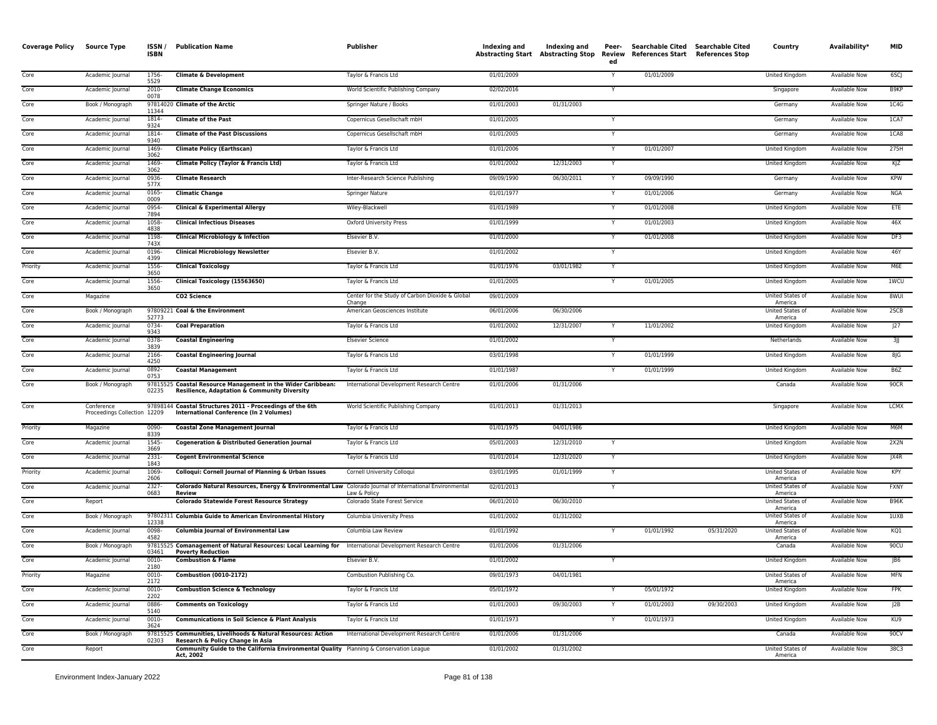| <b>Coverage Policy</b> | <b>Source Type</b>                         | ISSN/<br>ISBN     | <b>Publication Name</b>                                                                                                              | <b>Publisher</b>                                          | Indexing and | Indexing and<br>Abstracting Start Abstracting Stop | Peer-<br>Review<br>ed | Searchable Cited Searchable Cited<br>References Start References Stop |            | Country                     | Availability*        | <b>MID</b>      |
|------------------------|--------------------------------------------|-------------------|--------------------------------------------------------------------------------------------------------------------------------------|-----------------------------------------------------------|--------------|----------------------------------------------------|-----------------------|-----------------------------------------------------------------------|------------|-----------------------------|----------------------|-----------------|
| Core                   | Academic Journal                           | 1756-<br>5529     | <b>Climate &amp; Development</b>                                                                                                     | Taylor & Francis Ltd                                      | 01/01/2009   |                                                    | Y                     | 01/01/2009                                                            |            | United Kingdom              | Available Now        | 6SCJ            |
| Core                   | Academic Journal                           | 2010-<br>0078     | <b>Climate Change Economics</b>                                                                                                      | World Scientific Publishing Company                       | 02/02/2016   |                                                    |                       |                                                                       |            | Singapore                   | Available Now        | B9KP            |
| Core                   | Book / Monograph                           | 11344             | 97814020 Climate of the Arctic                                                                                                       | Springer Nature / Books                                   | 01/01/2003   | 01/31/2003                                         |                       |                                                                       |            | Germany                     | Available Now        | 1C4G            |
| Core                   | Academic Journal                           | 1814-<br>9324     | <b>Climate of the Past</b>                                                                                                           | Copernicus Gesellschaft mbH                               | 01/01/2005   |                                                    |                       |                                                                       |            | Germany                     | Available Now        | 1CA7            |
| Core                   | Academic Journal                           | 1814<br>9340      | <b>Climate of the Past Discussions</b>                                                                                               | Copernicus Gesellschaft mbH                               | 01/01/2005   |                                                    | Y                     |                                                                       |            | Germany                     | Available Now        | 1CA8            |
| Core                   | Academic Journal                           | 1469<br>3062      | <b>Climate Policy (Earthscan)</b>                                                                                                    | Taylor & Francis Ltd                                      | 01/01/2006   |                                                    | Y                     | 01/01/2007                                                            |            | United Kingdom              | <b>Available Now</b> | 275H            |
| Core                   | Academic Journal                           | 1469<br>3062      | Climate Policy (Taylor & Francis Ltd)                                                                                                | Taylor & Francis Ltd                                      | 01/01/2002   | 12/31/2003                                         |                       |                                                                       |            | United Kingdom              | <b>Available Now</b> | KJZ             |
| Core                   | Academic Journal                           | 0936<br>577X      | <b>Climate Research</b>                                                                                                              | Inter-Research Science Publishing                         | 09/09/1990   | 06/30/2011                                         |                       | 09/09/1990                                                            |            | Germany                     | Available Now        | <b>KPW</b>      |
| Core                   | Academic Journal                           | 0165<br>0009      | <b>Climatic Change</b>                                                                                                               | Springer Nature                                           | 01/01/1977   |                                                    |                       | 01/01/2006                                                            |            | Germany                     | Available Now        | NGA             |
| Core                   | Academic Journal                           | 0954<br>7894      | <b>Clinical &amp; Experimental Allergy</b>                                                                                           | Wiley-Blackwell                                           | 01/01/1989   |                                                    |                       | 01/01/2008                                                            |            | United Kingdom              | Available Now        | ETE             |
| Core                   | Academic Journal                           | 1058<br>4838      | <b>Clinical Infectious Diseases</b>                                                                                                  | <b>Oxford University Press</b>                            | 01/01/1999   |                                                    | Y                     | 01/01/2003                                                            |            | United Kingdom              | Available Now        | 46X             |
| Core                   | Academic Journal                           | 1198<br>743X      | <b>Clinical Microbiology &amp; Infection</b>                                                                                         | Elsevier B.V.                                             | 01/01/2000   |                                                    | Y                     | 01/01/2008                                                            |            | United Kingdom              | <b>Available Now</b> | DF3             |
| Core                   | Academic Journal                           | 0196<br>4399      | <b>Clinical Microbiology Newsletter</b>                                                                                              | Elsevier B.V.                                             | 01/01/2002   |                                                    |                       |                                                                       |            | United Kingdom              | Available Now        | 46Y             |
| Priority               | Academic Journal                           | 1556-<br>3650     | <b>Clinical Toxicology</b>                                                                                                           | Taylor & Francis Ltd                                      | 01/01/1976   | 03/01/1982                                         |                       |                                                                       |            | United Kingdom              | Available Now        | M6E             |
| Core                   | Academic Journal                           | 1556<br>3650      | Clinical Toxicology (15563650)                                                                                                       | Taylor & Francis Ltd                                      | 01/01/2005   |                                                    |                       | 01/01/2005                                                            |            | United Kingdom              | Available Now        | 1WCU            |
| Core                   | Magazine                                   |                   | CO <sub>2</sub> Science                                                                                                              | Center for the Study of Carbon Dioxide & Global<br>Change | 09/01/2009   |                                                    |                       |                                                                       |            | United States of<br>America | Available Now        | 8WUI            |
| Core                   | Book / Monograph                           | 52773             | 97809221 Coal & the Environment                                                                                                      | American Geosciences Institute                            | 06/01/2006   | 06/30/2006                                         |                       |                                                                       |            | United States of<br>America | Available Now        | 2SCB            |
| Core                   | Academic Journal                           | 0734<br>9343      | <b>Coal Preparation</b>                                                                                                              | Taylor & Francis Ltd                                      | 01/01/2002   | 12/31/2007                                         |                       | 11/01/2002                                                            |            | United Kingdom              | Available Now        | J27             |
| Core                   | Academic Journal                           | 0378<br>3839      | <b>Coastal Engineering</b>                                                                                                           | <b>Elsevier Science</b>                                   | 01/01/2002   |                                                    |                       |                                                                       |            | Netherlands                 | <b>Available Now</b> | 3               |
| Core                   | Academic Journal                           | 2166-<br>4250     | <b>Coastal Engineering Journal</b>                                                                                                   | Taylor & Francis Ltd                                      | 03/01/1998   |                                                    |                       | 01/01/1999                                                            |            | United Kingdom              | Available Now        | 8JG             |
| Core                   | Academic Journal                           | 0892-<br>0753     | <b>Coastal Management</b>                                                                                                            | Taylor & Francis Ltd                                      | 01/01/1987   |                                                    |                       | 01/01/1999                                                            |            | United Kingdom              | Available Now        | B6Z             |
| Core                   | Book / Monograph                           | 97815525<br>02235 | <b>Coastal Resource Management in the Wider Caribbean:</b><br><b>Resilience, Adaptation &amp; Community Diversity</b>                | International Development Research Centre                 | 01/01/2006   | 01/31/2006                                         |                       |                                                                       |            | Canada                      | Available Now        | 90CR            |
| Core                   | Conference<br>Proceedings Collection 12209 |                   | 97898144 Coastal Structures 2011 - Proceedings of the 6th<br><b>International Conference (In 2 Volumes)</b>                          | World Scientific Publishing Company                       | 01/01/2013   | 01/31/2013                                         |                       |                                                                       |            | Singapore                   | Available Now        | LCMX            |
| Priority               | Magazine                                   | 0090<br>8339      | <b>Coastal Zone Management Journal</b>                                                                                               | Taylor & Francis Ltd                                      | 01/01/1975   | 04/01/1986                                         |                       |                                                                       |            | United Kingdom              | Available Now        | M6M             |
| Core                   | Academic Journal                           | 1545<br>3669      | <b>Cogeneration &amp; Distributed Generation Journal</b>                                                                             | Taylor & Francis Ltd                                      | 05/01/2003   | 12/31/2010                                         | Y                     |                                                                       |            | United Kingdom              | Available Now        | 2X2N            |
| Core                   | Academic Journal                           | 2331<br>1843      | <b>Cogent Environmental Science</b>                                                                                                  | Taylor & Francis Ltd                                      | 01/01/2014   | 12/31/2020                                         | Y                     |                                                                       |            | United Kingdom              | Available Now        | JX4R            |
| Priority               | Academic Journal                           | 1069<br>2606      | Colloqui: Cornell Journal of Planning & Urban Issues                                                                                 | Cornell University Colloqui                               | 03/01/1995   | 01/01/1999                                         | Y                     |                                                                       |            | United States of<br>America | Available Now        | KPY             |
| Core                   | Academic Journal                           | 2327-<br>0683     | Colorado Natural Resources, Energy & Environmental Law Colorado Journal of International Environmental<br>Review                     | Law & Policy                                              | 02/01/2013   |                                                    |                       |                                                                       |            | United States of<br>America | Available Now        | FXNY            |
| Core                   | Report                                     |                   | <b>Colorado Statewide Forest Resource Strategy</b>                                                                                   | Colorado State Forest Service                             | 06/01/2010   | 06/30/2010                                         |                       |                                                                       |            | United States of<br>America | Available Now        | <b>B96K</b>     |
| Core                   | Book / Monograph                           | 12338             | 97802311 Columbia Guide to American Environmental History                                                                            | Columbia University Press                                 | 01/01/2002   | 01/31/2002                                         |                       |                                                                       |            | United States of<br>America | Available Now        | 1UXB            |
| Core                   | Academic Journal                           | 0098-<br>4582     | <b>Columbia Journal of Environmental Law</b>                                                                                         | Columbia Law Review                                       | 01/01/1992   |                                                    |                       | 01/01/1992                                                            | 05/31/2020 | United States of<br>America | Available Now        | KQ1             |
| Core                   | Book / Monograph                           | 03461             | 97815525 Comanagement of Natural Resources: Local Learning for International Development Research Centre<br><b>Poverty Reduction</b> |                                                           | 01/01/2006   | 01/31/2006                                         |                       |                                                                       |            | Canada                      | Available Now        | 90 <sub>C</sub> |
| Core                   | Academic Journal                           | 0010<br>2180      | <b>Combustion &amp; Flame</b>                                                                                                        | Elsevier B.V.                                             | 01/01/2002   |                                                    | Y                     |                                                                       |            | United Kingdom              | <b>Available Now</b> | JB6             |
| Priority               | Magazine                                   | 0010-<br>2172     | <b>Combustion (0010-2172)</b>                                                                                                        | Combustion Publishing Co.                                 | 09/01/1973   | 04/01/1981                                         |                       |                                                                       |            | United States of<br>America | Available Now        | MFN             |
| Core                   | Academic Journal                           | 0010-<br>2202     | <b>Combustion Science &amp; Technology</b>                                                                                           | Taylor & Francis Ltd                                      | 05/01/1972   |                                                    |                       | 05/01/1972                                                            |            | United Kingdom              | Available Now        | <b>FPK</b>      |
| Core                   | Academic Journal                           | 0886-<br>5140     | <b>Comments on Toxicology</b>                                                                                                        | Taylor & Francis Ltd                                      | 01/01/2003   | 09/30/2003                                         |                       | 01/01/2003                                                            | 09/30/2003 | United Kingdom              | <b>Available Now</b> | J2B             |
| Core                   | Academic Journal                           | $0010 -$<br>3624  | <b>Communications in Soil Science &amp; Plant Analysis</b>                                                                           | Taylor & Francis Ltd                                      | 01/01/1973   |                                                    | Y                     | 01/01/1973                                                            |            | United Kingdom              | Available Now        | KU9             |
| Core                   | Book / Monograph                           | 02303             | 97815525 Communities, Livelihoods & Natural Resources: Action<br>Research & Policy Change in Asia                                    | International Development Research Centre                 | 01/01/2006   | 01/31/2006                                         |                       |                                                                       |            | Canada                      | <b>Available Now</b> | 90CV            |
| Core                   | Report                                     |                   | Community Guide to the California Environmental Quality Planning & Conservation League<br>Act, 2002                                  |                                                           | 01/01/2002   | 01/31/2002                                         |                       |                                                                       |            | United States of<br>America | <b>Available Now</b> | 38C3            |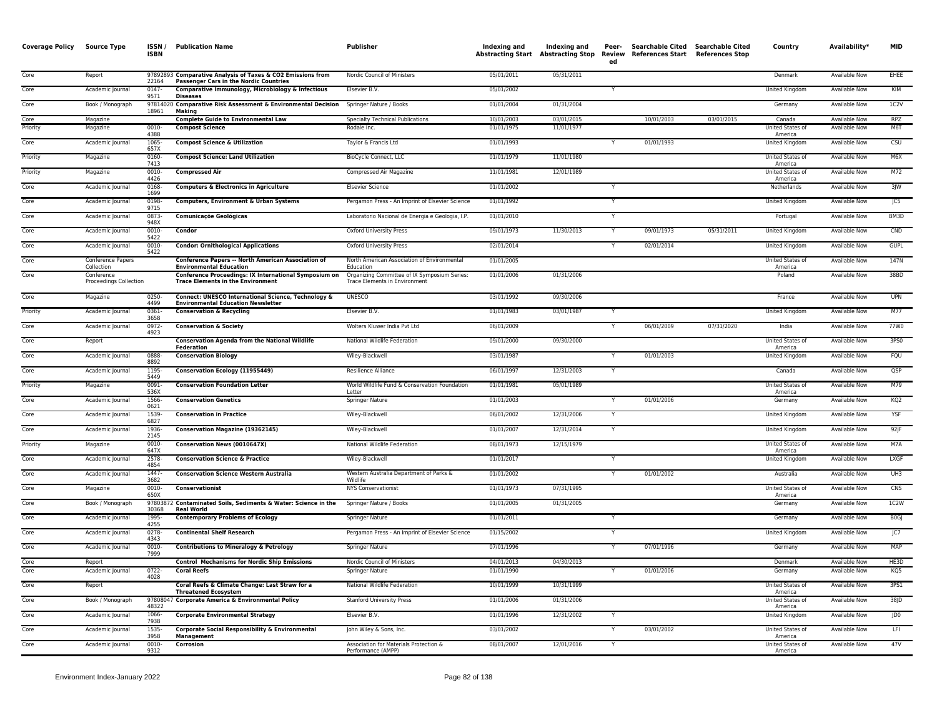| <b>Coverage Policy Source Type</b> |                                      | ISSN/<br><b>ISBN</b> | <b>Publication Name</b>                                                                                      | <b>Publisher</b>                                                                     | Indexing and | Indexing and<br><b>Abstracting Start Abstracting Stop</b> | Peer-<br>Review<br>ed | Searchable Cited Searchable Cited<br>References Start References Stop |            | Country                            | Availability*        | <b>MID</b>  |
|------------------------------------|--------------------------------------|----------------------|--------------------------------------------------------------------------------------------------------------|--------------------------------------------------------------------------------------|--------------|-----------------------------------------------------------|-----------------------|-----------------------------------------------------------------------|------------|------------------------------------|----------------------|-------------|
| Core                               | Report                               | 22164                | 97892893 Comparative Analysis of Taxes & CO2 Emissions from<br><b>Passenger Cars in the Nordic Countries</b> | Nordic Council of Ministers                                                          | 05/01/2011   | 05/31/2011                                                |                       |                                                                       |            | Denmark                            | <b>Available Now</b> | EHEE        |
| Core                               | Academic Journal                     | 0147<br>9571         | Comparative Immunology, Microbiology & Infectious<br><b>Diseases</b>                                         | Elsevier B.V.                                                                        | 05/01/2002   |                                                           |                       |                                                                       |            | <b>United Kingdom</b>              | Available Now        | KIM         |
| Core                               | Book / Monograph                     | 18961                | 97814020 Comparative Risk Assessment & Environmental Decision<br><b>Making</b>                               | Springer Nature / Books                                                              | 01/01/2004   | 01/31/2004                                                |                       |                                                                       |            | Germany                            | <b>Available Now</b> | 1C2V        |
| Core                               | Magazine                             |                      | <b>Complete Guide to Environmental Law</b>                                                                   | <b>Specialty Technical Publications</b>                                              | 10/01/2003   | 03/01/2015                                                |                       | 10/01/2003                                                            | 03/01/2015 | Canada                             | <b>Available Now</b> | <b>RPZ</b>  |
| Priority                           | Magazine                             | 0010-<br>4388        | <b>Compost Science</b>                                                                                       | Rodale Inc.                                                                          | 01/01/1975   | 11/01/1977                                                |                       |                                                                       |            | United States of<br>America        | <b>Available Now</b> | M6T         |
| Core                               | Academic Journal                     | 1065<br>657X         | <b>Compost Science &amp; Utilization</b>                                                                     | Taylor & Francis Ltd                                                                 | 01/01/1993   |                                                           |                       | 01/01/1993                                                            |            | <b>United Kingdom</b>              | <b>Available Now</b> | CSU         |
| Priority                           | Magazine                             | 0160<br>7413         | <b>Compost Science: Land Utilization</b>                                                                     | <b>BioCycle Connect, LLC</b>                                                         | 01/01/1979   | 11/01/1980                                                |                       |                                                                       |            | United States of<br>America        | Available Now        | M6X         |
| Priority                           | Magazine                             | 0010-<br>4426        | <b>Compressed Air</b>                                                                                        | Compressed Air Magazine                                                              | 11/01/1981   | 12/01/1989                                                |                       |                                                                       |            | United States of<br>America        | <b>Available Now</b> | M72         |
| Core                               | Academic Journal                     | 0168-<br>1699        | <b>Computers &amp; Electronics in Agriculture</b>                                                            | <b>Elsevier Science</b>                                                              | 01/01/2002   |                                                           |                       |                                                                       |            | Netherlands                        | <b>Available Now</b> | 3JW         |
| Core                               | Academic Journal                     | 0198<br>9715         | Computers, Environment & Urban Systems                                                                       | Pergamon Press - An Imprint of Elsevier Science                                      | 01/01/1992   |                                                           |                       |                                                                       |            | United Kingdom                     | Available Now        | JC5         |
| Core                               | Academic Journal                     | 0873<br>948X         | <b>Comunicaçõe Geológicas</b>                                                                                | Laboratorio Nacional de Energia e Geologia, I.P.                                     | 01/01/2010   |                                                           |                       |                                                                       |            | Portugal                           | Available Now        | BM3D        |
| Core                               | Academic Journal                     | 0010-<br>5422        | Condor                                                                                                       | <b>Oxford University Press</b>                                                       | 09/01/1973   | 11/30/2013                                                | Y                     | 09/01/1973                                                            | 05/31/2011 | United Kingdom                     | Available Now        | CND         |
| Core                               | Academic Journal                     | 0010<br>5422         | <b>Condor: Ornithological Applications</b>                                                                   | <b>Oxford University Press</b>                                                       | 02/01/2014   |                                                           |                       | 02/01/2014                                                            |            | <b>United Kingdom</b>              | <b>Available Now</b> | <b>GUPL</b> |
| Core                               | Conference Papers<br>Collection      |                      | <b>Conference Papers -- North American Association of</b><br><b>Environmental Education</b>                  | North American Association of Environmental<br>Education                             | 01/01/2005   |                                                           |                       |                                                                       |            | United States of<br>America        | <b>Available Now</b> | 147N        |
| Core                               | Conference<br>Proceedings Collection |                      | Conference Proceedings: IX International Symposium on<br><b>Trace Elements in the Environment</b>            | Organizing Committee of IX Symposium Series:<br><b>Trace Elements in Environment</b> | 01/01/2006   | 01/31/2006                                                |                       |                                                                       |            | Poland                             | Available Now        | 38BD        |
| Core                               | Magazine                             | 0250-<br>4499        | Connect: UNESCO International Science, Technology &<br><b>Environmental Education Newsletter</b>             | <b>UNESCO</b>                                                                        | 03/01/1992   | 09/30/2006                                                |                       |                                                                       |            | France                             | Available Now        | <b>UPN</b>  |
| Priority                           | Academic Journal                     | 0361<br>3658         | <b>Conservation &amp; Recycling</b>                                                                          | Elsevier B.V.                                                                        | 01/01/1983   | 03/01/1987                                                |                       |                                                                       |            | United Kingdom                     | Available Now        | M77         |
| Core                               | Academic Journal                     | 0972<br>4923         | <b>Conservation &amp; Society</b>                                                                            | Wolters Kluwer India Pvt Ltd                                                         | 06/01/2009   |                                                           |                       | 06/01/2009                                                            | 07/31/2020 | India                              | <b>Available Now</b> | 77W0        |
| Core                               | Report                               |                      | <b>Conservation Agenda from the National Wildlife</b><br><b>Federation</b>                                   | National Wildlife Federation                                                         | 09/01/2000   | 09/30/2000                                                |                       |                                                                       |            | United States of<br>America        | Available Now        | 3PS0        |
| Core                               | Academic Journal                     | 0888<br>8892         | <b>Conservation Biology</b>                                                                                  | Wiley-Blackwell                                                                      | 03/01/1987   |                                                           |                       | 01/01/2003                                                            |            | <b>United Kingdom</b>              | <b>Available Now</b> | FQU         |
| Core                               | Academic Journal                     | 1195<br>5449         | Conservation Ecology (11955449)                                                                              | Resilience Alliance                                                                  | 06/01/1997   | 12/31/2003                                                |                       |                                                                       |            | Canada                             | <b>Available Now</b> | QSP         |
| Priority                           | Magazine                             | 0091<br>536X         | <b>Conservation Foundation Letter</b>                                                                        | World Wildlife Fund & Conservation Foundation<br>Letter                              | 01/01/1981   | 05/01/1989                                                |                       |                                                                       |            | United States of<br>America        | Available Now        | M79         |
| Core                               | Academic Journal                     | 1566<br>0621         | <b>Conservation Genetics</b>                                                                                 | Springer Nature                                                                      | 01/01/2003   |                                                           |                       | 01/01/2006                                                            |            | Germany                            | Available Now        | KQ2         |
| Core                               | Academic Journal                     | 1539<br>6827         | <b>Conservation in Practice</b>                                                                              | Wiley-Blackwell                                                                      | 06/01/2002   | 12/31/2006                                                |                       |                                                                       |            | United Kingdom                     | Available Now        | YSF         |
| Core                               | Academic Journal                     | 1936<br>2145         | <b>Conservation Magazine (19362145)</b>                                                                      | Wiley-Blackwell                                                                      | 01/01/2007   | 12/31/2014                                                |                       |                                                                       |            | <b>United Kingdom</b>              | <b>Available Now</b> | $92$ JF     |
| Priority                           | Magazine                             | 0010<br>647X         | Conservation News (0010647X)                                                                                 | National Wildlife Federation                                                         | 08/01/1973   | 12/15/1979                                                |                       |                                                                       |            | United States of<br>America        | Available Now        | M7A         |
| Core                               | Academic Journal                     | 2578<br>4854         | <b>Conservation Science &amp; Practice</b>                                                                   | Wiley-Blackwell                                                                      | 01/01/2017   |                                                           |                       |                                                                       |            | United Kingdom                     | Available Now        | LXGF        |
| Core                               | Academic Journal                     | 1447<br>3682         | <b>Conservation Science Western Australia</b>                                                                | Western Australia Department of Parks &<br>Wildlife                                  | 01/01/2002   |                                                           |                       | 01/01/2002                                                            |            | Australia                          | <b>Available Now</b> | UH3         |
| Core                               | Magazine                             | 0010-<br>650X        | <b>Conservationist</b>                                                                                       | <b>NYS Conservationist</b>                                                           | 01/01/1973   | 07/31/1995                                                |                       |                                                                       |            | <b>United States of</b><br>America | <b>Available Now</b> | CNS         |
| Core                               | Book / Monograph                     | 30368                | 97803872 Contaminated Soils, Sediments & Water: Science in the<br><b>Real World</b>                          | Springer Nature / Books                                                              | 01/01/2005   | 01/31/2005                                                |                       |                                                                       |            | Germany                            | Available Now        | 1C2W        |
| Core                               | Academic Journal                     | 1995<br>4255         | <b>Contemporary Problems of Ecology</b>                                                                      | Springer Nature                                                                      | 01/01/2011   |                                                           |                       |                                                                       |            | Germany                            | Available Now        | <b>BOGJ</b> |
| Core                               | Academic Journal                     | 0278-<br>4343        | <b>Continental Shelf Research</b>                                                                            | Pergamon Press - An Imprint of Elsevier Science                                      | 01/15/2002   |                                                           | $\mathsf{v}$          |                                                                       |            | United Kingdom                     | <b>Available Now</b> | JC7         |
| Core                               | Academic Journal                     | 0010<br>7999         | <b>Contributions to Mineralogy &amp; Petrology</b>                                                           | Springer Nature                                                                      | 07/01/1996   |                                                           |                       | 07/01/1996                                                            |            | Germany                            | Available Now        | <b>MAP</b>  |
| Core                               | Report                               |                      | <b>Control Mechanisms for Nordic Ship Emissions</b>                                                          | Nordic Council of Ministers                                                          | 04/01/2013   | 04/30/2013                                                |                       |                                                                       |            | Denmark                            | <b>Available Now</b> | HE3D        |
| Core                               | Academic Journal                     | $0722 -$<br>4028     | <b>Coral Reefs</b>                                                                                           | Springer Nature                                                                      | 01/01/1990   |                                                           |                       | 01/01/2006                                                            |            | Germany                            | <b>Available Now</b> | KQ5         |
| Core                               | Report                               |                      | Coral Reefs & Climate Change: Last Straw for a<br><b>Threatened Ecosystem</b>                                | National Wildlife Federation                                                         | 10/01/1999   | 10/31/1999                                                |                       |                                                                       |            | United States of<br>America        | <b>Available Now</b> | 3PS1        |
| Core                               | Book / Monograph                     | 48322                | 97808047 Corporate America & Environmental Policy                                                            | <b>Stanford University Press</b>                                                     | 01/01/2006   | 01/31/2006                                                |                       |                                                                       |            | United States of<br>America        | Available Now        | $38$ JD     |
| Core                               | Academic Journal                     | 1066-<br>7938        | <b>Corporate Environmental Strategy</b>                                                                      | Elsevier B.V.                                                                        | 01/01/1996   | 12/31/2002                                                | Y                     |                                                                       |            | United Kingdom                     | Available Now        | JD0         |
| Core                               | Academic Journal                     | 1535<br>3958         | <b>Corporate Social Responsibility &amp; Environmental</b><br>Management                                     | John Wiley & Sons, Inc.                                                              | 03/01/2002   |                                                           |                       | 03/01/2002                                                            |            | <b>United States of</b><br>America | <b>Available Now</b> | LFI         |
| Core                               | Academic Journal                     | 0010<br>9312         | Corrosion                                                                                                    | Association for Materials Protection &<br>Performance (AMPP)                         | 08/01/2007   | 12/01/2016                                                |                       |                                                                       |            | United States of<br>America        | <b>Available Now</b> | 47V         |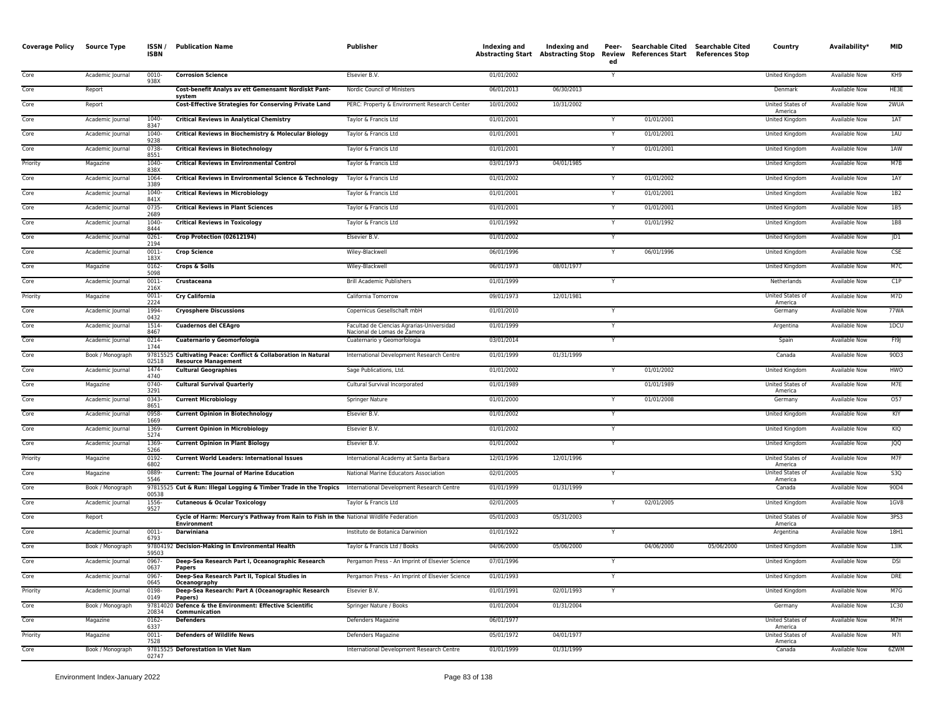| <b>Coverage Policy</b> | <b>Source Type</b> | ISSN/<br><b>ISBN</b> | <b>Publication Name</b>                                                                                      | Publisher                                                                | Indexing and | Indexing and<br><b>Abstracting Start Abstracting Stop</b> | Peer-<br>ed | Searchable Cited Searchable Cited<br>Review References Start References Stop |            | Country                            | Availability*        | <b>MID</b>      |
|------------------------|--------------------|----------------------|--------------------------------------------------------------------------------------------------------------|--------------------------------------------------------------------------|--------------|-----------------------------------------------------------|-------------|------------------------------------------------------------------------------|------------|------------------------------------|----------------------|-----------------|
| Core                   | Academic Journal   | $0010 -$<br>938X     | <b>Corrosion Science</b>                                                                                     | Elsevier B.V.                                                            | 01/01/2002   |                                                           |             |                                                                              |            | <b>United Kingdom</b>              | <b>Available Now</b> | KH9             |
| Core                   | Report             |                      | Cost-benefit Analys av ett Gemensamt Nordiskt Pant-<br>system                                                | Nordic Council of Ministers                                              | 06/01/2013   | 06/30/2013                                                |             |                                                                              |            | Denmark                            | <b>Available Now</b> | HE3E            |
| Core                   | Report             |                      | <b>Cost-Effective Strategies for Conserving Private Land</b>                                                 | PERC: Property & Environment Research Center                             | 10/01/2002   | 10/31/2002                                                |             |                                                                              |            | United States of<br>America        | <b>Available Now</b> | 2WUA            |
| Core                   | Academic Journal   | $1040 -$<br>8347     | <b>Critical Reviews in Analytical Chemistry</b>                                                              | Taylor & Francis Ltd                                                     | 01/01/2001   |                                                           |             | 01/01/2001                                                                   |            | United Kingdom                     | Available Now        | 1AT             |
| Core                   | Academic Journal   | 1040<br>9238         | Critical Reviews in Biochemistry & Molecular Biology                                                         | Taylor & Francis Ltd                                                     | 01/01/2001   |                                                           |             | 01/01/2001                                                                   |            | United Kingdom                     | Available Now        | 1AU             |
| Core                   | Academic Journal   | 0738<br>8551         | <b>Critical Reviews in Biotechnology</b>                                                                     | Taylor & Francis Ltd                                                     | 01/01/2001   |                                                           | Y           | 01/01/2001                                                                   |            | United Kingdom                     | <b>Available Now</b> | 1AW             |
| Priority               | Magazine           | 1040-<br>838>        | <b>Critical Reviews in Environmental Control</b>                                                             | Taylor & Francis Ltd                                                     | 03/01/1973   | 04/01/1985                                                |             |                                                                              |            | <b>United Kingdom</b>              | <b>Available Now</b> | MTB             |
| Core                   | Academic Journal   | 1064<br>3389         | Critical Reviews in Environmental Science & Technology                                                       | Taylor & Francis Ltd                                                     | 01/01/2002   |                                                           |             | 01/01/2002                                                                   |            | United Kingdom                     | <b>Available Now</b> | 1AY             |
| Core                   | Academic Journal   | 1040-<br>841>        | <b>Critical Reviews in Microbiology</b>                                                                      | Taylor & Francis Ltd                                                     | 01/01/2001   |                                                           |             | 01/01/2001                                                                   |            | United Kingdom                     | Available Now        | 1B2             |
| Core                   | Academic Journal   | 0735<br>2689         | <b>Critical Reviews in Plant Sciences</b>                                                                    | Taylor & Francis Ltd                                                     | 01/01/2001   |                                                           | Y           | 01/01/2001                                                                   |            | United Kingdom                     | <b>Available Now</b> | 1B5             |
| Core                   | Academic Journal   | $1040 -$<br>8444     | <b>Critical Reviews in Toxicology</b>                                                                        | Taylor & Francis Ltd                                                     | 01/01/1992   |                                                           | Y           | 01/01/1992                                                                   |            | United Kingdom                     | <b>Available Now</b> | 1B8             |
| Core                   | Academic Journal   | $0261 -$<br>2194     | Crop Protection (02612194)                                                                                   | Elsevier B.V.                                                            | 01/01/2002   |                                                           |             |                                                                              |            | United Kingdom                     | <b>Available Now</b> | JD1             |
| Core                   | Academic Journal   | $0011 -$<br>183X     | <b>Crop Science</b>                                                                                          | Wiley-Blackwell                                                          | 06/01/1996   |                                                           | Y           | 06/01/1996                                                                   |            | United Kingdom                     | Available Now        | <b>CSE</b>      |
| Core                   | Magazine           | 0162-<br>5098        | <b>Crops &amp; Soils</b>                                                                                     | Wiley-Blackwell                                                          | 06/01/1973   | 08/01/1977                                                |             |                                                                              |            | United Kingdom                     | Available Now        | M7C             |
| Core                   | Academic Journal   | 0011-<br>216         | Crustaceana                                                                                                  | <b>Brill Academic Publishers</b>                                         | 01/01/1999   |                                                           | Y           |                                                                              |            | Netherlands                        | Available Now        | C1P             |
| Priority               | Magazine           | 0011<br>2224         | <b>Cry California</b>                                                                                        | California Tomorrow                                                      | 09/01/1973   | 12/01/1981                                                |             |                                                                              |            | United States of<br>America        | Available Now        | M7D             |
| Core                   | Academic Journal   | 1994<br>0432         | <b>Cryosphere Discussions</b>                                                                                | Copernicus Gesellschaft mbH                                              | 01/01/2010   |                                                           |             |                                                                              |            | Germany                            | <b>Available Now</b> | <b>77WA</b>     |
| Core                   | Academic Journal   | 1514-<br>8467        | <b>Cuadernos del CEAgro</b>                                                                                  | Facultad de Ciencias Agrarias-Universidad<br>Nacional de Lomas de Zamora | 01/01/1999   |                                                           |             |                                                                              |            | Argentina                          | <b>Available Now</b> | 1DCU            |
| Core                   | Academic Journal   | $0214 -$<br>1744     | Cuaternario y Geomorfología                                                                                  | Cuaternario y Geomorfologia                                              | 03/01/2014   |                                                           | Υ           |                                                                              |            | Spain                              | <b>Available Now</b> | FI9J            |
| Core                   | Book / Monograph   | 02518                | 97815525 Cultivating Peace: Conflict & Collaboration in Natural<br><b>Resource Management</b>                | International Development Research Centre                                | 01/01/1999   | 01/31/1999                                                |             |                                                                              |            | Canada                             | Available Now        | 90D3            |
| Core                   | Academic Journal   | 1474<br>4740         | <b>Cultural Geographies</b>                                                                                  | Sage Publications, Ltd.                                                  | 01/01/2002   |                                                           |             | 01/01/2002                                                                   |            | United Kingdom                     | <b>Available Now</b> | HWO             |
| Core                   | Magazine           | 0740-<br>3291        | <b>Cultural Survival Quarterly</b>                                                                           | Cultural Survival Incorporated                                           | 01/01/1989   |                                                           |             | 01/01/1989                                                                   |            | United States of<br>America        | Available Now        | M7E             |
| Core                   | Academic Journal   | 0343<br>8651         | <b>Current Microbiology</b>                                                                                  | Springer Nature                                                          | 01/01/2000   |                                                           |             | 01/01/2008                                                                   |            | Germany                            | Available Now        | 057             |
| Core                   | Academic Journal   | 0958<br>1669         | <b>Current Opinion in Biotechnology</b>                                                                      | Elsevier B.V.                                                            | 01/01/2002   |                                                           |             |                                                                              |            | United Kingdom                     | <b>Available Now</b> | KIY             |
| Core                   | Academic Journal   | 1369<br>5274         | <b>Current Opinion in Microbiology</b>                                                                       | Elsevier B.V.                                                            | 01/01/2002   |                                                           |             |                                                                              |            | United Kingdom                     | Available Now        | KIQ             |
| Core                   | Academic Journal   | 1369<br>5266         | <b>Current Opinion in Plant Biology</b>                                                                      | Elsevier B.V.                                                            | 01/01/2002   |                                                           | Y           |                                                                              |            | <b>United Kingdom</b>              | <b>Available Now</b> | <b>JQQ</b>      |
| Priority               | Magazine           | $0192 -$<br>6802     | <b>Current World Leaders: International Issues</b>                                                           | International Academy at Santa Barbara                                   | 12/01/1996   | 12/01/1996                                                |             |                                                                              |            | <b>United States of</b><br>America | <b>Available Now</b> | M7F             |
| Core                   | Magazine           | 0889<br>5546         | <b>Current: The Journal of Marine Education</b>                                                              | National Marine Educators Association                                    | 02/01/2005   |                                                           | Y           |                                                                              |            | United States of<br>America        | <b>Available Now</b> | S <sub>3Q</sub> |
| Core                   | Book / Monograph   | 00538                | 97815525 Cut & Run: Illegal Logging & Timber Trade in the Tropics International Development Research Centre  |                                                                          | 01/01/1999   | 01/31/1999                                                |             |                                                                              |            | Canada                             | <b>Available Now</b> | 90D4            |
| Core                   | Academic Journal   | 1556<br>9527         | <b>Cutaneous &amp; Ocular Toxicology</b>                                                                     | Taylor & Francis Ltd                                                     | 02/01/2005   |                                                           |             | 02/01/2005                                                                   |            | United Kingdom                     | Available Now        | 1GV8            |
| Core                   | Report             |                      | Cycle of Harm: Mercury's Pathway from Rain to Fish in the National Wildlife Federation<br><b>Environment</b> |                                                                          | 05/01/2003   | 05/31/2003                                                |             |                                                                              |            | United States of<br>America        | Available Now        | 3PS3            |
| Core                   | Academic Journal   | $0011 -$<br>6793     | <b>Darwiniana</b>                                                                                            | Instituto de Botanica Darwinion                                          | 01/01/1922   |                                                           |             |                                                                              |            | Argentina                          | <b>Available Now</b> | 18H1            |
| Core                   | Book / Monograph   | 59503                | 97804192 Decision-Making in Environmental Health                                                             | Taylor & Francis Ltd / Books                                             | 04/06/2000   | 05/06/2000                                                |             | 04/06/2000                                                                   | 05/06/2000 | <b>United Kingdom</b>              | <b>Available Now</b> | 13K             |
| Core                   | Academic Journal   | 0967-<br>0637        | Deep-Sea Research Part I, Oceanographic Research<br>Papers                                                   | Pergamon Press - An Imprint of Elsevier Science                          | 07/01/1996   |                                                           |             |                                                                              |            | United Kingdom                     | Available Now        | <b>DSI</b>      |
| Core                   | Academic Journal   | 0967-<br>0645        | Deep-Sea Research Part II, Topical Studies in<br>Oceanography                                                | Pergamon Press - An Imprint of Elsevier Science                          | 01/01/1993   |                                                           |             |                                                                              |            | United Kingdom                     | <b>Available Now</b> | <b>DRE</b>      |
| Priority               | Academic Journal   | 0198<br>0149         | Deep-Sea Research: Part A (Oceanographic Research<br>Papers)                                                 | Elsevier B.V.                                                            | 01/01/1991   | 02/01/1993                                                | Y           |                                                                              |            | <b>United Kingdom</b>              | <b>Available Now</b> | M7G             |
| Core                   | Book / Monograph   | 20834                | 97814020 Defence & the Environment: Effective Scientific<br>Communication                                    | Springer Nature / Books                                                  | 01/01/2004   | 01/31/2004                                                |             |                                                                              |            | Germany                            | <b>Available Now</b> | <b>1C30</b>     |
| Core                   | Magazine           | 0162-<br>6337        | <b>Defenders</b>                                                                                             | Defenders Magazine                                                       | 06/01/1977   |                                                           |             |                                                                              |            | United States of<br>America        | Available Now        | M7H             |
| Priority               | Magazine           | $0011 -$<br>7528     | <b>Defenders of Wildlife News</b>                                                                            | Defenders Magazine                                                       | 05/01/1972   | 04/01/1977                                                |             |                                                                              |            | United States of<br>America        | Available Now        | M7I             |
| Core                   | Book / Monograph   | 02747                | 97815525 Deforestation in Viet Nam                                                                           | International Development Research Centre                                | 01/01/1999   | 01/31/1999                                                |             |                                                                              |            | Canada                             | <b>Available Now</b> | 6ZWM            |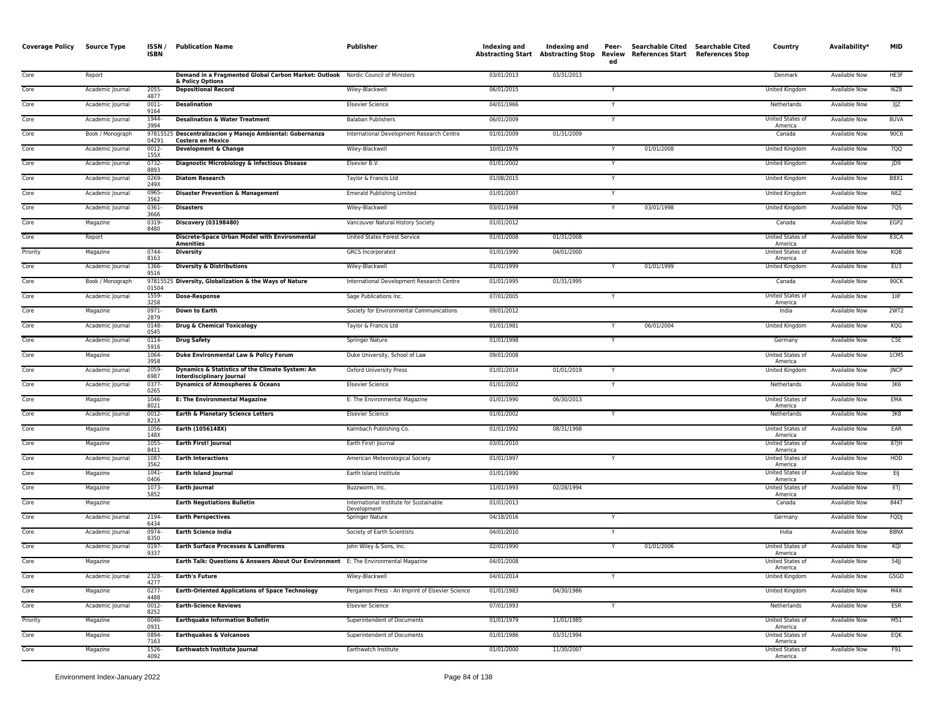| <b>Coverage Policy</b> | Source Type      | ISSN/<br><b>ISBN</b> | <b>Publication Name</b>                                                                              | Publisher                                              | Indexing and | Indexing and<br>Abstracting Start Abstracting Stop | Peer-<br>Review<br>ed | References Start References Stop | Searchable Cited Searchable Cited | Country                            | Availability*        | <b>MID</b>       |
|------------------------|------------------|----------------------|------------------------------------------------------------------------------------------------------|--------------------------------------------------------|--------------|----------------------------------------------------|-----------------------|----------------------------------|-----------------------------------|------------------------------------|----------------------|------------------|
| Core                   | Report           |                      | Demand in a Fragmented Global Carbon Market: Outlook Nordic Council of Ministers<br>& Policy Options |                                                        | 03/01/2013   | 03/31/2013                                         |                       |                                  |                                   | Denmark                            | <b>Available Now</b> | HE3F             |
| Core                   | Academic Journal | 2055<br>4877         | <b>Depositional Record</b>                                                                           | Wiley-Blackwell                                        | 06/01/2015   |                                                    |                       |                                  |                                   | <b>United Kingdom</b>              | <b>Available Now</b> | 16Z8             |
| Core                   | Academic Journal | 0011-<br>9164        | <b>Desalination</b>                                                                                  | <b>Elsevier Science</b>                                | 04/01/1966   |                                                    |                       |                                  |                                   | Netherlands                        | <b>Available Now</b> | 3JZ              |
| Core                   | Academic Journal | 1944-<br>3994        | <b>Desalination &amp; Water Treatment</b>                                                            | <b>Balaban Publishers</b>                              | 06/01/2009   |                                                    |                       |                                  |                                   | United States of<br>America        | <b>Available Now</b> | 8UVA             |
| Core                   | Book / Monograph | 04291                | 97815525 Descentralizacion y Manejo Ambiental: Gobernanza<br>Costera en Mexico                       | International Development Research Centre              | 01/01/2009   | 01/31/2009                                         |                       |                                  |                                   | Canada                             | Available Now        | 90C6             |
| Core                   | Academic Journal | 0012-<br>155X        | Development & Change                                                                                 | Wiley-Blackwell                                        | 10/01/1976   |                                                    |                       | 01/01/2008                       |                                   | United Kingdom                     | Available Now        | 7QQ              |
| Core                   | Academic Journal | 0732<br>8893         | Diagnostic Microbiology & Infectious Disease                                                         | Elsevier B.V.                                          | 01/01/2002   |                                                    |                       |                                  |                                   | <b>United Kingdom</b>              | <b>Available Now</b> | JD9              |
| Core                   | Academic Journal | 0269<br>249X         | <b>Diatom Research</b>                                                                               | Taylor & Francis Ltd                                   | 01/08/2015   |                                                    |                       |                                  |                                   | United Kingdom                     | Available Now        | <b>B8X1</b>      |
| Core                   | Academic Journal | 0965-<br>3562        | <b>Disaster Prevention &amp; Management</b>                                                          | <b>Emerald Publishing Limited</b>                      | 01/01/2007   |                                                    |                       |                                  |                                   | United Kingdom                     | Available Now        | <b>NEZ</b>       |
| Core                   | Academic Journal | $0361 -$<br>3666     | <b>Disasters</b>                                                                                     | Wiley-Blackwell                                        | 03/01/1998   |                                                    | Y                     | 03/01/1998                       |                                   | <b>United Kingdom</b>              | <b>Available Now</b> | 7QS              |
| Core                   | Magazine         | 0319<br>8480         | Discovery (03198480)                                                                                 | Vancouver Natural History Society                      | 01/01/2012   |                                                    |                       |                                  |                                   | Canada                             | <b>Available Now</b> | EGP <sub>2</sub> |
| Core                   | Report           |                      | Discrete-Space Urban Model with Environmental<br><b>Amenities</b>                                    | United States Forest Service                           | 01/01/2008   | 01/31/2008                                         |                       |                                  |                                   | United States of<br>America        | Available Now        | 83CA             |
| Priority               | Magazine         | 0744-<br>8163        | <b>Diversity</b>                                                                                     | <b>GRCS</b> Incorporated                               | 01/01/1990   | 04/01/2000                                         |                       |                                  |                                   | United States of<br>America        | <b>Available Now</b> | KQB              |
| Core                   | Academic Journal | 1366-<br>9516        | <b>Diversity &amp; Distributions</b>                                                                 | Wiley-Blackwell                                        | 01/01/1999   |                                                    |                       | 01/01/1999                       |                                   | United Kingdom                     | Available Now        | EU3              |
| Core                   | Book / Monograph | 01504                | 97815525 Diversity, Globalization & the Ways of Nature                                               | International Development Research Centre              | 01/01/1995   | 01/31/1995                                         |                       |                                  |                                   | Canada                             | Available Now        | 90CK             |
| Core                   | Academic Journal | 1559<br>3258         | <b>Dose-Response</b>                                                                                 | Sage Publications Inc.                                 | 07/01/2005   |                                                    |                       |                                  |                                   | United States of<br>America        | <b>Available Now</b> | $1$ IIF          |
| Core                   | Magazine         | $0971 -$<br>2879     | <b>Down to Earth</b>                                                                                 | Society for Environmental Communications               | 09/01/2012   |                                                    |                       |                                  |                                   | India                              | <b>Available Now</b> | 2WT2             |
| Core                   | Academic Journal | 0148<br>0545         | <b>Drug &amp; Chemical Toxicology</b>                                                                | Taylor & Francis Ltd                                   | 01/01/1981   |                                                    |                       | 06/01/2004                       |                                   | <b>United Kingdom</b>              | <b>Available Now</b> | KQG              |
| Core                   | Academic Journal | 0114<br>5916         | <b>Drug Safety</b>                                                                                   | Springer Nature                                        | 01/01/1998   |                                                    |                       |                                  |                                   | Germany                            | <b>Available Now</b> | C5E              |
| Core                   | Magazine         | 1064<br>3958         | Duke Environmental Law & Policy Forum                                                                | Duke University, School of Law                         | 09/01/2008   |                                                    |                       |                                  |                                   | United States of<br>America        | Available Now        | 1CM5             |
| Core                   | Academic Journal | 2059-<br>6987        | Dynamics & Statistics of the Climate System: An<br><b>Interdisciplinary Journal</b>                  | Oxford University Press                                | 01/01/2014   | 01/01/2019                                         | Y                     |                                  |                                   | United Kingdom                     | Available Now        | JNCP             |
| Core                   | Academic Journal | 0377<br>0265         | <b>Dynamics of Atmospheres &amp; Oceans</b>                                                          | <b>Elsevier Science</b>                                | 01/01/2002   |                                                    |                       |                                  |                                   | Netherlands                        | <b>Available Now</b> | 3K6              |
| Core                   | Magazine         | 1046<br>8021         | <b>E: The Environmental Magazine</b>                                                                 | E: The Environmental Magazine                          | 01/01/1990   | 06/30/2013                                         |                       |                                  |                                   | United States of<br>America        | <b>Available Now</b> | EMA              |
| Core                   | Academic Journal | 0012-<br>821X        | Earth & Planetary Science Letters                                                                    | <b>Elsevier Science</b>                                | 01/01/2002   |                                                    |                       |                                  |                                   | Netherlands                        | Available Now        | 3K8              |
| Core                   | Magazine         | 1056<br>148X         | Earth (1056148X)                                                                                     | Kalmbach Publishing Co.                                | 01/01/1992   | 08/31/1998                                         |                       |                                  |                                   | United States of<br>America        | <b>Available Now</b> | EAR              |
| Core                   | Magazine         | 1055<br>8411         | <b>Earth First! Journal</b>                                                                          | Earth First! Journal                                   | 03/01/2010   |                                                    |                       |                                  |                                   | United States of<br>America        | <b>Available Now</b> | $87$ JH          |
| Core                   | Academic Journal | 1087<br>3562         | <b>Earth Interactions</b>                                                                            | American Meteorological Society                        | 01/01/1997   |                                                    |                       |                                  |                                   | United States of<br>America        | <b>Available Now</b> | HOD              |
| Core                   | Magazine         | $1041 -$<br>0406     | Earth Island Journal                                                                                 | Earth Island Institute                                 | 01/01/1990   |                                                    |                       |                                  |                                   | United States of<br>America        | Available Now        | EIJ              |
| Core                   | Magazine         | 1073<br>5852         | <b>Earth Journal</b>                                                                                 | Buzzworm, Inc.                                         | 11/01/1993   | 02/28/1994                                         |                       |                                  |                                   | United States of<br>America        | Available Now        | ETJ              |
| Core                   | Magazine         |                      | <b>Earth Negotiations Bulletin</b>                                                                   | International Institute for Sustainable<br>Development | 01/01/2013   |                                                    |                       |                                  |                                   | Canada                             | <b>Available Now</b> | 844T             |
| Core                   | Academic Journal | 2194<br>6434         | <b>Earth Perspectives</b>                                                                            | Springer Nature                                        | 04/18/2016   |                                                    |                       |                                  |                                   | Germany                            | Available Now        | FQDJ             |
| Core                   | Academic Journal | 0974<br>8350         | <b>Earth Science India</b>                                                                           | Society of Earth Scientists                            | 04/01/2010   |                                                    |                       |                                  |                                   | India                              | <b>Available Now</b> | B8NX             |
| Core                   | Academic Journal | 0197<br>9337         | Earth Surface Processes & Landforms                                                                  | John Wiley & Sons, Inc.                                | 02/01/1990   |                                                    | $\mathsf{Y}$          | 01/01/2006                       |                                   | United States of<br>America        | <b>Available Now</b> | KQI              |
| Core                   | Magazine         |                      | Earth Talk: Questions & Answers About Our Environment E: The Environmental Magazine                  |                                                        | 04/01/2008   |                                                    |                       |                                  |                                   | <b>United States of</b><br>America | <b>Available Now</b> | <b>54JJ</b>      |
| Core                   | Academic Journal | 2328<br>4277         | <b>Earth's Future</b>                                                                                | Wiley-Blackwell                                        | 04/01/2014   |                                                    |                       |                                  |                                   | <b>United Kingdom</b>              | <b>Available Now</b> | G5GD             |
| Core                   | Magazine         | 0277<br>4488         | <b>Earth-Oriented Applications of Space Technology</b>                                               | Pergamon Press - An Imprint of Elsevier Science        | 01/01/1983   | 04/30/1986                                         |                       |                                  |                                   | United Kingdom                     | <b>Available Now</b> | M4X              |
| Core                   | Academic Journal | 0012<br>8252         | <b>Earth-Science Reviews</b>                                                                         | <b>Elsevier Science</b>                                | 07/01/1993   |                                                    | Y                     |                                  |                                   | Netherlands                        | Available Now        | <b>ESR</b>       |
| Priority               | Magazine         | 0046<br>0931         | <b>Earthquake Information Bulletin</b>                                                               | Superintendent of Documents                            | 01/01/1979   | 11/01/1985                                         |                       |                                  |                                   | United States of<br>America        | <b>Available Now</b> | M51              |
| Core                   | Magazine         | 0894<br>7163         | <b>Earthquakes &amp; Volcanoes</b>                                                                   | Superintendent of Documents                            | 01/01/1986   | 03/31/1994                                         |                       |                                  |                                   | United States of<br>America        | <b>Available Now</b> | EQK              |
| Core                   | Magazine         | 1526<br>4092         | Earthwatch Institute Journal                                                                         | Earthwatch Institute                                   | 01/01/2000   | 11/30/2007                                         |                       |                                  |                                   | United States of<br>America        | Available Now        | F91              |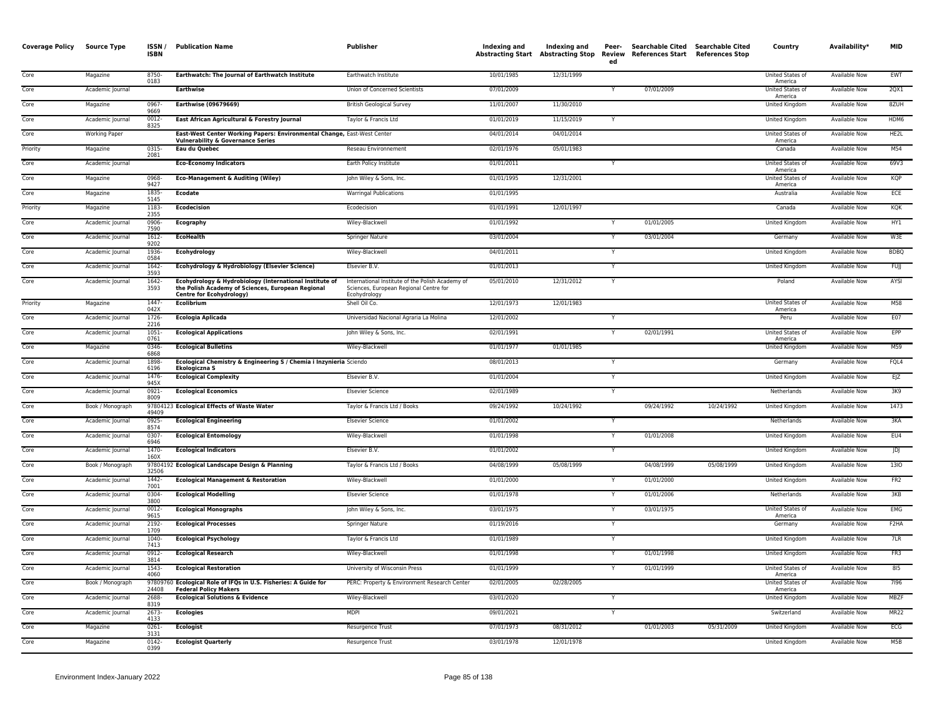| <b>Coverage Policy</b> | <b>Source Type</b> | ISSN/<br><b>ISBN</b> | <b>Publication Name</b>                                                                                                                         | Publisher                                                                                                  | Indexing and | Indexing and<br>Abstracting Start Abstracting Stop | Peer-<br>Review<br>ed | Searchable Cited Searchable Cited<br>References Start References Stop |            | Country                            | Availability*        | <b>MID</b>        |
|------------------------|--------------------|----------------------|-------------------------------------------------------------------------------------------------------------------------------------------------|------------------------------------------------------------------------------------------------------------|--------------|----------------------------------------------------|-----------------------|-----------------------------------------------------------------------|------------|------------------------------------|----------------------|-------------------|
| Core                   | Magazine           | 8750-<br>0183        | Earthwatch: The Journal of Earthwatch Institute                                                                                                 | Earthwatch Institute                                                                                       | 10/01/1985   | 12/31/1999                                         |                       |                                                                       |            | United States of<br>America        | Available Now        | EWT               |
| Core                   | Academic Journal   |                      | <b>Earthwise</b>                                                                                                                                | Union of Concerned Scientists                                                                              | 07/01/2009   |                                                    |                       | 07/01/2009                                                            |            | United States of<br>America        | Available Now        | 2QX1              |
| Core                   | Magazine           | 0967<br>9669         | Earthwise (09679669)                                                                                                                            | <b>British Geological Survey</b>                                                                           | 11/01/2007   | 11/30/2010                                         |                       |                                                                       |            | <b>United Kingdom</b>              | <b>Available Now</b> | 8ZUH              |
| Core                   | Academic Journal   | $0012 -$<br>8325     | East African Agricultural & Forestry Journal                                                                                                    | Taylor & Francis Ltd                                                                                       | 01/01/2019   | 11/15/2019                                         |                       |                                                                       |            | United Kingdom                     | <b>Available Now</b> | HDM6              |
| Core                   | Working Paper      |                      | East-West Center Working Papers: Environmental Change, East-West Center<br><b>Vulnerability &amp; Governance Series</b>                         |                                                                                                            | 04/01/2014   | 04/01/2014                                         |                       |                                                                       |            | United States of<br>America        | Available Now        | HE2L              |
| Priority               | Magazine           | 0315-<br>2081        | Eau du Quebec                                                                                                                                   | Reseau Environnement                                                                                       | 02/01/1976   | 05/01/1983                                         |                       |                                                                       |            | Canada                             | <b>Available Now</b> | M54               |
| Core                   | Academic Journal   |                      | <b>Eco-Economy Indicators</b>                                                                                                                   | Earth Policy Institute                                                                                     | 01/01/2011   |                                                    |                       |                                                                       |            | <b>United States of</b><br>America | <b>Available Now</b> | 69V3              |
| Core                   | Magazine           | 0968<br>9427         | <b>Eco-Management &amp; Auditing (Wiley)</b>                                                                                                    | John Wiley & Sons, Inc.                                                                                    | 01/01/1995   | 12/31/2001                                         |                       |                                                                       |            | <b>United States of</b><br>America | <b>Available Now</b> | <b>KQP</b>        |
| Core                   | Magazine           | 1835-<br>5145        | <b>Ecodate</b>                                                                                                                                  | <b>Warringal Publications</b>                                                                              | 01/01/1995   |                                                    |                       |                                                                       |            | Australia                          | Available Now        | ECE               |
| Priority               | Magazine           | 1183-<br>2355        | <b>Ecodecision</b>                                                                                                                              | Ecodecision                                                                                                | 01/01/1991   | 12/01/1997                                         |                       |                                                                       |            | Canada                             | <b>Available Now</b> | KQK               |
| Core                   | Academic Journal   | 0906<br>7590         | Ecography                                                                                                                                       | Wiley-Blackwell                                                                                            | 01/01/1992   |                                                    |                       | 01/01/2005                                                            |            | United Kingdom                     | Available Now        | HY1               |
| Core                   | Academic Journal   | $1612 -$<br>9202     | <b>EcoHealth</b>                                                                                                                                | <b>Springer Nature</b>                                                                                     | 03/01/2004   |                                                    |                       | 03/01/2004                                                            |            | Germany                            | <b>Available Now</b> | W3E               |
| Core                   | Academic Journal   | 1936-<br>0584        | Ecohydrology                                                                                                                                    | Wiley-Blackwell                                                                                            | 04/01/2011   |                                                    |                       |                                                                       |            | <b>United Kingdom</b>              | <b>Available Now</b> | <b>BDBQ</b>       |
| Core                   | Academic Journal   | 1642-<br>3593        | Ecohydrology & Hydrobiology (Elsevier Science)                                                                                                  | Elsevier B.V.                                                                                              | 01/01/2013   |                                                    | Y                     |                                                                       |            | United Kingdom                     | Available Now        | <b>FUJI</b>       |
| Core                   | Academic Journal   | 1642-<br>3593        | Ecohydrology & Hydrobiology (International Institute of<br>the Polish Academy of Sciences, European Regional<br><b>Centre for Ecohydrology)</b> | International Institute of the Polish Academy of<br>Sciences, European Regional Centre for<br>Ecohydrology | 05/01/2010   | 12/31/2012                                         |                       |                                                                       |            | Poland                             | Available Now        | AYSI              |
| Priority               | Magazine           | $1447 -$<br>042X     | Ecolibrium                                                                                                                                      | Shell Oil Co.                                                                                              | 12/01/1973   | 12/01/1983                                         |                       |                                                                       |            | United States of<br>America        | Available Now        | M58               |
| Core                   | Academic Journal   | 1726<br>2216         | Ecologia Aplicada                                                                                                                               | Universidad Nacional Agraria La Molina                                                                     | 12/01/2002   |                                                    |                       |                                                                       |            | Peru                               | Available Now        | E07               |
| Core                   | Academic Journal   | 1051<br>0761         | <b>Ecological Applications</b>                                                                                                                  | John Wiley & Sons, Inc.                                                                                    | 02/01/1991   |                                                    |                       | 02/01/1991                                                            |            | <b>United States of</b><br>America | Available Now        | EPP               |
| Core                   | Magazine           | 0346-<br>6868        | <b>Ecological Bulletins</b>                                                                                                                     | Wiley-Blackwell                                                                                            | 01/01/1977   | 01/01/1985                                         |                       |                                                                       |            | United Kingdom                     | <b>Available Now</b> | M59               |
| Core                   | Academic Journal   | 1898<br>6196         | Ecological Chemistry & Engineering S / Chemia i Inzynieria Sciendo<br>Ekologiczna S                                                             |                                                                                                            | 08/01/2013   |                                                    |                       |                                                                       |            | Germany                            | <b>Available Now</b> | FQL4              |
| Core                   | Academic Journal   | 1476-<br>945X        | <b>Ecological Complexity</b>                                                                                                                    | Elsevier B.V.                                                                                              | 01/01/2004   |                                                    | Y                     |                                                                       |            | United Kingdom                     | Available Now        | E/Z               |
| Core                   | Academic Journal   | 0921-<br>8009        | <b>Ecological Economics</b>                                                                                                                     | <b>Elsevier Science</b>                                                                                    | 02/01/1989   |                                                    |                       |                                                                       |            | Netherlands                        | <b>Available Now</b> | 3K9               |
| Core                   | Book / Monograph   | 49409                | 97804123 Ecological Effects of Waste Water                                                                                                      | Taylor & Francis Ltd / Books                                                                               | 09/24/1992   | 10/24/1992                                         |                       | 09/24/1992                                                            | 10/24/1992 | United Kingdom                     | Available Now        | 1473              |
| Core                   | Academic Journal   | $0925 -$<br>8574     | <b>Ecological Engineering</b>                                                                                                                   | <b>Elsevier Science</b>                                                                                    | 01/01/2002   |                                                    |                       |                                                                       |            | Netherlands                        | <b>Available Now</b> | 3KA               |
| Core                   | Academic Journal   | 0307<br>6946         | <b>Ecological Entomology</b>                                                                                                                    | Wiley-Blackwell                                                                                            | 01/01/1998   |                                                    |                       | 01/01/2008                                                            |            | United Kingdom                     | <b>Available Now</b> | EU4               |
| Core                   | Academic Journal   | 1470-<br>160X        | <b>Ecological Indicators</b>                                                                                                                    | Elsevier B.V.                                                                                              | 01/01/2002   |                                                    | Y                     |                                                                       |            | United Kingdom                     | Available Now        | JDJ               |
| Core                   | Book / Monograph   | 32506                | 97804192 Ecological Landscape Design & Planning                                                                                                 | Taylor & Francis Ltd / Books                                                                               | 04/08/1999   | 05/08/1999                                         |                       | 04/08/1999                                                            | 05/08/1999 | United Kingdom                     | Available Now        | 1310              |
| Core                   | Academic Journal   | 1442-<br>7001        | <b>Ecological Management &amp; Restoration</b>                                                                                                  | Wiley-Blackwell                                                                                            | 01/01/2000   |                                                    |                       | 01/01/2000                                                            |            | United Kingdom                     | <b>Available Now</b> | FR2               |
| Core                   | Academic Journal   | 0304-<br>3800        | <b>Ecological Modelling</b>                                                                                                                     | <b>Elsevier Science</b>                                                                                    | 01/01/1978   |                                                    |                       | 01/01/2006                                                            |            | Netherlands                        | Available Now        | 3KB               |
| Core                   | Academic Journal   | 0012-<br>9615        | <b>Ecological Monographs</b>                                                                                                                    | John Wiley & Sons, Inc.                                                                                    | 03/01/1975   |                                                    |                       | 03/01/1975                                                            |            | United States of<br>America        | Available Now        | EMG               |
| Core                   | Academic Journal   | 2192-<br>1709        | <b>Ecological Processes</b>                                                                                                                     | <b>Springer Nature</b>                                                                                     | 01/19/2016   |                                                    |                       |                                                                       |            | Germany                            | <b>Available Now</b> | F <sub>2</sub> HA |
| Core                   | Academic Journal   | 1040-<br>7413        | <b>Ecological Psychology</b>                                                                                                                    | Taylor & Francis Ltd                                                                                       | 01/01/1989   |                                                    |                       |                                                                       |            | United Kingdom                     | Available Now        | 7LR               |
| Core                   | Academic Journal   | $0912 -$<br>3814     | <b>Ecological Research</b>                                                                                                                      | Wiley-Blackwell                                                                                            | 01/01/1998   |                                                    |                       | 01/01/1998                                                            |            | <b>United Kingdom</b>              | <b>Available Now</b> | FR3               |
| Core                   | Academic Journal   | $1543-$<br>4060      | <b>Ecological Restoration</b>                                                                                                                   | University of Wisconsin Press                                                                              | 01/01/1999   |                                                    | Y                     | 01/01/1999                                                            |            | United States of<br>America        | <b>Available Now</b> | 815               |
| Core                   | Book / Monograph   | 24408                | 97809760 Ecological Role of IFQs in U.S. Fisheries: A Guide for<br><b>Federal Policy Makers</b>                                                 | PERC: Property & Environment Research Center                                                               | 02/01/2005   | 02/28/2005                                         |                       |                                                                       |            | <b>United States of</b><br>America | <b>Available Now</b> | 7196              |
| Core                   | Academic Journal   | 2688<br>8319         | <b>Ecological Solutions &amp; Evidence</b>                                                                                                      | Wiley-Blackwell                                                                                            | 03/01/2020   |                                                    |                       |                                                                       |            | United Kingdom                     | Available Now        | <b>MBZF</b>       |
| Core                   | Academic Journal   | $2673-$<br>4133      | <b>Ecologies</b>                                                                                                                                | <b>MDPI</b>                                                                                                | 09/01/2021   |                                                    | Y                     |                                                                       |            | Switzerland                        | <b>Available Now</b> | <b>MR22</b>       |
| Core                   | Magazine           | 0261<br>3131         | <b>Ecologist</b>                                                                                                                                | Resurgence Trust                                                                                           | 07/01/1973   | 08/31/2012                                         |                       | 01/01/2003                                                            | 05/31/2009 | United Kingdom                     | Available Now        | ECG               |
| Core                   | Magazine           | 0142-<br>0399        | <b>Ecologist Quarterly</b>                                                                                                                      | Resurgence Trust                                                                                           | 03/01/1978   | 12/01/1978                                         |                       |                                                                       |            | United Kingdom                     | Available Now        | M5B               |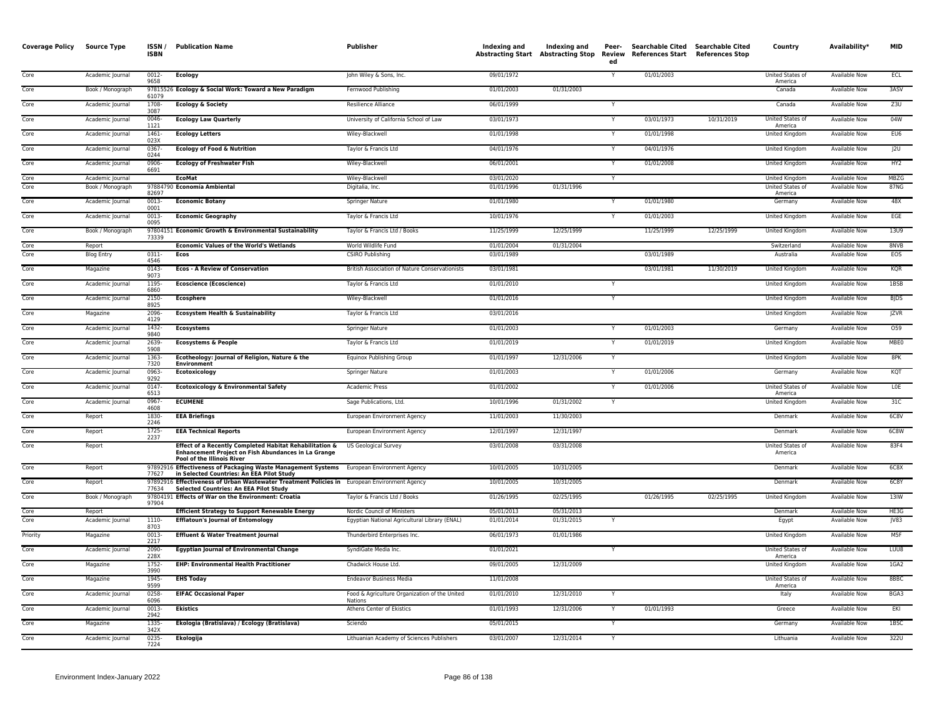| <b>Coverage Policy Source Type</b> |                   | ISSN/<br><b>ISBN</b> | <b>Publication Name</b>                                                                                                                             | Publisher                                                | Indexing and | Indexing and<br>Abstracting Start Abstracting Stop Review | Peer-<br>ed | Searchable Cited Searchable Cited<br>References Start References Stop |            | Country                     | Availability*        | MID             |
|------------------------------------|-------------------|----------------------|-----------------------------------------------------------------------------------------------------------------------------------------------------|----------------------------------------------------------|--------------|-----------------------------------------------------------|-------------|-----------------------------------------------------------------------|------------|-----------------------------|----------------------|-----------------|
| Core                               | Academic Journal  | 0012-<br>9658        | <b>Ecology</b>                                                                                                                                      | John Wiley & Sons, Inc.                                  | 09/01/1972   |                                                           |             | 01/01/2003                                                            |            | United States of<br>America | <b>Available Now</b> | ECL             |
| Core                               | Book / Monograph  | 61079                | 97815526 Ecology & Social Work: Toward a New Paradigm                                                                                               | Fernwood Publishing                                      | 01/01/2003   | 01/31/2003                                                |             |                                                                       |            | Canada                      | Available Now        | 3ASV            |
| Core                               | Academic Journal  | 1708<br>3087         | <b>Ecology &amp; Society</b>                                                                                                                        | <b>Resilience Alliance</b>                               | 06/01/1999   |                                                           |             |                                                                       |            | Canada                      | <b>Available Now</b> | Z3U             |
| Core                               | Academic Journal  | 0046<br>1121         | <b>Ecology Law Quarterly</b>                                                                                                                        | University of California School of Law                   | 03/01/1973   |                                                           |             | 03/01/1973                                                            | 10/31/2019 | United States of<br>America | Available Now        | 04W             |
| Core                               | Academic Journal  | 1461<br>023X         | <b>Ecology Letters</b>                                                                                                                              | Wiley-Blackwell                                          | 01/01/1998   |                                                           |             | 01/01/1998                                                            |            | United Kingdom              | Available Now        | EU6             |
| Core                               | Academic Journal  | 0367<br>0244         | <b>Ecology of Food &amp; Nutrition</b>                                                                                                              | Taylor & Francis Ltd                                     | 04/01/1976   |                                                           |             | 04/01/1976                                                            |            | United Kingdom              | Available Now        | J2U             |
| Core                               | Academic Journal  | 0906<br>6691         | <b>Ecology of Freshwater Fish</b>                                                                                                                   | Wiley-Blackwell                                          | 06/01/2001   |                                                           |             | 01/01/2008                                                            |            | <b>United Kingdom</b>       | <b>Available Now</b> | HY2             |
| Core                               | Academic Journal  |                      | <b>EcoMat</b>                                                                                                                                       | Wiley-Blackwell                                          | 03/01/2020   |                                                           |             |                                                                       |            | United Kingdom              | <b>Available Now</b> | MBZG            |
| Core                               | Book / Monograph  | 82697                | 97884790 Economía Ambiental                                                                                                                         | Digitalia, Inc.                                          | 01/01/1996   | 01/31/1996                                                |             |                                                                       |            | United States of<br>America | <b>Available Now</b> | 87NG            |
| Core                               | Academic Journal  | 0013<br>0001         | <b>Economic Botany</b>                                                                                                                              | Springer Nature                                          | 01/01/1980   |                                                           |             | 01/01/1980                                                            |            | Germany                     | Available Now        | 48X             |
| Core                               | Academic Journal  | $0013 -$<br>0095     | <b>Economic Geography</b>                                                                                                                           | Taylor & Francis Ltd                                     | 10/01/1976   |                                                           | $\vee$      | 01/01/2003                                                            |            | <b>United Kingdom</b>       | <b>Available Now</b> | EGE             |
| Core                               | Book / Monograph  | 73339                | 97804151 Economic Growth & Environmental Sustainability                                                                                             | Taylor & Francis Ltd / Books                             | 11/25/1999   | 12/25/1999                                                |             | 11/25/1999                                                            | 12/25/1999 | United Kingdom              | Available Now        | <b>13U9</b>     |
| Core                               | Report            |                      | <b>Economic Values of the World's Wetlands</b>                                                                                                      | World Wildlife Fund                                      | 01/01/2004   | 01/31/2004                                                |             |                                                                       |            | Switzerland                 | <b>Available Now</b> | 8NVB            |
| Core                               | <b>Blog Entry</b> | $0311 -$<br>4546     | Ecos                                                                                                                                                | <b>CSIRO Publishing</b>                                  | 03/01/1989   |                                                           |             | 03/01/1989                                                            |            | Australia                   | Available Now        | EOS             |
| Core                               | Magazine          | 0143-<br>9073        | <b>Ecos - A Review of Conservation</b>                                                                                                              | British Association of Nature Conservationists           | 03/01/1981   |                                                           |             | 03/01/1981                                                            | 11/30/2019 | United Kingdom              | Available Now        | KQR             |
| Core                               | Academic Journal  | 1195-<br>6860        | <b>Ecoscience (Ecoscience)</b>                                                                                                                      | Taylor & Francis Ltd                                     | 01/01/2010   |                                                           |             |                                                                       |            | United Kingdom              | <b>Available Now</b> | 1BSB            |
| Core                               | Academic Journal  | 2150-<br>8925        | <b>Ecosphere</b>                                                                                                                                    | Wiley-Blackwell                                          | 01/01/2016   |                                                           |             |                                                                       |            | United Kingdom              | <b>Available Now</b> | <b>BJDS</b>     |
| Core                               | Magazine          | 2096<br>4129         | <b>Ecosystem Health &amp; Sustainability</b>                                                                                                        | Taylor & Francis Ltd                                     | 03/01/2016   |                                                           |             |                                                                       |            | <b>United Kingdom</b>       | <b>Available Now</b> | <b>JZVR</b>     |
| Core                               | Academic Journal  | 1432<br>9840         | <b>Ecosystems</b>                                                                                                                                   | Springer Nature                                          | 01/01/2003   |                                                           |             | 01/01/2003                                                            |            | Germany                     | Available Now        | 059             |
| Core                               | Academic Journal  | 2639<br>5908         | <b>Ecosystems &amp; People</b>                                                                                                                      | Taylor & Francis Ltd                                     | 01/01/2019   |                                                           |             | 01/01/2019                                                            |            | United Kingdom              | <b>Available Now</b> | <b>MBE0</b>     |
| Core                               | Academic Journal  | 1363-<br>7320        | Ecotheology: Journal of Religion, Nature & the<br><b>Environment</b>                                                                                | Equinox Publishing Group                                 | 01/01/1997   | 12/31/2006                                                |             |                                                                       |            | <b>United Kingdom</b>       | <b>Available Now</b> | 8PK             |
| Core                               | Academic Journal  | 0963<br>9292         | Ecotoxicology                                                                                                                                       | Springer Nature                                          | 01/01/2003   |                                                           |             | 01/01/2006                                                            |            | Germany                     | <b>Available Now</b> | KQT             |
| Core                               | Academic Journal  | 0147-<br>6513        | <b>Ecotoxicology &amp; Environmental Safety</b>                                                                                                     | <b>Academic Press</b>                                    | 01/01/2002   |                                                           |             | 01/01/2006                                                            |            | United States of<br>America | <b>Available Now</b> | <b>LOE</b>      |
| Core                               | Academic Journal  | 0967<br>4608         | <b>ECUMENE</b>                                                                                                                                      | Sage Publications, Ltd.                                  | 10/01/1996   | 01/31/2002                                                |             |                                                                       |            | United Kingdom              | <b>Available Now</b> | 31C             |
| Core                               | Report            | 1830<br>2246         | <b>EEA Briefings</b>                                                                                                                                | European Environment Agency                              | 11/01/2003   | 11/30/2003                                                |             |                                                                       |            | Denmark                     | <b>Available Now</b> | 6C8V            |
| Core                               | Report            | 1725-<br>2237        | <b>EEA Technical Reports</b>                                                                                                                        | European Environment Agency                              | 12/01/1997   | 12/31/1997                                                |             |                                                                       |            | Denmark                     | Available Now        | 6C8W            |
| Core                               | Report            |                      | Effect of a Recently Completed Habitat Rehabilitation &<br><b>Enhancement Project on Fish Abundances in La Grange</b><br>Pool of the Illinois River | <b>US Geological Survey</b>                              | 03/01/2008   | 03/31/2008                                                |             |                                                                       |            | United States of<br>America | Available Now        | 83F4            |
| Core                               | Report            | 77627                | 97892916 Effectiveness of Packaging Waste Management Systems European Environment Agency<br>in Selected Countries: An EEA Pilot Study               |                                                          | 10/01/2005   | 10/31/2005                                                |             |                                                                       |            | Denmark                     | <b>Available Now</b> | 6C8X            |
| Core                               | Report            | 77634                | 97892916 Effectiveness of Urban Wastewater Treatment Policies in European Environment Agency<br>Selected Countries: An EEA Pilot Study              |                                                          | 10/01/2005   | 10/31/2005                                                |             |                                                                       |            | Denmark                     | Available Now        | 6C8Y            |
| Core                               | Book / Monograph  | 97904                | 97804191 Effects of War on the Environment: Croatia                                                                                                 | Taylor & Francis Ltd / Books                             | 01/26/1995   | 02/25/1995                                                |             | 01/26/1995                                                            | 02/25/1995 | United Kingdom              | Available Now        | 13W             |
| Core                               | Report            |                      | <b>Efficient Strategy to Support Renewable Energy</b>                                                                                               | Nordic Council of Ministers                              | 05/01/2013   | 05/31/2013                                                |             |                                                                       |            | Denmark                     | Available Now        | HE3G            |
| Core                               | Academic Journal  | 1110-<br>8703        | <b>Efflatoun's Journal of Entomology</b>                                                                                                            | Egyptian National Agricultural Library (ENAL)            | 01/01/2014   | 01/31/2015                                                |             |                                                                       |            | Egypt                       | <b>Available Now</b> | V83             |
| Priority                           | Magazine          | 0013<br>2217         | Effluent & Water Treatment Journal                                                                                                                  | Thunderbird Enterprises Inc.                             | 06/01/1973   | 01/01/1986                                                |             |                                                                       |            | <b>United Kingdom</b>       | Available Now        | M <sub>5F</sub> |
| Core                               | Academic Journal  | 2090-<br>228X        | <b>Egyptian Journal of Environmental Change</b>                                                                                                     | SyndiGate Media Inc.                                     | 01/01/2021   |                                                           | Y           |                                                                       |            | United States of<br>America | Available Now        | LUU8            |
| Core                               | Magazine          | 1752<br>3990         | <b>EHP: Environmental Health Practitioner</b>                                                                                                       | Chadwick House Ltd.                                      | 09/01/2005   | 12/31/2009                                                |             |                                                                       |            | United Kingdom              | <b>Available Now</b> | 1GA2            |
| Core                               | Magazine          | 1945-<br>9599        | <b>EHS Today</b>                                                                                                                                    | <b>Endeavor Business Media</b>                           | 11/01/2008   |                                                           |             |                                                                       |            | United States of<br>America | <b>Available Now</b> | 8BBC            |
| Core                               | Academic Journal  | 0258<br>6096         | <b>EIFAC Occasional Paper</b>                                                                                                                       | Food & Agriculture Organization of the United<br>Nations | 01/01/2010   | 12/31/2010                                                |             |                                                                       |            | Italy                       | Available Now        | BGA3            |
| Core                               | Academic Journal  | 0013<br>2942         | <b>Ekistics</b>                                                                                                                                     | Athens Center of Ekistics                                | 01/01/1993   | 12/31/2006                                                |             | 01/01/1993                                                            |            | Greece                      | Available Now        | EKI             |
| Core                               | Magazine          | 1335<br>342X         | Ekologia (Bratislava) / Ecology (Bratislava)                                                                                                        | Sciendo                                                  | 05/01/2015   |                                                           |             |                                                                       |            | Germany                     | <b>Available Now</b> | 1BSC            |
| Core                               | Academic Journal  | 0235-<br>7224        | <b>Ekologija</b>                                                                                                                                    | Lithuanian Academy of Sciences Publishers                | 03/01/2007   | 12/31/2014                                                |             |                                                                       |            | Lithuania                   | <b>Available Now</b> | 322U            |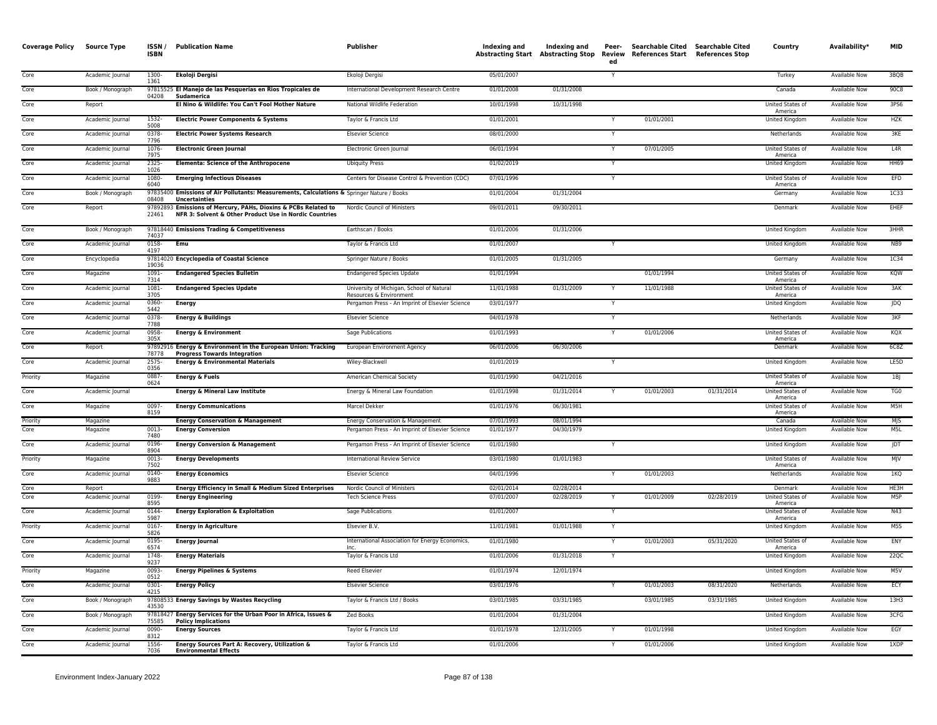| 1300-<br><b>Ekoloji Dergisi</b><br>05/01/2007<br>3BQB<br>Core<br>Academic Journal<br>Ekoloji Dergisi<br>Turkey<br><b>Available Now</b><br>1361<br>Core<br>Book / Monograph<br>97815525 El Manejo de las Pesquerias en Rios Tropicales de<br>International Development Research Centre<br>01/01/2008<br>01/31/2008<br>Canada<br><b>Available Now</b><br>90C8<br>04208<br>Sudamerica<br>Core<br>Report<br>El Nino & Wildlife: You Can't Fool Mother Nature<br>National Wildlife Federation<br>10/01/1998<br>10/31/1998<br><b>United States of</b><br><b>Available Now</b><br>3PS6<br>America<br>01/01/2001<br>01/01/2001<br>Core<br>1532-<br><b>Electric Power Components &amp; Systems</b><br>Taylor & Francis Ltd<br>United Kingdom<br><b>Available Now</b><br><b>HZK</b><br>Academic Journal<br>5008<br>0378<br>3KE<br>Core<br>Academic Journal<br><b>Electric Power Systems Research</b><br><b>Elsevier Science</b><br>08/01/2000<br>Netherlands<br>Available Now<br>7796<br>L4R<br>Core<br>Academic Journal<br>1076<br><b>Electronic Green Journal</b><br>Electronic Green Journal<br>06/01/1994<br>07/01/2005<br>United States of<br><b>Available Now</b><br>Y<br>7975<br>America<br>Core<br>2325<br><b>Elementa: Science of the Anthropocene</b><br>01/02/2019<br><b>United Kingdom</b><br><b>HH69</b><br>Academic Journal<br><b>Ubiquity Press</b><br>Available Now<br>1026<br>Core<br>Academic Journal<br>1080<br><b>Emerging Infectious Diseases</b><br>Centers for Disease Control & Prevention (CDC)<br>07/01/1996<br>United States of<br><b>Available Now</b><br>EFD<br>6040<br>America<br>Core<br>Book / Monograph<br>97835400 Emissions of Air Pollutants: Measurements, Calculations & Springer Nature / Books<br>01/01/2004<br>01/31/2004<br>Germany<br><b>Available Now</b><br>1C33<br>08408<br>Uncertainties<br>97892893 Emissions of Mercury, PAHs, Dioxins & PCBs Related to<br>09/01/2011<br>09/30/2011<br>EHEF<br>Nordic Council of Ministers<br>Available Now<br>Core<br>Report<br>Denmark<br>NFR 3: Solvent & Other Product Use in Nordic Countries<br>22461<br>Core<br>Book / Monograph<br>97818440 Emissions Trading & Competitiveness<br>Earthscan / Books<br>01/01/2006<br>01/31/2006<br><b>United Kingdom</b><br><b>Available Now</b><br>3HHR<br>74037<br>Core<br>Academic Journal<br>0158-<br>Emu<br>Taylor & Francis Ltd<br>01/01/2007<br><b>United Kingdom</b><br><b>Available Now</b><br>NB9<br>4197<br>Core<br>Encyclopedia<br>97814020 Encyclopedia of Coastal Science<br>Springer Nature / Books<br>01/01/2005<br>01/31/2005<br>Available Now<br>1C34<br>Germany<br>19036<br>1091<br>01/01/1994<br>01/01/1994<br>KQW<br>Core<br>Magazine<br><b>Endangered Species Bulletin</b><br><b>Endangered Species Update</b><br><b>United States of</b><br><b>Available Now</b><br>7314<br>America<br>11/01/1988<br>3AK<br>Core<br>$1081 -$<br>University of Michigan, School of Natural<br>11/01/1988<br>01/31/2009<br>Academic Journal<br><b>Endangered Species Update</b><br>United States of<br>Available Now<br>3705<br>Resources & Environment<br>America<br>0360-<br>03/01/1977<br><b>JDQ</b><br>Core<br>Academic Journal<br><b>Energy</b><br>Pergamon Press - An Imprint of Elsevier Science<br>United Kingdom<br>Available Now<br>5442<br>Academic Journal<br>0378-<br><b>Energy &amp; Buildings</b><br>04/01/1978<br>Netherlands<br>Available Now<br>3KF<br>Core<br><b>Elsevier Science</b><br>7788<br>Core<br>0958<br><b>Energy &amp; Environment</b><br>01/01/1993<br>01/01/2006<br>United States of<br>KQX<br>Academic Journal<br>Sage Publications<br>Available Now<br>305X<br>America<br>Core<br>Report<br>97892916 Energy & Environment in the European Union: Tracking<br>European Environment Agency<br>06/01/2006<br>06/30/2006<br>Denmark<br><b>Available Now</b><br>6C8Z<br>78778<br><b>Progress Towards Integration</b><br>Core<br>$2575-$<br><b>Energy &amp; Environmental Materials</b><br>Wiley-Blackwell<br>01/01/2019<br><b>United Kingdom</b><br><b>Available Now</b><br>LE5D<br>Academic Journal<br>0356<br><b>Energy &amp; Fuels</b><br>01/01/1990<br>04/21/2016<br>Priority<br>Magazine<br>0887<br>American Chemical Society<br><b>United States of</b><br><b>Available Now</b><br>1B<br>0624<br>America<br><b>Energy &amp; Mineral Law Institute</b><br>01/01/1998<br>01/31/2014<br>01/01/2003<br>01/31/2014<br>Core<br>Academic Journal<br>Energy & Mineral Law Foundation<br>United States of<br>Available Now<br>TG <sub>0</sub><br>America<br>0097-<br>United States of<br>M5H<br>Core<br>Magazine<br><b>Energy Communications</b><br>Marcel Dekker<br>01/01/1976<br>06/30/1981<br><b>Available Now</b><br>8159<br>America<br>Magazine<br><b>Energy Conservation &amp; Management</b><br>Energy Conservation & Management<br>07/01/1993<br>08/01/1994<br><b>Available Now</b><br>M S<br>Priority<br>Canada<br>M <sub>5L</sub><br>Core<br>Magazine<br>0013<br><b>Energy Conversion</b><br>Pergamon Press - An Imprint of Elsevier Science<br>01/01/1977<br>04/30/1979<br>United Kingdom<br><b>Available Now</b><br>7480<br>Core<br>Academic Journal<br>0196<br><b>Energy Conversion &amp; Management</b><br>Pergamon Press - An Imprint of Elsevier Science<br>01/01/1980<br><b>United Kingdom</b><br><b>Available Now</b><br><b>JDT</b><br>8904<br>Priority<br>$0013 -$<br><b>Energy Developments</b><br>International Review Service<br>03/01/1980<br>01/01/1983<br><b>United States of</b><br><b>Available Now</b><br>MJV<br>Magazine<br>7502<br>America<br>$0140 -$<br>04/01/1996<br>01/01/2003<br><b>Energy Economics</b><br>Netherlands<br>Available Now<br>1KQ<br>Core<br>Academic Journal<br><b>Elsevier Science</b><br>9883<br>02/28/2014<br>Energy Efficiency in Small & Medium Sized Enterprises<br>Nordic Council of Ministers<br>02/01/2014<br><b>Available Now</b><br>HE3H<br>Core<br>Report<br>Denmark<br>02/28/2019<br>Core<br>Academic Journal<br>0199<br><b>Tech Science Press</b><br>07/01/2007<br>02/28/2019<br>01/01/2009<br>United States of<br><b>Available Now</b><br>M <sub>5</sub> P<br><b>Energy Engineering</b><br>8595<br>America<br>Core<br>Academic Journal<br><b>Energy Exploration &amp; Exploitation</b><br>Sage Publications<br>01/01/2007<br>United States of<br><b>Available Now</b><br>N43<br>0144<br>5987<br>America<br>Priority<br>Academic Journal<br>0167<br><b>Energy in Agriculture</b><br>11/01/1981<br>01/01/1988<br>United Kingdom<br>Available Now<br>M5S<br><b>Elsevier B.V.</b><br>5826<br>0195<br>International Association for Energy Economics,<br>01/01/1980<br>01/01/2003<br>05/31/2020<br>United States of<br><b>Available Now</b><br>ENY<br>Core<br>Academic Journal<br><b>Energy Journal</b><br>6574<br>Inc.<br>America<br>01/01/2006<br>01/31/2018<br>Core<br>1748<br><b>Energy Materials</b><br>Taylor & Francis Ltd<br><b>United Kingdom</b><br><b>Available Now</b><br>22QC<br>Academic Journal<br>9237<br>12/01/1974<br>M5V<br>Priority<br>0093<br><b>Energy Pipelines &amp; Systems</b><br>01/01/1974<br>United Kingdom<br>Available Now<br>Magazine<br>Reed Elsevier<br>0512<br>08/31/2020<br>ECY<br>Core<br>Academic Journal<br>0301-<br><b>Energy Policy</b><br><b>Elsevier Science</b><br>03/01/1976<br>01/01/2003<br>Netherlands<br>Available Now<br>4215<br>Core<br>97808533 Energy Savings by Wastes Recycling<br>03/01/1985<br>03/31/1985<br>03/01/1985<br>03/31/1985<br>13H3<br>Book / Monograph<br>Taylor & Francis Ltd / Books<br>United Kingdom<br>Available Now<br>43530 | <b>Coverage Policy</b> | Source Type | ISSN/<br><b>ISBN</b> | <b>Publication Name</b> | Publisher | Indexing and | Indexing and<br>Abstracting Start Abstracting Stop Review | Peer-<br>ed | Searchable Cited<br>References Start References Stop | <b>Searchable Cited</b> | Country | Availability* | <b>MID</b> |
|-------------------------------------------------------------------------------------------------------------------------------------------------------------------------------------------------------------------------------------------------------------------------------------------------------------------------------------------------------------------------------------------------------------------------------------------------------------------------------------------------------------------------------------------------------------------------------------------------------------------------------------------------------------------------------------------------------------------------------------------------------------------------------------------------------------------------------------------------------------------------------------------------------------------------------------------------------------------------------------------------------------------------------------------------------------------------------------------------------------------------------------------------------------------------------------------------------------------------------------------------------------------------------------------------------------------------------------------------------------------------------------------------------------------------------------------------------------------------------------------------------------------------------------------------------------------------------------------------------------------------------------------------------------------------------------------------------------------------------------------------------------------------------------------------------------------------------------------------------------------------------------------------------------------------------------------------------------------------------------------------------------------------------------------------------------------------------------------------------------------------------------------------------------------------------------------------------------------------------------------------------------------------------------------------------------------------------------------------------------------------------------------------------------------------------------------------------------------------------------------------------------------------------------------------------------------------------------------------------------------------------------------------------------------------------------------------------------------------------------------------------------------------------------------------------------------------------------------------------------------------------------------------------------------------------------------------------------------------------------------------------------------------------------------------------------------------------------------------------------------------------------------------------------------------------------------------------------------------------------------------------------------------------------------------------------------------------------------------------------------------------------------------------------------------------------------------------------------------------------------------------------------------------------------------------------------------------------------------------------------------------------------------------------------------------------------------------------------------------------------------------------------------------------------------------------------------------------------------------------------------------------------------------------------------------------------------------------------------------------------------------------------------------------------------------------------------------------------------------------------------------------------------------------------------------------------------------------------------------------------------------------------------------------------------------------------------------------------------------------------------------------------------------------------------------------------------------------------------------------------------------------------------------------------------------------------------------------------------------------------------------------------------------------------------------------------------------------------------------------------------------------------------------------------------------------------------------------------------------------------------------------------------------------------------------------------------------------------------------------------------------------------------------------------------------------------------------------------------------------------------------------------------------------------------------------------------------------------------------------------------------------------------------------------------------------------------------------------------------------------------------------------------------------------------------------------------------------------------------------------------------------------------------------------------------------------------------------------------------------------------------------------------------------------------------------------------------------------------------------------------------------------------------------------------------------------------------------------------------------------------------------------------------------------------------------------------------------------------------------------------------------------------------------------------------------------------------------------------------------------------------------------------------------------------------------------------------------------------------------------------------------------------------------------------------------------------------------------------------------------------------------------------------------------------------------------------------------------------------------------------------------------------------------------------------------------------------------------------------------------------------------------------------------------------------------------------------------------------------------------------------------------------------------------------------------------------------------------------------------------------------------------------------------------------------------------------------------------------------------------------------------------------------------------------------------------------------------------------------------------------------------------------------------------------------------------------------------------------------------------------------------------------------------------------------------------------------------------------------------------------------------------------------------------------------------------------------------------------------------------------------------------|------------------------|-------------|----------------------|-------------------------|-----------|--------------|-----------------------------------------------------------|-------------|------------------------------------------------------|-------------------------|---------|---------------|------------|
|                                                                                                                                                                                                                                                                                                                                                                                                                                                                                                                                                                                                                                                                                                                                                                                                                                                                                                                                                                                                                                                                                                                                                                                                                                                                                                                                                                                                                                                                                                                                                                                                                                                                                                                                                                                                                                                                                                                                                                                                                                                                                                                                                                                                                                                                                                                                                                                                                                                                                                                                                                                                                                                                                                                                                                                                                                                                                                                                                                                                                                                                                                                                                                                                                                                                                                                                                                                                                                                                                                                                                                                                                                                                                                                                                                                                                                                                                                                                                                                                                                                                                                                                                                                                                                                                                                                                                                                                                                                                                                                                                                                                                                                                                                                                                                                                                                                                                                                                                                                                                                                                                                                                                                                                                                                                                                                                                                                                                                                                                                                                                                                                                                                                                                                                                                                                                                                                                                                                                                                                                                                                                                                                                                                                                                                                                                                                                                                                                                                                                                                                                                                                                                                                                                                                                                                                                                                                                                                                                                                                                                                                                                                                                                                                                                                                                                                                                                                                                                                                                                                   |                        |             |                      |                         |           |              |                                                           |             |                                                      |                         |         |               |            |
|                                                                                                                                                                                                                                                                                                                                                                                                                                                                                                                                                                                                                                                                                                                                                                                                                                                                                                                                                                                                                                                                                                                                                                                                                                                                                                                                                                                                                                                                                                                                                                                                                                                                                                                                                                                                                                                                                                                                                                                                                                                                                                                                                                                                                                                                                                                                                                                                                                                                                                                                                                                                                                                                                                                                                                                                                                                                                                                                                                                                                                                                                                                                                                                                                                                                                                                                                                                                                                                                                                                                                                                                                                                                                                                                                                                                                                                                                                                                                                                                                                                                                                                                                                                                                                                                                                                                                                                                                                                                                                                                                                                                                                                                                                                                                                                                                                                                                                                                                                                                                                                                                                                                                                                                                                                                                                                                                                                                                                                                                                                                                                                                                                                                                                                                                                                                                                                                                                                                                                                                                                                                                                                                                                                                                                                                                                                                                                                                                                                                                                                                                                                                                                                                                                                                                                                                                                                                                                                                                                                                                                                                                                                                                                                                                                                                                                                                                                                                                                                                                                                   |                        |             |                      |                         |           |              |                                                           |             |                                                      |                         |         |               |            |
|                                                                                                                                                                                                                                                                                                                                                                                                                                                                                                                                                                                                                                                                                                                                                                                                                                                                                                                                                                                                                                                                                                                                                                                                                                                                                                                                                                                                                                                                                                                                                                                                                                                                                                                                                                                                                                                                                                                                                                                                                                                                                                                                                                                                                                                                                                                                                                                                                                                                                                                                                                                                                                                                                                                                                                                                                                                                                                                                                                                                                                                                                                                                                                                                                                                                                                                                                                                                                                                                                                                                                                                                                                                                                                                                                                                                                                                                                                                                                                                                                                                                                                                                                                                                                                                                                                                                                                                                                                                                                                                                                                                                                                                                                                                                                                                                                                                                                                                                                                                                                                                                                                                                                                                                                                                                                                                                                                                                                                                                                                                                                                                                                                                                                                                                                                                                                                                                                                                                                                                                                                                                                                                                                                                                                                                                                                                                                                                                                                                                                                                                                                                                                                                                                                                                                                                                                                                                                                                                                                                                                                                                                                                                                                                                                                                                                                                                                                                                                                                                                                                   |                        |             |                      |                         |           |              |                                                           |             |                                                      |                         |         |               |            |
|                                                                                                                                                                                                                                                                                                                                                                                                                                                                                                                                                                                                                                                                                                                                                                                                                                                                                                                                                                                                                                                                                                                                                                                                                                                                                                                                                                                                                                                                                                                                                                                                                                                                                                                                                                                                                                                                                                                                                                                                                                                                                                                                                                                                                                                                                                                                                                                                                                                                                                                                                                                                                                                                                                                                                                                                                                                                                                                                                                                                                                                                                                                                                                                                                                                                                                                                                                                                                                                                                                                                                                                                                                                                                                                                                                                                                                                                                                                                                                                                                                                                                                                                                                                                                                                                                                                                                                                                                                                                                                                                                                                                                                                                                                                                                                                                                                                                                                                                                                                                                                                                                                                                                                                                                                                                                                                                                                                                                                                                                                                                                                                                                                                                                                                                                                                                                                                                                                                                                                                                                                                                                                                                                                                                                                                                                                                                                                                                                                                                                                                                                                                                                                                                                                                                                                                                                                                                                                                                                                                                                                                                                                                                                                                                                                                                                                                                                                                                                                                                                                                   |                        |             |                      |                         |           |              |                                                           |             |                                                      |                         |         |               |            |
|                                                                                                                                                                                                                                                                                                                                                                                                                                                                                                                                                                                                                                                                                                                                                                                                                                                                                                                                                                                                                                                                                                                                                                                                                                                                                                                                                                                                                                                                                                                                                                                                                                                                                                                                                                                                                                                                                                                                                                                                                                                                                                                                                                                                                                                                                                                                                                                                                                                                                                                                                                                                                                                                                                                                                                                                                                                                                                                                                                                                                                                                                                                                                                                                                                                                                                                                                                                                                                                                                                                                                                                                                                                                                                                                                                                                                                                                                                                                                                                                                                                                                                                                                                                                                                                                                                                                                                                                                                                                                                                                                                                                                                                                                                                                                                                                                                                                                                                                                                                                                                                                                                                                                                                                                                                                                                                                                                                                                                                                                                                                                                                                                                                                                                                                                                                                                                                                                                                                                                                                                                                                                                                                                                                                                                                                                                                                                                                                                                                                                                                                                                                                                                                                                                                                                                                                                                                                                                                                                                                                                                                                                                                                                                                                                                                                                                                                                                                                                                                                                                                   |                        |             |                      |                         |           |              |                                                           |             |                                                      |                         |         |               |            |
|                                                                                                                                                                                                                                                                                                                                                                                                                                                                                                                                                                                                                                                                                                                                                                                                                                                                                                                                                                                                                                                                                                                                                                                                                                                                                                                                                                                                                                                                                                                                                                                                                                                                                                                                                                                                                                                                                                                                                                                                                                                                                                                                                                                                                                                                                                                                                                                                                                                                                                                                                                                                                                                                                                                                                                                                                                                                                                                                                                                                                                                                                                                                                                                                                                                                                                                                                                                                                                                                                                                                                                                                                                                                                                                                                                                                                                                                                                                                                                                                                                                                                                                                                                                                                                                                                                                                                                                                                                                                                                                                                                                                                                                                                                                                                                                                                                                                                                                                                                                                                                                                                                                                                                                                                                                                                                                                                                                                                                                                                                                                                                                                                                                                                                                                                                                                                                                                                                                                                                                                                                                                                                                                                                                                                                                                                                                                                                                                                                                                                                                                                                                                                                                                                                                                                                                                                                                                                                                                                                                                                                                                                                                                                                                                                                                                                                                                                                                                                                                                                                                   |                        |             |                      |                         |           |              |                                                           |             |                                                      |                         |         |               |            |
|                                                                                                                                                                                                                                                                                                                                                                                                                                                                                                                                                                                                                                                                                                                                                                                                                                                                                                                                                                                                                                                                                                                                                                                                                                                                                                                                                                                                                                                                                                                                                                                                                                                                                                                                                                                                                                                                                                                                                                                                                                                                                                                                                                                                                                                                                                                                                                                                                                                                                                                                                                                                                                                                                                                                                                                                                                                                                                                                                                                                                                                                                                                                                                                                                                                                                                                                                                                                                                                                                                                                                                                                                                                                                                                                                                                                                                                                                                                                                                                                                                                                                                                                                                                                                                                                                                                                                                                                                                                                                                                                                                                                                                                                                                                                                                                                                                                                                                                                                                                                                                                                                                                                                                                                                                                                                                                                                                                                                                                                                                                                                                                                                                                                                                                                                                                                                                                                                                                                                                                                                                                                                                                                                                                                                                                                                                                                                                                                                                                                                                                                                                                                                                                                                                                                                                                                                                                                                                                                                                                                                                                                                                                                                                                                                                                                                                                                                                                                                                                                                                                   |                        |             |                      |                         |           |              |                                                           |             |                                                      |                         |         |               |            |
|                                                                                                                                                                                                                                                                                                                                                                                                                                                                                                                                                                                                                                                                                                                                                                                                                                                                                                                                                                                                                                                                                                                                                                                                                                                                                                                                                                                                                                                                                                                                                                                                                                                                                                                                                                                                                                                                                                                                                                                                                                                                                                                                                                                                                                                                                                                                                                                                                                                                                                                                                                                                                                                                                                                                                                                                                                                                                                                                                                                                                                                                                                                                                                                                                                                                                                                                                                                                                                                                                                                                                                                                                                                                                                                                                                                                                                                                                                                                                                                                                                                                                                                                                                                                                                                                                                                                                                                                                                                                                                                                                                                                                                                                                                                                                                                                                                                                                                                                                                                                                                                                                                                                                                                                                                                                                                                                                                                                                                                                                                                                                                                                                                                                                                                                                                                                                                                                                                                                                                                                                                                                                                                                                                                                                                                                                                                                                                                                                                                                                                                                                                                                                                                                                                                                                                                                                                                                                                                                                                                                                                                                                                                                                                                                                                                                                                                                                                                                                                                                                                                   |                        |             |                      |                         |           |              |                                                           |             |                                                      |                         |         |               |            |
|                                                                                                                                                                                                                                                                                                                                                                                                                                                                                                                                                                                                                                                                                                                                                                                                                                                                                                                                                                                                                                                                                                                                                                                                                                                                                                                                                                                                                                                                                                                                                                                                                                                                                                                                                                                                                                                                                                                                                                                                                                                                                                                                                                                                                                                                                                                                                                                                                                                                                                                                                                                                                                                                                                                                                                                                                                                                                                                                                                                                                                                                                                                                                                                                                                                                                                                                                                                                                                                                                                                                                                                                                                                                                                                                                                                                                                                                                                                                                                                                                                                                                                                                                                                                                                                                                                                                                                                                                                                                                                                                                                                                                                                                                                                                                                                                                                                                                                                                                                                                                                                                                                                                                                                                                                                                                                                                                                                                                                                                                                                                                                                                                                                                                                                                                                                                                                                                                                                                                                                                                                                                                                                                                                                                                                                                                                                                                                                                                                                                                                                                                                                                                                                                                                                                                                                                                                                                                                                                                                                                                                                                                                                                                                                                                                                                                                                                                                                                                                                                                                                   |                        |             |                      |                         |           |              |                                                           |             |                                                      |                         |         |               |            |
|                                                                                                                                                                                                                                                                                                                                                                                                                                                                                                                                                                                                                                                                                                                                                                                                                                                                                                                                                                                                                                                                                                                                                                                                                                                                                                                                                                                                                                                                                                                                                                                                                                                                                                                                                                                                                                                                                                                                                                                                                                                                                                                                                                                                                                                                                                                                                                                                                                                                                                                                                                                                                                                                                                                                                                                                                                                                                                                                                                                                                                                                                                                                                                                                                                                                                                                                                                                                                                                                                                                                                                                                                                                                                                                                                                                                                                                                                                                                                                                                                                                                                                                                                                                                                                                                                                                                                                                                                                                                                                                                                                                                                                                                                                                                                                                                                                                                                                                                                                                                                                                                                                                                                                                                                                                                                                                                                                                                                                                                                                                                                                                                                                                                                                                                                                                                                                                                                                                                                                                                                                                                                                                                                                                                                                                                                                                                                                                                                                                                                                                                                                                                                                                                                                                                                                                                                                                                                                                                                                                                                                                                                                                                                                                                                                                                                                                                                                                                                                                                                                                   |                        |             |                      |                         |           |              |                                                           |             |                                                      |                         |         |               |            |
|                                                                                                                                                                                                                                                                                                                                                                                                                                                                                                                                                                                                                                                                                                                                                                                                                                                                                                                                                                                                                                                                                                                                                                                                                                                                                                                                                                                                                                                                                                                                                                                                                                                                                                                                                                                                                                                                                                                                                                                                                                                                                                                                                                                                                                                                                                                                                                                                                                                                                                                                                                                                                                                                                                                                                                                                                                                                                                                                                                                                                                                                                                                                                                                                                                                                                                                                                                                                                                                                                                                                                                                                                                                                                                                                                                                                                                                                                                                                                                                                                                                                                                                                                                                                                                                                                                                                                                                                                                                                                                                                                                                                                                                                                                                                                                                                                                                                                                                                                                                                                                                                                                                                                                                                                                                                                                                                                                                                                                                                                                                                                                                                                                                                                                                                                                                                                                                                                                                                                                                                                                                                                                                                                                                                                                                                                                                                                                                                                                                                                                                                                                                                                                                                                                                                                                                                                                                                                                                                                                                                                                                                                                                                                                                                                                                                                                                                                                                                                                                                                                                   |                        |             |                      |                         |           |              |                                                           |             |                                                      |                         |         |               |            |
|                                                                                                                                                                                                                                                                                                                                                                                                                                                                                                                                                                                                                                                                                                                                                                                                                                                                                                                                                                                                                                                                                                                                                                                                                                                                                                                                                                                                                                                                                                                                                                                                                                                                                                                                                                                                                                                                                                                                                                                                                                                                                                                                                                                                                                                                                                                                                                                                                                                                                                                                                                                                                                                                                                                                                                                                                                                                                                                                                                                                                                                                                                                                                                                                                                                                                                                                                                                                                                                                                                                                                                                                                                                                                                                                                                                                                                                                                                                                                                                                                                                                                                                                                                                                                                                                                                                                                                                                                                                                                                                                                                                                                                                                                                                                                                                                                                                                                                                                                                                                                                                                                                                                                                                                                                                                                                                                                                                                                                                                                                                                                                                                                                                                                                                                                                                                                                                                                                                                                                                                                                                                                                                                                                                                                                                                                                                                                                                                                                                                                                                                                                                                                                                                                                                                                                                                                                                                                                                                                                                                                                                                                                                                                                                                                                                                                                                                                                                                                                                                                                                   |                        |             |                      |                         |           |              |                                                           |             |                                                      |                         |         |               |            |
|                                                                                                                                                                                                                                                                                                                                                                                                                                                                                                                                                                                                                                                                                                                                                                                                                                                                                                                                                                                                                                                                                                                                                                                                                                                                                                                                                                                                                                                                                                                                                                                                                                                                                                                                                                                                                                                                                                                                                                                                                                                                                                                                                                                                                                                                                                                                                                                                                                                                                                                                                                                                                                                                                                                                                                                                                                                                                                                                                                                                                                                                                                                                                                                                                                                                                                                                                                                                                                                                                                                                                                                                                                                                                                                                                                                                                                                                                                                                                                                                                                                                                                                                                                                                                                                                                                                                                                                                                                                                                                                                                                                                                                                                                                                                                                                                                                                                                                                                                                                                                                                                                                                                                                                                                                                                                                                                                                                                                                                                                                                                                                                                                                                                                                                                                                                                                                                                                                                                                                                                                                                                                                                                                                                                                                                                                                                                                                                                                                                                                                                                                                                                                                                                                                                                                                                                                                                                                                                                                                                                                                                                                                                                                                                                                                                                                                                                                                                                                                                                                                                   |                        |             |                      |                         |           |              |                                                           |             |                                                      |                         |         |               |            |
|                                                                                                                                                                                                                                                                                                                                                                                                                                                                                                                                                                                                                                                                                                                                                                                                                                                                                                                                                                                                                                                                                                                                                                                                                                                                                                                                                                                                                                                                                                                                                                                                                                                                                                                                                                                                                                                                                                                                                                                                                                                                                                                                                                                                                                                                                                                                                                                                                                                                                                                                                                                                                                                                                                                                                                                                                                                                                                                                                                                                                                                                                                                                                                                                                                                                                                                                                                                                                                                                                                                                                                                                                                                                                                                                                                                                                                                                                                                                                                                                                                                                                                                                                                                                                                                                                                                                                                                                                                                                                                                                                                                                                                                                                                                                                                                                                                                                                                                                                                                                                                                                                                                                                                                                                                                                                                                                                                                                                                                                                                                                                                                                                                                                                                                                                                                                                                                                                                                                                                                                                                                                                                                                                                                                                                                                                                                                                                                                                                                                                                                                                                                                                                                                                                                                                                                                                                                                                                                                                                                                                                                                                                                                                                                                                                                                                                                                                                                                                                                                                                                   |                        |             |                      |                         |           |              |                                                           |             |                                                      |                         |         |               |            |
|                                                                                                                                                                                                                                                                                                                                                                                                                                                                                                                                                                                                                                                                                                                                                                                                                                                                                                                                                                                                                                                                                                                                                                                                                                                                                                                                                                                                                                                                                                                                                                                                                                                                                                                                                                                                                                                                                                                                                                                                                                                                                                                                                                                                                                                                                                                                                                                                                                                                                                                                                                                                                                                                                                                                                                                                                                                                                                                                                                                                                                                                                                                                                                                                                                                                                                                                                                                                                                                                                                                                                                                                                                                                                                                                                                                                                                                                                                                                                                                                                                                                                                                                                                                                                                                                                                                                                                                                                                                                                                                                                                                                                                                                                                                                                                                                                                                                                                                                                                                                                                                                                                                                                                                                                                                                                                                                                                                                                                                                                                                                                                                                                                                                                                                                                                                                                                                                                                                                                                                                                                                                                                                                                                                                                                                                                                                                                                                                                                                                                                                                                                                                                                                                                                                                                                                                                                                                                                                                                                                                                                                                                                                                                                                                                                                                                                                                                                                                                                                                                                                   |                        |             |                      |                         |           |              |                                                           |             |                                                      |                         |         |               |            |
|                                                                                                                                                                                                                                                                                                                                                                                                                                                                                                                                                                                                                                                                                                                                                                                                                                                                                                                                                                                                                                                                                                                                                                                                                                                                                                                                                                                                                                                                                                                                                                                                                                                                                                                                                                                                                                                                                                                                                                                                                                                                                                                                                                                                                                                                                                                                                                                                                                                                                                                                                                                                                                                                                                                                                                                                                                                                                                                                                                                                                                                                                                                                                                                                                                                                                                                                                                                                                                                                                                                                                                                                                                                                                                                                                                                                                                                                                                                                                                                                                                                                                                                                                                                                                                                                                                                                                                                                                                                                                                                                                                                                                                                                                                                                                                                                                                                                                                                                                                                                                                                                                                                                                                                                                                                                                                                                                                                                                                                                                                                                                                                                                                                                                                                                                                                                                                                                                                                                                                                                                                                                                                                                                                                                                                                                                                                                                                                                                                                                                                                                                                                                                                                                                                                                                                                                                                                                                                                                                                                                                                                                                                                                                                                                                                                                                                                                                                                                                                                                                                                   |                        |             |                      |                         |           |              |                                                           |             |                                                      |                         |         |               |            |
|                                                                                                                                                                                                                                                                                                                                                                                                                                                                                                                                                                                                                                                                                                                                                                                                                                                                                                                                                                                                                                                                                                                                                                                                                                                                                                                                                                                                                                                                                                                                                                                                                                                                                                                                                                                                                                                                                                                                                                                                                                                                                                                                                                                                                                                                                                                                                                                                                                                                                                                                                                                                                                                                                                                                                                                                                                                                                                                                                                                                                                                                                                                                                                                                                                                                                                                                                                                                                                                                                                                                                                                                                                                                                                                                                                                                                                                                                                                                                                                                                                                                                                                                                                                                                                                                                                                                                                                                                                                                                                                                                                                                                                                                                                                                                                                                                                                                                                                                                                                                                                                                                                                                                                                                                                                                                                                                                                                                                                                                                                                                                                                                                                                                                                                                                                                                                                                                                                                                                                                                                                                                                                                                                                                                                                                                                                                                                                                                                                                                                                                                                                                                                                                                                                                                                                                                                                                                                                                                                                                                                                                                                                                                                                                                                                                                                                                                                                                                                                                                                                                   |                        |             |                      |                         |           |              |                                                           |             |                                                      |                         |         |               |            |
|                                                                                                                                                                                                                                                                                                                                                                                                                                                                                                                                                                                                                                                                                                                                                                                                                                                                                                                                                                                                                                                                                                                                                                                                                                                                                                                                                                                                                                                                                                                                                                                                                                                                                                                                                                                                                                                                                                                                                                                                                                                                                                                                                                                                                                                                                                                                                                                                                                                                                                                                                                                                                                                                                                                                                                                                                                                                                                                                                                                                                                                                                                                                                                                                                                                                                                                                                                                                                                                                                                                                                                                                                                                                                                                                                                                                                                                                                                                                                                                                                                                                                                                                                                                                                                                                                                                                                                                                                                                                                                                                                                                                                                                                                                                                                                                                                                                                                                                                                                                                                                                                                                                                                                                                                                                                                                                                                                                                                                                                                                                                                                                                                                                                                                                                                                                                                                                                                                                                                                                                                                                                                                                                                                                                                                                                                                                                                                                                                                                                                                                                                                                                                                                                                                                                                                                                                                                                                                                                                                                                                                                                                                                                                                                                                                                                                                                                                                                                                                                                                                                   |                        |             |                      |                         |           |              |                                                           |             |                                                      |                         |         |               |            |
|                                                                                                                                                                                                                                                                                                                                                                                                                                                                                                                                                                                                                                                                                                                                                                                                                                                                                                                                                                                                                                                                                                                                                                                                                                                                                                                                                                                                                                                                                                                                                                                                                                                                                                                                                                                                                                                                                                                                                                                                                                                                                                                                                                                                                                                                                                                                                                                                                                                                                                                                                                                                                                                                                                                                                                                                                                                                                                                                                                                                                                                                                                                                                                                                                                                                                                                                                                                                                                                                                                                                                                                                                                                                                                                                                                                                                                                                                                                                                                                                                                                                                                                                                                                                                                                                                                                                                                                                                                                                                                                                                                                                                                                                                                                                                                                                                                                                                                                                                                                                                                                                                                                                                                                                                                                                                                                                                                                                                                                                                                                                                                                                                                                                                                                                                                                                                                                                                                                                                                                                                                                                                                                                                                                                                                                                                                                                                                                                                                                                                                                                                                                                                                                                                                                                                                                                                                                                                                                                                                                                                                                                                                                                                                                                                                                                                                                                                                                                                                                                                                                   |                        |             |                      |                         |           |              |                                                           |             |                                                      |                         |         |               |            |
|                                                                                                                                                                                                                                                                                                                                                                                                                                                                                                                                                                                                                                                                                                                                                                                                                                                                                                                                                                                                                                                                                                                                                                                                                                                                                                                                                                                                                                                                                                                                                                                                                                                                                                                                                                                                                                                                                                                                                                                                                                                                                                                                                                                                                                                                                                                                                                                                                                                                                                                                                                                                                                                                                                                                                                                                                                                                                                                                                                                                                                                                                                                                                                                                                                                                                                                                                                                                                                                                                                                                                                                                                                                                                                                                                                                                                                                                                                                                                                                                                                                                                                                                                                                                                                                                                                                                                                                                                                                                                                                                                                                                                                                                                                                                                                                                                                                                                                                                                                                                                                                                                                                                                                                                                                                                                                                                                                                                                                                                                                                                                                                                                                                                                                                                                                                                                                                                                                                                                                                                                                                                                                                                                                                                                                                                                                                                                                                                                                                                                                                                                                                                                                                                                                                                                                                                                                                                                                                                                                                                                                                                                                                                                                                                                                                                                                                                                                                                                                                                                                                   |                        |             |                      |                         |           |              |                                                           |             |                                                      |                         |         |               |            |
|                                                                                                                                                                                                                                                                                                                                                                                                                                                                                                                                                                                                                                                                                                                                                                                                                                                                                                                                                                                                                                                                                                                                                                                                                                                                                                                                                                                                                                                                                                                                                                                                                                                                                                                                                                                                                                                                                                                                                                                                                                                                                                                                                                                                                                                                                                                                                                                                                                                                                                                                                                                                                                                                                                                                                                                                                                                                                                                                                                                                                                                                                                                                                                                                                                                                                                                                                                                                                                                                                                                                                                                                                                                                                                                                                                                                                                                                                                                                                                                                                                                                                                                                                                                                                                                                                                                                                                                                                                                                                                                                                                                                                                                                                                                                                                                                                                                                                                                                                                                                                                                                                                                                                                                                                                                                                                                                                                                                                                                                                                                                                                                                                                                                                                                                                                                                                                                                                                                                                                                                                                                                                                                                                                                                                                                                                                                                                                                                                                                                                                                                                                                                                                                                                                                                                                                                                                                                                                                                                                                                                                                                                                                                                                                                                                                                                                                                                                                                                                                                                                                   |                        |             |                      |                         |           |              |                                                           |             |                                                      |                         |         |               |            |
|                                                                                                                                                                                                                                                                                                                                                                                                                                                                                                                                                                                                                                                                                                                                                                                                                                                                                                                                                                                                                                                                                                                                                                                                                                                                                                                                                                                                                                                                                                                                                                                                                                                                                                                                                                                                                                                                                                                                                                                                                                                                                                                                                                                                                                                                                                                                                                                                                                                                                                                                                                                                                                                                                                                                                                                                                                                                                                                                                                                                                                                                                                                                                                                                                                                                                                                                                                                                                                                                                                                                                                                                                                                                                                                                                                                                                                                                                                                                                                                                                                                                                                                                                                                                                                                                                                                                                                                                                                                                                                                                                                                                                                                                                                                                                                                                                                                                                                                                                                                                                                                                                                                                                                                                                                                                                                                                                                                                                                                                                                                                                                                                                                                                                                                                                                                                                                                                                                                                                                                                                                                                                                                                                                                                                                                                                                                                                                                                                                                                                                                                                                                                                                                                                                                                                                                                                                                                                                                                                                                                                                                                                                                                                                                                                                                                                                                                                                                                                                                                                                                   |                        |             |                      |                         |           |              |                                                           |             |                                                      |                         |         |               |            |
|                                                                                                                                                                                                                                                                                                                                                                                                                                                                                                                                                                                                                                                                                                                                                                                                                                                                                                                                                                                                                                                                                                                                                                                                                                                                                                                                                                                                                                                                                                                                                                                                                                                                                                                                                                                                                                                                                                                                                                                                                                                                                                                                                                                                                                                                                                                                                                                                                                                                                                                                                                                                                                                                                                                                                                                                                                                                                                                                                                                                                                                                                                                                                                                                                                                                                                                                                                                                                                                                                                                                                                                                                                                                                                                                                                                                                                                                                                                                                                                                                                                                                                                                                                                                                                                                                                                                                                                                                                                                                                                                                                                                                                                                                                                                                                                                                                                                                                                                                                                                                                                                                                                                                                                                                                                                                                                                                                                                                                                                                                                                                                                                                                                                                                                                                                                                                                                                                                                                                                                                                                                                                                                                                                                                                                                                                                                                                                                                                                                                                                                                                                                                                                                                                                                                                                                                                                                                                                                                                                                                                                                                                                                                                                                                                                                                                                                                                                                                                                                                                                                   |                        |             |                      |                         |           |              |                                                           |             |                                                      |                         |         |               |            |
|                                                                                                                                                                                                                                                                                                                                                                                                                                                                                                                                                                                                                                                                                                                                                                                                                                                                                                                                                                                                                                                                                                                                                                                                                                                                                                                                                                                                                                                                                                                                                                                                                                                                                                                                                                                                                                                                                                                                                                                                                                                                                                                                                                                                                                                                                                                                                                                                                                                                                                                                                                                                                                                                                                                                                                                                                                                                                                                                                                                                                                                                                                                                                                                                                                                                                                                                                                                                                                                                                                                                                                                                                                                                                                                                                                                                                                                                                                                                                                                                                                                                                                                                                                                                                                                                                                                                                                                                                                                                                                                                                                                                                                                                                                                                                                                                                                                                                                                                                                                                                                                                                                                                                                                                                                                                                                                                                                                                                                                                                                                                                                                                                                                                                                                                                                                                                                                                                                                                                                                                                                                                                                                                                                                                                                                                                                                                                                                                                                                                                                                                                                                                                                                                                                                                                                                                                                                                                                                                                                                                                                                                                                                                                                                                                                                                                                                                                                                                                                                                                                                   |                        |             |                      |                         |           |              |                                                           |             |                                                      |                         |         |               |            |
|                                                                                                                                                                                                                                                                                                                                                                                                                                                                                                                                                                                                                                                                                                                                                                                                                                                                                                                                                                                                                                                                                                                                                                                                                                                                                                                                                                                                                                                                                                                                                                                                                                                                                                                                                                                                                                                                                                                                                                                                                                                                                                                                                                                                                                                                                                                                                                                                                                                                                                                                                                                                                                                                                                                                                                                                                                                                                                                                                                                                                                                                                                                                                                                                                                                                                                                                                                                                                                                                                                                                                                                                                                                                                                                                                                                                                                                                                                                                                                                                                                                                                                                                                                                                                                                                                                                                                                                                                                                                                                                                                                                                                                                                                                                                                                                                                                                                                                                                                                                                                                                                                                                                                                                                                                                                                                                                                                                                                                                                                                                                                                                                                                                                                                                                                                                                                                                                                                                                                                                                                                                                                                                                                                                                                                                                                                                                                                                                                                                                                                                                                                                                                                                                                                                                                                                                                                                                                                                                                                                                                                                                                                                                                                                                                                                                                                                                                                                                                                                                                                                   |                        |             |                      |                         |           |              |                                                           |             |                                                      |                         |         |               |            |
|                                                                                                                                                                                                                                                                                                                                                                                                                                                                                                                                                                                                                                                                                                                                                                                                                                                                                                                                                                                                                                                                                                                                                                                                                                                                                                                                                                                                                                                                                                                                                                                                                                                                                                                                                                                                                                                                                                                                                                                                                                                                                                                                                                                                                                                                                                                                                                                                                                                                                                                                                                                                                                                                                                                                                                                                                                                                                                                                                                                                                                                                                                                                                                                                                                                                                                                                                                                                                                                                                                                                                                                                                                                                                                                                                                                                                                                                                                                                                                                                                                                                                                                                                                                                                                                                                                                                                                                                                                                                                                                                                                                                                                                                                                                                                                                                                                                                                                                                                                                                                                                                                                                                                                                                                                                                                                                                                                                                                                                                                                                                                                                                                                                                                                                                                                                                                                                                                                                                                                                                                                                                                                                                                                                                                                                                                                                                                                                                                                                                                                                                                                                                                                                                                                                                                                                                                                                                                                                                                                                                                                                                                                                                                                                                                                                                                                                                                                                                                                                                                                                   |                        |             |                      |                         |           |              |                                                           |             |                                                      |                         |         |               |            |
|                                                                                                                                                                                                                                                                                                                                                                                                                                                                                                                                                                                                                                                                                                                                                                                                                                                                                                                                                                                                                                                                                                                                                                                                                                                                                                                                                                                                                                                                                                                                                                                                                                                                                                                                                                                                                                                                                                                                                                                                                                                                                                                                                                                                                                                                                                                                                                                                                                                                                                                                                                                                                                                                                                                                                                                                                                                                                                                                                                                                                                                                                                                                                                                                                                                                                                                                                                                                                                                                                                                                                                                                                                                                                                                                                                                                                                                                                                                                                                                                                                                                                                                                                                                                                                                                                                                                                                                                                                                                                                                                                                                                                                                                                                                                                                                                                                                                                                                                                                                                                                                                                                                                                                                                                                                                                                                                                                                                                                                                                                                                                                                                                                                                                                                                                                                                                                                                                                                                                                                                                                                                                                                                                                                                                                                                                                                                                                                                                                                                                                                                                                                                                                                                                                                                                                                                                                                                                                                                                                                                                                                                                                                                                                                                                                                                                                                                                                                                                                                                                                                   |                        |             |                      |                         |           |              |                                                           |             |                                                      |                         |         |               |            |
|                                                                                                                                                                                                                                                                                                                                                                                                                                                                                                                                                                                                                                                                                                                                                                                                                                                                                                                                                                                                                                                                                                                                                                                                                                                                                                                                                                                                                                                                                                                                                                                                                                                                                                                                                                                                                                                                                                                                                                                                                                                                                                                                                                                                                                                                                                                                                                                                                                                                                                                                                                                                                                                                                                                                                                                                                                                                                                                                                                                                                                                                                                                                                                                                                                                                                                                                                                                                                                                                                                                                                                                                                                                                                                                                                                                                                                                                                                                                                                                                                                                                                                                                                                                                                                                                                                                                                                                                                                                                                                                                                                                                                                                                                                                                                                                                                                                                                                                                                                                                                                                                                                                                                                                                                                                                                                                                                                                                                                                                                                                                                                                                                                                                                                                                                                                                                                                                                                                                                                                                                                                                                                                                                                                                                                                                                                                                                                                                                                                                                                                                                                                                                                                                                                                                                                                                                                                                                                                                                                                                                                                                                                                                                                                                                                                                                                                                                                                                                                                                                                                   |                        |             |                      |                         |           |              |                                                           |             |                                                      |                         |         |               |            |
|                                                                                                                                                                                                                                                                                                                                                                                                                                                                                                                                                                                                                                                                                                                                                                                                                                                                                                                                                                                                                                                                                                                                                                                                                                                                                                                                                                                                                                                                                                                                                                                                                                                                                                                                                                                                                                                                                                                                                                                                                                                                                                                                                                                                                                                                                                                                                                                                                                                                                                                                                                                                                                                                                                                                                                                                                                                                                                                                                                                                                                                                                                                                                                                                                                                                                                                                                                                                                                                                                                                                                                                                                                                                                                                                                                                                                                                                                                                                                                                                                                                                                                                                                                                                                                                                                                                                                                                                                                                                                                                                                                                                                                                                                                                                                                                                                                                                                                                                                                                                                                                                                                                                                                                                                                                                                                                                                                                                                                                                                                                                                                                                                                                                                                                                                                                                                                                                                                                                                                                                                                                                                                                                                                                                                                                                                                                                                                                                                                                                                                                                                                                                                                                                                                                                                                                                                                                                                                                                                                                                                                                                                                                                                                                                                                                                                                                                                                                                                                                                                                                   |                        |             |                      |                         |           |              |                                                           |             |                                                      |                         |         |               |            |
|                                                                                                                                                                                                                                                                                                                                                                                                                                                                                                                                                                                                                                                                                                                                                                                                                                                                                                                                                                                                                                                                                                                                                                                                                                                                                                                                                                                                                                                                                                                                                                                                                                                                                                                                                                                                                                                                                                                                                                                                                                                                                                                                                                                                                                                                                                                                                                                                                                                                                                                                                                                                                                                                                                                                                                                                                                                                                                                                                                                                                                                                                                                                                                                                                                                                                                                                                                                                                                                                                                                                                                                                                                                                                                                                                                                                                                                                                                                                                                                                                                                                                                                                                                                                                                                                                                                                                                                                                                                                                                                                                                                                                                                                                                                                                                                                                                                                                                                                                                                                                                                                                                                                                                                                                                                                                                                                                                                                                                                                                                                                                                                                                                                                                                                                                                                                                                                                                                                                                                                                                                                                                                                                                                                                                                                                                                                                                                                                                                                                                                                                                                                                                                                                                                                                                                                                                                                                                                                                                                                                                                                                                                                                                                                                                                                                                                                                                                                                                                                                                                                   |                        |             |                      |                         |           |              |                                                           |             |                                                      |                         |         |               |            |
|                                                                                                                                                                                                                                                                                                                                                                                                                                                                                                                                                                                                                                                                                                                                                                                                                                                                                                                                                                                                                                                                                                                                                                                                                                                                                                                                                                                                                                                                                                                                                                                                                                                                                                                                                                                                                                                                                                                                                                                                                                                                                                                                                                                                                                                                                                                                                                                                                                                                                                                                                                                                                                                                                                                                                                                                                                                                                                                                                                                                                                                                                                                                                                                                                                                                                                                                                                                                                                                                                                                                                                                                                                                                                                                                                                                                                                                                                                                                                                                                                                                                                                                                                                                                                                                                                                                                                                                                                                                                                                                                                                                                                                                                                                                                                                                                                                                                                                                                                                                                                                                                                                                                                                                                                                                                                                                                                                                                                                                                                                                                                                                                                                                                                                                                                                                                                                                                                                                                                                                                                                                                                                                                                                                                                                                                                                                                                                                                                                                                                                                                                                                                                                                                                                                                                                                                                                                                                                                                                                                                                                                                                                                                                                                                                                                                                                                                                                                                                                                                                                                   |                        |             |                      |                         |           |              |                                                           |             |                                                      |                         |         |               |            |
|                                                                                                                                                                                                                                                                                                                                                                                                                                                                                                                                                                                                                                                                                                                                                                                                                                                                                                                                                                                                                                                                                                                                                                                                                                                                                                                                                                                                                                                                                                                                                                                                                                                                                                                                                                                                                                                                                                                                                                                                                                                                                                                                                                                                                                                                                                                                                                                                                                                                                                                                                                                                                                                                                                                                                                                                                                                                                                                                                                                                                                                                                                                                                                                                                                                                                                                                                                                                                                                                                                                                                                                                                                                                                                                                                                                                                                                                                                                                                                                                                                                                                                                                                                                                                                                                                                                                                                                                                                                                                                                                                                                                                                                                                                                                                                                                                                                                                                                                                                                                                                                                                                                                                                                                                                                                                                                                                                                                                                                                                                                                                                                                                                                                                                                                                                                                                                                                                                                                                                                                                                                                                                                                                                                                                                                                                                                                                                                                                                                                                                                                                                                                                                                                                                                                                                                                                                                                                                                                                                                                                                                                                                                                                                                                                                                                                                                                                                                                                                                                                                                   |                        |             |                      |                         |           |              |                                                           |             |                                                      |                         |         |               |            |
|                                                                                                                                                                                                                                                                                                                                                                                                                                                                                                                                                                                                                                                                                                                                                                                                                                                                                                                                                                                                                                                                                                                                                                                                                                                                                                                                                                                                                                                                                                                                                                                                                                                                                                                                                                                                                                                                                                                                                                                                                                                                                                                                                                                                                                                                                                                                                                                                                                                                                                                                                                                                                                                                                                                                                                                                                                                                                                                                                                                                                                                                                                                                                                                                                                                                                                                                                                                                                                                                                                                                                                                                                                                                                                                                                                                                                                                                                                                                                                                                                                                                                                                                                                                                                                                                                                                                                                                                                                                                                                                                                                                                                                                                                                                                                                                                                                                                                                                                                                                                                                                                                                                                                                                                                                                                                                                                                                                                                                                                                                                                                                                                                                                                                                                                                                                                                                                                                                                                                                                                                                                                                                                                                                                                                                                                                                                                                                                                                                                                                                                                                                                                                                                                                                                                                                                                                                                                                                                                                                                                                                                                                                                                                                                                                                                                                                                                                                                                                                                                                                                   |                        |             |                      |                         |           |              |                                                           |             |                                                      |                         |         |               |            |
|                                                                                                                                                                                                                                                                                                                                                                                                                                                                                                                                                                                                                                                                                                                                                                                                                                                                                                                                                                                                                                                                                                                                                                                                                                                                                                                                                                                                                                                                                                                                                                                                                                                                                                                                                                                                                                                                                                                                                                                                                                                                                                                                                                                                                                                                                                                                                                                                                                                                                                                                                                                                                                                                                                                                                                                                                                                                                                                                                                                                                                                                                                                                                                                                                                                                                                                                                                                                                                                                                                                                                                                                                                                                                                                                                                                                                                                                                                                                                                                                                                                                                                                                                                                                                                                                                                                                                                                                                                                                                                                                                                                                                                                                                                                                                                                                                                                                                                                                                                                                                                                                                                                                                                                                                                                                                                                                                                                                                                                                                                                                                                                                                                                                                                                                                                                                                                                                                                                                                                                                                                                                                                                                                                                                                                                                                                                                                                                                                                                                                                                                                                                                                                                                                                                                                                                                                                                                                                                                                                                                                                                                                                                                                                                                                                                                                                                                                                                                                                                                                                                   |                        |             |                      |                         |           |              |                                                           |             |                                                      |                         |         |               |            |
|                                                                                                                                                                                                                                                                                                                                                                                                                                                                                                                                                                                                                                                                                                                                                                                                                                                                                                                                                                                                                                                                                                                                                                                                                                                                                                                                                                                                                                                                                                                                                                                                                                                                                                                                                                                                                                                                                                                                                                                                                                                                                                                                                                                                                                                                                                                                                                                                                                                                                                                                                                                                                                                                                                                                                                                                                                                                                                                                                                                                                                                                                                                                                                                                                                                                                                                                                                                                                                                                                                                                                                                                                                                                                                                                                                                                                                                                                                                                                                                                                                                                                                                                                                                                                                                                                                                                                                                                                                                                                                                                                                                                                                                                                                                                                                                                                                                                                                                                                                                                                                                                                                                                                                                                                                                                                                                                                                                                                                                                                                                                                                                                                                                                                                                                                                                                                                                                                                                                                                                                                                                                                                                                                                                                                                                                                                                                                                                                                                                                                                                                                                                                                                                                                                                                                                                                                                                                                                                                                                                                                                                                                                                                                                                                                                                                                                                                                                                                                                                                                                                   |                        |             |                      |                         |           |              |                                                           |             |                                                      |                         |         |               |            |
|                                                                                                                                                                                                                                                                                                                                                                                                                                                                                                                                                                                                                                                                                                                                                                                                                                                                                                                                                                                                                                                                                                                                                                                                                                                                                                                                                                                                                                                                                                                                                                                                                                                                                                                                                                                                                                                                                                                                                                                                                                                                                                                                                                                                                                                                                                                                                                                                                                                                                                                                                                                                                                                                                                                                                                                                                                                                                                                                                                                                                                                                                                                                                                                                                                                                                                                                                                                                                                                                                                                                                                                                                                                                                                                                                                                                                                                                                                                                                                                                                                                                                                                                                                                                                                                                                                                                                                                                                                                                                                                                                                                                                                                                                                                                                                                                                                                                                                                                                                                                                                                                                                                                                                                                                                                                                                                                                                                                                                                                                                                                                                                                                                                                                                                                                                                                                                                                                                                                                                                                                                                                                                                                                                                                                                                                                                                                                                                                                                                                                                                                                                                                                                                                                                                                                                                                                                                                                                                                                                                                                                                                                                                                                                                                                                                                                                                                                                                                                                                                                                                   |                        |             |                      |                         |           |              |                                                           |             |                                                      |                         |         |               |            |
| Core<br>Book / Monograph<br>97818427 Energy Services for the Urban Poor in Africa, Issues &<br><b>Zed Books</b><br>01/01/2004<br>01/31/2004<br>United Kingdom<br><b>Available Now</b><br>3CFG<br>75585<br><b>Policy Implications</b>                                                                                                                                                                                                                                                                                                                                                                                                                                                                                                                                                                                                                                                                                                                                                                                                                                                                                                                                                                                                                                                                                                                                                                                                                                                                                                                                                                                                                                                                                                                                                                                                                                                                                                                                                                                                                                                                                                                                                                                                                                                                                                                                                                                                                                                                                                                                                                                                                                                                                                                                                                                                                                                                                                                                                                                                                                                                                                                                                                                                                                                                                                                                                                                                                                                                                                                                                                                                                                                                                                                                                                                                                                                                                                                                                                                                                                                                                                                                                                                                                                                                                                                                                                                                                                                                                                                                                                                                                                                                                                                                                                                                                                                                                                                                                                                                                                                                                                                                                                                                                                                                                                                                                                                                                                                                                                                                                                                                                                                                                                                                                                                                                                                                                                                                                                                                                                                                                                                                                                                                                                                                                                                                                                                                                                                                                                                                                                                                                                                                                                                                                                                                                                                                                                                                                                                                                                                                                                                                                                                                                                                                                                                                                                                                                                                                              |                        |             |                      |                         |           |              |                                                           |             |                                                      |                         |         |               |            |
| Core<br>0090-<br>Taylor & Francis Ltd<br>01/01/1978<br>12/31/2005<br>01/01/1998<br><b>Available Now</b><br>EGY<br>Academic Journal<br><b>Energy Sources</b><br>United Kingdom<br>8312                                                                                                                                                                                                                                                                                                                                                                                                                                                                                                                                                                                                                                                                                                                                                                                                                                                                                                                                                                                                                                                                                                                                                                                                                                                                                                                                                                                                                                                                                                                                                                                                                                                                                                                                                                                                                                                                                                                                                                                                                                                                                                                                                                                                                                                                                                                                                                                                                                                                                                                                                                                                                                                                                                                                                                                                                                                                                                                                                                                                                                                                                                                                                                                                                                                                                                                                                                                                                                                                                                                                                                                                                                                                                                                                                                                                                                                                                                                                                                                                                                                                                                                                                                                                                                                                                                                                                                                                                                                                                                                                                                                                                                                                                                                                                                                                                                                                                                                                                                                                                                                                                                                                                                                                                                                                                                                                                                                                                                                                                                                                                                                                                                                                                                                                                                                                                                                                                                                                                                                                                                                                                                                                                                                                                                                                                                                                                                                                                                                                                                                                                                                                                                                                                                                                                                                                                                                                                                                                                                                                                                                                                                                                                                                                                                                                                                                             |                        |             |                      |                         |           |              |                                                           |             |                                                      |                         |         |               |            |
| Core<br>Academic Journal<br>Energy Sources Part A: Recovery, Utilization &<br>Taylor & Francis Ltd<br>01/01/2006<br>01/01/2006<br>Available Now<br>1XDP<br>1556-<br><b>United Kingdom</b><br><b>Environmental Effects</b><br>7036                                                                                                                                                                                                                                                                                                                                                                                                                                                                                                                                                                                                                                                                                                                                                                                                                                                                                                                                                                                                                                                                                                                                                                                                                                                                                                                                                                                                                                                                                                                                                                                                                                                                                                                                                                                                                                                                                                                                                                                                                                                                                                                                                                                                                                                                                                                                                                                                                                                                                                                                                                                                                                                                                                                                                                                                                                                                                                                                                                                                                                                                                                                                                                                                                                                                                                                                                                                                                                                                                                                                                                                                                                                                                                                                                                                                                                                                                                                                                                                                                                                                                                                                                                                                                                                                                                                                                                                                                                                                                                                                                                                                                                                                                                                                                                                                                                                                                                                                                                                                                                                                                                                                                                                                                                                                                                                                                                                                                                                                                                                                                                                                                                                                                                                                                                                                                                                                                                                                                                                                                                                                                                                                                                                                                                                                                                                                                                                                                                                                                                                                                                                                                                                                                                                                                                                                                                                                                                                                                                                                                                                                                                                                                                                                                                                                                 |                        |             |                      |                         |           |              |                                                           |             |                                                      |                         |         |               |            |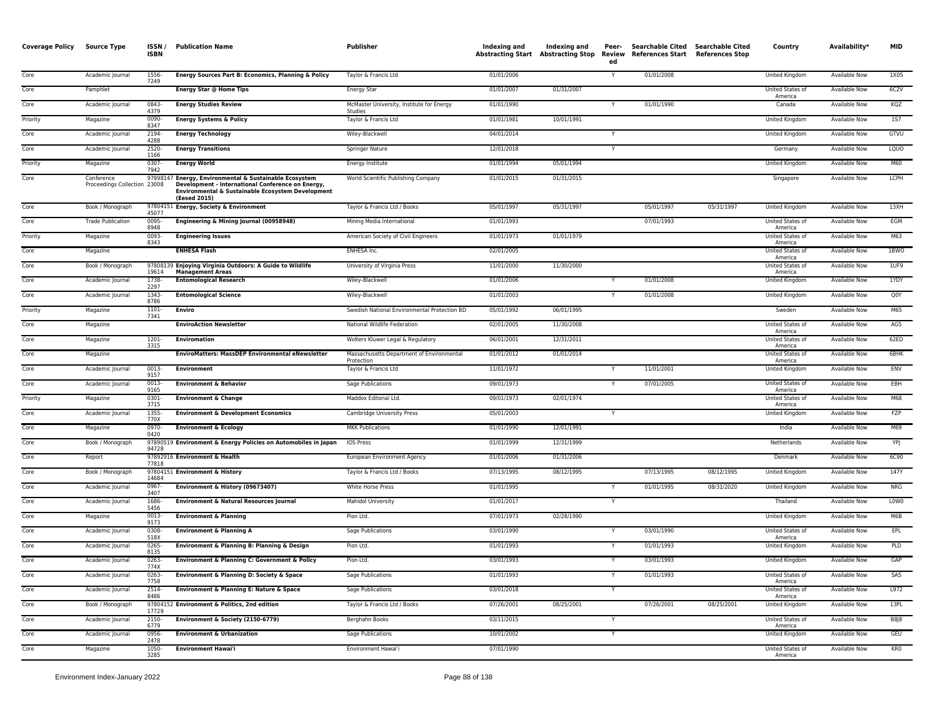| Coverage Policy | Source Type                                | ISSN/<br><b>ISBN</b> | <b>Publication Name</b>                                                                                                                                                          | <b>Publisher</b>                                        | Indexing and | Indexing and<br><b>Abstracting Start Abstracting Stop</b> | Review<br>ed | Peer- Searchable Cited Searchable Cited<br>References Start References Stop |            | Country                     | Availability*        | <b>MID</b>  |
|-----------------|--------------------------------------------|----------------------|----------------------------------------------------------------------------------------------------------------------------------------------------------------------------------|---------------------------------------------------------|--------------|-----------------------------------------------------------|--------------|-----------------------------------------------------------------------------|------------|-----------------------------|----------------------|-------------|
| Core            | Academic Journal                           | 1556-<br>7249        | Energy Sources Part B: Economics, Planning & Policy                                                                                                                              | Taylor & Francis Ltd                                    | 01/01/2006   |                                                           | Y            | 01/01/2008                                                                  |            | United Kingdom              | Available Now        | 1X05        |
| Core            | Pamphlet                                   |                      | Energy Star @ Home Tips                                                                                                                                                          | <b>Energy Star</b>                                      | 01/01/2007   | 01/31/2007                                                |              |                                                                             |            | United States of<br>America | Available Now        | 6C2V        |
| Core            | Academic Journal                           | 0843-<br>4379        | <b>Energy Studies Review</b>                                                                                                                                                     | McMaster University, Institute for Energy<br>Studies    | 01/01/1990   |                                                           | Y            | 01/01/1990                                                                  |            | Canada                      | Available Now        | KQZ         |
| Priority        | Magazine                                   | 0090<br>8347         | <b>Energy Systems &amp; Policy</b>                                                                                                                                               | Taylor & Francis Ltd                                    | 01/01/1981   | 10/01/1991                                                |              |                                                                             |            | United Kingdom              | Available Now        | <b>1S7</b>  |
| Core            | Academic Journal                           | 2194<br>4288         | <b>Energy Technology</b>                                                                                                                                                         | Wiley-Blackwell                                         | 04/01/2014   |                                                           |              |                                                                             |            | United Kingdom              | Available Now        | GTVU        |
| Core            | Academic Journal                           | 2520<br>1166         | <b>Energy Transitions</b>                                                                                                                                                        | Springer Nature                                         | 12/01/2018   |                                                           |              |                                                                             |            | Germany                     | Available Now        | LQUO        |
| Priority        | Magazine                                   | 0307-<br>7942        | <b>Energy World</b>                                                                                                                                                              | Energy Institute                                        | 01/01/1994   | 05/01/1994                                                |              |                                                                             |            | United Kingdom              | Available Now        | M60         |
| Core            | Conference<br>Proceedings Collection 23008 |                      | 97898147 Energy, Environmental & Sustainable Ecosystem<br>Development - International Conference on Energy,<br>Environmental & Sustainable Ecosystem Development<br>(Eesed 2015) | World Scientific Publishing Company                     | 01/01/2015   | 01/31/2015                                                |              |                                                                             |            | Singapore                   | Available Now        | <b>LCPH</b> |
| Core            | Book / Monograph                           | 45077                | 97804151 Energy, Society & Environment                                                                                                                                           | Taylor & Francis Ltd / Books                            | 05/01/1997   | 05/31/1997                                                |              | 05/01/1997                                                                  | 05/31/1997 | United Kingdom              | Available Now        | 13XH        |
| Core            | <b>Trade Publication</b>                   | 0095-<br>8948        | Engineering & Mining Journal (00958948)                                                                                                                                          | Mining Media International                              | 01/01/1993   |                                                           |              | 07/01/1993                                                                  |            | United States of<br>America | Available Now        | EGM         |
| Priority        | Magazine                                   | 0093<br>8343         | <b>Engineering Issues</b>                                                                                                                                                        | American Society of Civil Engineers                     | 01/01/1973   | 01/01/1979                                                |              |                                                                             |            | United States of<br>America | Available Now        | M63         |
| Core            | Magazine                                   |                      | <b>ENHESA Flash</b>                                                                                                                                                              | ENHESA Inc.                                             | 02/01/2005   |                                                           |              |                                                                             |            | United States of<br>America | <b>Available Now</b> | 1BWO        |
| Core            | Book / Monograph                           | 19614                | 97808139 Enjoying Virginia Outdoors: A Guide to Wildlife<br><b>Management Areas</b>                                                                                              | University of Virginia Press                            | 11/01/2000   | 11/30/2000                                                |              |                                                                             |            | United States of<br>America | <b>Available Now</b> | 1UF9        |
| Core            | Academic Journal                           | 1738-<br>2297        | <b>Entomological Research</b>                                                                                                                                                    | Wiley-Blackwell                                         | 01/01/2006   |                                                           |              | 01/01/2008                                                                  |            | United Kingdom              | Available Now        | 1YDY        |
| Core            | Academic Journal                           | 1343-<br>8786        | <b>Entomological Science</b>                                                                                                                                                     | Wiley-Blackwell                                         | 01/01/2003   |                                                           |              | 01/01/2008                                                                  |            | United Kingdom              | Available Now        | Q0Y         |
| Priority        | Magazine                                   | 1101-<br>7341        | Enviro                                                                                                                                                                           | Swedish National Environmental Protection BD            | 05/01/1992   | 06/01/1995                                                |              |                                                                             |            | Sweden                      | Available Now        | M65         |
| Core            | Magazine                                   |                      | <b>EnviroAction Newsletter</b>                                                                                                                                                   | National Wildlife Federation                            | 02/01/2005   | 11/30/2008                                                |              |                                                                             |            | United States of<br>America | Available Now        | AG5         |
| Core            | Magazine                                   | 1201-<br>3315        | <b>Enviromation</b>                                                                                                                                                              | Wolters Kluwer Legal & Regulatory                       | 06/01/2001   | 12/31/2011                                                |              |                                                                             |            | United States of<br>America | <b>Available Now</b> | 62ED        |
| Core            | Magazine                                   |                      | EnviroMatters: MassDEP Environmental eNewsletter                                                                                                                                 | Massachusetts Department of Environmental<br>Protection | 01/01/2012   | 01/01/2014                                                |              |                                                                             |            | United States of<br>America | <b>Available Now</b> | 6BHK        |
| Core            | Academic Journal                           | 0013<br>9157         | <b>Environment</b>                                                                                                                                                               | Taylor & Francis Ltd                                    | 11/01/1972   |                                                           |              | 11/01/2001                                                                  |            | United Kingdom              | Available Now        | ENV         |
| Core            | Academic Journal                           | 0013<br>9165         | <b>Environment &amp; Behavior</b>                                                                                                                                                | Sage Publications                                       | 09/01/1973   |                                                           |              | 07/01/2005                                                                  |            | United States of<br>America | Available Now        | EBH         |
| Priority        | Magazine                                   | 0301-<br>3715        | <b>Environment &amp; Change</b>                                                                                                                                                  | Maddox Editorial Ltd.                                   | 09/01/1973   | 02/01/1974                                                |              |                                                                             |            | United States of<br>America | Available Now        | M68         |
| Core            | Academic Journal                           | 1355-<br>770X        | <b>Environment &amp; Development Economics</b>                                                                                                                                   | Cambridge University Press                              | 05/01/2003   |                                                           |              |                                                                             |            | United Kingdom              | Available Now        | FZP         |
| Core            | Magazine                                   | 0970-<br>0420        | <b>Environment &amp; Ecology</b>                                                                                                                                                 | <b>MKK Publications</b>                                 | 01/01/1990   | 12/01/1991                                                |              |                                                                             |            | India                       | <b>Available Now</b> | M69         |
| Core            | Book / Monograph                           | 94728                | 97890519 Environment & Energy Policies on Automobiles in Japan                                                                                                                   | IOS Press                                               | 01/01/1999   | 12/31/1999                                                |              |                                                                             |            | Netherlands                 | Available Now        | YPJ         |
| Core            | Report                                     | 77818                | 97892916 Environment & Health                                                                                                                                                    | European Environment Agency                             | 01/01/2006   | 01/31/2006                                                |              |                                                                             |            | Denmark                     | Available Now        | 6C90        |
| Core            | Book / Monograph                           | 14684                | 97804151 Environment & History                                                                                                                                                   | Taylor & Francis Ltd / Books                            | 07/13/1995   | 08/12/1995                                                |              | 07/13/1995                                                                  | 08/12/1995 | United Kingdom              | Available Now        | 147Y        |
| Core            | Academic Journal                           | 0967-<br>3407        | Environment & History (09673407)                                                                                                                                                 | White Horse Press                                       | 01/01/1995   |                                                           |              | 01/01/1995                                                                  | 08/31/2020 | United Kingdom              | Available Now        | NRG         |
| Core            | Academic Journal                           | 1686-<br>5456        | <b>Environment &amp; Natural Resources Journal</b>                                                                                                                               | Mahidol University                                      | 01/01/2017   |                                                           |              |                                                                             |            | Thailand                    | Available Now        | L0W0        |
| Core            | Magazine                                   | 0013-<br>9173        | <b>Environment &amp; Planning</b>                                                                                                                                                | Pion Ltd.                                               | 07/01/1973   | 02/28/1990                                                |              |                                                                             |            | United Kingdom              | Available Now        | M6B         |
| Core            | Academic Journal                           | 0308<br>518X         | <b>Environment &amp; Planning A</b>                                                                                                                                              | Sage Publications                                       | 03/01/1990   |                                                           | Y            | 03/01/1990                                                                  |            | United States of<br>America | <b>Available Now</b> | EPL         |
| Core            | Academic Journal                           | 0265<br>8135         | Environment & Planning B: Planning & Design                                                                                                                                      | Pion Ltd.                                               | 01/01/1993   |                                                           |              | 01/01/1993                                                                  |            | United Kingdom              | <b>Available Now</b> | PLD         |
| Core            | Academic Journal                           | 0263-<br>774X        | Environment & Planning C: Government & Policy                                                                                                                                    | Pion Ltd.                                               | 03/01/1993   |                                                           |              | 03/01/1993                                                                  |            | United Kingdom              | Available Now        | GAP         |
| Core            | Academic Journal                           | 0263-<br>7758        | Environment & Planning D: Society & Space                                                                                                                                        | Sage Publications                                       | 01/01/1993   |                                                           | Y            | 01/01/1993                                                                  |            | United States of<br>America | Available Now        | SAS         |
| Core            | Academic Journal                           | 2514-<br>8486        | Environment & Planning E: Nature & Space                                                                                                                                         | Sage Publications                                       | 03/01/2018   |                                                           | Y            |                                                                             |            | United States of<br>America | Available Now        | L972        |
| Core            | Book / Monograph                           | 17729                | 97804152 Environment & Politics, 2nd edition                                                                                                                                     | Taylor & Francis Ltd / Books                            | 07/26/2001   | 08/25/2001                                                |              | 07/26/2001                                                                  | 08/25/2001 | United Kingdom              | <b>Available Now</b> | 13PL        |
| Core            | Academic Journal                           | 2150-<br>6779        | Environment & Society (2150-6779)                                                                                                                                                | Berghahn Books                                          | 03/11/2015   |                                                           | Y            |                                                                             |            | United States of<br>America | <b>Available Now</b> | <b>B8J8</b> |
| Core            | Academic Journal                           | 0956-<br>2478        | <b>Environment &amp; Urbanization</b>                                                                                                                                            | Sage Publications                                       | 10/01/2002   |                                                           | Y            |                                                                             |            | United Kingdom              | Available Now        | GEU         |
| Core            | Magazine                                   | 1050-<br>3285        | <b>Environment Hawai'i</b>                                                                                                                                                       | Environment Hawai'i                                     | 07/01/1990   |                                                           |              |                                                                             |            | United States of<br>America | <b>Available Now</b> | KR0         |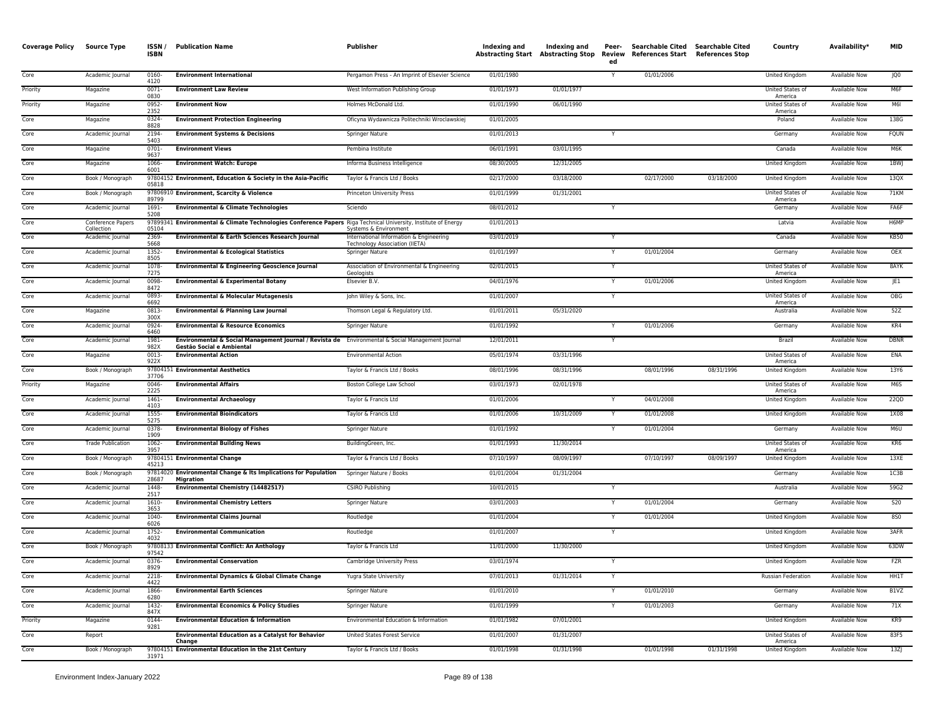| <b>Coverage Policy</b> | <b>Source Type</b>              | ISSN/<br><b>ISBN</b> | <b>Publication Name</b>                                                                                                       | Publisher                                                                 | Indexing and | Indexing and<br><b>Abstracting Start Abstracting Stop</b> | Peer-<br>Review<br>ed | References Start References Stop | Searchable Cited Searchable Cited | Country                     | Availability*        | <b>MID</b>       |
|------------------------|---------------------------------|----------------------|-------------------------------------------------------------------------------------------------------------------------------|---------------------------------------------------------------------------|--------------|-----------------------------------------------------------|-----------------------|----------------------------------|-----------------------------------|-----------------------------|----------------------|------------------|
| Core                   | Academic Journal                | 0160-<br>4120        | <b>Environment International</b>                                                                                              | Pergamon Press - An Imprint of Elsevier Science                           | 01/01/1980   |                                                           | Y                     | 01/01/2006                       |                                   | United Kingdom              | Available Now        | JQ0              |
| Priority               | Magazine                        | 0071-<br>0830        | <b>Environment Law Review</b>                                                                                                 | West Information Publishing Group                                         | 01/01/1973   | 01/01/1977                                                |                       |                                  |                                   | United States of<br>America | Available Now        | M6F              |
| Priority               | Magazine                        | 0952-<br>2352        | <b>Environment Now</b>                                                                                                        | Holmes McDonald Ltd.                                                      | 01/01/1990   | 06/01/1990                                                |                       |                                  |                                   | United States of<br>America | Available Now        | M6I              |
| Core                   | Magazine                        | 0324-<br>8828        | <b>Environment Protection Engineering</b>                                                                                     | Oficyna Wydawnicza Politechniki Wroclawskiej                              | 01/01/2005   |                                                           |                       |                                  |                                   | Poland                      | <b>Available Now</b> | 138G             |
| Core                   | Academic Journal                | 2194<br>5403         | <b>Environment Systems &amp; Decisions</b>                                                                                    | Springer Nature                                                           | 01/01/2013   |                                                           |                       |                                  |                                   | Germany                     | Available Now        | <b>FQUN</b>      |
| Core                   | Magazine                        | $0701 -$<br>9637     | <b>Environment Views</b>                                                                                                      | Pembina Institute                                                         | 06/01/1991   | 03/01/1995                                                |                       |                                  |                                   | Canada                      | <b>Available Now</b> | M <sub>6</sub> K |
| Core                   | Magazine                        | 1066<br>6001         | <b>Environment Watch: Europe</b>                                                                                              | Informa Business Intelligence                                             | 08/30/2005   | 12/31/2005                                                |                       |                                  |                                   | United Kingdon              | <b>Available Now</b> | 1BWJ             |
| Core                   | Book / Monograph                | 05818                | 97804152 Environment, Education & Society in the Asia-Pacific                                                                 | Taylor & Francis Ltd / Books                                              | 02/17/2000   | 03/18/2000                                                |                       | 02/17/2000                       | 03/18/2000                        | United Kingdom              | <b>Available Now</b> | 13QX             |
| Core                   | Book / Monograph                | 89799                | 97806910 Environment, Scarcity & Violence                                                                                     | Princeton University Press                                                | 01/01/1999   | 01/31/2001                                                |                       |                                  |                                   | United States of<br>America | Available Now        | <b>71KM</b>      |
| Core                   | Academic Journal                | 1691-<br>5208        | <b>Environmental &amp; Climate Technologies</b>                                                                               | Sciendo                                                                   | 08/01/2012   |                                                           | Y                     |                                  |                                   | Germany                     | <b>Available Now</b> | FA6F             |
| Core                   | Conference Papers<br>Collection | 05104                | 97899341 Environmental & Climate Technologies Conference Papers Riga Technical University, Institute of Energy                | Systems & Environment                                                     | 01/01/2013   |                                                           |                       |                                  |                                   | Latvia                      | Available Now        | H6MP             |
| Core                   | Academic Journal                | 2369-<br>5668        | Environmental & Earth Sciences Research Journal                                                                               | International Information & Engineering<br>Technology Association (IIETA) | 03/01/2019   |                                                           | Y                     |                                  |                                   | Canada                      | <b>Available Now</b> | <b>KB50</b>      |
| Core                   | Academic Journal                | $1352 -$<br>8505     | <b>Environmental &amp; Ecological Statistics</b>                                                                              | <b>Springer Nature</b>                                                    | 01/01/1997   |                                                           |                       | 01/01/2004                       |                                   | Germany                     | <b>Available Now</b> | OEX              |
| Core                   | Academic Journal                | 1078<br>7275         | Environmental & Engineering Geoscience Journal                                                                                | Association of Environmental & Engineering<br>Geologists                  | 02/01/2015   |                                                           |                       |                                  |                                   | United States of<br>America | <b>Available Now</b> | 8AYK             |
| Core                   | Academic Journal                | 0098<br>8472         | <b>Environmental &amp; Experimental Botany</b>                                                                                | Elsevier B.V.                                                             | 04/01/1976   |                                                           | Y                     | 01/01/2006                       |                                   | United Kingdom              | Available Now        | JE1              |
| Core                   | Academic Journal                | 0893<br>6692         | <b>Environmental &amp; Molecular Mutagenesis</b>                                                                              | John Wiley & Sons, Inc.                                                   | 01/01/2007   |                                                           | Y                     |                                  |                                   | United States of<br>America | Available Now        | <b>OBG</b>       |
| Core                   | Magazine                        | 0813-<br>300X        | <b>Environmental &amp; Planning Law Journal</b>                                                                               | Thomson Legal & Regulatory Ltd.                                           | 01/01/2011   | 05/31/2020                                                |                       |                                  |                                   | Australia                   | <b>Available Now</b> | 52Z              |
| Core                   | Academic Journal                | 0924<br>6460         | <b>Environmental &amp; Resource Economics</b>                                                                                 | Springer Nature                                                           | 01/01/1992   |                                                           |                       | 01/01/2006                       |                                   | Germany                     | Available Now        | KR4              |
| Core                   | Academic Journal                | 1981-<br>982X        | Environmental & Social Management Journal / Revista de Environmental & Social Management Journal<br>Gestão Social e Ambiental |                                                                           | 12/01/2011   |                                                           | Y                     |                                  |                                   | Brazil                      | <b>Available Now</b> | <b>DBNR</b>      |
| Core                   | Magazine                        | $0013 -$<br>922X     | <b>Environmental Action</b>                                                                                                   | <b>Environmental Action</b>                                               | 05/01/1974   | 03/31/1996                                                |                       |                                  |                                   | United States of<br>America | <b>Available Now</b> | ENA              |
| Core                   | Book / Monograph                | 37706                | 97804151 Environmental Aesthetics                                                                                             | Taylor & Francis Ltd / Books                                              | 08/01/1996   | 08/31/1996                                                |                       | 08/01/1996                       | 08/31/1996                        | United Kingdom              | Available Now        | 13Y6             |
| Priority               | Magazine                        | $0046 -$<br>2225     | <b>Environmental Affairs</b>                                                                                                  | Boston College Law School                                                 | 03/01/1973   | 02/01/1978                                                |                       |                                  |                                   | United States of<br>America | Available Now        | M6S              |
| Core                   | Academic Journal                | 1461-<br>4103        | <b>Environmental Archaeology</b>                                                                                              | Taylor & Francis Ltd                                                      | 01/01/2006   |                                                           |                       | 04/01/2008                       |                                   | United Kingdom              | Available Now        | 22QD             |
| Core                   | Academic Journal                | 1555-<br>5275        | <b>Environmental Bioindicators</b>                                                                                            | Taylor & Francis Ltd                                                      | 01/01/2006   | 10/31/2009                                                |                       | 01/01/2008                       |                                   | United Kingdom              | Available Now        | 1X08             |
| Core                   | Academic Journal                | 0378-<br>1909        | <b>Environmental Biology of Fishes</b>                                                                                        | Springer Nature                                                           | 01/01/1992   |                                                           |                       | 01/01/2004                       |                                   | Germany                     | <b>Available Now</b> | M6U              |
| Core                   | <b>Trade Publication</b>        | 1062-<br>3957        | <b>Environmental Building News</b>                                                                                            | BuildingGreen, Inc.                                                       | 01/01/1993   | 11/30/2014                                                |                       |                                  |                                   | United States of<br>America | <b>Available Now</b> | KR6              |
| Core                   | Book / Monograph                | 45213                | 97804151 Environmental Change                                                                                                 | Taylor & Francis Ltd / Books                                              | 07/10/1997   | 08/09/1997                                                |                       | 07/10/1997                       | 08/09/1997                        | <b>United Kingdom</b>       | <b>Available Now</b> | 13XE             |
| Core                   | Book / Monograph                | 28687                | 97814020 Environmental Change & Its Implications for Population<br>Migration                                                  | Springer Nature / Books                                                   | 01/01/2004   | 01/31/2004                                                |                       |                                  |                                   | Germany                     | <b>Available Now</b> | 1C3B             |
| Core                   | Academic Journal                | 1448-<br>2517        | <b>Environmental Chemistry (14482517)</b>                                                                                     | <b>CSIRO Publishing</b>                                                   | 10/01/2015   |                                                           | Y                     |                                  |                                   | Australia                   | Available Now        | 59G2             |
| Core                   | Academic Journal                | 1610<br>3653         | <b>Environmental Chemistry Letters</b>                                                                                        | Springer Nature                                                           | 03/01/2003   |                                                           |                       | 01/01/2004                       |                                   | Germany                     | <b>Available Now</b> | <b>S20</b>       |
| Core                   | Academic Journal                | 1040-<br>6026        | <b>Environmental Claims Journal</b>                                                                                           | Routledge                                                                 | 01/01/2004   |                                                           | $\mathbf{v}$          | 01/01/2004                       |                                   | United Kingdom              | <b>Available Now</b> | 850              |
| Core                   | Academic Journal                | 1752-<br>4032        | <b>Environmental Communication</b>                                                                                            | Routledge                                                                 | 01/01/2007   |                                                           |                       |                                  |                                   | United Kingdom              | Available Now        | 3AFR             |
| Core                   | Book / Monograph                | 97542                | 97808133 Environmental Conflict: An Anthology                                                                                 | Taylor & Francis Ltd                                                      | 11/01/2000   | 11/30/2000                                                |                       |                                  |                                   | <b>United Kingdom</b>       | <b>Available Now</b> | 63DW             |
| Core                   | Academic Journal                | $0376 -$<br>8929     | <b>Environmental Conservation</b>                                                                                             | Cambridge University Press                                                | 03/01/1974   |                                                           |                       |                                  |                                   | United Kingdom              | Available Now        | <b>FZR</b>       |
| Core                   | Academic Journal                | 2218<br>4422         | <b>Environmental Dynamics &amp; Global Climate Change</b>                                                                     | Yugra State University                                                    | 07/01/2013   | 01/31/2014                                                | Y                     |                                  |                                   | <b>Russian Federation</b>   | <b>Available Now</b> | HH1T             |
| Core                   | Academic Journal                | 1866<br>6280         | <b>Environmental Earth Sciences</b>                                                                                           | Springer Nature                                                           | 01/01/2010   |                                                           | Y                     | 01/01/2010                       |                                   | Germany                     | Available Now        | B1VZ             |
| Core                   | Academic Journal                | 1432-<br>847X        | <b>Environmental Economics &amp; Policy Studies</b>                                                                           | Springer Nature                                                           | 01/01/1999   |                                                           |                       | 01/01/2003                       |                                   | Germany                     | Available Now        | 71X              |
| Priority               | Magazine                        | 0144-<br>9281        | <b>Environmental Education &amp; Information</b>                                                                              | Environmental Education & Information                                     | 01/01/1982   | 07/01/2001                                                |                       |                                  |                                   | <b>United Kingdom</b>       | <b>Available Now</b> | KR9              |
| Core                   | Report                          |                      | <b>Environmental Education as a Catalyst for Behavior</b><br>Change                                                           | United States Forest Service                                              | 01/01/2007   | 01/31/2007                                                |                       |                                  |                                   | United States of<br>America | Available Now        | 83F5             |
| Core                   | Book / Monograph                | 31971                | 97804151 Environmental Education in the 21st Century                                                                          | Taylor & Francis Ltd / Books                                              | 01/01/1998   | 01/31/1998                                                |                       | 01/01/1998                       | 01/31/1998                        | <b>United Kingdom</b>       | <b>Available Now</b> | 13Z              |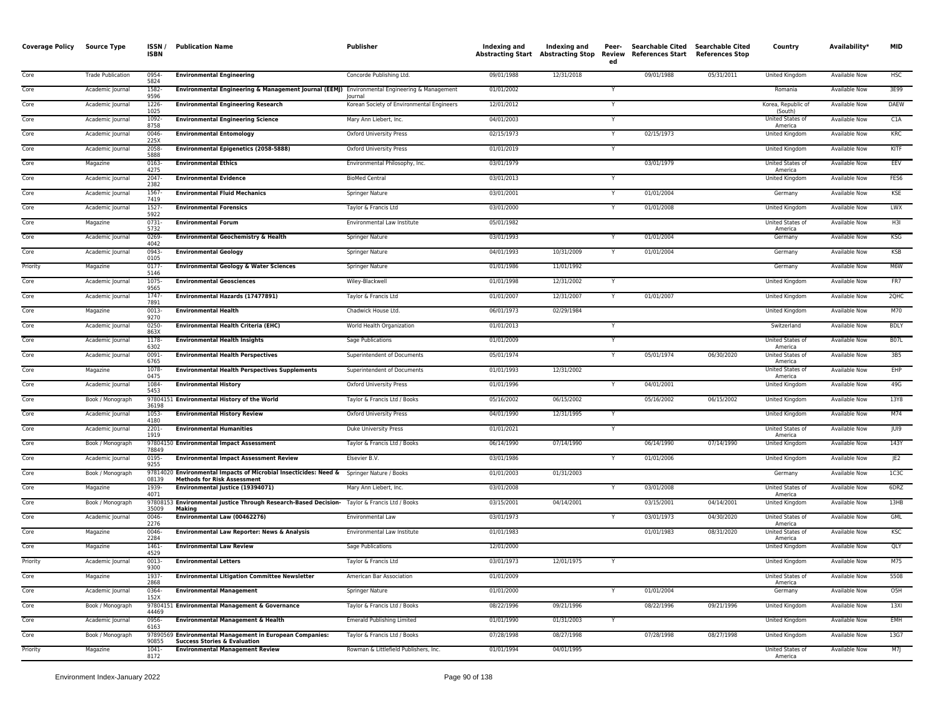| <b>Coverage Policy</b> | <b>Source Type</b>       | ISSN/<br>ISBN    | <b>Publication Name</b>                                                                                                        | <b>Publisher</b>                          | Indexing and<br><b>Abstracting Start</b> | Indexing and<br><b>Abstracting Stop</b> | Peer-<br>Review<br>ed | References Start References Stop | Searchable Cited Searchable Cited | Country                            | Availability*        | <b>MID</b>      |
|------------------------|--------------------------|------------------|--------------------------------------------------------------------------------------------------------------------------------|-------------------------------------------|------------------------------------------|-----------------------------------------|-----------------------|----------------------------------|-----------------------------------|------------------------------------|----------------------|-----------------|
| Core                   | <b>Trade Publication</b> | 0954<br>5824     | <b>Environmental Engineering</b>                                                                                               | Concorde Publishing Ltd.                  | 09/01/1988                               | 12/31/2018                              |                       | 09/01/1988                       | 05/31/2011                        | United Kingdom                     | Available Now        | <b>HSC</b>      |
| Core                   | Academic Journal         | 1582-<br>9596    | Environmental Engineering & Management Journal (EEMJ) Environmental Engineering & Management                                   | lournal                                   | 01/01/2002                               |                                         |                       |                                  |                                   | Romania                            | Available Now        | 3E99            |
| Core                   | Academic Journal         | 1226-<br>1025    | <b>Environmental Engineering Research</b>                                                                                      | Korean Society of Environmental Engineers | 12/01/2012                               |                                         |                       |                                  |                                   | Korea, Republic of<br>(South)      | Available Now        | DAEW            |
| Core                   | Academic Journal         | 1092-<br>8758    | <b>Environmental Engineering Science</b>                                                                                       | Mary Ann Liebert, Inc.                    | 04/01/2003                               |                                         |                       |                                  |                                   | United States of<br>America        | Available Now        | C1A             |
| Core                   | Academic Journal         | 0046<br>225X     | <b>Environmental Entomology</b>                                                                                                | <b>Oxford University Press</b>            | 02/15/1973                               |                                         | Y                     | 02/15/1973                       |                                   | United Kingdom                     | <b>Available Now</b> | KRC             |
| Core                   | Academic Journal         | 2058<br>5888     | Environmental Epigenetics (2058-5888)                                                                                          | <b>Oxford University Press</b>            | 01/01/2019                               |                                         | Y                     |                                  |                                   | United Kingdom                     | <b>Available Now</b> | KITF            |
| Core                   | Magazine                 | 0163<br>4275     | <b>Environmental Ethics</b>                                                                                                    | Environmental Philosophy, Inc.            | 03/01/1979                               |                                         |                       | 03/01/1979                       |                                   | <b>United States of</b><br>America | Available Now        | EEV             |
| Core                   | Academic Journal         | 2047<br>2382     | <b>Environmental Evidence</b>                                                                                                  | <b>BioMed Central</b>                     | 03/01/2013                               |                                         |                       |                                  |                                   | United Kingdom                     | Available Now        | FES6            |
| Core                   | Academic Journal         | 1567<br>7419     | <b>Environmental Fluid Mechanics</b>                                                                                           | Springer Nature                           | 03/01/2001                               |                                         | Y                     | 01/01/2004                       |                                   | Germany                            | Available Now        | KSE             |
| Core                   | Academic Journal         | 1527<br>5922     | <b>Environmental Forensics</b>                                                                                                 | Taylor & Francis Ltd                      | 03/01/2000                               |                                         |                       | 01/01/2008                       |                                   | United Kingdom                     | Available Now        | LWX             |
| Core                   | Magazine                 | 0731<br>5732     | <b>Environmental Forum</b>                                                                                                     | Environmental Law Institute               | 05/01/1982                               |                                         |                       |                                  |                                   | United States of<br>America        | Available Now        | H3I             |
| Core                   | Academic Journal         | 0269<br>4042     | <b>Environmental Geochemistry &amp; Health</b>                                                                                 | Springer Nature                           | 03/01/1993                               |                                         | Y                     | 01/01/2004                       |                                   | Germany                            | Available Now        | KSG             |
| Core                   | Academic Journal         | 0943<br>0105     | <b>Environmental Geology</b>                                                                                                   | Springer Nature                           | 04/01/1993                               | 10/31/2009                              |                       | 01/01/2004                       |                                   | Germany                            | Available Now        | <b>KSB</b>      |
| Priority               | Magazine                 | 0177<br>5146     | <b>Environmental Geology &amp; Water Sciences</b>                                                                              | Springer Nature                           | 01/01/1986                               | 11/01/1992                              |                       |                                  |                                   | Germany                            | Available Now        | M6W             |
| Core                   | Academic Journal         | 1075<br>9565     | <b>Environmental Geosciences</b>                                                                                               | Wiley-Blackwell                           | 01/01/1998                               | 12/31/2002                              |                       |                                  |                                   | United Kingdom                     | Available Now        | FR7             |
| Core                   | Academic Journal         | 1747<br>7891     | Environmental Hazards (17477891)                                                                                               | Taylor & Francis Ltd                      | 01/01/2007                               | 12/31/2007                              |                       | 01/01/2007                       |                                   | United Kingdom                     | Available Now        | 2QHC            |
| Core                   | Magazine                 | 0013<br>9270     | <b>Environmental Health</b>                                                                                                    | Chadwick House Ltd.                       | 06/01/1973                               | 02/29/1984                              |                       |                                  |                                   | United Kingdom                     | Available Now        | M70             |
| Core                   | Academic Journal         | 0250<br>863X     | <b>Environmental Health Criteria (EHC)</b>                                                                                     | World Health Organization                 | 01/01/2013                               |                                         | Y                     |                                  |                                   | Switzerland                        | Available Now        | <b>BDLY</b>     |
| Core                   | Academic Journal         | 1178<br>6302     | <b>Environmental Health Insights</b>                                                                                           | Sage Publications                         | 01/01/2009                               |                                         |                       |                                  |                                   | United States of<br>America        | <b>Available Now</b> | B07L            |
| Core                   | Academic Journal         | 0091<br>6765     | <b>Environmental Health Perspectives</b>                                                                                       | Superintendent of Documents               | 05/01/1974                               |                                         |                       | 05/01/1974                       | 06/30/2020                        | United States of<br>America        | Available Now        | 3B5             |
| Core                   | Magazine                 | 1078<br>0475     | <b>Environmental Health Perspectives Supplements</b>                                                                           | Superintendent of Documents               | 01/01/1993                               | 12/31/2002                              |                       |                                  |                                   | United States of<br>America        | Available Now        | EHP             |
| Core                   | Academic Journal         | 1084-<br>5453    | <b>Environmental History</b>                                                                                                   | <b>Oxford University Press</b>            | 01/01/1996                               |                                         |                       | 04/01/2001                       |                                   | United Kingdom                     | Available Now        | 49G             |
| Core                   | Book / Monograph         | 36198            | 97804151 Environmental History of the World                                                                                    | Taylor & Francis Ltd / Books              | 05/16/2002                               | 06/15/2002                              |                       | 05/16/2002                       | 06/15/2002                        | United Kingdom                     | Available Now        | 13Y8            |
| Core                   | Academic Journal         | 1053-<br>4180    | <b>Environmental History Review</b>                                                                                            | Oxford University Press                   | 04/01/1990                               | 12/31/1995                              | Y                     |                                  |                                   | United Kingdom                     | Available Now        | M74             |
| Core                   | Academic Journal         | 2201-<br>1919    | <b>Environmental Humanities</b>                                                                                                | <b>Duke University Press</b>              | 01/01/2021                               |                                         | Y                     |                                  |                                   | United States of<br>America        | Available Now        | JUI9            |
| Core                   | Book / Monograph         | 9780415<br>78849 | <sup>50</sup> Environmental Impact Assessment                                                                                  | Taylor & Francis Ltd / Books              | 06/14/1990                               | 07/14/1990                              |                       | 06/14/1990                       | 07/14/1990                        | United Kingdom                     | Available Now        | 143Y            |
| Core                   | Academic Journal         | 0195-<br>9255    | <b>Environmental Impact Assessment Review</b>                                                                                  | Elsevier B.V.                             | 03/01/1986                               |                                         |                       | 01/01/2006                       |                                   | United Kingdom                     | Available Now        | JE <sub>2</sub> |
| Core                   | Book / Monograph         | 08139            | 97814020 Environmental Impacts of Microbial Insecticides: Need & Springer Nature / Books<br><b>Methods for Risk Assessment</b> |                                           | 01/01/2003                               | 01/31/2003                              |                       |                                  |                                   | Germany                            | Available Now        | IC3C            |
| Core                   | Magazine                 | 1939-<br>4071    | Environmental Justice (19394071)                                                                                               | Mary Ann Liebert, Inc.                    | 03/01/2008                               |                                         |                       | 03/01/2008                       |                                   | United States of<br>America        | Available Now        | 6DRZ            |
| Core                   | Book / Monograph         | 978081<br>35009  | 53 Environmental Justice Through Research-Based Decision- Taylor & Francis Ltd / Books<br><b>Making</b>                        |                                           | 03/15/2001                               | 04/14/2001                              |                       | 03/15/2001                       | 04/14/2001                        | United Kingdom                     | Available Now        | 13HB            |
| Core                   | Academic Journal         | 0046-<br>2276    | Environmental Law (00462276)                                                                                                   | Environmental Law                         | 03/01/1973                               |                                         | Y                     | 03/01/1973                       | 04/30/2020                        | United States of<br>America        | Available Now        | GML             |
| Core                   | Magazine                 | 0046<br>2284     | <b>Environmental Law Reporter: News &amp; Analysis</b>                                                                         | Environmental Law Institute               | 01/01/1983                               |                                         |                       | 01/01/1983                       | 08/31/2020                        | United States of<br>America        | <b>Available Now</b> | <b>KSC</b>      |
| Core                   | Magazine                 | 1461<br>4529     | <b>Environmental Law Review</b>                                                                                                | Sage Publications                         | 12/01/2000                               |                                         |                       |                                  |                                   | United Kingdom                     | <b>Available Now</b> | QLY             |
| Priority               | Academic Journal         | 0013<br>9300     | <b>Environmental Letters</b>                                                                                                   | Taylor & Francis Ltd                      | 03/01/1973                               | 12/01/1975                              |                       |                                  |                                   | United Kingdom                     | Available Now        | M75             |
| Core                   | Magazine                 | 1937-<br>2868    | <b>Environmental Litigation Committee Newsletter</b>                                                                           | American Bar Association                  | 01/01/2009                               |                                         |                       |                                  |                                   | United States of<br>America        | Available Now        | 5508            |
| Core                   | Academic Journal         | 0364<br>152X     | <b>Environmental Management</b>                                                                                                | Springer Nature                           | 01/01/2000                               |                                         | Y                     | 01/01/2004                       |                                   | Germany                            | Available Now        | O5H             |
| Core                   | Book / Monograph         | 44469            | 97804151 Environmental Management & Governance                                                                                 | Taylor & Francis Ltd / Books              | 08/22/1996                               | 09/21/1996                              |                       | 08/22/1996                       | 09/21/1996                        | United Kingdom                     | Available Now        | 13XI            |
| Core                   | Academic Journal         | 0956-<br>6163    | Environmental Management & Health                                                                                              | <b>Emerald Publishing Limited</b>         | 01/01/1990                               | 01/31/2003                              | Y                     |                                  |                                   | United Kingdom                     | <b>Available Now</b> | EMH             |
| Core                   | Book / Monograph         | 90855            | 97890569 Environmental Management in European Companies:<br><b>Success Stories &amp; Evaluation</b>                            | Taylor & Francis Ltd / Books              | 07/28/1998                               | 08/27/1998                              |                       | 07/28/1998                       | 08/27/1998                        | United Kingdom                     | Available Now        | 13G7            |
| Priority               | Magazine                 | $1041 -$<br>8172 | <b>Environmental Management Review</b>                                                                                         | Rowman & Littlefield Publishers, Inc.     | 01/01/1994                               | 04/01/1995                              |                       |                                  |                                   | United States of<br>America        | Available Now        | M7              |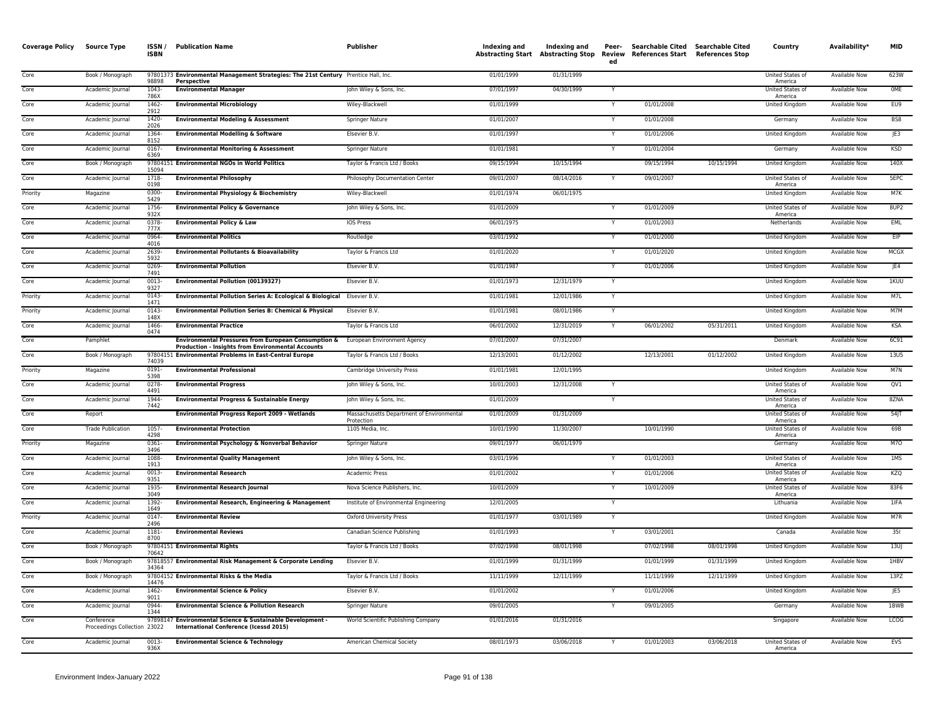| <b>Coverage Policy</b> | <b>Source Type</b>                         | ISSN/<br><b>ISBN</b> | <b>Publication Name</b>                                                                                         | Publisher                                               | Indexing and | Indexing and<br><b>Abstracting Start Abstracting Stop</b> | Peer-<br>ed | Searchable Cited Searchable Cited<br>Review References Start References Stop |            | Country                     | Availability*        | <b>MID</b>  |
|------------------------|--------------------------------------------|----------------------|-----------------------------------------------------------------------------------------------------------------|---------------------------------------------------------|--------------|-----------------------------------------------------------|-------------|------------------------------------------------------------------------------|------------|-----------------------------|----------------------|-------------|
| Core                   | Book / Monograph                           | 98898                | 97801373 Environmental Management Strategies: The 21st Century Prentice Hall, Inc.<br>Perspective               |                                                         | 01/01/1999   | 01/31/1999                                                |             |                                                                              |            | United States of<br>America | Available Now        | 623W        |
| Core                   | Academic Journal                           | 1043<br>786X         | <b>Environmental Manager</b>                                                                                    | John Wiley & Sons, Inc.                                 | 07/01/1997   | 04/30/1999                                                |             |                                                                              |            | United States of<br>America | Available Now        | OME         |
| Core                   | Academic Journal                           | 1462<br>2912         | <b>Environmental Microbiology</b>                                                                               | Wiley-Blackwell                                         | 01/01/1999   |                                                           |             | 01/01/2008                                                                   |            | <b>United Kingdom</b>       | <b>Available Now</b> | EU9         |
| Core                   | Academic Journal                           | $1420 -$<br>2026     | <b>Environmental Modeling &amp; Assessment</b>                                                                  | Springer Nature                                         | 01/01/2007   |                                                           | Y           | 01/01/2008                                                                   |            | Germany                     | Available Now        | BS8         |
| Core                   | Academic Journal                           | 1364<br>8152         | <b>Environmental Modelling &amp; Software</b>                                                                   | Elsevier B.V.                                           | 01/01/1997   |                                                           |             | 01/01/2006                                                                   |            | United Kingdom              | Available Now        | JE3         |
| Core                   | Academic Journal                           | $0167 -$<br>6369     | <b>Environmental Monitoring &amp; Assessment</b>                                                                | Springer Nature                                         | 01/01/1981   |                                                           |             | 01/01/2004                                                                   |            | Germany                     | <b>Available Now</b> | <b>KSD</b>  |
| Core                   | Book / Monograph                           | 15094                | 97804151 Environmental NGOs in World Politics                                                                   | Taylor & Francis Ltd / Books                            | 09/15/1994   | 10/15/1994                                                |             | 09/15/1994                                                                   | 10/15/1994 | United Kingdom              | Available Now        | 140X        |
| Core                   | Academic Journal                           | 1718-<br>0198        | <b>Environmental Philosophy</b>                                                                                 | Philosophy Documentation Center                         | 09/01/2007   | 08/14/2016                                                |             | 09/01/2007                                                                   |            | United States of<br>America | <b>Available Now</b> | 5EPC        |
| Priority               | Magazine                                   | 0300<br>5429         | <b>Environmental Physiology &amp; Biochemistry</b>                                                              | Wiley-Blackwell                                         | 01/01/1974   | 06/01/1975                                                |             |                                                                              |            | United Kingdom              | Available Now        | M7K         |
| Core                   | Academic Journal                           | 1756<br>932X         | <b>Environmental Policy &amp; Governance</b>                                                                    | John Wiley & Sons, Inc.                                 | 01/01/2009   |                                                           |             | 01/01/2009                                                                   |            | United States of<br>America | Available Now        | 8UP2        |
| Core                   | Academic Journal                           | 0378<br>777X         | <b>Environmental Policy &amp; Law</b>                                                                           | IOS Press                                               | 06/01/1975   |                                                           |             | 01/01/2003                                                                   |            | Netherlands                 | Available Now        | <b>EML</b>  |
| Core                   | Academic Journal                           | 0964-<br>4016        | <b>Environmental Politics</b>                                                                                   | Routledge                                               | 03/01/1992   |                                                           | Y           | 01/01/2000                                                                   |            | <b>United Kingdom</b>       | <b>Available Now</b> | EIP         |
| Core                   | Academic Journal                           | 2639<br>5932         | <b>Environmental Pollutants &amp; Bioavailability</b>                                                           | Taylor & Francis Ltd                                    | 01/01/2020   |                                                           |             | 01/01/2020                                                                   |            | <b>United Kingdom</b>       | <b>Available Now</b> | MCGX        |
| Core                   | Academic Journal                           | 0269<br>7491         | <b>Environmental Pollution</b>                                                                                  | Elsevier B.V                                            | 01/01/1987   |                                                           | Υ           | 01/01/2006                                                                   |            | United Kingdom              | Available Now        | JE4         |
| Core                   | Academic Journal                           | 0013<br>9327         | Environmental Pollution (00139327)                                                                              | Elsevier B.V.                                           | 01/01/1973   | 12/31/1979                                                |             |                                                                              |            | United Kingdom              | Available Now        | 1KUU        |
| Priority               | Academic Journal                           | 0143<br>1471         | Environmental Pollution Series A: Ecological & Biological Elsevier B.V.                                         |                                                         | 01/01/1981   | 12/01/1986                                                | Y           |                                                                              |            | <b>United Kingdom</b>       | <b>Available Now</b> | M7L         |
| Priority               | Academic Journal                           | $0143-$<br>148X      | <b>Environmental Pollution Series B: Chemical &amp; Physical</b>                                                | Elsevier B.V.                                           | 01/01/1981   | 08/01/1986                                                | Y           |                                                                              |            | United Kingdom              | <b>Available Now</b> | M7M         |
| Core                   | Academic Journal                           | 1466<br>0474         | <b>Environmental Practice</b>                                                                                   | Taylor & Francis Ltd                                    | 06/01/2002   | 12/31/2019                                                |             | 06/01/2002                                                                   | 05/31/2011 | United Kingdom              | <b>Available Now</b> | <b>KSA</b>  |
| Core                   | Pamphlet                                   |                      | Environmental Pressures from European Consumption &<br><b>Production - Insights from Environmental Accounts</b> | European Environment Agency                             | 07/01/2007   | 07/31/2007                                                |             |                                                                              |            | Denmark                     | Available Now        | 6C91        |
| Core                   | Book / Monograph                           | 74039                | 97804151 Environmental Problems in East-Central Europe                                                          | Taylor & Francis Ltd / Books                            | 12/13/2001   | 01/12/2002                                                |             | 12/13/2001                                                                   | 01/12/2002 | United Kingdom              | <b>Available Now</b> | <b>13U5</b> |
| Priority               | Magazine                                   | $0191 -$<br>5398     | <b>Environmental Professional</b>                                                                               | Cambridge University Press                              | 01/01/1981   | 12/01/1995                                                |             |                                                                              |            | United Kingdom              | <b>Available Now</b> | M7N         |
| Core                   | Academic Journal                           | 0278<br>4491         | <b>Environmental Progress</b>                                                                                   | John Wiley & Sons, Inc.                                 | 10/01/2003   | 12/31/2008                                                | Y           |                                                                              |            | United States of<br>America | <b>Available Now</b> | QV1         |
| Core                   | Academic Journal                           | 1944<br>7442         | Environmental Progress & Sustainable Energy                                                                     | John Wiley & Sons, Inc.                                 | 01/01/2009   |                                                           |             |                                                                              |            | United States of<br>America | <b>Available Now</b> | 8ZNA        |
| Core                   | Report                                     |                      | <b>Environmental Progress Report 2009 - Wetlands</b>                                                            | Massachusetts Department of Environmental<br>Protection | 01/01/2009   | 01/31/2009                                                |             |                                                                              |            | United States of<br>America | Available Now        | 54          |
| Core                   | <b>Trade Publication</b>                   | 1057<br>4298         | <b>Environmental Protection</b>                                                                                 | 1105 Media, Inc.                                        | 10/01/1990   | 11/30/2007                                                |             | 10/01/1990                                                                   |            | United States of<br>America | Available Now        | 69B         |
| Priority               | Magazine                                   | 0361<br>3496         | Environmental Psychology & Nonverbal Behavior                                                                   | Springer Nature                                         | 09/01/1977   | 06/01/1979                                                |             |                                                                              |            | Germany                     | <b>Available Now</b> | M7O         |
| Core                   | Academic Journal                           | 1088<br>1913         | <b>Environmental Quality Management</b>                                                                         | John Wiley & Sons, Inc.                                 | 03/01/1996   |                                                           |             | 01/01/2003                                                                   |            | United States of<br>America | Available Nov        | 1MS         |
| Core                   | Academic Journal                           | 0013<br>9351         | <b>Environmental Research</b>                                                                                   | Academic Press                                          | 01/01/2002   |                                                           |             | 01/01/2006                                                                   |            | United States of<br>America | Available Now        | KZQ         |
| Core                   | Academic Journal                           | 1935<br>3049         | <b>Environmental Research Journal</b>                                                                           | Nova Science Publishers, Inc.                           | 10/01/2009   |                                                           |             | 10/01/2009                                                                   |            | United States of<br>America | <b>Available Now</b> | 83F6        |
| Core                   | Academic Journal                           | 1392-<br>1649        | Environmental Research, Engineering & Management                                                                | Institute of Environmental Engineering                  | 12/01/2005   |                                                           | Y           |                                                                              |            | Lithuania                   | <b>Available Now</b> | 1IFA        |
| Priority               | Academic Journal                           | 0147<br>2496         | <b>Environmental Review</b>                                                                                     | Oxford University Press                                 | 01/01/1977   | 03/01/1989                                                |             |                                                                              |            | <b>United Kingdom</b>       | <b>Available Now</b> | M7R         |
| Core                   | Academic Journal                           | 1181-<br>8700        | <b>Environmental Reviews</b>                                                                                    | Canadian Science Publishing                             | 01/01/1993   |                                                           |             | 03/01/2001                                                                   |            | Canada                      | Available Now        | 351         |
| Core                   | Book / Monograph                           | 70642                | 97804151 Environmental Rights                                                                                   | Taylor & Francis Ltd / Books                            | 07/02/1998   | 08/01/1998                                                |             | 07/02/1998                                                                   | 08/01/1998 | United Kingdom              | <b>Available Now</b> | 13U         |
| Core                   | Book / Monograph                           | 34364                | 97818557 Environmental Risk Management & Corporate Lending                                                      | Elsevier B.V.                                           | 01/01/1999   | 01/31/1999                                                |             | 01/01/1999                                                                   | 01/31/1999 | United Kingdom              | Available Now        | 1HBV        |
| Core                   | Book / Monograph                           | 14476                | 97804152 Environmental Risks & the Media                                                                        | Taylor & Francis Ltd / Books                            | 11/11/1999   | 12/11/1999                                                |             | 11/11/1999                                                                   | 12/11/1999 | United Kingdom              | <b>Available Now</b> | 13PZ        |
| Core                   | Academic Journal                           | 1462-<br>9011        | <b>Environmental Science &amp; Policy</b>                                                                       | Elsevier B.V.                                           | 01/01/2002   |                                                           |             | 01/01/2006                                                                   |            | United Kingdom              | Available Now        | JE5         |
| Core                   | Academic Journal                           | 0944-<br>1344        | <b>Environmental Science &amp; Pollution Research</b>                                                           | Springer Nature                                         | 09/01/2005   |                                                           | Υ           | 09/01/2005                                                                   |            | Germany                     | Available Now        | 1BWB        |
| Core                   | Conference<br>Proceedings Collection 23022 | 9789814              | 7 Environmental Science & Sustainable Development -<br>International Conference (Icessd 2015)                   | World Scientific Publishing Company                     | 01/01/2016   | 01/31/2016                                                |             |                                                                              |            | Singapore                   | Available Now        | <b>LCOG</b> |
| Core                   | Academic Journal                           | 0013-<br>936X        | <b>Environmental Science &amp; Technology</b>                                                                   | American Chemical Society                               | 08/01/1973   | 03/06/2018                                                |             | 01/01/2003                                                                   | 03/06/2018 | United States of<br>America | <b>Available Now</b> | <b>EVS</b>  |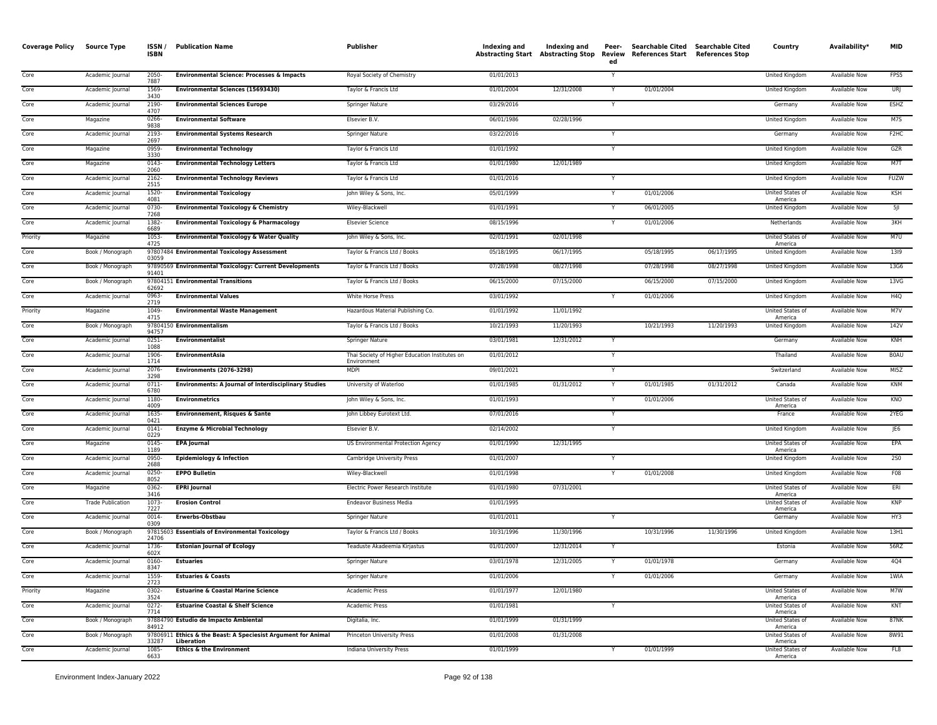| <b>Coverage Policy</b> | Source Type              | <b>ISSN</b><br><b>ISBN</b> | <b>Publication Name</b>                                                     | Publisher                                                     | Indexing and | Indexing and<br><b>Abstracting Start Abstracting Stop</b> | Peer-<br>Review<br>ed | Searchable Cited Searchable Cited<br>References Start References Stop |            | Country                            | Availability*        | <b>MID</b>        |
|------------------------|--------------------------|----------------------------|-----------------------------------------------------------------------------|---------------------------------------------------------------|--------------|-----------------------------------------------------------|-----------------------|-----------------------------------------------------------------------|------------|------------------------------------|----------------------|-------------------|
| Core                   | Academic Journal         | 2050-<br>7887              | <b>Environmental Science: Processes &amp; Impacts</b>                       | Royal Society of Chemistry                                    | 01/01/2013   |                                                           | Y                     |                                                                       |            | United Kingdom                     | Available Now        | FPS5              |
| Core                   | Academic Journal         | 1569<br>3430               | Environmental Sciences (15693430)                                           | Taylor & Francis Ltd                                          | 01/01/2004   | 12/31/2008                                                | Y                     | 01/01/2004                                                            |            | United Kingdom                     | Available Now        | URJ               |
| Core                   | Academic Journal         | 2190-<br>4707              | <b>Environmental Sciences Europe</b>                                        | Springer Nature                                               | 03/29/2016   |                                                           | Y                     |                                                                       |            | Germany                            | Available Now        | <b>ESHZ</b>       |
| Core                   | Magazine                 | 0266-<br>9838              | <b>Environmental Software</b>                                               | Elsevier B.V.                                                 | 06/01/1986   | 02/28/1996                                                |                       |                                                                       |            | United Kingdom                     | Available Now        | M7S               |
| Core                   | Academic Journal         | 2193<br>2697               | <b>Environmental Systems Research</b>                                       | Springer Nature                                               | 03/22/2016   |                                                           | $\mathsf{Y}$          |                                                                       |            | Germany                            | Available Now        | F <sub>2</sub> HC |
| Core                   | Magazine                 | 0959<br>3330               | <b>Environmental Technology</b>                                             | Taylor & Francis Ltd                                          | 01/01/1992   |                                                           | Y                     |                                                                       |            | <b>United Kingdom</b>              | <b>Available Now</b> | GZR               |
| Core                   | Magazine                 | 0143<br>2060               | <b>Environmental Technology Letters</b>                                     | Taylor & Francis Ltd                                          | 01/01/1980   | 12/01/1989                                                |                       |                                                                       |            | <b>United Kingdom</b>              | <b>Available Now</b> | M7T               |
| Core                   | Academic Journal         | 2162<br>2515               | <b>Environmental Technology Reviews</b>                                     | Taylor & Francis Ltd                                          | 01/01/2016   |                                                           |                       |                                                                       |            | United Kingdom                     | <b>Available Now</b> | <b>FUZW</b>       |
| Core                   | Academic Journal         | 1520-<br>4081              | <b>Environmental Toxicology</b>                                             | John Wiley & Sons, Inc.                                       | 05/01/1999   |                                                           |                       | 01/01/2006                                                            |            | United States of<br>America        | <b>Available Now</b> | KSH               |
| Core                   | Academic Journal         | 0730<br>7268               | <b>Environmental Toxicology &amp; Chemistry</b>                             | Wiley-Blackwell                                               | 01/01/1991   |                                                           | Y                     | 06/01/2005                                                            |            | United Kingdom                     | Available Now        | 5                 |
| Core                   | Academic Journal         | 1382<br>6689               | <b>Environmental Toxicology &amp; Pharmacology</b>                          | <b>Elsevier Science</b>                                       | 08/15/1996   |                                                           | Y                     | 01/01/2006                                                            |            | Netherlands                        | Available Now        | 3KH               |
| Priority               | Magazine                 | 1053-<br>4725              | <b>Environmental Toxicology &amp; Water Quality</b>                         | John Wiley & Sons, Inc.                                       | 02/01/1991   | 02/01/1998                                                |                       |                                                                       |            | United States of<br>America        | Available Now        | M7U               |
| Core                   | Book / Monograph         | 03059                      | 97807484 Environmental Toxicology Assessment                                | Taylor & Francis Ltd / Books                                  | 05/18/1995   | 06/17/1995                                                |                       | 05/18/1995                                                            | 06/17/1995 | United Kingdom                     | <b>Available Now</b> | 1319              |
| Core                   | Book / Monograph         | 91401                      | 97890569 Environmental Toxicology: Current Developments                     | Taylor & Francis Ltd / Books                                  | 07/28/1998   | 08/27/1998                                                |                       | 07/28/1998                                                            | 08/27/1998 | United Kingdom                     | Available Now        | 13G6              |
| Core                   | Book / Monograph         | 62692                      | 97804151 Environmental Transitions                                          | Taylor & Francis Ltd / Books                                  | 06/15/2000   | 07/15/2000                                                |                       | 06/15/2000                                                            | 07/15/2000 | United Kingdom                     | Available Now        | 13VG              |
| Core                   | Academic Journal         | 0963-<br>2719              | <b>Environmental Values</b>                                                 | White Horse Press                                             | 03/01/1992   |                                                           |                       | 01/01/2006                                                            |            | <b>United Kingdom</b>              | <b>Available Now</b> | H4Q               |
| Priority               | Magazine                 | 1049-<br>4715              | <b>Environmental Waste Management</b>                                       | Hazardous Material Publishing Co.                             | 01/01/1992   | 11/01/1992                                                |                       |                                                                       |            | United States of<br>America        | Available Now        | M7V               |
| Core                   | Book / Monograph         | 94757                      | 97804150 Environmentalism                                                   | Taylor & Francis Ltd / Books                                  | 10/21/1993   | 11/20/1993                                                |                       | 10/21/1993                                                            | 11/20/1993 | United Kingdom                     | <b>Available Now</b> | 142V              |
| Core                   | Academic Journal         | 0251-<br>1088              | <b>Environmentalist</b>                                                     | Springer Nature                                               | 03/01/1981   | 12/31/2012                                                | Y                     |                                                                       |            | Germany                            | <b>Available Now</b> | KNH               |
| Core                   | Academic Journal         | 1906<br>1714               | <b>EnvironmentAsia</b>                                                      | Thai Society of Higher Education Institutes on<br>Environment | 01/01/2012   |                                                           |                       |                                                                       |            | Thailand                           | <b>Available Now</b> | <b>BOAU</b>       |
| Core                   | Academic Journal         | 2076<br>3298               | <b>Environments (2076-3298)</b>                                             | <b>MDP</b>                                                    | 09/01/2021   |                                                           | $\mathsf{Y}$          |                                                                       |            | Switzerland                        | <b>Available Now</b> | MI5Z              |
| Core                   | Academic Journal         | 0711-<br>6780              | <b>Environments: A Journal of Interdisciplinary Studies</b>                 | University of Waterloo                                        | 01/01/1985   | 01/31/2012                                                |                       | 01/01/1985                                                            | 01/31/2012 | Canada                             | Available Now        | KNM               |
| Core                   | Academic Journal         | 1180<br>4009               | <b>Environmetrics</b>                                                       | John Wiley & Sons, Inc.                                       | 01/01/1993   |                                                           |                       | 01/01/2006                                                            |            | United States of<br>America        | <b>Available Now</b> | KNO               |
| Core                   | Academic Journal         | 1635-<br>0421              | <b>Environnement, Risques &amp; Sante</b>                                   | John Libbey Eurotext Ltd.                                     | 07/01/2016   |                                                           |                       |                                                                       |            | France                             | <b>Available Now</b> | 2YEG              |
| Core                   | Academic Journal         | $0141 -$<br>0229           | <b>Enzyme &amp; Microbial Technology</b>                                    | Elsevier B.V.                                                 | 02/14/2002   |                                                           | $\mathsf{Y}$          |                                                                       |            | United Kingdom                     | <b>Available Now</b> | JE6               |
| Core                   | Magazine                 | 0145<br>1189               | <b>EPA Journal</b>                                                          | US Environmental Protection Agency                            | 01/01/1990   | 12/31/1995                                                |                       |                                                                       |            | <b>United States of</b><br>America | <b>Available Now</b> | EPA               |
| Core                   | Academic Journal         | 0950<br>2688               | <b>Epidemiology &amp; Infection</b>                                         | Cambridge University Press                                    | 01/01/2007   |                                                           |                       |                                                                       |            | <b>United Kingdom</b>              | <b>Available Now</b> | 250               |
| Core                   | Academic Journal         | 0250-<br>8052              | <b>EPPO Bulletin</b>                                                        | Wiley-Blackwell                                               | 01/01/1998   |                                                           | Y                     | 01/01/2008                                                            |            | United Kingdom                     | Available Now        | F08               |
| Core                   | Magazine                 | 0362<br>3416               | <b>EPRI</b> Journal                                                         | Electric Power Research Institute                             | 01/01/1980   | 07/31/2001                                                |                       |                                                                       |            | United States of<br>America        | Available Now        | ERI               |
| Core                   | <b>Trade Publication</b> | 1073-<br>7227              | <b>Erosion Control</b>                                                      | <b>Endeavor Business Media</b>                                | 01/01/1995   |                                                           |                       |                                                                       |            | United States of<br>America        | Available Now        | <b>KNP</b>        |
| Core                   | Academic Journal         | 0014-<br>0309              | Erwerbs-Obstbau                                                             | Springer Nature                                               | 01/01/2011   |                                                           |                       |                                                                       |            | Germany                            | <b>Available Now</b> | HY3               |
| Core                   | Book / Monograph         | 24706                      | 97815603 Essentials of Environmental Toxicology                             | Taylor & Francis Ltd / Books                                  | 10/31/1996   | 11/30/1996                                                |                       | 10/31/1996                                                            | 11/30/1996 | <b>United Kingdom</b>              | <b>Available Now</b> | 13H1              |
| Core                   | Academic Journal         | 1736-<br>602X              | <b>Estonian Journal of Ecology</b>                                          | Teaduste Akadeemia Kirjastus                                  | 01/01/2007   | 12/31/2014                                                |                       |                                                                       |            | Estonia                            | <b>Available Now</b> | 56RZ              |
| Core                   | Academic Journal         | 0160-<br>8347              | <b>Estuaries</b>                                                            | <b>Springer Nature</b>                                        | 03/01/1978   | 12/31/2005                                                |                       | 01/01/1978                                                            |            | Germany                            | <b>Available Now</b> | 4Q4               |
| Core                   | Academic Journal         | 1559<br>2723               | <b>Estuaries &amp; Coasts</b>                                               | Springer Nature                                               | 01/01/2006   |                                                           | Y                     | 01/01/2006                                                            |            | Germany                            | Available Now        | 1WIA              |
| Priority               | Magazine                 | 0302-<br>3524              | <b>Estuarine &amp; Coastal Marine Science</b>                               | Academic Press                                                | 01/01/1977   | 12/01/1980                                                |                       |                                                                       |            | United States of<br>America        | Available Now        | M7W               |
| Core                   | Academic Journal         | 0272-<br>7714              | <b>Estuarine Coastal &amp; Shelf Science</b>                                | Academic Press                                                | 01/01/1981   |                                                           | Y                     |                                                                       |            | United States of<br>America        | Available Now        | KNT               |
| Core                   | Book / Monograph         | 84912                      | 97884790 Estudio de Impacto Ambiental                                       | Digitalia, Inc.                                               | 01/01/1999   | 01/31/1999                                                |                       |                                                                       |            | United States of<br>America        | <b>Available Now</b> | <b>87NK</b>       |
| Core                   | Book / Monograph         | 33287                      | 97806911 Ethics & the Beast: A Speciesist Argument for Animal<br>Liberation | Princeton University Press                                    | 01/01/2008   | 01/31/2008                                                |                       |                                                                       |            | United States of<br>America        | <b>Available Now</b> | 8W91              |
| Core                   | Academic Journal         | 1085-<br>6633              | <b>Ethics &amp; the Environment</b>                                         | Indiana University Press                                      | 01/01/1999   |                                                           |                       | 01/01/1999                                                            |            | <b>United States of</b><br>America | <b>Available Now</b> | FL8               |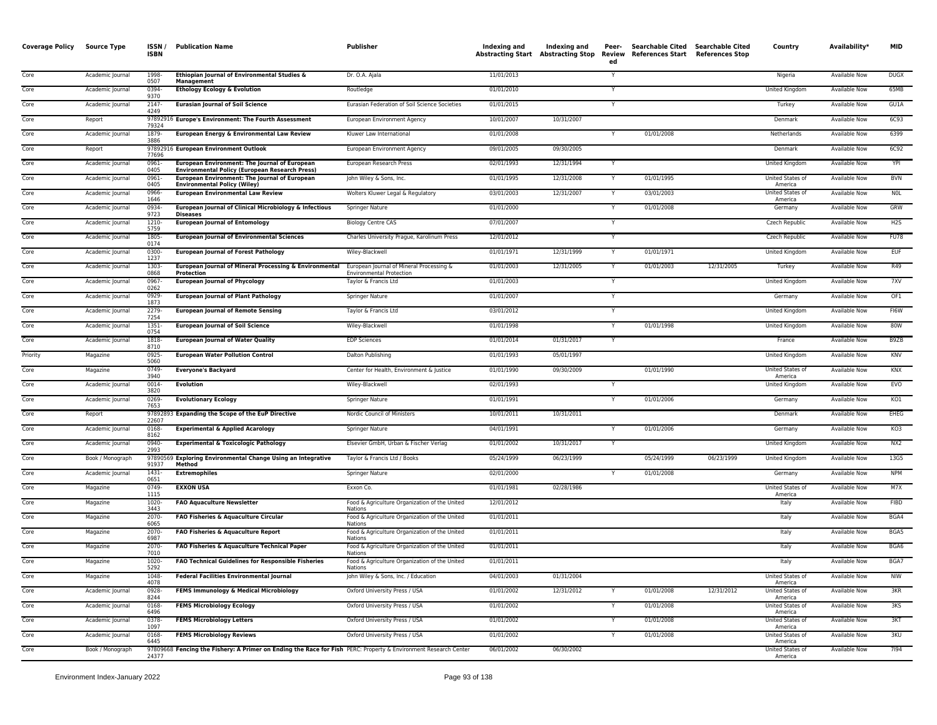| <b>Coverage Policy</b> | <b>Source Type</b>   | ISSN /<br>ISBN        | <b>Publication Name</b>                                                                                         | <b>Publisher</b>                                                            | Indexing and             | Indexing and<br><b>Abstracting Start Abstracting Stop</b> | Peer-<br>Review<br>ed | Searchable Cited Searchable Cited<br><b>References Start</b> | <b>References Stop</b> | Country                     | Availability*                  | <b>MID</b>        |
|------------------------|----------------------|-----------------------|-----------------------------------------------------------------------------------------------------------------|-----------------------------------------------------------------------------|--------------------------|-----------------------------------------------------------|-----------------------|--------------------------------------------------------------|------------------------|-----------------------------|--------------------------------|-------------------|
| Core                   | Academic Journal     | 1998-<br>0507         | Ethiopian Journal of Environmental Studies &<br><b>Management</b>                                               | Dr. O.A. Ajala                                                              | 11/01/2013               |                                                           | Y                     |                                                              |                        | Nigeria                     | Available Now                  | <b>DUGX</b>       |
| Core                   | Academic Journal     | 0394-<br>9370         | <b>Ethology Ecology &amp; Evolution</b>                                                                         | Routledge                                                                   | 01/01/2010               |                                                           |                       |                                                              |                        | United Kingdom              | Available Now                  | 65MB              |
| Core                   | Academic Journal     | 2147-<br>4249         | <b>Eurasian Journal of Soil Science</b>                                                                         | Eurasian Federation of Soil Science Societies                               | 01/01/2015               |                                                           |                       |                                                              |                        | Turkey                      | Available Now                  | GU1A              |
| Core                   | Report               | 79324                 | 97892916 Europe's Environment: The Fourth Assessment                                                            | European Environment Agency                                                 | 10/01/2007               | 10/31/2007                                                |                       |                                                              |                        | Denmark                     | Available Now                  | <b>6C93</b>       |
| Core                   | Academic Journal     | 1879-<br>3886         | European Energy & Environmental Law Review                                                                      | Kluwer Law International                                                    | 01/01/2008               |                                                           | Y                     | 01/01/2008                                                   |                        | Netherlands                 | Available Now                  | 6399              |
| Core                   | Report               | 77696                 | 97892916 European Environment Outlook                                                                           | European Environment Agency                                                 | 09/01/2005               | 09/30/2005                                                |                       |                                                              |                        | Denmark                     | Available Now                  | 6C92              |
| Core                   | Academic Journal     | 0961-<br>0405         | European Environment: The Journal of European<br><b>Environmental Policy (European Research Press)</b>          | European Research Press                                                     | 02/01/1993               | 12/31/1994                                                | Y                     |                                                              |                        | United Kingdom              | Available Now                  | YPI               |
| Core                   | Academic Journal     | 0961-<br>0405         | European Environment: The Journal of European<br><b>Environmental Policy (Wiley)</b>                            | John Wiley & Sons, Inc.                                                     | 01/01/1995               | 12/31/2008                                                | Y                     | 01/01/1995                                                   |                        | United States of<br>America | Available Now                  | <b>BVN</b>        |
| Core                   | Academic Journal     | 0966<br>1646          | <b>European Environmental Law Review</b>                                                                        | Wolters Kluwer Legal & Regulatory                                           | 03/01/2003               | 12/31/2007                                                |                       | 03/01/2003                                                   |                        | United States of<br>America | Available Now                  | <b>NOL</b>        |
| Core                   | Academic Journal     | 0934-<br>9723         | European Journal of Clinical Microbiology & Infectious<br><b>Diseases</b>                                       | Springer Nature                                                             | 01/01/2000               |                                                           | Y                     | 01/01/2008                                                   |                        | Germany                     | Available Now                  | GRW               |
| Core                   | Academic Journal     | 1210-<br>5759         | <b>European Journal of Entomology</b>                                                                           | <b>Biology Centre CAS</b>                                                   | 07/01/2007               |                                                           |                       |                                                              |                        | Czech Republic              | Available Now                  | H <sub>2</sub> S  |
| Core                   | Academic Journal     | 1805-<br>0174         | <b>European Journal of Environmental Sciences</b>                                                               | Charles University Prague, Karolinum Press                                  | 12/01/2012               |                                                           | Y                     |                                                              |                        | Czech Republic              | Available Now                  | <b>FU78</b>       |
| Core                   | Academic Journal     | 0300<br>1237          | <b>European Journal of Forest Pathology</b>                                                                     | Wiley-Blackwell                                                             | 01/01/1971               | 12/31/1999                                                | Y                     | 01/01/1971                                                   |                        | United Kingdom              | Available Now                  | <b>EUF</b>        |
| Core                   | Academic Journal     | 1303-<br>0868         | European Journal of Mineral Processing & Environmental<br>Protection                                            | European Journal of Mineral Processing &<br><b>Environmental Protection</b> | 01/01/2003               | 12/31/2005                                                | Y                     | 01/01/2003                                                   | 12/31/2005             | Turkey                      | Available Now                  | R49               |
| Core                   | Academic Journal     | 0967<br>0262          | <b>European Journal of Phycology</b>                                                                            | Taylor & Francis Ltd                                                        | 01/01/2003               |                                                           | Y                     |                                                              |                        | United Kingdom              | Available Now                  | 7XV               |
| Core                   | Academic Journal     | 0929<br>1873          | <b>European Journal of Plant Pathology</b>                                                                      | Springer Nature                                                             | 01/01/2007               |                                                           | Y                     |                                                              |                        | Germany                     | Available Now                  | OF1               |
| Core                   | Academic Journal     | 2279-<br>7254         | <b>European Journal of Remote Sensing</b>                                                                       | Taylor & Francis Ltd                                                        | 03/01/2012               |                                                           |                       |                                                              |                        | United Kingdom              | Available Now                  | FI6W              |
| Core                   | Academic Journal     | 1351-<br>0754         | <b>European Journal of Soil Science</b>                                                                         | Wiley-Blackwell                                                             | 01/01/1998               |                                                           |                       | 01/01/1998                                                   |                        | United Kingdom              | Available Now                  | 80W               |
| Core                   | Academic Journal     | 1818<br>8710          | <b>European Journal of Water Quality</b>                                                                        | <b>EDP Sciences</b>                                                         | 01/01/2014               | 01/31/2017                                                | Y                     |                                                              |                        | France                      | Available Now                  | B9ZB              |
| Priority               | Magazine             | 0925-<br>5060         | <b>European Water Pollution Control</b>                                                                         | Dalton Publishing                                                           | 01/01/1993               | 05/01/1997                                                |                       |                                                              |                        | United Kingdom              | Available Now                  | KNV               |
| Core                   | Magazine             | 0749-<br>3940         | <b>Everyone's Backyard</b>                                                                                      | Center for Health, Environment & Justice                                    | 01/01/1990               | 09/30/2009                                                |                       | 01/01/1990                                                   |                        | United States of<br>America | Available Now                  | <b>KNX</b>        |
| Core                   | Academic Journal     | 0014-<br>3820         | <b>Evolution</b>                                                                                                | Wiley-Blackwell                                                             | 02/01/1993               |                                                           |                       |                                                              |                        | United Kingdom              | Available Now                  | <b>EVO</b>        |
| Core                   | Academic Journal     | 0269-<br>7653         | <b>Evolutionary Ecology</b>                                                                                     | Springer Nature                                                             | 01/01/1991               |                                                           | Y                     | 01/01/2006                                                   |                        | Germany                     | Available Now                  | KO1               |
| Core                   | Report               | 22607                 | 97892893 Expanding the Scope of the EuP Directive                                                               | Nordic Council of Ministers                                                 | 10/01/2011               | 10/31/2011                                                |                       |                                                              |                        | Denmark                     | Available Now                  | EHEG              |
| Core                   | Academic Journal     | 0168-<br>8162         | <b>Experimental &amp; Applied Acarology</b>                                                                     | Springer Nature                                                             | 04/01/1991               |                                                           | Y                     | 01/01/2006                                                   |                        | Germany                     | Available Now                  | KO3               |
| Core                   | Academic Journal     | 0940-<br>2993         | <b>Experimental &amp; Toxicologic Pathology</b>                                                                 | Elsevier GmbH, Urban & Fischer Verlag                                       | 01/01/2002               | 10/31/2017                                                | Y                     |                                                              |                        | United Kingdom              | Available Now                  | NX2               |
| Core                   | Book / Monograph     | 91937                 | 97890569 Exploring Environmental Change Using an Integrative<br>Method                                          | Taylor & Francis Ltd / Books                                                | 05/24/1999               | 06/23/1999                                                |                       | 05/24/1999                                                   | 06/23/1999             | United Kingdom              | Available Now                  | 13G5              |
| Core<br>Core           | Academic Journal     | 1431-<br>0651<br>0749 | <b>Extremophiles</b><br><b>EXXON USA</b>                                                                        | Springer Nature                                                             | 02/01/2000               |                                                           |                       | 01/01/2008                                                   |                        | Germany                     | Available Now                  | <b>NPM</b><br>M7X |
|                        | Magazine             | 1115<br>1020          | <b>FAO Aquaculture Newsletter</b>                                                                               | Exxon Co.<br>Food & Agriculture Organization of the United                  | 01/01/1981               | 02/28/1986                                                |                       |                                                              |                        | United States of<br>America | Available Now<br>Available Now | <b>FIBD</b>       |
| Core<br>Core           | Magazine             | 3443<br>2070-         | FAO Fisheries & Aquaculture Circular                                                                            | Nations<br>Food & Agriculture Organization of the United                    | 12/01/2012<br>01/01/2011 |                                                           |                       |                                                              |                        | Italy<br>Italy              | Available Now                  | BGA4              |
| Core                   | Magazine<br>Magazine | 6065<br>2070-         | FAO Fisheries & Aquaculture Report                                                                              | Nations<br>Food & Agriculture Organization of the United                    | 01/01/2011               |                                                           |                       |                                                              |                        | Italy                       | Available Now                  | BGA5              |
| Core                   | Magazine             | 6987<br>2070          | FAO Fisheries & Aquaculture Technical Paper                                                                     | Nations<br>Food & Agriculture Organization of the United                    | 01/01/2011               |                                                           |                       |                                                              |                        | Italy                       | Available Now                  | BGA6              |
| Core                   | Magazine             | 7010<br>1020-         | <b>FAO Technical Guidelines for Responsible Fisheries</b>                                                       | Nations<br>Food & Agriculture Organization of the United                    | 01/01/2011               |                                                           |                       |                                                              |                        | Italy                       | Available Now                  | BGA7              |
| Core                   | Magazine             | 5292<br>1048-         | <b>Federal Facilities Environmental Journal</b>                                                                 | Nations<br>John Wiley & Sons, Inc. / Education                              | 04/01/2003               | 01/31/2004                                                |                       |                                                              |                        | United States of            | Available Now                  | NIW               |
| Core                   | Academic Journal     | 4078<br>0928-         | <b>FEMS Immunology &amp; Medical Microbiology</b>                                                               | Oxford University Press / USA                                               | 01/01/2002               | 12/31/2012                                                | Y                     | 01/01/2008                                                   | 12/31/2012             | America<br>United States of | Available Now                  | 3KR               |
| Core                   | Academic Journal     | 8244<br>0168-         | <b>FEMS Microbiology Ecology</b>                                                                                | Oxford University Press / USA                                               | 01/01/2002               |                                                           | Y                     | 01/01/2008                                                   |                        | America<br>United States of | Available Now                  | 3KS               |
| Core                   | Academic Journal     | 6496<br>0378-         | <b>FEMS Microbiology Letters</b>                                                                                | Oxford University Press / USA                                               | 01/01/2002               |                                                           | Y                     | 01/01/2008                                                   |                        | America<br>United States of | Available Now                  | 3KT               |
| Core                   | Academic Journal     | 1097<br>0168-         | <b>FEMS Microbiology Reviews</b>                                                                                | Oxford University Press / USA                                               | 01/01/2002               |                                                           | Y                     | 01/01/2008                                                   |                        | America<br>United States of | <b>Available Now</b>           | 3KU               |
| Core                   | Book / Monograph     | 6445                  | 97809668 Fencing the Fishery: A Primer on Ending the Race for Fish PERC: Property & Environment Research Center |                                                                             | 06/01/2002               | 06/30/2002                                                |                       |                                                              |                        | America<br>United States of | Available Now                  | 7194              |
|                        |                      | 24377                 |                                                                                                                 |                                                                             |                          |                                                           |                       |                                                              |                        | America                     |                                |                   |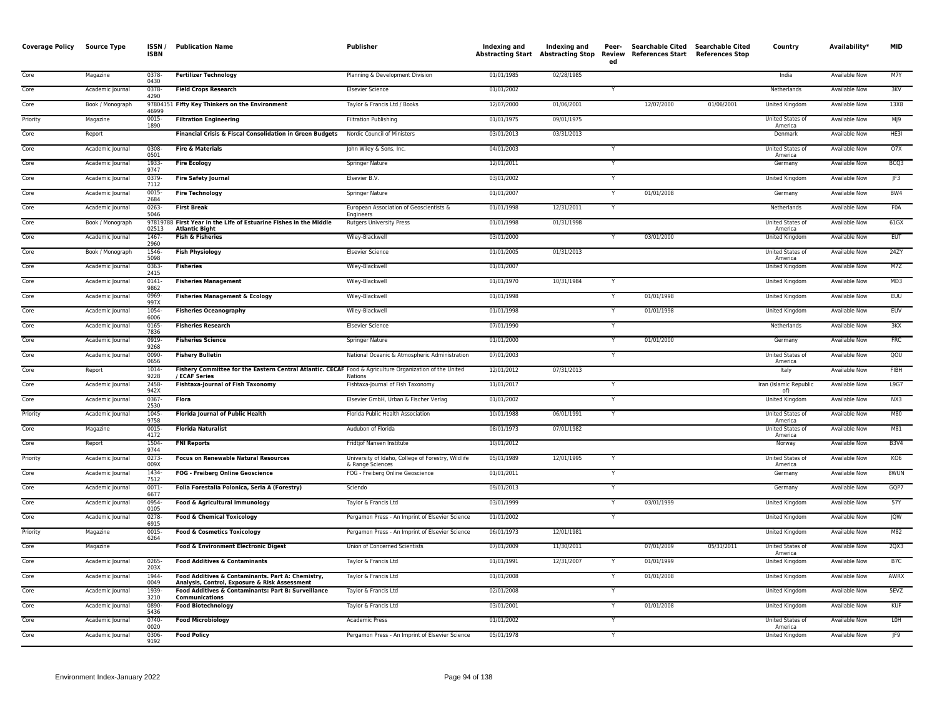| <b>Coverage Policy</b> | Source Type      | ISSN/<br><b>ISBN</b> | <b>Publication Name</b>                                                                                                  | Publisher                                                              | <b>Indexing and</b> | Indexing and<br><b>Abstracting Start Abstracting Stop</b> | Peer-<br>Review<br>ed   | Searchable Cited<br>References Start References Stop | Searchable Cited | Country                            | Availability*        | <b>MID</b>       |
|------------------------|------------------|----------------------|--------------------------------------------------------------------------------------------------------------------------|------------------------------------------------------------------------|---------------------|-----------------------------------------------------------|-------------------------|------------------------------------------------------|------------------|------------------------------------|----------------------|------------------|
| Core                   | Magazine         | 0378<br>0430         | <b>Fertilizer Technology</b>                                                                                             | Planning & Development Division                                        | 01/01/1985          | 02/28/1985                                                |                         |                                                      |                  | India                              | <b>Available Now</b> | M7Y              |
| Core                   | Academic Journal | 0378-<br>4290        | <b>Field Crops Research</b>                                                                                              | <b>Elsevier Science</b>                                                | 01/01/2002          |                                                           | Y                       |                                                      |                  | Netherlands                        | Available Now        | 3KV              |
| Core                   | Book / Monograph | 46999                | 97804151 Fifty Key Thinkers on the Environment                                                                           | Taylor & Francis Ltd / Books                                           | 12/07/2000          | 01/06/2001                                                |                         | 12/07/2000                                           | 01/06/2001       | United Kingdom                     | <b>Available Now</b> | 13X8             |
| Priority               | Magazine         | $0015 -$<br>1890     | <b>Filtration Engineering</b>                                                                                            | <b>Filtration Publishing</b>                                           | 01/01/1975          | 09/01/1975                                                |                         |                                                      |                  | United States of<br>America        | <b>Available Now</b> | M <sub>19</sub>  |
| Core                   | Report           |                      | Financial Crisis & Fiscal Consolidation in Green Budgets                                                                 | Nordic Council of Ministers                                            | 03/01/2013          | 03/31/2013                                                |                         |                                                      |                  | Denmark                            | Available Now        | HE3I             |
| Core                   | Academic Journal | 0308<br>0501         | <b>Fire &amp; Materials</b>                                                                                              | John Wiley & Sons, Inc.                                                | 04/01/2003          |                                                           |                         |                                                      |                  | United States of<br>America        | <b>Available Now</b> | O7X              |
| Core                   | Academic Journal | 1933<br>9747         | <b>Fire Ecology</b>                                                                                                      | <b>Springer Nature</b>                                                 | 12/01/2011          |                                                           | $\overline{\mathsf{Y}}$ |                                                      |                  | Germany                            | <b>Available Now</b> | BCQ3             |
| Core                   | Academic Journal | 0379<br>7112         | <b>Fire Safety Journal</b>                                                                                               | <b>Elsevier B.V.</b>                                                   | 03/01/2002          |                                                           | Y                       |                                                      |                  | United Kingdom                     | Available Now        | IF3              |
| Core                   | Academic Journal | 0015<br>2684         | <b>Fire Technology</b>                                                                                                   | Springer Nature                                                        | 01/01/2007          |                                                           |                         | 01/01/2008                                           |                  | Germany                            | Available Now        | BW4              |
| Core                   | Academic Journal | 0263<br>5046         | <b>First Break</b>                                                                                                       | European Association of Geoscientists &<br><b>Engineers</b>            | 01/01/1998          | 12/31/2011                                                | $\overline{Y}$          |                                                      |                  | Netherlands                        | <b>Available Now</b> | <b>FOA</b>       |
| Core                   | Book / Monograph | 02513                | 97819788 First Year in the Life of Estuarine Fishes in the Middle<br><b>Atlantic Bight</b>                               | <b>Rutgers University Press</b>                                        | 01/01/1998          | 01/31/1998                                                |                         |                                                      |                  | United States of<br>America        | <b>Available Now</b> | $61$ GX          |
| Core                   | Academic Journal | 1467<br>2960         | <b>Fish &amp; Fisheries</b>                                                                                              | Wiley-Blackwell                                                        | 03/01/2000          |                                                           |                         | 03/01/2000                                           |                  | <b>United Kingdom</b>              | <b>Available Now</b> | <b>EUT</b>       |
| Core                   | Book / Monograph | 1546<br>5098         | <b>Fish Physiology</b>                                                                                                   | <b>Elsevier Science</b>                                                | 01/01/2005          | 01/31/2013                                                |                         |                                                      |                  | United States of<br>America        | <b>Available Now</b> | 24ZY             |
| Core                   | Academic Journal | 0363-<br>2415        | <b>Fisheries</b>                                                                                                         | Wiley-Blackwell                                                        | 01/01/2007          |                                                           |                         |                                                      |                  | United Kingdom                     | <b>Available Now</b> | M7Z              |
| Core                   | Academic Journal | 0141<br>9862         | <b>Fisheries Management</b>                                                                                              | Wiley-Blackwell                                                        | 01/01/1970          | 10/31/1984                                                | $\checkmark$            |                                                      |                  | United Kingdom                     | Available Now        | MD3              |
| Core                   | Academic Journal | 0969<br>997X         | <b>Fisheries Management &amp; Ecology</b>                                                                                | Wiley-Blackwell                                                        | 01/01/1998          |                                                           | $\mathsf{v}$            | 01/01/1998                                           |                  | <b>United Kingdom</b>              | <b>Available Now</b> | <b>EUU</b>       |
| Core                   | Academic Journal | $1054 -$<br>6006     | <b>Fisheries Oceanography</b>                                                                                            | Wiley-Blackwell                                                        | 01/01/1998          |                                                           |                         | 01/01/1998                                           |                  | <b>United Kingdom</b>              | <b>Available Now</b> | <b>EUV</b>       |
| Core                   | Academic Journal | 0165<br>7836         | <b>Fisheries Research</b>                                                                                                | <b>Elsevier Science</b>                                                | 07/01/1990          |                                                           | $\checkmark$            |                                                      |                  | Netherlands                        | <b>Available Now</b> | 3KX              |
| Core                   | Academic Journal | 0919-<br>9268        | <b>Fisheries Science</b>                                                                                                 | Springer Nature                                                        | 01/01/2000          |                                                           | Y                       | 01/01/2000                                           |                  | Germany                            | Available Now        | <b>FRC</b>       |
| Core                   | Academic Journal | 0090<br>0656         | <b>Fishery Bulletin</b>                                                                                                  | National Oceanic & Atmospheric Administration                          | 07/01/2003          |                                                           | Y                       |                                                      |                  | United States of<br>America        | <b>Available Now</b> | QOU              |
| Core                   | Report           | $1014 -$<br>9228     | Fishery Committee for the Eastern Central Atlantic. CECAF Food & Agriculture Organization of the United<br>/ ECAF Series | Nations                                                                | 12/01/2012          | 07/31/2013                                                |                         |                                                      |                  | Italy                              | <b>Available Now</b> | <b>FIBH</b>      |
| Core                   | Academic Journal | 2458<br>942X         | <b>Fishtaxa-Journal of Fish Taxonomy</b>                                                                                 | Fishtaxa-Journal of Fish Taxonomy                                      | 11/01/2017          |                                                           | Y                       |                                                      |                  | Iran (Islamic Republic<br>of)      | Available Now        | L9G7             |
| Core                   | Academic Journal | 0367<br>2530         | <b>Flora</b>                                                                                                             | Elsevier GmbH, Urban & Fischer Verlag                                  | 01/01/2002          |                                                           |                         |                                                      |                  | United Kingdom                     | Available Now        | NX3              |
| Priority               | Academic Journal | 1045<br>9758         | <b>Florida lournal of Public Health</b>                                                                                  | Florida Public Health Association                                      | 10/01/1988          | 06/01/1991                                                |                         |                                                      |                  | United States of<br>America        | <b>Available Now</b> | M80              |
| Core                   | Magazine         | 0015<br>4172         | <b>Florida Naturalist</b>                                                                                                | Audubon of Florida                                                     | 08/01/1973          | 07/01/1982                                                |                         |                                                      |                  | United States of<br>America        | Available Now        | M81              |
| Core                   | Report           | 1504<br>9744         | <b>FNI Reports</b>                                                                                                       | Fridtjof Nansen Institute                                              | 10/01/2012          |                                                           |                         |                                                      |                  | Norway                             | Available Now        | <b>B3V4</b>      |
| Priority               | Academic Journal | $0273-$<br>009X      | <b>Focus on Renewable Natural Resources</b>                                                                              | University of Idaho, College of Forestry, Wildlife<br>& Range Sciences | 05/01/1989          | 12/01/1995                                                | $\mathsf{Y}$            |                                                      |                  | <b>United States of</b><br>America | <b>Available Now</b> | KO <sub>6</sub>  |
| Core                   | Academic Journal | 1434<br>7512         | FOG - Freiberg Online Geoscience                                                                                         | FOG - Freiberg Online Geoscience                                       | 01/01/2011          |                                                           | Y                       |                                                      |                  | Germany                            | Available Now        | <b>8WUN</b>      |
| Core                   | Academic Journal | 0071<br>6677         | Folia Forestalia Polonica, Seria A (Forestry)                                                                            | Sciendo                                                                | 09/01/2013          |                                                           | Y                       |                                                      |                  | Germany                            | Available Now        | GQP7             |
| Core                   | Academic Journal | 0954<br>0105         | Food & Agricultural Immunology                                                                                           | Taylor & Francis Ltd                                                   | 03/01/1999          |                                                           | $\mathsf{Y}$            | 03/01/1999                                           |                  | United Kingdom                     | <b>Available Now</b> | 57Y              |
| Core                   | Academic Journal | 0278<br>6915         | <b>Food &amp; Chemical Toxicology</b>                                                                                    | Pergamon Press - An Imprint of Elsevier Science                        | 01/01/2002          |                                                           | Y                       |                                                      |                  | United Kingdom                     | Available Now        | <b>JQW</b>       |
| Priority               | Magazine         | 0015<br>6264         | <b>Food &amp; Cosmetics Toxicology</b>                                                                                   | Pergamon Press - An Imprint of Elsevier Science                        | 06/01/1973          | 12/01/1981                                                |                         |                                                      |                  | United Kingdom                     | Available Now        | M82              |
| Core                   | Magazine         |                      | Food & Environment Electronic Digest                                                                                     | Union of Concerned Scientists                                          | 07/01/2009          | 11/30/2011                                                |                         | 07/01/2009                                           | 05/31/2011       | United States of<br>America        | <b>Available Now</b> | 2QX3             |
| Core                   | Academic Journal | $0265 -$<br>203X     | <b>Food Additives &amp; Contaminants</b>                                                                                 | Taylor & Francis Ltd                                                   | 01/01/1991          | 12/31/2007                                                |                         | 01/01/1999                                           |                  | United Kingdom                     | <b>Available Now</b> | B <sub>7</sub> C |
| Core                   | Academic Journal | 1944-<br>0049        | Food Additives & Contaminants. Part A: Chemistry,<br>Analysis, Control, Exposure & Risk Assessment                       | Taylor & Francis Ltd                                                   | 01/01/2008          |                                                           | Y                       | 01/01/2008                                           |                  | United Kingdom                     | Available Now        | AWRX             |
| Core                   | Academic Journal | 1939-<br>3210        | Food Additives & Contaminants: Part B: Surveillance<br>Communications                                                    | Taylor & Francis Ltd                                                   | 02/01/2008          |                                                           |                         |                                                      |                  | United Kingdom                     | <b>Available Now</b> | 5EVZ             |
| Core                   | Academic Journal | 0890-<br>5436        | <b>Food Biotechnology</b>                                                                                                | Taylor & Francis Ltd                                                   | 03/01/2001          |                                                           |                         | 01/01/2008                                           |                  | <b>United Kingdom</b>              | <b>Available Now</b> | <b>KUF</b>       |
| Core                   | Academic Journal | 0740-<br>0020        | <b>Food Microbiology</b>                                                                                                 | Academic Press                                                         | 01/01/2002          |                                                           | Y                       |                                                      |                  | United States of<br>America        | Available Now        | <b>LOH</b>       |
| Core                   | Academic Journal | 0306<br>9192         | <b>Food Policy</b>                                                                                                       | Pergamon Press - An Imprint of Elsevier Science                        | 05/01/1978          |                                                           |                         |                                                      |                  | United Kingdom                     | Available Now        | JF9              |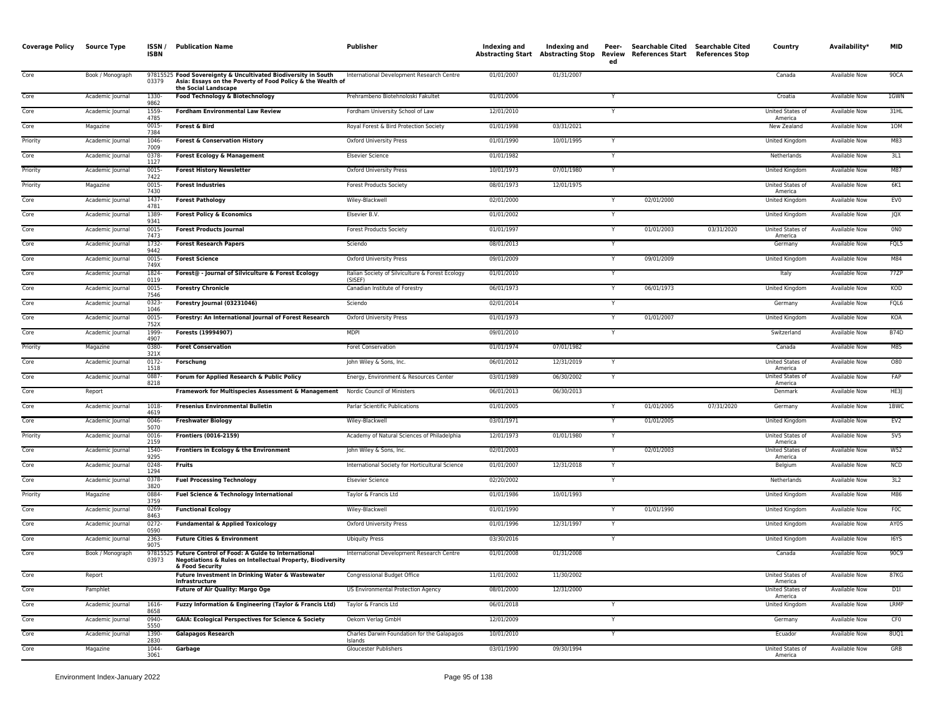| <b>Coverage Policy</b> | <b>Source Type</b> | ISSN/<br><b>ISBN</b> | <b>Publication Name</b>                                                                                                                              | Publisher                                                   | Indexing and | Indexing and<br>Abstracting Start Abstracting Stop | Peer-<br>ed  | Searchable Cited<br>Review References Start References Stop | <b>Searchable Cited</b> | Country                            | Availability*        | <b>MID</b>       |
|------------------------|--------------------|----------------------|------------------------------------------------------------------------------------------------------------------------------------------------------|-------------------------------------------------------------|--------------|----------------------------------------------------|--------------|-------------------------------------------------------------|-------------------------|------------------------------------|----------------------|------------------|
| Core                   | Book / Monograph   | 03379                | 97815525 Food Sovereignty & Uncultivated Biodiversity in South<br>Asia: Essays on the Poverty of Food Policy & the Wealth of<br>the Social Landscape | International Development Research Centre                   | 01/01/2007   | 01/31/2007                                         |              |                                                             |                         | Canada                             | <b>Available Now</b> | 90CA             |
| Core                   | Academic Journal   | 1330-<br>9862        | Food Technology & Biotechnology                                                                                                                      | Prehrambeno Biotehnoloski Fakultet                          | 01/01/2006   |                                                    |              |                                                             |                         | Croatia                            | <b>Available Now</b> | 1GWN             |
| Core                   | Academic Journal   | 1559<br>4785         | <b>Fordham Environmental Law Review</b>                                                                                                              | Fordham University School of Law                            | 12/01/2010   |                                                    |              |                                                             |                         | United States of<br>America        | Available Now        | 31HL             |
| Core                   | Magazine           | 0015<br>7384         | Forest & Bird                                                                                                                                        | Royal Forest & Bird Protection Society                      | 01/01/1998   | 03/31/2021                                         |              |                                                             |                         | New Zealand                        | Available Now        | 10M              |
| Priority               | Academic Journal   | 1046-<br>7009        | <b>Forest &amp; Conservation History</b>                                                                                                             | <b>Oxford University Press</b>                              | 01/01/1990   | 10/01/1995                                         |              |                                                             |                         | <b>United Kingdom</b>              | <b>Available Now</b> | M83              |
| Core                   | Academic Journal   | 0378<br>1127         | <b>Forest Ecology &amp; Management</b>                                                                                                               | <b>Elsevier Science</b>                                     | 01/01/1982   |                                                    |              |                                                             |                         | Netherlands                        | <b>Available Now</b> | 3L1              |
| Priority               | Academic Journal   | 0015<br>7422         | <b>Forest History Newsletter</b>                                                                                                                     | <b>Oxford University Press</b>                              | 10/01/1973   | 07/01/1980                                         |              |                                                             |                         | United Kingdom                     | Available Now        | M87              |
| Priority               | Magazine           | 0015<br>7430         | <b>Forest Industries</b>                                                                                                                             | <b>Forest Products Society</b>                              | 08/01/1973   | 12/01/1975                                         |              |                                                             |                         | United States of<br>America        | <b>Available Now</b> | 6K1              |
| Core                   | Academic Journal   | 1437-<br>4781        | <b>Forest Pathology</b>                                                                                                                              | Wiley-Blackwell                                             | 02/01/2000   |                                                    | Y            | 02/01/2000                                                  |                         | United Kingdom                     | Available Now        | EV <sub>0</sub>  |
| Core                   | Academic Journal   | 1389<br>9341         | <b>Forest Policy &amp; Economics</b>                                                                                                                 | Elsevier B.V.                                               | 01/01/2002   |                                                    |              |                                                             |                         | United Kingdom                     | <b>Available Now</b> | <b>JQX</b>       |
| Core                   | Academic Journal   | 0015<br>7473         | <b>Forest Products Journal</b>                                                                                                                       | <b>Forest Products Society</b>                              | 01/01/1997   |                                                    |              | 01/01/2003                                                  | 03/31/2020              | United States of<br>America        | <b>Available Now</b> | 0N <sub>0</sub>  |
| Core                   | Academic Journal   | 1732-<br>9442        | <b>Forest Research Papers</b>                                                                                                                        | Sciendo                                                     | 08/01/2013   |                                                    |              |                                                             |                         | Germany                            | <b>Available Now</b> | FQL5             |
| Core                   | Academic Journal   | 0015<br>749X         | <b>Forest Science</b>                                                                                                                                | Oxford University Press                                     | 09/01/2009   |                                                    |              | 09/01/2009                                                  |                         | <b>United Kingdom</b>              | Available Now        | M84              |
| Core                   | Academic Journal   | 1824-<br>0119        | Forest@ - Journal of Silviculture & Forest Ecology                                                                                                   | Italian Society of Silviculture & Forest Ecology<br>(SISFF) | 01/01/2010   |                                                    |              |                                                             |                         | Italy                              | <b>Available Now</b> | 77ZP             |
| Core                   | Academic Journal   | 0015<br>7546         | <b>Forestry Chronicle</b>                                                                                                                            | Canadian Institute of Forestry                              | 06/01/1973   |                                                    |              | 06/01/1973                                                  |                         | <b>United Kingdom</b>              | <b>Available Now</b> | KOD              |
| Core                   | Academic Journal   | 0323<br>1046         | Forestry Journal (03231046)                                                                                                                          | Sciendo                                                     | 02/01/2014   |                                                    |              |                                                             |                         | Germany                            | Available Now        | FQL6             |
| Core                   | Academic Journal   | 0015<br>752X         | Forestry: An International Journal of Forest Research                                                                                                | <b>Oxford University Press</b>                              | 01/01/1973   |                                                    |              | 01/01/2007                                                  |                         | United Kingdom                     | <b>Available Now</b> | KOA              |
| Core                   | Academic Journal   | 1999<br>4907         | Forests (19994907)                                                                                                                                   | <b>MDPI</b>                                                 | 09/01/2010   |                                                    | $\checkmark$ |                                                             |                         | Switzerland                        | <b>Available Now</b> | <b>B74D</b>      |
| Priority               | Magazine           | 0380<br>321X         | <b>Foret Conservation</b>                                                                                                                            | Foret Conservation                                          | 01/01/1974   | 07/01/1982                                         |              |                                                             |                         | Canada                             | <b>Available Now</b> | M85              |
| Core                   | Academic Journal   | $0172 -$<br>1518     | Forschung                                                                                                                                            | John Wiley & Sons, Inc.                                     | 06/01/2012   | 12/31/2019                                         |              |                                                             |                         | <b>United States of</b><br>America | <b>Available Now</b> | 080              |
| Core                   | Academic Journal   | 0887<br>8218         | Forum for Applied Research & Public Policy                                                                                                           | Energy, Environment & Resources Center                      | 03/01/1989   | 06/30/2002                                         |              |                                                             |                         | United States of<br>America        | <b>Available Now</b> | FAP              |
| Core                   | Report             |                      | Framework for Multispecies Assessment & Management Nordic Council of Ministers                                                                       |                                                             | 06/01/2013   | 06/30/2013                                         |              |                                                             |                         | Denmark                            | <b>Available Now</b> | HE3              |
| Core                   | Academic Journal   | 1018<br>4619         | <b>Fresenius Environmental Bulletin</b>                                                                                                              | Parlar Scientific Publications                              | 01/01/2005   |                                                    |              | 01/01/2005                                                  | 07/31/2020              | Germany                            | Available Now        | 1BWC             |
| Core                   | Academic Journal   | 0046<br>5070         | <b>Freshwater Biology</b>                                                                                                                            | Wiley-Blackwell                                             | 03/01/1971   |                                                    |              | 01/01/2005                                                  |                         | United Kingdom                     | <b>Available Now</b> | EV2              |
| Priority               | Academic Journal   | 0016-<br>2159        | <b>Frontiers (0016-2159)</b>                                                                                                                         | Academy of Natural Sciences of Philadelphia                 | 12/01/1973   | 01/01/1980                                         | Y            |                                                             |                         | United States of<br>America        | Available Now        | 5V5              |
| Core                   | Academic Journal   | 1540<br>9295         | Frontiers in Ecology & the Environment                                                                                                               | John Wiley & Sons, Inc.                                     | 02/01/2003   |                                                    |              | 02/01/2003                                                  |                         | United States of<br>America        | <b>Available Now</b> | W52              |
| Core                   | Academic Journal   | 0248<br>1294         | Fruits                                                                                                                                               | International Society for Horticultural Science             | 01/01/2007   | 12/31/2018                                         |              |                                                             |                         | Belgium                            | Available Now        | NCD              |
| Core                   | Academic Journal   | 0378<br>3820         | <b>Fuel Processing Technology</b>                                                                                                                    | <b>Elsevier Science</b>                                     | 02/20/2002   |                                                    |              |                                                             |                         | Netherlands                        | <b>Available Now</b> | 3L2              |
| Priority               | Magazine           | 0884<br>3759         | <b>Fuel Science &amp; Technology International</b>                                                                                                   | Taylor & Francis Ltd                                        | 01/01/1986   | 10/01/1993                                         |              |                                                             |                         | <b>United Kingdom</b>              | <b>Available Now</b> | M86              |
| Core                   | Academic Journal   | 0269<br>8463         | <b>Functional Ecology</b>                                                                                                                            | Wiley-Blackwell                                             | 01/01/1990   |                                                    |              | 01/01/1990                                                  |                         | <b>United Kingdom</b>              | <b>Available Now</b> | F <sub>0</sub> C |
| Core                   | Academic Journal   | $0272 -$<br>0590     | <b>Fundamental &amp; Applied Toxicology</b>                                                                                                          | <b>Oxford University Press</b>                              | 01/01/1996   | 12/31/1997                                         |              |                                                             |                         | <b>United Kingdom</b>              | <b>Available Now</b> | AY0S             |
| Core                   | Academic Journal   | 2363-<br>9075        | <b>Future Cities &amp; Environment</b>                                                                                                               | <b>Ubiquity Press</b>                                       | 03/30/2016   |                                                    | Y            |                                                             |                         | United Kingdom                     | Available Now        | I6YS             |
| Core                   | Book / Monograph   | 03973                | 97815525 Future Control of Food: A Guide to International<br>Negotiations & Rules on Intellectual Property, Biodiversity<br>& Food Security          | International Development Research Centre                   | 01/01/2008   | 01/31/2008                                         |              |                                                             |                         | Canada                             | Available Now        | 90C9             |
| Core                   | Report             |                      | Future Investment in Drinking Water & Wastewater<br>Infrastructure                                                                                   | Congressional Budget Office                                 | 11/01/2002   | 11/30/2002                                         |              |                                                             |                         | United States of<br>America        | <b>Available Now</b> | 87KG             |
| Core                   | Pamphlet           |                      | Future of Air Quality: Margo Oge                                                                                                                     | US Environmental Protection Agency                          | 08/01/2000   | 12/31/2000                                         |              |                                                             |                         | United States of<br>America        | <b>Available Now</b> | D11              |
| Core                   | Academic Journal   | 1616<br>8658         | Fuzzy Information & Engineering (Taylor & Francis Ltd)                                                                                               | Taylor & Francis Ltd                                        | 06/01/2018   |                                                    |              |                                                             |                         | United Kingdom                     | Available Now        | LRMP             |
| Core                   | Academic Journal   | 0940<br>5550         | <b>GAIA: Ecological Perspectives for Science &amp; Society</b>                                                                                       | Oekom Verlag GmbH                                           | 12/01/2009   |                                                    |              |                                                             |                         | Germany                            | <b>Available Now</b> | CF <sub>0</sub>  |
| Core                   | Academic Journal   | 1390-<br>2830        | <b>Galapagos Research</b>                                                                                                                            | Charles Darwin Foundation for the Galapagos<br>Islands      | 10/01/2010   |                                                    | $\mathsf{Y}$ |                                                             |                         | Ecuador                            | Available Now        | 8UQ1             |
| Core                   | Magazine           | 1044<br>3061         | Garbage                                                                                                                                              | Gloucester Publishers                                       | 03/01/1990   | 09/30/1994                                         |              |                                                             |                         | United States of<br>America        | Available Now        | GRB              |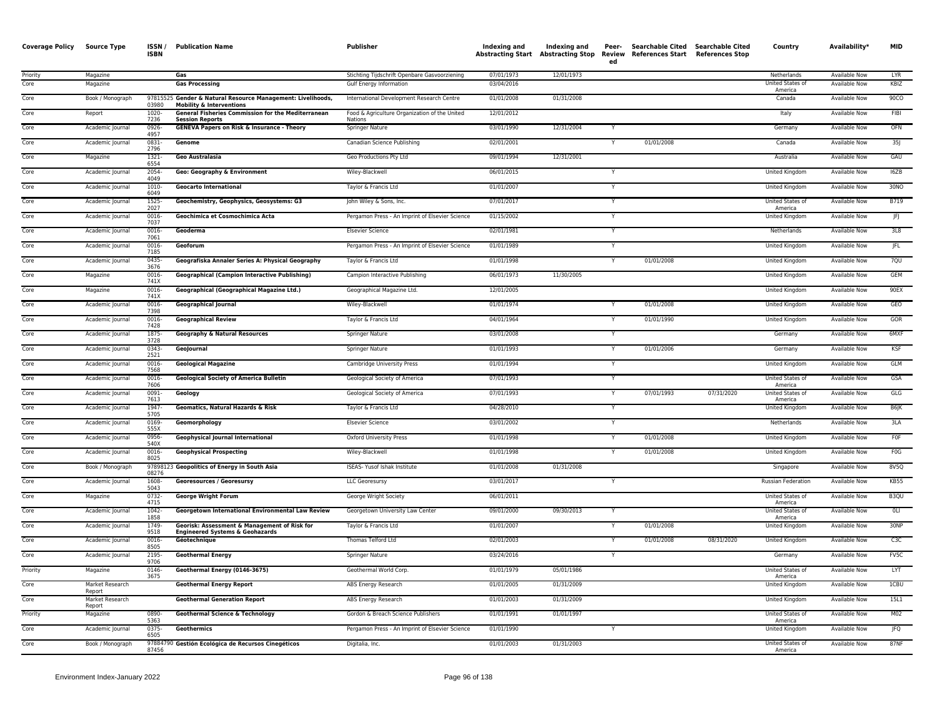| <b>Coverage Policy</b> | <b>Source Type</b>        | ISSN/<br><b>ISBN</b> | <b>Publication Name</b>                                                                            | Publisher                                                                | <b>Indexing and</b>      | Indexing and | Peer-<br>ed  | Searchable Cited Searchable Cited<br>Abstracting Start Abstracting Stop Review References Start References Stop |            | Country                                    | Availability*                         | <b>MID</b>       |
|------------------------|---------------------------|----------------------|----------------------------------------------------------------------------------------------------|--------------------------------------------------------------------------|--------------------------|--------------|--------------|-----------------------------------------------------------------------------------------------------------------|------------|--------------------------------------------|---------------------------------------|------------------|
| Priority<br>Core       | Magazine<br>Magazine      |                      | Gas<br><b>Gas Processing</b>                                                                       | Stichting Tijdschrift Openbare Gasvoorziening<br>Gulf Energy Information | 07/01/1973<br>03/04/2016 | 12/01/1973   |              |                                                                                                                 |            | Netherlands<br>United States of<br>America | <b>Available Now</b><br>Available Now | LYR<br>KBIZ      |
| Core                   | Book / Monograph          | 03980                | 97815525 Gender & Natural Resource Management: Livelihoods,<br><b>Mobility &amp; Interventions</b> | International Development Research Centre                                | 01/01/2008               | 01/31/2008   |              |                                                                                                                 |            | Canada                                     | <b>Available Now</b>                  | 90 <sub>CO</sub> |
| Core                   | Report                    | 1020<br>7236         | <b>General Fisheries Commission for the Mediterranean</b><br><b>Session Reports</b>                | Food & Agriculture Organization of the United<br>Nations                 | 12/01/2012               |              |              |                                                                                                                 |            | Italy                                      | Available Now                         | FIBI             |
| Core                   | Academic Journal          | 0926-<br>4957        | <b>GENEVA Papers on Risk &amp; Insurance - Theory</b>                                              | Springer Nature                                                          | 03/01/1990               | 12/31/2004   | Y            |                                                                                                                 |            | Germany                                    | <b>Available Now</b>                  | OFN              |
| Core                   | Academic Journal          | 0831<br>2796         | Genome                                                                                             | Canadian Science Publishing                                              | 02/01/2001               |              | Y            | 01/01/2008                                                                                                      |            | Canada                                     | <b>Available Now</b>                  | 35j              |
| Core                   | Magazine                  | 1321-<br>6554        | <b>Geo Australasia</b>                                                                             | Geo Productions Pty Ltd                                                  | 09/01/1994               | 12/31/2001   |              |                                                                                                                 |            | Australia                                  | Available Now                         | GAU              |
| Core                   | Academic Journal          | 2054-<br>4049        | Geo: Geography & Environment                                                                       | Wiley-Blackwell                                                          | 06/01/2015               |              |              |                                                                                                                 |            | United Kingdom                             | Available Now                         | 16ZB             |
| Core                   | Academic Journal          | 1010-<br>6049        | <b>Geocarto International</b>                                                                      | Taylor & Francis Ltd                                                     | 01/01/2007               |              | Y            |                                                                                                                 |            | United Kingdom                             | <b>Available Now</b>                  | 30NO             |
| Core                   | Academic Journal          | 1525-<br>2027        | Geochemistry, Geophysics, Geosystems: G3                                                           | John Wiley & Sons, Inc.                                                  | 07/01/2017               |              | Y            |                                                                                                                 |            | United States of<br>America                | <b>Available Now</b>                  | B719             |
| Core                   | Academic Journal          | 0016-<br>7037        | Geochimica et Cosmochimica Acta                                                                    | Pergamon Press - An Imprint of Elsevier Science                          | 01/15/2002               |              | Y            |                                                                                                                 |            | <b>United Kingdom</b>                      | <b>Available Now</b>                  | JFJ              |
| Core                   | Academic Journal          | 0016-<br>7061        | Geoderma                                                                                           | <b>Elsevier Science</b>                                                  | 02/01/1981               |              | Y            |                                                                                                                 |            | Netherlands                                | Available Now                         | 3L8              |
| Core                   | Academic Journal          | 0016<br>7185         | Geoforum                                                                                           | Pergamon Press - An Imprint of Elsevier Science                          | 01/01/1989               |              |              |                                                                                                                 |            | United Kingdom                             | Available Now                         | JFL              |
| Core                   | Academic Journal          | 0435-<br>3676        | Geografiska Annaler Series A: Physical Geography                                                   | Taylor & Francis Ltd                                                     | 01/01/1998               |              | $\mathsf{v}$ | 01/01/2008                                                                                                      |            | United Kingdom                             | Available Now                         | 7QU              |
| Core                   | Magazine                  | 0016-<br>741X        | <b>Geographical (Campion Interactive Publishing)</b>                                               | Campion Interactive Publishing                                           | 06/01/1973               | 11/30/2005   |              |                                                                                                                 |            | United Kingdom                             | Available Now                         | <b>GEM</b>       |
| Core                   | Magazine                  | 0016-<br>741X        | Geographical (Geographical Magazine Ltd.)                                                          | Geographical Magazine Ltd.                                               | 12/01/2005               |              |              |                                                                                                                 |            | <b>United Kingdom</b>                      | <b>Available Now</b>                  | 90EX             |
| Core                   | Academic Journal          | $0016 -$<br>7398     | <b>Geographical Journal</b>                                                                        | Wiley-Blackwell                                                          | 01/01/1974               |              |              | 01/01/2008                                                                                                      |            | United Kingdom                             | <b>Available Now</b>                  | GEO              |
| Core                   | Academic Journal          | 0016-<br>7428        | <b>Geographical Review</b>                                                                         | Taylor & Francis Ltd                                                     | 04/01/1964               |              |              | 01/01/1990                                                                                                      |            | United Kingdom                             | <b>Available Now</b>                  | GOR              |
| Core                   | Academic Journal          | 1875-<br>3728        | <b>Geography &amp; Natural Resources</b>                                                           | Springer Nature                                                          | 03/01/2008               |              | Y            |                                                                                                                 |            | Germany                                    | <b>Available Now</b>                  | 6MXF             |
| Core                   | Academic Journal          | 0343<br>2521         | GeoJournal                                                                                         | <b>Springer Nature</b>                                                   | 01/01/1993               |              |              | 01/01/2006                                                                                                      |            | Germany                                    | <b>Available Now</b>                  | <b>KSF</b>       |
| Core                   | Academic Journal          | 0016-<br>7568        | <b>Geological Magazine</b>                                                                         | Cambridge University Press                                               | 01/01/1994               |              |              |                                                                                                                 |            | United Kingdom                             | Available Now                         | <b>GLM</b>       |
| Core                   | Academic Journal          | $0016 -$<br>7606     | <b>Geological Society of America Bulletin</b>                                                      | Geological Society of America                                            | 07/01/1993               |              | Y            |                                                                                                                 |            | United States of<br>America                | <b>Available Now</b>                  | GSA              |
| Core                   | Academic Journal          | 0091<br>7613         | Geology                                                                                            | Geological Society of America                                            | 07/01/1993               |              |              | 07/01/1993                                                                                                      | 07/31/2020 | United States of<br>America                | Available Now                         | GLG              |
| Core                   | Academic Journal          | 1947<br>5705         | <b>Geomatics, Natural Hazards &amp; Risk</b>                                                       | Taylor & Francis Ltd                                                     | 04/28/2010               |              | Y            |                                                                                                                 |            | United Kingdom                             | Available Now                         | B6JK             |
| Core                   | Academic Journal          | 0169-<br>555X        | Geomorphology                                                                                      | <b>Elsevier Science</b>                                                  | 03/01/2002               |              |              |                                                                                                                 |            | Netherlands                                | Available Now                         | 3LA              |
| Core                   | Academic Journal          | 0956-<br>540X        | <b>Geophysical Journal International</b>                                                           | Oxford University Press                                                  | 01/01/1998               |              | $\checkmark$ | 01/01/2008                                                                                                      |            | <b>United Kingdom</b>                      | <b>Available Now</b>                  | FOF              |
| Core                   | Academic Journal          | 0016-<br>8025        | <b>Geophysical Prospecting</b>                                                                     | Wiley-Blackwell                                                          | 01/01/1998               |              |              | 01/01/2008                                                                                                      |            | United Kingdom                             | Available Now                         | FOG              |
| Core                   | Book / Monograph          | 08276                | 97898123 Geopolitics of Energy in South Asia                                                       | ISEAS- Yusof Ishak Institute                                             | 01/01/2008               | 01/31/2008   |              |                                                                                                                 |            | Singapore                                  | <b>Available Now</b>                  | 8V5Q             |
| Core                   | Academic Journal          | 1608<br>5043         | <b>Georesources / Georesursy</b>                                                                   | <b>LLC Georesursy</b>                                                    | 03/01/2017               |              | Y            |                                                                                                                 |            | <b>Russian Federation</b>                  | <b>Available Now</b>                  | <b>KB55</b>      |
| Core                   | Magazine                  | 0732-<br>4715        | <b>George Wright Forum</b>                                                                         | George Wright Society                                                    | 06/01/2011               |              |              |                                                                                                                 |            | United States of<br>America                | Available Now                         | B3QU             |
| Core                   | Academic Journal          | 1042-<br>1858        | Georgetown International Environmental Law Review                                                  | Georgetown University Law Center                                         | 09/01/2000               | 09/30/2013   |              |                                                                                                                 |            | United States of<br>America                | Available Now                         | OLI              |
| Core                   | Academic Journal          | 1749-<br>9518        | Georisk: Assessment & Management of Risk for<br><b>Engineered Systems &amp; Geohazards</b>         | Taylor & Francis Ltd                                                     | 01/01/2007               |              |              | 01/01/2008                                                                                                      |            | <b>United Kingdom</b>                      | <b>Available Now</b>                  | 30NP             |
| Core                   | Academic Journal          | 0016-<br>8505        | Géotechnique                                                                                       | Thomas Telford Ltd                                                       | 02/01/2003               |              |              | 01/01/2008                                                                                                      | 08/31/2020 | United Kingdom                             | <b>Available Now</b>                  | C3C              |
| Core                   | Academic Journal          | 2195-<br>9706        | <b>Geothermal Energy</b>                                                                           | <b>Springer Nature</b>                                                   | 03/24/2016               |              |              |                                                                                                                 |            | Germany                                    | <b>Available Now</b>                  | FV5C             |
| Priority               | Magazine                  | 0146-<br>3675        | Geothermal Energy (0146-3675)                                                                      | Geothermal World Corp.                                                   | 01/01/1979               | 05/01/1986   |              |                                                                                                                 |            | United States of<br>America                | Available Now                         | LYT              |
| Core                   | Market Research<br>Report |                      | <b>Geothermal Energy Report</b>                                                                    | ABS Energy Research                                                      | 01/01/2005               | 01/31/2009   |              |                                                                                                                 |            | United Kingdom                             | Available Now                         | 1CBU             |
| Core                   | Market Research<br>Report |                      | <b>Geothermal Generation Report</b>                                                                | ABS Energy Research                                                      | 01/01/2003               | 01/31/2009   |              |                                                                                                                 |            | United Kingdom                             | Available Now                         | 15L1             |
| Priority               | Magazine                  | 0890-<br>5363        | <b>Geothermal Science &amp; Technology</b>                                                         | Gordon & Breach Science Publishers                                       | 01/01/1991               | 01/01/1997   |              |                                                                                                                 |            | United States of<br>America                | <b>Available Now</b>                  | M <sub>02</sub>  |
| Core                   | Academic Journal          | 0375<br>6505         | Geothermics                                                                                        | Pergamon Press - An Imprint of Elsevier Science                          | 01/01/1990               |              |              |                                                                                                                 |            | United Kingdom                             | Available Now                         | <b>JEQ</b>       |
| Core                   | Book / Monograph          | 87456                | 97884790 Gestión Ecológica de Recursos Cinegéticos                                                 | Digitalia, Inc.                                                          | 01/01/2003               | 01/31/2003   |              |                                                                                                                 |            | United States of<br>America                | <b>Available Now</b>                  | 87NF             |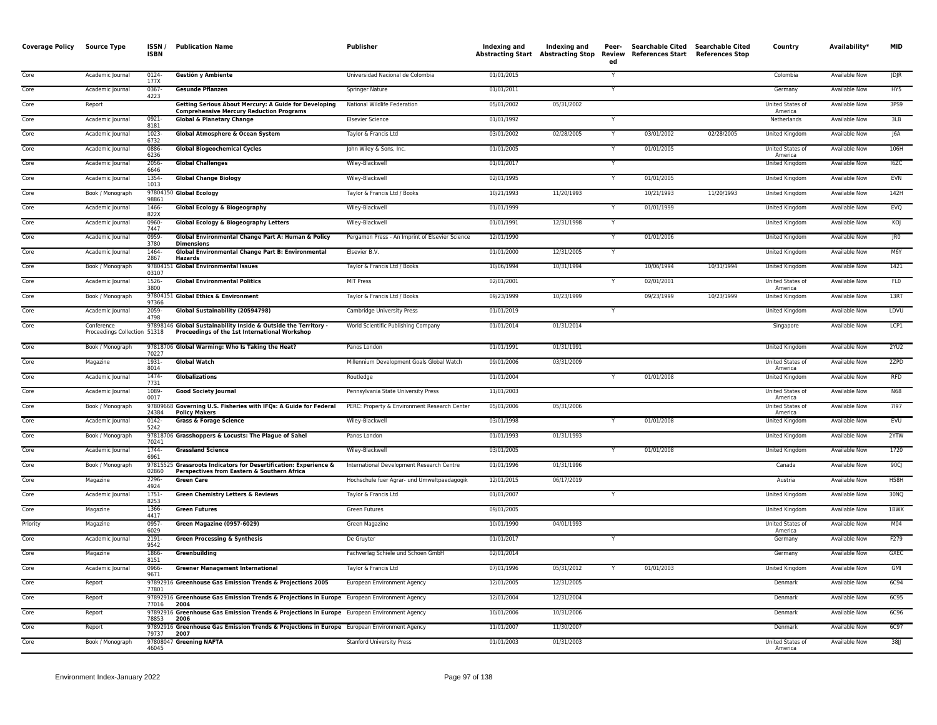| <b>Coverage Policy</b> | <b>Source Type</b>                         | ISSN/<br><b>ISBN</b> | <b>Publication Name</b>                                                                                          | <b>Publisher</b>                                | Indexing and | Indexing and<br><b>Abstracting Start Abstracting Stop</b> | Peer-<br>ed | Searchable Cited Searchable Cited<br>Review References Start References Stop |            | Country                     | Availability*        | <b>MID</b>      |
|------------------------|--------------------------------------------|----------------------|------------------------------------------------------------------------------------------------------------------|-------------------------------------------------|--------------|-----------------------------------------------------------|-------------|------------------------------------------------------------------------------|------------|-----------------------------|----------------------|-----------------|
| Core                   | Academic Journal                           | 0124-<br>177X        | Gestión y Ambiente                                                                                               | Universidad Nacional de Colombia                | 01/01/2015   |                                                           | Y           |                                                                              |            | Colombia                    | Available Now        | <b>JDJR</b>     |
| Core                   | Academic Journal                           | 0367<br>4223         | <b>Gesunde Pflanzen</b>                                                                                          | Springer Nature                                 | 01/01/2011   |                                                           |             |                                                                              |            | Germany                     | <b>Available Now</b> | HY5             |
| Core                   | Report                                     |                      | Getting Serious About Mercury: A Guide for Developing<br><b>Comprehensive Mercury Reduction Programs</b>         | National Wildlife Federation                    | 05/01/2002   | 05/31/2002                                                |             |                                                                              |            | United States of<br>America | Available Now        | 3PS9            |
| Core                   | Academic Journal                           | $0921 -$<br>8181     | <b>Global &amp; Planetary Change</b>                                                                             | <b>Elsevier Science</b>                         | 01/01/1992   |                                                           | Y           |                                                                              |            | Netherlands                 | <b>Available Now</b> | 3 <sub>LB</sub> |
| Core                   | Academic Journal                           | 1023<br>6732         | <b>Global Atmosphere &amp; Ocean System</b>                                                                      | Taylor & Francis Ltd                            | 03/01/2002   | 02/28/2005                                                | Y           | 03/01/2002                                                                   | 02/28/2005 | United Kingdom              | Available Now        | J6A             |
| Core                   | Academic Journal                           | 0886<br>6236         | <b>Global Biogeochemical Cycles</b>                                                                              | John Wiley & Sons, Inc.                         | 01/01/2005   |                                                           | Y           | 01/01/2005                                                                   |            | United States of<br>America | Available Now        | 106H            |
| Core                   | Academic Journal                           | 2056<br>6646         | <b>Global Challenges</b>                                                                                         | Wiley-Blackwell                                 | 01/01/2017   |                                                           |             |                                                                              |            | <b>United Kingdom</b>       | <b>Available Now</b> | I6ZC            |
| Core                   | Academic Journal                           | 1354-<br>1013        | <b>Global Change Biology</b>                                                                                     | Wiley-Blackwell                                 | 02/01/1995   |                                                           | Y           | 01/01/2005                                                                   |            | United Kingdom              | Available Now        | EVN             |
| Core                   | Book / Monograph                           | 98861                | 97804150 Global Ecology                                                                                          | Taylor & Francis Ltd / Books                    | 10/21/1993   | 11/20/1993                                                |             | 10/21/1993                                                                   | 11/20/1993 | United Kingdom              | <b>Available Now</b> | 142H            |
| Core                   | Academic Journal                           | 1466-<br>822X        | Global Ecology & Biogeography                                                                                    | Wiley-Blackwell                                 | 01/01/1999   |                                                           | Y           | 01/01/1999                                                                   |            | United Kingdom              | <b>Available Now</b> | EVQ             |
| Core                   | Academic Journal                           | 0960-<br>7447        | Global Ecology & Biogeography Letters                                                                            | Wiley-Blackwell                                 | 01/01/1991   | 12/31/1998                                                | Y           |                                                                              |            | United Kingdom              | Available Now        | KOJ             |
| Core                   | Academic Journal                           | 0959-<br>3780        | Global Environmental Change Part A: Human & Policy<br><b>Dimensions</b>                                          | Pergamon Press - An Imprint of Elsevier Science | 12/01/1990   |                                                           |             | 01/01/2006                                                                   |            | <b>United Kingdom</b>       | <b>Available Now</b> | IRO             |
| Core                   | Academic Journal                           | 1464-<br>2867        | Global Environmental Change Part B: Environmental<br><b>Hazards</b>                                              | Elsevier B.V.                                   | 01/01/2000   | 12/31/2005                                                | Y           |                                                                              |            | United Kingdom              | Available Now        | M6Y             |
| Core                   | Book / Monograph                           | 03107                | 97804151 Global Environmental Issues                                                                             | Taylor & Francis Ltd / Books                    | 10/06/1994   | 10/31/1994                                                |             | 10/06/1994                                                                   | 10/31/1994 | United Kingdom              | <b>Available Now</b> | 1421            |
| Core                   | Academic Journal                           | 1526-<br>3800        | <b>Global Environmental Politics</b>                                                                             | <b>MIT Press</b>                                | 02/01/2001   |                                                           |             | 02/01/2001                                                                   |            | United States of<br>America | Available Now        | FL <sub>0</sub> |
| Core                   | Book / Monograph                           | 97366                | 97804151 Global Ethics & Environment                                                                             | Taylor & Francis Ltd / Books                    | 09/23/1999   | 10/23/1999                                                |             | 09/23/1999                                                                   | 10/23/1999 | United Kingdom              | Available Now        | 13RT            |
| Core                   | Academic Journal                           | 2059-<br>4798        | Global Sustainability (20594798)                                                                                 | Cambridge University Press                      | 01/01/2019   |                                                           |             |                                                                              |            | United Kingdom              | <b>Available Now</b> | LDVU            |
| Core                   | Conference<br>Proceedings Collection 51318 |                      | 97898146 Global Sustainability Inside & Outside the Territory -<br>Proceedings of the 1st International Workshop | World Scientific Publishing Company             | 01/01/2014   | 01/31/2014                                                |             |                                                                              |            | Singapore                   | <b>Available Now</b> | LCP1            |
| Core                   | Book / Monograph                           | 70227                | 97818706 Global Warming: Who Is Taking the Heat?                                                                 | Panos London                                    | 01/01/1991   | 01/31/1991                                                |             |                                                                              |            | United Kingdom              | <b>Available Now</b> | 2YU2            |
| Core                   | Magazine                                   | 1931-<br>8014        | <b>Global Watch</b>                                                                                              | Millennium Development Goals Global Watch       | 09/01/2006   | 03/31/2009                                                |             |                                                                              |            | United States of<br>America | Available Now        | 2ZPD            |
| Core                   | Academic Journal                           | $1474-$<br>7731      | <b>Globalizations</b>                                                                                            | Routledge                                       | 01/01/2004   |                                                           |             | 01/01/2008                                                                   |            | <b>United Kingdom</b>       | <b>Available Now</b> | <b>RFD</b>      |
| Core                   | Academic Journal                           | 1089-<br>0017        | <b>Good Society Journal</b>                                                                                      | Pennsylvania State University Press             | 11/01/2003   |                                                           |             |                                                                              |            | United States of<br>America | Available Now        | <b>N68</b>      |
| Core                   | Book / Monograph                           | 24384                | 97809668 Governing U.S. Fisheries with IFQs: A Guide for Federal<br><b>Policy Makers</b>                         | PERC: Property & Environment Research Center    | 05/01/2006   | 05/31/2006                                                |             |                                                                              |            | United States of<br>America | <b>Available Now</b> | 7197            |
| Core                   | Academic Journal                           | $0142 -$<br>5242     | <b>Grass &amp; Forage Science</b>                                                                                | Wiley-Blackwell                                 | 03/01/1998   |                                                           | Y           | 01/01/2008                                                                   |            | United Kingdom              | Available Now        | EVU             |
| Core                   | Book / Monograph                           | 70241                | 97818706 Grasshoppers & Locusts: The Plague of Sahel                                                             | Panos London                                    | 01/01/1993   | 01/31/1993                                                |             |                                                                              |            | United Kingdom              | Available Now        | 2YTW            |
| Core                   | Academic Journal                           | 1744-<br>6961        | <b>Grassland Science</b>                                                                                         | Wiley-Blackwell                                 | 03/01/2005   |                                                           |             | 01/01/2008                                                                   |            | <b>United Kingdom</b>       | <b>Available Now</b> | 1720            |
| Core                   | Book / Monograph                           | 02860                | 97815525 Grassroots Indicators for Desertification: Experience &<br>Perspectives from Eastern & Southern Africa  | International Development Research Centre       | 01/01/1996   | 01/31/1996                                                |             |                                                                              |            | Canada                      | Available Now        | 90CJ            |
| Core                   | Magazine                                   | 2296-<br>4924        | <b>Green Care</b>                                                                                                | Hochschule fuer Agrar- und Umweltpaedagogik     | 12/01/2015   | 06/17/2019                                                |             |                                                                              |            | Austria                     | <b>Available Now</b> | <b>H58H</b>     |
| Core                   | Academic Journal                           | 1751-<br>8253        | <b>Green Chemistry Letters &amp; Reviews</b>                                                                     | Taylor & Francis Ltd                            | 01/01/2007   |                                                           | Y           |                                                                              |            | United Kingdom              | Available Now        | 30NQ            |
| Core                   | Magazine                                   | 1366-<br>4417        | <b>Green Futures</b>                                                                                             | Green Futures                                   | 09/01/2005   |                                                           |             |                                                                              |            | United Kingdom              | Available Now        | 1BWK            |
| Priority               | Magazine                                   | 0957<br>6029         | Green Magazine (0957-6029)                                                                                       | Green Magazine                                  | 10/01/1990   | 04/01/1993                                                |             |                                                                              |            | United States of<br>America | <b>Available Now</b> | M <sub>04</sub> |
| Core                   | Academic Journal                           | 2191-<br>9542        | <b>Green Processing &amp; Synthesis</b>                                                                          | De Gruyter                                      | 01/01/2017   |                                                           | Y           |                                                                              |            | Germany                     | Available Now        | F279            |
| Core                   | Magazine                                   | 1866-<br>8151        | Greenbuilding                                                                                                    | Fachverlag Schiele und Schoen GmbH              | 02/01/2014   |                                                           |             |                                                                              |            | Germany                     | <b>Available Now</b> | <b>GXEC</b>     |
| Core                   | Academic Journal                           | 0966-<br>9671        | <b>Greener Management International</b>                                                                          | Taylor & Francis Ltd                            | 07/01/1996   | 05/31/2012                                                | Y           | 01/01/2003                                                                   |            | United Kingdom              | Available Now        | GMI             |
| Core                   | Report                                     | 77801                | 97892916 Greenhouse Gas Emission Trends & Projections 2005                                                       | European Environment Agency                     | 12/01/2005   | 12/31/2005                                                |             |                                                                              |            | Denmark                     | Available Now        | 6C94            |
| Core                   | Report                                     | 77016                | 97892916 Greenhouse Gas Emission Trends & Projections in Europe European Environment Agency<br>2004              |                                                 | 12/01/2004   | 12/31/2004                                                |             |                                                                              |            | Denmark                     | <b>Available Now</b> | 6C95            |
| Core                   | Report                                     | 78853                | 97892916 Greenhouse Gas Emission Trends & Projections in Europe European Environment Agency<br>2006              |                                                 | 10/01/2006   | 10/31/2006                                                |             |                                                                              |            | Denmark                     | Available Now        | <b>6C96</b>     |
| Core                   | Report                                     | 79737                | 97892916 Greenhouse Gas Emission Trends & Projections in Europe European Environment Agency<br>2007              |                                                 | 11/01/2007   | 11/30/2007                                                |             |                                                                              |            | Denmark                     | <b>Available Now</b> | 6C97            |
| Core                   | Book / Monograph                           | 46045                | 97808047 Greening NAFTA                                                                                          | <b>Stanford University Press</b>                | 01/01/2003   | 01/31/2003                                                |             |                                                                              |            | United States of<br>America | Available Now        | $38$ J          |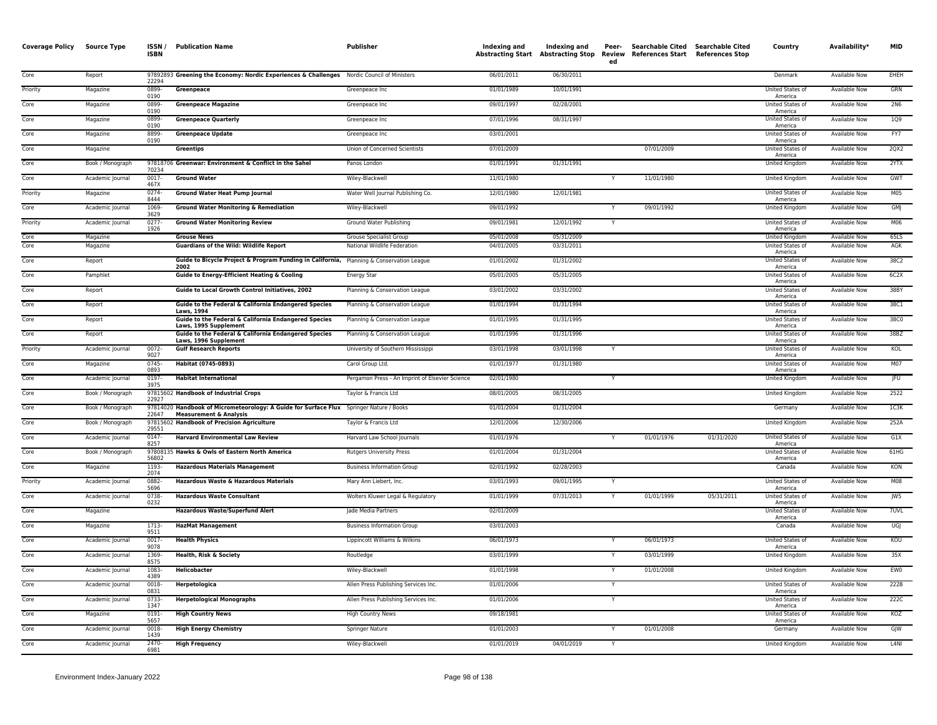| <b>Coverage Policy</b> | <b>Source Type</b>   | ISSN/<br><b>ISBN</b>     | <b>Publication Name</b>                                                                                                      | Publisher                                                      | Indexing and<br><b>Abstracting Start</b> | Indexing and<br><b>Abstracting Stop</b> | Peer-<br>ed | Searchable Cited Searchable Cited<br><b>Review References Start</b> | <b>References Stop</b> | Country                                                | Availability*                                | <b>MID</b>        |
|------------------------|----------------------|--------------------------|------------------------------------------------------------------------------------------------------------------------------|----------------------------------------------------------------|------------------------------------------|-----------------------------------------|-------------|---------------------------------------------------------------------|------------------------|--------------------------------------------------------|----------------------------------------------|-------------------|
| Core                   | Report               | 22294                    | 97892893 Greening the Economy: Nordic Experiences & Challenges Nordic Council of Ministers                                   |                                                                | 06/01/2011                               | 06/30/2011                              |             |                                                                     |                        | Denmark                                                | <b>Available Now</b>                         | EHEH              |
| Priority               | Magazine             | 0899<br>0190             | Greenpeace                                                                                                                   | Greenpeace Inc                                                 | 01/01/1989                               | 10/01/1991                              |             |                                                                     |                        | United States of<br>America                            | Available Now                                | GRN               |
| Core                   | Magazine             | 0899<br>0190             | <b>Greenpeace Magazine</b>                                                                                                   | Greenpeace Inc                                                 | 09/01/1997                               | 02/28/2001                              |             |                                                                     |                        | <b>United States of</b><br>America                     | <b>Available Now</b>                         | 2N6               |
| Core                   | Magazine             | 0899<br>0190             | <b>Greenpeace Quarterly</b>                                                                                                  | Greenpeace Inc                                                 | 07/01/1996                               | 08/31/1997                              |             |                                                                     |                        | <b>United States of</b><br>America                     | <b>Available Now</b>                         | 109               |
| Core                   | Magazine             | 8899<br>0190             | <b>Greenpeace Update</b>                                                                                                     | Greenpeace Inc                                                 | 03/01/2001                               |                                         |             |                                                                     |                        | United States of<br>America                            | Available Now                                | FY7               |
| Core                   | Magazine             |                          | Greentips                                                                                                                    | Union of Concerned Scientists                                  | 07/01/2009                               |                                         |             | 07/01/2009                                                          |                        | United States of<br>America                            | Available Now                                | 2QX2              |
| Core                   | Book / Monograph     | 70234                    | 97818706 Greenwar: Environment & Conflict in the Sahel                                                                       | Panos London                                                   | 01/01/1991                               | 01/31/1991                              |             |                                                                     |                        | <b>United Kingdom</b>                                  | <b>Available Now</b>                         | 2YTX              |
| Core                   | Academic Journal     | 0017-<br>467X            | <b>Ground Water</b>                                                                                                          | Wiley-Blackwell                                                | 11/01/1980                               |                                         |             | 11/01/1980                                                          |                        | United Kingdom                                         | Available Now                                | GWT               |
| Priority               | Magazine             | $0274 -$<br>8444         | <b>Ground Water Heat Pump Journal</b>                                                                                        | Water Well Journal Publishing Co.                              | 12/01/1980                               | 12/01/1981                              |             |                                                                     |                        | United States of<br>America                            | <b>Available Now</b>                         | M <sub>05</sub>   |
| Core                   | Academic Journal     | 1069<br>3629             | <b>Ground Water Monitoring &amp; Remediation</b>                                                                             | Wiley-Blackwell                                                | 09/01/1992                               |                                         |             | 09/01/1992                                                          |                        | United Kingdom                                         | Available Now                                | GMJ               |
| Priority               | Academic Journal     | 0277-<br>1926            | <b>Ground Water Monitoring Review</b>                                                                                        | Ground Water Publishing                                        | 09/01/1981                               | 12/01/1992                              | Y           |                                                                     |                        | United States of<br>America                            | Available Now                                | M06               |
| Core<br>Core           | Magazine<br>Magazine |                          | <b>Grouse News</b><br><b>Guardians of the Wild: Wildlife Report</b>                                                          | <b>Grouse Specialist Group</b><br>National Wildlife Federation | 05/01/2008<br>04/01/2005                 | 05/31/2009<br>03/31/2011                |             |                                                                     |                        | United Kingdom<br>United States of                     | Available Now<br><b>Available Now</b>        | 65LS<br>AGK       |
| Core                   | Report               |                          | Guide to Bicycle Project & Program Funding in California, Planning & Conservation League                                     |                                                                | 01/01/2002                               | 01/31/2002                              |             |                                                                     |                        | America<br>United States of                            | <b>Available Now</b>                         | 38C2              |
| Core                   | Pamphlet             |                          | 2002<br><b>Guide to Energy-Efficient Heating &amp; Cooling</b>                                                               |                                                                | 05/01/2005                               | 05/31/2005                              |             |                                                                     |                        | America<br>United States of                            | <b>Available Now</b>                         | 6C2X              |
| Core                   |                      |                          | Guide to Local Growth Control Initiatives, 2002                                                                              | Energy Star                                                    | 03/01/2002                               | 03/31/2002                              |             |                                                                     |                        | America<br>United States of                            |                                              | 38BY              |
| Core                   | Report               |                          |                                                                                                                              | Planning & Conservation League                                 |                                          | 01/31/1994                              |             |                                                                     |                        | America<br>United States of                            | <b>Available Now</b><br>Available Now        | 38C1              |
|                        | Report               |                          | Guide to the Federal & California Endangered Species<br>Laws, 1994<br>Guide to the Federal & California Endangered Species   | Planning & Conservation League                                 | 01/01/1994<br>01/01/1995                 | 01/31/1995                              |             |                                                                     |                        | America                                                |                                              | 38C0              |
| Core                   | Report               |                          | Laws, 1995 Supplement                                                                                                        | Planning & Conservation League                                 |                                          |                                         |             |                                                                     |                        | United States of<br>America                            | Available Now                                |                   |
| Core                   | Report               |                          | Guide to the Federal & California Endangered Species<br>Laws, 1996 Supplement                                                | Planning & Conservation League                                 | 01/01/1996                               | 01/31/1996                              |             |                                                                     |                        | United States of<br>America<br>United States of        | Available Now                                | 38BZ              |
| Priority               | Academic Journal     | 0072<br>9027<br>0745     | <b>Gulf Research Reports</b><br>Habitat (0745-0893)                                                                          | University of Southern Mississippi                             | 03/01/1998                               | 03/01/1998                              |             |                                                                     |                        | America<br><b>United States of</b>                     | <b>Available Now</b>                         | KOL               |
| Core                   | Magazine             | 0893                     |                                                                                                                              | Carol Group Ltd.                                               | 01/01/1977                               | 01/31/1980                              |             |                                                                     |                        | America                                                | <b>Available Now</b>                         | M07<br><b>IFU</b> |
| Core                   | Academic Journal     | $0197 -$<br>3975         | <b>Habitat International</b><br>97815602 Handbook of Industrial Crops                                                        | Pergamon Press - An Imprint of Elsevier Science                | 02/01/1980<br>08/01/2005                 |                                         |             |                                                                     |                        | United Kingdom                                         | <b>Available Now</b>                         | 2522              |
| Core<br>Core           | Book / Monograph     | 22927                    |                                                                                                                              | Taylor & Francis Ltd                                           |                                          | 08/31/2005                              |             |                                                                     |                        | United Kingdom                                         | Available Now                                | 1C <sub>3K</sub>  |
| Core                   | Book / Monograph     | 22647                    | 97814020 Handbook of Micrometeorology: A Guide for Surface Flux Springer Nature / Books<br><b>Measurement &amp; Analysis</b> |                                                                | 01/01/2004                               | 01/31/2004                              |             |                                                                     |                        | Germany                                                | Available Now                                | 252A              |
|                        | Book / Monograph     | 29551                    | 97815602 Handbook of Precision Agriculture                                                                                   | Taylor & Francis Ltd                                           | 12/01/2006                               | 12/30/2006                              |             | 01/01/1976                                                          |                        | United Kingdom                                         | <b>Available Now</b>                         |                   |
| Core<br>Core           | Academic Journal     | $0147 -$<br>8257         | <b>Harvard Environmental Law Review</b>                                                                                      | Harvard Law School Journals                                    | 01/01/1976                               | 01/31/2004                              |             |                                                                     | 01/31/2020             | United States of<br>America<br><b>United States of</b> | <b>Available Now</b><br><b>Available Now</b> | G1X<br>$61H$ G    |
|                        | Book / Monograph     | 56802                    | 97808135 Hawks & Owls of Eastern North America                                                                               | <b>Rutgers University Press</b>                                | 01/01/2004                               |                                         |             |                                                                     |                        | America                                                |                                              |                   |
| Core                   | Magazine             | 1193-<br>2074            | <b>Hazardous Materials Management</b>                                                                                        | <b>Business Information Group</b>                              | 02/01/1992                               | 02/28/2003                              |             |                                                                     |                        | Canada                                                 | <b>Available Now</b>                         | KON               |
| Priority               | Academic Journal     | 0882-<br>5696            | Hazardous Waste & Hazardous Materials                                                                                        | Mary Ann Liebert, Inc.                                         | 03/01/1993                               | 09/01/1995                              |             |                                                                     |                        | United States of<br>America                            | Available Now                                | <b>M08</b>        |
| Core                   | Academic Journal     | 0738<br>0232             | <b>Hazardous Waste Consultant</b>                                                                                            | Wolters Kluwer Legal & Regulatory                              | 01/01/1999                               | 07/31/2013                              |             | 01/01/1999                                                          | 05/31/2011             | United States of<br>America                            | Available Now                                | JW5               |
| Core                   | Magazine             |                          | <b>Hazardous Waste/Superfund Alert</b>                                                                                       | Jade Media Partners                                            | 02/01/2009                               |                                         |             |                                                                     |                        | United States of<br>America                            | <b>Available Now</b>                         | 7UVL              |
| Core                   | Magazine             | 1713-<br>9511            | <b>HazMat Management</b>                                                                                                     | <b>Business Information Group</b>                              | 03/01/2003                               |                                         |             |                                                                     |                        | Canada                                                 | <b>Available Now</b>                         | UGJ               |
| Core<br>Core           | Academic Journal     | $0017 -$<br>9078<br>1369 | <b>Health Physics</b>                                                                                                        | Lippincott Williams & Wilkins                                  | 06/01/1973                               |                                         |             | 06/01/1973                                                          |                        | United States of<br>America                            | <b>Available Now</b>                         | KOU               |
|                        | Academic Journal     | 8575                     | Health, Risk & Society                                                                                                       | Routledge                                                      | 03/01/1999                               |                                         |             | 03/01/1999                                                          |                        | United Kingdom                                         | <b>Available Now</b>                         | 35X               |
| Core                   | Academic Journal     | 1083<br>4389             | Helicobacter                                                                                                                 | Wiley-Blackwell                                                | 01/01/1998                               |                                         |             | 01/01/2008                                                          |                        | United Kingdom                                         | Available Now                                | EWO               |
| Core                   | Academic Journal     | 0018-<br>0831            | Herpetologica                                                                                                                | Allen Press Publishing Services Inc.                           | 01/01/2006                               |                                         | Y           |                                                                     |                        | United States of<br>America                            | Available Now                                | 222B              |
| Core                   | Academic Journal     | 0733<br>1347             | <b>Herpetological Monographs</b>                                                                                             | Allen Press Publishing Services Inc.                           | 01/01/2006                               |                                         |             |                                                                     |                        | United States of<br>America                            | Available Now                                | 222C              |
| Core                   | Magazine             | 0191-<br>5657            | <b>High Country News</b>                                                                                                     | <b>High Country News</b>                                       | 09/18/1981                               |                                         |             |                                                                     |                        | <b>United States of</b><br>America                     | <b>Available Now</b>                         | KOZ               |
| Core                   | Academic Journal     | 0018<br>1439             | <b>High Energy Chemistry</b>                                                                                                 | <b>Springer Nature</b>                                         | 01/01/2003                               |                                         |             | 01/01/2008                                                          |                        | Germany                                                | <b>Available Now</b>                         | GJW               |
| Core                   | Academic Journal     | 2470-<br>6981            | <b>High Frequency</b>                                                                                                        | Wiley-Blackwell                                                | 01/01/2019                               | 04/01/2019                              | Y           |                                                                     |                        | United Kingdom                                         | <b>Available Now</b>                         | L <sub>4</sub> NI |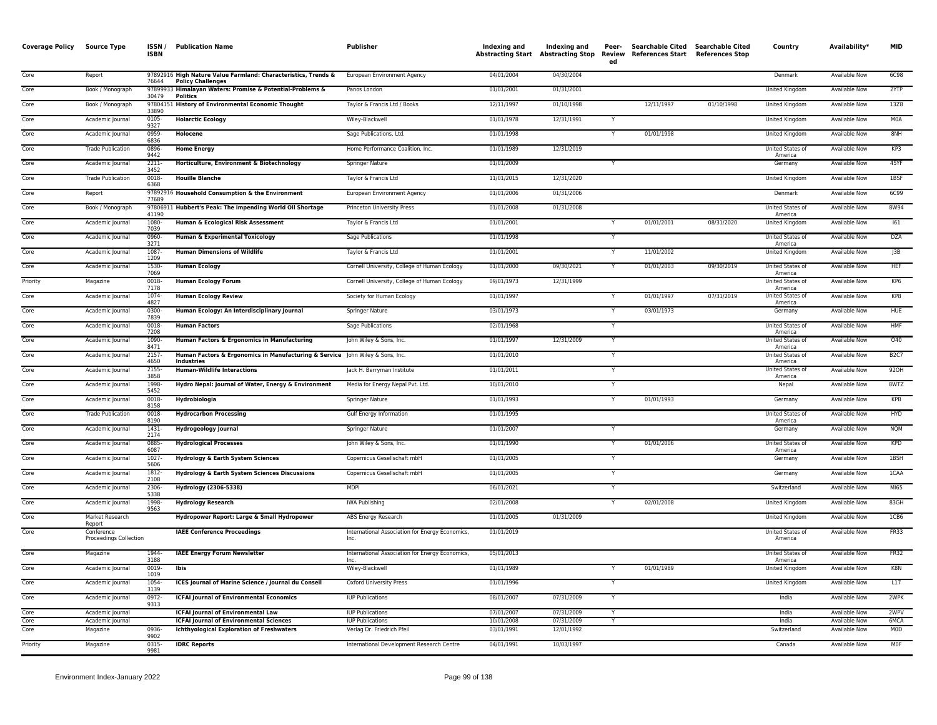| <b>Coverage Policy</b> | Source Type                          | <b>ISSN</b><br><b>ISBN</b> | <b>Publication Name</b>                                                                     | <b>Publisher</b>                                        | Indexing and             | Indexing and             | Peer-<br>ed             | <b>Searchable Cited</b><br>Abstracting Start Abstracting Stop Review References Start References Stop | <b>Searchable Cited</b> | Country                            | Availability*                         | <b>MID</b>   |
|------------------------|--------------------------------------|----------------------------|---------------------------------------------------------------------------------------------|---------------------------------------------------------|--------------------------|--------------------------|-------------------------|-------------------------------------------------------------------------------------------------------|-------------------------|------------------------------------|---------------------------------------|--------------|
| Core                   | Report                               | 76644                      | 97892916 High Nature Value Farmland: Characteristics, Trends &<br><b>Policy Challenges</b>  | European Environment Agency                             | 04/01/2004               | 04/30/2004               |                         |                                                                                                       |                         | Denmark                            | <b>Available Now</b>                  | 6C98         |
| Core                   | Book / Monograph                     | 30479                      | 97899933 Himalayan Waters: Promise & Potential-Problems &<br><b>Politics</b>                | Panos London                                            | 01/01/2001               | 01/31/2001               |                         |                                                                                                       |                         | <b>United Kingdom</b>              | <b>Available Now</b>                  | 2YTP         |
| Core                   | Book / Monograph                     | 33890                      | 97804151 History of Environmental Economic Thought                                          | Taylor & Francis Ltd / Books                            | 12/11/1997               | 01/10/1998               |                         | 12/11/1997                                                                                            | 01/10/1998              | United Kingdom                     | Available Now                         | 13Z8         |
| Core                   | Academic Journal                     | 0105-<br>9327              | <b>Holarctic Ecology</b>                                                                    | Wiley-Blackwell                                         | 01/01/1978               | 12/31/1991               |                         |                                                                                                       |                         | United Kingdom                     | Available Now                         | M0A          |
| Core                   | Academic Journal                     | 0959-<br>6836              | Holocene                                                                                    | Sage Publications, Ltd.                                 | 01/01/1998               |                          | Y                       | 01/01/1998                                                                                            |                         | United Kingdom                     | Available Now                         | 8NH          |
| Core                   | <b>Trade Publication</b>             | 0896<br>9442               | <b>Home Energy</b>                                                                          | Home Performance Coalition, Inc.                        | 01/01/1989               | 12/31/2019               |                         |                                                                                                       |                         | United States of<br>America        | <b>Available Now</b>                  | KP3          |
| Core                   | Academic Journal                     | $2211 -$<br>3452           | Horticulture, Environment & Biotechnology                                                   | <b>Springer Nature</b>                                  | 01/01/2009               |                          | $\overline{\mathsf{Y}}$ |                                                                                                       |                         | Germany                            | <b>Available Now</b>                  | 45YF         |
| Core                   | <b>Trade Publication</b>             | 0018<br>6368               | <b>Houille Blanche</b>                                                                      | Taylor & Francis Ltd                                    | 11/01/2015               | 12/31/2020               |                         |                                                                                                       |                         | United Kingdom                     | <b>Available Now</b>                  | 1BSF         |
| Core                   | Report                               | 77689                      | 97892916 Household Consumption & the Environment                                            | European Environment Agency                             | 01/01/2006               | 01/31/2006               |                         |                                                                                                       |                         | Denmark                            | <b>Available Now</b>                  | 6C99         |
| Core                   | Book / Monograph                     | 41190                      | 97806911 Hubbert's Peak: The Impending World Oil Shortage                                   | Princeton University Press                              | 01/01/2008               | 01/31/2008               |                         |                                                                                                       |                         | United States of<br>America        | <b>Available Now</b>                  | 8W94         |
| Core                   | Academic Journal                     | 1080<br>7039               | Human & Ecological Risk Assessment                                                          | Taylor & Francis Ltd                                    | 01/01/2001               |                          |                         | 01/01/2001                                                                                            | 08/31/2020              | United Kingdom                     | Available Now                         | 161          |
| Core                   | Academic Journal                     | 0960-<br>3271              | <b>Human &amp; Experimental Toxicology</b>                                                  | Sage Publications                                       | 01/01/1998               |                          |                         |                                                                                                       |                         | <b>United States of</b><br>America | <b>Available Now</b>                  | <b>DZA</b>   |
| Core                   | Academic Journal                     | 1087<br>1209               | <b>Human Dimensions of Wildlife</b>                                                         | Taylor & Francis Ltd                                    | 01/01/2001               |                          | Y                       | 11/01/2002                                                                                            |                         | <b>United Kingdom</b>              | <b>Available Now</b>                  | JB           |
| Core                   | Academic Journal                     | 1530-<br>7069              | <b>Human Ecology</b>                                                                        | Cornell University, College of Human Ecology            | 01/01/2000               | 09/30/2021               | Y                       | 01/01/2003                                                                                            | 09/30/2019              | United States of<br>America        | <b>Available Now</b>                  | <b>HEF</b>   |
| Priority               | Magazine                             | 0018-<br>7178              | <b>Human Ecology Forum</b>                                                                  | Cornell University, College of Human Ecology            | 09/01/1973               | 12/31/1999               |                         |                                                                                                       |                         | United States of<br>America        | Available Now                         | KP6          |
| Core                   | Academic Journal                     | 1074-<br>4827              | <b>Human Ecology Review</b>                                                                 | Society for Human Ecology                               | 01/01/1997               |                          |                         | 01/01/1997                                                                                            | 07/31/2019              | United States of<br>America        | <b>Available Now</b>                  | KP8          |
| Core                   | Academic Journal                     | 0300<br>7839               | Human Ecology: An Interdisciplinary Journal                                                 | <b>Springer Nature</b>                                  | 03/01/1973               |                          |                         | 03/01/1973                                                                                            |                         | Germany                            | <b>Available Now</b>                  | HUE          |
| Core                   | Academic Journal                     | 0018-<br>7208              | <b>Human Factors</b>                                                                        | Sage Publications                                       | 02/01/1968               |                          | Y                       |                                                                                                       |                         | United States of<br>America        | <b>Available Now</b>                  | <b>HMF</b>   |
| Core                   | Academic Journal                     | 1090-<br>8471              | Human Factors & Ergonomics in Manufacturing                                                 | John Wiley & Sons, Inc.                                 | 01/01/1997               | 12/31/2009               | Y                       |                                                                                                       |                         | United States of<br>America        | Available Now                         | 040          |
| Core                   | Academic Journal                     | 2157<br>4650               | Human Factors & Ergonomics in Manufacturing & Service john Wiley & Sons, Inc.<br>Industries |                                                         | 01/01/2010               |                          | Y                       |                                                                                                       |                         | United States of<br>America        | <b>Available Now</b>                  | <b>B2C7</b>  |
| Core                   | Academic Journal                     | 2155-<br>3858              | <b>Human-Wildlife Interactions</b>                                                          | Jack H. Berryman Institute                              | 01/01/2011               |                          |                         |                                                                                                       |                         | United States of<br>America        | Available Now                         | 920H         |
| Core                   | Academic Journal                     | 1998<br>5452               | Hydro Nepal: Journal of Water, Energy & Environment                                         | Media for Energy Nepal Pvt. Ltd.                        | 10/01/2010               |                          | Y                       |                                                                                                       |                         | Nepal                              | <b>Available Now</b>                  | 8WTZ         |
| Core                   | Academic Journal                     | 0018-<br>8158              | Hydrobiologia                                                                               | Springer Nature                                         | 01/01/1993               |                          |                         | 01/01/1993                                                                                            |                         | Germany                            | Available Now                         | KPB          |
| Core                   | <b>Trade Publication</b>             | $0018 -$<br>8190           | <b>Hydrocarbon Processing</b>                                                               | Gulf Energy Information                                 | 01/01/1995               |                          |                         |                                                                                                       |                         | United States of<br>America        | <b>Available Now</b>                  | <b>HYD</b>   |
| Core                   | Academic Journal                     | 1431<br>2174               | <b>Hydrogeology Journal</b>                                                                 | Springer Nature                                         | 01/01/2007               |                          | Y                       |                                                                                                       |                         | Germany                            | Available Now                         | <b>NOM</b>   |
| Core                   | Academic Journal                     | 0885<br>6087               | <b>Hydrological Processes</b>                                                               | John Wiley & Sons, Inc.                                 | 01/01/1990               |                          |                         | 01/01/2006                                                                                            |                         | United States of<br>America        | <b>Available Now</b>                  | KPD          |
| Core                   | Academic Journal                     | 1027-<br>5606              | Hydrology & Earth System Sciences                                                           | Copernicus Gesellschaft mbH                             | 01/01/2005               |                          | Y                       |                                                                                                       |                         | Germany                            | Available Now                         | 1BSH         |
| Core                   | Academic Journal                     | 1812<br>2108               | Hydrology & Earth System Sciences Discussions                                               | Copernicus Gesellschaft mbH                             | 01/01/2005               |                          |                         |                                                                                                       |                         | Germany                            | <b>Available Now</b>                  | <b>ICAA</b>  |
| Core                   | Academic Journal                     | 2306<br>5338               | Hydrology (2306-5338)                                                                       | <b>MDPI</b>                                             | 06/01/2021               |                          |                         |                                                                                                       |                         | Switzerland                        | Available Now                         | MI65         |
| Core                   | Academic Journal                     | 1998<br>9563               | <b>Hydrology Research</b>                                                                   | <b>IWA Publishing</b>                                   | 02/01/2008               |                          | $\overline{Y}$          | 02/01/2008                                                                                            |                         | <b>United Kingdom</b>              | <b>Available Now</b>                  | 83GH         |
| Core                   | Market Research<br>Report            |                            | Hydropower Report: Large & Small Hydropower                                                 | ABS Energy Research                                     | 01/01/2005               | 01/31/2009               |                         |                                                                                                       |                         | United Kingdom                     | <b>Available Now</b>                  | ICB6         |
| Core                   | Conference<br>Proceedings Collection |                            | <b>IAEE Conference Proceedings</b>                                                          | International Association for Energy Economics,<br>Inc. | 01/01/2019               |                          |                         |                                                                                                       |                         | United States of<br>America        | Available Now                         | <b>FR33</b>  |
| Core                   | Magazine                             | 1944-<br>3188              | <b>IAEE Energy Forum Newsletter</b>                                                         | International Association for Energy Economics,<br>Inc. | 05/01/2013               |                          |                         |                                                                                                       |                         | United States of<br>America        | Available Now                         | <b>FR32</b>  |
| Core                   | Academic Journal                     | $0019 -$<br>1019           | Ibis                                                                                        | Wiley-Blackwell                                         | 01/01/1989               |                          | Y                       | 01/01/1989                                                                                            |                         | <b>United Kingdom</b>              | <b>Available Now</b>                  | K8N          |
| Core                   | Academic Journal                     | 1054<br>3139               | ICES Journal of Marine Science / Journal du Conseil                                         | Oxford University Press                                 | 01/01/1996               |                          | Y                       |                                                                                                       |                         | United Kingdom                     | Available Now                         | L17          |
| Core                   | Academic Journal                     | 0972-<br>9313              | <b>ICFAI Journal of Environmental Economics</b>                                             | <b>IUP Publications</b>                                 | 08/01/2007               | 07/31/2009               | Y                       |                                                                                                       |                         | India                              | <b>Available Now</b>                  | 2WPK         |
| Core<br>Core           | Academic Journal                     |                            | <b>ICFAI Journal of Environmental Law</b><br><b>ICFAI Journal of Environmental Sciences</b> | <b>IUP Publications</b>                                 | 07/01/2007               | 07/31/2009<br>07/31/2009 | Y                       |                                                                                                       |                         | India                              | Available Now                         | 2WPV<br>6MCA |
| Core                   | Academic Journal<br>Magazine         | 0936                       | <b>Ichthyological Exploration of Freshwaters</b>                                            | <b>IUP Publications</b><br>Verlag Dr. Friedrich Pfeil   | 10/01/2008<br>03/01/1991 | 12/01/1992               | Y                       |                                                                                                       |                         | India<br>Switzerland               | Available Now<br><b>Available Now</b> | <b>MOD</b>   |
| Priority               | Magazine                             | 9902<br>0315-              | <b>IDRC Reports</b>                                                                         | International Development Research Centre               | 04/01/1991               | 10/03/1997               |                         |                                                                                                       |                         | Canada                             | <b>Available Now</b>                  | <b>MOF</b>   |
|                        |                                      | 9981                       |                                                                                             |                                                         |                          |                          |                         |                                                                                                       |                         |                                    |                                       |              |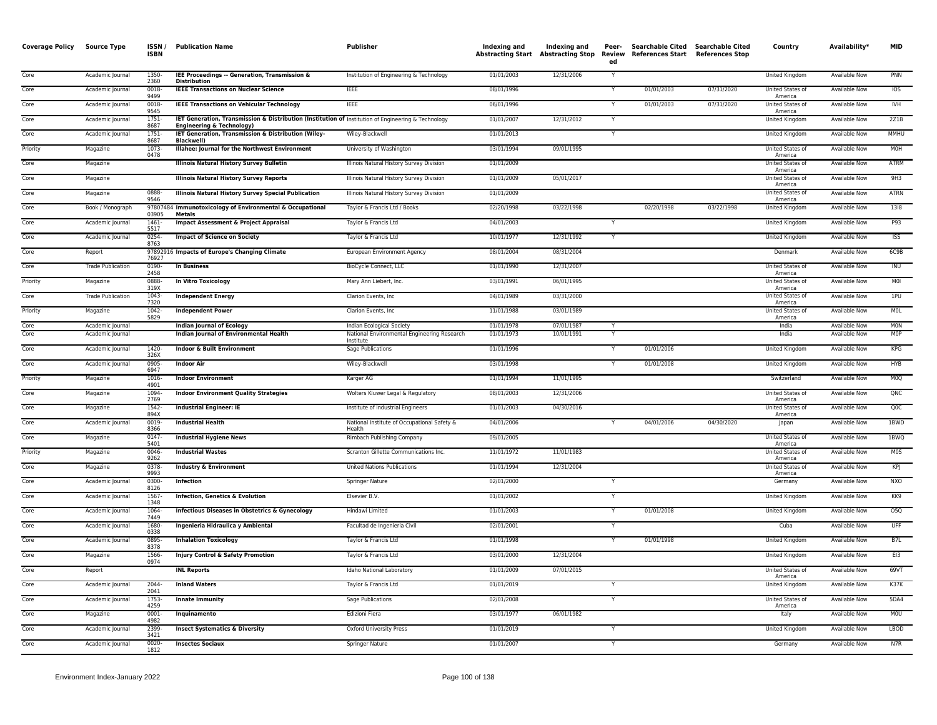| <b>Coverage Policy</b> | <b>Source Type</b>       | ISSN /<br><b>ISBN</b> | <b>Publication Name</b>                                                                                                                     | Publisher                                                | Indexing and | Indexing and<br>Abstracting Start Abstracting Stop | Peer-<br>ed  | Searchable Cited Searchable Cited<br><b>Review References Start References Stop</b> |            | Country                            | Availability*        | <b>MID</b>       |
|------------------------|--------------------------|-----------------------|---------------------------------------------------------------------------------------------------------------------------------------------|----------------------------------------------------------|--------------|----------------------------------------------------|--------------|-------------------------------------------------------------------------------------|------------|------------------------------------|----------------------|------------------|
| Core                   | Academic Journal         | 1350-<br>2360         | IEE Proceedings -- Generation, Transmission &<br><b>Distribution</b>                                                                        | Institution of Engineering & Technology                  | 01/01/2003   | 12/31/2006                                         |              |                                                                                     |            | United Kingdom                     | <b>Available Now</b> | PNN              |
| Core                   | Academic Journal         | $0018 -$<br>9499      | <b>IEEE Transactions on Nuclear Science</b>                                                                                                 | <b>IEEE</b>                                              | 08/01/1996   |                                                    |              | 01/01/2003                                                                          | 07/31/2020 | United States of<br>America        | Available Now        | 10 <sub>S</sub>  |
| Core                   | Academic Journal         | 0018-<br>9545         | <b>IEEE Transactions on Vehicular Technology</b>                                                                                            | <b>IEEE</b>                                              | 06/01/1996   |                                                    |              | 01/01/2003                                                                          | 07/31/2020 | United States of<br>America        | Available Now        | <b>IVH</b>       |
| Core                   | Academic Journal         | 1751-<br>8687         | IET Generation, Transmission & Distribution (Institution of Institution of Engineering & Technology<br><b>Engineering &amp; Technology)</b> |                                                          | 01/01/2007   | 12/31/2012                                         |              |                                                                                     |            | United Kingdom                     | <b>Available Now</b> | 2Z1B             |
| Core                   | Academic Journal         | 1751<br>8687          | IET Generation, Transmission & Distribution (Wiley-<br><b>Blackwell</b>                                                                     | Wiley-Blackwell                                          | 01/01/2013   |                                                    | $\mathsf{Y}$ |                                                                                     |            | <b>United Kingdom</b>              | <b>Available Now</b> | <b>MMHU</b>      |
| Priority               | Magazine                 | 1073<br>0478          | Illahee: Journal for the Northwest Environment                                                                                              | University of Washington                                 | 03/01/1994   | 09/01/1995                                         |              |                                                                                     |            | <b>United States of</b><br>America | <b>Available Now</b> | <b>MOH</b>       |
| Core                   | Magazine                 |                       | <b>Illinois Natural History Survey Bulletin</b>                                                                                             | Illinois Natural History Survey Division                 | 01/01/2009   |                                                    |              |                                                                                     |            | United States of<br>America        | Available Now        | ATRM             |
| Core                   | Magazine                 |                       | <b>Illinois Natural History Survey Reports</b>                                                                                              | Illinois Natural History Survey Division                 | 01/01/2009   | 05/01/2017                                         |              |                                                                                     |            | United States of<br>America        | Available Now        | 9H3              |
| Core                   | Magazine                 | 0888-<br>9546         | <b>Illinois Natural History Survey Special Publication</b>                                                                                  | Illinois Natural History Survey Division                 | 01/01/2009   |                                                    |              |                                                                                     |            | <b>United States of</b><br>America | <b>Available Now</b> | <b>ATRN</b>      |
| Core                   | Book / Monograph         | 03905                 | 97807484 Immunotoxicology of Environmental & Occupational<br><b>Metals</b>                                                                  | Taylor & Francis Ltd / Books                             | 02/20/1998   | 03/22/1998                                         |              | 02/20/1998                                                                          | 03/22/1998 | <b>United Kingdom</b>              | Available Now        | 1318             |
| Core                   | Academic Journal         | $1461 -$<br>5517      | <b>Impact Assessment &amp; Project Appraisal</b>                                                                                            | Taylor & Francis Ltd                                     | 04/01/2003   |                                                    |              |                                                                                     |            | United Kingdom                     | <b>Available Now</b> | P93              |
| Core                   | Academic Journal         | $0254 -$<br>8763      | <b>Impact of Science on Society</b>                                                                                                         | Taylor & Francis Ltd                                     | 10/01/1977   | 12/31/1992                                         |              |                                                                                     |            | United Kingdom                     | Available Now        | <b>ISS</b>       |
| Core                   | Report                   | 76927                 | 97892916 Impacts of Europe's Changing Climate                                                                                               | European Environment Agency                              | 08/01/2004   | 08/31/2004                                         |              |                                                                                     |            | Denmark                            | Available Now        | 6C9B             |
| Core                   | <b>Trade Publication</b> | 0190-<br>2458         | <b>In Business</b>                                                                                                                          | BioCycle Connect, LLC                                    | 01/01/1990   | 12/31/2007                                         |              |                                                                                     |            | <b>United States of</b><br>America | <b>Available Now</b> | INU              |
| Priority               | Magazine                 | 0888-<br>319X         | <b>In Vitro Toxicology</b>                                                                                                                  | Mary Ann Liebert, Inc.                                   | 03/01/1991   | 06/01/1995                                         |              |                                                                                     |            | United States of<br>America        | Available Now        | MOI              |
| Core                   | <b>Trade Publication</b> | 1043-<br>7320         | <b>Independent Energy</b>                                                                                                                   | Clarion Events, Inc.                                     | 04/01/1989   | 03/31/2000                                         |              |                                                                                     |            | <b>United States of</b><br>America | <b>Available Now</b> | 1PU              |
| Priority               | Magazine                 | 1042-<br>5829         | <b>Independent Power</b>                                                                                                                    | Clarion Events, Inc.                                     | 11/01/1988   | 03/01/1989                                         |              |                                                                                     |            | United States of<br>America        | Available Now        | <b>MOL</b>       |
| Core                   | Academic Journal         |                       | <b>Indian Journal of Ecology</b>                                                                                                            | Indian Ecological Society                                | 01/01/1978   | 07/01/1987                                         |              |                                                                                     |            | India                              | Available Now        | <b>MON</b>       |
| Core                   | Academic Journal         |                       | Indian Journal of Environmental Health                                                                                                      | National Environmental Engineering Research<br>Institute | 01/01/1973   | 10/01/1991                                         |              |                                                                                     |            | India                              | <b>Available Now</b> | <b>MOP</b>       |
| Core                   | Academic Journal         | 1420-<br>326X         | <b>Indoor &amp; Built Environment</b>                                                                                                       | Sage Publications                                        | 01/01/1996   |                                                    |              | 01/01/2006                                                                          |            | <b>United Kingdom</b>              | <b>Available Now</b> | KPG              |
| Core                   | Academic Journal         | 0905<br>6947          | <b>Indoor Air</b>                                                                                                                           | Wiley-Blackwell                                          | 03/01/1998   |                                                    |              | 01/01/2008                                                                          |            | <b>United Kingdom</b>              | <b>Available Now</b> | <b>HYB</b>       |
| Priority               | Magazine                 | 1016<br>4901          | <b>Indoor Environment</b>                                                                                                                   | Karger AG                                                | 01/01/1994   | 11/01/1995                                         |              |                                                                                     |            | Switzerland                        | Available Now        | M <sub>0</sub>   |
| Core                   | Magazine                 | 1094-<br>2769         | <b>Indoor Environment Quality Strategies</b>                                                                                                | Wolters Kluwer Legal & Regulatory                        | 08/01/2003   | 12/31/2006                                         |              |                                                                                     |            | United States of<br>America        | <b>Available Now</b> | QNC              |
| Core                   | Magazine                 | 1542-<br>894X         | <b>Industrial Engineer: IE</b>                                                                                                              | Institute of Industrial Engineers                        | 01/01/2003   | 04/30/2016                                         |              |                                                                                     |            | United States of<br>America        | Available Now        | QOC              |
| Core                   | Academic Journal         | 0019-<br>8366         | <b>Industrial Health</b>                                                                                                                    | National Institute of Occupational Safety &<br>Health    | 04/01/2006   |                                                    |              | 04/01/2006                                                                          | 04/30/2020 | Japan                              | <b>Available Now</b> | 1BWD             |
| Core                   | Magazine                 | 0147-<br>5401         | <b>Industrial Hygiene News</b>                                                                                                              | Rimbach Publishing Company                               | 09/01/2005   |                                                    |              |                                                                                     |            | <b>United States of</b><br>America | <b>Available Now</b> | 1BWO             |
| Priority               | Magazine                 | 0046<br>9262          | <b>Industrial Wastes</b>                                                                                                                    | Scranton Gillette Communications Inc.                    | 11/01/1972   | 11/01/1983                                         |              |                                                                                     |            | United States of<br>America        | <b>Available Now</b> | M <sub>0</sub> S |
| Core                   | Magazine                 | 0378-<br>9993         | <b>Industry &amp; Environment</b>                                                                                                           | <b>United Nations Publications</b>                       | 01/01/1994   | 12/31/2004                                         |              |                                                                                     |            | United States of<br>America        | Available Now        | KPJ              |
| Core                   | Academic Journal         | 0300-<br>8126         | Infection                                                                                                                                   | Springer Nature                                          | 02/01/2000   |                                                    | Y            |                                                                                     |            | Germany                            | Available Now        | <b>NXO</b>       |
| Core                   | Academic Journal         | 1567<br>1348          | <b>Infection, Genetics &amp; Evolution</b>                                                                                                  | Elsevier B.V.                                            | 01/01/2002   |                                                    |              |                                                                                     |            | United Kingdom                     | Available Now        | KK9              |
| Core                   | Academic Journal         | 1064-<br>7449         | Infectious Diseases in Obstetrics & Gynecology                                                                                              | Hindawi Limited                                          | 01/01/2003   |                                                    |              | 01/01/2008                                                                          |            | <b>United Kingdom</b>              | <b>Available Now</b> | 05Q              |
| Core                   | Academic Journal         | 1680-<br>0338         | Ingenieria Hidraulica y Ambiental                                                                                                           | Facultad de Ingenieria Civil                             | 02/01/2001   |                                                    | Y            |                                                                                     |            | Cuba                               | <b>Available Now</b> | <b>UFF</b>       |
| Core                   | Academic Journal         | 0895<br>8378          | <b>Inhalation Toxicology</b>                                                                                                                | Taylor & Francis Ltd                                     | 01/01/1998   |                                                    |              | 01/01/1998                                                                          |            | United Kingdom                     | <b>Available Now</b> | B7L              |
| Core                   | Magazine                 | 1566-<br>0974         | <b>Injury Control &amp; Safety Promotion</b>                                                                                                | Taylor & Francis Ltd                                     | 03/01/2000   | 12/31/2004                                         |              |                                                                                     |            | United Kingdom                     | Available Now        | EI3              |
| Core                   | Report                   |                       | <b>INL Reports</b>                                                                                                                          | Idaho National Laboratory                                | 01/01/2009   | 07/01/2015                                         |              |                                                                                     |            | United States of<br>America        | <b>Available Now</b> | 69VT             |
| Core                   | Academic Journal         | 2044-<br>2041         | <b>Inland Waters</b>                                                                                                                        | Taylor & Francis Ltd                                     | 01/01/2019   |                                                    |              |                                                                                     |            | United Kingdom                     | <b>Available Now</b> | K37K             |
| Core                   | Academic Journal         | 1753-<br>4259         | Innate Immunity                                                                                                                             | Sage Publications                                        | 02/01/2008   |                                                    | Y            |                                                                                     |            | United States of<br>America        | <b>Available Now</b> | 5DA4             |
| Core                   | Magazine                 | $0001 -$<br>4982      | Inquinamento                                                                                                                                | Edizioni Fiera                                           | 03/01/1977   | 06/01/1982                                         |              |                                                                                     |            | Italy                              | <b>Available Now</b> | M <sub>0</sub>   |
| Core                   | Academic Journal         | 2399-<br>3421         | <b>Insect Systematics &amp; Diversity</b>                                                                                                   | <b>Oxford University Press</b>                           | 01/01/2019   |                                                    | Y            |                                                                                     |            | United Kingdom                     | Available Now        | <b>LBOD</b>      |
| Core                   | Academic Journal         | 0020-<br>1812         | <b>Insectes Sociaux</b>                                                                                                                     | Springer Nature                                          | 01/01/2007   |                                                    |              |                                                                                     |            | Germany                            | Available Now        | N7R              |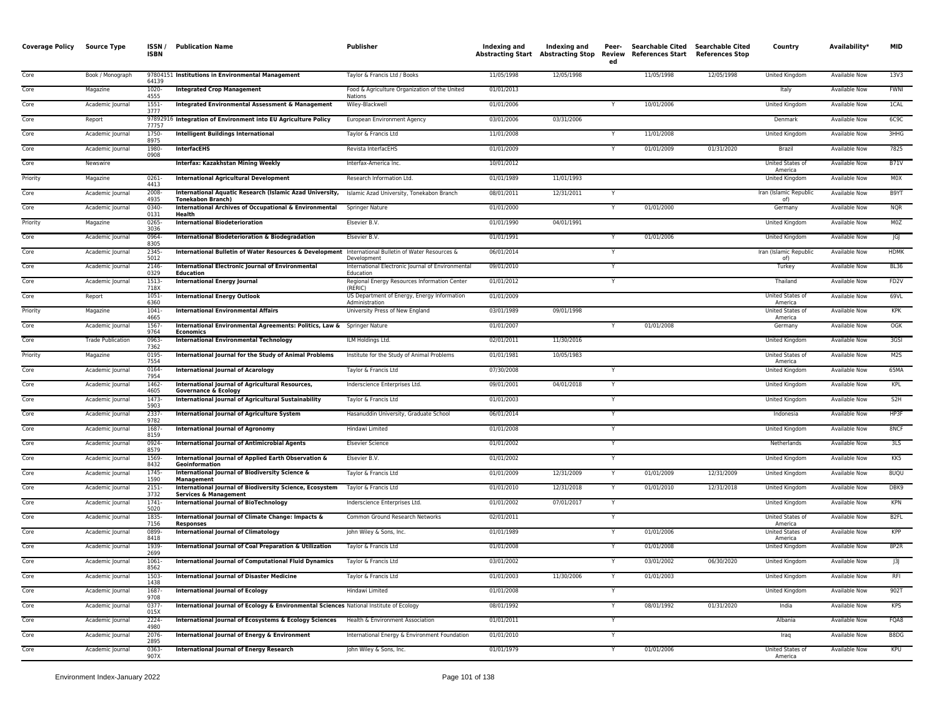| <b>Coverage Policy</b> | <b>Source Type</b>       | ISSN/<br><b>ISBN</b> | <b>Publication Name</b>                                                                             | Publisher                                                      | Indexing and | Indexing and | Peer-<br>ed    | Searchable Cited Searchable Cited<br>Abstracting Start Abstracting Stop Review References Start References Stop |            | Country                            | Availability*        | <b>MID</b>       |
|------------------------|--------------------------|----------------------|-----------------------------------------------------------------------------------------------------|----------------------------------------------------------------|--------------|--------------|----------------|-----------------------------------------------------------------------------------------------------------------|------------|------------------------------------|----------------------|------------------|
| Core                   | Book / Monograph         | 64139                | 97804151 Institutions in Environmental Management                                                   | Taylor & Francis Ltd / Books                                   | 11/05/1998   | 12/05/1998   |                | 11/05/1998                                                                                                      | 12/05/1998 | United Kingdom                     | Available Now        | 13V3             |
| Core                   | Magazine                 | $1020 -$<br>4555     | <b>Integrated Crop Management</b>                                                                   | Food & Agriculture Organization of the United<br>Nations       | 01/01/2013   |              |                |                                                                                                                 |            | Italy                              | <b>Available Now</b> | <b>FWNI</b>      |
| Core                   | Academic Journal         | 1551-<br>3777        | <b>Integrated Environmental Assessment &amp; Management</b>                                         | Wiley-Blackwell                                                | 01/01/2006   |              | Y              | 10/01/2006                                                                                                      |            | United Kingdom                     | Available Now        | 1CAL             |
| Core                   | Report                   | 77757                | 97892916 Integration of Environment into EU Agriculture Policy                                      | European Environment Agency                                    | 03/01/2006   | 03/31/2006   |                |                                                                                                                 |            | Denmark                            | Available Now        | 6C9C             |
| Core                   | Academic Journal         | 1750<br>8975         | <b>Intelligent Buildings International</b>                                                          | Taylor & Francis Ltd                                           | 11/01/2008   |              | Ÿ              | 11/01/2008                                                                                                      |            | United Kingdom                     | <b>Available Now</b> | 3HHG             |
| Core                   | Academic Journal         | 1980-<br>0908        | <b>InterfacEHS</b>                                                                                  | Revista InterfacEHS                                            | 01/01/2009   |              |                | 01/01/2009                                                                                                      | 01/31/2020 | Brazil                             | <b>Available Now</b> | 7825             |
| Core                   | Newswire                 |                      | Interfax: Kazakhstan Mining Weekly                                                                  | Interfax-America Inc.                                          | 10/01/2012   |              |                |                                                                                                                 |            | <b>United States of</b><br>America | <b>Available Now</b> | <b>B71V</b>      |
| Priority               | Magazine                 | $0261 -$<br>4413     | <b>International Agricultural Development</b>                                                       | Research Information Ltd.                                      | 01/01/1989   | 11/01/1993   |                |                                                                                                                 |            | <b>United Kingdom</b>              | <b>Available Now</b> | MOX              |
| Core                   | Academic Journal         | 2008<br>4935         | International Aquatic Research (Islamic Azad University,<br><b>Tonekabon Branch)</b>                | Islamic Azad University, Tonekabon Branch                      | 08/01/2011   | 12/31/2011   | Y              |                                                                                                                 |            | Iran (Islamic Republic<br>of)      | <b>Available Now</b> | B9YT             |
| Core                   | Academic Journal         | 0340<br>0131         | International Archives of Occupational & Environmental<br>Health                                    | Springer Nature                                                | 01/01/2000   |              | Y              | 01/01/2000                                                                                                      |            | Germany                            | Available Now        | <b>NQR</b>       |
| Priority               | Magazine                 | 0265-<br>3036        | <b>International Biodeterioration</b>                                                               | Elsevier B.V.                                                  | 01/01/1990   | 04/01/1991   |                |                                                                                                                 |            | United Kingdom                     | Available Now        | M0Z              |
| Core                   | Academic Journal         | 0964<br>8305         | <b>International Biodeterioration &amp; Biodegradation</b>                                          | Elsevier B.V.                                                  | 01/01/1991   |              | Y              | 01/01/2006                                                                                                      |            | United Kingdom                     | <b>Available Now</b> | G                |
| Core                   | Academic Journal         | 2345<br>5012         | International Bulletin of Water Resources & Development International Bulletin of Water Resources & | Development                                                    | 06/01/2014   |              |                |                                                                                                                 |            | Iran (Islamic Republic<br>n(f)     | Available Now        | <b>HDMK</b>      |
| Core                   | Academic Journal         | 2146<br>0329         | <b>International Electronic Journal of Environmental</b><br>Education                               | International Electronic Journal of Environmental<br>Education | 09/01/2010   |              | Y              |                                                                                                                 |            | Turkey                             | Available Now        | <b>BL36</b>      |
| Core                   | Academic Journal         | $1513-$<br>718X      | <b>International Energy Journal</b>                                                                 | Regional Energy Resources Information Center<br>(RFRIC)        | 01/01/2012   |              | $\overline{Y}$ |                                                                                                                 |            | Thailand                           | <b>Available Now</b> | FD <sub>2V</sub> |
| Core                   | Report                   | $1051 -$<br>6360     | <b>International Energy Outlook</b>                                                                 | US Department of Energy, Energy Information<br>Administration  | 01/01/2009   |              |                |                                                                                                                 |            | United States of<br>America        | <b>Available Now</b> | 69VL             |
| Priority               | Magazine                 | $1041 -$<br>4665     | <b>International Environmental Affairs</b>                                                          | University Press of New England                                | 03/01/1989   | 09/01/1998   |                |                                                                                                                 |            | United States of<br>America        | Available Now        | KPK              |
| Core                   | Academic Journal         | 1567<br>9764         | International Environmental Agreements: Politics, Law & Springer Nature<br><b>Economics</b>         |                                                                | 01/01/2007   |              |                | 01/01/2008                                                                                                      |            | Germany                            | <b>Available Now</b> | <b>OGK</b>       |
| Core                   | <b>Trade Publication</b> | 0963-<br>7362        | <b>International Environmental Technology</b>                                                       | ILM Holdings Ltd.                                              | 02/01/2011   | 11/30/2016   |                |                                                                                                                 |            | United Kingdom                     | Available Now        | 3GSI             |
| Priority               | Magazine                 | 0195<br>7554         | International Journal for the Study of Animal Problems                                              | Institute for the Study of Animal Problems                     | 01/01/1981   | 10/05/1983   |                |                                                                                                                 |            | United States of<br>America        | <b>Available Now</b> | M2S              |
| Core                   | Academic Journal         | 0164<br>7954         | <b>International Journal of Acarology</b>                                                           | Taylor & Francis Ltd                                           | 07/30/2008   |              | Y              |                                                                                                                 |            | United Kingdom                     | <b>Available Now</b> | 65MA             |
| Core                   | Academic Journal         | 1462<br>4605         | International Journal of Agricultural Resources,<br><b>Governance &amp; Ecology</b>                 | Inderscience Enterprises Ltd.                                  | 09/01/2001   | 04/01/2018   | $\overline{Y}$ |                                                                                                                 |            | <b>United Kingdom</b>              | <b>Available Now</b> | KPL              |
| Core                   | Academic Journal         | 1473<br>5903         | International Journal of Agricultural Sustainability                                                | Taylor & Francis Ltd                                           | 01/01/2003   |              |                |                                                                                                                 |            | <b>United Kingdom</b>              | <b>Available Now</b> | S2H              |
| Core                   | Academic Journal         | 2337-<br>9782        | <b>International Journal of Agriculture System</b>                                                  | Hasanuddin University, Graduate School                         | 06/01/2014   |              | Y              |                                                                                                                 |            | Indonesia                          | Available Now        | HP3F             |
| Core                   | Academic Journal         | 1687<br>8159         | <b>International Journal of Agronomy</b>                                                            | Hindawi Limited                                                | 01/01/2008   |              | Y              |                                                                                                                 |            | United Kingdom                     | Available Now        | 8NCF             |
| Core                   | Academic Journal         | 0924-<br>8579        | <b>International Journal of Antimicrobial Agents</b>                                                | <b>Elsevier Science</b>                                        | 01/01/2002   |              | Y              |                                                                                                                 |            | Netherlands                        | <b>Available Now</b> | 3LS              |
| Core                   | Academic Journal         | 1569<br>8432         | International Journal of Applied Earth Observation &<br>Geoinformation                              | Elsevier B.V.                                                  | 01/01/2002   |              | Y              |                                                                                                                 |            | United Kingdom                     | Available Now        | KK5              |
| Core                   | Academic Journal         | 1745-<br>1590        | International Journal of Biodiversity Science &<br>Management                                       | Taylor & Francis Ltd                                           | 01/01/2009   | 12/31/2009   | Y              | 01/01/2009                                                                                                      | 12/31/2009 | United Kingdom                     | <b>Available Now</b> | 8UQU             |
| Core                   | Academic Journal         | $2151 -$<br>3732     | International Journal of Biodiversity Science, Ecosystem<br><b>Services &amp; Management</b>        | Taylor & Francis Ltd                                           | 01/01/2010   | 12/31/2018   |                | 01/01/2010                                                                                                      | 12/31/2018 | United Kingdom                     | <b>Available Now</b> | DBK9             |
| Core                   | Academic Journal         | 1741<br>5020         | <b>International Journal of BioTechnology</b>                                                       | Inderscience Enterprises Ltd.                                  | 01/01/2002   | 07/01/2017   | $\overline{Y}$ |                                                                                                                 |            | <b>United Kingdom</b>              | <b>Available Now</b> | <b>KPN</b>       |
| Core                   | Academic Journal         | 1835-<br>7156        | International Journal of Climate Change: Impacts &<br><b>Responses</b>                              | Common Ground Research Networks                                | 02/01/2011   |              | Y              |                                                                                                                 |            | <b>United States of</b><br>America | <b>Available Now</b> | B <sub>2FL</sub> |
| Core                   | Academic Journal         | 0899<br>8418         | <b>International Journal of Climatology</b>                                                         | John Wiley & Sons, Inc.                                        | 01/01/1989   |              |                | 01/01/2006                                                                                                      |            | United States of<br>America        | <b>Available Now</b> | KPP              |
| Core                   | Academic Journal         | 1939<br>2699         | International Journal of Coal Preparation & Utilization                                             | Taylor & Francis Ltd                                           | 01/01/2008   |              |                | 01/01/2008                                                                                                      |            | United Kingdom                     | <b>Available Now</b> | 8P2R             |
| Core                   | Academic Journal         | 1061<br>8562         | <b>International Journal of Computational Fluid Dynamics</b>                                        | Taylor & Francis Ltd                                           | 03/01/2002   |              |                | 03/01/2002                                                                                                      | 06/30/2020 | United Kingdom                     | Available Now        | 3                |
| Core                   | Academic Journal         | 1503-<br>1438        | <b>International Journal of Disaster Medicine</b>                                                   | Taylor & Francis Ltd                                           | 01/01/2003   | 11/30/2006   | Y              | 01/01/2003                                                                                                      |            | United Kingdom                     | Available Now        | RFI              |
| Core                   | Academic Journal         | 1687<br>9708         | <b>International Journal of Ecology</b>                                                             | Hindawi Limited                                                | 01/01/2008   |              |                |                                                                                                                 |            | <b>United Kingdom</b>              | <b>Available Now</b> | 902T             |
| Core                   | Academic Journal         | 0377<br>015X         | International Journal of Ecology & Environmental Sciences National Institute of Ecology             |                                                                | 08/01/1992   |              | Y              | 08/01/1992                                                                                                      | 01/31/2020 | India                              | <b>Available Now</b> | <b>KPS</b>       |
| Core                   | Academic Journal         | 2224-<br>4980        | International Journal of Ecosystems & Ecology Sciences                                              | Health & Environment Association                               | 01/01/2011   |              |                |                                                                                                                 |            | Albania                            | <b>Available Now</b> | FQA8             |
| Core                   | Academic Journal         | 2076-<br>2895        | International Journal of Energy & Environment                                                       | International Energy & Environment Foundation                  | 01/01/2010   |              |                |                                                                                                                 |            | Irag                               | <b>Available Now</b> | B8DG             |
| Core                   | Academic Journal         | 0363<br>907X         | <b>International Journal of Energy Research</b>                                                     | John Wiley & Sons, Inc.                                        | 01/01/1979   |              |                | 01/01/2006                                                                                                      |            | United States of<br>America        | <b>Available Now</b> | KPU              |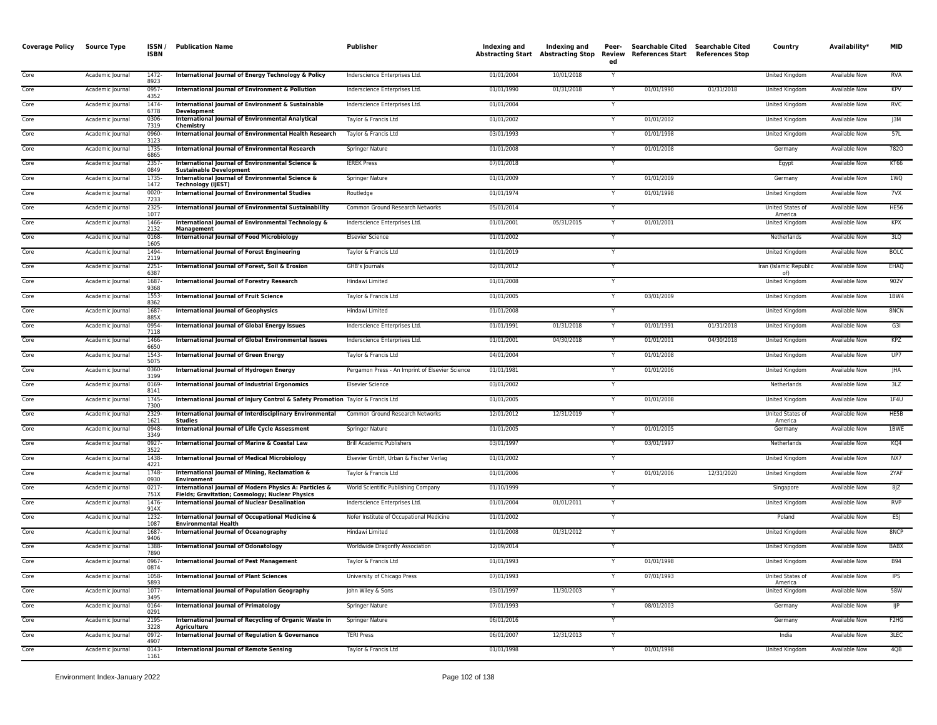| <b>Coverage Policy</b> | <b>Source Type</b> | ISSN/<br><b>ISBN</b> | <b>Publication Name</b>                                                                                   | Publisher                                       | Indexing and | Indexing and<br>Abstracting Start Abstracting Stop | Peer-<br>Review<br>ed | References Start References Stop | Searchable Cited Searchable Cited | Country                       | Availability*        | <b>MID</b>                    |
|------------------------|--------------------|----------------------|-----------------------------------------------------------------------------------------------------------|-------------------------------------------------|--------------|----------------------------------------------------|-----------------------|----------------------------------|-----------------------------------|-------------------------------|----------------------|-------------------------------|
| Core                   | Academic Journal   | $1472 -$<br>8923     | International Journal of Energy Technology & Policy                                                       | Inderscience Enterprises Ltd.                   | 01/01/2004   | 10/01/2018                                         | Y                     |                                  |                                   | United Kingdom                | <b>Available Now</b> | <b>RVA</b>                    |
| Core                   | Academic Journal   | $0957 -$<br>4352     | International Journal of Environment & Pollution                                                          | Inderscience Enterprises Ltd.                   | 01/01/1990   | 01/31/2018                                         | Y                     | 01/01/1990                       | 01/31/2018                        | United Kingdom                | Available Now        | KPV                           |
| Core                   | Academic Journal   | 1474-<br>6778        | International Journal of Environment & Sustainable<br><b>Development</b>                                  | Inderscience Enterprises Ltd.                   | 01/01/2004   |                                                    | Y                     |                                  |                                   | United Kingdom                | Available Now        | <b>RVC</b>                    |
| Core                   | Academic Journal   | 0306<br>7319         | <b>International Journal of Environmental Analytical</b><br>Chemistry                                     | Taylor & Francis Ltd                            | 01/01/2002   |                                                    |                       | 01/01/2002                       |                                   | United Kingdom                | Available Now        | J3M                           |
| Core                   | Academic Journal   | 0960-<br>3123        | International Journal of Environmental Health Research                                                    | Taylor & Francis Ltd                            | 03/01/1993   |                                                    |                       | 01/01/1998                       |                                   | United Kingdom                | Available Now        | 57L                           |
| Core                   | Academic Journal   | 1735<br>6865         | <b>International Journal of Environmental Research</b>                                                    | Springer Nature                                 | 01/01/2008   |                                                    |                       | 01/01/2008                       |                                   | Germany                       | <b>Available Now</b> | 7820                          |
| Core                   | Academic Journal   | 2357<br>0849         | International lournal of Environmental Science &<br><b>Sustainable Development</b>                        | <b>IEREK Press</b>                              | 07/01/2018   |                                                    |                       |                                  |                                   | Egypt                         | <b>Available Now</b> | <b>KT66</b>                   |
| Core                   | Academic Journal   | 1735-<br>1472        | International Journal of Environmental Science &<br><b>Technology (IJEST)</b>                             | <b>Springer Nature</b>                          | 01/01/2009   |                                                    |                       | 01/01/2009                       |                                   | Germany                       | <b>Available Now</b> | 1WQ                           |
| Core                   | Academic Journal   | 0020-<br>7233        | <b>International Journal of Environmental Studies</b>                                                     | Routledge                                       | 01/01/1974   |                                                    | Y                     | 01/01/1998                       |                                   | <b>United Kingdom</b>         | <b>Available Now</b> | 7VX                           |
| Core                   | Academic Journal   | 2325-<br>1077        | International Journal of Environmental Sustainability                                                     | Common Ground Research Networks                 | 05/01/2014   |                                                    | Y                     |                                  |                                   | United States of<br>America   | Available Now        | <b>HE56</b>                   |
| Core                   | Academic Journal   | 1466<br>2132         | International Journal of Environmental Technology &<br><b>Management</b>                                  | Inderscience Enterprises Ltd.                   | 01/01/2001   | 05/31/2015                                         | $\vee$                | 01/01/2001                       |                                   | United Kingdom                | <b>Available Now</b> | <b>KPX</b>                    |
| Core                   | Academic Journal   | 0168<br>1605         | <b>International Journal of Food Microbiology</b>                                                         | <b>Elsevier Science</b>                         | 01/01/2002   |                                                    | $\mathsf{Y}$          |                                  |                                   | Netherlands                   | Available Now        | 3LQ                           |
| Core                   | Academic Journal   | 1494<br>2119         | <b>International Journal of Forest Engineering</b>                                                        | Taylor & Francis Ltd                            | 01/01/2019   |                                                    |                       |                                  |                                   | <b>United Kingdom</b>         | <b>Available Now</b> | <b>BOLC</b>                   |
| Core                   | Academic Journal   | $2251 -$<br>6387     | International Journal of Forest, Soil & Erosion                                                           | GHB's Journals                                  | 02/01/2012   |                                                    | $\mathsf{Y}$          |                                  |                                   | Iran (Islamic Republic<br>nf) | <b>Available Now</b> | EHAQ                          |
| Core                   | Academic Journal   | 1687<br>9368         | <b>International Journal of Forestry Research</b>                                                         | Hindawi Limited                                 | 01/01/2008   |                                                    | Y                     |                                  |                                   | United Kingdom                | Available Now        | 902V                          |
| Core                   | Academic Journal   | 1553<br>8362         | <b>International Journal of Fruit Science</b>                                                             | Taylor & Francis Ltd                            | 01/01/2005   |                                                    | $\checkmark$          | 03/01/2009                       |                                   | United Kingdom                | <b>Available Now</b> | 1BW4                          |
| Core                   | Academic Journal   | 1687-<br>885X        | <b>International Journal of Geophysics</b>                                                                | Hindawi Limited                                 | 01/01/2008   |                                                    | Y                     |                                  |                                   | United Kingdom                | Available Now        | 8NCN                          |
| Core                   | Academic Journal   | 0954<br>7118         | <b>International Journal of Global Energy Issues</b>                                                      | Inderscience Enterprises Ltd.                   | 01/01/1991   | 01/31/2018                                         |                       | 01/01/1991                       | 01/31/2018                        | United Kingdom                | <b>Available Now</b> | G3I                           |
| Core                   | Academic Journal   | 1466<br>6650         | International Journal of Global Environmental Issues                                                      | Inderscience Enterprises Ltd.                   | 01/01/2001   | 04/30/2018                                         |                       | 01/01/2001                       | 04/30/2018                        | United Kingdom                | Available Now        | KPZ                           |
| Core                   | Academic Journal   | 1543-<br>5075        | <b>International Journal of Green Energy</b>                                                              | Taylor & Francis Ltd                            | 04/01/2004   |                                                    |                       | 01/01/2008                       |                                   | <b>United Kingdom</b>         | <b>Available Now</b> | UP7                           |
| Core                   | Academic Journal   | 0360<br>3199         | <b>International Journal of Hydrogen Energy</b>                                                           | Pergamon Press - An Imprint of Elsevier Science | 01/01/1981   |                                                    |                       | 01/01/2006                       |                                   | <b>United Kingdom</b>         | <b>Available Now</b> | <b>JHA</b>                    |
| Core                   | Academic Journal   | 0169<br>8141         | International Journal of Industrial Ergonomics                                                            | <b>Elsevier Science</b>                         | 03/01/2002   |                                                    |                       |                                  |                                   | Netherlands                   | Available Now        | 3LZ                           |
| Core                   | Academic Journal   | 1745<br>7300         | International Journal of Injury Control & Safety Promotion Taylor & Francis Ltd                           |                                                 | 01/01/2005   |                                                    |                       | 01/01/2008                       |                                   | United Kingdom                | Available Now        | 1F4U                          |
| Core                   | Academic Journal   | 2329<br>1621         | International Journal of Interdisciplinary Environmental<br><b>Studies</b>                                | Common Ground Research Networks                 | 12/01/2012   | 12/31/2019                                         |                       |                                  |                                   | United States of<br>America   | Available Now        | HE5B                          |
| Core                   | Academic Journal   | 0948<br>3349         | <b>International Journal of Life Cycle Assessment</b>                                                     | Springer Nature                                 | 01/01/2005   |                                                    |                       | 01/01/2005                       |                                   | Germany                       | Available Now        | 1BWE                          |
| Core                   | Academic Journal   | 0927<br>3522         | International Journal of Marine & Coastal Law                                                             | <b>Brill Academic Publishers</b>                | 03/01/1997   |                                                    |                       | 03/01/1997                       |                                   | Netherlands                   | <b>Available Now</b> | KQ4                           |
| Core                   | Academic Journal   | 1438-<br>4221        | <b>International Journal of Medical Microbiology</b>                                                      | Elsevier GmbH, Urban & Fischer Verlag           | 01/01/2002   |                                                    | Y                     |                                  |                                   | <b>United Kingdom</b>         | <b>Available Now</b> | NX7                           |
| Core                   | Academic Journal   | 1748<br>0930         | International Journal of Mining, Reclamation &<br><b>Environment</b>                                      | Taylor & Francis Ltd                            | 01/01/2006   |                                                    |                       | 01/01/2006                       | 12/31/2020                        | <b>United Kingdom</b>         | <b>Available Now</b> | 2YAF                          |
| Core                   | Academic Journal   | $0217 -$<br>751X     | International Journal of Modern Physics A: Particles &<br>Fields; Gravitation; Cosmology; Nuclear Physics | World Scientific Publishing Company             | 01/10/1999   |                                                    | Y                     |                                  |                                   | Singapore                     | Available Now        | 8JZ                           |
| Core                   | Academic Journal   | 1476<br>914X         | <b>International Journal of Nuclear Desalination</b>                                                      | Inderscience Enterprises Ltd.                   | 01/01/2004   | 01/01/2011                                         | Y                     |                                  |                                   | United Kingdom                | Available Now        | <b>RVP</b>                    |
| Core                   | Academic Journal   | 1232-<br>1087        | International Journal of Occupational Medicine &<br><b>Environmental Health</b>                           | Nofer Institute of Occupational Medicine        | 01/01/2002   |                                                    | Y                     |                                  |                                   | Poland                        | <b>Available Now</b> | E5J                           |
| Core                   | Academic Journal   | 1687<br>9406         | <b>International Journal of Oceanography</b>                                                              | Hindawi Limited                                 | 01/01/2008   | 01/31/2012                                         |                       |                                  |                                   | United Kingdom                | Available Now        | 8NCP                          |
| Core                   | Academic Journal   | 1388<br>7890         | <b>International Journal of Odonatology</b>                                                               | Worldwide Dragonfly Association                 | 12/09/2014   |                                                    |                       |                                  |                                   | United Kingdom                | <b>Available Now</b> | <b>BABX</b>                   |
| Core                   | Academic Journal   | 0967-<br>0874        | <b>International Journal of Pest Management</b>                                                           | Taylor & Francis Ltd                            | 01/01/1993   |                                                    |                       | 01/01/1998                       |                                   | United Kingdom                | <b>Available Now</b> | <b>B94</b>                    |
| Core                   | Academic Journal   | 1058<br>5893         | <b>International Journal of Plant Sciences</b>                                                            | University of Chicago Press                     | 07/01/1993   |                                                    | Y                     | 07/01/1993                       |                                   | United States of<br>America   | <b>Available Now</b> | <b>IPS</b>                    |
| Core                   | Academic Journal   | 1077-<br>3495        | <b>International Journal of Population Geography</b>                                                      | John Wiley & Sons                               | 03/01/1997   | 11/30/2003                                         | Y                     |                                  |                                   | United Kingdom                | Available Now        | 58W                           |
| Core                   | Academic Journal   | 0164-<br>0291        | <b>International Journal of Primatology</b>                                                               | Springer Nature                                 | 07/01/1993   |                                                    |                       | 08/01/2003                       |                                   | Germany                       | Available Now        | IJP                           |
| Core                   | Academic Journal   | 2195<br>3228         | International Journal of Recycling of Organic Waste in<br>Agriculture                                     | Springer Nature                                 | 06/01/2016   |                                                    |                       |                                  |                                   | Germany                       | <b>Available Now</b> | F <sub>2</sub> H <sub>G</sub> |
| Core                   | Academic Journal   | 0972<br>4907         | International Journal of Regulation & Governance                                                          | <b>TERI Press</b>                               | 06/01/2007   | 12/31/2013                                         |                       |                                  |                                   | India                         | Available Now        | 3LEC                          |
| Core                   | Academic Journal   | 0143<br>1161         | <b>International Journal of Remote Sensing</b>                                                            | Taylor & Francis Ltd                            | 01/01/1998   |                                                    |                       | 01/01/1998                       |                                   | <b>United Kingdom</b>         | <b>Available Now</b> | 40B                           |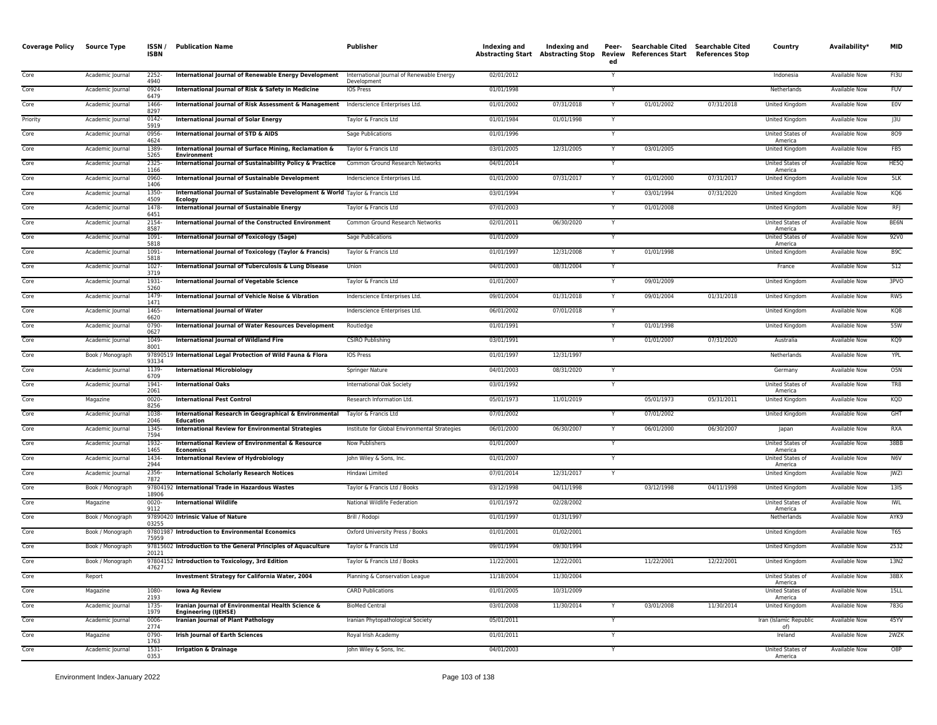| <b>Coverage Policy</b> | <b>Source Type</b> | ISSN/<br><b>ISBN</b> | <b>Publication Name</b>                                                                  | <b>Publisher</b>                                         | Indexing and<br><b>Abstracting Start</b> | Indexing and<br><b>Abstracting Stop</b> | Peer-<br>Review<br>ed | Searchable Cited Searchable Cited<br>References Start | <b>References Stop</b> | Country                       | Availability*        | <b>MID</b>       |
|------------------------|--------------------|----------------------|------------------------------------------------------------------------------------------|----------------------------------------------------------|------------------------------------------|-----------------------------------------|-----------------------|-------------------------------------------------------|------------------------|-------------------------------|----------------------|------------------|
| Core                   | Academic Journal   | 2252-<br>4940        | International Journal of Renewable Energy Development                                    | International Journal of Renewable Energy<br>Development | 02/01/2012                               |                                         | Y                     |                                                       |                        | Indonesia                     | Available Now        | FI3U             |
| Core                   | Academic Journal   | 0924<br>6479         | International Journal of Risk & Safety in Medicine                                       | IOS Press                                                | 01/01/1998                               |                                         |                       |                                                       |                        | Netherlands                   | Available Now        | FUV              |
| Core                   | Academic Journal   | 1466<br>8297         | International Journal of Risk Assessment & Management Inderscience Enterprises Ltd.      |                                                          | 01/01/2002                               | 07/31/2018                              | Y                     | 01/01/2002                                            | 07/31/2018             | <b>United Kingdom</b>         | Available Now        | EOV              |
| Priority               | Academic Journal   | 0142-<br>5919        | <b>International Journal of Solar Energy</b>                                             | Taylor & Francis Ltd                                     | 01/01/1984                               | 01/01/1998                              | Y                     |                                                       |                        | United Kingdom                | Available Now        | J3U              |
| Core                   | Academic Journal   | 0956-<br>4624        | International Journal of STD & AIDS                                                      | Sage Publications                                        | 01/01/1996                               |                                         |                       |                                                       |                        | United States of<br>America   | Available Now        | 809              |
| Core                   | Academic Journal   | 1389<br>5265         | International Journal of Surface Mining, Reclamation &<br><b>Environmen</b>              | Taylor & Francis Ltd                                     | 03/01/2005                               | 12/31/2005                              |                       | 03/01/2005                                            |                        | United Kingdom                | Available Now        | FB5              |
| Core                   | Academic Journal   | 2325<br>1166         | International Journal of Sustainability Policy & Practice                                | Common Ground Research Networks                          | 04/01/2014                               |                                         | Y                     |                                                       |                        | United States of<br>America   | Available Now        | HE5Q             |
| Core                   | Academic Journal   | 0960-<br>1406        | <b>International Journal of Sustainable Development</b>                                  | Inderscience Enterprises Ltd.                            | 01/01/2000                               | 07/31/2017                              | Y                     | 01/01/2000                                            | 07/31/2017             | United Kingdom                | Available Now        | 5LK              |
| Core                   | Academic Journal   | 1350<br>4509         | International Journal of Sustainable Development & World Taylor & Francis Ltd<br>Ecology |                                                          | 03/01/1994                               |                                         | Y                     | 03/01/1994                                            | 07/31/2020             | United Kingdom                | Available Now        | KQ6              |
| Core                   | Academic Journal   | 1478<br>6451         | <b>International Journal of Sustainable Energy</b>                                       | Taylor & Francis Ltd                                     | 07/01/2003                               |                                         | Y                     | 01/01/2008                                            |                        | United Kingdom                | Available Now        | <b>RFJ</b>       |
| Core                   | Academic Journal   | 2154<br>8587         | International Journal of the Constructed Environment                                     | Common Ground Research Networks                          | 02/01/2011                               | 06/30/2020                              | Y                     |                                                       |                        | United States of<br>America   | Available Now        | BE6N             |
| Core                   | Academic Journal   | 1091<br>5818         | <b>International Journal of Toxicology (Sage)</b>                                        | Sage Publications                                        | 01/01/2009                               |                                         | Y                     |                                                       |                        | United States of<br>America   | Available Now        | 92V0             |
| Core                   | Academic Journal   | 1091<br>5818         | International Journal of Toxicology (Taylor & Francis)                                   | Taylor & Francis Ltd                                     | 01/01/1997                               | 12/31/2008                              | Y                     | 01/01/1998                                            |                        | United Kingdom                | Available Now        | B9C              |
| Core                   | Academic Journal   | 1027<br>3719         | International Journal of Tuberculosis & Lung Disease                                     | Union                                                    | 04/01/2003                               | 08/31/2004                              | Y                     |                                                       |                        | France                        | Available Now        | 512              |
| Core                   | Academic Journal   | 1931<br>5260         | <b>International Journal of Vegetable Science</b>                                        | Taylor & Francis Ltd                                     | 01/01/2007                               |                                         | Y                     | 09/01/2009                                            |                        | United Kingdom                | Available Now        | 3PVO             |
| Core                   | Academic Journal   | 1479<br>1471         | International Journal of Vehicle Noise & Vibration                                       | Inderscience Enterprises Ltd.                            | 09/01/2004                               | 01/31/2018                              | ٠Y                    | 09/01/2004                                            | 01/31/2018             | United Kingdom                | Available Now        | RW5              |
| Core                   | Academic Journal   | 1465<br>6620         | <b>International Journal of Water</b>                                                    | Inderscience Enterprises Ltd.                            | 06/01/2002                               | 07/01/2018                              | -Y                    |                                                       |                        | United Kingdom                | Available Now        | KQ8              |
| Core                   | Academic Journal   | 0790-<br>0627        | <b>International Journal of Water Resources Development</b>                              | Routledge                                                | 01/01/1991                               |                                         |                       | 01/01/1998                                            |                        | United Kingdom                | Available Now        | 55W              |
| Core                   | Academic Journal   | 1049-<br>8001        | <b>International lournal of Wildland Fire</b>                                            | <b>CSIRO Publishing</b>                                  | 03/01/1991                               |                                         |                       | 01/01/2007                                            | 07/31/2020             | Australia                     | Available Now        | KQ9              |
| Core                   | Book / Monograph   | 93134                | 97890519 International Legal Protection of Wild Fauna & Flora                            | IOS Press                                                | 01/01/1997                               | 12/31/1997                              |                       |                                                       |                        | Netherlands                   | Available Now        | YPL              |
| Core                   | Academic Journal   | 1139<br>6709         | <b>International Microbiology</b>                                                        | Springer Nature                                          | 04/01/2003                               | 08/31/2020                              | Y                     |                                                       |                        | Germany                       | Available Now        | O <sub>5</sub> N |
| Core                   | Academic Journal   | 1941<br>2061         | <b>International Oaks</b>                                                                | International Oak Society                                | 03/01/1992                               |                                         |                       |                                                       |                        | United States of<br>America   | Available Now        | TR8              |
| Core                   | Magazine           | 0020<br>8256         | <b>International Pest Control</b>                                                        | Research Information Ltd.                                | 05/01/1973                               | 11/01/2019                              |                       | 05/01/1973                                            | 05/31/2011             | United Kingdom                | Available Now        | KQD              |
| Core                   | Academic Journal   | 1038<br>2046         | International Research in Geographical & Environmental<br>Education                      | Taylor & Francis Ltd                                     | 07/01/2002                               |                                         | Y                     | 07/01/2002                                            |                        | United Kingdom                | Available Now        | <b>GHT</b>       |
| Core                   | Academic Journal   | 1345<br>7594         | <b>International Review for Environmental Strategies</b>                                 | Institute for Global Environmental Strategies            | 06/01/2000                               | 06/30/2007                              | Y                     | 06/01/2000                                            | 06/30/2007             | Japan                         | Available Now        | RXA              |
| Core                   | Academic Journal   | 1932-<br>1465        | International Review of Environmental & Resource<br>Economics                            | Now Publishers                                           | 01/01/2007                               |                                         | Y.                    |                                                       |                        | United States of<br>America   | Available Now        | 38BB             |
| Core                   | Academic Journal   | 1434<br>2944         | <b>International Review of Hydrobiology</b>                                              | John Wiley & Sons, Inc.                                  | 01/01/2007                               |                                         | Y                     |                                                       |                        | United States of<br>America   | Available Now        | N6V              |
| Core                   | Academic Journal   | 2356<br>7872         | <b>International Scholarly Research Notices</b>                                          | Hindawi Limited                                          | 07/01/2014                               | 12/31/2017                              | Y                     |                                                       |                        | United Kingdom                | Available Now        | JWZI             |
| Core                   | Book / Monograph   | 18906                | 97804192 International Trade in Hazardous Wastes                                         | Taylor & Francis Ltd / Books                             | 03/12/1998                               | 04/11/1998                              |                       | 03/12/1998                                            | 04/11/1998             | United Kingdom                | Available Now        | <b>13IS</b>      |
| Core                   | Magazine           | 0020-<br>9112        | <b>International Wildlife</b>                                                            | National Wildlife Federation                             | 01/01/1972                               | 02/28/2002                              |                       |                                                       |                        | United States of<br>America   | Available Now        | IWL              |
| Core                   | Book / Monograph   | 03255                | 97890420 Intrinsic Value of Nature                                                       | Brill / Rodopi                                           | 01/01/1997                               | 01/31/1997                              |                       |                                                       |                        | Netherlands                   | Available Now        | AYK9             |
| Core                   | Book / Monograph   | 75959                | 97801987 Introduction to Environmental Economics                                         | Oxford University Press / Books                          | 01/01/2001                               | 01/02/2001                              |                       |                                                       |                        | United Kingdom                | Available Now        | T65              |
| Core                   | Book / Monograph   | 20121                | 97815602 Introduction to the General Principles of Aquaculture                           | Taylor & Francis Ltd                                     | 09/01/1994                               | 09/30/1994                              |                       |                                                       |                        | United Kingdom                | Available Now        | 2532             |
| Core                   | Book / Monograph   | 47627                | 97804152 Introduction to Toxicology, 3rd Edition                                         | Taylor & Francis Ltd / Books                             | 11/22/2001                               | 12/22/2001                              |                       | 11/22/2001                                            | 12/22/2001             | United Kingdom                | Available Now        | 13N2             |
| Core                   | Report             |                      | <b>Investment Strategy for California Water, 2004</b>                                    | Planning & Conservation League                           | 11/18/2004                               | 11/30/2004                              |                       |                                                       |                        | United States of<br>America   | Available Now        | 38BX             |
| Core                   | Magazine           | 1080-<br>2193        | <b>Iowa Ag Review</b>                                                                    | <b>CARD Publications</b>                                 | 01/01/2005                               | 10/31/2009                              |                       |                                                       |                        | United States of<br>America   | <b>Available Now</b> | 15LL             |
| Core                   | Academic Journal   | 1735-<br>1979        | Iranian Journal of Environmental Health Science &<br><b>Engineering (IJEHSE)</b>         | <b>BioMed Central</b>                                    | 03/01/2008                               | 11/30/2014                              | Y                     | 03/01/2008                                            | 11/30/2014             | United Kingdom                | Available Now        | 783G             |
| Core                   | Academic Journal   | $0006 -$<br>2774     | <b>Iranian Journal of Plant Pathology</b><br><b>Irish Journal of Earth Sciences</b>      | Iranian Phytopathological Society                        | 05/01/2011                               |                                         | Y                     |                                                       |                        | Iran (Islamic Republic<br>of) | Available Now        | 45YV             |
| Core                   | Magazine           | 0790-<br>1763        |                                                                                          | Royal Irish Academy                                      | 01/01/2011                               |                                         |                       |                                                       |                        | Ireland<br>United States of   | Available Now        | 2WZK             |
| Core                   | Academic Journal   | 1531-<br>0353        | <b>Irrigation &amp; Drainage</b>                                                         | John Wiley & Sons, Inc.                                  | 04/01/2003                               |                                         | Υ                     |                                                       |                        | America                       | Available Now        | O8P              |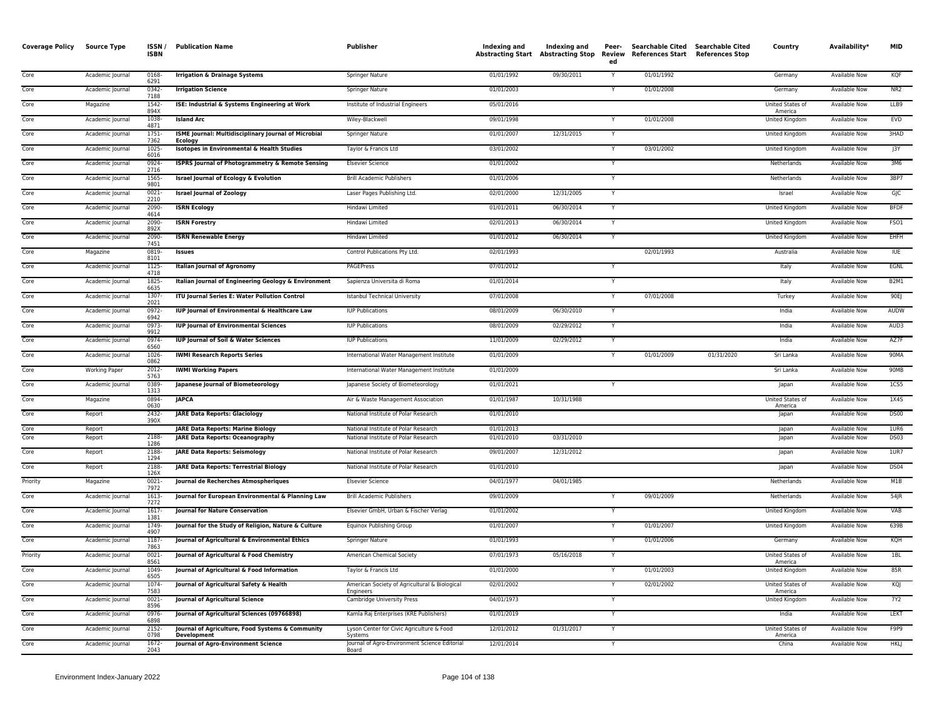| <b>Coverage Policy</b> | <b>Source Type</b>   | ISSN/<br><b>ISBN</b> | <b>Publication Name</b>                                                     | Publisher                                                                    | Indexing and             | Indexing and<br><b>Abstracting Start Abstracting Stop</b> | Peer-<br>Review<br>ed | Searchable Cited Searchable Cited<br>References Start References Stop |            | Country                     | Availability*                         | <b>MID</b>          |
|------------------------|----------------------|----------------------|-----------------------------------------------------------------------------|------------------------------------------------------------------------------|--------------------------|-----------------------------------------------------------|-----------------------|-----------------------------------------------------------------------|------------|-----------------------------|---------------------------------------|---------------------|
| Core                   | Academic Journal     | 0168-<br>6291        | <b>Irrigation &amp; Drainage Systems</b>                                    | Springer Nature                                                              | 01/01/1992               | 09/30/2011                                                | $\overline{Y}$        | 01/01/1992                                                            |            | Germany                     | <b>Available Now</b>                  | KQF                 |
| Core                   | Academic Journal     | $0342 -$<br>7188     | <b>Irrigation Science</b>                                                   | <b>Springer Nature</b>                                                       | 01/01/2003               |                                                           | Y                     | 01/01/2008                                                            |            | Germany                     | <b>Available Now</b>                  | NR <sub>2</sub>     |
| Core                   | Magazine             | 1542-<br>894X        | ISE: Industrial & Systems Engineering at Work                               | Institute of Industrial Engineers                                            | 05/01/2016               |                                                           |                       |                                                                       |            | United States of<br>America | <b>Available Now</b>                  | LLB9                |
| Core                   | Academic Journal     | 1038-<br>4871        | <b>Island Arc</b>                                                           | Wiley-Blackwell                                                              | 09/01/1998               |                                                           | Y                     | 01/01/2008                                                            |            | United Kingdom              | Available Now                         | <b>EVD</b>          |
| Core                   | Academic Journal     | 1751-<br>7362        | ISME Journal: Multidisciplinary Journal of Microbial<br><b>Ecology</b>      | Springer Nature                                                              | 01/01/2007               | 12/31/2015                                                | Y                     |                                                                       |            | United Kingdom              | Available Now                         | 3HAD                |
| Core                   | Academic Journal     | $1025 -$<br>6016     | <b>Isotopes in Environmental &amp; Health Studies</b>                       | Taylor & Francis Ltd                                                         | 03/01/2002               |                                                           | $\overline{Y}$        | 03/01/2002                                                            |            | United Kingdom              | <b>Available Now</b>                  | J3Y                 |
| Core                   | Academic Journal     | 0924<br>2716         | <b>ISPRS Journal of Photogrammetry &amp; Remote Sensing</b>                 | <b>Elsevier Science</b>                                                      | 01/01/2002               |                                                           |                       |                                                                       |            | Netherlands                 | Available Now                         | 3M6                 |
| Core                   | Academic Journal     | 1565-<br>9801        | <b>Israel Journal of Ecology &amp; Evolution</b>                            | <b>Brill Academic Publishers</b>                                             | 01/01/2006               |                                                           | Ÿ                     |                                                                       |            | Netherlands                 | <b>Available Now</b>                  | 3BP7                |
| Core                   | Academic Journal     | $0021 -$<br>2210     | <b>Israel Journal of Zoology</b>                                            | Laser Pages Publishing Ltd.                                                  | 02/01/2000               | 12/31/2005                                                | Y                     |                                                                       |            | Israel                      | Available Now                         | GIC                 |
| Core                   | Academic Journal     | 2090<br>4614         | <b>ISRN Ecology</b>                                                         | Hindawi Limited                                                              | 01/01/2011               | 06/30/2014                                                | $\overline{Y}$        |                                                                       |            | United Kingdom              | <b>Available Now</b>                  | <b>BFDF</b>         |
| Core                   | Academic Journal     | 2090-<br>892X        | <b>ISRN Forestry</b>                                                        | Hindawi Limited                                                              | 02/01/2013               | 06/30/2014                                                | Y                     |                                                                       |            | United Kingdom              | Available Now                         | FSO1                |
| Core                   | Academic Journal     | 2090<br>7451         | <b>ISRN Renewable Energy</b>                                                | Hindawi Limited                                                              | 01/01/2012               | 06/30/2014                                                |                       |                                                                       |            | <b>United Kingdom</b>       | <b>Available Now</b>                  | EHFH                |
| Core                   | Magazine             | 0819<br>8101         | <b>Issues</b>                                                               | Control Publications Pty Ltd.                                                | 02/01/1993               |                                                           |                       | 02/01/1993                                                            |            | Australia                   | <b>Available Now</b>                  | <b>IUE</b>          |
| Core                   | Academic Journal     | 1125-<br>4718        | <b>Italian Journal of Agronomy</b>                                          | <b>PAGEPress</b>                                                             | 07/01/2012               |                                                           | Y                     |                                                                       |            | Italy                       | <b>Available Now</b>                  | EGNL                |
| Core                   | Academic Journal     | 1825-<br>6635        | Italian Journal of Engineering Geology & Environment                        | Sapienza Universita di Roma                                                  | 01/01/2014               |                                                           | Ÿ                     |                                                                       |            | Italy                       | Available Now                         | <b>B2M1</b>         |
| Core                   | Academic Journal     | 1307-<br>2021        | ITU Journal Series E: Water Pollution Control                               | Istanbul Technical University                                                | 07/01/2008               |                                                           | Y                     | 07/01/2008                                                            |            | Turkey                      | Available Now                         | 90EJ                |
| Core                   | Academic Journal     | 0972-<br>6942        | IUP Journal of Environmental & Healthcare Law                               | <b>IUP Publications</b>                                                      | 08/01/2009               | 06/30/2010                                                |                       |                                                                       |            | India                       | <b>Available Now</b>                  | <b>AUDW</b>         |
| Core                   | Academic Journal     | 0973-<br>9912        | <b>IUP Journal of Environmental Sciences</b>                                | <b>IUP Publications</b>                                                      | 08/01/2009               | 02/29/2012                                                | Y                     |                                                                       |            | India                       | Available Now                         | AUD3                |
| Core                   | Academic Journal     | 0974-<br>6560        | <b>IUP Journal of Soil &amp; Water Sciences</b>                             | <b>IUP Publications</b>                                                      | 11/01/2009               | 02/29/2012                                                |                       |                                                                       |            | India                       | <b>Available Now</b>                  | AZ7F                |
| Core                   | Academic Journal     | 1026-<br>0862        | <b>IWMI Research Reports Series</b>                                         | International Water Management Institute                                     | 01/01/2009               |                                                           | $\overline{Y}$        | 01/01/2009                                                            | 01/31/2020 | Sri Lanka                   | Available Now                         | 90MA                |
| Core                   | <b>Working Paper</b> | $2012 -$<br>5763     | <b>IWMI Working Papers</b>                                                  | International Water Management Institute                                     | 01/01/2009               |                                                           |                       |                                                                       |            | Sri Lanka                   | <b>Available Now</b>                  | 90MB                |
| Core                   | Academic Journal     | 0389<br>1313         | Japanese Journal of Biometeorology                                          | Japanese Society of Biometeorology                                           | 01/01/2021               |                                                           |                       |                                                                       |            | Japan                       | <b>Available Now</b>                  | 1C55                |
| Core                   | Magazine             | 0894-<br>0630        | <b>JAPCA</b>                                                                | Air & Waste Management Association                                           | 01/01/1987               | 10/31/1988                                                |                       |                                                                       |            | United States of<br>America | Available Now                         | 1X4S                |
| Core                   | Report               | 2432-<br>390X        | <b>JARE Data Reports: Glaciology</b>                                        | National Institute of Polar Research                                         | 01/01/2010               |                                                           |                       |                                                                       |            | Japan                       | Available Now                         | <b>DS00</b>         |
| Core<br>Core           | Report<br>Report     | 2188-                | <b>JARE Data Reports: Marine Biology</b><br>JARE Data Reports: Oceanography | National Institute of Polar Research<br>National Institute of Polar Research | 01/01/2013<br>01/01/2010 | 03/31/2010                                                |                       |                                                                       |            | Japan<br>Japan              | Available Now<br><b>Available Now</b> | 1UR6<br><b>DS03</b> |
| Core                   | Report               | 1286<br>2188-        | <b>JARE Data Reports: Seismology</b>                                        | National Institute of Polar Research                                         | 09/01/2007               | 12/31/2012                                                |                       |                                                                       |            | Japan                       | <b>Available Now</b>                  | 10R7                |
| Core                   | Report               | 1294<br>2188-        | <b>JARE Data Reports: Terrestrial Biology</b>                               | National Institute of Polar Research                                         | 01/01/2010               |                                                           |                       |                                                                       |            | Japan                       | <b>Available Now</b>                  | <b>DS04</b>         |
| Priority               | Magazine             | 126X<br>$0021 -$     | Journal de Recherches Atmospheriques                                        | <b>Elsevier Science</b>                                                      | 04/01/1977               | 04/01/1985                                                |                       |                                                                       |            | Netherlands                 | Available Now                         | M1B                 |
| Core                   | Academic Journal     | 7972<br>1613-        | Journal for European Environmental & Planning Law                           | <b>Brill Academic Publishers</b>                                             | 09/01/2009               |                                                           |                       | 09/01/2009                                                            |            | Netherlands                 | Available Now                         | 54JR                |
| Core                   | Academic Journal     | 7272<br>1617         | Journal for Nature Conservation                                             | Elsevier GmbH, Urban & Fischer Verlag                                        | 01/01/2002               |                                                           |                       |                                                                       |            | United Kingdom              | <b>Available Now</b>                  | <b>VAB</b>          |
| Core                   | Academic Journal     | 1381<br>1749-        | Journal for the Study of Religion, Nature & Culture                         | Equinox Publishing Group                                                     | 01/01/2007               |                                                           | Y                     | 01/01/2007                                                            |            | <b>United Kingdom</b>       | <b>Available Now</b>                  | 639B                |
| Core                   | Academic Journal     | 4907<br>1187-        | Journal of Agricultural & Environmental Ethics                              | <b>Springer Nature</b>                                                       | 01/01/1993               |                                                           | Y                     | 01/01/2006                                                            |            | Germany                     | Available Now                         | KQH                 |
| Priority               | Academic Journal     | 7863<br>$0021 -$     | Journal of Agricultural & Food Chemistry                                    | American Chemical Society                                                    | 07/01/1973               | 05/16/2018                                                | Y                     |                                                                       |            | United States of            | <b>Available Now</b>                  | 1BL                 |
| Core                   | Academic Journal     | 8561<br>1049-        | Journal of Agricultural & Food Information                                  | Taylor & Francis Ltd                                                         | 01/01/2000               |                                                           | Y                     | 01/01/2003                                                            |            | America<br>United Kingdom   | Available Now                         | 85R                 |
| Core                   | Academic Journal     | 6505<br>$1074 -$     | Journal of Agricultural Safety & Health                                     | American Society of Agricultural & Biological                                | 02/01/2002               |                                                           | Y                     | 02/01/2002                                                            |            | United States of            | <b>Available Now</b>                  | KQJ                 |
| Core                   | Academic Journal     | 7583<br>0021-        | Journal of Agricultural Science                                             | Engineers<br>Cambridge University Press                                      | 04/01/1973               |                                                           |                       |                                                                       |            | America<br>United Kingdom   | Available Now                         | 7Y2                 |
| Core                   | Academic Journal     | 8596<br>0976-        | Journal of Agricultural Sciences (09766898)                                 | Kamla Raj Enterprises (KRE Publishers)                                       | 01/01/2019               |                                                           | Y                     |                                                                       |            | India                       | <b>Available Now</b>                  | <b>LEKT</b>         |
| Core                   | Academic Journal     | 6898<br>$2152 -$     | Journal of Agriculture, Food Systems & Community                            | Lyson Center for Civic Agriculture & Food                                    | 12/01/2012               | 01/31/2017                                                | Y                     |                                                                       |            | <b>United States of</b>     | <b>Available Now</b>                  | F9P9                |
| Core                   | Academic Journal     | 0798<br>$1672 -$     | <b>Development</b><br>Journal of Agro-Environment Science                   | Systems<br>Journal of Agro-Environment Science Editorial                     | 12/01/2014               |                                                           | Y                     |                                                                       |            | America<br>China            | Available Now                         | <b>HKLI</b>         |
|                        |                      | 2043                 |                                                                             | Board                                                                        |                          |                                                           |                       |                                                                       |            |                             |                                       |                     |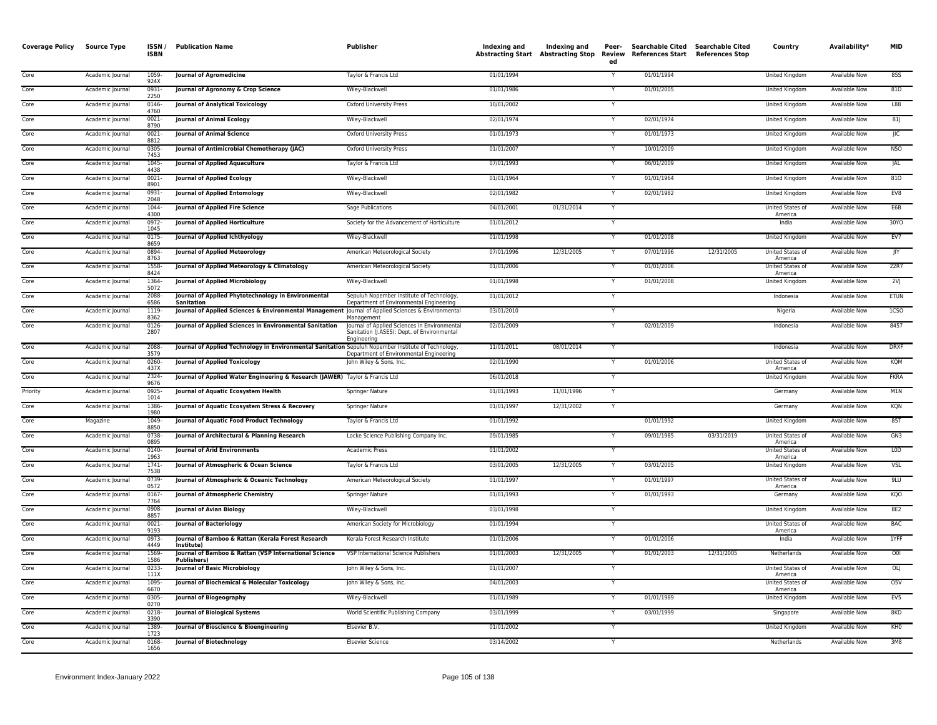| <b>Coverage Policy</b> | <b>Source Type</b> | ISSN/<br><b>ISBN</b> | <b>Publication Name</b>                                                                             | Publisher                                                                                                  | Indexing and | Indexing and<br><b>Abstracting Start Abstracting Stop</b> | Peer-<br>ed | Searchable Cited Searchable Cited<br>Review References Start References Stop |            | Country                     | Availability*        | <b>MID</b>       |
|------------------------|--------------------|----------------------|-----------------------------------------------------------------------------------------------------|------------------------------------------------------------------------------------------------------------|--------------|-----------------------------------------------------------|-------------|------------------------------------------------------------------------------|------------|-----------------------------|----------------------|------------------|
| Core                   | Academic Journal   | 1059-<br>924X        | <b>Journal of Agromedicine</b>                                                                      | Taylor & Francis Ltd                                                                                       | 01/01/1994   |                                                           | Y           | 01/01/1994                                                                   |            | United Kingdom              | Available Now        | 855              |
| Core                   | Academic Journal   | 0931<br>2250         | Journal of Agronomy & Crop Science                                                                  | Wiley-Blackwell                                                                                            | 01/01/1986   |                                                           |             | 01/01/2005                                                                   |            | United Kingdom              | Available Now        | 81D              |
| Core                   | Academic Journal   | 0146<br>4760         | <b>Journal of Analytical Toxicology</b>                                                             | <b>Oxford University Press</b>                                                                             | 10/01/2002   |                                                           | Y           |                                                                              |            | United Kingdom              | <b>Available Now</b> | L88              |
| Core                   | Academic Journal   | $0021 -$<br>8790     | <b>Journal of Animal Ecology</b>                                                                    | Wiley-Blackwell                                                                                            | 02/01/1974   |                                                           |             | 02/01/1974                                                                   |            | United Kingdom              | <b>Available Now</b> | 81               |
| Core                   | Academic Journal   | $0021 -$<br>8812     | Journal of Animal Science                                                                           | <b>Oxford University Press</b>                                                                             | 01/01/1973   |                                                           | ٠Y          | 01/01/1973                                                                   |            | United Kingdom              | Available Now        | JIC              |
| Core                   | Academic Journal   | 0305<br>7453         | Journal of Antimicrobial Chemotherapy (JAC)                                                         | <b>Oxford University Press</b>                                                                             | 01/01/2007   |                                                           | Y           | 10/01/2009                                                                   |            | United Kingdom              | Available Now        | <b>N5O</b>       |
| Core                   | Academic Journal   | 1045<br>4438         | <b>Journal of Applied Aquaculture</b>                                                               | Taylor & Francis Ltd                                                                                       | 07/01/1993   |                                                           |             | 06/01/2009                                                                   |            | United Kingdom              | Available Now        | JAL              |
| Core                   | Academic Journal   | $0021 -$<br>8901     | Journal of Applied Ecology                                                                          | Wiley-Blackwell                                                                                            | 01/01/1964   |                                                           |             | 01/01/1964                                                                   |            | United Kingdom              | <b>Available Now</b> | 810              |
| Core                   | Academic Journal   | 0931-<br>2048        | Journal of Applied Entomology                                                                       | Wiley-Blackwell                                                                                            | 02/01/1982   |                                                           |             | 02/01/1982                                                                   |            | United Kingdom              | <b>Available Now</b> | EV8              |
| Core                   | Academic Journal   | 1044<br>4300         | Journal of Applied Fire Science                                                                     | Sage Publications                                                                                          | 04/01/2001   | 01/31/2014                                                | Y           |                                                                              |            | United States of<br>America | Available Now        | E6B              |
| Core                   | Academic Journal   | 0972-<br>1045        | Journal of Applied Horticulture                                                                     | Society for the Advancement of Horticulture                                                                | 01/01/2012   |                                                           | Y           |                                                                              |            | India                       | <b>Available Now</b> | 30YO             |
| Core                   | Academic Journal   | $0175 -$<br>8659     | Journal of Applied Ichthyology                                                                      | Wiley-Blackwell                                                                                            | 01/01/1998   |                                                           |             | 01/01/2008                                                                   |            | <b>United Kingdom</b>       | <b>Available Now</b> | EV7              |
| Core                   | Academic Journal   | 0894<br>8763         | <b>Journal of Applied Meteorology</b>                                                               | American Meteorological Society                                                                            | 07/01/1996   | 12/31/2005                                                |             | 07/01/1996                                                                   | 12/31/2005 | United States of<br>America | <b>Available Now</b> | JIY              |
| Core                   | Academic Journal   | 1558-<br>8424        | Journal of Applied Meteorology & Climatology                                                        | American Meteorological Society                                                                            | 01/01/2006   |                                                           |             | 01/01/2006                                                                   |            | United States of<br>America | Available Now        | 22R7             |
| Core                   | Academic Journal   | 1364-<br>5072        | Journal of Applied Microbiology                                                                     | Wiley-Blackwell                                                                                            | 01/01/1998   |                                                           |             | 01/01/2008                                                                   |            | United Kingdom              | Available Now        | 2V               |
| Core                   | Academic Journal   | 2088<br>6586         | Journal of Applied Phytotechnology in Environmental<br><b>Sanitation</b>                            | Sepuluh Nopember Institute of Technology,<br>Department of Environmental Engineering                       | 01/01/2012   |                                                           | Y           |                                                                              |            | Indonesia                   | <b>Available Now</b> | <b>ETUN</b>      |
| Core                   | Academic Journal   | 1119<br>8362         | Journal of Applied Sciences & Environmental Management Journal of Applied Sciences & Environmental  | Management                                                                                                 | 03/01/2010   |                                                           | Y           |                                                                              |            | Nigeria                     | <b>Available Now</b> | 1CSO             |
| Core                   | Academic Journal   | 0126-<br>2807        | Journal of Applied Sciences in Environmental Sanitation                                             | Journal of Applied Sciences in Environmental<br>Sanitation (J.ASES): Dept. of Environmental<br>Engineering | 02/01/2009   |                                                           |             | 02/01/2009                                                                   |            | Indonesia                   | Available Now        | 8457             |
| Core                   | Academic Journal   | 2088-<br>3579        | Journal of Applied Technology in Environmental Sanitation Sepuluh Nopember Institute of Technology, | Department of Environmental Engineering                                                                    | 11/01/2011   | 08/01/2014                                                | Y           |                                                                              |            | Indonesia                   | <b>Available Now</b> | <b>DRXF</b>      |
| Core                   | Academic Journal   | 0260-<br>437X        | <b>Journal of Applied Toxicology</b>                                                                | John Wiley & Sons, Inc.                                                                                    | 02/01/1990   |                                                           | Y           | 01/01/2006                                                                   |            | United States of<br>America | <b>Available Now</b> | KQM              |
| Core                   | Academic Journal   | 2324-<br>9676        | Journal of Applied Water Engineering & Research (JAWER) Taylor & Francis Ltd                        |                                                                                                            | 06/01/2018   |                                                           |             |                                                                              |            | United Kingdom              | Available Now        | <b>FKRA</b>      |
| Priority               | Academic Journal   | 0925<br>1014         | Journal of Aquatic Ecosystem Health                                                                 | Springer Nature                                                                                            | 01/01/1993   | 11/01/1996                                                |             |                                                                              |            | Germany                     | Available Now        | M1N              |
| Core                   | Academic Journal   | 1386<br>1980         | Journal of Aquatic Ecosystem Stress & Recovery                                                      | Springer Nature                                                                                            | 01/01/1997   | 12/31/2002                                                | Y           |                                                                              |            | Germany                     | Available Now        | <b>KQN</b>       |
| Core                   | Magazine           | 1049<br>8850         | Journal of Aquatic Food Product Technology                                                          | Taylor & Francis Ltd                                                                                       | 01/01/1992   |                                                           |             | 01/01/1992                                                                   |            | <b>United Kingdom</b>       | <b>Available Now</b> | 85T              |
| Core                   | Academic Journal   | 0738<br>0895         | Journal of Architectural & Planning Research                                                        | Locke Science Publishing Company Inc.                                                                      | 09/01/1985   |                                                           |             | 09/01/1985                                                                   | 03/31/2019 | United States of<br>America | <b>Available Now</b> | GN3              |
| Core                   | Academic Journal   | 0140-<br>1963        | <b>Journal of Arid Environments</b>                                                                 | <b>Academic Press</b>                                                                                      | 01/01/2002   |                                                           |             |                                                                              |            | United States of<br>America | Available Now        | L <sub>0</sub> D |
| Core                   | Academic Journal   | 1741-<br>7538        | Journal of Atmospheric & Ocean Science                                                              | Taylor & Francis Ltd                                                                                       | 03/01/2005   | 12/31/2005                                                |             | 03/01/2005                                                                   |            | United Kingdom              | Available Now        | <b>VSL</b>       |
| Core                   | Academic Journal   | 0739<br>0572         | Journal of Atmospheric & Oceanic Technology                                                         | American Meteorological Society                                                                            | 01/01/1997   |                                                           |             | 01/01/1997                                                                   |            | United States of<br>America | <b>Available Now</b> | 9LU              |
| Core                   | Academic Journal   | 0167-<br>7764        | Journal of Atmospheric Chemistry                                                                    | Springer Nature                                                                                            | 01/01/1993   |                                                           |             | 01/01/1993                                                                   |            | Germany                     | Available Now        | <b>KQO</b>       |
| Core                   | Academic Journal   | 0908<br>8857         | <b>Journal of Avian Biology</b>                                                                     | Wiley-Blackwell                                                                                            | 03/01/1998   |                                                           |             |                                                                              |            | United Kingdom              | Available Now        | 8E2              |
| Core                   | Academic Journal   | 0021<br>9193         | <b>Journal of Bacteriology</b>                                                                      | American Society for Microbiology                                                                          | 01/01/1994   |                                                           | Y           |                                                                              |            | United States of<br>America | Available Now        | <b>BAC</b>       |
| Core                   | Academic Journal   | 0973-<br>4449        | Journal of Bamboo & Rattan (Kerala Forest Research<br>Institute)                                    | Kerala Forest Research Institute                                                                           | 01/01/2006   |                                                           |             | 01/01/2006                                                                   |            | India                       | <b>Available Now</b> | 1YFF             |
| Core                   | Academic Journal   | 1569<br>1586         | Journal of Bamboo & Rattan (VSP International Science<br><b>Publishers)</b>                         | VSP International Science Publishers                                                                       | 01/01/2003   | 12/31/2005                                                | Y           | 01/01/2003                                                                   | 12/31/2005 | Netherlands                 | Available Now        | 00I              |
| Core                   | Academic Journal   | 0233-<br>111X        | <b>Journal of Basic Microbiology</b>                                                                | John Wiley & Sons, Inc.                                                                                    | 01/01/2007   |                                                           | Y           |                                                                              |            | United States of<br>America | Available Now        | OLJ              |
| Core                   | Academic Journal   | 1095-<br>6670        | Journal of Biochemical & Molecular Toxicology                                                       | John Wiley & Sons, Inc.                                                                                    | 04/01/2003   |                                                           |             |                                                                              |            | United States of<br>America | Available Now        | 05V              |
| Core                   | Academic Journal   | 0305-<br>0270        | Journal of Biogeography                                                                             | Wiley-Blackwell                                                                                            | 01/01/1989   |                                                           |             | 01/01/1989                                                                   |            | <b>United Kingdom</b>       | <b>Available Now</b> | EV <sub>5</sub>  |
| Core                   | Academic Journal   | 0218<br>3390         | <b>Journal of Biological Systems</b>                                                                | World Scientific Publishing Company                                                                        | 03/01/1999   |                                                           |             | 03/01/1999                                                                   |            | Singapore                   | Available Now        | 8KD              |
| Core                   | Academic Journal   | 1389<br>1723         | Journal of Bioscience & Bioengineering                                                              | Elsevier B.V.                                                                                              | 01/01/2002   |                                                           |             |                                                                              |            | United Kingdom              | Available Now        | KH <sub>0</sub>  |
| Core                   | Academic Journal   | 0168<br>1656         | Journal of Biotechnology                                                                            | <b>Elsevier Science</b>                                                                                    | 03/14/2002   |                                                           |             |                                                                              |            | Netherlands                 | <b>Available Now</b> | 3M8              |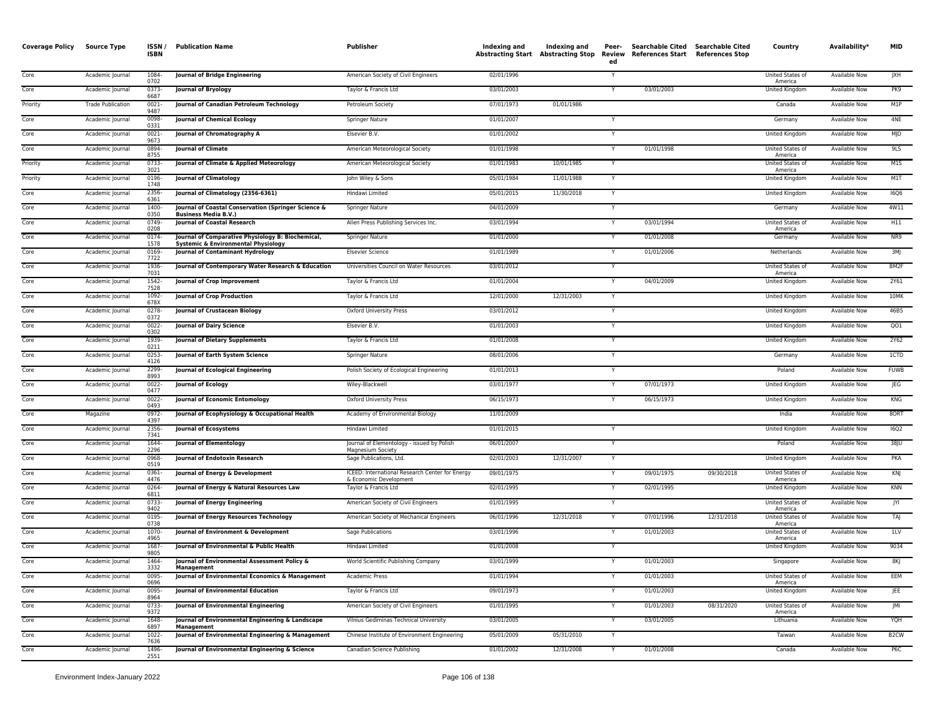| <b>Coverage Policy</b> | Source Type              | <b>ISSN</b><br><b>ISBN</b> | <b>Publication Name</b>                                                                             | Publisher                                                                 | Indexing and | Indexing and<br><b>Abstracting Start Abstracting Stop</b> | Peer-<br>Review<br>ed   | Searchable Cited Searchable Cited<br>References Start References Stop |            | Country                            | Availability*        | <b>MID</b>        |
|------------------------|--------------------------|----------------------------|-----------------------------------------------------------------------------------------------------|---------------------------------------------------------------------------|--------------|-----------------------------------------------------------|-------------------------|-----------------------------------------------------------------------|------------|------------------------------------|----------------------|-------------------|
| Core                   | Academic Journal         | 1084<br>0702               | Journal of Bridge Engineering                                                                       | American Society of Civil Engineers                                       | 02/01/1996   |                                                           | Y                       |                                                                       |            | United States of<br>America        | Available Now        | JXH               |
| Core                   | Academic Journal         | 0373-<br>6687              | <b>Journal of Bryology</b>                                                                          | Taylor & Francis Ltd                                                      | 03/01/2003   |                                                           | Y                       | 03/01/2003                                                            |            | United Kingdom                     | Available Now        | PK9               |
| Priority               | <b>Trade Publication</b> | $0021 -$<br>9487           | Journal of Canadian Petroleum Technology                                                            | Petroleum Society                                                         | 07/01/1973   | 01/01/1986                                                |                         |                                                                       |            | Canada                             | Available Now        | M1P               |
| Core                   | Academic Journal         | 0098<br>0331               | <b>Journal of Chemical Ecology</b>                                                                  | Springer Nature                                                           | 01/01/2007   |                                                           |                         |                                                                       |            | Germany                            | <b>Available Now</b> | 4NE               |
| Core                   | Academic Journal         | 0021<br>9673               | Journal of Chromatography A                                                                         | Elsevier B.V.                                                             | 01/01/2002   |                                                           | Y                       |                                                                       |            | United Kingdom                     | <b>Available Now</b> | MJD               |
| Core                   | Academic Journal         | 0894-<br>8755              | <b>Journal of Climate</b>                                                                           | American Meteorological Society                                           | 01/01/1998   |                                                           | $\mathsf{Y}$            | 01/01/1998                                                            |            | United States of<br>America        | <b>Available Now</b> | 9LS               |
| Priority               | Academic Journal         | 0733<br>3021               | Journal of Climate & Applied Meteorology                                                            | American Meteorological Society                                           | 01/01/1983   | 10/01/1985                                                | $\mathsf{Y}$            |                                                                       |            | United States of<br>America        | <b>Available Now</b> | M1S               |
| Priority               | Academic Journal         | 0196<br>1748               | <b>Journal of Climatology</b>                                                                       | John Wiley & Sons                                                         | 05/01/1984   | 11/01/1988                                                | Y                       |                                                                       |            | United Kingdom                     | Available Now        | M1T               |
| Core                   | Academic Journal         | 2356-<br>6361              | Journal of Climatology (2356-6361)                                                                  | Hindawi Limited                                                           | 05/01/2015   | 11/30/2018                                                | Y                       |                                                                       |            | <b>United Kingdom</b>              | <b>Available Now</b> | <b>I6Q6</b>       |
| Core                   | Academic Journal         | 1400-<br>0350              | Journal of Coastal Conservation (Springer Science &<br><b>Business Media B.V.)</b>                  | Springer Nature                                                           | 04/01/2009   |                                                           | Y                       |                                                                       |            | Germany                            | <b>Available Now</b> | 4W11              |
| Core                   | Academic Journal         | 0749-<br>0208              | <b>Journal of Coastal Research</b>                                                                  | Allen Press Publishing Services Inc.                                      | 03/01/1994   |                                                           |                         | 03/01/1994                                                            |            | United States of<br>America        | Available Now        | H11               |
| Core                   | Academic Journal         | $0174 -$<br>1578           | Journal of Comparative Physiology B: Biochemical,<br><b>Systemic &amp; Environmental Physiology</b> | <b>Springer Nature</b>                                                    | 01/01/2000   |                                                           |                         | 01/01/2008                                                            |            | Germany                            | <b>Available Now</b> | NR9               |
| Core                   | Academic Journal         | 0169-<br>7722              | <b>Journal of Contaminant Hydrology</b>                                                             | <b>Elsevier Science</b>                                                   | 01/01/1989   |                                                           |                         | 01/01/2006                                                            |            | Netherlands                        | <b>Available Now</b> | 3M                |
| Core                   | Academic Journal         | 1936-<br>7031              | Journal of Contemporary Water Research & Education                                                  | Universities Council on Water Resources                                   | 03/01/2012   |                                                           | Y                       |                                                                       |            | United States of<br>America        | <b>Available Now</b> | BM2F              |
| Core                   | Academic Journal         | 1542-<br>7528              | Journal of Crop Improvement                                                                         | Taylor & Francis Ltd                                                      | 01/01/2004   |                                                           | Y                       | 04/01/2009                                                            |            | United Kingdom                     | Available Now        | 2Y61              |
| Core                   | Academic Journal         | 1092<br>678X               | <b>Journal of Crop Production</b>                                                                   | Taylor & Francis Ltd                                                      | 12/01/2000   | 12/31/2003                                                | Y                       |                                                                       |            | United Kingdom                     | Available Now        | 10MK              |
| Core                   | Academic Journal         | 0278-<br>0372              | Journal of Crustacean Biology                                                                       | <b>Oxford University Press</b>                                            | 03/01/2012   |                                                           | Y                       |                                                                       |            | United Kingdom                     | Available Now        | 46B5              |
| Core                   | Academic Journal         | 0022<br>0302               | <b>Journal of Dairy Science</b>                                                                     | Elsevier B.V.                                                             | 01/01/2003   |                                                           |                         |                                                                       |            | United Kingdom                     | <b>Available Now</b> | QO1               |
| Core                   | Academic Journal         | 1939<br>0211               | <b>Journal of Dietary Supplements</b>                                                               | Taylor & Francis Ltd                                                      | 01/01/2008   |                                                           |                         |                                                                       |            | United Kingdom                     | Available Now        | 2Y62              |
| Core                   | Academic Journal         | $0253 -$<br>4126           | <b>Journal of Earth System Science</b>                                                              | Springer Nature                                                           | 08/01/2006   |                                                           | $\mathsf{Y}$            |                                                                       |            | Germany                            | <b>Available Now</b> | 1CTD              |
| Core                   | Academic Journal         | 2299<br>8993               | Journal of Ecological Engineering                                                                   | Polish Society of Ecological Engineering                                  | 01/01/2013   |                                                           | $\mathsf{Y}$            |                                                                       |            | Poland                             | <b>Available Now</b> | <b>FUWB</b>       |
| Core                   | Academic Journal         | 0022-<br>0477              | <b>Journal of Ecology</b>                                                                           | Wiley-Blackwell                                                           | 03/01/1977   |                                                           |                         | 07/01/1973                                                            |            | United Kingdom                     | Available Now        | JEG               |
| Core                   | Academic Journal         | 0022<br>0493               | Journal of Economic Entomology                                                                      | <b>Oxford University Press</b>                                            | 06/15/1973   |                                                           | Y                       | 06/15/1973                                                            |            | United Kingdom                     | <b>Available Now</b> | <b>KNG</b>        |
| Core                   | Magazine                 | 0972-<br>4397              | Journal of Ecophysiology & Occupational Health                                                      | Academy of Environmental Biology                                          | 11/01/2009   |                                                           |                         |                                                                       |            | India                              | Available Now        | 80RT              |
| Core                   | Academic Journal         | 2356<br>7341               | <b>Journal of Ecosystems</b>                                                                        | Hindawi Limited                                                           | 01/01/2015   |                                                           |                         |                                                                       |            | United Kingdom                     | Available Now        | <b>I6Q2</b>       |
| Core                   | Academic Journal         | 1644-<br>2296              | <b>Journal of Elementology</b>                                                                      | Journal of Elementology - issued by Polish<br>Magnesium Society           | 06/01/2007   |                                                           | $\overline{\mathsf{Y}}$ |                                                                       |            | Poland                             | <b>Available Now</b> | 38JU              |
| Core                   | Academic Journal         | 0968-<br>0519              | Journal of Endotoxin Research                                                                       | Sage Publications, Ltd.                                                   | 02/01/2003   | 12/31/2007                                                | Y                       |                                                                       |            | <b>United Kingdom</b>              | <b>Available Now</b> | PKA               |
| Core                   | Academic Journal         | $0361 -$<br>4476           | Journal of Energy & Development                                                                     | ICEED: International Research Center for Energy<br>& Economic Development | 09/01/1975   |                                                           |                         | 09/01/1975                                                            | 09/30/2018 | United States of<br>America        | <b>Available Now</b> | KNJ               |
| Core                   | Academic Journal         | 0264<br>6811               | Journal of Energy & Natural Resources Law                                                           | Taylor & Francis Ltd                                                      | 02/01/1995   |                                                           |                         | 02/01/1995                                                            |            | United Kingdom                     | <b>Available Now</b> | <b>KNN</b>        |
| Core                   | Academic Journal         | 0733-<br>9402              | Journal of Energy Engineering                                                                       | American Society of Civil Engineers                                       | 01/01/1995   |                                                           | $\mathsf{v}$            |                                                                       |            | United States of<br>America        | Available Now        | JYI               |
| Core                   | Academic Journal         | 0195-<br>0738              | Journal of Energy Resources Technology                                                              | American Society of Mechanical Engineers                                  | 06/01/1996   | 12/31/2018                                                | Y                       | 07/01/1996                                                            | 12/31/2018 | United States of<br>America        | Available Now        | TAI               |
| Core                   | Academic Journal         | 1070<br>4965               | Journal of Environment & Development                                                                | <b>Sage Publications</b>                                                  | 03/01/1996   |                                                           |                         | 01/01/2003                                                            |            | <b>United States of</b><br>America | <b>Available Now</b> | 11V               |
| Core                   | Academic Journal         | 1687<br>9805               | Journal of Environmental & Public Health                                                            | Hindawi Limited                                                           | 01/01/2008   |                                                           | $\mathsf{Y}$            |                                                                       |            | United Kingdom                     | Available Now        | 9034              |
| Core                   | Academic Journal         | 1464-<br>3332              | Journal of Environmental Assessment Policy &<br>Management                                          | World Scientific Publishing Company                                       | 03/01/1999   |                                                           |                         | 01/01/2003                                                            |            | Singapore                          | <b>Available Now</b> | 8K                |
| Core                   | Academic Journal         | 0095-<br>0696              | Journal of Environmental Economics & Management                                                     | Academic Press                                                            | 01/01/1994   |                                                           |                         | 01/01/2003                                                            |            | United States of<br>America        | <b>Available Now</b> | EEM               |
| Core                   | Academic Journal         | $0095 -$<br>8964           | <b>Journal of Environmental Education</b>                                                           | Taylor & Francis Ltd                                                      | 09/01/1973   |                                                           |                         | 01/01/2003                                                            |            | United Kingdom                     | Available Now        | JEE               |
| Core                   | Academic Journal         | 0733-<br>9372              | Journal of Environmental Engineering                                                                | American Society of Civil Engineers                                       | 01/01/1995   |                                                           |                         | 01/01/2003                                                            | 08/31/2020 | United States of<br>America        | <b>Available Now</b> | M                 |
| Core                   | Academic Journal         | 1648-<br>6897              | Journal of Environmental Engineering & Landscape<br><b>Management</b>                               | Vilnius Gediminas Technical University                                    | 03/01/2005   |                                                           | Y                       | 03/01/2005                                                            |            | Lithuania                          | Available Now        | <b>HQY</b>        |
| Core                   | Academic Journal         | 1022-<br>7636              | Journal of Environmental Engineering & Management                                                   | Chinese Institute of Environment Engineering                              | 05/01/2009   | 05/31/2010                                                | $\mathsf{v}$            |                                                                       |            | Taiwan                             | Available Now        | B <sub>2</sub> CW |
| Core                   | Academic Journal         | 1496<br>2551               | Journal of Environmental Engineering & Science                                                      | Canadian Science Publishing                                               | 01/01/2002   | 12/31/2008                                                |                         | 01/01/2008                                                            |            | Canada                             | <b>Available Now</b> | P6C               |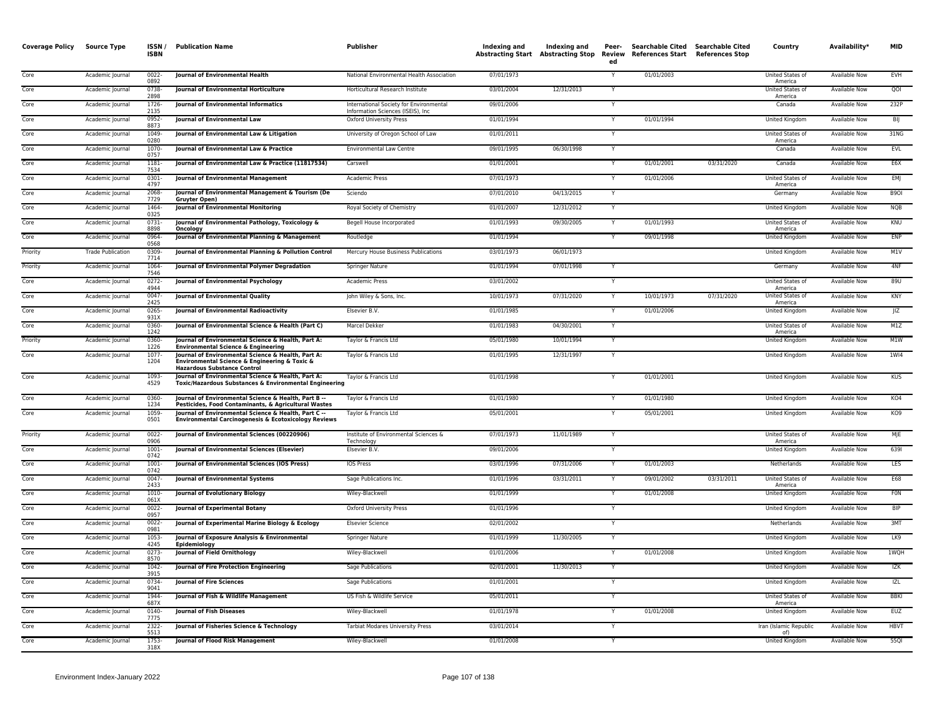| <b>Coverage Policy</b> | <b>Source Type</b>       | ISSN/<br><b>ISBN</b> | <b>Publication Name</b>                                                                                                                   | Publisher                                                                    | Indexing and | Indexing and<br><b>Abstracting Start Abstracting Stop</b> | Peer-<br>Review<br>ed | Searchable Cited Searchable Cited<br>References Start References Stop |            | Country                            | Availability*        | <b>MID</b>        |
|------------------------|--------------------------|----------------------|-------------------------------------------------------------------------------------------------------------------------------------------|------------------------------------------------------------------------------|--------------|-----------------------------------------------------------|-----------------------|-----------------------------------------------------------------------|------------|------------------------------------|----------------------|-------------------|
| Core                   | Academic Journal         | $0022 -$<br>0892     | Journal of Environmental Health                                                                                                           | National Environmental Health Association                                    | 07/01/1973   |                                                           | Y                     | 01/01/2003                                                            |            | United States of<br>America        | <b>Available Now</b> | EVH               |
| Core                   | Academic Journal         | 0738<br>2898         | Journal of Environmental Horticulture                                                                                                     | Horticultural Research Institute                                             | 03/01/2004   | 12/31/2013                                                |                       |                                                                       |            | United States of<br>America        | Available Now        | QOI               |
| Core                   | Academic Journal         | $1726 -$<br>2135     | <b>Iournal of Environmental Informatics</b>                                                                                               | International Society for Environmental<br>Information Sciences (ISEIS), Inc | 09/01/2006   |                                                           |                       |                                                                       |            | Canada                             | <b>Available Now</b> | 232P              |
| Core                   | Academic Journal         | 0952-<br>8873        | Journal of Environmental Law                                                                                                              | Oxford University Press                                                      | 01/01/1994   |                                                           | Y                     | 01/01/1994                                                            |            | United Kingdom                     | Available Now        | BIJ               |
| Core                   | Academic Journal         | 1049<br>0280         | Journal of Environmental Law & Litigation                                                                                                 | University of Oregon School of Law                                           | 01/01/2011   |                                                           |                       |                                                                       |            | United States of<br>America        | Available Now        | 31NG              |
| Core                   | Academic Journal         | 1070<br>0757         | Journal of Environmental Law & Practice                                                                                                   | <b>Environmental Law Centre</b>                                              | 09/01/1995   | 06/30/1998                                                | Y                     |                                                                       |            | Canada                             | Available Now        | EVL               |
| Core                   | Academic Journal         | $1181 -$<br>7534     | Journal of Environmental Law & Practice (11817534)                                                                                        | Carswell                                                                     | 01/01/2001   |                                                           | Y                     | 01/01/2001                                                            | 03/31/2020 | Canada                             | <b>Available Now</b> | E6X               |
| Core                   | Academic Journal         | 0301<br>4797         | Journal of Environmental Management                                                                                                       | Academic Press                                                               | 07/01/1973   |                                                           | Y                     | 01/01/2006                                                            |            | United States of<br>America        | Available Now        | EMJ               |
| Core                   | Academic Journal         | 2068<br>7729         | Journal of Environmental Management & Tourism (De<br><b>Gruvter Open)</b>                                                                 | Sciendo                                                                      | 07/01/2010   | 04/13/2015                                                | Y                     |                                                                       |            | Germany                            | Available Now        | B <sub>9</sub> OI |
| Core                   | Academic Journal         | 1464<br>0325         | <b>Journal of Environmental Monitoring</b>                                                                                                | Royal Society of Chemistry                                                   | 01/01/2007   | 12/31/2012                                                |                       |                                                                       |            | United Kingdom                     | <b>Available Now</b> | <b>NQB</b>        |
| Core                   | Academic Journal         | 0731<br>8898         | Journal of Environmental Pathology, Toxicology &<br>Oncology                                                                              | Begell House Incorporated                                                    | 01/01/1993   | 09/30/2005                                                | Y                     | 01/01/1993                                                            |            | United States of<br>America        | <b>Available Now</b> | KNU               |
| Core                   | Academic Journal         | 0964<br>0568         | Journal of Environmental Planning & Management                                                                                            | Routledge                                                                    | 01/01/1994   |                                                           |                       | 09/01/1998                                                            |            | United Kingdom                     | Available Now        | ENP               |
| Priority               | <b>Trade Publication</b> | 0309<br>7714         | Journal of Environmental Planning & Pollution Control                                                                                     | Mercury House Business Publications                                          | 03/01/1973   | 06/01/1973                                                |                       |                                                                       |            | United Kingdom                     | Available Now        | M1V               |
| Priority               | Academic Journal         | 1064<br>7546         | Journal of Environmental Polymer Degradation                                                                                              | Springer Nature                                                              | 01/01/1994   | 07/01/1998                                                | $\mathsf{Y}$          |                                                                       |            | Germany                            | <b>Available Now</b> | 4NF               |
| Core                   | Academic Journal         | $0272 -$<br>4944     | <b>Journal of Environmental Psychology</b>                                                                                                | Academic Press                                                               | 03/01/2002   |                                                           | Y                     |                                                                       |            | United States of<br>America        | <b>Available Now</b> | 89U               |
| Core                   | Academic Journal         | 0047<br>2425         | Journal of Environmental Quality                                                                                                          | John Wiley & Sons, Inc.                                                      | 10/01/1973   | 07/31/2020                                                | Y                     | 10/01/1973                                                            | 07/31/2020 | United States of<br>America        | Available Now        | KNY               |
| Core                   | Academic Journal         | 0265-<br>931X        | Journal of Environmental Radioactivity                                                                                                    | Elsevier B.V.                                                                | 01/01/1985   |                                                           | Y                     | 01/01/2006                                                            |            | United Kingdom                     | Available Now        | IZ                |
| Core                   | Academic Journal         | 0360-<br>1242        | Journal of Environmental Science & Health (Part C)                                                                                        | Marcel Dekker                                                                | 01/01/1983   | 04/30/2001                                                |                       |                                                                       |            | United States of<br>America        | Available Now        | M1Z               |
| Priority               | Academic Journal         | 0360-<br>1226        | Journal of Environmental Science & Health, Part A:<br><b>Environmental Science &amp; Engineering</b>                                      | Taylor & Francis Ltd                                                         | 05/01/1980   | 10/01/1994                                                | $\mathsf{Y}$          |                                                                       |            | United Kingdom                     | <b>Available Now</b> | M1W               |
| Core                   | Academic Journal         | $1077 -$<br>1204     | Journal of Environmental Science & Health, Part A:<br>Environmental Science & Engineering & Toxic &<br><b>Hazardous Substance Control</b> | Taylor & Francis Ltd                                                         | 01/01/1995   | 12/31/1997                                                | Y                     |                                                                       |            | United Kingdom                     | Available Now        | 1W <sub>14</sub>  |
| Core                   | Academic Journal         | 1093-<br>4529        | Journal of Environmental Science & Health, Part A:<br>Toxic/Hazardous Substances & Environmental Engineering                              | Taylor & Francis Ltd                                                         | 01/01/1998   |                                                           |                       | 01/01/2001                                                            |            | <b>United Kingdom</b>              | <b>Available Now</b> | <b>KUS</b>        |
| Core                   | Academic Journal         | 0360-<br>1234        | Journal of Environmental Science & Health, Part B --<br>Pesticides, Food Contaminants, & Agricultural Wastes                              | Taylor & Francis Ltd                                                         | 01/01/1980   |                                                           |                       | 01/01/1980                                                            |            | United Kingdom                     | Available Now        | KO4               |
| Core                   | Academic Journal         | 1059<br>0501         | Journal of Environmental Science & Health, Part C --<br><b>Environmental Carcinogenesis &amp; Ecotoxicology Reviews</b>                   | Taylor & Francis Ltd                                                         | 05/01/2001   |                                                           |                       | 05/01/2001                                                            |            | <b>United Kingdom</b>              | <b>Available Now</b> | KO9               |
| Priority               | Academic Journal         | $0022 -$<br>0906     | Journal of Environmental Sciences (00220906)                                                                                              | Institute of Environmental Sciences &<br>Technology                          | 07/01/1973   | 11/01/1989                                                | Y                     |                                                                       |            | United States of<br>America        | Available Now        | MJE               |
| Core                   | Academic Journal         | $1001 -$<br>0742     | Journal of Environmental Sciences (Elsevier)                                                                                              | Elsevier B.V.                                                                | 09/01/2006   |                                                           | Y                     |                                                                       |            | <b>United Kingdom</b>              | <b>Available Now</b> | 6391              |
| Core                   | Academic Journal         | $1001 -$<br>0742     | Journal of Environmental Sciences (IOS Press)                                                                                             | <b>IOS Press</b>                                                             | 03/01/1996   | 07/31/2006                                                |                       | 01/01/2003                                                            |            | Netherlands                        | <b>Available Now</b> | <b>LES</b>        |
| Core                   | Academic Journal         | 0047<br>2433         | Journal of Environmental Systems                                                                                                          | Sage Publications Inc.                                                       | 01/01/1996   | 03/31/2011                                                | Y                     | 09/01/2002                                                            | 03/31/2011 | <b>United States of</b><br>America | <b>Available Now</b> | E68               |
| Core                   | Academic Journal         | 1010-<br>061X        | <b>Journal of Evolutionary Biology</b>                                                                                                    | Wiley-Blackwell                                                              | 01/01/1999   |                                                           | Y                     | 01/01/2008                                                            |            | United Kingdom                     | Available Now        | <b>FON</b>        |
| Core                   | Academic Journal         | $0022 -$<br>0957     | <b>Journal of Experimental Botany</b>                                                                                                     | <b>Oxford University Press</b>                                               | 01/01/1996   |                                                           |                       |                                                                       |            | United Kingdom                     | <b>Available Now</b> | <b>BIP</b>        |
| Core                   | Academic Journal         | $0022 -$<br>0981     | Journal of Experimental Marine Biology & Ecology                                                                                          | <b>Elsevier Science</b>                                                      | 02/01/2002   |                                                           | Y                     |                                                                       |            | Netherlands                        | <b>Available Now</b> | 3MT               |
| Core                   | Academic Journal         | 1053<br>4245         | Journal of Exposure Analysis & Environmental<br>Epidemiology                                                                              | Springer Nature                                                              | 01/01/1999   | 11/30/2005                                                | Y                     |                                                                       |            | United Kingdom                     | <b>Available Now</b> | LK9               |
| Core                   | Academic Journal         | 0273<br>8570         | Journal of Field Ornithology                                                                                                              | Wiley-Blackwell                                                              | 01/01/2006   |                                                           | Y                     | 01/01/2008                                                            |            | United Kingdom                     | Available Now        | 1WQH              |
| Core                   | Academic Journal         | 1042-<br>3915        | Journal of Fire Protection Engineering                                                                                                    | Sage Publications                                                            | 02/01/2001   | 11/30/2013                                                | Y                     |                                                                       |            | United Kingdom                     | Available Now        | IZK               |
| Core                   | Academic Journal         | 0734<br>9041         | <b>Journal of Fire Sciences</b>                                                                                                           | <b>Sage Publications</b>                                                     | 01/01/2001   |                                                           | Y                     |                                                                       |            | <b>United Kingdom</b>              | <b>Available Now</b> | IZL               |
| Core                   | Academic Journal         | 1944-<br>687X        | Journal of Fish & Wildlife Management                                                                                                     | US Fish & Wildlife Service                                                   | 05/01/2011   |                                                           |                       |                                                                       |            | United States of<br>America        | <b>Available Now</b> | <b>BBKI</b>       |
| Core                   | Academic Journal         | 0140-<br>7775        | Journal of Fish Diseases                                                                                                                  | Wiley-Blackwell                                                              | 01/01/1978   |                                                           | Y                     | 01/01/2008                                                            |            | United Kingdom                     | Available Now        | <b>EUZ</b>        |
| Core                   | Academic Journal         | 2322-<br>5513        | Journal of Fisheries Science & Technology                                                                                                 | <b>Tarbiat Modares University Press</b>                                      | 03/01/2014   |                                                           |                       |                                                                       |            | Iran (Islamic Republic<br>of)      | Available Now        | <b>HBVT</b>       |
| Core                   | Academic Journal         | 1753-<br>318X        | Journal of Flood Risk Management                                                                                                          | Wiley-Blackwell                                                              | 01/01/2008   |                                                           | Y                     |                                                                       |            | United Kingdom                     | <b>Available Now</b> | 5501              |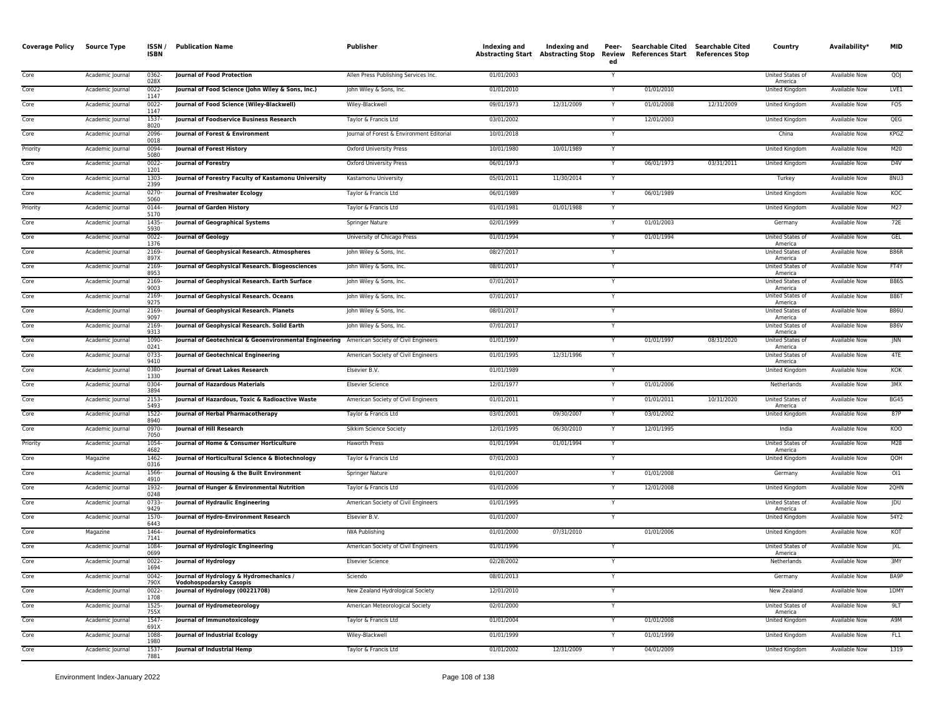| <b>Coverage Policy</b> | <b>Source Type</b> | ISSN/<br><b>ISBN</b> | <b>Publication Name</b>                                                                    | <b>Publisher</b>                          | <b>Indexing and</b> | Indexing and | Peer-<br>ed | <b>Searchable Cited</b><br>Abstracting Start Abstracting Stop Review References Start References Stop | <b>Searchable Cited</b> | Country                     | Availability*        | <b>MID</b>  |
|------------------------|--------------------|----------------------|--------------------------------------------------------------------------------------------|-------------------------------------------|---------------------|--------------|-------------|-------------------------------------------------------------------------------------------------------|-------------------------|-----------------------------|----------------------|-------------|
| Core                   | Academic Journal   | $0362 -$<br>028X     | <b>Journal of Food Protection</b>                                                          | Allen Press Publishing Services Inc.      | 01/01/2003          |              | Υ           |                                                                                                       |                         | United States of<br>America | <b>Available Now</b> | QO          |
| Core                   | Academic Journal   | $0022 -$<br>1147     | Journal of Food Science (John Wiley & Sons, Inc.)                                          | John Wiley & Sons, Inc.                   | 01/01/2010          |              |             | 01/01/2010                                                                                            |                         | <b>United Kingdom</b>       | Available Now        | LVE1        |
| Core                   | Academic Journal   | 0022-<br>1147        | Journal of Food Science (Wiley-Blackwell)                                                  | Wiley-Blackwell                           | 09/01/1973          | 12/31/2009   |             | 01/01/2008                                                                                            | 12/31/2009              | United Kingdom              | Available Now        | <b>FOS</b>  |
| Core                   | Academic Journal   | 1537<br>8020         | Journal of Foodservice Business Research                                                   | Taylor & Francis Ltd                      | 03/01/2002          |              |             | 12/01/2003                                                                                            |                         | United Kingdom              | Available Now        | QEG         |
| Core                   | Academic Journal   | 2096<br>0018         | Journal of Forest & Environment                                                            | Journal of Forest & Environment Editorial | 10/01/2018          |              | Y           |                                                                                                       |                         | China                       | Available Now        | KPGZ        |
| Priority               | Academic Journal   | 0094<br>5080         | Journal of Forest History                                                                  | Oxford University Press                   | 10/01/1980          | 10/01/1989   |             |                                                                                                       |                         | United Kingdom              | Available Now        | M20         |
| Core                   | Academic Journal   | $0022 -$<br>1201     | <b>Journal of Forestry</b>                                                                 | <b>Oxford University Press</b>            | 06/01/1973          |              |             | 06/01/1973                                                                                            | 03/31/2011              | <b>United Kingdom</b>       | <b>Available Now</b> | D4V         |
| Core                   | Academic Journal   | 1303-<br>2399        | Journal of Forestry Faculty of Kastamonu University                                        | Kastamonu University                      | 05/01/2011          | 11/30/2014   | Y           |                                                                                                       |                         | Turkey                      | <b>Available Now</b> | 8NU3        |
| Core                   | Academic Journal   | 0270<br>5060         | Journal of Freshwater Ecology                                                              | Taylor & Francis Ltd                      | 06/01/1989          |              |             | 06/01/1989                                                                                            |                         | <b>United Kingdom</b>       | <b>Available Now</b> | KOC         |
| Priority               | Academic Journal   | 0144<br>5170         | Journal of Garden History                                                                  | Taylor & Francis Ltd                      | 01/01/1981          | 01/01/1988   | Y           |                                                                                                       |                         | United Kingdom              | Available Now        | M27         |
| Core                   | Academic Journal   | 1435<br>5930         | Journal of Geographical Systems                                                            | Springer Nature                           | 02/01/1999          |              |             | 01/01/2003                                                                                            |                         | Germany                     | <b>Available Now</b> | 72E         |
| Core                   | Academic Journal   | 0022-<br>1376        | Journal of Geology                                                                         | University of Chicago Press               | 01/01/1994          |              |             | 01/01/1994                                                                                            |                         | United States of<br>America | Available Now        | GEL         |
| Core                   | Academic Journal   | 2169<br>897X         | Journal of Geophysical Research. Atmospheres                                               | John Wiley & Sons, Inc.                   | 08/27/2017          |              |             |                                                                                                       |                         | United States of<br>America | <b>Available Now</b> | <b>B86R</b> |
| Core                   | Academic Journal   | 2169<br>8953         | Journal of Geophysical Research. Biogeosciences                                            | John Wiley & Sons, Inc.                   | 08/01/2017          |              | Y           |                                                                                                       |                         | United States of<br>America | <b>Available Now</b> | FT4Y        |
| Core                   | Academic Journal   | 2169<br>9003         | Journal of Geophysical Research. Earth Surface                                             | John Wiley & Sons, Inc.                   | 07/01/2017          |              | Y           |                                                                                                       |                         | United States of<br>America | Available Now        | <b>B86S</b> |
| Core                   | Academic Journal   | 2169<br>9275         | Journal of Geophysical Research. Oceans                                                    | John Wiley & Sons, Inc.                   | 07/01/2017          |              | Y           |                                                                                                       |                         | United States of<br>America | <b>Available Now</b> | <b>B86T</b> |
| Core                   | Academic Journal   | 2169<br>9097         | Journal of Geophysical Research. Planets                                                   | John Wiley & Sons, Inc.                   | 08/01/2017          |              | Y           |                                                                                                       |                         | United States of<br>America | <b>Available Now</b> | <b>B86U</b> |
| Core                   | Academic Journal   | 2169<br>9313         | Journal of Geophysical Research. Solid Earth                                               | John Wiley & Sons, Inc.                   | 07/01/2017          |              |             |                                                                                                       |                         | United States of<br>America | Available Now        | <b>B86V</b> |
| Core                   | Academic Journal   | 1090<br>0241         | Journal of Geotechnical & Geoenvironmental Engineering American Society of Civil Engineers |                                           | 01/01/1997          |              |             | 01/01/1997                                                                                            | 08/31/2020              | United States of<br>America | Available Now        | JNN         |
| Core                   | Academic Journal   | 0733<br>9410         | Journal of Geotechnical Engineering                                                        | American Society of Civil Engineers       | 01/01/1995          | 12/31/1996   |             |                                                                                                       |                         | United States of<br>America | <b>Available Now</b> | 4TE         |
| Core                   | Academic Journal   | 0380-<br>1330        | Journal of Great Lakes Research                                                            | Elsevier B.V.                             | 01/01/1989          |              |             |                                                                                                       |                         | United Kingdom              | <b>Available Now</b> | KOK         |
| Core                   | Academic Journal   | 0304<br>3894         | <b>Journal of Hazardous Materials</b>                                                      | <b>Elsevier Science</b>                   | 12/01/1977          |              |             | 01/01/2006                                                                                            |                         | Netherlands                 | Available Now        | 3MX         |
| Core                   | Academic Journal   | 2153<br>5493         | Journal of Hazardous, Toxic & Radioactive Waste                                            | American Society of Civil Engineers       | 01/01/2011          |              |             | 01/01/2011                                                                                            | 10/31/2020              | United States of<br>America | <b>Available Now</b> | <b>BG45</b> |
| Core                   | Academic Journal   | 1522-<br>8940        | Journal of Herbal Pharmacotherapy                                                          | Taylor & Francis Ltd                      | 03/01/2001          | 09/30/2007   | Y           | 03/01/2002                                                                                            |                         | <b>United Kingdom</b>       | <b>Available Now</b> | 87P         |
| Core                   | Academic Journal   | 0970<br>7050         | Journal of Hill Research                                                                   | Sikkim Science Society                    | 12/01/1995          | 06/30/2010   |             | 12/01/1995                                                                                            |                         | India                       | Available Now        | KOO         |
| Priority               | Academic Journal   | 1054<br>4682         | Journal of Home & Consumer Horticulture                                                    | <b>Haworth Press</b>                      | 01/01/1994          | 01/01/1994   | Y           |                                                                                                       |                         | United States of<br>America | Available Now        | M28         |
| Core                   | Magazine           | 1462<br>0316         | Journal of Horticultural Science & Biotechnology                                           | Taylor & Francis Ltd                      | 07/01/2003          |              |             |                                                                                                       |                         | United Kingdom              | Available Now        | QOH         |
| Core                   | Academic Journal   | 1566<br>4910         | Journal of Housing & the Built Environment                                                 | Springer Nature                           | 01/01/2007          |              |             | 01/01/2008                                                                                            |                         | Germany                     | Available Now        | O(1)        |
| Core                   | Academic Journal   | 1932-<br>0248        | Journal of Hunger & Environmental Nutrition                                                | Taylor & Francis Ltd                      | 01/01/2006          |              |             | 12/01/2008                                                                                            |                         | <b>United Kingdom</b>       | <b>Available Now</b> | 2QHN        |
| Core                   | Academic Journal   | 0733<br>9429         | Journal of Hydraulic Engineering                                                           | American Society of Civil Engineers       | 01/01/1995          |              | Y           |                                                                                                       |                         | United States of<br>America | <b>Available Now</b> | <b>IDU</b>  |
| Core                   | Academic Journal   | 1570-<br>6443        | Journal of Hydro-Environment Research                                                      | Elsevier B.V.                             | 01/01/2007          |              | Y           |                                                                                                       |                         | United Kingdom              | <b>Available Now</b> | 54Y2        |
| Core                   | Magazine           | 1464<br>7141         | <b>Journal of Hydroinformatics</b>                                                         | IWA Publishing                            | 01/01/2000          | 07/31/2010   |             | 01/01/2006                                                                                            |                         | <b>United Kingdom</b>       | <b>Available Now</b> | KOT         |
| Core                   | Academic Journal   | 1084-<br>0699        | Journal of Hydrologic Engineering                                                          | American Society of Civil Engineers       | 01/01/1996          |              | Y           |                                                                                                       |                         | United States of<br>America | <b>Available Now</b> | JXL         |
| Core                   | Academic Journal   | $0022 -$<br>1694     | Journal of Hydrology                                                                       | <b>Elsevier Science</b>                   | 02/28/2002          |              |             |                                                                                                       |                         | Netherlands                 | Available Now        | 3MY         |
| Core                   | Academic Journal   | $0042 -$<br>790X     | Journal of Hydrology & Hydromechanics /<br>Vodohospodarsky Casopis                         | Sciendo                                   | 08/01/2013          |              | Υ           |                                                                                                       |                         | Germany                     | Available Now        | BA9P        |
| Core                   | Academic Journal   | 0022-<br>1708        | Journal of Hydrology (00221708)                                                            | New Zealand Hydrological Society          | 12/01/2010          |              |             |                                                                                                       |                         | <b>New Zealand</b>          | <b>Available Now</b> | 1DMY        |
| Core                   | Academic Journal   | 1525<br>755X         | Journal of Hydrometeorology                                                                | American Meteorological Society           | 02/01/2000          |              |             |                                                                                                       |                         | United States of<br>America | <b>Available Now</b> | 9LT         |
| Core                   | Academic Journal   | 1547<br>691X         | <b>Journal of Immunotoxicology</b>                                                         | Taylor & Francis Ltd                      | 01/01/2004          |              |             | 01/01/2008                                                                                            |                         | United Kingdom              | Available Now        | A9M         |
| Core                   | Academic Journal   | 1088<br>1980         | <b>Journal of Industrial Ecology</b>                                                       | Wiley-Blackwell                           | 01/01/1999          |              |             | 01/01/1999                                                                                            |                         | United Kingdom              | <b>Available Now</b> | FL1         |
| Core                   | Academic Journal   | 1537-<br>7881        | Journal of Industrial Hemp                                                                 | Taylor & Francis Ltd                      | 01/01/2002          | 12/31/2009   | Υ           | 04/01/2009                                                                                            |                         | United Kingdom              | Available Now        | 1319        |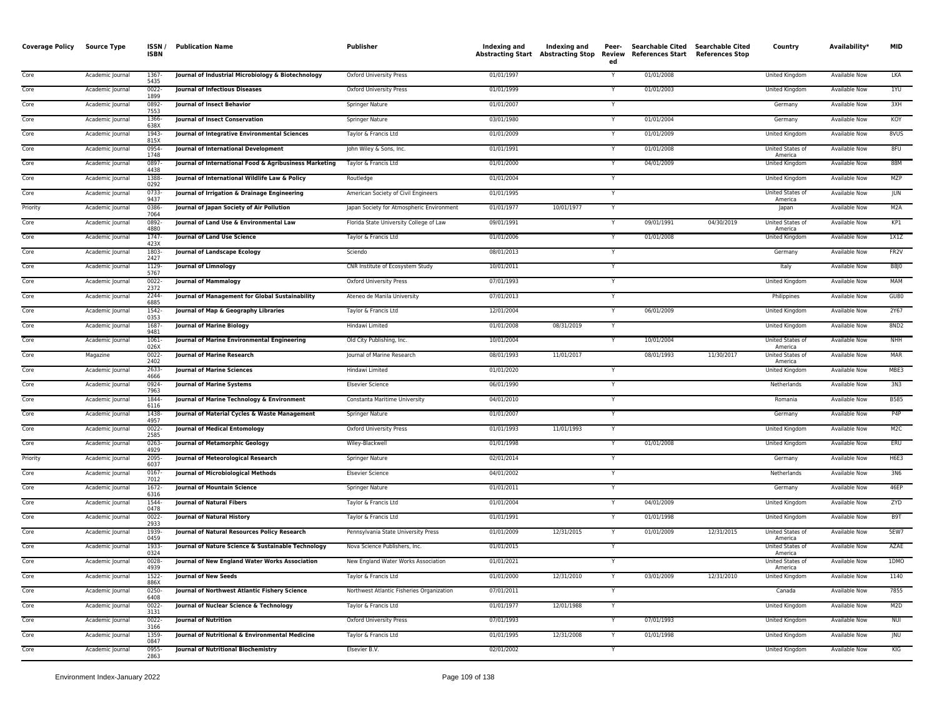| <b>Coverage Policy</b> | Source Type      | ISSN /<br><b>ISBN</b> | <b>Publication Name</b>                                | <b>Publisher</b>                          | Indexing and |            | ed | Searchable Cited Searchable Cited<br>Indexing and Indexing and Peer- Searchable Cited Searchable Cited<br>Abstracting Start Abstracting Stop Review References Start References Stop |            | Country                     | Availability*        | <b>MID</b>        |
|------------------------|------------------|-----------------------|--------------------------------------------------------|-------------------------------------------|--------------|------------|----|--------------------------------------------------------------------------------------------------------------------------------------------------------------------------------------|------------|-----------------------------|----------------------|-------------------|
| Core                   | Academic Journal | 1367-<br>5435         | Journal of Industrial Microbiology & Biotechnology     | Oxford University Press                   | 01/01/1997   |            | Y  | 01/01/2008                                                                                                                                                                           |            | United Kingdom              | Available Now        | <b>LKA</b>        |
| Core                   | Academic Journal | $0022 -$<br>1899      | <b>Journal of Infectious Diseases</b>                  | <b>Oxford University Press</b>            | 01/01/1999   |            |    | 01/01/2003                                                                                                                                                                           |            | <b>United Kingdom</b>       | <b>Available Now</b> | 1YU               |
| Core                   | Academic Journal | 0892-<br>7553         | Journal of Insect Behavior                             | Springer Nature                           | 01/01/2007   |            | Y  |                                                                                                                                                                                      |            | Germany                     | Available Now        | 3XH               |
| Core                   | Academic Journal | 1366<br>638X          | <b>Journal of Insect Conservation</b>                  | Springer Nature                           | 03/01/1980   |            |    | 01/01/2004                                                                                                                                                                           |            | Germany                     | Available Now        | KOY               |
| Core                   | Academic Journal | 1943<br>815X          | Journal of Integrative Environmental Sciences          | Taylor & Francis Ltd                      | 01/01/2009   |            |    | 01/01/2009                                                                                                                                                                           |            | United Kingdom              | <b>Available Now</b> | 8VUS              |
| Core                   | Academic Journal | 0954<br>1748          | Journal of International Development                   | John Wiley & Sons, Inc.                   | 01/01/1991   |            |    | 01/01/2008                                                                                                                                                                           |            | United States of<br>America | <b>Available Now</b> | 8FU               |
| Core                   | Academic Journal | 0897<br>4438          | Journal of International Food & Agribusiness Marketing | Taylor & Francis Ltd                      | 01/01/2000   |            |    | 04/01/2009                                                                                                                                                                           |            | <b>United Kingdom</b>       | <b>Available Now</b> | 88M               |
| Core                   | Academic Journal | 1388<br>0292          | Journal of International Wildlife Law & Policy         | Routledge                                 | 01/01/2004   |            | Y  |                                                                                                                                                                                      |            | United Kingdom              | <b>Available Now</b> | MZP               |
| Core                   | Academic Journal | $0733-$<br>9437       | Journal of Irrigation & Drainage Engineering           | American Society of Civil Engineers       | 01/01/1995   |            | Y  |                                                                                                                                                                                      |            | United States of<br>America | <b>Available Now</b> | <b>JUN</b>        |
| Priority               | Academic Journal | 0386<br>7064          | Journal of Japan Society of Air Pollution              | Japan Society for Atmospheric Environment | 01/01/1977   | 10/01/1977 | Y  |                                                                                                                                                                                      |            | Japan                       | Available Now        | M <sub>2</sub> A  |
| Core                   | Academic Journal | 0892-<br>4880         | Journal of Land Use & Environmental Law                | Florida State University College of Law   | 09/01/1991   |            |    | 09/01/1991                                                                                                                                                                           | 04/30/2019 | United States of<br>America | Available Now        | KP1               |
| Core                   | Academic Journal | 1747-<br>423X         | Journal of Land Use Science                            | Taylor & Francis Ltd                      | 01/01/2006   |            | Y  | 01/01/2008                                                                                                                                                                           |            | United Kingdom              | <b>Available Now</b> | 1X1Z              |
| Core                   | Academic Journal | 1803<br>2427          | <b>Journal of Landscape Ecology</b>                    | Sciendo                                   | 08/01/2013   |            |    |                                                                                                                                                                                      |            | Germany                     | <b>Available Now</b> | FR <sub>2</sub> V |
| Core                   | Academic Journal | 1129<br>5767          | Journal of Limnology                                   | CNR Institute of Ecosystem Study          | 10/01/2011   |            | Y  |                                                                                                                                                                                      |            | Italy                       | Available Now        | B8J0              |
| Core                   | Academic Journal | $0022 -$<br>2372      | <b>Journal of Mammalogy</b>                            | <b>Oxford University Press</b>            | 07/01/1993   |            | Y  |                                                                                                                                                                                      |            | United Kingdom              | <b>Available Now</b> | <b>MAM</b>        |
| Core                   | Academic Journal | 2244<br>6885          | Journal of Management for Global Sustainability        | Ateneo de Manila University               | 07/01/2013   |            | Y  |                                                                                                                                                                                      |            | Philippines                 | <b>Available Now</b> | GUB0              |
| Core                   | Academic Journal | 1542-<br>0353         | Journal of Map & Geography Libraries                   | Taylor & Francis Ltd                      | 12/01/2004   |            | Y  | 06/01/2009                                                                                                                                                                           |            | United Kingdom              | Available Now        | 2Y67              |
| Core                   | Academic Journal | 1687<br>9481          | <b>Journal of Marine Biology</b>                       | Hindawi Limited                           | 01/01/2008   | 08/31/2019 |    |                                                                                                                                                                                      |            | United Kingdom              | <b>Available Now</b> | 8ND <sub>2</sub>  |
| Core                   | Academic Journal | 1061-<br>026X         | Journal of Marine Environmental Engineering            | Old City Publishing, Inc.                 | 10/01/2004   |            | Y  | 10/01/2004                                                                                                                                                                           |            | United States of<br>America | Available Now        | <b>NHH</b>        |
| Core                   | Magazine         | 0022<br>2402          | <b>Journal of Marine Research</b>                      | Journal of Marine Research                | 08/01/1993   | 11/01/2017 |    | 08/01/1993                                                                                                                                                                           | 11/30/2017 | United States of<br>America | <b>Available Now</b> | <b>MAR</b>        |
| Core                   | Academic Journal | 2633<br>4666          | <b>Journal of Marine Sciences</b>                      | Hindawi Limited                           | 01/01/2020   |            | Y  |                                                                                                                                                                                      |            | United Kingdom              | <b>Available Now</b> | MBE3              |
| Core                   | Academic Journal | 0924-<br>7963         | <b>Journal of Marine Systems</b>                       | <b>Elsevier Science</b>                   | 06/01/1990   |            | Y  |                                                                                                                                                                                      |            | Netherlands                 | <b>Available Now</b> | 3N3               |
| Core                   | Academic Journal | 1844-<br>6116         | Journal of Marine Technology & Environment             | Constanta Maritime University             | 04/01/2010   |            | Y  |                                                                                                                                                                                      |            | Romania                     | <b>Available Now</b> | <b>B585</b>       |
| Core                   | Academic Journal | 1438<br>4957          | Journal of Material Cycles & Waste Management          | Springer Nature                           | 01/01/2007   |            | Y  |                                                                                                                                                                                      |            | Germany                     | Available Now        | P <sub>4</sub> P  |
| Core                   | Academic Journal | $0022 -$<br>2585      | Journal of Medical Entomology                          | <b>Oxford University Press</b>            | 01/01/1993   | 11/01/1993 |    |                                                                                                                                                                                      |            | United Kingdom              | Available Now        | M <sub>2</sub> C  |
| Core                   | Academic Journal | 0263<br>4929          | Journal of Metamorphic Geology                         | Wiley-Blackwell                           | 01/01/1998   |            | Y  | 01/01/2008                                                                                                                                                                           |            | <b>United Kingdom</b>       | Available Now        | ERU               |
| Priority               | Academic Journal | 2095-<br>6037         | Journal of Meteorological Research                     | Springer Nature                           | 02/01/2014   |            | Y  |                                                                                                                                                                                      |            | Germany                     | Available Now        | <b>H6E3</b>       |
| Core                   | Academic Journal | $0167 -$<br>7012      | Journal of Microbiological Methods                     | <b>Elsevier Science</b>                   | 04/01/2002   |            | Y  |                                                                                                                                                                                      |            | Netherlands                 | <b>Available Now</b> | 3N6               |
| Core                   | Academic Journal | 1672<br>6316          | <b>Journal of Mountain Science</b>                     | <b>Springer Nature</b>                    | 01/01/2011   |            |    |                                                                                                                                                                                      |            | Germany                     | <b>Available Now</b> | 46EP              |
| Core                   | Academic Journal | 1544<br>0478          | <b>Journal of Natural Fibers</b>                       | Taylor & Francis Ltd                      | 01/01/2004   |            | Y  | 04/01/2009                                                                                                                                                                           |            | United Kingdom              | <b>Available Now</b> | ZYD               |
| Core                   | Academic Journal | $0022 -$<br>2933      | <b>Journal of Natural History</b>                      | Taylor & Francis Ltd                      | 01/01/1991   |            | Y  | 01/01/1998                                                                                                                                                                           |            | <b>United Kingdom</b>       | <b>Available Now</b> | B9T               |
| Core                   | Academic Journal | 1939<br>0459          | Journal of Natural Resources Policy Research           | Pennsylvania State University Press       | 01/01/2009   | 12/31/2015 | Y  | 01/01/2009                                                                                                                                                                           | 12/31/2015 | United States of<br>America | <b>Available Now</b> | <b>5EW7</b>       |
| Core                   | Academic Journal | 1933<br>0324          | Journal of Nature Science & Sustainable Technology     | Nova Science Publishers, Inc.             | 01/01/2015   |            | Y  |                                                                                                                                                                                      |            | United States of<br>America | Available Now        | AZAE              |
| Core                   | Academic Journal | 0028<br>4939          | Journal of New England Water Works Association         | New England Water Works Association       | 01/01/2021   |            |    |                                                                                                                                                                                      |            | United States of<br>America | Available Now        | 1DMO              |
| Core                   | Academic Journal | 1522-<br>886X         | <b>Journal of New Seeds</b>                            | Taylor & Francis Ltd                      | 01/01/2000   | 12/31/2010 | Y  | 03/01/2009                                                                                                                                                                           | 12/31/2010 | United Kingdom              | Available Now        | 1140              |
| Core                   | Academic Journal | 0250<br>6408          | Journal of Northwest Atlantic Fishery Science          | Northwest Atlantic Fisheries Organization | 07/01/2011   |            |    |                                                                                                                                                                                      |            | Canada                      | <b>Available Now</b> | 7855              |
| Core                   | Academic Journal | 0022<br>3131          | Journal of Nuclear Science & Technology                | Taylor & Francis Ltd                      | 01/01/1977   | 12/01/1988 | Y  |                                                                                                                                                                                      |            | United Kingdom              | <b>Available Now</b> | M2D               |
| Core                   | Academic Journal | $0022 -$<br>3166      | <b>Journal of Nutrition</b>                            | <b>Oxford University Press</b>            | 07/01/1993   |            |    | 07/01/1993                                                                                                                                                                           |            | <b>United Kingdom</b>       | <b>Available Now</b> | <b>NUI</b>        |
| Core                   | Academic Journal | 1359<br>0847          | Journal of Nutritional & Environmental Medicine        | Taylor & Francis Ltd                      | 01/01/1995   | 12/31/2008 |    | 01/01/1998                                                                                                                                                                           |            | <b>United Kingdom</b>       | <b>Available Now</b> | <b>INU</b>        |
| Core                   | Academic Journal | 0955-<br>2863         | <b>Journal of Nutritional Biochemistry</b>             | Elsevier B.V.                             | 02/01/2002   |            | Y  |                                                                                                                                                                                      |            | United Kingdom              | <b>Available Now</b> | KIG               |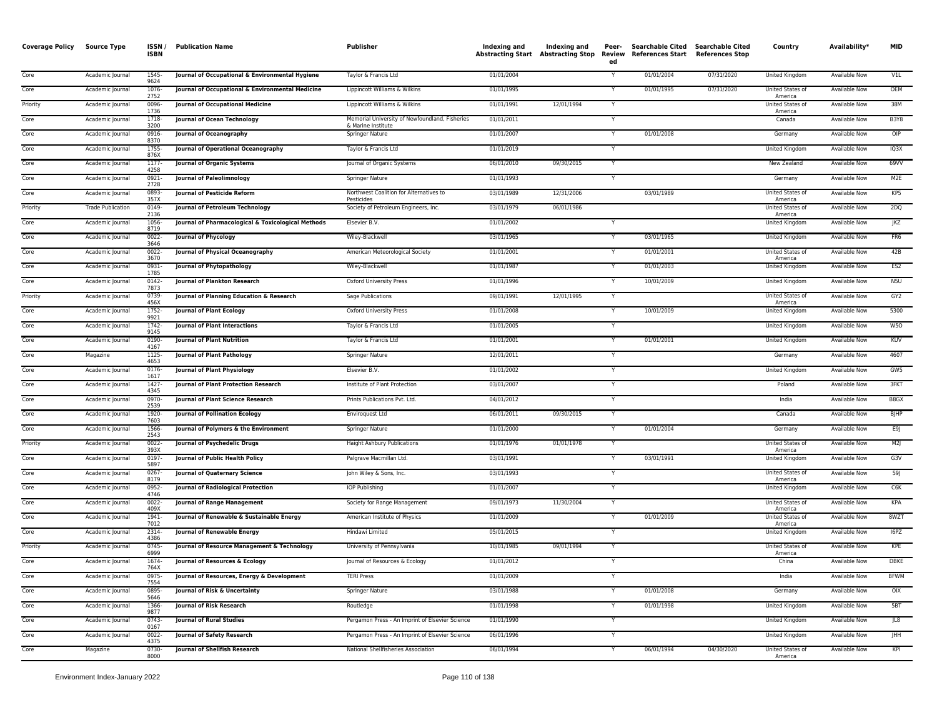| <b>Coverage Policy</b> | <b>Source Type</b>       | ISSN/<br><b>ISBN</b> | <b>Publication Name</b>                            | Publisher                                                            | Indexing and | Indexing and | Peer-<br>ed             | Searchable Cited Searchable Cited<br>Abstracting Start Abstracting Stop Review References Start References Stop |            | Country                            | Availability*        | <b>MID</b>       |
|------------------------|--------------------------|----------------------|----------------------------------------------------|----------------------------------------------------------------------|--------------|--------------|-------------------------|-----------------------------------------------------------------------------------------------------------------|------------|------------------------------------|----------------------|------------------|
| Core                   | Academic Journal         | 1545-<br>9624        | Journal of Occupational & Environmental Hygiene    | Taylor & Francis Ltd                                                 | 01/01/2004   |              | Y                       | 01/01/2004                                                                                                      | 07/31/2020 | United Kingdom                     | Available Now        | V1L              |
| Core                   | Academic Journal         | 1076<br>2752         | Journal of Occupational & Environmental Medicine   | Lippincott Williams & Wilkins                                        | 01/01/1995   |              |                         | 01/01/1995                                                                                                      | 07/31/2020 | United States of<br>America        | <b>Available Now</b> | OEM              |
| Priority               | Academic Journal         | 0096-<br>1736        | <b>Journal of Occupational Medicine</b>            | Lippincott Williams & Wilkins                                        | 01/01/1991   | 12/01/1994   | Y                       |                                                                                                                 |            | United States of<br>America        | Available Now        | 38M              |
| Core                   | Academic Journal         | 1718-<br>3200        | Journal of Ocean Technology                        | Memorial University of Newfoundland, Fisheries<br>& Marine Institute | 01/01/2011   |              |                         |                                                                                                                 |            | Canada                             | Available Now        | B3Y8             |
| Core                   | Academic Journal         | 0916<br>8370         | Journal of Oceanography                            | Springer Nature                                                      | 01/01/2007   |              | Y                       | 01/01/2008                                                                                                      |            | Germany                            | <b>Available Now</b> | OIP              |
| Core                   | Academic Journal         | 1755<br>876X         | Journal of Operational Oceanography                | Taylor & Francis Ltd                                                 | 01/01/2019   |              |                         |                                                                                                                 |            | <b>United Kingdom</b>              | <b>Available Now</b> | IQ3X             |
| Core                   | Academic Journal         | $1177-$<br>4258      | Journal of Organic Systems                         | Journal of Organic Systems                                           | 06/01/2010   | 09/30/2015   | Y                       |                                                                                                                 |            | <b>New Zealand</b>                 | <b>Available Now</b> | 69VV             |
| Core                   | Academic Journal         | $0921 -$<br>2728     | Journal of Paleolimnology                          | Springer Nature                                                      | 01/01/1993   |              | ٠Y                      |                                                                                                                 |            | Germany                            | Available Now        | M <sub>2E</sub>  |
| Core                   | Academic Journal         | 0893<br>357X         | <b>Journal of Pesticide Reform</b>                 | Northwest Coalition for Alternatives to<br>Pesticides                | 03/01/1989   | 12/31/2006   |                         | 03/01/1989                                                                                                      |            | United States of<br>America        | Available Now        | KP5              |
| Priority               | <b>Trade Publication</b> | 0149-<br>2136        | Journal of Petroleum Technology                    | Society of Petroleum Engineers, Inc.                                 | 03/01/1979   | 06/01/1986   |                         |                                                                                                                 |            | United States of<br>America        | Available Now        | 2DQ              |
| Core                   | Academic Journal         | 1056<br>8719         | Journal of Pharmacological & Toxicological Methods | Elsevier B.V.                                                        | 01/01/2002   |              |                         |                                                                                                                 |            | United Kingdom                     | Available Now        | JKZ              |
| Core                   | Academic Journal         | 0022-<br>3646        | <b>Journal of Phycology</b>                        | Wiley-Blackwell                                                      | 03/01/1965   |              | <b>V</b>                | 03/01/1965                                                                                                      |            | United Kingdom                     | Available Now        | FR6              |
| Core                   | Academic Journal         | 0022<br>3670         | Journal of Physical Oceanography                   | American Meteorological Society                                      | 01/01/2001   |              |                         | 01/01/2001                                                                                                      |            | United States of<br>America        | <b>Available Now</b> | 42B              |
| Core                   | Academic Journal         | 0931<br>1785         | Journal of Phytopathology                          | Wiley-Blackwell                                                      | 01/01/1987   |              |                         | 01/01/2003                                                                                                      |            | United Kingdom                     | <b>Available Now</b> | ES <sub>2</sub>  |
| Core                   | Academic Journal         | 0142-<br>7873        | <b>Journal of Plankton Research</b>                | Oxford University Press                                              | 01/01/1996   |              | <b>Y</b>                | 10/01/2009                                                                                                      |            | United Kingdom                     | Available Now        | N <sub>5U</sub>  |
| Priority               | Academic Journal         | 0739<br>456X         | Journal of Planning Education & Research           | Sage Publications                                                    | 09/01/1991   | 12/01/1995   | $\overline{\mathsf{Y}}$ |                                                                                                                 |            | United States of<br>America        | <b>Available Now</b> | GY2              |
| Core                   | Academic Journal         | $1752 -$<br>9921     | <b>Journal of Plant Ecology</b>                    | <b>Oxford University Press</b>                                       | 01/01/2008   |              | Y.                      | 10/01/2009                                                                                                      |            | <b>United Kingdom</b>              | <b>Available Now</b> | 5300             |
| Core                   | Academic Journal         | 1742-<br>9145        | <b>Journal of Plant Interactions</b>               | Taylor & Francis Ltd                                                 | 01/01/2005   |              | Y                       |                                                                                                                 |            | United Kingdom                     | <b>Available Now</b> | W <sub>50</sub>  |
| Core                   | Academic Journal         | 0190-<br>4167        | <b>Journal of Plant Nutrition</b>                  | Taylor & Francis Ltd                                                 | 01/01/2001   |              | Y                       | 01/01/2001                                                                                                      |            | United Kingdom                     | Available Now        | <b>KUV</b>       |
| Core                   | Magazine                 | 1125<br>4653         | <b>Journal of Plant Pathology</b>                  | Springer Nature                                                      | 12/01/2011   |              |                         |                                                                                                                 |            | Germany                            | <b>Available Now</b> | 4607             |
| Core                   | Academic Journal         | 0176<br>1617         | Journal of Plant Physiology                        | Elsevier B.V.                                                        | 01/01/2002   |              | Y                       |                                                                                                                 |            | United Kingdom                     | <b>Available Now</b> | GW <sub>5</sub>  |
| Core                   | Academic Journal         | 1427<br>4345         | Journal of Plant Protection Research               | Institute of Plant Protection                                        | 03/01/2007   |              |                         |                                                                                                                 |            | Poland                             | Available Now        | 3FKT             |
| Core                   | Academic Journal         | 0970-<br>2539        | Journal of Plant Science Research                  | Prints Publications Pvt. Ltd.                                        | 04/01/2012   |              | Y                       |                                                                                                                 |            | India                              | <b>Available Now</b> | B8GX             |
| Core                   | Academic Journal         | 1920-<br>7603        | <b>Journal of Pollination Ecology</b>              | Enviroquest Ltd                                                      | 06/01/2011   | 09/30/2015   | Y                       |                                                                                                                 |            | Canada                             | <b>Available Now</b> | <b>BJHP</b>      |
| Core                   | Academic Journal         | 1566<br>2543         | Journal of Polymers & the Environment              | Springer Nature                                                      | 01/01/2000   |              | $\mathsf{v}$            | 01/01/2004                                                                                                      |            | Germany                            | Available Now        | E9J              |
| Priority               | Academic Journal         | 0022<br>393X         | Journal of Psychedelic Drugs                       | Haight Ashbury Publications                                          | 01/01/1976   | 01/01/1978   | Y                       |                                                                                                                 |            | United States of<br>America        | Available Now        | M2J              |
| Core                   | Academic Journal         | 0197<br>5897         | Journal of Public Health Policy                    | Palgrave Macmillan Ltd.                                              | 03/01/1991   |              | Y                       | 03/01/1991                                                                                                      |            | United Kingdom                     | <b>Available Now</b> | G3V              |
| Core                   | Academic Journal         | 0267-<br>8179        | <b>Journal of Quaternary Science</b>               | John Wiley & Sons, Inc.                                              | 03/01/1993   |              | $\mathsf{v}$            |                                                                                                                 |            | United States of<br>America        | Available Now        | 59               |
| Core                   | Academic Journal         | 0952<br>4746         | Journal of Radiological Protection                 | IOP Publishing                                                       | 01/01/2007   |              |                         |                                                                                                                 |            | United Kingdom                     | Available Now        | C <sub>e</sub> K |
| Core                   | Academic Journal         | $0022 -$<br>409X     | <b>Journal of Range Management</b>                 | Society for Range Management                                         | 09/01/1973   | 11/30/2004   | Y                       |                                                                                                                 |            | United States of<br>America        | Available Now        | KPA              |
| Core                   | Academic Journal         | 1941-<br>7012        | Journal of Renewable & Sustainable Energy          | American Institute of Physics                                        | 01/01/2009   |              |                         | 01/01/2009                                                                                                      |            | United States of<br>America        | <b>Available Now</b> | 8WZT             |
| Core                   | Academic Journal         | 2314-<br>4386        | <b>Journal of Renewable Energy</b>                 | Hindawi Limited                                                      | 05/01/2015   |              | Y                       |                                                                                                                 |            | <b>United Kingdom</b>              | <b>Available Now</b> | 16PZ             |
| Priority               | Academic Journal         | $0745 -$<br>6999     | Journal of Resource Management & Technology        | University of Pennsylvania                                           | 10/01/1985   | 09/01/1994   | Y                       |                                                                                                                 |            | <b>United States of</b><br>America | Available Now        | KPE              |
| Core                   | Academic Journal         | 1674<br>764X         | Journal of Resources & Ecology                     | Journal of Resources & Ecology                                       | 01/01/2012   |              |                         |                                                                                                                 |            | China                              | Available Now        | DBKE             |
| Core                   | Academic Journal         | 0975-<br>7554        | Journal of Resources, Energy & Development         | <b>TERI Press</b>                                                    | 01/01/2009   |              | Y                       |                                                                                                                 |            | India                              | Available Now        | <b>BFWM</b>      |
| Core                   | Academic Journal         | 0895<br>5646         | Journal of Risk & Uncertainty                      | Springer Nature                                                      | 03/01/1988   |              |                         | 01/01/2008                                                                                                      |            | Germany                            | Available Now        | OIX              |
| Core                   | Academic Journal         | 1366-<br>9877        | Journal of Risk Research                           | Routledge                                                            | 01/01/1998   |              | Y                       | 01/01/1998                                                                                                      |            | United Kingdom                     | Available Now        | 5BT              |
| Core                   | Academic Journal         | 0743<br>0167         | <b>Journal of Rural Studies</b>                    | Pergamon Press - An Imprint of Elsevier Science                      | 01/01/1990   |              |                         |                                                                                                                 |            | <b>United Kingdom</b>              | <b>Available Now</b> | 18               |
| Core                   | Academic Journal         | 0022<br>4375         | Journal of Safety Research                         | Pergamon Press - An Imprint of Elsevier Science                      | 06/01/1996   |              |                         |                                                                                                                 |            | <b>United Kingdom</b>              | <b>Available Now</b> | <b>JHH</b>       |
| Core                   | Magazine                 | 0730-<br>8000        | Journal of Shellfish Research                      | National Shellfisheries Association                                  | 06/01/1994   |              |                         | 06/01/1994                                                                                                      | 04/30/2020 | United States of<br>America        | <b>Available Now</b> | KPI              |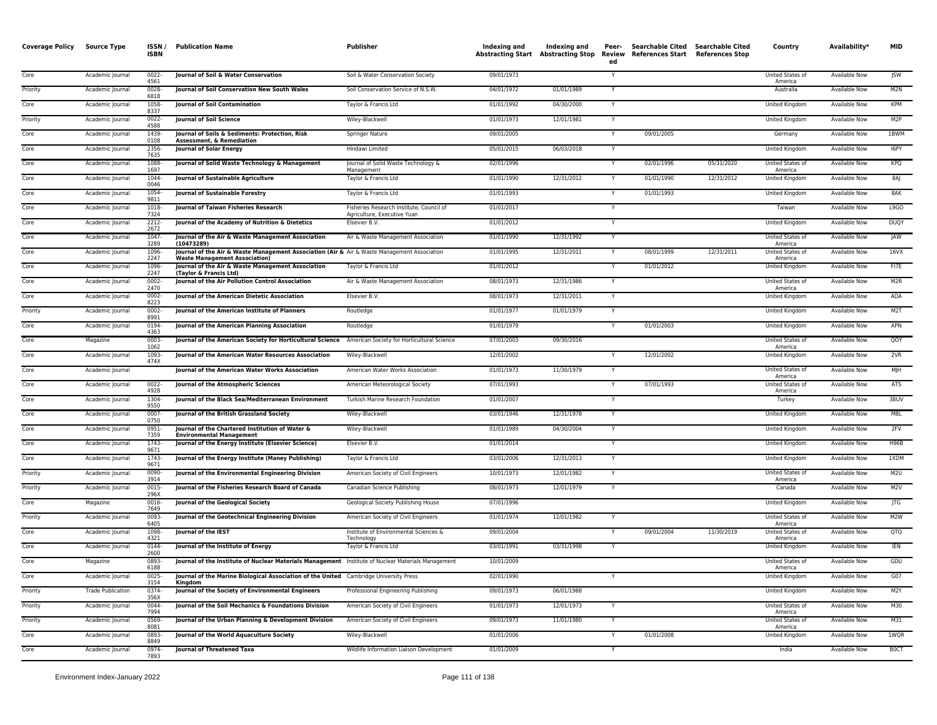| <b>Coverage Policy</b> | <b>Source Type</b>       | ISSN/<br><b>ISBN</b> | <b>Publication Name</b>                                                                                                              | <b>Publisher</b>                                                        | Indexing and | Indexing and | Peer-<br>ed | Searchable Cited Searchable Cited<br>Abstracting Start Abstracting Stop Review References Start References Stop |            | Country                            | Availability*        | <b>MID</b>       |
|------------------------|--------------------------|----------------------|--------------------------------------------------------------------------------------------------------------------------------------|-------------------------------------------------------------------------|--------------|--------------|-------------|-----------------------------------------------------------------------------------------------------------------|------------|------------------------------------|----------------------|------------------|
| Core                   | Academic Journal         | $0022 -$<br>4561     | Journal of Soil & Water Conservation                                                                                                 | Soil & Water Conservation Society                                       | 09/01/1973   |              | Y           |                                                                                                                 |            | United States of<br>America        | Available Now        | JSW              |
| Priority               | Academic Journal         | $0028 -$<br>6818     | Journal of Soil Conservation New South Wales                                                                                         | Soil Conservation Service of N.S.W.                                     | 04/01/1972   | 01/01/1989   | Y           |                                                                                                                 |            | Australia                          | Available Now        | M2N              |
| Core                   | Academic Journal         | 1058-<br>8337        | Journal of Soil Contamination                                                                                                        | Taylor & Francis Ltd                                                    | 01/01/1992   | 04/30/2000   | Y           |                                                                                                                 |            | United Kingdom                     | Available Now        | KPM              |
| Priority               | Academic Journal         | $0022 -$<br>4588     | <b>Journal of Soil Science</b>                                                                                                       | Wiley-Blackwell                                                         | 01/01/1973   | 12/01/1981   |             |                                                                                                                 |            | United Kingdom                     | Available Now        | M <sub>2</sub> P |
| Core                   | Academic Journal         | 1439-<br>0108        | Journal of Soils & Sediments: Protection, Risk<br>Assessment, & Remediation                                                          | Springer Nature                                                         | 09/01/2005   |              | Y           | 09/01/2005                                                                                                      |            | Germany                            | Available Now        | 1BWM             |
| Core                   | Academic Journal         | 2356-<br>7635        | <b>Journal of Solar Energy</b>                                                                                                       | Hindawi Limited                                                         | 05/01/2015   | 06/03/2018   |             |                                                                                                                 |            | <b>United Kingdom</b>              | <b>Available Now</b> | I6PY             |
| Core                   | Academic Journal         | 1088-<br>1697        | Journal of Solid Waste Technology & Management                                                                                       | Journal of Solid Waste Technology &<br>Management                       | 02/01/1996   |              | Y           | 02/01/1996                                                                                                      | 05/31/2020 | United States of<br>America        | <b>Available Now</b> | KPO              |
| Core                   | Academic Journal         | 1044-<br>0046        | <b>Journal of Sustainable Agriculture</b>                                                                                            | Taylor & Francis Ltd                                                    | 01/01/1990   | 12/31/2012   | Y           | 01/01/1990                                                                                                      | 12/31/2012 | <b>United Kingdom</b>              | <b>Available Now</b> | 8AJ              |
| Core                   | Academic Journal         | 1054<br>9811         | Journal of Sustainable Forestry                                                                                                      | Taylor & Francis Ltd                                                    | 01/01/1993   |              | Y           | 01/01/1993                                                                                                      |            | United Kingdom                     | <b>Available Now</b> | 8AK              |
| Core                   | Academic Journal         | 1018<br>7324         | Journal of Taiwan Fisheries Research                                                                                                 | Fisheries Research Institute, Council of<br>Agriculture, Executive Yuan | 01/01/2017   |              | Y           |                                                                                                                 |            | Taiwan                             | Available Now        | L9GO             |
| Core                   | Academic Journal         | 2212-<br>2672        | Journal of the Academy of Nutrition & Dietetics                                                                                      | Elsevier B.V.                                                           | 01/01/2012   |              |             |                                                                                                                 |            | United Kingdom                     | Available Now        | <b>DUQY</b>      |
| Core                   | Academic Journal         | 1047-<br>3289        | Journal of the Air & Waste Management Association<br>(10473289)                                                                      | Air & Waste Management Association                                      | 01/01/1990   | 12/31/1992   | Y           |                                                                                                                 |            | United States of<br>America        | <b>Available Now</b> | <b>JAW</b>       |
| Core                   | Academic Journal         | 1096-<br>2247        | Journal of the Air & Waste Management Association (Air & Air & Waste Management Association<br><b>Waste Management Association</b> ) |                                                                         | 01/01/1995   | 12/31/2011   |             | 08/01/1999                                                                                                      | 12/31/2011 | <b>United States of</b><br>America | Available Now        | 16VX             |
| Core                   | Academic Journal         | 1096-<br>2247        | Journal of the Air & Waste Management Association<br>(Taylor & Francis Ltd)                                                          | Taylor & Francis Ltd                                                    | 01/01/2012   |              |             | 01/01/2012                                                                                                      |            | United Kingdom                     | Available Now        | FI7E             |
| Core                   | Academic Journal         | $0002 -$<br>2470     | Journal of the Air Pollution Control Association                                                                                     | Air & Waste Management Association                                      | 08/01/1973   | 12/31/1986   | Y           |                                                                                                                 |            | United States of<br>America        | <b>Available Now</b> | M2R              |
| Core                   | Academic Journal         | $0002 -$<br>8223     | Journal of the American Dietetic Association                                                                                         | Elsevier B.V.                                                           | 08/01/1973   | 12/31/2011   | Y           |                                                                                                                 |            | United Kingdom                     | <b>Available Now</b> | ADA              |
| Priority               | Academic Journal         | $0002 -$<br>8991     | Journal of the American Institute of Planners                                                                                        | Routledge                                                               | 01/01/1977   | 01/01/1979   | Y           |                                                                                                                 |            | United Kingdom                     | Available Now        | M2T              |
| Core                   | Academic Journal         | 0194-<br>4363        | Journal of the American Planning Association                                                                                         | Routledge                                                               | 01/01/1979   |              |             | 01/01/2003                                                                                                      |            | United Kingdom                     | <b>Available Now</b> | APN              |
| Core                   | Magazine                 | 0003-<br>1062        | Journal of the American Society for Horticultural Science American Society for Horticultural Science                                 |                                                                         | 07/01/2003   | 09/30/2016   |             |                                                                                                                 |            | United States of<br>America        | Available Now        | QOY              |
| Core                   | Academic Journal         | 1093-<br>474X        | Journal of the American Water Resources Association                                                                                  | Wiley-Blackwell                                                         | 12/01/2002   |              |             | 12/01/2002                                                                                                      |            | United Kingdom                     | Available Now        | 2VR              |
| Core                   | Academic Journal         |                      | Journal of the American Water Works Association                                                                                      | American Water Works Association                                        | 01/01/1973   | 11/30/1979   | Y           |                                                                                                                 |            | United States of<br>America        | Available Now        | M <sub>H</sub>   |
| Core                   | Academic Journal         | $0022 -$<br>4928     | Journal of the Atmospheric Sciences                                                                                                  | American Meteorological Society                                         | 07/01/1993   |              | Y           | 07/01/1993                                                                                                      |            | <b>United States of</b><br>America | <b>Available Now</b> | <b>ATS</b>       |
| Core                   | Academic Journal         | 1304-<br>9550        | Journal of the Black Sea/Mediterranean Environment                                                                                   | Turkish Marine Research Foundation                                      | 01/01/2007   |              | Y           |                                                                                                                 |            | Turkey                             | <b>Available Now</b> | 3BUV             |
| Core                   | Academic Journal         | 0007-<br>0750        | Journal of the British Grassland Society                                                                                             | Wiley-Blackwell                                                         | 03/01/1946   | 12/31/1978   | Y           |                                                                                                                 |            | United Kingdom                     | Available Now        | M8L              |
| Core                   | Academic Journal         | 0951-<br>7359        | Journal of the Chartered Institution of Water &<br><b>Environmental Management</b>                                                   | Wiley-Blackwell                                                         | 01/01/1989   | 04/30/2004   | Y           |                                                                                                                 |            | United Kingdom                     | Available Now        | 2FV              |
| Core                   | Academic Journal         | 1743-<br>9671        | Journal of the Energy Institute (Elsevier Science)                                                                                   | Elsevier B.V                                                            | 01/01/2014   |              | Y           |                                                                                                                 |            | United Kingdom                     | Available Now        | H96B             |
| Core                   | Academic Journal         | 1743-<br>9671        | Journal of the Energy Institute (Maney Publishing)                                                                                   | Taylor & Francis Ltd                                                    | 03/01/2006   | 12/31/2013   |             |                                                                                                                 |            | United Kingdom                     | Available Now        | 1XDM             |
| Priority               | Academic Journal         | 0090-<br>3914        | Journal of the Environmental Engineering Division                                                                                    | American Society of Civil Engineers                                     | 10/01/1973   | 12/01/1982   | Y           |                                                                                                                 |            | United States of<br>America        | <b>Available Now</b> | M <sub>2</sub> U |
| Priority               | Academic Journal         | 0015<br>296X         | Journal of the Fisheries Research Board of Canada                                                                                    | Canadian Science Publishing                                             | 08/01/1973   | 12/01/1979   |             |                                                                                                                 |            | Canada                             | <b>Available Now</b> | M <sub>2</sub> V |
| Core                   | Magazine                 | 0016<br>7649         | Journal of the Geological Society                                                                                                    | Geological Society Publishing House                                     | 07/01/1996   |              |             |                                                                                                                 |            | United Kingdom                     | Available Now        | JTG              |
| Priority               | Academic Journal         | 0093-<br>6405        | Journal of the Geotechnical Engineering Division                                                                                     | American Society of Civil Engineers                                     | 01/01/1974   | 12/01/1982   | Y           |                                                                                                                 |            | <b>United States of</b><br>America | <b>Available Now</b> | M2W              |
| Core                   | Academic Journal         | 1098-<br>4321        | Journal of the IEST                                                                                                                  | Institute of Environmental Sciences &<br>Technology                     | 09/01/2004   |              | Y           | 09/01/2004                                                                                                      | 11/30/2019 | United States of<br>America        | <b>Available Now</b> | QTQ              |
| Core                   | Academic Journal         | 0144<br>2600         | Journal of the Institute of Energy                                                                                                   | Taylor & Francis Ltd                                                    | 03/01/1991   | 03/31/1998   |             |                                                                                                                 |            | United Kingdom                     | Available Now        | <b>IEN</b>       |
| Core                   | Magazine                 | 0893-<br>6188        | Journal of the Institute of Nuclear Materials Management Institute of Nuclear Materials Management                                   |                                                                         | 10/01/2009   |              |             |                                                                                                                 |            | United States of<br>America        | Available Now        | GDU              |
| Core                   | Academic Journal         | 0025-<br>3154        | Journal of the Marine Biological Association of the United Cambridge University Press<br>Kinadom                                     |                                                                         | 02/01/1990   |              |             |                                                                                                                 |            | United Kingdom                     | Available Now        | G07              |
| Priority               | <b>Trade Publication</b> | 0374-<br>356X        | Journal of the Society of Environmental Engineers                                                                                    | Professional Engineering Publishing                                     | 09/01/1973   | 06/01/1988   |             |                                                                                                                 |            | <b>United Kingdom</b>              | <b>Available Now</b> | M <sub>2</sub> Y |
| Priority               | Academic Journal         | 0044-<br>7994        | Journal of the Soil Mechanics & Foundations Division                                                                                 | American Society of Civil Engineers                                     | 01/01/1973   | 12/01/1973   | Y           |                                                                                                                 |            | United States of<br>America        | Available Now        | M30              |
| Priority               | Academic Journal         | 0569-<br>8081        | Journal of the Urban Planning & Development Division                                                                                 | American Society of Civil Engineers                                     | 09/01/1973   | 11/01/1980   | Y           |                                                                                                                 |            | United States of<br>America        | <b>Available Now</b> | M31              |
| Core                   | Academic Journal         | 0893-<br>8849        | Journal of the World Aquaculture Society                                                                                             | Wiley-Blackwell                                                         | 01/01/2006   |              |             | 01/01/2008                                                                                                      |            | <b>United Kingdom</b>              | <b>Available Now</b> | 1WQR             |
| Core                   | Academic Journal         | 0974-<br>7893        | <b>Journal of Threatened Taxa</b>                                                                                                    | Wildlife Information Liaison Development                                | 01/01/2009   |              | Y           |                                                                                                                 |            | India                              | <b>Available Now</b> | <b>BOCT</b>      |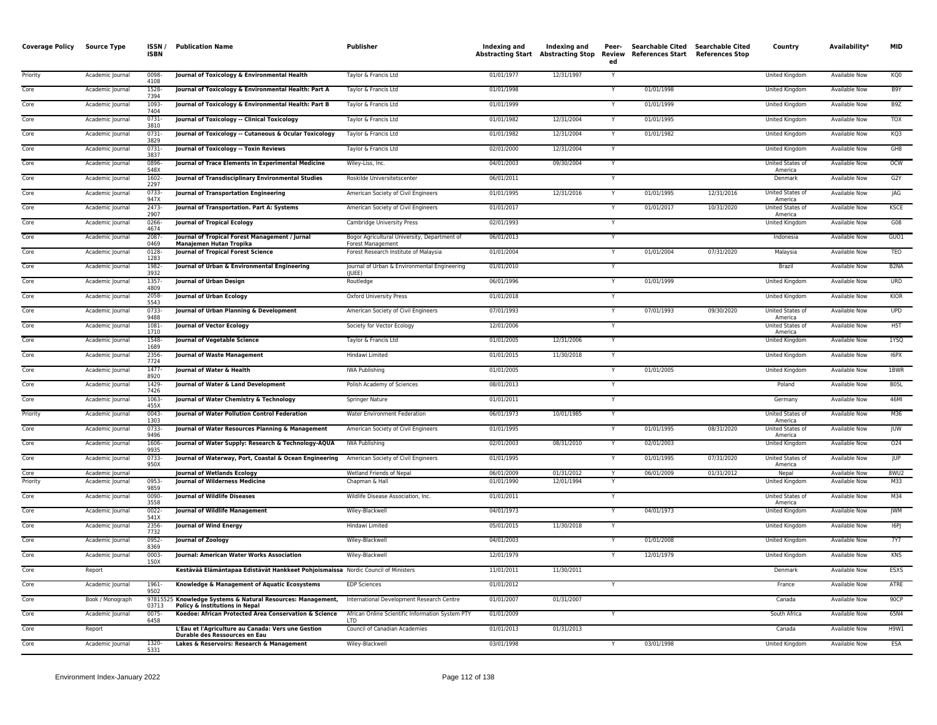| <b>Coverage Policy</b> | <b>Source Type</b>                   | ISSN/<br><b>ISBN</b> | <b>Publication Name</b>                                                                 | <b>Publisher</b>                                                  | Indexing and             | Indexing and<br>Abstracting Start Abstracting Stop | Peer-<br>ed    | Searchable Cited Searchable Cited<br>Review References Start References Stop |            | Country                          | Availability*                  | <b>MID</b>        |
|------------------------|--------------------------------------|----------------------|-----------------------------------------------------------------------------------------|-------------------------------------------------------------------|--------------------------|----------------------------------------------------|----------------|------------------------------------------------------------------------------|------------|----------------------------------|--------------------------------|-------------------|
| Priority               | Academic Journal                     | 0098-<br>4108        | Journal of Toxicology & Environmental Health                                            | Taylor & Francis Ltd                                              | 01/01/1977               | 12/31/1997                                         | Y              |                                                                              |            | United Kingdom                   | Available Now                  | KQ0               |
| Core                   | Academic Journal                     | 1528-<br>7394        | Journal of Toxicology & Environmental Health: Part A                                    | Taylor & Francis Ltd                                              | 01/01/1998               |                                                    |                | 01/01/1998                                                                   |            | <b>United Kingdom</b>            | <b>Available Now</b>           | B9Y               |
| Core                   | Academic Journal                     | 1093-<br>7404        | Journal of Toxicology & Environmental Health: Part B                                    | Taylor & Francis Ltd                                              | 01/01/1999               |                                                    | Y              | 01/01/1999                                                                   |            | <b>United Kingdom</b>            | <b>Available Now</b>           | B <sub>9Z</sub>   |
| Core                   | Academic Journal                     | $0731 -$<br>3810     | Journal of Toxicology -- Clinical Toxicology                                            | Taylor & Francis Ltd                                              | 01/01/1982               | 12/31/2004                                         | Y              | 01/01/1995                                                                   |            | United Kingdom                   | <b>Available Now</b>           | <b>TOX</b>        |
| Core                   | Academic Journal                     | $0731 -$<br>3829     | Journal of Toxicology -- Cutaneous & Ocular Toxicology                                  | Taylor & Francis Ltd                                              | 01/01/1982               | 12/31/2004                                         | Y              | 01/01/1982                                                                   |            | United Kingdom                   | Available Now                  | KQ3               |
| Core                   | Academic Journal                     | 0731<br>3837         | Journal of Toxicology -- Toxin Reviews                                                  | Taylor & Francis Ltd                                              | 02/01/2000               | 12/31/2004                                         | Y              |                                                                              |            | United Kingdom                   | <b>Available Now</b>           | GH8               |
| Core                   | Academic Journal                     | 0896-<br>548X        | Journal of Trace Elements in Experimental Medicine                                      | Wiley-Liss, Inc.                                                  | 04/01/2003               | 09/30/2004                                         | Y              |                                                                              |            | United States of<br>America      | Available Now                  | <b>OCW</b>        |
| Core                   | Academic Journal                     | 1602-<br>2297        | Journal of Transdisciplinary Environmental Studies                                      | Roskilde Universitetscenter                                       | 06/01/2011               |                                                    | Y              |                                                                              |            | Denmark                          | <b>Available Now</b>           | G2Y               |
| Core                   | Academic Journal                     | 0733-<br>947X        | Journal of Transportation Engineering                                                   | American Society of Civil Engineers                               | 01/01/1995               | 12/31/2016                                         | Y              | 01/01/1995                                                                   | 12/31/2016 | United States of<br>America      | Available Now                  | JAG               |
| Core                   | Academic Journal                     | 2473-<br>2907        | Journal of Transportation. Part A: Systems                                              | American Society of Civil Engineers                               | 01/01/2017               |                                                    | $\overline{Y}$ | 01/01/2017                                                                   | 10/31/2020 | United States of<br>America      | Available Now                  | KSCE              |
| Core                   | Academic Journal                     | 0266-<br>4674        | <b>Journal of Tropical Ecology</b>                                                      | Cambridge University Press                                        | 02/01/1993               |                                                    | Y              |                                                                              |            | United Kingdom                   | Available Now                  | G08               |
| Core                   | Academic Journal                     | 2087-<br>0469        | Journal of Tropical Forest Management / Jurnal<br>Manajemen Hutan Tropika               | Bogor Agricultural University, Department of<br>Forest Management | 06/01/2013               |                                                    |                |                                                                              |            | Indonesia                        | Available Now                  | GUO1              |
| Core                   | Academic Journal                     | $0128 -$<br>1283     | <b>Journal of Tropical Forest Science</b>                                               | Forest Research Institute of Malaysia                             | 01/01/2004               |                                                    | Y              | 01/01/2004                                                                   | 07/31/2020 | Malaysia                         | <b>Available Now</b>           | <b>TEO</b>        |
| Core                   | Academic Journal                     | 1982-<br>3932        | Journal of Urban & Environmental Engineering                                            | Journal of Urban & Environmental Engineering<br>(IUEE)            | 01/01/2010               |                                                    |                |                                                                              |            | <b>Brazil</b>                    | Available Now                  | B <sub>2</sub> NA |
| Core                   | Academic Journal                     | 1357-<br>4809        | <b>Journal of Urban Design</b>                                                          | Routledge                                                         | 06/01/1996               |                                                    | Ÿ              | 01/01/1999                                                                   |            | United Kingdom                   | <b>Available Now</b>           | <b>URD</b>        |
| Core                   | Academic Journal                     | 2058<br>5543         | Journal of Urban Ecology                                                                | <b>Oxford University Press</b>                                    | 01/01/2018               |                                                    | Y              |                                                                              |            | United Kingdom                   | Available Now                  | KIOR              |
| Core                   | Academic Journal                     | 0733-<br>9488        | Journal of Urban Planning & Development                                                 | American Society of Civil Engineers                               | 07/01/1993               |                                                    | Y              | 07/01/1993                                                                   | 09/30/2020 | United States of<br>America      | <b>Available Now</b>           | <b>UPD</b>        |
| Core                   | Academic Journal                     | 1081-<br>1710        | Journal of Vector Ecology                                                               | Society for Vector Ecology                                        | 12/01/2006               |                                                    | Y              |                                                                              |            | United States of<br>America      | Available Now                  | H5T               |
| Core                   | Academic Journal                     | 1548-<br>1689        | Journal of Vegetable Science                                                            | Taylor & Francis Ltd                                              | 01/01/2005               | 12/31/2006                                         |                |                                                                              |            | United Kingdom                   | <b>Available Now</b>           | 1YSQ              |
| Core                   | Academic Journal                     | 2356-<br>7724        | <b>Journal of Waste Management</b>                                                      | Hindawi Limited                                                   | 01/01/2015               | 11/30/2018                                         | Y              |                                                                              |            | <b>United Kingdom</b>            | Available Now                  | 16PX              |
| Core                   | Academic Journal                     | $1477-$<br>8920      | Journal of Water & Health                                                               | <b>IWA Publishing</b>                                             | 01/01/2005               |                                                    | Y              | 01/01/2005                                                                   |            | United Kingdom                   | <b>Available Now</b>           | 1BWR              |
| Core                   | Academic Journal                     | 1429-<br>7426        | Journal of Water & Land Development                                                     | Polish Academy of Sciences                                        | 08/01/2013               |                                                    | Y              |                                                                              |            | Poland                           | Available Now                  | <b>B05L</b>       |
| Core                   | Academic Journal                     | 1063-<br>455)        | Journal of Water Chemistry & Technology                                                 | Springer Nature                                                   | 01/01/2011               |                                                    | Y              |                                                                              |            | Germany                          | Available Now                  | 46MI              |
| Priority               | Academic Journa                      | $0043 -$<br>1303     | Journal of Water Pollution Control Federation                                           | Water Environment Federation                                      | 06/01/1973               | 10/01/1985                                         |                |                                                                              |            | United States of<br>America      | <b>Available Now</b>           | M36               |
| Core                   | Academic Journal                     | 0733-<br>9496        | Journal of Water Resources Planning & Management                                        | American Society of Civil Engineers                               | 01/01/1995               |                                                    | Y              | 01/01/1995                                                                   | 08/31/2020 | United States of<br>America      | Available Now                  | JUW               |
| Core                   | Academic Journal                     | 1606-<br>9935        | Journal of Water Supply: Research & Technology-AQUA                                     | IWA Publishing                                                    | 02/01/2003               | 08/31/2010                                         | Y              | 02/01/2003                                                                   |            | <b>United Kingdom</b>            | <b>Available Now</b>           | 024               |
| Core                   | Academic Journal                     | $0733 -$<br>950X     | Journal of Waterway, Port, Coastal & Ocean Engineering                                  | American Society of Civil Engineers                               | 01/01/1995               |                                                    | Y              | 01/01/1995                                                                   | 07/31/2020 | United States of<br>America      | <b>Available Now</b>           | <b>JUP</b>        |
| Core<br>Priority       | Academic Journal<br>Academic Journal | 0953-                | <b>Journal of Wetlands Ecology</b><br>Journal of Wilderness Medicine                    | Wetland Friends of Nepal<br>Chapman & Hall                        | 06/01/2009<br>01/01/1990 | 01/31/2012<br>12/01/1994                           | Y              | 06/01/2009                                                                   | 01/31/2012 | Nepal<br>United Kingdom          | Available Now<br>Available Now | 8WU2<br>M33       |
| Core                   | Academic Journal                     | 9859<br>0090-        | <b>Journal of Wildlife Diseases</b>                                                     | Wildlife Disease Association, Inc.                                | 01/01/2011               |                                                    | Y              |                                                                              |            | United States of                 | Available Now                  | M34               |
| Core                   | Academic Journal                     | 3558<br>$0022 -$     | Journal of Wildlife Management                                                          | Wiley-Blackwell                                                   | 04/01/1973               |                                                    | Y              | 04/01/1973                                                                   |            | America<br><b>United Kingdom</b> | <b>Available Now</b>           | <b>JWM</b>        |
| Core                   | Academic Journal                     | 541X<br>2356-        | <b>Journal of Wind Energy</b>                                                           | Hindawi Limited                                                   | 05/01/2015               | 11/30/2018                                         |                |                                                                              |            | <b>United Kingdom</b>            | <b>Available Now</b>           | [6P]              |
| Core                   | Academic Journal                     | 7732<br>0952-        | Journal of Zoology                                                                      | Wiley-Blackwell                                                   | 04/01/2003               |                                                    | Y              | 01/01/2008                                                                   |            | United Kingdom                   | Available Now                  | <b>7Y7</b>        |
| Core                   | Academic Journal                     | 8369<br>0003-        | Journal: American Water Works Association                                               | Wiley-Blackwell                                                   | 12/01/1979               |                                                    | Y              | 12/01/1979                                                                   |            | United Kingdom                   | Available Now                  | KNS               |
| Core                   | Report                               | 150X                 | Kestävää Elämäntapaa Edistävät Hankkeet Pohjoismaissa Nordic Council of Ministers       |                                                                   | 11/01/2011               | 11/30/2011                                         |                |                                                                              |            | Denmark                          | Available Now                  | <b>ESXS</b>       |
| Core                   | Academic Journal                     | 1961-                | Knowledge & Management of Aquatic Ecosystems                                            | <b>EDP Sciences</b>                                               | 01/01/2012               |                                                    | $\overline{Y}$ |                                                                              |            | France                           | <b>Available Now</b>           | ATRE              |
| Core                   | Book / Monograph                     | 9502                 | 97815525 Knowledge Systems & Natural Resources: Management,                             | International Development Research Centre                         | 01/01/2007               | 01/31/2007                                         |                |                                                                              |            | Canada                           | <b>Available Now</b>           | 90CP              |
| Core                   | Academic Journal                     | 03713<br>$0075 -$    | Policy & Institutions in Nepal<br>Koedoe: African Protected Area Conservation & Science | African Online Scientific Information System PTY                  | 01/01/2009               |                                                    | Y              |                                                                              |            | South Africa                     | <b>Available Now</b>           | 65N4              |
| Core                   | Report                               | 6458                 | L'Eau et l'Agriculture au Canada: Vers une Gestion                                      | LTD<br>Council of Canadian Academies                              | 01/01/2013               | 01/31/2013                                         |                |                                                                              |            | Canada                           | Available Now                  | H9W1              |
| Core                   | Academic Journal                     | 1320-                | Durable des Ressources en Eau<br>Lakes & Reservoirs: Research & Management              | Wiley-Blackwell                                                   | 03/01/1998               |                                                    |                | 03/01/1998                                                                   |            | United Kingdom                   | Available Now                  | ESA               |
|                        |                                      | 5331                 |                                                                                         |                                                                   |                          |                                                    |                |                                                                              |            |                                  |                                |                   |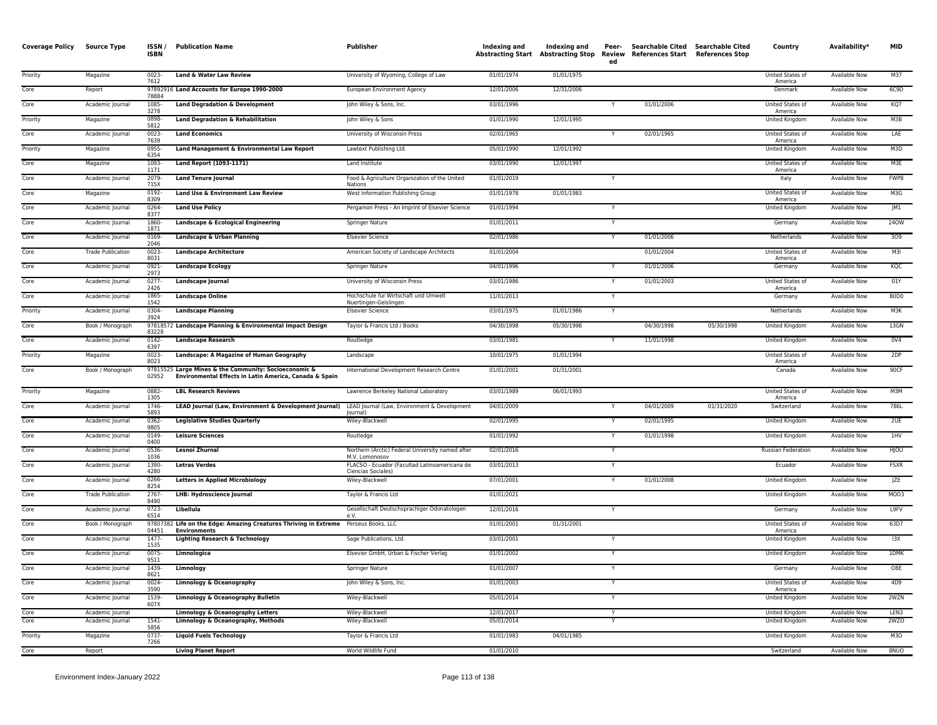| <b>Coverage Policy</b> | <b>Source Type</b>                   | ISSN/<br><b>ISBN</b> | <b>Publication Name</b>                                                                                         | Publisher                                                          | Indexing and             | Indexing and | Peer-<br>ed | Searchable Cited Searchable Cited<br>Abstracting Start Abstracting Stop Review References Start References Stop |            | Country                            | Availability*                                | <b>MID</b>                    |
|------------------------|--------------------------------------|----------------------|-----------------------------------------------------------------------------------------------------------------|--------------------------------------------------------------------|--------------------------|--------------|-------------|-----------------------------------------------------------------------------------------------------------------|------------|------------------------------------|----------------------------------------------|-------------------------------|
| Priority               | Magazine                             | $0023 -$<br>7612     | Land & Water Law Review                                                                                         | University of Wyoming, College of Law                              | 01/01/1974               | 01/01/1975   |             |                                                                                                                 |            | United States of<br>America        | <b>Available Now</b>                         | M37                           |
| Core                   | Report                               | 78884                | 97892916 Land Accounts for Europe 1990-2000                                                                     | European Environment Agency                                        | 12/01/2006               | 12/31/2006   |             |                                                                                                                 |            | Denmark                            | <b>Available Now</b>                         | 6C9D                          |
| Core                   | Academic Journal                     | 1085-<br>3278        | <b>Land Degradation &amp; Development</b>                                                                       | John Wiley & Sons, Inc.                                            | 03/01/1996               |              |             | 01/01/2006                                                                                                      |            | United States of<br>America        | <b>Available Now</b>                         | KQ7                           |
| Priority               | Magazine                             | 0898<br>5812         | Land Degradation & Rehabilitation                                                                               | John Wiley & Sons                                                  | 01/01/1990               | 12/01/1995   |             |                                                                                                                 |            | United Kingdom                     | <b>Available Now</b>                         | M3B                           |
| Core                   | Academic Journal                     | $0023 -$<br>7639     | <b>Land Economics</b>                                                                                           | University of Wisconsin Press                                      | 02/01/1965               |              |             | 02/01/1965                                                                                                      |            | United States of<br>America        | Available Now                                | LAE                           |
| Priority               | Magazine                             | 0955<br>6354         | Land Management & Environmental Law Report                                                                      | Lawtext Publishing Ltd.                                            | 05/01/1990               | 12/01/1992   |             |                                                                                                                 |            | United Kingdom                     | Available Now                                | M3D                           |
| Core                   | Magazine                             | 1093<br>1171         | Land Report (1093-1171)                                                                                         | Land Institute                                                     | 03/01/1990               | 12/01/1997   |             |                                                                                                                 |            | United States of<br>America        | <b>Available Now</b>                         | M3E                           |
| Core                   | Academic Journal                     | 2079<br>715X         | <b>Land Tenure Journal</b>                                                                                      | Food & Agriculture Organization of the United<br>Nations           | 01/01/2019               |              |             |                                                                                                                 |            | Italy                              | <b>Available Now</b>                         | FWP8                          |
| Core                   | Magazine                             | 0192-<br>8309        | Land Use & Environment Law Review                                                                               | West Information Publishing Group                                  | 01/01/1978               | 01/01/1983   |             |                                                                                                                 |            | United States of<br>America        | Available Now                                | M3G                           |
| Core                   | Academic Journal                     | 0264-<br>8377        | <b>Land Use Policy</b>                                                                                          | Pergamon Press - An Imprint of Elsevier Science                    | 01/01/1994               |              |             |                                                                                                                 |            | United Kingdom                     | Available Now                                | JM1                           |
| Core                   | Academic Journal                     | 1860<br>1871         | Landscape & Ecological Engineering                                                                              | Springer Nature                                                    | 01/01/2011               |              |             |                                                                                                                 |            | Germany                            | Available Now                                | 240W                          |
| Core                   | Academic Journal                     | 0169<br>2046         | Landscape & Urban Planning                                                                                      | <b>Elsevier Science</b>                                            | 02/01/1986               |              |             | 01/01/2006                                                                                                      |            | Netherlands                        | Available Now                                | 309                           |
| Core                   | <b>Trade Publication</b>             | 0023-<br>8031        | <b>Landscape Architecture</b>                                                                                   | American Society of Landscape Architects                           | 01/01/2004               |              |             | 01/01/2004                                                                                                      |            | United States of<br>America        | Available Now                                | M3I                           |
| Core                   | Academic Journal                     | 0921<br>2973         | <b>Landscape Ecology</b>                                                                                        | Springer Nature                                                    | 04/01/1996               |              |             | 01/01/2006                                                                                                      |            | Germany                            | Available Now                                | KQC                           |
| Core                   | Academic Journal                     | 0277<br>2426         | Landscape Journal                                                                                               | University of Wisconsin Press                                      | 03/01/1986               |              |             | 01/01/2003                                                                                                      |            | United States of<br>America        | Available Now                                | 01Y                           |
| Core                   | Academic Journal                     | 1865-<br>1542        | <b>Landscape Online</b>                                                                                         | Hochschule fur Wirtschaft und Umwelt<br>Nuertingen-Geislingen      | 11/01/2013               |              | Y           |                                                                                                                 |            | Germany                            | <b>Available Now</b>                         | B <sub>0</sub> D <sub>0</sub> |
| Priority               | Academic Journal                     | 0304<br>3924         | <b>Landscape Planning</b>                                                                                       | <b>Elsevier Science</b>                                            | 03/01/1975               | 01/01/1986   | Y           |                                                                                                                 |            | Netherlands                        | <b>Available Now</b>                         | M3K                           |
| Core                   | Book / Monograph                     | 83228                | 97818572 Landscape Planning & Environmental Impact Design                                                       | Taylor & Francis Ltd / Books                                       | 04/30/1998               | 05/30/1998   |             | 04/30/1998                                                                                                      | 05/30/1998 | United Kingdom                     | Available Now                                | 13GN                          |
| Core                   | Academic Journal                     | 0142-<br>6397        | <b>Landscape Research</b>                                                                                       | Routledge                                                          | 03/01/1981               |              |             | 11/01/1998                                                                                                      |            | United Kingdom                     | Available Now                                | 0 <sub>V</sub> 4              |
| Priority               | Magazine                             | $0023 -$<br>8023     | Landscape: A Magazine of Human Geography                                                                        | Landscape                                                          | 10/01/1975               | 01/01/1994   |             |                                                                                                                 |            | United States of<br>America        | <b>Available Now</b>                         | 2DP                           |
| Core                   | Book / Monograph                     | 02952                | 97815525 Large Mines & the Community: Socioeconomic &<br>Environmental Effects in Latin America, Canada & Spain | International Development Research Centre                          | 01/01/2001               | 01/31/2001   |             |                                                                                                                 |            | Canada                             | <b>Available Now</b>                         | 90CF                          |
| Priority               | Magazine                             | 0882-<br>1305        | <b>LBL Research Reviews</b>                                                                                     | Lawrence Berkeley National Laboratory                              | 03/01/1989               | 06/01/1993   |             |                                                                                                                 |            | <b>United States of</b><br>America | <b>Available Now</b>                         | M3M                           |
| Core                   | Academic Journal                     | 1746<br>5893         | LEAD Journal (Law, Environment & Development Journal) LEAD Journal (Law, Environment & Development              | lournal)                                                           | 04/01/2009               |              |             | 04/01/2009                                                                                                      | 01/31/2020 | Switzerland                        | Available Now                                | 786L                          |
| Core                   | Academic Journal                     | 0362-<br>9805        | <b>Legislative Studies Quarterly</b>                                                                            | Wiley-Blackwell                                                    | 02/01/1995               |              |             | 02/01/1995                                                                                                      |            | United Kingdom                     | Available Now                                | 2UE                           |
| Core                   | Academic Journal                     | 0149-<br>0400        | <b>Leisure Sciences</b>                                                                                         | Routledge                                                          | 01/01/1992               |              |             | 01/01/1998                                                                                                      |            | United Kingdom                     | Available Now                                | 1HV                           |
| Core                   | Academic Journal                     | 0536<br>1036         | Lesnoi Zhurnal                                                                                                  | Northern (Arctic) Federal University named after<br>M.V. Lomonosov | 02/01/2016               |              | Y           |                                                                                                                 |            | <b>Russian Federation</b>          | <b>Available Now</b>                         | HJOU                          |
| Core                   | Academic Journal                     | 1390<br>4280         | <b>Letras Verdes</b>                                                                                            | FLACSO - Ecuador (Facultad Latinoamericana de<br>Ciencias Sociales | 03/01/2013               |              |             |                                                                                                                 |            | Ecuador                            | Available Now                                | <b>FSXR</b>                   |
| Core                   | Academic Journal                     | 0266-<br>8254        | <b>Letters in Applied Microbiology</b>                                                                          | Wiley-Blackwell                                                    | 07/01/2001               |              | Y           | 01/01/2008                                                                                                      |            | United Kingdom                     | <b>Available Now</b>                         | JZE                           |
| Core                   | <b>Trade Publication</b>             | 2767-<br>8490        | <b>LHB: Hydroscience Journal</b>                                                                                | Taylor & Francis Ltd                                               | 01/01/2021               |              |             |                                                                                                                 |            | United Kingdom                     | <b>Available Now</b>                         | MO03                          |
| Core                   | Academic Journal                     | $0723 -$<br>6514     | Libellula                                                                                                       | Gesellschaft Deutschsprachiger Odonatologen<br>e.V.                | 12/01/2016               |              |             |                                                                                                                 |            | Germany                            | <b>Available Now</b>                         | L9FV                          |
| Core                   | Book / Monograph                     | 04451                | 97807382 Life on the Edge: Amazing Creatures Thriving in Extreme Perseus Books, LLC<br><b>Environments</b>      |                                                                    | 01/01/2001               | 01/31/2001   |             |                                                                                                                 |            | United States of<br>America        | Available Now                                | 63D7                          |
| Core                   | Academic Journal                     | 1477-<br>1535        | <b>Lighting Research &amp; Technology</b>                                                                       | Sage Publications, Ltd.                                            | 03/01/2001               |              |             |                                                                                                                 |            | United Kingdom                     | Available Now                                | 13X                           |
| Core                   | Academic Journal                     | 0075-<br>9511        | Limnologica                                                                                                     | Elsevier GmbH, Urban & Fischer Verlag                              | 01/01/2002               |              |             |                                                                                                                 |            | United Kingdom                     | Available Now                                | 1DMK                          |
| Core                   | Academic Journal                     | 1439-<br>8621        | Limnology                                                                                                       | Springer Nature                                                    | 01/01/2007               |              |             |                                                                                                                 |            | Germany                            | <b>Available Now</b>                         | O8E                           |
| Core<br>Core           | Academic Journal                     | $0024 -$<br>3590     | Limnology & Oceanography                                                                                        | John Wiley & Sons, Inc.                                            | 01/01/2003               |              |             |                                                                                                                 |            | <b>United States of</b><br>America | <b>Available Now</b>                         | 4D9<br>2WZN                   |
|                        | Academic Journal                     | 1539-<br>607X        | Limnology & Oceanography Bulletin                                                                               | Wiley-Blackwell                                                    | 05/01/2014               |              | Y           |                                                                                                                 |            | United Kingdom                     | <b>Available Now</b>                         | I FN3                         |
| Core<br>Core           | Academic Journal<br>Academic Journal | 1541                 | Limnology & Oceanography Letters<br>Limnology & Oceanography, Methods                                           | Wiley-Blackwell<br>Wiley-Blackwell                                 | 12/01/2017<br>05/01/2014 |              | Y           |                                                                                                                 |            | United Kingdom<br>United Kingdom   | <b>Available Now</b><br><b>Available Now</b> | 2WZO                          |
| Priority               | Magazine                             | 5856<br>0737-        | <b>Liquid Fuels Technology</b>                                                                                  | Taylor & Francis Ltd                                               | 01/01/1983               | 04/01/1985   |             |                                                                                                                 |            | <b>United Kingdom</b>              | <b>Available Now</b>                         | M3O                           |
| Core                   | Report                               | 7266                 | <b>Living Planet Report</b>                                                                                     | World Wildlife Fund                                                | 01/01/2010               |              |             |                                                                                                                 |            | Switzerland                        | <b>Available Now</b>                         | 8NUO                          |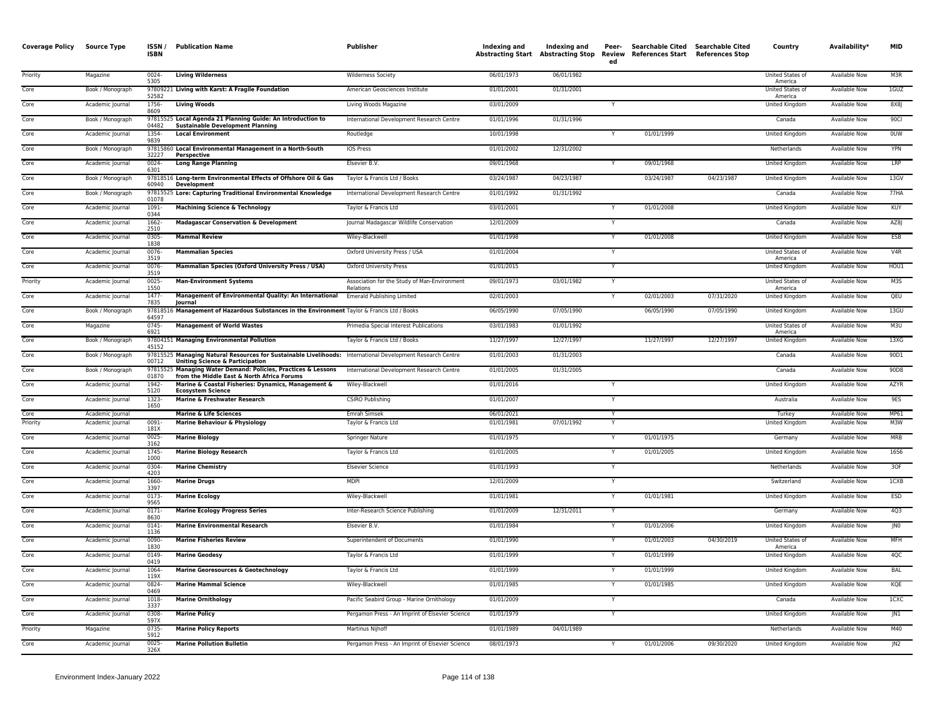| <b>Coverage Policy</b> | <b>Source Type</b>                   | ISSN,<br><b>ISBN</b> | <b>Publication Name</b>                                                                                                                                  | Publisher                                                 | Indexing and             | Indexing and | Peer-<br>ed | Searchable Cited Searchable Cited<br>Abstracting Start Abstracting Stop Review References Start References Stop |            | Country                     | Availability*                         | <b>MID</b>      |
|------------------------|--------------------------------------|----------------------|----------------------------------------------------------------------------------------------------------------------------------------------------------|-----------------------------------------------------------|--------------------------|--------------|-------------|-----------------------------------------------------------------------------------------------------------------|------------|-----------------------------|---------------------------------------|-----------------|
| Priority               | Magazine                             | $0024 -$<br>5305     | <b>Living Wilderness</b>                                                                                                                                 | <b>Wilderness Society</b>                                 | 06/01/1973               | 06/01/1982   |             |                                                                                                                 |            | United States of<br>America | Available Now                         | M3R             |
| Core                   | Book / Monograph                     | 52582                | 97809221 Living with Karst: A Fragile Foundation                                                                                                         | American Geosciences Institute                            | 01/01/2001               | 01/31/2001   |             |                                                                                                                 |            | United States of<br>America | Available Now                         | 1GUZ            |
| Core                   | Academic Journal                     | 1756-<br>8609        | <b>Living Woods</b>                                                                                                                                      | Living Woods Magazine                                     | 03/01/2009               |              |             |                                                                                                                 |            | United Kingdom              | Available Now                         | 8X8J            |
| Core                   | Book / Monograph                     | 04482                | 97815525 Local Agenda 21 Planning Guide: An Introduction to<br><b>Sustainable Development Planning</b>                                                   | International Development Research Centre                 | 01/01/1996               | 01/31/1996   |             |                                                                                                                 |            | Canada                      | <b>Available Now</b>                  | 90Cl            |
| Core                   | Academic Journal                     | 1354-<br>9839        | <b>Local Environment</b>                                                                                                                                 | Routledge                                                 | 10/01/1998               |              |             | 01/01/1999                                                                                                      |            | United Kingdom              | <b>Available Now</b>                  | <b>OUW</b>      |
| Core                   | Book / Monograph                     | 32227                | 97815860 Local Environmental Management in a North-South<br>Perspective                                                                                  | <b>IOS Press</b>                                          | 01/01/2002               | 12/31/2002   |             |                                                                                                                 |            | Netherlands                 | Available Now                         | <b>YPN</b>      |
| Core                   | Academic Journal                     | $0024 -$<br>6301     | <b>Long Range Planning</b>                                                                                                                               | Elsevier B.V.                                             | 09/01/1968               |              |             | 09/01/1968                                                                                                      |            | United Kingdom              | Available Now                         | LRP             |
| Core                   | Book / Monograph                     | 60940                | 97818516 Long-term Environmental Effects of Offshore Oil & Gas<br><b>Development</b>                                                                     | Taylor & Francis Ltd / Books                              | 03/24/1987               | 04/23/1987   |             | 03/24/1987                                                                                                      | 04/23/1987 | United Kingdom              | Available Now                         | 13GV            |
| Core                   | Book / Monograph                     | 01078                | 97815525 Lore: Capturing Traditional Environmental Knowledge                                                                                             | International Development Research Centre                 | 01/01/1992               | 01/31/1992   |             |                                                                                                                 |            | Canada                      | <b>Available Now</b>                  | 77HA            |
| Core                   | Academic Journal                     | 1091-<br>0344        | <b>Machining Science &amp; Technology</b>                                                                                                                | Taylor & Francis Ltd                                      | 03/01/2001               |              |             | 01/01/2008                                                                                                      |            | United Kingdom              | <b>Available Now</b>                  | KUY             |
| Core                   | Academic Journal                     | 1662-<br>2510        | <b>Madagascar Conservation &amp; Development</b>                                                                                                         | Journal Madagascar Wildlife Conservation                  | 12/01/2009               |              |             |                                                                                                                 |            | Canada                      | <b>Available Now</b>                  | AZ8J            |
| Core                   | Academic Journal                     | 0305-<br>1838        | <b>Mammal Review</b>                                                                                                                                     | Wiley-Blackwell                                           | 01/01/1998               |              |             | 01/01/2008                                                                                                      |            | United Kingdom              | Available Now                         | ESB             |
| Core                   | Academic Journal                     | 0076-<br>3519        | <b>Mammalian Species</b>                                                                                                                                 | Oxford University Press / USA                             | 01/01/2004               |              | Y           |                                                                                                                 |            | United States of<br>America | Available Now                         | V4R             |
| Core                   | Academic Journal                     | 0076-<br>3519        | Mammalian Species (Oxford University Press / USA)                                                                                                        | <b>Oxford University Press</b>                            | 01/01/2015               |              |             |                                                                                                                 |            | <b>United Kingdom</b>       | <b>Available Now</b>                  | HOU1            |
| Priority               | Academic Journal                     | 0025-<br>1550        | <b>Man-Environment Systems</b>                                                                                                                           | Association for the Study of Man-Environment<br>Relations | 09/01/1973               | 03/01/1982   |             |                                                                                                                 |            | United States of<br>America | Available Now                         | M3S             |
| Core                   | Academic Journal                     | 1477-<br>7835        | Management of Environmental Quality: An International<br>lournal                                                                                         | <b>Emerald Publishing Limited</b>                         | 02/01/2003               |              |             | 02/01/2003                                                                                                      | 07/31/2020 | <b>United Kingdom</b>       | <b>Available Now</b>                  | QEU             |
| Core                   | Book / Monograph                     | 64597                | 97818516 Management of Hazardous Substances in the Environment Taylor & Francis Ltd / Books                                                              |                                                           | 06/05/1990               | 07/05/1990   |             | 06/05/1990                                                                                                      | 07/05/1990 | United Kingdom              | Available Now                         | 13GU            |
| Core                   | Magazine                             | $0745 -$<br>6921     | <b>Management of World Wastes</b>                                                                                                                        | Primedia Special Interest Publications                    | 03/01/1983               | 01/01/1992   |             |                                                                                                                 |            | United States of<br>America | Available Now                         | M3U             |
| Core                   | Book / Monograph                     | 45152                | 97804151 Managing Environmental Pollution                                                                                                                | Taylor & Francis Ltd / Books                              | 11/27/1997               | 12/27/1997   |             | 11/27/1997                                                                                                      | 12/27/1997 | United Kingdom              | <b>Available Now</b>                  | 13XG            |
| Core                   | Book / Monograph                     | 00712                | 97815525 Managing Natural Resources for Sustainable Livelihoods: International Development Research Centre<br><b>Uniting Science &amp; Participation</b> |                                                           | 01/01/2003               | 01/31/2003   |             |                                                                                                                 |            | Canada                      | <b>Available Now</b>                  | 90D1            |
| Core                   | Book / Monograph                     | 01870                | 97815525 Managing Water Demand: Policies, Practices & Lessons<br>from the Middle East & North Africa Forums                                              | International Development Research Centre                 | 01/01/2005               | 01/31/2005   |             |                                                                                                                 |            | Canada                      | <b>Available Now</b>                  | 90D8            |
| Core                   | Academic Journal                     | 1942-<br>5120        | Marine & Coastal Fisheries: Dynamics, Management &<br><b>Ecosystem Science</b>                                                                           | Wiley-Blackwell                                           | 01/01/2016               |              |             |                                                                                                                 |            | United Kingdom              | <b>Available Now</b>                  | AZYR            |
| Core                   | Academic Journal                     | 1323-<br>1650        | Marine & Freshwater Research                                                                                                                             | <b>CSIRO Publishing</b>                                   | 01/01/2007               |              |             |                                                                                                                 |            | Australia                   | <b>Available Now</b>                  | 9ES             |
| Core<br>Priority       | Academic Journal<br>Academic Journal | 0091-                | Marine & Life Sciences<br>Marine Behaviour & Physiology                                                                                                  | Emrah Simsek<br>Taylor & Francis Ltd                      | 06/01/2021<br>01/01/1981 | 07/01/1992   |             |                                                                                                                 |            | Turkey<br>United Kingdom    | Available Now<br><b>Available Now</b> | MP61<br>M3W     |
| Core                   | Academic Journal                     | 181X<br>$0025 -$     | <b>Marine Biology</b>                                                                                                                                    | Springer Nature                                           | 01/01/1975               |              |             | 01/01/1975                                                                                                      |            | Germany                     | <b>Available Now</b>                  | <b>MRB</b>      |
| Core                   | Academic Journal                     | 3162<br>$1745 -$     | <b>Marine Biology Research</b>                                                                                                                           | Taylor & Francis Ltd                                      | 01/01/2005               |              |             | 01/01/2005                                                                                                      |            | United Kingdom              | <b>Available Now</b>                  | <b>16S6</b>     |
| Core                   | Academic Journal                     | 1000<br>0304         | <b>Marine Chemistry</b>                                                                                                                                  | <b>Elsevier Science</b>                                   | 01/01/1993               |              |             |                                                                                                                 |            | Netherlands                 | <b>Available Now</b>                  | 3OF             |
| Core                   | Academic Journal                     | 4203<br>1660-        | <b>Marine Drugs</b>                                                                                                                                      | <b>MDPI</b>                                               | 12/01/2009               |              | Y           |                                                                                                                 |            | Switzerland                 | Available Now                         | 1CXB            |
| Core                   | Academic Journal                     | 3397<br>0173-        | <b>Marine Ecology</b>                                                                                                                                    | Wiley-Blackwell                                           | 01/01/1981               |              |             | 01/01/1981                                                                                                      |            | United Kingdom              | Available Now                         | <b>ESD</b>      |
| Core                   | Academic Journal                     | 9565<br>$0171 -$     | <b>Marine Ecology Progress Series</b>                                                                                                                    | Inter-Research Science Publishing                         | 01/01/2009               | 12/31/2011   |             |                                                                                                                 |            | Germany                     | <b>Available Now</b>                  | 4Q3             |
| Core                   | Academic Journal                     | 8630<br>$0141 -$     | <b>Marine Environmental Research</b>                                                                                                                     | Elsevier B.V.                                             | 01/01/1984               |              |             | 01/01/2006                                                                                                      |            | <b>United Kingdom</b>       | <b>Available Now</b>                  | INO             |
| Core                   | Academic Journal                     | 1136<br>0090-        | <b>Marine Fisheries Review</b>                                                                                                                           | Superintendent of Documents                               | 01/01/1990               |              |             | 01/01/2003                                                                                                      | 04/30/2019 | United States of            | Available Now                         | <b>MFH</b>      |
| Core                   | Academic Journal                     | 1830<br>0149-        | <b>Marine Geodesy</b>                                                                                                                                    | Taylor & Francis Ltd                                      | 01/01/1999               |              |             | 01/01/1999                                                                                                      |            | America<br>United Kingdom   | Available Now                         | 4QC             |
| Core                   | Academic Journal                     | 0419<br>1064         | <b>Marine Georesources &amp; Geotechnology</b>                                                                                                           | Taylor & Francis Ltd                                      | 01/01/1999               |              |             | 01/01/1999                                                                                                      |            | United Kingdom              | Available Now                         | BAL             |
| Core                   | Academic Journal                     | 119X<br>0824-        | <b>Marine Mammal Science</b>                                                                                                                             | Wiley-Blackwell                                           | 01/01/1985               |              |             | 01/01/1985                                                                                                      |            | <b>United Kingdom</b>       | <b>Available Now</b>                  | KQE             |
| Core                   | Academic Journal                     | 0469<br>1018-        | <b>Marine Ornithology</b>                                                                                                                                | Pacific Seabird Group - Marine Ornithology                | 01/01/2009               |              | Y           |                                                                                                                 |            | Canada                      | <b>Available Now</b>                  | 1CXC            |
| Core                   | Academic Journal                     | 3337<br>0308-        | <b>Marine Policy</b>                                                                                                                                     | Pergamon Press - An Imprint of Elsevier Science           | 01/01/1979               |              |             |                                                                                                                 |            | United Kingdom              | <b>Available Now</b>                  | JNI             |
| Priority               | Magazine                             | 597X<br>0735-        | <b>Marine Policy Reports</b>                                                                                                                             | Martinus Nijhoff                                          | 01/01/1989               | 04/01/1989   |             |                                                                                                                 |            | Netherlands                 | Available Now                         | M40             |
| Core                   | Academic Journal                     | 5912<br>0025         | <b>Marine Pollution Bulletin</b>                                                                                                                         | Pergamon Press - An Imprint of Elsevier Science           | 08/01/1973               |              |             | 01/01/2006                                                                                                      | 09/30/2020 |                             | Available Now                         | JN <sub>2</sub> |
|                        |                                      | 326X                 |                                                                                                                                                          |                                                           |                          |              |             |                                                                                                                 |            | United Kingdom              |                                       |                 |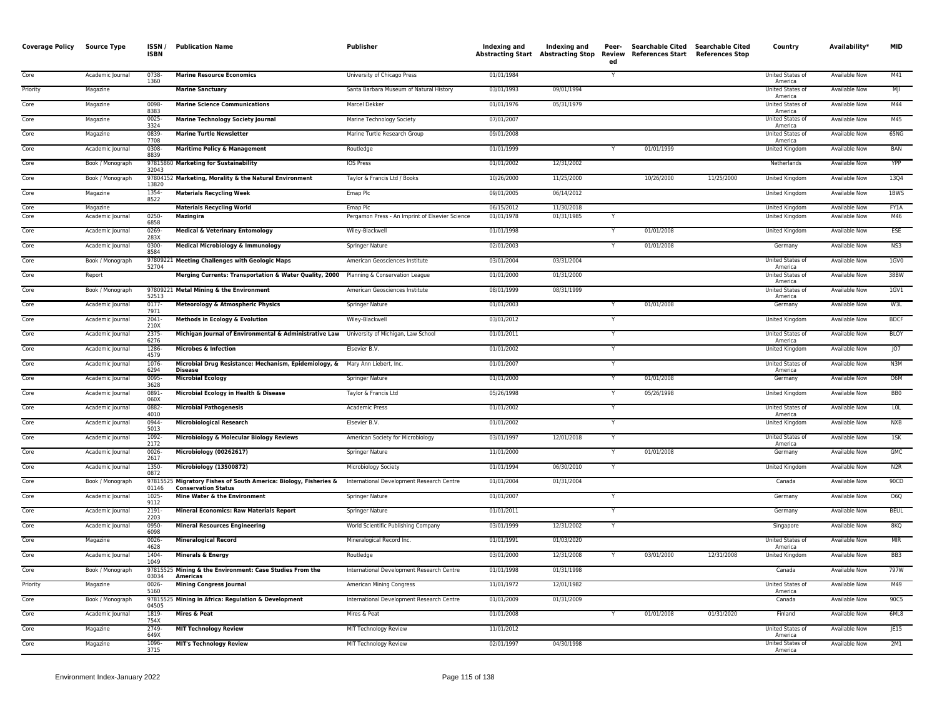| <b>Coverage Policy</b> | <b>Source Type</b> | ISSN/<br><b>ISBN</b> | <b>Publication Name</b>                                                                        | Publisher                                       | Indexing and | Indexing and | Peer-<br>ed  | Searchable Cited Searchable Cited<br>Abstracting Start Abstracting Stop Review References Start References Stop |            | Country                            | Availability*        | <b>MID</b>      |
|------------------------|--------------------|----------------------|------------------------------------------------------------------------------------------------|-------------------------------------------------|--------------|--------------|--------------|-----------------------------------------------------------------------------------------------------------------|------------|------------------------------------|----------------------|-----------------|
| Core                   | Academic Journal   | 0738-<br>1360        | <b>Marine Resource Economics</b>                                                               | University of Chicago Press                     | 01/01/1984   |              | Y            |                                                                                                                 |            | United States of<br>America        | Available Now        | M41             |
| Priority               | Magazine           |                      | <b>Marine Sanctuary</b>                                                                        | Santa Barbara Museum of Natural History         | 03/01/1993   | 09/01/1994   |              |                                                                                                                 |            | United States of<br>America        | Available Now        | MII             |
| Core                   | Magazine           | 0098<br>8383         | <b>Marine Science Communications</b>                                                           | Marcel Dekker                                   | 01/01/1976   | 05/31/1979   |              |                                                                                                                 |            | <b>United States of</b><br>America | <b>Available Now</b> | M44             |
| Core                   | Magazine           | 0025-<br>3324        | <b>Marine Technology Society Journal</b>                                                       | Marine Technology Society                       | 07/01/2007   |              |              |                                                                                                                 |            | United States of<br>America        | Available Now        | M45             |
| Core                   | Magazine           | 0839<br>7708         | <b>Marine Turtle Newsletter</b>                                                                | Marine Turtle Research Group                    | 09/01/2008   |              |              |                                                                                                                 |            | United States of<br>America        | <b>Available Now</b> | 65NG            |
| Core                   | Academic Journal   | 0308<br>8839         | <b>Maritime Policy &amp; Management</b>                                                        | Routledge                                       | 01/01/1999   |              |              | 01/01/1999                                                                                                      |            | United Kingdom                     | Available Now        | <b>BAN</b>      |
| Core                   | Book / Monograph   | 32043                | 97815860 Marketing for Sustainability                                                          | <b>IOS Press</b>                                | 01/01/2002   | 12/31/2002   |              |                                                                                                                 |            | Netherlands                        | <b>Available Now</b> | YPP             |
| Core                   | Book / Monograph   | 13820                | 97804152 Marketing, Morality & the Natural Environment                                         | Taylor & Francis Ltd / Books                    | 10/26/2000   | 11/25/2000   |              | 10/26/2000                                                                                                      | 11/25/2000 | United Kingdom                     | Available Now        | 1304            |
| Core                   | Magazine           | 1354-<br>8522        | <b>Materials Recycling Week</b>                                                                | Emap Plc                                        | 09/01/2005   | 06/14/2012   |              |                                                                                                                 |            | <b>United Kingdom</b>              | <b>Available Now</b> | 1BWS            |
| Core                   | Magazine           |                      | <b>Materials Recycling World</b>                                                               | Emap Plc                                        | 06/15/2012   | 11/30/2018   |              |                                                                                                                 |            | United Kingdom                     | <b>Available Now</b> | FY1A            |
| Core                   | Academic Journal   | $\frac{0250}{6858}$  | <b>Mazingira</b>                                                                               | Pergamon Press - An Imprint of Elsevier Science | 01/01/1978   | 01/31/1985   |              |                                                                                                                 |            | <b>United Kingdom</b>              | <b>Available Now</b> | M46             |
| Core                   | Academic Journal   | 0269-<br>283X        | <b>Medical &amp; Veterinary Entomology</b>                                                     | Wiley-Blackwell                                 | 01/01/1998   |              |              | 01/01/2008                                                                                                      |            | United Kingdom                     | Available Now        | ESE             |
| Core                   | Academic Journal   | 0300-<br>8584        | <b>Medical Microbiology &amp; Immunology</b>                                                   | Springer Nature                                 | 02/01/2003   |              |              | 01/01/2008                                                                                                      |            | Germany                            | <b>Available Now</b> | NS3             |
| Core                   | Book / Monograph   | 52704                | 97809221 Meeting Challenges with Geologic Maps                                                 | American Geosciences Institute                  | 03/01/2004   | 03/31/2004   |              |                                                                                                                 |            | United States of<br>America        | Available Now        | 1GV0            |
| Core                   | Report             |                      | Merging Currents: Transportation & Water Quality, 2000 Planning & Conservation League          |                                                 | 01/01/2000   | 01/31/2000   |              |                                                                                                                 |            | United States of<br>America        | Available Now        | 38BW            |
| Core                   | Book / Monograph   | 52513                | 97809221 Metal Mining & the Environment                                                        | American Geosciences Institute                  | 08/01/1999   | 08/31/1999   |              |                                                                                                                 |            | <b>United States of</b><br>America | <b>Available Now</b> | $1$ GV1         |
| Core                   | Academic Journal   | $0177 -$<br>7971     | Meteorology & Atmospheric Physics                                                              | Springer Nature                                 | 01/01/2003   |              |              | 01/01/2008                                                                                                      |            | Germany                            | <b>Available Now</b> | W3L             |
| Core                   | Academic Journal   | $2041 -$<br>210X     | Methods in Ecology & Evolution                                                                 | Wiley-Blackwell                                 | 03/01/2012   |              |              |                                                                                                                 |            | United Kingdom                     | <b>Available Now</b> | <b>BDCF</b>     |
| Core                   | Academic Journal   | 2375-<br>6276        | Michigan Journal of Environmental & Administrative Law University of Michigan, Law School      |                                                 | 01/01/2011   |              |              |                                                                                                                 |            | United States of<br>America        | <b>Available Now</b> | <b>BLOY</b>     |
| Core                   | Academic Journal   | 1286<br>4579         | <b>Microbes &amp; Infection</b>                                                                | Elsevier B.V.                                   | 01/01/2002   |              |              |                                                                                                                 |            | <b>United Kingdom</b>              | <b>Available Now</b> | JO7             |
| Core                   | Academic Journal   | 1076<br>6294         | Microbial Drug Resistance: Mechanism, Epidemiology, & Mary Ann Liebert, Inc.<br><b>Disease</b> |                                                 | 01/01/2007   |              |              |                                                                                                                 |            | United States of<br>America        | Available Now        | N3M             |
| Core                   | Academic Journal   | 0095-<br>3628        | <b>Microbial Ecology</b>                                                                       | Springer Nature                                 | 01/01/2000   |              |              | 01/01/2008                                                                                                      |            | Germany                            | <b>Available Now</b> | O6M             |
| Core                   | Academic Journal   | 0891<br>060X         | Microbial Ecology in Health & Disease                                                          | Taylor & Francis Ltd                            | 05/26/1998   |              |              | 05/26/1998                                                                                                      |            | United Kingdom                     | Available Now        | BB <sub>0</sub> |
| Core                   | Academic Journal   | 0882<br>4010         | <b>Microbial Pathogenesis</b>                                                                  | Academic Press                                  | 01/01/2002   |              | Y            |                                                                                                                 |            | United States of<br>America        | Available Now        | LOL             |
| Core                   | Academic Journal   | 0944-<br>5013        | <b>Microbiological Research</b>                                                                | Elsevier B.V.                                   | 01/01/2002   |              |              |                                                                                                                 |            | United Kingdom                     | Available Now        | <b>NXB</b>      |
| Core                   | Academic Journal   | 1092-<br>2172        | Microbiology & Molecular Biology Reviews                                                       | American Society for Microbiology               | 03/01/1997   | 12/01/2018   | $\mathsf{v}$ |                                                                                                                 |            | United States of<br>America        | <b>Available Now</b> | 15K             |
| Core                   | Academic Journal   | 0026<br>2617         | Microbiology (00262617)                                                                        | Springer Nature                                 | 11/01/2000   |              |              | 01/01/2008                                                                                                      |            | Germany                            | Available Now        | <b>GMC</b>      |
| Core                   | Academic Journal   | 1350-<br>0872        | Microbiology (13500872)                                                                        | Microbiology Society                            | 01/01/1994   | 06/30/2010   | Y            |                                                                                                                 |            | <b>United Kingdom</b>              | <b>Available Now</b> | N2R             |
| Core                   | Book / Monograph   | 01146                | 97815525 Migratory Fishes of South America: Biology, Fisheries &<br><b>Conservation Status</b> | International Development Research Centre       | 01/01/2004   | 01/31/2004   |              |                                                                                                                 |            | Canada                             | <b>Available Now</b> | 90CD            |
| Core                   | Academic Journal   | 1025<br>9112         | Mine Water & the Environment                                                                   | Springer Nature                                 | 01/01/2007   |              | Y            |                                                                                                                 |            | Germany                            | Available Now        | O6Q             |
| Core                   | Academic Journal   | 2191-<br>2203        | <b>Mineral Economics: Raw Materials Report</b>                                                 | Springer Nature                                 | 01/01/2011   |              | Y            |                                                                                                                 |            | Germany                            | Available Now        | <b>BEUL</b>     |
| Core                   | Academic Journal   | 0950-<br>6098        | <b>Mineral Resources Engineering</b>                                                           | World Scientific Publishing Company             | 03/01/1999   | 12/31/2002   |              |                                                                                                                 |            | Singapore                          | <b>Available Now</b> | 8KQ             |
| Core                   | Magazine           | 0026<br>4628         | <b>Mineralogical Record</b>                                                                    | Mineralogical Record Inc.                       | 01/01/1991   | 01/03/2020   |              |                                                                                                                 |            | United States of<br>America        | <b>Available Now</b> | <b>MIR</b>      |
| Core                   | Academic Journal   | 1404-<br>1049        | <b>Minerals &amp; Energy</b>                                                                   | Routledge                                       | 03/01/2000   | 12/31/2008   |              | 03/01/2000                                                                                                      | 12/31/2008 | United Kingdom                     | <b>Available Now</b> | BB <sub>3</sub> |
| Core                   | Book / Monograph   |                      | 97815525 Mining & the Environment: Case Studies From the<br>03034 Americas                     | International Development Research Centre       | 01/01/1998   | 01/31/1998   |              |                                                                                                                 |            | Canada                             | <b>Available Now</b> | 797W            |
| Priority               | Magazine           | $0026 -$<br>5160     | <b>Mining Congress Journal</b>                                                                 | American Mining Congress                        | 11/01/1972   | 12/01/1982   |              |                                                                                                                 |            | United States of<br>America        | Available Now        | M49             |
| Core                   | Book / Monograph   | 04505                | 97815525 Mining in Africa: Regulation & Development                                            | International Development Research Centre       | 01/01/2009   | 01/31/2009   |              |                                                                                                                 |            | Canada                             | Available Now        | 90C5            |
| Core                   | Academic Journal   | 1819-<br>754X        | Mires & Peat                                                                                   | Mires & Peat                                    | 01/01/2008   |              |              | 01/01/2008                                                                                                      | 01/31/2020 | Finland                            | <b>Available Now</b> | 6ML8            |
| Core                   | Magazine           | 2749<br>649X         | <b>MIT Technology Review</b>                                                                   | MIT Technology Review                           | 11/01/2012   |              |              |                                                                                                                 |            | United States of<br>America        | Available Now        | JE15            |
| Core                   | Magazine           | 1096-<br>3715        | <b>MIT's Technology Review</b>                                                                 | MIT Technology Review                           | 02/01/1997   | 04/30/1998   |              |                                                                                                                 |            | United States of<br>America        | <b>Available Now</b> | 2M1             |
|                        |                    |                      |                                                                                                |                                                 |              |              |              |                                                                                                                 |            |                                    |                      |                 |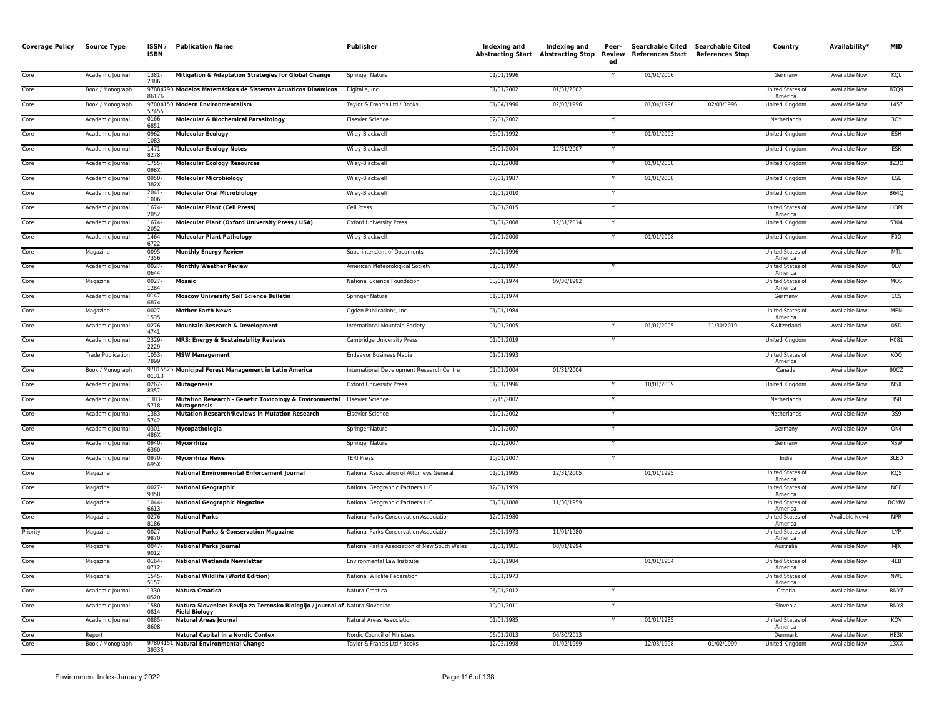| <b>Coverage Policy</b> | <b>Source Type</b>         | ISSN/<br><b>ISBN</b> | <b>Publication Name</b>                                                                              | Publisher                                                   | Indexing and<br><b>Abstracting Start</b> | Indexing and<br><b>Abstracting Stop</b> | Peer-<br>ed  | Searchable Cited Searchable Cited<br><b>Review</b> References Start | <b>References Stop</b> | Country                            | Availability*                         | <b>MID</b>       |
|------------------------|----------------------------|----------------------|------------------------------------------------------------------------------------------------------|-------------------------------------------------------------|------------------------------------------|-----------------------------------------|--------------|---------------------------------------------------------------------|------------------------|------------------------------------|---------------------------------------|------------------|
| Core                   | Academic Journal           | 1381-<br>2386        | Mitigation & Adaptation Strategies for Global Change                                                 | Springer Nature                                             | 01/01/1996                               |                                         | $\mathsf{v}$ | 01/01/2006                                                          |                        | Germany                            | <b>Available Now</b>                  | KQL              |
| Core                   | Book / Monograph           | 86176                | 97884790 Modelos Matemáticos de Sistemas Acuáticos Dinámicos                                         | Digitalia, Inc.                                             | 01/01/2002                               | 01/31/2002                              |              |                                                                     |                        | United States of<br>America        | Available Now                         | 87Q9             |
| Core                   | Book / Monograph           | 57455                | 97804150 Modern Environmentalism                                                                     | Taylor & Francis Ltd / Books                                | 01/04/1996                               | 02/03/1996                              |              | 01/04/1996                                                          | 02/03/1996             | <b>United Kingdom</b>              | <b>Available Now</b>                  | 1457             |
| Core                   | Academic Journal           | 0166-<br>6851        | <b>Molecular &amp; Biochemical Parasitology</b>                                                      | <b>Elsevier Science</b>                                     | 02/01/2002                               |                                         |              |                                                                     |                        | Netherlands                        | Available Now                         | 30Y              |
| Core                   | Academic Journal           | 0962-<br>1083        | <b>Molecular Ecology</b>                                                                             | Wiley-Blackwell                                             | 05/01/1992                               |                                         | $\mathsf{v}$ | 01/01/2003                                                          |                        | United Kingdom                     | Available Now                         | ESH              |
| Core                   | Academic Journal           | 1471-<br>8278        | <b>Molecular Ecology Notes</b>                                                                       | Wiley-Blackwell                                             | 03/01/2004                               | 12/31/2007                              | Y            |                                                                     |                        | United Kingdom                     | Available Now                         | ESK              |
| Core                   | Academic Journal           | 1755<br>098X         | <b>Molecular Ecology Resources</b>                                                                   | Wiley-Blackwell                                             | 01/01/2008                               |                                         |              | 01/01/2008                                                          |                        | United Kingdom                     | <b>Available Now</b>                  | 8Z30             |
| Core                   | Academic Journal           | 0950-<br>382X        | <b>Molecular Microbiology</b>                                                                        | Wiley-Blackwell                                             | 07/01/1987                               |                                         |              | 01/01/2008                                                          |                        | <b>United Kingdom</b>              | <b>Available Now</b>                  | ESL              |
| Core                   | Academic Journal           | $2041 -$<br>1006     | <b>Molecular Oral Microbiology</b>                                                                   | Wiley-Blackwell                                             | 01/01/2010                               |                                         |              |                                                                     |                        | <b>United Kingdom</b>              | <b>Available Now</b>                  | <b>B64Q</b>      |
| Core                   | Academic Journal           | 1674-<br>2052        | <b>Molecular Plant (Cell Press)</b>                                                                  | Cell Press                                                  | 01/01/2015                               |                                         |              |                                                                     |                        | United States of<br>America        | Available Now                         | <b>HOPI</b>      |
| Core                   | Academic Journal           | 1674-<br>2052        | Molecular Plant (Oxford University Press / USA)                                                      | <b>Oxford University Press</b>                              | 01/01/2008                               | 12/31/2014                              | Y            |                                                                     |                        | United Kingdom                     | Available Now                         | 5304             |
| Core                   | Academic Journal           | 1464<br>6722         | <b>Molecular Plant Pathology</b>                                                                     | Wiley-Blackwell                                             | 01/01/2000                               |                                         |              | 01/01/2008                                                          |                        | <b>United Kingdom</b>              | <b>Available Now</b>                  | F <sub>0</sub> Q |
| Core                   | Magazine                   | 0095<br>7356         | <b>Monthly Energy Review</b>                                                                         | Superintendent of Documents                                 | 07/01/1996                               |                                         |              |                                                                     |                        | United States of<br>America        | <b>Available Now</b>                  | <b>MTL</b>       |
| Core                   | Academic Journal           | $0027 -$<br>0644     | <b>Monthly Weather Review</b>                                                                        | American Meteorological Society                             | 01/01/1997                               |                                         |              |                                                                     |                        | United States of<br>America        | <b>Available Now</b>                  | 9LV              |
| Core                   | Magazine                   | $0027 -$<br>1284     | Mosaic                                                                                               | National Science Foundation                                 | 03/01/1974                               | 09/30/1992                              |              |                                                                     |                        | United States of<br>America        | Available Now                         | <b>MOS</b>       |
| Core                   | Academic Journal           | $0147 -$<br>6874     | <b>Moscow University Soil Science Bulletin</b>                                                       | Springer Nature                                             | 01/01/1974                               |                                         |              |                                                                     |                        | Germany                            | Available Now                         | 1CS              |
| Core                   | Magazine                   | 0027<br>1535         | <b>Mother Earth News</b>                                                                             | Ogden Publications, Inc.                                    | 01/01/1984                               |                                         |              |                                                                     |                        | United States of<br>America        | Available Now                         | MEN              |
| Core                   | Academic Journal           | 0276<br>4741         | Mountain Research & Development                                                                      | International Mountain Society                              | 01/01/2005                               |                                         |              | 01/01/2005                                                          | 11/30/2019             | Switzerland                        | <b>Available Now</b>                  | 05D              |
| Core                   | Academic Journal           | 2329<br>2229         | <b>MRS: Energy &amp; Sustainability Reviews</b>                                                      | Cambridge University Press                                  | 01/01/2019                               |                                         |              |                                                                     |                        | United Kingdom                     | Available Now                         | H081             |
| Core                   | <b>Trade Publication</b>   | 1053-<br>7899        | <b>MSW Management</b>                                                                                | <b>Endeavor Business Media</b>                              | 01/01/1993                               |                                         |              |                                                                     |                        | <b>United States of</b><br>America | <b>Available Now</b>                  | KQQ              |
| Core                   | Book / Monograph           | 01313                | 97815525 Municipal Forest Management in Latin America                                                | International Development Research Centre                   | 01/01/2004                               | 01/31/2004                              |              |                                                                     |                        | Canada                             | Available Now                         | 90CZ             |
| Core                   | Academic Journal           | $0267 -$<br>8357     | <b>Mutagenesis</b>                                                                                   | <b>Oxford University Press</b>                              | 01/01/1996                               |                                         |              | 10/01/2009                                                          |                        | United Kingdom                     | Available Now                         | N5X              |
| Core                   | Academic Journal           | 1383-<br>5718        | Mutation Research - Genetic Toxicology & Environmental Elsevier Science<br><b>Mutagenesis</b>        |                                                             | 02/15/2002                               |                                         | $\mathsf{v}$ |                                                                     |                        | Netherlands                        | Available Now                         | 3S8              |
| Core                   | Academic Journal           | 1383<br>5742         | Mutation Research/Reviews in Mutation Research                                                       | <b>Elsevier Science</b>                                     | 01/01/2002                               |                                         |              |                                                                     |                        | Netherlands                        | <b>Available Now</b>                  | 359              |
| Core                   | Academic Journal           | 0301<br>486X         | Mycopathologia                                                                                       | Springer Nature                                             | 01/01/2007                               |                                         | Y            |                                                                     |                        | Germany                            | Available Now                         | OK4              |
| Core                   | Academic Journal           | 0940-<br>6360        | Mycorrhiza                                                                                           | Springer Nature                                             | 01/01/2007                               |                                         | Y            |                                                                     |                        | Germany                            | <b>Available Now</b>                  | <b>NSW</b>       |
| Core                   | Academic Journal           | 0970-<br>695X        | <b>Mycorrhiza News</b>                                                                               | <b>TERI Press</b>                                           | 10/01/2007                               |                                         | Y            |                                                                     |                        | India                              | Available Now                         | 3LED             |
| Core                   | Magazine                   |                      | <b>National Environmental Enforcement Journal</b>                                                    | National Association of Attorneys General                   | 01/01/1995                               | 12/31/2005                              |              | 01/01/1995                                                          |                        | United States of<br>America        | Available Now                         | KQS              |
| Core                   | Magazine                   | $0027 -$<br>9358     | <b>National Geographic</b>                                                                           | National Geographic Partners LLC                            | 12/01/1959                               |                                         |              |                                                                     |                        | United States of<br>America        | <b>Available Now</b>                  | <b>NGE</b>       |
| Core                   | Magazine                   | 1044<br>6613         | <b>National Geographic Magazine</b>                                                                  | National Geographic Partners LLC                            | 01/01/1888                               | 11/30/1959                              |              |                                                                     |                        | United States of<br>America        | Available Now                         | <b>BOMW</b>      |
| Core                   | Magazine                   | $0276 -$<br>8186     | <b>National Parks</b>                                                                                | National Parks Conservation Association                     | 12/01/1980                               |                                         |              |                                                                     |                        | <b>United States of</b><br>America | Available Now‡                        | <b>NPR</b>       |
| Priority               | Magazine                   | $0027 -$<br>9870     | <b>National Parks &amp; Conservation Magazine</b>                                                    | National Parks Conservation Association                     | 08/01/1973                               | 11/01/1980                              |              |                                                                     |                        | United States of<br>America        | Available Now                         | LYP              |
| Core                   | Magazine                   | $0047 -$<br>9012     | <b>National Parks Journal</b>                                                                        | National Parks Association of New South Wales               | 01/01/1981                               | 08/01/1994                              |              |                                                                     |                        | Australia                          | Available Now                         | MJK              |
| Core                   | Magazine                   | 0164<br>0712         | <b>National Wetlands Newsletter</b>                                                                  | Environmental Law Institute                                 | 01/01/1984                               |                                         |              | 01/01/1984                                                          |                        | United States of<br>America        | Available Now                         | 4EB              |
| Core                   | Magazine                   | 1545-<br>5157        | <b>National Wildlife (World Edition)</b>                                                             | National Wildlife Federation                                | 01/01/1973                               |                                         |              |                                                                     |                        | United States of<br>America        | <b>Available Now</b>                  | <b>NWL</b>       |
| Core                   | Academic Journal           | 1330-<br>0520        | <b>Natura Croatica</b>                                                                               | Natura Croatica                                             | 06/01/2012                               |                                         | Y            |                                                                     |                        | Croatia                            | <b>Available Now</b>                  | BNY7             |
| Core                   | Academic Journal           | 1580<br>0814         | Natura Sloveniae: Revija za Terensko Biologijo / Journal of Natura Sloveniae<br><b>Field Biology</b> |                                                             | 10/01/2011                               |                                         | Y            |                                                                     |                        | Slovenia                           | <b>Available Now</b>                  | BNY8             |
| Core                   | Academic Journal           | 0885-<br>8608        | <b>Natural Areas Journal</b>                                                                         | Natural Areas Association                                   | 01/01/1985                               |                                         | Y            | 01/01/1985                                                          |                        | United States of<br>America        | Available Now                         | KQV              |
| Core<br>Core           | Report<br>Book / Monograph |                      | Natural Capital in a Nordic Contex<br>97804151 Natural Environmental Change                          | Nordic Council of Ministers<br>Taylor & Francis Ltd / Books | 06/01/2013<br>12/03/1998                 | 06/30/2013<br>01/02/1999                |              | 12/03/1998                                                          | 01/02/1999             | Denmark<br>United Kingdom          | <b>Available Now</b><br>Available Now | HE3K<br>13XX     |
|                        |                            | 39335                |                                                                                                      |                                                             |                                          |                                         |              |                                                                     |                        |                                    |                                       |                  |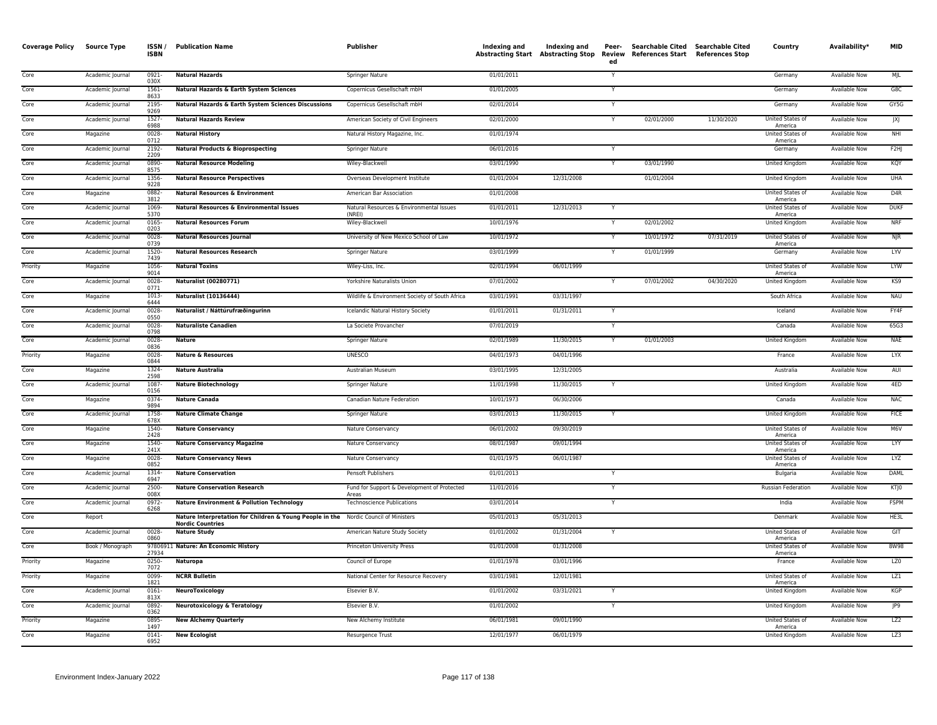| <b>Coverage Policy Source Type</b> |                  | ISSN/<br><b>ISBN</b> | <b>Publication Name</b>                                                                                         | <b>Publisher</b>                                     | Indexing and | Indexing and<br><b>Abstracting Start Abstracting Stop</b> | Peer-<br>Review<br>ed   | Searchable Cited Searchable Cited<br>References Start References Stop |            | Country                     | Availability*        | <b>MID</b>       |
|------------------------------------|------------------|----------------------|-----------------------------------------------------------------------------------------------------------------|------------------------------------------------------|--------------|-----------------------------------------------------------|-------------------------|-----------------------------------------------------------------------|------------|-----------------------------|----------------------|------------------|
| Core                               | Academic Journal | $0921 -$<br>030X     | <b>Natural Hazards</b>                                                                                          | <b>Springer Nature</b>                               | 01/01/2011   |                                                           | $\overline{\mathsf{Y}}$ |                                                                       |            | Germany                     | <b>Available Now</b> | MIL              |
| Core                               | Academic Journal | 1561-<br>8633        | Natural Hazards & Earth System Sciences                                                                         | Copernicus Gesellschaft mbH                          | 01/01/2005   |                                                           | Y                       |                                                                       |            | Germany                     | Available Now        | G8C              |
| Core                               | Academic Journal | 2195<br>9269         | Natural Hazards & Earth System Sciences Discussions                                                             | Copernicus Gesellschaft mbH                          | 02/01/2014   |                                                           |                         |                                                                       |            | Germany                     | <b>Available Now</b> | GY5G             |
| Core                               | Academic Journal | 1527<br>6988         | <b>Natural Hazards Review</b>                                                                                   | American Society of Civil Engineers                  | 02/01/2000   |                                                           | Y                       | 02/01/2000                                                            | 11/30/2020 | United States of<br>America | <b>Available Now</b> | X                |
| Core                               | Magazine         | 0028<br>0712         | <b>Natural History</b>                                                                                          | Natural History Magazine, Inc.                       | 01/01/1974   |                                                           |                         |                                                                       |            | United States of<br>America | Available Now        | NHI              |
| Core                               | Academic Journal | 2192<br>2209         | <b>Natural Products &amp; Bioprospecting</b>                                                                    | <b>Springer Nature</b>                               | 06/01/2016   |                                                           |                         |                                                                       |            | Germany                     | <b>Available Now</b> | F2H              |
| Core                               | Academic Journal | 0890<br>8575         | <b>Natural Resource Modeling</b>                                                                                | Wiley-Blackwell                                      | 03/01/1990   |                                                           | $\overline{\mathsf{Y}}$ | 03/01/1990                                                            |            | <b>United Kingdom</b>       | <b>Available Now</b> | KQY              |
| Core                               | Academic Journal | 1356<br>9228         | <b>Natural Resource Perspectives</b>                                                                            | Overseas Development Institute                       | 01/01/2004   | 12/31/2008                                                |                         | 01/01/2004                                                            |            | United Kingdom              | Available Now        | <b>UHA</b>       |
| Core                               | Magazine         | 0882<br>3812         | <b>Natural Resources &amp; Environment</b>                                                                      | American Bar Association                             | 01/01/2008   |                                                           |                         |                                                                       |            | United States of<br>America | Available Now        | D <sub>4</sub> R |
| Core                               | Academic Journal | 1069<br>5370         | <b>Natural Resources &amp; Environmental Issues</b>                                                             | Natural Resources & Environmental Issues<br>(NRFI)   | 01/01/2011   | 12/31/2013                                                | $\overline{Y}$          |                                                                       |            | United States of<br>America | <b>Available Now</b> | <b>DUKF</b>      |
| Core                               | Academic Journal | 0165-<br>0203        | <b>Natural Resources Forum</b>                                                                                  | Wiley-Blackwell                                      | 10/01/1976   |                                                           | Y                       | 02/01/2002                                                            |            | United Kingdom              | <b>Available Now</b> | <b>NRF</b>       |
| Core                               | Academic Journal | 0028-<br>0739        | <b>Natural Resources Journal</b>                                                                                | University of New Mexico School of Law               | 10/01/1972   |                                                           |                         | 10/01/1972                                                            | 07/31/2019 | United States of<br>America | Available Now        | $N$ JR           |
| Core                               | Academic Journal | 1520<br>7439         | <b>Natural Resources Research</b>                                                                               | <b>Springer Nature</b>                               | 03/01/1999   |                                                           |                         | 01/01/1999                                                            |            | Germany                     | <b>Available Now</b> | LYV              |
| Priority                           | Magazine         | 1056-<br>9014        | <b>Natural Toxins</b>                                                                                           | Wiley-Liss, Inc.                                     | 02/01/1994   | 06/01/1999                                                |                         |                                                                       |            | United States of<br>America | <b>Available Now</b> | <b>LYW</b>       |
| Core                               | Academic Journal | $0028 -$<br>0771     | Naturalist (00280771)                                                                                           | Yorkshire Naturalists Union                          | 07/01/2002   |                                                           |                         | 07/01/2002                                                            | 04/30/2020 | United Kingdom              | Available Now        | KS9              |
| Core                               | Magazine         | 1013<br>6444         | Naturalist (10136444)                                                                                           | Wildlife & Environment Society of South Africa       | 03/01/1991   | 03/31/1997                                                |                         |                                                                       |            | South Africa                | <b>Available Now</b> | <b>NAU</b>       |
| Core                               | Academic Journal | $0028 -$<br>0550     | Naturalist / Náttúrufræðingurinn                                                                                | Icelandic Natural History Society                    | 01/01/2011   | 01/31/2011                                                | Y                       |                                                                       |            | Iceland                     | <b>Available Now</b> | FY4F             |
| Core                               | Academic Journal | $0028 -$<br>0798     | <b>Naturaliste Canadien</b>                                                                                     | La Societe Provancher                                | 07/01/2019   |                                                           | Y                       |                                                                       |            | Canada                      | <b>Available Now</b> | 65G3             |
| Core                               | Academic Journal | 0028-<br>0836        | Nature                                                                                                          | Springer Nature                                      | 02/01/1989   | 11/30/2015                                                | Y                       | 01/01/2003                                                            |            | United Kingdom              | Available Now        | <b>NAE</b>       |
| Priority                           | Magazine         | 0028<br>0844         | <b>Nature &amp; Resources</b>                                                                                   | <b>UNESCO</b>                                        | 04/01/1973   | 04/01/1996                                                |                         |                                                                       |            | France                      | <b>Available Now</b> | <b>LYX</b>       |
| Core                               | Magazine         | 1324<br>2598         | <b>Nature Australia</b>                                                                                         | <b>Australian Museum</b>                             | 03/01/1995   | 12/31/2005                                                |                         |                                                                       |            | Australia                   | <b>Available Now</b> | AUI              |
| Core                               | Academic Journal | 1087-<br>0156        | <b>Nature Biotechnology</b>                                                                                     | Springer Nature                                      | 11/01/1998   | 11/30/2015                                                | Y                       |                                                                       |            | United Kingdom              | Available Now        | 4ED              |
| Core                               | Magazine         | 0374<br>9894         | <b>Nature Canada</b>                                                                                            | Canadian Nature Federation                           | 10/01/1973   | 06/30/2006                                                |                         |                                                                       |            | Canada                      | <b>Available Now</b> | <b>NAC</b>       |
| Core                               | Academic Journal | 1758-<br>678X        | <b>Nature Climate Change</b>                                                                                    | <b>Springer Nature</b>                               | 03/01/2013   | 11/30/2015                                                |                         |                                                                       |            | <b>United Kingdom</b>       | <b>Available Now</b> | <b>FICE</b>      |
| Core                               | Magazine         | 1540<br>2428         | <b>Nature Conservancy</b>                                                                                       | Nature Conservancy                                   | 06/01/2002   | 09/30/2019                                                |                         |                                                                       |            | United States of<br>America | Available Now        | M6V              |
| Core                               | Magazine         | 1540<br>241X         | <b>Nature Conservancy Magazine</b>                                                                              | Nature Conservancy                                   | 08/01/1987   | 09/01/1994                                                |                         |                                                                       |            | United States of<br>America | <b>Available Now</b> | LYY              |
| Core                               | Magazine         | 0028<br>0852         | <b>Nature Conservancy News</b>                                                                                  | Nature Conservancy                                   | 01/01/1975   | 06/01/1987                                                |                         |                                                                       |            | United States of<br>America | <b>Available Now</b> | <b>LYZ</b>       |
| Core                               | Academic Journal | 1314<br>6947         | <b>Nature Conservation</b>                                                                                      | Pensoft Publishers                                   | 01/01/2013   |                                                           | Y                       |                                                                       |            | Bulgaria                    | Available Now        | DAML             |
| Core                               | Academic Journal | 2500-<br>008X        | <b>Nature Conservation Research</b>                                                                             | Fund for Support & Development of Protected<br>Areas | 11/01/2016   |                                                           |                         |                                                                       |            | Russian Federation          | Available Now        | KTJ0             |
| Core                               | Academic Journal | 0972<br>6268         | <b>Nature Environment &amp; Pollution Technology</b>                                                            | <b>Technoscience Publications</b>                    | 03/01/2014   |                                                           | Y                       |                                                                       |            | India                       | <b>Available Now</b> | <b>FSPM</b>      |
| Core                               | Report           |                      | Nature Interpretation for Children & Young People in the Nordic Council of Ministers<br><b>Nordic Countries</b> |                                                      | 05/01/2013   | 05/31/2013                                                |                         |                                                                       |            | Denmark                     | Available Now        | HE3L             |
| Core                               | Academic Journal | $0028 -$<br>0860     | <b>Nature Study</b>                                                                                             | American Nature Study Society                        | 01/01/2002   | 01/31/2004                                                |                         |                                                                       |            | United States of<br>America | Available Now        | GIT              |
| Core                               | Book / Monograph | 27934                | 97806911 Nature: An Economic History                                                                            | <b>Princeton University Press</b>                    | 01/01/2008   | 01/31/2008                                                |                         |                                                                       |            | United States of<br>America | <b>Available Now</b> | 8W98             |
| Priority                           | Magazine         | $0250 -$<br>7072     | <b>Naturopa</b>                                                                                                 | Council of Europe                                    | 01/01/1978   | 03/01/1996                                                |                         |                                                                       |            | France                      | <b>Available Now</b> | LZ0              |
| Priority                           | Magazine         | 0099<br>1821         | <b>NCRR Bulletin</b>                                                                                            | National Center for Resource Recovery                | 03/01/1981   | 12/01/1981                                                |                         |                                                                       |            | United States of<br>America | Available Now        | LZ1              |
| Core                               | Academic Journal | $0161 -$<br>813X     | NeuroToxicology                                                                                                 | Elsevier B.V.                                        | 01/01/2002   | 03/31/2021                                                |                         |                                                                       |            | United Kingdom              | <b>Available Now</b> | KGP              |
| Core                               | Academic Journal | 0892-<br>0362        | <b>Neurotoxicology &amp; Teratology</b>                                                                         | Elsevier B.V.                                        | 01/01/2002   |                                                           | $\overline{\mathsf{Y}}$ |                                                                       |            | <b>United Kingdom</b>       | <b>Available Now</b> | IP9              |
| Priority                           | Magazine         | 0895<br>1497         | <b>New Alchemy Quarterly</b>                                                                                    | New Alchemy Institute                                | 06/01/1981   | 09/01/1990                                                |                         |                                                                       |            | United States of<br>America | Available Now        | LZ2              |
| Core                               | Magazine         | 0141-<br>6952        | <b>New Ecologist</b>                                                                                            | Resurgence Trust                                     | 12/01/1977   | 06/01/1979                                                |                         |                                                                       |            | United Kingdom              | Available Now        | LZ3              |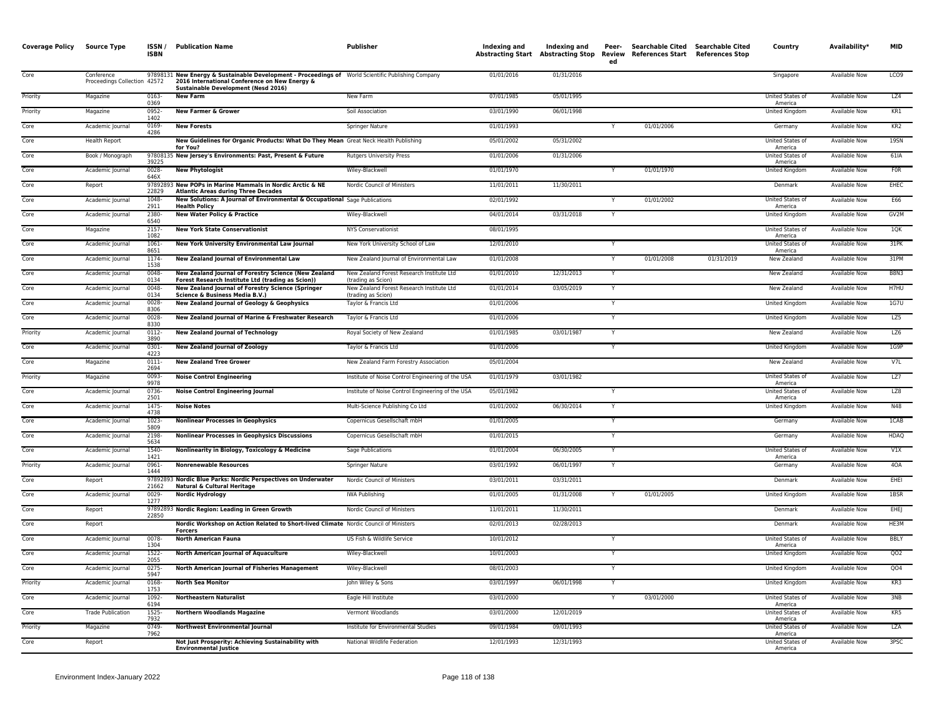| <b>Coverage Policy</b> | Source Type                                | ISSN /<br><b>ISBN</b> | <b>Publication Name</b>                                                                                                                                                                    | Publisher                                                       | Indexing and | Indexing and | Peer-<br>ed    | Abstracting Start Abstracting Stop Review References Start References Stop | Searchable Cited Searchable Cited | Country                     | Availability*        | <b>MID</b>      |
|------------------------|--------------------------------------------|-----------------------|--------------------------------------------------------------------------------------------------------------------------------------------------------------------------------------------|-----------------------------------------------------------------|--------------|--------------|----------------|----------------------------------------------------------------------------|-----------------------------------|-----------------------------|----------------------|-----------------|
| Core                   | Conference<br>Proceedings Collection 42572 |                       | 97898131 New Energy & Sustainable Development - Proceedings of World Scientific Publishing Company<br>2016 International Conference on New Energy &<br>Sustainable Development (Nesd 2016) |                                                                 | 01/01/2016   | 01/31/2016   |                |                                                                            |                                   | Singapore                   | Available Now        | LCO9            |
| Priority               | Magazine                                   | 0163-<br>0369         | <b>New Farm</b>                                                                                                                                                                            | New Farm                                                        | 07/01/1985   | 05/01/1995   |                |                                                                            |                                   | United States of<br>America | <b>Available Now</b> | LZ4             |
| Priority               | Magazine                                   | 0952-<br>1402         | <b>New Farmer &amp; Grower</b>                                                                                                                                                             | Soil Association                                                | 03/01/1990   | 06/01/1998   |                |                                                                            |                                   | <b>United Kingdom</b>       | <b>Available Now</b> | KR1             |
| Core                   | Academic Journal                           | 0169-<br>4286         | <b>New Forests</b>                                                                                                                                                                         | <b>Springer Nature</b>                                          | 01/01/1993   |              |                | 01/01/2006                                                                 |                                   | Germany                     | <b>Available Now</b> | KR <sub>2</sub> |
| Core                   | <b>Health Report</b>                       |                       | New Guidelines for Organic Products: What Do They Mean Great Neck Health Publishing<br>for You?                                                                                            |                                                                 | 05/01/2002   | 05/31/2002   |                |                                                                            |                                   | United States of<br>America | Available Now        | 195N            |
| Core                   | Book / Monograph                           | 39225                 | 97808135 New Jersey's Environments: Past, Present & Future                                                                                                                                 | <b>Rutgers University Press</b>                                 | 01/01/2006   | 01/31/2006   |                |                                                                            |                                   | United States of<br>America | Available Now        | 61IA            |
| Core                   | Academic Journal                           | 0028-<br>646X         | <b>New Phytologist</b>                                                                                                                                                                     | Wiley-Blackwell                                                 | 01/01/1970   |              |                | 01/01/1970                                                                 |                                   | United Kingdom              | Available Now        | <b>FOR</b>      |
| Core                   | Report                                     | 22829                 | 97892893 New POPs in Marine Mammals in Nordic Arctic & NE<br><b>Atlantic Areas during Three Decades</b>                                                                                    | Nordic Council of Ministers                                     | 11/01/2011   | 11/30/2011   |                |                                                                            |                                   | Denmark                     | <b>Available Now</b> | <b>EHEC</b>     |
| Core                   | Academic Journal                           | 1048-<br>2911         | New Solutions: A Journal of Environmental & Occupational Sage Publications<br><b>Health Policy</b>                                                                                         |                                                                 | 02/01/1992   |              |                | 01/01/2002                                                                 |                                   | United States of<br>America | <b>Available Now</b> | E66             |
| Core                   | Academic Journal                           | 2380-<br>6540         | <b>New Water Policy &amp; Practice</b>                                                                                                                                                     | Wiley-Blackwell                                                 | 04/01/2014   | 03/31/2018   |                |                                                                            |                                   | United Kingdom              | Available Now        | GV2M            |
| Core                   | Magazine                                   | 2157-<br>1082         | <b>New York State Conservationist</b>                                                                                                                                                      | <b>NYS Conservationist</b>                                      | 08/01/1995   |              |                |                                                                            |                                   | United States of<br>America | Available Now        | 10K             |
| Core                   | Academic Journal                           | 1061<br>8651          | New York University Environmental Law Journal                                                                                                                                              | New York University School of Law                               | 12/01/2010   |              |                |                                                                            |                                   | United States of<br>America | <b>Available Now</b> | 31PK            |
| Core                   | Academic Journal                           | 1174-<br>1538         | <b>New Zealand Journal of Environmental Law</b>                                                                                                                                            | New Zealand Journal of Environmental Law                        | 01/01/2008   |              | Y              | 01/01/2008                                                                 | 01/31/2019                        | New Zealand                 | <b>Available Now</b> | 31PM            |
| Core                   | Academic Journal                           | $0048 -$<br>0134      | New Zealand Journal of Forestry Science (New Zealand<br>Forest Research Institute Ltd (trading as Scion))                                                                                  | New Zealand Forest Research Institute Ltd<br>(trading as Scion) | 01/01/2010   | 12/31/2013   | Y              |                                                                            |                                   | New Zealand                 | <b>Available Now</b> | <b>B8N3</b>     |
| Core                   | Academic Journal                           | 0048-<br>0134         | New Zealand Journal of Forestry Science (Springer<br>Science & Business Media B.V.)                                                                                                        | New Zealand Forest Research Institute Ltd<br>(trading as Scion) | 01/01/2014   | 03/05/2019   | Y              |                                                                            |                                   | New Zealand                 | Available Now        | H7HU            |
| Core                   | Academic Journal                           | $0028 -$<br>8306      | New Zealand Journal of Geology & Geophysics                                                                                                                                                | Taylor & Francis Ltd                                            | 01/01/2006   |              |                |                                                                            |                                   | United Kingdom              | Available Now        | 1G7U            |
| Core                   | Academic Journal                           | 0028<br>8330          | New Zealand Journal of Marine & Freshwater Research                                                                                                                                        | Taylor & Francis Ltd                                            | 01/01/2006   |              |                |                                                                            |                                   | United Kingdom              | Available Now        | LZ5             |
| Priority               | Academic Journal                           | $0112 -$<br>3890      | <b>New Zealand Journal of Technology</b>                                                                                                                                                   | Royal Society of New Zealand                                    | 01/01/1985   | 03/01/1987   | Y              |                                                                            |                                   | New Zealand                 | <b>Available Now</b> | LZ6             |
| Core                   | Academic Journal                           | 0301<br>4223          | <b>New Zealand Journal of Zoology</b>                                                                                                                                                      | Taylor & Francis Ltd                                            | 01/01/2006   |              |                |                                                                            |                                   | United Kingdom              | <b>Available Now</b> | 1G9P            |
| Core                   | Magazine                                   | 0111-<br>2694         | <b>New Zealand Tree Grower</b>                                                                                                                                                             | New Zealand Farm Forestry Association                           | 05/01/2004   |              |                |                                                                            |                                   | New Zealand                 | Available Now        | V <sub>7L</sub> |
| Priority               | Magazine                                   | 0093<br>9978          | <b>Noise Control Engineering</b>                                                                                                                                                           | Institute of Noise Control Engineering of the USA               | 01/01/1979   | 03/01/1982   |                |                                                                            |                                   | United States of<br>America | Available Now        | LZ7             |
| Core                   | Academic Journal                           | 0736<br>2501          | <b>Noise Control Engineering Journal</b>                                                                                                                                                   | Institute of Noise Control Engineering of the USA               | 05/01/1982   |              | Y              |                                                                            |                                   | United States of<br>America | Available Now        | LZ8             |
| Core                   | Academic Journal                           | 1475-<br>4738         | <b>Noise Notes</b>                                                                                                                                                                         | Multi-Science Publishing Co Ltd                                 | 01/01/2002   | 06/30/2014   | $\overline{Y}$ |                                                                            |                                   | United Kingdom              | <b>Available Now</b> | N48             |
| Core                   | Academic Journal                           | 1023-<br>5809         | <b>Nonlinear Processes in Geophysics</b>                                                                                                                                                   | Copernicus Gesellschaft mbH                                     | 01/01/2005   |              |                |                                                                            |                                   | Germany                     | <b>Available Now</b> | 1CAB            |
| Core                   | Academic Journal                           | 2198-<br>5634         | <b>Nonlinear Processes in Geophysics Discussions</b>                                                                                                                                       | Copernicus Gesellschaft mbH                                     | 01/01/2015   |              | Y              |                                                                            |                                   | Germany                     | Available Now        | <b>HDAQ</b>     |
| Core                   | Academic Journal                           | 1540-<br>1421         | Nonlinearity in Biology, Toxicology & Medicine                                                                                                                                             | Sage Publications                                               | 01/01/2004   | 06/30/2005   |                |                                                                            |                                   | United States of<br>America | Available Now        | V1X             |
| Priority               | Academic Journal                           | 0961-<br>1444         | <b>Nonrenewable Resources</b>                                                                                                                                                              | Springer Nature                                                 | 03/01/1992   | 06/01/1997   | Y              |                                                                            |                                   | Germany                     | Available Now        | 40A             |
| Core                   | Report                                     | 21662                 | 97892893 Nordic Blue Parks: Nordic Perspectives on Underwater<br><b>Natural &amp; Cultural Heritage</b>                                                                                    | Nordic Council of Ministers                                     | 03/01/2011   | 03/31/2011   |                |                                                                            |                                   | Denmark                     | <b>Available Now</b> | EHEI            |
| Core                   | Academic Journal                           | 0029-<br>1277         | <b>Nordic Hydrology</b>                                                                                                                                                                    | <b>IWA Publishing</b>                                           | 01/01/2005   | 01/31/2008   |                | 01/01/2005                                                                 |                                   | United Kingdom              | <b>Available Now</b> | 1BSR            |
| Core                   | Report                                     | 22850                 | 97892893 Nordic Region: Leading in Green Growth                                                                                                                                            | Nordic Council of Ministers                                     | 11/01/2011   | 11/30/2011   |                |                                                                            |                                   | Denmark                     | Available Now        | EHEJ            |
| Core                   | Report                                     |                       | Nordic Workshop on Action Related to Short-lived Climate Nordic Council of Ministers<br><b>Forcers</b>                                                                                     |                                                                 | 02/01/2013   | 02/28/2013   |                |                                                                            |                                   | Denmark                     | Available Now        | HE3M            |
| Core                   | Academic Journal                           | 0078-<br>1304         | <b>North American Fauna</b>                                                                                                                                                                | US Fish & Wildlife Service                                      | 10/01/2012   |              |                |                                                                            |                                   | United States of<br>America | Available Now        | <b>BBLY</b>     |
| Core                   | Academic Journal                           | 1522-<br>2055         | North American Journal of Aquaculture                                                                                                                                                      | Wiley-Blackwell                                                 | 10/01/2003   |              | Y              |                                                                            |                                   | United Kingdom              | <b>Available Now</b> | QO2             |
| Core                   | Academic Journal                           | $0275 -$<br>5947      | North American Journal of Fisheries Management                                                                                                                                             | Wiley-Blackwell                                                 | 08/01/2003   |              |                |                                                                            |                                   | United Kingdom              | <b>Available Now</b> | QO4             |
| Priority               | Academic Journal                           | 0168-<br>1753         | <b>North Sea Monitor</b>                                                                                                                                                                   | John Wiley & Sons                                               | 03/01/1997   | 06/01/1998   | Y              |                                                                            |                                   | United Kingdom              | Available Now        | KR3             |
| Core                   | Academic Journal                           | 1092<br>6194          | <b>Northeastern Naturalist</b>                                                                                                                                                             | Eagle Hill Institute                                            | 03/01/2000   |              |                | 03/01/2000                                                                 |                                   | United States of<br>America | Available Now        | 3NB             |
| Core                   | <b>Trade Publication</b>                   | 1525<br>7932          | <b>Northern Woodlands Magazine</b>                                                                                                                                                         | Vermont Woodlands                                               | 03/01/2000   | 12/01/2019   |                |                                                                            |                                   | United States of<br>America | Available Now        | KR5             |
| Priority               | Magazine                                   | 0749-<br>7962         | <b>Northwest Environmental Journal</b>                                                                                                                                                     | Institute for Environmental Studies                             | 09/01/1984   | 09/01/1993   |                |                                                                            |                                   | United States of<br>America | <b>Available Now</b> | <b>LZA</b>      |
| Core                   | Report                                     |                       | Not Just Prosperity: Achieving Sustainability with<br><b>Environmental Justice</b>                                                                                                         | National Wildlife Federation                                    | 12/01/1993   | 12/31/1993   |                |                                                                            |                                   | United States of<br>America | <b>Available Now</b> | 3PSC            |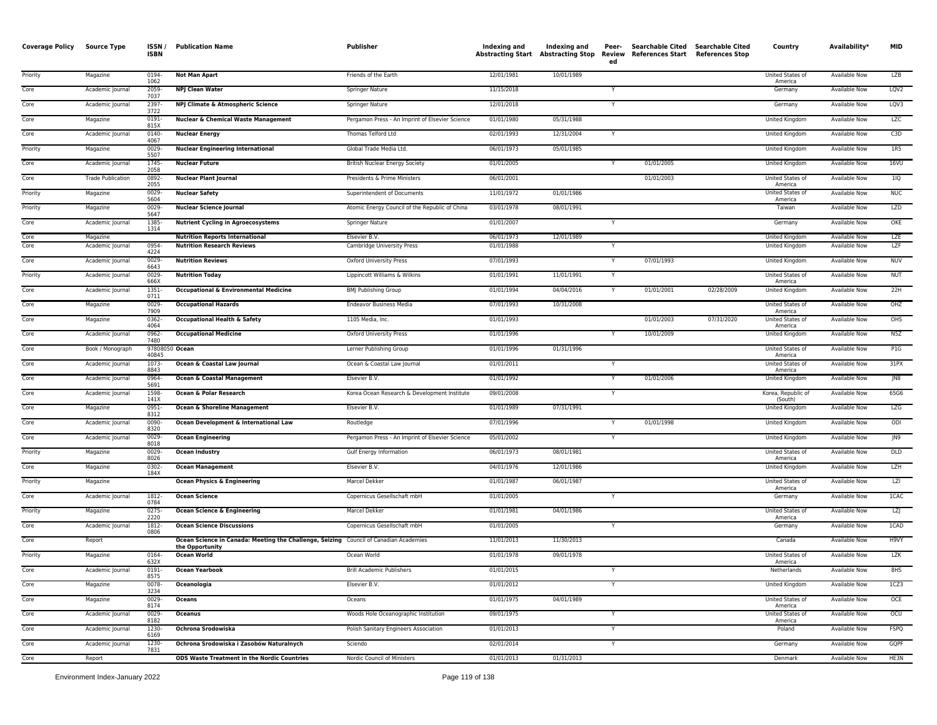| <b>Coverage Policy</b> | <b>Source Type</b>       | ISSN/<br>ISBN           | <b>Publication Name</b>                                                                                  | <b>Publisher</b>                                | Indexing and<br><b>Abstracting Start</b> | Indexing and<br><b>Abstracting Stop Review</b> | Peer-<br>ed | Searchable Cited Searchable Cited<br>References Start | <b>References Stop</b> | Country                            | Availability* | <b>MID</b>        |
|------------------------|--------------------------|-------------------------|----------------------------------------------------------------------------------------------------------|-------------------------------------------------|------------------------------------------|------------------------------------------------|-------------|-------------------------------------------------------|------------------------|------------------------------------|---------------|-------------------|
| Priority               | Magazine                 | 0194<br>1062            | <b>Not Man Apart</b>                                                                                     | Friends of the Earth                            | 12/01/1981                               | 10/01/1989                                     |             |                                                       |                        | United States of<br>America        | Available Now | <b>LZB</b>        |
| Core                   | Academic Journal         | 2059-<br>7037           | <b>NPJ Clean Water</b>                                                                                   | Springer Nature                                 | 11/15/2018                               |                                                |             |                                                       |                        | Germany                            | Available Now | LQV <sub>2</sub>  |
| Core                   | Academic Journal         | 2397<br>3722            | NPJ Climate & Atmospheric Science                                                                        | Springer Nature                                 | 12/01/2018                               |                                                |             |                                                       |                        | Germany                            | Available Now | LQV3              |
| Core                   | Magazine                 | 0191-<br>815X           | <b>Nuclear &amp; Chemical Waste Management</b>                                                           | Pergamon Press - An Imprint of Elsevier Science | 01/01/1980                               | 05/31/1988                                     |             |                                                       |                        | United Kingdom                     | Available Now | LZC               |
| Core                   | Academic Journal         | 0140-<br>4067           | <b>Nuclear Energy</b>                                                                                    | Thomas Telford Ltd                              | 02/01/1993                               | 12/31/2004                                     | Y           |                                                       |                        | United Kingdom                     | Available Now | C <sub>3</sub> D  |
| Priority               | Magazine                 | 0029<br>5507            | <b>Nuclear Engineering International</b>                                                                 | Global Trade Media Ltd.                         | 06/01/1973                               | 05/01/1985                                     |             |                                                       |                        | United Kingdom                     | Available Now | 1R5               |
| Core                   | Academic Journal         | 1745-<br>2058           | <b>Nuclear Future</b>                                                                                    | <b>British Nuclear Energy Society</b>           | 01/01/2005                               |                                                |             | 01/01/2005                                            |                        | United Kingdom                     | Available Now | 16VU              |
| Core                   | <b>Trade Publication</b> | 0892<br>2055            | <b>Nuclear Plant Journal</b>                                                                             | Presidents & Prime Ministers                    | 06/01/2001                               |                                                |             | 01/01/2003                                            |                        | United States of<br>America        | Available Now | 11Q               |
| Priority               | Magazine                 | 0029<br>5604            | <b>Nuclear Safety</b>                                                                                    | Superintendent of Documents                     | 11/01/1972                               | 01/01/1986                                     |             |                                                       |                        | <b>United States of</b><br>America | Available Now | <b>NUC</b>        |
| Priority               | Magazine                 | 0029<br>5647            | <b>Nuclear Science Journal</b>                                                                           | Atomic Energy Council of the Republic of China  | 03/01/1978                               | 08/01/1991                                     |             |                                                       |                        | Taiwan                             | Available Now | <b>LZD</b>        |
| Core                   | Academic Journal         | 1385-<br>1314           | <b>Nutrient Cycling in Agroecosystems</b>                                                                | Springer Nature                                 | 01/01/2007                               |                                                | Y           |                                                       |                        | Germany                            | Available Now | OKE               |
| Core                   | Magazine                 |                         | <b>Nutrition Reports International</b>                                                                   | Elsevier B.V                                    | 06/01/1973                               | 12/01/1989                                     |             |                                                       |                        | United Kingdom                     | Available Now | LZE               |
| Core                   | Academic Journal         | 0954<br>4224            | <b>Nutrition Research Reviews</b>                                                                        | Cambridge University Press                      | 01/01/1988                               |                                                |             |                                                       |                        | United Kingdom                     | Available Now | LZF               |
| Core                   | Academic Journal         | 0029-<br>6643           | <b>Nutrition Reviews</b>                                                                                 | <b>Oxford University Press</b>                  | 07/01/1993                               |                                                | Y           | 07/01/1993                                            |                        | United Kingdom                     | Available Now | <b>NUV</b>        |
| Priority               | Academic Journal         | 0029-<br>666X           | <b>Nutrition Today</b>                                                                                   | Lippincott Williams & Wilkins                   | 01/01/1991                               | 11/01/1991                                     |             |                                                       |                        | United States of<br>America        | Available Now | <b>NUT</b>        |
| Core                   | Academic Journal         | 1351<br>0711            | <b>Occupational &amp; Environmental Medicine</b>                                                         | <b>BMJ Publishing Group</b>                     | 01/01/1994                               | 04/04/2016                                     | Y           | 01/01/2001                                            | 02/28/2009             | United Kingdom                     | Available Now | 22H               |
| Core                   | Magazine                 | 0029<br>7909            | <b>Occupational Hazards</b>                                                                              | Endeavor Business Media                         | 07/01/1993                               | 10/31/2008                                     |             |                                                       |                        | United States of<br>America        | Available Now | OHZ               |
| Core                   | Magazine                 | 0362-<br>4064           | <b>Occupational Health &amp; Safety</b>                                                                  | 1105 Media, Inc.                                | 01/01/1993                               |                                                |             | 01/01/2003                                            | 07/31/2020             | United States of<br>America        | Available Now | OHS               |
| Core                   | Academic Journal         | 0962-<br>7480           | <b>Occupational Medicine</b>                                                                             | Oxford University Press                         | 01/01/1996                               |                                                |             | 10/01/2009                                            |                        | United Kingdom                     | Available Now | N5Z               |
| Core                   | Book / Monograph         | 97808050 Ocean<br>40845 |                                                                                                          | Lerner Publishing Group                         | 01/01/1996                               | 01/31/1996                                     |             |                                                       |                        | United States of<br>America        | Available Now | PIG               |
| Core                   | Academic Journal         | 1073-<br>8843           | Ocean & Coastal Law Journal                                                                              | Ocean & Coastal Law Journal                     | 01/01/2011                               |                                                |             |                                                       |                        | United States of<br>America        | Available Now | 31PX              |
| Core                   | Academic Journal         | 0964<br>5691            | Ocean & Coastal Management                                                                               | Elsevier B.V.                                   | 01/01/1992                               |                                                | Y           | 01/01/2006                                            |                        | <b>United Kingdom</b>              | Available Now | JN8               |
| Core                   | Academic Journal         | 1598<br>141X            | Ocean & Polar Research                                                                                   | Korea Ocean Research & Development Institute    | 09/01/2008                               |                                                | Y           |                                                       |                        | Korea, Republic of<br>(South)      | Available Now | 65G6              |
| Core                   | Magazine                 | 0951<br>8312            | Ocean & Shoreline Management                                                                             | Elsevier B.V.                                   | 01/01/1989                               | 07/31/1991                                     |             |                                                       |                        | United Kingdom                     | Available Now | LZG               |
| Core                   | Academic Journal         | 0090-<br>8320           | Ocean Development & International Law                                                                    | Routledge                                       | 07/01/1996                               |                                                | Y           | 01/01/1998                                            |                        | United Kingdom                     | Available Now | ODI               |
| Core                   | Academic Journal         | 0029-<br>8018           | <b>Ocean Engineering</b>                                                                                 | Pergamon Press - An Imprint of Elsevier Science | 05/01/2002                               |                                                | Y           |                                                       |                        | United Kingdom                     | Available Now | J <sub>N9</sub>   |
| Priority               | Magazine                 | 0029<br>8026            | <b>Ocean Industry</b>                                                                                    | Gulf Energy Information                         | 06/01/1973                               | 08/01/1981                                     |             |                                                       |                        | United States of<br>America        | Available Now | DLD               |
| Core                   | Magazine                 | 0302-<br>184X           | <b>Ocean Management</b>                                                                                  | Elsevier B.V.                                   | 04/01/1976                               | 12/01/1986                                     |             |                                                       |                        | United Kingdom                     | Available Now | <b>LZH</b>        |
| Priority               | Magazine                 |                         | <b>Ocean Physics &amp; Engineering</b>                                                                   | Marcel Dekker                                   | 01/01/1987                               | 06/01/1987                                     |             |                                                       |                        | United States of<br>America        | Available Now | LZI               |
| Core                   | Academic Journal         | 1812-<br>0784           | <b>Ocean Science</b>                                                                                     | Copernicus Gesellschaft mbH                     | 01/01/2005                               |                                                | Y           |                                                       |                        | Germany                            | Available Now | <b>ICAC</b>       |
| Priority               | Magazine                 | 0275<br>2220            | Ocean Science & Engineering                                                                              | Marcel Dekker                                   | 01/01/1981                               | 04/01/1986                                     |             |                                                       |                        | United States of<br>America        | Available Now | LZ                |
| Core                   | Academic Journal         | 1812-<br>0806           | <b>Ocean Science Discussions</b>                                                                         | Copernicus Gesellschaft mbH                     | 01/01/2005                               |                                                |             |                                                       |                        | Germany                            | Available Now | 1CAD              |
| Core                   | Report                   |                         | Ocean Science in Canada: Meeting the Challenge, Seizing Council of Canadian Academies<br>the Opportunity |                                                 | 11/01/2013                               | 11/30/2013                                     |             |                                                       |                        | Canada                             | Available Now | H <sub>9</sub> VY |
| Priority               | Magazine                 | 0164<br>632X            | <b>Ocean World</b>                                                                                       | Ocean World                                     | 01/01/1978                               | 09/01/1978                                     |             |                                                       |                        | United States of<br>America        | Available Now | <b>LZK</b>        |
| Core                   | Academic Journal         | 0191-<br>8575           | <b>Ocean Yearbook</b>                                                                                    | <b>Brill Academic Publishers</b>                | 01/01/2015                               |                                                |             |                                                       |                        | Netherlands                        | Available Now | 8HS               |
| Core                   | Magazine                 | 0078-<br>3234           | Oceanologia                                                                                              | Elsevier B.V.                                   | 01/01/2012                               |                                                | Y           |                                                       |                        | United Kingdom                     | Available Now | 1CZ3              |
| Core                   | Magazine                 | 0029<br>8174            | <b>Oceans</b>                                                                                            | Oceans                                          | 01/01/1975                               | 04/01/1989                                     |             |                                                       |                        | United States of<br>America        | Available Now | OCE               |
| Core                   | Academic Journal         | 0029                    | <b>Oceanus</b>                                                                                           | Woods Hole Oceanographic Institution            | 09/01/1975                               |                                                | Y           |                                                       |                        | United States of                   | Available Now | OCU               |
| Core                   | Academic Journal         | 8182<br>1230-           | Ochrona Srodowiska                                                                                       | Polish Sanitary Engineers Association           | 01/01/2013                               |                                                | Y           |                                                       |                        | America<br>Poland                  | Available Now | <b>FSPQ</b>       |
| Core                   | Academic Journal         | 6169<br>1230-<br>7831   | Ochrona Srodowiska i Zasobów Naturalnych                                                                 | Sciendo                                         | 02/01/2014                               |                                                | Y           |                                                       |                        | Germany                            | Available Now | GQPF              |
| Core                   | Report                   |                         | <b>ODS Waste Treatment in the Nordic Countries</b>                                                       | Nordic Council of Ministers                     | 01/01/2013                               | 01/31/2013                                     |             |                                                       |                        | Denmark                            | Available Now | HE3N              |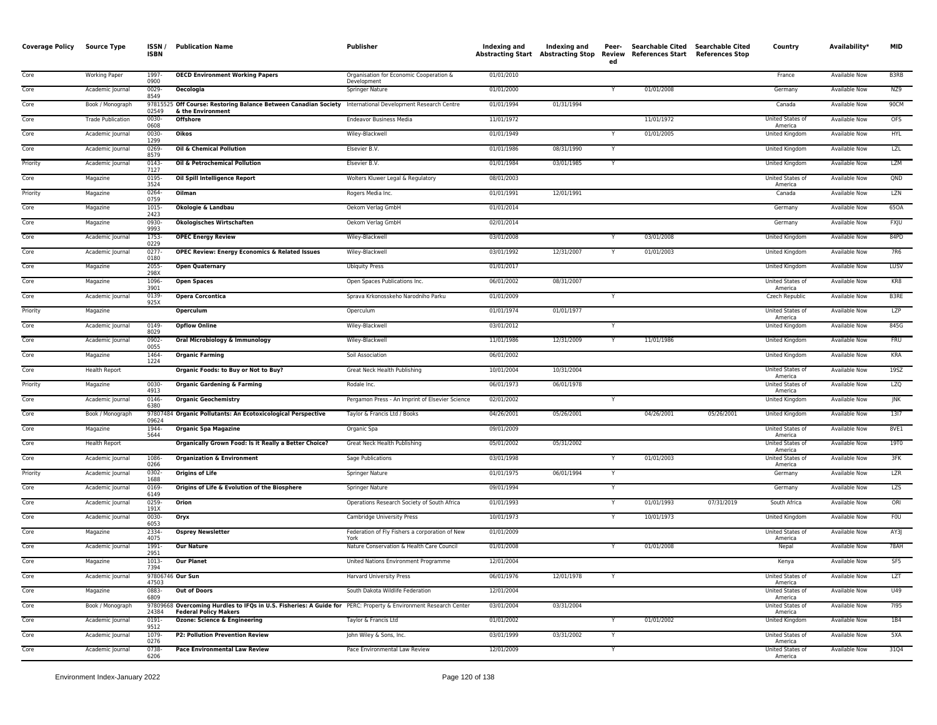| <b>Coverage Policy</b> | <b>Source Type</b>       | ISSN/<br><b>ISBN</b> | <b>Publication Name</b>                                                                                                                         | <b>Publisher</b>                                       | Indexing and | Indexing and<br>Abstracting Start Abstracting Stop Review | Peer-<br>ed | Searchable Cited Searchable Cited<br><b>References Start</b> | <b>References Stop</b> | Country                     | Availability*        | <b>MID</b>      |
|------------------------|--------------------------|----------------------|-------------------------------------------------------------------------------------------------------------------------------------------------|--------------------------------------------------------|--------------|-----------------------------------------------------------|-------------|--------------------------------------------------------------|------------------------|-----------------------------|----------------------|-----------------|
| Core                   | Working Paper            | 1997<br>0900         | <b>OECD Environment Working Papers</b>                                                                                                          | Organisation for Economic Cooperation &<br>Development | 01/01/2010   |                                                           |             |                                                              |                        | France                      | <b>Available Now</b> | <b>B3RB</b>     |
| Core                   | Academic Journal         | 0029-<br>8549        | Oecologia                                                                                                                                       | Springer Nature                                        | 01/01/2000   |                                                           |             | 01/01/2008                                                   |                        | Germany                     | Available Now        | NZ9             |
| Core                   | Book / Monograph         | 978155<br>02549      | 25 Off Course: Restoring Balance Between Canadian Society International Development Research Centre<br>& the Environment                        |                                                        | 01/01/1994   | 01/31/1994                                                |             |                                                              |                        | Canada                      | Available Now        | 90CM            |
| Core                   | <b>Trade Publication</b> | 0030<br>0608         | <b>Offshore</b>                                                                                                                                 | <b>Endeavor Business Media</b>                         | 11/01/1972   |                                                           |             | 11/01/1972                                                   |                        | United States of<br>America | Available Now        | <b>OFS</b>      |
| Core                   | Academic Journal         | 0030<br>1299         | Oikos                                                                                                                                           | Wiley-Blackwell                                        | 01/01/1949   |                                                           | Y           | 01/01/2005                                                   |                        | United Kingdom              | Available Now        | <b>HYL</b>      |
| Core                   | Academic Journal         | 0269<br>8579         | Oil & Chemical Pollution                                                                                                                        | Elsevier B.V.                                          | 01/01/1986   | 08/31/1990                                                | Y           |                                                              |                        | United Kingdom              | Available Now        | LZL             |
| Priority               | Academic Journal         | 0143<br>7127         | Oil & Petrochemical Pollution                                                                                                                   | Elsevier B.V.                                          | 01/01/1984   | 03/01/1985                                                | Y           |                                                              |                        | <b>United Kingdom</b>       | <b>Available Now</b> | <b>LZM</b>      |
| Core                   | Magazine                 | 0195<br>3524         | Oil Spill Intelligence Report                                                                                                                   | Wolters Kluwer Legal & Regulatory                      | 08/01/2003   |                                                           |             |                                                              |                        | United States of<br>America | Available Now        | QND             |
| Priority               | Magazine                 | 0264<br>0759         | Oilman                                                                                                                                          | Rogers Media Inc.                                      | 01/01/1991   | 12/01/1991                                                |             |                                                              |                        | Canada                      | Available Now        | LZN             |
| Core                   | Magazine                 | 1015<br>2423         | Ökologie & Landbau                                                                                                                              | Oekom Verlag GmbH                                      | 01/01/2014   |                                                           |             |                                                              |                        | Germany                     | Available Now        | 65OA            |
| Core                   | Magazine                 | 0930-<br>9993        | Ökologisches Wirtschaften                                                                                                                       | Oekom Verlag GmbH                                      | 02/01/2014   |                                                           |             |                                                              |                        | Germany                     | Available Now        | FXJU            |
| Core                   | Academic Journal         | 1753<br>0229         | <b>OPEC Energy Review</b>                                                                                                                       | Wiley-Blackwell                                        | 03/01/2008   |                                                           |             | 03/01/2008                                                   |                        | United Kingdom              | Available Now        | 84PD            |
| Core                   | Academic Journal         | 0277<br>0180         | <b>OPEC Review: Energy Economics &amp; Related Issues</b>                                                                                       | Wiley-Blackwell                                        | 03/01/1992   | 12/31/2007                                                |             | 01/01/2003                                                   |                        | United Kingdom              | Available Now        | 7R6             |
| Core                   | Magazine                 | 2055<br>298X         | <b>Open Quaternary</b>                                                                                                                          | <b>Ubiquity Press</b>                                  | 01/01/2017   |                                                           |             |                                                              |                        | United Kingdom              | Available Now        | LUSV            |
| Core                   | Magazine                 | 1096<br>3901         | <b>Open Spaces</b>                                                                                                                              | Open Spaces Publications Inc.                          | 06/01/2002   | 08/31/2007                                                |             |                                                              |                        | United States of<br>America | Available Now        | KR8             |
| Core                   | Academic Journal         | 0139<br>925X         | <b>Opera Corcontica</b>                                                                                                                         | Sprava Krkonosskeho Narodniho Parku                    | 01/01/2009   |                                                           |             |                                                              |                        | Czech Republic              | Available Now        | <b>B3RE</b>     |
| Priority               | Magazine                 |                      | Operculum                                                                                                                                       | Operculum                                              | 01/01/1974   | 01/01/1977                                                |             |                                                              |                        | United States of<br>America | Available Now        | <b>LZP</b>      |
| Core                   | Academic Journal         | 0149-<br>8029        | <b>Opflow Online</b>                                                                                                                            | Wiley-Blackwell                                        | 03/01/2012   |                                                           | Y           |                                                              |                        | United Kingdom              | Available Now        | 845G            |
| Core                   | Academic Journal         | 0902-<br>0055        | Oral Microbiology & Immunology                                                                                                                  | Wiley-Blackwell                                        | 11/01/1986   | 12/31/2009                                                |             | 11/01/1986                                                   |                        | United Kingdom              | Available Now        | <b>FRU</b>      |
| Core                   | Magazine                 | 1464-<br>1224        | <b>Organic Farming</b>                                                                                                                          | Soil Association                                       | 06/01/2002   |                                                           |             |                                                              |                        | United Kingdom              | Available Now        | KRA             |
| Core                   | <b>Health Report</b>     |                      | Organic Foods: to Buy or Not to Buy?                                                                                                            | Great Neck Health Publishing                           | 10/01/2004   | 10/31/2004                                                |             |                                                              |                        | United States of<br>America | Available Now        | 19SZ            |
| Priority               | Magazine                 | 0030-<br>4913        | <b>Organic Gardening &amp; Farming</b>                                                                                                          | Rodale Inc.                                            | 06/01/1973   | 06/01/1978                                                |             |                                                              |                        | United States of<br>America | Available Now        | LZQ             |
| Core                   | Academic Journal         | 0146-<br>6380        | <b>Organic Geochemistry</b>                                                                                                                     | Pergamon Press - An Imprint of Elsevier Science        | 02/01/2002   |                                                           |             |                                                              |                        | United Kingdom              | Available Now        | <b>JNK</b>      |
| Core                   | Book / Monograph         | 09624                | 97807484 Organic Pollutants: An Ecotoxicological Perspective                                                                                    | Taylor & Francis Ltd / Books                           | 04/26/2001   | 05/26/2001                                                |             | 04/26/2001                                                   | 05/26/2001             | United Kingdom              | Available Now        | 1317            |
| Core                   | Magazine                 | 1944-<br>5644        | <b>Organic Spa Magazine</b>                                                                                                                     | Organic Spa                                            | 09/01/2009   |                                                           |             |                                                              |                        | United States of<br>America | <b>Available Now</b> | 8VE1            |
| Core                   | <b>Health Report</b>     |                      | Organically Grown Food: Is it Really a Better Choice?                                                                                           | Great Neck Health Publishing                           | 05/01/2002   | 05/31/2002                                                |             |                                                              |                        | United States of<br>America | Available Now        | 19T0            |
| Core                   | Academic Journal         | 1086-<br>0266        | <b>Organization &amp; Environment</b>                                                                                                           | Sage Publications                                      | 03/01/1998   |                                                           |             | 01/01/2003                                                   |                        | United States of<br>America | Available Now        | 3FK             |
| Priority               | Academic Journal         | 0302-<br>1688        | <b>Origins of Life</b>                                                                                                                          | Springer Nature                                        | 01/01/1975   | 06/01/1994                                                |             |                                                              |                        | Germany                     | Available Now        | LZR             |
| Core                   | Academic Journal         | 0169-<br>6149        | Origins of Life & Evolution of the Biosphere                                                                                                    | Springer Nature                                        | 09/01/1994   |                                                           |             |                                                              |                        | Germany                     | Available Now        | LZS             |
| Core                   | Academic Journal         | 0259<br>191X         | Orion                                                                                                                                           | Operations Research Society of South Africa            | 01/01/1993   |                                                           |             | 01/01/1993                                                   | 07/31/2019             | South Africa                | Available Now        | ORI             |
| Core                   | Academic Journal         | 0030<br>6053         | Oryx                                                                                                                                            | Cambridge University Press                             | 10/01/1973   |                                                           | Y           | 10/01/1973                                                   |                        | United Kingdom              | Available Now        | <b>FOU</b>      |
| Core                   | Magazine                 | 2334<br>4075         | <b>Osprey Newsletter</b>                                                                                                                        | Federation of Fly Fishers a corporation of New<br>York | 01/01/2009   |                                                           |             |                                                              |                        | United States of<br>America | Available Now        | AY3J            |
| Core                   | Academic Journal         | 1991-<br>2951        | <b>Our Nature</b>                                                                                                                               | Nature Conservation & Health Care Council              | 01/01/2008   |                                                           |             | 01/01/2008                                                   |                        | Nepal                       | Available Now        | 78AH            |
| Core                   | Magazine                 | 1013-<br>7394        | <b>Our Planet</b>                                                                                                                               | United Nations Environment Programme                   | 12/01/2004   |                                                           |             |                                                              |                        | Kenya                       | Available Now        | SF <sub>5</sub> |
| Core                   | Academic Journal         | 47503                | 97806746 Our Sun                                                                                                                                | Harvard University Press                               | 06/01/1976   | 12/01/1978                                                |             |                                                              |                        | United States of<br>America | Available Now        | LZT             |
| Core                   | Magazine                 | 0883-<br>6809        | Out of Doors                                                                                                                                    | South Dakota Wildlife Federation                       | 12/01/2004   |                                                           |             |                                                              |                        | United States of<br>America | Available Now        | U49             |
| Core                   | Book / Monograph         | 24384                | 97809668 Overcoming Hurdles to IFQs in U.S. Fisheries: A Guide for PERC: Property & Environment Research Center<br><b>Federal Policy Makers</b> |                                                        | 03/01/2004   | 03/31/2004                                                |             |                                                              |                        | United States of<br>America | <b>Available Now</b> | 7195            |
| Core                   | Academic Journal         | 0191-<br>9512        | <b>Ozone: Science &amp; Engineering</b>                                                                                                         | Taylor & Francis Ltd                                   | 01/01/2002   |                                                           | Y           | 01/01/2002                                                   |                        | United Kingdom              | Available Now        | <b>1B4</b>      |
| Core                   | Academic Journal         | 1079-<br>0276        | <b>P2: Pollution Prevention Review</b>                                                                                                          | John Wiley & Sons, Inc.                                | 03/01/1999   | 03/31/2002                                                | Y           |                                                              |                        | United States of<br>America | Available Now        | 5XA             |
| Core                   | Academic Journal         | 0738-<br>6206        | <b>Pace Environmental Law Review</b>                                                                                                            | Pace Environmental Law Review                          | 12/01/2009   |                                                           | Y           |                                                              |                        | United States of<br>America | Available Now        | 31Q4            |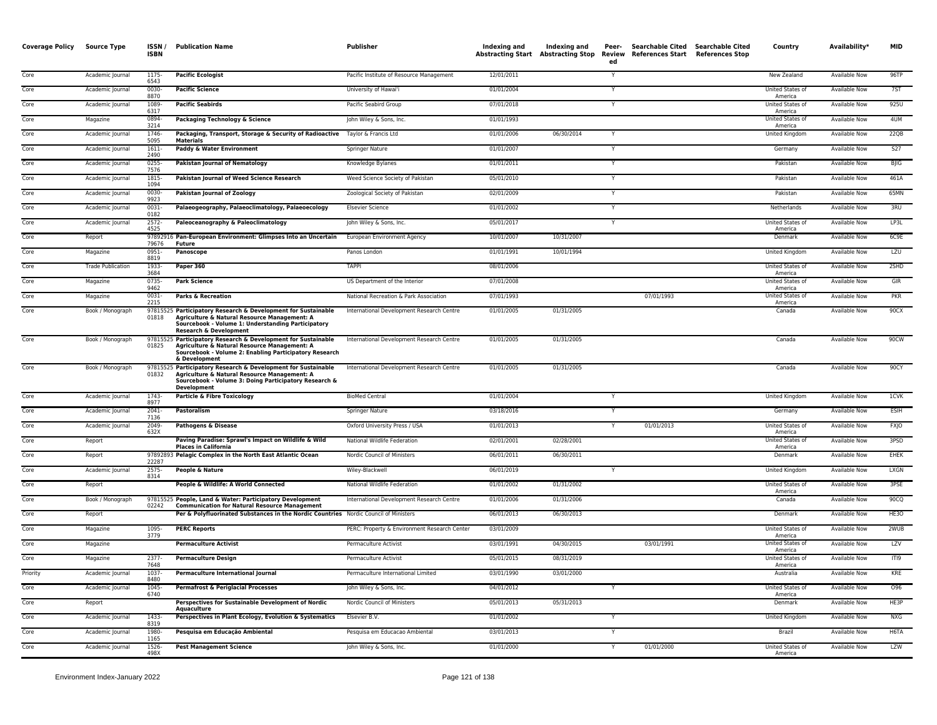| <b>Coverage Policy</b> | Source Type              | ISSN/<br><b>ISBN</b> | <b>Publication Name</b>                                                                                                                                                                                  | Publisher                                    | Indexing and | Indexing and<br><b>Abstracting Start Abstracting Stop</b> | Peer-<br>Review<br>ed | Searchable Cited Searchable Cited<br>References Start References Stop | Country                            | Availability*        | <b>MID</b>  |
|------------------------|--------------------------|----------------------|----------------------------------------------------------------------------------------------------------------------------------------------------------------------------------------------------------|----------------------------------------------|--------------|-----------------------------------------------------------|-----------------------|-----------------------------------------------------------------------|------------------------------------|----------------------|-------------|
| Core                   | Academic Journal         | 1175<br>6543         | <b>Pacific Ecologist</b>                                                                                                                                                                                 | Pacific Institute of Resource Management     | 12/01/2011   |                                                           |                       |                                                                       | New Zealand                        | <b>Available Now</b> | 96TP        |
| Core                   | Academic Journal         | 0030-<br>8870        | <b>Pacific Science</b>                                                                                                                                                                                   | University of Hawai'i                        | 01/01/2004   |                                                           |                       |                                                                       | United States of<br>America        | <b>Available Now</b> | 7ST         |
| Core                   | Academic Journal         | 1089<br>6317         | <b>Pacific Seabirds</b>                                                                                                                                                                                  | Pacific Seabird Group                        | 07/01/2018   |                                                           | Y                     |                                                                       | United States of<br>America        | <b>Available Now</b> | 925U        |
| Core                   | Magazine                 | 0894<br>3214         | Packaging Technology & Science                                                                                                                                                                           | John Wiley & Sons, Inc.                      | 01/01/1993   |                                                           |                       |                                                                       | <b>United States of</b><br>America | Available Now        | 4UM         |
| Core                   | Academic Journal         | 1746<br>5095         | Packaging, Transport, Storage & Security of Radioactive Taylor & Francis Ltd<br><b>Materials</b>                                                                                                         |                                              | 01/01/2006   | 06/30/2014                                                | Y                     |                                                                       | United Kingdom                     | Available Now        | 22QB        |
| Core                   | Academic Journal         | $1611 -$<br>2490     | Paddy & Water Environment                                                                                                                                                                                | Springer Nature                              | 01/01/2007   |                                                           | Y                     |                                                                       | Germany                            | Available Now        | S27         |
| Core                   | Academic Journal         | 0255<br>7576         | <b>Pakistan Journal of Nematology</b>                                                                                                                                                                    | Knowledge Bylanes                            | 01/01/2011   |                                                           | Y                     |                                                                       | Pakistar                           | Available Now        | BJIG        |
| Core                   | Academic Journal         | 1815-<br>1094        | Pakistan Journal of Weed Science Research                                                                                                                                                                | Weed Science Society of Pakistan             | 05/01/2010   |                                                           | $\mathsf{Y}$          |                                                                       | Pakistan                           | <b>Available Now</b> | 461A        |
| Core                   | Academic Journal         | 0030<br>9923         | <b>Pakistan Journal of Zoology</b>                                                                                                                                                                       | Zoological Society of Pakistan               | 02/01/2009   |                                                           |                       |                                                                       | Pakistan                           | Available Now        | 65MN        |
| Core                   | Academic Journal         | 0031-<br>0182        | Palaeogeography, Palaeoclimatology, Palaeoecology                                                                                                                                                        | <b>Elsevier Science</b>                      | 01/01/2002   |                                                           | Y                     |                                                                       | Netherlands                        | <b>Available Now</b> | 3RU         |
| Core                   | Academic Journal         | $2572-$<br>4525      | Paleoceanography & Paleoclimatology                                                                                                                                                                      | John Wiley & Sons, Inc.                      | 05/01/2017   |                                                           | Y                     |                                                                       | United States of<br>America        | <b>Available Now</b> | LP3L        |
| Core                   | Report                   | 79676                | 97892916 Pan-European Environment: Glimpses Into an Uncertain<br><b>Future</b>                                                                                                                           | European Environment Agency                  | 10/01/2007   | 10/31/2007                                                |                       |                                                                       | Denmark                            | <b>Available Now</b> | 6C9E        |
| Core                   | Magazine                 | 0951-<br>8819        | Panoscope                                                                                                                                                                                                | Panos London                                 | 01/01/1991   | 10/01/1994                                                |                       |                                                                       | United Kingdom                     | <b>Available Now</b> | LZU         |
| Core                   | <b>Trade Publication</b> | 1933-<br>3684        | Paper 360                                                                                                                                                                                                | <b>TAPPI</b>                                 | 08/01/2006   |                                                           |                       |                                                                       | United States of<br>America        | Available Now        | 2SHD        |
| Core                   | Magazine                 | 0735<br>9462         | <b>Park Science</b>                                                                                                                                                                                      | US Department of the Interior                | 07/01/2008   |                                                           |                       |                                                                       | United States of<br>America        | Available Now        | GIR         |
| Core                   | Magazine                 | 0031-<br>2215        | <b>Parks &amp; Recreation</b>                                                                                                                                                                            | National Recreation & Park Association       | 07/01/1993   |                                                           |                       | 07/01/1993                                                            | United States of<br>America        | Available Now        | PKR         |
| Core                   | Book / Monograph         | 01818                | 97815525 Participatory Research & Development for Sustainable<br>Agriculture & Natural Resource Management: A<br>Sourcebook - Volume 1: Understanding Participatory<br><b>Research &amp; Development</b> | International Development Research Centre    | 01/01/2005   | 01/31/2005                                                |                       |                                                                       | Canada                             | <b>Available Now</b> | 90CX        |
| Core                   | Book / Monograph         | 01825                | 97815525 Participatory Research & Development for Sustainable<br>Agriculture & Natural Resource Management: A<br>Sourcebook - Volume 2: Enabling Participatory Research<br>& Development                 | International Development Research Centre    | 01/01/2005   | 01/31/2005                                                |                       |                                                                       | Canada                             | <b>Available Now</b> | 90CW        |
| Core                   | Book / Monograph         | 01832                | 97815525 Participatory Research & Development for Sustainable<br>Agriculture & Natural Resource Management: A<br>Sourcebook - Volume 3: Doing Participatory Research &<br>Development                    | International Development Research Centre    | 01/01/2005   | 01/31/2005                                                |                       |                                                                       | Canada                             | Available Now        | 90CY        |
| Core                   | Academic Journal         | 1743-<br>8977        | <b>Particle &amp; Fibre Toxicology</b>                                                                                                                                                                   | <b>BioMed Central</b>                        | 01/01/2004   |                                                           |                       |                                                                       | United Kingdom                     | <b>Available Now</b> | 1CVK        |
| Core                   | Academic Journal         | $2041 -$<br>7136     | Pastoralism                                                                                                                                                                                              | Springer Nature                              | 03/18/2016   |                                                           |                       |                                                                       | Germany                            | Available Now        | ESIH        |
| Core                   | Academic Journal         | 2049<br>632X         | <b>Pathogens &amp; Disease</b>                                                                                                                                                                           | Oxford University Press / USA                | 01/01/2013   |                                                           | Y                     | 01/01/2013                                                            | United States of<br>America        | Available Now        | <b>FXIO</b> |
| Core                   | Report                   |                      | Paving Paradise: Sprawl's Impact on Wildlife & Wild<br><b>Places in California</b>                                                                                                                       | National Wildlife Federation                 | 02/01/2001   | 02/28/2001                                                |                       |                                                                       | United States of<br>America        | <b>Available Now</b> | 3PSD        |
| Core                   | Report                   | 22287                | 97892893 Pelagic Complex in the North East Atlantic Ocean                                                                                                                                                | Nordic Council of Ministers                  | 06/01/2011   | 06/30/2011                                                |                       |                                                                       | Denmark                            | <b>Available Now</b> | <b>EHEK</b> |
| Core                   | Academic Journal         | 2575-<br>8314        | People & Nature                                                                                                                                                                                          | Wiley-Blackwell                              | 06/01/2019   |                                                           |                       |                                                                       | United Kingdom                     | Available Now        | LXGN        |
| Core                   | Report                   |                      | People & Wildlife: A World Connected                                                                                                                                                                     | National Wildlife Federation                 | 01/01/2002   | 01/31/2002                                                |                       |                                                                       | United States of<br>America        | <b>Available Now</b> | 3PSE        |
| Core                   | Book / Monograph         | 02242                | 97815525 People, Land & Water: Participatory Development<br><b>Communication for Natural Resource Management</b>                                                                                         | International Development Research Centre    | 01/01/2006   | 01/31/2006                                                |                       |                                                                       | Canada                             | Available Now        | 90CQ        |
| Core                   | Report                   |                      | Per & Polyfluorinated Substances in the Nordic Countries Nordic Council of Ministers                                                                                                                     |                                              | 06/01/2013   | 06/30/2013                                                |                       |                                                                       | Denmark                            | Available Now        | HE30        |
| Core                   | Magazine                 | 1095-<br>3779        | <b>PERC Reports</b>                                                                                                                                                                                      | PERC: Property & Environment Research Center | 03/01/2009   |                                                           |                       |                                                                       | United States of<br>America        | Available Now        | 2WUB        |
| Core                   | Magazine                 |                      | <b>Permaculture Activist</b>                                                                                                                                                                             | Permaculture Activist                        | 03/01/1991   | 04/30/2015                                                |                       | 03/01/1991                                                            | United States of<br>America        | Available Now        | <b>LZV</b>  |
| Core                   | Magazine                 | 2377-<br>7648        | <b>Permaculture Design</b>                                                                                                                                                                               | Permaculture Activist                        | 05/01/2015   | 08/31/2019                                                |                       |                                                                       | United States of<br>America        | Available Now        | ITI9        |
| Priority               | Academic Journal         | 1037<br>8480         | Permaculture International Journal                                                                                                                                                                       | Permaculture International Limited           | 03/01/1990   | 03/01/2000                                                |                       |                                                                       | Australia                          | <b>Available Now</b> | KRE         |
| Core                   | Academic Journal         | $1045 -$<br>6740     | <b>Permafrost &amp; Periglacial Processes</b>                                                                                                                                                            | John Wiley & Sons, Inc.                      | 04/01/2012   |                                                           |                       |                                                                       | United States of<br>America        | <b>Available Now</b> | 096         |
| Core                   | Report                   |                      | Perspectives for Sustainable Development of Nordic<br>Aquaculture                                                                                                                                        | Nordic Council of Ministers                  | 05/01/2013   | 05/31/2013                                                |                       |                                                                       | Denmark                            | Available Now        | HE3P        |
| Core                   | Academic Journal         | 1433<br>8319         | Perspectives in Plant Ecology, Evolution & Systematics                                                                                                                                                   | Elsevier B.V.                                | 01/01/2002   |                                                           | $\mathsf{v}$          |                                                                       | United Kingdom                     | <b>Available Now</b> | <b>NXG</b>  |
| Core                   | Academic Journal         | 1980<br>1165         | Pesquisa em Educação Ambiental                                                                                                                                                                           | Pesquisa em Educacao Ambiental               | 03/01/2013   |                                                           | Y                     |                                                                       | Brazil                             | Available Now        | H6TA        |
| Core                   | Academic Journal         | 1526-<br>498X        | <b>Pest Management Science</b>                                                                                                                                                                           | John Wiley & Sons, Inc.                      | 01/01/2000   |                                                           |                       | 01/01/2000                                                            | United States of<br>America        | Available Now        | LZW         |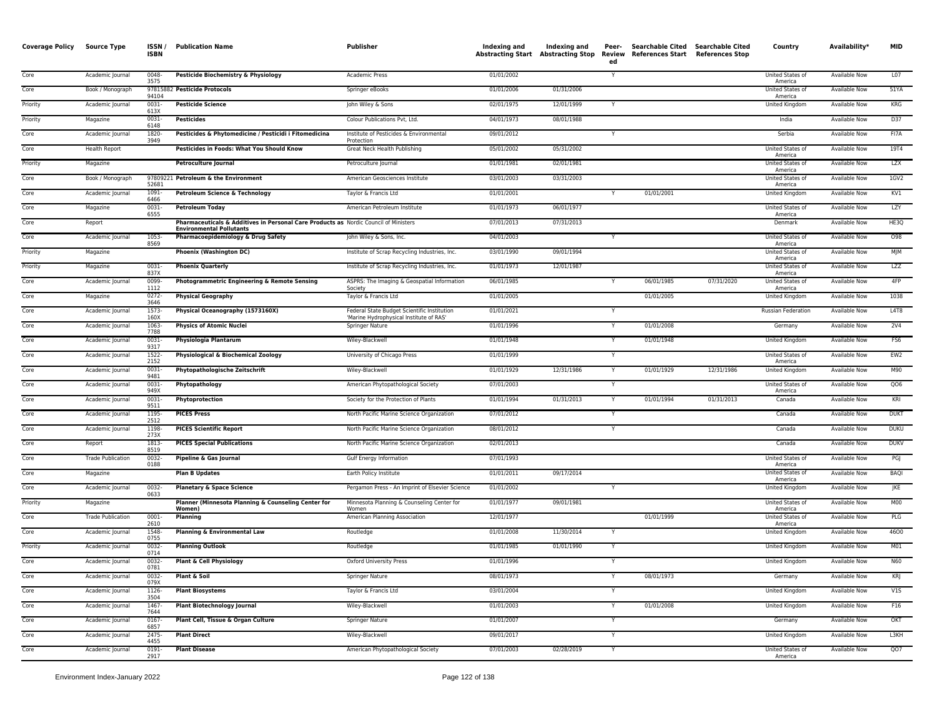| <b>Coverage Policy</b> | Source Type              | ISSN /<br><b>ISBN</b> | <b>Publication Name</b>                                                                                                 | Publisher                                                                              | Indexing and | Indexing and<br><b>Abstracting Start</b> Abstracting Stop | Peer-<br>ed  | Searchable Cited Searchable Cited<br>Review References Start References Stop |            | Country                            | Availability*        | <b>MID</b>      |
|------------------------|--------------------------|-----------------------|-------------------------------------------------------------------------------------------------------------------------|----------------------------------------------------------------------------------------|--------------|-----------------------------------------------------------|--------------|------------------------------------------------------------------------------|------------|------------------------------------|----------------------|-----------------|
| Core                   | Academic Journal         | 0048-<br>3575         | Pesticide Biochemistry & Physiology                                                                                     | Academic Press                                                                         | 01/01/2002   |                                                           | Y            |                                                                              |            | United States of<br>America        | Available Now        | L07             |
| Core                   | Book / Monograph         | 94104                 | 97815882 Pesticide Protocols                                                                                            | Springer eBooks                                                                        | 01/01/2006   | 01/31/2006                                                |              |                                                                              |            | <b>United States of</b><br>America | <b>Available Now</b> | 51YA            |
| Priority               | Academic Journal         | $0031 -$<br>613X      | <b>Pesticide Science</b>                                                                                                | John Wiley & Sons                                                                      | 02/01/1975   | 12/01/1999                                                | Y            |                                                                              |            | United Kingdom                     | <b>Available Now</b> | <b>KRG</b>      |
| Priority               | Magazine                 | 0031-<br>6148         | <b>Pesticides</b>                                                                                                       | Colour Publications Pvt, Ltd.                                                          | 04/01/1973   | 08/01/1988                                                |              |                                                                              |            | India                              | Available Now        | D37             |
| Core                   | Academic Journal         | 1820<br>3949          | Pesticides & Phytomedicine / Pesticidi i Fitomedicina                                                                   | Institute of Pesticides & Environmental<br>Protection                                  | 09/01/2012   |                                                           | Ÿ            |                                                                              |            | Serbia                             | Available Now        | FI7A            |
| Core                   | <b>Health Report</b>     |                       | <b>Pesticides in Foods: What You Should Know</b>                                                                        | Great Neck Health Publishing                                                           | 05/01/2002   | 05/31/2002                                                |              |                                                                              |            | United States of<br>America        | <b>Available Now</b> | 19T4            |
| Priority               | Magazine                 |                       | Petroculture Journal                                                                                                    | Petroculture Journal                                                                   | 01/01/1981   | 02/01/1981                                                |              |                                                                              |            | <b>United States of</b><br>America | <b>Available Now</b> | <b>LZX</b>      |
| Core                   | Book / Monograph         | 52681                 | 97809221 Petroleum & the Environment                                                                                    | American Geosciences Institute                                                         | 03/01/2003   | 03/31/2003                                                |              |                                                                              |            | United States of<br>America        | Available Now        | 1GV2            |
| Core                   | Academic Journal         | 1091-<br>6466         | Petroleum Science & Technology                                                                                          | Taylor & Francis Ltd                                                                   | 01/01/2001   |                                                           |              | 01/01/2001                                                                   |            | United Kingdom                     | <b>Available Now</b> | KV1             |
| Core                   | Magazine                 | 0031-<br>6555         | <b>Petroleum Today</b>                                                                                                  | American Petroleum Institute                                                           | 01/01/1973   | 06/01/1977                                                |              |                                                                              |            | United States of<br>America        | <b>Available Now</b> | LZY             |
| Core                   | Report                   |                       | Pharmaceuticals & Additives in Personal Care Products as Nordic Council of Ministers<br><b>Environmental Pollutants</b> |                                                                                        | 07/01/2013   | 07/31/2013                                                |              |                                                                              |            | Denmark                            | <b>Available Now</b> | HE3Q            |
| Core                   | Academic Journal         | 1053-<br>8569         | Pharmacoepidemiology & Drug Safety                                                                                      | John Wiley & Sons, Inc.                                                                | 04/01/2003   |                                                           |              |                                                                              |            | United States of<br>America        | Available Now        | 098             |
| Priority               | Magazine                 |                       | <b>Phoenix (Washington DC)</b>                                                                                          | Institute of Scrap Recycling Industries, Inc.                                          | 03/01/1990   | 09/01/1994                                                |              |                                                                              |            | United States of<br>America        | <b>Available Now</b> | MJM             |
| Priority               | Magazine                 | $0031 -$<br>837X      | <b>Phoenix Quarterly</b>                                                                                                | Institute of Scrap Recycling Industries, Inc.                                          | 01/01/1973   | 12/01/1987                                                |              |                                                                              |            | United States of<br>America        | <b>Available Now</b> | <b>LZZ</b>      |
| Core                   | Academic Journal         | 0099<br>1112          | Photogrammetric Engineering & Remote Sensing                                                                            | ASPRS: The Imaging & Geospatial Information<br>Society                                 | 06/01/1985   |                                                           |              | 06/01/1985                                                                   | 07/31/2020 | United States of<br>America        | Available Now        | 4FP             |
| Core                   | Magazine                 | 0272<br>3646          | <b>Physical Geography</b>                                                                                               | Taylor & Francis Ltd                                                                   | 01/01/2005   |                                                           |              | 01/01/2005                                                                   |            | United Kingdom                     | Available Now        | 1038            |
| Core                   | Academic Journal         | 1573-<br>160X         | Physical Oceanography (1573160X)                                                                                        | Federal State Budget Scientific Institution<br>'Marine Hydrophysical Institute of RAS' | 01/01/2021   |                                                           | Y            |                                                                              |            | Russian Federation                 | Available Now        | L4T8            |
| Core                   | Academic Journal         | 1063-<br>7788         | <b>Physics of Atomic Nuclei</b>                                                                                         | Springer Nature                                                                        | 01/01/1996   |                                                           |              | 01/01/2008                                                                   |            | Germany                            | Available Now        | 2V4             |
| Core                   | Academic Journal         | 0031-<br>9317         | <b>Physiologia Plantarum</b>                                                                                            | Wiley-Blackwell                                                                        | 01/01/1948   |                                                           | $\checkmark$ | 01/01/1948                                                                   |            | United Kingdom                     | Available Now        | FS6             |
| Core                   | Academic Journal         | 1522<br>2152          | Physiological & Biochemical Zoology                                                                                     | University of Chicago Press                                                            | 01/01/1999   |                                                           |              |                                                                              |            | United States of<br>America        | <b>Available Now</b> | EW <sub>2</sub> |
| Core                   | Academic Journal         | 0031<br>9481          | Phytopathologische Zeitschrift                                                                                          | Wiley-Blackwell                                                                        | 01/01/1929   | 12/31/1986                                                | Ÿ            | 01/01/1929                                                                   | 12/31/1986 | <b>United Kingdom</b>              | <b>Available Now</b> | M90             |
| Core                   | Academic Journal         | $0031 -$<br>949X      | Phytopathology                                                                                                          | American Phytopathological Society                                                     | 07/01/2003   |                                                           | Y            |                                                                              |            | United States of<br>America        | <b>Available Now</b> | QO6             |
| Core                   | Academic Journal         | 0031<br>9511          | Phytoprotection                                                                                                         | Society for the Protection of Plants                                                   | 01/01/1994   | 01/31/2013                                                | Y            | 01/01/1994                                                                   | 01/31/2013 | Canada                             | <b>Available Now</b> | KRI             |
| Core                   | Academic Journal         | 1195<br>2512          | <b>PICES Press</b>                                                                                                      | North Pacific Marine Science Organization                                              | 07/01/2012   |                                                           | Y            |                                                                              |            | Canada                             | <b>Available Now</b> | <b>DUKT</b>     |
| Core                   | Academic Journal         | 1198<br>273X          | <b>PICES Scientific Report</b>                                                                                          | North Pacific Marine Science Organization                                              | 08/01/2012   |                                                           |              |                                                                              |            | Canada                             | Available Now        | <b>DUKU</b>     |
| Core                   | Report                   | 1813-<br>8519         | <b>PICES Special Publications</b>                                                                                       | North Pacific Marine Science Organization                                              | 02/01/2013   |                                                           |              |                                                                              |            | Canada                             | Available Now        | DUKV            |
| Core                   | <b>Trade Publication</b> | 0032<br>0188          | Pipeline & Gas Journal                                                                                                  | Gulf Energy Information                                                                | 07/01/1993   |                                                           |              |                                                                              |            | United States of<br>America        | <b>Available Now</b> | PGJ             |
| Core                   | Magazine                 |                       | <b>Plan B Updates</b>                                                                                                   | Earth Policy Institute                                                                 | 01/01/2011   | 09/17/2014                                                |              |                                                                              |            | United States of<br>America        | <b>Available Now</b> | <b>BAQI</b>     |
| Core                   | Academic Journal         | 0032-<br>0633         | <b>Planetary &amp; Space Science</b>                                                                                    | Pergamon Press - An Imprint of Elsevier Science                                        | 01/01/2002   |                                                           |              |                                                                              |            | United Kingdom                     | Available Now        | JKE             |
| Priority               | Magazine                 |                       | Planner (Minnesota Planning & Counseling Center for<br><b>Women</b> )                                                   | Minnesota Planning & Counseling Center for<br>Women                                    | 01/01/1977   | 09/01/1981                                                |              |                                                                              |            | United States of<br>America        | <b>Available Now</b> | <b>M00</b>      |
| Core                   | <b>Trade Publication</b> | $0001 -$<br>2610      | Planning                                                                                                                | American Planning Association                                                          | 12/01/1977   |                                                           |              | 01/01/1999                                                                   |            | United States of<br>America        | <b>Available Now</b> | PLG             |
| Core                   | Academic Journal         | 1548-<br>0755         | Planning & Environmental Law                                                                                            | Routledge                                                                              | 01/01/2008   | 11/30/2014                                                |              |                                                                              |            | <b>United Kingdom</b>              | <b>Available Now</b> | 4600            |
| Priority               | Academic Journal         | 0032-<br>0714         | <b>Planning Outlook</b>                                                                                                 | Routledge                                                                              | 01/01/1985   | 01/01/1990                                                |              |                                                                              |            | United Kingdom                     | Available Now        | M <sub>01</sub> |
| Core                   | Academic Journal         | 0032<br>0781          | Plant & Cell Physiology                                                                                                 | <b>Oxford University Press</b>                                                         | 01/01/1996   |                                                           |              |                                                                              |            | United Kingdom                     | <b>Available Now</b> | N60             |
| Core                   | Academic Journal         | 0032-<br>079X         | Plant & Soil                                                                                                            | Springer Nature                                                                        | 08/01/1973   |                                                           | $\checkmark$ | 08/01/1973                                                                   |            | Germany                            | <b>Available Now</b> | KRJ             |
| Core                   | Academic Journal         | 1126<br>3504          | <b>Plant Biosystems</b>                                                                                                 | Taylor & Francis Ltd                                                                   | 03/01/2004   |                                                           |              |                                                                              |            | <b>United Kingdom</b>              | <b>Available Now</b> | V15             |
| Core                   | Academic Journal         | 1467<br>7644          | <b>Plant Biotechnology Journal</b>                                                                                      | Wiley-Blackwell                                                                        | 01/01/2003   |                                                           | Y            | 01/01/2008                                                                   |            | United Kingdom                     | Available Now        | F16             |
| Core                   | Academic Journal         | 0167<br>6857          | Plant Cell, Tissue & Organ Culture                                                                                      | <b>Springer Nature</b>                                                                 | 01/01/2007   |                                                           | Y            |                                                                              |            | Germany                            | <b>Available Now</b> | OKT             |
| Core                   | Academic Journal         | 2475<br>4455          | <b>Plant Direct</b>                                                                                                     | Wiley-Blackwell                                                                        | 09/01/2017   |                                                           | Y            |                                                                              |            | <b>United Kingdom</b>              | <b>Available Now</b> | L3KH            |
| Core                   | Academic Journal         | $0191 -$<br>2917      | <b>Plant Disease</b>                                                                                                    | American Phytopathological Society                                                     | 07/01/2003   | 02/28/2019                                                | Y            |                                                                              |            | United States of<br>America        | <b>Available Now</b> | QO7             |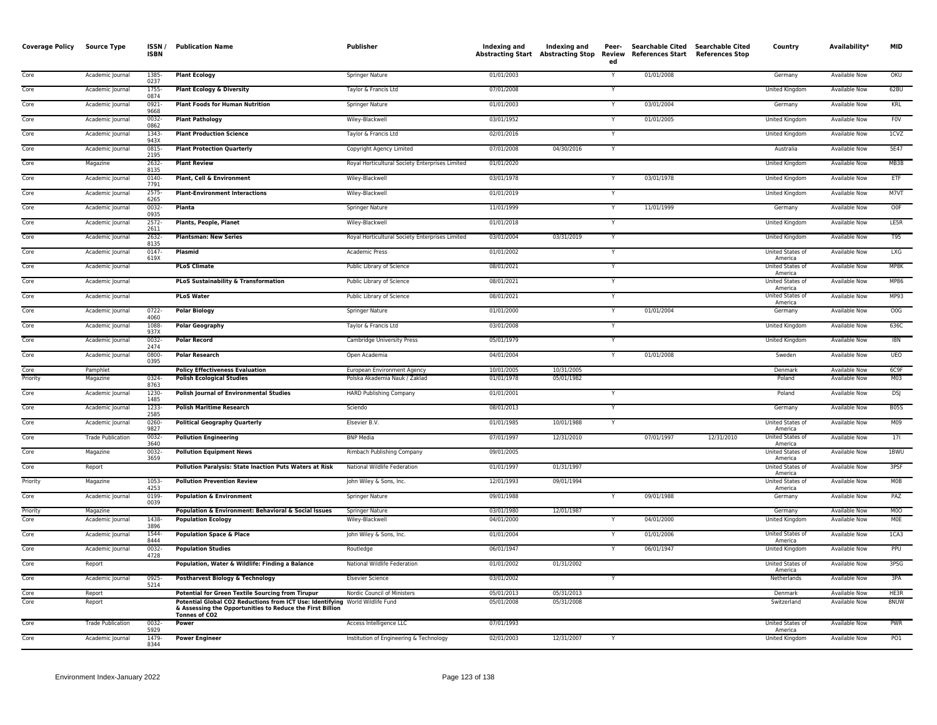| <b>Coverage Policy</b> | <b>Source Type</b>           | ISSN /<br><b>ISBN</b> | <b>Publication Name</b>                                                                                                                   | Publisher                                       | Indexing and             | Indexing and<br><b>Abstracting Start Abstracting Stop</b> | Peer-<br>Review<br>ed | Searchable Cited Searchable Cited<br>References Start References Stop |            | Country                          | Availability*                                | <b>MID</b>            |
|------------------------|------------------------------|-----------------------|-------------------------------------------------------------------------------------------------------------------------------------------|-------------------------------------------------|--------------------------|-----------------------------------------------------------|-----------------------|-----------------------------------------------------------------------|------------|----------------------------------|----------------------------------------------|-----------------------|
| Core                   | Academic Journal             | 1385<br>0237          | <b>Plant Ecology</b>                                                                                                                      | Springer Nature                                 | 01/01/2003               |                                                           |                       | 01/01/2008                                                            |            | Germany                          | <b>Available Now</b>                         | OKU                   |
| Core                   | Academic Journal             | 1755<br>0874          | <b>Plant Ecology &amp; Diversity</b>                                                                                                      | Taylor & Francis Ltd                            | 07/01/2008               |                                                           | Y                     |                                                                       |            | <b>United Kingdom</b>            | <b>Available Now</b>                         | 62BU                  |
| Core                   | Academic Journal             | $0921 -$<br>9668      | <b>Plant Foods for Human Nutrition</b>                                                                                                    | <b>Springer Nature</b>                          | 01/01/2003               |                                                           | Y                     | 03/01/2004                                                            |            | Germany                          | <b>Available Now</b>                         | KRL                   |
| Core                   | Academic Journal             | 0032<br>0862          | <b>Plant Pathology</b>                                                                                                                    | Wiley-Blackwell                                 | 03/01/1952               |                                                           |                       | 01/01/2005                                                            |            | United Kingdom                   | Available Now                                | <b>FOV</b>            |
| Core                   | Academic Journal             | 1343<br>943X          | <b>Plant Production Science</b>                                                                                                           | Taylor & Francis Ltd                            | 02/01/2016               |                                                           |                       |                                                                       |            | United Kingdom                   | Available Now                                | 1CVZ                  |
| Core                   | Academic Journal             | 0815<br>2195          | <b>Plant Protection Quarterly</b>                                                                                                         | Copyright Agency Limited                        | 07/01/2008               | 04/30/2016                                                | $\overline{Y}$        |                                                                       |            | Australia                        | <b>Available Now</b>                         | 5E47                  |
| Core                   | Magazine                     | 2632<br>8135          | <b>Plant Review</b>                                                                                                                       | Royal Horticultural Society Enterprises Limited | 01/01/2020               |                                                           |                       |                                                                       |            | United Kingdom                   | Available Now                                | MB3B                  |
| Core                   | Academic Journal             | 0140-<br>7791         | Plant, Cell & Environment                                                                                                                 | Wiley-Blackwell                                 | 03/01/1978               |                                                           |                       | 03/01/1978                                                            |            | United Kingdom                   | <b>Available Now</b>                         | ETF                   |
| Core                   | Academic Journal             | 2575-<br>6265         | <b>Plant-Environment Interactions</b>                                                                                                     | Wiley-Blackwell                                 | 01/01/2019               |                                                           | Y                     |                                                                       |            | United Kingdom                   | <b>Available Now</b>                         | M7VT                  |
| Core                   | Academic Journal             | 0032-<br>0935         | Planta                                                                                                                                    | Springer Nature                                 | 11/01/1999               |                                                           | Y                     | 11/01/1999                                                            |            | Germany                          | <b>Available Now</b>                         | O0F                   |
| Core                   | Academic Journal             | 2572-<br>2611         | Plants, People, Planet                                                                                                                    | Wiley-Blackwell                                 | 01/01/2018               |                                                           | Y                     |                                                                       |            | United Kingdom                   | <b>Available Now</b>                         | LE5R                  |
| Core                   | Academic Journal             | 2632-<br>8135         | <b>Plantsman: New Series</b>                                                                                                              | Royal Horticultural Society Enterprises Limited | 03/01/2004               | 03/31/2019                                                | Y                     |                                                                       |            | United Kingdom                   | Available Now                                | T95                   |
| Core                   | Academic Journal             | $0147 -$<br>619X      | <b>Plasmid</b>                                                                                                                            | <b>Academic Press</b>                           | 01/01/2002               |                                                           |                       |                                                                       |            | United States of<br>America      | <b>Available Now</b>                         | <b>LXG</b>            |
| Core                   | Academic Journal             |                       | <b>PLoS Climate</b>                                                                                                                       | Public Library of Science                       | 08/01/2021               |                                                           | Y                     |                                                                       |            | United States of<br>America      | Available Now                                | MP8K                  |
| Core                   | Academic Journal             |                       | <b>PLoS Sustainability &amp; Transformation</b>                                                                                           | Public Library of Science                       | 08/01/2021               |                                                           | Y                     |                                                                       |            | United States of<br>America      | Available Now                                | <b>MP86</b>           |
| Core                   | Academic Journal             |                       | <b>PLoS Water</b>                                                                                                                         | Public Library of Science                       | 08/01/2021               |                                                           | Y                     |                                                                       |            | United States of<br>America      | Available Now                                | MP93                  |
| Core                   | Academic Journal             | $0722 -$<br>4060      | <b>Polar Biology</b>                                                                                                                      | <b>Springer Nature</b>                          | 01/01/2000               |                                                           | Y                     | 01/01/2004                                                            |            | Germany                          | <b>Available Now</b>                         | 00G                   |
| Core                   | Academic Journal             | 1088-<br>937X         | <b>Polar Geography</b>                                                                                                                    | Taylor & Francis Ltd                            | 03/01/2008               |                                                           | Y                     |                                                                       |            | <b>United Kingdom</b>            | <b>Available Now</b>                         | 636C                  |
| Core                   | Academic Journal             | $0032 -$<br>2474      | <b>Polar Record</b>                                                                                                                       | Cambridge University Press                      | 05/01/1979               |                                                           |                       |                                                                       |            | <b>United Kingdom</b>            | <b>Available Now</b>                         | 18N                   |
| Core                   | Academic Journal             | 0800-<br>0395         | <b>Polar Research</b>                                                                                                                     | Open Academia                                   | 04/01/2004               |                                                           | Y                     | 01/01/2008                                                            |            | Sweden                           | Available Now                                | UEO                   |
| Core                   | Pamphlet                     |                       | <b>Policy Effectiveness Evaluation</b>                                                                                                    | European Environment Agency                     | 10/01/2005               | 10/31/2005                                                |                       |                                                                       |            | Denmark                          | <b>Available Now</b>                         | 6C9F                  |
| Priority               | Magazine                     | 0324-<br>8763         | <b>Polish Ecological Studies</b>                                                                                                          | Polska Akademia Nauk / Zaklad                   | 01/01/1978               | 05/01/1982                                                |                       |                                                                       |            | Poland                           | <b>Available Now</b>                         | M03                   |
| Core                   | Academic Journal             | 1230-<br>1485         | <b>Polish Journal of Environmental Studies</b>                                                                                            | <b>HARD Publishing Company</b>                  | 01/01/2001               |                                                           |                       |                                                                       |            | Poland                           | <b>Available Now</b>                         | <b>DSJ</b>            |
| Core                   | Academic Journal             | 1233<br>2585          | <b>Polish Maritime Research</b>                                                                                                           | Sciendo                                         | 08/01/2013               |                                                           | Y                     |                                                                       |            | Germany                          | Available Now                                | <b>B05S</b>           |
| Core                   | Academic Journal             | 0260<br>9827          | <b>Political Geography Quarterly</b>                                                                                                      | Elsevier B.V.                                   | 01/01/1985               | 10/01/1988                                                |                       |                                                                       |            | United States of<br>America      | Available Now                                | M09                   |
| Core                   | <b>Trade Publication</b>     | 0032<br>3640          | <b>Pollution Engineering</b>                                                                                                              | <b>BNP</b> Media                                | 07/01/1997               | 12/31/2010                                                |                       | 07/01/1997                                                            | 12/31/2010 | United States of<br>America      | <b>Available Now</b>                         | 171                   |
| Core                   | Magazine                     | $0032 -$<br>3659      | <b>Pollution Equipment News</b>                                                                                                           | Rimbach Publishing Company                      | 09/01/2005               |                                                           |                       |                                                                       |            | United States of<br>America      | <b>Available Now</b>                         | 1BWU                  |
| Core                   | Report                       |                       | Pollution Paralysis: State Inaction Puts Waters at Risk                                                                                   | National Wildlife Federation                    | 01/01/1997               | 01/31/1997                                                |                       |                                                                       |            | United States of<br>America      | <b>Available Now</b>                         | 3PSF                  |
| Priority               | Magazine                     | 1053-<br>4253         | <b>Pollution Prevention Review</b>                                                                                                        | John Wiley & Sons, Inc.                         | 12/01/1993               | 09/01/1994                                                |                       |                                                                       |            | United States of<br>America      | Available Now                                | M0B                   |
| Core                   | Academic Journal             | 0199-<br>0039         | <b>Population &amp; Environment</b>                                                                                                       | Springer Nature                                 | 09/01/1988               |                                                           |                       | 09/01/1988                                                            |            | Germany                          | Available Now                                | PAZ                   |
| Priority<br>Core       | Magazine<br>Academic Journal | 1438-                 | Population & Environment: Behavioral & Social Issues<br><b>Population Ecology</b>                                                         | Springer Nature<br>Wiley-Blackwell              | 03/01/1980<br>04/01/2000 | 12/01/1987                                                |                       | 04/01/2000                                                            |            | Germany<br><b>United Kingdom</b> | <b>Available Now</b><br><b>Available Now</b> | M <sub>0</sub><br>MOE |
| Core                   | Academic Journal             | 3896<br>1544-         | <b>Population Space &amp; Place</b>                                                                                                       | John Wiley & Sons, Inc.                         | 01/01/2004               |                                                           |                       | 01/01/2006                                                            |            | United States of                 | Available Now                                | 1CA3                  |
| Core                   | Academic Journal             | 8444<br>0032          | <b>Population Studies</b>                                                                                                                 | Routledge                                       | 06/01/1947               |                                                           |                       | 06/01/1947                                                            |            | America<br>United Kingdom        | Available Now                                | PPU                   |
| Core                   |                              | 4728                  | Population, Water & Wildlife: Finding a Balance                                                                                           | National Wildlife Federation                    | 01/01/2002               | 01/31/2002                                                |                       |                                                                       |            | United States of                 | <b>Available Now</b>                         | 3PSG                  |
| Core                   | Report<br>Academic Journal   |                       |                                                                                                                                           |                                                 | 03/01/2002               |                                                           | Y                     |                                                                       |            | America<br>Netherlands           |                                              | 3PA                   |
|                        |                              | $0925 -$<br>5214      | Postharvest Biology & Technology                                                                                                          | <b>Elsevier Science</b>                         |                          |                                                           |                       |                                                                       |            |                                  | Available Now                                |                       |
| Core<br>Core           | Report<br>Report             |                       | <b>Potential for Green Textile Sourcing from Tirupur</b><br>Potential Global CO2 Reductions from ICT Use: Identifying World Wildlife Fund | Nordic Council of Ministers                     | 05/01/2013<br>05/01/2008 | 05/31/2013<br>05/31/2008                                  |                       |                                                                       |            | Denmark<br>Switzerland           | <b>Available Now</b><br><b>Available Now</b> | HE3R<br>8NUW          |
|                        |                              |                       | & Assessing the Opportunities to Reduce the First Billion<br>Tonnes of CO2                                                                |                                                 |                          |                                                           |                       |                                                                       |            |                                  |                                              |                       |
| Core                   | <b>Trade Publication</b>     | 0032-<br>5929         | Power                                                                                                                                     | Access Intelligence LLC                         | 07/01/1993               |                                                           |                       |                                                                       |            | United States of<br>America      | Available Now                                | <b>PWR</b>            |
| Core                   | Academic Journal             | 1479-<br>8344         | <b>Power Engineer</b>                                                                                                                     | Institution of Engineering & Technology         | 02/01/2003               | 12/31/2007                                                |                       |                                                                       |            | United Kingdom                   | <b>Available Now</b>                         | PO <sub>1</sub>       |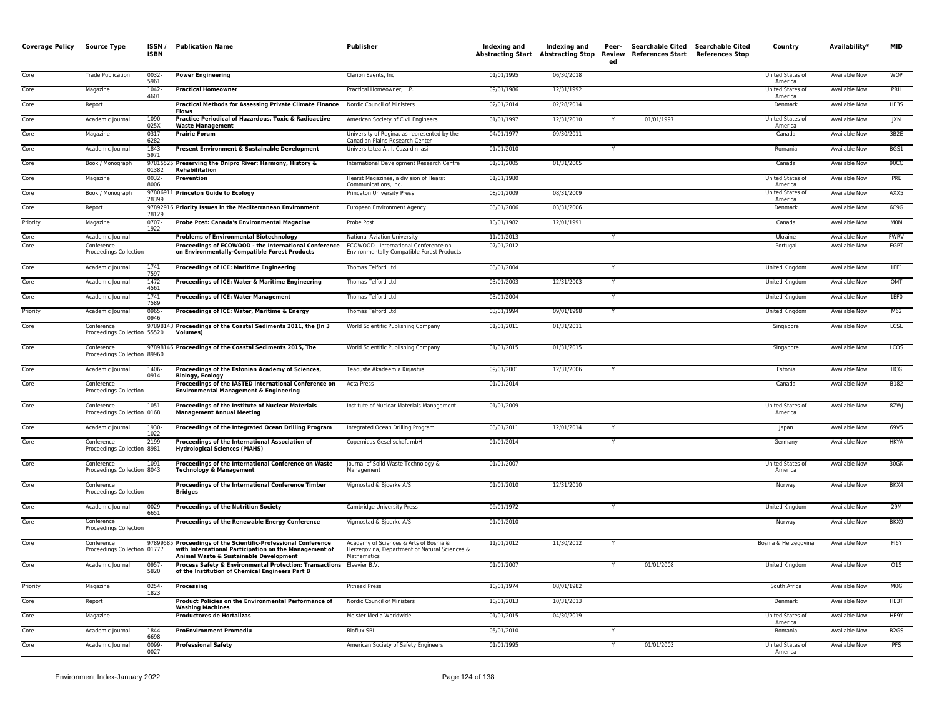| <b>Coverage Policy</b> | <b>Source Type</b>                         | ISSN/<br><b>ISBN</b> | <b>Publication Name</b>                                                                                                                                           | Publisher                                                                                              | Indexing and | Indexing and<br><b>Abstracting Start Abstracting Stop</b> | Peer-<br><b>Review</b><br>ed | Searchable Cited<br><b>References Start</b> | <b>Searchable Cited</b><br><b>References Stop</b> | Country                            | Availability*        | <b>MID</b>       |
|------------------------|--------------------------------------------|----------------------|-------------------------------------------------------------------------------------------------------------------------------------------------------------------|--------------------------------------------------------------------------------------------------------|--------------|-----------------------------------------------------------|------------------------------|---------------------------------------------|---------------------------------------------------|------------------------------------|----------------------|------------------|
| Core                   | <b>Trade Publication</b>                   | $0032 -$<br>5961     | <b>Power Engineering</b>                                                                                                                                          | Clarion Events, Inc.                                                                                   | 01/01/1995   | 06/30/2018                                                |                              |                                             |                                                   | <b>United States of</b><br>America | <b>Available Now</b> | <b>WOP</b>       |
| Core                   | Magazine                                   | $1042 -$<br>4601     | <b>Practical Homeowner</b>                                                                                                                                        | Practical Homeowner, L.P.                                                                              | 09/01/1986   | 12/31/1992                                                |                              |                                             |                                                   | <b>United States of</b><br>America | <b>Available Now</b> | PRH              |
| Core                   | Report                                     |                      | <b>Practical Methods for Assessing Private Climate Finance</b><br><b>Flows</b>                                                                                    | Nordic Council of Ministers                                                                            | 02/01/2014   | 02/28/2014                                                |                              |                                             |                                                   | Denmark                            | <b>Available Now</b> | HE3S             |
| Core                   | Academic Journal                           | 1090-<br>025X        | Practice Periodical of Hazardous, Toxic & Radioactive<br><b>Waste Management</b>                                                                                  | American Society of Civil Engineers                                                                    | 01/01/1997   | 12/31/2010                                                |                              | 01/01/1997                                  |                                                   | United States of<br>America        | Available Now        | JXN              |
| Core                   | Magazine                                   | 0317<br>6282         | <b>Prairie Forum</b>                                                                                                                                              | University of Regina, as represented by the<br>Canadian Plains Research Center                         | 04/01/1977   | 09/30/2011                                                |                              |                                             |                                                   | Canada                             | <b>Available Now</b> | 3B2E             |
| Core                   | Academic Journal                           | 1843-<br>5971        | Present Environment & Sustainable Development                                                                                                                     | Universitatea Al. I. Cuza din lasi                                                                     | 01/01/2010   |                                                           | Y                            |                                             |                                                   | Romania                            | <b>Available Now</b> | BGS1             |
| Core                   | Book / Monograph                           | 01382                | 97815525 Preserving the Dnipro River: Harmony, History &<br><b>Rehabilitation</b>                                                                                 | International Development Research Centre                                                              | 01/01/2005   | 01/31/2005                                                |                              |                                             |                                                   | Canada                             | <b>Available Now</b> | 90CC             |
| Core                   | Magazine                                   | 0032-<br>8006        | Prevention                                                                                                                                                        | Hearst Magazines, a division of Hearst<br>Communications, Inc.                                         | 01/01/1980   |                                                           |                              |                                             |                                                   | United States of<br>America        | Available Now        | PRE              |
| Core                   | Book / Monograph                           | 28399                | 97806911 Princeton Guide to Ecology                                                                                                                               | <b>Princeton University Press</b>                                                                      | 08/01/2009   | 08/31/2009                                                |                              |                                             |                                                   | <b>United States of</b><br>America | <b>Available Now</b> | AXX5             |
| Core                   | Report                                     | 78129                | 97892916 Priority Issues in the Mediterranean Environment                                                                                                         | European Environment Agency                                                                            | 03/01/2006   | 03/31/2006                                                |                              |                                             |                                                   | Denmark                            | Available Now        | 6C9G             |
| Priority               | Magazine                                   | $0707 -$<br>1922     | Probe Post: Canada's Environmental Magazine                                                                                                                       | Probe Post                                                                                             | 10/01/1982   | 12/01/1991                                                |                              |                                             |                                                   | Canada                             | Available Now        | <b>MOM</b>       |
| Core                   | Academic Journal                           |                      | <b>Problems of Environmental Biotechnology</b>                                                                                                                    | National Aviation University                                                                           | 11/01/2013   |                                                           |                              |                                             |                                                   | Ukraine                            | <b>Available Now</b> | <b>FWRV</b>      |
| Core                   | Conference<br>Proceedings Collection       |                      | Proceedings of ECOWOOD - the International Conference<br>on Environmentally-Compatible Forest Products                                                            | ECOWOOD - International Conference on<br>Environmentally-Compatible Forest Products                    | 07/01/2012   |                                                           |                              |                                             |                                                   | Portugal                           | Available Now        | EGPT             |
| Core                   | Academic Journal                           | $1741 -$<br>7597     | Proceedings of ICE: Maritime Engineering                                                                                                                          | Thomas Telford Ltd                                                                                     | 03/01/2004   |                                                           |                              |                                             |                                                   | <b>United Kingdom</b>              | <b>Available Now</b> | 1EF1             |
| Core                   | Academic Journal                           | $1472 -$<br>4561     | Proceedings of ICE: Water & Maritime Engineering                                                                                                                  | Thomas Telford Ltd                                                                                     | 03/01/2003   | 12/31/2003                                                |                              |                                             |                                                   | United Kingdom                     | <b>Available Now</b> | OMT              |
| Core                   | Academic Journal                           | $1741 -$<br>7589     | <b>Proceedings of ICE: Water Management</b>                                                                                                                       | Thomas Telford Ltd                                                                                     | 03/01/2004   |                                                           |                              |                                             |                                                   | United Kingdom                     | <b>Available Now</b> | 1EF0             |
| Priority               | Academic Journal                           | 0965-<br>0946        | Proceedings of ICE: Water, Maritime & Energy                                                                                                                      | Thomas Telford Ltd                                                                                     | 03/01/1994   | 09/01/1998                                                |                              |                                             |                                                   | United Kingdom                     | <b>Available Now</b> | M62              |
| Core                   | Conference<br>Proceedings Collection 55520 | 978981               | 3 Proceedings of the Coastal Sediments 2011, the (In 3<br><b>Volumes</b>                                                                                          | World Scientific Publishing Company                                                                    | 01/01/2011   | 01/31/2011                                                |                              |                                             |                                                   | Singapore                          | Available Now        | LCSL             |
| Core                   | Conference<br>Proceedings Collection 89960 |                      | 97898146 Proceedings of the Coastal Sediments 2015, The                                                                                                           | World Scientific Publishing Company                                                                    | 01/01/2015   | 01/31/2015                                                |                              |                                             |                                                   | Singapore                          | Available Now        | <b>LCOS</b>      |
| Core                   | Academic Journal                           | 1406<br>0914         | Proceedings of the Estonian Academy of Sciences,<br>Biology, Ecology                                                                                              | Teaduste Akadeemia Kirjastus                                                                           | 09/01/2001   | 12/31/2006                                                |                              |                                             |                                                   | Estonia                            | <b>Available Now</b> | <b>HCG</b>       |
| Core                   | Conference<br>Proceedings Collection       |                      | Proceedings of the IASTED International Conference on<br><b>Environmental Management &amp; Engineering</b>                                                        | Acta Press                                                                                             | 01/01/2014   |                                                           |                              |                                             |                                                   | Canada                             | Available Now        | B182             |
| Core                   | Conference<br>Proceedings Collection 0168  | $1051 -$             | Proceedings of the Institute of Nuclear Materials<br><b>Management Annual Meeting</b>                                                                             | Institute of Nuclear Materials Management                                                              | 01/01/2009   |                                                           |                              |                                             |                                                   | <b>United States of</b><br>America | <b>Available Now</b> | 8ZWJ             |
| Core                   | Academic Journal                           | 1930-<br>1022        | Proceedings of the Integrated Ocean Drilling Program                                                                                                              | Integrated Ocean Drilling Program                                                                      | 03/01/2011   | 12/01/2014                                                |                              |                                             |                                                   | Japan                              | Available Now        | 69V5             |
| Core                   | Conference<br>Proceedings Collection 8981  | 2199                 | Proceedings of the International Association of<br><b>Hydrological Sciences (PIAHS)</b>                                                                           | Copernicus Gesellschaft mbH                                                                            | 01/01/2014   |                                                           | Y                            |                                             |                                                   | Germany                            | Available Now        | HKYA             |
| Core                   | Conference<br>Proceedings Collection 8043  | 1091-                | Proceedings of the International Conference on Waste<br><b>Technology &amp; Management</b>                                                                        | Journal of Solid Waste Technology &<br>Management                                                      | 01/01/2007   |                                                           |                              |                                             |                                                   | United States of<br>America        | <b>Available Now</b> | 30GK             |
| Core                   | Conference<br>Proceedings Collection       |                      | Proceedings of the International Conference Timber<br><b>Bridges</b>                                                                                              | Vigmostad & Bjoerke A/S                                                                                | 01/01/2010   | 12/31/2010                                                |                              |                                             |                                                   | Norway                             | Available Now        | BKX4             |
| Core                   | Academic Journal                           | $0029 -$<br>6651     | <b>Proceedings of the Nutrition Society</b>                                                                                                                       | Cambridge University Press                                                                             | 09/01/1972   |                                                           |                              |                                             |                                                   | <b>United Kingdom</b>              | <b>Available Now</b> | 29M              |
| Core                   | Conference<br>Proceedings Collection       |                      | Proceedings of the Renewable Energy Conference                                                                                                                    | Vigmostad & Bjoerke A/S                                                                                | 01/01/2010   |                                                           |                              |                                             |                                                   | Norway                             | <b>Available Now</b> | BKX9             |
| Core                   | Conference<br>Proceedings Collection 01777 |                      | 97899585 Proceedings of the Scientific-Professional Conference<br>with International Participation on the Management of<br>Animal Waste & Sustainable Development | Academy of Sciences & Arts of Bosnia &<br>Herzegovina, Department of Natural Sciences &<br>Mathematics | 11/01/2012   | 11/30/2012                                                |                              |                                             |                                                   | Bosnia & Herzegovina               | Available Now        | FI6Y             |
| Core                   | Academic Journal                           | $0957 -$<br>5820     | Process Safety & Environmental Protection: Transactions Elsevier B.V.<br>of the Institution of Chemical Engineers Part B                                          |                                                                                                        | 01/01/2007   |                                                           |                              | 01/01/2008                                  |                                                   | United Kingdom                     | <b>Available Now</b> | 015              |
| Priority               | Magazine                                   | 0254-<br>1823        | Processing                                                                                                                                                        | <b>Pithead Press</b>                                                                                   | 10/01/1974   | 08/01/1982                                                |                              |                                             |                                                   | South Africa                       | Available Now        | M <sub>O</sub> G |
| Core                   | Report                                     |                      | Product Policies on the Environmental Performance of<br><b>Washing Machines</b>                                                                                   | Nordic Council of Ministers                                                                            | 10/01/2013   | 10/31/2013                                                |                              |                                             |                                                   | Denmark                            | Available Now        | HE3T             |
| Core                   | Magazine                                   |                      | <b>Productores de Hortalizas</b>                                                                                                                                  | Meister Media Worldwide                                                                                | 01/01/2015   | 04/30/2019                                                |                              |                                             |                                                   | United States of<br>America        | Available Now        | HE9Y             |
| Core                   | Academic Journal                           | 1844-<br>6698        | <b>ProEnvironment Promediu</b>                                                                                                                                    | <b>Bioflux SRL</b>                                                                                     | 05/01/2010   |                                                           |                              |                                             |                                                   | Romania                            | <b>Available Now</b> | B <sub>2GS</sub> |
| Core                   | Academic Journal                           | 0099<br>0027         | <b>Professional Safety</b>                                                                                                                                        | American Society of Safety Engineers                                                                   | 01/01/1995   |                                                           |                              | 01/01/2003                                  |                                                   | United States of<br>America        | <b>Available Now</b> | <b>PFS</b>       |
|                        |                                            |                      |                                                                                                                                                                   |                                                                                                        |              |                                                           |                              |                                             |                                                   |                                    |                      |                  |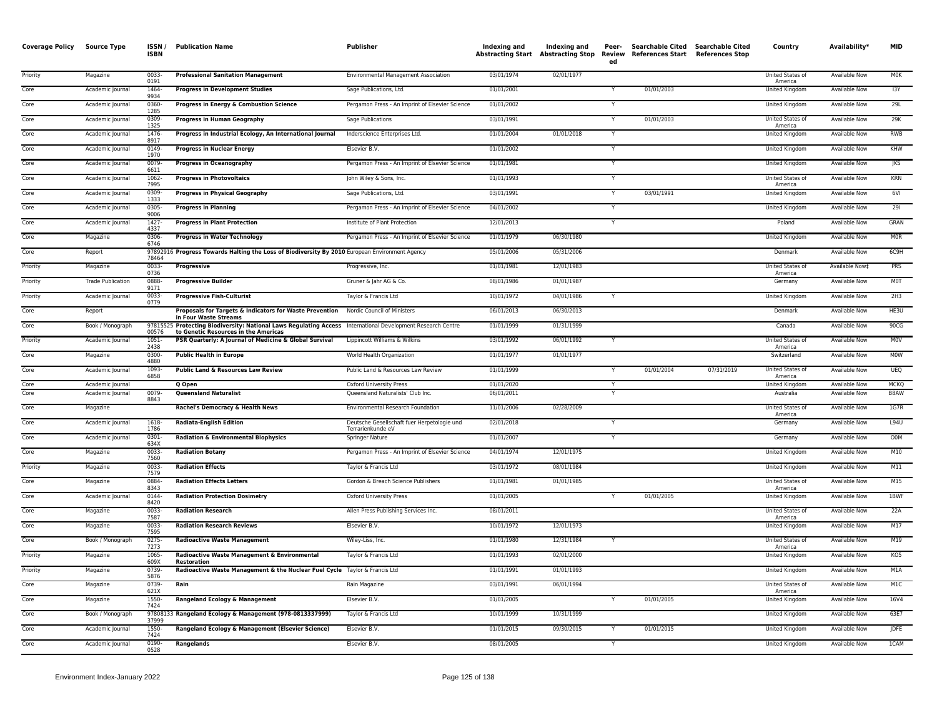| <b>Coverage Policy</b> | <b>Source Type</b>                   | ISSN/<br><b>ISBN</b> | <b>Publication Name</b>                                                                                                                             | <b>Publisher</b>                                                    | Indexing and             | Indexing and | Peer-<br>ed  | Abstracting Start Abstracting Stop Review References Start References Stop | Searchable Cited Searchable Cited | Country                            | Availability*                                | <b>MID</b>          |
|------------------------|--------------------------------------|----------------------|-----------------------------------------------------------------------------------------------------------------------------------------------------|---------------------------------------------------------------------|--------------------------|--------------|--------------|----------------------------------------------------------------------------|-----------------------------------|------------------------------------|----------------------------------------------|---------------------|
| Priority               | Magazine                             | 0033-<br>0191        | <b>Professional Sanitation Management</b>                                                                                                           | <b>Environmental Management Association</b>                         | 03/01/1974               | 02/01/1977   |              |                                                                            |                                   | <b>United States of</b><br>America | Available Now                                | <b>MOK</b>          |
| Core                   | Academic Journal                     | 1464<br>9934         | <b>Progress in Development Studies</b>                                                                                                              | Sage Publications, Ltd.                                             | 01/01/2001               |              |              | 01/01/2003                                                                 |                                   | United Kingdom                     | Available Now                                | 13Y                 |
| Core                   | Academic Journal                     | 0360-<br>1285        | Progress in Energy & Combustion Science                                                                                                             | Pergamon Press - An Imprint of Elsevier Science                     | 01/01/2002               |              |              |                                                                            |                                   | United Kingdom                     | Available Now                                | 29L                 |
| Core                   | Academic Journal                     | 0309<br>1325         | <b>Progress in Human Geography</b>                                                                                                                  | Sage Publications                                                   | 03/01/1991               |              |              | 01/01/2003                                                                 |                                   | United States of<br>America        | <b>Available Now</b>                         | 29K                 |
| Core                   | Academic Journal                     | 1476-<br>8917        | Progress in Industrial Ecology, An International Journal                                                                                            | Inderscience Enterprises Ltd.                                       | 01/01/2004               | 01/01/2018   | Y            |                                                                            |                                   | United Kingdom                     | <b>Available Now</b>                         | <b>RWB</b>          |
| Core                   | Academic Journal                     | 0149<br>1970         | <b>Progress in Nuclear Energy</b>                                                                                                                   | <b>Elsevier B.V.</b>                                                | 01/01/2002               |              | Y            |                                                                            |                                   | United Kingdom                     | Available Now                                | KHW                 |
| Core                   | Academic Journal                     | 0079<br>6611         | <b>Progress in Oceanography</b>                                                                                                                     | Pergamon Press - An Imprint of Elsevier Science                     | 01/01/1981               |              |              |                                                                            |                                   | United Kingdom                     | Available Now                                | <b>JKS</b>          |
| Core                   | Academic Journal                     | 1062-<br>7995        | <b>Progress in Photovoltaics</b>                                                                                                                    | John Wiley & Sons, Inc.                                             | 01/01/1993               |              | $\mathsf{v}$ |                                                                            |                                   | United States of<br>America        | Available Now                                | <b>KRN</b>          |
| Core                   | Academic Journal                     | 0309<br>1333         | <b>Progress in Physical Geography</b>                                                                                                               | Sage Publications, Ltd.                                             | 03/01/1991               |              |              | 03/01/1991                                                                 |                                   | United Kingdom                     | <b>Available Now</b>                         | 6VI                 |
| Core                   | Academic Journal                     | 0305<br>9006         | <b>Progress in Planning</b>                                                                                                                         | Pergamon Press - An Imprint of Elsevier Science                     | 04/01/2002               |              |              |                                                                            |                                   | United Kingdom                     | Available Now                                | 291                 |
| Core                   | Academic Journal                     | 1427<br>4337         | <b>Progress in Plant Protection</b>                                                                                                                 | Institute of Plant Protection                                       | 12/01/2013               |              | Y            |                                                                            |                                   | Poland                             | <b>Available Now</b>                         | GRAN                |
| Core                   | Magazine                             | 0306<br>6746         | <b>Progress in Water Technology</b>                                                                                                                 | Pergamon Press - An Imprint of Elsevier Science                     | 01/01/1979               | 06/30/1980   |              |                                                                            |                                   | United Kingdom                     | Available Now                                | <b>MOR</b>          |
| Core                   | Report                               | 78464                | 97892916 Progress Towards Halting the Loss of Biodiversity By 2010 European Environment Agency                                                      |                                                                     | 05/01/2006               | 05/31/2006   |              |                                                                            |                                   | Denmark                            | Available Now                                | 6C9H                |
| Priority               | Magazine                             | $0033 -$<br>0736     | Progressive                                                                                                                                         | Progressive, Inc.                                                   | 01/01/1981               | 12/01/1983   |              |                                                                            |                                   | United States of<br>America        | Available Now‡                               | <b>PRS</b>          |
| Priority               | <b>Trade Publication</b>             | 0888<br>9171         | <b>Progressive Builder</b>                                                                                                                          | Gruner & Jahr AG & Co.                                              | 08/01/1986               | 01/01/1987   |              |                                                                            |                                   | Germany                            | Available Now                                | MOT                 |
| Priority               | Academic Journal                     | 0033-<br>0779        | <b>Progressive Fish-Culturist</b>                                                                                                                   | Taylor & Francis Ltd                                                | 10/01/1972               | 04/01/1986   |              |                                                                            |                                   | <b>United Kingdom</b>              | <b>Available Now</b>                         | 2H3                 |
| Core                   | Report                               |                      | Proposals for Targets & Indicators for Waste Prevention<br>in Four Waste Streams                                                                    | Nordic Council of Ministers                                         | 06/01/2013               | 06/30/2013   |              |                                                                            |                                   | Denmark                            | <b>Available Now</b>                         | HE3U                |
| Core                   | Book / Monograph                     | 00576                | 97815525 Protecting Biodiversity: National Laws Regulating Access International Development Research Centre<br>to Genetic Resources in the Americas |                                                                     | 01/01/1999               | 01/31/1999   |              |                                                                            |                                   | Canada                             | Available Now                                | 90CG                |
| Priority               | Academic Journal                     | 1051-<br>2438        | PSR Quarterly: A Journal of Medicine & Global Survival                                                                                              | Lippincott Williams & Wilkins                                       | 03/01/1992               | 06/01/1992   |              |                                                                            |                                   | United States of<br>America        | Available Now                                | M <sub>0</sub> V    |
| Core                   | Magazine                             | 0300-<br>4880        | <b>Public Health in Europe</b>                                                                                                                      | World Health Organization                                           | 01/01/1977               | 01/01/1977   |              |                                                                            |                                   | Switzerland                        | <b>Available Now</b>                         | <b>MOW</b>          |
| Core                   | Academic Journal                     | $1093 -$<br>6858     | <b>Public Land &amp; Resources Law Review</b>                                                                                                       | Public Land & Resources Law Review                                  | 01/01/1999               |              | Y            | 01/01/2004                                                                 | 07/31/2019                        | United States of<br>America        | <b>Available Now</b>                         | <b>UEQ</b>          |
| Core<br>Core           | Academic Journal<br>Academic Journal | 0079                 | Q Open<br><b>Queensland Naturalist</b>                                                                                                              | <b>Oxford University Press</b><br>Queensland Naturalists' Club Inc. | 01/01/2020<br>06/01/2011 |              |              |                                                                            |                                   | United Kingdom<br>Australia        | <b>Available Now</b><br><b>Available Now</b> | <b>MCKQ</b><br>B8AW |
| Core                   | Magazine                             | 8843                 | Rachel's Democracy & Health News                                                                                                                    | Environmental Research Foundation                                   | 11/01/2006               | 02/28/2009   |              |                                                                            |                                   | United States of                   | Available Now                                | 1G7R                |
| Core                   | Academic Journal                     | 1618                 | <b>Radiata-English Edition</b>                                                                                                                      | Deutsche Gesellschaft fuer Herpetologie und                         | 02/01/2018               |              |              |                                                                            |                                   | America<br>Germany                 | <b>Available Now</b>                         | L94U                |
| Core                   | Academic Journal                     | 1786<br>0301         | <b>Radiation &amp; Environmental Biophysics</b>                                                                                                     | Terrarienkunde eV<br>Springer Nature                                | 01/01/2007               |              |              |                                                                            |                                   | Germany                            | <b>Available Now</b>                         | <b>OOM</b>          |
| Core                   | Magazine                             | 634X<br>0033-        | <b>Radiation Botany</b>                                                                                                                             | Pergamon Press - An Imprint of Elsevier Science                     | 04/01/1974               | 12/01/1975   |              |                                                                            |                                   | United Kingdom                     | <b>Available Now</b>                         | M10                 |
| Priority               | Magazine                             | 7560<br>$0033 -$     | <b>Radiation Effects</b>                                                                                                                            | Taylor & Francis Ltd                                                | 03/01/1972               | 08/01/1984   |              |                                                                            |                                   | United Kingdom                     | Available Now                                | M11                 |
| Core                   | Magazine                             | 7579<br>0884         | <b>Radiation Effects Letters</b>                                                                                                                    | Gordon & Breach Science Publishers                                  | 01/01/1981               | 01/01/1985   |              |                                                                            |                                   | United States of                   | Available Now                                | M15                 |
| Core                   | Academic Journal                     | 8343<br>0144         | <b>Radiation Protection Dosimetry</b>                                                                                                               | <b>Oxford University Press</b>                                      | 01/01/2005               |              |              | 01/01/2005                                                                 |                                   | America<br>United Kingdom          | Available Now                                | 1BWF                |
| Core                   | Magazine                             | 8420<br>0033-        | <b>Radiation Research</b>                                                                                                                           | Allen Press Publishing Services Inc.                                | 08/01/2011               |              |              |                                                                            |                                   | United States of                   | <b>Available Now</b>                         | 22A                 |
| Core                   | Magazine                             | 7587<br>0033         | <b>Radiation Research Reviews</b>                                                                                                                   | Elsevier B.V.                                                       | 10/01/1972               | 12/01/1973   |              |                                                                            |                                   | America<br><b>United Kingdom</b>   | <b>Available Now</b>                         | M17                 |
| Core                   | Book / Monograph                     | 7595<br>$0275 -$     | <b>Radioactive Waste Management</b>                                                                                                                 | Wiley-Liss, Inc.                                                    | 01/01/1980               | 12/31/1984   |              |                                                                            |                                   | United States of                   | Available Now                                | M19                 |
| Priority               | Magazine                             | 7273<br>1065-        | Radioactive Waste Management & Environmental                                                                                                        | Taylor & Francis Ltd                                                | 01/01/1993               | 02/01/2000   |              |                                                                            |                                   | America<br>United Kingdom          | Available Now                                | KO5                 |
| Priority               | Magazine                             | 609X<br>0739-        | Restoration<br>Radioactive Waste Management & the Nuclear Fuel Cycle Taylor & Francis Ltd                                                           |                                                                     | 01/01/1991               | 01/01/1993   |              |                                                                            |                                   | United Kingdom                     | Available Now                                | M1A                 |
| Core                   | Magazine                             | 5876<br>0739-        | Rain                                                                                                                                                | Rain Magazine                                                       | 03/01/1991               | 06/01/1994   |              |                                                                            |                                   | United States of                   | <b>Available Now</b>                         | M1C                 |
| Core                   | Magazine                             | 621X<br>$1550 -$     | Rangeland Ecology & Management                                                                                                                      | Elsevier B.V.                                                       | 01/01/2005               |              | Y            | 01/01/2005                                                                 |                                   | America<br>United Kingdom          | <b>Available Now</b>                         | 16V4                |
| Core                   | Book / Monograph                     | 7424                 | 97808133 Rangeland Ecology & Management (978-0813337999)                                                                                            | Taylor & Francis Ltd                                                | 10/01/1999               | 10/31/1999   |              |                                                                            |                                   | United Kingdom                     | <b>Available Now</b>                         | 63E7                |
| Core                   | Academic Journal                     | 37999<br>1550-       | Rangeland Ecology & Management (Elsevier Science)                                                                                                   | Elsevier B.V.                                                       | 01/01/2015               | 09/30/2015   |              | 01/01/2015                                                                 |                                   | United Kingdom                     | Available Now                                | <b>JDFE</b>         |
|                        |                                      | 7424                 |                                                                                                                                                     |                                                                     |                          |              |              |                                                                            |                                   |                                    |                                              |                     |
| Core                   | Academic Journal                     | 0190-<br>0528        | Rangelands                                                                                                                                          | Elsevier B.V.                                                       | 08/01/2005               |              |              |                                                                            |                                   | United Kingdom                     | Available Now                                | 1CAM                |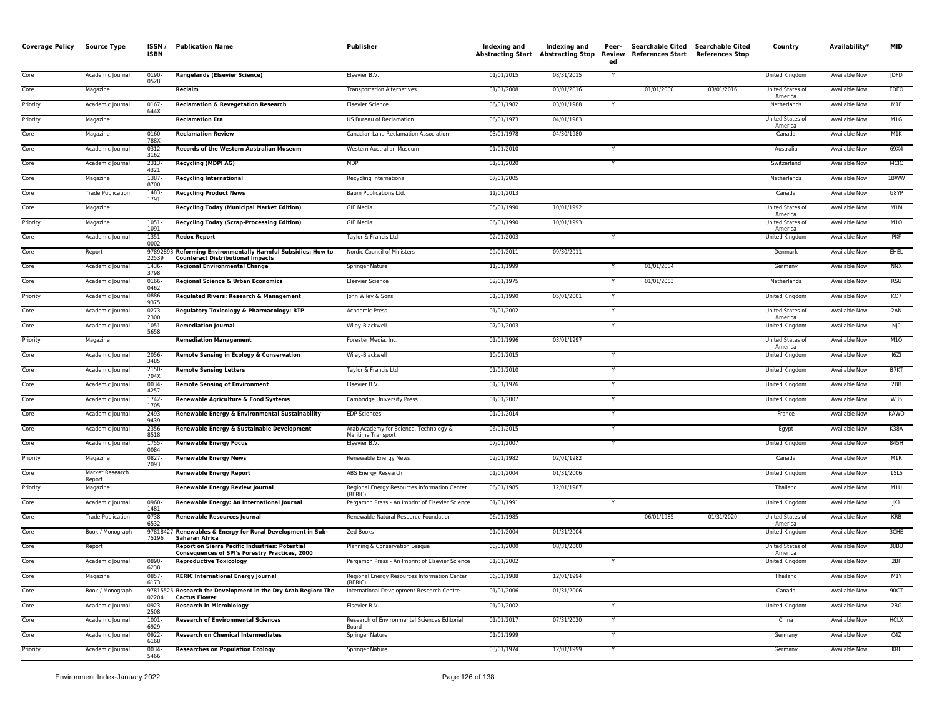| <b>Coverage Policy</b> | Source Type               | ISSN/<br><b>ISBN</b> | <b>Publication Name</b>                                                                                  | Publisher                                                    | Indexing and<br><b>Abstracting Start Abstracting Stop</b> | Indexing and | Peer-<br>Review<br>ed | Searchable Cited Searchable Cited<br>References Start References Stop |            | Country                     | Availability*        | <b>MID</b>       |
|------------------------|---------------------------|----------------------|----------------------------------------------------------------------------------------------------------|--------------------------------------------------------------|-----------------------------------------------------------|--------------|-----------------------|-----------------------------------------------------------------------|------------|-----------------------------|----------------------|------------------|
| Core                   | Academic Journal          | 0190-<br>0528        | <b>Rangelands (Elsevier Science)</b>                                                                     | Elsevier B.V.                                                | 01/01/2015                                                | 08/31/2015   | Y                     |                                                                       |            | United Kingdom              | Available Now        | <b>JDFD</b>      |
| Core                   | Magazine                  |                      | Reclaim                                                                                                  | <b>Transportation Alternatives</b>                           | 01/01/2008                                                | 03/01/2016   |                       | 01/01/2008                                                            | 03/01/2016 | United States of<br>America | Available Now        | FDEO             |
| Priority               | Academic Journal          | 0167-<br>644X        | <b>Reclamation &amp; Revegetation Research</b>                                                           | <b>Elsevier Science</b>                                      | 06/01/1982                                                | 03/01/1988   | Y                     |                                                                       |            | Netherlands                 | Available Now        | M1E              |
| Priority               | Magazine                  |                      | <b>Reclamation Era</b>                                                                                   | US Bureau of Reclamation                                     | 06/01/1973                                                | 04/01/1983   |                       |                                                                       |            | United States of<br>America | <b>Available Now</b> | M1G              |
| Core                   | Magazine                  | 0160<br>788X         | <b>Reclamation Review</b>                                                                                | Canadian Land Reclamation Association                        | 03/01/1978                                                | 04/30/1980   |                       |                                                                       |            | Canada                      | <b>Available Now</b> | M1K              |
| Core                   | Academic Journal          | 0312-<br>3162        | <b>Records of the Western Australian Museum</b>                                                          | Western Australian Museum                                    | 01/01/2010                                                |              |                       |                                                                       |            | Australia                   | <b>Available Now</b> | 69X4             |
| Cor <sub>e</sub>       | Academic Journal          | 2313<br>4321         | <b>Recycling (MDPI AG)</b>                                                                               | <b>MDPI</b>                                                  | 01/01/2020                                                |              | Y                     |                                                                       |            | Switzerland                 | <b>Available Now</b> | <b>MCIC</b>      |
| Core                   | Magazine                  | 1387-<br>8700        | <b>Recycling International</b>                                                                           | Recycling International                                      | 07/01/2005                                                |              |                       |                                                                       |            | Netherlands                 | Available Now        | 1BWW             |
| Core                   | <b>Trade Publication</b>  | 1483-<br>1791        | <b>Recycling Product News</b>                                                                            | Baum Publications Ltd.                                       | 11/01/2013                                                |              |                       |                                                                       |            | Canada                      | <b>Available Now</b> | G8YP             |
| Core                   | Magazine                  |                      | <b>Recycling Today (Municipal Market Edition)</b>                                                        | <b>GIE Media</b>                                             | 05/01/1990                                                | 10/01/1992   |                       |                                                                       |            | United States of<br>America | <b>Available Now</b> | M1M              |
| Priority               | Magazine                  | 1051-<br>1091        | <b>Recycling Today (Scrap-Processing Edition)</b>                                                        | <b>GIE Media</b>                                             | 06/01/1990                                                | 10/01/1993   |                       |                                                                       |            | United States of<br>America | Available Now        | M10              |
| Core                   | Academic Journal          | $1351 -$<br>0002     | <b>Redox Report</b>                                                                                      | Taylor & Francis Ltd                                         | 02/01/2003                                                |              | $\overline{Y}$        |                                                                       |            | <b>United Kingdom</b>       | <b>Available Now</b> | PKF              |
| Core                   | Report                    | 22539                | 97892893 Reforming Environmentally Harmful Subsidies: How to<br><b>Counteract Distributional Impacts</b> | Nordic Council of Ministers                                  | 09/01/2011                                                | 09/30/2011   |                       |                                                                       |            | Denmark                     | <b>Available Now</b> | <b>EHEL</b>      |
| Core                   | Academic Journal          | 1436<br>3798         | <b>Regional Environmental Change</b>                                                                     | <b>Springer Nature</b>                                       | 11/01/1999                                                |              |                       | 01/01/2004                                                            |            | Germany                     | <b>Available Now</b> | <b>NNX</b>       |
| Core                   | Academic Journal          | 0166<br>0462         | Regional Science & Urban Economics                                                                       | <b>Elsevier Science</b>                                      | 02/01/1975                                                |              |                       | 01/01/2003                                                            |            | Netherlands                 | Available Now        | <b>RSU</b>       |
| Priority               | Academic Journal          | 0886<br>9375         | Regulated Rivers: Research & Management                                                                  | John Wiley & Sons                                            | 01/01/1990                                                | 05/01/2001   | $\checkmark$          |                                                                       |            | United Kingdom              | Available Now        | KO7              |
| Core                   | Academic Journal          | $0273-$<br>2300      | Regulatory Toxicology & Pharmacology: RTP                                                                | <b>Academic Press</b>                                        | 01/01/2002                                                |              | Y                     |                                                                       |            | United States of<br>America | <b>Available Now</b> | 2AN              |
| Core                   | Academic Journal          | 1051<br>5658         | <b>Remediation Journal</b>                                                                               | Wiley-Blackwell                                              | 07/01/2003                                                |              |                       |                                                                       |            | United Kingdom              | Available Now        | $N$ JO           |
| Priority               | Magazine                  |                      | <b>Remediation Management</b>                                                                            | Forester Media, Inc.                                         | 01/01/1996                                                | 03/01/1997   |                       |                                                                       |            | United States of<br>America | <b>Available Now</b> | M <sub>1</sub> Q |
| Core                   | Academic Journal          | 2056-<br>3485        | Remote Sensing in Ecology & Conservation                                                                 | Wiley-Blackwell                                              | 10/01/2015                                                |              | Y                     |                                                                       |            | United Kingdom              | <b>Available Now</b> | 6Z               |
| Core                   | Academic Journal          | 2150<br>704X         | <b>Remote Sensing Letters</b>                                                                            | Taylor & Francis Ltd                                         | 01/01/2010                                                |              | Y                     |                                                                       |            | United Kingdom              | Available Now        | B7KT             |
| Core                   | Academic Journal          | 0034-<br>4257        | <b>Remote Sensing of Environment</b>                                                                     | Elsevier B.V.                                                | 01/01/1976                                                |              | Y                     |                                                                       |            | United Kingdom              | Available Now        | 2BB              |
| Core                   | Academic Journal          | 1742-<br>1705        | Renewable Agriculture & Food Systems                                                                     | Cambridge University Press                                   | 01/01/2007                                                |              | Y                     |                                                                       |            | United Kingdom              | Available Now        | W35              |
| Core                   | Academic Journal          | 2493-<br>9439        | Renewable Energy & Environmental Sustainability                                                          | <b>EDP Sciences</b>                                          | 01/01/2014                                                |              | Y                     |                                                                       |            | France                      | Available Now        | KAWO             |
| Core                   | Academic Journal          | 2356<br>8518         | Renewable Energy & Sustainable Development                                                               | Arab Academy for Science, Technology &<br>Maritime Transport | 06/01/2015                                                |              |                       |                                                                       |            | Egypt                       | <b>Available Now</b> | K38A             |
| Core                   | Academic Journal          | 1755<br>0084         | <b>Renewable Energy Focus</b>                                                                            | Elsevier B.V.                                                | 07/01/2007                                                |              | $\mathsf{Y}$          |                                                                       |            | <b>United Kingdom</b>       | <b>Available Now</b> | 845H             |
| Priority               | Magazine                  | 0827<br>2093         | <b>Renewable Energy News</b>                                                                             | Renewable Energy News                                        | 02/01/1982                                                | 02/01/1982   |                       |                                                                       |            | Canada                      | <b>Available Now</b> | M1R              |
| Core                   | Market Research<br>Report |                      | <b>Renewable Energy Report</b>                                                                           | ABS Energy Research                                          | 01/01/2004                                                | 01/31/2006   |                       |                                                                       |            | <b>United Kingdom</b>       | <b>Available Now</b> | 15L5             |
| Priority               | Magazine                  |                      | Renewable Energy Review Journal                                                                          | Regional Energy Resources Information Center<br>(RFRIC)      | 06/01/1985                                                | 12/01/1987   |                       |                                                                       |            | Thailand                    | Available Now        | M1U              |
| Core                   | Academic Journal          | 0960-<br>1481        | Renewable Energy: An International Journal                                                               | Pergamon Press - An Imprint of Elsevier Science              | 01/01/1991                                                |              |                       |                                                                       |            | United Kingdom              | <b>Available Now</b> | K1               |
| Core                   | <b>Trade Publication</b>  | 0738-<br>6532        | <b>Renewable Resources Journal</b>                                                                       | Renewable Natural Resource Foundation                        | 06/01/1985                                                |              |                       | 06/01/1985                                                            | 01/31/2020 | United States of<br>America | <b>Available Now</b> | KRB              |
| Core                   | Book / Monograph          | 75196                | 97818427 Renewables & Energy for Rural Development in Sub-<br><b>Saharan Africa</b>                      | Zed Books                                                    | 01/01/2004                                                | 01/31/2004   |                       |                                                                       |            | United Kingdom              | Available Now        | 3CHE             |
| Core                   | Report                    |                      | Report on Sierra Pacific Industries: Potential<br><b>Consequences of SPI's Forestry Practices, 2000</b>  | Planning & Conservation League                               | 08/01/2000                                                | 08/31/2000   |                       |                                                                       |            | United States of<br>America | <b>Available Now</b> | 38BU             |
| Core                   | Academic Journal          | 0890-<br>6238        | <b>Reproductive Toxicology</b>                                                                           | Pergamon Press - An Imprint of Elsevier Science              | 01/01/2002                                                |              |                       |                                                                       |            | <b>United Kingdom</b>       | <b>Available Now</b> | 2BF              |
| Core                   | Magazine                  | 0857<br>6173         | <b>RERIC International Energy Journal</b>                                                                | Regional Energy Resources Information Center<br>(RFRIC)      | 06/01/1988                                                | 12/01/1994   |                       |                                                                       |            | Thailand                    | <b>Available Now</b> | M1Y              |
| Core                   | Book / Monograph          | 978155<br>02204      | 25 Research for Development in the Dry Arab Region: The<br><b>Cactus Flower</b>                          | International Development Research Centre                    | 01/01/2006                                                | 01/31/2006   |                       |                                                                       |            | Canada                      | Available Now        | 90CT             |
| Core                   | Academic Journal          | 0923-<br>2508        | <b>Research in Microbiology</b>                                                                          | Elsevier B.V.                                                | 01/01/2002                                                |              |                       |                                                                       |            | United Kingdom              | Available Now        | 2BG              |
| Core                   | Academic Journal          | 1001<br>6929         | <b>Research of Environmental Sciences</b>                                                                | Research of Environmental Sciences Editorial<br>Board        | 01/01/2017                                                | 07/31/2020   | Y                     |                                                                       |            | China                       | <b>Available Now</b> | <b>HCLX</b>      |
| Core                   | Academic Journal          | 0922<br>6168         | <b>Research on Chemical Intermediates</b>                                                                | Springer Nature                                              | 01/01/1999                                                |              |                       |                                                                       |            | Germany                     | Available Now        | C4Z              |
| Priority               | Academic Journal          | 0034<br>5466         | <b>Researches on Population Ecology</b>                                                                  | Springer Nature                                              | 03/01/1974                                                | 12/01/1999   | $\mathsf{Y}$          |                                                                       |            | Germany                     | <b>Available Now</b> | KRF              |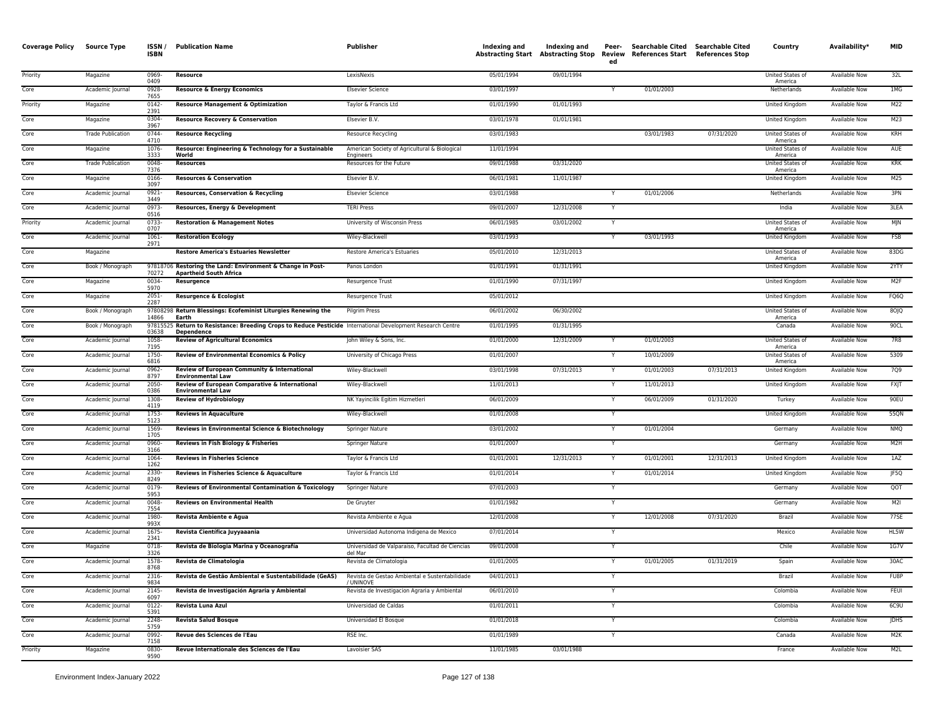| <b>Coverage Policy</b> | <b>Source Type</b>       | ISSN/<br><b>ISBN</b> | <b>Publication Name</b>                                                                                                          | Publisher                                                   | Indexing and<br><b>Abstracting Start</b> | Indexing and<br>Abstracting Stop | Peer-<br>ed  | Searchable Cited Searchable Cited<br>Review References Start References Stop |            | Country                            | Availability*        | <b>MID</b>       |
|------------------------|--------------------------|----------------------|----------------------------------------------------------------------------------------------------------------------------------|-------------------------------------------------------------|------------------------------------------|----------------------------------|--------------|------------------------------------------------------------------------------|------------|------------------------------------|----------------------|------------------|
| Priority               | Magazine                 | 0969-<br>0409        | Resource                                                                                                                         | LexisNexis                                                  | 05/01/1994                               | 09/01/1994                       |              |                                                                              |            | United States of<br>America        | Available Now        | 32L              |
| Core                   | Academic Journal         | 0928<br>7655         | <b>Resource &amp; Energy Economics</b>                                                                                           | <b>Elsevier Science</b>                                     | 03/01/1997                               |                                  |              | 01/01/2003                                                                   |            | Netherlands                        | <b>Available Now</b> | 1MG              |
| Priority               | Magazine                 | 0142<br>2391         | <b>Resource Management &amp; Optimization</b>                                                                                    | Taylor & Francis Ltd                                        | 01/01/1990                               | 01/01/1993                       |              |                                                                              |            | <b>United Kingdom</b>              | <b>Available Now</b> | M22              |
| Core                   | Magazine                 | 0304<br>3967         | <b>Resource Recovery &amp; Conservation</b>                                                                                      | Elsevier B.V.                                               | 03/01/1978                               | 01/01/1981                       |              |                                                                              |            | United Kingdom                     | Available Now        | M <sub>23</sub>  |
| Core                   | <b>Trade Publication</b> | 0744<br>4710         | <b>Resource Recycling</b>                                                                                                        | Resource Recycling                                          | 03/01/1983                               |                                  |              | 03/01/1983                                                                   | 07/31/2020 | United States of<br>America        | Available Now        | <b>KRH</b>       |
| Core                   | Magazine                 | 1076-<br>3333        | Resource: Engineering & Technology for a Sustainable<br>World                                                                    | American Society of Agricultural & Biological<br>Engineers  | 11/01/1994                               |                                  |              |                                                                              |            | United States of<br>America        | <b>Available Now</b> | AUE              |
| Core                   | <b>Trade Publication</b> | $0048 -$<br>7376     | <b>Resources</b>                                                                                                                 | Resources for the Future                                    | 09/01/1988                               | 03/31/2020                       |              |                                                                              |            | <b>United States of</b><br>America | <b>Available Now</b> | <b>KRK</b>       |
| Core                   | Magazine                 | 0166-<br>3097        | <b>Resources &amp; Conservation</b>                                                                                              | Elsevier B.V.                                               | 06/01/1981                               | 11/01/1987                       |              |                                                                              |            | United Kingdom                     | Available Now        | M25              |
| Core                   | Academic Journal         | 0921<br>3449         | Resources, Conservation & Recycling                                                                                              | <b>Elsevier Science</b>                                     | 03/01/1988                               |                                  |              | 01/01/2006                                                                   |            | Netherlands                        | <b>Available Now</b> | 3PN              |
| Core                   | Academic Journal         | 0973-<br>0516        | Resources, Energy & Development                                                                                                  | <b>TERI Press</b>                                           | 09/01/2007                               | 12/31/2008                       | Y            |                                                                              |            | India                              | <b>Available Now</b> | 3LEA             |
| Priority               | Academic Journal         | 0733<br>0707         | <b>Restoration &amp; Management Notes</b>                                                                                        | University of Wisconsin Press                               | 06/01/1985                               | 03/01/2002                       |              |                                                                              |            | United States of<br>America        | <b>Available Now</b> | MJN              |
| Core                   | Academic Journal         | 1061<br>2971         | <b>Restoration Ecology</b>                                                                                                       | Wiley-Blackwell                                             | 03/01/1993                               |                                  | Y            | 03/01/1993                                                                   |            | United Kingdom                     | Available Now        | FSB              |
| Core                   | Magazine                 |                      | <b>Restore America's Estuaries Newsletter</b>                                                                                    | Restore America's Estuaries                                 | 05/01/2010                               | 12/31/2013                       |              |                                                                              |            | United States of<br>America        | <b>Available Now</b> | 83DG             |
| Core                   | Book / Monograph         | 70272                | 97818706 Restoring the Land: Environment & Change in Post-<br><b>Apartheid South Africa</b>                                      | Panos London                                                | 01/01/1991                               | 01/31/1991                       |              |                                                                              |            | United Kingdom                     | <b>Available Now</b> | 2YTY             |
| Core                   | Magazine                 | 0034<br>5970         | Resurgence                                                                                                                       | Resurgence Trust                                            | 01/01/1990                               | 07/31/1997                       |              |                                                                              |            | United Kingdom                     | Available Now        | M <sub>2F</sub>  |
| Core                   | Magazine                 | $2051 -$<br>2287     | Resurgence & Ecologist                                                                                                           | Resurgence Trust                                            | 05/01/2012                               |                                  |              |                                                                              |            | United Kingdom                     | <b>Available Now</b> | FQ6Q             |
| Core                   | Book / Monograph         | 14866                | 97808298 Return Blessings: Ecofeminist Liturgies Renewing the<br>Earth                                                           | <b>Pilgrim Press</b>                                        | 06/01/2002                               | 06/30/2002                       |              |                                                                              |            | United States of<br>America        | Available Now        | 8OJQ             |
| Core                   | Book / Monograph         | 03638                | 97815525 Return to Resistance: Breeding Crops to Reduce Pesticide International Development Research Centre<br><b>Dependence</b> |                                                             | 01/01/1995                               | 01/31/1995                       |              |                                                                              |            | Canada                             | Available Now        | 90CL             |
| Core                   | Academic Journal         | 1058-<br>7195        | <b>Review of Agricultural Economics</b>                                                                                          | John Wiley & Sons, Inc.                                     | 01/01/2000                               | 12/31/2009                       |              | 01/01/2003                                                                   |            | United States of<br>America        | Available Now        | 7R8              |
| Core                   | Academic Journal         | 1750<br>6816         | Review of Environmental Economics & Policy                                                                                       | University of Chicago Press                                 | 01/01/2007                               |                                  |              | 10/01/2009                                                                   |            | <b>United States of</b><br>America | Available Now        | 5309             |
| Core                   | Academic Journal         | 0962-<br>8797        | Review of European Community & International<br><b>Environmental Law</b>                                                         | Wiley-Blackwell                                             | 03/01/1998                               | 07/31/2013                       | Y            | 01/01/2003                                                                   | 07/31/2013 | <b>United Kingdom</b>              | <b>Available Now</b> | 709              |
| Core                   | Academic Journal         | 2050-<br>0386        | Review of European Comparative & International<br><b>Environmental Law</b>                                                       | Wiley-Blackwell                                             | 11/01/2013                               |                                  |              | 11/01/2013                                                                   |            | <b>United Kingdom</b>              | <b>Available Now</b> | <b>FXJT</b>      |
| Core                   | Academic Journal         | 1308<br>4119         | <b>Review of Hydrobiology</b>                                                                                                    | NK Yayincilik Egitim Hizmetleri                             | 06/01/2009                               |                                  | <b>Y</b>     | 06/01/2009                                                                   | 01/31/2020 | Turkey                             | <b>Available Now</b> | 90EU             |
| Core                   | Academic Journal         | 1753<br>5123         | <b>Reviews in Aquaculture</b>                                                                                                    | Wiley-Blackwell                                             | 01/01/2008                               |                                  |              |                                                                              |            | United Kingdom                     | Available Now        | 55QN             |
| Core                   | Academic Journal         | 1569<br>1705         | Reviews in Environmental Science & Biotechnology                                                                                 | Springer Nature                                             | 03/01/2002                               |                                  | Y            | 01/01/2004                                                                   |            | Germany                            | Available Now        | <b>NMQ</b>       |
| Core                   | Academic Journal         | 0960-<br>3166        | Reviews in Fish Biology & Fisheries                                                                                              | Springer Nature                                             | 01/01/2007                               |                                  | Y            |                                                                              |            | Germany                            | Available Now        | M2H              |
| Core                   | Academic Journal         | 1064-<br>1262        | <b>Reviews in Fisheries Science</b>                                                                                              | Taylor & Francis Ltd                                        | 01/01/2001                               | 12/31/2013                       |              | 01/01/2001                                                                   | 12/31/2013 | <b>United Kingdom</b>              | <b>Available Now</b> | 1AZ              |
| Core                   | Academic Journal         | 2330<br>8249         | Reviews in Fisheries Science & Aquaculture                                                                                       | Taylor & Francis Ltd                                        | 01/01/2014                               |                                  | $\mathsf{v}$ | 01/01/2014                                                                   |            | <b>United Kingdom</b>              | <b>Available Now</b> | JF5Q             |
| Core                   | Academic Journal         | 0179<br>5953         | Reviews of Environmental Contamination & Toxicology                                                                              | Springer Nature                                             | 07/01/2003                               |                                  |              |                                                                              |            | Germany                            | Available Now        | QOT              |
| Core                   | Academic Journal         | 0048<br>7554         | <b>Reviews on Environmental Health</b>                                                                                           | De Gruyter                                                  | 01/01/1982                               |                                  | Y            |                                                                              |            | Germany                            | Available Now        | M2I              |
| Core                   | Academic Journal         | 1980-<br>993X        | Revista Ambiente e Água                                                                                                          | Revista Ambiente e Aqua                                     | 12/01/2008                               |                                  | Y            | 12/01/2008                                                                   | 07/31/2020 | Brazil                             | <b>Available Now</b> | <b>77SE</b>      |
| Core                   | Academic Journal         | 1675<br>2341         | Revista Científica Juyyaaania                                                                                                    | Universidad Autonoma Indigena de Mexico                     | 07/01/2014                               |                                  | Y            |                                                                              |            | Mexico                             | <b>Available Now</b> | HL5W             |
| Core                   | Magazine                 | 0718<br>3326         | Revista de Biologia Marina y Oceanografía                                                                                        | Universidad de Valparaiso, Facultad de Ciencias<br>del Mar  | 09/01/2008                               |                                  |              |                                                                              |            | Chile                              | Available Now        | 1G7V             |
| Core                   | Academic Journal         | 1578<br>8768         | Revista de Climatologia                                                                                                          | Revista de Climatologia                                     | 01/01/2005                               |                                  | Y            | 01/01/2005                                                                   | 01/31/2019 | Spain                              | <b>Available Now</b> | 30AC             |
| Core                   | Academic Journal         | 2316-<br>9834        | Revista de Gestão Ambiental e Sustentabilidade (GeAS)                                                                            | Revista de Gestao Ambiental e Sustentabilidade<br>/ UNINOVE | 04/01/2013                               |                                  | $\mathsf{v}$ |                                                                              |            | Brazil                             | <b>Available Now</b> | FU8P             |
| Core                   | Academic Journal         | 2145<br>6097         | Revista de Investigación Agraria y Ambiental                                                                                     | Revista de Investigacion Agraria y Ambiental                | 06/01/2010                               |                                  |              |                                                                              |            | Colombia                           | <b>Available Now</b> | FEUI             |
| Core                   | Academic Journal         | 0122-<br>5391        | Revista Luna Azul                                                                                                                | Universidad de Caldas                                       | 01/01/2011                               |                                  | Y            |                                                                              |            | Colombia                           | Available Now        | 6C9U             |
| Core                   | Academic Journal         | 2248-<br>5759        | <b>Revista Salud Bosque</b>                                                                                                      | Universidad El Bosque                                       | 01/01/2018                               |                                  | Y            |                                                                              |            | Colombia                           | <b>Available Now</b> | <b>IDHS</b>      |
| Core                   | Academic Journal         | 0992-<br>7158        | Revue des Sciences de l'Eau                                                                                                      | RSE Inc.                                                    | 01/01/1989                               |                                  | Y            |                                                                              |            | Canada                             | <b>Available Now</b> | M <sub>2</sub> K |
| Priority               | Magazine                 | 0830-<br>9590        | Revue Internationale des Sciences de l'Eau                                                                                       | Lavoisier SAS                                               | 11/01/1985                               | 03/01/1988                       |              |                                                                              |            | France                             | <b>Available Now</b> | M2L              |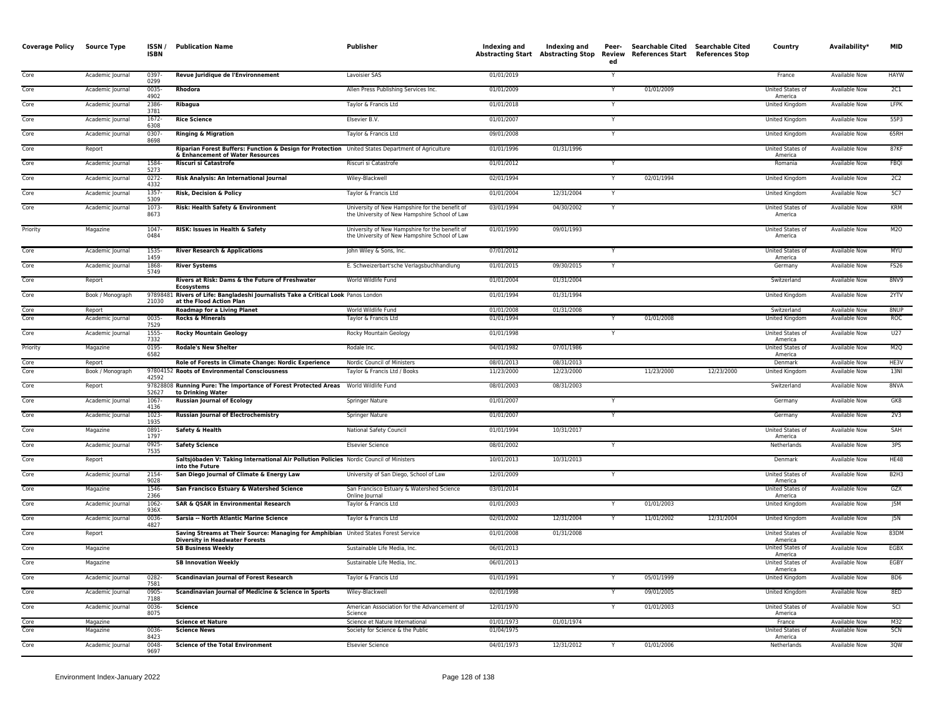| <b>Coverage Policy</b> | Source Type                | ISSN/<br><b>ISBN</b> | <b>Publication Name</b>                                                                                                               | Publisher                                                                                       | Indexing and             | Indexing and<br><b>Abstracting Start Abstracting Stop</b> | Peer-<br>Review<br>ed | Searchable Cited Searchable Cited<br>References Start References Stop |            | Country                                | Availability*                         | <b>MID</b>                    |
|------------------------|----------------------------|----------------------|---------------------------------------------------------------------------------------------------------------------------------------|-------------------------------------------------------------------------------------------------|--------------------------|-----------------------------------------------------------|-----------------------|-----------------------------------------------------------------------|------------|----------------------------------------|---------------------------------------|-------------------------------|
| Core                   | Academic Journal           | 0397<br>0299         | Revue Juridique de l'Environnement                                                                                                    | Lavoisier SAS                                                                                   | 01/01/2019               |                                                           |                       |                                                                       |            | France                                 | <b>Available Now</b>                  | <b>HAYW</b>                   |
| Core                   | Academic Journal           | 0035-<br>4902        | Rhodora                                                                                                                               | Allen Press Publishing Services Inc.                                                            | 01/01/2009               |                                                           | Y                     | 01/01/2009                                                            |            | United States of<br>America            | <b>Available Now</b>                  | 2C1                           |
| Core                   | Academic Journal           | 2386-<br>3781        | Ribagua                                                                                                                               | Taylor & Francis Ltd                                                                            | 01/01/2018               |                                                           |                       |                                                                       |            | <b>United Kingdom</b>                  | <b>Available Now</b>                  | <b>LFPK</b>                   |
| Core                   | Academic Journal           | 1672-<br>6308        | <b>Rice Science</b>                                                                                                                   | Elsevier B.V.                                                                                   | 01/01/2007               |                                                           | Y                     |                                                                       |            | United Kingdom                         | Available Now                         | 55P3                          |
| Core                   | Academic Journal           | 0307<br>8698         | <b>Ringing &amp; Migration</b>                                                                                                        | Taylor & Francis Ltd                                                                            | 09/01/2008               |                                                           |                       |                                                                       |            | United Kingdom                         | Available Now                         | 65RH                          |
| Core                   | Report                     |                      | Riparian Forest Buffers: Function & Design for Protection United States Department of Agriculture<br>& Enhancement of Water Resources |                                                                                                 | 01/01/1996               | 01/31/1996                                                |                       |                                                                       |            | United States of<br>America            | <b>Available Now</b>                  | 87KF                          |
| Core                   | Academic Journal           | 1584-<br>5273        | <b>Riscuri si Catastrofe</b>                                                                                                          | Riscuri si Catastrofe                                                                           | 01/01/2012               |                                                           |                       |                                                                       |            | Romania                                | Available Now                         | <b>FBQI</b>                   |
| Core                   | Academic Journal           | 0272-<br>4332        | Risk Analysis: An International Journal                                                                                               | Wiley-Blackwell                                                                                 | 02/01/1994               |                                                           |                       | 02/01/1994                                                            |            | United Kingdom                         | Available Now                         | 2C2                           |
| Core                   | Academic Journal           | 1357-<br>5309        | <b>Risk, Decision &amp; Policy</b>                                                                                                    | Taylor & Francis Ltd                                                                            | 01/01/2004               | 12/31/2004                                                | Y                     |                                                                       |            | <b>United Kingdom</b>                  | <b>Available Now</b>                  | 5C7                           |
| Core                   | Academic Journal           | $1073-$<br>8673      | Risk: Health Safety & Environment                                                                                                     | University of New Hampshire for the benefit of<br>the University of New Hampshire School of Law | 03/01/1994               | 04/30/2002                                                | Y                     |                                                                       |            | United States of<br>America            | <b>Available Now</b>                  | <b>KRM</b>                    |
| Priority               | Magazine                   | 1047-<br>0484        | RISK: Issues in Health & Safety                                                                                                       | University of New Hampshire for the benefit of<br>the University of New Hampshire School of Law | 01/01/1990               | 09/01/1993                                                |                       |                                                                       |            | United States of<br>America            | <b>Available Now</b>                  | M2O                           |
| Core                   | Academic Journal           | 1535<br>1459         | <b>River Research &amp; Applications</b>                                                                                              | John Wiley & Sons, Inc.                                                                         | 07/01/2012               |                                                           |                       |                                                                       |            | United States of<br>America            | <b>Available Now</b>                  | <b>MYU</b>                    |
| Core                   | Academic Journal           | 1868-<br>5749        | <b>River Systems</b>                                                                                                                  | E. Schweizerbart'sche Verlagsbuchhandlung                                                       | 01/01/2015               | 09/30/2015                                                | Y                     |                                                                       |            | Germany                                | Available Now                         | <b>FS26</b>                   |
| Core                   | Report                     |                      | Rivers at Risk: Dams & the Future of Freshwater<br><b>Ecosystems</b>                                                                  | World Wildlife Fund                                                                             | 01/01/2004               | 01/31/2004                                                |                       |                                                                       |            | Switzerland                            | Available Now                         | 8NV9                          |
| Core                   | Book / Monograph           | 21030                | 97898481 Rivers of Life: Bangladeshi Journalists Take a Critical Look Panos London<br>at the Flood Action Plan                        |                                                                                                 | 01/01/1994               | 01/31/1994                                                |                       |                                                                       |            | United Kingdom                         | Available Now                         | 2YTV                          |
| Core<br>Core           | Report<br>Academic Journal | $0035 -$             | <b>Roadmap for a Living Planet</b><br><b>Rocks &amp; Minerals</b>                                                                     | World Wildlife Fund<br>Taylor & Francis Ltd                                                     | 01/01/2008<br>01/01/1994 | 01/31/2008                                                |                       | 01/01/2008                                                            |            | Switzerland<br><b>United Kingdom</b>   | Available Now<br><b>Available Now</b> | 8NUP<br><b>ROC</b>            |
|                        |                            | 7529                 |                                                                                                                                       |                                                                                                 |                          |                                                           |                       |                                                                       |            |                                        |                                       |                               |
| Core                   | Academic Journal           | 1555<br>7332         | <b>Rocky Mountain Geology</b>                                                                                                         | Rocky Mountain Geology                                                                          | 01/01/1998               |                                                           | Y                     |                                                                       |            | <b>United States of</b><br>America     | <b>Available Now</b>                  | U27                           |
| Priority               | Magazine                   | 0195-<br>6582        | <b>Rodale's New Shelter</b>                                                                                                           | Rodale Inc.                                                                                     | 04/01/1982               | 07/01/1986                                                |                       |                                                                       |            | United States of<br>America            | <b>Available Now</b>                  | M <sub>2</sub> Q              |
| Core<br>Core           | Report<br>Book / Monograph |                      | Role of Forests in Climate Change: Nordic Experience<br>97804152 Roots of Environmental Consciousness                                 | Nordic Council of Ministers<br>Taylor & Francis Ltd / Books                                     | 08/01/2013<br>11/23/2000 | 08/31/2013<br>12/23/2000                                  |                       | 11/23/2000                                                            | 12/23/2000 | Denmark<br>United Kingdom              | Available Now<br><b>Available Now</b> | HE3V<br>13NI                  |
| Core                   | Report                     | 42592                | 97828808 Running Pure: The Importance of Forest Protected Areas World Wildlife Fund                                                   |                                                                                                 | 08/01/2003               | 08/31/2003                                                |                       |                                                                       |            | Switzerland                            | <b>Available Now</b>                  | 8NVA                          |
| Core                   | Academic Journal           | 52627<br>1067        | to Drinking Water<br><b>Russian Journal of Ecology</b>                                                                                | Springer Nature                                                                                 | 01/01/2007               |                                                           |                       |                                                                       |            | Germany                                | Available Now                         | GK8                           |
| Core                   | Academic Journal           | 4136<br>1023-        | <b>Russian Journal of Electrochemistry</b>                                                                                            | Springer Nature                                                                                 | 01/01/2007               |                                                           | Y                     |                                                                       |            | Germany                                | <b>Available Now</b>                  | 2V3                           |
| Core                   | Magazine                   | 1935<br>0891         | Safety & Health                                                                                                                       | National Safety Council                                                                         | 01/01/1994               | 10/31/2017                                                |                       |                                                                       |            | <b>United States of</b>                | <b>Available Now</b>                  | SAH                           |
| Core                   | Academic Journal           | 1797<br>0925-        | <b>Safety Science</b>                                                                                                                 | <b>Elsevier Science</b>                                                                         | 08/01/2002               |                                                           | Y                     |                                                                       |            | America<br>Netherlands                 | Available Now                         | 3PS                           |
| Core                   | Report                     | 7535                 | Saltsjöbaden V: Taking International Air Pollution Policies Nordic Council of Ministers                                               |                                                                                                 | 10/01/2013               | 10/31/2013                                                |                       |                                                                       |            | Denmark                                | Available Now                         | HE48                          |
| Core                   | Academic Journal           | 2154-                | into the Future<br>San Diego Journal of Climate & Energy Law                                                                          | University of San Diego, School of Law                                                          | 12/01/2009               |                                                           | $\mathsf{v}$          |                                                                       |            | United States of                       | Available Now                         | B <sub>2</sub> H <sub>3</sub> |
| Core                   | Magazine                   | 9028<br>1546         | San Francisco Estuary & Watershed Science                                                                                             | San Francisco Estuary & Watershed Science                                                       | 03/01/2014               |                                                           |                       |                                                                       |            | America<br>United States of            | Available Now                         | GZX                           |
| Core                   | Academic Journal           | 2366<br>1062         | <b>SAR &amp; QSAR in Environmental Research</b>                                                                                       | Online Journal<br>Taylor & Francis Ltd                                                          | 01/01/2003               |                                                           |                       | 01/01/2003                                                            |            | America<br>United Kingdom              | Available Now                         | J5M                           |
| Core                   | Academic Journal           | 936X<br>0036<br>4827 | Sarsia -- North Atlantic Marine Science                                                                                               | Taylor & Francis Ltd                                                                            | 02/01/2002               | 12/31/2004                                                | Y                     | 11/01/2002                                                            | 12/31/2004 | <b>United Kingdom</b>                  | <b>Available Now</b>                  | J5N                           |
| Core                   | Report                     |                      | Saving Streams at Their Source: Managing for Amphibian United States Forest Service                                                   |                                                                                                 | 01/01/2008               | 01/31/2008                                                |                       |                                                                       |            | United States of                       | <b>Available Now</b>                  | 83DM                          |
| Core                   | Magazine                   |                      | <b>Diversity in Headwater Forests</b><br><b>SB Business Weekly</b>                                                                    | Sustainable Life Media, Inc.                                                                    | 06/01/2013               |                                                           |                       |                                                                       |            | America<br>United States of<br>America | Available Now                         | EGBX                          |
| Core                   | Magazine                   |                      | <b>SB Innovation Weekly</b>                                                                                                           | Sustainable Life Media, Inc.                                                                    | 06/01/2013               |                                                           |                       |                                                                       |            | United States of<br>America            | <b>Available Now</b>                  | EGBY                          |
| Core                   | Academic Journal           | 0282-<br>7581        | <b>Scandinavian Journal of Forest Research</b>                                                                                        | Taylor & Francis Ltd                                                                            | 01/01/1991               |                                                           |                       | 05/01/1999                                                            |            | United Kingdom                         | <b>Available Now</b>                  | BD <sub>6</sub>               |
| Core                   | Academic Journal           | 0905-<br>7188        | Scandinavian Journal of Medicine & Science in Sports                                                                                  | Wiley-Blackwell                                                                                 | 02/01/1998               |                                                           |                       | 09/01/2005                                                            |            | <b>United Kingdom</b>                  | <b>Available Now</b>                  | 8ED                           |
| Core                   | Academic Journal           | $0036 -$<br>8075     | <b>Science</b>                                                                                                                        | American Association for the Advancement of<br>Science                                          | 12/01/1970               |                                                           |                       | 01/01/2003                                                            |            | United States of<br>America            | <b>Available Now</b>                  | SCI                           |
| Core                   | Magazine                   |                      | <b>Science et Nature</b>                                                                                                              | Science et Nature International                                                                 | 01/01/1973               | 01/01/1974                                                |                       |                                                                       |            | France                                 | <b>Available Now</b>                  | M32                           |
| Core                   | Magazine                   | 0036<br>8423         | <b>Science News</b>                                                                                                                   | Society for Science & the Public                                                                | 01/04/1975               |                                                           |                       |                                                                       |            | United States of<br>America            | Available Now                         | SCN                           |
| Core                   | Academic Journal           | 0048-<br>9697        | <b>Science of the Total Environment</b>                                                                                               | <b>Elsevier Science</b>                                                                         | 04/01/1973               | 12/31/2012                                                |                       | 01/01/2006                                                            |            | Netherlands                            | Available Now                         | 3QW                           |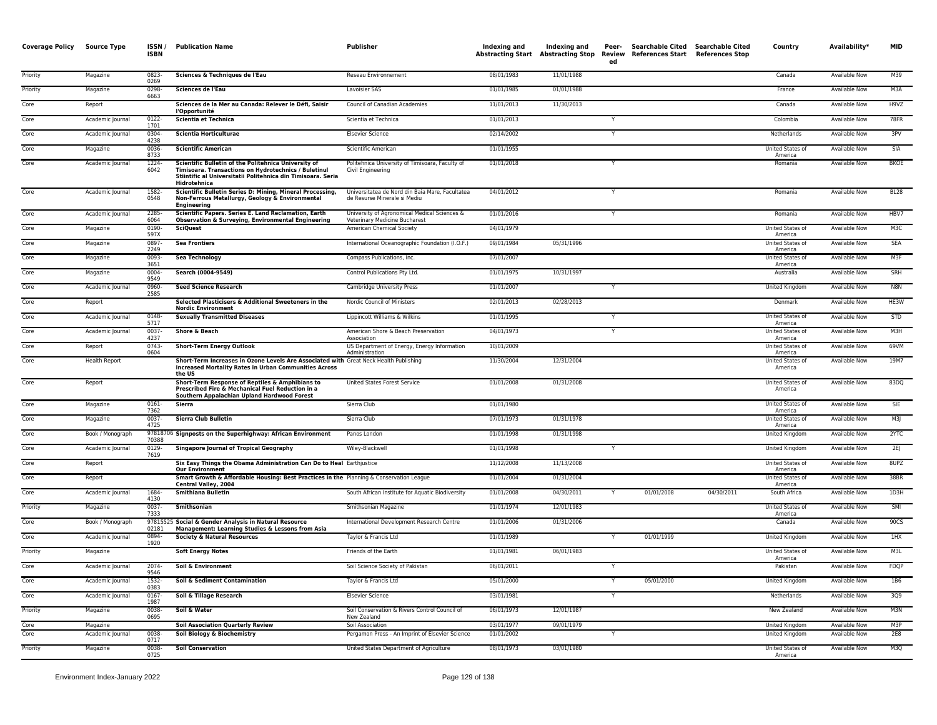| Coverage Policy Source Type |                      | ISSN/<br><b>ISBN</b> | <b>Publication Name</b>                                                                                                                                                                             | Publisher                                                                       | Indexing and | Indexing and | Peer-<br>ed | Searchable Cited Searchable Cited<br>Abstracting Start Abstracting Stop Review References Start References Stop |            | Country                            | Availability*        | <b>MID</b>       |
|-----------------------------|----------------------|----------------------|-----------------------------------------------------------------------------------------------------------------------------------------------------------------------------------------------------|---------------------------------------------------------------------------------|--------------|--------------|-------------|-----------------------------------------------------------------------------------------------------------------|------------|------------------------------------|----------------------|------------------|
| Priority                    | Magazine             | 0823-<br>0269        | Sciences & Techniques de l'Eau                                                                                                                                                                      | Reseau Environnement                                                            | 08/01/1983   | 11/01/1988   |             |                                                                                                                 |            | Canada                             | <b>Available Now</b> | M39              |
| Priority                    | Magazine             | 0298-<br>6663        | Sciences de l'Eau                                                                                                                                                                                   | Lavoisier SAS                                                                   | 01/01/1985   | 01/01/1988   |             |                                                                                                                 |            | France                             | Available Now        | M3A              |
| Core                        | Report               |                      | Sciences de la Mer au Canada: Relever le Défi, Saisir<br>l'Opportunité                                                                                                                              | Council of Canadian Academies                                                   | 11/01/2013   | 11/30/2013   |             |                                                                                                                 |            | Canada                             | <b>Available Now</b> | H9VZ             |
| Core                        | Academic Journal     | 0122-<br>1701        | Scientia et Technica                                                                                                                                                                                | Scientia et Technica                                                            | 01/01/2013   |              | Y           |                                                                                                                 |            | Colombia                           | Available Now        | <b>78FR</b>      |
| Core                        | Academic Journal     | 0304-<br>4238        | Scientia Horticulturae                                                                                                                                                                              | <b>Elsevier Science</b>                                                         | 02/14/2002   |              |             |                                                                                                                 |            | Netherlands                        | Available Now        | 3PV              |
| Core                        | Magazine             | 0036-<br>8733        | <b>Scientific American</b>                                                                                                                                                                          | Scientific American                                                             | 01/01/1955   |              |             |                                                                                                                 |            | United States of<br>America        | Available Now        | <b>SIA</b>       |
| Core                        | Academic Journal     | 1224-<br>6042        | Scientific Bulletin of the Politehnica University of<br><b>Timisoara. Transactions on Hydrotechnics / Buletinul</b><br>Stiintific al Universitatii Politehnica din Timisoara. Seria<br>Hidrotehnica | Politehnica University of Timisoara, Faculty of<br>Civil Engineering            | 01/01/2018   |              |             |                                                                                                                 |            | Romania                            | <b>Available Now</b> | <b>BKOE</b>      |
| Core                        | Academic Journal     | 1582-<br>0548        | Scientific Bulletin Series D: Mining, Mineral Processing,<br>Non-Ferrous Metallurgy, Geology & Environmental<br>Engineering                                                                         | Universitatea de Nord din Baia Mare, Facultatea<br>de Resurse Minerale si Mediu | 04/01/2012   |              |             |                                                                                                                 |            | Romania                            | <b>Available Now</b> | <b>BL28</b>      |
| Core                        | Academic Journal     | 2285-<br>6064        | <b>Scientific Papers. Series E. Land Reclamation, Earth</b><br><b>Observation &amp; Surveying, Environmental Engineering</b>                                                                        | University of Agronomical Medical Sciences &<br>Veterinary Medicine Bucharest   | 01/01/2016   |              |             |                                                                                                                 |            | Romania                            | <b>Available Now</b> | HBV7             |
| Core                        | Magazine             | 0190-<br>597X        | <b>SciQuest</b>                                                                                                                                                                                     | American Chemical Society                                                       | 04/01/1979   |              |             |                                                                                                                 |            | United States of<br>America        | <b>Available Now</b> | M3C              |
| Core                        | Magazine             | 0897-<br>2249        | <b>Sea Frontiers</b>                                                                                                                                                                                | International Oceanographic Foundation (I.O.F.)                                 | 09/01/1984   | 05/31/1996   |             |                                                                                                                 |            | United States of<br>America        | Available Now        | SEA              |
| Core                        | Magazine             | 0093<br>3651         | <b>Sea Technology</b>                                                                                                                                                                               | Compass Publications, Inc.                                                      | 07/01/2007   |              |             |                                                                                                                 |            | United States of<br>America        | <b>Available Now</b> | M3F              |
| Core                        | Magazine             | 0004-<br>9549        | Search (0004-9549)                                                                                                                                                                                  | Control Publications Pty Ltd.                                                   | 01/01/1975   | 10/31/1997   |             |                                                                                                                 |            | Australia                          | Available Now        | SRH              |
| Core                        | Academic Journal     | 0960-<br>2585        | <b>Seed Science Research</b>                                                                                                                                                                        | Cambridge University Press                                                      | 01/01/2007   |              |             |                                                                                                                 |            | United Kingdom                     | Available Now        | N8N              |
| Core                        | Report               |                      | Selected Plasticisers & Additional Sweeteners in the<br><b>Nordic Environment</b>                                                                                                                   | Nordic Council of Ministers                                                     | 02/01/2013   | 02/28/2013   |             |                                                                                                                 |            | Denmark                            | <b>Available Now</b> | HE3W             |
| Core                        | Academic Journal     | 0148-<br>5717        | <b>Sexually Transmitted Diseases</b>                                                                                                                                                                | Lippincott Williams & Wilkins                                                   | 01/01/1995   |              |             |                                                                                                                 |            | United States of<br>America        | <b>Available Now</b> | <b>STD</b>       |
| Core                        | Academic Journal     | 0037<br>4237         | Shore & Beach                                                                                                                                                                                       | American Shore & Beach Preservation<br>Association                              | 04/01/1973   |              |             |                                                                                                                 |            | United States of<br>America        | <b>Available Now</b> | M3H              |
| Core                        | Report               | 0743-<br>0604        | <b>Short-Term Energy Outlook</b>                                                                                                                                                                    | US Department of Energy, Energy Information<br>Administration                   | 10/01/2009   |              |             |                                                                                                                 |            | United States of<br>America        | Available Now        | 69VM             |
| Core                        | <b>Health Report</b> |                      | Short-Term Increases in Ozone Levels Are Associated with Great Neck Health Publishing<br><b>Increased Mortality Rates in Urban Communities Across</b><br>the US                                     |                                                                                 | 11/30/2004   | 12/31/2004   |             |                                                                                                                 |            | United States of<br>America        | Available Now        | 19M7             |
| Core                        | Report               |                      | Short-Term Response of Reptiles & Amphibians to<br>Prescribed Fire & Mechanical Fuel Reduction in a<br>Southern Appalachian Upland Hardwood Forest                                                  | United States Forest Service                                                    | 01/01/2008   | 01/31/2008   |             |                                                                                                                 |            | United States of<br>America        | <b>Available Now</b> | 83DQ             |
| Core                        | Magazine             | $0161 -$<br>7362     | <b>Sierra</b>                                                                                                                                                                                       | Sierra Club                                                                     | 01/01/1980   |              |             |                                                                                                                 |            | United States of<br>America        | <b>Available Now</b> | SIE              |
| Core                        | Magazine             | $0037 -$<br>4725     | Sierra Club Bulletin                                                                                                                                                                                | Sierra Club                                                                     | 07/01/1973   | 01/31/1978   |             |                                                                                                                 |            | United States of<br>America        | Available Now        | M3J              |
| Core                        | Book / Monograph     | 70388                | 97818706 Signposts on the Superhighway: African Environment                                                                                                                                         | Panos London                                                                    | 01/01/1998   | 01/31/1998   |             |                                                                                                                 |            | United Kingdom                     | Available Now        | 2YTC             |
| Core                        | Academic Journal     | 0129-<br>7619        | <b>Singapore Journal of Tropical Geography</b>                                                                                                                                                      | Wiley-Blackwell                                                                 | 01/01/1998   |              |             |                                                                                                                 |            | <b>United Kingdom</b>              | <b>Available Now</b> | 2E               |
| Core                        | Report               |                      | Six Easy Things the Obama Administration Can Do to Heal Earthjustice<br><b>Our Environment</b>                                                                                                      |                                                                                 | 11/12/2008   | 11/13/2008   |             |                                                                                                                 |            | United States of<br>America        | <b>Available Now</b> | 8UPZ             |
| Core                        | Report               |                      | Smart Growth & Affordable Housing: Best Practices in the Planning & Conservation League<br><b>Central Valley, 2004</b>                                                                              |                                                                                 | 01/01/2004   | 01/31/2004   |             |                                                                                                                 |            | United States of<br>America        | Available Now        | 38BR             |
| Core                        | Academic Journal     | 1684<br>4130         | <b>Smithiana Bulletin</b>                                                                                                                                                                           | South African Institute for Aquatic Biodiversity                                | 01/01/2008   | 04/30/2011   |             | 01/01/2008                                                                                                      | 04/30/2011 | South Africa                       | <b>Available Now</b> | 1D3H             |
| Priority                    | Magazine             | 0037-<br>7333        | <b>Smithsonian</b>                                                                                                                                                                                  | Smithsonian Magazine                                                            | 01/01/1974   | 12/01/1983   |             |                                                                                                                 |            | <b>United States of</b><br>America | <b>Available Now</b> | SMI              |
| Core                        | Book / Monograph     | 02181                | 97815525 Social & Gender Analysis in Natural Resource<br>Management: Learning Studies & Lessons from Asia                                                                                           | International Development Research Centre                                       | 01/01/2006   | 01/31/2006   |             |                                                                                                                 |            | Canada                             | Available Now        | 90C <sub>S</sub> |
| Core                        | Academic Journal     | 0894-<br>1920        | <b>Society &amp; Natural Resources</b>                                                                                                                                                              | Taylor & Francis Ltd                                                            | 01/01/1989   |              |             | 01/01/1999                                                                                                      |            | United Kingdom                     | Available Now        | 1HX              |
| Priority                    | Magazine             |                      | <b>Soft Energy Notes</b>                                                                                                                                                                            | Friends of the Earth                                                            | 01/01/1981   | 06/01/1983   |             |                                                                                                                 |            | United States of<br>America        | Available Now        | M3L              |
| Core                        | Academic Journal     | 2074-<br>9546        | Soil & Environment                                                                                                                                                                                  | Soil Science Society of Pakistan                                                | 06/01/2011   |              | Y           |                                                                                                                 |            | Pakistan                           | Available Now        | FDQP             |
| Core                        | Academic Journal     | 1532-<br>0383        | Soil & Sediment Contamination                                                                                                                                                                       | Taylor & Francis Ltd                                                            | 05/01/2000   |              |             | 05/01/2000                                                                                                      |            | <b>United Kingdom</b>              | <b>Available Now</b> | 1B6              |
| Core                        | Academic Journal     | 0167<br>1987         | Soil & Tillage Research                                                                                                                                                                             | <b>Elsevier Science</b>                                                         | 03/01/1981   |              |             |                                                                                                                 |            | Netherlands                        | <b>Available Now</b> | 3Q9              |
| Priority                    | Magazine             | 0038-<br>0695        | Soil & Water                                                                                                                                                                                        | Soil Conservation & Rivers Control Council of<br>New Zealand                    | 06/01/1973   | 12/01/1987   |             |                                                                                                                 |            | <b>New Zealand</b>                 | <b>Available Now</b> | M3N              |
| Core                        | Magazine             |                      | <b>Soil Association Quarterly Review</b>                                                                                                                                                            | Soil Association                                                                | 03/01/1977   | 09/01/1979   |             |                                                                                                                 |            | <b>United Kinadom</b>              | Available Now        | M3P              |
| Core                        | Academic Iournal     | 0038-<br>0717        | Soil Biology & Biochemistry                                                                                                                                                                         | Pergamon Press - An Imprint of Elsevier Science                                 | 01/01/2002   |              |             |                                                                                                                 |            | <b>United Kinadon</b>              | <b>Available Now</b> | 2E8              |
| Priority                    | Magazine             | 0038<br>0725         | <b>Soil Conservation</b>                                                                                                                                                                            | United States Department of Agriculture                                         | 08/01/1973   | 03/01/1980   |             |                                                                                                                 |            | United States of<br>America        | Available Now        | M3Q              |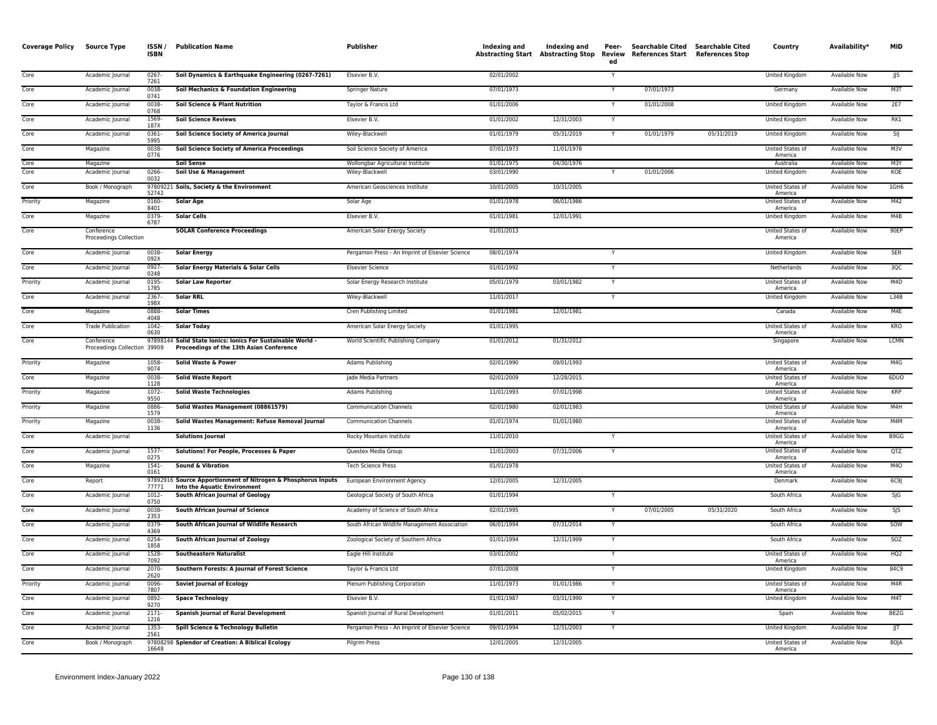| <b>Coverage Policy Source Type</b> |                                            | ISSN/<br><b>ISBN</b> | <b>Publication Name</b>                                                                                 | <b>Publisher</b>                                     | Indexing and             | Indexing and<br><b>Abstracting Start Abstracting Stop</b> | Peer-<br>Review<br>ed | <b>Searchable Cited</b><br>References Start References Stop | Searchable Cited | Country                            | Availability*                  | MID              |
|------------------------------------|--------------------------------------------|----------------------|---------------------------------------------------------------------------------------------------------|------------------------------------------------------|--------------------------|-----------------------------------------------------------|-----------------------|-------------------------------------------------------------|------------------|------------------------------------|--------------------------------|------------------|
| Core                               | Academic Journal                           | 0267<br>7261         | Soil Dynamics & Earthquake Engineering (0267-7261)                                                      | Elsevier B.V.                                        | 02/01/2002               |                                                           | Y                     |                                                             |                  | United Kingdom                     | Available Now                  | JJS              |
| Core                               | Academic Journal                           | 0038-<br>0741        | Soil Mechanics & Foundation Engineering                                                                 | Springer Nature                                      | 07/01/1973               |                                                           | Y                     | 07/01/1973                                                  |                  | Germany                            | Available Now                  | M3T              |
| Core                               | Academic Journal                           | 0038<br>0768         | Soil Science & Plant Nutrition                                                                          | Taylor & Francis Ltd                                 | 01/01/2006               |                                                           |                       | 01/01/2008                                                  |                  | United Kingdom                     | Available Now                  | 2E7              |
| Core                               | Academic Journal                           | 1569<br>187X         | <b>Soil Science Reviews</b>                                                                             | Elsevier B.V.                                        | 01/01/2002               | 12/31/2003                                                | Y                     |                                                             |                  | United Kingdom                     | <b>Available Now</b>           | RK1              |
| Core                               | Academic Journal                           | 0361<br>5995         | Soil Science Society of America Journal                                                                 | Wiley-Blackwell                                      | 01/01/1979               | 05/31/2019                                                | Y                     | 01/01/1979                                                  | 05/31/2019       | United Kingdom                     | Available Now                  | SIJ              |
| Core                               | Magazine                                   | 0038-<br>0776        | <b>Soil Science Society of America Proceedings</b>                                                      | Soil Science Society of America                      | 07/01/1973               | 11/01/1978                                                |                       |                                                             |                  | United States of<br>America        | <b>Available Now</b>           | M3V              |
| Core<br>Core                       | Magazine<br>Academic Journal               | 0266-                | Soil Sense<br>Soil Use & Management                                                                     | Wollongbar Agricultural Institute<br>Wiley-Blackwell | 01/01/1975<br>03/01/1990 | 04/30/1976                                                |                       | 01/01/2006                                                  |                  | Australia<br>United Kingdom        | Available Now<br>Available Now | M3Y<br>KOE       |
| Core                               | Book / Monograph                           | 0032                 | 97809221 Soils, Society & the Environment                                                               | American Geosciences Institute                       | 10/01/2005               | 10/31/2005                                                |                       |                                                             |                  | United States of                   | Available Now                  | 1GH <sub>6</sub> |
| Priority                           |                                            | 52742<br>0160-       | <b>Solar Age</b>                                                                                        | Solar Age                                            | 01/01/1978               | 06/01/1986                                                |                       |                                                             |                  | America<br>United States of        | <b>Available Now</b>           | M42              |
| Core                               | Magazine                                   | 8401<br>0379-        | <b>Solar Cells</b>                                                                                      | Elsevier B.V.                                        | 01/01/1981               | 12/01/1991                                                |                       |                                                             |                  | America<br>United Kingdom          | <b>Available Now</b>           | M4B              |
| Core                               | Magazine                                   | 6787                 |                                                                                                         | American Solar Energy Society                        | 01/01/2013               |                                                           |                       |                                                             |                  | United States of                   | <b>Available Now</b>           | 90EP             |
|                                    | Conference<br>Proceedings Collection       |                      | <b>SOLAR Conference Proceedings</b>                                                                     |                                                      |                          |                                                           |                       |                                                             |                  | America                            |                                |                  |
| Core                               | Academic Journal                           | 0038<br>092X         | <b>Solar Energy</b>                                                                                     | Pergamon Press - An Imprint of Elsevier Science      | 08/01/1974               |                                                           |                       |                                                             |                  | United Kingdom                     | <b>Available Now</b>           | <b>SER</b>       |
| Core                               | Academic Journal                           | 0927<br>0248         | Solar Energy Materials & Solar Cells                                                                    | <b>Elsevier Science</b>                              | 01/01/1992               |                                                           | Y                     |                                                             |                  | Netherlands                        | <b>Available Now</b>           | 3QC              |
| Priority                           | Academic Journal                           | 0195-<br>1785        | <b>Solar Law Reporter</b>                                                                               | Solar Energy Research Institute                      | 05/01/1979               | 03/01/1982                                                | Υ                     |                                                             |                  | United States of<br>America        | <b>Available Now</b>           | M4D              |
| Core                               | Academic Journal                           | 2367<br>198X         | <b>Solar RRL</b>                                                                                        | Wiley-Blackwell                                      | 11/01/2017               |                                                           | Y                     |                                                             |                  | United Kingdom                     | <b>Available Now</b>           | L34B             |
| Core                               | Magazine                                   | 0888<br>4048         | <b>Solar Times</b>                                                                                      | Cren Publishing Limited                              | 01/01/1981               | 12/01/1981                                                |                       |                                                             |                  | Canada                             | <b>Available Now</b>           | M4E              |
| Core                               | <b>Trade Publication</b>                   | 1042-<br>0630        | <b>Solar Today</b>                                                                                      | American Solar Energy Society                        | 01/01/1995               |                                                           |                       |                                                             |                  | United States of<br>America        | Available Now                  | KRO              |
| Core                               | Conference<br>Proceedings Collection 39909 |                      | 97898144 Solid State Ionics: Ionics For Sustainable World -<br>Proceedings of the 13th Asian Conference | World Scientific Publishing Company                  | 01/01/2012               | 01/31/2012                                                |                       |                                                             |                  | Singapore                          | Available Now                  | LCMN             |
| Priority                           | Magazine                                   | 1058-<br>9074        | Solid Waste & Power                                                                                     | Adams Publishing                                     | 02/01/1990               | 09/01/1993                                                |                       |                                                             |                  | United States of<br>America        | <b>Available Now</b>           | M4G              |
| Core                               | Magazine                                   | 0038<br>1128         | <b>Solid Waste Report</b>                                                                               | Jade Media Partners                                  | 02/01/2009               | 12/28/2015                                                |                       |                                                             |                  | United States of<br>America        | Available Now                  | 6DUO             |
| Priority                           | Magazine                                   | 1072<br>9550         | <b>Solid Waste Technologies</b>                                                                         | Adams Publishing                                     | 11/01/1993               | 07/01/1998                                                |                       |                                                             |                  | United States of<br>America        | <b>Available Now</b>           | KRP              |
| Priority                           | Magazine                                   | 0886<br>1579         | Solid Wastes Management (08861579)                                                                      | Communication Channels                               | 02/01/1980               | 02/01/1983                                                |                       |                                                             |                  | United States of<br>America        | Available Now                  | M4H              |
| Priority                           | Magazine                                   | 0038<br>1136         | Solid Wastes Management: Refuse Removal Journal                                                         | <b>Communication Channels</b>                        | 01/01/1974               | 01/01/1980                                                |                       |                                                             |                  | United States of<br>America        | <b>Available Now</b>           | M4M              |
| Core                               | Academic Journal                           |                      | <b>Solutions Journal</b>                                                                                | Rocky Mountain Institute                             | 11/01/2010               |                                                           |                       |                                                             |                  | United States of<br>America        | Available Now                  | B9GG             |
| Core                               | Academic Journal                           | 1537-<br>0275        | Solutions! For People, Processes & Paper                                                                | Questex Media Group                                  | 11/01/2003               | 07/31/2006                                                | Y                     |                                                             |                  | <b>United States of</b><br>America | <b>Available Now</b>           | QTZ              |
| Cor <sub>e</sub>                   | Magazine                                   | $1541 -$<br>0161     | <b>Sound &amp; Vibration</b>                                                                            | <b>Tech Science Press</b>                            | 01/01/1978               |                                                           |                       |                                                             |                  | United States of<br>America        | <b>Available Now</b>           | M <sub>4</sub> O |
| Core                               | Report                                     | 77771                | 97892916 Source Apportionment of Nitrogen & Phosphorus Inputs<br><b>Into the Aquatic Environment</b>    | European Environment Agency                          | 12/01/2005               | 12/31/2005                                                |                       |                                                             |                  | Denmark                            | Available Now                  | 6C9J             |
| Core                               | Academic Journal                           | 1012-<br>0750        | South African Journal of Geology                                                                        | Geological Society of South Africa                   | 01/01/1994               |                                                           |                       |                                                             |                  | South Africa                       | Available Now                  | $S \mid G$       |
| Core                               | Academic Journal                           | 0038<br>2353         | South African Journal of Science                                                                        | Academy of Science of South Africa                   | 02/01/1995               |                                                           | Y                     | 07/01/2005                                                  | 05/31/2020       | South Africa                       | Available Now                  | SJS              |
| Core                               | Academic Journal                           | 0379<br>4369         | South African Journal of Wildlife Research                                                              | South African Wildlife Management Association        | 06/01/1994               | 07/31/2014                                                | Υ                     |                                                             |                  | South Africa                       | <b>Available Now</b>           | SOW              |
| Core                               | Academic Journal                           | 0254<br>1858         | South African Journal of Zoology                                                                        | Zoological Society of Southern Africa                | 01/01/1994               | 12/31/1999                                                | Y                     |                                                             |                  | South Africa                       | <b>Available Now</b>           | <b>SOZ</b>       |
| Core                               | Academic Journal                           | 1528-<br>7092        | <b>Southeastern Naturalist</b>                                                                          | Eagle Hill Institute                                 | 03/01/2002               |                                                           | Y                     |                                                             |                  | United States of<br>America        | <b>Available Now</b>           | HQ2              |
| Core                               | Academic Journal                           | 2070<br>2620         | Southern Forests: A Journal of Forest Science                                                           | Taylor & Francis Ltd                                 | 07/01/2008               |                                                           |                       |                                                             |                  | United Kingdom                     | Available Now                  | 84C9             |
| Priority                           | Academic Journal                           | 0096-<br>7807        | <b>Soviet Journal of Ecology</b>                                                                        | Plenum Publishing Corporation                        | 11/01/1973               | 01/01/1986                                                | Y                     |                                                             |                  | United States of<br>America        | Available Now                  | M4R              |
| Core                               | Academic Journal                           | 0892<br>9270         | <b>Space Technology</b>                                                                                 | Elsevier B.V.                                        | 01/01/1987               | 03/31/1990                                                |                       |                                                             |                  | United Kingdom                     | Available Now                  | M4T              |
| Core                               | Academic Journal                           | $2171-$<br>1216      | <b>Spanish Journal of Rural Development</b>                                                             | Spanish Journal of Rural Development                 | 01/01/2011               | 05/02/2015                                                | Υ                     |                                                             |                  | Spain                              | <b>Available Now</b>           | <b>BEZG</b>      |
| Core                               | Academic Journal                           | 1353-<br>2561        | Spill Science & Technology Bulletin                                                                     | Pergamon Press - An Imprint of Elsevier Science      | 09/01/1994               | 12/31/2003                                                | Y                     |                                                             |                  | <b>United Kingdom</b>              | <b>Available Now</b>           | JJT              |
| Core                               | Book / Monograph                           | 16648                | 97808298 Splendor of Creation: A Biblical Ecology                                                       | <b>Pilgrim Press</b>                                 | 12/01/2005               | 12/31/2005                                                |                       |                                                             |                  | United States of<br>America        | Available Now                  | 80JA             |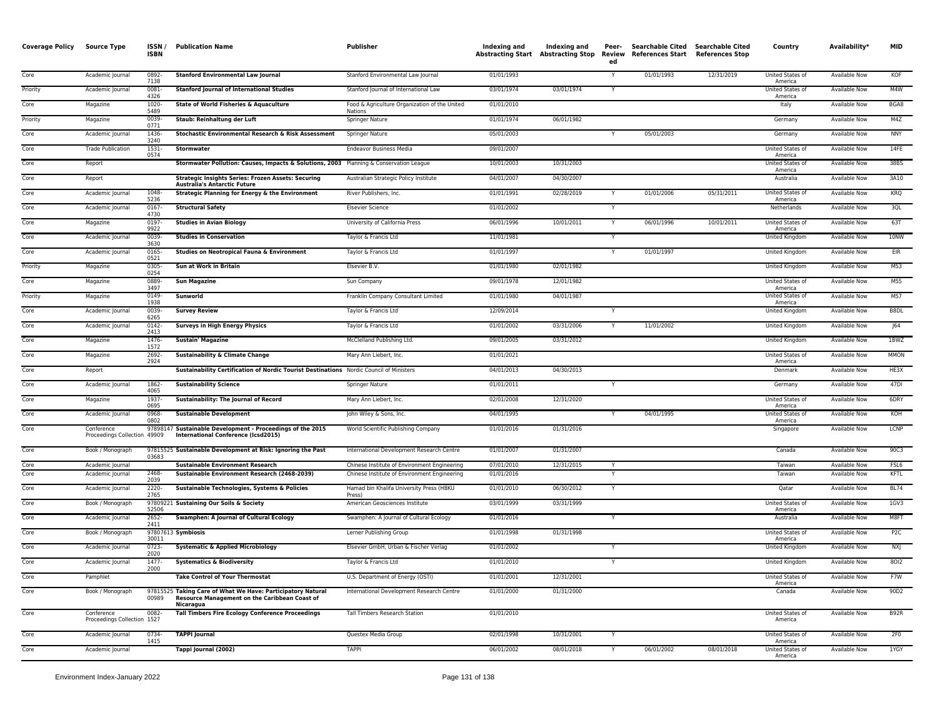| <b>Coverage Policy</b> | Source Type                                | ISSN/<br><b>ISBN</b> | <b>Publication Name</b>                                                                                                   | <b>Publisher</b>                                                                             | Indexing and             | Indexing and<br>Abstracting Start Abstracting Stop | Peer-<br>Review<br>ed | Searchable Cited Searchable Cited<br>References Start | <b>References Stop</b> | Country                     | Availability*                  | <b>MID</b>       |
|------------------------|--------------------------------------------|----------------------|---------------------------------------------------------------------------------------------------------------------------|----------------------------------------------------------------------------------------------|--------------------------|----------------------------------------------------|-----------------------|-------------------------------------------------------|------------------------|-----------------------------|--------------------------------|------------------|
| Core                   | Academic Journal                           | 0892-<br>7138        | <b>Stanford Environmental Law Journal</b>                                                                                 | Stanford Environmental Law Journal                                                           | 01/01/1993               |                                                    | Y                     | 01/01/1993                                            | 12/31/2019             | United States of<br>America | Available Now                  | KOF              |
| Priority               | Academic Journal                           | 0081<br>4326         | <b>Stanford Journal of International Studies</b>                                                                          | Stanford Journal of International Law                                                        | 03/01/1974               | 03/01/1974                                         |                       |                                                       |                        | United States of<br>America | Available Now                  | M4W              |
| Core                   | Magazine                                   | 1020-<br>5489        | State of World Fisheries & Aquaculture                                                                                    | Food & Agriculture Organization of the United<br>Nations                                     | 01/01/2010               |                                                    |                       |                                                       |                        | Italy                       | Available Now                  | BGA8             |
| Priority               | Magazine                                   | 0039<br>0771         | Staub: Reinhaltung der Luft                                                                                               | Springer Nature                                                                              | 01/01/1974               | 06/01/1982                                         |                       |                                                       |                        | Germany                     | Available Now                  | M4Z              |
| Core                   | Academic Journal                           | 1436-<br>3240        | Stochastic Environmental Research & Risk Assessment                                                                       | Springer Nature                                                                              | 05/01/2003               |                                                    | Y                     | 05/01/2003                                            |                        | Germany                     | Available Now                  | <b>NNY</b>       |
| Core                   | <b>Trade Publication</b>                   | 1531<br>0574         | Stormwater                                                                                                                | Endeavor Business Media                                                                      | 09/01/2007               |                                                    |                       |                                                       |                        | United States of<br>America | Available Now                  | 14FE             |
| Core                   | Report                                     |                      | Stormwater Pollution: Causes, Impacts & Solutions, 2003 Planning & Conservation League                                    |                                                                                              | 10/01/2003               | 10/31/2003                                         |                       |                                                       |                        | United States of<br>America | Available Now                  | 38BS             |
| Core                   | Report                                     |                      | <b>Strategic Insights Series: Frozen Assets: Securing</b><br><b>Australia's Antarctic Future</b>                          | Australian Strategic Policy Institute                                                        | 04/01/2007               | 04/30/2007                                         |                       |                                                       |                        | Australia                   | Available Now                  | 3A10             |
| Core                   | Academic Journal                           | 1048<br>5236         | Strategic Planning for Energy & the Environment                                                                           | River Publishers, Inc.                                                                       | 01/01/1991               | 02/28/2019                                         | Y                     | 01/01/2006                                            | 05/31/2011             | United States of<br>America | Available Now                  | KRQ              |
| Core                   | Academic Journal                           | 0167<br>4730         | <b>Structural Safety</b>                                                                                                  | <b>Elsevier Science</b>                                                                      | 01/01/2002               |                                                    | Y                     |                                                       |                        | Netherlands                 | Available Now                  | 3QL              |
| Core                   | Magazine                                   | 0197<br>9922         | <b>Studies in Avian Biology</b>                                                                                           | University of California Press                                                               | 06/01/1996               | 10/01/2011                                         | Y                     | 06/01/1996                                            | 10/01/2011             | United States of<br>America | Available Now                  | 63T              |
| Core                   | Academic Journal                           | 0039<br>3630         | <b>Studies in Conservation</b>                                                                                            | Taylor & Francis Ltd                                                                         | 11/01/1981               |                                                    | Y                     |                                                       |                        | United Kingdom              | Available Now                  | 10NW             |
| Core                   | Academic Journal                           | 0165<br>0521         | Studies on Neotropical Fauna & Environment                                                                                | Taylor & Francis Ltd                                                                         | 01/01/1997               |                                                    | Y                     | 01/01/1997                                            |                        | United Kingdom              | Available Now                  | EIR              |
| Priority               | Magazine                                   | 0305<br>0254         | Sun at Work in Britain                                                                                                    | Elsevier B.V.                                                                                | 01/01/1980               | 02/01/1982                                         |                       |                                                       |                        | United Kingdom              | Available Now                  | M53              |
| Core                   | Magazine                                   | 0889<br>3497         | <b>Sun Magazine</b>                                                                                                       | Sun Company                                                                                  | 09/01/1978               | 12/01/1982                                         |                       |                                                       |                        | United States of<br>America | Available Now                  | M55              |
| Priority               | Magazine                                   | 0149<br>1938         | Sunworld                                                                                                                  | Franklin Company Consultant Limited                                                          | 01/01/1980               | 04/01/1987                                         |                       |                                                       |                        | United States of<br>America | Available Now                  | M57              |
| Core                   | Academic Journal                           | 0039<br>6265         | <b>Survey Review</b>                                                                                                      | Taylor & Francis Ltd                                                                         | 12/09/2014               |                                                    | Y                     |                                                       |                        | United Kingdom              | Available Now                  | B8DL             |
| Core                   | Academic Journal                           | 0142-<br>2413        | <b>Surveys in High Energy Physics</b>                                                                                     | Taylor & Francis Ltd                                                                         | 01/01/2002               | 03/31/2006                                         |                       | 11/01/2002                                            |                        | United Kingdom              | Available Now                  | 64               |
| Core                   | Magazine                                   | 1476-<br>1572        | <b>Sustain' Magazine</b>                                                                                                  | McClelland Publishing Ltd.                                                                   | 09/01/2005               | 03/31/2012                                         |                       |                                                       |                        | United Kingdom              | Available Now                  | 1BWZ             |
| Core                   | Magazine                                   | 2692<br>2924         | <b>Sustainability &amp; Climate Change</b>                                                                                | Mary Ann Liebert, Inc.                                                                       | 01/01/2021               |                                                    |                       |                                                       |                        | United States of<br>America | Available Now                  | <b>MMON</b>      |
| Core                   | Report                                     |                      | Sustainability Certification of Nordic Tourist Destinations Nordic Council of Ministers                                   |                                                                                              | 04/01/2013               | 04/30/2013                                         |                       |                                                       |                        | Denmark                     | Available Now                  | HE3X             |
| Core                   | Academic Journal                           | 1862<br>4065         | <b>Sustainability Science</b>                                                                                             | Springer Nature                                                                              | 01/01/2011               |                                                    | Y                     |                                                       |                        | Germany                     | Available Now                  | 47DI             |
| Core                   | Magazine                                   | 1937<br>0695         | Sustainability: The Journal of Record                                                                                     | Mary Ann Liebert, Inc.                                                                       | 02/01/2008               | 12/31/2020                                         |                       |                                                       |                        | United States of<br>America | <b>Available Now</b>           | 6DRY             |
| Core                   | Academic Journal                           | 0968<br>0802         | <b>Sustainable Development</b>                                                                                            | John Wiley & Sons, Inc.                                                                      | 04/01/1995               |                                                    | Y                     | 04/01/1995                                            |                        | United States of<br>America | Available Now                  | KOH              |
| Core                   | Conference<br>Proceedings Collection 49909 |                      | 97898147 Sustainable Development - Proceedings of the 2015<br>International Conference (Icsd2015)                         | World Scientific Publishing Company                                                          | 01/01/2016               | 01/31/2016                                         |                       |                                                       |                        | Singapore                   | Available Now                  | LCNP             |
| Core                   | Book / Monograph                           | 03683                | 97815525 Sustainable Development at Risk: Ignoring the Past                                                               | International Development Research Centre                                                    | 01/01/2007               | 01/31/2007                                         |                       |                                                       |                        | Canada                      | Available Now                  | 90C3             |
| Core<br>Core           | Academic Journal<br>Academic Journal       | 2468-                | <b>Sustainable Environment Research</b><br>Sustainable Environment Research (2468-2039)                                   | Chinese Institute of Environment Engineering<br>Chinese Institute of Environment Engineering | 07/01/2010<br>01/01/2016 | 12/31/2015                                         | Y                     |                                                       |                        | Taiwan<br>Taiwan            | Available Now<br>Available Now | FSL6<br>KFTL     |
| Core                   | Academic Journal                           | 2039<br>2220         | Sustainable Technologies, Systems & Policies                                                                              | Hamad bin Khalifa University Press (HBKU                                                     | 01/01/2010               | 06/30/2012                                         | Y                     |                                                       |                        | Qatar                       | Available Now                  | <b>BL74</b>      |
| Core                   | Book / Monograph                           | 2765                 | 97809221 Sustaining Our Soils & Society                                                                                   | Press)<br>American Geosciences Institute                                                     | 03/01/1999               | 03/31/1999                                         |                       |                                                       |                        | United States of            | Available Now                  | 1GV3             |
| Core                   | Academic Journal                           | 52506<br>2652-       | <b>Swamphen: A Journal of Cultural Ecology</b>                                                                            | Swamphen: A Journal of Cultural Ecology                                                      | 01/01/2016               |                                                    | Y                     |                                                       |                        | America<br>Australia        | Available Now                  | M8FT             |
| Core                   | Book / Monograph                           | 2411                 | 97807613 Symbiosis                                                                                                        | Lerner Publishing Group                                                                      | 01/01/1998               | 01/31/1998                                         |                       |                                                       |                        | United States of            | Available Now                  | P <sub>2</sub> C |
| Core                   | Academic Journal                           | 30011<br>0723-       | <b>Systematic &amp; Applied Microbiology</b>                                                                              | Elsevier GmbH, Urban & Fischer Verlag                                                        | 01/01/2002               |                                                    | Y                     |                                                       |                        | America<br>United Kingdom   | Available Now                  | NXJ              |
| Core                   | Academic Journal                           | 2020<br>1477-        | <b>Systematics &amp; Biodiversity</b>                                                                                     | Taylor & Francis Ltd                                                                         | 01/01/2010               |                                                    | Υ                     |                                                       |                        | United Kingdom              | Available Now                  | 8012             |
| Core                   | Pamphlet                                   | 2000                 | <b>Take Control of Your Thermostat</b>                                                                                    | U.S. Department of Energy (OSTI)                                                             | 01/01/2001               | 12/31/2001                                         |                       |                                                       |                        | United States of            | Available Now                  | F7W              |
| Core                   | Book / Monograph                           | 00989                | 97815525 Taking Care of What We Have: Participatory Natural<br>Resource Management on the Caribbean Coast of<br>Nicaragua | International Development Research Centre                                                    | 01/01/2000               | 01/31/2000                                         |                       |                                                       |                        | America<br>Canada           | Available Now                  | 90D2             |
| Core                   | Conference<br>Proceedings Collection 1527  | 0082-                | <b>Tall Timbers Fire Ecology Conference Proceedings</b>                                                                   | Tall Timbers Research Station                                                                | 01/01/2010               |                                                    |                       |                                                       |                        | United States of<br>America | Available Now                  | B92R             |
| Core                   | Academic Journal                           | 0734-<br>1415        | <b>TAPPI lournal</b>                                                                                                      | Questex Media Group                                                                          | 02/01/1998               | 10/31/2001                                         | Y                     |                                                       |                        | United States of<br>America | Available Now                  | 2F <sub>0</sub>  |
| Core                   | Academic Journal                           |                      | Tappi Journal (2002)                                                                                                      | <b>TAPPI</b>                                                                                 | 06/01/2002               | 08/01/2018                                         | Y                     | 06/01/2002                                            | 08/01/2018             | United States of<br>America | Available Now                  | 1YGY             |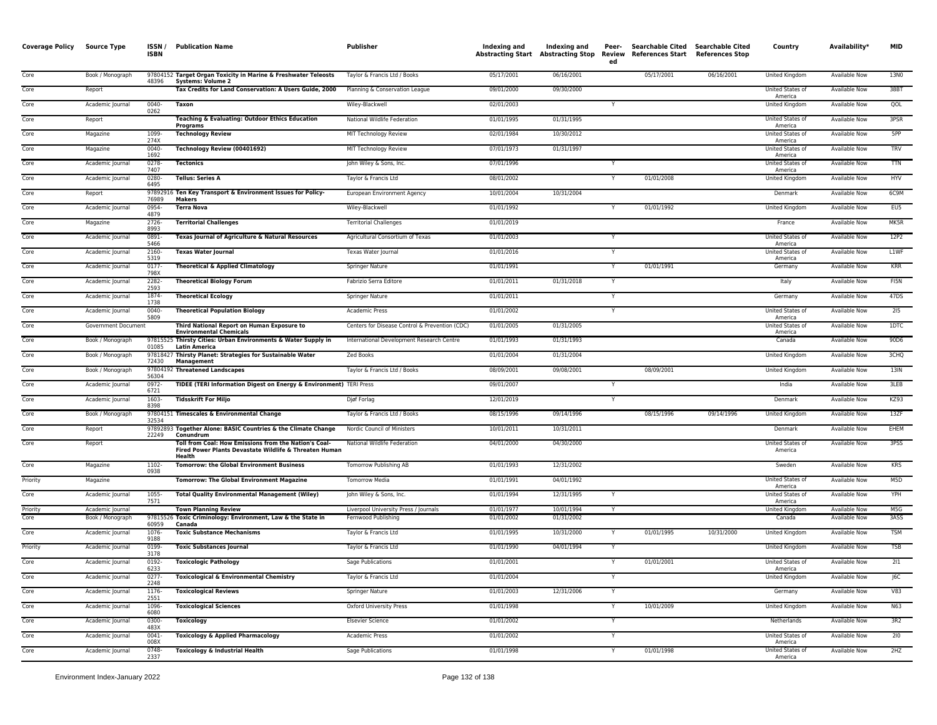| <b>Coverage Policy</b> | <b>Source Type</b>                   | ISSN/<br><b>ISBN</b> | <b>Publication Name</b>                                                                                                   | Publisher                                                    | Indexing and             | Indexing and<br>Abstracting Start Abstracting Stop Review | Peer-<br>ed | Searchable Cited Searchable Cited<br><b>References Start</b> | <b>References Stop</b> | Country                     | Availability*                         | <b>MID</b>       |
|------------------------|--------------------------------------|----------------------|---------------------------------------------------------------------------------------------------------------------------|--------------------------------------------------------------|--------------------------|-----------------------------------------------------------|-------------|--------------------------------------------------------------|------------------------|-----------------------------|---------------------------------------|------------------|
| Core                   | Book / Monograph                     | 48396                | 97804152 Target Organ Toxicity in Marine & Freshwater Teleosts<br><b>Systems: Volume 2</b>                                | Taylor & Francis Ltd / Books                                 | 05/17/2001               | 06/16/2001                                                |             | 05/17/2001                                                   | 06/16/2001             | United Kingdom              | Available Now                         | 13NO             |
| Core                   | Report                               |                      | Tax Credits for Land Conservation: A Users Guide, 2000                                                                    | Planning & Conservation League                               | 09/01/2000               | 09/30/2000                                                |             |                                                              |                        | United States of<br>America | Available Now                         | 38BT             |
| Core                   | Academic Journal                     | 0040-<br>0262        | <b>Taxon</b>                                                                                                              | Wiley-Blackwell                                              | 02/01/2003               |                                                           |             |                                                              |                        | United Kingdom              | Available Now                         | QOL              |
| Core                   | Report                               |                      | Teaching & Evaluating: Outdoor Ethics Education<br><b>Programs</b>                                                        | National Wildlife Federation                                 | 01/01/1995               | 01/31/1995                                                |             |                                                              |                        | United States of<br>America | Available Now                         | 3PSR             |
| Core                   | Magazine                             | 1099-<br>274X        | <b>Technology Review</b>                                                                                                  | MIT Technology Review                                        | 02/01/1984               | 10/30/2012                                                |             |                                                              |                        | United States of<br>America | Available Now                         | 5PP              |
| Core                   | Magazine                             | 0040-<br>1692        | <b>Technology Review (00401692)</b>                                                                                       | MIT Technology Review                                        | 07/01/1973               | 01/31/1997                                                |             |                                                              |                        | United States of<br>America | Available Now                         | TRV              |
| Core                   | Academic Journal                     | 0278-<br>7407        | <b>Tectonics</b>                                                                                                          | John Wiley & Sons, Inc.                                      | 07/01/1996               |                                                           |             |                                                              |                        | United States of<br>America | <b>Available Now</b>                  | <b>TTN</b>       |
| Core                   | Academic Journal                     | 0280<br>6495         | <b>Tellus: Series A</b>                                                                                                   | Taylor & Francis Ltd                                         | 08/01/2002               |                                                           |             | 01/01/2008                                                   |                        | United Kingdom              | Available Now                         | HYV              |
| Core                   | Report                               | 76989                | 97892916 Ten Key Transport & Environment Issues for Policy-<br>Makers                                                     | European Environment Agency                                  | 10/01/2004               | 10/31/2004                                                |             |                                                              |                        | Denmark                     | Available Now                         | 6C9M             |
| Core                   | Academic Journal                     | 0954-<br>4879        | <b>Terra Nova</b>                                                                                                         | Wiley-Blackwell                                              | 01/01/1992               |                                                           |             | 01/01/1992                                                   |                        | United Kingdom              | Available Now                         | EU5              |
| Core                   | Magazine                             | 2726-<br>8993        | <b>Territorial Challenges</b>                                                                                             | <b>Territorial Challenges</b>                                | 01/01/2019               |                                                           |             |                                                              |                        | France                      | Available Now                         | MK5R             |
| Core                   | Academic Journal                     | 0891-<br>5466        | Texas Journal of Agriculture & Natural Resources                                                                          | Agricultural Consortium of Texas                             | 01/01/2003               |                                                           |             |                                                              |                        | United States of<br>America | <b>Available Now</b>                  | 12P2             |
| Core                   | Academic Journal                     | 2160-<br>5319        | <b>Texas Water Journal</b>                                                                                                | Texas Water Journal                                          | 01/01/2016               |                                                           |             |                                                              |                        | United States of<br>America | <b>Available Now</b>                  | L1WF             |
| Core                   | Academic Journal                     | 0177-<br>798X        | <b>Theoretical &amp; Applied Climatology</b>                                                                              | Springer Nature                                              | 01/01/1991               |                                                           |             | 01/01/1991                                                   |                        | Germany                     | Available Now                         | <b>KRR</b>       |
| Core                   | Academic Journal                     | 2282-<br>2593        | <b>Theoretical Biology Forum</b>                                                                                          | Fabrizio Serra Editore                                       | 01/01/2011               | 01/31/2018                                                | Y           |                                                              |                        | Italy                       | Available Now                         | FI5N             |
| Core                   | Academic Journal                     | 1874-<br>1738        | <b>Theoretical Ecology</b>                                                                                                | Springer Nature                                              | 01/01/2011               |                                                           |             |                                                              |                        | Germany                     | Available Now                         | 47DS             |
| Core                   | Academic Journal                     | 0040-<br>5809        | <b>Theoretical Population Biology</b>                                                                                     | Academic Press                                               | 01/01/2002               |                                                           |             |                                                              |                        | United States of<br>America | Available Now                         | 215              |
| Core                   | Government Document                  |                      | Third National Report on Human Exposure to<br><b>Environmental Chemicals</b>                                              | Centers for Disease Control & Prevention (CDC)               | 01/01/2005               | 01/31/2005                                                |             |                                                              |                        | United States of<br>America | Available Now                         | 1DTC             |
| Core                   | Book / Monograph                     | 01085                | 97815525 Thirsty Cities: Urban Environments & Water Supply in<br><b>Latin America</b>                                     | International Development Research Centre                    | 01/01/1993               | 01/31/1993                                                |             |                                                              |                        | Canada                      | Available Now                         | 90D6             |
| Core                   | Book / Monograph                     | 72430                | 97818427 Thirsty Planet: Strategies for Sustainable Water<br>Management                                                   | Zed Books                                                    | 01/01/2004               | 01/31/2004                                                |             |                                                              |                        | United Kingdom              | Available Now                         | 3CHQ             |
| Core                   | Book / Monograph                     | 56304                | 97804192 Threatened Landscapes                                                                                            | Taylor & Francis Ltd / Books                                 | 08/09/2001               | 09/08/2001                                                |             | 08/09/2001                                                   |                        | United Kingdom              | Available Now                         | 13IN             |
| Core                   | Academic Journal                     | $0972 -$<br>6721     | TIDEE (TERI Information Digest on Energy & Environment) TERI Press                                                        |                                                              | 09/01/2007               |                                                           |             |                                                              |                        | India                       | Available Now                         | 3LEB             |
| Core                   | Academic Journal                     | 1603-<br>8398        | <b>Tidsskrift For Miljo</b>                                                                                               | Diøf Forlag                                                  | 12/01/2019               |                                                           |             |                                                              |                        | Denmark                     | Available Now                         | KZ93             |
| Core                   | Book / Monograph                     | 32534                | 97804151 Timescales & Environmental Change                                                                                | Taylor & Francis Ltd / Books                                 | 08/15/1996               | 09/14/1996                                                |             | 08/15/1996                                                   | 09/14/1996             | United Kingdom              | Available Now                         | 13ZF             |
| Core                   | Report                               | 22249                | 97892893 Together Alone: BASIC Countries & the Climate Change<br>Conundrum                                                | Nordic Council of Ministers                                  | 10/01/2011               | 10/31/2011                                                |             |                                                              |                        | Denmark                     | <b>Available Now</b>                  | EHEM             |
| Core                   | Report                               |                      | Toll from Coal: How Emissions from the Nation's Coal-<br>Fired Power Plants Devastate Wildlife & Threaten Human<br>Health | National Wildlife Federation                                 | 04/01/2000               | 04/30/2000                                                |             |                                                              |                        | United States of<br>America | Available Now                         | 3PSS             |
| Core                   | Magazine                             | 1102-<br>0938        | <b>Tomorrow: the Global Environment Business</b>                                                                          | Tomorrow Publishing AB                                       | 01/01/1993               | 12/31/2002                                                |             |                                                              |                        | Sweden                      | Available Now                         | <b>KRS</b>       |
| Priority               | Magazine                             |                      | <b>Tomorrow: The Global Environment Magazine</b>                                                                          | <b>Tomorrow Media</b>                                        | 01/01/1991               | 04/01/1992                                                |             |                                                              |                        | United States of<br>America | Available Now                         | M <sub>5</sub> D |
| Core                   | Academic Journal                     | 1055-<br>7571        | <b>Total Quality Environmental Management (Wiley)</b>                                                                     | John Wiley & Sons, Inc.                                      | 01/01/1994               | 12/31/1995                                                | Y           |                                                              |                        | United States of<br>America | Available Now                         | YPH              |
| Priority<br>Core       | Academic Journal<br>Book / Monograph |                      | <b>Town Planning Review</b><br>97815526 Toxic Criminology: Environment, Law & the State in                                | Liverpool University Press / Journals<br>Fernwood Publishing | 01/01/1977<br>01/01/2002 | 10/01/1994<br>01/31/2002                                  |             |                                                              |                        | United Kingdom<br>Canada    | <b>Available Now</b><br>Available Now | M5G<br>3ASS      |
| Core                   | Academic Journal                     | 60959<br>1076-       | Canada<br><b>Toxic Substance Mechanisms</b>                                                                               | Taylor & Francis Ltd                                         | 01/01/1995               | 10/31/2000                                                |             | 01/01/1995                                                   | 10/31/2000             | United Kingdom              | Available Now                         | <b>TSM</b>       |
| Priority               | Academic Journal                     | 9188<br>0199         | <b>Toxic Substances Journal</b>                                                                                           | Taylor & Francis Ltd                                         | 01/01/1990               | 04/01/1994                                                | Y           |                                                              |                        | United Kingdom              | Available Now                         | <b>TSB</b>       |
| Core                   | Academic Journal                     | 3178<br>0192-        | <b>Toxicologic Pathology</b>                                                                                              | Sage Publications                                            | 01/01/2001               |                                                           |             | 01/01/2001                                                   |                        | United States of            | Available Now                         | 211              |
| Core                   | Academic Journal                     | 6233<br>$0277 -$     | <b>Toxicological &amp; Environmental Chemistry</b>                                                                        | Taylor & Francis Ltd                                         | 01/01/2004               |                                                           |             |                                                              |                        | America<br>United Kingdom   | Available Now                         | J6C              |
| Core                   | Academic Journal                     | 2248<br>1176-        | <b>Toxicological Reviews</b>                                                                                              | Springer Nature                                              | 01/01/2003               | 12/31/2006                                                | Y           |                                                              |                        | Germany                     | Available Now                         | V83              |
| Core                   | Academic Journal                     | 2551<br>1096-        | <b>Toxicological Sciences</b>                                                                                             | Oxford University Press                                      | 01/01/1998               |                                                           | Y           | 10/01/2009                                                   |                        | United Kingdom              | Available Now                         | N63              |
| Core                   | Academic Journal                     | 6080<br>0300-        | <b>Toxicology</b>                                                                                                         | <b>Elsevier Science</b>                                      | 01/01/2002               |                                                           | Y           |                                                              |                        | Netherlands                 | Available Now                         | 3R2              |
| Core                   | Academic Journal                     | 483X<br>0041-        | <b>Toxicology &amp; Applied Pharmacology</b>                                                                              | Academic Press                                               | 01/01/2002               |                                                           |             |                                                              |                        | United States of            | Available Now                         | 210              |
| Core                   | Academic Journal                     | 008X<br>0748-        | Toxicology & Industrial Health                                                                                            | Sage Publications                                            | 01/01/1998               |                                                           | Y           | 01/01/1998                                                   |                        | America<br>United States of | Available Now                         | 2HZ              |
|                        |                                      | 2337                 |                                                                                                                           |                                                              |                          |                                                           |             |                                                              |                        | America                     |                                       |                  |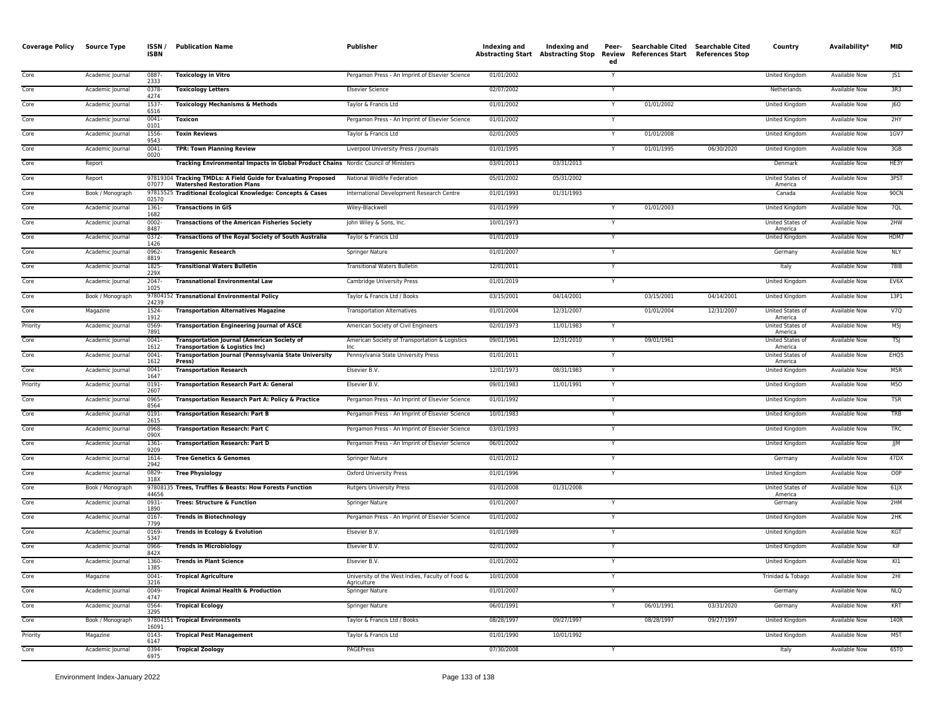| <b>Coverage Policy</b> | Source Type      | <b>ISSN</b><br><b>ISBN</b> | <b>Publication Name</b>                                                                              | Publisher                                                       | Indexing and | Indexing and | Peer-<br>ed    | Searchable Cited Searchable Cited<br>Abstracting Start Abstracting Stop Review References Start References Stop |            | Country                            | Availability*        | <b>MID</b>       |
|------------------------|------------------|----------------------------|------------------------------------------------------------------------------------------------------|-----------------------------------------------------------------|--------------|--------------|----------------|-----------------------------------------------------------------------------------------------------------------|------------|------------------------------------|----------------------|------------------|
| Core                   | Academic Journal | 0887-<br>2333              | <b>Toxicology in Vitro</b>                                                                           | Pergamon Press - An Imprint of Elsevier Science                 | 01/01/2002   |              | Y              |                                                                                                                 |            | United Kingdom                     | Available Now        | JS1              |
| Core                   | Academic Journal | 0378-<br>4274              | <b>Toxicology Letters</b>                                                                            | <b>Elsevier Science</b>                                         | 02/07/2002   |              |                |                                                                                                                 |            | Netherlands                        | Available Now        | 3R3              |
| Core                   | Academic Journal | 1537-<br>6516              | <b>Toxicology Mechanisms &amp; Methods</b>                                                           | Taylor & Francis Ltd                                            | 01/01/2002   |              | $\mathsf{v}$   | 01/01/2002                                                                                                      |            | United Kingdom                     | Available Now        | 60               |
| Core                   | Academic Journal | 0041<br>0101               | <b>Toxicon</b>                                                                                       | Pergamon Press - An Imprint of Elsevier Science                 | 01/01/2002   |              |                |                                                                                                                 |            | <b>United Kingdom</b>              | <b>Available Now</b> | 2HY              |
| Core                   | Academic Journal | 1556<br>9543               | <b>Toxin Reviews</b>                                                                                 | Taylor & Francis Ltd                                            | 02/01/2005   |              | Y              | 01/01/2008                                                                                                      |            | United Kingdom                     | Available Now        | 1GV7             |
| Core                   | Academic Journal | $0041 -$<br>0020           | <b>TPR: Town Planning Review</b>                                                                     | Liverpool University Press / Journals                           | 01/01/1995   |              | Y              | 01/01/1995                                                                                                      | 06/30/2020 | United Kingdom                     | Available Now        | 3GB              |
| Core                   | Report           |                            | Tracking Environmental Impacts in Global Product Chains Nordic Council of Ministers                  |                                                                 | 03/01/2013   | 03/31/2013   |                |                                                                                                                 |            | Denmark                            | <b>Available Now</b> | HE3Y             |
| Core                   | Report           | 07077                      | 97819304 Tracking TMDLs: A Field Guide for Evaluating Proposed<br><b>Watershed Restoration Plans</b> | National Wildlife Federation                                    | 05/01/2002   | 05/31/2002   |                |                                                                                                                 |            | United States of<br>America        | Available Now        | 3PST             |
| Core                   | Book / Monograph | 02570                      | 97815525 Traditional Ecological Knowledge: Concepts & Cases                                          | International Development Research Centre                       | 01/01/1993   | 01/31/1993   |                |                                                                                                                 |            | Canada                             | <b>Available Now</b> | 90CN             |
| Core                   | Academic Journal | 1361-<br>1682              | <b>Transactions in GIS</b>                                                                           | Wiley-Blackwell                                                 | 01/01/1999   |              |                | 01/01/2003                                                                                                      |            | United Kingdom                     | <b>Available Now</b> | 7QL              |
| Core                   | Academic Journal | 0002<br>8487               | <b>Transactions of the American Fisheries Society</b>                                                | John Wiley & Sons, Inc.                                         | 10/01/1973   |              |                |                                                                                                                 |            | United States of<br>America        | <b>Available Now</b> | 2HW              |
| Core                   | Academic Journal | $0372 -$<br>1426           | <b>Transactions of the Royal Society of South Australia</b>                                          | Taylor & Francis Ltd                                            | 01/01/2019   |              |                |                                                                                                                 |            | <b>United Kingdom</b>              | <b>Available Now</b> | HDM7             |
| Core                   | Academic Journal | 0962-<br>8819              | <b>Transgenic Research</b>                                                                           | Springer Nature                                                 | 01/01/2007   |              | Y              |                                                                                                                 |            | Germany                            | <b>Available Now</b> | <b>NLY</b>       |
| Core                   | Academic Journal | 1825<br>229X               | <b>Transitional Waters Bulletin</b>                                                                  | <b>Transitional Waters Bulletin</b>                             | 12/01/2011   |              |                |                                                                                                                 |            | Italy                              | <b>Available Now</b> | 7818             |
| Core                   | Academic Journal | $2047 -$<br>1025           | <b>Transnational Environmental Law</b>                                                               | Cambridge University Press                                      | 01/01/2019   |              | Y              |                                                                                                                 |            | United Kingdom                     | Available Now        | EV6X             |
| Core                   | Book / Monograph | 24239                      | 97804152 Transnational Environmental Policy                                                          | Taylor & Francis Ltd / Books                                    | 03/15/2001   | 04/14/2001   |                | 03/15/2001                                                                                                      | 04/14/2001 | United Kingdom                     | Available Now        | 13P1             |
| Core                   | Magazine         | 1524-<br>1912              | <b>Transportation Alternatives Magazine</b>                                                          | <b>Transportation Alternatives</b>                              | 01/01/2004   | 12/31/2007   |                | 01/01/2004                                                                                                      | 12/31/2007 | United States of<br>America        | Available Now        | V7Q              |
| Priority               | Academic Journal | 0569<br>7891               | <b>Transportation Engineering Journal of ASCE</b>                                                    | American Society of Civil Engineers                             | 02/01/1973   | 11/01/1983   |                |                                                                                                                 |            | United States of<br>America        | <b>Available Now</b> | M5               |
| Core                   | Academic Journal | 0041<br>1612               | <b>Transportation Journal (American Society of</b><br><b>Transportation &amp; Logistics Inc)</b>     | American Society of Transportation & Logistics<br>Inc           | 09/01/1961   | 12/31/2010   |                | 09/01/1961                                                                                                      |            | United States of<br>America        | Available Now        | <b>TSJ</b>       |
| Core                   | Academic Journal | $0041 -$<br>1612           | <b>Transportation Journal (Pennsylvania State University</b><br><b>Press</b>                         | Pennsylvania State University Press                             | 01/01/2011   |              | Y              |                                                                                                                 |            | United States of<br>America        | <b>Available Now</b> | EHO <sub>5</sub> |
| Core                   | Academic Journal | $0041 -$<br>1647           | <b>Transportation Research</b>                                                                       | Elsevier B.V.                                                   | 12/01/1973   | 08/31/1983   | Y              |                                                                                                                 |            | United Kingdom                     | <b>Available Now</b> | M5R              |
| Priority               | Academic Journal | 0191-<br>2607              | <b>Transportation Research Part A: General</b>                                                       | Elsevier B.V                                                    | 09/01/1983   | 11/01/1991   |                |                                                                                                                 |            | United Kingdom                     | Available Now        | <b>M50</b>       |
| Core                   | Academic Journal | 0965<br>8564               | Transportation Research Part A: Policy & Practice                                                    | Pergamon Press - An Imprint of Elsevier Science                 | 01/01/1992   |              |                |                                                                                                                 |            | United Kingdom                     | <b>Available Now</b> | <b>TSR</b>       |
| Core                   | Academic Journal | 0191-<br>2615              | <b>Transportation Research: Part B</b>                                                               | Pergamon Press - An Imprint of Elsevier Science                 | 10/01/1983   |              |                |                                                                                                                 |            | United Kingdom                     | Available Now        | TRB              |
| Core                   | Academic Journal | 0968-<br>090X              | <b>Transportation Research: Part C</b>                                                               | Pergamon Press - An Imprint of Elsevier Science                 | 03/01/1993   |              |                |                                                                                                                 |            | United Kingdom                     | Available Now        | TRC              |
| Core                   | Academic Journal | 1361<br>9209               | <b>Transportation Research: Part D</b>                                                               | Pergamon Press - An Imprint of Elsevier Science                 | 06/01/2002   |              | $\overline{Y}$ |                                                                                                                 |            | <b>United Kingdom</b>              | <b>Available Now</b> | <b>JJM</b>       |
| Core                   | Academic Journal | 1614-<br>2942              | <b>Tree Genetics &amp; Genomes</b>                                                                   | Springer Nature                                                 | 01/01/2012   |              | Y              |                                                                                                                 |            | Germany                            | <b>Available Now</b> | 47DX             |
| Core                   | Academic Journal | 0829-<br>318X              | <b>Tree Physiology</b>                                                                               | <b>Oxford University Press</b>                                  | 01/01/1996   |              | Y              |                                                                                                                 |            | United Kingdom                     | <b>Available Now</b> | O <sub>O</sub> P |
| Core                   | Book / Monograph | 44656                      | 97808135 Trees, Truffles & Beasts: How Forests Function                                              | <b>Rutgers University Press</b>                                 | 01/01/2008   | 01/31/2008   |                |                                                                                                                 |            | <b>United States of</b><br>America | Available Now        | $61$ $X$         |
| Core                   | Academic Journal | 0931-<br>1890              | <b>Trees: Structure &amp; Function</b>                                                               | Springer Nature                                                 | 01/01/2007   |              |                |                                                                                                                 |            | Germany                            | Available Now        | 2HM              |
| Core                   | Academic Journal | 0167-<br>779 <sup>c</sup>  | <b>Trends in Biotechnology</b>                                                                       | Pergamon Press - An Imprint of Elsevier Science                 | 01/01/2002   |              | Y              |                                                                                                                 |            | United Kingdom                     | Available Now        | 2HK              |
| Core                   | Academic Journal | 0169<br>5347               | <b>Trends in Ecology &amp; Evolution</b>                                                             | Elsevier B.V.                                                   | 01/01/1989   |              |                |                                                                                                                 |            | <b>United Kingdom</b>              | <b>Available Now</b> | KGT              |
| Core                   | Academic Journal | 0966<br>842X               | <b>Trends in Microbiology</b>                                                                        | Elsevier B.V.                                                   | 02/01/2002   |              |                |                                                                                                                 |            | United Kingdom                     | <b>Available Now</b> | KIF              |
| Core                   | Academic Journal | 1360-<br>1385              | <b>Trends in Plant Science</b>                                                                       | Elsevier B.V.                                                   | 01/01/2002   |              |                |                                                                                                                 |            | <b>United Kingdom</b>              | <b>Available Now</b> | K11              |
| Core                   | Magazine         | $0041 -$<br>3216           | <b>Tropical Agriculture</b>                                                                          | University of the West Indies, Faculty of Food &<br>Agriculture | 10/01/2008   |              |                |                                                                                                                 |            | Trinidad & Tobago                  | <b>Available Now</b> | 2H1              |
| Core                   | Academic Journal | 0049<br>4747               | <b>Tropical Animal Health &amp; Production</b>                                                       | Springer Nature                                                 | 01/01/2007   |              | Y              |                                                                                                                 |            | Germany                            | Available Now        | <b>NLQ</b>       |
| Core                   | Academic Journal | 0564-<br>3295              | <b>Tropical Ecology</b>                                                                              | Springer Nature                                                 | 06/01/1991   |              |                | 06/01/1991                                                                                                      | 03/31/2020 | Germany                            | <b>Available Now</b> | KRT              |
| Core                   | Book / Monograph | 16091                      | 97804151 Tropical Environments                                                                       | Taylor & Francis Ltd / Books                                    | 08/28/1997   | 09/27/1997   |                | 08/28/1997                                                                                                      | 09/27/1997 | United Kingdom                     | Available Now        | 140R             |
| Priority               | Magazine         | 0143-<br>6147              | <b>Tropical Pest Management</b>                                                                      | Taylor & Francis Ltd                                            | 01/01/1990   | 10/01/1992   |                |                                                                                                                 |            | United Kingdom                     | Available Now        | M <sub>5</sub> T |
| Core                   | Academic Journal | 0394<br>6975               | <b>Tropical Zoology</b>                                                                              | <b>PAGEPress</b>                                                | 07/30/2008   |              | $\overline{Y}$ |                                                                                                                 |            | Italy                              | <b>Available Now</b> | 65T0             |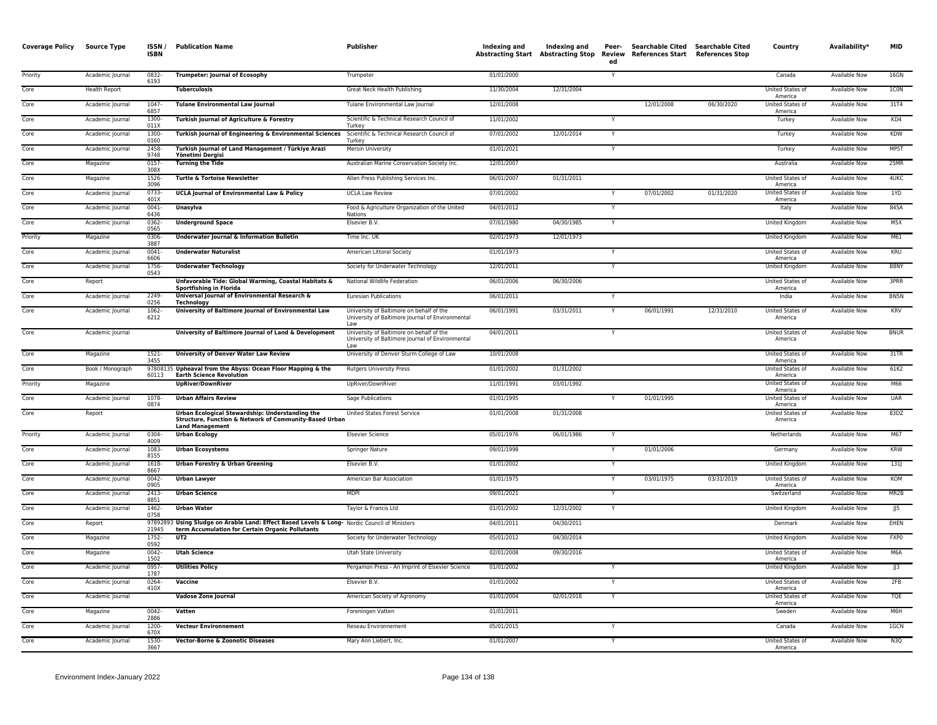| <b>Coverage Policy</b> | <b>Source Type</b> | ISSN/<br><b>ISBN</b> | <b>Publication Name</b>                                                                                                                           | Publisher                                                                                           | Indexing and | Indexing and<br><b>Abstracting Start Abstracting Stop</b> | Peer-<br>Review<br>ed | Searchable Cited Searchable Cited<br>References Start References Stop |            | Country                     | Availability*        | <b>MID</b>  |
|------------------------|--------------------|----------------------|---------------------------------------------------------------------------------------------------------------------------------------------------|-----------------------------------------------------------------------------------------------------|--------------|-----------------------------------------------------------|-----------------------|-----------------------------------------------------------------------|------------|-----------------------------|----------------------|-------------|
| Priority               | Academic Journal   | 0832-<br>6193        | <b>Trumpeter: Journal of Ecosophy</b>                                                                                                             | Trumpeter                                                                                           | 01/01/2000   |                                                           | Y                     |                                                                       |            | Canada                      | <b>Available Now</b> | 16GN        |
| Core                   | Health Report      |                      | <b>Tuberculosis</b>                                                                                                                               | Great Neck Health Publishing                                                                        | 11/30/2004   | 12/31/2004                                                |                       |                                                                       |            | United States of<br>America | <b>Available Now</b> | 1CON        |
| Core                   | Academic Journal   | 1047-<br>6857        | <b>Tulane Environmental Law Journal</b>                                                                                                           | Tulane Environmental Law Journal                                                                    | 12/01/2008   |                                                           |                       | 12/01/2008                                                            | 06/30/2020 | United States of<br>America | Available Now        | 31T4        |
| Core                   | Academic Journal   | 1300-<br>011         | Turkish Journal of Agriculture & Forestry                                                                                                         | Scientific & Technical Research Council of<br>Turkey                                                | 11/01/2002   |                                                           | Y                     |                                                                       |            | Turkey                      | Available Now        | KD4         |
| Core                   | Academic Journal   | 1300<br>0160         | Turkish Journal of Engineering & Environmental Sciences                                                                                           | Scientific & Technical Research Council of<br>Turkey                                                | 07/01/2002   | 12/01/2014                                                |                       |                                                                       |            | Turkey                      | Available Now        | <b>KDW</b>  |
| Core                   | Academic Journal   | 2458<br>9748         | Turkish Journal of Land Management / Türkiye Arazi<br>Yönetimi Deraisi                                                                            | Mersin University                                                                                   | 01/01/2021   |                                                           |                       |                                                                       |            | Turkey                      | <b>Available Now</b> | MP5T        |
| Core                   | Magazine           | 0157-<br>308>        | <b>Turning the Tide</b>                                                                                                                           | Australian Marine Conservation Society Inc.                                                         | 12/01/2007   |                                                           |                       |                                                                       |            | Australia                   | Available Now        | 25MR        |
| Core                   | Magazine           | 1526-<br>3096        | Turtle & Tortoise Newsletter                                                                                                                      | Allen Press Publishing Services Inc.                                                                | 06/01/2007   | 01/31/2011                                                |                       |                                                                       |            | United States of<br>America | Available Now        | 4UKC        |
| Core                   | Academic Journal   | 0733-<br>401X        | <b>UCLA Journal of Environmental Law &amp; Policy</b>                                                                                             | <b>UCLA Law Review</b>                                                                              | 07/01/2002   |                                                           |                       | 07/01/2002                                                            | 01/31/2020 | United States of<br>America | Available Now        | 1YD         |
| Core                   | Academic Journal   | 0041-<br>6436        | Unasylva                                                                                                                                          | Food & Agriculture Organization of the United<br><b>Nations</b>                                     | 04/01/2012   |                                                           | Y                     |                                                                       |            | Italy                       | Available Now        | 845A        |
| Core                   | Academic Journal   | 0362<br>0565         | <b>Underground Space</b>                                                                                                                          | Elsevier B.V.                                                                                       | 07/01/1980   | 04/30/1985                                                | $\mathsf{v}$          |                                                                       |            | <b>United Kingdom</b>       | <b>Available Now</b> | M5X         |
| Priority               | Magazine           | 0306-<br>3887        | Underwater Journal & Information Bulletin                                                                                                         | Time Inc. UK                                                                                        | 02/01/1973   | 12/01/1973                                                |                       |                                                                       |            | United Kingdom              | Available Now        | M61         |
| Core                   | Academic Journal   | 0041<br>6606         | <b>Underwater Naturalist</b>                                                                                                                      | American Littoral Society                                                                           | 01/01/1973   |                                                           |                       |                                                                       |            | United States of<br>America | Available Now        | KRU         |
| Core                   | Academic Journal   | 1756<br>0543         | <b>Underwater Technology</b>                                                                                                                      | Society for Underwater Technology                                                                   | 12/01/2011   |                                                           |                       |                                                                       |            | United Kingdom              | <b>Available Now</b> | B8NY        |
| Core                   | Report             |                      | Unfavorable Tide: Global Warming, Coastal Habitats &<br>Sportfishing in Florida                                                                   | National Wildlife Federation                                                                        | 06/01/2006   | 06/30/2006                                                |                       |                                                                       |            | United States of<br>America | Available Now        | 3PRR        |
| Core                   | Academic Journal   | 2249-<br>0256        | Universal Journal of Environmental Research &<br>Technology                                                                                       | <b>Euresian Publications</b>                                                                        | 06/01/2011   |                                                           |                       |                                                                       |            | India                       | <b>Available Now</b> | BN5N        |
| Core                   | Academic Journal   | 1062-<br>6212        | University of Baltimore Journal of Environmental Law                                                                                              | University of Baltimore on behalf of the<br>University of Baltimore Journal of Environmental        | 06/01/1991   | 03/31/2011                                                | Y                     | 06/01/1991                                                            | 12/31/2010 | United States of<br>America | Available Now        | KRV         |
| Core                   | Academic Journal   |                      | University of Baltimore Journal of Land & Development                                                                                             | University of Baltimore on behalf of the<br>University of Baltimore Journal of Environmental<br>Law | 04/01/2011   |                                                           | Y                     |                                                                       |            | United States of<br>America | <b>Available Now</b> | <b>BNUR</b> |
| Core                   | Magazine           | $1521 -$<br>3455     | <b>University of Denver Water Law Review</b>                                                                                                      | University of Denver Sturm College of Law                                                           | 10/01/2008   |                                                           |                       |                                                                       |            | United States of<br>America | Available Now        | 31TR        |
| Core                   | Book / Monograph   | 60113                | 97808135 Upheaval from the Abyss: Ocean Floor Mapping & the<br><b>Earth Science Revolution</b>                                                    | <b>Rutgers University Press</b>                                                                     | 01/01/2002   | 01/31/2002                                                |                       |                                                                       |            | United States of<br>America | <b>Available Now</b> | 61K2        |
| Priority               | Magazine           |                      | <b>UpRiver/DownRiver</b>                                                                                                                          | UpRiver/DownRiver                                                                                   | 11/01/1991   | 03/01/1992                                                |                       |                                                                       |            | United States of<br>America | <b>Available Now</b> | M66         |
| Core                   | Academic Journal   | 1078-<br>0874        | <b>Urban Affairs Review</b>                                                                                                                       | Sage Publications                                                                                   | 01/01/1995   |                                                           |                       | 01/01/1995                                                            |            | United States of<br>America | <b>Available Now</b> | <b>UAR</b>  |
| Core                   | Report             |                      | Urban Ecological Stewardship: Understanding the<br>Structure, Function & Network of Community-Based Urban<br><b>Land Management</b>               | United States Forest Service                                                                        | 01/01/2008   | 01/31/2008                                                |                       |                                                                       |            | United States of<br>America | Available Now        | 83DZ        |
| Priority               | Academic Journal   | 0304-<br>4009        | <b>Urban Ecology</b>                                                                                                                              | <b>Elsevier Science</b>                                                                             | 05/01/1976   | 06/01/1986                                                |                       |                                                                       |            | Netherlands                 | <b>Available Now</b> | M67         |
| Core                   | Academic Journal   | 1083<br>8155         | <b>Urban Ecosystems</b>                                                                                                                           | Springer Nature                                                                                     | 09/01/1998   |                                                           | Y                     | 01/01/2006                                                            |            | Germany                     | Available Now        | <b>KRW</b>  |
| Core                   | Academic Journal   | 1618<br>8667         | <b>Urban Forestry &amp; Urban Greening</b>                                                                                                        | Elsevier B.V.                                                                                       | 01/01/2002   |                                                           |                       |                                                                       |            | United Kingdom              | Available Now        | 131         |
| Core                   | Academic Journal   | 0042-<br>0905        | <b>Urban Lawyer</b>                                                                                                                               | American Bar Association                                                                            | 01/01/1975   |                                                           | $\mathsf{v}$          | 03/01/1975                                                            | 03/31/2019 | United States of<br>America | Available Now        | KOM         |
| Core                   | Academic Journal   | 2413-<br>8851        | <b>Urban Science</b>                                                                                                                              | <b>MDPI</b>                                                                                         | 09/01/2021   |                                                           | Y                     |                                                                       |            | Switzerland                 | <b>Available Now</b> | MR2B        |
| Core                   | Academic Journal   | 1462-<br>0758        | <b>Urban Water</b>                                                                                                                                | Taylor & Francis Ltd                                                                                | 01/01/2002   | 12/31/2002                                                | Y                     |                                                                       |            | <b>United Kingdom</b>       | <b>Available Now</b> | JJ5         |
| Core                   | Report             | 21945                | 97892893 Using Sludge on Arable Land: Effect Based Levels & Long- Nordic Council of Ministers<br>term Accumulation for Certain Organic Pollutants |                                                                                                     | 04/01/2011   | 04/30/2011                                                |                       |                                                                       |            | Denmark                     | Available Now        | EHEN        |
| Core                   | Magazine           | 1752<br>0592         | UT2                                                                                                                                               | Society for Underwater Technology                                                                   | 05/01/2012   | 04/30/2014                                                |                       |                                                                       |            | United Kingdom              | Available Now        | FXP0        |
| Core                   | Magazine           | 0042<br>1502         | <b>Utah Science</b>                                                                                                                               | <b>Utah State University</b>                                                                        | 02/01/2008   | 09/30/2016                                                |                       |                                                                       |            | United States of<br>America | <b>Available Now</b> | M6A         |
| Core                   | Academic Journal   | 0957<br>1787         | <b>Utilities Policy</b>                                                                                                                           | Pergamon Press - An Imprint of Elsevier Science                                                     | 01/01/2002   |                                                           |                       |                                                                       |            | United Kingdom              | Available Now        | J3          |
| Core                   | Academic Journal   | 0264<br>410X         | Vaccine                                                                                                                                           | Elsevier B.V.                                                                                       | 01/01/2002   |                                                           |                       |                                                                       |            | United States of<br>America | <b>Available Now</b> | 2FB         |
| Core                   | Academic Journal   |                      | Vadose Zone Journal                                                                                                                               | American Society of Agronomy                                                                        | 01/01/2004   | 02/01/2018                                                | Y                     |                                                                       |            | United States of<br>America | Available Now        | TQE         |
| Core                   | Magazine           | 0042-<br>2886        | Vatten                                                                                                                                            | Foreningen Vatten                                                                                   | 01/01/2011   |                                                           |                       |                                                                       |            | Sweden                      | Available Now        | M6H         |
| Core                   | Academic Journal   | 1200<br>670X         | <b>Vecteur Environnement</b>                                                                                                                      | Reseau Environnement                                                                                | 05/01/2015   |                                                           |                       |                                                                       |            | Canada                      | Available Now        | 1GCN        |
| Core                   | Academic Journal   | 1530-<br>3667        | <b>Vector-Borne &amp; Zoonotic Diseases</b>                                                                                                       | Mary Ann Liebert, Inc.                                                                              | 01/01/2007   |                                                           | Y                     |                                                                       |            | United States of<br>America | <b>Available Now</b> | N3Q         |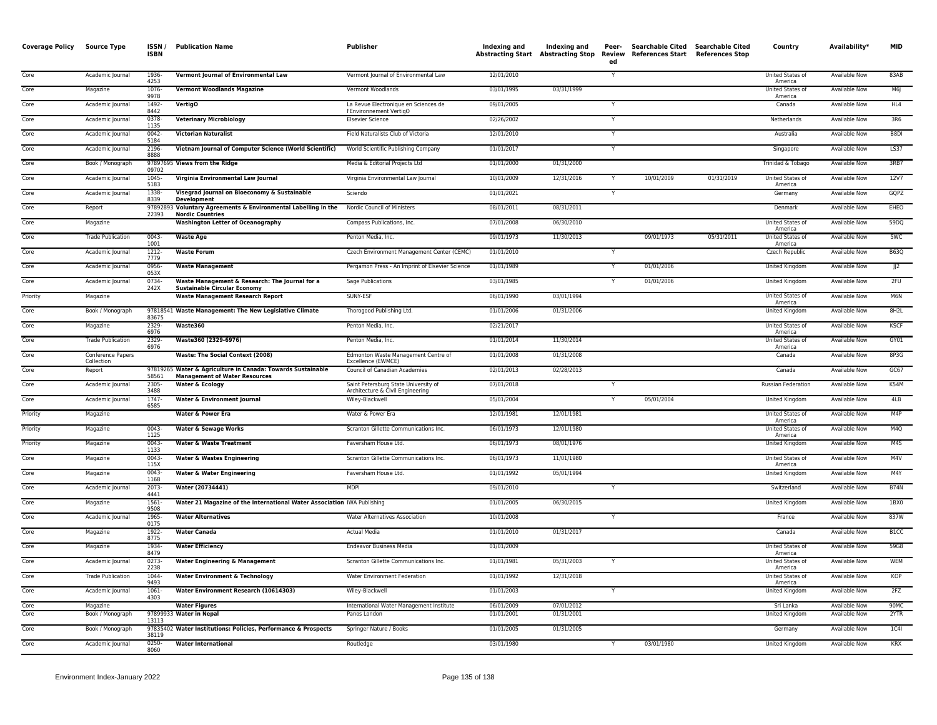| <b>Coverage Policy</b> | <b>Source Type</b>              | ISSN/<br><b>ISBN</b> | <b>Publication Name</b>                                                                             | Publisher                                                                | Indexing and             | Indexing and             | Peer-<br>ed | Searchable Cited Searchable Cited<br>Abstracting Start Abstracting Stop Review References Start References Stop |            | Country                            | Availability*                         | <b>MID</b>        |
|------------------------|---------------------------------|----------------------|-----------------------------------------------------------------------------------------------------|--------------------------------------------------------------------------|--------------------------|--------------------------|-------------|-----------------------------------------------------------------------------------------------------------------|------------|------------------------------------|---------------------------------------|-------------------|
| Core                   | Academic Journal                | 1936-<br>4253        | Vermont Journal of Environmental Law                                                                | Vermont Journal of Environmental Law                                     | 12/01/2010               |                          | Y           |                                                                                                                 |            | United States of<br>America        | Available Now                         | 83AB              |
| Core                   | Magazine                        | 1076<br>9978         | <b>Vermont Woodlands Magazine</b>                                                                   | Vermont Woodlands                                                        | 03/01/1995               | 03/31/1999               |             |                                                                                                                 |            | <b>United States of</b><br>America | <b>Available Now</b>                  | M6J               |
| Core                   | Academic Journal                | 1492-<br>8442        | <b>VertigO</b>                                                                                      | La Revue Electronique en Sciences de<br>l'Environnement VertigO          | 09/01/2005               |                          | Y           |                                                                                                                 |            | Canada                             | <b>Available Now</b>                  | HL4               |
| Core                   | Academic Journal                | 0378-<br>1135        | <b>Veterinary Microbiology</b>                                                                      | <b>Elsevier Science</b>                                                  | 02/26/2002               |                          | Y           |                                                                                                                 |            | Netherlands                        | <b>Available Now</b>                  | 3R6               |
| Core                   | Academic Journal                | $0042 -$<br>5184     | <b>Victorian Naturalist</b>                                                                         | Field Naturalists Club of Victoria                                       | 12/01/2010               |                          |             |                                                                                                                 |            | Australia                          | Available Now                         | B8DI              |
| Core                   | Academic Journal                | 2196<br>8888         | Vietnam Journal of Computer Science (World Scientific)                                              | World Scientific Publishing Company                                      | 01/01/2017               |                          | Y           |                                                                                                                 |            | Singapore                          | Available Now                         | LS37              |
| Core                   | Book / Monograph                | 09702                | 97897695 Views from the Ridge                                                                       | Media & Editorial Projects Ltd                                           | 01/01/2000               | 01/31/2000               |             |                                                                                                                 |            | Trinidad & Tobago                  | Available Now                         | 3RB7              |
| Core                   | Academic Journal                | 1045-<br>5183        | Virginia Environmental Law Journal                                                                  | Virginia Environmental Law Journal                                       | 10/01/2009               | 12/31/2016               |             | 10/01/2009                                                                                                      | 01/31/2019 | United States of<br>America        | <b>Available Now</b>                  | 12V7              |
| Core                   | Academic Journal                | 1338<br>8339         | Visegrad Journal on Bioeconomy & Sustainable<br><b>Development</b>                                  | Sciendo                                                                  | 01/01/2021               |                          |             |                                                                                                                 |            | Germany                            | Available Now                         | GQPZ              |
| Core                   | Report                          | 22393                | 97892893 Voluntary Agreements & Environmental Labelling in the<br><b>Nordic Countries</b>           | Nordic Council of Ministers                                              | 08/01/2011               | 08/31/2011               |             |                                                                                                                 |            | Denmark                            | <b>Available Now</b>                  | <b>EHEO</b>       |
| Core                   | Magazine                        |                      | <b>Washington Letter of Oceanography</b>                                                            | Compass Publications, Inc.                                               | 07/01/2008               | 06/30/2010               |             |                                                                                                                 |            | United States of<br>America        | Available Now                         | 59DQ              |
| Core                   | <b>Trade Publication</b>        | $0043 -$<br>1001     | <b>Waste Age</b>                                                                                    | Penton Media, Inc.                                                       | 09/01/1973               | 11/30/2013               |             | 09/01/1973                                                                                                      | 05/31/2011 | United States of<br>America        | Available Now                         | 5WC               |
| Core                   | Academic Journal                | 1212-<br>7779        | <b>Waste Forum</b>                                                                                  | Czech Environment Management Center (CEMC)                               | 01/01/2010               |                          |             |                                                                                                                 |            | <b>Czech Republic</b>              | <b>Available Now</b>                  | <b>B63Q</b>       |
| Core                   | Academic Journal                | 0956<br>053X         | <b>Waste Management</b>                                                                             | Pergamon Press - An Imprint of Elsevier Science                          | 01/01/1989               |                          |             | 01/01/2006                                                                                                      |            | United Kingdom                     | Available Now                         | JJ2               |
| Core                   | Academic Journal                | 0734<br>242X         | Waste Management & Research: The Journal for a<br><b>Sustainable Circular Economy</b>               | Sage Publications                                                        | 03/01/1985               |                          |             | 01/01/2006                                                                                                      |            | United Kingdom                     | <b>Available Now</b>                  | 2FU               |
| Priority               | Magazine                        |                      | <b>Waste Management Research Report</b>                                                             | SUNY-ESF                                                                 | 06/01/1990               | 03/01/1994               |             |                                                                                                                 |            | United States of<br>America        | Available Now                         | M6N               |
| Core                   | Book / Monograph                | 83675                | 97818541 Waste Management: The New Legislative Climate                                              | Thorogood Publishing Ltd.                                                | 01/01/2006               | 01/31/2006               |             |                                                                                                                 |            | United Kingdom                     | Available Now                         | 8H <sub>2</sub> L |
| Core                   | Magazine                        | 2329-<br>6976        | Waste360                                                                                            | Penton Media, Inc.                                                       | 02/21/2017               |                          |             |                                                                                                                 |            | United States of<br>America        | Available Now                         | <b>KSCF</b>       |
| Core                   | <b>Trade Publication</b>        | 2329<br>6976         | Waste360 (2329-6976)                                                                                | Penton Media, Inc.                                                       | 01/01/2014               | 11/30/2014               |             |                                                                                                                 |            | United States of<br>America        | <b>Available Now</b>                  | GY01              |
| Core                   | Conference Papers<br>Collection |                      | Waste: The Social Context (2008)                                                                    | Edmonton Waste Management Centre of<br>Excellence (EWMCE)                | 01/01/2008               | 01/31/2008               |             |                                                                                                                 |            | Canada                             | <b>Available Now</b>                  | 8P3G              |
| Core                   | Report                          | 58561                | 97819265 Water & Agriculture in Canada: Towards Sustainable<br><b>Management of Water Resources</b> | Council of Canadian Academies                                            | 02/01/2013               | 02/28/2013               |             |                                                                                                                 |            | Canada                             | <b>Available Now</b>                  | GC67              |
| Core                   | Academic Journal                | 2305<br>3488         | <b>Water &amp; Ecology</b>                                                                          | Saint Petersburg State University of<br>Architecture & Civil Engineering | 07/01/2018               |                          |             |                                                                                                                 |            | Russian Federation                 | Available Now                         | K54M              |
| Core                   | Academic Journal                | 1747-<br>6585        | <b>Water &amp; Environment Journal</b>                                                              | Wiley-Blackwell                                                          | 05/01/2004               |                          |             | 05/01/2004                                                                                                      |            | United Kingdom                     | Available Now                         | 4LB               |
| Priority               | Magazine                        |                      | <b>Water &amp; Power Era</b>                                                                        | Water & Power Era                                                        | 12/01/1981               | 12/01/1981               |             |                                                                                                                 |            | United States of<br>America        | <b>Available Now</b>                  | M4P               |
| Priority               | Magazine                        | 0043<br>1125         | <b>Water &amp; Sewage Works</b>                                                                     | Scranton Gillette Communications Inc.                                    | 06/01/1973               | 12/01/1980               |             |                                                                                                                 |            | United States of<br>America        | Available Now                         | M4Q               |
| Priority               | Magazine                        | 0043<br>1133         | <b>Water &amp; Waste Treatment</b>                                                                  | Faversham House Ltd.                                                     | 06/01/1973               | 08/01/1976               |             |                                                                                                                 |            | <b>United Kingdom</b>              | <b>Available Now</b>                  | M4S               |
| Core                   | Magazine                        | $0043 -$<br>115X     | <b>Water &amp; Wastes Engineering</b>                                                               | Scranton Gillette Communications Inc.                                    | 06/01/1973               | 11/01/1980               |             |                                                                                                                 |            | United States of<br>America        | Available Now                         | M4V               |
| Core                   | Magazine                        | 0043<br>1168         | <b>Water &amp; Water Engineering</b>                                                                | Faversham House Ltd.                                                     | 01/01/1992               | 05/01/1994               |             |                                                                                                                 |            | United Kingdom                     | Available Now                         | M4Y               |
| Core                   | Academic Journal                | 2073-<br>4441        | Water (20734441)                                                                                    | <b>MDPI</b>                                                              | 09/01/2010               |                          |             |                                                                                                                 |            | Switzerland                        | Available Now                         | <b>B74N</b>       |
| Core                   | Magazine                        | 1561<br>9508         | Water 21 Magazine of the International Water Association IWA Publishing                             |                                                                          | 01/01/2005               | 06/30/2015               |             |                                                                                                                 |            | United Kingdom                     | <b>Available Now</b>                  | 1BX0              |
| Core                   | Academic Journal                | 1965-<br>0175        | <b>Water Alternatives</b>                                                                           | Water Alternatives Association                                           | 10/01/2008               |                          | Y           |                                                                                                                 |            | France                             | Available Now                         | 837W              |
| Core                   | Magazine                        | 1922-<br>8775        | <b>Water Canada</b>                                                                                 | <b>Actual Media</b>                                                      | 01/01/2010               | 01/31/2017               |             |                                                                                                                 |            | Canada                             | <b>Available Now</b>                  | <b>BICC</b>       |
| Core                   | Magazine                        | 1934<br>8479         | <b>Water Efficiency</b>                                                                             | <b>Endeavor Business Media</b>                                           | 01/01/2009               |                          |             |                                                                                                                 |            | United States of<br>America        | Available Now                         | 59G8              |
| Core                   | Academic Journal                | 0273<br>2238         | <b>Water Engineering &amp; Management</b>                                                           | Scranton Gillette Communications Inc.                                    | 01/01/1981               | 05/31/2003               |             |                                                                                                                 |            | United States of<br>America        | Available Now                         | <b>WEM</b>        |
| Core                   | <b>Trade Publication</b>        | $1044 -$<br>9493     | <b>Water Environment &amp; Technology</b>                                                           | Water Environment Federation                                             | 01/01/1992               | 12/31/2018               |             |                                                                                                                 |            | United States of<br>America        | <b>Available Now</b>                  | KOP               |
| Core                   | Academic Journal                | 1061-<br>4303        | Water Environment Research (10614303)                                                               | Wiley-Blackwell                                                          | 01/01/2003               |                          | Y           |                                                                                                                 |            | <b>United Kingdom</b>              | <b>Available Now</b>                  | 2FZ               |
| Core<br>Core           | Magazine<br>Book / Monograph    |                      | <b>Water Figures</b><br>97899933 Water in Nepal                                                     | International Water Management Institute<br>Panos London                 | 06/01/2009<br>01/01/2001 | 07/01/2012<br>01/31/2001 |             |                                                                                                                 |            | Sri Lanka<br>United Kingdom        | <b>Available Now</b><br>Available Now | 90MC<br>2YTR      |
| Core                   | Book / Monograph                | 13113                | 97835402 Water Institutions: Policies, Performance & Prospects                                      | Springer Nature / Books                                                  | 01/01/2005               | 01/31/2005               |             |                                                                                                                 |            | Germany                            | Available Now                         | 1C4I              |
| Core                   | Academic Journal                | 38119<br>0250-       | <b>Water International</b>                                                                          | Routledge                                                                | 03/01/1980               |                          |             | 03/01/1980                                                                                                      |            | United Kingdom                     | Available Now                         | <b>KRX</b>        |
|                        |                                 | 8060                 |                                                                                                     |                                                                          |                          |                          |             |                                                                                                                 |            |                                    |                                       |                   |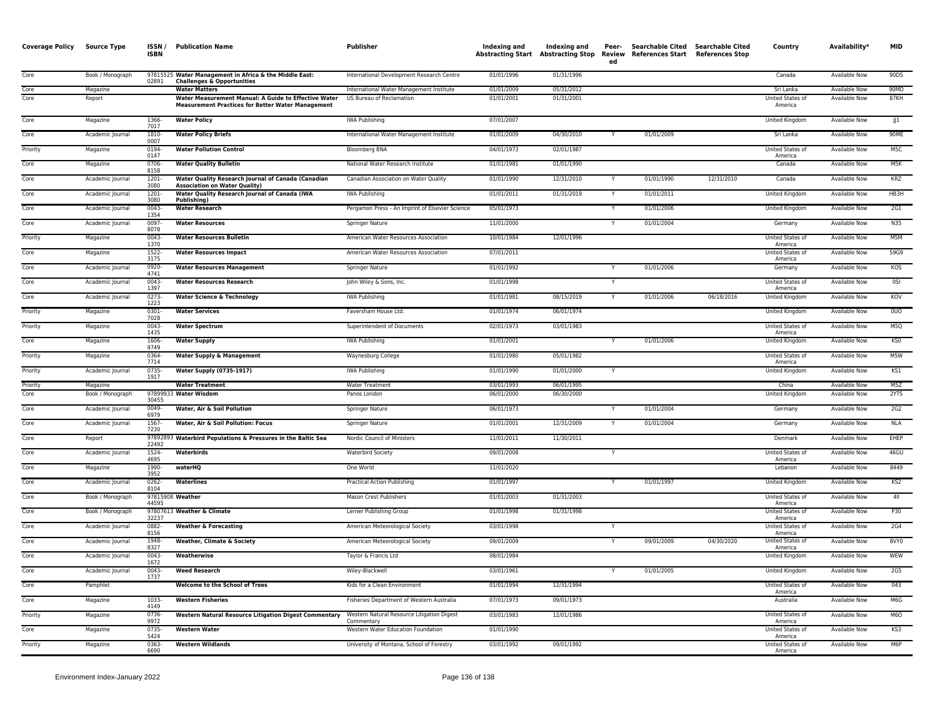| 01/01/1996<br>01/31/1996<br>90D5<br>Core<br>Book / Monograph<br>97815525 Water Management in Africa & the Middle East:<br>International Development Research Centre<br>Canada<br><b>Available Now</b><br>02891<br><b>Challenges &amp; Opportunities</b><br>International Water Management Institute<br>90MD<br>01/01/2009<br>05/31/2012<br>Sri Lanka<br>Available Now<br>Core<br>Magazine<br><b>Water Matters</b><br>Core<br>Report<br>Water Measurement Manual: A Guide to Effective Water<br>US Bureau of Reclamation<br>01/01/2001<br>01/31/2001<br>United States of<br>Available Now<br>87KH<br><b>Measurement Practices for Better Water Management</b><br>America<br>Core<br>Magazine<br>1366-<br><b>Water Policy</b><br><b>IWA Publishing</b><br>07/01/2007<br><b>United Kingdom</b><br><b>Available Now</b><br>JJ<br>7017<br>01/01/2009<br>04/30/2010<br>01/01/2009<br>90ME<br>Core<br>Academic Journal<br>1810<br><b>Water Policy Briefs</b><br>International Water Management Institute<br>Sri Lanka<br><b>Available Now</b><br>0007<br>M <sub>5</sub> C<br><b>Water Pollution Control</b><br>04/01/1973<br>02/01/1987<br>Priority<br>Magazine<br>0194<br><b>Bloomberg BNA</b><br>United States of<br>Available Now<br>0147<br>America<br>0706-<br>01/01/1981<br>01/01/1990<br>M5K<br>Core<br>Magazine<br><b>Water Quality Bulletin</b><br>National Water Research Institute<br>Canada<br>Available Now<br>8158<br>1201<br>Water Quality Research Journal of Canada (Canadian<br>Canadian Association on Water Quality<br>01/01/1990<br>12/31/2010<br>01/01/1990<br>12/31/2010<br><b>Available Now</b><br>KRZ<br>Core<br>Academic Journal<br>Canada<br>3080<br><b>Association on Water Quality)</b><br>01/31/2019<br>Core<br>Academic Journal<br>1201-<br>Water Quality Research Journal of Canada (IWA<br><b>IWA Publishing</b><br>01/01/2011<br>01/01/2011<br><b>United Kingdom</b><br><b>Available Now</b><br>HB3H<br>3080<br>Publishing)<br>Core<br>Academic Journal<br>$0043 -$<br><b>Water Research</b><br>Pergamon Press - An Imprint of Elsevier Science<br>05/01/1973<br>01/01/2006<br>United Kingdom<br><b>Available Now</b><br>2G1<br>1354<br>Core<br>11/01/2000<br>01/01/2004<br><b>N35</b><br>0097<br><b>Water Resources</b><br><b>Available Now</b><br>Academic Journal<br>Springer Nature<br>Germany<br>8078<br>0043<br>12/01/1996<br>United States of<br>M5M<br>Priority<br>Magazine<br><b>Water Resources Bulletin</b><br>American Water Resources Association<br>10/01/1984<br>Available Now<br>1370<br>America<br>Core<br>Magazine<br>1522-<br>American Water Resources Association<br>07/01/2011<br>United States of<br><b>Available Now</b><br>59G9<br><b>Water Resources Impact</b><br>3175<br>America<br>Core<br>0920<br>01/01/1992<br>01/01/2006<br>KOS<br>Academic Journal<br><b>Water Resources Management</b><br>Springer Nature<br>Germany<br>Available Now<br>4741<br>Core<br>Academic Journal<br>$0043 -$<br><b>Water Resources Research</b><br>John Wiley & Sons, Inc.<br>01/01/1998<br><b>United States of</b><br><b>Available Now</b><br>0SI<br>1397<br>America<br>Core<br>$0273-$<br><b>IWA Publishing</b><br>01/01/1981<br>08/15/2019<br>01/01/2006<br>06/18/2016<br>United Kingdom<br><b>Available Now</b><br>KOV<br>Academic Journal<br><b>Water Science &amp; Technology</b><br>1223<br>0301<br>01/01/1974<br>06/01/1974<br>0 <sub>D</sub><br>Priority<br>Magazine<br><b>Water Services</b><br>Faversham House Ltd.<br>United Kingdom<br><b>Available Now</b><br>7028<br>$0043 -$<br>02/01/1973<br>Priority<br>Magazine<br><b>Water Spectrum</b><br>Superintendent of Documents<br>03/01/1983<br>United States of<br>Available Now<br>M5Q<br>1435<br>America<br>01/01/2006<br>KS0<br>Core<br>Magazine<br>1606<br><b>Water Supply</b><br><b>IWA Publishing</b><br>01/01/2001<br>United Kingdom<br>Available Now<br>9749<br>0364<br>01/01/1980<br>05/01/1982<br>United States of<br><b>Available Now</b><br>M5W<br>Priority<br>Magazine<br><b>Water Supply &amp; Management</b><br>Waynesburg College<br>7714<br>America<br>01/01/2000<br>KS1<br>Priority<br>Academic Journal<br>0735-<br><b>Water Supply (0735-1917)</b><br><b>IWA Publishing</b><br>01/01/1990<br>United Kingdom<br>Available Now<br>1917<br>03/01/1993<br>M5Z<br><b>Water Treatment</b><br><b>Water Treatment</b><br>06/01/1995<br>China<br><b>Available Now</b><br>Priority<br>Magazine<br>97899933 Water Wisdom<br>2YTS<br>Core<br>06/01/2000<br>06/30/2000<br>Book / Monograph<br>Panos London<br>United Kingdom<br>Available Now<br>30455<br>0049-<br>06/01/1973<br>01/01/2004<br>Core<br>Academic Journal<br>Water, Air & Soil Pollution<br>Springer Nature<br>Germany<br>Available Now<br>2G2<br>6979<br>Core<br>Academic Journal<br>1567<br>Water, Air & Soil Pollution: Focus<br>Springer Nature<br>01/01/2001<br>12/31/2009<br>01/01/2004<br>Germany<br>Available Now<br>NLA<br>7230<br>Core<br>97892893 Waterbird Populations & Pressures in the Baltic Sea<br>Nordic Council of Ministers<br>11/01/2011<br>11/30/2011<br>Denmark<br><b>Available Now</b><br>EHEP<br>Report<br>22492<br>Core<br>1524-<br><b>Waterbird Society</b><br>09/01/2008<br>United States of<br>Available Now<br>46GU<br>Academic Journal<br>Waterbirds<br>Y<br>4695<br>America<br>1990-<br>11/01/2020<br>8449<br>Core<br>Magazine<br>waterHQ<br>One World<br>Lebanon<br><b>Available Now</b><br>3952<br>01/01/1997<br>Core<br><b>Waterlines</b><br>01/01/1997<br>KS2<br>0262-<br>United Kingdom<br>Available Now<br>Academic Journal<br>Practical Action Publishing<br>8104<br>01/01/2003<br>01/31/2003<br>4II<br>Core<br>Book / Monograph<br>97815908 Weather<br>Mason Crest Publishers<br>United States of<br>Available Now<br>44595<br>America<br>P30<br>Core<br>Book / Monograph<br>97807613 Weather & Climate<br>Lerner Publishing Group<br>01/01/1998<br>01/31/1998<br>United States of<br>Available Now<br>32237<br>America<br>Core<br>0882-<br>03/01/1998<br><b>2G4</b><br><b>Weather &amp; Forecasting</b><br>American Meteorological Society<br>United States of<br>Available Now<br>Academic Journal<br>8156<br>America<br>Core<br>Academic Journal<br>1948<br>American Meteorological Society<br>09/01/2009<br>09/01/2009<br>04/30/2020<br>United States of<br><b>Available Now</b><br>8VY0<br><b>Weather, Climate &amp; Society</b><br>8327<br>America<br>Core<br>$0043 -$<br>08/01/1984<br>WEW<br>Weatherwise<br>Taylor & Francis Ltd<br><b>United Kingdom</b><br><b>Available Now</b><br>Academic Journal<br>1672<br>01/01/2005<br>$0043 -$<br>03/01/1961<br><b>United Kingdom</b><br><b>Available Now</b><br>2G5<br>Core<br>Academic Journal<br><b>Weed Research</b><br>Wiley-Blackwell<br>1737<br>Welcome to the School of Trees<br>12/31/1994<br>043<br>Core<br>Pamphlet<br>Kids for a Clean Environment<br>01/01/1994<br>United States of<br>Available Now<br>America<br>1033-<br>Core<br><b>Western Fisheries</b><br>Fisheries Department of Western Australia<br>07/01/1973<br>09/01/1973<br>Australia<br><b>Available Now</b><br>M6G<br>Magazine<br>4149<br>12/01/1986<br>Priority<br>Magazine<br>0736-<br><b>Western Natural Resource Litigation Digest Commentary</b><br>Western Natural Resource Litigation Digest<br>03/01/1983<br>United States of<br><b>Available Now</b><br>M <sub>6</sub> O<br>9972<br>Commentary<br>America<br>Core<br>0735-<br>Western Water Education Foundation<br>01/01/1990<br>United States of<br><b>Available Now</b><br>KS3<br>Magazine<br><b>Western Water</b><br>5424<br>America<br>Priority<br>0363<br><b>Western Wildlands</b><br>University of Montana, School of Forestry<br>03/01/1992<br>09/01/1992<br>United States of<br>Available Now<br>M <sub>6</sub> P<br>Magazine<br>6690<br>America | <b>Coverage Policy</b> | <b>Source Type</b> | ISSN/<br><b>ISBN</b> | <b>Publication Name</b> | <b>Publisher</b> | Indexing and | Indexing and | Peer-<br>ed | Abstracting Start Abstracting Stop Review References Start References Stop | Searchable Cited Searchable Cited | Country | Availability* | <b>MID</b> |
|---------------------------------------------------------------------------------------------------------------------------------------------------------------------------------------------------------------------------------------------------------------------------------------------------------------------------------------------------------------------------------------------------------------------------------------------------------------------------------------------------------------------------------------------------------------------------------------------------------------------------------------------------------------------------------------------------------------------------------------------------------------------------------------------------------------------------------------------------------------------------------------------------------------------------------------------------------------------------------------------------------------------------------------------------------------------------------------------------------------------------------------------------------------------------------------------------------------------------------------------------------------------------------------------------------------------------------------------------------------------------------------------------------------------------------------------------------------------------------------------------------------------------------------------------------------------------------------------------------------------------------------------------------------------------------------------------------------------------------------------------------------------------------------------------------------------------------------------------------------------------------------------------------------------------------------------------------------------------------------------------------------------------------------------------------------------------------------------------------------------------------------------------------------------------------------------------------------------------------------------------------------------------------------------------------------------------------------------------------------------------------------------------------------------------------------------------------------------------------------------------------------------------------------------------------------------------------------------------------------------------------------------------------------------------------------------------------------------------------------------------------------------------------------------------------------------------------------------------------------------------------------------------------------------------------------------------------------------------------------------------------------------------------------------------------------------------------------------------------------------------------------------------------------------------------------------------------------------------------------------------------------------------------------------------------------------------------------------------------------------------------------------------------------------------------------------------------------------------------------------------------------------------------------------------------------------------------------------------------------------------------------------------------------------------------------------------------------------------------------------------------------------------------------------------------------------------------------------------------------------------------------------------------------------------------------------------------------------------------------------------------------------------------------------------------------------------------------------------------------------------------------------------------------------------------------------------------------------------------------------------------------------------------------------------------------------------------------------------------------------------------------------------------------------------------------------------------------------------------------------------------------------------------------------------------------------------------------------------------------------------------------------------------------------------------------------------------------------------------------------------------------------------------------------------------------------------------------------------------------------------------------------------------------------------------------------------------------------------------------------------------------------------------------------------------------------------------------------------------------------------------------------------------------------------------------------------------------------------------------------------------------------------------------------------------------------------------------------------------------------------------------------------------------------------------------------------------------------------------------------------------------------------------------------------------------------------------------------------------------------------------------------------------------------------------------------------------------------------------------------------------------------------------------------------------------------------------------------------------------------------------------------------------------------------------------------------------------------------------------------------------------------------------------------------------------------------------------------------------------------------------------------------------------------------------------------------------------------------------------------------------------------------------------------------------------------------------------------------------------------------------------------------------------------------------------------------------------------------------------------------------------------------------------------------------------------------------------------------------------------------------------------------------------------------------------------------------------------------------------------------------------------------------------------------------------------------------------------------------------------------------------------------------------------------------------------------------------------------------------------------------------------------------------------------------------------------------------------------------------------------------------------------------------------------------------------------------------------------------------------------------------------------------------------------------------------------------------------------------------------------------------------------------------------------------------------------------------------------------------------------------------------------------------------------------------------------------------------------------------------------------------------------------------------------------------------------------------------------------------------------------------|------------------------|--------------------|----------------------|-------------------------|------------------|--------------|--------------|-------------|----------------------------------------------------------------------------|-----------------------------------|---------|---------------|------------|
|                                                                                                                                                                                                                                                                                                                                                                                                                                                                                                                                                                                                                                                                                                                                                                                                                                                                                                                                                                                                                                                                                                                                                                                                                                                                                                                                                                                                                                                                                                                                                                                                                                                                                                                                                                                                                                                                                                                                                                                                                                                                                                                                                                                                                                                                                                                                                                                                                                                                                                                                                                                                                                                                                                                                                                                                                                                                                                                                                                                                                                                                                                                                                                                                                                                                                                                                                                                                                                                                                                                                                                                                                                                                                                                                                                                                                                                                                                                                                                                                                                                                                                                                                                                                                                                                                                                                                                                                                                                                                                                                                                                                                                                                                                                                                                                                                                                                                                                                                                                                                                                                                                                                                                                                                                                                                                                                                                                                                                                                                                                                                                                                                                                                                                                                                                                                                                                                                                                                                                                                                                                                                                                                                                                                                                                                                                                                                                                                                                                                                                                                                                                                                                                                                                                                                                                                                                                                                                                                                                                                                                                                                                                                                                                                                                                                                                                                                                                                                                                                                                                                                                                                                                                                                                                                                               |                        |                    |                      |                         |                  |              |              |             |                                                                            |                                   |         |               |            |
|                                                                                                                                                                                                                                                                                                                                                                                                                                                                                                                                                                                                                                                                                                                                                                                                                                                                                                                                                                                                                                                                                                                                                                                                                                                                                                                                                                                                                                                                                                                                                                                                                                                                                                                                                                                                                                                                                                                                                                                                                                                                                                                                                                                                                                                                                                                                                                                                                                                                                                                                                                                                                                                                                                                                                                                                                                                                                                                                                                                                                                                                                                                                                                                                                                                                                                                                                                                                                                                                                                                                                                                                                                                                                                                                                                                                                                                                                                                                                                                                                                                                                                                                                                                                                                                                                                                                                                                                                                                                                                                                                                                                                                                                                                                                                                                                                                                                                                                                                                                                                                                                                                                                                                                                                                                                                                                                                                                                                                                                                                                                                                                                                                                                                                                                                                                                                                                                                                                                                                                                                                                                                                                                                                                                                                                                                                                                                                                                                                                                                                                                                                                                                                                                                                                                                                                                                                                                                                                                                                                                                                                                                                                                                                                                                                                                                                                                                                                                                                                                                                                                                                                                                                                                                                                                                               |                        |                    |                      |                         |                  |              |              |             |                                                                            |                                   |         |               |            |
|                                                                                                                                                                                                                                                                                                                                                                                                                                                                                                                                                                                                                                                                                                                                                                                                                                                                                                                                                                                                                                                                                                                                                                                                                                                                                                                                                                                                                                                                                                                                                                                                                                                                                                                                                                                                                                                                                                                                                                                                                                                                                                                                                                                                                                                                                                                                                                                                                                                                                                                                                                                                                                                                                                                                                                                                                                                                                                                                                                                                                                                                                                                                                                                                                                                                                                                                                                                                                                                                                                                                                                                                                                                                                                                                                                                                                                                                                                                                                                                                                                                                                                                                                                                                                                                                                                                                                                                                                                                                                                                                                                                                                                                                                                                                                                                                                                                                                                                                                                                                                                                                                                                                                                                                                                                                                                                                                                                                                                                                                                                                                                                                                                                                                                                                                                                                                                                                                                                                                                                                                                                                                                                                                                                                                                                                                                                                                                                                                                                                                                                                                                                                                                                                                                                                                                                                                                                                                                                                                                                                                                                                                                                                                                                                                                                                                                                                                                                                                                                                                                                                                                                                                                                                                                                                                               |                        |                    |                      |                         |                  |              |              |             |                                                                            |                                   |         |               |            |
|                                                                                                                                                                                                                                                                                                                                                                                                                                                                                                                                                                                                                                                                                                                                                                                                                                                                                                                                                                                                                                                                                                                                                                                                                                                                                                                                                                                                                                                                                                                                                                                                                                                                                                                                                                                                                                                                                                                                                                                                                                                                                                                                                                                                                                                                                                                                                                                                                                                                                                                                                                                                                                                                                                                                                                                                                                                                                                                                                                                                                                                                                                                                                                                                                                                                                                                                                                                                                                                                                                                                                                                                                                                                                                                                                                                                                                                                                                                                                                                                                                                                                                                                                                                                                                                                                                                                                                                                                                                                                                                                                                                                                                                                                                                                                                                                                                                                                                                                                                                                                                                                                                                                                                                                                                                                                                                                                                                                                                                                                                                                                                                                                                                                                                                                                                                                                                                                                                                                                                                                                                                                                                                                                                                                                                                                                                                                                                                                                                                                                                                                                                                                                                                                                                                                                                                                                                                                                                                                                                                                                                                                                                                                                                                                                                                                                                                                                                                                                                                                                                                                                                                                                                                                                                                                                               |                        |                    |                      |                         |                  |              |              |             |                                                                            |                                   |         |               |            |
|                                                                                                                                                                                                                                                                                                                                                                                                                                                                                                                                                                                                                                                                                                                                                                                                                                                                                                                                                                                                                                                                                                                                                                                                                                                                                                                                                                                                                                                                                                                                                                                                                                                                                                                                                                                                                                                                                                                                                                                                                                                                                                                                                                                                                                                                                                                                                                                                                                                                                                                                                                                                                                                                                                                                                                                                                                                                                                                                                                                                                                                                                                                                                                                                                                                                                                                                                                                                                                                                                                                                                                                                                                                                                                                                                                                                                                                                                                                                                                                                                                                                                                                                                                                                                                                                                                                                                                                                                                                                                                                                                                                                                                                                                                                                                                                                                                                                                                                                                                                                                                                                                                                                                                                                                                                                                                                                                                                                                                                                                                                                                                                                                                                                                                                                                                                                                                                                                                                                                                                                                                                                                                                                                                                                                                                                                                                                                                                                                                                                                                                                                                                                                                                                                                                                                                                                                                                                                                                                                                                                                                                                                                                                                                                                                                                                                                                                                                                                                                                                                                                                                                                                                                                                                                                                                               |                        |                    |                      |                         |                  |              |              |             |                                                                            |                                   |         |               |            |
|                                                                                                                                                                                                                                                                                                                                                                                                                                                                                                                                                                                                                                                                                                                                                                                                                                                                                                                                                                                                                                                                                                                                                                                                                                                                                                                                                                                                                                                                                                                                                                                                                                                                                                                                                                                                                                                                                                                                                                                                                                                                                                                                                                                                                                                                                                                                                                                                                                                                                                                                                                                                                                                                                                                                                                                                                                                                                                                                                                                                                                                                                                                                                                                                                                                                                                                                                                                                                                                                                                                                                                                                                                                                                                                                                                                                                                                                                                                                                                                                                                                                                                                                                                                                                                                                                                                                                                                                                                                                                                                                                                                                                                                                                                                                                                                                                                                                                                                                                                                                                                                                                                                                                                                                                                                                                                                                                                                                                                                                                                                                                                                                                                                                                                                                                                                                                                                                                                                                                                                                                                                                                                                                                                                                                                                                                                                                                                                                                                                                                                                                                                                                                                                                                                                                                                                                                                                                                                                                                                                                                                                                                                                                                                                                                                                                                                                                                                                                                                                                                                                                                                                                                                                                                                                                                               |                        |                    |                      |                         |                  |              |              |             |                                                                            |                                   |         |               |            |
|                                                                                                                                                                                                                                                                                                                                                                                                                                                                                                                                                                                                                                                                                                                                                                                                                                                                                                                                                                                                                                                                                                                                                                                                                                                                                                                                                                                                                                                                                                                                                                                                                                                                                                                                                                                                                                                                                                                                                                                                                                                                                                                                                                                                                                                                                                                                                                                                                                                                                                                                                                                                                                                                                                                                                                                                                                                                                                                                                                                                                                                                                                                                                                                                                                                                                                                                                                                                                                                                                                                                                                                                                                                                                                                                                                                                                                                                                                                                                                                                                                                                                                                                                                                                                                                                                                                                                                                                                                                                                                                                                                                                                                                                                                                                                                                                                                                                                                                                                                                                                                                                                                                                                                                                                                                                                                                                                                                                                                                                                                                                                                                                                                                                                                                                                                                                                                                                                                                                                                                                                                                                                                                                                                                                                                                                                                                                                                                                                                                                                                                                                                                                                                                                                                                                                                                                                                                                                                                                                                                                                                                                                                                                                                                                                                                                                                                                                                                                                                                                                                                                                                                                                                                                                                                                                               |                        |                    |                      |                         |                  |              |              |             |                                                                            |                                   |         |               |            |
|                                                                                                                                                                                                                                                                                                                                                                                                                                                                                                                                                                                                                                                                                                                                                                                                                                                                                                                                                                                                                                                                                                                                                                                                                                                                                                                                                                                                                                                                                                                                                                                                                                                                                                                                                                                                                                                                                                                                                                                                                                                                                                                                                                                                                                                                                                                                                                                                                                                                                                                                                                                                                                                                                                                                                                                                                                                                                                                                                                                                                                                                                                                                                                                                                                                                                                                                                                                                                                                                                                                                                                                                                                                                                                                                                                                                                                                                                                                                                                                                                                                                                                                                                                                                                                                                                                                                                                                                                                                                                                                                                                                                                                                                                                                                                                                                                                                                                                                                                                                                                                                                                                                                                                                                                                                                                                                                                                                                                                                                                                                                                                                                                                                                                                                                                                                                                                                                                                                                                                                                                                                                                                                                                                                                                                                                                                                                                                                                                                                                                                                                                                                                                                                                                                                                                                                                                                                                                                                                                                                                                                                                                                                                                                                                                                                                                                                                                                                                                                                                                                                                                                                                                                                                                                                                                               |                        |                    |                      |                         |                  |              |              |             |                                                                            |                                   |         |               |            |
|                                                                                                                                                                                                                                                                                                                                                                                                                                                                                                                                                                                                                                                                                                                                                                                                                                                                                                                                                                                                                                                                                                                                                                                                                                                                                                                                                                                                                                                                                                                                                                                                                                                                                                                                                                                                                                                                                                                                                                                                                                                                                                                                                                                                                                                                                                                                                                                                                                                                                                                                                                                                                                                                                                                                                                                                                                                                                                                                                                                                                                                                                                                                                                                                                                                                                                                                                                                                                                                                                                                                                                                                                                                                                                                                                                                                                                                                                                                                                                                                                                                                                                                                                                                                                                                                                                                                                                                                                                                                                                                                                                                                                                                                                                                                                                                                                                                                                                                                                                                                                                                                                                                                                                                                                                                                                                                                                                                                                                                                                                                                                                                                                                                                                                                                                                                                                                                                                                                                                                                                                                                                                                                                                                                                                                                                                                                                                                                                                                                                                                                                                                                                                                                                                                                                                                                                                                                                                                                                                                                                                                                                                                                                                                                                                                                                                                                                                                                                                                                                                                                                                                                                                                                                                                                                                               |                        |                    |                      |                         |                  |              |              |             |                                                                            |                                   |         |               |            |
|                                                                                                                                                                                                                                                                                                                                                                                                                                                                                                                                                                                                                                                                                                                                                                                                                                                                                                                                                                                                                                                                                                                                                                                                                                                                                                                                                                                                                                                                                                                                                                                                                                                                                                                                                                                                                                                                                                                                                                                                                                                                                                                                                                                                                                                                                                                                                                                                                                                                                                                                                                                                                                                                                                                                                                                                                                                                                                                                                                                                                                                                                                                                                                                                                                                                                                                                                                                                                                                                                                                                                                                                                                                                                                                                                                                                                                                                                                                                                                                                                                                                                                                                                                                                                                                                                                                                                                                                                                                                                                                                                                                                                                                                                                                                                                                                                                                                                                                                                                                                                                                                                                                                                                                                                                                                                                                                                                                                                                                                                                                                                                                                                                                                                                                                                                                                                                                                                                                                                                                                                                                                                                                                                                                                                                                                                                                                                                                                                                                                                                                                                                                                                                                                                                                                                                                                                                                                                                                                                                                                                                                                                                                                                                                                                                                                                                                                                                                                                                                                                                                                                                                                                                                                                                                                                               |                        |                    |                      |                         |                  |              |              |             |                                                                            |                                   |         |               |            |
|                                                                                                                                                                                                                                                                                                                                                                                                                                                                                                                                                                                                                                                                                                                                                                                                                                                                                                                                                                                                                                                                                                                                                                                                                                                                                                                                                                                                                                                                                                                                                                                                                                                                                                                                                                                                                                                                                                                                                                                                                                                                                                                                                                                                                                                                                                                                                                                                                                                                                                                                                                                                                                                                                                                                                                                                                                                                                                                                                                                                                                                                                                                                                                                                                                                                                                                                                                                                                                                                                                                                                                                                                                                                                                                                                                                                                                                                                                                                                                                                                                                                                                                                                                                                                                                                                                                                                                                                                                                                                                                                                                                                                                                                                                                                                                                                                                                                                                                                                                                                                                                                                                                                                                                                                                                                                                                                                                                                                                                                                                                                                                                                                                                                                                                                                                                                                                                                                                                                                                                                                                                                                                                                                                                                                                                                                                                                                                                                                                                                                                                                                                                                                                                                                                                                                                                                                                                                                                                                                                                                                                                                                                                                                                                                                                                                                                                                                                                                                                                                                                                                                                                                                                                                                                                                                               |                        |                    |                      |                         |                  |              |              |             |                                                                            |                                   |         |               |            |
|                                                                                                                                                                                                                                                                                                                                                                                                                                                                                                                                                                                                                                                                                                                                                                                                                                                                                                                                                                                                                                                                                                                                                                                                                                                                                                                                                                                                                                                                                                                                                                                                                                                                                                                                                                                                                                                                                                                                                                                                                                                                                                                                                                                                                                                                                                                                                                                                                                                                                                                                                                                                                                                                                                                                                                                                                                                                                                                                                                                                                                                                                                                                                                                                                                                                                                                                                                                                                                                                                                                                                                                                                                                                                                                                                                                                                                                                                                                                                                                                                                                                                                                                                                                                                                                                                                                                                                                                                                                                                                                                                                                                                                                                                                                                                                                                                                                                                                                                                                                                                                                                                                                                                                                                                                                                                                                                                                                                                                                                                                                                                                                                                                                                                                                                                                                                                                                                                                                                                                                                                                                                                                                                                                                                                                                                                                                                                                                                                                                                                                                                                                                                                                                                                                                                                                                                                                                                                                                                                                                                                                                                                                                                                                                                                                                                                                                                                                                                                                                                                                                                                                                                                                                                                                                                                               |                        |                    |                      |                         |                  |              |              |             |                                                                            |                                   |         |               |            |
|                                                                                                                                                                                                                                                                                                                                                                                                                                                                                                                                                                                                                                                                                                                                                                                                                                                                                                                                                                                                                                                                                                                                                                                                                                                                                                                                                                                                                                                                                                                                                                                                                                                                                                                                                                                                                                                                                                                                                                                                                                                                                                                                                                                                                                                                                                                                                                                                                                                                                                                                                                                                                                                                                                                                                                                                                                                                                                                                                                                                                                                                                                                                                                                                                                                                                                                                                                                                                                                                                                                                                                                                                                                                                                                                                                                                                                                                                                                                                                                                                                                                                                                                                                                                                                                                                                                                                                                                                                                                                                                                                                                                                                                                                                                                                                                                                                                                                                                                                                                                                                                                                                                                                                                                                                                                                                                                                                                                                                                                                                                                                                                                                                                                                                                                                                                                                                                                                                                                                                                                                                                                                                                                                                                                                                                                                                                                                                                                                                                                                                                                                                                                                                                                                                                                                                                                                                                                                                                                                                                                                                                                                                                                                                                                                                                                                                                                                                                                                                                                                                                                                                                                                                                                                                                                                               |                        |                    |                      |                         |                  |              |              |             |                                                                            |                                   |         |               |            |
|                                                                                                                                                                                                                                                                                                                                                                                                                                                                                                                                                                                                                                                                                                                                                                                                                                                                                                                                                                                                                                                                                                                                                                                                                                                                                                                                                                                                                                                                                                                                                                                                                                                                                                                                                                                                                                                                                                                                                                                                                                                                                                                                                                                                                                                                                                                                                                                                                                                                                                                                                                                                                                                                                                                                                                                                                                                                                                                                                                                                                                                                                                                                                                                                                                                                                                                                                                                                                                                                                                                                                                                                                                                                                                                                                                                                                                                                                                                                                                                                                                                                                                                                                                                                                                                                                                                                                                                                                                                                                                                                                                                                                                                                                                                                                                                                                                                                                                                                                                                                                                                                                                                                                                                                                                                                                                                                                                                                                                                                                                                                                                                                                                                                                                                                                                                                                                                                                                                                                                                                                                                                                                                                                                                                                                                                                                                                                                                                                                                                                                                                                                                                                                                                                                                                                                                                                                                                                                                                                                                                                                                                                                                                                                                                                                                                                                                                                                                                                                                                                                                                                                                                                                                                                                                                                               |                        |                    |                      |                         |                  |              |              |             |                                                                            |                                   |         |               |            |
|                                                                                                                                                                                                                                                                                                                                                                                                                                                                                                                                                                                                                                                                                                                                                                                                                                                                                                                                                                                                                                                                                                                                                                                                                                                                                                                                                                                                                                                                                                                                                                                                                                                                                                                                                                                                                                                                                                                                                                                                                                                                                                                                                                                                                                                                                                                                                                                                                                                                                                                                                                                                                                                                                                                                                                                                                                                                                                                                                                                                                                                                                                                                                                                                                                                                                                                                                                                                                                                                                                                                                                                                                                                                                                                                                                                                                                                                                                                                                                                                                                                                                                                                                                                                                                                                                                                                                                                                                                                                                                                                                                                                                                                                                                                                                                                                                                                                                                                                                                                                                                                                                                                                                                                                                                                                                                                                                                                                                                                                                                                                                                                                                                                                                                                                                                                                                                                                                                                                                                                                                                                                                                                                                                                                                                                                                                                                                                                                                                                                                                                                                                                                                                                                                                                                                                                                                                                                                                                                                                                                                                                                                                                                                                                                                                                                                                                                                                                                                                                                                                                                                                                                                                                                                                                                                               |                        |                    |                      |                         |                  |              |              |             |                                                                            |                                   |         |               |            |
|                                                                                                                                                                                                                                                                                                                                                                                                                                                                                                                                                                                                                                                                                                                                                                                                                                                                                                                                                                                                                                                                                                                                                                                                                                                                                                                                                                                                                                                                                                                                                                                                                                                                                                                                                                                                                                                                                                                                                                                                                                                                                                                                                                                                                                                                                                                                                                                                                                                                                                                                                                                                                                                                                                                                                                                                                                                                                                                                                                                                                                                                                                                                                                                                                                                                                                                                                                                                                                                                                                                                                                                                                                                                                                                                                                                                                                                                                                                                                                                                                                                                                                                                                                                                                                                                                                                                                                                                                                                                                                                                                                                                                                                                                                                                                                                                                                                                                                                                                                                                                                                                                                                                                                                                                                                                                                                                                                                                                                                                                                                                                                                                                                                                                                                                                                                                                                                                                                                                                                                                                                                                                                                                                                                                                                                                                                                                                                                                                                                                                                                                                                                                                                                                                                                                                                                                                                                                                                                                                                                                                                                                                                                                                                                                                                                                                                                                                                                                                                                                                                                                                                                                                                                                                                                                                               |                        |                    |                      |                         |                  |              |              |             |                                                                            |                                   |         |               |            |
|                                                                                                                                                                                                                                                                                                                                                                                                                                                                                                                                                                                                                                                                                                                                                                                                                                                                                                                                                                                                                                                                                                                                                                                                                                                                                                                                                                                                                                                                                                                                                                                                                                                                                                                                                                                                                                                                                                                                                                                                                                                                                                                                                                                                                                                                                                                                                                                                                                                                                                                                                                                                                                                                                                                                                                                                                                                                                                                                                                                                                                                                                                                                                                                                                                                                                                                                                                                                                                                                                                                                                                                                                                                                                                                                                                                                                                                                                                                                                                                                                                                                                                                                                                                                                                                                                                                                                                                                                                                                                                                                                                                                                                                                                                                                                                                                                                                                                                                                                                                                                                                                                                                                                                                                                                                                                                                                                                                                                                                                                                                                                                                                                                                                                                                                                                                                                                                                                                                                                                                                                                                                                                                                                                                                                                                                                                                                                                                                                                                                                                                                                                                                                                                                                                                                                                                                                                                                                                                                                                                                                                                                                                                                                                                                                                                                                                                                                                                                                                                                                                                                                                                                                                                                                                                                                               |                        |                    |                      |                         |                  |              |              |             |                                                                            |                                   |         |               |            |
|                                                                                                                                                                                                                                                                                                                                                                                                                                                                                                                                                                                                                                                                                                                                                                                                                                                                                                                                                                                                                                                                                                                                                                                                                                                                                                                                                                                                                                                                                                                                                                                                                                                                                                                                                                                                                                                                                                                                                                                                                                                                                                                                                                                                                                                                                                                                                                                                                                                                                                                                                                                                                                                                                                                                                                                                                                                                                                                                                                                                                                                                                                                                                                                                                                                                                                                                                                                                                                                                                                                                                                                                                                                                                                                                                                                                                                                                                                                                                                                                                                                                                                                                                                                                                                                                                                                                                                                                                                                                                                                                                                                                                                                                                                                                                                                                                                                                                                                                                                                                                                                                                                                                                                                                                                                                                                                                                                                                                                                                                                                                                                                                                                                                                                                                                                                                                                                                                                                                                                                                                                                                                                                                                                                                                                                                                                                                                                                                                                                                                                                                                                                                                                                                                                                                                                                                                                                                                                                                                                                                                                                                                                                                                                                                                                                                                                                                                                                                                                                                                                                                                                                                                                                                                                                                                               |                        |                    |                      |                         |                  |              |              |             |                                                                            |                                   |         |               |            |
|                                                                                                                                                                                                                                                                                                                                                                                                                                                                                                                                                                                                                                                                                                                                                                                                                                                                                                                                                                                                                                                                                                                                                                                                                                                                                                                                                                                                                                                                                                                                                                                                                                                                                                                                                                                                                                                                                                                                                                                                                                                                                                                                                                                                                                                                                                                                                                                                                                                                                                                                                                                                                                                                                                                                                                                                                                                                                                                                                                                                                                                                                                                                                                                                                                                                                                                                                                                                                                                                                                                                                                                                                                                                                                                                                                                                                                                                                                                                                                                                                                                                                                                                                                                                                                                                                                                                                                                                                                                                                                                                                                                                                                                                                                                                                                                                                                                                                                                                                                                                                                                                                                                                                                                                                                                                                                                                                                                                                                                                                                                                                                                                                                                                                                                                                                                                                                                                                                                                                                                                                                                                                                                                                                                                                                                                                                                                                                                                                                                                                                                                                                                                                                                                                                                                                                                                                                                                                                                                                                                                                                                                                                                                                                                                                                                                                                                                                                                                                                                                                                                                                                                                                                                                                                                                                               |                        |                    |                      |                         |                  |              |              |             |                                                                            |                                   |         |               |            |
|                                                                                                                                                                                                                                                                                                                                                                                                                                                                                                                                                                                                                                                                                                                                                                                                                                                                                                                                                                                                                                                                                                                                                                                                                                                                                                                                                                                                                                                                                                                                                                                                                                                                                                                                                                                                                                                                                                                                                                                                                                                                                                                                                                                                                                                                                                                                                                                                                                                                                                                                                                                                                                                                                                                                                                                                                                                                                                                                                                                                                                                                                                                                                                                                                                                                                                                                                                                                                                                                                                                                                                                                                                                                                                                                                                                                                                                                                                                                                                                                                                                                                                                                                                                                                                                                                                                                                                                                                                                                                                                                                                                                                                                                                                                                                                                                                                                                                                                                                                                                                                                                                                                                                                                                                                                                                                                                                                                                                                                                                                                                                                                                                                                                                                                                                                                                                                                                                                                                                                                                                                                                                                                                                                                                                                                                                                                                                                                                                                                                                                                                                                                                                                                                                                                                                                                                                                                                                                                                                                                                                                                                                                                                                                                                                                                                                                                                                                                                                                                                                                                                                                                                                                                                                                                                                               |                        |                    |                      |                         |                  |              |              |             |                                                                            |                                   |         |               |            |
|                                                                                                                                                                                                                                                                                                                                                                                                                                                                                                                                                                                                                                                                                                                                                                                                                                                                                                                                                                                                                                                                                                                                                                                                                                                                                                                                                                                                                                                                                                                                                                                                                                                                                                                                                                                                                                                                                                                                                                                                                                                                                                                                                                                                                                                                                                                                                                                                                                                                                                                                                                                                                                                                                                                                                                                                                                                                                                                                                                                                                                                                                                                                                                                                                                                                                                                                                                                                                                                                                                                                                                                                                                                                                                                                                                                                                                                                                                                                                                                                                                                                                                                                                                                                                                                                                                                                                                                                                                                                                                                                                                                                                                                                                                                                                                                                                                                                                                                                                                                                                                                                                                                                                                                                                                                                                                                                                                                                                                                                                                                                                                                                                                                                                                                                                                                                                                                                                                                                                                                                                                                                                                                                                                                                                                                                                                                                                                                                                                                                                                                                                                                                                                                                                                                                                                                                                                                                                                                                                                                                                                                                                                                                                                                                                                                                                                                                                                                                                                                                                                                                                                                                                                                                                                                                                               |                        |                    |                      |                         |                  |              |              |             |                                                                            |                                   |         |               |            |
|                                                                                                                                                                                                                                                                                                                                                                                                                                                                                                                                                                                                                                                                                                                                                                                                                                                                                                                                                                                                                                                                                                                                                                                                                                                                                                                                                                                                                                                                                                                                                                                                                                                                                                                                                                                                                                                                                                                                                                                                                                                                                                                                                                                                                                                                                                                                                                                                                                                                                                                                                                                                                                                                                                                                                                                                                                                                                                                                                                                                                                                                                                                                                                                                                                                                                                                                                                                                                                                                                                                                                                                                                                                                                                                                                                                                                                                                                                                                                                                                                                                                                                                                                                                                                                                                                                                                                                                                                                                                                                                                                                                                                                                                                                                                                                                                                                                                                                                                                                                                                                                                                                                                                                                                                                                                                                                                                                                                                                                                                                                                                                                                                                                                                                                                                                                                                                                                                                                                                                                                                                                                                                                                                                                                                                                                                                                                                                                                                                                                                                                                                                                                                                                                                                                                                                                                                                                                                                                                                                                                                                                                                                                                                                                                                                                                                                                                                                                                                                                                                                                                                                                                                                                                                                                                                               |                        |                    |                      |                         |                  |              |              |             |                                                                            |                                   |         |               |            |
|                                                                                                                                                                                                                                                                                                                                                                                                                                                                                                                                                                                                                                                                                                                                                                                                                                                                                                                                                                                                                                                                                                                                                                                                                                                                                                                                                                                                                                                                                                                                                                                                                                                                                                                                                                                                                                                                                                                                                                                                                                                                                                                                                                                                                                                                                                                                                                                                                                                                                                                                                                                                                                                                                                                                                                                                                                                                                                                                                                                                                                                                                                                                                                                                                                                                                                                                                                                                                                                                                                                                                                                                                                                                                                                                                                                                                                                                                                                                                                                                                                                                                                                                                                                                                                                                                                                                                                                                                                                                                                                                                                                                                                                                                                                                                                                                                                                                                                                                                                                                                                                                                                                                                                                                                                                                                                                                                                                                                                                                                                                                                                                                                                                                                                                                                                                                                                                                                                                                                                                                                                                                                                                                                                                                                                                                                                                                                                                                                                                                                                                                                                                                                                                                                                                                                                                                                                                                                                                                                                                                                                                                                                                                                                                                                                                                                                                                                                                                                                                                                                                                                                                                                                                                                                                                                               |                        |                    |                      |                         |                  |              |              |             |                                                                            |                                   |         |               |            |
|                                                                                                                                                                                                                                                                                                                                                                                                                                                                                                                                                                                                                                                                                                                                                                                                                                                                                                                                                                                                                                                                                                                                                                                                                                                                                                                                                                                                                                                                                                                                                                                                                                                                                                                                                                                                                                                                                                                                                                                                                                                                                                                                                                                                                                                                                                                                                                                                                                                                                                                                                                                                                                                                                                                                                                                                                                                                                                                                                                                                                                                                                                                                                                                                                                                                                                                                                                                                                                                                                                                                                                                                                                                                                                                                                                                                                                                                                                                                                                                                                                                                                                                                                                                                                                                                                                                                                                                                                                                                                                                                                                                                                                                                                                                                                                                                                                                                                                                                                                                                                                                                                                                                                                                                                                                                                                                                                                                                                                                                                                                                                                                                                                                                                                                                                                                                                                                                                                                                                                                                                                                                                                                                                                                                                                                                                                                                                                                                                                                                                                                                                                                                                                                                                                                                                                                                                                                                                                                                                                                                                                                                                                                                                                                                                                                                                                                                                                                                                                                                                                                                                                                                                                                                                                                                                               |                        |                    |                      |                         |                  |              |              |             |                                                                            |                                   |         |               |            |
|                                                                                                                                                                                                                                                                                                                                                                                                                                                                                                                                                                                                                                                                                                                                                                                                                                                                                                                                                                                                                                                                                                                                                                                                                                                                                                                                                                                                                                                                                                                                                                                                                                                                                                                                                                                                                                                                                                                                                                                                                                                                                                                                                                                                                                                                                                                                                                                                                                                                                                                                                                                                                                                                                                                                                                                                                                                                                                                                                                                                                                                                                                                                                                                                                                                                                                                                                                                                                                                                                                                                                                                                                                                                                                                                                                                                                                                                                                                                                                                                                                                                                                                                                                                                                                                                                                                                                                                                                                                                                                                                                                                                                                                                                                                                                                                                                                                                                                                                                                                                                                                                                                                                                                                                                                                                                                                                                                                                                                                                                                                                                                                                                                                                                                                                                                                                                                                                                                                                                                                                                                                                                                                                                                                                                                                                                                                                                                                                                                                                                                                                                                                                                                                                                                                                                                                                                                                                                                                                                                                                                                                                                                                                                                                                                                                                                                                                                                                                                                                                                                                                                                                                                                                                                                                                                               |                        |                    |                      |                         |                  |              |              |             |                                                                            |                                   |         |               |            |
|                                                                                                                                                                                                                                                                                                                                                                                                                                                                                                                                                                                                                                                                                                                                                                                                                                                                                                                                                                                                                                                                                                                                                                                                                                                                                                                                                                                                                                                                                                                                                                                                                                                                                                                                                                                                                                                                                                                                                                                                                                                                                                                                                                                                                                                                                                                                                                                                                                                                                                                                                                                                                                                                                                                                                                                                                                                                                                                                                                                                                                                                                                                                                                                                                                                                                                                                                                                                                                                                                                                                                                                                                                                                                                                                                                                                                                                                                                                                                                                                                                                                                                                                                                                                                                                                                                                                                                                                                                                                                                                                                                                                                                                                                                                                                                                                                                                                                                                                                                                                                                                                                                                                                                                                                                                                                                                                                                                                                                                                                                                                                                                                                                                                                                                                                                                                                                                                                                                                                                                                                                                                                                                                                                                                                                                                                                                                                                                                                                                                                                                                                                                                                                                                                                                                                                                                                                                                                                                                                                                                                                                                                                                                                                                                                                                                                                                                                                                                                                                                                                                                                                                                                                                                                                                                                               |                        |                    |                      |                         |                  |              |              |             |                                                                            |                                   |         |               |            |
|                                                                                                                                                                                                                                                                                                                                                                                                                                                                                                                                                                                                                                                                                                                                                                                                                                                                                                                                                                                                                                                                                                                                                                                                                                                                                                                                                                                                                                                                                                                                                                                                                                                                                                                                                                                                                                                                                                                                                                                                                                                                                                                                                                                                                                                                                                                                                                                                                                                                                                                                                                                                                                                                                                                                                                                                                                                                                                                                                                                                                                                                                                                                                                                                                                                                                                                                                                                                                                                                                                                                                                                                                                                                                                                                                                                                                                                                                                                                                                                                                                                                                                                                                                                                                                                                                                                                                                                                                                                                                                                                                                                                                                                                                                                                                                                                                                                                                                                                                                                                                                                                                                                                                                                                                                                                                                                                                                                                                                                                                                                                                                                                                                                                                                                                                                                                                                                                                                                                                                                                                                                                                                                                                                                                                                                                                                                                                                                                                                                                                                                                                                                                                                                                                                                                                                                                                                                                                                                                                                                                                                                                                                                                                                                                                                                                                                                                                                                                                                                                                                                                                                                                                                                                                                                                                               |                        |                    |                      |                         |                  |              |              |             |                                                                            |                                   |         |               |            |
|                                                                                                                                                                                                                                                                                                                                                                                                                                                                                                                                                                                                                                                                                                                                                                                                                                                                                                                                                                                                                                                                                                                                                                                                                                                                                                                                                                                                                                                                                                                                                                                                                                                                                                                                                                                                                                                                                                                                                                                                                                                                                                                                                                                                                                                                                                                                                                                                                                                                                                                                                                                                                                                                                                                                                                                                                                                                                                                                                                                                                                                                                                                                                                                                                                                                                                                                                                                                                                                                                                                                                                                                                                                                                                                                                                                                                                                                                                                                                                                                                                                                                                                                                                                                                                                                                                                                                                                                                                                                                                                                                                                                                                                                                                                                                                                                                                                                                                                                                                                                                                                                                                                                                                                                                                                                                                                                                                                                                                                                                                                                                                                                                                                                                                                                                                                                                                                                                                                                                                                                                                                                                                                                                                                                                                                                                                                                                                                                                                                                                                                                                                                                                                                                                                                                                                                                                                                                                                                                                                                                                                                                                                                                                                                                                                                                                                                                                                                                                                                                                                                                                                                                                                                                                                                                                               |                        |                    |                      |                         |                  |              |              |             |                                                                            |                                   |         |               |            |
|                                                                                                                                                                                                                                                                                                                                                                                                                                                                                                                                                                                                                                                                                                                                                                                                                                                                                                                                                                                                                                                                                                                                                                                                                                                                                                                                                                                                                                                                                                                                                                                                                                                                                                                                                                                                                                                                                                                                                                                                                                                                                                                                                                                                                                                                                                                                                                                                                                                                                                                                                                                                                                                                                                                                                                                                                                                                                                                                                                                                                                                                                                                                                                                                                                                                                                                                                                                                                                                                                                                                                                                                                                                                                                                                                                                                                                                                                                                                                                                                                                                                                                                                                                                                                                                                                                                                                                                                                                                                                                                                                                                                                                                                                                                                                                                                                                                                                                                                                                                                                                                                                                                                                                                                                                                                                                                                                                                                                                                                                                                                                                                                                                                                                                                                                                                                                                                                                                                                                                                                                                                                                                                                                                                                                                                                                                                                                                                                                                                                                                                                                                                                                                                                                                                                                                                                                                                                                                                                                                                                                                                                                                                                                                                                                                                                                                                                                                                                                                                                                                                                                                                                                                                                                                                                                               |                        |                    |                      |                         |                  |              |              |             |                                                                            |                                   |         |               |            |
|                                                                                                                                                                                                                                                                                                                                                                                                                                                                                                                                                                                                                                                                                                                                                                                                                                                                                                                                                                                                                                                                                                                                                                                                                                                                                                                                                                                                                                                                                                                                                                                                                                                                                                                                                                                                                                                                                                                                                                                                                                                                                                                                                                                                                                                                                                                                                                                                                                                                                                                                                                                                                                                                                                                                                                                                                                                                                                                                                                                                                                                                                                                                                                                                                                                                                                                                                                                                                                                                                                                                                                                                                                                                                                                                                                                                                                                                                                                                                                                                                                                                                                                                                                                                                                                                                                                                                                                                                                                                                                                                                                                                                                                                                                                                                                                                                                                                                                                                                                                                                                                                                                                                                                                                                                                                                                                                                                                                                                                                                                                                                                                                                                                                                                                                                                                                                                                                                                                                                                                                                                                                                                                                                                                                                                                                                                                                                                                                                                                                                                                                                                                                                                                                                                                                                                                                                                                                                                                                                                                                                                                                                                                                                                                                                                                                                                                                                                                                                                                                                                                                                                                                                                                                                                                                                               |                        |                    |                      |                         |                  |              |              |             |                                                                            |                                   |         |               |            |
|                                                                                                                                                                                                                                                                                                                                                                                                                                                                                                                                                                                                                                                                                                                                                                                                                                                                                                                                                                                                                                                                                                                                                                                                                                                                                                                                                                                                                                                                                                                                                                                                                                                                                                                                                                                                                                                                                                                                                                                                                                                                                                                                                                                                                                                                                                                                                                                                                                                                                                                                                                                                                                                                                                                                                                                                                                                                                                                                                                                                                                                                                                                                                                                                                                                                                                                                                                                                                                                                                                                                                                                                                                                                                                                                                                                                                                                                                                                                                                                                                                                                                                                                                                                                                                                                                                                                                                                                                                                                                                                                                                                                                                                                                                                                                                                                                                                                                                                                                                                                                                                                                                                                                                                                                                                                                                                                                                                                                                                                                                                                                                                                                                                                                                                                                                                                                                                                                                                                                                                                                                                                                                                                                                                                                                                                                                                                                                                                                                                                                                                                                                                                                                                                                                                                                                                                                                                                                                                                                                                                                                                                                                                                                                                                                                                                                                                                                                                                                                                                                                                                                                                                                                                                                                                                                               |                        |                    |                      |                         |                  |              |              |             |                                                                            |                                   |         |               |            |
|                                                                                                                                                                                                                                                                                                                                                                                                                                                                                                                                                                                                                                                                                                                                                                                                                                                                                                                                                                                                                                                                                                                                                                                                                                                                                                                                                                                                                                                                                                                                                                                                                                                                                                                                                                                                                                                                                                                                                                                                                                                                                                                                                                                                                                                                                                                                                                                                                                                                                                                                                                                                                                                                                                                                                                                                                                                                                                                                                                                                                                                                                                                                                                                                                                                                                                                                                                                                                                                                                                                                                                                                                                                                                                                                                                                                                                                                                                                                                                                                                                                                                                                                                                                                                                                                                                                                                                                                                                                                                                                                                                                                                                                                                                                                                                                                                                                                                                                                                                                                                                                                                                                                                                                                                                                                                                                                                                                                                                                                                                                                                                                                                                                                                                                                                                                                                                                                                                                                                                                                                                                                                                                                                                                                                                                                                                                                                                                                                                                                                                                                                                                                                                                                                                                                                                                                                                                                                                                                                                                                                                                                                                                                                                                                                                                                                                                                                                                                                                                                                                                                                                                                                                                                                                                                                               |                        |                    |                      |                         |                  |              |              |             |                                                                            |                                   |         |               |            |
|                                                                                                                                                                                                                                                                                                                                                                                                                                                                                                                                                                                                                                                                                                                                                                                                                                                                                                                                                                                                                                                                                                                                                                                                                                                                                                                                                                                                                                                                                                                                                                                                                                                                                                                                                                                                                                                                                                                                                                                                                                                                                                                                                                                                                                                                                                                                                                                                                                                                                                                                                                                                                                                                                                                                                                                                                                                                                                                                                                                                                                                                                                                                                                                                                                                                                                                                                                                                                                                                                                                                                                                                                                                                                                                                                                                                                                                                                                                                                                                                                                                                                                                                                                                                                                                                                                                                                                                                                                                                                                                                                                                                                                                                                                                                                                                                                                                                                                                                                                                                                                                                                                                                                                                                                                                                                                                                                                                                                                                                                                                                                                                                                                                                                                                                                                                                                                                                                                                                                                                                                                                                                                                                                                                                                                                                                                                                                                                                                                                                                                                                                                                                                                                                                                                                                                                                                                                                                                                                                                                                                                                                                                                                                                                                                                                                                                                                                                                                                                                                                                                                                                                                                                                                                                                                                               |                        |                    |                      |                         |                  |              |              |             |                                                                            |                                   |         |               |            |
|                                                                                                                                                                                                                                                                                                                                                                                                                                                                                                                                                                                                                                                                                                                                                                                                                                                                                                                                                                                                                                                                                                                                                                                                                                                                                                                                                                                                                                                                                                                                                                                                                                                                                                                                                                                                                                                                                                                                                                                                                                                                                                                                                                                                                                                                                                                                                                                                                                                                                                                                                                                                                                                                                                                                                                                                                                                                                                                                                                                                                                                                                                                                                                                                                                                                                                                                                                                                                                                                                                                                                                                                                                                                                                                                                                                                                                                                                                                                                                                                                                                                                                                                                                                                                                                                                                                                                                                                                                                                                                                                                                                                                                                                                                                                                                                                                                                                                                                                                                                                                                                                                                                                                                                                                                                                                                                                                                                                                                                                                                                                                                                                                                                                                                                                                                                                                                                                                                                                                                                                                                                                                                                                                                                                                                                                                                                                                                                                                                                                                                                                                                                                                                                                                                                                                                                                                                                                                                                                                                                                                                                                                                                                                                                                                                                                                                                                                                                                                                                                                                                                                                                                                                                                                                                                                               |                        |                    |                      |                         |                  |              |              |             |                                                                            |                                   |         |               |            |
|                                                                                                                                                                                                                                                                                                                                                                                                                                                                                                                                                                                                                                                                                                                                                                                                                                                                                                                                                                                                                                                                                                                                                                                                                                                                                                                                                                                                                                                                                                                                                                                                                                                                                                                                                                                                                                                                                                                                                                                                                                                                                                                                                                                                                                                                                                                                                                                                                                                                                                                                                                                                                                                                                                                                                                                                                                                                                                                                                                                                                                                                                                                                                                                                                                                                                                                                                                                                                                                                                                                                                                                                                                                                                                                                                                                                                                                                                                                                                                                                                                                                                                                                                                                                                                                                                                                                                                                                                                                                                                                                                                                                                                                                                                                                                                                                                                                                                                                                                                                                                                                                                                                                                                                                                                                                                                                                                                                                                                                                                                                                                                                                                                                                                                                                                                                                                                                                                                                                                                                                                                                                                                                                                                                                                                                                                                                                                                                                                                                                                                                                                                                                                                                                                                                                                                                                                                                                                                                                                                                                                                                                                                                                                                                                                                                                                                                                                                                                                                                                                                                                                                                                                                                                                                                                                               |                        |                    |                      |                         |                  |              |              |             |                                                                            |                                   |         |               |            |
|                                                                                                                                                                                                                                                                                                                                                                                                                                                                                                                                                                                                                                                                                                                                                                                                                                                                                                                                                                                                                                                                                                                                                                                                                                                                                                                                                                                                                                                                                                                                                                                                                                                                                                                                                                                                                                                                                                                                                                                                                                                                                                                                                                                                                                                                                                                                                                                                                                                                                                                                                                                                                                                                                                                                                                                                                                                                                                                                                                                                                                                                                                                                                                                                                                                                                                                                                                                                                                                                                                                                                                                                                                                                                                                                                                                                                                                                                                                                                                                                                                                                                                                                                                                                                                                                                                                                                                                                                                                                                                                                                                                                                                                                                                                                                                                                                                                                                                                                                                                                                                                                                                                                                                                                                                                                                                                                                                                                                                                                                                                                                                                                                                                                                                                                                                                                                                                                                                                                                                                                                                                                                                                                                                                                                                                                                                                                                                                                                                                                                                                                                                                                                                                                                                                                                                                                                                                                                                                                                                                                                                                                                                                                                                                                                                                                                                                                                                                                                                                                                                                                                                                                                                                                                                                                                               |                        |                    |                      |                         |                  |              |              |             |                                                                            |                                   |         |               |            |
|                                                                                                                                                                                                                                                                                                                                                                                                                                                                                                                                                                                                                                                                                                                                                                                                                                                                                                                                                                                                                                                                                                                                                                                                                                                                                                                                                                                                                                                                                                                                                                                                                                                                                                                                                                                                                                                                                                                                                                                                                                                                                                                                                                                                                                                                                                                                                                                                                                                                                                                                                                                                                                                                                                                                                                                                                                                                                                                                                                                                                                                                                                                                                                                                                                                                                                                                                                                                                                                                                                                                                                                                                                                                                                                                                                                                                                                                                                                                                                                                                                                                                                                                                                                                                                                                                                                                                                                                                                                                                                                                                                                                                                                                                                                                                                                                                                                                                                                                                                                                                                                                                                                                                                                                                                                                                                                                                                                                                                                                                                                                                                                                                                                                                                                                                                                                                                                                                                                                                                                                                                                                                                                                                                                                                                                                                                                                                                                                                                                                                                                                                                                                                                                                                                                                                                                                                                                                                                                                                                                                                                                                                                                                                                                                                                                                                                                                                                                                                                                                                                                                                                                                                                                                                                                                                               |                        |                    |                      |                         |                  |              |              |             |                                                                            |                                   |         |               |            |
|                                                                                                                                                                                                                                                                                                                                                                                                                                                                                                                                                                                                                                                                                                                                                                                                                                                                                                                                                                                                                                                                                                                                                                                                                                                                                                                                                                                                                                                                                                                                                                                                                                                                                                                                                                                                                                                                                                                                                                                                                                                                                                                                                                                                                                                                                                                                                                                                                                                                                                                                                                                                                                                                                                                                                                                                                                                                                                                                                                                                                                                                                                                                                                                                                                                                                                                                                                                                                                                                                                                                                                                                                                                                                                                                                                                                                                                                                                                                                                                                                                                                                                                                                                                                                                                                                                                                                                                                                                                                                                                                                                                                                                                                                                                                                                                                                                                                                                                                                                                                                                                                                                                                                                                                                                                                                                                                                                                                                                                                                                                                                                                                                                                                                                                                                                                                                                                                                                                                                                                                                                                                                                                                                                                                                                                                                                                                                                                                                                                                                                                                                                                                                                                                                                                                                                                                                                                                                                                                                                                                                                                                                                                                                                                                                                                                                                                                                                                                                                                                                                                                                                                                                                                                                                                                                               |                        |                    |                      |                         |                  |              |              |             |                                                                            |                                   |         |               |            |
|                                                                                                                                                                                                                                                                                                                                                                                                                                                                                                                                                                                                                                                                                                                                                                                                                                                                                                                                                                                                                                                                                                                                                                                                                                                                                                                                                                                                                                                                                                                                                                                                                                                                                                                                                                                                                                                                                                                                                                                                                                                                                                                                                                                                                                                                                                                                                                                                                                                                                                                                                                                                                                                                                                                                                                                                                                                                                                                                                                                                                                                                                                                                                                                                                                                                                                                                                                                                                                                                                                                                                                                                                                                                                                                                                                                                                                                                                                                                                                                                                                                                                                                                                                                                                                                                                                                                                                                                                                                                                                                                                                                                                                                                                                                                                                                                                                                                                                                                                                                                                                                                                                                                                                                                                                                                                                                                                                                                                                                                                                                                                                                                                                                                                                                                                                                                                                                                                                                                                                                                                                                                                                                                                                                                                                                                                                                                                                                                                                                                                                                                                                                                                                                                                                                                                                                                                                                                                                                                                                                                                                                                                                                                                                                                                                                                                                                                                                                                                                                                                                                                                                                                                                                                                                                                                               |                        |                    |                      |                         |                  |              |              |             |                                                                            |                                   |         |               |            |
|                                                                                                                                                                                                                                                                                                                                                                                                                                                                                                                                                                                                                                                                                                                                                                                                                                                                                                                                                                                                                                                                                                                                                                                                                                                                                                                                                                                                                                                                                                                                                                                                                                                                                                                                                                                                                                                                                                                                                                                                                                                                                                                                                                                                                                                                                                                                                                                                                                                                                                                                                                                                                                                                                                                                                                                                                                                                                                                                                                                                                                                                                                                                                                                                                                                                                                                                                                                                                                                                                                                                                                                                                                                                                                                                                                                                                                                                                                                                                                                                                                                                                                                                                                                                                                                                                                                                                                                                                                                                                                                                                                                                                                                                                                                                                                                                                                                                                                                                                                                                                                                                                                                                                                                                                                                                                                                                                                                                                                                                                                                                                                                                                                                                                                                                                                                                                                                                                                                                                                                                                                                                                                                                                                                                                                                                                                                                                                                                                                                                                                                                                                                                                                                                                                                                                                                                                                                                                                                                                                                                                                                                                                                                                                                                                                                                                                                                                                                                                                                                                                                                                                                                                                                                                                                                                               |                        |                    |                      |                         |                  |              |              |             |                                                                            |                                   |         |               |            |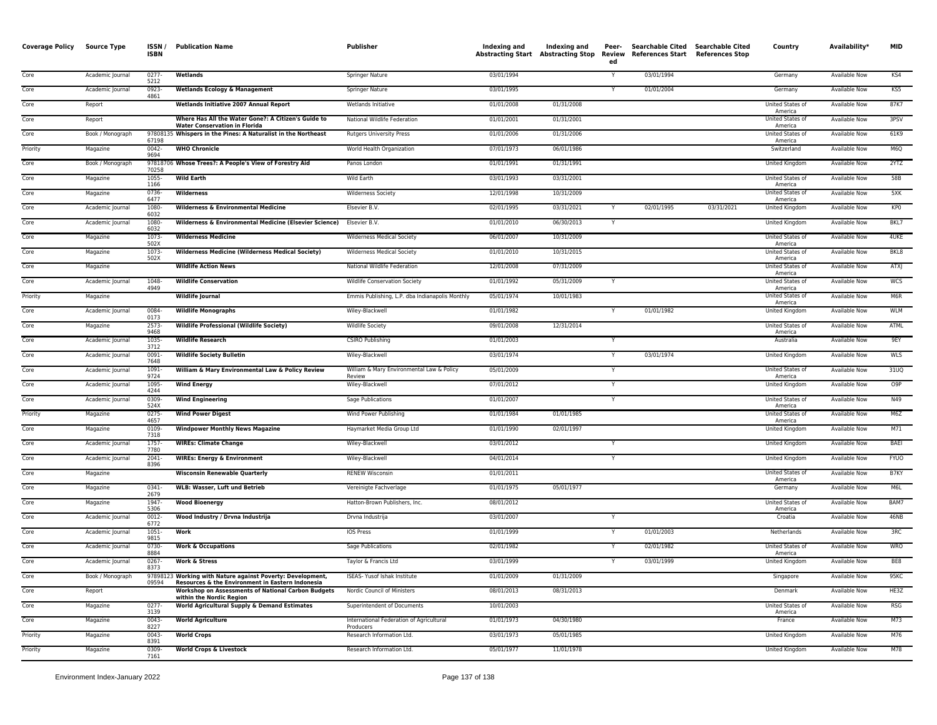| <b>Coverage Policy</b> | Source Type      | ISSN/<br><b>ISBN</b> | <b>Publication Name</b>                                                                                        | Publisher                                             | Indexing and | Indexing and<br><b>Abstracting Start Abstracting Stop</b> | Peer-<br>Review<br>ed | Searchable Cited Searchable Cited<br><b>References Start</b> | <b>References Stop</b> | Country                            | Availability*        | <b>MID</b>       |
|------------------------|------------------|----------------------|----------------------------------------------------------------------------------------------------------------|-------------------------------------------------------|--------------|-----------------------------------------------------------|-----------------------|--------------------------------------------------------------|------------------------|------------------------------------|----------------------|------------------|
| Core                   | Academic Journal | $0277-$<br>5212      | Wetlands                                                                                                       | Springer Nature                                       | 03/01/1994   |                                                           |                       | 03/01/1994                                                   |                        | Germany                            | <b>Available Now</b> | KS4              |
| Core                   | Academic Journal | $0923 -$<br>4861     | <b>Wetlands Ecology &amp; Management</b>                                                                       | Springer Nature                                       | 03/01/1995   |                                                           |                       | 01/01/2004                                                   |                        | Germany                            | <b>Available Now</b> | K <sub>5</sub>   |
| Core                   | Report           |                      | Wetlands Initiative 2007 Annual Report                                                                         | Wetlands Initiative                                   | 01/01/2008   | 01/31/2008                                                |                       |                                                              |                        | <b>United States of</b><br>America | <b>Available Now</b> | 87K7             |
| Core                   | Report           |                      | Where Has All the Water Gone?: A Citizen's Guide to<br><b>Water Conservation in Florida</b>                    | National Wildlife Federation                          | 01/01/2001   | 01/31/2001                                                |                       |                                                              |                        | <b>United States of</b><br>America | <b>Available Now</b> | 3PSV             |
| Core                   | Book / Monograph | 67198                | 97808135 Whispers in the Pines: A Naturalist in the Northeast                                                  | <b>Rutgers University Press</b>                       | 01/01/2006   | 01/31/2006                                                |                       |                                                              |                        | <b>United States of</b><br>America | <b>Available Now</b> | 61K9             |
| Priority               | Magazine         | $0042 -$<br>9694     | <b>WHO Chronicle</b>                                                                                           | World Health Organization                             | 07/01/1973   | 06/01/1986                                                |                       |                                                              |                        | Switzerland                        | Available Now        | M6Q              |
| Core                   | Book / Monograph | 70258                | 97818706 Whose Trees?: A People's View of Forestry Aid                                                         | Panos London                                          | 01/01/1991   | 01/31/1991                                                |                       |                                                              |                        | United Kingdom                     | Available Now        | 2YTZ             |
| Core                   | Magazine         | 1055-<br>1166        | <b>Wild Earth</b>                                                                                              | Wild Earth                                            | 03/01/1993   | 03/31/2001                                                |                       |                                                              |                        | United States of<br>America        | <b>Available Now</b> | 58B              |
| Core                   | Magazine         | 0736<br>6477         | Wilderness                                                                                                     | <b>Wilderness Society</b>                             | 12/01/1998   | 10/31/2009                                                |                       |                                                              |                        | United States of<br>America        | <b>Available Now</b> | 5XK              |
| Core                   | Academic Journal | 1080<br>6032         | <b>Wilderness &amp; Environmental Medicine</b>                                                                 | Elsevier B.V.                                         | 02/01/1995   | 03/31/2021                                                |                       | 02/01/1995                                                   | 03/31/2021             | United Kingdom                     | <b>Available Now</b> | KP <sub>0</sub>  |
| Core                   | Academic Journal | 1080-<br>6032        | Wilderness & Environmental Medicine (Elsevier Science)                                                         | Elsevier B.V.                                         | 01/01/2010   | 06/30/2013                                                | Y                     |                                                              |                        | United Kingdom                     | <b>Available Now</b> | BKL7             |
| Core                   | Magazine         | 1073-<br>502X        | <b>Wilderness Medicine</b>                                                                                     | <b>Wilderness Medical Society</b>                     | 06/01/2007   | 10/31/2009                                                |                       |                                                              |                        | <b>United States of</b><br>America | <b>Available Now</b> | 4UKE             |
| Core                   | Magazine         | 1073-<br>502X        | <b>Wilderness Medicine (Wilderness Medical Society)</b>                                                        | Wilderness Medical Society                            | 01/01/2010   | 10/31/2015                                                |                       |                                                              |                        | United States of<br>America        | <b>Available Now</b> | BKL8             |
| Core                   | Magazine         |                      | <b>Wildlife Action News</b>                                                                                    | National Wildlife Federation                          | 12/01/2008   | 07/31/2009                                                |                       |                                                              |                        | United States of<br>America        | Available Now        | ATXJ             |
| Core                   | Academic Journal | 1048-<br>4949        | <b>Wildlife Conservation</b>                                                                                   | Wildlife Conservation Society                         | 01/01/1992   | 05/31/2009                                                |                       |                                                              |                        | United States of<br>America        | Available Now        | <b>WCS</b>       |
| Priority               | Magazine         |                      | <b>Wildlife Journal</b>                                                                                        | Emmis Publishing, L.P. dba Indianapolis Monthly       | 05/01/1974   | 10/01/1983                                                |                       |                                                              |                        | United States of<br>America        | <b>Available Now</b> | M6R              |
| Core                   | Academic Journal | 0084<br>0173         | <b>Wildlife Monographs</b>                                                                                     | Wiley-Blackwell                                       | 01/01/1982   |                                                           |                       | 01/01/1982                                                   |                        | United Kingdom                     | Available Now        | <b>WLM</b>       |
| Core                   | Magazine         | 2573-<br>9468        | <b>Wildlife Professional (Wildlife Society)</b>                                                                | <b>Wildlife Society</b>                               | 09/01/2008   | 12/31/2014                                                |                       |                                                              |                        | <b>United States of</b><br>America | <b>Available Now</b> | <b>ATML</b>      |
| Core                   | Academic Journal | 1035<br>3712         | <b>Wildlife Research</b>                                                                                       | <b>CSIRO Publishing</b>                               | 01/01/2003   |                                                           |                       |                                                              |                        | Australia                          | <b>Available Now</b> | 9EY              |
| Core                   | Academic Journal | $0091 -$<br>7648     | <b>Wildlife Society Bulletin</b>                                                                               | Wiley-Blackwell                                       | 03/01/1974   |                                                           |                       | 03/01/1974                                                   |                        | United Kingdom                     | Available Now        | WLS              |
| Core                   | Academic Journal | 1091<br>9724         | William & Mary Environmental Law & Policy Review                                                               | William & Mary Environmental Law & Policy<br>Review   | 05/01/2009   |                                                           |                       |                                                              |                        | United States of<br>America        | <b>Available Now</b> | 31UQ             |
| Core                   | Academic Journal | 1095-<br>4244        | <b>Wind Energy</b>                                                                                             | Wiley-Blackwell                                       | 07/01/2012   |                                                           | Y                     |                                                              |                        | United Kingdom                     | Available Now        | O9P              |
| Core                   | Academic Journal | 0309<br>524X         | <b>Wind Engineering</b>                                                                                        | Sage Publications                                     | 01/01/2007   |                                                           |                       |                                                              |                        | United States of<br>America        | <b>Available Now</b> | N49              |
| Priority               | Magazine         | $0275 -$<br>4657     | <b>Wind Power Digest</b>                                                                                       | Wind Power Publishing                                 | 01/01/1984   | 01/01/1985                                                |                       |                                                              |                        | United States of<br>America        | <b>Available Now</b> | M6Z              |
| Core                   | Magazine         | 0109<br>7318         | <b>Windpower Monthly News Magazine</b>                                                                         | Haymarket Media Group Ltd                             | 01/01/1990   | 02/01/1997                                                |                       |                                                              |                        | <b>United Kingdom</b>              | <b>Available Now</b> | M71              |
| Core                   | Academic Journal | 1757<br>7780         | <b>WIREs: Climate Change</b>                                                                                   | Wiley-Blackwell                                       | 03/01/2012   |                                                           |                       |                                                              |                        | <b>United Kingdom</b>              | <b>Available Now</b> | BAEI             |
| Core                   | Academic Journal | $2041 -$<br>8396     | <b>WIREs: Energy &amp; Environment</b>                                                                         | Wiley-Blackwell                                       | 04/01/2014   |                                                           |                       |                                                              |                        | <b>United Kingdom</b>              | <b>Available Now</b> | <b>FYUO</b>      |
| Core                   | Magazine         |                      | <b>Wisconsin Renewable Quarterly</b>                                                                           | <b>RENEW Wisconsin</b>                                | 01/01/2011   |                                                           |                       |                                                              |                        | United States of<br>America        | <b>Available Now</b> | B7KY             |
| Core                   | Magazine         | 0341-<br>2679        | <b>WLB: Wasser, Luft und Betrieb</b>                                                                           | Vereinigte Fachverlage                                | 01/01/1975   | 05/01/1977                                                |                       |                                                              |                        | Germany                            | Available Now        | M6L              |
| Core                   | Magazine         | 1947<br>5306         | <b>Wood Bioenergy</b>                                                                                          | Hatton-Brown Publishers, Inc.                         | 08/01/2012   |                                                           |                       |                                                              |                        | United States of<br>America        | Available Now        | BAM7             |
| Core                   | Academic Journal | $0012 -$<br>6772     | Wood Industry / Drvna Industrija                                                                               | Drvna Industrija                                      | 03/01/2007   |                                                           | $\checkmark$          |                                                              |                        | Croatia                            | <b>Available Now</b> | 46NB             |
| Core                   | Academic Journal | 1051<br>9815         | Work                                                                                                           | IOS Press                                             | 01/01/1999   |                                                           |                       | 01/01/2003                                                   |                        | Netherlands                        | Available Now        | 3RC              |
| Core                   | Academic Journal | 0730-<br>8884        | <b>Work &amp; Occupations</b>                                                                                  | Sage Publications                                     | 02/01/1982   |                                                           |                       | 02/01/1982                                                   |                        | United States of<br>America        | Available Now        | <b>WRO</b>       |
| Core                   | Academic Journal | $0267 -$<br>8373     | <b>Work &amp; Stress</b>                                                                                       | Taylor & Francis Ltd                                  | 03/01/1999   |                                                           |                       | 03/01/1999                                                   |                        | <b>United Kingdom</b>              | <b>Available Now</b> | BE8              |
| Core                   | Book / Monograph | 09594                | 97898123 Working with Nature against Poverty: Development,<br>Resources & the Environment in Eastern Indonesia | ISEAS- Yusof Ishak Institute                          | 01/01/2009   | 01/31/2009                                                |                       |                                                              |                        | Singapore                          | <b>Available Now</b> | 95 <sub>KC</sub> |
| Core                   | Report           |                      | <b>Workshop on Assessments of National Carbon Budgets</b><br>within the Nordic Region                          | Nordic Council of Ministers                           | 08/01/2013   | 08/31/2013                                                |                       |                                                              |                        | Denmark                            | <b>Available Now</b> | HE3Z             |
| Core                   | Magazine         | $0277 -$<br>3139     | World Agricultural Supply & Demand Estimates                                                                   | Superintendent of Documents                           | 10/01/2003   |                                                           |                       |                                                              |                        | United States of<br>America        | <b>Available Now</b> | <b>RSG</b>       |
| Core                   | Magazine         | 0043-<br>8227        | <b>World Agriculture</b>                                                                                       | International Federation of Agricultural<br>Producers | 01/01/1973   | 04/30/1980                                                |                       |                                                              |                        | France                             | Available Now        | M73              |
| Priority               | Magazine         | 0043-<br>8391        | <b>World Crops</b>                                                                                             | Research Information Ltd.                             | 03/01/1973   | 05/01/1985                                                |                       |                                                              |                        | United Kingdom                     | <b>Available Now</b> | M76              |
| Priority               | Magazine         | 0309<br>7161         | <b>World Crops &amp; Livestock</b>                                                                             | Research Information Ltd.                             | 05/01/1977   | 11/01/1978                                                |                       |                                                              |                        | United Kingdom                     | <b>Available Now</b> | M78              |